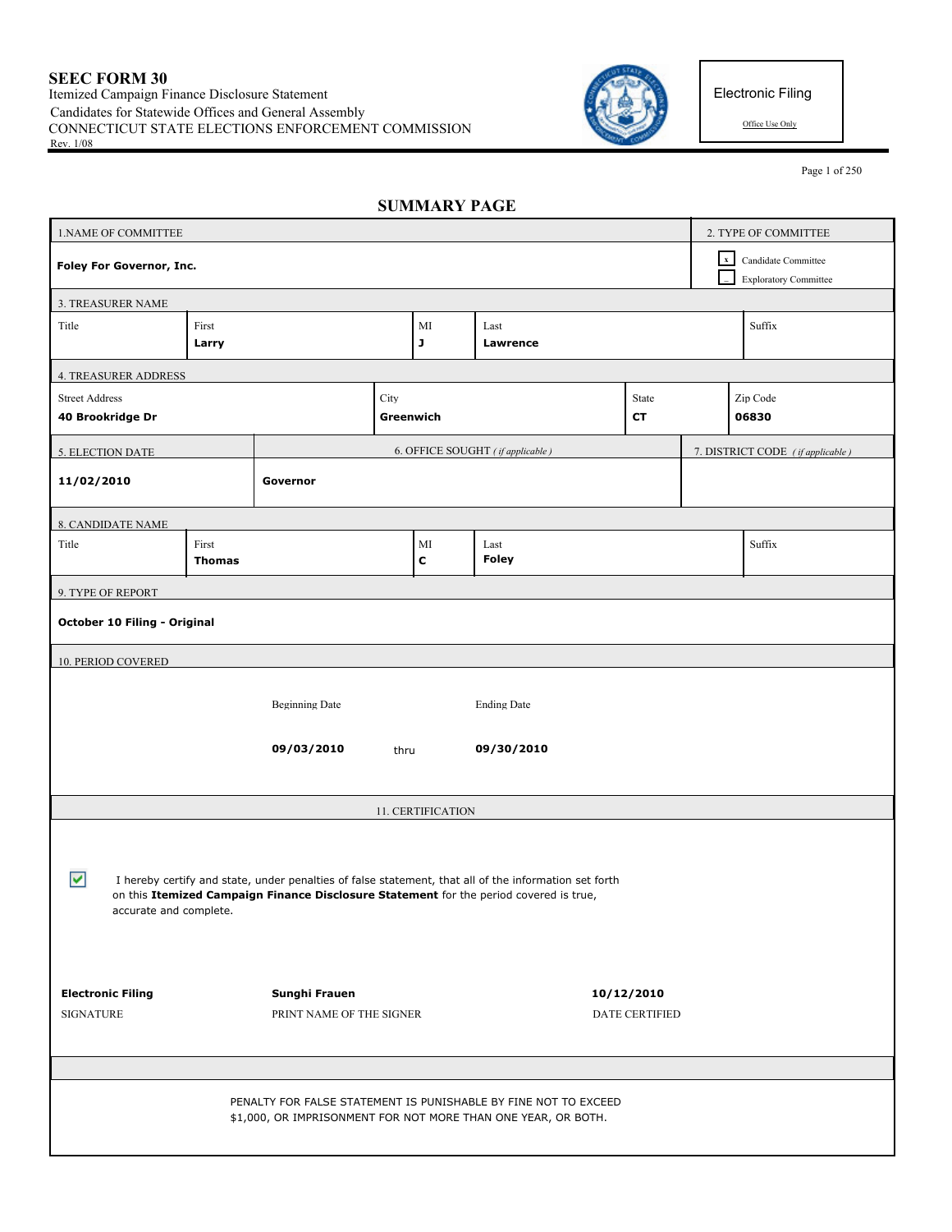

Electronic Filing

Page 1 of 250

| <b>SUMMARY PAGE</b> |  |
|---------------------|--|
|---------------------|--|

| 1. NAME OF COMMITTEE                      |                        |                          |      |                   |                                                                                                                                                                                                 |                       |             | 2. TYPE OF COMMITTEE                                |
|-------------------------------------------|------------------------|--------------------------|------|-------------------|-------------------------------------------------------------------------------------------------------------------------------------------------------------------------------------------------|-----------------------|-------------|-----------------------------------------------------|
| Foley For Governor, Inc.                  |                        |                          |      |                   |                                                                                                                                                                                                 |                       | $\mathbf x$ | Candidate Committee<br><b>Exploratory Committee</b> |
| 3. TREASURER NAME                         |                        |                          |      |                   |                                                                                                                                                                                                 |                       |             |                                                     |
| Title                                     | First<br>Larry         |                          |      | MI<br>J           | Last<br>Lawrence                                                                                                                                                                                |                       |             | Suffix                                              |
| <b>4. TREASURER ADDRESS</b>               |                        |                          |      |                   |                                                                                                                                                                                                 |                       |             |                                                     |
| <b>Street Address</b><br>40 Brookridge Dr |                        |                          | City | Greenwich         |                                                                                                                                                                                                 | State<br>СT           |             | Zip Code<br>06830                                   |
| 5. ELECTION DATE                          |                        |                          |      |                   | 6. OFFICE SOUGHT (if applicable)                                                                                                                                                                |                       |             | 7. DISTRICT CODE (if applicable)                    |
| 11/02/2010                                |                        | Governor                 |      |                   |                                                                                                                                                                                                 |                       |             |                                                     |
| 8. CANDIDATE NAME                         |                        |                          |      |                   |                                                                                                                                                                                                 |                       |             |                                                     |
| Title                                     | First<br><b>Thomas</b> |                          |      | MI<br>$\mathbf c$ | Last<br><b>Foley</b>                                                                                                                                                                            |                       |             | Suffix                                              |
| 9. TYPE OF REPORT                         |                        |                          |      |                   |                                                                                                                                                                                                 |                       |             |                                                     |
| October 10 Filing - Original              |                        |                          |      |                   |                                                                                                                                                                                                 |                       |             |                                                     |
| <b>10. PERIOD COVERED</b>                 |                        |                          |      |                   |                                                                                                                                                                                                 |                       |             |                                                     |
|                                           |                        | <b>Beginning Date</b>    |      |                   | <b>Ending Date</b>                                                                                                                                                                              |                       |             |                                                     |
|                                           |                        | 09/03/2010               | thru |                   | 09/30/2010                                                                                                                                                                                      |                       |             |                                                     |
|                                           |                        |                          |      | 11. CERTIFICATION |                                                                                                                                                                                                 |                       |             |                                                     |
| ▽                                         |                        |                          |      |                   | I hereby certify and state, under penalties of false statement, that all of the information set forth<br>on this Itemized Campaign Finance Disclosure Statement for the period covered is true, |                       |             |                                                     |
| accurate and complete.                    |                        |                          |      |                   |                                                                                                                                                                                                 |                       |             |                                                     |
| <b>Electronic Filing</b>                  |                        | Sunghi Frauen            |      |                   |                                                                                                                                                                                                 | 10/12/2010            |             |                                                     |
| <b>SIGNATURE</b>                          |                        | PRINT NAME OF THE SIGNER |      |                   |                                                                                                                                                                                                 | <b>DATE CERTIFIED</b> |             |                                                     |
|                                           |                        |                          |      |                   |                                                                                                                                                                                                 |                       |             |                                                     |
|                                           |                        |                          |      |                   | PENALTY FOR FALSE STATEMENT IS PUNISHABLE BY FINE NOT TO EXCEED<br>\$1,000, OR IMPRISONMENT FOR NOT MORE THAN ONE YEAR, OR BOTH.                                                                |                       |             |                                                     |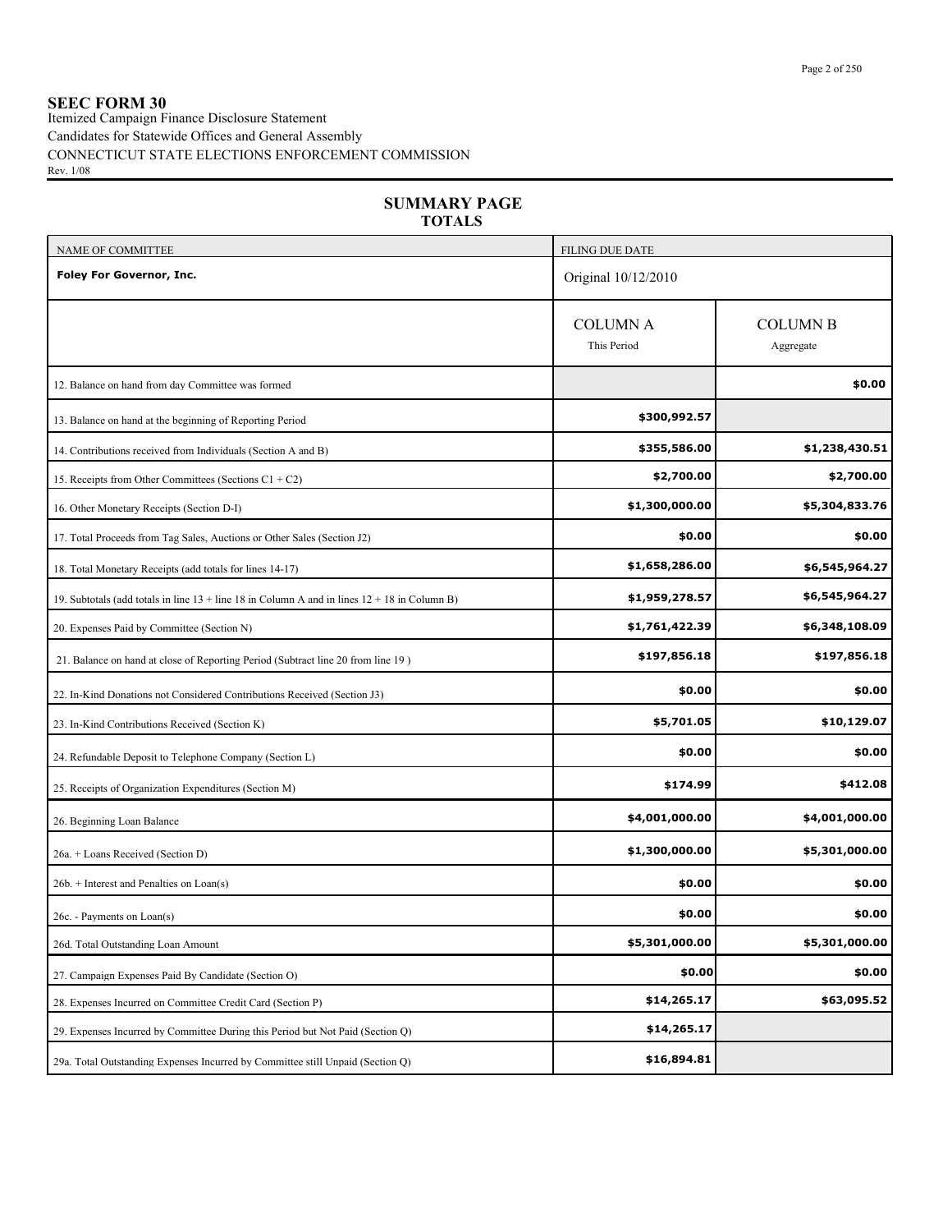## **SEEC FORM 30**

Itemized Campaign Finance Disclosure Statement Candidates for Statewide Offices and General Assembly CONNECTICUT STATE ELECTIONS ENFORCEMENT COMMISSION Rev. 1/08

| <b>TOTALS</b>                                                                                    |                                |                              |
|--------------------------------------------------------------------------------------------------|--------------------------------|------------------------------|
| NAME OF COMMITTEE                                                                                | <b>FILING DUE DATE</b>         |                              |
| Foley For Governor, Inc.                                                                         | Original 10/12/2010            |                              |
|                                                                                                  | <b>COLUMN A</b><br>This Period | <b>COLUMN B</b><br>Aggregate |
| 12. Balance on hand from day Committee was formed                                                |                                | \$0.00                       |
| 13. Balance on hand at the beginning of Reporting Period                                         | \$300,992.57                   |                              |
| 14. Contributions received from Individuals (Section A and B)                                    | \$355,586.00                   | \$1,238,430.51               |
| 15. Receipts from Other Committees (Sections $C1 + C2$ )                                         | \$2,700.00                     | \$2,700.00                   |
| 16. Other Monetary Receipts (Section D-I)                                                        | \$1,300,000.00                 | \$5,304,833.76               |
| 17. Total Proceeds from Tag Sales, Auctions or Other Sales (Section J2)                          | \$0.00                         | \$0.00                       |
| 18. Total Monetary Receipts (add totals for lines 14-17)                                         | \$1,658,286.00                 | \$6,545,964.27               |
| 19. Subtotals (add totals in line $13 +$ line 18 in Column A and in lines $12 + 18$ in Column B) | \$1,959,278.57                 | \$6,545,964.27               |
| 20. Expenses Paid by Committee (Section N)                                                       | \$1,761,422.39                 | \$6,348,108.09               |
| 21. Balance on hand at close of Reporting Period (Subtract line 20 from line 19)                 | \$197,856.18                   | \$197,856.18                 |
| 22. In-Kind Donations not Considered Contributions Received (Section J3)                         | \$0.00                         | \$0.00                       |
| 23. In-Kind Contributions Received (Section K)                                                   | \$5,701.05                     | \$10,129.07                  |
| 24. Refundable Deposit to Telephone Company (Section L)                                          | \$0.00                         | \$0.00                       |
| 25. Receipts of Organization Expenditures (Section M)                                            | \$174.99                       | \$412.08                     |
| 26. Beginning Loan Balance                                                                       | \$4,001,000.00                 | \$4,001,000.00               |
| 26a. + Loans Received (Section D)                                                                | \$1,300,000.00                 | \$5,301,000.00               |
| $26b.$ + Interest and Penalties on Loan(s)                                                       | \$0.00                         | \$0.00                       |
| 26c. - Payments on Loan(s)                                                                       | \$0.00                         | \$0.00                       |
| 26d. Total Outstanding Loan Amount                                                               | \$5,301,000.00                 | \$5,301,000.00               |
| 27. Campaign Expenses Paid By Candidate (Section O)                                              | \$0.00                         | \$0.00                       |
| 28. Expenses Incurred on Committee Credit Card (Section P)                                       | \$14,265.17                    | \$63,095.52                  |
| 29. Expenses Incurred by Committee During this Period but Not Paid (Section Q)                   | \$14,265.17                    |                              |
| 29a. Total Outstanding Expenses Incurred by Committee still Unpaid (Section Q)                   | \$16,894.81                    |                              |

**SUMMARY PAGE**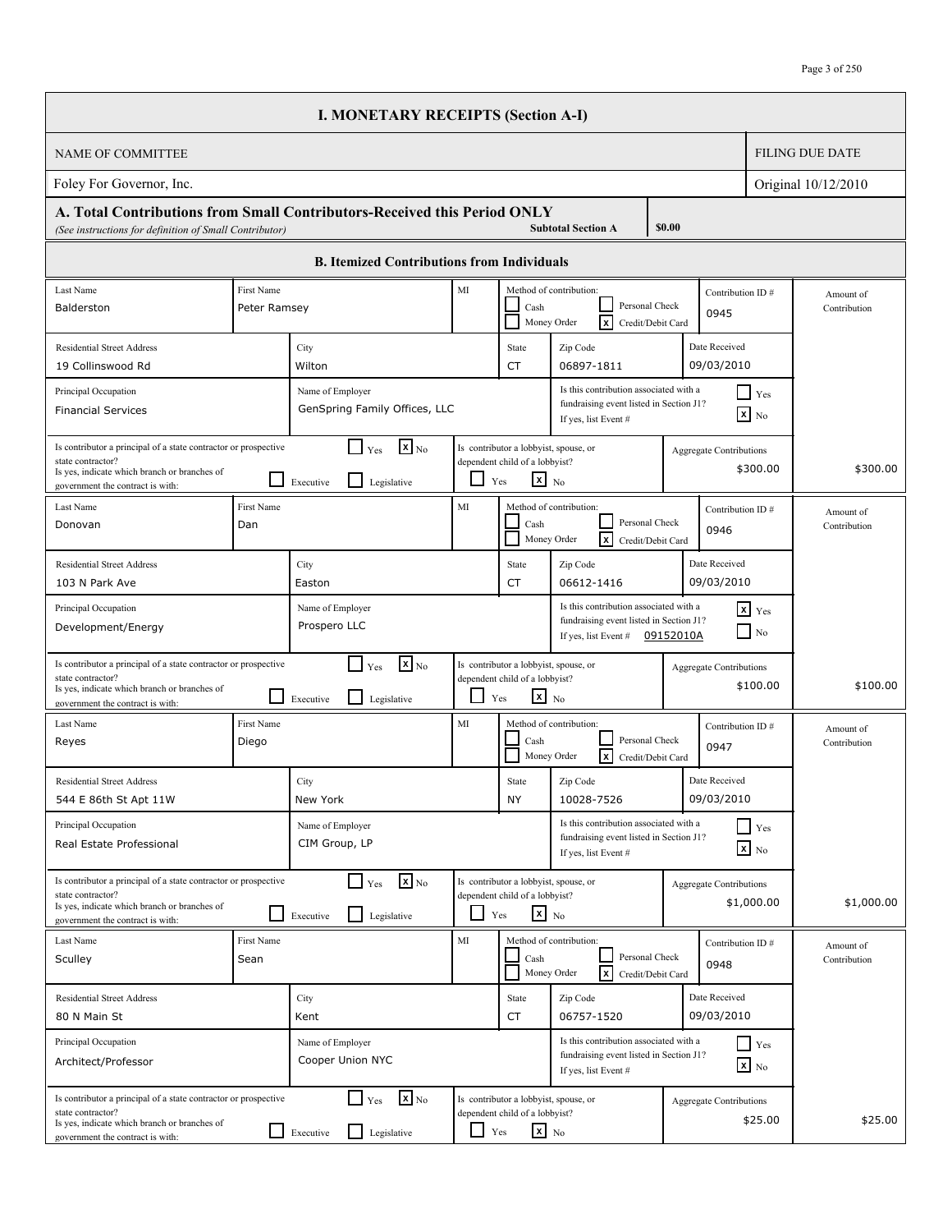|                                                                                                                                                                          |                            | <b>I. MONETARY RECEIPTS (Section A-I)</b>                              |            |                                                                                            |                                                                                                           |                                |                              |                           |
|--------------------------------------------------------------------------------------------------------------------------------------------------------------------------|----------------------------|------------------------------------------------------------------------|------------|--------------------------------------------------------------------------------------------|-----------------------------------------------------------------------------------------------------------|--------------------------------|------------------------------|---------------------------|
| <b>NAME OF COMMITTEE</b>                                                                                                                                                 |                            |                                                                        |            |                                                                                            |                                                                                                           |                                |                              | <b>FILING DUE DATE</b>    |
| Foley For Governor, Inc.                                                                                                                                                 |                            |                                                                        |            |                                                                                            |                                                                                                           |                                |                              | Original 10/12/2010       |
| A. Total Contributions from Small Contributors-Received this Period ONLY<br>(See instructions for definition of Small Contributor)                                       |                            |                                                                        |            |                                                                                            | <b>Subtotal Section A</b>                                                                                 | \$0.00                         |                              |                           |
|                                                                                                                                                                          |                            | <b>B.</b> Itemized Contributions from Individuals                      |            |                                                                                            |                                                                                                           |                                |                              |                           |
| Last Name<br>Balderston                                                                                                                                                  | First Name<br>Peter Ramsey |                                                                        | MI         | Cash                                                                                       | Method of contribution:<br>Personal Check<br>Money Order<br>I×<br>Credit/Debit Card                       | 0945                           | Contribution ID#             | Amount of<br>Contribution |
| <b>Residential Street Address</b><br>19 Collinswood Rd                                                                                                                   |                            | City<br>Wilton                                                         |            | State<br><b>CT</b>                                                                         | Zip Code<br>06897-1811                                                                                    | Date Received<br>09/03/2010    |                              |                           |
| Principal Occupation<br><b>Financial Services</b>                                                                                                                        |                            | Name of Employer<br>GenSpring Family Offices, LLC                      |            |                                                                                            | Is this contribution associated with a<br>fundraising event listed in Section J1?<br>If yes, list Event # |                                | <b>Yes</b><br>$x$ No         |                           |
| Is contributor a principal of a state contractor or prospective<br>state contractor?<br>Is yes, indicate which branch or branches of<br>government the contract is with: |                            | $\mathbf{x}$ <sub>No</sub><br>Yes<br>Executive<br>Legislative          |            | Is contributor a lobbyist, spouse, or<br>dependent child of a lobbyist?<br>$x_{N0}$<br>Yes |                                                                                                           | <b>Aggregate Contributions</b> | \$300.00                     | \$300.00                  |
| Last Name<br>Donovan                                                                                                                                                     | First Name<br>Dan          |                                                                        | MI         | Cash                                                                                       | Method of contribution:<br>Personal Check<br>Ix<br>Money Order<br>Credit/Debit Card                       | 0946                           | Contribution ID#             | Amount of<br>Contribution |
| <b>Residential Street Address</b><br>103 N Park Ave                                                                                                                      |                            | City<br>Easton                                                         |            | State<br><b>CT</b>                                                                         | Zip Code<br>06612-1416                                                                                    | Date Received<br>09/03/2010    |                              |                           |
| Principal Occupation<br>Development/Energy                                                                                                                               |                            | Name of Employer<br>Prospero LLC                                       |            |                                                                                            | Is this contribution associated with a<br>fundraising event listed in Section J1?<br>If yes, list Event # | 09152010A                      | $x$ $Y$ es<br>N <sub>0</sub> |                           |
| Is contributor a principal of a state contractor or prospective<br>state contractor?<br>Is yes, indicate which branch or branches of<br>government the contract is with: |                            | $\sqrt{\mathbf{x}}$ <sub>No</sub><br>Yes<br>Executive<br>Legislative   | $\Box$ Yes | Is contributor a lobbyist, spouse, or<br>dependent child of a lobbyist?<br>$x$ No          |                                                                                                           | <b>Aggregate Contributions</b> | \$100.00                     | \$100.00                  |
| Last Name<br>Reyes                                                                                                                                                       | First Name<br>Diego        |                                                                        | MI         | Cash                                                                                       | Method of contribution:<br>Personal Check<br>Money Order<br>I×<br>Credit/Debit Card                       | 0947                           | Contribution ID#             | Amount of<br>Contribution |
| <b>Residential Street Address</b><br>544 E 86th St Apt 11W                                                                                                               |                            | City<br>New York                                                       |            | State<br><b>NY</b>                                                                         | Zip Code<br>10028-7526                                                                                    | Date Received<br>09/03/2010    |                              |                           |
| Principal Occupation<br>Real Estate Professional                                                                                                                         |                            | Name of Employer<br>CIM Group, LP                                      |            |                                                                                            | Is this contribution associated with a<br>fundraising event listed in Section J1?<br>If yes, list Event # |                                | $\Box$ Yes<br>$x$ No         |                           |
| Is contributor a principal of a state contractor or prospective<br>state contractor?<br>Is yes, indicate which branch or branches of<br>government the contract is with: |                            | $\mathbf{x}$ <sub>No</sub><br>$\Gamma$ Yes<br>Executive<br>Legislative | $\Box$ Yes | Is contributor a lobbyist, spouse, or<br>dependent child of a lobbyist?<br>$x_{N0}$        |                                                                                                           | <b>Aggregate Contributions</b> | \$1,000.00                   | \$1,000.00                |
| Last Name<br>Sculley                                                                                                                                                     | First Name<br>Sean         |                                                                        | MI         | Cash                                                                                       | Method of contribution:<br>Personal Check<br>Γx<br>Money Order<br>Credit/Debit Card                       | 0948                           | Contribution ID#             | Amount of<br>Contribution |
| <b>Residential Street Address</b><br>80 N Main St                                                                                                                        |                            | City<br>Kent                                                           |            | State<br><b>CT</b>                                                                         | Zip Code<br>06757-1520                                                                                    | Date Received<br>09/03/2010    |                              |                           |
| Principal Occupation<br>Architect/Professor                                                                                                                              |                            | Name of Employer<br>Cooper Union NYC                                   |            |                                                                                            | Is this contribution associated with a<br>fundraising event listed in Section J1?<br>If yes, list Event # |                                | $\Box$ Yes<br>$x$ No         |                           |
| Is contributor a principal of a state contractor or prospective<br>state contractor?<br>Is yes, indicate which branch or branches of<br>government the contract is with: |                            | $\mathbf{x}$ <sub>No</sub><br>$\Box$ Yes<br>Legislative<br>Executive   |            | Is contributor a lobbyist, spouse, or<br>dependent child of a lobbyist?<br>$x_{N0}$<br>Yes |                                                                                                           | <b>Aggregate Contributions</b> | \$25.00                      | \$25.00                   |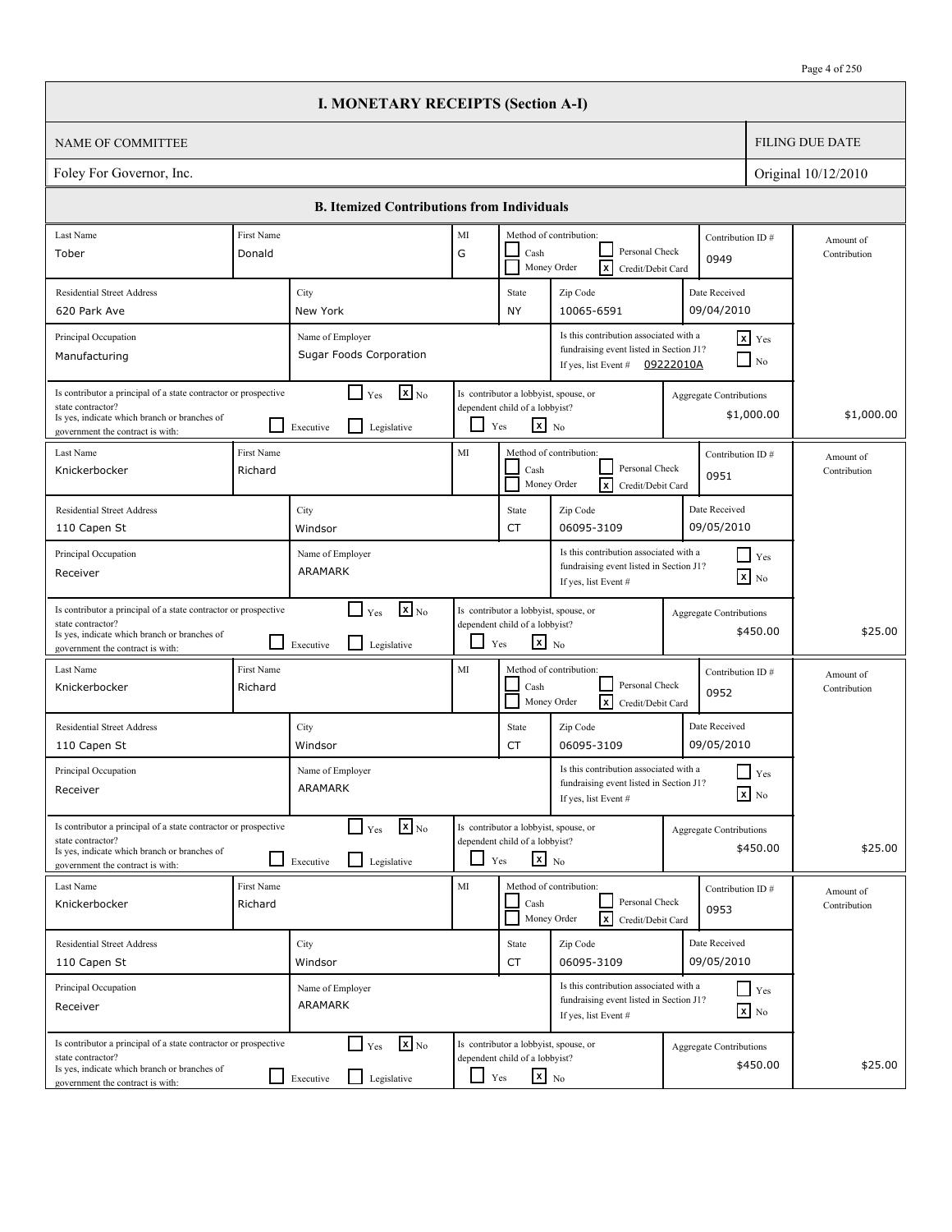|                                                                                                                                                                          |                                             | <b>I. MONETARY RECEIPTS (Section A-I)</b>                                                     |            |                                                                                                   |                                                                                                           |                                |                                      |                           |
|--------------------------------------------------------------------------------------------------------------------------------------------------------------------------|---------------------------------------------|-----------------------------------------------------------------------------------------------|------------|---------------------------------------------------------------------------------------------------|-----------------------------------------------------------------------------------------------------------|--------------------------------|--------------------------------------|---------------------------|
| <b>NAME OF COMMITTEE</b>                                                                                                                                                 |                                             |                                                                                               |            |                                                                                                   |                                                                                                           |                                |                                      | <b>FILING DUE DATE</b>    |
| Foley For Governor, Inc.                                                                                                                                                 |                                             |                                                                                               |            |                                                                                                   |                                                                                                           |                                |                                      | Original 10/12/2010       |
|                                                                                                                                                                          |                                             | <b>B. Itemized Contributions from Individuals</b>                                             |            |                                                                                                   |                                                                                                           |                                |                                      |                           |
| Last Name<br>Tober                                                                                                                                                       | First Name<br>Donald                        |                                                                                               | MI<br>G    | Cash                                                                                              | Method of contribution:<br>Personal Check<br>Ιx<br>Money Order<br>Credit/Debit Card                       | Contribution ID#<br>0949       |                                      | Amount of<br>Contribution |
| <b>Residential Street Address</b><br>620 Park Ave                                                                                                                        |                                             | City<br>New York                                                                              |            | State<br><b>NY</b>                                                                                | Zip Code<br>10065-6591                                                                                    | Date Received<br>09/04/2010    |                                      |                           |
| Principal Occupation<br>Manufacturing                                                                                                                                    | Name of Employer<br>Sugar Foods Corporation |                                                                                               |            |                                                                                                   | Is this contribution associated with a<br>fundraising event listed in Section J1?<br>If yes, list Event # | 09222010A                      | $x$ $Y$ es<br>$\vert$ No             |                           |
| Is contributor a principal of a state contractor or prospective<br>state contractor?<br>Is yes, indicate which branch or branches of<br>government the contract is with: |                                             | $\mathbf{X}$ <sub>No</sub><br>$\Box$ Yes<br>$\mathsf{L}$<br>Legislative<br>Executive          | ⊔          | Is contributor a lobbyist, spouse, or<br>dependent child of a lobbyist?<br>$\mathbf{x}$ No<br>Yes |                                                                                                           | <b>Aggregate Contributions</b> | \$1,000.00                           | \$1,000.00                |
| Last Name<br>Knickerbocker                                                                                                                                               | First Name<br>Richard                       |                                                                                               | MI         | Cash                                                                                              | Method of contribution:<br>Personal Check<br>Money Order<br><b>x</b><br>Credit/Debit Card                 | Contribution ID#<br>0951       |                                      | Amount of<br>Contribution |
| <b>Residential Street Address</b><br>110 Capen St                                                                                                                        |                                             | City<br>Windsor                                                                               |            | State<br>CT                                                                                       | Zip Code<br>06095-3109                                                                                    | Date Received<br>09/05/2010    |                                      |                           |
| Principal Occupation<br>Receiver                                                                                                                                         |                                             | Name of Employer<br>ARAMARK                                                                   |            |                                                                                                   | Is this contribution associated with a<br>fundraising event listed in Section J1?<br>If yes, list Event # |                                | $\vert \vert$ Yes<br>$\mathbf{x}$ No |                           |
| Is contributor a principal of a state contractor or prospective<br>state contractor?<br>Is yes, indicate which branch or branches of<br>government the contract is with: |                                             | $\mathbf{x}$ <sub>No</sub><br>$\mathsf{L}$<br>Yes<br>$\mathsf{L}$<br>Legislative<br>Executive | l 1        | Is contributor a lobbyist, spouse, or<br>dependent child of a lobbyist?<br>$X$ No<br>Yes          |                                                                                                           | <b>Aggregate Contributions</b> | \$450.00                             | \$25.00                   |
| Last Name<br>Knickerbocker                                                                                                                                               | First Name<br>Richard                       |                                                                                               | MI         | Cash                                                                                              | Method of contribution:<br>Personal Check<br>Money Order<br>lxI<br>Credit/Debit Card                      | Contribution ID#<br>0952       |                                      | Amount of<br>Contribution |
| <b>Residential Street Address</b><br>110 Capen St                                                                                                                        |                                             | City<br>Windsor                                                                               |            | State<br>CT                                                                                       | Zip Code<br>06095-3109                                                                                    | Date Received<br>09/05/2010    |                                      |                           |
| Principal Occupation<br>Receiver                                                                                                                                         |                                             | Name of Employer<br>ARAMARK                                                                   |            |                                                                                                   | Is this contribution associated with a<br>fundraising event listed in Section J1?<br>If yes, list Event # |                                | $\Box$ Yes<br>$x$ No                 |                           |
| Is contributor a principal of a state contractor or prospective<br>state contractor?<br>Is yes, indicate which branch or branches of<br>government the contract is with: |                                             | $\mathbf{x}$ <sub>No</sub><br>$\Box$ Yes<br>$\mathsf{L}$<br>Legislative<br>Executive          | $\sim$     | Is contributor a lobbyist, spouse, or<br>dependent child of a lobbyist?<br>$\mathbf{x}$ No<br>Yes |                                                                                                           | <b>Aggregate Contributions</b> | \$450.00                             | \$25.00                   |
| Last Name<br>Knickerbocker                                                                                                                                               | First Name<br>Richard                       |                                                                                               | MI         | Cash                                                                                              | Method of contribution:<br>Personal Check<br>Money Order<br>lxl<br>Credit/Debit Card                      | Contribution ID#<br>0953       |                                      | Amount of<br>Contribution |
| <b>Residential Street Address</b><br>110 Capen St                                                                                                                        |                                             | City<br>Windsor                                                                               |            | State<br>CT                                                                                       | Zip Code<br>06095-3109                                                                                    | Date Received<br>09/05/2010    |                                      |                           |
| Principal Occupation<br>Receiver                                                                                                                                         |                                             | Name of Employer<br>ARAMARK                                                                   |            |                                                                                                   | Is this contribution associated with a<br>fundraising event listed in Section J1?<br>If yes, list Event # |                                | $\Box$ Yes<br>$\mathbf{x}$ No        |                           |
| Is contributor a principal of a state contractor or prospective<br>state contractor?<br>Is yes, indicate which branch or branches of<br>government the contract is with: |                                             | $\mathbf{x}$ <sub>No</sub><br>$\Box$ Yes<br>Legislative<br>$\Box$ Executive                   | $\Box$ Yes | Is contributor a lobbyist, spouse, or<br>dependent child of a lobbyist?<br>$x_{N0}$               |                                                                                                           | Aggregate Contributions        | \$450.00                             | \$25.00                   |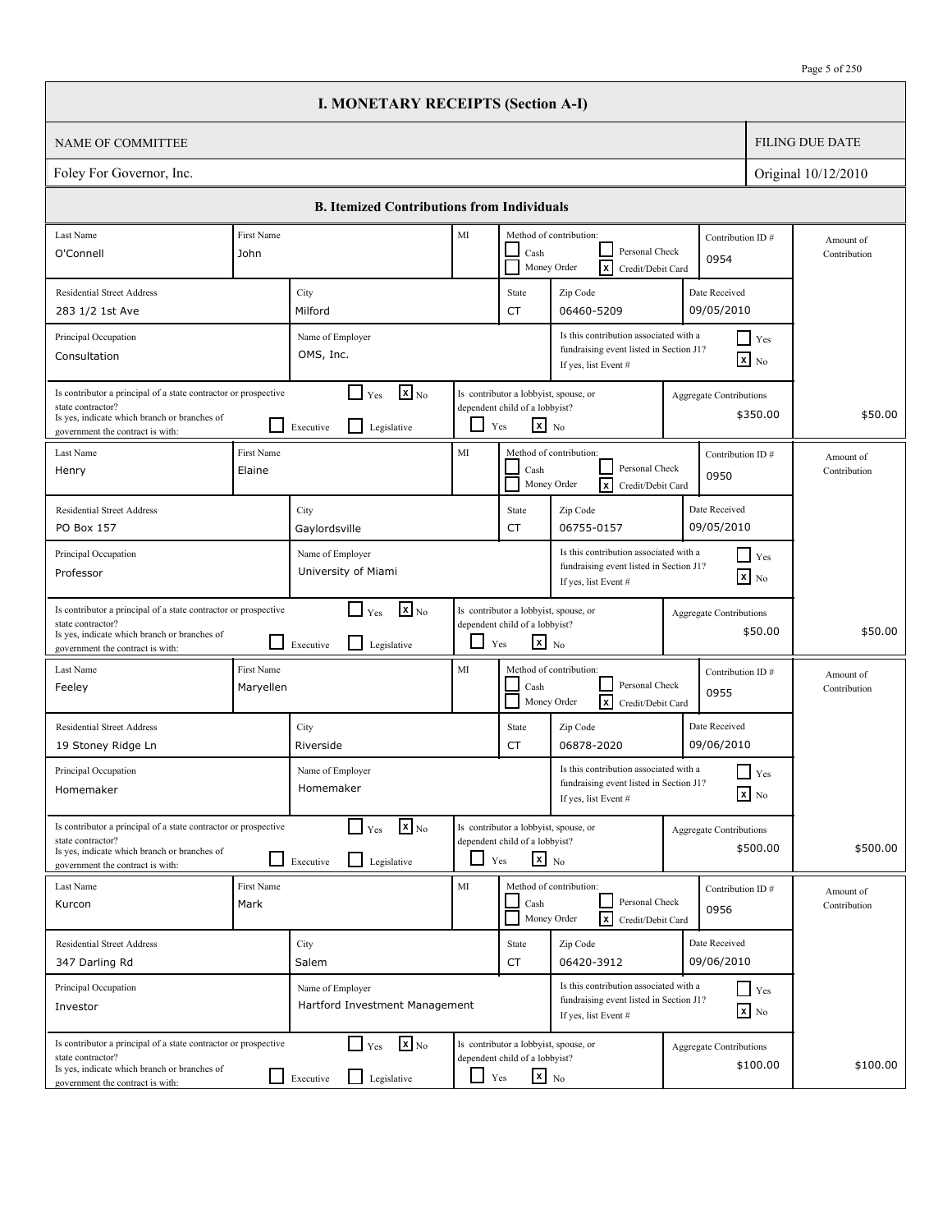|                                                                                                                                                                          |                                                                                                                                                                                        | <b>I. MONETARY RECEIPTS (Section A-I)</b>                                                     |                        |                                                                                                   |                                                                                                           |                                |                               |                           |
|--------------------------------------------------------------------------------------------------------------------------------------------------------------------------|----------------------------------------------------------------------------------------------------------------------------------------------------------------------------------------|-----------------------------------------------------------------------------------------------|------------------------|---------------------------------------------------------------------------------------------------|-----------------------------------------------------------------------------------------------------------|--------------------------------|-------------------------------|---------------------------|
| <b>NAME OF COMMITTEE</b>                                                                                                                                                 |                                                                                                                                                                                        |                                                                                               |                        |                                                                                                   |                                                                                                           |                                |                               | <b>FILING DUE DATE</b>    |
| Foley For Governor, Inc.                                                                                                                                                 |                                                                                                                                                                                        |                                                                                               |                        |                                                                                                   |                                                                                                           |                                |                               | Original 10/12/2010       |
|                                                                                                                                                                          |                                                                                                                                                                                        | <b>B. Itemized Contributions from Individuals</b>                                             |                        |                                                                                                   |                                                                                                           |                                |                               |                           |
| Last Name                                                                                                                                                                | First Name                                                                                                                                                                             |                                                                                               | MI                     |                                                                                                   | Method of contribution:                                                                                   | Contribution ID#               |                               | Amount of                 |
| O'Connell                                                                                                                                                                | John                                                                                                                                                                                   |                                                                                               |                        | Cash                                                                                              | Personal Check<br>Ιx<br>Money Order<br>Credit/Debit Card                                                  | 0954                           |                               | Contribution              |
| <b>Residential Street Address</b>                                                                                                                                        |                                                                                                                                                                                        | City                                                                                          |                        | State                                                                                             | Zip Code                                                                                                  | Date Received                  |                               |                           |
| 283 1/2 1st Ave                                                                                                                                                          |                                                                                                                                                                                        | Milford                                                                                       |                        | <b>CT</b>                                                                                         | 06460-5209                                                                                                | 09/05/2010                     |                               |                           |
| Principal Occupation<br>Consultation                                                                                                                                     |                                                                                                                                                                                        | Name of Employer<br>OMS, Inc.                                                                 |                        |                                                                                                   | Is this contribution associated with a<br>fundraising event listed in Section J1?<br>If yes, list Event # |                                | $\Box$ Yes<br>$\mathbf{x}$ No |                           |
| Is contributor a principal of a state contractor or prospective<br>state contractor?<br>Is yes, indicate which branch or branches of<br>government the contract is with: |                                                                                                                                                                                        | $\mathbf{x}$ <sub>No</sub><br>$\Box$ Yes<br>l 1<br>Legislative<br>Executive                   | ⊔                      | Is contributor a lobbyist, spouse, or<br>dependent child of a lobbyist?<br>$\mathbf{x}$ No<br>Yes |                                                                                                           | <b>Aggregate Contributions</b> | \$350.00                      | \$50.00                   |
| Last Name<br>Henry                                                                                                                                                       | First Name<br>Elaine                                                                                                                                                                   |                                                                                               | MI                     | Cash                                                                                              | Method of contribution:<br>Personal Check<br>Money Order<br><b>x</b><br>Credit/Debit Card                 | Contribution ID#<br>0950       |                               | Amount of<br>Contribution |
| <b>Residential Street Address</b><br>PO Box 157                                                                                                                          |                                                                                                                                                                                        | City<br>Gaylordsville                                                                         |                        | State<br>CT                                                                                       | Zip Code<br>06755-0157                                                                                    | Date Received<br>09/05/2010    |                               |                           |
| Principal Occupation<br>Professor                                                                                                                                        | Is this contribution associated with a<br>$\vert$ Yes<br>Name of Employer<br>fundraising event listed in Section J1?<br>University of Miami<br>$\mathbf{x}$ No<br>If yes, list Event # |                                                                                               |                        |                                                                                                   |                                                                                                           |                                |                               |                           |
| Is contributor a principal of a state contractor or prospective<br>state contractor?<br>Is yes, indicate which branch or branches of<br>government the contract is with: |                                                                                                                                                                                        | $\mathbf{X}$ <sub>No</sub><br>$\mathsf{L}$<br>Yes<br>$\mathsf{L}$<br>Legislative<br>Executive | l 1                    | Is contributor a lobbyist, spouse, or<br>dependent child of a lobbyist?<br>$\mathbf{x}$ No<br>Yes |                                                                                                           | <b>Aggregate Contributions</b> | \$50.00                       | \$50.00                   |
| Last Name<br>Feeley                                                                                                                                                      | First Name<br>Maryellen                                                                                                                                                                |                                                                                               | MI                     | Cash                                                                                              | Method of contribution:<br>Personal Check<br>Money Order<br>lxI<br>Credit/Debit Card                      | Contribution ID#<br>0955       |                               | Amount of<br>Contribution |
| <b>Residential Street Address</b><br>19 Stoney Ridge Ln                                                                                                                  |                                                                                                                                                                                        | City<br>Riverside                                                                             |                        | State<br>CT                                                                                       | Zip Code<br>06878-2020                                                                                    | Date Received<br>09/06/2010    |                               |                           |
| Principal Occupation<br>Homemaker                                                                                                                                        |                                                                                                                                                                                        | Name of Employer<br>Homemaker                                                                 |                        |                                                                                                   | Is this contribution associated with a<br>fundraising event listed in Section J1?<br>If yes, list Event # |                                | $\Box$ Yes<br>$x$ No          |                           |
| Is contributor a principal of a state contractor or prospective<br>state contractor?<br>Is yes, indicate which branch or branches of<br>government the contract is with: |                                                                                                                                                                                        | $\mathbf{x}$ <sub>No</sub><br>$\Box$ Yes<br>$\mathsf{L}$<br>Legislative<br>Executive          | $\sim$                 | Is contributor a lobbyist, spouse, or<br>dependent child of a lobbyist?<br>$\mathbf{x}$ No<br>Yes |                                                                                                           | <b>Aggregate Contributions</b> | \$500.00                      | \$500.00                  |
| Last Name<br>Kurcon                                                                                                                                                      | First Name<br>Mark                                                                                                                                                                     |                                                                                               | $\mathbf{M}\mathbf{I}$ | Cash                                                                                              | Method of contribution:<br>Personal Check<br>Money Order<br>lxl<br>Credit/Debit Card                      | 0956                           | Contribution ID#              | Amount of<br>Contribution |
| <b>Residential Street Address</b><br>347 Darling Rd                                                                                                                      |                                                                                                                                                                                        | City<br>Salem                                                                                 |                        | State<br>CT                                                                                       | Zip Code<br>06420-3912                                                                                    | Date Received<br>09/06/2010    |                               |                           |
| Principal Occupation<br>Investor                                                                                                                                         |                                                                                                                                                                                        | Name of Employer<br>Hartford Investment Management                                            |                        |                                                                                                   | Is this contribution associated with a<br>fundraising event listed in Section J1?<br>If yes, list Event # |                                | $\Box$ Yes<br>$\mathbf{x}$ No |                           |
| Is contributor a principal of a state contractor or prospective<br>state contractor?<br>Is yes, indicate which branch or branches of<br>government the contract is with: |                                                                                                                                                                                        | $\mathbf{x}$ <sub>No</sub><br>$\Box$ Yes<br>Legislative<br>$\Box$ Executive                   | $\Box$ Yes             | Is contributor a lobbyist, spouse, or<br>dependent child of a lobbyist?<br>$x_{N0}$               |                                                                                                           | <b>Aggregate Contributions</b> | \$100.00                      | \$100.00                  |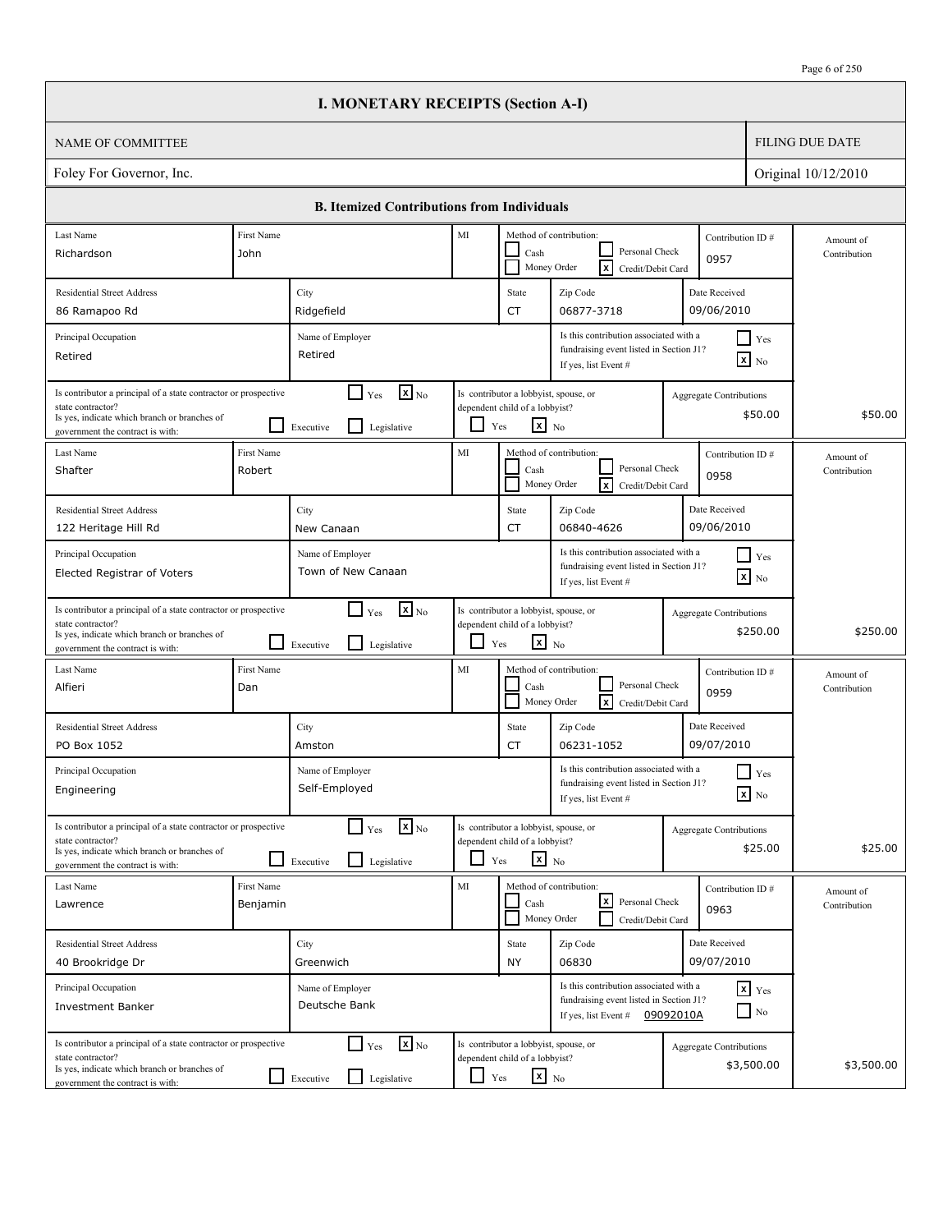| Page 6 of 250 |
|---------------|
|---------------|

|                                                                                                                                                                          |                        | <b>I. MONETARY RECEIPTS (Section A-I)</b>                                 |                                                                                                                                      |                                                                                            |                                                                                                                        |                                |                                       |                           |
|--------------------------------------------------------------------------------------------------------------------------------------------------------------------------|------------------------|---------------------------------------------------------------------------|--------------------------------------------------------------------------------------------------------------------------------------|--------------------------------------------------------------------------------------------|------------------------------------------------------------------------------------------------------------------------|--------------------------------|---------------------------------------|---------------------------|
| <b>NAME OF COMMITTEE</b>                                                                                                                                                 |                        |                                                                           |                                                                                                                                      |                                                                                            |                                                                                                                        |                                |                                       | <b>FILING DUE DATE</b>    |
| Foley For Governor, Inc.                                                                                                                                                 |                        |                                                                           |                                                                                                                                      |                                                                                            |                                                                                                                        |                                |                                       | Original 10/12/2010       |
|                                                                                                                                                                          |                        | <b>B. Itemized Contributions from Individuals</b>                         |                                                                                                                                      |                                                                                            |                                                                                                                        |                                |                                       |                           |
| Last Name<br>Richardson                                                                                                                                                  | First Name<br>John     |                                                                           | $\rm MI$<br>Method of contribution:<br>Personal Check<br>Cash<br>0957<br>$\overline{\mathbf{x}}$<br>Money Order<br>Credit/Debit Card |                                                                                            |                                                                                                                        | Contribution ID#               | Amount of<br>Contribution             |                           |
| <b>Residential Street Address</b><br>86 Ramapoo Rd                                                                                                                       |                        | City<br>Ridgefield                                                        |                                                                                                                                      | State<br><b>CT</b>                                                                         | Zip Code<br>06877-3718                                                                                                 | Date Received<br>09/06/2010    |                                       |                           |
| Principal Occupation<br>Retired                                                                                                                                          |                        | Name of Employer<br>Retired                                               |                                                                                                                                      |                                                                                            | Is this contribution associated with a<br>fundraising event listed in Section J1?<br>If yes, list Event #              |                                | $\Box$ Yes<br>$\boxed{\mathbf{x}}$ No |                           |
| Is contributor a principal of a state contractor or prospective<br>state contractor?<br>Is yes, indicate which branch or branches of<br>government the contract is with: |                        | $\mathbf{x}$ <sub>No</sub><br>$\Box$ Yes<br>Legislative<br>Executive      | ப                                                                                                                                    | Is contributor a lobbyist, spouse, or<br>dependent child of a lobbyist?<br>$X_{N0}$<br>Yes |                                                                                                                        | <b>Aggregate Contributions</b> | \$50.00                               | \$50.00                   |
| Last Name<br>Shafter                                                                                                                                                     | First Name<br>Robert   |                                                                           | MI                                                                                                                                   | Cash                                                                                       | Method of contribution:<br>Personal Check<br>Ιx<br>Money Order<br>Credit/Debit Card                                    | 0958                           | Contribution ID#                      | Amount of<br>Contribution |
| <b>Residential Street Address</b><br>122 Heritage Hill Rd                                                                                                                |                        | City<br>New Canaan                                                        |                                                                                                                                      | State<br><b>CT</b>                                                                         | Zip Code<br>06840-4626                                                                                                 | Date Received<br>09/06/2010    |                                       |                           |
| Principal Occupation<br>Elected Registrar of Voters                                                                                                                      |                        | Name of Employer<br>Town of New Canaan                                    |                                                                                                                                      |                                                                                            | Is this contribution associated with a<br>fundraising event listed in Section J1?<br>If yes, list Event #              |                                | Yes<br>$\mathbf{x}$ No                |                           |
| Is contributor a principal of a state contractor or prospective<br>state contractor?<br>Is yes, indicate which branch or branches of<br>government the contract is with: |                        | $\mathbf{x}$ <sub>No</sub><br>$\Box$ Yes<br>Legislative<br>Executive      | ப                                                                                                                                    | Is contributor a lobbyist, spouse, or<br>dependent child of a lobbyist?<br>$x_{N0}$<br>Yes |                                                                                                                        | <b>Aggregate Contributions</b> | \$250.00                              | \$250.00                  |
| Last Name<br>Alfieri                                                                                                                                                     | First Name<br>Dan      |                                                                           | MI                                                                                                                                   | Cash                                                                                       | Method of contribution:<br>Personal Check<br> x<br>Money Order<br>Credit/Debit Card                                    | 0959                           | Contribution ID#                      | Amount of<br>Contribution |
| <b>Residential Street Address</b><br>PO Box 1052                                                                                                                         |                        | City<br>Amston                                                            |                                                                                                                                      | State<br>CT                                                                                | Zip Code<br>06231-1052                                                                                                 | Date Received<br>09/07/2010    |                                       |                           |
| Principal Occupation<br>Engineering                                                                                                                                      |                        | Name of Employer<br>Self-Employed                                         |                                                                                                                                      |                                                                                            | Is this contribution associated with a<br>fundraising event listed in Section J1?<br>If yes, list Event #              |                                | $\Box$ Yes<br>$\boxed{\mathbf{x}}$ No |                           |
| Is contributor a principal of a state contractor or prospective<br>state contractor?<br>Is yes, indicate which branch or branches of<br>government the contract is with: |                        | $\Box$ Yes<br>$\mathbf{X}_{\text{No}}$<br>Legislative<br>Executive        |                                                                                                                                      | Is contributor a lobbyist, spouse, or<br>dependent child of a lobbyist?<br>$X$ No<br>Yes   |                                                                                                                        | Aggregate Contributions        | \$25.00                               | \$25.00                   |
| Last Name<br>Lawrence                                                                                                                                                    | First Name<br>Benjamin |                                                                           | MI                                                                                                                                   | Cash                                                                                       | Method of contribution:<br> x <br>Personal Check<br>Money Order<br>Credit/Debit Card                                   | 0963                           | Contribution ID#                      | Amount of<br>Contribution |
| <b>Residential Street Address</b><br>40 Brookridge Dr                                                                                                                    |                        | City<br>Greenwich                                                         |                                                                                                                                      | State<br><b>NY</b>                                                                         | Zip Code<br>06830                                                                                                      | Date Received<br>09/07/2010    |                                       |                           |
| Principal Occupation<br><b>Investment Banker</b>                                                                                                                         |                        | Name of Employer<br>Deutsche Bank                                         |                                                                                                                                      |                                                                                            | Is this contribution associated with a<br>fundraising event listed in Section J1?<br>If yes, list Event $\#$ 09092010A |                                | $x$ $y$ <sub>es</sub><br>$\Box$ No    |                           |
| Is contributor a principal of a state contractor or prospective<br>state contractor?<br>Is yes, indicate which branch or branches of<br>government the contract is with: |                        | $\mathbf{X}_{\text{No}}$<br>$\Box$ Yes<br>Legislative<br>$\Box$ Executive | $\Box$ Yes                                                                                                                           | Is contributor a lobbyist, spouse, or<br>dependent child of a lobbyist?<br>$x_{N0}$        |                                                                                                                        | Aggregate Contributions        | \$3,500.00                            | \$3,500.00                |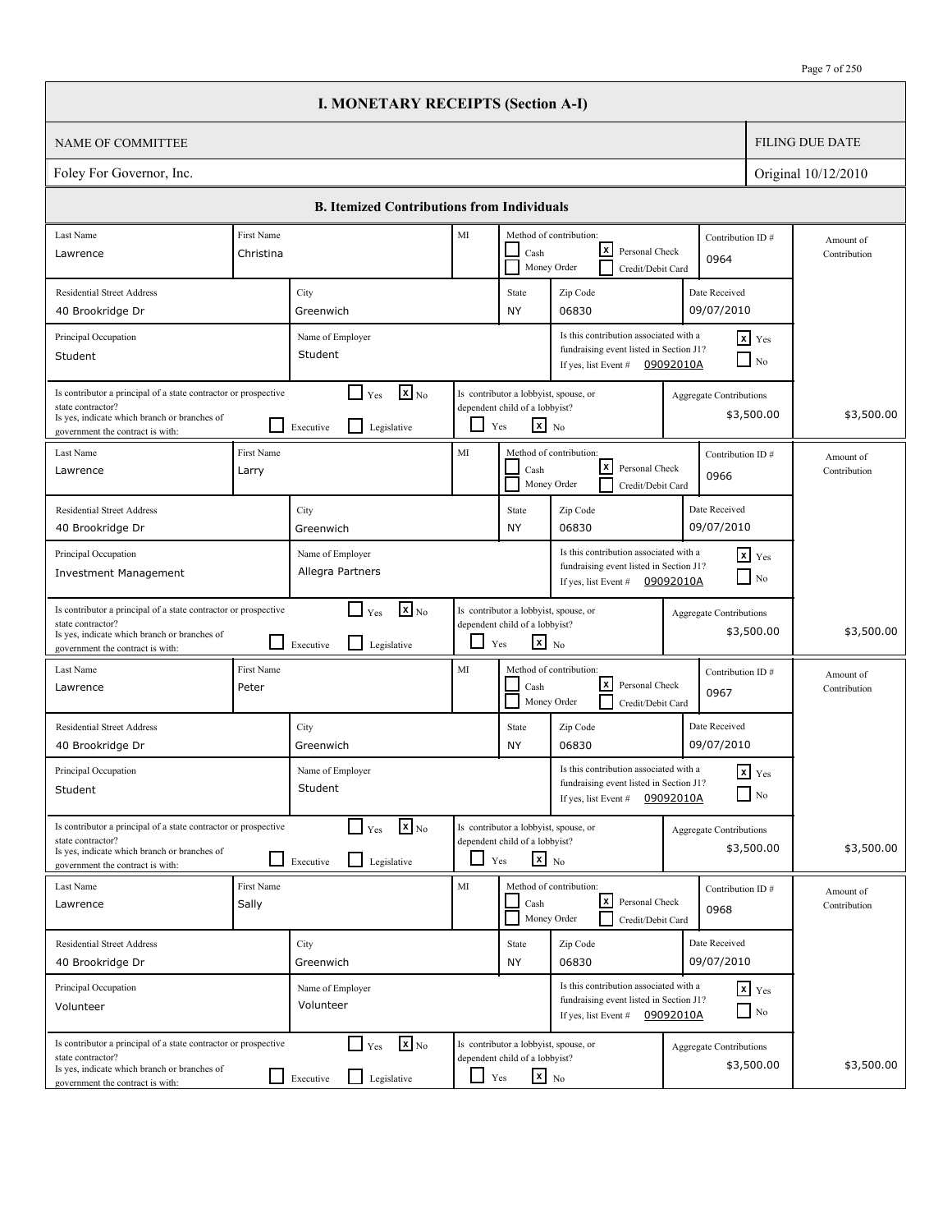. I

|                                                                                                                                                                                                                                                  |            | <b>I. MONETARY RECEIPTS (Section A-I)</b>                                              |                                                                                                                                      |                                                                                                   |                                                                                                                        |           |                                              |                           |
|--------------------------------------------------------------------------------------------------------------------------------------------------------------------------------------------------------------------------------------------------|------------|----------------------------------------------------------------------------------------|--------------------------------------------------------------------------------------------------------------------------------------|---------------------------------------------------------------------------------------------------|------------------------------------------------------------------------------------------------------------------------|-----------|----------------------------------------------|---------------------------|
| NAME OF COMMITTEE                                                                                                                                                                                                                                |            |                                                                                        |                                                                                                                                      |                                                                                                   |                                                                                                                        |           |                                              | <b>FILING DUE DATE</b>    |
| Foley For Governor, Inc.                                                                                                                                                                                                                         |            |                                                                                        |                                                                                                                                      |                                                                                                   |                                                                                                                        |           |                                              | Original 10/12/2010       |
|                                                                                                                                                                                                                                                  |            | <b>B. Itemized Contributions from Individuals</b>                                      |                                                                                                                                      |                                                                                                   |                                                                                                                        |           |                                              |                           |
| Last Name                                                                                                                                                                                                                                        | First Name |                                                                                        | MI                                                                                                                                   |                                                                                                   | Method of contribution:                                                                                                |           | Contribution ID#                             | Amount of                 |
| Lawrence                                                                                                                                                                                                                                         | Christina  |                                                                                        |                                                                                                                                      | Cash<br>Money Order                                                                               | lxl<br>Personal Check<br>Credit/Debit Card                                                                             |           | 0964                                         | Contribution              |
| <b>Residential Street Address</b>                                                                                                                                                                                                                |            | City                                                                                   |                                                                                                                                      | State                                                                                             | Zip Code                                                                                                               |           | Date Received                                |                           |
| 40 Brookridge Dr                                                                                                                                                                                                                                 |            | Greenwich                                                                              |                                                                                                                                      | NY                                                                                                | 06830                                                                                                                  |           | 09/07/2010                                   |                           |
| Principal Occupation<br>Student                                                                                                                                                                                                                  |            | Name of Employer<br>Student                                                            |                                                                                                                                      |                                                                                                   | Is this contribution associated with a<br>fundraising event listed in Section J1?<br>If yes, list Event # $09092010A$  |           | $x$ Yes<br>$\Box$ No                         |                           |
| Is contributor a principal of a state contractor or prospective<br>state contractor?<br>Is yes, indicate which branch or branches of<br>government the contract is with:                                                                         |            | $\mathbf{X}$ <sub>No</sub><br>$\blacksquare$<br>Yes<br>l 1<br>Legislative<br>Executive |                                                                                                                                      | Is contributor a lobbyist, spouse, or<br>dependent child of a lobbyist?<br>$x_{N0}$<br>Yes        |                                                                                                                        |           | <b>Aggregate Contributions</b><br>\$3,500.00 | \$3,500.00                |
| Last Name<br>Lawrence<br>Larry                                                                                                                                                                                                                   | First Name |                                                                                        | MI                                                                                                                                   | Cash<br>Money Order                                                                               | Method of contribution:<br>lxI<br>Personal Check<br>Credit/Debit Card                                                  |           | Contribution ID#<br>0966                     | Amount of<br>Contribution |
| <b>Residential Street Address</b>                                                                                                                                                                                                                |            | City                                                                                   |                                                                                                                                      | State                                                                                             | Zip Code                                                                                                               |           | Date Received                                |                           |
| 40 Brookridge Dr                                                                                                                                                                                                                                 |            | Greenwich                                                                              |                                                                                                                                      | NY                                                                                                | 06830                                                                                                                  |           | 09/07/2010                                   |                           |
| Principal Occupation<br><b>Investment Management</b>                                                                                                                                                                                             |            | Name of Employer<br>Allegra Partners                                                   |                                                                                                                                      |                                                                                                   | Is this contribution associated with a<br>fundraising event listed in Section J1?<br>If yes, list Event #              | 09092010A | $\mathbf{x}$ Yes<br>$\Box$ No                |                           |
| Is contributor a principal of a state contractor or prospective<br>state contractor?<br>Is yes, indicate which branch or branches of<br>government the contract is with:                                                                         |            | $\mathbf{x}$ <sub>No</sub><br>$\Box$ Yes<br>l 1<br>Legislative<br>Executive            | $\Box$                                                                                                                               | Is contributor a lobbyist, spouse, or<br>dependent child of a lobbyist?<br>$\mathbf{x}$ No<br>Yes |                                                                                                                        |           | <b>Aggregate Contributions</b><br>\$3,500.00 | \$3,500.00                |
| Last Name<br>Peter<br>Lawrence                                                                                                                                                                                                                   | First Name |                                                                                        | MI                                                                                                                                   | Cash<br>Money Order                                                                               | Method of contribution:<br>lxI<br>Personal Check<br>Credit/Debit Card                                                  |           | Contribution ID#<br>0967                     | Amount of<br>Contribution |
| <b>Residential Street Address</b><br>40 Brookridge Dr                                                                                                                                                                                            |            | City<br>Greenwich                                                                      |                                                                                                                                      | State<br>NY                                                                                       | Zip Code<br>06830                                                                                                      |           | Date Received<br>09/07/2010                  |                           |
| Principal Occupation<br>Student                                                                                                                                                                                                                  |            | Name of Employer<br>Student                                                            |                                                                                                                                      |                                                                                                   | Is this contribution associated with a<br>fundraising event listed in Section J1?<br>If yes, list Event #              | 09092010A | $x$ $Yes$<br>$\hfill\Box$ No                 |                           |
| $\mathbf{X}$ <sub>No</sub><br>Is contributor a principal of a state contractor or prospective<br>$\Box$ Yes<br>state contractor?<br>Is yes, indicate which branch or branches of<br>Legislative<br>Executive<br>government the contract is with: |            |                                                                                        | Is contributor a lobbyist, spouse, or<br>dependent child of a lobbyist?<br>$\mathbf{x}$ No<br>ப<br>Yes                               |                                                                                                   |                                                                                                                        |           | <b>Aggregate Contributions</b><br>\$3,500.00 | \$3,500.00                |
| Last Name<br>Sally<br>Lawrence                                                                                                                                                                                                                   | First Name |                                                                                        | MI<br>Method of contribution:<br>Contribution ID#<br><u> x</u><br>Personal Check<br>Cash<br>0968<br>Money Order<br>Credit/Debit Card |                                                                                                   |                                                                                                                        |           |                                              | Amount of<br>Contribution |
| <b>Residential Street Address</b>                                                                                                                                                                                                                |            | City                                                                                   |                                                                                                                                      | State                                                                                             | Zip Code                                                                                                               |           | Date Received                                |                           |
| 40 Brookridge Dr                                                                                                                                                                                                                                 |            | Greenwich                                                                              |                                                                                                                                      | NY                                                                                                | 06830                                                                                                                  |           | 09/07/2010                                   |                           |
| Principal Occupation<br>Volunteer                                                                                                                                                                                                                |            | Name of Employer<br>Volunteer                                                          |                                                                                                                                      |                                                                                                   | Is this contribution associated with a<br>fundraising event listed in Section J1?<br>If yes, list Event $\#$ 09092010A |           | $\mathbf{x}$ Yes<br>$\Box$ No                |                           |
| Is contributor a principal of a state contractor or prospective<br>state contractor?<br>Is yes, indicate which branch or branches of<br>government the contract is with:                                                                         |            | $\mathbf{X}$ <sub>No</sub><br>$\Box$ Yes<br>□<br>Legislative<br>Executive              | $\Box$                                                                                                                               | Is contributor a lobbyist, spouse, or<br>dependent child of a lobbyist?<br>$\mathbf{x}$ No<br>Yes |                                                                                                                        |           | <b>Aggregate Contributions</b><br>\$3,500.00 | \$3,500.00                |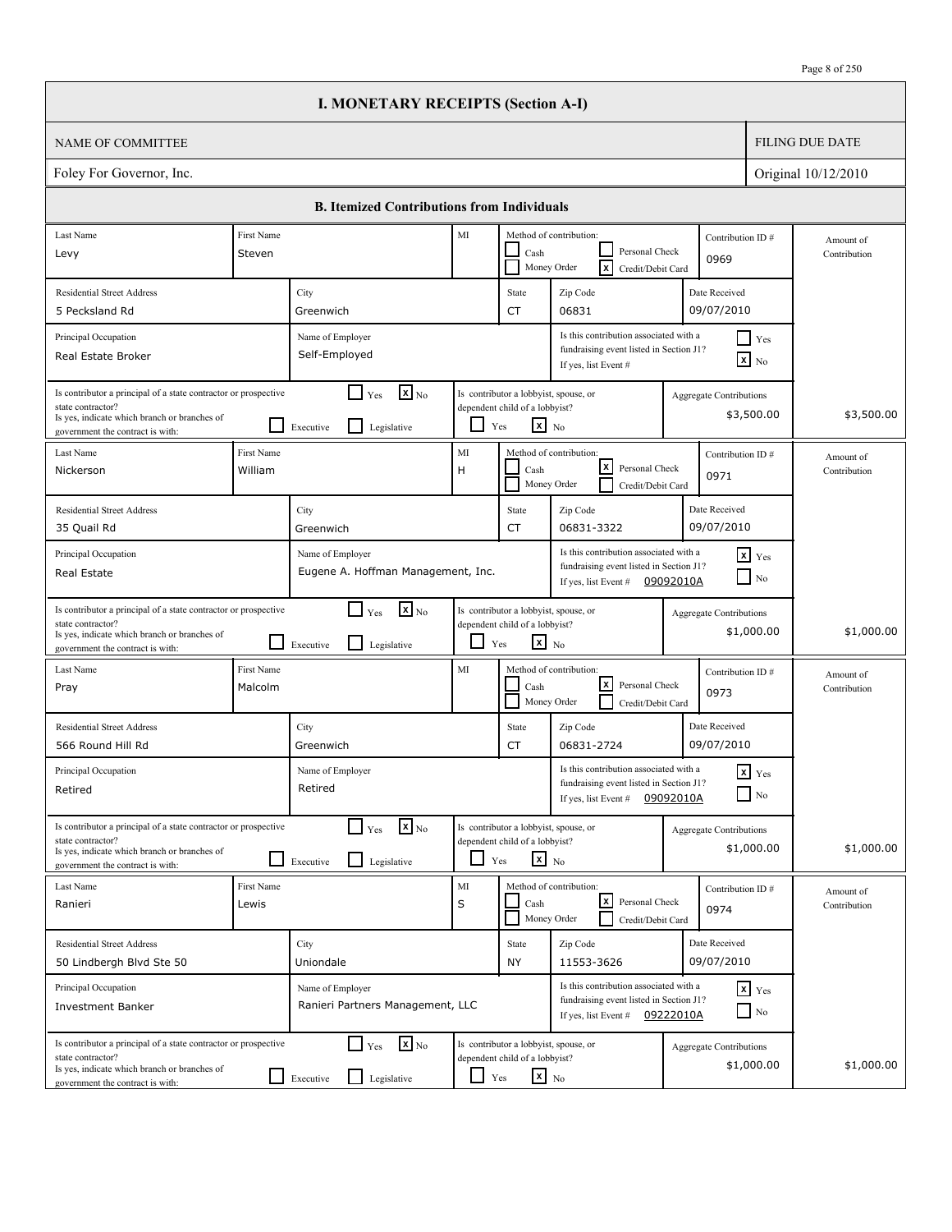. I

|                                                                                                                                                                          |                       | <b>I. MONETARY RECEIPTS (Section A-I)</b>                                   |                          |                                                                                                   |                                                                                                                       |           |                                              |                           |
|--------------------------------------------------------------------------------------------------------------------------------------------------------------------------|-----------------------|-----------------------------------------------------------------------------|--------------------------|---------------------------------------------------------------------------------------------------|-----------------------------------------------------------------------------------------------------------------------|-----------|----------------------------------------------|---------------------------|
| <b>NAME OF COMMITTEE</b>                                                                                                                                                 |                       |                                                                             |                          |                                                                                                   |                                                                                                                       |           |                                              | <b>FILING DUE DATE</b>    |
| Foley For Governor, Inc.                                                                                                                                                 |                       |                                                                             |                          |                                                                                                   |                                                                                                                       |           |                                              | Original 10/12/2010       |
|                                                                                                                                                                          |                       | <b>B. Itemized Contributions from Individuals</b>                           |                          |                                                                                                   |                                                                                                                       |           |                                              |                           |
| Last Name                                                                                                                                                                | First Name            |                                                                             | MI                       |                                                                                                   | Method of contribution:                                                                                               |           | Contribution ID#                             | Amount of                 |
| Levy                                                                                                                                                                     | Steven                |                                                                             |                          | Cash<br>Money Order                                                                               | Personal Check<br>Γx<br>Credit/Debit Card                                                                             |           | 0969                                         | Contribution              |
| <b>Residential Street Address</b>                                                                                                                                        |                       | City                                                                        |                          | State                                                                                             | Zip Code                                                                                                              |           | Date Received                                |                           |
| 5 Pecksland Rd                                                                                                                                                           |                       | Greenwich                                                                   |                          | CT                                                                                                | 06831                                                                                                                 |           | 09/07/2010                                   |                           |
| Principal Occupation<br>Real Estate Broker                                                                                                                               |                       | Name of Employer<br>Self-Employed                                           |                          |                                                                                                   | Is this contribution associated with a<br>fundraising event listed in Section J1?<br>If yes, list Event #             |           | $\Box$ Yes<br>$\mathbf{X}$ No                |                           |
| Is contributor a principal of a state contractor or prospective<br>state contractor?<br>Is yes, indicate which branch or branches of<br>government the contract is with: |                       | $\mathbf{X}_{\text{No}}$<br>$\Box$ Yes<br>l 1<br>Legislative<br>Executive   |                          | Is contributor a lobbyist, spouse, or<br>dependent child of a lobbyist?<br>$\mathbf{x}$ No<br>Yes |                                                                                                                       |           | Aggregate Contributions<br>\$3,500.00        | \$3,500.00                |
| Last Name<br>Nickerson                                                                                                                                                   | First Name<br>William |                                                                             | $\rm MI$<br>H            | Cash<br>Money Order                                                                               | Method of contribution:<br>lxl<br>Personal Check<br>Credit/Debit Card                                                 |           | Contribution ID#<br>0971                     | Amount of<br>Contribution |
| <b>Residential Street Address</b><br>35 Quail Rd                                                                                                                         |                       | City<br>Greenwich                                                           |                          | State<br>CT                                                                                       | Zip Code<br>06831-3322                                                                                                |           | Date Received<br>09/07/2010                  |                           |
| Principal Occupation<br>Real Estate                                                                                                                                      |                       | Name of Employer<br>Eugene A. Hoffman Management, Inc.                      |                          |                                                                                                   | Is this contribution associated with a<br>fundraising event listed in Section J1?<br>If yes, list Event #             | 09092010A | $x$ Yes<br>$\Box$ No                         |                           |
| Is contributor a principal of a state contractor or prospective<br>state contractor?<br>Is yes, indicate which branch or branches of<br>government the contract is with: | $\Box$                | $\mathbf{x}$ <sub>No</sub><br>$\Box$ Yes<br>l 1<br>Legislative<br>Executive | $\overline{\phantom{0}}$ | Is contributor a lobbyist, spouse, or<br>dependent child of a lobbyist?<br>$x_{N0}$<br>Yes        |                                                                                                                       |           | Aggregate Contributions<br>\$1,000.00        | \$1,000.00                |
| Last Name<br>Pray                                                                                                                                                        | First Name<br>Malcolm |                                                                             | MI                       | Cash<br>Money Order                                                                               | Method of contribution:<br>lxl<br>Personal Check<br>Credit/Debit Card                                                 |           | Contribution ID#<br>0973                     | Amount of<br>Contribution |
| <b>Residential Street Address</b><br>566 Round Hill Rd                                                                                                                   |                       | City<br>Greenwich                                                           |                          | State<br>CT                                                                                       | Zip Code<br>06831-2724                                                                                                |           | Date Received<br>09/07/2010                  |                           |
| Principal Occupation<br>Retired                                                                                                                                          |                       | Name of Employer<br>Retired                                                 |                          |                                                                                                   | Is this contribution associated with a<br>fundraising event listed in Section J1?<br>If yes, list Event #             | 09092010A | $x$ $Yes$<br>$\Box$ No                       |                           |
| Is contributor a principal of a state contractor or prospective<br>state contractor?<br>Is yes, indicate which branch or branches of<br>government the contract is with: |                       | $\mathbf{X}$ <sub>No</sub><br>$\Gamma$ Yes<br>Legislative<br>Executive      | ப                        | Is contributor a lobbyist, spouse, or<br>dependent child of a lobbyist?<br>$x_{N0}$<br>Yes        |                                                                                                                       |           | <b>Aggregate Contributions</b><br>\$1,000.00 | \$1,000.00                |
| Last Name<br>Ranieri                                                                                                                                                     | First Name<br>Lewis   |                                                                             | MI<br>S                  | Cash                                                                                              | Method of contribution:<br>كا<br>Personal Check<br>Money Order<br>Credit/Debit Card                                   |           | Contribution ID#<br>0974                     | Amount of<br>Contribution |
| <b>Residential Street Address</b><br>50 Lindbergh Blvd Ste 50                                                                                                            |                       | City<br>Uniondale                                                           |                          | State<br><b>NY</b>                                                                                | Zip Code<br>11553-3626                                                                                                |           | Date Received<br>09/07/2010                  |                           |
| Principal Occupation<br><b>Investment Banker</b>                                                                                                                         |                       | Name of Employer<br>Ranieri Partners Management, LLC                        |                          |                                                                                                   | Is this contribution associated with a<br>fundraising event listed in Section J1?<br>If yes, list Event # $09222010A$ |           | $\mathbf{x}$ Yes<br>$\Box$ No                |                           |
| Is contributor a principal of a state contractor or prospective<br>state contractor?<br>Is yes, indicate which branch or branches of<br>government the contract is with: |                       | $\mathbf{x}$ <sub>No</sub><br>$\Box$ Yes<br>Legislative<br>Executive        | $\Box$                   | Is contributor a lobbyist, spouse, or<br>dependent child of a lobbyist?<br>$\mathbf{x}$ No<br>Yes |                                                                                                                       |           | <b>Aggregate Contributions</b><br>\$1,000.00 | \$1,000.00                |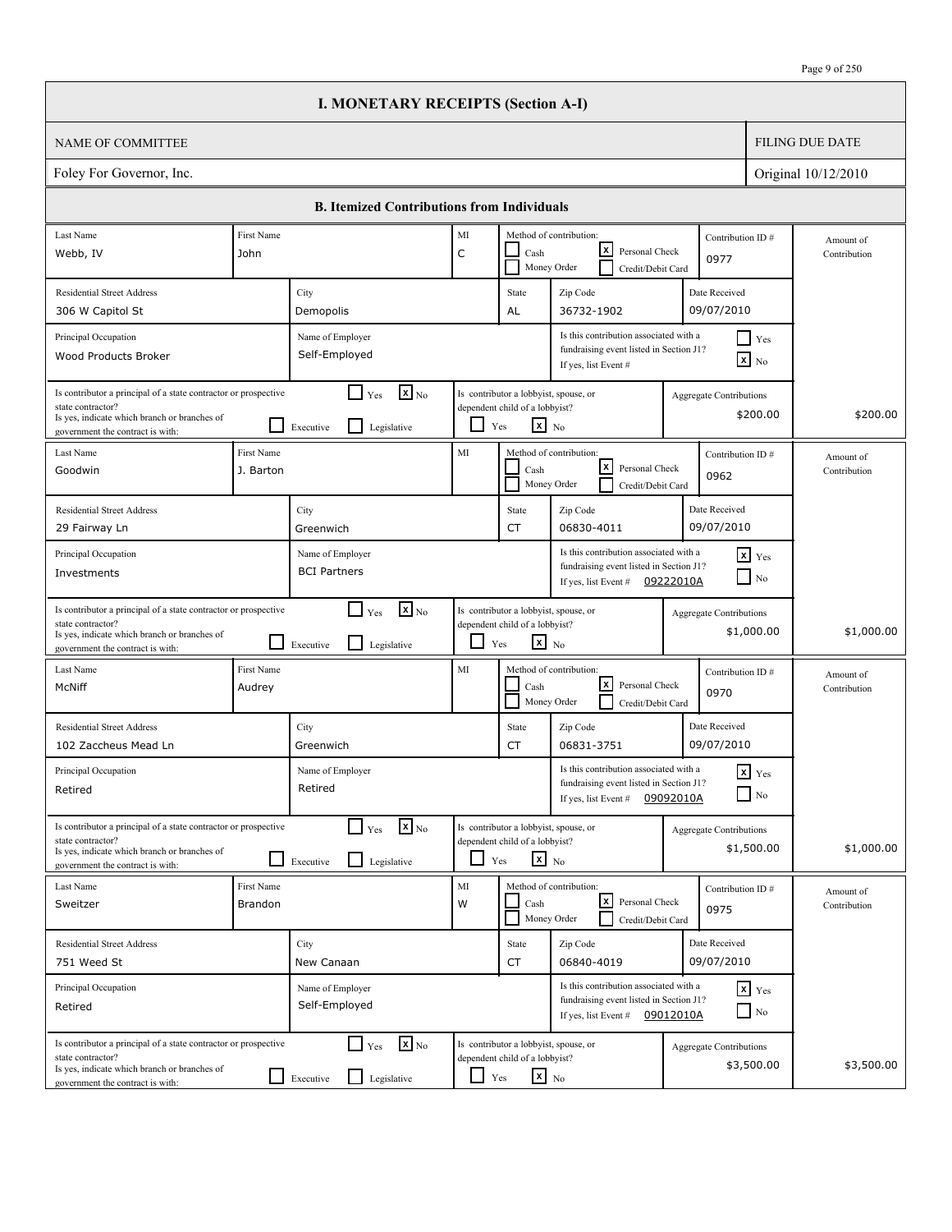|                                                                                                                                                                          |                              | <b>I. MONETARY RECEIPTS (Section A-I)</b>                                                |             |                                                                                                   |                                                                                                                        |                                |                                       |                           |
|--------------------------------------------------------------------------------------------------------------------------------------------------------------------------|------------------------------|------------------------------------------------------------------------------------------|-------------|---------------------------------------------------------------------------------------------------|------------------------------------------------------------------------------------------------------------------------|--------------------------------|---------------------------------------|---------------------------|
| <b>NAME OF COMMITTEE</b>                                                                                                                                                 |                              |                                                                                          |             |                                                                                                   |                                                                                                                        |                                |                                       | <b>FILING DUE DATE</b>    |
| Foley For Governor, Inc.                                                                                                                                                 |                              |                                                                                          |             |                                                                                                   |                                                                                                                        |                                |                                       | Original 10/12/2010       |
|                                                                                                                                                                          |                              | <b>B. Itemized Contributions from Individuals</b>                                        |             |                                                                                                   |                                                                                                                        |                                |                                       |                           |
| Last Name                                                                                                                                                                | First Name                   |                                                                                          | $\rm MI$    |                                                                                                   | Method of contribution:                                                                                                |                                | Contribution ID#                      | Amount of                 |
| Webb, IV                                                                                                                                                                 | John                         |                                                                                          | $\mathsf C$ | Cash                                                                                              | x <br>Personal Check<br>Money Order<br>Credit/Debit Card                                                               | 0977                           |                                       | Contribution              |
| <b>Residential Street Address</b><br>306 W Capitol St                                                                                                                    |                              | City<br>Demopolis                                                                        |             | State<br>AL                                                                                       | Zip Code<br>36732-1902                                                                                                 | Date Received<br>09/07/2010    |                                       |                           |
| Principal Occupation<br>Wood Products Broker                                                                                                                             |                              | Name of Employer<br>Self-Employed                                                        |             |                                                                                                   | Is this contribution associated with a<br>fundraising event listed in Section J1?<br>If yes, list Event #              |                                | $\Box$ Yes<br>$\boxed{\mathbf{x}}$ No |                           |
| Is contributor a principal of a state contractor or prospective<br>state contractor?<br>Is yes, indicate which branch or branches of<br>government the contract is with: |                              | $\mathbf{x}$ <sub>No</sub><br>$\Box$ Yes<br>Legislative<br>Executive                     | ப           | Is contributor a lobbyist, spouse, or<br>dependent child of a lobbyist?<br>$\mathbf{x}$ No<br>Yes |                                                                                                                        | <b>Aggregate Contributions</b> | \$200.00                              | \$200.00                  |
| Last Name<br>Goodwin                                                                                                                                                     | First Name<br>J. Barton      |                                                                                          | MI          | Cash                                                                                              | Method of contribution:<br> x <br>Personal Check<br>Money Order<br>Credit/Debit Card                                   | 0962                           | Contribution ID#                      | Amount of<br>Contribution |
| <b>Residential Street Address</b><br>29 Fairway Ln                                                                                                                       |                              | City<br>Greenwich                                                                        |             | State<br><b>CT</b>                                                                                | Zip Code<br>06830-4011                                                                                                 | Date Received<br>09/07/2010    |                                       |                           |
| Principal Occupation<br>Investments                                                                                                                                      |                              | Name of Employer<br><b>BCI Partners</b>                                                  |             |                                                                                                   | Is this contribution associated with a<br>fundraising event listed in Section J1?<br>If yes, list Event # $09222010A$  |                                | $x$ $Yes$<br>$\Box$ No                |                           |
| Is contributor a principal of a state contractor or prospective<br>state contractor?<br>Is yes, indicate which branch or branches of<br>government the contract is with: |                              | $\mathbf{X}_{\text{No}}$<br>$\Box$ Yes<br>Legislative<br>Executive                       | ப           | Is contributor a lobbyist, spouse, or<br>dependent child of a lobbyist?<br>$x_{N0}$<br>Yes        |                                                                                                                        | <b>Aggregate Contributions</b> | \$1,000.00                            | \$1,000.00                |
| Last Name<br>McNiff                                                                                                                                                      | First Name<br>Audrey         |                                                                                          | MI          | Cash                                                                                              | Method of contribution:<br> x <br>Personal Check<br>Money Order<br>Credit/Debit Card                                   | 0970                           | Contribution ID#                      | Amount of<br>Contribution |
| <b>Residential Street Address</b><br>102 Zaccheus Mead Ln                                                                                                                |                              | City<br>Greenwich                                                                        |             | State<br>CT                                                                                       | Zip Code<br>06831-3751                                                                                                 | Date Received<br>09/07/2010    |                                       |                           |
| Principal Occupation<br>Retired                                                                                                                                          |                              | Name of Employer<br>Retired                                                              |             |                                                                                                   | Is this contribution associated with a<br>fundraising event listed in Section J1?<br>If yes, list Event #              | 09092010A                      | $x$ $Y$ es<br>$\Box$ No               |                           |
| Is contributor a principal of a state contractor or prospective<br>state contractor?<br>Is yes, indicate which branch or branches of<br>government the contract is with: |                              | $\mathbf{X}_{\text{No}}$<br>$\Box$ Yes<br>Legislative<br>Executive                       |             | Is contributor a lobbyist, spouse, or<br>dependent child of a lobbyist?<br>$\mathbf{x}$ No<br>Yes |                                                                                                                        | Aggregate Contributions        | \$1,500.00                            | \$1,000.00                |
| Last Name<br>Sweitzer                                                                                                                                                    | First Name<br><b>Brandon</b> |                                                                                          | MI<br>W     | Cash                                                                                              | Method of contribution:<br> x <br>Personal Check<br>Money Order<br>Credit/Debit Card                                   | 0975                           | Contribution ID#                      | Amount of<br>Contribution |
| <b>Residential Street Address</b><br>751 Weed St                                                                                                                         |                              | City<br>New Canaan                                                                       |             | State<br>CT                                                                                       | Zip Code<br>06840-4019                                                                                                 | Date Received<br>09/07/2010    |                                       |                           |
| Principal Occupation<br>Retired                                                                                                                                          |                              | Name of Employer<br>Self-Employed                                                        |             |                                                                                                   | Is this contribution associated with a<br>fundraising event listed in Section J1?<br>If yes, list Event $\#$ 09012010A |                                | $x$ $y$ <sub>es</sub><br>$\Box$ No    |                           |
| Is contributor a principal of a state contractor or prospective<br>state contractor?<br>Is yes, indicate which branch or branches of<br>government the contract is with: |                              | $\mathbf{X}_{\text{No}}$<br>$\Box$ Yes<br>$\boxed{\phantom{1}}$ Executive<br>Legislative | $\Box$ Yes  | Is contributor a lobbyist, spouse, or<br>dependent child of a lobbyist?<br>$x_{N0}$               |                                                                                                                        | Aggregate Contributions        | \$3,500.00                            | \$3,500.00                |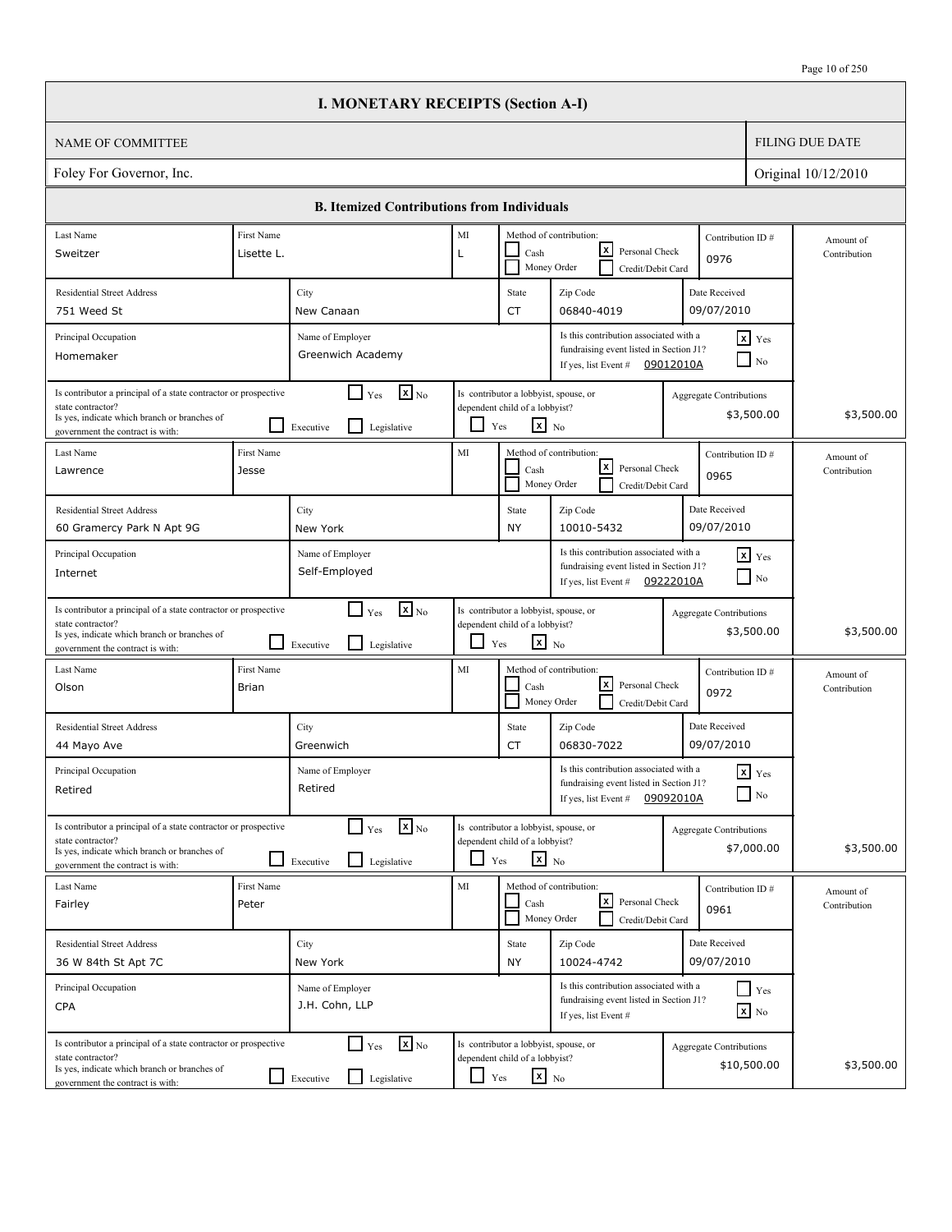|                                                                                                                                                                          |                            | <b>I. MONETARY RECEIPTS (Section A-I)</b>                            |                          |                                                                                                   |                                                                                                                        |           |                                              |                           |  |
|--------------------------------------------------------------------------------------------------------------------------------------------------------------------------|----------------------------|----------------------------------------------------------------------|--------------------------|---------------------------------------------------------------------------------------------------|------------------------------------------------------------------------------------------------------------------------|-----------|----------------------------------------------|---------------------------|--|
| <b>NAME OF COMMITTEE</b>                                                                                                                                                 |                            |                                                                      |                          |                                                                                                   |                                                                                                                        |           |                                              | <b>FILING DUE DATE</b>    |  |
| Foley For Governor, Inc.<br>Original 10/12/2010                                                                                                                          |                            |                                                                      |                          |                                                                                                   |                                                                                                                        |           |                                              |                           |  |
|                                                                                                                                                                          |                            | <b>B. Itemized Contributions from Individuals</b>                    |                          |                                                                                                   |                                                                                                                        |           |                                              |                           |  |
| Last Name                                                                                                                                                                | First Name                 |                                                                      | MI                       |                                                                                                   | Method of contribution:                                                                                                |           | Contribution ID#                             | Amount of                 |  |
| Sweitzer                                                                                                                                                                 | Lisette L.                 |                                                                      | L                        | Cash                                                                                              | x <br>Personal Check<br>Money Order<br>Credit/Debit Card                                                               |           | 0976                                         | Contribution              |  |
| <b>Residential Street Address</b>                                                                                                                                        |                            | City                                                                 |                          | State                                                                                             | Zip Code                                                                                                               |           | Date Received                                |                           |  |
| 751 Weed St                                                                                                                                                              |                            | New Canaan                                                           |                          | CT                                                                                                | 06840-4019                                                                                                             |           | 09/07/2010                                   |                           |  |
| Principal Occupation<br>Homemaker                                                                                                                                        |                            | Name of Employer<br>Greenwich Academy                                |                          |                                                                                                   | Is this contribution associated with a<br>fundraising event listed in Section J1?<br>If yes, list Event $\#$ 09012010A |           | $x$ $Yes$<br>$\Box$ No                       |                           |  |
| Is contributor a principal of a state contractor or prospective<br>state contractor?<br>Is yes, indicate which branch or branches of<br>government the contract is with: | ΙI                         | $\mathbf{X}_{\text{No}}$<br>$\Box$ Yes<br>Legislative<br>Executive   | $\overline{\phantom{a}}$ | Is contributor a lobbyist, spouse, or<br>dependent child of a lobbyist?<br>$\mathbf{x}$ No<br>Yes |                                                                                                                        |           | Aggregate Contributions<br>\$3,500.00        | \$3,500.00                |  |
| Last Name<br>Lawrence                                                                                                                                                    | First Name<br>Jesse        |                                                                      | $\rm MI$                 | Cash                                                                                              | Method of contribution:<br>Contribution ID#<br> x <br>Personal Check<br>0965<br>Money Order<br>Credit/Debit Card       |           |                                              | Amount of<br>Contribution |  |
| <b>Residential Street Address</b><br>60 Gramercy Park N Apt 9G                                                                                                           |                            | City<br>New York                                                     |                          | State<br><b>NY</b>                                                                                | Zip Code<br>10010-5432                                                                                                 |           | Date Received<br>09/07/2010                  |                           |  |
| Principal Occupation<br>Internet                                                                                                                                         |                            | Name of Employer<br>Self-Employed                                    |                          |                                                                                                   | Is this contribution associated with a<br>fundraising event listed in Section J1?<br>If yes, list Event #              | 09222010A | $x$ $Y$ es<br>$\overline{\phantom{a}}$ No    |                           |  |
| Is contributor a principal of a state contractor or prospective<br>state contractor?<br>Is yes, indicate which branch or branches of<br>government the contract is with: | ப                          | $\mathbf{X}$ <sub>No</sub><br>$\Box$ Yes<br>Legislative<br>Executive | ப                        | Is contributor a lobbyist, spouse, or<br>dependent child of a lobbyist?<br>$\mathbf{x}$ No<br>Yes |                                                                                                                        |           | <b>Aggregate Contributions</b><br>\$3,500.00 | \$3,500.00                |  |
| Last Name<br>Olson                                                                                                                                                       | First Name<br><b>Brian</b> |                                                                      | MI                       | Cash                                                                                              | Method of contribution:<br> x <br>Personal Check<br>Money Order<br>Credit/Debit Card                                   |           | Contribution ID#<br>0972                     | Amount of<br>Contribution |  |
| <b>Residential Street Address</b><br>44 Mayo Ave                                                                                                                         |                            | City<br>Greenwich                                                    |                          | State<br>CT                                                                                       | Zip Code<br>06830-7022                                                                                                 |           | Date Received<br>09/07/2010                  |                           |  |
| Principal Occupation<br>Retired                                                                                                                                          |                            | Name of Employer<br>Retired                                          |                          |                                                                                                   | Is this contribution associated with a<br>fundraising event listed in Section J1?<br>If yes, list Event #              | 09092010A | $x$ $Y$ es<br>$\Box$ No                      |                           |  |
| Is contributor a principal of a state contractor or prospective<br>state contractor?<br>Is yes, indicate which branch or branches of<br>government the contract is with: | ப                          | $Y_{\text{es}}$ $\overline{X}$ No<br>Legislative<br>Executive        | ப                        | Is contributor a lobbyist, spouse, or<br>dependent child of a lobbyist?<br>$x_{N0}$<br>Yes        |                                                                                                                        |           | <b>Aggregate Contributions</b><br>\$7,000.00 | \$3,500.00                |  |
| Last Name<br>Fairley                                                                                                                                                     | First Name<br>Peter        |                                                                      | $\rm MI$                 | Cash                                                                                              | Method of contribution:<br>Ŀ۷<br>Personal Check<br>Money Order<br>Credit/Debit Card                                    |           | Contribution ID#<br>0961                     | Amount of<br>Contribution |  |
| <b>Residential Street Address</b><br>36 W 84th St Apt 7C                                                                                                                 |                            | City<br>New York                                                     |                          | State<br><b>NY</b>                                                                                | Zip Code<br>10024-4742                                                                                                 |           | Date Received<br>09/07/2010                  |                           |  |
| Principal Occupation<br><b>CPA</b>                                                                                                                                       |                            | Name of Employer<br>J.H. Cohn, LLP                                   |                          |                                                                                                   | Is this contribution associated with a<br>fundraising event listed in Section J1?<br>If yes, list Event #              |           | $\Box$ Yes<br>$\mathbf{X}$ No                |                           |  |
| Is contributor a principal of a state contractor or prospective<br>state contractor?<br>Is yes, indicate which branch or branches of<br>government the contract is with: | - 1                        | $\Box$ Yes<br>$\mathbf{X}$ <sub>No</sub><br>Legislative<br>Executive | ⊔                        | Is contributor a lobbyist, spouse, or<br>dependent child of a lobbyist?<br>$x_{\text{No}}$<br>Yes |                                                                                                                        |           | Aggregate Contributions<br>\$10,500.00       | \$3,500.00                |  |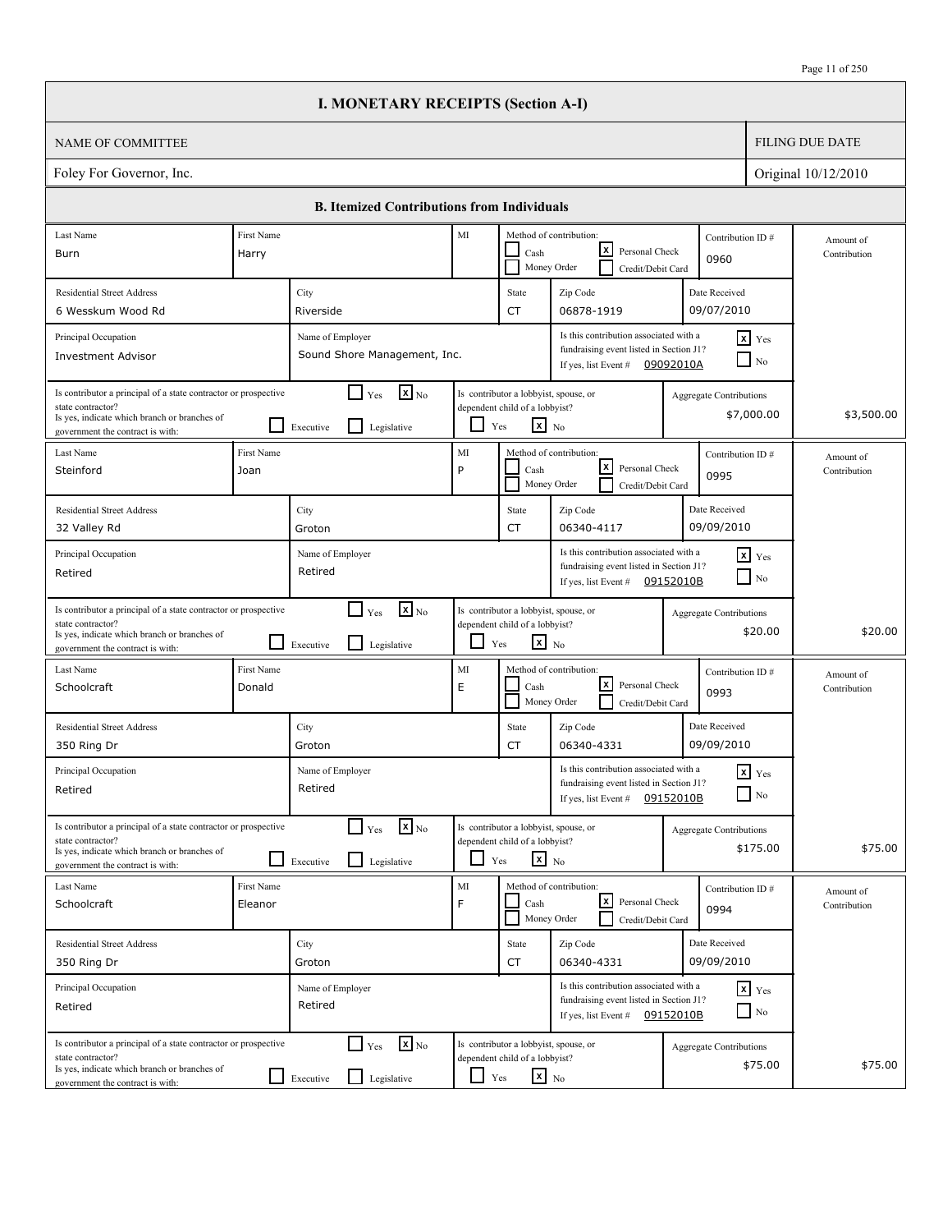|                                                                                                                                                                          |                       | <b>I. MONETARY RECEIPTS (Section A-I)</b>                                      |               |                                                                                                   |                                                                                                                        |                                |                                    |                           |
|--------------------------------------------------------------------------------------------------------------------------------------------------------------------------|-----------------------|--------------------------------------------------------------------------------|---------------|---------------------------------------------------------------------------------------------------|------------------------------------------------------------------------------------------------------------------------|--------------------------------|------------------------------------|---------------------------|
| <b>NAME OF COMMITTEE</b>                                                                                                                                                 |                       |                                                                                |               |                                                                                                   |                                                                                                                        |                                |                                    | <b>FILING DUE DATE</b>    |
| Foley For Governor, Inc.                                                                                                                                                 |                       |                                                                                |               |                                                                                                   |                                                                                                                        |                                |                                    | Original 10/12/2010       |
|                                                                                                                                                                          |                       | <b>B. Itemized Contributions from Individuals</b>                              |               |                                                                                                   |                                                                                                                        |                                |                                    |                           |
| Last Name                                                                                                                                                                | First Name            |                                                                                | MI            |                                                                                                   | Method of contribution:                                                                                                |                                | Contribution ID#                   | Amount of                 |
| Burn                                                                                                                                                                     | Harry                 |                                                                                |               | Cash                                                                                              | lxI<br>Personal Check<br>Money Order<br>Credit/Debit Card                                                              | 0960                           |                                    | Contribution              |
| <b>Residential Street Address</b>                                                                                                                                        |                       | City                                                                           |               | State                                                                                             | Zip Code                                                                                                               | Date Received                  |                                    |                           |
| 6 Wesskum Wood Rd                                                                                                                                                        |                       | Riverside                                                                      |               | <b>CT</b>                                                                                         | 06878-1919                                                                                                             | 09/07/2010                     |                                    |                           |
| Principal Occupation<br><b>Investment Advisor</b>                                                                                                                        |                       | Name of Employer<br>Sound Shore Management, Inc.                               |               |                                                                                                   | Is this contribution associated with a<br>fundraising event listed in Section J1?<br>If yes, list Event #              | 09092010A                      | $x$ Yes<br>N <sub>0</sub>          |                           |
| Is contributor a principal of a state contractor or prospective<br>state contractor?<br>Is yes, indicate which branch or branches of<br>government the contract is with: |                       | $\mathbf{X}$ <sub>No</sub><br>$\Box$ Yes<br>l I<br>Executive<br>Legislative    | ப             | Is contributor a lobbyist, spouse, or<br>dependent child of a lobbyist?<br>$\mathbf{x}$ No<br>Yes |                                                                                                                        | Aggregate Contributions        | \$7,000.00                         | \$3,500.00                |
| Last Name<br>Steinford                                                                                                                                                   | First Name<br>Joan    |                                                                                | MI<br>P       | Cash                                                                                              | Method of contribution:<br>lxI<br>Personal Check<br>Money Order<br>Credit/Debit Card                                   | 0995                           | Contribution ID#                   | Amount of<br>Contribution |
| <b>Residential Street Address</b><br>32 Valley Rd                                                                                                                        |                       | City<br>Groton                                                                 |               | State<br><b>CT</b>                                                                                | Zip Code<br>06340-4117                                                                                                 | Date Received<br>09/09/2010    |                                    |                           |
| Principal Occupation<br>Retired                                                                                                                                          |                       | Name of Employer<br>Retired                                                    |               |                                                                                                   | Is this contribution associated with a<br>fundraising event listed in Section J1?<br>If yes, list Event # $09152010B$  |                                | $x$ $Y$ es<br>$\Box$ No            |                           |
| Is contributor a principal of a state contractor or prospective<br>state contractor?<br>Is yes, indicate which branch or branches of<br>government the contract is with: |                       | $\mathbf{X}$ <sub>No</sub><br>$\Box$ Yes<br>l 1<br>Legislative<br>Executive    | ப             | Is contributor a lobbyist, spouse, or<br>dependent child of a lobbyist?<br>$\mathbf{x}$ No<br>Yes |                                                                                                                        | <b>Aggregate Contributions</b> | \$20.00                            | \$20.00                   |
| Last Name<br>Schoolcraft                                                                                                                                                 | First Name<br>Donald  |                                                                                | MI<br>E       | Cash                                                                                              | Method of contribution:<br>lxl<br>Personal Check<br>Money Order<br>Credit/Debit Card                                   | 0993                           | Contribution ID#                   | Amount of<br>Contribution |
| <b>Residential Street Address</b><br>350 Ring Dr                                                                                                                         |                       | City<br>Groton                                                                 |               | State<br>CT                                                                                       | Zip Code<br>06340-4331                                                                                                 | Date Received<br>09/09/2010    |                                    |                           |
| Principal Occupation<br>Retired                                                                                                                                          |                       | Name of Employer<br>Retired                                                    |               |                                                                                                   | Is this contribution associated with a<br>fundraising event listed in Section J1?<br>If yes, list Event #              | 09152010B                      | $\mathbf{x}$ Yes<br>$\Box$ No      |                           |
| Is contributor a principal of a state contractor or prospective<br>state contractor?<br>Is yes, indicate which branch or branches of<br>government the contract is with: |                       | $\mathbf{x}$ <sub>No</sub><br>$\Box$ Yes<br>$\Box$<br>Legislative<br>Executive |               | Is contributor a lobbyist, spouse, or<br>dependent child of a lobbyist?<br>$\mathbf{x}$ No<br>Yes |                                                                                                                        | <b>Aggregate Contributions</b> | \$175.00                           | \$75.00                   |
| Last Name<br>Schoolcraft                                                                                                                                                 | First Name<br>Eleanor |                                                                                | $\rm MI$<br>F | Cash                                                                                              | Method of contribution:<br>l×l<br>Personal Check<br>Money Order<br>Credit/Debit Card                                   | 0994                           | Contribution ID#                   | Amount of<br>Contribution |
| <b>Residential Street Address</b><br>350 Ring Dr                                                                                                                         |                       | City<br>Groton                                                                 |               | State<br>CT                                                                                       | Zip Code<br>06340-4331                                                                                                 | Date Received<br>09/09/2010    |                                    |                           |
| Principal Occupation<br>Retired                                                                                                                                          |                       | Name of Employer<br>Retired                                                    |               |                                                                                                   | Is this contribution associated with a<br>fundraising event listed in Section J1?<br>If yes, list Event $\#$ 09152010B |                                | $x$ $y$ <sub>es</sub><br>$\Box$ No |                           |
| Is contributor a principal of a state contractor or prospective<br>state contractor?<br>Is yes, indicate which branch or branches of<br>government the contract is with: |                       | $\mathbf{x}$ <sub>No</sub><br>$\Box$ Yes<br>Legislative<br>$\Box$ Executive    | $\Box$ Yes    | Is contributor a lobbyist, spouse, or<br>dependent child of a lobbyist?<br>$\mathbf{x}$ No        |                                                                                                                        | <b>Aggregate Contributions</b> | \$75.00                            | \$75.00                   |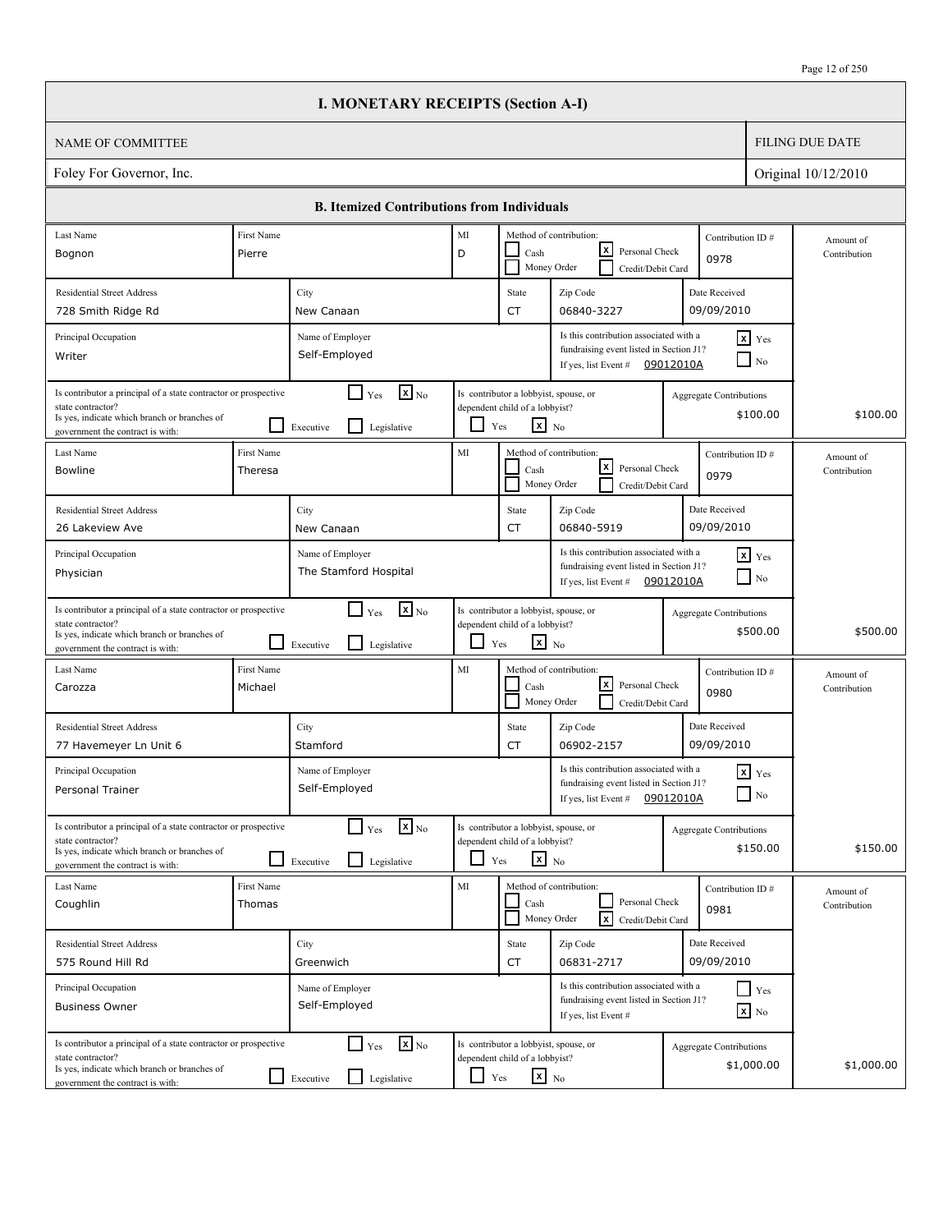|                                                                                                                                                                          |           | <b>I. MONETARY RECEIPTS (Section A-I)</b>                                |                          |                                                                                                   |                                                                                                             |                                                                 |                                              |                        |                           |
|--------------------------------------------------------------------------------------------------------------------------------------------------------------------------|-----------|--------------------------------------------------------------------------|--------------------------|---------------------------------------------------------------------------------------------------|-------------------------------------------------------------------------------------------------------------|-----------------------------------------------------------------|----------------------------------------------|------------------------|---------------------------|
| <b>NAME OF COMMITTEE</b>                                                                                                                                                 |           |                                                                          |                          |                                                                                                   |                                                                                                             |                                                                 |                                              | <b>FILING DUE DATE</b> |                           |
| Foley For Governor, Inc.                                                                                                                                                 |           |                                                                          |                          |                                                                                                   |                                                                                                             |                                                                 |                                              |                        | Original 10/12/2010       |
|                                                                                                                                                                          |           | <b>B. Itemized Contributions from Individuals</b>                        |                          |                                                                                                   |                                                                                                             |                                                                 |                                              |                        |                           |
| Last Name<br>First Name                                                                                                                                                  |           |                                                                          | MI                       |                                                                                                   | Method of contribution:                                                                                     |                                                                 | Contribution ID#                             |                        | Amount of                 |
| Pierre<br>Bognon                                                                                                                                                         |           |                                                                          | D                        | Cash<br>Money Order                                                                               | x <br>Personal Check<br>Credit/Debit Card                                                                   |                                                                 | 0978                                         |                        | Contribution              |
| <b>Residential Street Address</b>                                                                                                                                        | City      |                                                                          |                          | State                                                                                             | Zip Code                                                                                                    |                                                                 | Date Received                                |                        |                           |
| 728 Smith Ridge Rd                                                                                                                                                       |           | New Canaan                                                               |                          | CT                                                                                                | 06840-3227                                                                                                  |                                                                 | 09/09/2010                                   |                        |                           |
| Principal Occupation<br>Writer                                                                                                                                           |           | Name of Employer<br>Self-Employed                                        |                          |                                                                                                   | Is this contribution associated with a<br>fundraising event listed in Section J1?<br>If yes, list Event #   | 09012010A                                                       | $x$ Yes<br>$\Box$ No                         |                        |                           |
| Is contributor a principal of a state contractor or prospective<br>state contractor?<br>Is yes, indicate which branch or branches of<br>government the contract is with: | Executive | $\mathbf{X}_{\text{No}}$<br>$\Box$<br>Yes<br>$\mathsf{L}$<br>Legislative |                          | Is contributor a lobbyist, spouse, or<br>dependent child of a lobbyist?<br>$x_{N0}$<br>Yes        |                                                                                                             |                                                                 | Aggregate Contributions<br>\$100.00          |                        | \$100.00                  |
| Last Name<br>First Name<br><b>Bowline</b><br>Theresa                                                                                                                     |           |                                                                          | MI                       | Cash<br>Money Order                                                                               | Method of contribution:<br> x                                                                               | Contribution ID#<br>Personal Check<br>0979<br>Credit/Debit Card |                                              |                        | Amount of<br>Contribution |
| <b>Residential Street Address</b>                                                                                                                                        | City      |                                                                          |                          | State                                                                                             | Zip Code                                                                                                    |                                                                 | Date Received                                |                        |                           |
| 26 Lakeview Ave                                                                                                                                                          |           | New Canaan                                                               |                          | CT                                                                                                | 06840-5919                                                                                                  |                                                                 | 09/09/2010                                   |                        |                           |
| Principal Occupation<br>Physician                                                                                                                                        |           | Name of Employer<br>The Stamford Hospital                                |                          |                                                                                                   | Is this contribution associated with a<br>fundraising event listed in Section J1?<br>If yes, list Event #   | 09012010A                                                       | $\mathbf{x}$ Yes<br>$\Box$ No                |                        |                           |
| Is contributor a principal of a state contractor or prospective<br>state contractor?<br>Is yes, indicate which branch or branches of<br>government the contract is with: | Executive | $\mathbf{x}$ <sub>No</sub><br>$\Box$ Yes<br>l 1<br>Legislative           | $\overline{\phantom{0}}$ | Is contributor a lobbyist, spouse, or<br>dependent child of a lobbyist?<br>$\mathbf{x}$ No<br>Yes |                                                                                                             |                                                                 | Aggregate Contributions<br>\$500.00          |                        | \$500.00                  |
| First Name<br>Last Name<br>Michael<br>Carozza                                                                                                                            |           |                                                                          | MI                       | Cash<br>Money Order                                                                               | Method of contribution:<br> x <br>Personal Check<br>Credit/Debit Card                                       |                                                                 | Contribution ID#<br>0980                     |                        | Amount of<br>Contribution |
| <b>Residential Street Address</b>                                                                                                                                        | City      |                                                                          |                          | State                                                                                             | Zip Code                                                                                                    |                                                                 | Date Received                                |                        |                           |
| 77 Havemeyer Ln Unit 6                                                                                                                                                   |           | Stamford                                                                 |                          | CT                                                                                                | 06902-2157                                                                                                  |                                                                 | 09/09/2010                                   |                        |                           |
| Principal Occupation<br>Personal Trainer                                                                                                                                 |           | Name of Employer<br>Self-Employed                                        |                          |                                                                                                   | Is this contribution associated with a<br>fundraising event listed in Section J1?<br>If yes, list Event $#$ | 09012010A                                                       | $x$ $Yes$<br>$\Box$ No                       |                        |                           |
| Is contributor a principal of a state contractor or prospective<br>state contractor?<br>Is yes, indicate which branch or branches of<br>government the contract is with: | Executive | $\mathbf{X}$ <sub>No</sub><br>$\Box$ Yes<br>Legislative                  | $\Box$                   | Is contributor a lobbyist, spouse, or<br>dependent child of a lobbyist?<br>$x_{N0}$<br>Yes        |                                                                                                             |                                                                 | <b>Aggregate Contributions</b><br>\$150.00   |                        | \$150.00                  |
| First Name<br>Last Name<br>Coughlin<br>Thomas                                                                                                                            |           |                                                                          | MI                       | Cash<br>Money Order                                                                               | Method of contribution:<br>Personal Check<br><b>x</b><br>Credit/Debit Card                                  |                                                                 | Contribution ID#<br>0981                     |                        | Amount of<br>Contribution |
| <b>Residential Street Address</b>                                                                                                                                        | City      |                                                                          |                          | State                                                                                             | Zip Code                                                                                                    |                                                                 | Date Received                                |                        |                           |
| 575 Round Hill Rd                                                                                                                                                        |           | Greenwich                                                                |                          | CT                                                                                                | 06831-2717                                                                                                  |                                                                 | 09/09/2010                                   |                        |                           |
| Principal Occupation<br><b>Business Owner</b>                                                                                                                            |           | Name of Employer<br>Self-Employed                                        |                          |                                                                                                   | Is this contribution associated with a<br>fundraising event listed in Section J1?<br>If yes, list Event #   |                                                                 | $\Box$ Yes<br>$\mathbf{x}$ No                |                        |                           |
| Is contributor a principal of a state contractor or prospective<br>state contractor?<br>Is yes, indicate which branch or branches of<br>government the contract is with: | Executive | $\Gamma$ Yes<br>$\mathbf{x}$ <sub>No</sub><br>ப<br>Legislative           | ப<br>Yes                 | Is contributor a lobbyist, spouse, or<br>dependent child of a lobbyist?<br>$\mathbf{x}$ No        |                                                                                                             |                                                                 | <b>Aggregate Contributions</b><br>\$1,000.00 |                        | \$1,000.00                |

 $\sqrt{ }$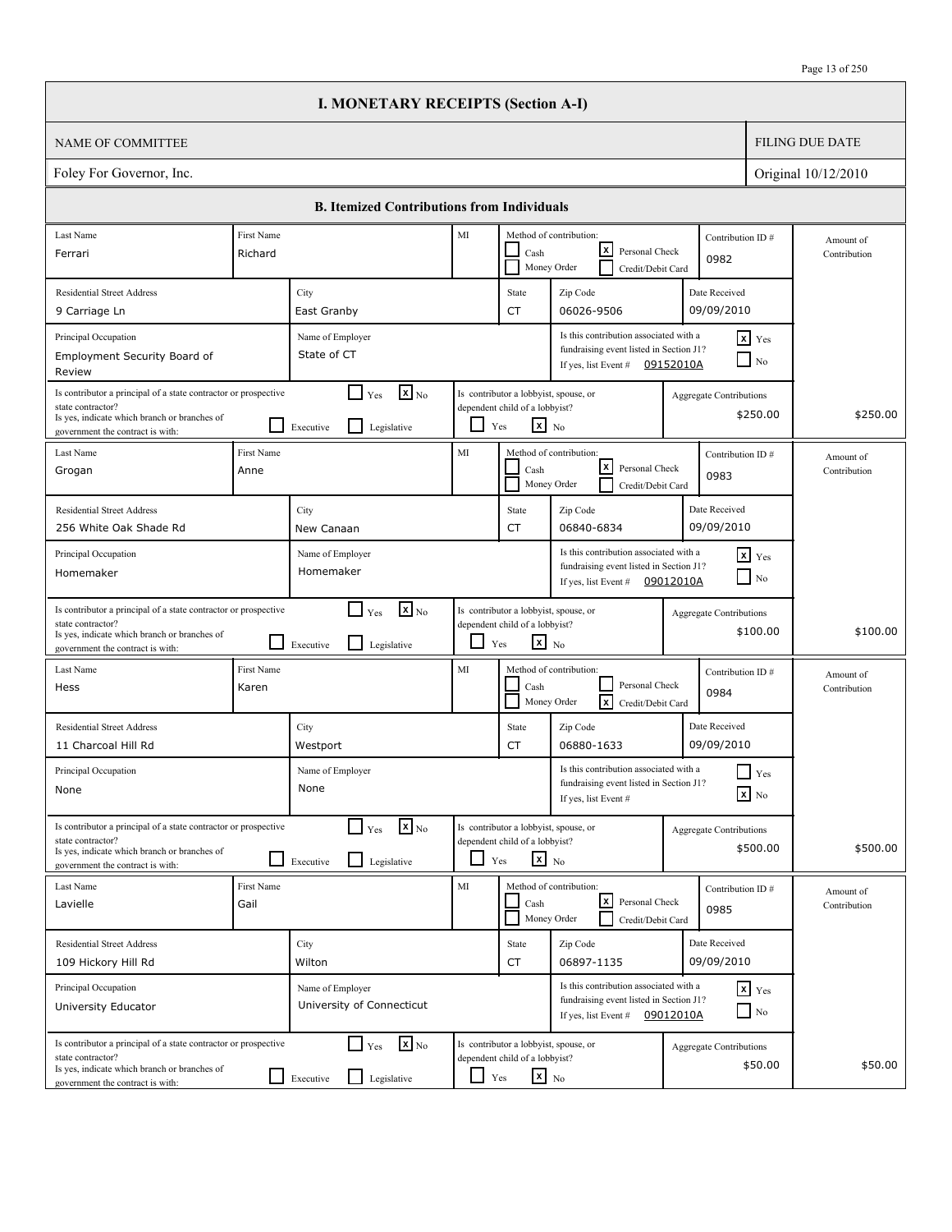|                                                                                                                                                                          |                           | <b>I. MONETARY RECEIPTS (Section A-I)</b>                                                     |                          |                                                                                                   |                                                                                                                       |           |                                            |                           |
|--------------------------------------------------------------------------------------------------------------------------------------------------------------------------|---------------------------|-----------------------------------------------------------------------------------------------|--------------------------|---------------------------------------------------------------------------------------------------|-----------------------------------------------------------------------------------------------------------------------|-----------|--------------------------------------------|---------------------------|
| <b>NAME OF COMMITTEE</b>                                                                                                                                                 |                           |                                                                                               |                          |                                                                                                   |                                                                                                                       |           |                                            | <b>FILING DUE DATE</b>    |
| Foley For Governor, Inc.                                                                                                                                                 |                           |                                                                                               |                          |                                                                                                   |                                                                                                                       |           |                                            | Original 10/12/2010       |
|                                                                                                                                                                          |                           | <b>B. Itemized Contributions from Individuals</b>                                             |                          |                                                                                                   |                                                                                                                       |           |                                            |                           |
| Last Name                                                                                                                                                                | First Name                |                                                                                               | MI                       |                                                                                                   | Method of contribution:                                                                                               |           | Contribution ID#                           |                           |
| Ferrari                                                                                                                                                                  | Richard                   |                                                                                               |                          | Cash                                                                                              | x <br>Personal Check<br>Money Order<br>Credit/Debit Card                                                              |           | 0982                                       | Amount of<br>Contribution |
| <b>Residential Street Address</b>                                                                                                                                        |                           | City                                                                                          |                          | State                                                                                             | Zip Code                                                                                                              |           | Date Received                              |                           |
| 9 Carriage Ln                                                                                                                                                            |                           | East Granby                                                                                   |                          | CT                                                                                                | 06026-9506                                                                                                            |           | 09/09/2010                                 |                           |
| Principal Occupation<br>Employment Security Board of<br>Review                                                                                                           |                           | Name of Employer<br>State of CT                                                               |                          |                                                                                                   | Is this contribution associated with a<br>fundraising event listed in Section J1?<br>If yes, list Event # $09152010A$ |           | $x$ Yes<br>$\Box$ No                       |                           |
| Is contributor a principal of a state contractor or prospective<br>state contractor?<br>Is yes, indicate which branch or branches of<br>government the contract is with: |                           | $\mathbf{X}_{\text{No}}$<br>$\blacksquare$<br>Yes<br>$\mathsf{L}$<br>Legislative<br>Executive |                          | Is contributor a lobbyist, spouse, or<br>dependent child of a lobbyist?<br>$x_{N0}$<br>Yes        |                                                                                                                       |           | Aggregate Contributions<br>\$250.00        | \$250.00                  |
| Last Name<br>Grogan                                                                                                                                                      | <b>First Name</b><br>Anne |                                                                                               | MI                       | Cash                                                                                              | Method of contribution:<br>Contribution ID#<br> x <br>Personal Check<br>0983<br>Money Order<br>Credit/Debit Card      |           |                                            | Amount of<br>Contribution |
| <b>Residential Street Address</b>                                                                                                                                        |                           | City                                                                                          |                          | State                                                                                             | Zip Code                                                                                                              |           | Date Received                              |                           |
| 256 White Oak Shade Rd                                                                                                                                                   |                           | New Canaan                                                                                    |                          | CT                                                                                                | 06840-6834                                                                                                            |           | 09/09/2010                                 |                           |
| Principal Occupation<br>Homemaker                                                                                                                                        |                           | Name of Employer<br>Homemaker                                                                 |                          |                                                                                                   | Is this contribution associated with a<br>fundraising event listed in Section J1?<br>If yes, list Event #             | 09012010A | $\mathbf{x}$ Yes<br>$\Box$ No              |                           |
| Is contributor a principal of a state contractor or prospective<br>state contractor?<br>Is yes, indicate which branch or branches of<br>government the contract is with: |                           | $\mathbf{X}$ <sub>No</sub><br>l 1<br>Yes<br>l 1<br>Legislative<br>Executive                   | $\overline{\phantom{0}}$ | Is contributor a lobbyist, spouse, or<br>dependent child of a lobbyist?<br>$\mathbf{x}$ No<br>Yes |                                                                                                                       |           | Aggregate Contributions<br>\$100.00        | \$100.00                  |
| Last Name<br>Hess                                                                                                                                                        | First Name<br>Karen       |                                                                                               | MI                       | Cash                                                                                              | Method of contribution:<br>Personal Check<br>Ιx<br>Money Order<br>Credit/Debit Card                                   |           | Contribution ID#<br>0984                   | Amount of<br>Contribution |
| <b>Residential Street Address</b><br>11 Charcoal Hill Rd                                                                                                                 |                           | City<br>Westport                                                                              |                          | State<br>CT                                                                                       | Zip Code<br>06880-1633                                                                                                |           | Date Received<br>09/09/2010                |                           |
| Principal Occupation<br>None                                                                                                                                             |                           | Name of Employer<br>None                                                                      |                          |                                                                                                   | Is this contribution associated with a<br>fundraising event listed in Section J1?<br>If yes, list Event #             |           | Yes<br>$\mathbf{X}$ No                     |                           |
| Is contributor a principal of a state contractor or prospective<br>state contractor?<br>Is yes, indicate which branch or branches of<br>government the contract is with: |                           | $\mathbf{x}$ <sub>No</sub><br>$\Box$ Yes<br>Legislative<br>Executive                          | $\Box$                   | Is contributor a lobbyist, spouse, or<br>dependent child of a lobbyist?<br>$X$ No<br>Yes          |                                                                                                                       |           | <b>Aggregate Contributions</b><br>\$500.00 | \$500.00                  |
| Last Name<br>Lavielle                                                                                                                                                    | First Name<br>Gail        |                                                                                               | MI                       | Cash                                                                                              | Method of contribution:<br> x <br>Personal Check<br>Money Order<br>Credit/Debit Card                                  |           | Contribution ID#<br>0985                   | Amount of<br>Contribution |
| <b>Residential Street Address</b><br>109 Hickory Hill Rd                                                                                                                 |                           | City<br>Wilton                                                                                |                          | State<br>CT                                                                                       | Zip Code<br>06897-1135                                                                                                |           | Date Received<br>09/09/2010                |                           |
| Principal Occupation<br>University Educator                                                                                                                              |                           | Name of Employer<br>University of Connecticut                                                 |                          |                                                                                                   | Is this contribution associated with a<br>fundraising event listed in Section J1?<br>If yes, list Event #             | 09012010A | $x$ $y$ <sub>es</sub><br>$\Box$ No         |                           |
| Is contributor a principal of a state contractor or prospective<br>state contractor?<br>Is yes, indicate which branch or branches of<br>government the contract is with: |                           | $\mathbf{x}$ <sub>No</sub><br>$\Gamma$ Yes<br>Legislative<br>Executive                        | ப                        | Is contributor a lobbyist, spouse, or<br>dependent child of a lobbyist?<br>$\mathbf{x}$ No<br>Yes |                                                                                                                       |           | <b>Aggregate Contributions</b><br>\$50.00  | \$50.00                   |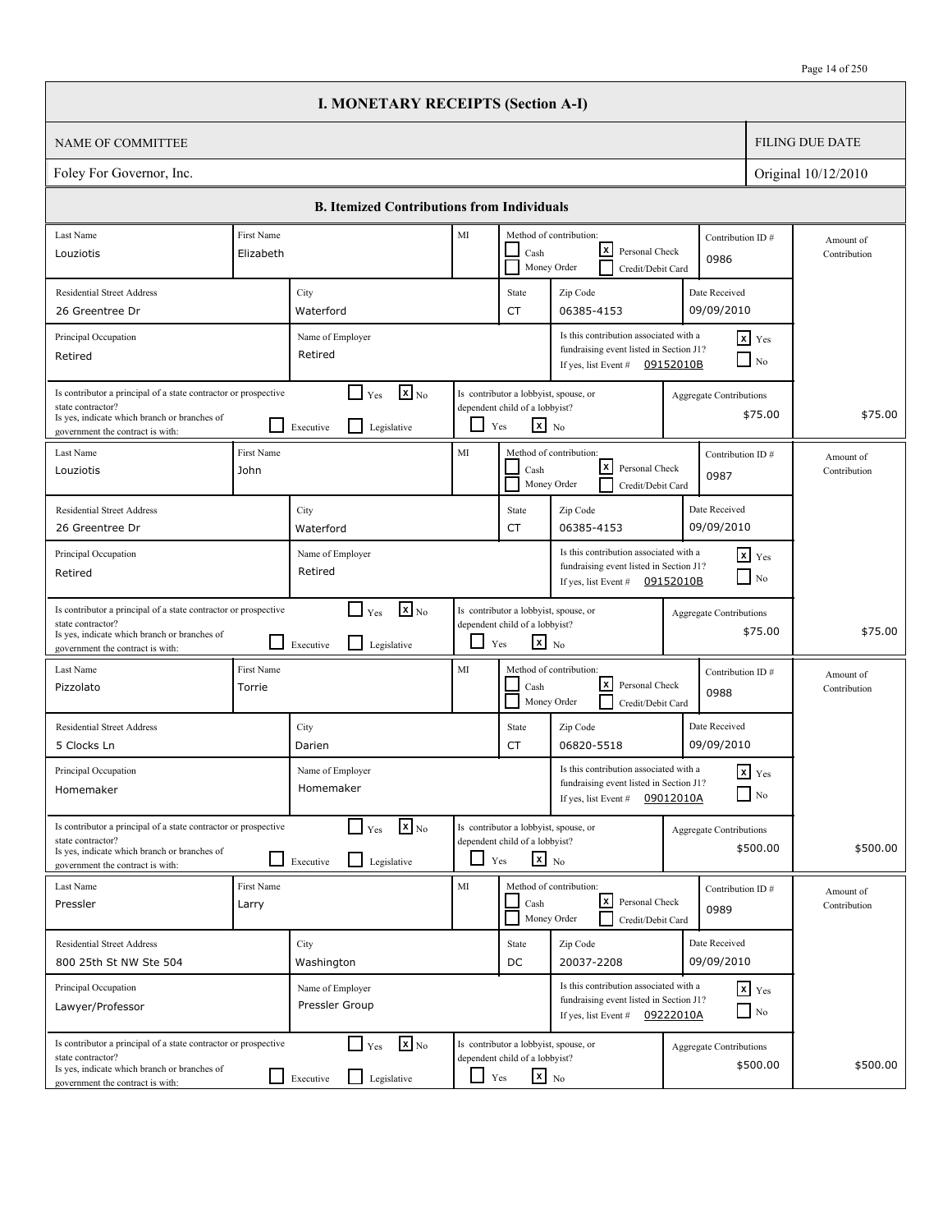|                                                                                                                                                                          |                      | <b>I. MONETARY RECEIPTS (Section A-I)</b>                                   |            |                                                                                                   |                                                                                                                        |                                |                                    |                           |
|--------------------------------------------------------------------------------------------------------------------------------------------------------------------------|----------------------|-----------------------------------------------------------------------------|------------|---------------------------------------------------------------------------------------------------|------------------------------------------------------------------------------------------------------------------------|--------------------------------|------------------------------------|---------------------------|
| <b>NAME OF COMMITTEE</b>                                                                                                                                                 |                      |                                                                             |            |                                                                                                   |                                                                                                                        |                                |                                    | <b>FILING DUE DATE</b>    |
| Foley For Governor, Inc.                                                                                                                                                 |                      |                                                                             |            |                                                                                                   |                                                                                                                        |                                |                                    | Original 10/12/2010       |
|                                                                                                                                                                          |                      | <b>B. Itemized Contributions from Individuals</b>                           |            |                                                                                                   |                                                                                                                        |                                |                                    |                           |
| Last Name                                                                                                                                                                | First Name           |                                                                             | $\rm MI$   |                                                                                                   | Method of contribution:                                                                                                |                                | Contribution ID#                   | Amount of                 |
| Louziotis                                                                                                                                                                | Elizabeth            |                                                                             |            | Cash                                                                                              | x <br>Personal Check<br>Money Order<br>Credit/Debit Card                                                               | 0986                           |                                    | Contribution              |
| <b>Residential Street Address</b><br>26 Greentree Dr                                                                                                                     |                      | City<br>Waterford                                                           |            | State<br><b>CT</b>                                                                                | Zip Code<br>06385-4153                                                                                                 | Date Received<br>09/09/2010    |                                    |                           |
| Principal Occupation                                                                                                                                                     |                      | Name of Employer                                                            |            |                                                                                                   | Is this contribution associated with a                                                                                 |                                | $x$ $Y$ es                         |                           |
| Retired                                                                                                                                                                  |                      | Retired                                                                     |            |                                                                                                   | fundraising event listed in Section J1?<br>If yes, list Event #                                                        | 09152010B                      | $\overline{N_0}$                   |                           |
| Is contributor a principal of a state contractor or prospective<br>state contractor?<br>Is yes, indicate which branch or branches of<br>government the contract is with: |                      | $\mathbf{x}$ <sub>No</sub><br>$\Box$ Yes<br>Legislative<br>Executive        | ப          | Is contributor a lobbyist, spouse, or<br>dependent child of a lobbyist?<br>$\mathbf{x}$ No<br>Yes |                                                                                                                        | <b>Aggregate Contributions</b> | \$75.00                            | \$75.00                   |
| Last Name<br>Louziotis                                                                                                                                                   | First Name<br>John   |                                                                             | MI         | Cash                                                                                              | Method of contribution:<br> x <br>Personal Check<br>Money Order<br>Credit/Debit Card                                   | 0987                           | Contribution ID#                   | Amount of<br>Contribution |
| <b>Residential Street Address</b><br>26 Greentree Dr                                                                                                                     |                      | City<br>Waterford                                                           |            | State<br><b>CT</b>                                                                                | Zip Code<br>06385-4153                                                                                                 | Date Received<br>09/09/2010    |                                    |                           |
| Principal Occupation<br>Retired                                                                                                                                          |                      | Name of Employer<br>Retired                                                 |            |                                                                                                   | Is this contribution associated with a<br>fundraising event listed in Section J1?<br>If yes, list Event $\#$ 09152010B |                                | $x$ $Yes$<br>$\Box$ No             |                           |
| Is contributor a principal of a state contractor or prospective<br>state contractor?<br>Is yes, indicate which branch or branches of<br>government the contract is with: |                      | $\mathbf{x}$ <sub>No</sub><br>$\Box$ Yes<br>Legislative<br>Executive        | ப          | Is contributor a lobbyist, spouse, or<br>dependent child of a lobbyist?<br>$x_{N0}$<br>Yes        |                                                                                                                        | <b>Aggregate Contributions</b> | \$75.00                            | \$75.00                   |
| Last Name<br>Pizzolato                                                                                                                                                   | First Name<br>Torrie |                                                                             | MI         | Cash                                                                                              | Method of contribution:<br> x <br>Personal Check<br>Money Order<br>Credit/Debit Card                                   | 0988                           | Contribution ID#                   | Amount of<br>Contribution |
| <b>Residential Street Address</b><br>5 Clocks Ln                                                                                                                         |                      | City<br>Darien                                                              |            | State<br><b>CT</b>                                                                                | Zip Code<br>06820-5518                                                                                                 | Date Received<br>09/09/2010    |                                    |                           |
| Principal Occupation<br>Homemaker                                                                                                                                        |                      | Name of Employer<br>Homemaker                                               |            |                                                                                                   | Is this contribution associated with a<br>fundraising event listed in Section J1?<br>If yes, list Event $#$            | 09012010A                      | $x$ $Y$ es<br>$\Box$ No            |                           |
| Is contributor a principal of a state contractor or prospective<br>state contractor?<br>Is yes, indicate which branch or branches of<br>government the contract is with: |                      | $\mathbf{X}_{\text{No}}$<br>$\Box$ Yes<br>Legislative<br>Executive          |            | Is contributor a lobbyist, spouse, or<br>dependent child of a lobbyist?<br>$\mathbf{x}$ No<br>Yes |                                                                                                                        | Aggregate Contributions        | \$500.00                           | \$500.00                  |
| Last Name<br>Pressler                                                                                                                                                    | First Name<br>Larry  |                                                                             | MI         | Cash                                                                                              | Method of contribution:<br>l×l<br>Personal Check<br>Money Order<br>Credit/Debit Card                                   | 0989                           | Contribution ID#                   | Amount of<br>Contribution |
| <b>Residential Street Address</b><br>800 25th St NW Ste 504                                                                                                              |                      | City<br>Washington                                                          |            | State<br>DC                                                                                       | Zip Code<br>20037-2208                                                                                                 | Date Received<br>09/09/2010    |                                    |                           |
| Principal Occupation<br>Lawyer/Professor                                                                                                                                 |                      | Name of Employer<br>Pressler Group                                          |            |                                                                                                   | Is this contribution associated with a<br>fundraising event listed in Section J1?<br>If yes, list Event # $09222010A$  |                                | $x$ $y$ <sub>es</sub><br>$\Box$ No |                           |
| Is contributor a principal of a state contractor or prospective<br>state contractor?<br>Is yes, indicate which branch or branches of<br>government the contract is with: |                      | $\mathbf{X}_{\text{No}}$<br>$\Gamma$ Yes<br>Legislative<br>$\Box$ Executive | $\Box$ Yes | Is contributor a lobbyist, spouse, or<br>dependent child of a lobbyist?<br>$x_{N0}$               |                                                                                                                        | Aggregate Contributions        | \$500.00                           | \$500.00                  |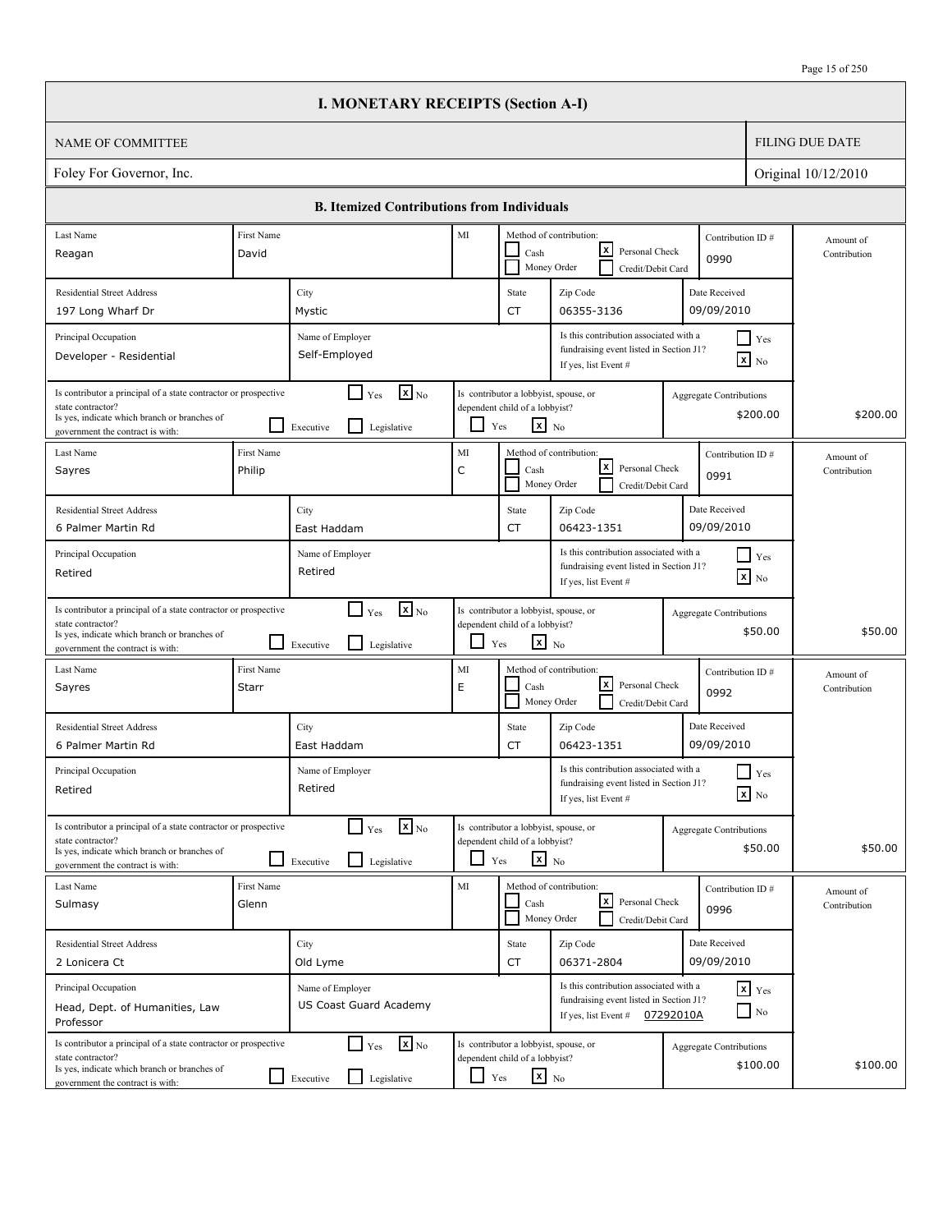|                                                                                                                                                                          |                      | <b>I. MONETARY RECEIPTS (Section A-I)</b>                                               |                                                                  |                                                                                                   |                                                                                                           |           |                                            |                           |
|--------------------------------------------------------------------------------------------------------------------------------------------------------------------------|----------------------|-----------------------------------------------------------------------------------------|------------------------------------------------------------------|---------------------------------------------------------------------------------------------------|-----------------------------------------------------------------------------------------------------------|-----------|--------------------------------------------|---------------------------|
| <b>NAME OF COMMITTEE</b>                                                                                                                                                 |                      |                                                                                         |                                                                  |                                                                                                   |                                                                                                           |           |                                            | <b>FILING DUE DATE</b>    |
| Foley For Governor, Inc.                                                                                                                                                 |                      |                                                                                         |                                                                  |                                                                                                   |                                                                                                           |           |                                            | Original 10/12/2010       |
|                                                                                                                                                                          |                      | <b>B. Itemized Contributions from Individuals</b>                                       |                                                                  |                                                                                                   |                                                                                                           |           |                                            |                           |
| Last Name                                                                                                                                                                | First Name           |                                                                                         | MI                                                               |                                                                                                   | Method of contribution:                                                                                   |           | Contribution ID#                           | Amount of                 |
| Reagan                                                                                                                                                                   | David                |                                                                                         | x <br>Personal Check<br>Cash<br>Money Order<br>Credit/Debit Card |                                                                                                   |                                                                                                           | 0990      | Contribution                               |                           |
| <b>Residential Street Address</b><br>197 Long Wharf Dr                                                                                                                   |                      | City<br>Mystic                                                                          |                                                                  | State<br>CT                                                                                       | Zip Code<br>06355-3136                                                                                    |           | Date Received<br>09/09/2010                |                           |
| Principal Occupation<br>Developer - Residential                                                                                                                          |                      | Name of Employer<br>Self-Employed                                                       |                                                                  |                                                                                                   | Is this contribution associated with a<br>fundraising event listed in Section J1?<br>If yes, list Event # |           | $\Box$ Yes<br>$\mathbf{x}$ No              |                           |
| Is contributor a principal of a state contractor or prospective<br>state contractor?<br>Is yes, indicate which branch or branches of<br>government the contract is with: |                      | $\mathbf{X}_{\text{No}}$<br>$\sqcup$<br>Yes<br>$\mathsf{L}$<br>Legislative<br>Executive |                                                                  | Is contributor a lobbyist, spouse, or<br>dependent child of a lobbyist?<br>$x_{N0}$<br>Yes        |                                                                                                           |           | Aggregate Contributions<br>\$200.00        | \$200.00                  |
| Last Name<br>Sayres                                                                                                                                                      | First Name<br>Philip |                                                                                         | MI<br>$\mathsf C$                                                | Cash                                                                                              | Method of contribution:<br> x <br>Personal Check<br>Money Order<br>Credit/Debit Card                      |           | Contribution ID#<br>0991                   | Amount of<br>Contribution |
| <b>Residential Street Address</b><br>6 Palmer Martin Rd                                                                                                                  |                      | City<br>East Haddam                                                                     |                                                                  | State<br>CT                                                                                       | Zip Code<br>06423-1351                                                                                    |           | Date Received<br>09/09/2010                |                           |
| Principal Occupation<br>Retired                                                                                                                                          |                      | Name of Employer<br>Retired                                                             |                                                                  |                                                                                                   | Is this contribution associated with a<br>fundraising event listed in Section J1?<br>If yes, list Event # |           | $\Box$ Yes<br>$\boxed{\mathbf{x}}$ No      |                           |
| Is contributor a principal of a state contractor or prospective<br>state contractor?<br>Is yes, indicate which branch or branches of<br>government the contract is with: |                      | $\mathbf{x}$ <sub>No</sub><br>$\Box$ Yes<br>l 1<br>Legislative<br>Executive             | $\overline{\phantom{0}}$                                         | Is contributor a lobbyist, spouse, or<br>dependent child of a lobbyist?<br>$\mathbf{x}$ No<br>Yes |                                                                                                           |           | Aggregate Contributions<br>\$50.00         | \$50.00                   |
| Last Name<br>Sayres                                                                                                                                                      | First Name<br>Starr  |                                                                                         | MI<br>E                                                          | Cash                                                                                              | Method of contribution:<br> x <br>Personal Check<br>Money Order<br>Credit/Debit Card                      |           | Contribution ID#<br>0992                   | Amount of<br>Contribution |
| <b>Residential Street Address</b><br>6 Palmer Martin Rd                                                                                                                  |                      | City<br>East Haddam                                                                     |                                                                  | State<br>CT                                                                                       | Zip Code<br>06423-1351                                                                                    |           | Date Received<br>09/09/2010                |                           |
| Principal Occupation<br>Retired                                                                                                                                          |                      | Name of Employer<br>Retired                                                             |                                                                  |                                                                                                   | Is this contribution associated with a<br>fundraising event listed in Section J1?<br>If yes, list Event # |           | Yes<br>$\mathbf{X}$ No                     |                           |
| Is contributor a principal of a state contractor or prospective<br>state contractor?<br>Is yes, indicate which branch or branches of<br>government the contract is with: |                      | $\mathbf{x}$ <sub>No</sub><br>$\Box$ Yes<br>Legislative<br>Executive                    | $\Box$                                                           | Is contributor a lobbyist, spouse, or<br>dependent child of a lobbyist?<br>$x_{N0}$<br>Yes        |                                                                                                           |           | <b>Aggregate Contributions</b><br>\$50.00  | \$50.00                   |
| Last Name<br>Sulmasy                                                                                                                                                     | First Name<br>Glenn  |                                                                                         | MI                                                               | Cash                                                                                              | Method of contribution:<br> x <br>Personal Check<br>Money Order<br>Credit/Debit Card                      |           | Contribution ID#<br>0996                   | Amount of<br>Contribution |
| <b>Residential Street Address</b><br>2 Lonicera Ct                                                                                                                       |                      | City<br>Old Lyme                                                                        |                                                                  | State<br>CT                                                                                       | Zip Code<br>06371-2804                                                                                    |           | Date Received<br>09/09/2010                |                           |
| Principal Occupation<br>Head, Dept. of Humanities, Law<br>Professor                                                                                                      |                      | Name of Employer<br>US Coast Guard Academy                                              |                                                                  |                                                                                                   | Is this contribution associated with a<br>fundraising event listed in Section J1?<br>If yes, list Event # | 07292010A | $x$ $y$ <sub>es</sub><br>$\Box$ No         |                           |
| Is contributor a principal of a state contractor or prospective<br>state contractor?<br>Is yes, indicate which branch or branches of<br>government the contract is with: |                      | $\mathbf{X}_{\text{No}}$<br>$\Gamma$ Yes<br>Legislative<br>Executive                    | ப                                                                | Is contributor a lobbyist, spouse, or<br>dependent child of a lobbyist?<br>$\mathbf{x}$ No<br>Yes |                                                                                                           |           | <b>Aggregate Contributions</b><br>\$100.00 | \$100.00                  |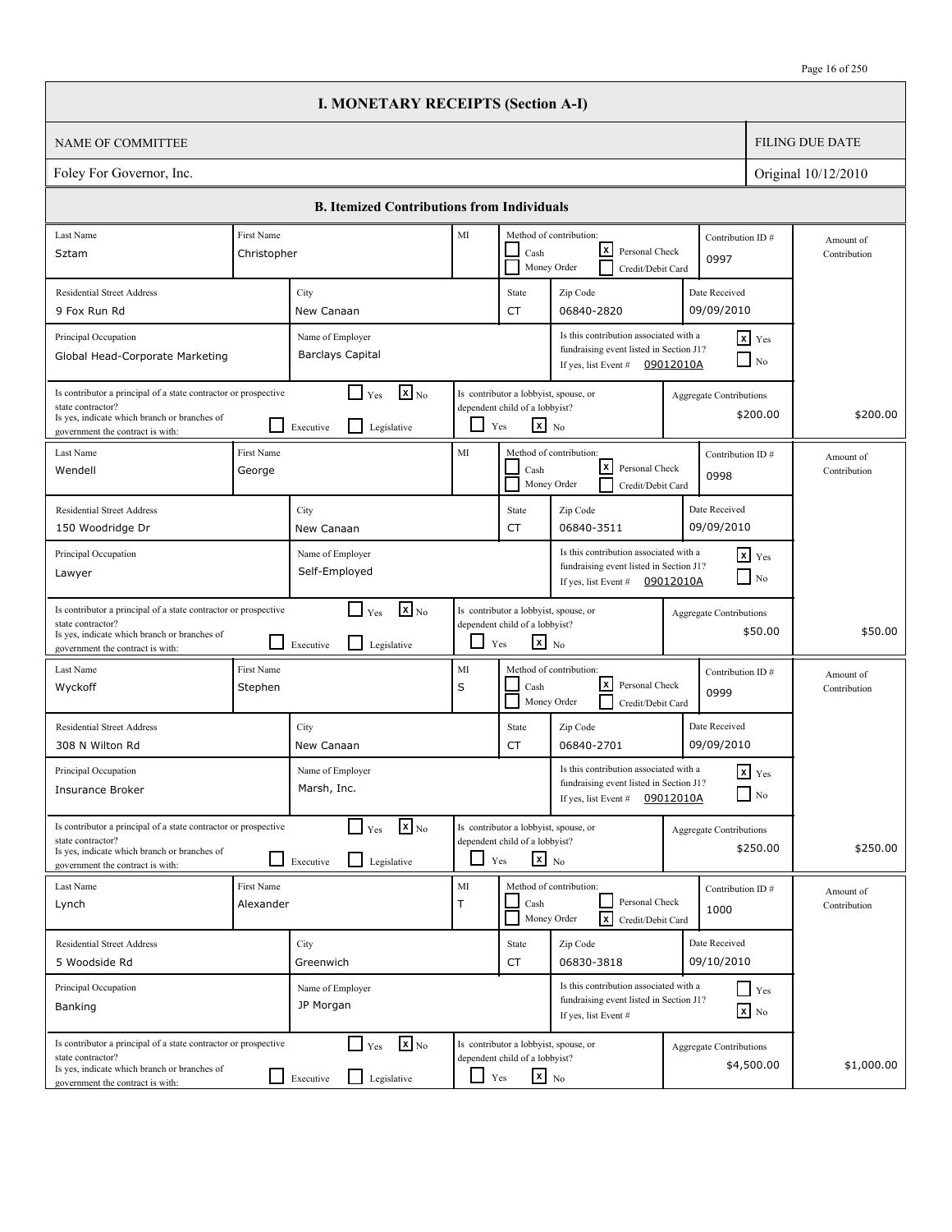|                                                                                                                                                                          |                           | <b>I. MONETARY RECEIPTS (Section A-I)</b>                                   |            |                                                                                            |                                                                                                                       |                                |                                |                           |
|--------------------------------------------------------------------------------------------------------------------------------------------------------------------------|---------------------------|-----------------------------------------------------------------------------|------------|--------------------------------------------------------------------------------------------|-----------------------------------------------------------------------------------------------------------------------|--------------------------------|--------------------------------|---------------------------|
| <b>NAME OF COMMITTEE</b>                                                                                                                                                 |                           |                                                                             |            |                                                                                            |                                                                                                                       |                                |                                | <b>FILING DUE DATE</b>    |
| Foley For Governor, Inc.                                                                                                                                                 |                           |                                                                             |            |                                                                                            |                                                                                                                       |                                |                                | Original 10/12/2010       |
|                                                                                                                                                                          |                           | <b>B. Itemized Contributions from Individuals</b>                           |            |                                                                                            |                                                                                                                       |                                |                                |                           |
| Last Name<br>Sztam                                                                                                                                                       | First Name<br>Christopher |                                                                             | $\rm MI$   | Cash                                                                                       | Method of contribution:<br> x <br>Personal Check                                                                      | Contribution ID#<br>0997       |                                | Amount of<br>Contribution |
| <b>Residential Street Address</b><br>9 Fox Run Rd                                                                                                                        |                           | City<br>New Canaan                                                          |            | State<br><b>CT</b>                                                                         | Money Order<br>Credit/Debit Card<br>Zip Code<br>06840-2820                                                            | Date Received<br>09/09/2010    |                                |                           |
| Principal Occupation<br>Global Head-Corporate Marketing                                                                                                                  |                           | Name of Employer<br><b>Barclays Capital</b>                                 |            |                                                                                            | Is this contribution associated with a<br>fundraising event listed in Section J1?<br>If yes, list Event #             | 09012010A                      | $x$ $Y$ es<br>$\overline{N_0}$ |                           |
| Is contributor a principal of a state contractor or prospective<br>state contractor?<br>Is yes, indicate which branch or branches of<br>government the contract is with: |                           | $\mathbf{x}$ <sub>No</sub><br>$\Box$ Yes<br>Legislative<br>Executive        | ப          | Is contributor a lobbyist, spouse, or<br>dependent child of a lobbyist?<br>$X_{N0}$<br>Yes |                                                                                                                       | <b>Aggregate Contributions</b> | \$200.00                       | \$200.00                  |
| Last Name<br>Wendell                                                                                                                                                     | First Name<br>George      |                                                                             | MI         | Cash                                                                                       | Method of contribution:<br>$\boldsymbol{x}$<br>Personal Check<br>Money Order<br>Credit/Debit Card                     | Contribution ID#<br>0998       |                                | Amount of<br>Contribution |
| <b>Residential Street Address</b><br>150 Woodridge Dr                                                                                                                    |                           | City<br>New Canaan                                                          |            | State<br><b>CT</b>                                                                         | Zip Code<br>06840-3511                                                                                                | Date Received<br>09/09/2010    |                                |                           |
| Principal Occupation<br>Lawyer                                                                                                                                           |                           | Name of Employer<br>Self-Employed                                           |            |                                                                                            | Is this contribution associated with a<br>fundraising event listed in Section J1?<br>If yes, list Event # $09012010A$ |                                | $x$ $Yes$<br>$\Box$ No         |                           |
| Is contributor a principal of a state contractor or prospective<br>state contractor?<br>Is yes, indicate which branch or branches of<br>government the contract is with: |                           | $\mathbf{X}_{\text{No}}$<br>$\Box$ Yes<br>Legislative<br>Executive          | ப          | Is contributor a lobbyist, spouse, or<br>dependent child of a lobbyist?<br>$X_{N0}$<br>Yes |                                                                                                                       | <b>Aggregate Contributions</b> | \$50.00                        | \$50.00                   |
| Last Name<br>Wyckoff                                                                                                                                                     | First Name<br>Stephen     |                                                                             | MI<br>S    | Cash                                                                                       | Method of contribution:<br> x <br>Personal Check<br>Money Order<br>Credit/Debit Card                                  | Contribution ID#<br>0999       |                                | Amount of<br>Contribution |
| <b>Residential Street Address</b><br>308 N Wilton Rd                                                                                                                     |                           | City<br>New Canaan                                                          |            | State<br><b>CT</b>                                                                         | Zip Code<br>06840-2701                                                                                                | Date Received<br>09/09/2010    |                                |                           |
| Principal Occupation<br><b>Insurance Broker</b>                                                                                                                          |                           | Name of Employer<br>Marsh, Inc.                                             |            |                                                                                            | Is this contribution associated with a<br>fundraising event listed in Section J1?<br>If yes, list Event #             | 09012010A                      | $x$ $Y$ es<br>$\Box$ No        |                           |
| Is contributor a principal of a state contractor or prospective<br>state contractor?<br>Is yes, indicate which branch or branches of<br>government the contract is with: |                           | $\mathbf{X}_{\text{No}}$<br>$\Box$ Yes<br>Legislative<br>Executive          |            | Is contributor a lobbyist, spouse, or<br>dependent child of a lobbyist?<br>$X$ No<br>Yes   |                                                                                                                       | <b>Aggregate Contributions</b> | \$250.00                       | \$250.00                  |
| Last Name<br>Lynch                                                                                                                                                       | First Name<br>Alexander   |                                                                             | MI<br>T    | Cash                                                                                       | Method of contribution:<br>Personal Check<br>Money Order<br>$\overline{\mathbf{x}}$<br>Credit/Debit Card              | Contribution ID#<br>1000       |                                | Amount of<br>Contribution |
| <b>Residential Street Address</b><br>5 Woodside Rd                                                                                                                       |                           | City<br>Greenwich                                                           |            | State<br>CT                                                                                | Zip Code<br>06830-3818                                                                                                | Date Received<br>09/10/2010    |                                |                           |
| Principal Occupation<br>Banking                                                                                                                                          |                           | Name of Employer<br>JP Morgan                                               |            |                                                                                            | Is this contribution associated with a<br>fundraising event listed in Section J1?<br>If yes, list Event #             |                                | Yes<br>$\boxed{\mathbf{x}}$ No |                           |
| Is contributor a principal of a state contractor or prospective<br>state contractor?<br>Is yes, indicate which branch or branches of<br>government the contract is with: |                           | $\mathbf{x}$ <sub>No</sub><br>$\Box$ Yes<br>Legislative<br>$\Box$ Executive | $\Box$ Yes | Is contributor a lobbyist, spouse, or<br>dependent child of a lobbyist?<br>$x_{N0}$        |                                                                                                                       | <b>Aggregate Contributions</b> | \$4,500.00                     | \$1,000.00                |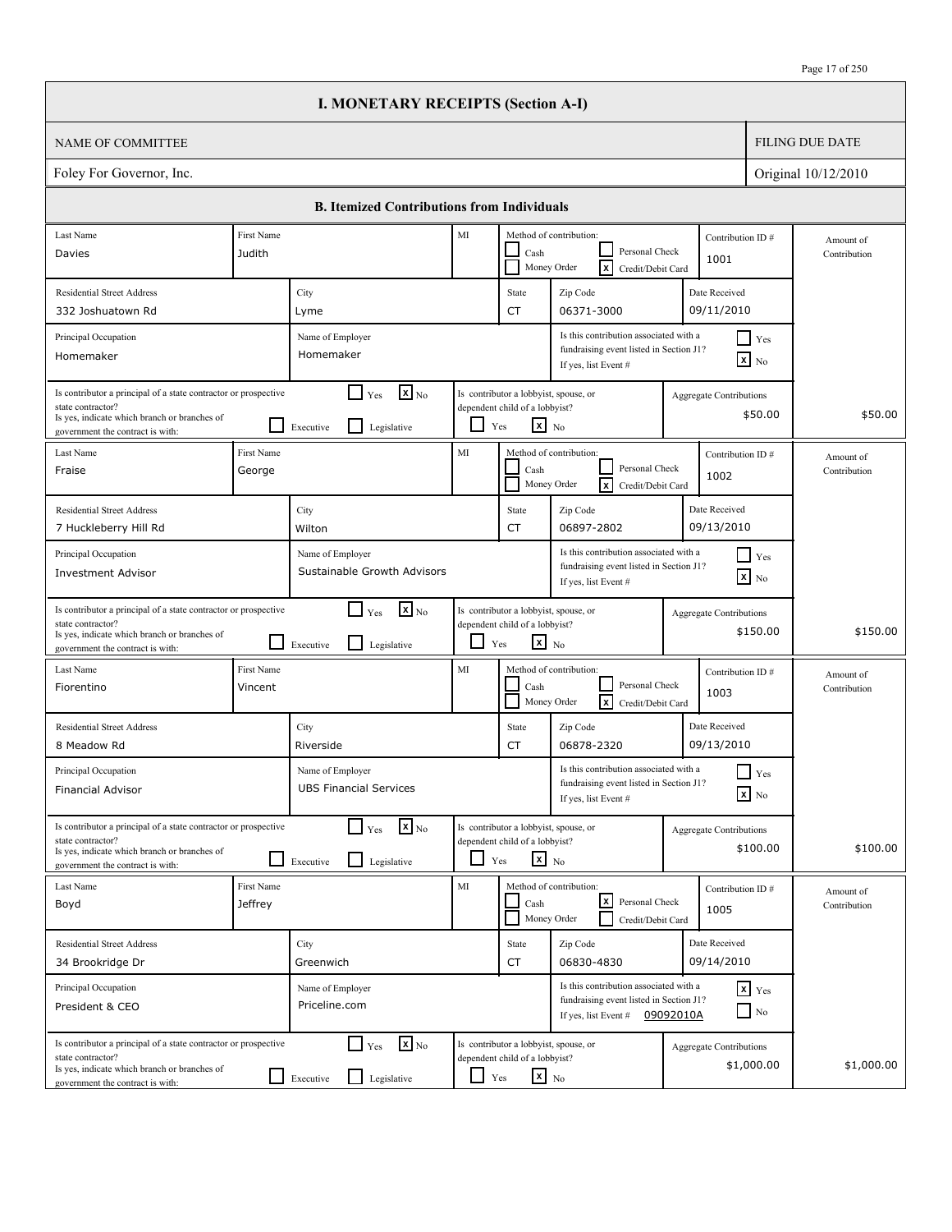$\overline{\phantom{a}}$ 

|                                                                                                                                                                          |                              | <b>I. MONETARY RECEIPTS (Section A-I)</b>                                   |                          |                                                                                            |                                                                                                                        |                                               |                           |
|--------------------------------------------------------------------------------------------------------------------------------------------------------------------------|------------------------------|-----------------------------------------------------------------------------|--------------------------|--------------------------------------------------------------------------------------------|------------------------------------------------------------------------------------------------------------------------|-----------------------------------------------|---------------------------|
| <b>NAME OF COMMITTEE</b>                                                                                                                                                 |                              |                                                                             |                          |                                                                                            |                                                                                                                        |                                               | <b>FILING DUE DATE</b>    |
| Foley For Governor, Inc.                                                                                                                                                 |                              |                                                                             |                          |                                                                                            |                                                                                                                        |                                               | Original 10/12/2010       |
|                                                                                                                                                                          |                              | <b>B. Itemized Contributions from Individuals</b>                           |                          |                                                                                            |                                                                                                                        |                                               |                           |
| Last Name                                                                                                                                                                | First Name                   |                                                                             | MI                       |                                                                                            | Method of contribution:                                                                                                | Contribution ID#                              | Amount of                 |
| Davies                                                                                                                                                                   | Judith                       |                                                                             |                          | Cash<br>Money Order                                                                        | Personal Check<br>Γx<br>Credit/Debit Card                                                                              | 1001                                          | Contribution              |
| <b>Residential Street Address</b>                                                                                                                                        |                              | City                                                                        |                          | State                                                                                      | Zip Code                                                                                                               | Date Received                                 |                           |
| 332 Joshuatown Rd                                                                                                                                                        |                              | Lyme                                                                        |                          | CT                                                                                         | 06371-3000                                                                                                             | 09/11/2010                                    |                           |
| Principal Occupation<br>Homemaker                                                                                                                                        |                              | Name of Employer<br>Homemaker                                               |                          |                                                                                            | Is this contribution associated with a<br>fundraising event listed in Section J1?<br>If yes, list Event #              | $\Box$ Yes<br>$\mathbf{X}$ No                 |                           |
| Is contributor a principal of a state contractor or prospective<br>state contractor?<br>Is yes, indicate which branch or branches of<br>government the contract is with: |                              | $\mathbf{x}$ <sub>No</sub><br>$\Box$ Yes<br>l 1<br>Legislative<br>Executive |                          | Is contributor a lobbyist, spouse, or<br>dependent child of a lobbyist?<br>$x_{N0}$<br>Yes |                                                                                                                        | Aggregate Contributions<br>\$50.00            | \$50.00                   |
| Last Name<br>Fraise                                                                                                                                                      | First Name<br>George         |                                                                             | MI                       | Cash<br>Money Order                                                                        | Method of contribution:<br>Personal Check<br>$\sqrt{x}$<br>Credit/Debit Card                                           | Contribution ID#<br>1002                      | Amount of<br>Contribution |
| <b>Residential Street Address</b><br>7 Huckleberry Hill Rd                                                                                                               |                              | City<br>Wilton                                                              |                          | State<br>CT                                                                                | Zip Code<br>06897-2802                                                                                                 | Date Received<br>09/13/2010                   |                           |
| Principal Occupation<br><b>Investment Advisor</b>                                                                                                                        |                              | Name of Employer<br>Sustainable Growth Advisors                             |                          |                                                                                            | Is this contribution associated with a<br>fundraising event listed in Section J1?<br>If yes, list Event #              | $\blacksquare$ Yes<br>$\boxed{\mathbf{x}}$ No |                           |
| Is contributor a principal of a state contractor or prospective<br>state contractor?<br>Is yes, indicate which branch or branches of<br>government the contract is with: | <b>.</b>                     | $\mathbf{x}$ <sub>No</sub><br>$\Box$ Yes<br>l 1<br>Legislative<br>Executive | $\overline{\phantom{0}}$ | Is contributor a lobbyist, spouse, or<br>dependent child of a lobbyist?<br>$x_{N0}$<br>Yes |                                                                                                                        | Aggregate Contributions<br>\$150.00           | \$150.00                  |
| Last Name<br>Fiorentino                                                                                                                                                  | First Name<br>Vincent        |                                                                             | MI                       | Cash<br>Money Order                                                                        | Method of contribution:<br>Personal Check<br>Гx<br>Credit/Debit Card                                                   | Contribution ID#<br>1003                      | Amount of<br>Contribution |
| <b>Residential Street Address</b><br>8 Meadow Rd                                                                                                                         |                              | City<br>Riverside                                                           |                          | State<br>CT                                                                                | Zip Code<br>06878-2320                                                                                                 | Date Received<br>09/13/2010                   |                           |
| Principal Occupation<br><b>Financial Advisor</b>                                                                                                                         |                              | Name of Employer<br><b>UBS Financial Services</b>                           |                          |                                                                                            | Is this contribution associated with a<br>fundraising event listed in Section J1?<br>If yes, list Event #              | Yes<br>$\mathbf{X}$ No                        |                           |
| Is contributor a principal of a state contractor or prospective<br>state contractor?<br>Is yes, indicate which branch or branches of<br>government the contract is with: |                              | $\mathbf{X}_{\text{No}}$<br>$\Gamma$ Yes<br>Legislative<br>Executive        | ப                        | Is contributor a lobbyist, spouse, or<br>dependent child of a lobbyist?<br>$x_{N0}$<br>Yes |                                                                                                                        | <b>Aggregate Contributions</b><br>\$100.00    | \$100.00                  |
| Last Name<br>Boyd                                                                                                                                                        | First Name<br><b>Jeffrey</b> |                                                                             | MI                       | Cash                                                                                       | Method of contribution:<br> x <br>Personal Check<br>Money Order<br>Credit/Debit Card                                   | Contribution ID#<br>1005                      | Amount of<br>Contribution |
| <b>Residential Street Address</b><br>34 Brookridge Dr                                                                                                                    |                              | City<br>Greenwich                                                           |                          | State<br>CT                                                                                | Zip Code<br>06830-4830                                                                                                 | Date Received<br>09/14/2010                   |                           |
| Principal Occupation<br>President & CEO                                                                                                                                  |                              | Name of Employer<br>Priceline.com                                           |                          |                                                                                            | Is this contribution associated with a<br>fundraising event listed in Section J1?<br>If yes, list Event $\#$ 09092010A | $\mathbf{x}$ Yes<br>$\Box$ No                 |                           |
| Is contributor a principal of a state contractor or prospective<br>state contractor?<br>Is yes, indicate which branch or branches of<br>government the contract is with: |                              | $\mathbf{x}$ <sub>No</sub><br>$\Box$ Yes<br>Legislative<br>Executive        | $\Box$ Yes               | Is contributor a lobbyist, spouse, or<br>dependent child of a lobbyist?<br>$\mathbf{x}$ No |                                                                                                                        | <b>Aggregate Contributions</b><br>\$1,000.00  | \$1,000.00                |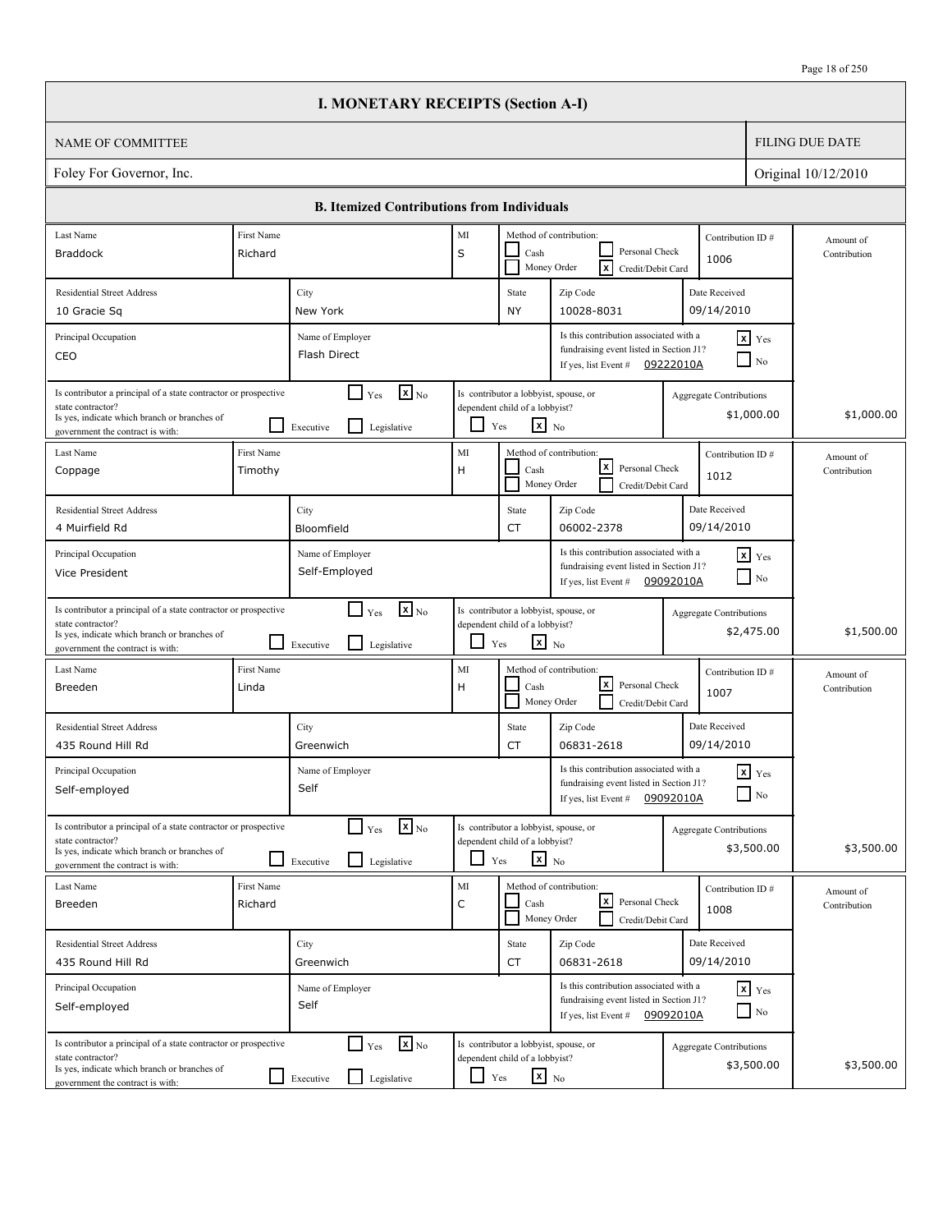|                                                                                                                                                                          |                       | <b>I. MONETARY RECEIPTS (Section A-I)</b>                                                                                                                                          |                          |                                                                                                   |                                                                                                           |           |                                              |                           |
|--------------------------------------------------------------------------------------------------------------------------------------------------------------------------|-----------------------|------------------------------------------------------------------------------------------------------------------------------------------------------------------------------------|--------------------------|---------------------------------------------------------------------------------------------------|-----------------------------------------------------------------------------------------------------------|-----------|----------------------------------------------|---------------------------|
| <b>NAME OF COMMITTEE</b>                                                                                                                                                 |                       |                                                                                                                                                                                    |                          |                                                                                                   |                                                                                                           |           |                                              | <b>FILING DUE DATE</b>    |
| Foley For Governor, Inc.                                                                                                                                                 |                       |                                                                                                                                                                                    |                          |                                                                                                   |                                                                                                           |           |                                              | Original 10/12/2010       |
|                                                                                                                                                                          |                       | <b>B. Itemized Contributions from Individuals</b>                                                                                                                                  |                          |                                                                                                   |                                                                                                           |           |                                              |                           |
| Last Name                                                                                                                                                                | First Name            |                                                                                                                                                                                    | MI                       |                                                                                                   | Method of contribution:                                                                                   |           | Contribution ID#                             | Amount of                 |
| <b>Braddock</b>                                                                                                                                                          | Richard               |                                                                                                                                                                                    | S                        | Cash<br>Money Order                                                                               | Personal Check<br>$\overline{\mathbf{x}}$<br>Credit/Debit Card                                            |           | 1006                                         | Contribution              |
| <b>Residential Street Address</b>                                                                                                                                        |                       | City                                                                                                                                                                               |                          | State                                                                                             | Zip Code                                                                                                  |           | Date Received                                |                           |
| 10 Gracie Sq                                                                                                                                                             |                       | New York                                                                                                                                                                           |                          | NY                                                                                                | 10028-8031                                                                                                |           | 09/14/2010                                   |                           |
| Principal Occupation<br>CEO                                                                                                                                              |                       | Is this contribution associated with a<br>$x$ Yes<br>Name of Employer<br>fundraising event listed in Section J1?<br>Flash Direct<br>$\Box$ No<br>If yes, list Event #<br>09222010A |                          |                                                                                                   |                                                                                                           |           |                                              |                           |
| Is contributor a principal of a state contractor or prospective<br>state contractor?<br>Is yes, indicate which branch or branches of<br>government the contract is with: |                       | $\mathbf{X}_{\text{No}}$<br>$\blacksquare$<br>Yes<br>l 1<br>Legislative<br>Executive                                                                                               |                          | Is contributor a lobbyist, spouse, or<br>dependent child of a lobbyist?<br>$x_{N0}$<br>Yes        |                                                                                                           |           | Aggregate Contributions<br>\$1,000.00        | \$1,000.00                |
| Last Name<br>Coppage                                                                                                                                                     | First Name<br>Timothy |                                                                                                                                                                                    | MI<br>H                  | Cash<br>Money Order                                                                               | Method of contribution:<br>$\lfloor x \rfloor$<br>Personal Check<br>Credit/Debit Card                     |           | Contribution ID#<br>1012                     | Amount of<br>Contribution |
| <b>Residential Street Address</b>                                                                                                                                        |                       | City                                                                                                                                                                               |                          | State                                                                                             | Zip Code                                                                                                  |           | Date Received                                |                           |
| 4 Muirfield Rd                                                                                                                                                           |                       | Bloomfield                                                                                                                                                                         |                          | CT                                                                                                | 06002-2378                                                                                                |           | 09/14/2010                                   |                           |
| Principal Occupation<br>Vice President                                                                                                                                   |                       | Name of Employer<br>Self-Employed                                                                                                                                                  |                          |                                                                                                   | Is this contribution associated with a<br>fundraising event listed in Section J1?<br>If yes, list Event # | 09092010A | $\mathbf{x}$ Yes<br>$\Box$ No                |                           |
| Is contributor a principal of a state contractor or prospective<br>state contractor?<br>Is yes, indicate which branch or branches of<br>government the contract is with: |                       | $\mathbf{x}$ <sub>No</sub><br>$\Box$ Yes<br>l 1<br>Legislative<br>Executive                                                                                                        | $\overline{\phantom{0}}$ | Is contributor a lobbyist, spouse, or<br>dependent child of a lobbyist?<br>$\mathbf{x}$ No<br>Yes |                                                                                                           |           | Aggregate Contributions<br>\$2,475.00        | \$1,500.00                |
| Last Name<br>Breeden                                                                                                                                                     | First Name<br>Linda   |                                                                                                                                                                                    | MI<br>H                  | Cash                                                                                              | Method of contribution:<br> x <br>Personal Check<br>Money Order<br>Credit/Debit Card                      |           | Contribution ID#<br>1007                     | Amount of<br>Contribution |
| <b>Residential Street Address</b><br>435 Round Hill Rd                                                                                                                   |                       | City<br>Greenwich                                                                                                                                                                  |                          | State<br>CT                                                                                       | Zip Code<br>06831-2618                                                                                    |           | Date Received<br>09/14/2010                  |                           |
| Principal Occupation<br>Self-employed                                                                                                                                    |                       | Name of Employer<br>Self                                                                                                                                                           |                          |                                                                                                   | Is this contribution associated with a<br>fundraising event listed in Section J1?<br>If yes, list Event # | 09092010A | $x$ $Yes$<br>$\Box$ No                       |                           |
| Is contributor a principal of a state contractor or prospective<br>state contractor?<br>Is yes, indicate which branch or branches of<br>government the contract is with: |                       | $\mathbf{X}_{\text{No}}$<br>$\Box$ Yes<br>Legislative<br>Executive                                                                                                                 | $\Box$                   | Is contributor a lobbyist, spouse, or<br>dependent child of a lobbyist?<br>$x_{N0}$<br>Yes        |                                                                                                           |           | <b>Aggregate Contributions</b><br>\$3,500.00 | \$3,500.00                |
| Last Name<br>Breeden                                                                                                                                                     | First Name<br>Richard |                                                                                                                                                                                    | $\rm MI$<br>$\mathsf C$  | Cash                                                                                              | Method of contribution:<br>كا<br>Personal Check<br>Money Order<br>Credit/Debit Card                       |           | Contribution ID#<br>1008                     | Amount of<br>Contribution |
| <b>Residential Street Address</b>                                                                                                                                        |                       | City                                                                                                                                                                               |                          | State                                                                                             | Zip Code                                                                                                  |           | Date Received                                |                           |
| 435 Round Hill Rd                                                                                                                                                        |                       | Greenwich                                                                                                                                                                          |                          | CT                                                                                                | 06831-2618                                                                                                |           | 09/14/2010                                   |                           |
| Principal Occupation<br>Self-employed                                                                                                                                    |                       | Name of Employer<br>Self                                                                                                                                                           |                          |                                                                                                   | Is this contribution associated with a<br>fundraising event listed in Section J1?<br>If yes, list Event # | 09092010A | $x$ $y$ <sub>es</sub><br>$\Box$ No           |                           |
| Is contributor a principal of a state contractor or prospective<br>state contractor?<br>Is yes, indicate which branch or branches of<br>government the contract is with: |                       | $\mathbf{X}$ <sub>No</sub><br>$\Box$ Yes<br>$\Box$<br>Legislative<br>Executive                                                                                                     | ப                        | Is contributor a lobbyist, spouse, or<br>dependent child of a lobbyist?<br>$\mathbf{x}$ No<br>Yes |                                                                                                           |           | <b>Aggregate Contributions</b><br>\$3,500.00 | \$3,500.00                |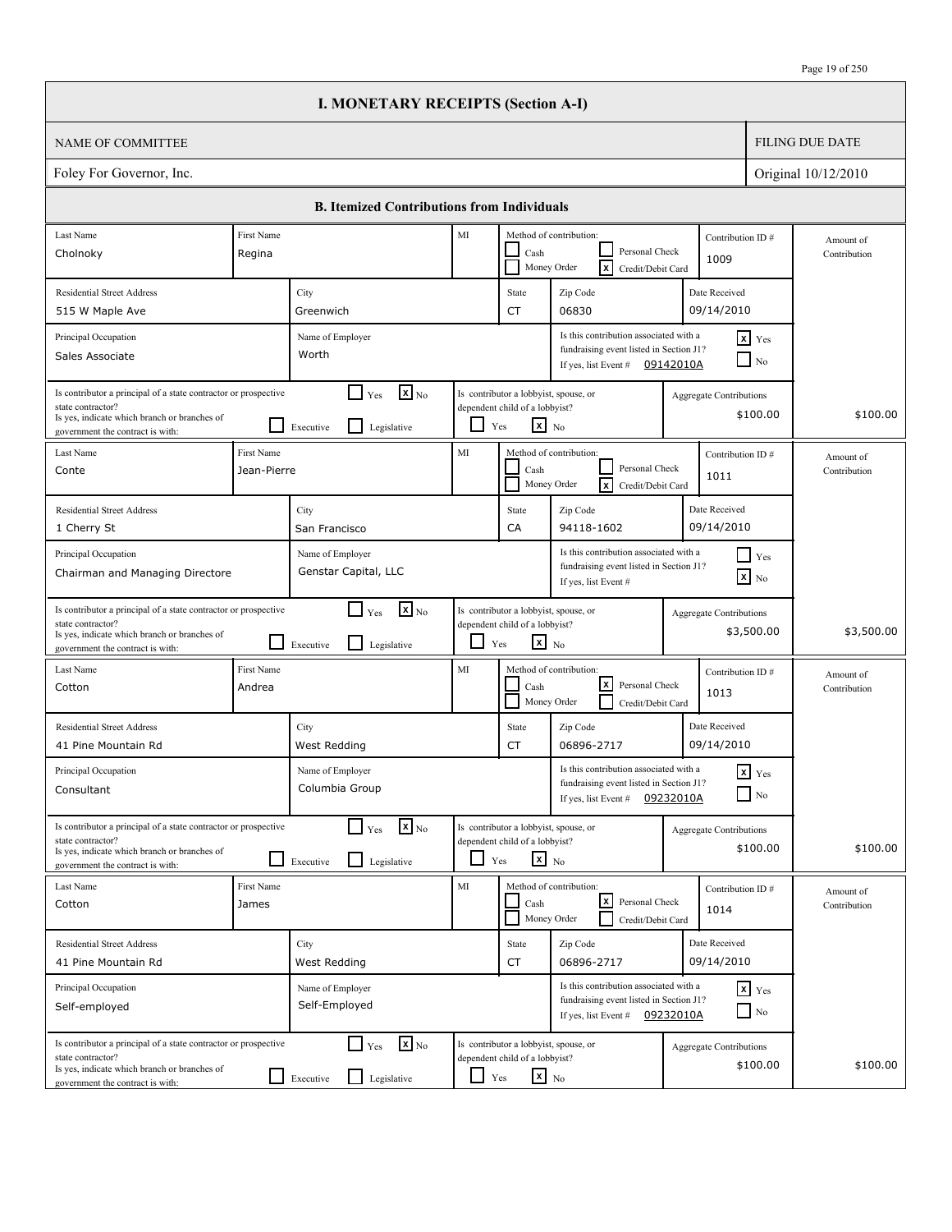|                                                                                                                                                                          |                                        | <b>I. MONETARY RECEIPTS (Section A-I)</b>                                                                                                                                   |                          |                                                                                                   |                                                                                                             |           |                                            |                           |
|--------------------------------------------------------------------------------------------------------------------------------------------------------------------------|----------------------------------------|-----------------------------------------------------------------------------------------------------------------------------------------------------------------------------|--------------------------|---------------------------------------------------------------------------------------------------|-------------------------------------------------------------------------------------------------------------|-----------|--------------------------------------------|---------------------------|
| <b>NAME OF COMMITTEE</b>                                                                                                                                                 |                                        |                                                                                                                                                                             |                          |                                                                                                   |                                                                                                             |           |                                            | <b>FILING DUE DATE</b>    |
| Foley For Governor, Inc.                                                                                                                                                 |                                        |                                                                                                                                                                             |                          |                                                                                                   |                                                                                                             |           |                                            | Original 10/12/2010       |
|                                                                                                                                                                          |                                        | <b>B. Itemized Contributions from Individuals</b>                                                                                                                           |                          |                                                                                                   |                                                                                                             |           |                                            |                           |
| Last Name                                                                                                                                                                | First Name                             |                                                                                                                                                                             | MI                       |                                                                                                   | Method of contribution:                                                                                     |           | Contribution ID#                           | Amount of                 |
| Cholnoky                                                                                                                                                                 | Regina                                 |                                                                                                                                                                             |                          | Cash<br>Money Order                                                                               | Personal Check<br>$\overline{\mathbf{x}}$<br>Credit/Debit Card                                              |           | 1009                                       | Contribution              |
| <b>Residential Street Address</b>                                                                                                                                        |                                        | City                                                                                                                                                                        |                          | State                                                                                             | Zip Code                                                                                                    |           | Date Received                              |                           |
| 515 W Maple Ave                                                                                                                                                          | 09/14/2010<br>06830<br>Greenwich<br>CT |                                                                                                                                                                             |                          |                                                                                                   |                                                                                                             |           |                                            |                           |
| Principal Occupation<br>Sales Associate                                                                                                                                  |                                        | Is this contribution associated with a<br>$x$ Yes<br>Name of Employer<br>fundraising event listed in Section J1?<br>Worth<br>$\Box$ No<br>If yes, list Event #<br>09142010A |                          |                                                                                                   |                                                                                                             |           |                                            |                           |
| Is contributor a principal of a state contractor or prospective<br>state contractor?<br>Is yes, indicate which branch or branches of<br>government the contract is with: |                                        | $\mathbf{X}$ <sub>No</sub><br>$\blacksquare$<br>Yes<br>l 1<br>Legislative<br>Executive                                                                                      |                          | Is contributor a lobbyist, spouse, or<br>dependent child of a lobbyist?<br>$x_{N0}$<br>Yes        |                                                                                                             |           | Aggregate Contributions<br>\$100.00        | \$100.00                  |
| Last Name<br>Conte                                                                                                                                                       | First Name<br>Jean-Pierre              |                                                                                                                                                                             | MI                       | Cash<br>Money Order                                                                               | Method of contribution:<br>Personal Check<br> x<br>Credit/Debit Card                                        |           | Contribution ID#<br>1011                   | Amount of<br>Contribution |
| <b>Residential Street Address</b>                                                                                                                                        |                                        | City                                                                                                                                                                        |                          | State                                                                                             | Zip Code                                                                                                    |           | Date Received                              |                           |
| 1 Cherry St                                                                                                                                                              |                                        | San Francisco                                                                                                                                                               |                          | CA                                                                                                | 94118-1602                                                                                                  |           | 09/14/2010                                 |                           |
| Principal Occupation<br>Chairman and Managing Directore                                                                                                                  |                                        | Name of Employer<br>Genstar Capital, LLC                                                                                                                                    |                          |                                                                                                   | Is this contribution associated with a<br>fundraising event listed in Section J1?<br>If yes, list Event #   |           | $\Box$ Yes<br>$\boxed{\mathbf{x}}$ No      |                           |
| Is contributor a principal of a state contractor or prospective<br>state contractor?<br>Is yes, indicate which branch or branches of<br>government the contract is with: |                                        | $\mathbf{x}$ <sub>No</sub><br>$\Box$ Yes<br>l 1<br>Legislative<br>Executive                                                                                                 | $\overline{\phantom{0}}$ | Is contributor a lobbyist, spouse, or<br>dependent child of a lobbyist?<br>$\mathbf{x}$ No<br>Yes |                                                                                                             |           | Aggregate Contributions<br>\$3,500.00      | \$3,500.00                |
| Last Name<br>Cotton                                                                                                                                                      | First Name<br>Andrea                   |                                                                                                                                                                             | MI                       | Cash<br>Money Order                                                                               | Method of contribution:<br> x <br>Personal Check<br>Credit/Debit Card                                       |           | Contribution ID#<br>1013                   | Amount of<br>Contribution |
| <b>Residential Street Address</b><br>41 Pine Mountain Rd                                                                                                                 |                                        | City<br>West Redding                                                                                                                                                        |                          | State<br>CT                                                                                       | Zip Code<br>06896-2717                                                                                      |           | Date Received<br>09/14/2010                |                           |
| Principal Occupation<br>Consultant                                                                                                                                       |                                        | Name of Employer<br>Columbia Group                                                                                                                                          |                          |                                                                                                   | Is this contribution associated with a<br>fundraising event listed in Section J1?<br>If yes, list Event $#$ | 09232010A | $x$ $Yes$<br>$\Box$ No                     |                           |
| Is contributor a principal of a state contractor or prospective<br>state contractor?<br>Is yes, indicate which branch or branches of<br>government the contract is with: |                                        | $\mathbf{x}$ <sub>No</sub><br>$\Box$ Yes<br>Legislative<br>Executive                                                                                                        | $\Box$                   | Is contributor a lobbyist, spouse, or<br>dependent child of a lobbyist?<br>$x_{N0}$<br>Yes        |                                                                                                             |           | <b>Aggregate Contributions</b><br>\$100.00 | \$100.00                  |
| Last Name<br>Cotton                                                                                                                                                      | First Name<br>James                    |                                                                                                                                                                             | MI                       | Cash<br>Money Order                                                                               | Method of contribution:<br>كا<br>Personal Check<br>Credit/Debit Card                                        |           | Contribution ID#<br>1014                   | Amount of<br>Contribution |
| <b>Residential Street Address</b>                                                                                                                                        |                                        | City                                                                                                                                                                        |                          | State                                                                                             | Zip Code                                                                                                    |           | Date Received                              |                           |
| 41 Pine Mountain Rd                                                                                                                                                      |                                        | West Redding                                                                                                                                                                |                          | CT                                                                                                | 06896-2717                                                                                                  |           | 09/14/2010                                 |                           |
| Principal Occupation<br>Self-employed                                                                                                                                    |                                        | Name of Employer<br>Self-Employed                                                                                                                                           |                          |                                                                                                   | Is this contribution associated with a<br>fundraising event listed in Section J1?<br>If yes, list Event #   | 09232010A | $x$ $y$ <sub>es</sub><br>$\Box$ No         |                           |
| Is contributor a principal of a state contractor or prospective<br>state contractor?<br>Is yes, indicate which branch or branches of<br>government the contract is with: |                                        | $\Gamma$ Yes<br>$\mathbf{x}$ <sub>No</sub><br>Legislative<br>Executive                                                                                                      | ப                        | Is contributor a lobbyist, spouse, or<br>dependent child of a lobbyist?<br>$\mathbf{x}$ No<br>Yes |                                                                                                             |           | <b>Aggregate Contributions</b><br>\$100.00 | \$100.00                  |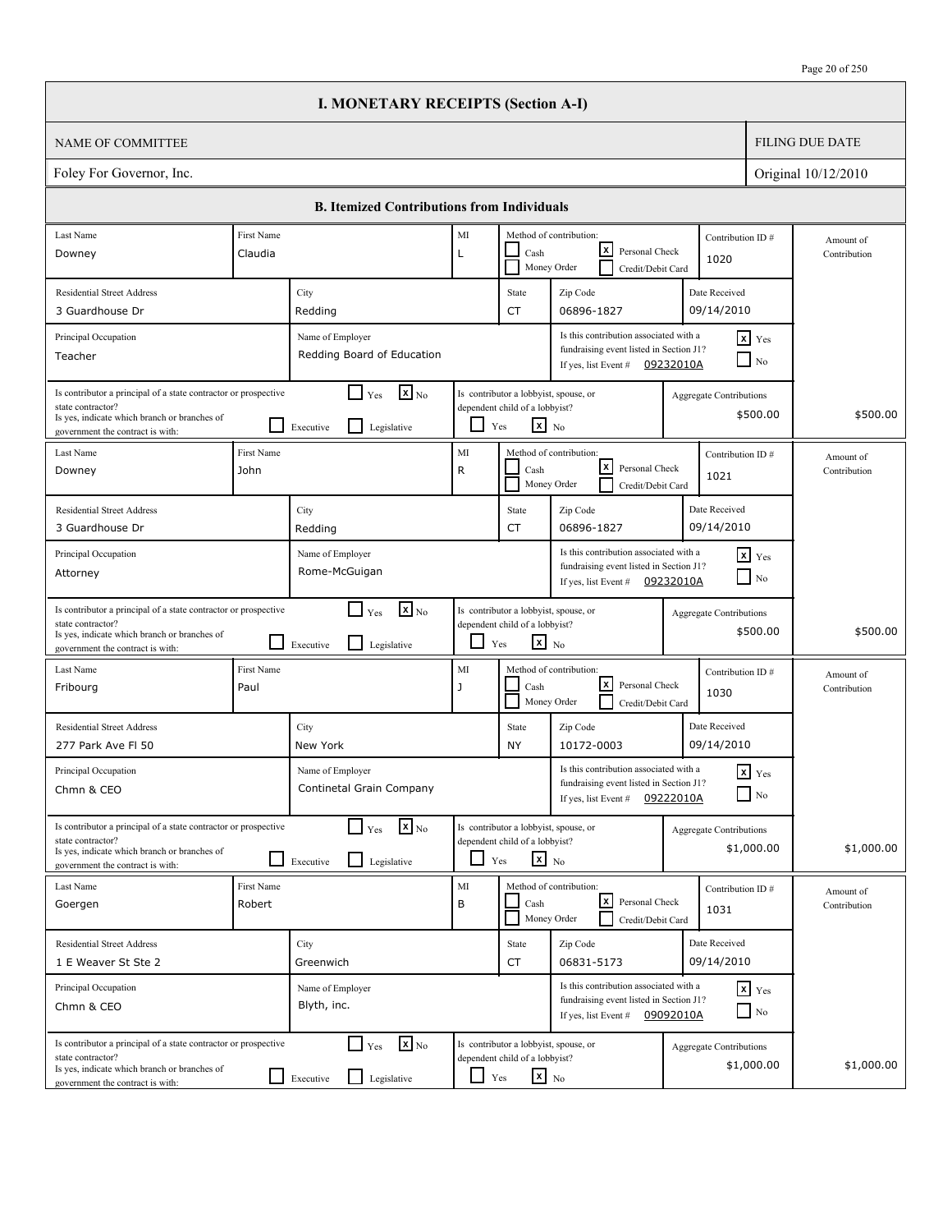|                                                                                                                                                                          |                           | <b>I. MONETARY RECEIPTS (Section A-I)</b>                                   |                    |                                                                                                   |                                                                                                                        |                                |                                        |                           |
|--------------------------------------------------------------------------------------------------------------------------------------------------------------------------|---------------------------|-----------------------------------------------------------------------------|--------------------|---------------------------------------------------------------------------------------------------|------------------------------------------------------------------------------------------------------------------------|--------------------------------|----------------------------------------|---------------------------|
| <b>NAME OF COMMITTEE</b>                                                                                                                                                 |                           |                                                                             |                    |                                                                                                   |                                                                                                                        |                                |                                        | <b>FILING DUE DATE</b>    |
| Foley For Governor, Inc.                                                                                                                                                 |                           |                                                                             |                    |                                                                                                   |                                                                                                                        |                                |                                        | Original 10/12/2010       |
|                                                                                                                                                                          |                           | <b>B. Itemized Contributions from Individuals</b>                           |                    |                                                                                                   |                                                                                                                        |                                |                                        |                           |
| Last Name<br>Downey                                                                                                                                                      | First Name<br>Claudia     |                                                                             | MI<br>L            | Cash                                                                                              | Method of contribution:<br>lxI<br>Personal Check                                                                       | Contribution ID#               |                                        | Amount of<br>Contribution |
|                                                                                                                                                                          |                           |                                                                             |                    |                                                                                                   | Money Order<br>Credit/Debit Card                                                                                       | 1020                           |                                        |                           |
| <b>Residential Street Address</b><br>3 Guardhouse Dr                                                                                                                     |                           | City<br>Redding                                                             |                    | State<br><b>CT</b>                                                                                | Zip Code<br>06896-1827                                                                                                 | Date Received<br>09/14/2010    |                                        |                           |
| Principal Occupation<br>Teacher                                                                                                                                          |                           | Name of Employer<br>Redding Board of Education                              |                    |                                                                                                   | Is this contribution associated with a<br>fundraising event listed in Section J1?<br>If yes, list Event #              | 09232010A                      | $x$ Yes<br>$\overline{\phantom{a}}$ No |                           |
| Is contributor a principal of a state contractor or prospective<br>state contractor?<br>Is yes, indicate which branch or branches of<br>government the contract is with: |                           | $\mathbf{X}$ <sub>No</sub><br>$\Box$ Yes<br>l I<br>Executive<br>Legislative | ப                  | Is contributor a lobbyist, spouse, or<br>dependent child of a lobbyist?<br>$\mathbf{x}$ No<br>Yes |                                                                                                                        | Aggregate Contributions        | \$500.00                               | \$500.00                  |
| Last Name<br>Downey                                                                                                                                                      | <b>First Name</b><br>John |                                                                             | MI<br>$\mathsf{R}$ | Cash                                                                                              | Method of contribution:<br>lxI<br>Personal Check<br>Money Order<br>Credit/Debit Card                                   | Contribution ID#<br>1021       |                                        | Amount of<br>Contribution |
| <b>Residential Street Address</b><br>3 Guardhouse Dr                                                                                                                     |                           | City<br>Redding                                                             |                    | State<br><b>CT</b>                                                                                | Zip Code<br>06896-1827                                                                                                 | Date Received<br>09/14/2010    |                                        |                           |
| Principal Occupation<br>Attorney                                                                                                                                         |                           | Name of Employer<br>Rome-McGuigan                                           |                    |                                                                                                   | Is this contribution associated with a<br>fundraising event listed in Section J1?<br>If yes, list Event #              | 09232010A                      | $x$ $Y$ es<br>$\Box$ No                |                           |
| Is contributor a principal of a state contractor or prospective<br>state contractor?<br>Is yes, indicate which branch or branches of<br>government the contract is with: |                           | $\mathbf{X}$ <sub>No</sub><br>$\Box$ Yes<br>l 1<br>Legislative<br>Executive | ப                  | Is contributor a lobbyist, spouse, or<br>dependent child of a lobbyist?<br>$\mathbf{x}$ No<br>Yes |                                                                                                                        | <b>Aggregate Contributions</b> | \$500.00                               | \$500.00                  |
| Last Name<br>Fribourg                                                                                                                                                    | First Name<br>Paul        |                                                                             | MI<br>$\mathbf{J}$ | Cash                                                                                              | Method of contribution:<br>lxl<br>Personal Check<br>Money Order<br>Credit/Debit Card                                   | Contribution ID#<br>1030       |                                        | Amount of<br>Contribution |
| <b>Residential Street Address</b><br>277 Park Ave FI 50                                                                                                                  |                           | City<br>New York                                                            |                    | State<br><b>NY</b>                                                                                | Zip Code<br>10172-0003                                                                                                 | Date Received<br>09/14/2010    |                                        |                           |
| Principal Occupation<br>Chmn & CEO                                                                                                                                       |                           | Name of Employer<br>Continetal Grain Company                                |                    |                                                                                                   | Is this contribution associated with a<br>fundraising event listed in Section J1?<br>If yes, list Event $#$            | 09222010A                      | $\mathbf{x}$ Yes<br>$\Box$ No          |                           |
| Is contributor a principal of a state contractor or prospective<br>state contractor?<br>Is yes, indicate which branch or branches of<br>government the contract is with: |                           | $\mathbf{x}$ <sub>No</sub><br>$\Box$ Yes<br>l 1<br>Legislative<br>Executive |                    | Is contributor a lobbyist, spouse, or<br>dependent child of a lobbyist?<br>$x_{N0}$<br>Yes        |                                                                                                                        | <b>Aggregate Contributions</b> | \$1,000.00                             | \$1,000.00                |
| Last Name<br>Goergen                                                                                                                                                     | First Name<br>Robert      |                                                                             | $\rm MI$<br>B      | Cash                                                                                              | Method of contribution:<br>كا<br>Personal Check<br>Money Order<br>Credit/Debit Card                                    | Contribution ID#<br>1031       |                                        | Amount of<br>Contribution |
| <b>Residential Street Address</b><br>1 E Weaver St Ste 2                                                                                                                 |                           | City<br>Greenwich                                                           |                    | State<br>CT                                                                                       | Zip Code<br>06831-5173                                                                                                 | Date Received<br>09/14/2010    |                                        |                           |
| Principal Occupation<br>Chmn & CEO                                                                                                                                       |                           | Name of Employer<br>Blyth, inc.                                             |                    |                                                                                                   | Is this contribution associated with a<br>fundraising event listed in Section J1?<br>If yes, list Event $\#$ 09092010A |                                | $x$ $y$ <sub>es</sub><br>$\Box$ No     |                           |
| Is contributor a principal of a state contractor or prospective<br>state contractor?<br>Is yes, indicate which branch or branches of<br>government the contract is with: |                           | $\mathbf{x}$ <sub>No</sub><br>$\Box$ Yes<br>Legislative<br>$\Box$ Executive | $\Box$ Yes         | Is contributor a lobbyist, spouse, or<br>dependent child of a lobbyist?<br>$\mathbf{x}$ No        |                                                                                                                        | <b>Aggregate Contributions</b> | \$1,000.00                             | \$1,000.00                |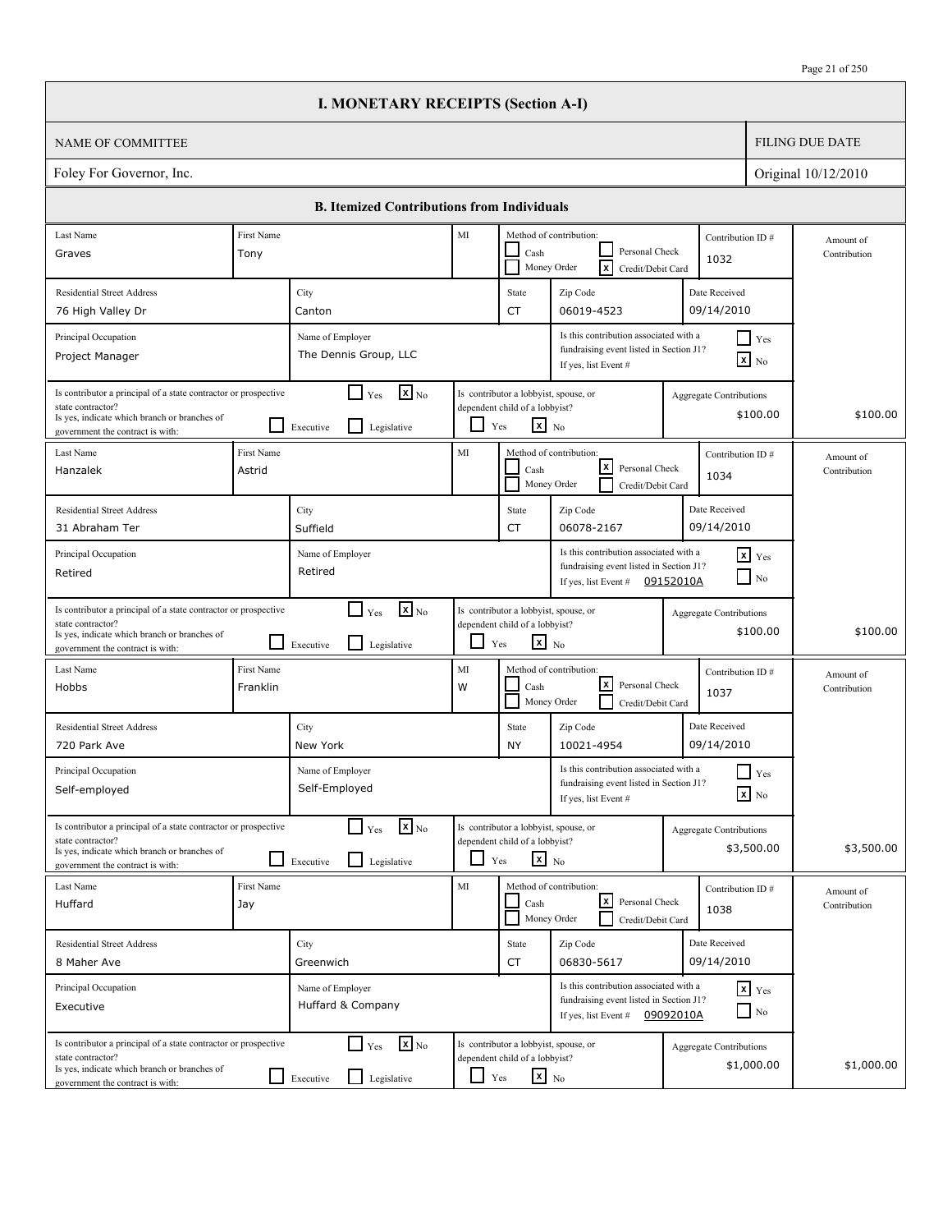|                                                                                                                                                                          |                                                                                                                                                                              | <b>I. MONETARY RECEIPTS (Section A-I)</b>                                   |            |                                                                                                   |                                                                                                                        |                                |                                               |                           |
|--------------------------------------------------------------------------------------------------------------------------------------------------------------------------|------------------------------------------------------------------------------------------------------------------------------------------------------------------------------|-----------------------------------------------------------------------------|------------|---------------------------------------------------------------------------------------------------|------------------------------------------------------------------------------------------------------------------------|--------------------------------|-----------------------------------------------|---------------------------|
| <b>NAME OF COMMITTEE</b>                                                                                                                                                 |                                                                                                                                                                              |                                                                             |            |                                                                                                   |                                                                                                                        |                                |                                               | <b>FILING DUE DATE</b>    |
| Foley For Governor, Inc.                                                                                                                                                 |                                                                                                                                                                              |                                                                             |            |                                                                                                   |                                                                                                                        |                                |                                               | Original 10/12/2010       |
|                                                                                                                                                                          |                                                                                                                                                                              | <b>B. Itemized Contributions from Individuals</b>                           |            |                                                                                                   |                                                                                                                        |                                |                                               |                           |
| Last Name                                                                                                                                                                | First Name                                                                                                                                                                   |                                                                             | MI         |                                                                                                   | Method of contribution:                                                                                                |                                | Contribution ID#                              | Amount of                 |
| Graves                                                                                                                                                                   | Tony                                                                                                                                                                         |                                                                             |            | Cash                                                                                              | Personal Check<br>Γx<br>Money Order<br>Credit/Debit Card                                                               | 1032                           |                                               | Contribution              |
| <b>Residential Street Address</b>                                                                                                                                        |                                                                                                                                                                              | City                                                                        |            | State                                                                                             | Zip Code                                                                                                               | Date Received                  |                                               |                           |
| 76 High Valley Dr                                                                                                                                                        |                                                                                                                                                                              | Canton                                                                      |            | <b>CT</b>                                                                                         | 06019-4523                                                                                                             | 09/14/2010                     |                                               |                           |
| Principal Occupation<br>Project Manager                                                                                                                                  |                                                                                                                                                                              | Name of Employer<br>The Dennis Group, LLC                                   |            |                                                                                                   | Is this contribution associated with a<br>fundraising event listed in Section J1?<br>If yes, list Event #              |                                | $\blacksquare$ Yes<br>$\boxed{\mathbf{x}}$ No |                           |
| Is contributor a principal of a state contractor or prospective<br>state contractor?<br>Is yes, indicate which branch or branches of<br>government the contract is with: |                                                                                                                                                                              | $\mathbf{X}$ <sub>No</sub><br>$\Box$ Yes<br>l I<br>Executive<br>Legislative | ப          | Is contributor a lobbyist, spouse, or<br>dependent child of a lobbyist?<br>$\mathbf{x}$ No<br>Yes |                                                                                                                        | Aggregate Contributions        | \$100.00                                      | \$100.00                  |
| Last Name<br>Hanzalek                                                                                                                                                    | First Name<br>Astrid                                                                                                                                                         |                                                                             | MI         | Cash                                                                                              | Method of contribution:<br>lxI<br>Personal Check<br>Money Order<br>Credit/Debit Card                                   | 1034                           | Contribution ID#                              | Amount of<br>Contribution |
| <b>Residential Street Address</b><br>31 Abraham Ter                                                                                                                      |                                                                                                                                                                              | City<br>Suffield                                                            |            | State<br><b>CT</b>                                                                                | Zip Code<br>06078-2167                                                                                                 | Date Received<br>09/14/2010    |                                               |                           |
| Principal Occupation<br>Retired                                                                                                                                          | Is this contribution associated with a<br>$x$ Yes<br>Name of Employer<br>fundraising event listed in Section J1?<br>Retired<br>$\Box$ No<br>If yes, list Event # $09152010A$ |                                                                             |            |                                                                                                   |                                                                                                                        |                                |                                               |                           |
| Is contributor a principal of a state contractor or prospective<br>state contractor?<br>Is yes, indicate which branch or branches of<br>government the contract is with: |                                                                                                                                                                              | $\mathbf{X}$ <sub>No</sub><br>$\Box$ Yes<br>l 1<br>Legislative<br>Executive | ப          | Is contributor a lobbyist, spouse, or<br>dependent child of a lobbyist?<br>$\mathbf{x}$ No<br>Yes |                                                                                                                        | <b>Aggregate Contributions</b> | \$100.00                                      | \$100.00                  |
| Last Name<br>Hobbs                                                                                                                                                       | First Name<br>Franklin                                                                                                                                                       |                                                                             | MI<br>W    | Cash                                                                                              | Method of contribution:<br>lxl<br>Personal Check<br>Money Order<br>Credit/Debit Card                                   | 1037                           | Contribution ID#                              | Amount of<br>Contribution |
| <b>Residential Street Address</b><br>720 Park Ave                                                                                                                        |                                                                                                                                                                              | City<br>New York                                                            |            | State<br><b>NY</b>                                                                                | Zip Code<br>10021-4954                                                                                                 | Date Received<br>09/14/2010    |                                               |                           |
| Principal Occupation<br>Self-employed                                                                                                                                    |                                                                                                                                                                              | Name of Employer<br>Self-Employed                                           |            |                                                                                                   | Is this contribution associated with a<br>fundraising event listed in Section J1?<br>If yes, list Event #              |                                | $\prod$ Yes<br>$\boxed{\mathbf{x}}$ No        |                           |
| Is contributor a principal of a state contractor or prospective<br>state contractor?<br>Is yes, indicate which branch or branches of<br>government the contract is with: |                                                                                                                                                                              | $\mathbf{x}$ <sub>No</sub><br>$\Box$ Yes<br>l 1<br>Legislative<br>Executive |            | Is contributor a lobbyist, spouse, or<br>dependent child of a lobbyist?<br>$x_{N0}$<br>Yes        |                                                                                                                        | <b>Aggregate Contributions</b> | \$3,500.00                                    | \$3,500.00                |
| Last Name<br>Huffard                                                                                                                                                     | First Name<br>Jay                                                                                                                                                            |                                                                             | MI         | Cash                                                                                              | Method of contribution:<br>كا<br>Personal Check<br>Money Order<br>Credit/Debit Card                                    | 1038                           | Contribution ID#                              | Amount of<br>Contribution |
| <b>Residential Street Address</b>                                                                                                                                        |                                                                                                                                                                              | City                                                                        |            | State                                                                                             | Zip Code                                                                                                               | Date Received                  |                                               |                           |
| 8 Maher Ave                                                                                                                                                              |                                                                                                                                                                              | Greenwich                                                                   |            | CT                                                                                                | 06830-5617                                                                                                             | 09/14/2010                     |                                               |                           |
| Principal Occupation<br>Executive                                                                                                                                        |                                                                                                                                                                              | Name of Employer<br>Huffard & Company                                       |            |                                                                                                   | Is this contribution associated with a<br>fundraising event listed in Section J1?<br>If yes, list Event $\#$ 09092010A |                                | $x$ $y$ <sub>es</sub><br>$\Box$ No            |                           |
| Is contributor a principal of a state contractor or prospective<br>state contractor?<br>Is yes, indicate which branch or branches of<br>government the contract is with: |                                                                                                                                                                              | $\mathbf{x}$ <sub>No</sub><br>$\Box$ Yes<br>Legislative<br>Executive        | $\Box$ Yes | Is contributor a lobbyist, spouse, or<br>dependent child of a lobbyist?<br>$\mathbf{x}$ No        |                                                                                                                        | <b>Aggregate Contributions</b> | \$1,000.00                                    | \$1,000.00                |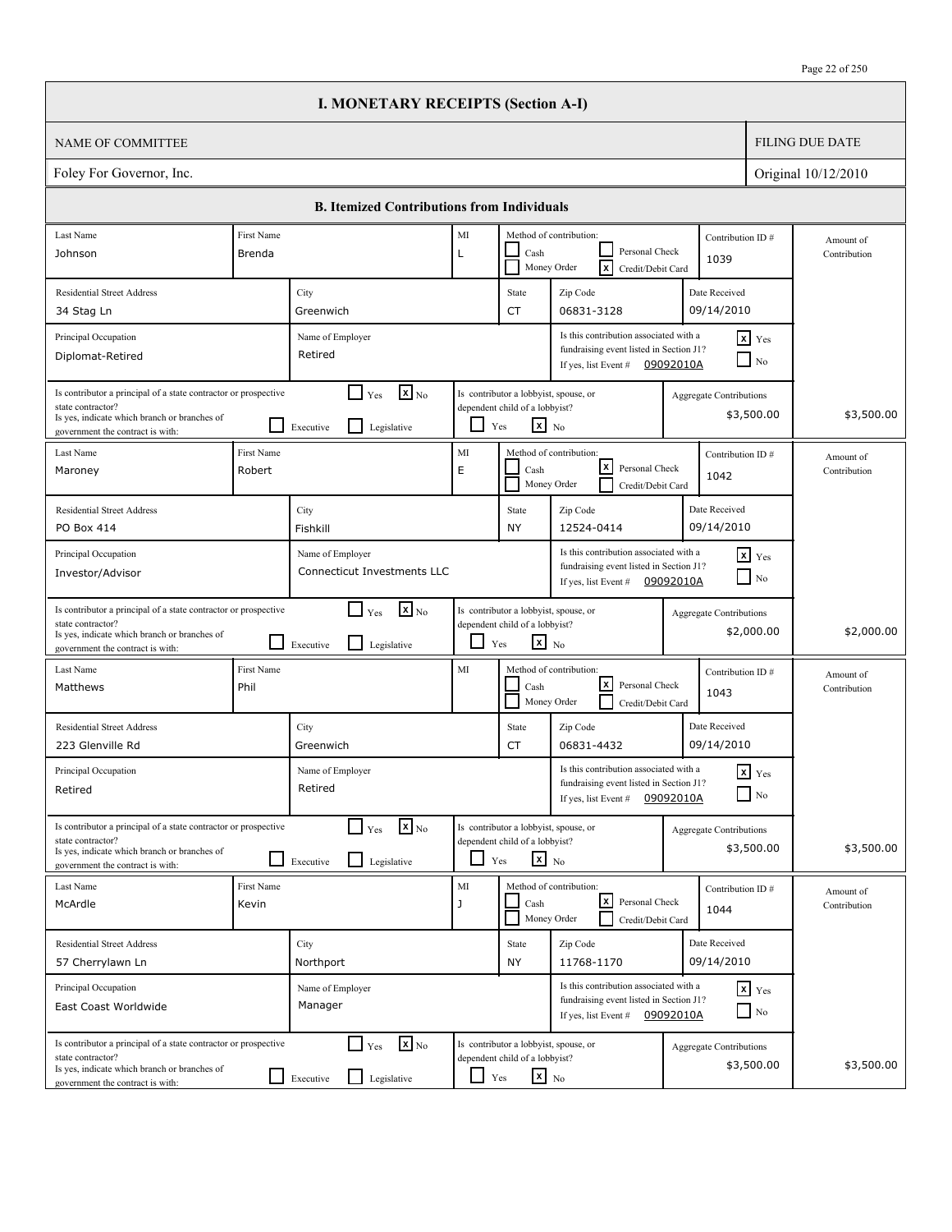|                                                                                                                                                                          |                                                                                                                                                                                                   | <b>I. MONETARY RECEIPTS (Section A-I)</b>                                            |               |                                                                                                   |                                                                                                                        |                                |                                    |                           |
|--------------------------------------------------------------------------------------------------------------------------------------------------------------------------|---------------------------------------------------------------------------------------------------------------------------------------------------------------------------------------------------|--------------------------------------------------------------------------------------|---------------|---------------------------------------------------------------------------------------------------|------------------------------------------------------------------------------------------------------------------------|--------------------------------|------------------------------------|---------------------------|
| <b>NAME OF COMMITTEE</b>                                                                                                                                                 |                                                                                                                                                                                                   |                                                                                      |               |                                                                                                   |                                                                                                                        |                                |                                    | <b>FILING DUE DATE</b>    |
| Foley For Governor, Inc.                                                                                                                                                 |                                                                                                                                                                                                   |                                                                                      |               |                                                                                                   |                                                                                                                        |                                |                                    | Original 10/12/2010       |
|                                                                                                                                                                          |                                                                                                                                                                                                   | <b>B. Itemized Contributions from Individuals</b>                                    |               |                                                                                                   |                                                                                                                        |                                |                                    |                           |
| Last Name                                                                                                                                                                | First Name                                                                                                                                                                                        |                                                                                      | MI            |                                                                                                   | Method of contribution:                                                                                                | Contribution ID#               |                                    | Amount of                 |
| Johnson                                                                                                                                                                  | Brenda                                                                                                                                                                                            |                                                                                      | L             | Cash                                                                                              | Personal Check<br>Γx<br>Money Order<br>Credit/Debit Card                                                               | 1039                           |                                    | Contribution              |
| <b>Residential Street Address</b>                                                                                                                                        |                                                                                                                                                                                                   | City                                                                                 |               | State                                                                                             | Zip Code                                                                                                               | Date Received                  |                                    |                           |
| 34 Stag Ln                                                                                                                                                               |                                                                                                                                                                                                   | Greenwich                                                                            |               | <b>CT</b>                                                                                         | 06831-3128                                                                                                             | 09/14/2010                     |                                    |                           |
| Principal Occupation<br>Diplomat-Retired                                                                                                                                 |                                                                                                                                                                                                   | Name of Employer<br>Retired                                                          |               |                                                                                                   | Is this contribution associated with a<br>fundraising event listed in Section J1?<br>If yes, list Event #              | 09092010A                      | $x$ Yes<br>N <sub>0</sub>          |                           |
| Is contributor a principal of a state contractor or prospective<br>state contractor?<br>Is yes, indicate which branch or branches of<br>government the contract is with: |                                                                                                                                                                                                   | $\mathbf{X}$ <sub>No</sub><br>$\Box$ Yes<br>$\mathsf{L}$<br>Executive<br>Legislative | ப             | Is contributor a lobbyist, spouse, or<br>dependent child of a lobbyist?<br>$\mathbf{x}$ No<br>Yes |                                                                                                                        | Aggregate Contributions        | \$3,500.00                         | \$3,500.00                |
| Last Name<br>Maroney                                                                                                                                                     | <b>First Name</b><br>Robert                                                                                                                                                                       |                                                                                      | MI<br>E       | Cash                                                                                              | Method of contribution:<br>lxI<br>Personal Check<br>Money Order<br>Credit/Debit Card                                   | Contribution ID#<br>1042       |                                    | Amount of<br>Contribution |
| <b>Residential Street Address</b><br>PO Box 414                                                                                                                          |                                                                                                                                                                                                   | City<br>Fishkill                                                                     |               | State<br><b>NY</b>                                                                                | Zip Code<br>12524-0414                                                                                                 | Date Received<br>09/14/2010    |                                    |                           |
| Principal Occupation<br>Investor/Advisor                                                                                                                                 | Is this contribution associated with a<br>$x$ Yes<br>Name of Employer<br>fundraising event listed in Section J1?<br>Connecticut Investments LLC<br>$\Box$ No<br>09092010A<br>If yes, list Event # |                                                                                      |               |                                                                                                   |                                                                                                                        |                                |                                    |                           |
| Is contributor a principal of a state contractor or prospective<br>state contractor?<br>Is yes, indicate which branch or branches of<br>government the contract is with: |                                                                                                                                                                                                   | $\mathbf{X}$ <sub>No</sub><br>$\Box$ Yes<br>l 1<br>Legislative<br>Executive          | ப             | Is contributor a lobbyist, spouse, or<br>dependent child of a lobbyist?<br>$\mathbf{x}$ No<br>Yes |                                                                                                                        | <b>Aggregate Contributions</b> | \$2,000.00                         | \$2,000.00                |
| Last Name<br>Matthews                                                                                                                                                    | First Name<br>Phil                                                                                                                                                                                |                                                                                      | MI            | Cash                                                                                              | Method of contribution:<br>lxl<br>Personal Check<br>Money Order<br>Credit/Debit Card                                   | Contribution ID#<br>1043       |                                    | Amount of<br>Contribution |
| <b>Residential Street Address</b><br>223 Glenville Rd                                                                                                                    |                                                                                                                                                                                                   | City<br>Greenwich                                                                    |               | State<br>CT                                                                                       | Zip Code<br>06831-4432                                                                                                 | Date Received<br>09/14/2010    |                                    |                           |
| Principal Occupation<br>Retired                                                                                                                                          |                                                                                                                                                                                                   | Name of Employer<br>Retired                                                          |               |                                                                                                   | Is this contribution associated with a<br>fundraising event listed in Section J1?<br>If yes, list Event #              | 09092010A                      | $\mathbf{x}$ Yes<br>$\Box$ No      |                           |
| Is contributor a principal of a state contractor or prospective<br>state contractor?<br>Is yes, indicate which branch or branches of<br>government the contract is with: |                                                                                                                                                                                                   | $\mathbf{x}$ <sub>No</sub><br>$\Gamma$ Yes<br>$\Box$<br>Legislative<br>Executive     |               | Is contributor a lobbyist, spouse, or<br>dependent child of a lobbyist?<br>$x_{N0}$<br>Yes        |                                                                                                                        | <b>Aggregate Contributions</b> | \$3,500.00                         | \$3,500.00                |
| Last Name<br>McArdle                                                                                                                                                     | First Name<br>Kevin                                                                                                                                                                               |                                                                                      | $\rm MI$<br>J | Cash                                                                                              | Method of contribution:<br> x <br>Personal Check<br>Money Order<br>Credit/Debit Card                                   | Contribution ID#<br>1044       |                                    | Amount of<br>Contribution |
| <b>Residential Street Address</b><br>57 Cherrylawn Ln                                                                                                                    |                                                                                                                                                                                                   | City<br>Northport                                                                    |               | State<br><b>NY</b>                                                                                | Zip Code<br>11768-1170                                                                                                 | Date Received<br>09/14/2010    |                                    |                           |
| Principal Occupation<br>East Coast Worldwide                                                                                                                             |                                                                                                                                                                                                   | Name of Employer<br>Manager                                                          |               |                                                                                                   | Is this contribution associated with a<br>fundraising event listed in Section J1?<br>If yes, list Event $\#$ 09092010A |                                | $x$ $y$ <sub>es</sub><br>$\Box$ No |                           |
| Is contributor a principal of a state contractor or prospective<br>state contractor?<br>Is yes, indicate which branch or branches of<br>government the contract is with: |                                                                                                                                                                                                   | $\mathbf{x}$ <sub>No</sub><br>$\Box$ Yes<br>Legislative<br>$\Box$ Executive          | ப             | Is contributor a lobbyist, spouse, or<br>dependent child of a lobbyist?<br>$\mathbf{x}$ No<br>Yes |                                                                                                                        | <b>Aggregate Contributions</b> | \$3,500.00                         | \$3,500.00                |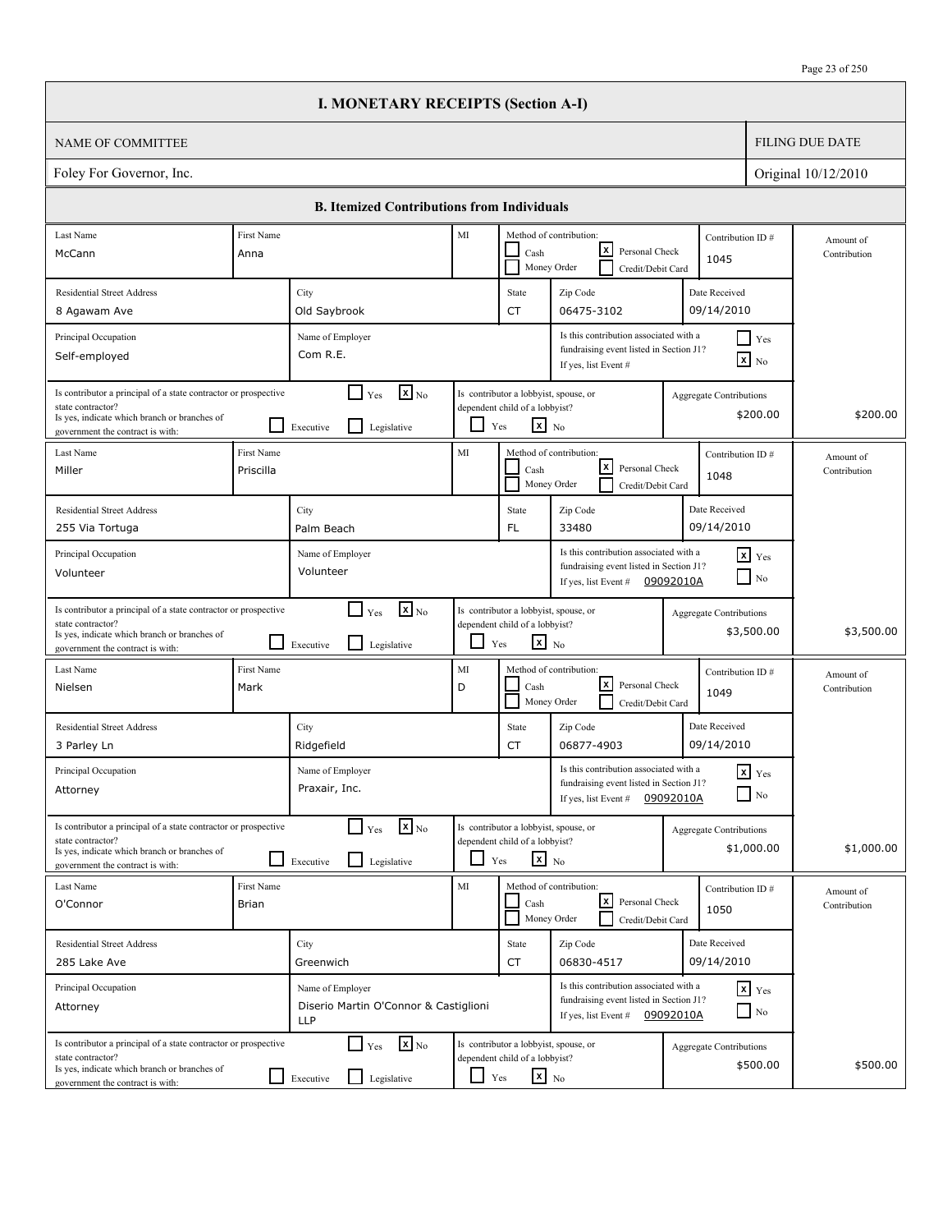|                                                                                                                                                                          |                                                                                                                                                                                 | <b>I. MONETARY RECEIPTS (Section A-I)</b>                                            |            |                                                                                                   |                                                                                                                        |                                |                                               |                           |
|--------------------------------------------------------------------------------------------------------------------------------------------------------------------------|---------------------------------------------------------------------------------------------------------------------------------------------------------------------------------|--------------------------------------------------------------------------------------|------------|---------------------------------------------------------------------------------------------------|------------------------------------------------------------------------------------------------------------------------|--------------------------------|-----------------------------------------------|---------------------------|
| <b>NAME OF COMMITTEE</b>                                                                                                                                                 |                                                                                                                                                                                 |                                                                                      |            |                                                                                                   |                                                                                                                        |                                |                                               | <b>FILING DUE DATE</b>    |
| Foley For Governor, Inc.                                                                                                                                                 |                                                                                                                                                                                 |                                                                                      |            |                                                                                                   |                                                                                                                        |                                |                                               | Original 10/12/2010       |
|                                                                                                                                                                          |                                                                                                                                                                                 | <b>B. Itemized Contributions from Individuals</b>                                    |            |                                                                                                   |                                                                                                                        |                                |                                               |                           |
| Last Name                                                                                                                                                                | First Name                                                                                                                                                                      |                                                                                      | MI         |                                                                                                   | Method of contribution:                                                                                                | Contribution ID#               |                                               | Amount of                 |
| McCann                                                                                                                                                                   | Anna                                                                                                                                                                            |                                                                                      |            | Cash                                                                                              | lxI<br>Personal Check<br>Money Order<br>Credit/Debit Card                                                              | 1045                           |                                               | Contribution              |
| <b>Residential Street Address</b>                                                                                                                                        |                                                                                                                                                                                 | City                                                                                 |            | State                                                                                             | Zip Code                                                                                                               | Date Received                  |                                               |                           |
| 8 Agawam Ave                                                                                                                                                             |                                                                                                                                                                                 | Old Saybrook                                                                         |            | <b>CT</b>                                                                                         | 06475-3102                                                                                                             | 09/14/2010                     |                                               |                           |
| Principal Occupation<br>Self-employed                                                                                                                                    |                                                                                                                                                                                 | Name of Employer<br>Com R.E.                                                         |            |                                                                                                   | Is this contribution associated with a<br>fundraising event listed in Section J1?<br>If yes, list Event #              |                                | $\blacksquare$ Yes<br>$\boxed{\mathbf{x}}$ No |                           |
| Is contributor a principal of a state contractor or prospective<br>state contractor?<br>Is yes, indicate which branch or branches of<br>government the contract is with: |                                                                                                                                                                                 | $\mathbf{X}$ <sub>No</sub><br>$\Box$ Yes<br>$\mathsf{L}$<br>Executive<br>Legislative | ப          | Is contributor a lobbyist, spouse, or<br>dependent child of a lobbyist?<br>$\mathbf{x}$ No<br>Yes |                                                                                                                        | Aggregate Contributions        | \$200.00                                      | \$200.00                  |
| Last Name<br>Miller                                                                                                                                                      | First Name<br>Priscilla                                                                                                                                                         |                                                                                      | MI         | Cash                                                                                              | Method of contribution:<br>lxI<br>Personal Check<br>Money Order<br>Credit/Debit Card                                   | Contribution ID#<br>1048       |                                               | Amount of<br>Contribution |
| <b>Residential Street Address</b><br>255 Via Tortuga                                                                                                                     |                                                                                                                                                                                 | City<br>Palm Beach                                                                   |            | State<br>FL                                                                                       | Zip Code<br>33480                                                                                                      | Date Received<br>09/14/2010    |                                               |                           |
| Principal Occupation<br>Volunteer                                                                                                                                        | Is this contribution associated with a<br>$x$ Yes<br>Name of Employer<br>fundraising event listed in Section J1?<br>Volunteer<br>$\Box$ No<br>If yes, list Event #<br>09092010A |                                                                                      |            |                                                                                                   |                                                                                                                        |                                |                                               |                           |
| Is contributor a principal of a state contractor or prospective<br>state contractor?<br>Is yes, indicate which branch or branches of<br>government the contract is with: |                                                                                                                                                                                 | $\mathbf{X}$ <sub>No</sub><br>$\Box$ Yes<br>l 1<br>Legislative<br>Executive          | ப          | Is contributor a lobbyist, spouse, or<br>dependent child of a lobbyist?<br>$\mathbf{x}$ No<br>Yes |                                                                                                                        | <b>Aggregate Contributions</b> | \$3,500.00                                    | \$3,500.00                |
| Last Name<br>Nielsen                                                                                                                                                     | First Name<br>Mark                                                                                                                                                              |                                                                                      | MI<br>D    | Cash                                                                                              | Method of contribution:<br>lxl<br>Personal Check<br>Money Order<br>Credit/Debit Card                                   | Contribution ID#<br>1049       |                                               | Amount of<br>Contribution |
| <b>Residential Street Address</b><br>3 Parley Ln                                                                                                                         |                                                                                                                                                                                 | City<br>Ridgefield                                                                   |            | State<br>CT                                                                                       | Zip Code<br>06877-4903                                                                                                 | Date Received<br>09/14/2010    |                                               |                           |
| Principal Occupation<br>Attorney                                                                                                                                         |                                                                                                                                                                                 | Name of Employer<br>Praxair, Inc.                                                    |            |                                                                                                   | Is this contribution associated with a<br>fundraising event listed in Section J1?<br>If yes, list Event #              | 09092010A                      | $\mathbf{x}$ Yes<br>$\Box$ No                 |                           |
| Is contributor a principal of a state contractor or prospective<br>state contractor?<br>Is yes, indicate which branch or branches of<br>government the contract is with: |                                                                                                                                                                                 | $\mathbf{x}$ <sub>No</sub><br>$\Box$ Yes<br>$\mathsf{L}$<br>Legislative<br>Executive |            | Is contributor a lobbyist, spouse, or<br>dependent child of a lobbyist?<br>$x_{N0}$<br>Yes        |                                                                                                                        | <b>Aggregate Contributions</b> | \$1,000.00                                    | \$1,000.00                |
| Last Name<br>O'Connor                                                                                                                                                    | First Name<br>Brian                                                                                                                                                             |                                                                                      | MI         | Cash<br>Money Order                                                                               | Method of contribution:<br>l×l<br>Personal Check<br>Credit/Debit Card                                                  | Contribution ID#<br>1050       |                                               | Amount of<br>Contribution |
| <b>Residential Street Address</b>                                                                                                                                        |                                                                                                                                                                                 | City                                                                                 |            | State                                                                                             | Zip Code                                                                                                               | Date Received                  |                                               |                           |
| 285 Lake Ave                                                                                                                                                             |                                                                                                                                                                                 | Greenwich                                                                            |            | CT                                                                                                | 06830-4517                                                                                                             | 09/14/2010                     |                                               |                           |
| Principal Occupation<br>Attorney                                                                                                                                         |                                                                                                                                                                                 | Name of Employer<br>Diserio Martin O'Connor & Castiglioni<br><b>LLP</b>              |            |                                                                                                   | Is this contribution associated with a<br>fundraising event listed in Section J1?<br>If yes, list Event $\#$ 09092010A |                                | $x$ $y$ <sub>es</sub><br>$\Box$ No            |                           |
| Is contributor a principal of a state contractor or prospective<br>state contractor?<br>Is yes, indicate which branch or branches of<br>government the contract is with: |                                                                                                                                                                                 | $\mathbf{x}$ <sub>No</sub><br>$\Box$ Yes<br>Legislative<br>$\Box$ Executive          | $\Box$ Yes | Is contributor a lobbyist, spouse, or<br>dependent child of a lobbyist?<br>$\mathbf{x}$ No        |                                                                                                                        | <b>Aggregate Contributions</b> | \$500.00                                      | \$500.00                  |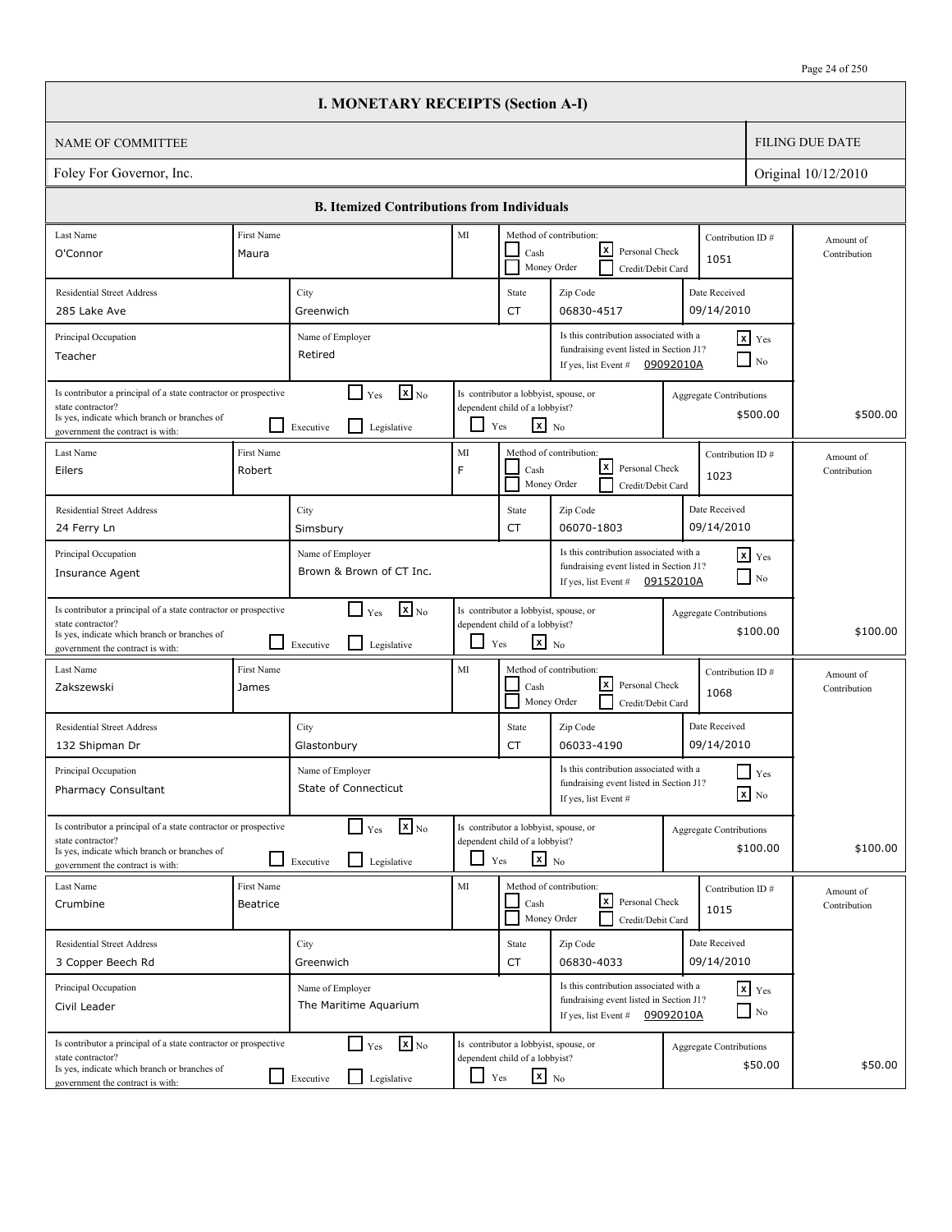|                                                                                                                                                                          |                                                                                                                                                                               | <b>I. MONETARY RECEIPTS (Section A-I)</b>                                              |              |                                                                                                   |                                                                                                           |           |                                            |                           |
|--------------------------------------------------------------------------------------------------------------------------------------------------------------------------|-------------------------------------------------------------------------------------------------------------------------------------------------------------------------------|----------------------------------------------------------------------------------------|--------------|---------------------------------------------------------------------------------------------------|-----------------------------------------------------------------------------------------------------------|-----------|--------------------------------------------|---------------------------|
| <b>NAME OF COMMITTEE</b>                                                                                                                                                 |                                                                                                                                                                               |                                                                                        |              |                                                                                                   |                                                                                                           |           |                                            | <b>FILING DUE DATE</b>    |
| Foley For Governor, Inc.                                                                                                                                                 |                                                                                                                                                                               |                                                                                        |              |                                                                                                   |                                                                                                           |           |                                            | Original 10/12/2010       |
|                                                                                                                                                                          |                                                                                                                                                                               | <b>B. Itemized Contributions from Individuals</b>                                      |              |                                                                                                   |                                                                                                           |           |                                            |                           |
| Last Name                                                                                                                                                                | First Name                                                                                                                                                                    |                                                                                        | MI           |                                                                                                   | Method of contribution:                                                                                   |           | Contribution ID#                           | Amount of                 |
| O'Connor                                                                                                                                                                 | Maura                                                                                                                                                                         |                                                                                        |              | Cash                                                                                              | x <br>Personal Check<br>Money Order<br>Credit/Debit Card                                                  |           | 1051                                       | Contribution              |
| <b>Residential Street Address</b>                                                                                                                                        |                                                                                                                                                                               | City                                                                                   |              | State                                                                                             | Zip Code                                                                                                  |           | Date Received                              |                           |
| 285 Lake Ave                                                                                                                                                             | 09/14/2010<br>06830-4517<br>Greenwich<br>CT                                                                                                                                   |                                                                                        |              |                                                                                                   |                                                                                                           |           |                                            |                           |
| Principal Occupation<br>Teacher                                                                                                                                          | Is this contribution associated with a<br>$x$ Yes<br>Name of Employer<br>fundraising event listed in Section J1?<br>Retired<br>$\Box$ No<br>If yes, list Event #<br>09092010A |                                                                                        |              |                                                                                                   |                                                                                                           |           |                                            |                           |
| Is contributor a principal of a state contractor or prospective<br>state contractor?<br>Is yes, indicate which branch or branches of<br>government the contract is with: |                                                                                                                                                                               | $\mathbf{X}$ <sub>No</sub><br>$\blacksquare$<br>Yes<br>l 1<br>Legislative<br>Executive |              | Is contributor a lobbyist, spouse, or<br>dependent child of a lobbyist?<br>$x_{N0}$<br>Yes        |                                                                                                           |           | <b>Aggregate Contributions</b><br>\$500.00 | \$500.00                  |
| Last Name<br>Eilers                                                                                                                                                      | First Name<br>Robert                                                                                                                                                          |                                                                                        | MI<br>F      | Cash<br>Money Order                                                                               | Method of contribution:<br> x <br>Personal Check<br>Credit/Debit Card                                     |           | Contribution ID#<br>1023                   | Amount of<br>Contribution |
| <b>Residential Street Address</b>                                                                                                                                        |                                                                                                                                                                               | City                                                                                   |              | State                                                                                             | Zip Code                                                                                                  |           | Date Received                              |                           |
| 24 Ferry Ln                                                                                                                                                              |                                                                                                                                                                               | Simsbury                                                                               |              | CT                                                                                                | 06070-1803                                                                                                |           | 09/14/2010                                 |                           |
| Principal Occupation<br>Insurance Agent                                                                                                                                  |                                                                                                                                                                               | Name of Employer<br>Brown & Brown of CT Inc.                                           |              |                                                                                                   | Is this contribution associated with a<br>fundraising event listed in Section J1?<br>If yes, list Event # | 09152010A | $\mathbf{x}$ Yes<br>$\Box$ No              |                           |
| Is contributor a principal of a state contractor or prospective<br>state contractor?<br>Is yes, indicate which branch or branches of<br>government the contract is with: |                                                                                                                                                                               | $\mathbf{x}$ <sub>No</sub><br>$\Box$ Yes<br>l 1<br>Legislative<br>Executive            | $\mathbf{I}$ | Is contributor a lobbyist, spouse, or<br>dependent child of a lobbyist?<br>$\mathbf{x}$ No<br>Yes |                                                                                                           |           | <b>Aggregate Contributions</b><br>\$100.00 | \$100.00                  |
| Last Name<br>Zakszewski                                                                                                                                                  | First Name<br>James                                                                                                                                                           |                                                                                        | MI           | Cash                                                                                              | Method of contribution:<br> x <br>Personal Check<br>Money Order<br>Credit/Debit Card                      |           | Contribution ID#<br>1068                   | Amount of<br>Contribution |
| <b>Residential Street Address</b><br>132 Shipman Dr                                                                                                                      |                                                                                                                                                                               | City<br>Glastonbury                                                                    |              | State<br>CT                                                                                       | Zip Code<br>06033-4190                                                                                    |           | Date Received<br>09/14/2010                |                           |
| Principal Occupation<br>Pharmacy Consultant                                                                                                                              |                                                                                                                                                                               | Name of Employer<br>State of Connecticut                                               |              |                                                                                                   | Is this contribution associated with a<br>fundraising event listed in Section J1?<br>If yes, list Event # |           | $\blacksquare$ Yes<br>$\mathbf{X}$ No      |                           |
| Is contributor a principal of a state contractor or prospective<br>state contractor?<br>Is yes, indicate which branch or branches of<br>government the contract is with: |                                                                                                                                                                               | $\mathbf{X}_{\text{No}}$<br>$\Box$ Yes<br>Legislative<br>Executive                     | $\Box$       | Is contributor a lobbyist, spouse, or<br>dependent child of a lobbyist?<br>$x_{N0}$<br>Yes        |                                                                                                           |           | <b>Aggregate Contributions</b><br>\$100.00 | \$100.00                  |
| Last Name<br>Crumbine                                                                                                                                                    | First Name<br>Beatrice                                                                                                                                                        |                                                                                        | MI           | Cash                                                                                              | Method of contribution:<br>كا<br>Personal Check<br>Money Order<br>Credit/Debit Card                       |           | Contribution ID#<br>1015                   | Amount of<br>Contribution |
| <b>Residential Street Address</b><br>3 Copper Beech Rd                                                                                                                   |                                                                                                                                                                               | City<br>Greenwich                                                                      |              | State<br>CT                                                                                       | Zip Code<br>06830-4033                                                                                    |           | Date Received<br>09/14/2010                |                           |
| Principal Occupation<br>Civil Leader                                                                                                                                     |                                                                                                                                                                               | Name of Employer<br>The Maritime Aquarium                                              |              |                                                                                                   | Is this contribution associated with a<br>fundraising event listed in Section J1?<br>If yes, list Event # | 09092010A | $x$ $y$ <sub>es</sub><br>$\Box$ No         |                           |
| Is contributor a principal of a state contractor or prospective<br>state contractor?<br>Is yes, indicate which branch or branches of<br>government the contract is with: |                                                                                                                                                                               | $\mathbf{X}$ <sub>No</sub><br>$\Gamma$ Yes<br>Legislative<br>Executive                 | ப            | Is contributor a lobbyist, spouse, or<br>dependent child of a lobbyist?<br>$\mathbf{x}$ No<br>Yes |                                                                                                           |           | <b>Aggregate Contributions</b><br>\$50.00  | \$50.00                   |

 $\sqrt{ }$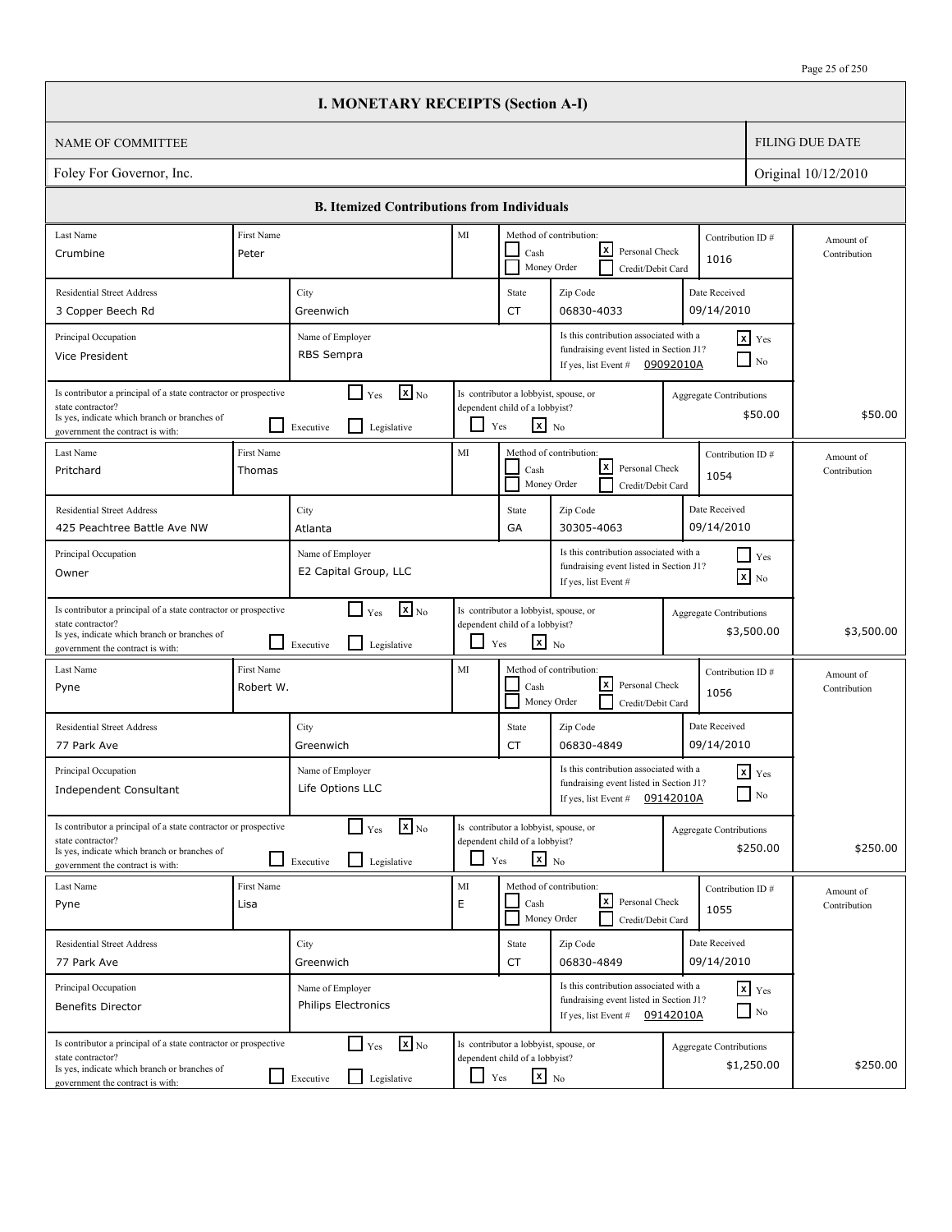|                                                                                                                                                                          |                         | <b>I. MONETARY RECEIPTS (Section A-I)</b>                                            |               |                                                                                                   |                                                                                                                       |                                |                                        |                           |
|--------------------------------------------------------------------------------------------------------------------------------------------------------------------------|-------------------------|--------------------------------------------------------------------------------------|---------------|---------------------------------------------------------------------------------------------------|-----------------------------------------------------------------------------------------------------------------------|--------------------------------|----------------------------------------|---------------------------|
| <b>NAME OF COMMITTEE</b>                                                                                                                                                 |                         |                                                                                      |               |                                                                                                   |                                                                                                                       |                                |                                        | <b>FILING DUE DATE</b>    |
| Foley For Governor, Inc.                                                                                                                                                 |                         |                                                                                      |               |                                                                                                   |                                                                                                                       |                                |                                        | Original 10/12/2010       |
|                                                                                                                                                                          |                         | <b>B. Itemized Contributions from Individuals</b>                                    |               |                                                                                                   |                                                                                                                       |                                |                                        |                           |
| Last Name<br>Crumbine                                                                                                                                                    | First Name<br>Peter     |                                                                                      | MI            | Cash                                                                                              | Method of contribution:<br>lxI<br>Personal Check                                                                      | Contribution ID#               |                                        | Amount of<br>Contribution |
|                                                                                                                                                                          |                         |                                                                                      |               |                                                                                                   | Money Order<br>Credit/Debit Card                                                                                      | 1016                           |                                        |                           |
| <b>Residential Street Address</b><br>3 Copper Beech Rd                                                                                                                   |                         | City<br>Greenwich                                                                    |               | State<br><b>CT</b>                                                                                | Zip Code<br>06830-4033                                                                                                | Date Received<br>09/14/2010    |                                        |                           |
| Principal Occupation<br>Vice President                                                                                                                                   |                         | Name of Employer<br>RBS Sempra                                                       |               |                                                                                                   | Is this contribution associated with a<br>fundraising event listed in Section J1?<br>If yes, list Event #             | 09092010A                      | $x$ Yes<br>$\overline{\phantom{a}}$ No |                           |
| Is contributor a principal of a state contractor or prospective<br>state contractor?<br>Is yes, indicate which branch or branches of<br>government the contract is with: |                         | $\mathbf{X}$ <sub>No</sub><br>$\Box$ Yes<br>$\mathsf{L}$<br>Executive<br>Legislative | ப             | Is contributor a lobbyist, spouse, or<br>dependent child of a lobbyist?<br>$\mathbf{x}$ No<br>Yes |                                                                                                                       | Aggregate Contributions        | \$50.00                                | \$50.00                   |
| Last Name<br>Pritchard                                                                                                                                                   | First Name<br>Thomas    |                                                                                      | MI            | Cash                                                                                              | Method of contribution:<br>lxI<br>Personal Check<br>Money Order<br>Credit/Debit Card                                  | Contribution ID#<br>1054       |                                        | Amount of<br>Contribution |
| <b>Residential Street Address</b><br>425 Peachtree Battle Ave NW                                                                                                         |                         | City<br>Atlanta                                                                      |               | State<br>GA                                                                                       | Zip Code<br>30305-4063                                                                                                | Date Received<br>09/14/2010    |                                        |                           |
| Principal Occupation<br>Owner                                                                                                                                            |                         | Name of Employer<br>E2 Capital Group, LLC                                            |               |                                                                                                   | Is this contribution associated with a<br>fundraising event listed in Section J1?<br>If yes, list Event #             |                                | $Y$ es<br>$\mathbf{x}$ No              |                           |
| Is contributor a principal of a state contractor or prospective<br>state contractor?<br>Is yes, indicate which branch or branches of<br>government the contract is with: |                         | $\mathbf{X}$ <sub>No</sub><br>$\Box$ Yes<br>l 1<br>Legislative<br>Executive          | ப             | Is contributor a lobbyist, spouse, or<br>dependent child of a lobbyist?<br>$\mathbf{x}$ No<br>Yes |                                                                                                                       | <b>Aggregate Contributions</b> | \$3,500.00                             | \$3,500.00                |
| Last Name<br>Pyne                                                                                                                                                        | First Name<br>Robert W. |                                                                                      | MI            | Cash                                                                                              | Method of contribution:<br>lxl<br>Personal Check<br>Money Order<br>Credit/Debit Card                                  | Contribution ID#<br>1056       |                                        | Amount of<br>Contribution |
| <b>Residential Street Address</b><br>77 Park Ave                                                                                                                         |                         | City<br>Greenwich                                                                    |               | State<br>CT                                                                                       | Zip Code<br>06830-4849                                                                                                | Date Received<br>09/14/2010    |                                        |                           |
| Principal Occupation<br><b>Independent Consultant</b>                                                                                                                    |                         | Name of Employer<br>Life Options LLC                                                 |               |                                                                                                   | Is this contribution associated with a<br>fundraising event listed in Section J1?<br>If yes, list Event #             | 09142010A                      | $\mathbf{x}$ Yes<br>$\Box$ No          |                           |
| Is contributor a principal of a state contractor or prospective<br>state contractor?<br>Is yes, indicate which branch or branches of<br>government the contract is with: |                         | $\mathbf{x}$ <sub>No</sub><br>$\Box$ Yes<br>l 1<br>Legislative<br>Executive          |               | Is contributor a lobbyist, spouse, or<br>dependent child of a lobbyist?<br>$x_{N0}$<br>Yes        |                                                                                                                       | <b>Aggregate Contributions</b> | \$250.00                               | \$250.00                  |
| Last Name<br>Pyne                                                                                                                                                        | First Name<br>Lisa      |                                                                                      | $\rm MI$<br>E | Cash                                                                                              | Method of contribution:<br>كا<br>Personal Check<br>Money Order<br>Credit/Debit Card                                   | Contribution ID#<br>1055       |                                        | Amount of<br>Contribution |
| <b>Residential Street Address</b><br>77 Park Ave                                                                                                                         |                         | City<br>Greenwich                                                                    |               | State<br>CT                                                                                       | Zip Code<br>06830-4849                                                                                                | Date Received<br>09/14/2010    |                                        |                           |
| Principal Occupation<br><b>Benefits Director</b>                                                                                                                         |                         | Name of Employer<br><b>Philips Electronics</b>                                       |               |                                                                                                   | Is this contribution associated with a<br>fundraising event listed in Section J1?<br>If yes, list Event # $09142010A$ |                                | $x$ $y$ <sub>es</sub><br>$\Box$ No     |                           |
| Is contributor a principal of a state contractor or prospective<br>state contractor?<br>Is yes, indicate which branch or branches of<br>government the contract is with: |                         | $\mathbf{x}$ <sub>No</sub><br>$\Box$ Yes<br>Executive<br>Legislative                 | $\Box$ Yes    | Is contributor a lobbyist, spouse, or<br>dependent child of a lobbyist?<br>$\mathbf{x}$ No        |                                                                                                                       | <b>Aggregate Contributions</b> | \$1,250.00                             | \$250.00                  |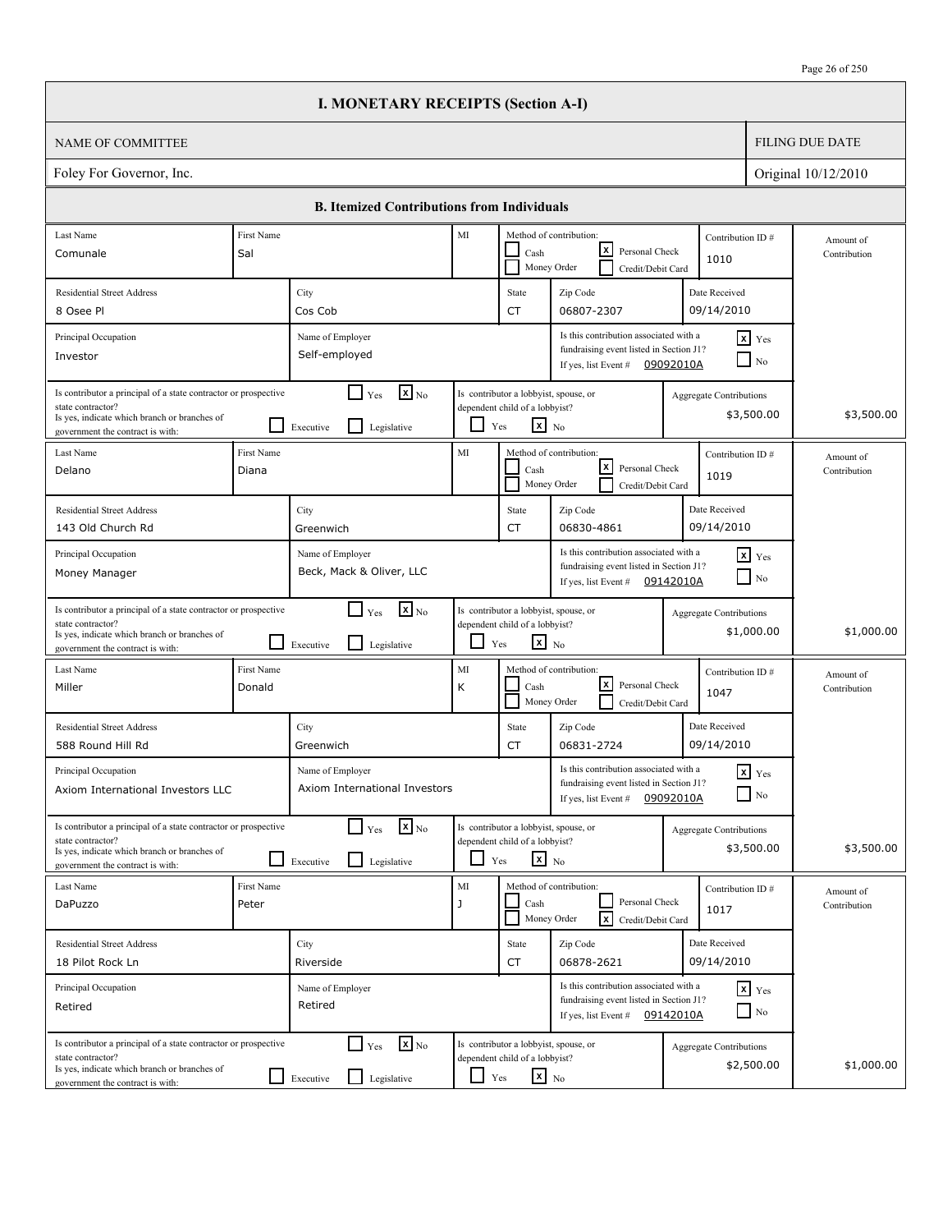|                                                                                                                                                                          |                                                                                                                                                                                                | <b>I. MONETARY RECEIPTS (Section A-I)</b>                                            |               |                                                                                                   |                                                                                                                       |                                |                                    |                           |
|--------------------------------------------------------------------------------------------------------------------------------------------------------------------------|------------------------------------------------------------------------------------------------------------------------------------------------------------------------------------------------|--------------------------------------------------------------------------------------|---------------|---------------------------------------------------------------------------------------------------|-----------------------------------------------------------------------------------------------------------------------|--------------------------------|------------------------------------|---------------------------|
| <b>NAME OF COMMITTEE</b>                                                                                                                                                 |                                                                                                                                                                                                |                                                                                      |               |                                                                                                   |                                                                                                                       |                                |                                    | <b>FILING DUE DATE</b>    |
| Foley For Governor, Inc.                                                                                                                                                 |                                                                                                                                                                                                |                                                                                      |               |                                                                                                   |                                                                                                                       |                                |                                    | Original 10/12/2010       |
|                                                                                                                                                                          |                                                                                                                                                                                                | <b>B. Itemized Contributions from Individuals</b>                                    |               |                                                                                                   |                                                                                                                       |                                |                                    |                           |
| Last Name                                                                                                                                                                | <b>First Name</b>                                                                                                                                                                              |                                                                                      | MI            |                                                                                                   | Method of contribution:                                                                                               | Contribution ID#               |                                    | Amount of                 |
| Comunale                                                                                                                                                                 | Sal                                                                                                                                                                                            |                                                                                      |               | Cash                                                                                              | lxI<br>Personal Check<br>Money Order<br>Credit/Debit Card                                                             | 1010                           |                                    | Contribution              |
| <b>Residential Street Address</b>                                                                                                                                        |                                                                                                                                                                                                | City                                                                                 |               | State                                                                                             | Zip Code                                                                                                              | Date Received                  |                                    |                           |
| 8 Osee Pl                                                                                                                                                                |                                                                                                                                                                                                | Cos Cob                                                                              |               | <b>CT</b>                                                                                         | 06807-2307                                                                                                            | 09/14/2010                     |                                    |                           |
| Principal Occupation<br>Investor                                                                                                                                         |                                                                                                                                                                                                | Name of Employer<br>Self-employed                                                    |               |                                                                                                   | Is this contribution associated with a<br>fundraising event listed in Section J1?<br>If yes, list Event #             | 09092010A                      | $x$ Yes<br>N <sub>0</sub>          |                           |
| Is contributor a principal of a state contractor or prospective<br>state contractor?<br>Is yes, indicate which branch or branches of<br>government the contract is with: |                                                                                                                                                                                                | $\mathbf{X}$ <sub>No</sub><br>$\Box$ Yes<br>$\mathsf{L}$<br>Executive<br>Legislative | ப             | Is contributor a lobbyist, spouse, or<br>dependent child of a lobbyist?<br>$\mathbf{x}$ No<br>Yes |                                                                                                                       | Aggregate Contributions        | \$3,500.00                         | \$3,500.00                |
| Last Name<br>Delano                                                                                                                                                      | <b>First Name</b><br>Diana                                                                                                                                                                     |                                                                                      | MI            | Cash                                                                                              | Method of contribution:<br>lxI<br>Personal Check<br>Money Order<br>Credit/Debit Card                                  | Contribution ID#<br>1019       |                                    | Amount of<br>Contribution |
| <b>Residential Street Address</b><br>143 Old Church Rd                                                                                                                   |                                                                                                                                                                                                | City<br>Greenwich                                                                    |               | State<br><b>CT</b>                                                                                | Zip Code<br>06830-4861                                                                                                | Date Received<br>09/14/2010    |                                    |                           |
| Principal Occupation<br>Money Manager                                                                                                                                    | Is this contribution associated with a<br>$x$ Yes<br>Name of Employer<br>fundraising event listed in Section J1?<br>Beck, Mack & Oliver, LLC<br>$\Box$ No<br>09142010A<br>If yes, list Event # |                                                                                      |               |                                                                                                   |                                                                                                                       |                                |                                    |                           |
| Is contributor a principal of a state contractor or prospective<br>state contractor?<br>Is yes, indicate which branch or branches of<br>government the contract is with: |                                                                                                                                                                                                | $\mathbf{X}$ <sub>No</sub><br>$\Box$ Yes<br>l 1<br>Legislative<br>Executive          | ப             | Is contributor a lobbyist, spouse, or<br>dependent child of a lobbyist?<br>$\mathbf{x}$ No<br>Yes |                                                                                                                       | <b>Aggregate Contributions</b> | \$1,000.00                         | \$1,000.00                |
| Last Name<br>Miller                                                                                                                                                      | First Name<br>Donald                                                                                                                                                                           |                                                                                      | MI<br>К       | Cash                                                                                              | Method of contribution:<br>lxl<br>Personal Check<br>Money Order<br>Credit/Debit Card                                  | Contribution ID#<br>1047       |                                    | Amount of<br>Contribution |
| <b>Residential Street Address</b><br>588 Round Hill Rd                                                                                                                   |                                                                                                                                                                                                | City<br>Greenwich                                                                    |               | State<br>CT                                                                                       | Zip Code<br>06831-2724                                                                                                | Date Received<br>09/14/2010    |                                    |                           |
| Principal Occupation<br>Axiom International Investors LLC                                                                                                                |                                                                                                                                                                                                | Name of Employer<br>Axiom International Investors                                    |               |                                                                                                   | Is this contribution associated with a<br>fundraising event listed in Section J1?<br>If yes, list Event #             | 09092010A                      | $\mathbf{x}$ Yes<br>$\Box$ No      |                           |
| Is contributor a principal of a state contractor or prospective<br>state contractor?<br>Is yes, indicate which branch or branches of<br>government the contract is with: |                                                                                                                                                                                                | $\mathbf{x}$ <sub>No</sub><br>$\Box$ Yes<br>l 1<br>Legislative<br>Executive          |               | Is contributor a lobbyist, spouse, or<br>dependent child of a lobbyist?<br>$x_{N0}$<br>Yes        |                                                                                                                       | <b>Aggregate Contributions</b> | \$3,500.00                         | \$3,500.00                |
| Last Name<br>DaPuzzo                                                                                                                                                     | First Name<br>Peter                                                                                                                                                                            |                                                                                      | $\rm MI$<br>J | Cash                                                                                              | Method of contribution:<br>Personal Check<br>$\sqrt{x}$<br>Money Order<br>Credit/Debit Card                           | Contribution ID#<br>1017       |                                    | Amount of<br>Contribution |
| <b>Residential Street Address</b><br>18 Pilot Rock Ln                                                                                                                    |                                                                                                                                                                                                | City<br>Riverside                                                                    |               | State<br>CT                                                                                       | Zip Code<br>06878-2621                                                                                                | Date Received<br>09/14/2010    |                                    |                           |
| Principal Occupation<br>Retired                                                                                                                                          |                                                                                                                                                                                                | Name of Employer<br>Retired                                                          |               |                                                                                                   | Is this contribution associated with a<br>fundraising event listed in Section J1?<br>If yes, list Event # $09142010A$ |                                | $x$ $y$ <sub>es</sub><br>$\Box$ No |                           |
| Is contributor a principal of a state contractor or prospective<br>state contractor?<br>Is yes, indicate which branch or branches of<br>government the contract is with: |                                                                                                                                                                                                | $\mathbf{x}$ <sub>No</sub><br>$\Box$ Yes<br>Legislative<br>$\Box$ Executive          | U,            | Is contributor a lobbyist, spouse, or<br>dependent child of a lobbyist?<br>$\mathbf{x}$ No<br>Yes |                                                                                                                       | <b>Aggregate Contributions</b> | \$2,500.00                         | \$1,000.00                |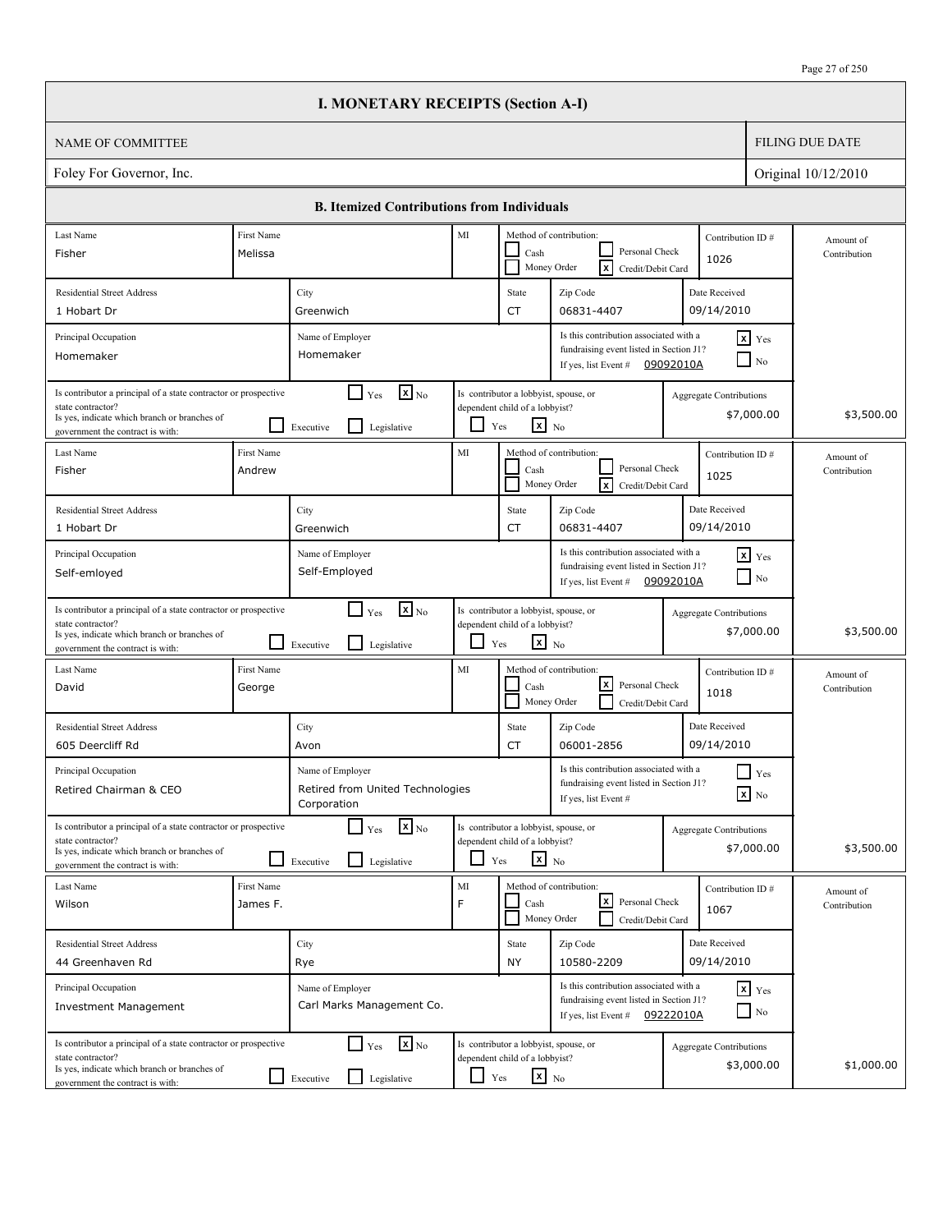|                                                                                                                                                                                                                             |                        | <b>I. MONETARY RECEIPTS (Section A-I)</b>                                            |               |                                                                                                   |                                                                                                                       |                                |                                        |                           |
|-----------------------------------------------------------------------------------------------------------------------------------------------------------------------------------------------------------------------------|------------------------|--------------------------------------------------------------------------------------|---------------|---------------------------------------------------------------------------------------------------|-----------------------------------------------------------------------------------------------------------------------|--------------------------------|----------------------------------------|---------------------------|
| <b>NAME OF COMMITTEE</b>                                                                                                                                                                                                    |                        |                                                                                      |               |                                                                                                   |                                                                                                                       |                                |                                        | <b>FILING DUE DATE</b>    |
| Foley For Governor, Inc.                                                                                                                                                                                                    |                        |                                                                                      |               |                                                                                                   |                                                                                                                       |                                |                                        | Original 10/12/2010       |
|                                                                                                                                                                                                                             |                        | <b>B. Itemized Contributions from Individuals</b>                                    |               |                                                                                                   |                                                                                                                       |                                |                                        |                           |
| Last Name                                                                                                                                                                                                                   | First Name             |                                                                                      | MI            |                                                                                                   | Method of contribution:                                                                                               |                                | Contribution ID#                       | Amount of                 |
| Fisher                                                                                                                                                                                                                      | Melissa                |                                                                                      |               | Cash                                                                                              | Personal Check<br>Γx<br>Money Order<br>Credit/Debit Card                                                              | 1026                           |                                        | Contribution              |
| <b>Residential Street Address</b>                                                                                                                                                                                           |                        | City                                                                                 |               | State                                                                                             | Zip Code                                                                                                              | Date Received                  |                                        |                           |
| 1 Hobart Dr                                                                                                                                                                                                                 |                        | Greenwich                                                                            |               | <b>CT</b>                                                                                         | 06831-4407                                                                                                            | 09/14/2010                     |                                        |                           |
| Principal Occupation<br>Homemaker                                                                                                                                                                                           |                        | Name of Employer<br>Homemaker                                                        |               |                                                                                                   | Is this contribution associated with a<br>fundraising event listed in Section J1?<br>If yes, list Event #             | 09092010A                      | $x$ Yes<br>$\overline{\phantom{a}}$ No |                           |
| Is contributor a principal of a state contractor or prospective<br>state contractor?<br>Is yes, indicate which branch or branches of<br>government the contract is with:                                                    |                        | $\mathbf{X}$ <sub>No</sub><br>$\Box$ Yes<br>$\mathsf{L}$<br>Executive<br>Legislative | ப             | Is contributor a lobbyist, spouse, or<br>dependent child of a lobbyist?<br>$\mathbf{x}$ No<br>Yes |                                                                                                                       | Aggregate Contributions        | \$7,000.00                             | \$3,500.00                |
| Last Name<br>Fisher                                                                                                                                                                                                         | First Name<br>Andrew   |                                                                                      | MI            | Cash                                                                                              | Method of contribution:<br>Personal Check<br><b>x</b><br>Money Order<br>Credit/Debit Card                             | 1025                           | Contribution ID#                       | Amount of<br>Contribution |
| <b>Residential Street Address</b><br>1 Hobart Dr                                                                                                                                                                            |                        | City<br>Greenwich                                                                    |               | State<br><b>CT</b>                                                                                | Zip Code<br>06831-4407                                                                                                | Date Received<br>09/14/2010    |                                        |                           |
| Is this contribution associated with a<br>$x$ Yes<br>Principal Occupation<br>Name of Employer<br>fundraising event listed in Section J1?<br>Self-Employed<br>Self-emloyed<br>$\Box$ No<br>09092010A<br>If yes, list Event # |                        |                                                                                      |               |                                                                                                   |                                                                                                                       |                                |                                        |                           |
| Is contributor a principal of a state contractor or prospective<br>state contractor?<br>Is yes, indicate which branch or branches of<br>government the contract is with:                                                    |                        | $\mathbf{X}$ <sub>No</sub><br>$\Box$ Yes<br>l 1<br>Legislative<br>Executive          | ப             | Is contributor a lobbyist, spouse, or<br>dependent child of a lobbyist?<br>$\mathbf{x}$ No<br>Yes |                                                                                                                       | <b>Aggregate Contributions</b> | \$7,000.00                             | \$3,500.00                |
| Last Name<br>David                                                                                                                                                                                                          | First Name<br>George   |                                                                                      | MI            | Cash                                                                                              | Method of contribution:<br>lxl<br>Personal Check<br>Money Order<br>Credit/Debit Card                                  | 1018                           | Contribution ID#                       | Amount of<br>Contribution |
| <b>Residential Street Address</b><br>605 Deercliff Rd                                                                                                                                                                       |                        | City<br>Avon                                                                         |               | State<br>CT                                                                                       | Zip Code<br>06001-2856                                                                                                | Date Received<br>09/14/2010    |                                        |                           |
| Principal Occupation<br>Retired Chairman & CEO                                                                                                                                                                              |                        | Name of Employer<br>Retired from United Technologies<br>Corporation                  |               |                                                                                                   | Is this contribution associated with a<br>fundraising event listed in Section J1?<br>If yes, list Event #             |                                | $\Box$ Yes<br>$\boxed{\mathbf{x}}$ No  |                           |
| Is contributor a principal of a state contractor or prospective<br>state contractor?<br>Is yes, indicate which branch or branches of<br>government the contract is with:                                                    |                        | $\mathbf{x}$ <sub>No</sub><br>$\Box$ Yes<br>l 1<br>Legislative<br>Executive          |               | Is contributor a lobbyist, spouse, or<br>dependent child of a lobbyist?<br>$x_{N0}$<br>Yes        |                                                                                                                       | <b>Aggregate Contributions</b> | \$7,000.00                             | \$3,500.00                |
| Last Name<br>Wilson                                                                                                                                                                                                         | First Name<br>James F. |                                                                                      | $\rm MI$<br>F | Cash                                                                                              | Method of contribution:<br> x <br>Personal Check<br>Money Order<br>Credit/Debit Card                                  | 1067                           | Contribution ID#                       | Amount of<br>Contribution |
| <b>Residential Street Address</b>                                                                                                                                                                                           |                        | City                                                                                 |               | State                                                                                             | Zip Code                                                                                                              | Date Received                  |                                        |                           |
| 44 Greenhaven Rd                                                                                                                                                                                                            |                        | Rye                                                                                  |               | <b>NY</b>                                                                                         | 10580-2209                                                                                                            | 09/14/2010                     |                                        |                           |
| Principal Occupation<br><b>Investment Management</b>                                                                                                                                                                        |                        | Name of Employer<br>Carl Marks Management Co.                                        |               |                                                                                                   | Is this contribution associated with a<br>fundraising event listed in Section J1?<br>If yes, list Event # $09222010A$ |                                | $x$ $y$ <sub>es</sub><br>$\Box$ No     |                           |
| Is contributor a principal of a state contractor or prospective<br>state contractor?<br>Is yes, indicate which branch or branches of<br>government the contract is with:                                                    |                        | $\mathbf{x}$ <sub>No</sub><br>$\Box$ Yes<br>Legislative<br>$\Box$ Executive          | L I           | Is contributor a lobbyist, spouse, or<br>dependent child of a lobbyist?<br>$\mathbf{x}$ No<br>Yes |                                                                                                                       | <b>Aggregate Contributions</b> | \$3,000.00                             | \$1,000.00                |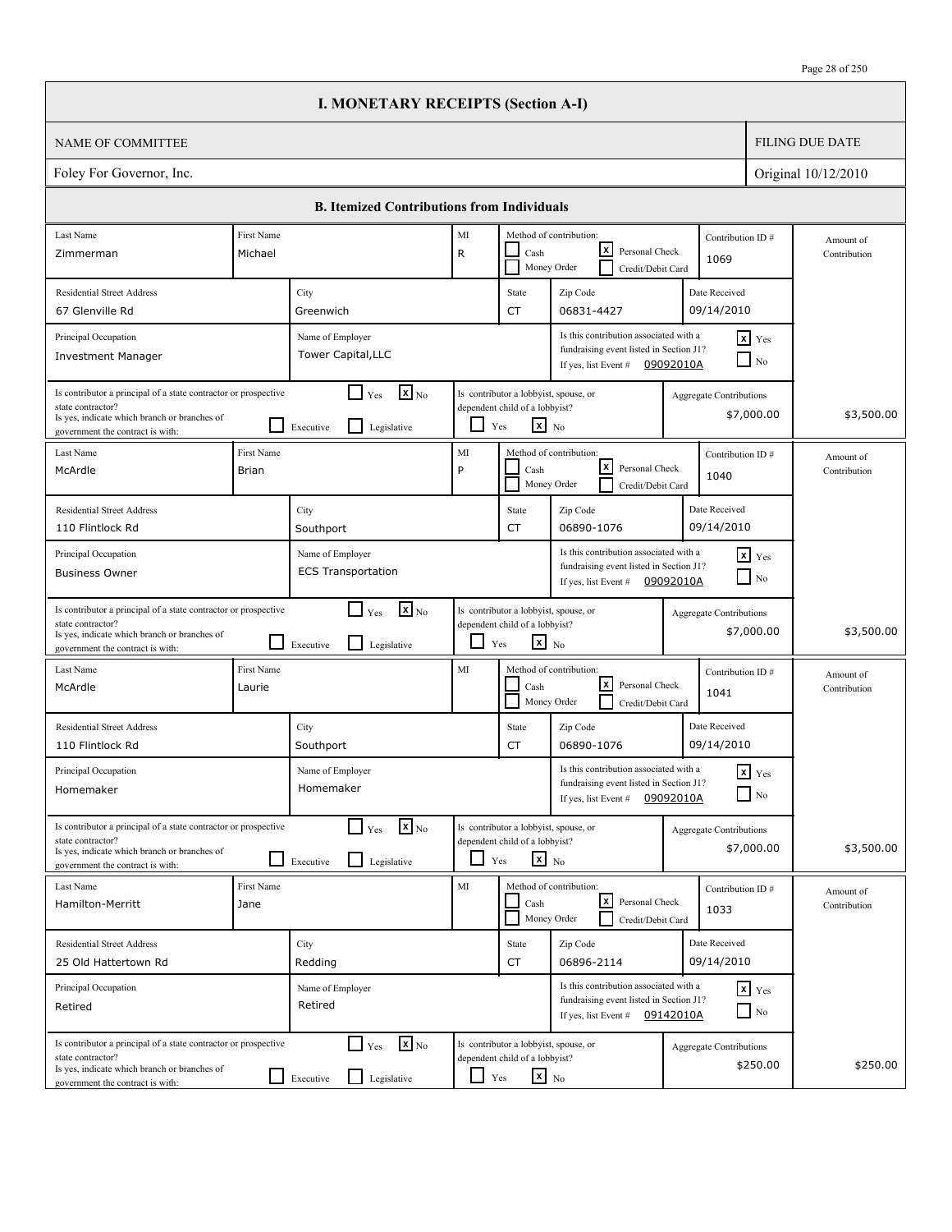|                                                                                                                                                                                                                                                  |                       | <b>I. MONETARY RECEIPTS (Section A-I)</b>                                              |                          |                                                                                                   |                                                                                                                       |                                |                                    |                           |
|--------------------------------------------------------------------------------------------------------------------------------------------------------------------------------------------------------------------------------------------------|-----------------------|----------------------------------------------------------------------------------------|--------------------------|---------------------------------------------------------------------------------------------------|-----------------------------------------------------------------------------------------------------------------------|--------------------------------|------------------------------------|---------------------------|
| <b>NAME OF COMMITTEE</b>                                                                                                                                                                                                                         |                       |                                                                                        |                          |                                                                                                   |                                                                                                                       |                                |                                    | <b>FILING DUE DATE</b>    |
| Foley For Governor, Inc.                                                                                                                                                                                                                         |                       |                                                                                        |                          |                                                                                                   |                                                                                                                       |                                |                                    | Original 10/12/2010       |
|                                                                                                                                                                                                                                                  |                       | <b>B. Itemized Contributions from Individuals</b>                                      |                          |                                                                                                   |                                                                                                                       |                                |                                    |                           |
| Last Name<br>Zimmerman                                                                                                                                                                                                                           | First Name<br>Michael |                                                                                        | $\rm MI$<br>$\mathsf{R}$ | Cash                                                                                              | Method of contribution:<br>lxI<br>Personal Check<br>Money Order<br>Credit/Debit Card                                  | Contribution ID#<br>1069       |                                    | Amount of<br>Contribution |
| <b>Residential Street Address</b><br>67 Glenville Rd                                                                                                                                                                                             |                       | City<br>Greenwich                                                                      |                          | State<br><b>CT</b>                                                                                | Zip Code<br>06831-4427                                                                                                | Date Received<br>09/14/2010    |                                    |                           |
| Principal Occupation<br><b>Investment Manager</b>                                                                                                                                                                                                |                       | Name of Employer<br>Tower Capital, LLC                                                 |                          |                                                                                                   | Is this contribution associated with a<br>fundraising event listed in Section J1?<br>If yes, list Event #             | 09092010A                      | $x$ Yes<br>N <sub>0</sub>          |                           |
| Is contributor a principal of a state contractor or prospective<br>state contractor?<br>Is yes, indicate which branch or branches of<br>government the contract is with:                                                                         |                       | $\mathbf{X}$ <sub>No</sub><br>$\Box$ Yes<br>l I<br>Executive<br>Legislative            | ப                        | Is contributor a lobbyist, spouse, or<br>dependent child of a lobbyist?<br>$\mathbf{x}$ No<br>Yes |                                                                                                                       | Aggregate Contributions        | \$7,000.00                         | \$3,500.00                |
| Last Name<br>McArdle                                                                                                                                                                                                                             | First Name<br>Brian   |                                                                                        | MI<br>P                  | Cash                                                                                              | Method of contribution:<br>lxI<br>Personal Check<br>Money Order<br>Credit/Debit Card                                  | Contribution ID#<br>1040       |                                    | Amount of<br>Contribution |
| <b>Residential Street Address</b><br>110 Flintlock Rd                                                                                                                                                                                            |                       | City<br>Southport                                                                      |                          | State<br><b>CT</b>                                                                                | Zip Code<br>06890-1076                                                                                                | Date Received<br>09/14/2010    |                                    |                           |
| Is this contribution associated with a<br>Principal Occupation<br>$x$ Yes<br>Name of Employer<br>fundraising event listed in Section J1?<br><b>ECS Transportation</b><br><b>Business Owner</b><br>$\Box$ No<br>09092010A<br>If yes, list Event # |                       |                                                                                        |                          |                                                                                                   |                                                                                                                       |                                |                                    |                           |
| Is contributor a principal of a state contractor or prospective<br>state contractor?<br>Is yes, indicate which branch or branches of<br>government the contract is with:                                                                         |                       | $\mathbf{X}$ <sub>No</sub><br>$\Box$ Yes<br>l 1<br>Legislative<br>Executive            | ப                        | Is contributor a lobbyist, spouse, or<br>dependent child of a lobbyist?<br>$\mathbf{x}$ No<br>Yes |                                                                                                                       | <b>Aggregate Contributions</b> | \$7,000.00                         | \$3,500.00                |
| Last Name<br>McArdle                                                                                                                                                                                                                             | First Name<br>Laurie  |                                                                                        | MI                       | Cash                                                                                              | Method of contribution:<br>lxl<br>Personal Check<br>Money Order<br>Credit/Debit Card                                  | Contribution ID#<br>1041       |                                    | Amount of<br>Contribution |
| <b>Residential Street Address</b><br>110 Flintlock Rd                                                                                                                                                                                            |                       | City<br>Southport                                                                      |                          | State<br>CT                                                                                       | Zip Code<br>06890-1076                                                                                                | Date Received<br>09/14/2010    |                                    |                           |
| Principal Occupation<br>Homemaker                                                                                                                                                                                                                |                       | Name of Employer<br>Homemaker                                                          |                          |                                                                                                   | Is this contribution associated with a<br>fundraising event listed in Section J1?<br>If yes, list Event #             | 09092010A                      | $\mathbf{x}$ Yes<br>$\Box$ No      |                           |
| Is contributor a principal of a state contractor or prospective<br>state contractor?<br>Is yes, indicate which branch or branches of<br>government the contract is with:                                                                         |                       | $\mathbf{x}$ <sub>No</sub><br>$\Gamma$ Yes<br>$\mathsf{L}$<br>Legislative<br>Executive |                          | Is contributor a lobbyist, spouse, or<br>dependent child of a lobbyist?<br>$x_{N0}$<br>Yes        |                                                                                                                       | <b>Aggregate Contributions</b> | \$7,000.00                         | \$3,500.00                |
| Last Name<br>Hamilton-Merritt                                                                                                                                                                                                                    | First Name<br>Jane    |                                                                                        | MI                       | Cash<br>Money Order                                                                               | Method of contribution:<br>l×l<br>Personal Check<br>Credit/Debit Card                                                 | Contribution ID#<br>1033       |                                    | Amount of<br>Contribution |
| <b>Residential Street Address</b><br>25 Old Hattertown Rd                                                                                                                                                                                        |                       | City<br>Redding                                                                        |                          | State<br>CT                                                                                       | Zip Code<br>06896-2114                                                                                                | Date Received<br>09/14/2010    |                                    |                           |
| Principal Occupation<br>Retired                                                                                                                                                                                                                  |                       | Name of Employer<br>Retired                                                            |                          |                                                                                                   | Is this contribution associated with a<br>fundraising event listed in Section J1?<br>If yes, list Event # $09142010A$ |                                | $x$ $y$ <sub>es</sub><br>$\Box$ No |                           |
| Is contributor a principal of a state contractor or prospective<br>state contractor?<br>Is yes, indicate which branch or branches of<br>government the contract is with:                                                                         |                       | $\mathbf{x}$ <sub>No</sub><br>$\Box$ Yes<br>Legislative<br>$\Box$ Executive            | $\Box$ Yes               | Is contributor a lobbyist, spouse, or<br>dependent child of a lobbyist?<br>$\mathbf{x}$ No        |                                                                                                                       | <b>Aggregate Contributions</b> | \$250.00                           | \$250.00                  |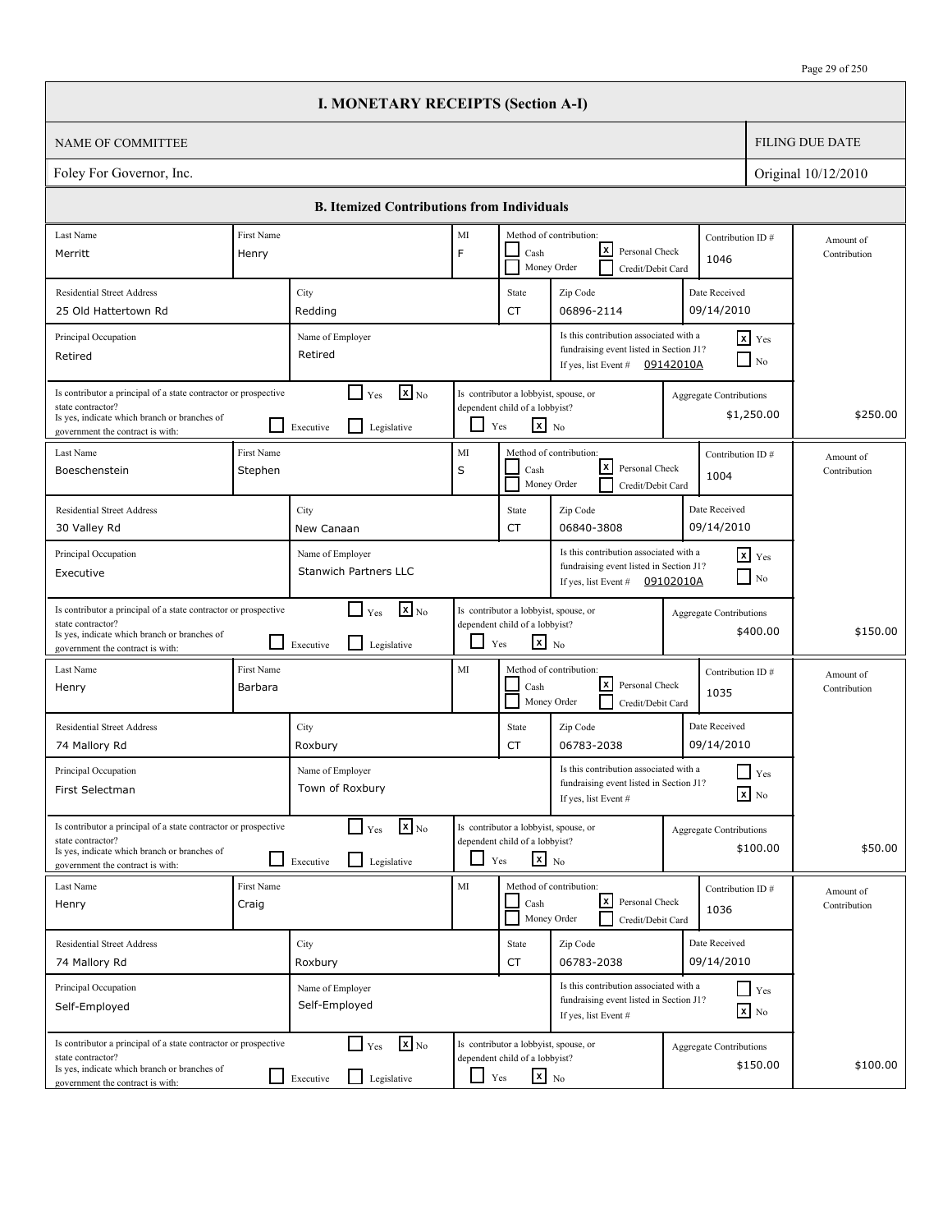|                                                                                                                                                                          |                       | <b>I. MONETARY RECEIPTS (Section A-I)</b>                                      |          |                                                                                                   |                                                                                                                       |           |                                              |                           |
|--------------------------------------------------------------------------------------------------------------------------------------------------------------------------|-----------------------|--------------------------------------------------------------------------------|----------|---------------------------------------------------------------------------------------------------|-----------------------------------------------------------------------------------------------------------------------|-----------|----------------------------------------------|---------------------------|
| NAME OF COMMITTEE                                                                                                                                                        |                       |                                                                                |          |                                                                                                   |                                                                                                                       |           |                                              | <b>FILING DUE DATE</b>    |
| Foley For Governor, Inc.                                                                                                                                                 |                       |                                                                                |          |                                                                                                   |                                                                                                                       |           |                                              | Original 10/12/2010       |
|                                                                                                                                                                          |                       | <b>B.</b> Itemized Contributions from Individuals                              |          |                                                                                                   |                                                                                                                       |           |                                              |                           |
| Last Name<br>Merritt                                                                                                                                                     | First Name<br>Henry   |                                                                                | MI<br>F  | Cash                                                                                              | Method of contribution:<br>lxl<br>Personal Check                                                                      |           | Contribution ID#                             | Amount of                 |
|                                                                                                                                                                          |                       |                                                                                |          |                                                                                                   | Money Order<br>Credit/Debit Card                                                                                      |           | 1046                                         | Contribution              |
| <b>Residential Street Address</b>                                                                                                                                        |                       | City                                                                           |          | State                                                                                             | Zip Code                                                                                                              |           | Date Received                                |                           |
| 25 Old Hattertown Rd                                                                                                                                                     |                       | Redding                                                                        |          | CT                                                                                                | 06896-2114                                                                                                            |           | 09/14/2010                                   |                           |
| Principal Occupation<br>Retired                                                                                                                                          |                       | Name of Employer<br>Retired                                                    |          |                                                                                                   | Is this contribution associated with a<br>fundraising event listed in Section J1?<br>If yes, list Event # $09142010A$ |           | $x$ Yes<br>$\Box$ No                         |                           |
| Is contributor a principal of a state contractor or prospective<br>state contractor?<br>Is yes, indicate which branch or branches of<br>government the contract is with: |                       | $\mathbf{X}$ <sub>No</sub><br>$\Box$ Yes<br>l 1<br>Legislative<br>Executive    |          | Is contributor a lobbyist, spouse, or<br>dependent child of a lobbyist?<br>$x_{N0}$<br>Yes        |                                                                                                                       |           | <b>Aggregate Contributions</b><br>\$1,250.00 | \$250.00                  |
| Last Name<br>Boeschenstein                                                                                                                                               | First Name<br>Stephen |                                                                                | MI<br>S  | Cash<br>Money Order                                                                               | Method of contribution:<br>lxI<br>Personal Check<br>Credit/Debit Card                                                 |           | Contribution ID#<br>1004                     | Amount of<br>Contribution |
| <b>Residential Street Address</b><br>30 Valley Rd                                                                                                                        |                       | City<br>New Canaan                                                             |          | State<br>CT                                                                                       | Zip Code<br>06840-3808                                                                                                |           | Date Received<br>09/14/2010                  |                           |
| Principal Occupation<br>Executive                                                                                                                                        |                       | Name of Employer<br><b>Stanwich Partners LLC</b>                               |          |                                                                                                   | Is this contribution associated with a<br>fundraising event listed in Section J1?<br>If yes, list Event #             | 09102010A | $\mathbf{x}$ Yes<br>$\blacksquare$ No        |                           |
| Is contributor a principal of a state contractor or prospective<br>state contractor?<br>Is yes, indicate which branch or branches of<br>government the contract is with: |                       | $\mathbf{x}$ <sub>No</sub><br>$\Box$ Yes<br>l 1<br>Legislative<br>Executive    | ப        | Is contributor a lobbyist, spouse, or<br>dependent child of a lobbyist?<br>$\mathbf{x}$ No<br>Yes |                                                                                                                       |           | <b>Aggregate Contributions</b><br>\$400.00   | \$150.00                  |
| Last Name<br>Henry                                                                                                                                                       | First Name<br>Barbara |                                                                                | MI       | Cash                                                                                              | Method of contribution:<br>lxI<br>Personal Check<br>Money Order<br>Credit/Debit Card                                  |           | Contribution ID#<br>1035                     | Amount of<br>Contribution |
| <b>Residential Street Address</b><br>74 Mallory Rd                                                                                                                       |                       | City<br>Roxbury                                                                |          | State<br>CT                                                                                       | Zip Code<br>06783-2038                                                                                                |           | Date Received<br>09/14/2010                  |                           |
| Principal Occupation<br>First Selectman                                                                                                                                  |                       | Name of Employer<br>Town of Roxbury                                            |          |                                                                                                   | Is this contribution associated with a<br>fundraising event listed in Section J1?<br>If yes, list Event #             |           | $\blacksquare$ Yes<br>$\mathbf{X}$ No        |                           |
| Is contributor a principal of a state contractor or prospective<br>state contractor?<br>Is yes, indicate which branch or branches of<br>government the contract is with: |                       | $\mathbf{X}_{\text{No}}$<br>$\Box$ Yes<br>Legislative<br>Executive             | ப        | Is contributor a lobbyist, spouse, or<br>dependent child of a lobbyist?<br>$\mathbf{x}$ No<br>Yes |                                                                                                                       |           | Aggregate Contributions<br>\$100.00          | \$50.00                   |
| Last Name<br>Henry                                                                                                                                                       | First Name<br>Craig   |                                                                                | MI       | Cash                                                                                              | Method of contribution:<br><u> x</u><br>Personal Check<br>Money Order<br>Credit/Debit Card                            |           | Contribution ID#<br>1036                     | Amount of<br>Contribution |
| <b>Residential Street Address</b><br>74 Mallory Rd                                                                                                                       |                       | City<br>Roxbury                                                                |          | State<br>CT                                                                                       | Zip Code<br>06783-2038                                                                                                |           | Date Received<br>09/14/2010                  |                           |
| Principal Occupation<br>Self-Employed                                                                                                                                    |                       | Name of Employer<br>Self-Employed                                              |          |                                                                                                   | Is this contribution associated with a<br>fundraising event listed in Section J1?<br>If yes, list Event #             |           | $\Box$ Yes<br>$\mathbf{x}$ No                |                           |
| Is contributor a principal of a state contractor or prospective<br>state contractor?<br>Is yes, indicate which branch or branches of<br>government the contract is with: |                       | $\mathbf{x}$ <sub>No</sub><br>$\Box$ Yes<br>$\Box$<br>Legislative<br>Executive | $\sqcup$ | Is contributor a lobbyist, spouse, or<br>dependent child of a lobbyist?<br>$\mathbf{x}$ No<br>Yes |                                                                                                                       |           | <b>Aggregate Contributions</b><br>\$150.00   | \$100.00                  |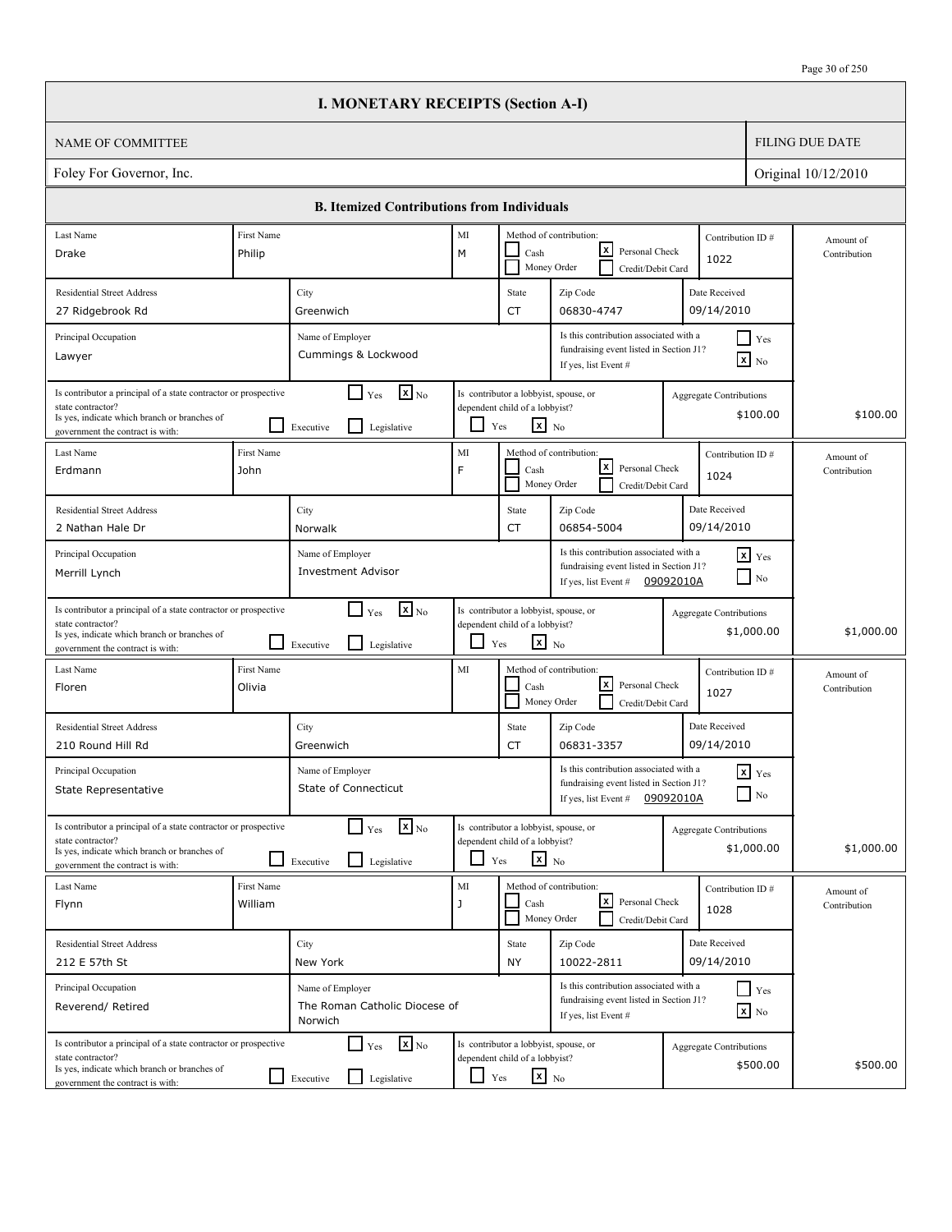|                                                                                                                                                                          |                       | <b>I. MONETARY RECEIPTS (Section A-I)</b>                                   |                          |                                                                                                              |                                                                                                           |           |                                              |                           |  |
|--------------------------------------------------------------------------------------------------------------------------------------------------------------------------|-----------------------|-----------------------------------------------------------------------------|--------------------------|--------------------------------------------------------------------------------------------------------------|-----------------------------------------------------------------------------------------------------------|-----------|----------------------------------------------|---------------------------|--|
| <b>NAME OF COMMITTEE</b>                                                                                                                                                 |                       |                                                                             |                          |                                                                                                              |                                                                                                           |           |                                              | <b>FILING DUE DATE</b>    |  |
| Foley For Governor, Inc.<br>Original 10/12/2010                                                                                                                          |                       |                                                                             |                          |                                                                                                              |                                                                                                           |           |                                              |                           |  |
|                                                                                                                                                                          |                       | <b>B.</b> Itemized Contributions from Individuals                           |                          |                                                                                                              |                                                                                                           |           |                                              |                           |  |
| Last Name                                                                                                                                                                | First Name            |                                                                             | MI                       |                                                                                                              | Method of contribution:                                                                                   |           | Contribution ID#                             | Amount of                 |  |
| Drake                                                                                                                                                                    | Philip                |                                                                             | M                        | Cash                                                                                                         | x <br>Personal Check<br>Money Order<br>Credit/Debit Card                                                  |           | 1022                                         | Contribution              |  |
| <b>Residential Street Address</b>                                                                                                                                        |                       | City                                                                        |                          | State                                                                                                        | Zip Code                                                                                                  |           | Date Received                                |                           |  |
| 27 Ridgebrook Rd                                                                                                                                                         |                       | Greenwich                                                                   |                          | CT                                                                                                           | 06830-4747                                                                                                |           | 09/14/2010                                   |                           |  |
| Principal Occupation<br>Lawyer                                                                                                                                           |                       | Name of Employer<br>Cummings & Lockwood                                     |                          |                                                                                                              | Is this contribution associated with a<br>fundraising event listed in Section J1?<br>If yes, list Event # |           | $\Box$ Yes<br>$\overline{\mathbf{x}}$ No     |                           |  |
| Is contributor a principal of a state contractor or prospective<br>state contractor?<br>Is yes, indicate which branch or branches of<br>government the contract is with: |                       | $\mathbf{X}_{\text{No}}$<br>$\Gamma$ Yes<br>l 1<br>Legislative<br>Executive |                          | Is contributor a lobbyist, spouse, or<br>dependent child of a lobbyist?<br>$\mathbf{x}$ No<br>Yes            |                                                                                                           |           | Aggregate Contributions<br>\$100.00          | \$100.00                  |  |
| Last Name<br>Erdmann                                                                                                                                                     | First Name<br>John    |                                                                             | MI<br>F                  | Cash                                                                                                         | Method of contribution:<br>$\mathbf{x}$<br>Personal Check<br>Money Order<br>Credit/Debit Card             |           | Contribution ID#<br>1024                     | Amount of<br>Contribution |  |
| <b>Residential Street Address</b><br>2 Nathan Hale Dr                                                                                                                    |                       | City<br>Norwalk                                                             |                          | State<br>CT                                                                                                  | Zip Code<br>06854-5004                                                                                    |           | Date Received<br>09/14/2010                  |                           |  |
| Principal Occupation<br>Merrill Lynch                                                                                                                                    |                       | Name of Employer<br><b>Investment Advisor</b>                               |                          |                                                                                                              | Is this contribution associated with a<br>fundraising event listed in Section J1?<br>If yes, list Event # | 09092010A | $x$ $Y$ es<br>$\Box$ No                      |                           |  |
| Is contributor a principal of a state contractor or prospective<br>state contractor?<br>Is yes, indicate which branch or branches of<br>government the contract is with: | LΙ                    | $\mathbf{x}$ <sub>No</sub><br>$\Box$ Yes<br>Legislative<br>Executive        | ப                        | Is contributor a lobbyist, spouse, or<br>dependent child of a lobbyist?<br>$\mathbf{x}$ No<br>Yes            |                                                                                                           |           | Aggregate Contributions<br>\$1,000.00        | \$1,000.00                |  |
| Last Name<br>Floren                                                                                                                                                      | First Name<br>Olivia  |                                                                             | MI                       | Cash                                                                                                         | Method of contribution:<br>lxl<br>Personal Check<br>Money Order<br>Credit/Debit Card                      |           | Contribution ID#<br>1027                     | Amount of<br>Contribution |  |
| <b>Residential Street Address</b><br>210 Round Hill Rd                                                                                                                   |                       | City<br>Greenwich                                                           |                          | State<br>CT                                                                                                  | Zip Code<br>06831-3357                                                                                    |           | Date Received<br>09/14/2010                  |                           |  |
| Principal Occupation<br>State Representative                                                                                                                             |                       | Name of Employer<br>State of Connecticut                                    |                          |                                                                                                              | Is this contribution associated with a<br>fundraising event listed in Section J1?<br>If yes, list Event # | 09092010A | $X$ $Yes$<br>$\Box$ No                       |                           |  |
| Is contributor a principal of a state contractor or prospective<br>state contractor?<br>Is yes, indicate which branch or branches of<br>government the contract is with: |                       | $\mathbf{x}$ <sub>No</sub><br>$\Box$ Yes<br>$\Box$ Legislative<br>Executive | $\overline{\phantom{a}}$ | Is contributor a lobbyist, spouse, or<br>dependent child of a lobbyist?<br>$\overline{\mathbf{x}}$ No<br>Yes |                                                                                                           |           | <b>Aggregate Contributions</b><br>\$1,000.00 | \$1,000.00                |  |
| Last Name<br>Flynn                                                                                                                                                       | First Name<br>William |                                                                             | $\rm MI$<br>J            | Cash                                                                                                         | Method of contribution:<br> x <br>Personal Check<br>Money Order<br>Credit/Debit Card                      |           | Contribution ID#<br>1028                     | Amount of<br>Contribution |  |
| <b>Residential Street Address</b><br>212 E 57th St                                                                                                                       |                       | City<br>New York                                                            |                          | State<br>NY                                                                                                  | Zip Code<br>10022-2811                                                                                    |           | Date Received<br>09/14/2010                  |                           |  |
| Principal Occupation<br>Reverend/ Retired                                                                                                                                |                       | Name of Employer<br>The Roman Catholic Diocese of<br>Norwich                |                          |                                                                                                              | Is this contribution associated with a<br>fundraising event listed in Section J1?<br>If yes, list Event # |           | $\Box$ Yes<br>$\mathbf{x}$ No                |                           |  |
| Is contributor a principal of a state contractor or prospective<br>state contractor?<br>Is yes, indicate which branch or branches of<br>government the contract is with: |                       | $\mathbf{X}$ <sub>No</sub><br>$\Box$ Yes<br>Legislative<br>Executive        | $\Box$                   | Is contributor a lobbyist, spouse, or<br>dependent child of a lobbyist?<br>$x_{N0}$<br>Yes                   |                                                                                                           |           | <b>Aggregate Contributions</b><br>\$500.00   | \$500.00                  |  |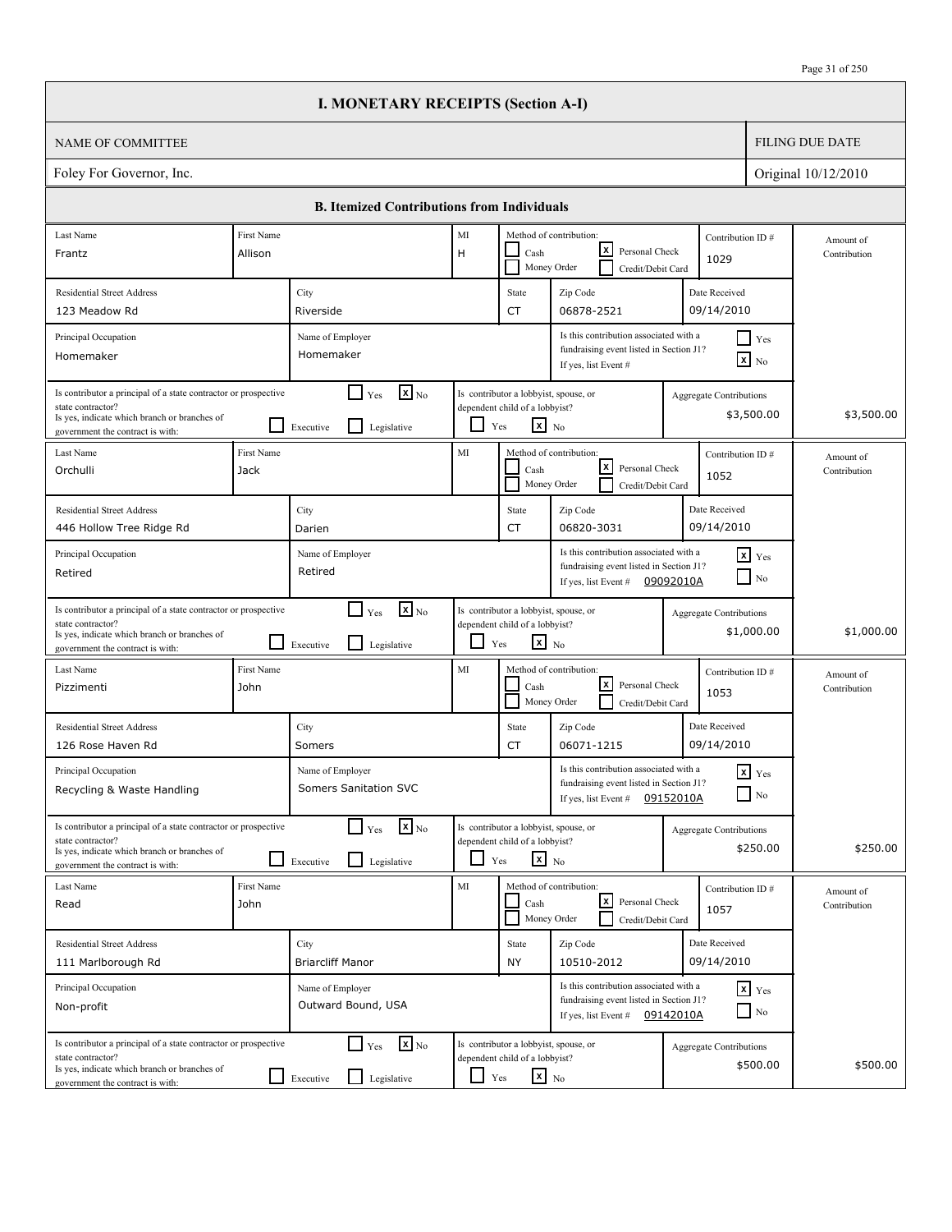|                                                                                                                                                                          |                           | <b>I. MONETARY RECEIPTS (Section A-I)</b>                                              |        |                                                                                                   |                                                                                                                       |           |                                              |                           |
|--------------------------------------------------------------------------------------------------------------------------------------------------------------------------|---------------------------|----------------------------------------------------------------------------------------|--------|---------------------------------------------------------------------------------------------------|-----------------------------------------------------------------------------------------------------------------------|-----------|----------------------------------------------|---------------------------|
| NAME OF COMMITTEE                                                                                                                                                        |                           |                                                                                        |        |                                                                                                   |                                                                                                                       |           |                                              | <b>FILING DUE DATE</b>    |
| Foley For Governor, Inc.                                                                                                                                                 |                           |                                                                                        |        |                                                                                                   |                                                                                                                       |           |                                              | Original 10/12/2010       |
|                                                                                                                                                                          |                           | <b>B.</b> Itemized Contributions from Individuals                                      |        |                                                                                                   |                                                                                                                       |           |                                              |                           |
| Last Name                                                                                                                                                                | First Name                |                                                                                        | MI     |                                                                                                   | Method of contribution:                                                                                               |           | Contribution ID#                             | Amount of                 |
| Frantz                                                                                                                                                                   | Allison                   |                                                                                        | H      | Cash<br>Money Order                                                                               | lxl<br>Personal Check<br>Credit/Debit Card                                                                            |           | 1029                                         | Contribution              |
| <b>Residential Street Address</b>                                                                                                                                        |                           | City                                                                                   |        | State                                                                                             | Zip Code                                                                                                              |           | Date Received                                |                           |
| 123 Meadow Rd                                                                                                                                                            |                           | Riverside                                                                              |        | CT                                                                                                | 06878-2521                                                                                                            |           | 09/14/2010                                   |                           |
| Principal Occupation<br>Homemaker                                                                                                                                        |                           | Name of Employer<br>Homemaker                                                          |        |                                                                                                   | Is this contribution associated with a<br>fundraising event listed in Section J1?<br>If yes, list Event #             |           | $\Box$ Yes<br>$\mathbf{X}$ No                |                           |
| Is contributor a principal of a state contractor or prospective<br>state contractor?<br>Is yes, indicate which branch or branches of<br>government the contract is with: |                           | $\boxed{\mathbf{x}}$ <sub>No</sub><br>$\Box$ Yes<br>l 1<br>Legislative<br>Executive    |        | Is contributor a lobbyist, spouse, or<br>dependent child of a lobbyist?<br>$x_{N0}$<br>Yes        |                                                                                                                       |           | <b>Aggregate Contributions</b><br>\$3,500.00 | \$3,500.00                |
| Last Name<br>Orchulli                                                                                                                                                    | <b>First Name</b><br>Jack |                                                                                        | MI     | Cash<br>Money Order                                                                               | Method of contribution:<br>lxI<br>Personal Check<br>Credit/Debit Card                                                 |           | Contribution ID#<br>1052                     | Amount of<br>Contribution |
| <b>Residential Street Address</b>                                                                                                                                        |                           | City                                                                                   |        | State                                                                                             | Zip Code                                                                                                              |           | Date Received                                |                           |
| 446 Hollow Tree Ridge Rd                                                                                                                                                 |                           | Darien                                                                                 |        | CT                                                                                                | 06820-3031                                                                                                            |           | 09/14/2010                                   |                           |
| Principal Occupation<br>Retired                                                                                                                                          |                           | Name of Employer<br>Retired                                                            |        |                                                                                                   | Is this contribution associated with a<br>fundraising event listed in Section J1?<br>If yes, list Event #             | 09092010A | $\mathbf{x}$ Yes<br>$\Box$ No                |                           |
| Is contributor a principal of a state contractor or prospective<br>state contractor?<br>Is yes, indicate which branch or branches of<br>government the contract is with: |                           | $\mathbf{x}$ <sub>No</sub><br>$\Gamma$ Yes<br>$\mathsf{L}$<br>Legislative<br>Executive | $\Box$ | Is contributor a lobbyist, spouse, or<br>dependent child of a lobbyist?<br>$\mathbf{x}$ No<br>Yes |                                                                                                                       |           | <b>Aggregate Contributions</b><br>\$1,000.00 | \$1,000.00                |
| Last Name<br>Pizzimenti                                                                                                                                                  | First Name<br>John        |                                                                                        | MI     | Cash<br>Money Order                                                                               | Method of contribution:<br>lxI<br>Personal Check<br>Credit/Debit Card                                                 |           | Contribution ID#<br>1053                     | Amount of<br>Contribution |
| <b>Residential Street Address</b><br>126 Rose Haven Rd                                                                                                                   |                           | City<br>Somers                                                                         |        | State<br>CT                                                                                       | Zip Code<br>06071-1215                                                                                                |           | Date Received<br>09/14/2010                  |                           |
| Principal Occupation<br>Recycling & Waste Handling                                                                                                                       |                           | Name of Employer<br>Somers Sanitation SVC                                              |        |                                                                                                   | Is this contribution associated with a<br>fundraising event listed in Section J1?<br>If yes, list Event #             | 09152010A | $x$ $Yes$<br>$\hfill\Box$ No                 |                           |
| Is contributor a principal of a state contractor or prospective<br>state contractor?<br>Is yes, indicate which branch or branches of<br>government the contract is with: |                           | $\mathbf{X}$ <sub>No</sub><br>$\Box$ Yes<br>Legislative<br>Executive                   | ப      | Is contributor a lobbyist, spouse, or<br>dependent child of a lobbyist?<br>$\mathbf{x}$ No<br>Yes |                                                                                                                       |           | Aggregate Contributions<br>\$250.00          | \$250.00                  |
| Last Name<br>Read                                                                                                                                                        | First Name<br>John        |                                                                                        | MI     | Cash<br>Money Order                                                                               | Method of contribution:<br><u> x</u><br>Personal Check<br>Credit/Debit Card                                           |           | Contribution ID#<br>1057                     | Amount of<br>Contribution |
| <b>Residential Street Address</b>                                                                                                                                        |                           | City                                                                                   |        | State                                                                                             | Zip Code                                                                                                              |           | Date Received                                |                           |
| 111 Marlborough Rd                                                                                                                                                       |                           | <b>Briarcliff Manor</b>                                                                |        | NY                                                                                                | 10510-2012                                                                                                            |           | 09/14/2010                                   |                           |
| Principal Occupation<br>Non-profit                                                                                                                                       |                           | Name of Employer<br>Outward Bound, USA                                                 |        |                                                                                                   | Is this contribution associated with a<br>fundraising event listed in Section J1?<br>If yes, list Event # $09142010A$ |           | $\mathbf{x}$ Yes<br>$\Box$ No                |                           |
| Is contributor a principal of a state contractor or prospective<br>state contractor?<br>Is yes, indicate which branch or branches of<br>government the contract is with: |                           | $\mathbf{X}$ <sub>No</sub><br>$\Box$ Yes<br>$\Box$<br>Legislative<br>Executive         | $\Box$ | Is contributor a lobbyist, spouse, or<br>dependent child of a lobbyist?<br>$\mathbf{x}$ No<br>Yes |                                                                                                                       |           | <b>Aggregate Contributions</b><br>\$500.00   | \$500.00                  |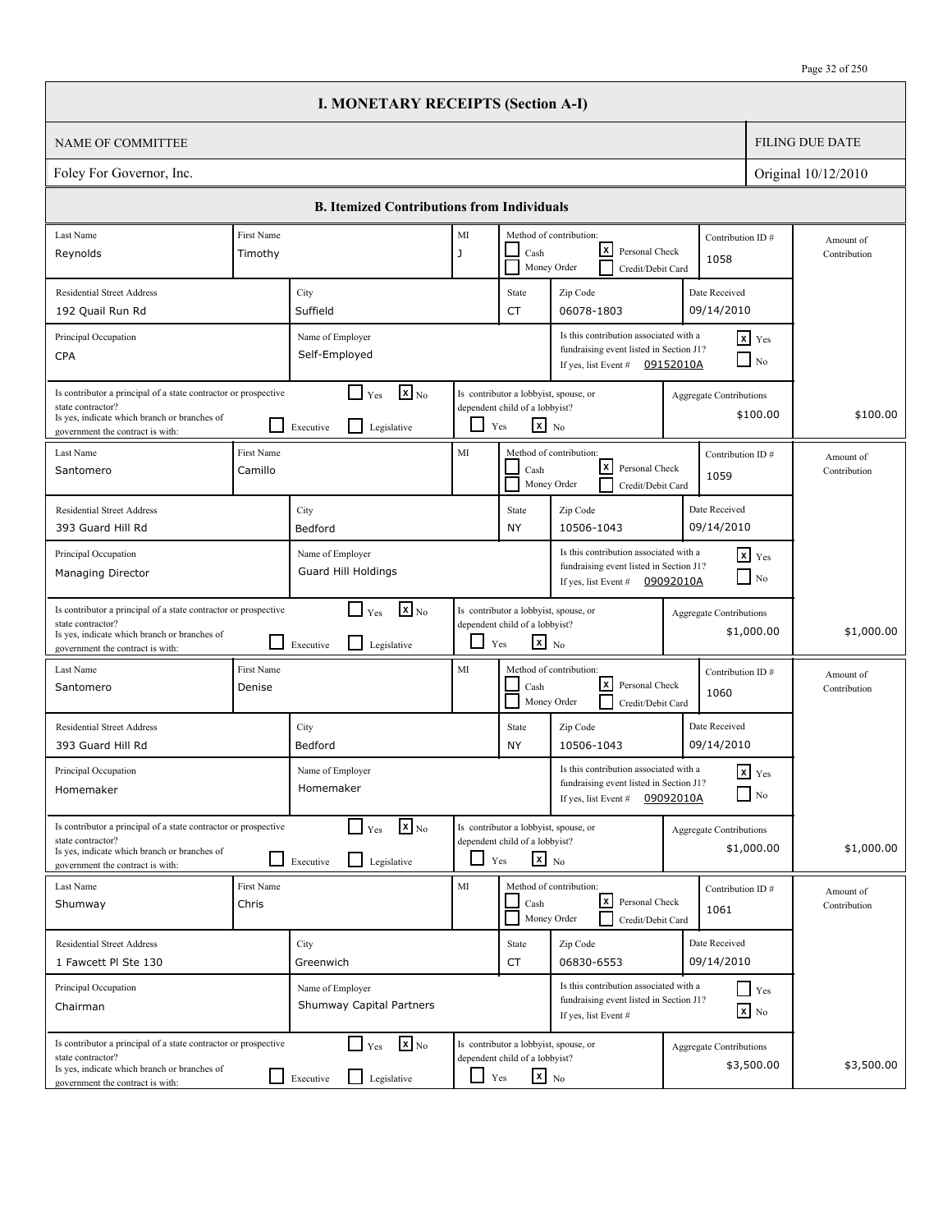|                                                                                                                                                                          |                       | <b>I. MONETARY RECEIPTS (Section A-I)</b>                                              |            |                                                                                                   |                                                                                                           |                                |                                   |                           |
|--------------------------------------------------------------------------------------------------------------------------------------------------------------------------|-----------------------|----------------------------------------------------------------------------------------|------------|---------------------------------------------------------------------------------------------------|-----------------------------------------------------------------------------------------------------------|--------------------------------|-----------------------------------|---------------------------|
| <b>NAME OF COMMITTEE</b>                                                                                                                                                 |                       |                                                                                        |            |                                                                                                   |                                                                                                           |                                |                                   | <b>FILING DUE DATE</b>    |
| Foley For Governor, Inc.                                                                                                                                                 |                       |                                                                                        |            |                                                                                                   |                                                                                                           |                                |                                   | Original 10/12/2010       |
|                                                                                                                                                                          |                       | <b>B. Itemized Contributions from Individuals</b>                                      |            |                                                                                                   |                                                                                                           |                                |                                   |                           |
| Last Name                                                                                                                                                                | First Name            |                                                                                        | $\rm MI$   |                                                                                                   | Method of contribution:                                                                                   | Contribution ID#               |                                   | Amount of                 |
| Reynolds                                                                                                                                                                 | Timothy               |                                                                                        | J          | Cash                                                                                              | lxI<br>Personal Check<br>Money Order<br>Credit/Debit Card                                                 | 1058                           |                                   | Contribution              |
| <b>Residential Street Address</b>                                                                                                                                        |                       | City                                                                                   |            | State                                                                                             | Zip Code                                                                                                  | Date Received                  |                                   |                           |
| 192 Quail Run Rd                                                                                                                                                         |                       | Suffield                                                                               |            | <b>CT</b>                                                                                         | 06078-1803                                                                                                | 09/14/2010                     |                                   |                           |
| Principal Occupation<br><b>CPA</b>                                                                                                                                       |                       | Name of Employer<br>Self-Employed                                                      |            |                                                                                                   | Is this contribution associated with a<br>fundraising event listed in Section J1?<br>If yes, list Event # | 09152010A                      | $x$ Yes<br>N <sub>0</sub>         |                           |
| Is contributor a principal of a state contractor or prospective<br>state contractor?<br>Is yes, indicate which branch or branches of<br>government the contract is with: |                       | $\mathbf{X}$ <sub>No</sub><br>$\Box$ Yes<br>$\mathsf{L}$<br>Executive<br>Legislative   | ப          | Is contributor a lobbyist, spouse, or<br>dependent child of a lobbyist?<br>$\mathbf{x}$ No<br>Yes |                                                                                                           | Aggregate Contributions        | \$100.00                          | \$100.00                  |
| Last Name<br>Santomero                                                                                                                                                   | First Name<br>Camillo |                                                                                        | MI         | Cash                                                                                              | Method of contribution:<br>lxI<br>Personal Check<br>Money Order<br>Credit/Debit Card                      | Contribution ID#<br>1059       |                                   | Amount of<br>Contribution |
| <b>Residential Street Address</b><br>393 Guard Hill Rd                                                                                                                   |                       | City<br>Bedford                                                                        |            | State<br><b>NY</b>                                                                                | Zip Code<br>10506-1043                                                                                    | Date Received<br>09/14/2010    |                                   |                           |
| Principal Occupation<br><b>Managing Director</b>                                                                                                                         |                       | Name of Employer<br>Guard Hill Holdings                                                |            |                                                                                                   | Is this contribution associated with a<br>fundraising event listed in Section J1?<br>If yes, list Event # | 09092010A                      | $x$ Yes<br>$\Box$ No              |                           |
| Is contributor a principal of a state contractor or prospective<br>state contractor?<br>Is yes, indicate which branch or branches of<br>government the contract is with: |                       | $\mathbf{X}$ <sub>No</sub><br>$\Box$ Yes<br>l 1<br>Legislative<br>Executive            | ப          | Is contributor a lobbyist, spouse, or<br>dependent child of a lobbyist?<br>$\mathbf{x}$ No<br>Yes |                                                                                                           | <b>Aggregate Contributions</b> | \$1,000.00                        | \$1,000.00                |
| Last Name<br>Santomero                                                                                                                                                   | First Name<br>Denise  |                                                                                        | MI         | Cash                                                                                              | Method of contribution:<br>lxl<br>Personal Check<br>Money Order<br>Credit/Debit Card                      | Contribution ID#<br>1060       |                                   | Amount of<br>Contribution |
| <b>Residential Street Address</b><br>393 Guard Hill Rd                                                                                                                   |                       | City<br>Bedford                                                                        |            | State<br><b>NY</b>                                                                                | Zip Code<br>10506-1043                                                                                    | Date Received<br>09/14/2010    |                                   |                           |
| Principal Occupation<br>Homemaker                                                                                                                                        |                       | Name of Employer<br>Homemaker                                                          |            |                                                                                                   | Is this contribution associated with a<br>fundraising event listed in Section J1?<br>If yes, list Event # | 09092010A                      | $\mathbf{x}$ Yes<br>$\Box$ No     |                           |
| Is contributor a principal of a state contractor or prospective<br>state contractor?<br>Is yes, indicate which branch or branches of<br>government the contract is with: |                       | $\mathbf{x}$ <sub>No</sub><br>$\Gamma$ Yes<br>$\mathsf{L}$<br>Legislative<br>Executive |            | Is contributor a lobbyist, spouse, or<br>dependent child of a lobbyist?<br>$x_{N0}$<br>Yes        |                                                                                                           | <b>Aggregate Contributions</b> | \$1,000.00                        | \$1,000.00                |
| Last Name<br>Shumway                                                                                                                                                     | First Name<br>Chris   |                                                                                        | MI         | Cash                                                                                              | Method of contribution:<br> x <br>Personal Check<br>Money Order<br>Credit/Debit Card                      | Contribution ID#<br>1061       |                                   | Amount of<br>Contribution |
| <b>Residential Street Address</b><br>1 Fawcett Pl Ste 130                                                                                                                |                       | City<br>Greenwich                                                                      |            | State<br>CT                                                                                       | Zip Code<br>06830-6553                                                                                    | Date Received<br>09/14/2010    |                                   |                           |
| Principal Occupation<br>Chairman                                                                                                                                         |                       | Name of Employer<br>Shumway Capital Partners                                           |            |                                                                                                   | Is this contribution associated with a<br>fundraising event listed in Section J1?<br>If yes, list Event # |                                | $Y$ es<br>$\boxed{\mathbf{x}}$ No |                           |
| Is contributor a principal of a state contractor or prospective<br>state contractor?<br>Is yes, indicate which branch or branches of<br>government the contract is with: |                       | $\mathbf{x}$ <sub>No</sub><br>$\Box$ Yes<br>Executive<br>Legislative                   | $\Box$ Yes | Is contributor a lobbyist, spouse, or<br>dependent child of a lobbyist?<br>$\mathbf{x}$ No        |                                                                                                           | <b>Aggregate Contributions</b> | \$3,500.00                        | \$3,500.00                |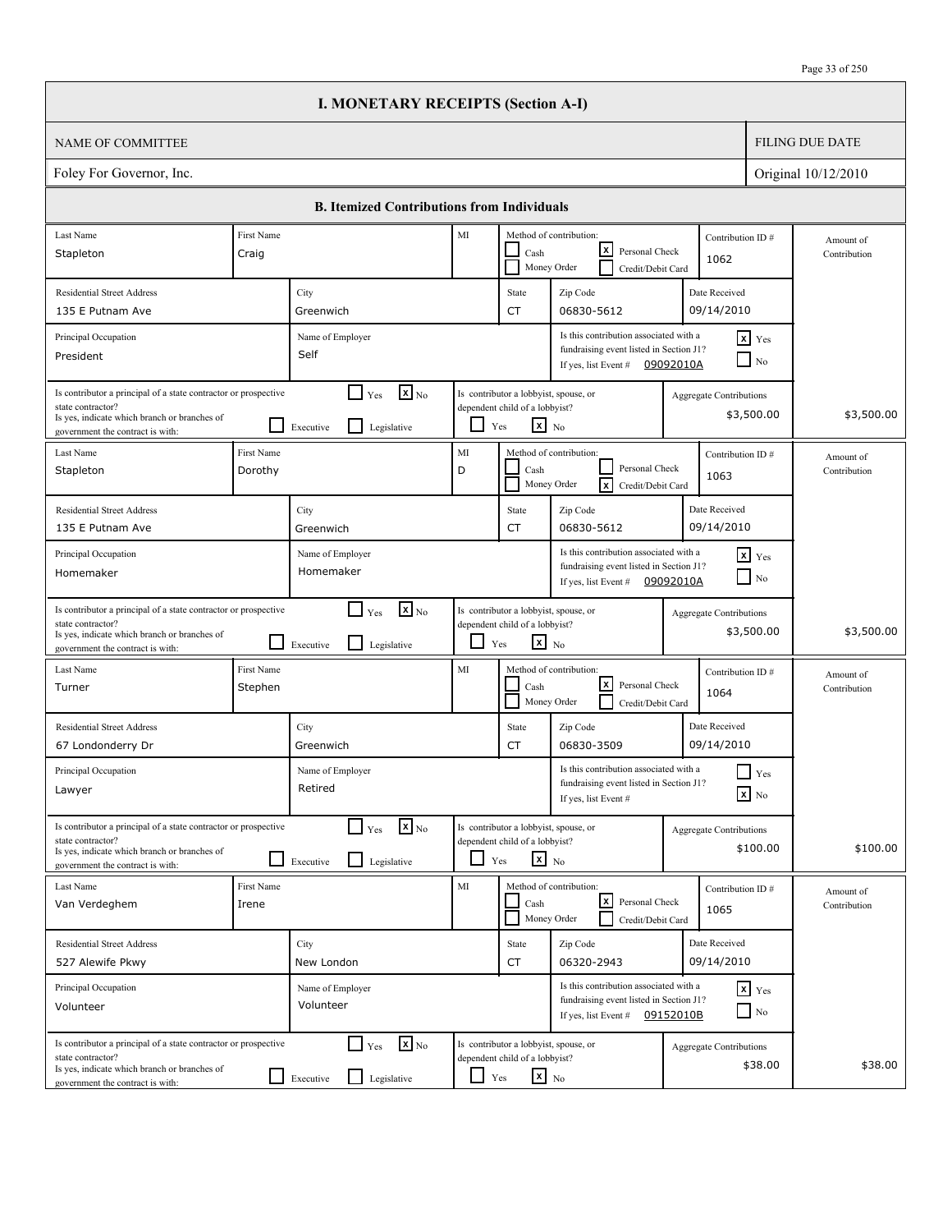|                                                                                                                                                                          |                       | <b>I. MONETARY RECEIPTS (Section A-I)</b>                                            |            |                                                                                                   |                                                                                                                        |                                |                                        |                           |
|--------------------------------------------------------------------------------------------------------------------------------------------------------------------------|-----------------------|--------------------------------------------------------------------------------------|------------|---------------------------------------------------------------------------------------------------|------------------------------------------------------------------------------------------------------------------------|--------------------------------|----------------------------------------|---------------------------|
| <b>NAME OF COMMITTEE</b>                                                                                                                                                 |                       |                                                                                      |            |                                                                                                   |                                                                                                                        |                                |                                        | <b>FILING DUE DATE</b>    |
| Foley For Governor, Inc.                                                                                                                                                 |                       |                                                                                      |            |                                                                                                   |                                                                                                                        |                                |                                        | Original 10/12/2010       |
|                                                                                                                                                                          |                       | <b>B. Itemized Contributions from Individuals</b>                                    |            |                                                                                                   |                                                                                                                        |                                |                                        |                           |
| Last Name                                                                                                                                                                | First Name            |                                                                                      | MI         |                                                                                                   | Method of contribution:                                                                                                | Contribution ID#               |                                        | Amount of                 |
| Stapleton                                                                                                                                                                | Craig                 |                                                                                      |            | Cash                                                                                              | lxI<br>Personal Check<br>Money Order<br>Credit/Debit Card                                                              | 1062                           |                                        | Contribution              |
| <b>Residential Street Address</b>                                                                                                                                        |                       | City                                                                                 |            | State                                                                                             | Zip Code                                                                                                               | Date Received                  |                                        |                           |
| 135 E Putnam Ave                                                                                                                                                         |                       | Greenwich                                                                            |            | <b>CT</b>                                                                                         | 06830-5612                                                                                                             | 09/14/2010                     |                                        |                           |
| Principal Occupation<br>President                                                                                                                                        |                       | Name of Employer<br>Self                                                             |            |                                                                                                   | Is this contribution associated with a<br>fundraising event listed in Section J1?<br>If yes, list Event #              | 09092010A                      | $x$ Yes<br>N <sub>0</sub>              |                           |
| Is contributor a principal of a state contractor or prospective<br>state contractor?<br>Is yes, indicate which branch or branches of<br>government the contract is with: |                       | $\mathbf{X}$ <sub>No</sub><br>$\Box$ Yes<br>$\mathsf{L}$<br>Executive<br>Legislative | ப          | Is contributor a lobbyist, spouse, or<br>dependent child of a lobbyist?<br>$\mathbf{x}$ No<br>Yes |                                                                                                                        | Aggregate Contributions        | \$3,500.00                             | \$3,500.00                |
| Last Name<br>Stapleton                                                                                                                                                   | First Name<br>Dorothy |                                                                                      | MI<br>D    | Cash                                                                                              | Method of contribution:<br>Personal Check<br><b>x</b><br>Money Order<br>Credit/Debit Card                              | Contribution ID#<br>1063       |                                        | Amount of<br>Contribution |
| <b>Residential Street Address</b><br>135 E Putnam Ave                                                                                                                    |                       | City<br>Greenwich                                                                    |            | State<br><b>CT</b>                                                                                | Zip Code<br>06830-5612                                                                                                 | Date Received<br>09/14/2010    |                                        |                           |
| Principal Occupation<br>Homemaker                                                                                                                                        |                       | Name of Employer<br>Homemaker                                                        |            |                                                                                                   | Is this contribution associated with a<br>fundraising event listed in Section J1?<br>If yes, list Event #              | 09092010A                      | $x$ Yes<br>$\Box$ No                   |                           |
| Is contributor a principal of a state contractor or prospective<br>state contractor?<br>Is yes, indicate which branch or branches of<br>government the contract is with: |                       | $\mathbf{X}$ <sub>No</sub><br>$\Box$ Yes<br>l 1<br>Legislative<br>Executive          | ப          | Is contributor a lobbyist, spouse, or<br>dependent child of a lobbyist?<br>$\mathbf{x}$ No<br>Yes |                                                                                                                        | <b>Aggregate Contributions</b> | \$3,500.00                             | \$3,500.00                |
| Last Name<br>Turner                                                                                                                                                      | First Name<br>Stephen |                                                                                      | MI         | Cash                                                                                              | Method of contribution:<br>lxl<br>Personal Check<br>Money Order<br>Credit/Debit Card                                   | Contribution ID#<br>1064       |                                        | Amount of<br>Contribution |
| <b>Residential Street Address</b><br>67 Londonderry Dr                                                                                                                   |                       | City<br>Greenwich                                                                    |            | State<br>CT                                                                                       | Zip Code<br>06830-3509                                                                                                 | Date Received<br>09/14/2010    |                                        |                           |
| Principal Occupation<br>Lawyer                                                                                                                                           |                       | Name of Employer<br>Retired                                                          |            |                                                                                                   | Is this contribution associated with a<br>fundraising event listed in Section J1?<br>If yes, list Event #              |                                | $\prod$ Yes<br>$\boxed{\mathbf{x}}$ No |                           |
| Is contributor a principal of a state contractor or prospective<br>state contractor?<br>Is yes, indicate which branch or branches of<br>government the contract is with: |                       | $\mathbf{x}$ <sub>No</sub><br>$\Box$ Yes<br>$\Box$<br>Legislative<br>Executive       |            | Is contributor a lobbyist, spouse, or<br>dependent child of a lobbyist?<br>$\mathbf{x}$ No<br>Yes |                                                                                                                        | <b>Aggregate Contributions</b> | \$100.00                               | \$100.00                  |
| Last Name<br>Van Verdeghem                                                                                                                                               | First Name<br>Irene   |                                                                                      | MI         | Cash                                                                                              | Method of contribution:<br>l×l<br>Personal Check<br>Money Order<br>Credit/Debit Card                                   | Contribution ID#<br>1065       |                                        | Amount of<br>Contribution |
| <b>Residential Street Address</b><br>527 Alewife Pkwy                                                                                                                    |                       | City<br>New London                                                                   |            | State<br>CT                                                                                       | Zip Code<br>06320-2943                                                                                                 | Date Received<br>09/14/2010    |                                        |                           |
| Principal Occupation<br>Volunteer                                                                                                                                        |                       | Name of Employer<br>Volunteer                                                        |            |                                                                                                   | Is this contribution associated with a<br>fundraising event listed in Section J1?<br>If yes, list Event $\#$ 09152010B |                                | $x$ $y$ <sub>es</sub><br>$\Box$ No     |                           |
| Is contributor a principal of a state contractor or prospective<br>state contractor?<br>Is yes, indicate which branch or branches of<br>government the contract is with: |                       | $\mathbf{x}$ <sub>No</sub><br>$\Box$ Yes<br>Legislative<br>$\Box$ Executive          | $\Box$ Yes | Is contributor a lobbyist, spouse, or<br>dependent child of a lobbyist?<br>$\mathbf{x}$ No        |                                                                                                                        | <b>Aggregate Contributions</b> | \$38.00                                | \$38.00                   |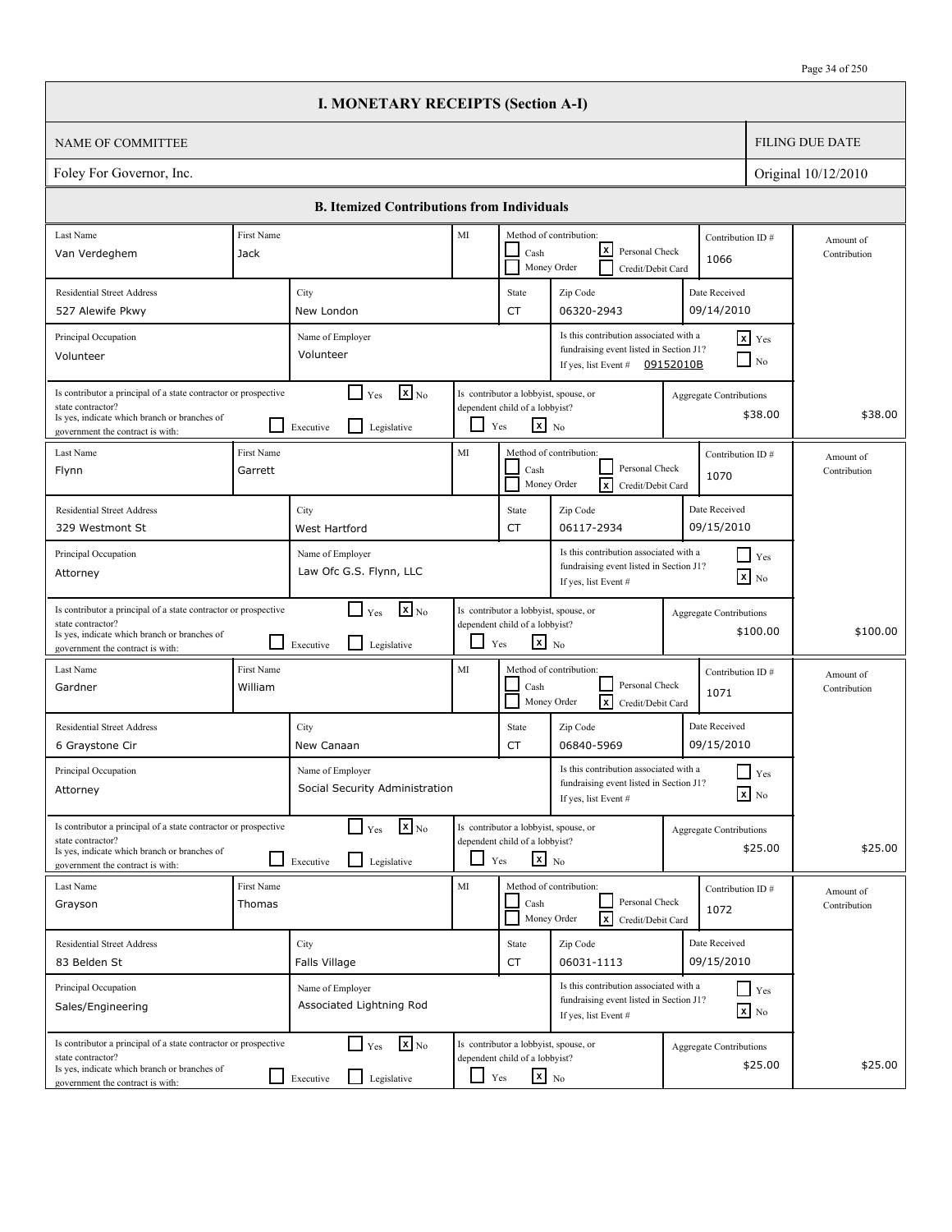|                                                                                                                                                                          |                       | <b>I. MONETARY RECEIPTS (Section A-I)</b>                                   |                          |                                                                                            |                                                                                                           |           |                                               |                           |
|--------------------------------------------------------------------------------------------------------------------------------------------------------------------------|-----------------------|-----------------------------------------------------------------------------|--------------------------|--------------------------------------------------------------------------------------------|-----------------------------------------------------------------------------------------------------------|-----------|-----------------------------------------------|---------------------------|
| <b>NAME OF COMMITTEE</b>                                                                                                                                                 |                       |                                                                             |                          |                                                                                            |                                                                                                           |           |                                               | <b>FILING DUE DATE</b>    |
| Foley For Governor, Inc.                                                                                                                                                 |                       |                                                                             |                          |                                                                                            |                                                                                                           |           |                                               | Original 10/12/2010       |
|                                                                                                                                                                          |                       | <b>B. Itemized Contributions from Individuals</b>                           |                          |                                                                                            |                                                                                                           |           |                                               |                           |
| Last Name                                                                                                                                                                | First Name            |                                                                             | MI                       |                                                                                            | Method of contribution:                                                                                   |           | Contribution ID#                              | Amount of                 |
| Van Verdeghem                                                                                                                                                            | Jack                  |                                                                             |                          | Cash                                                                                       | lxl<br>Personal Check<br>Money Order<br>Credit/Debit Card                                                 |           | 1066                                          | Contribution              |
| <b>Residential Street Address</b>                                                                                                                                        |                       | City                                                                        |                          | State                                                                                      | Zip Code                                                                                                  |           | Date Received                                 |                           |
| 527 Alewife Pkwy                                                                                                                                                         |                       | New London                                                                  |                          | CT                                                                                         | 06320-2943                                                                                                |           | 09/14/2010                                    |                           |
| Principal Occupation<br>Volunteer                                                                                                                                        |                       | Name of Employer<br>Volunteer                                               |                          |                                                                                            | Is this contribution associated with a<br>fundraising event listed in Section J1?<br>If yes, list Event # | 09152010B | $x$ Yes<br>$\Box$ No                          |                           |
| Is contributor a principal of a state contractor or prospective<br>state contractor?<br>Is yes, indicate which branch or branches of<br>government the contract is with: |                       | $\mathbf{X}$ <sub>No</sub><br>$\Box$ Yes<br>l 1<br>Legislative<br>Executive |                          | Is contributor a lobbyist, spouse, or<br>dependent child of a lobbyist?<br>$x_{N0}$<br>Yes |                                                                                                           |           | <b>Aggregate Contributions</b><br>\$38.00     | \$38.00                   |
| Last Name<br>Flynn                                                                                                                                                       | First Name<br>Garrett |                                                                             | MI                       | Cash<br>Money Order                                                                        | Method of contribution:<br>Personal Check<br>$\sqrt{x}$<br>Credit/Debit Card                              |           | Contribution ID#<br>1070                      | Amount of<br>Contribution |
| <b>Residential Street Address</b><br>329 Westmont St                                                                                                                     |                       | City<br>West Hartford                                                       |                          | State<br>CT                                                                                | Zip Code<br>06117-2934                                                                                    |           | Date Received<br>09/15/2010                   |                           |
| Principal Occupation<br>Attorney                                                                                                                                         |                       | Name of Employer<br>Law Ofc G.S. Flynn, LLC                                 |                          |                                                                                            | Is this contribution associated with a<br>fundraising event listed in Section J1?<br>If yes, list Event # |           | $\blacksquare$ Yes<br>$\boxed{\mathbf{x}}$ No |                           |
| Is contributor a principal of a state contractor or prospective<br>state contractor?<br>Is yes, indicate which branch or branches of<br>government the contract is with: | <b>1. In</b>          | $\mathbf{X}$ <sub>No</sub><br>$\Box$ Yes<br>l 1<br>Legislative<br>Executive | $\overline{\phantom{0}}$ | Is contributor a lobbyist, spouse, or<br>dependent child of a lobbyist?<br>$x_{N0}$<br>Yes |                                                                                                           |           | Aggregate Contributions<br>\$100.00           | \$100.00                  |
| Last Name<br>Gardner                                                                                                                                                     | First Name<br>William |                                                                             | MI                       | Cash                                                                                       | Method of contribution:<br>Personal Check<br>ℼ<br>Money Order<br>Credit/Debit Card                        |           | Contribution ID#<br>1071                      | Amount of<br>Contribution |
| <b>Residential Street Address</b><br>6 Graystone Cir                                                                                                                     |                       | City<br>New Canaan                                                          |                          | State<br>CT                                                                                | Zip Code<br>06840-5969                                                                                    |           | Date Received<br>09/15/2010                   |                           |
| Principal Occupation<br>Attorney                                                                                                                                         |                       | Name of Employer<br>Social Security Administration                          |                          |                                                                                            | Is this contribution associated with a<br>fundraising event listed in Section J1?<br>If yes, list Event # |           | $Y$ es<br>$\mathbf{X}$ No                     |                           |
| Is contributor a principal of a state contractor or prospective<br>state contractor?<br>Is yes, indicate which branch or branches of<br>government the contract is with: |                       | $\mathbf{X}_{\text{No}}$<br>$\Gamma$ Yes<br>Legislative<br>Executive        | ப                        | Is contributor a lobbyist, spouse, or<br>dependent child of a lobbyist?<br>$x_{N0}$<br>Yes |                                                                                                           |           | <b>Aggregate Contributions</b><br>\$25.00     | \$25.00                   |
| Last Name<br>Grayson                                                                                                                                                     | First Name<br>Thomas  |                                                                             | MI                       | Cash                                                                                       | Method of contribution:<br>Personal Check<br><b>x</b><br>Money Order<br>Credit/Debit Card                 |           | Contribution ID#<br>1072                      | Amount of<br>Contribution |
| <b>Residential Street Address</b><br>83 Belden St                                                                                                                        |                       | City<br>Falls Village                                                       |                          | State<br>CT                                                                                | Zip Code<br>06031-1113                                                                                    |           | Date Received<br>09/15/2010                   |                           |
| Principal Occupation<br>Sales/Engineering                                                                                                                                |                       | Name of Employer<br>Associated Lightning Rod                                |                          |                                                                                            | Is this contribution associated with a<br>fundraising event listed in Section J1?<br>If yes, list Event # |           | $\Box$ Yes<br>$\mathbf{x}$ No                 |                           |
| Is contributor a principal of a state contractor or prospective<br>state contractor?<br>Is yes, indicate which branch or branches of<br>government the contract is with: |                       | $\mathbf{x}$ <sub>No</sub><br>$\Gamma$ Yes<br>Legislative<br>Executive      | $\Box$ Yes               | Is contributor a lobbyist, spouse, or<br>dependent child of a lobbyist?<br>$\mathbf{x}$ No |                                                                                                           |           | <b>Aggregate Contributions</b><br>\$25.00     | \$25.00                   |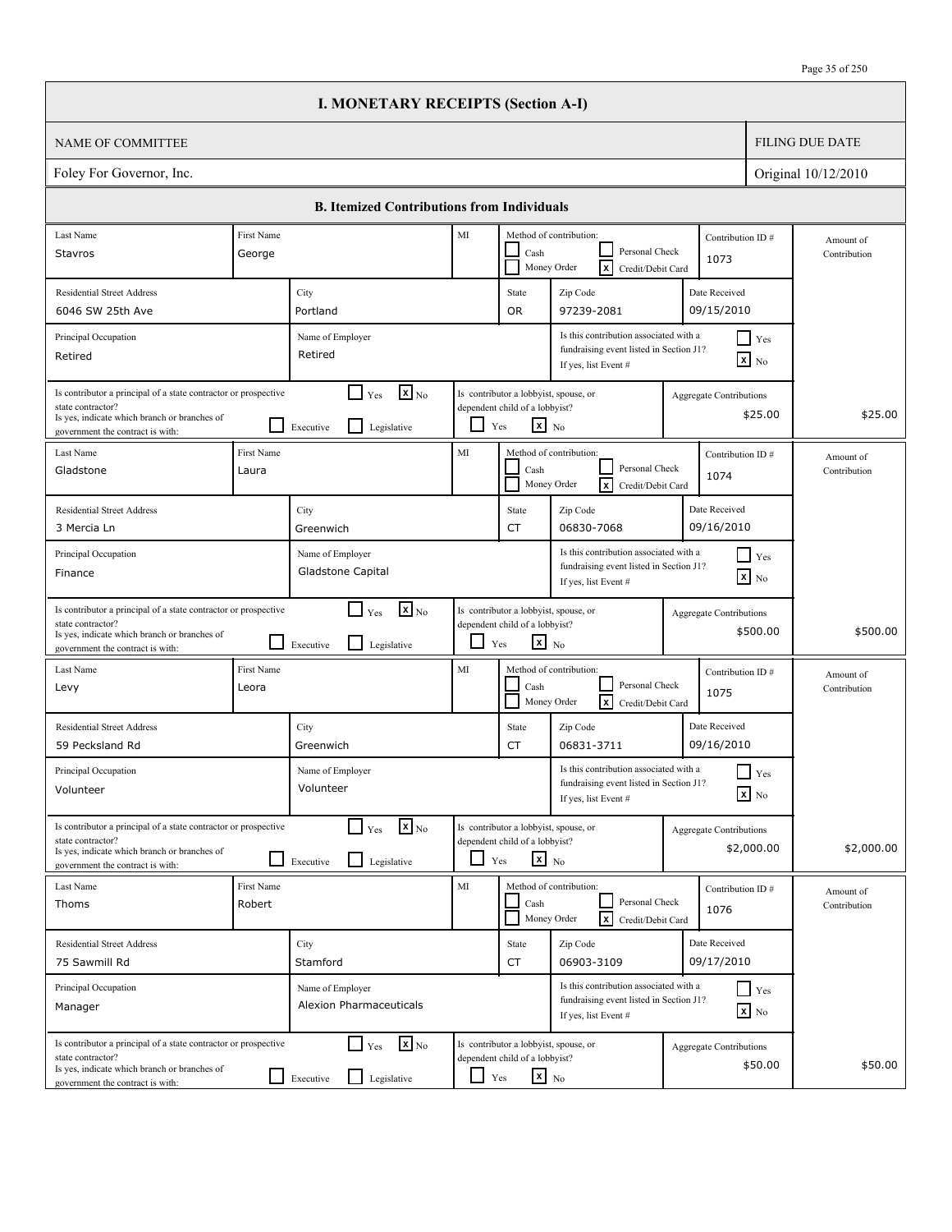|                                                                                                                                                                          |                            | <b>I. MONETARY RECEIPTS (Section A-I)</b>                                              |        |                                                                                                   |                                                                                                           |                                           |                           |
|--------------------------------------------------------------------------------------------------------------------------------------------------------------------------|----------------------------|----------------------------------------------------------------------------------------|--------|---------------------------------------------------------------------------------------------------|-----------------------------------------------------------------------------------------------------------|-------------------------------------------|---------------------------|
| NAME OF COMMITTEE                                                                                                                                                        |                            |                                                                                        |        |                                                                                                   |                                                                                                           |                                           | <b>FILING DUE DATE</b>    |
| Foley For Governor, Inc.                                                                                                                                                 |                            |                                                                                        |        |                                                                                                   |                                                                                                           |                                           | Original 10/12/2010       |
|                                                                                                                                                                          |                            | <b>B.</b> Itemized Contributions from Individuals                                      |        |                                                                                                   |                                                                                                           |                                           |                           |
| Last Name                                                                                                                                                                | First Name                 |                                                                                        | MI     |                                                                                                   | Method of contribution:                                                                                   | Contribution ID#                          | Amount of                 |
| Stavros                                                                                                                                                                  | George                     |                                                                                        |        | Cash                                                                                              | Personal Check<br>Money Order<br>$\overline{x}$<br>Credit/Debit Card                                      | 1073                                      | Contribution              |
| <b>Residential Street Address</b>                                                                                                                                        |                            | City                                                                                   |        | State                                                                                             | Zip Code                                                                                                  | Date Received                             |                           |
| 6046 SW 25th Ave                                                                                                                                                         |                            | Portland                                                                               |        | <b>OR</b>                                                                                         | 97239-2081                                                                                                | 09/15/2010                                |                           |
| Principal Occupation<br>Retired                                                                                                                                          |                            | Name of Employer<br>Retired                                                            |        |                                                                                                   | Is this contribution associated with a<br>fundraising event listed in Section J1?<br>If yes, list Event # | $\Box$ Yes<br>$\boxed{\mathbf{x}}$ No     |                           |
| Is contributor a principal of a state contractor or prospective<br>state contractor?<br>Is yes, indicate which branch or branches of<br>government the contract is with: |                            | $\mathbf{X}$ <sub>No</sub><br>$\blacksquare$<br>Yes<br>l 1<br>Legislative<br>Executive |        | Is contributor a lobbyist, spouse, or<br>dependent child of a lobbyist?<br>$x_{N0}$<br>Yes        |                                                                                                           | <b>Aggregate Contributions</b><br>\$25.00 | \$25.00                   |
| Last Name<br>Gladstone                                                                                                                                                   | <b>First Name</b><br>Laura |                                                                                        | MI     | Cash<br>Money Order                                                                               | Method of contribution:<br>Personal Check<br>lxl<br>Credit/Debit Card                                     | Contribution ID#<br>1074                  | Amount of<br>Contribution |
| <b>Residential Street Address</b>                                                                                                                                        |                            | City                                                                                   |        | State                                                                                             | Zip Code                                                                                                  | Date Received                             |                           |
| 3 Mercia Ln                                                                                                                                                              |                            | Greenwich                                                                              |        | CT                                                                                                | 06830-7068                                                                                                | 09/16/2010                                |                           |
| Principal Occupation<br>Finance                                                                                                                                          |                            | Name of Employer<br>Gladstone Capital                                                  |        |                                                                                                   | Is this contribution associated with a<br>fundraising event listed in Section J1?<br>If yes, list Event # | $\Box$ Yes<br>$\mathbf{x}$ No             |                           |
| Is contributor a principal of a state contractor or prospective<br>state contractor?<br>Is yes, indicate which branch or branches of<br>government the contract is with: |                            | $\mathbf{x}$ <sub>No</sub><br>$\Box$ Yes<br>$\mathsf{L}$<br>Legislative<br>Executive   | $\Box$ | Is contributor a lobbyist, spouse, or<br>dependent child of a lobbyist?<br>$\mathbf{x}$ No<br>Yes |                                                                                                           | Aggregate Contributions<br>\$500.00       | \$500.00                  |
| Last Name<br>Levy                                                                                                                                                        | First Name<br>Leora        |                                                                                        | MI     | Cash                                                                                              | Method of contribution:<br>Personal Check<br>Money Order<br>lxl<br>Credit/Debit Card                      | Contribution ID#<br>1075                  | Amount of<br>Contribution |
| <b>Residential Street Address</b><br>59 Pecksland Rd                                                                                                                     |                            | City<br>Greenwich                                                                      |        | State<br>CT                                                                                       | Zip Code<br>06831-3711                                                                                    | Date Received<br>09/16/2010               |                           |
| Principal Occupation<br>Volunteer                                                                                                                                        |                            | Name of Employer<br>Volunteer                                                          |        |                                                                                                   | Is this contribution associated with a<br>fundraising event listed in Section J1?<br>If yes, list Event # | $\blacksquare$ Yes<br>$\mathbf{X}$ No     |                           |
| Is contributor a principal of a state contractor or prospective<br>state contractor?<br>Is yes, indicate which branch or branches of<br>government the contract is with: |                            | $\mathbf{X}$ <sub>No</sub><br>$\Box$ Yes<br>Legislative<br>Executive                   | ப      | Is contributor a lobbyist, spouse, or<br>dependent child of a lobbyist?<br>$\mathbf{x}$ No<br>Yes |                                                                                                           | Aggregate Contributions<br>\$2,000.00     | \$2,000.00                |
| Last Name<br>Thoms                                                                                                                                                       | First Name<br>Robert       |                                                                                        | MI     | Cash                                                                                              | Method of contribution:<br>Personal Check<br>$\lceil x \rceil$<br>Money Order<br>Credit/Debit Card        | Contribution ID#<br>1076                  | Amount of<br>Contribution |
| <b>Residential Street Address</b><br>75 Sawmill Rd                                                                                                                       |                            | City<br>Stamford                                                                       |        | State<br>CT                                                                                       | Zip Code<br>06903-3109                                                                                    | Date Received<br>09/17/2010               |                           |
| Principal Occupation<br>Manager                                                                                                                                          |                            | Name of Employer<br>Alexion Pharmaceuticals                                            |        |                                                                                                   | Is this contribution associated with a<br>fundraising event listed in Section J1?<br>If yes, list Event # | $\Box$ Yes<br>$\mathbf{x}$ No             |                           |
| Is contributor a principal of a state contractor or prospective<br>state contractor?<br>Is yes, indicate which branch or branches of<br>government the contract is with: |                            | $\mathbf{X}$ <sub>No</sub><br>$\Box$ Yes<br>$\perp$<br>Legislative<br>Executive        | $\Box$ | Is contributor a lobbyist, spouse, or<br>dependent child of a lobbyist?<br>$\mathbf{x}$ No<br>Yes |                                                                                                           | <b>Aggregate Contributions</b><br>\$50.00 | \$50.00                   |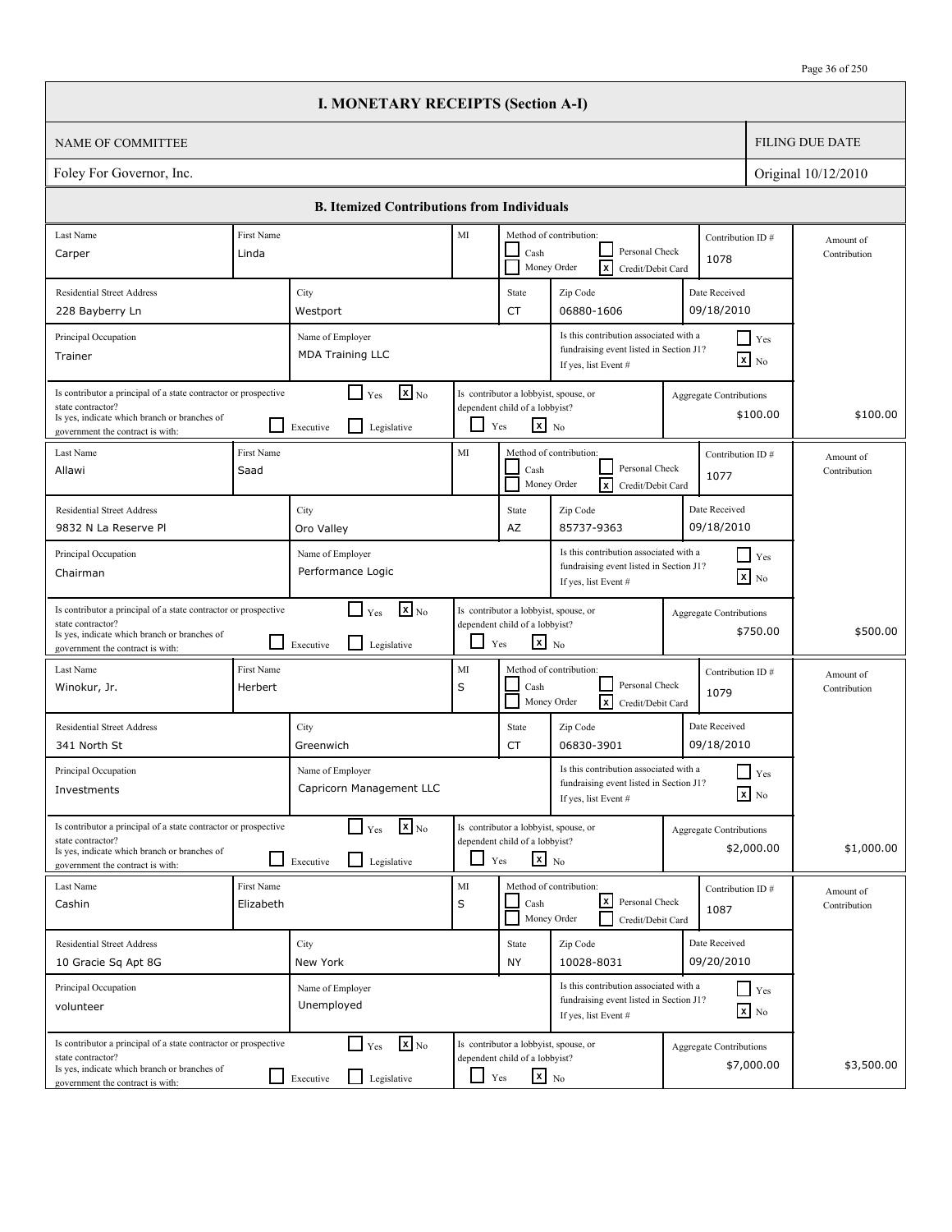|                                                                                                                                                                          |                         | <b>I. MONETARY RECEIPTS (Section A-I)</b>                                            |               |                                                                                                   |                                                                                                           |                                |                                               |                           |
|--------------------------------------------------------------------------------------------------------------------------------------------------------------------------|-------------------------|--------------------------------------------------------------------------------------|---------------|---------------------------------------------------------------------------------------------------|-----------------------------------------------------------------------------------------------------------|--------------------------------|-----------------------------------------------|---------------------------|
| <b>NAME OF COMMITTEE</b>                                                                                                                                                 |                         |                                                                                      |               |                                                                                                   |                                                                                                           |                                |                                               | <b>FILING DUE DATE</b>    |
| Foley For Governor, Inc.                                                                                                                                                 |                         |                                                                                      |               |                                                                                                   |                                                                                                           |                                |                                               | Original 10/12/2010       |
|                                                                                                                                                                          |                         | <b>B. Itemized Contributions from Individuals</b>                                    |               |                                                                                                   |                                                                                                           |                                |                                               |                           |
| Last Name<br>Carper                                                                                                                                                      | First Name<br>Linda     |                                                                                      | MI            | Cash                                                                                              | Method of contribution:<br>Personal Check<br>Γx<br>Money Order<br>Credit/Debit Card                       | Contribution ID#<br>1078       |                                               | Amount of<br>Contribution |
| <b>Residential Street Address</b><br>228 Bayberry Ln                                                                                                                     |                         | City<br>Westport                                                                     |               | State<br><b>CT</b>                                                                                | Zip Code<br>06880-1606                                                                                    | Date Received<br>09/18/2010    |                                               |                           |
| Principal Occupation<br>Trainer                                                                                                                                          |                         | Name of Employer<br><b>MDA Training LLC</b>                                          |               |                                                                                                   | Is this contribution associated with a<br>fundraising event listed in Section J1?<br>If yes, list Event # |                                | $\blacksquare$ Yes<br>$\boxed{\mathbf{x}}$ No |                           |
| Is contributor a principal of a state contractor or prospective<br>state contractor?<br>Is yes, indicate which branch or branches of<br>government the contract is with: |                         | $\mathbf{X}$ <sub>No</sub><br>$\Box$ Yes<br>l I<br>Executive<br>Legislative          | ப             | Is contributor a lobbyist, spouse, or<br>dependent child of a lobbyist?<br>$\mathbf{x}$ No<br>Yes |                                                                                                           | Aggregate Contributions        | \$100.00                                      | \$100.00                  |
| Last Name<br>Allawi                                                                                                                                                      | First Name<br>Saad      |                                                                                      | MI            | Cash                                                                                              | Method of contribution:<br>Personal Check<br><b>x</b><br>Money Order<br>Credit/Debit Card                 | Contribution ID#<br>1077       |                                               | Amount of<br>Contribution |
| <b>Residential Street Address</b><br>9832 N La Reserve Pl                                                                                                                |                         | City<br>Oro Valley                                                                   |               | State<br>AZ                                                                                       | Zip Code<br>85737-9363                                                                                    | Date Received<br>09/18/2010    |                                               |                           |
| Principal Occupation<br>Chairman                                                                                                                                         |                         | Name of Employer<br>Performance Logic                                                |               |                                                                                                   | Is this contribution associated with a<br>fundraising event listed in Section J1?<br>If yes, list Event # |                                | $\blacksquare$ Yes<br>$\mathbf{x}$ No         |                           |
| Is contributor a principal of a state contractor or prospective<br>state contractor?<br>Is yes, indicate which branch or branches of<br>government the contract is with: |                         | $\mathbf{X}$ <sub>No</sub><br>$\Box$ Yes<br>l 1<br>Legislative<br>Executive          | ப             | Is contributor a lobbyist, spouse, or<br>dependent child of a lobbyist?<br>$\mathbf{x}$ No<br>Yes |                                                                                                           | <b>Aggregate Contributions</b> | \$750.00                                      | \$500.00                  |
| Last Name<br>Winokur, Jr.                                                                                                                                                | First Name<br>Herbert   |                                                                                      | MI<br>S       | Cash                                                                                              | Method of contribution:<br>Personal Check<br><b>x</b><br>Money Order<br>Credit/Debit Card                 | Contribution ID#<br>1079       |                                               | Amount of<br>Contribution |
| <b>Residential Street Address</b><br>341 North St                                                                                                                        |                         | City<br>Greenwich                                                                    |               | State<br>CT                                                                                       | Zip Code<br>06830-3901                                                                                    | Date Received<br>09/18/2010    |                                               |                           |
| Principal Occupation<br>Investments                                                                                                                                      |                         | Name of Employer<br>Capricorn Management LLC                                         |               |                                                                                                   | Is this contribution associated with a<br>fundraising event listed in Section J1?<br>If yes, list Event # |                                | $\prod$ Yes<br>$\boxed{\mathbf{x}}$ No        |                           |
| Is contributor a principal of a state contractor or prospective<br>state contractor?<br>Is yes, indicate which branch or branches of<br>government the contract is with: |                         | $\mathbf{x}$ <sub>No</sub><br>$\Box$ Yes<br>$\mathsf{L}$<br>Legislative<br>Executive |               | Is contributor a lobbyist, spouse, or<br>dependent child of a lobbyist?<br>$x_{N0}$<br>Yes        |                                                                                                           | <b>Aggregate Contributions</b> | \$2,000.00                                    | \$1,000.00                |
| Last Name<br>Cashin                                                                                                                                                      | First Name<br>Elizabeth |                                                                                      | $\rm MI$<br>S | Cash                                                                                              | Method of contribution:<br>l×l<br>Personal Check<br>Money Order<br>Credit/Debit Card                      | Contribution ID#<br>1087       |                                               | Amount of<br>Contribution |
| <b>Residential Street Address</b><br>10 Gracie Sq Apt 8G                                                                                                                 |                         | City<br>New York                                                                     |               | State<br><b>NY</b>                                                                                | Zip Code<br>10028-8031                                                                                    | Date Received<br>09/20/2010    |                                               |                           |
| Principal Occupation<br>volunteer                                                                                                                                        |                         | Name of Employer<br>Unemployed                                                       |               |                                                                                                   | Is this contribution associated with a<br>fundraising event listed in Section J1?<br>If yes, list Event # |                                | $Y$ es<br>$\boxed{\mathbf{x}}$ No             |                           |
| Is contributor a principal of a state contractor or prospective<br>state contractor?<br>Is yes, indicate which branch or branches of<br>government the contract is with: |                         | $\mathbf{x}$ <sub>No</sub><br>$\Box$ Yes<br>Legislative<br>$\Box$ Executive          | $\Box$ Yes    | Is contributor a lobbyist, spouse, or<br>dependent child of a lobbyist?<br>$\mathbf{x}$ No        |                                                                                                           | Aggregate Contributions        | \$7,000.00                                    | \$3,500.00                |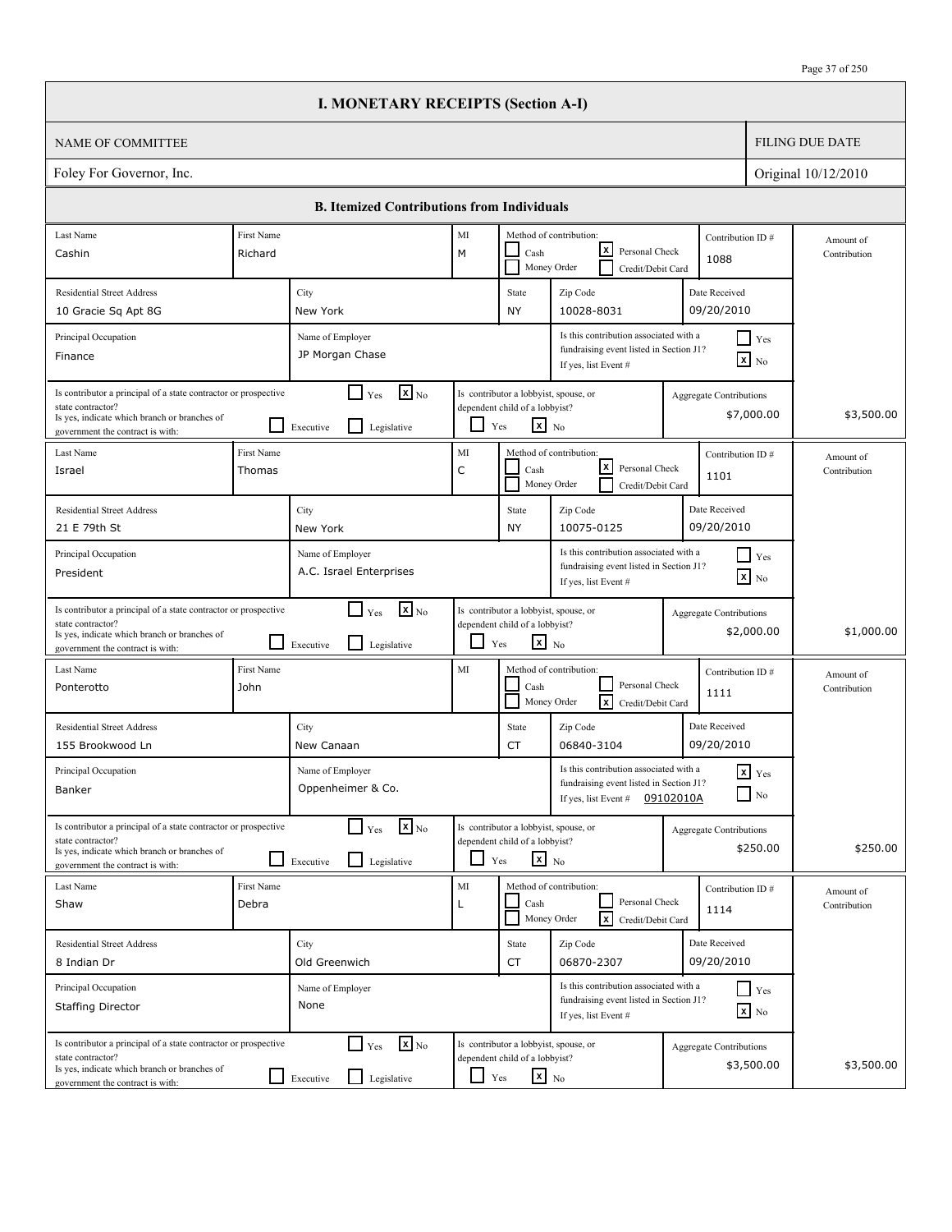|                                                                                                                                                                          |                      | <b>I. MONETARY RECEIPTS (Section A-I)</b>                                           |                    |                                                                                                   |                                                                                                           |           |                                              |                           |
|--------------------------------------------------------------------------------------------------------------------------------------------------------------------------|----------------------|-------------------------------------------------------------------------------------|--------------------|---------------------------------------------------------------------------------------------------|-----------------------------------------------------------------------------------------------------------|-----------|----------------------------------------------|---------------------------|
| NAME OF COMMITTEE                                                                                                                                                        |                      |                                                                                     |                    |                                                                                                   |                                                                                                           |           |                                              | <b>FILING DUE DATE</b>    |
| Foley For Governor, Inc.                                                                                                                                                 |                      | Original 10/12/2010                                                                 |                    |                                                                                                   |                                                                                                           |           |                                              |                           |
|                                                                                                                                                                          |                      | <b>B. Itemized Contributions from Individuals</b>                                   |                    |                                                                                                   |                                                                                                           |           |                                              |                           |
| Last Name                                                                                                                                                                | First Name           |                                                                                     | MI                 |                                                                                                   | Method of contribution:                                                                                   |           | Contribution ID#                             | Amount of                 |
| Cashin                                                                                                                                                                   | Richard              |                                                                                     | M                  | Cash                                                                                              | lxl<br>Personal Check<br>Money Order<br>Credit/Debit Card                                                 |           | 1088                                         | Contribution              |
| <b>Residential Street Address</b>                                                                                                                                        |                      | City                                                                                |                    | State                                                                                             | Zip Code                                                                                                  |           | Date Received                                |                           |
| 10 Gracie Sq Apt 8G                                                                                                                                                      |                      | New York                                                                            |                    | NY                                                                                                | 10028-8031                                                                                                |           | 09/20/2010                                   |                           |
| Principal Occupation<br>Finance                                                                                                                                          |                      | Name of Employer<br>JP Morgan Chase                                                 |                    |                                                                                                   | Is this contribution associated with a<br>fundraising event listed in Section J1?<br>If yes, list Event # |           | $\Box$ Yes<br>$\boxed{\mathbf{x}}$ No        |                           |
| Is contributor a principal of a state contractor or prospective<br>state contractor?<br>Is yes, indicate which branch or branches of<br>government the contract is with: |                      | $\boxed{\mathbf{x}}$ <sub>No</sub><br>$\Box$ Yes<br>l 1<br>Legislative<br>Executive |                    | Is contributor a lobbyist, spouse, or<br>dependent child of a lobbyist?<br>$x_{N0}$<br>Yes        |                                                                                                           |           | <b>Aggregate Contributions</b><br>\$7,000.00 | \$3,500.00                |
| Last Name<br>Israel                                                                                                                                                      | First Name<br>Thomas |                                                                                     | MI<br>$\mathsf{C}$ | Cash<br>Money Order                                                                               | Method of contribution:<br>lxI<br>Personal Check<br>Credit/Debit Card                                     |           | Contribution ID#<br>1101                     | Amount of<br>Contribution |
| <b>Residential Street Address</b><br>21 E 79th St                                                                                                                        |                      | City<br>New York                                                                    |                    | State<br>NY                                                                                       | Zip Code<br>10075-0125                                                                                    |           | Date Received<br>09/20/2010                  |                           |
| Principal Occupation<br>President                                                                                                                                        |                      | Name of Employer<br>A.C. Israel Enterprises                                         |                    |                                                                                                   | Is this contribution associated with a<br>fundraising event listed in Section J1?<br>If yes, list Event # |           | $\Box$ Yes<br>$\mathbf{x}$ No                |                           |
| Is contributor a principal of a state contractor or prospective<br>state contractor?<br>Is yes, indicate which branch or branches of<br>government the contract is with: |                      | $\mathbf{x}$ <sub>No</sub><br>$\Box$ Yes<br>l 1<br>Legislative<br>Executive         | $\Box$             | Is contributor a lobbyist, spouse, or<br>dependent child of a lobbyist?<br>$\mathbf{x}$ No<br>Yes |                                                                                                           |           | <b>Aggregate Contributions</b><br>\$2,000.00 | \$1,000.00                |
| Last Name<br>Ponterotto                                                                                                                                                  | First Name<br>John   |                                                                                     | MI                 | Cash                                                                                              | Method of contribution:<br>Personal Check<br>Money Order<br>lxl<br>Credit/Debit Card                      |           | Contribution ID#<br>1111                     | Amount of<br>Contribution |
| <b>Residential Street Address</b><br>155 Brookwood Ln                                                                                                                    |                      | City<br>New Canaan                                                                  |                    | State<br>CT                                                                                       | Zip Code<br>06840-3104                                                                                    |           | Date Received<br>09/20/2010                  |                           |
| Principal Occupation<br>Banker                                                                                                                                           |                      | Name of Employer<br>Oppenheimer & Co.                                               |                    |                                                                                                   | Is this contribution associated with a<br>fundraising event listed in Section J1?<br>If yes, list Event # | 09102010A | $x$ $Yes$<br>$\hfill\Box$ No                 |                           |
| Is contributor a principal of a state contractor or prospective<br>state contractor?<br>Is yes, indicate which branch or branches of<br>government the contract is with: |                      | $\mathbf{X}$ <sub>No</sub><br>$\Box$ Yes<br>Legislative<br>Executive                | ப                  | Is contributor a lobbyist, spouse, or<br>dependent child of a lobbyist?<br>$\mathbf{x}$ No<br>Yes |                                                                                                           |           | Aggregate Contributions<br>\$250.00          | \$250.00                  |
| Last Name<br>Shaw                                                                                                                                                        | First Name<br>Debra  |                                                                                     | MI<br>L            | Cash                                                                                              | Method of contribution:<br>Personal Check<br>$\lceil x \rceil$<br>Money Order<br>Credit/Debit Card        |           | Contribution ID#<br>1114                     | Amount of<br>Contribution |
| <b>Residential Street Address</b><br>8 Indian Dr                                                                                                                         |                      | City<br>Old Greenwich                                                               |                    | State<br>CT                                                                                       | Zip Code<br>06870-2307                                                                                    |           | Date Received<br>09/20/2010                  |                           |
| Principal Occupation<br><b>Staffing Director</b>                                                                                                                         |                      | Name of Employer<br>None                                                            |                    |                                                                                                   | Is this contribution associated with a<br>fundraising event listed in Section J1?<br>If yes, list Event # |           | $\Box$ Yes<br>$\mathbf{x}$ No                |                           |
| Is contributor a principal of a state contractor or prospective<br>state contractor?<br>Is yes, indicate which branch or branches of<br>government the contract is with: |                      | $\mathbf{X}$ <sub>No</sub><br>$\Box$ Yes<br>$\Box$<br>Legislative<br>Executive      | $\Box$             | Is contributor a lobbyist, spouse, or<br>dependent child of a lobbyist?<br>$\mathbf{x}$ No<br>Yes |                                                                                                           |           | <b>Aggregate Contributions</b><br>\$3,500.00 | \$3,500.00                |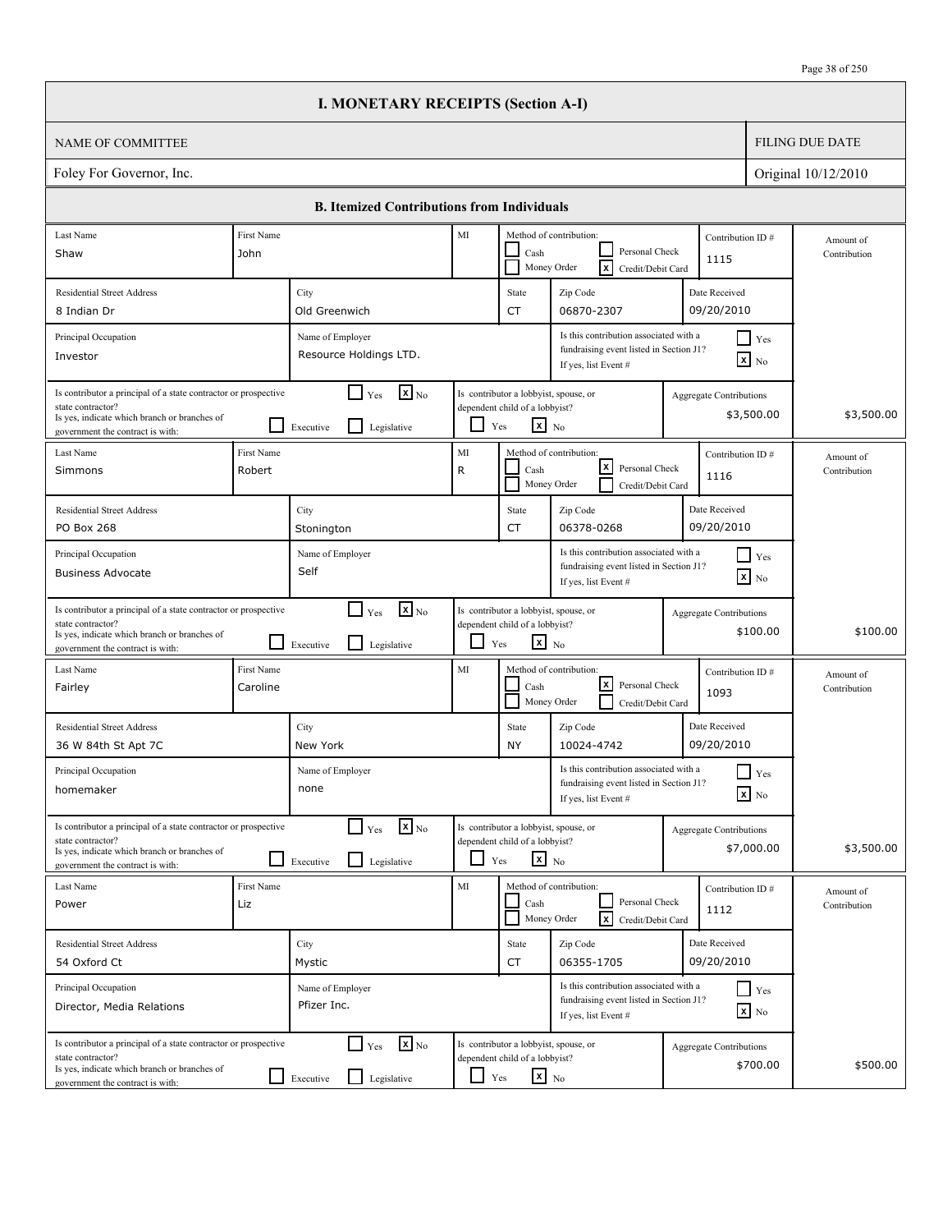|                                                                                                                                                                          |                        | <b>I. MONETARY RECEIPTS (Section A-I)</b>                                         |         |                                                                                                   |                                                                                                           |                                              |                           |
|--------------------------------------------------------------------------------------------------------------------------------------------------------------------------|------------------------|-----------------------------------------------------------------------------------|---------|---------------------------------------------------------------------------------------------------|-----------------------------------------------------------------------------------------------------------|----------------------------------------------|---------------------------|
| NAME OF COMMITTEE                                                                                                                                                        |                        |                                                                                   |         |                                                                                                   |                                                                                                           |                                              | <b>FILING DUE DATE</b>    |
| Foley For Governor, Inc.                                                                                                                                                 |                        |                                                                                   |         |                                                                                                   |                                                                                                           |                                              | Original 10/12/2010       |
|                                                                                                                                                                          |                        | <b>B.</b> Itemized Contributions from Individuals                                 |         |                                                                                                   |                                                                                                           |                                              |                           |
| Last Name                                                                                                                                                                | First Name             |                                                                                   | MI      |                                                                                                   | Method of contribution:                                                                                   | Contribution ID#                             | Amount of                 |
| Shaw                                                                                                                                                                     | John                   |                                                                                   |         | Cash                                                                                              | Personal Check<br>Money Order<br> x<br>Credit/Debit Card                                                  | 1115                                         | Contribution              |
| <b>Residential Street Address</b>                                                                                                                                        |                        | City                                                                              |         | State                                                                                             | Zip Code                                                                                                  | Date Received                                |                           |
| 8 Indian Dr                                                                                                                                                              |                        | Old Greenwich                                                                     |         | CT                                                                                                | 06870-2307                                                                                                | 09/20/2010                                   |                           |
| Principal Occupation<br>Investor                                                                                                                                         |                        | Name of Employer<br>Resource Holdings LTD.                                        |         |                                                                                                   | Is this contribution associated with a<br>fundraising event listed in Section J1?<br>If yes, list Event # | $\Box$ Yes<br>$\overline{\mathbf{x}}$ No     |                           |
| Is contributor a principal of a state contractor or prospective<br>state contractor?<br>Is yes, indicate which branch or branches of<br>government the contract is with: |                        | $\mathbf{X}_{\text{No}}$<br>$\Box$ Yes<br>l 1<br>Legislative<br>Executive         |         | Is contributor a lobbyist, spouse, or<br>dependent child of a lobbyist?<br>$\mathbf{x}$ No<br>Yes |                                                                                                           | Aggregate Contributions<br>\$3,500.00        | \$3,500.00                |
| Last Name<br>Simmons                                                                                                                                                     | First Name<br>Robert   |                                                                                   | MI<br>R | Cash                                                                                              | Method of contribution:<br>$\mathbf{x}$<br>Personal Check<br>Money Order<br>Credit/Debit Card             | Contribution ID#<br>1116                     | Amount of<br>Contribution |
| <b>Residential Street Address</b><br><b>PO Box 268</b>                                                                                                                   |                        | City<br>Stonington                                                                |         | State<br>CT                                                                                       | Zip Code<br>06378-0268                                                                                    | Date Received<br>09/20/2010                  |                           |
| Principal Occupation<br><b>Business Advocate</b>                                                                                                                         |                        | Name of Employer<br>Self                                                          |         |                                                                                                   | Is this contribution associated with a<br>fundraising event listed in Section J1?<br>If yes, list Event # | $\Box$ Yes<br>$\mathbf{x}$ No                |                           |
| Is contributor a principal of a state contractor or prospective<br>state contractor?<br>Is yes, indicate which branch or branches of<br>government the contract is with: | ΙI                     | $\Gamma$ Yes $\overline{\mathbf{x}}$ No<br>Legislative<br>Executive               | ப       | Is contributor a lobbyist, spouse, or<br>dependent child of a lobbyist?<br>$\mathbf{x}$ No<br>Yes |                                                                                                           | Aggregate Contributions<br>\$100.00          | \$100.00                  |
| Last Name<br>Fairley                                                                                                                                                     | First Name<br>Caroline |                                                                                   | MI      | Cash                                                                                              | Method of contribution:<br>lxl<br>Personal Check<br>Money Order<br>Credit/Debit Card                      | Contribution ID#<br>1093                     | Amount of<br>Contribution |
| <b>Residential Street Address</b><br>36 W 84th St Apt 7C                                                                                                                 |                        | City<br>New York                                                                  |         | State<br>NY                                                                                       | Zip Code<br>10024-4742                                                                                    | Date Received<br>09/20/2010                  |                           |
| Principal Occupation<br>homemaker                                                                                                                                        |                        | Name of Employer<br>none                                                          |         |                                                                                                   | Is this contribution associated with a<br>fundraising event listed in Section J1?<br>If yes, list Event # | Yes<br>$x$ No                                |                           |
| Is contributor a principal of a state contractor or prospective<br>state contractor?<br>Is yes, indicate which branch or branches of<br>government the contract is with: |                        | $\mathbf{x}$ <sub>No</sub><br>$\Box$ Yes<br>$\hfill\Box$ Legislative<br>Executive | $\Box$  | Is contributor a lobbyist, spouse, or<br>dependent child of a lobbyist?<br>$x_{N0}$<br>Yes        |                                                                                                           | <b>Aggregate Contributions</b><br>\$7,000.00 | \$3,500.00                |
| Last Name<br>Power                                                                                                                                                       | First Name<br>Liz      |                                                                                   | MI      | Cash                                                                                              | Method of contribution:<br>Personal Check<br>$\overline{\mathbf{x}}$<br>Money Order<br>Credit/Debit Card  | Contribution ID#<br>1112                     | Amount of<br>Contribution |
| <b>Residential Street Address</b><br>54 Oxford Ct                                                                                                                        |                        | City<br>Mystic                                                                    |         | State<br>CT                                                                                       | Zip Code<br>06355-1705                                                                                    | Date Received<br>09/20/2010                  |                           |
| Principal Occupation<br>Director, Media Relations                                                                                                                        |                        | Name of Employer<br>Pfizer Inc.                                                   |         |                                                                                                   | Is this contribution associated with a<br>fundraising event listed in Section J1?<br>If yes, list Event # | $\Box$ Yes<br>$\mathbf{x}$ No                |                           |
| Is contributor a principal of a state contractor or prospective<br>state contractor?<br>Is yes, indicate which branch or branches of<br>government the contract is with: |                        | $\mathbf{X}$ <sub>No</sub><br>$\Gamma$ Yes<br>Legislative<br>Executive            | $\Box$  | Is contributor a lobbyist, spouse, or<br>dependent child of a lobbyist?<br>$x_{N0}$<br>Yes        |                                                                                                           | Aggregate Contributions<br>\$700.00          | \$500.00                  |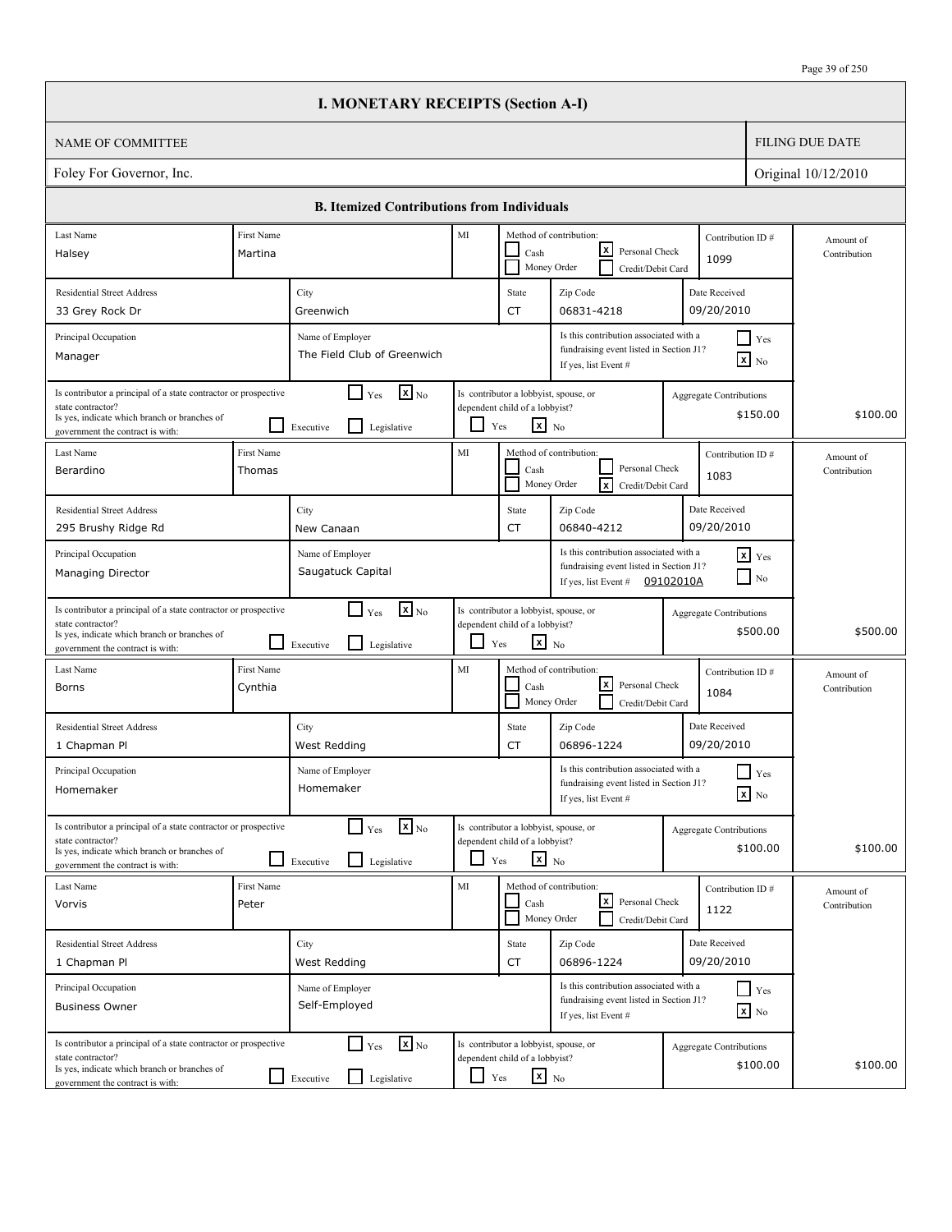|                                                                                                                                                                          |                       | <b>I. MONETARY RECEIPTS (Section A-I)</b>                                            |            |                                                                                                   |                                                                                                                         |                                |                                               |                           |
|--------------------------------------------------------------------------------------------------------------------------------------------------------------------------|-----------------------|--------------------------------------------------------------------------------------|------------|---------------------------------------------------------------------------------------------------|-------------------------------------------------------------------------------------------------------------------------|--------------------------------|-----------------------------------------------|---------------------------|
| <b>NAME OF COMMITTEE</b>                                                                                                                                                 |                       |                                                                                      |            |                                                                                                   |                                                                                                                         |                                |                                               | <b>FILING DUE DATE</b>    |
| Foley For Governor, Inc.                                                                                                                                                 |                       |                                                                                      |            |                                                                                                   |                                                                                                                         |                                |                                               | Original 10/12/2010       |
|                                                                                                                                                                          |                       | <b>B. Itemized Contributions from Individuals</b>                                    |            |                                                                                                   |                                                                                                                         |                                |                                               |                           |
| Last Name<br>Halsey                                                                                                                                                      | First Name<br>Martina |                                                                                      | MI         | Cash                                                                                              | Method of contribution:<br>lxI<br>Personal Check                                                                        | 1099                           | Contribution ID#                              | Amount of<br>Contribution |
| <b>Residential Street Address</b>                                                                                                                                        |                       | City                                                                                 |            | State                                                                                             | Money Order<br>Credit/Debit Card<br>Zip Code                                                                            | Date Received                  |                                               |                           |
| 33 Grey Rock Dr<br>Principal Occupation<br>Manager                                                                                                                       |                       | Greenwich<br>Name of Employer<br>The Field Club of Greenwich                         |            | <b>CT</b>                                                                                         | 06831-4218<br>Is this contribution associated with a<br>fundraising event listed in Section J1?<br>If yes, list Event # | 09/20/2010                     | $\blacksquare$ Yes<br>$\boxed{\mathbf{x}}$ No |                           |
| Is contributor a principal of a state contractor or prospective<br>state contractor?<br>Is yes, indicate which branch or branches of<br>government the contract is with: |                       | $\mathbf{x}$ <sub>No</sub><br>$\Box$ Yes<br>l I<br>Executive<br>Legislative          | ப          | Is contributor a lobbyist, spouse, or<br>dependent child of a lobbyist?<br>$\mathbf{x}$ No<br>Yes |                                                                                                                         | Aggregate Contributions        | \$150.00                                      | \$100.00                  |
| Last Name<br>Berardino                                                                                                                                                   | First Name<br>Thomas  |                                                                                      | MI         | Cash                                                                                              | Method of contribution:<br>Personal Check<br><b>x</b><br>Money Order<br>Credit/Debit Card                               | 1083                           | Contribution ID#                              | Amount of<br>Contribution |
| <b>Residential Street Address</b><br>295 Brushy Ridge Rd                                                                                                                 |                       | City<br>New Canaan                                                                   |            | State<br><b>CT</b>                                                                                | Zip Code<br>06840-4212                                                                                                  | Date Received<br>09/20/2010    |                                               |                           |
| Principal Occupation<br><b>Managing Director</b>                                                                                                                         |                       | Name of Employer<br>Saugatuck Capital                                                |            |                                                                                                   | Is this contribution associated with a<br>fundraising event listed in Section J1?<br>If yes, list Event #               | 09102010A                      | $x$ Yes<br>$\Box$ No                          |                           |
| Is contributor a principal of a state contractor or prospective<br>state contractor?<br>Is yes, indicate which branch or branches of<br>government the contract is with: |                       | $\mathbf{X}$ <sub>No</sub><br>$\Box$ Yes<br>l 1<br>Legislative<br>Executive          | ப          | Is contributor a lobbyist, spouse, or<br>dependent child of a lobbyist?<br>$\mathbf{x}$ No<br>Yes |                                                                                                                         | <b>Aggregate Contributions</b> | \$500.00                                      | \$500.00                  |
| Last Name<br>Borns                                                                                                                                                       | First Name<br>Cynthia |                                                                                      | MI         | Cash                                                                                              | Method of contribution:<br>lxl<br>Personal Check<br>Money Order<br>Credit/Debit Card                                    | 1084                           | Contribution ID#                              | Amount of<br>Contribution |
| <b>Residential Street Address</b><br>1 Chapman Pl                                                                                                                        |                       | City<br>West Redding                                                                 |            | State<br>CT                                                                                       | Zip Code<br>06896-1224                                                                                                  | Date Received<br>09/20/2010    |                                               |                           |
| Principal Occupation<br>Homemaker                                                                                                                                        |                       | Name of Employer<br>Homemaker                                                        |            |                                                                                                   | Is this contribution associated with a<br>fundraising event listed in Section J1?<br>If yes, list Event #               |                                | $\prod$ Yes<br>$\boxed{\mathbf{x}}$ No        |                           |
| Is contributor a principal of a state contractor or prospective<br>state contractor?<br>Is yes, indicate which branch or branches of<br>government the contract is with: |                       | $\mathbf{x}$ <sub>No</sub><br>$\Box$ Yes<br>$\mathsf{L}$<br>Legislative<br>Executive |            | Is contributor a lobbyist, spouse, or<br>dependent child of a lobbyist?<br>$\mathbf{x}$ No<br>Yes |                                                                                                                         | <b>Aggregate Contributions</b> | \$100.00                                      | \$100.00                  |
| Last Name<br>Vorvis                                                                                                                                                      | First Name<br>Peter   |                                                                                      | MI         | Cash                                                                                              | Method of contribution:<br> x <br>Personal Check<br>Money Order<br>Credit/Debit Card                                    | 1122                           | Contribution ID#                              | Amount of<br>Contribution |
| <b>Residential Street Address</b><br>1 Chapman Pl                                                                                                                        |                       | City<br>West Redding                                                                 |            | State<br>CT                                                                                       | Zip Code<br>06896-1224                                                                                                  | Date Received<br>09/20/2010    |                                               |                           |
| Principal Occupation<br><b>Business Owner</b>                                                                                                                            |                       | Name of Employer<br>Self-Employed                                                    |            |                                                                                                   | Is this contribution associated with a<br>fundraising event listed in Section J1?<br>If yes, list Event #               |                                | $\Box$ Yes<br>$\boxed{\mathbf{x}}$ No         |                           |
| Is contributor a principal of a state contractor or prospective<br>state contractor?<br>Is yes, indicate which branch or branches of<br>government the contract is with: |                       | $\mathbf{x}$ <sub>No</sub><br>$\Box$ Yes<br>Legislative<br>$\Box$ Executive          | $\Box$ Yes | Is contributor a lobbyist, spouse, or<br>dependent child of a lobbyist?<br>$\mathbf{x}$ No        |                                                                                                                         | <b>Aggregate Contributions</b> | \$100.00                                      | \$100.00                  |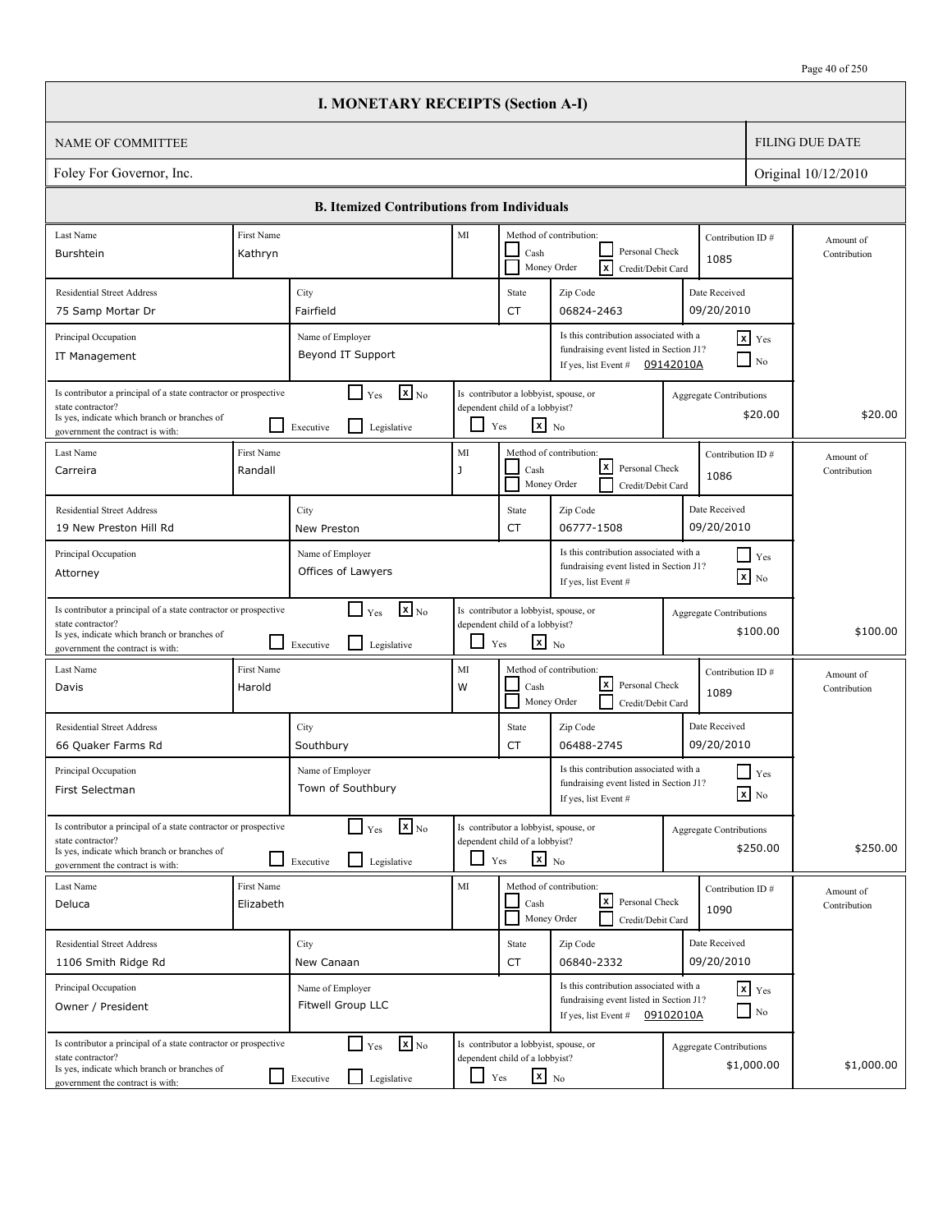|                                                                                                                                                                          |                         | <b>I. MONETARY RECEIPTS (Section A-I)</b>                                            |            |                                                                                                   |                                                                                                                       |                                |                                        |                           |
|--------------------------------------------------------------------------------------------------------------------------------------------------------------------------|-------------------------|--------------------------------------------------------------------------------------|------------|---------------------------------------------------------------------------------------------------|-----------------------------------------------------------------------------------------------------------------------|--------------------------------|----------------------------------------|---------------------------|
| <b>NAME OF COMMITTEE</b>                                                                                                                                                 |                         |                                                                                      |            |                                                                                                   |                                                                                                                       |                                |                                        | <b>FILING DUE DATE</b>    |
| Foley For Governor, Inc.                                                                                                                                                 |                         |                                                                                      |            |                                                                                                   |                                                                                                                       |                                |                                        | Original 10/12/2010       |
|                                                                                                                                                                          |                         | <b>B. Itemized Contributions from Individuals</b>                                    |            |                                                                                                   |                                                                                                                       |                                |                                        |                           |
| Last Name                                                                                                                                                                | First Name              |                                                                                      | MI         |                                                                                                   | Method of contribution:                                                                                               |                                | Contribution ID#                       | Amount of                 |
| Burshtein                                                                                                                                                                | Kathryn                 |                                                                                      |            | Cash                                                                                              | Personal Check<br>Γx<br>Money Order<br>Credit/Debit Card                                                              | 1085                           |                                        | Contribution              |
| <b>Residential Street Address</b>                                                                                                                                        |                         | City                                                                                 |            | State                                                                                             | Zip Code                                                                                                              | Date Received                  |                                        |                           |
| 75 Samp Mortar Dr                                                                                                                                                        |                         | Fairfield                                                                            |            | <b>CT</b>                                                                                         | 06824-2463                                                                                                            | 09/20/2010                     |                                        |                           |
| Principal Occupation<br>IT Management                                                                                                                                    |                         | Name of Employer<br>Beyond IT Support                                                |            |                                                                                                   | Is this contribution associated with a<br>fundraising event listed in Section J1?<br>If yes, list Event #             | 09142010A                      | $x$ Yes<br>$\overline{\phantom{a}}$ No |                           |
| Is contributor a principal of a state contractor or prospective<br>state contractor?<br>Is yes, indicate which branch or branches of<br>government the contract is with: |                         | $\mathbf{X}$ <sub>No</sub><br>$\Box$ Yes<br>$\mathsf{L}$<br>Executive<br>Legislative | ப          | Is contributor a lobbyist, spouse, or<br>dependent child of a lobbyist?<br>$\mathbf{x}$ No<br>Yes |                                                                                                                       | Aggregate Contributions        | \$20.00                                | \$20.00                   |
| Last Name<br>Carreira                                                                                                                                                    | First Name<br>Randall   |                                                                                      | MI<br>J    | Cash                                                                                              | Method of contribution:<br>lxI<br>Personal Check<br>Money Order<br>Credit/Debit Card                                  | 1086                           | Contribution ID#                       | Amount of<br>Contribution |
| <b>Residential Street Address</b><br>19 New Preston Hill Rd                                                                                                              |                         | City<br>New Preston                                                                  |            | State<br><b>CT</b>                                                                                | Zip Code<br>06777-1508                                                                                                | Date Received<br>09/20/2010    |                                        |                           |
| Principal Occupation<br>Attorney                                                                                                                                         |                         | Name of Employer<br>Offices of Lawyers                                               |            |                                                                                                   | Is this contribution associated with a<br>fundraising event listed in Section J1?<br>If yes, list Event #             |                                | $\blacksquare$ Yes<br>$\mathbf{x}$ No  |                           |
| Is contributor a principal of a state contractor or prospective<br>state contractor?<br>Is yes, indicate which branch or branches of<br>government the contract is with: |                         | $\mathbf{X}$ <sub>No</sub><br>$\Box$ Yes<br>l 1<br>Legislative<br>Executive          | ப          | Is contributor a lobbyist, spouse, or<br>dependent child of a lobbyist?<br>$\mathbf{x}$ No<br>Yes |                                                                                                                       | <b>Aggregate Contributions</b> | \$100.00                               | \$100.00                  |
| Last Name<br>Davis                                                                                                                                                       | First Name<br>Harold    |                                                                                      | MI<br>W    | Cash                                                                                              | Method of contribution:<br>l x l<br>Personal Check<br>Money Order<br>Credit/Debit Card                                | 1089                           | Contribution ID#                       | Amount of<br>Contribution |
| <b>Residential Street Address</b><br>66 Quaker Farms Rd                                                                                                                  |                         | City<br>Southbury                                                                    |            | State<br>CT                                                                                       | Zip Code<br>06488-2745                                                                                                | Date Received<br>09/20/2010    |                                        |                           |
| Principal Occupation<br>First Selectman                                                                                                                                  |                         | Name of Employer<br>Town of Southbury                                                |            |                                                                                                   | Is this contribution associated with a<br>fundraising event listed in Section J1?<br>If yes, list Event #             |                                | $\prod$ Yes<br>$\boxed{\mathbf{x}}$ No |                           |
| Is contributor a principal of a state contractor or prospective<br>state contractor?<br>Is yes, indicate which branch or branches of<br>government the contract is with: |                         | $\mathbf{x}$ <sub>No</sub><br>$\Box$ Yes<br>$\perp$<br>Legislative<br>Executive      |            | Is contributor a lobbyist, spouse, or<br>dependent child of a lobbyist?<br>$x_{N0}$<br>Yes        |                                                                                                                       | <b>Aggregate Contributions</b> | \$250.00                               | \$250.00                  |
| Last Name<br>Deluca                                                                                                                                                      | First Name<br>Elizabeth |                                                                                      | MI         | Cash                                                                                              | Method of contribution:<br>كا<br>Personal Check<br>Money Order<br>Credit/Debit Card                                   | 1090                           | Contribution ID#                       | Amount of<br>Contribution |
| <b>Residential Street Address</b><br>1106 Smith Ridge Rd                                                                                                                 |                         | City<br>New Canaan                                                                   |            | State<br>CT                                                                                       | Zip Code<br>06840-2332                                                                                                | Date Received<br>09/20/2010    |                                        |                           |
| Principal Occupation<br>Owner / President                                                                                                                                |                         | Name of Employer<br>Fitwell Group LLC                                                |            |                                                                                                   | Is this contribution associated with a<br>fundraising event listed in Section J1?<br>If yes, list Event # $09102010A$ |                                | $x$ $y$ <sub>es</sub><br>$\Box$ No     |                           |
| Is contributor a principal of a state contractor or prospective<br>state contractor?<br>Is yes, indicate which branch or branches of<br>government the contract is with: |                         | $\mathbf{x}$ <sub>No</sub><br>$\Box$ Yes<br>Legislative<br>$\Box$ Executive          | $\Box$ Yes | Is contributor a lobbyist, spouse, or<br>dependent child of a lobbyist?<br>$\mathbf{x}$ No        |                                                                                                                       | <b>Aggregate Contributions</b> | \$1,000.00                             | \$1,000.00                |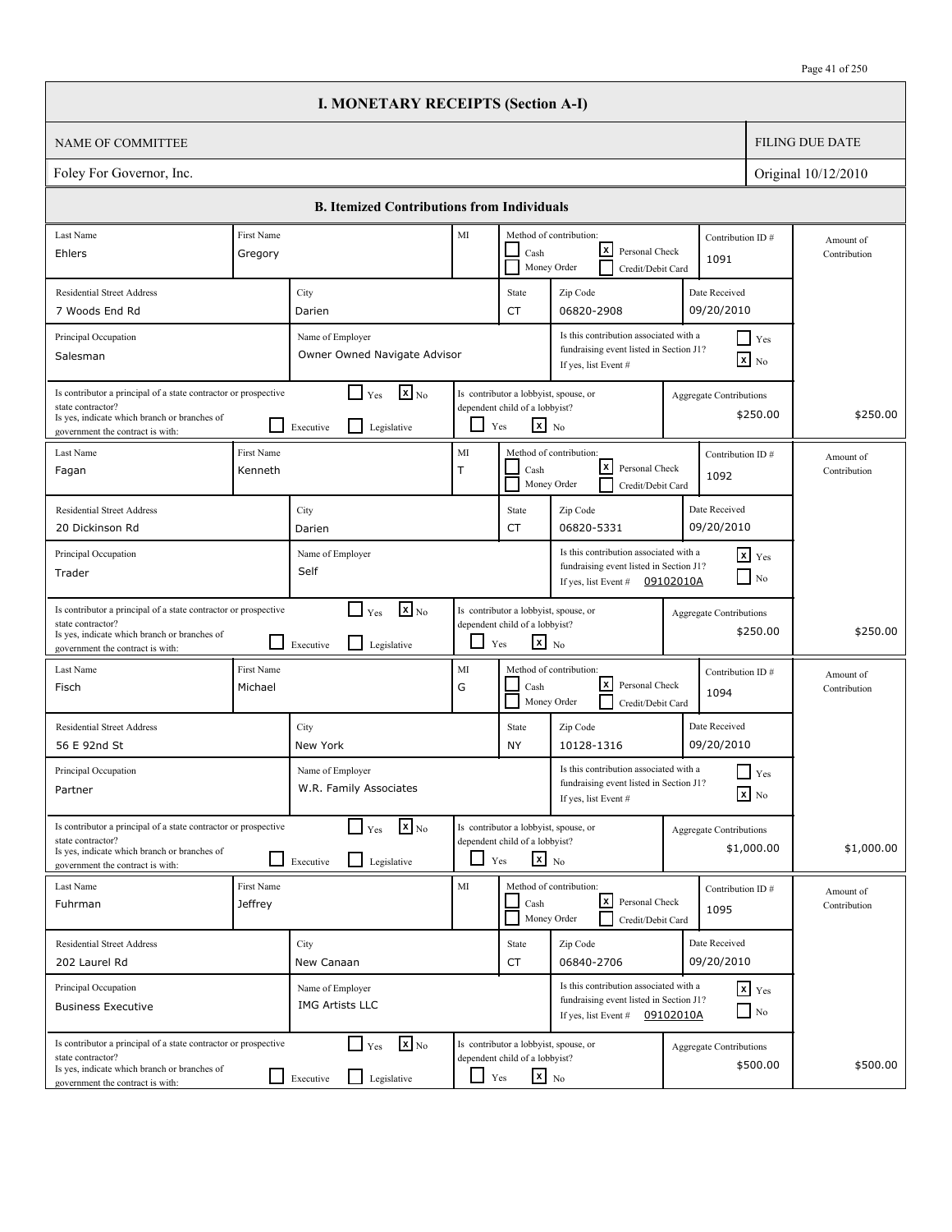|                                                                                                                                                                          |                              | <b>I. MONETARY RECEIPTS (Section A-I)</b>                                              |                          |                                                                                                   |                                                                                                           |           |                                              |                           |
|--------------------------------------------------------------------------------------------------------------------------------------------------------------------------|------------------------------|----------------------------------------------------------------------------------------|--------------------------|---------------------------------------------------------------------------------------------------|-----------------------------------------------------------------------------------------------------------|-----------|----------------------------------------------|---------------------------|
| <b>NAME OF COMMITTEE</b>                                                                                                                                                 |                              |                                                                                        |                          |                                                                                                   |                                                                                                           |           |                                              | <b>FILING DUE DATE</b>    |
| Foley For Governor, Inc.                                                                                                                                                 |                              |                                                                                        |                          |                                                                                                   |                                                                                                           |           |                                              | Original 10/12/2010       |
|                                                                                                                                                                          |                              | <b>B. Itemized Contributions from Individuals</b>                                      |                          |                                                                                                   |                                                                                                           |           |                                              |                           |
| Last Name                                                                                                                                                                | First Name                   |                                                                                        | MI                       |                                                                                                   | Method of contribution:                                                                                   |           | Contribution ID#                             | Amount of                 |
| Ehlers                                                                                                                                                                   | Gregory                      |                                                                                        |                          | Cash                                                                                              | x <br>Personal Check<br>Money Order<br>Credit/Debit Card                                                  |           | 1091                                         | Contribution              |
| <b>Residential Street Address</b>                                                                                                                                        |                              | City                                                                                   |                          | State                                                                                             | Zip Code                                                                                                  |           | Date Received                                |                           |
| 7 Woods End Rd                                                                                                                                                           |                              | Darien                                                                                 |                          | CT                                                                                                | 06820-2908                                                                                                |           | 09/20/2010                                   |                           |
| Principal Occupation<br>Salesman                                                                                                                                         |                              | Name of Employer<br>Owner Owned Navigate Advisor                                       |                          |                                                                                                   | Is this contribution associated with a<br>fundraising event listed in Section J1?<br>If yes, list Event # |           | $\Box$ Yes<br>$\mathbf{x}$ No                |                           |
| Is contributor a principal of a state contractor or prospective<br>state contractor?<br>Is yes, indicate which branch or branches of<br>government the contract is with: |                              | $\mathbf{x}$ <sub>No</sub><br>$\blacksquare$<br>Yes<br>l 1<br>Legislative<br>Executive |                          | Is contributor a lobbyist, spouse, or<br>dependent child of a lobbyist?<br>$x_{N0}$<br>Yes        |                                                                                                           |           | <b>Aggregate Contributions</b><br>\$250.00   | \$250.00                  |
| Last Name<br>Fagan                                                                                                                                                       | First Name<br>Kenneth        |                                                                                        | MI<br>$\top$             | Cash<br>Money Order                                                                               | Method of contribution:<br>$\lfloor x \rfloor$<br>Personal Check<br>Credit/Debit Card                     |           | Contribution ID#<br>1092                     | Amount of<br>Contribution |
| <b>Residential Street Address</b>                                                                                                                                        |                              | City                                                                                   |                          | State                                                                                             | Zip Code                                                                                                  |           | Date Received                                |                           |
| 20 Dickinson Rd                                                                                                                                                          |                              | Darien                                                                                 |                          | CT                                                                                                | 06820-5331                                                                                                |           | 09/20/2010                                   |                           |
| Principal Occupation<br>Trader                                                                                                                                           |                              | Name of Employer<br>Self                                                               |                          |                                                                                                   | Is this contribution associated with a<br>fundraising event listed in Section J1?<br>If yes, list Event # | 09102010A | $\mathbf{x}$ Yes<br>$\Box$ No                |                           |
| Is contributor a principal of a state contractor or prospective<br>state contractor?<br>Is yes, indicate which branch or branches of<br>government the contract is with: |                              | $\mathbf{x}$ <sub>No</sub><br>$\Box$ Yes<br>l 1<br>Legislative<br>Executive            | $\overline{\phantom{0}}$ | Is contributor a lobbyist, spouse, or<br>dependent child of a lobbyist?<br>$\mathbf{x}$ No<br>Yes |                                                                                                           |           | <b>Aggregate Contributions</b><br>\$250.00   | \$250.00                  |
| Last Name<br>Fisch                                                                                                                                                       | First Name<br>Michael        |                                                                                        | MI<br>G                  | Cash                                                                                              | Method of contribution:<br> x <br>Personal Check<br>Money Order<br>Credit/Debit Card                      |           | Contribution ID#<br>1094                     | Amount of<br>Contribution |
| <b>Residential Street Address</b><br>56 E 92nd St                                                                                                                        |                              | City<br>New York                                                                       |                          | State<br>NY                                                                                       | Zip Code<br>10128-1316                                                                                    |           | Date Received<br>09/20/2010                  |                           |
| Principal Occupation<br>Partner                                                                                                                                          |                              | Name of Employer<br>W.R. Family Associates                                             |                          |                                                                                                   | Is this contribution associated with a<br>fundraising event listed in Section J1?<br>If yes, list Event # |           | Yes<br>$\mathbf{X}$ No                       |                           |
| Is contributor a principal of a state contractor or prospective<br>state contractor?<br>Is yes, indicate which branch or branches of<br>government the contract is with: |                              | $\mathbf{x}$ <sub>No</sub><br>$\Box$ Yes<br>Legislative<br>Executive                   | $\Box$                   | Is contributor a lobbyist, spouse, or<br>dependent child of a lobbyist?<br>$x_{N0}$<br>Yes        |                                                                                                           |           | <b>Aggregate Contributions</b><br>\$1,000.00 | \$1,000.00                |
| Last Name<br>Fuhrman                                                                                                                                                     | First Name<br><b>Jeffrey</b> |                                                                                        | MI                       | Cash                                                                                              | Method of contribution:<br> x <br>Personal Check<br>Money Order<br>Credit/Debit Card                      |           | Contribution ID#<br>1095                     | Amount of<br>Contribution |
| <b>Residential Street Address</b>                                                                                                                                        |                              | City                                                                                   |                          | State                                                                                             | Zip Code                                                                                                  |           | Date Received                                |                           |
| 202 Laurel Rd                                                                                                                                                            |                              | New Canaan                                                                             |                          | CT                                                                                                | 06840-2706                                                                                                |           | 09/20/2010                                   |                           |
| Principal Occupation<br><b>Business Executive</b>                                                                                                                        |                              | Name of Employer<br><b>IMG Artists LLC</b>                                             |                          |                                                                                                   | Is this contribution associated with a<br>fundraising event listed in Section J1?<br>If yes, list Event # | 09102010A | $x$ $y$ <sub>es</sub><br>$\Box$ No           |                           |
| Is contributor a principal of a state contractor or prospective<br>state contractor?<br>Is yes, indicate which branch or branches of<br>government the contract is with: |                              | $\Gamma$ Yes<br>$\mathbf{x}$ <sub>No</sub><br>Legislative<br>Executive                 | ப                        | Is contributor a lobbyist, spouse, or<br>dependent child of a lobbyist?<br>$\mathbf{x}$ No<br>Yes |                                                                                                           |           | <b>Aggregate Contributions</b><br>\$500.00   | \$500.00                  |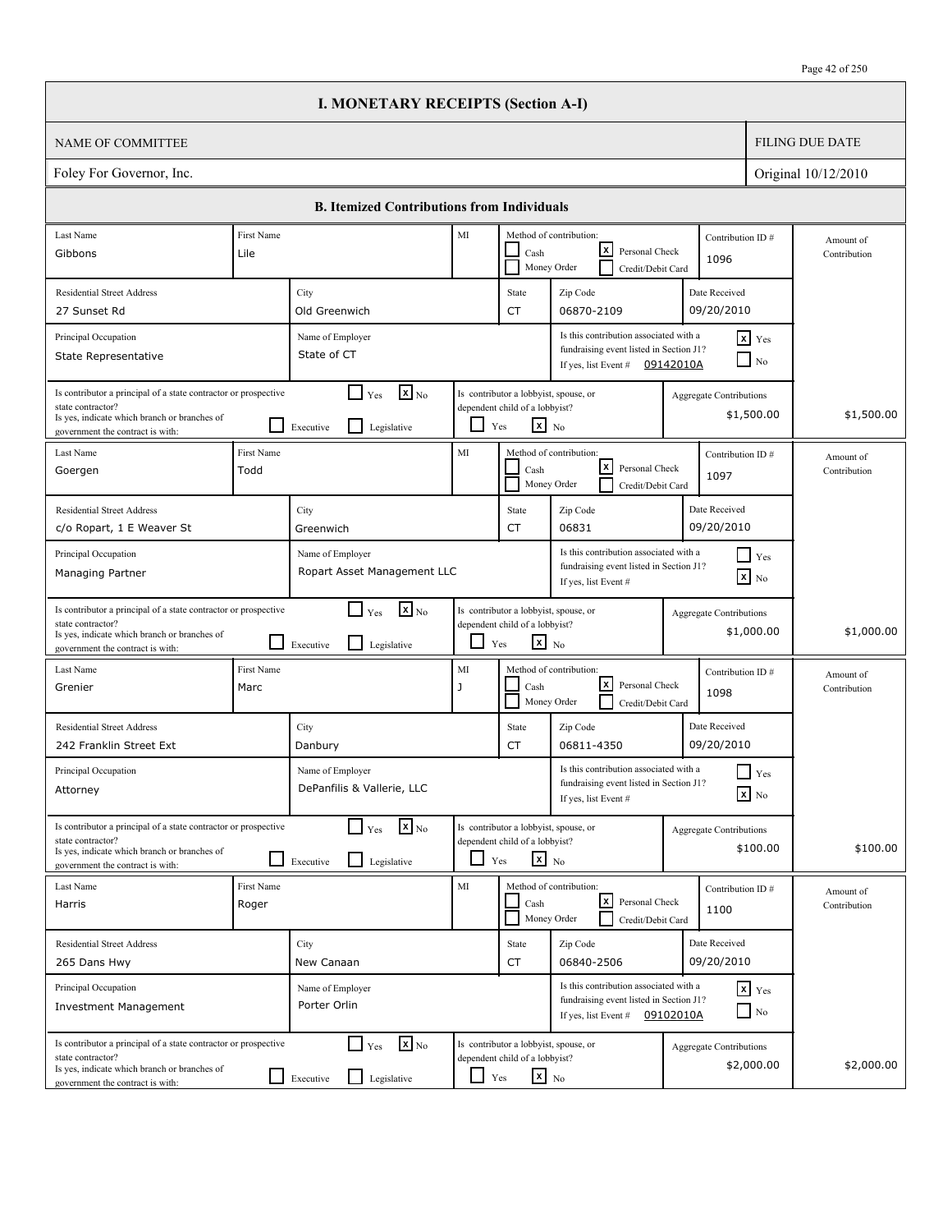|                                                                                                                                                                          |                           | <b>I. MONETARY RECEIPTS (Section A-I)</b>                                                     |                          |                                                                                                   |                                                                                                           |           |                                              |                           |
|--------------------------------------------------------------------------------------------------------------------------------------------------------------------------|---------------------------|-----------------------------------------------------------------------------------------------|--------------------------|---------------------------------------------------------------------------------------------------|-----------------------------------------------------------------------------------------------------------|-----------|----------------------------------------------|---------------------------|
| <b>NAME OF COMMITTEE</b>                                                                                                                                                 |                           |                                                                                               |                          |                                                                                                   |                                                                                                           |           |                                              | <b>FILING DUE DATE</b>    |
| Foley For Governor, Inc.                                                                                                                                                 |                           |                                                                                               |                          |                                                                                                   |                                                                                                           |           |                                              | Original 10/12/2010       |
|                                                                                                                                                                          |                           | <b>B. Itemized Contributions from Individuals</b>                                             |                          |                                                                                                   |                                                                                                           |           |                                              |                           |
| Last Name                                                                                                                                                                | First Name                |                                                                                               | MI                       |                                                                                                   | Method of contribution:                                                                                   |           | Contribution ID#                             | Amount of                 |
| Gibbons                                                                                                                                                                  | Lile                      |                                                                                               |                          | Cash<br>Money Order                                                                               | x <br>Personal Check<br>Credit/Debit Card                                                                 |           | 1096                                         | Contribution              |
| <b>Residential Street Address</b>                                                                                                                                        |                           | City                                                                                          |                          | State                                                                                             | Zip Code                                                                                                  |           | Date Received                                |                           |
| 27 Sunset Rd                                                                                                                                                             |                           | Old Greenwich                                                                                 |                          | CT                                                                                                | 06870-2109                                                                                                |           | 09/20/2010                                   |                           |
| Principal Occupation<br>State Representative                                                                                                                             |                           | Name of Employer<br>State of CT                                                               |                          |                                                                                                   | Is this contribution associated with a<br>fundraising event listed in Section J1?<br>If yes, list Event # | 09142010A | $x$ Yes<br>$\Box$ No                         |                           |
| Is contributor a principal of a state contractor or prospective<br>state contractor?<br>Is yes, indicate which branch or branches of<br>government the contract is with: |                           | $\mathbf{X}_{\text{No}}$<br>$\blacksquare$<br>Yes<br>$\mathsf{L}$<br>Legislative<br>Executive |                          | Is contributor a lobbyist, spouse, or<br>dependent child of a lobbyist?<br>$x_{N0}$<br>Yes        |                                                                                                           |           | <b>Aggregate Contributions</b><br>\$1,500.00 | \$1,500.00                |
| Last Name<br>Goergen                                                                                                                                                     | <b>First Name</b><br>Todd |                                                                                               | MI                       | Cash<br>Money Order                                                                               | Method of contribution:<br> x <br>Personal Check<br>Credit/Debit Card                                     |           | Contribution ID#<br>1097                     | Amount of<br>Contribution |
| <b>Residential Street Address</b>                                                                                                                                        |                           | City                                                                                          |                          | State                                                                                             | Zip Code                                                                                                  |           | Date Received                                |                           |
| c/o Ropart, 1 E Weaver St                                                                                                                                                |                           | Greenwich                                                                                     |                          | CT                                                                                                | 06831                                                                                                     |           | 09/20/2010                                   |                           |
| Principal Occupation<br>Managing Partner                                                                                                                                 |                           | Name of Employer<br>Ropart Asset Management LLC                                               |                          |                                                                                                   | Is this contribution associated with a<br>fundraising event listed in Section J1?<br>If yes, list Event # |           | $\Box$ Yes<br>$\boxed{\mathbf{x}}$ No        |                           |
| Is contributor a principal of a state contractor or prospective<br>state contractor?<br>Is yes, indicate which branch or branches of<br>government the contract is with: |                           | $\mathbf{x}$ <sub>No</sub><br>$\Box$ Yes<br>l 1<br>Legislative<br>Executive                   | $\overline{\phantom{0}}$ | Is contributor a lobbyist, spouse, or<br>dependent child of a lobbyist?<br>$\mathbf{x}$ No<br>Yes |                                                                                                           |           | <b>Aggregate Contributions</b><br>\$1,000.00 | \$1,000.00                |
| Last Name<br>Grenier                                                                                                                                                     | First Name<br>Marc        |                                                                                               | MI<br>J                  | Cash<br>Money Order                                                                               | Method of contribution:<br> x <br>Personal Check<br>Credit/Debit Card                                     |           | Contribution ID#<br>1098                     | Amount of<br>Contribution |
| <b>Residential Street Address</b><br>242 Franklin Street Ext                                                                                                             |                           | City<br>Danbury                                                                               |                          | State<br>CT                                                                                       | Zip Code<br>06811-4350                                                                                    |           | Date Received<br>09/20/2010                  |                           |
| Principal Occupation<br>Attorney                                                                                                                                         |                           | Name of Employer<br>DePanfilis & Vallerie, LLC                                                |                          |                                                                                                   | Is this contribution associated with a<br>fundraising event listed in Section J1?<br>If yes, list Event # |           | Yes<br>$\mathbf{x}$ No                       |                           |
| Is contributor a principal of a state contractor or prospective<br>state contractor?<br>Is yes, indicate which branch or branches of<br>government the contract is with: |                           | $\mathbf{X}_{\text{No}}$<br>$\Box$ Yes<br>Legislative<br>Executive                            | $\Box$                   | Is contributor a lobbyist, spouse, or<br>dependent child of a lobbyist?<br>$x_{N0}$<br>Yes        |                                                                                                           |           | <b>Aggregate Contributions</b><br>\$100.00   | \$100.00                  |
| Last Name<br>Harris                                                                                                                                                      | First Name<br>Roger       |                                                                                               | MI                       | Cash<br>Money Order                                                                               | Method of contribution:<br>كا<br>Personal Check<br>Credit/Debit Card                                      |           | Contribution ID#<br>1100                     | Amount of<br>Contribution |
| <b>Residential Street Address</b>                                                                                                                                        |                           | City                                                                                          |                          | State                                                                                             | Zip Code                                                                                                  |           | Date Received                                |                           |
| 265 Dans Hwy                                                                                                                                                             |                           | New Canaan                                                                                    |                          | CT                                                                                                | 06840-2506                                                                                                |           | 09/20/2010                                   |                           |
| Principal Occupation<br><b>Investment Management</b>                                                                                                                     |                           | Name of Employer<br>Porter Orlin                                                              |                          |                                                                                                   | Is this contribution associated with a<br>fundraising event listed in Section J1?<br>If yes, list Event # | 09102010A | $x$ $y$ <sub>es</sub><br>$\Box$ No           |                           |
| Is contributor a principal of a state contractor or prospective<br>state contractor?<br>Is yes, indicate which branch or branches of<br>government the contract is with: |                           | $\mathbf{x}$ <sub>No</sub><br>$\Box$ Yes<br>Legislative<br>Executive                          | ப                        | Is contributor a lobbyist, spouse, or<br>dependent child of a lobbyist?<br>$\mathbf{x}$ No<br>Yes |                                                                                                           |           | <b>Aggregate Contributions</b><br>\$2,000.00 | \$2,000.00                |

 $\sqrt{ }$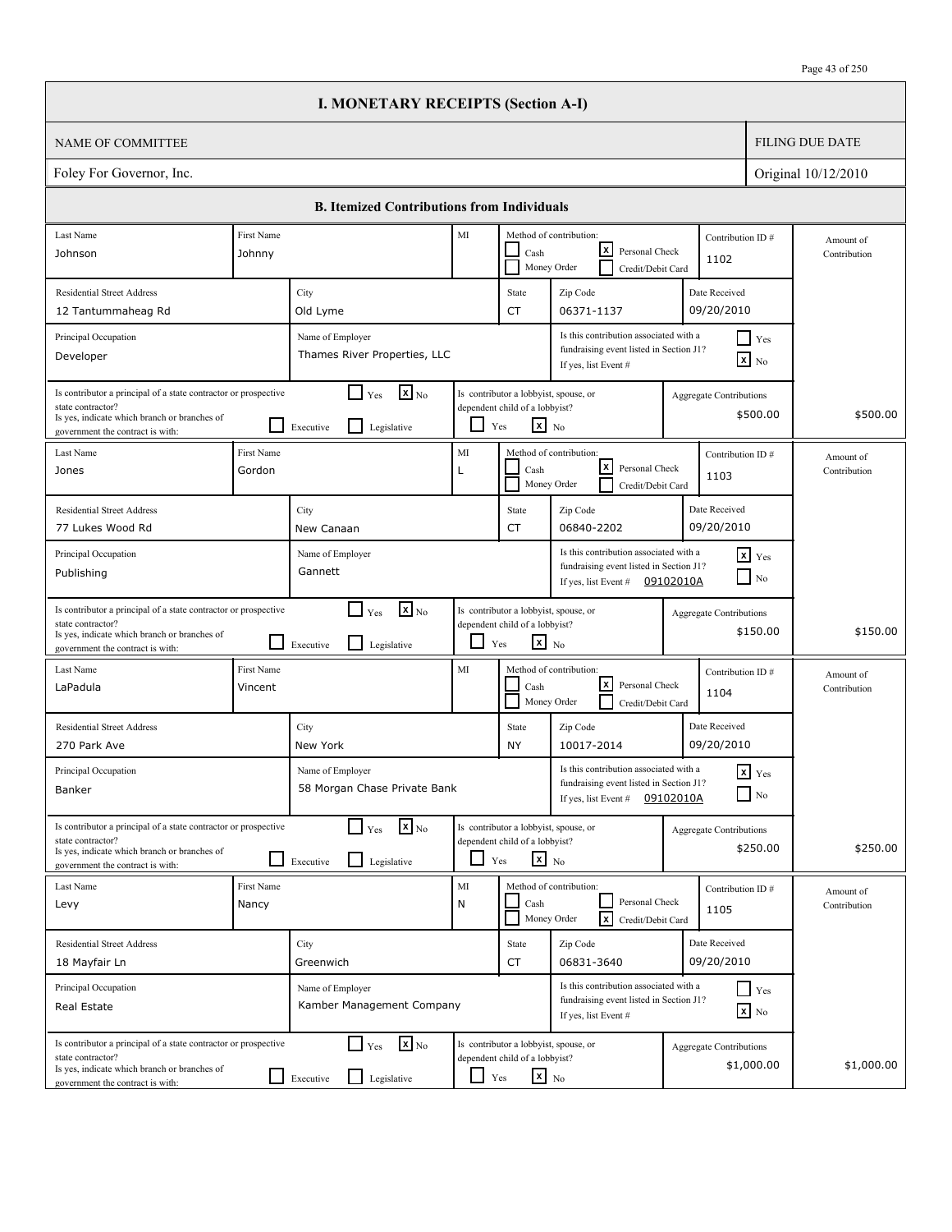|                                                                                                                                                                          |                       | <b>I. MONETARY RECEIPTS (Section A-I)</b>                                      |                          |                                                                                                   |                                                                                                             |           |                                              |                           |
|--------------------------------------------------------------------------------------------------------------------------------------------------------------------------|-----------------------|--------------------------------------------------------------------------------|--------------------------|---------------------------------------------------------------------------------------------------|-------------------------------------------------------------------------------------------------------------|-----------|----------------------------------------------|---------------------------|
| <b>NAME OF COMMITTEE</b>                                                                                                                                                 |                       |                                                                                |                          |                                                                                                   |                                                                                                             |           |                                              | <b>FILING DUE DATE</b>    |
| Foley For Governor, Inc.                                                                                                                                                 |                       |                                                                                |                          |                                                                                                   |                                                                                                             |           |                                              | Original 10/12/2010       |
|                                                                                                                                                                          |                       | <b>B. Itemized Contributions from Individuals</b>                              |                          |                                                                                                   |                                                                                                             |           |                                              |                           |
| Last Name                                                                                                                                                                | First Name            |                                                                                | MI                       |                                                                                                   | Method of contribution:                                                                                     |           | Contribution ID#                             | Amount of                 |
| Johnson                                                                                                                                                                  | Johnny                |                                                                                |                          | Cash                                                                                              | x <br>Personal Check<br>Money Order<br>Credit/Debit Card                                                    |           | 1102                                         | Contribution              |
| <b>Residential Street Address</b><br>12 Tantummaheag Rd                                                                                                                  |                       | City<br>Old Lyme                                                               |                          | State<br>CT                                                                                       | Zip Code<br>06371-1137                                                                                      |           | Date Received<br>09/20/2010                  |                           |
| Principal Occupation<br>Developer                                                                                                                                        |                       | Name of Employer<br>Thames River Properties, LLC                               |                          |                                                                                                   | Is this contribution associated with a<br>fundraising event listed in Section J1?<br>If yes, list Event #   |           | $\Box$ Yes<br>$\mathbf{x}$ No                |                           |
| Is contributor a principal of a state contractor or prospective<br>state contractor?<br>Is yes, indicate which branch or branches of<br>government the contract is with: |                       | $\mathbf{x}$ <sub>No</sub><br>$\Box$<br>Yes<br>l 1<br>Legislative<br>Executive |                          | Is contributor a lobbyist, spouse, or<br>dependent child of a lobbyist?<br>$x_{N0}$<br>Yes        |                                                                                                             |           | <b>Aggregate Contributions</b><br>\$500.00   | \$500.00                  |
| Last Name<br>Jones                                                                                                                                                       | First Name<br>Gordon  |                                                                                | MI<br>Г                  | Cash<br>Money Order                                                                               | Method of contribution:<br> x <br>Personal Check<br>Credit/Debit Card                                       |           | Contribution ID#<br>1103                     | Amount of<br>Contribution |
| <b>Residential Street Address</b><br>77 Lukes Wood Rd                                                                                                                    |                       | City<br>New Canaan                                                             |                          | State<br>CT                                                                                       | Zip Code<br>06840-2202                                                                                      |           | Date Received<br>09/20/2010                  |                           |
| Principal Occupation<br>Publishing                                                                                                                                       |                       | Name of Employer<br>Gannett                                                    |                          |                                                                                                   | Is this contribution associated with a<br>fundraising event listed in Section J1?<br>If yes, list Event #   | 09102010A | $\mathbf{x}$ Yes<br>$\Box$ No                |                           |
| Is contributor a principal of a state contractor or prospective<br>state contractor?<br>Is yes, indicate which branch or branches of<br>government the contract is with: |                       | $\mathbf{x}$ <sub>No</sub><br>$\Box$ Yes<br>l 1<br>Legislative<br>Executive    | $\overline{\phantom{0}}$ | Is contributor a lobbyist, spouse, or<br>dependent child of a lobbyist?<br>$\mathbf{x}$ No<br>Yes |                                                                                                             |           | <b>Aggregate Contributions</b><br>\$150.00   | \$150.00                  |
| Last Name<br>LaPadula                                                                                                                                                    | First Name<br>Vincent |                                                                                | MI                       | Cash                                                                                              | Method of contribution:<br> x <br>Personal Check<br>Money Order<br>Credit/Debit Card                        |           | Contribution ID#<br>1104                     | Amount of<br>Contribution |
| <b>Residential Street Address</b><br>270 Park Ave                                                                                                                        |                       | City<br>New York                                                               |                          | State<br>NY                                                                                       | Zip Code<br>10017-2014                                                                                      |           | Date Received<br>09/20/2010                  |                           |
| Principal Occupation<br>Banker                                                                                                                                           |                       | Name of Employer<br>58 Morgan Chase Private Bank                               |                          |                                                                                                   | Is this contribution associated with a<br>fundraising event listed in Section J1?<br>If yes, list Event $#$ | 09102010A | $x$ $Yes$<br>$\Box$ No                       |                           |
| Is contributor a principal of a state contractor or prospective<br>state contractor?<br>Is yes, indicate which branch or branches of<br>government the contract is with: |                       | $\mathbf{X}$ <sub>No</sub><br>$\Box$ Yes<br>Legislative<br>Executive           | $\Box$                   | Is contributor a lobbyist, spouse, or<br>dependent child of a lobbyist?<br>$x_{N0}$<br>Yes        |                                                                                                             |           | <b>Aggregate Contributions</b><br>\$250.00   | \$250.00                  |
| Last Name<br>Levy                                                                                                                                                        | First Name<br>Nancy   |                                                                                | MI<br>N                  | Cash                                                                                              | Method of contribution:<br>Personal Check<br>Money Order<br><b>x</b><br>Credit/Debit Card                   |           | Contribution ID#<br>1105                     | Amount of<br>Contribution |
| <b>Residential Street Address</b><br>18 Mayfair Ln                                                                                                                       |                       | City<br>Greenwich                                                              |                          | State<br>CT                                                                                       | Zip Code<br>06831-3640                                                                                      |           | Date Received<br>09/20/2010                  |                           |
| Principal Occupation<br>Real Estate                                                                                                                                      |                       | Name of Employer<br>Kamber Management Company                                  |                          |                                                                                                   | Is this contribution associated with a<br>fundraising event listed in Section J1?<br>If yes, list Event #   |           | $\Box$ Yes<br>$\mathbf{x}$ No                |                           |
| Is contributor a principal of a state contractor or prospective<br>state contractor?<br>Is yes, indicate which branch or branches of<br>government the contract is with: |                       | $\mathbf{X}$ <sub>No</sub><br>$\Gamma$ Yes<br>ப<br>Legislative<br>Executive    | ப                        | Is contributor a lobbyist, spouse, or<br>dependent child of a lobbyist?<br>$\mathbf{x}$ No<br>Yes |                                                                                                             |           | <b>Aggregate Contributions</b><br>\$1,000.00 | \$1,000.00                |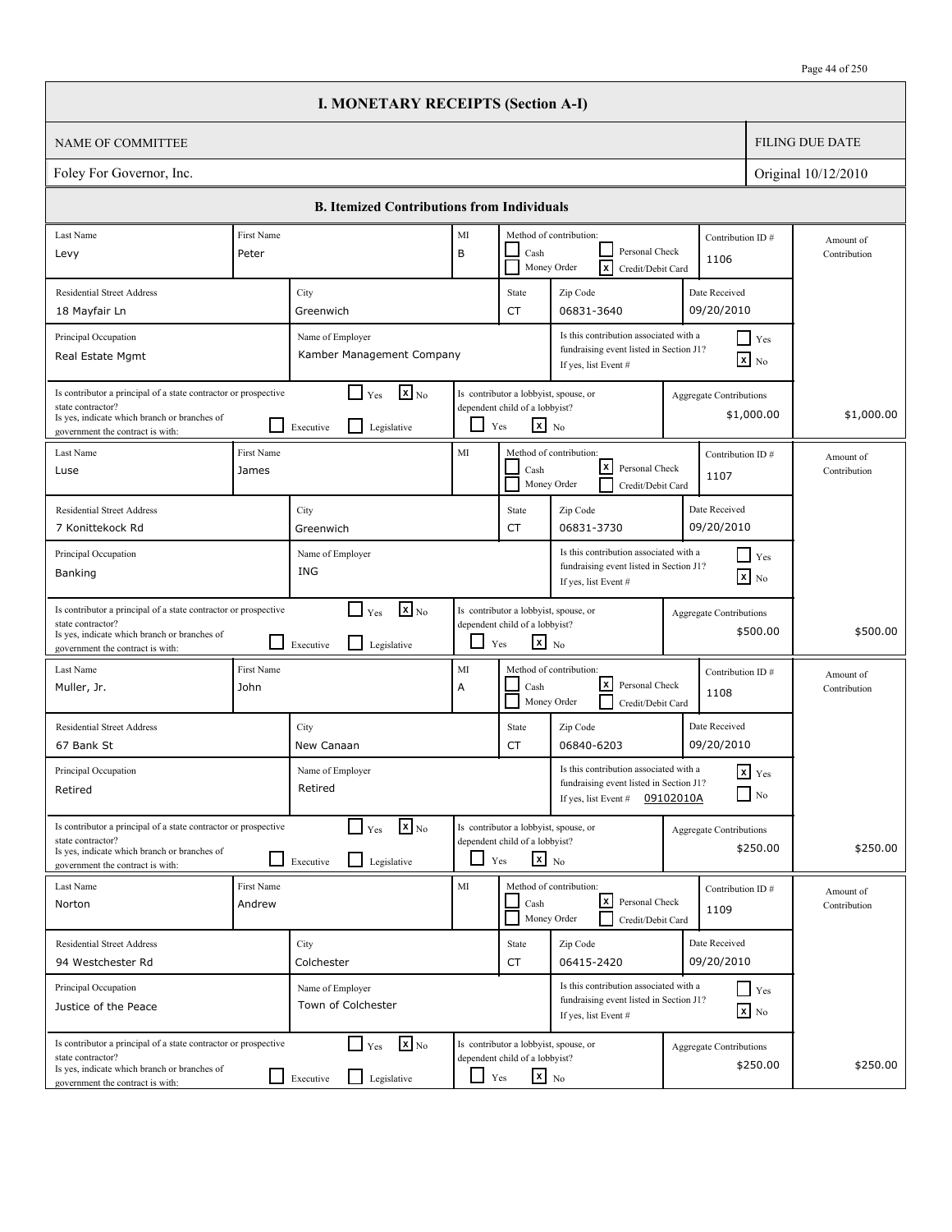|                                                                                                                                                                          |                      | <b>I. MONETARY RECEIPTS (Section A-I)</b>                                              |                          |                                                                                                   |                                                                                                             |           |                                              |                           |
|--------------------------------------------------------------------------------------------------------------------------------------------------------------------------|----------------------|----------------------------------------------------------------------------------------|--------------------------|---------------------------------------------------------------------------------------------------|-------------------------------------------------------------------------------------------------------------|-----------|----------------------------------------------|---------------------------|
| <b>NAME OF COMMITTEE</b>                                                                                                                                                 |                      |                                                                                        |                          |                                                                                                   |                                                                                                             |           |                                              | <b>FILING DUE DATE</b>    |
| Foley For Governor, Inc.                                                                                                                                                 |                      |                                                                                        |                          |                                                                                                   |                                                                                                             |           |                                              | Original 10/12/2010       |
|                                                                                                                                                                          |                      | <b>B. Itemized Contributions from Individuals</b>                                      |                          |                                                                                                   |                                                                                                             |           |                                              |                           |
| Last Name                                                                                                                                                                | First Name           |                                                                                        | MI                       |                                                                                                   | Method of contribution:                                                                                     |           | Contribution ID#                             | Amount of                 |
| Levy                                                                                                                                                                     | Peter                |                                                                                        | B                        | Cash                                                                                              | Personal Check<br>$\overline{\mathbf{x}}$<br>Money Order<br>Credit/Debit Card                               |           | 1106                                         | Contribution              |
| <b>Residential Street Address</b>                                                                                                                                        |                      | City                                                                                   |                          | State                                                                                             | Zip Code                                                                                                    |           | Date Received                                |                           |
| 18 Mayfair Ln                                                                                                                                                            |                      | Greenwich                                                                              |                          | CT                                                                                                | 06831-3640                                                                                                  |           | 09/20/2010                                   |                           |
| Principal Occupation<br>Real Estate Mgmt                                                                                                                                 |                      | Name of Employer<br>Kamber Management Company                                          |                          |                                                                                                   | Is this contribution associated with a<br>fundraising event listed in Section J1?<br>If yes, list Event #   |           | $\Box$ Yes<br>$\mathbf{x}$ No                |                           |
| Is contributor a principal of a state contractor or prospective<br>state contractor?<br>Is yes, indicate which branch or branches of<br>government the contract is with: |                      | $\mathbf{x}$ <sub>No</sub><br>$\blacksquare$<br>Yes<br>l 1<br>Legislative<br>Executive |                          | Is contributor a lobbyist, spouse, or<br>dependent child of a lobbyist?<br>$x_{N0}$<br>Yes        |                                                                                                             |           | <b>Aggregate Contributions</b><br>\$1,000.00 | \$1,000.00                |
| Last Name<br>Luse                                                                                                                                                        | First Name<br>James  |                                                                                        | MI                       | Cash                                                                                              | Method of contribution:<br>$\lfloor x \rfloor$<br>Personal Check<br>Money Order<br>Credit/Debit Card        |           | Contribution ID#<br>1107                     | Amount of<br>Contribution |
| <b>Residential Street Address</b>                                                                                                                                        |                      | City                                                                                   |                          | State                                                                                             | Zip Code                                                                                                    |           | Date Received                                |                           |
| 7 Konittekock Rd                                                                                                                                                         |                      | Greenwich                                                                              |                          | CT                                                                                                | 06831-3730                                                                                                  |           | 09/20/2010                                   |                           |
| Principal Occupation<br>Banking                                                                                                                                          |                      | Name of Employer<br>ING                                                                |                          |                                                                                                   | Is this contribution associated with a<br>fundraising event listed in Section J1?<br>If yes, list Event #   |           | $\Box$ Yes<br>$\boxed{\mathbf{x}}$ No        |                           |
| Is contributor a principal of a state contractor or prospective<br>state contractor?<br>Is yes, indicate which branch or branches of<br>government the contract is with: |                      | $\mathbf{x}$ <sub>No</sub><br>$\Box$ Yes<br>l 1<br>Legislative<br>Executive            | $\overline{\phantom{0}}$ | Is contributor a lobbyist, spouse, or<br>dependent child of a lobbyist?<br>$\mathbf{x}$ No<br>Yes |                                                                                                             |           | <b>Aggregate Contributions</b><br>\$500.00   | \$500.00                  |
| Last Name<br>Muller, Jr.                                                                                                                                                 | First Name<br>John   |                                                                                        | MI<br>Α                  | Cash                                                                                              | Method of contribution:<br> x <br>Personal Check<br>Money Order<br>Credit/Debit Card                        |           | Contribution ID#<br>1108                     | Amount of<br>Contribution |
| <b>Residential Street Address</b><br>67 Bank St                                                                                                                          |                      | City<br>New Canaan                                                                     |                          | State<br>CT                                                                                       | Zip Code<br>06840-6203                                                                                      |           | Date Received<br>09/20/2010                  |                           |
| Principal Occupation<br>Retired                                                                                                                                          |                      | Name of Employer<br>Retired                                                            |                          |                                                                                                   | Is this contribution associated with a<br>fundraising event listed in Section J1?<br>If yes, list Event $#$ | 09102010A | $x$ $Yes$<br>$\Box$ No                       |                           |
| Is contributor a principal of a state contractor or prospective<br>state contractor?<br>Is yes, indicate which branch or branches of<br>government the contract is with: |                      | $\mathbf{x}$ <sub>No</sub><br>$\Box$ Yes<br>Legislative<br>Executive                   | $\Box$                   | Is contributor a lobbyist, spouse, or<br>dependent child of a lobbyist?<br>$x_{N0}$<br>Yes        |                                                                                                             |           | <b>Aggregate Contributions</b><br>\$250.00   | \$250.00                  |
| Last Name<br>Norton                                                                                                                                                      | First Name<br>Andrew |                                                                                        | MI                       | Cash                                                                                              | Method of contribution:<br> x <br>Personal Check<br>Money Order<br>Credit/Debit Card                        |           | Contribution ID#<br>1109                     | Amount of<br>Contribution |
| <b>Residential Street Address</b>                                                                                                                                        |                      | City                                                                                   |                          | State                                                                                             | Zip Code                                                                                                    |           | Date Received                                |                           |
| 94 Westchester Rd                                                                                                                                                        |                      | Colchester                                                                             |                          | CT                                                                                                | 06415-2420                                                                                                  |           | 09/20/2010                                   |                           |
| Principal Occupation<br>Justice of the Peace                                                                                                                             |                      | Name of Employer<br>Town of Colchester                                                 |                          |                                                                                                   | Is this contribution associated with a<br>fundraising event listed in Section J1?<br>If yes, list Event #   |           | $\Box$ Yes<br>$\mathbf{x}$ No                |                           |
| Is contributor a principal of a state contractor or prospective<br>state contractor?<br>Is yes, indicate which branch or branches of<br>government the contract is with: |                      | $\Box$ Yes<br>$\mathbf{x}$ <sub>No</sub><br>ப<br>Legislative<br>Executive              | ப                        | Is contributor a lobbyist, spouse, or<br>dependent child of a lobbyist?<br>$\mathbf{x}$ No<br>Yes |                                                                                                             |           | <b>Aggregate Contributions</b><br>\$250.00   | \$250.00                  |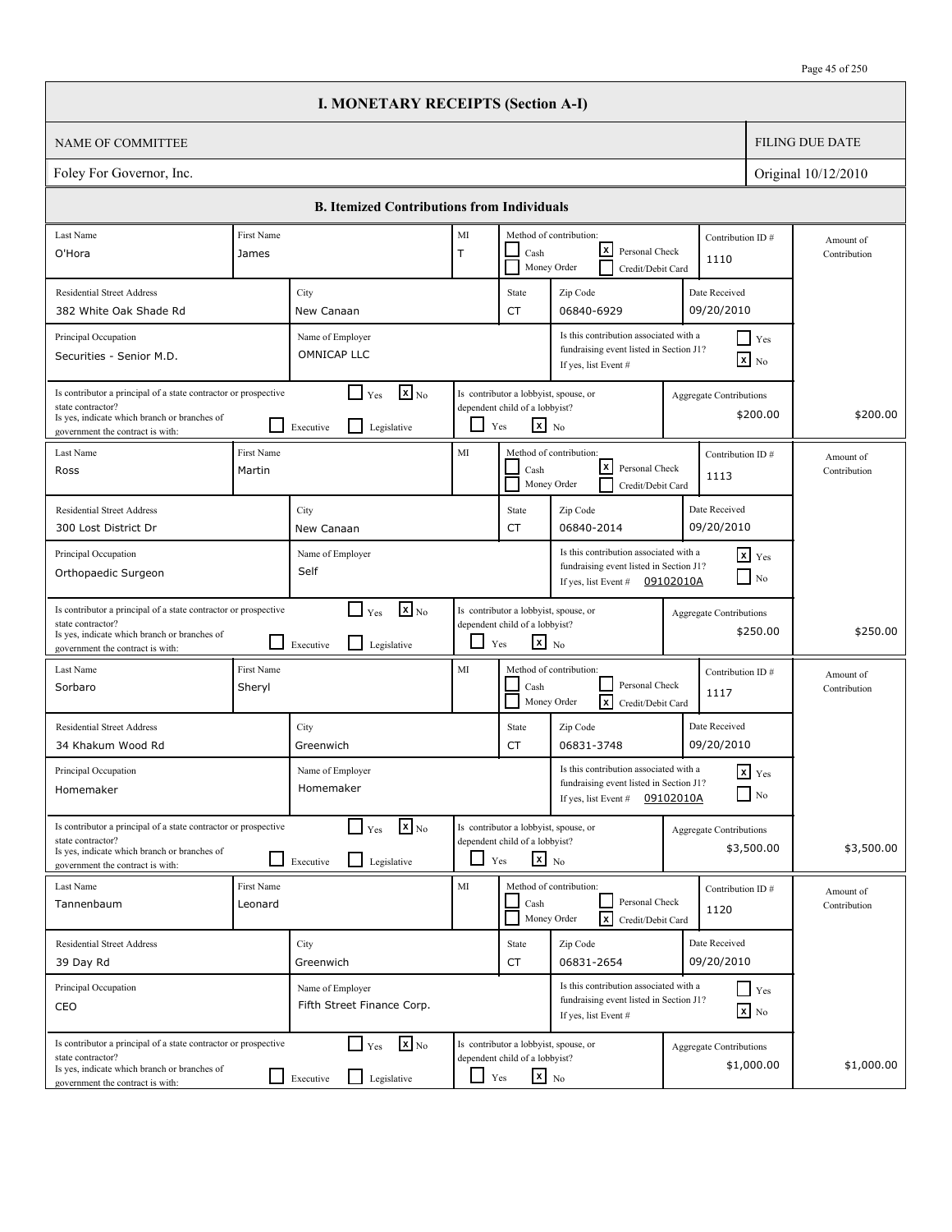|                                                                                                                                                                          |                             | <b>I. MONETARY RECEIPTS (Section A-I)</b>                                           |             |                                                                                                   |                                                                                                           |           |                                              |                           |
|--------------------------------------------------------------------------------------------------------------------------------------------------------------------------|-----------------------------|-------------------------------------------------------------------------------------|-------------|---------------------------------------------------------------------------------------------------|-----------------------------------------------------------------------------------------------------------|-----------|----------------------------------------------|---------------------------|
| NAME OF COMMITTEE                                                                                                                                                        |                             |                                                                                     |             |                                                                                                   |                                                                                                           |           |                                              | <b>FILING DUE DATE</b>    |
| Foley For Governor, Inc.                                                                                                                                                 |                             |                                                                                     |             |                                                                                                   |                                                                                                           |           | Original 10/12/2010                          |                           |
|                                                                                                                                                                          |                             | <b>B.</b> Itemized Contributions from Individuals                                   |             |                                                                                                   |                                                                                                           |           |                                              |                           |
| Last Name                                                                                                                                                                | First Name                  |                                                                                     | MI          |                                                                                                   | Method of contribution:                                                                                   |           | Contribution ID#                             | Amount of                 |
| O'Hora                                                                                                                                                                   | James                       |                                                                                     | $\mathsf T$ | Cash                                                                                              | lxl<br>Personal Check<br>Money Order<br>Credit/Debit Card                                                 |           | 1110                                         | Contribution              |
| <b>Residential Street Address</b>                                                                                                                                        |                             | City                                                                                |             | State                                                                                             | Zip Code                                                                                                  |           | Date Received                                |                           |
| 382 White Oak Shade Rd                                                                                                                                                   |                             | New Canaan                                                                          |             | CT                                                                                                | 06840-6929                                                                                                |           | 09/20/2010                                   |                           |
| Principal Occupation<br>Securities - Senior M.D.                                                                                                                         |                             | Name of Employer<br>OMNICAP LLC                                                     |             |                                                                                                   | Is this contribution associated with a<br>fundraising event listed in Section J1?<br>If yes, list Event # |           | $\Box$ Yes<br>$\boxed{\mathbf{x}}$ No        |                           |
| Is contributor a principal of a state contractor or prospective<br>state contractor?<br>Is yes, indicate which branch or branches of<br>government the contract is with: |                             | $\boxed{\mathbf{x}}$ <sub>No</sub><br>$\Box$ Yes<br>l 1<br>Legislative<br>Executive |             | Is contributor a lobbyist, spouse, or<br>dependent child of a lobbyist?<br>$x_{N0}$<br>Yes        |                                                                                                           |           | <b>Aggregate Contributions</b><br>\$200.00   | \$200.00                  |
| Last Name<br>Ross                                                                                                                                                        | <b>First Name</b><br>Martin |                                                                                     | MI          | Cash<br>Money Order                                                                               | Method of contribution:<br>lxI<br>Personal Check<br>Credit/Debit Card                                     |           | Contribution ID#<br>1113                     | Amount of<br>Contribution |
| <b>Residential Street Address</b>                                                                                                                                        |                             | City                                                                                |             | State                                                                                             | Zip Code                                                                                                  |           | Date Received                                |                           |
| 300 Lost District Dr                                                                                                                                                     |                             | New Canaan                                                                          |             | CT                                                                                                | 06840-2014                                                                                                |           | 09/20/2010                                   |                           |
| Principal Occupation<br>Orthopaedic Surgeon                                                                                                                              |                             | Name of Employer<br>Self                                                            |             |                                                                                                   | Is this contribution associated with a<br>fundraising event listed in Section J1?<br>If yes, list Event # | 09102010A | $\mathbf{x}$ Yes<br>$\blacksquare$ No        |                           |
| Is contributor a principal of a state contractor or prospective<br>state contractor?<br>Is yes, indicate which branch or branches of<br>government the contract is with: |                             | $\mathbf{x}$ <sub>No</sub><br>$\Gamma$ Yes<br>l 1<br>Legislative<br>Executive       | $\Box$      | Is contributor a lobbyist, spouse, or<br>dependent child of a lobbyist?<br>$\mathbf{x}$ No<br>Yes |                                                                                                           |           | <b>Aggregate Contributions</b><br>\$250.00   | \$250.00                  |
| Last Name<br>Sorbaro                                                                                                                                                     | First Name<br>Sheryl        |                                                                                     | MI          | Cash                                                                                              | Method of contribution:<br>Personal Check<br>Money Order<br>lxl<br>Credit/Debit Card                      |           | Contribution ID#<br>1117                     | Amount of<br>Contribution |
| <b>Residential Street Address</b><br>34 Khakum Wood Rd                                                                                                                   |                             | City<br>Greenwich                                                                   |             | State<br>CT                                                                                       | Zip Code<br>06831-3748                                                                                    |           | Date Received<br>09/20/2010                  |                           |
| Principal Occupation<br>Homemaker                                                                                                                                        |                             | Name of Employer<br>Homemaker                                                       |             |                                                                                                   | Is this contribution associated with a<br>fundraising event listed in Section J1?<br>If yes, list Event # | 09102010A | $x$ $Yes$<br>$\hfill\Box$ No                 |                           |
| Is contributor a principal of a state contractor or prospective<br>state contractor?<br>Is yes, indicate which branch or branches of<br>government the contract is with: |                             | $\mathbf{X}$ <sub>No</sub><br>$\Box$ Yes<br>Legislative<br>Executive                | ப           | Is contributor a lobbyist, spouse, or<br>dependent child of a lobbyist?<br>$\mathbf{x}$ No<br>Yes |                                                                                                           |           | <b>Aggregate Contributions</b><br>\$3,500.00 | \$3,500.00                |
| Last Name<br>Tannenbaum                                                                                                                                                  | First Name<br>Leonard       |                                                                                     | MI          | Cash                                                                                              | Method of contribution:<br>Personal Check<br>$\lceil x \rceil$<br>Money Order<br>Credit/Debit Card        |           | Contribution ID#<br>1120                     | Amount of<br>Contribution |
| <b>Residential Street Address</b>                                                                                                                                        |                             | City                                                                                |             | State                                                                                             | Zip Code                                                                                                  |           | Date Received                                |                           |
| 39 Day Rd                                                                                                                                                                |                             | Greenwich                                                                           |             | CT                                                                                                | 06831-2654                                                                                                |           | 09/20/2010                                   |                           |
| Principal Occupation<br>CEO                                                                                                                                              |                             | Name of Employer<br>Fifth Street Finance Corp.                                      |             |                                                                                                   | Is this contribution associated with a<br>fundraising event listed in Section J1?<br>If yes, list Event # |           | $\Box$ Yes<br>$\mathbf{x}$ No                |                           |
| Is contributor a principal of a state contractor or prospective<br>state contractor?<br>Is yes, indicate which branch or branches of<br>government the contract is with: |                             | $\mathbf{X}_{\text{No}}$<br>$\Box$ Yes<br>$\Box$<br>Legislative<br>Executive        | $\Box$      | Is contributor a lobbyist, spouse, or<br>dependent child of a lobbyist?<br>$\mathbf{x}$ No<br>Yes |                                                                                                           |           | <b>Aggregate Contributions</b><br>\$1,000.00 | \$1,000.00                |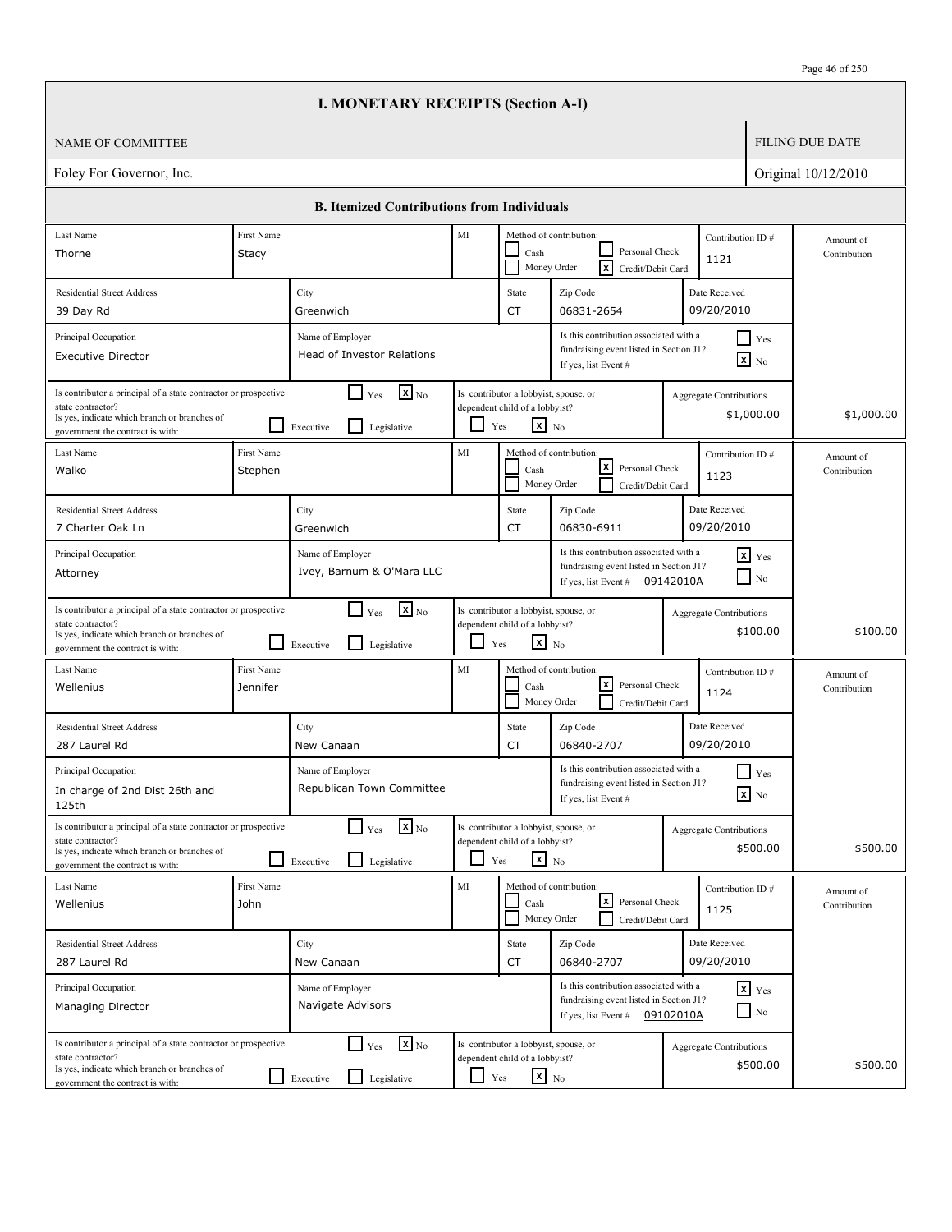|                                                                                                                                                                          |                        | <b>I. MONETARY RECEIPTS (Section A-I)</b>                                            |        |                                                                                                   |                                                                                                                       |           |                                              |                           |
|--------------------------------------------------------------------------------------------------------------------------------------------------------------------------|------------------------|--------------------------------------------------------------------------------------|--------|---------------------------------------------------------------------------------------------------|-----------------------------------------------------------------------------------------------------------------------|-----------|----------------------------------------------|---------------------------|
| NAME OF COMMITTEE                                                                                                                                                        |                        |                                                                                      |        |                                                                                                   |                                                                                                                       |           |                                              | <b>FILING DUE DATE</b>    |
| Foley For Governor, Inc.                                                                                                                                                 |                        |                                                                                      |        |                                                                                                   |                                                                                                                       |           |                                              | Original 10/12/2010       |
|                                                                                                                                                                          |                        | <b>B.</b> Itemized Contributions from Individuals                                    |        |                                                                                                   |                                                                                                                       |           |                                              |                           |
| Last Name                                                                                                                                                                | First Name             |                                                                                      | MI     |                                                                                                   | Method of contribution:                                                                                               |           | Contribution ID#                             | Amount of                 |
| Thorne<br>Stacy                                                                                                                                                          |                        |                                                                                      |        | Cash<br>Money Order                                                                               | Personal Check<br>$\overline{x}$<br>Credit/Debit Card                                                                 |           | 1121                                         | Contribution              |
| <b>Residential Street Address</b>                                                                                                                                        |                        | City                                                                                 |        | State                                                                                             | Zip Code                                                                                                              |           | Date Received                                |                           |
| 39 Day Rd                                                                                                                                                                |                        | Greenwich                                                                            |        | CT                                                                                                | 06831-2654                                                                                                            |           | 09/20/2010                                   |                           |
| Principal Occupation<br><b>Executive Director</b>                                                                                                                        |                        | Name of Employer<br><b>Head of Investor Relations</b>                                |        |                                                                                                   | Is this contribution associated with a<br>fundraising event listed in Section J1?<br>If yes, list Event #             |           | $\Box$ Yes<br>$\mathbf{X}$ No                |                           |
| Is contributor a principal of a state contractor or prospective<br>state contractor?<br>Is yes, indicate which branch or branches of<br>government the contract is with: |                        | $\mathbf{X}$ <sub>No</sub><br>$\mathsf{L}$<br>Yes<br>l 1<br>Legislative<br>Executive |        | Is contributor a lobbyist, spouse, or<br>dependent child of a lobbyist?<br>$x_{N0}$<br>Yes        |                                                                                                                       |           | <b>Aggregate Contributions</b><br>\$1,000.00 | \$1,000.00                |
| Last Name<br>Walko                                                                                                                                                       | First Name<br>Stephen  |                                                                                      | MI     | Cash<br>Money Order                                                                               | Method of contribution:<br>lxI<br>Personal Check<br>Credit/Debit Card                                                 |           | Contribution ID#<br>1123                     | Amount of<br>Contribution |
| <b>Residential Street Address</b>                                                                                                                                        |                        | City                                                                                 |        | State                                                                                             | Zip Code                                                                                                              |           | Date Received                                |                           |
| 7 Charter Oak Ln                                                                                                                                                         |                        | Greenwich                                                                            |        | CT                                                                                                | 06830-6911                                                                                                            |           | 09/20/2010                                   |                           |
| Principal Occupation<br>Attorney                                                                                                                                         |                        | Name of Employer<br>Ivey, Barnum & O'Mara LLC                                        |        |                                                                                                   | Is this contribution associated with a<br>fundraising event listed in Section J1?<br>If yes, list Event #             | 09142010A | $\mathbf{x}$ Yes<br>$\blacksquare$ No        |                           |
| Is contributor a principal of a state contractor or prospective<br>state contractor?<br>Is yes, indicate which branch or branches of<br>government the contract is with: |                        | $\mathbf{x}$ <sub>No</sub><br>$\Box$ Yes<br>l 1<br>Legislative<br>Executive          | $\Box$ | Is contributor a lobbyist, spouse, or<br>dependent child of a lobbyist?<br>$\mathbf{x}$ No<br>Yes |                                                                                                                       |           | <b>Aggregate Contributions</b><br>\$100.00   | \$100.00                  |
| Last Name<br>Wellenius                                                                                                                                                   | First Name<br>Jennifer |                                                                                      | MI     | Cash<br>Money Order                                                                               | Method of contribution:<br>lxI<br>Personal Check<br>Credit/Debit Card                                                 |           | Contribution ID#<br>1124                     | Amount of<br>Contribution |
| <b>Residential Street Address</b><br>287 Laurel Rd                                                                                                                       |                        | City<br>New Canaan                                                                   |        | State<br>CT                                                                                       | Zip Code<br>06840-2707                                                                                                |           | Date Received<br>09/20/2010                  |                           |
| Principal Occupation<br>In charge of 2nd Dist 26th and<br>125th                                                                                                          |                        | Name of Employer<br>Republican Town Committee                                        |        |                                                                                                   | Is this contribution associated with a<br>fundraising event listed in Section J1?<br>If yes, list Event #             |           | $\blacksquare$ Yes<br>$\mathbf{X}$ No        |                           |
| Is contributor a principal of a state contractor or prospective<br>state contractor?<br>Is yes, indicate which branch or branches of<br>government the contract is with: |                        | $\mathbf{X}$ <sub>No</sub><br>$\Box$ Yes<br>Legislative<br>Executive                 | ∐      | Is contributor a lobbyist, spouse, or<br>dependent child of a lobbyist?<br>$\mathbf{x}$ No<br>Yes |                                                                                                                       |           | Aggregate Contributions<br>\$500.00          | \$500.00                  |
| Last Name<br>Wellenius<br>John                                                                                                                                           | First Name             |                                                                                      | MI     | Cash<br>Money Order                                                                               | Method of contribution:<br><u> x</u><br>Personal Check<br>Credit/Debit Card                                           |           | Contribution ID#<br>1125                     | Amount of<br>Contribution |
| <b>Residential Street Address</b>                                                                                                                                        |                        | City                                                                                 |        | State                                                                                             | Zip Code                                                                                                              |           | Date Received                                |                           |
| 287 Laurel Rd                                                                                                                                                            |                        | New Canaan                                                                           |        | CT                                                                                                | 06840-2707                                                                                                            |           | 09/20/2010                                   |                           |
| Principal Occupation<br>Managing Director                                                                                                                                |                        | Name of Employer<br>Navigate Advisors                                                |        |                                                                                                   | Is this contribution associated with a<br>fundraising event listed in Section J1?<br>If yes, list Event # $09102010A$ |           | $\mathbf{x}$ Yes<br>$\Box$ No                |                           |
| Is contributor a principal of a state contractor or prospective<br>state contractor?<br>Is yes, indicate which branch or branches of<br>government the contract is with: |                        | $\mathbf{x}$ <sub>No</sub><br>$\Box$ Yes<br>$\Box$<br>Legislative<br>Executive       | $\Box$ | Is contributor a lobbyist, spouse, or<br>dependent child of a lobbyist?<br>$\mathbf{x}$ No<br>Yes |                                                                                                                       |           | <b>Aggregate Contributions</b><br>\$500.00   | \$500.00                  |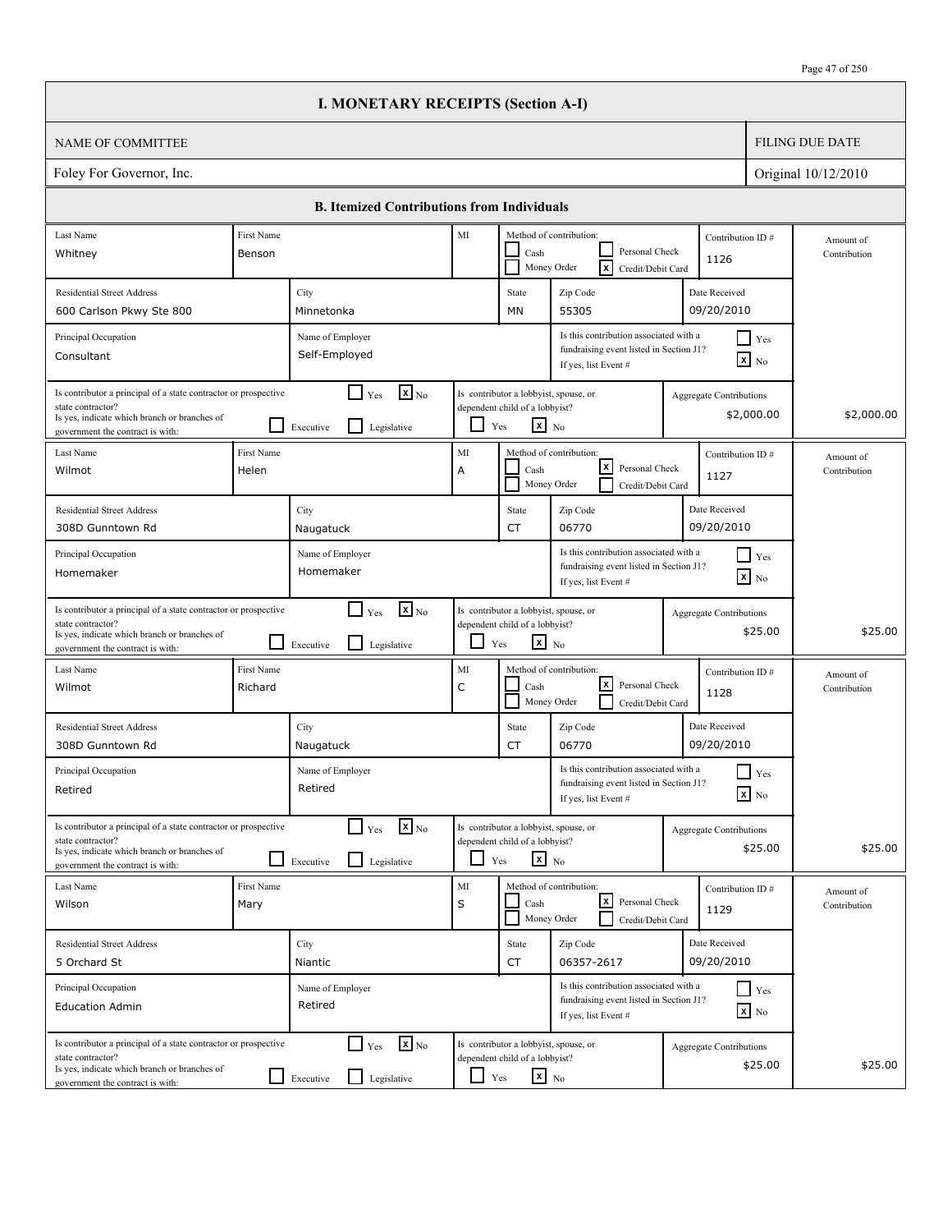$\Box$ 

|                                                                                                                                                                          |                       | <b>I. MONETARY RECEIPTS (Section A-I)</b>                                            |                    |                                                                                                   |                                                                                                           |                                               |                           |
|--------------------------------------------------------------------------------------------------------------------------------------------------------------------------|-----------------------|--------------------------------------------------------------------------------------|--------------------|---------------------------------------------------------------------------------------------------|-----------------------------------------------------------------------------------------------------------|-----------------------------------------------|---------------------------|
| <b>NAME OF COMMITTEE</b>                                                                                                                                                 |                       |                                                                                      |                    |                                                                                                   |                                                                                                           |                                               | <b>FILING DUE DATE</b>    |
| Foley For Governor, Inc.                                                                                                                                                 |                       |                                                                                      |                    |                                                                                                   |                                                                                                           |                                               | Original 10/12/2010       |
|                                                                                                                                                                          |                       | <b>B. Itemized Contributions from Individuals</b>                                    |                    |                                                                                                   |                                                                                                           |                                               |                           |
| Last Name                                                                                                                                                                | First Name            |                                                                                      | MI                 |                                                                                                   | Method of contribution:                                                                                   | Contribution ID#                              | Amount of                 |
| Whitney                                                                                                                                                                  | Benson                |                                                                                      |                    | Cash<br>Money Order                                                                               | Personal Check<br>Γx<br>Credit/Debit Card                                                                 | 1126                                          | Contribution              |
| <b>Residential Street Address</b>                                                                                                                                        |                       | City                                                                                 |                    | State                                                                                             | Zip Code                                                                                                  | Date Received                                 |                           |
| 600 Carlson Pkwy Ste 800                                                                                                                                                 |                       | Minnetonka                                                                           |                    | MN                                                                                                | 55305                                                                                                     | 09/20/2010                                    |                           |
| Principal Occupation<br>Consultant                                                                                                                                       |                       | Name of Employer<br>Self-Employed                                                    |                    |                                                                                                   | Is this contribution associated with a<br>fundraising event listed in Section J1?<br>If yes, list Event # | $\Box$ Yes<br>$\mathbf{X}$ No                 |                           |
| Is contributor a principal of a state contractor or prospective<br>state contractor?<br>Is yes, indicate which branch or branches of<br>government the contract is with: |                       | $\boxed{\mathbf{x}}$ <sub>No</sub><br>$\Box$ Yes<br>l 1<br>Legislative<br>Executive  |                    | Is contributor a lobbyist, spouse, or<br>dependent child of a lobbyist?<br>$\mathbf{x}$ No<br>Yes |                                                                                                           | <b>Aggregate Contributions</b><br>\$2,000.00  | \$2,000.00                |
| Last Name<br>Wilmot                                                                                                                                                      | First Name<br>Helen   |                                                                                      | $\rm MI$<br>А      | Cash<br>Money Order                                                                               | Method of contribution:<br>lxl<br>Personal Check<br>Credit/Debit Card                                     | Contribution ID#<br>1127                      | Amount of<br>Contribution |
| <b>Residential Street Address</b><br>308D Gunntown Rd                                                                                                                    |                       | City<br>Naugatuck                                                                    |                    | State<br>CT                                                                                       | Zip Code<br>06770                                                                                         | Date Received<br>09/20/2010                   |                           |
| Principal Occupation<br>Homemaker                                                                                                                                        |                       | Name of Employer<br>Homemaker                                                        |                    |                                                                                                   | Is this contribution associated with a<br>fundraising event listed in Section J1?<br>If yes, list Event # | $\blacksquare$ Yes<br>$\boxed{\mathbf{x}}$ No |                           |
| Is contributor a principal of a state contractor or prospective<br>state contractor?<br>Is yes, indicate which branch or branches of<br>government the contract is with: | $\blacksquare$        | $\mathbf{X}$ <sub>No</sub><br>$\Box$ Yes<br>$\mathsf{L}$<br>Legislative<br>Executive | ப                  | Is contributor a lobbyist, spouse, or<br>dependent child of a lobbyist?<br>$x_{N0}$<br>Yes        |                                                                                                           | Aggregate Contributions<br>\$25.00            | \$25.00                   |
| Last Name<br>Wilmot                                                                                                                                                      | First Name<br>Richard |                                                                                      | MI<br>$\mathsf{C}$ | Cash<br>Money Order                                                                               | Method of contribution:<br>lxl<br>Personal Check<br>Credit/Debit Card                                     | Contribution ID#<br>1128                      | Amount of<br>Contribution |
| <b>Residential Street Address</b><br>308D Gunntown Rd                                                                                                                    |                       | City<br>Naugatuck                                                                    |                    | State<br>CT                                                                                       | Zip Code<br>06770                                                                                         | Date Received<br>09/20/2010                   |                           |
| Principal Occupation<br>Retired                                                                                                                                          |                       | Name of Employer<br>Retired                                                          |                    |                                                                                                   | Is this contribution associated with a<br>fundraising event listed in Section J1?<br>If yes, list Event # | Yes<br>$\mathbf{X}$ No                        |                           |
| Is contributor a principal of a state contractor or prospective<br>state contractor?<br>Is yes, indicate which branch or branches of<br>government the contract is with: |                       | $\mathbf{x}$ <sub>No</sub><br>$\Box$ Yes<br>Legislative<br>Executive                 | ப                  | Is contributor a lobbyist, spouse, or<br>dependent child of a lobbyist?<br>$x_{N0}$<br>Yes        |                                                                                                           | <b>Aggregate Contributions</b><br>\$25.00     | \$25.00                   |
| Last Name<br>Wilson                                                                                                                                                      | First Name<br>Mary    |                                                                                      | MI<br>$\sf S$      | Cash                                                                                              | Method of contribution:<br> x <br>Personal Check<br>Money Order<br>Credit/Debit Card                      | Contribution ID#<br>1129                      | Amount of<br>Contribution |
| <b>Residential Street Address</b><br>5 Orchard St                                                                                                                        |                       | City<br>Niantic                                                                      |                    | State<br>CT                                                                                       | Zip Code<br>06357-2617                                                                                    | Date Received<br>09/20/2010                   |                           |
| Principal Occupation<br><b>Education Admin</b>                                                                                                                           |                       | Name of Employer<br>Retired                                                          |                    |                                                                                                   | Is this contribution associated with a<br>fundraising event listed in Section J1?<br>If yes, list Event # | Yes<br>$\mathbf{x}$ No                        |                           |
| Is contributor a principal of a state contractor or prospective<br>state contractor?<br>Is yes, indicate which branch or branches of<br>government the contract is with: |                       | $\mathbf{X}$ <sub>No</sub><br>$\Gamma$ Yes<br>Legislative<br>Executive               | $\Box$ Yes         | Is contributor a lobbyist, spouse, or<br>dependent child of a lobbyist?<br>$\mathbf{x}$ No        |                                                                                                           | <b>Aggregate Contributions</b><br>\$25.00     | \$25.00                   |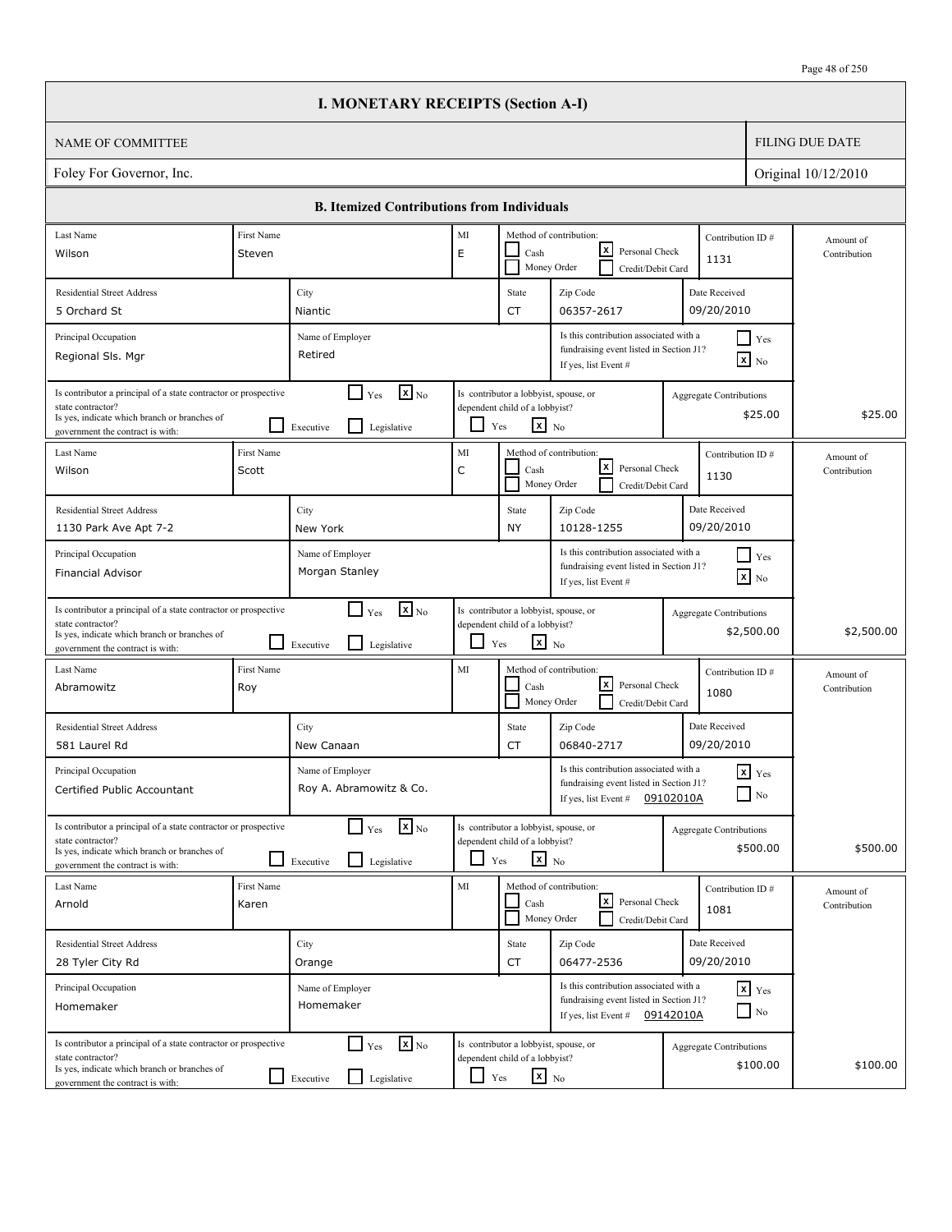| <b>FILING DUE DATE</b><br>NAME OF COMMITTEE<br>Foley For Governor, Inc.<br>Original 10/12/2010<br><b>B.</b> Itemized Contributions from Individuals<br>Last Name<br>First Name<br>MI<br>Method of contribution:<br>Contribution ID#<br>Amount of<br>lxl<br>Personal Check<br>E<br>Cash<br>Wilson<br>Steven<br>Contribution<br>1131<br>Money Order<br>Credit/Debit Card<br>Date Received<br><b>Residential Street Address</b><br>City<br>State<br>Zip Code<br>09/20/2010<br>06357-2617<br>5 Orchard St<br>CT<br>Niantic<br>Is this contribution associated with a<br>Principal Occupation<br>$\Box$ Yes<br>Name of Employer<br>fundraising event listed in Section J1?<br>Retired<br>Regional Sls. Mgr<br>$\mathbf{X}$ No<br>If yes, list Event #<br>$\mathbf{X}$ <sub>No</sub><br>Is contributor a principal of a state contractor or prospective<br>Is contributor a lobbyist, spouse, or<br>$\mathsf{L}$<br>Yes<br><b>Aggregate Contributions</b><br>state contractor?<br>dependent child of a lobbyist?<br>\$25.00<br>Is yes, indicate which branch or branches of<br>$\mathbf{x}$ No<br>l 1<br>Yes<br>Legislative<br>Executive<br>government the contract is with:<br>MI<br>Last Name<br><b>First Name</b><br>Method of contribution:<br>Contribution ID#<br>Amount of<br>lxI<br>Personal Check<br>C<br>Cash<br>Wilson<br>Scott<br>Contribution<br>1130<br>Money Order<br>Credit/Debit Card<br>Date Received<br><b>Residential Street Address</b><br>City<br>State<br>Zip Code<br>09/20/2010<br>10128-1255<br>1130 Park Ave Apt 7-2<br>New York<br>NY<br>Is this contribution associated with a<br>Principal Occupation<br>$\Box$ Yes<br>Name of Employer<br>fundraising event listed in Section J1?<br>Morgan Stanley<br>Financial Advisor<br>$\mathbf{x}$ No<br>If yes, list Event #<br>$\mathbf{x}$ <sub>No</sub><br>$\Box$ Yes<br>Is contributor a principal of a state contractor or prospective<br>Is contributor a lobbyist, spouse, or<br><b>Aggregate Contributions</b><br>dependent child of a lobbyist?<br>state contractor?<br>\$2,500.00<br>Is yes, indicate which branch or branches of<br>$\mathbf{x}$ No<br>$\Box$<br>$\mathsf{L}$<br>Yes<br>Legislative<br>Executive<br>government the contract is with:<br>MI<br>First Name<br>Method of contribution:<br>Last Name<br>Contribution ID#<br>Amount of<br>lxI<br>Personal Check<br>Roy<br>Cash<br>Abramowitz<br>Contribution<br>1080<br>Money Order<br>Credit/Debit Card<br>Date Received<br><b>Residential Street Address</b><br>City<br>Zip Code<br>State<br>09/20/2010<br>06840-2717<br>581 Laurel Rd<br>New Canaan<br>CT<br>Is this contribution associated with a<br>Principal Occupation<br>Name of Employer<br>$x$ $Yes$<br>fundraising event listed in Section J1?<br>Roy A. Abramowitz & Co.<br>$\hfill\Box$ No<br>Certified Public Accountant<br>09102010A<br>If yes, list Event #<br>$\mathbf{X}$ <sub>No</sub><br>Is contributor a lobbyist, spouse, or<br>Is contributor a principal of a state contractor or prospective<br>$\Box$ Yes<br>Aggregate Contributions<br>state contractor?<br>dependent child of a lobbyist?<br>\$500.00<br>Is yes, indicate which branch or branches of<br>$\mathbf{x}$ No<br>Legislative<br>ப<br>Yes<br>Executive<br>government the contract is with: |            |
|-----------------------------------------------------------------------------------------------------------------------------------------------------------------------------------------------------------------------------------------------------------------------------------------------------------------------------------------------------------------------------------------------------------------------------------------------------------------------------------------------------------------------------------------------------------------------------------------------------------------------------------------------------------------------------------------------------------------------------------------------------------------------------------------------------------------------------------------------------------------------------------------------------------------------------------------------------------------------------------------------------------------------------------------------------------------------------------------------------------------------------------------------------------------------------------------------------------------------------------------------------------------------------------------------------------------------------------------------------------------------------------------------------------------------------------------------------------------------------------------------------------------------------------------------------------------------------------------------------------------------------------------------------------------------------------------------------------------------------------------------------------------------------------------------------------------------------------------------------------------------------------------------------------------------------------------------------------------------------------------------------------------------------------------------------------------------------------------------------------------------------------------------------------------------------------------------------------------------------------------------------------------------------------------------------------------------------------------------------------------------------------------------------------------------------------------------------------------------------------------------------------------------------------------------------------------------------------------------------------------------------------------------------------------------------------------------------------------------------------------------------------------------------------------------------------------------------------------------------------------------------------------------------------------------------------------------------------------------------------------------------------------------------------------------------------------------------------------------------------------------------------------------------------------------------------------------------------------------------------------------------------------------|------------|
|                                                                                                                                                                                                                                                                                                                                                                                                                                                                                                                                                                                                                                                                                                                                                                                                                                                                                                                                                                                                                                                                                                                                                                                                                                                                                                                                                                                                                                                                                                                                                                                                                                                                                                                                                                                                                                                                                                                                                                                                                                                                                                                                                                                                                                                                                                                                                                                                                                                                                                                                                                                                                                                                                                                                                                                                                                                                                                                                                                                                                                                                                                                                                                                                                                                                       |            |
|                                                                                                                                                                                                                                                                                                                                                                                                                                                                                                                                                                                                                                                                                                                                                                                                                                                                                                                                                                                                                                                                                                                                                                                                                                                                                                                                                                                                                                                                                                                                                                                                                                                                                                                                                                                                                                                                                                                                                                                                                                                                                                                                                                                                                                                                                                                                                                                                                                                                                                                                                                                                                                                                                                                                                                                                                                                                                                                                                                                                                                                                                                                                                                                                                                                                       |            |
|                                                                                                                                                                                                                                                                                                                                                                                                                                                                                                                                                                                                                                                                                                                                                                                                                                                                                                                                                                                                                                                                                                                                                                                                                                                                                                                                                                                                                                                                                                                                                                                                                                                                                                                                                                                                                                                                                                                                                                                                                                                                                                                                                                                                                                                                                                                                                                                                                                                                                                                                                                                                                                                                                                                                                                                                                                                                                                                                                                                                                                                                                                                                                                                                                                                                       |            |
|                                                                                                                                                                                                                                                                                                                                                                                                                                                                                                                                                                                                                                                                                                                                                                                                                                                                                                                                                                                                                                                                                                                                                                                                                                                                                                                                                                                                                                                                                                                                                                                                                                                                                                                                                                                                                                                                                                                                                                                                                                                                                                                                                                                                                                                                                                                                                                                                                                                                                                                                                                                                                                                                                                                                                                                                                                                                                                                                                                                                                                                                                                                                                                                                                                                                       |            |
|                                                                                                                                                                                                                                                                                                                                                                                                                                                                                                                                                                                                                                                                                                                                                                                                                                                                                                                                                                                                                                                                                                                                                                                                                                                                                                                                                                                                                                                                                                                                                                                                                                                                                                                                                                                                                                                                                                                                                                                                                                                                                                                                                                                                                                                                                                                                                                                                                                                                                                                                                                                                                                                                                                                                                                                                                                                                                                                                                                                                                                                                                                                                                                                                                                                                       |            |
|                                                                                                                                                                                                                                                                                                                                                                                                                                                                                                                                                                                                                                                                                                                                                                                                                                                                                                                                                                                                                                                                                                                                                                                                                                                                                                                                                                                                                                                                                                                                                                                                                                                                                                                                                                                                                                                                                                                                                                                                                                                                                                                                                                                                                                                                                                                                                                                                                                                                                                                                                                                                                                                                                                                                                                                                                                                                                                                                                                                                                                                                                                                                                                                                                                                                       |            |
|                                                                                                                                                                                                                                                                                                                                                                                                                                                                                                                                                                                                                                                                                                                                                                                                                                                                                                                                                                                                                                                                                                                                                                                                                                                                                                                                                                                                                                                                                                                                                                                                                                                                                                                                                                                                                                                                                                                                                                                                                                                                                                                                                                                                                                                                                                                                                                                                                                                                                                                                                                                                                                                                                                                                                                                                                                                                                                                                                                                                                                                                                                                                                                                                                                                                       |            |
|                                                                                                                                                                                                                                                                                                                                                                                                                                                                                                                                                                                                                                                                                                                                                                                                                                                                                                                                                                                                                                                                                                                                                                                                                                                                                                                                                                                                                                                                                                                                                                                                                                                                                                                                                                                                                                                                                                                                                                                                                                                                                                                                                                                                                                                                                                                                                                                                                                                                                                                                                                                                                                                                                                                                                                                                                                                                                                                                                                                                                                                                                                                                                                                                                                                                       |            |
|                                                                                                                                                                                                                                                                                                                                                                                                                                                                                                                                                                                                                                                                                                                                                                                                                                                                                                                                                                                                                                                                                                                                                                                                                                                                                                                                                                                                                                                                                                                                                                                                                                                                                                                                                                                                                                                                                                                                                                                                                                                                                                                                                                                                                                                                                                                                                                                                                                                                                                                                                                                                                                                                                                                                                                                                                                                                                                                                                                                                                                                                                                                                                                                                                                                                       | \$25.00    |
|                                                                                                                                                                                                                                                                                                                                                                                                                                                                                                                                                                                                                                                                                                                                                                                                                                                                                                                                                                                                                                                                                                                                                                                                                                                                                                                                                                                                                                                                                                                                                                                                                                                                                                                                                                                                                                                                                                                                                                                                                                                                                                                                                                                                                                                                                                                                                                                                                                                                                                                                                                                                                                                                                                                                                                                                                                                                                                                                                                                                                                                                                                                                                                                                                                                                       |            |
|                                                                                                                                                                                                                                                                                                                                                                                                                                                                                                                                                                                                                                                                                                                                                                                                                                                                                                                                                                                                                                                                                                                                                                                                                                                                                                                                                                                                                                                                                                                                                                                                                                                                                                                                                                                                                                                                                                                                                                                                                                                                                                                                                                                                                                                                                                                                                                                                                                                                                                                                                                                                                                                                                                                                                                                                                                                                                                                                                                                                                                                                                                                                                                                                                                                                       |            |
|                                                                                                                                                                                                                                                                                                                                                                                                                                                                                                                                                                                                                                                                                                                                                                                                                                                                                                                                                                                                                                                                                                                                                                                                                                                                                                                                                                                                                                                                                                                                                                                                                                                                                                                                                                                                                                                                                                                                                                                                                                                                                                                                                                                                                                                                                                                                                                                                                                                                                                                                                                                                                                                                                                                                                                                                                                                                                                                                                                                                                                                                                                                                                                                                                                                                       |            |
|                                                                                                                                                                                                                                                                                                                                                                                                                                                                                                                                                                                                                                                                                                                                                                                                                                                                                                                                                                                                                                                                                                                                                                                                                                                                                                                                                                                                                                                                                                                                                                                                                                                                                                                                                                                                                                                                                                                                                                                                                                                                                                                                                                                                                                                                                                                                                                                                                                                                                                                                                                                                                                                                                                                                                                                                                                                                                                                                                                                                                                                                                                                                                                                                                                                                       |            |
|                                                                                                                                                                                                                                                                                                                                                                                                                                                                                                                                                                                                                                                                                                                                                                                                                                                                                                                                                                                                                                                                                                                                                                                                                                                                                                                                                                                                                                                                                                                                                                                                                                                                                                                                                                                                                                                                                                                                                                                                                                                                                                                                                                                                                                                                                                                                                                                                                                                                                                                                                                                                                                                                                                                                                                                                                                                                                                                                                                                                                                                                                                                                                                                                                                                                       | \$2,500.00 |
|                                                                                                                                                                                                                                                                                                                                                                                                                                                                                                                                                                                                                                                                                                                                                                                                                                                                                                                                                                                                                                                                                                                                                                                                                                                                                                                                                                                                                                                                                                                                                                                                                                                                                                                                                                                                                                                                                                                                                                                                                                                                                                                                                                                                                                                                                                                                                                                                                                                                                                                                                                                                                                                                                                                                                                                                                                                                                                                                                                                                                                                                                                                                                                                                                                                                       |            |
|                                                                                                                                                                                                                                                                                                                                                                                                                                                                                                                                                                                                                                                                                                                                                                                                                                                                                                                                                                                                                                                                                                                                                                                                                                                                                                                                                                                                                                                                                                                                                                                                                                                                                                                                                                                                                                                                                                                                                                                                                                                                                                                                                                                                                                                                                                                                                                                                                                                                                                                                                                                                                                                                                                                                                                                                                                                                                                                                                                                                                                                                                                                                                                                                                                                                       |            |
|                                                                                                                                                                                                                                                                                                                                                                                                                                                                                                                                                                                                                                                                                                                                                                                                                                                                                                                                                                                                                                                                                                                                                                                                                                                                                                                                                                                                                                                                                                                                                                                                                                                                                                                                                                                                                                                                                                                                                                                                                                                                                                                                                                                                                                                                                                                                                                                                                                                                                                                                                                                                                                                                                                                                                                                                                                                                                                                                                                                                                                                                                                                                                                                                                                                                       |            |
|                                                                                                                                                                                                                                                                                                                                                                                                                                                                                                                                                                                                                                                                                                                                                                                                                                                                                                                                                                                                                                                                                                                                                                                                                                                                                                                                                                                                                                                                                                                                                                                                                                                                                                                                                                                                                                                                                                                                                                                                                                                                                                                                                                                                                                                                                                                                                                                                                                                                                                                                                                                                                                                                                                                                                                                                                                                                                                                                                                                                                                                                                                                                                                                                                                                                       | \$500.00   |
| MI<br>Method of contribution:<br>Last Name<br>First Name<br>Contribution ID#<br>Amount of<br><u> x</u><br>Personal Check<br>Arnold<br>Karen<br>Cash<br>Contribution<br>1081<br>Money Order<br>Credit/Debit Card                                                                                                                                                                                                                                                                                                                                                                                                                                                                                                                                                                                                                                                                                                                                                                                                                                                                                                                                                                                                                                                                                                                                                                                                                                                                                                                                                                                                                                                                                                                                                                                                                                                                                                                                                                                                                                                                                                                                                                                                                                                                                                                                                                                                                                                                                                                                                                                                                                                                                                                                                                                                                                                                                                                                                                                                                                                                                                                                                                                                                                                       |            |
| Date Received<br><b>Residential Street Address</b><br>Zip Code<br>City<br>State                                                                                                                                                                                                                                                                                                                                                                                                                                                                                                                                                                                                                                                                                                                                                                                                                                                                                                                                                                                                                                                                                                                                                                                                                                                                                                                                                                                                                                                                                                                                                                                                                                                                                                                                                                                                                                                                                                                                                                                                                                                                                                                                                                                                                                                                                                                                                                                                                                                                                                                                                                                                                                                                                                                                                                                                                                                                                                                                                                                                                                                                                                                                                                                       |            |
| 09/20/2010<br>28 Tyler City Rd<br>CT<br>06477-2536<br>Orange                                                                                                                                                                                                                                                                                                                                                                                                                                                                                                                                                                                                                                                                                                                                                                                                                                                                                                                                                                                                                                                                                                                                                                                                                                                                                                                                                                                                                                                                                                                                                                                                                                                                                                                                                                                                                                                                                                                                                                                                                                                                                                                                                                                                                                                                                                                                                                                                                                                                                                                                                                                                                                                                                                                                                                                                                                                                                                                                                                                                                                                                                                                                                                                                          |            |
| Is this contribution associated with a<br>$\mathbf{x}$ Yes<br>Principal Occupation<br>Name of Employer<br>fundraising event listed in Section J1?<br>Homemaker<br>Homemaker<br>$\Box$ No<br>If yes, list Event # $09142010A$                                                                                                                                                                                                                                                                                                                                                                                                                                                                                                                                                                                                                                                                                                                                                                                                                                                                                                                                                                                                                                                                                                                                                                                                                                                                                                                                                                                                                                                                                                                                                                                                                                                                                                                                                                                                                                                                                                                                                                                                                                                                                                                                                                                                                                                                                                                                                                                                                                                                                                                                                                                                                                                                                                                                                                                                                                                                                                                                                                                                                                          |            |
| $\mathbf{x}$ <sub>No</sub><br>$\Box$ Yes<br>Is contributor a principal of a state contractor or prospective<br>Is contributor a lobbyist, spouse, or<br><b>Aggregate Contributions</b><br>dependent child of a lobbyist?<br>state contractor?<br>\$100.00<br>Is yes, indicate which branch or branches of<br>$\mathbf{x}$ No<br>LI<br>$\perp$<br>Yes<br>Legislative<br>Executive<br>government the contract is with:                                                                                                                                                                                                                                                                                                                                                                                                                                                                                                                                                                                                                                                                                                                                                                                                                                                                                                                                                                                                                                                                                                                                                                                                                                                                                                                                                                                                                                                                                                                                                                                                                                                                                                                                                                                                                                                                                                                                                                                                                                                                                                                                                                                                                                                                                                                                                                                                                                                                                                                                                                                                                                                                                                                                                                                                                                                  | \$100.00   |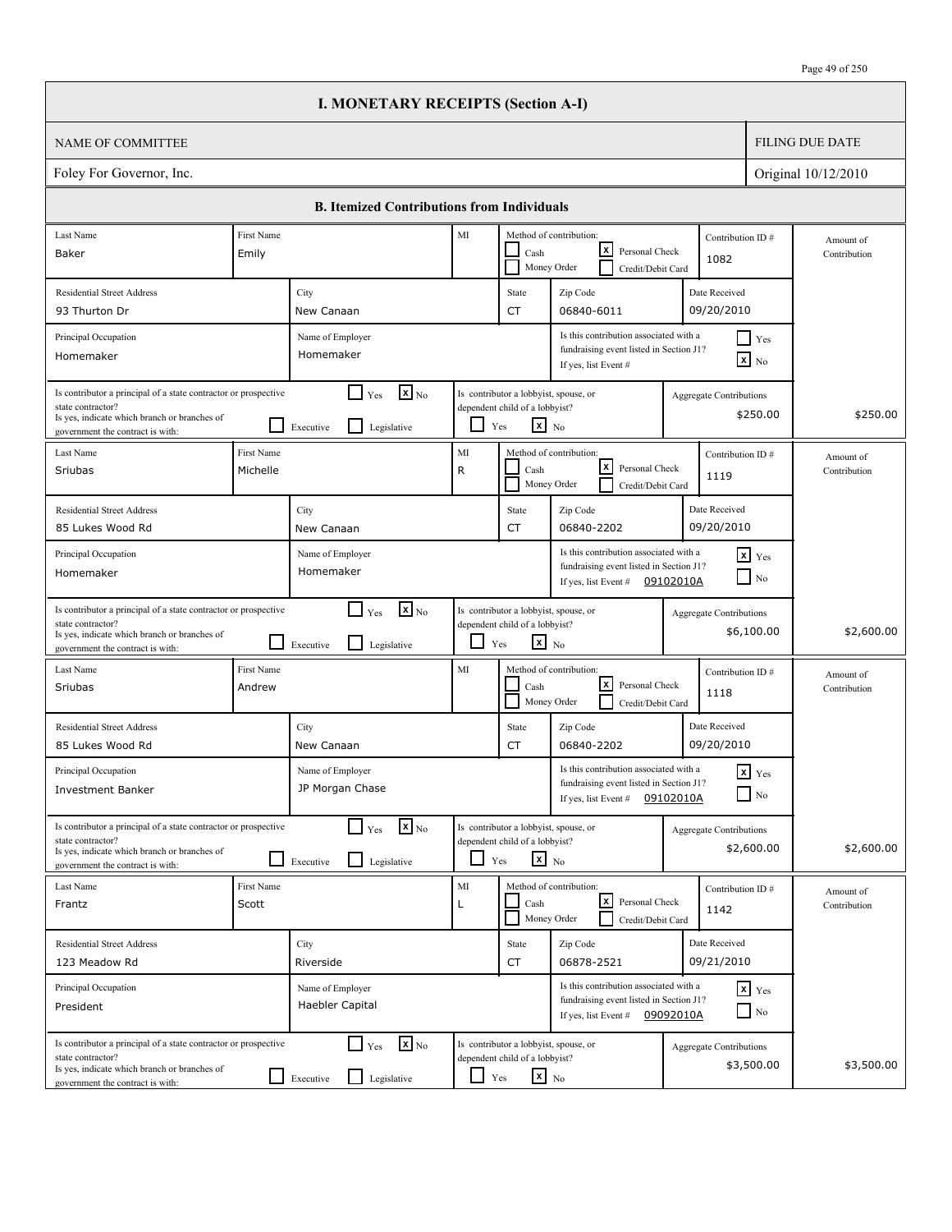|                                                                                                                                                                          |                        | <b>I. MONETARY RECEIPTS (Section A-I)</b>                                                     |                          |                                                                                                   |                                                                                                             |           |                                              |                        |                           |
|--------------------------------------------------------------------------------------------------------------------------------------------------------------------------|------------------------|-----------------------------------------------------------------------------------------------|--------------------------|---------------------------------------------------------------------------------------------------|-------------------------------------------------------------------------------------------------------------|-----------|----------------------------------------------|------------------------|---------------------------|
| <b>NAME OF COMMITTEE</b>                                                                                                                                                 |                        |                                                                                               |                          |                                                                                                   |                                                                                                             |           |                                              | <b>FILING DUE DATE</b> |                           |
| Foley For Governor, Inc.                                                                                                                                                 |                        |                                                                                               |                          |                                                                                                   |                                                                                                             |           |                                              |                        | Original 10/12/2010       |
|                                                                                                                                                                          |                        | <b>B. Itemized Contributions from Individuals</b>                                             |                          |                                                                                                   |                                                                                                             |           |                                              |                        |                           |
| Last Name                                                                                                                                                                | First Name             |                                                                                               | MI                       |                                                                                                   | Method of contribution:                                                                                     |           | Contribution ID#                             |                        | Amount of                 |
| Baker                                                                                                                                                                    | Emily                  |                                                                                               |                          | Cash                                                                                              | x <br>Personal Check<br>Money Order<br>Credit/Debit Card                                                    |           | 1082                                         |                        | Contribution              |
| <b>Residential Street Address</b>                                                                                                                                        |                        | City                                                                                          |                          | State                                                                                             | Zip Code                                                                                                    |           | Date Received                                |                        |                           |
| 93 Thurton Dr                                                                                                                                                            |                        | New Canaan                                                                                    |                          | CT                                                                                                | 06840-6011                                                                                                  |           | 09/20/2010                                   |                        |                           |
| Principal Occupation<br>Homemaker                                                                                                                                        |                        | Name of Employer<br>Homemaker                                                                 |                          |                                                                                                   | Is this contribution associated with a<br>fundraising event listed in Section J1?<br>If yes, list Event #   |           | $\Box$ Yes<br>$\mathbf{x}$ No                |                        |                           |
| Is contributor a principal of a state contractor or prospective<br>state contractor?<br>Is yes, indicate which branch or branches of<br>government the contract is with: |                        | $\mathbf{X}_{\text{No}}$<br>$\blacksquare$<br>Yes<br>$\mathsf{L}$<br>Legislative<br>Executive |                          | Is contributor a lobbyist, spouse, or<br>dependent child of a lobbyist?<br>$x_{N0}$<br>Yes        |                                                                                                             |           | <b>Aggregate Contributions</b><br>\$250.00   |                        | \$250.00                  |
| Last Name<br>Sriubas                                                                                                                                                     | First Name<br>Michelle |                                                                                               | MI<br>R                  | Cash<br>Money Order                                                                               | Method of contribution:<br> x <br>Personal Check<br>Credit/Debit Card                                       |           | Contribution ID#<br>1119                     |                        | Amount of<br>Contribution |
| <b>Residential Street Address</b>                                                                                                                                        |                        | City                                                                                          |                          | State                                                                                             | Zip Code                                                                                                    |           | Date Received                                |                        |                           |
| 85 Lukes Wood Rd                                                                                                                                                         |                        | New Canaan                                                                                    |                          | CT                                                                                                | 06840-2202                                                                                                  |           | 09/20/2010                                   |                        |                           |
| Principal Occupation<br>Homemaker                                                                                                                                        |                        | Name of Employer<br>Homemaker                                                                 |                          |                                                                                                   | Is this contribution associated with a<br>fundraising event listed in Section J1?<br>If yes, list Event #   | 09102010A | $\mathbf{x}$ Yes<br>$\Box$ No                |                        |                           |
| Is contributor a principal of a state contractor or prospective<br>state contractor?<br>Is yes, indicate which branch or branches of<br>government the contract is with: |                        | $\mathbf{x}$ <sub>No</sub><br>$\mathsf{L}$<br>Yes<br>l 1<br>Legislative<br>Executive          | $\overline{\phantom{0}}$ | Is contributor a lobbyist, spouse, or<br>dependent child of a lobbyist?<br>$\mathbf{x}$ No<br>Yes |                                                                                                             |           | <b>Aggregate Contributions</b><br>\$6,100.00 |                        | \$2,600.00                |
| Last Name<br>Sriubas                                                                                                                                                     | First Name<br>Andrew   |                                                                                               | MI                       | Cash                                                                                              | Method of contribution:<br>lx l<br>Personal Check<br>Money Order<br>Credit/Debit Card                       |           | Contribution ID#<br>1118                     |                        | Amount of<br>Contribution |
| <b>Residential Street Address</b><br>85 Lukes Wood Rd                                                                                                                    |                        | City<br>New Canaan                                                                            |                          | State<br>CT                                                                                       | Zip Code<br>06840-2202                                                                                      |           | Date Received<br>09/20/2010                  |                        |                           |
| Principal Occupation<br>Investment Banker                                                                                                                                |                        | Name of Employer<br>JP Morgan Chase                                                           |                          |                                                                                                   | Is this contribution associated with a<br>fundraising event listed in Section J1?<br>If yes, list Event $#$ | 09102010A | $x$ $Yes$<br>$\Box$ No                       |                        |                           |
| Is contributor a principal of a state contractor or prospective<br>state contractor?<br>Is yes, indicate which branch or branches of<br>government the contract is with: |                        | $\mathbf{X}_{\text{No}}$<br>$\Box$ Yes<br>Legislative<br>Executive                            | $\Box$                   | Is contributor a lobbyist, spouse, or<br>dependent child of a lobbyist?<br>$x_{N0}$<br>Yes        |                                                                                                             |           | <b>Aggregate Contributions</b><br>\$2,600.00 |                        | \$2,600.00                |
| Last Name<br>Frantz                                                                                                                                                      | First Name<br>Scott    |                                                                                               | MI<br>L                  | Cash                                                                                              | Method of contribution:<br>كا<br>Personal Check<br>Money Order<br>Credit/Debit Card                         |           | Contribution ID#<br>1142                     |                        | Amount of<br>Contribution |
| <b>Residential Street Address</b>                                                                                                                                        |                        | City                                                                                          |                          | State                                                                                             | Zip Code                                                                                                    |           | Date Received                                |                        |                           |
| 123 Meadow Rd                                                                                                                                                            |                        | Riverside                                                                                     |                          | CT                                                                                                | 06878-2521                                                                                                  |           | 09/21/2010                                   |                        |                           |
| Principal Occupation<br>President                                                                                                                                        |                        | Name of Employer<br>Haebler Capital                                                           |                          |                                                                                                   | Is this contribution associated with a<br>fundraising event listed in Section J1?<br>If yes, list Event #   | 09092010A | $x$ $y$ <sub>es</sub><br>$\Box$ No           |                        |                           |
| Is contributor a principal of a state contractor or prospective<br>state contractor?<br>Is yes, indicate which branch or branches of<br>government the contract is with: |                        | $\Box$ Yes<br>$\mathbf{x}$ <sub>No</sub><br>Legislative<br>Executive                          | ப                        | Is contributor a lobbyist, spouse, or<br>dependent child of a lobbyist?<br>$\mathbf{x}$ No<br>Yes |                                                                                                             |           | <b>Aggregate Contributions</b><br>\$3,500.00 |                        | \$3,500.00                |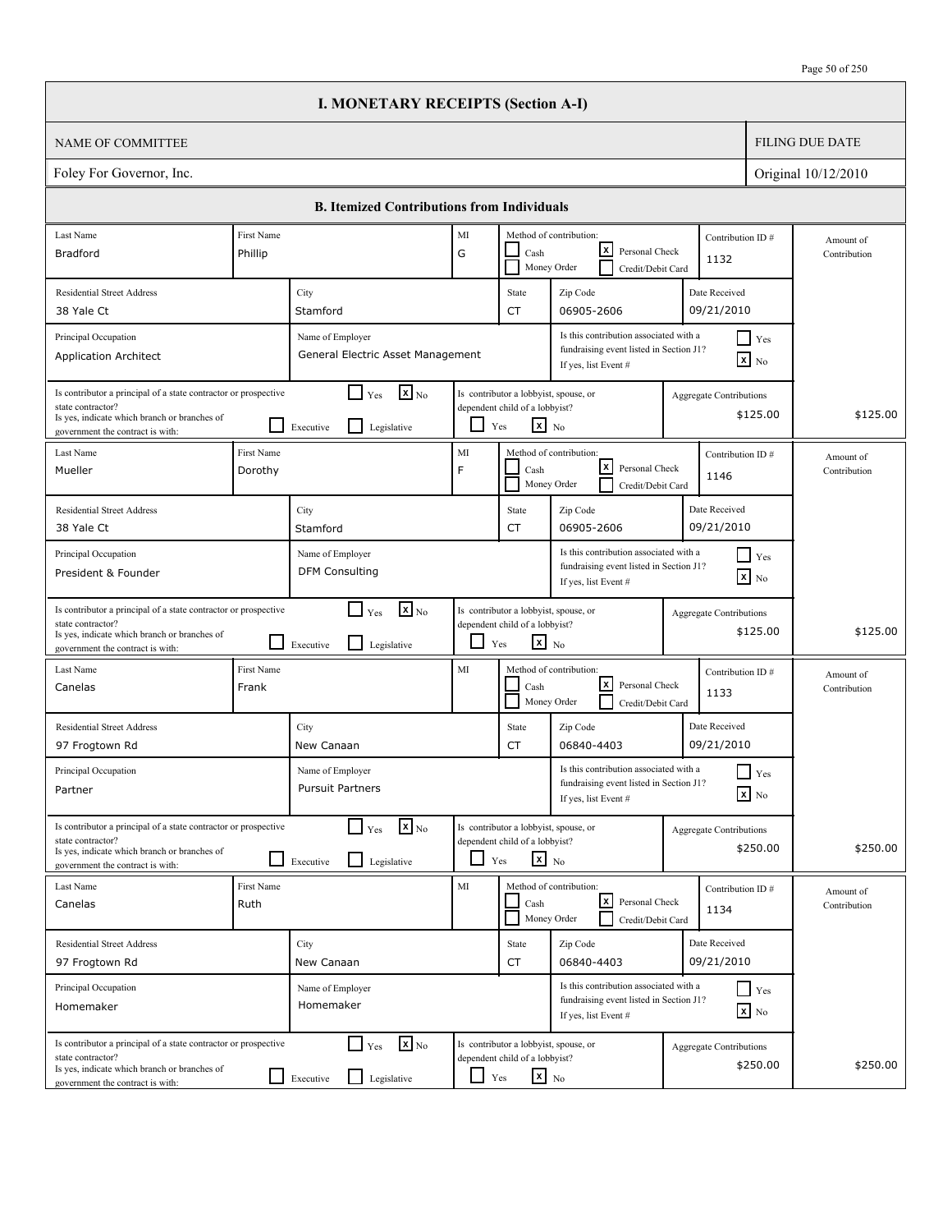|                                                                                                                                                                          |                       | <b>I. MONETARY RECEIPTS (Section A-I)</b>                                   |            |                                                                                                   |                                                                                                           |                                |                                               |                           |
|--------------------------------------------------------------------------------------------------------------------------------------------------------------------------|-----------------------|-----------------------------------------------------------------------------|------------|---------------------------------------------------------------------------------------------------|-----------------------------------------------------------------------------------------------------------|--------------------------------|-----------------------------------------------|---------------------------|
| <b>NAME OF COMMITTEE</b>                                                                                                                                                 |                       |                                                                             |            |                                                                                                   |                                                                                                           |                                |                                               | <b>FILING DUE DATE</b>    |
| Foley For Governor, Inc.                                                                                                                                                 |                       |                                                                             |            |                                                                                                   |                                                                                                           |                                |                                               | Original 10/12/2010       |
|                                                                                                                                                                          |                       | <b>B. Itemized Contributions from Individuals</b>                           |            |                                                                                                   |                                                                                                           |                                |                                               |                           |
| Last Name                                                                                                                                                                | First Name            |                                                                             | MI         |                                                                                                   | Method of contribution:                                                                                   | Contribution ID#               |                                               | Amount of                 |
| <b>Bradford</b>                                                                                                                                                          | Phillip               |                                                                             | G          | Cash                                                                                              | lxI<br>Personal Check<br>Money Order<br>Credit/Debit Card                                                 | 1132                           |                                               | Contribution              |
| <b>Residential Street Address</b>                                                                                                                                        |                       | City                                                                        |            | State                                                                                             | Zip Code                                                                                                  | Date Received                  |                                               |                           |
| 38 Yale Ct                                                                                                                                                               |                       | Stamford                                                                    |            | <b>CT</b>                                                                                         | 06905-2606                                                                                                | 09/21/2010                     |                                               |                           |
| Principal Occupation<br><b>Application Architect</b>                                                                                                                     |                       | Name of Employer<br>General Electric Asset Management                       |            |                                                                                                   | Is this contribution associated with a<br>fundraising event listed in Section J1?<br>If yes, list Event # |                                | $\blacksquare$ Yes<br>$\boxed{\mathbf{x}}$ No |                           |
| Is contributor a principal of a state contractor or prospective<br>state contractor?<br>Is yes, indicate which branch or branches of<br>government the contract is with: |                       | $\mathbf{X}$ <sub>No</sub><br>$\Box$ Yes<br>l I<br>Executive<br>Legislative | ப          | Is contributor a lobbyist, spouse, or<br>dependent child of a lobbyist?<br>$\mathbf{x}$ No<br>Yes |                                                                                                           | Aggregate Contributions        | \$125.00                                      | \$125.00                  |
| Last Name<br>Mueller                                                                                                                                                     | First Name<br>Dorothy |                                                                             | MI<br>F    | Cash                                                                                              | Method of contribution:<br>lxI<br>Personal Check<br>Money Order<br>Credit/Debit Card                      | Contribution ID#<br>1146       |                                               | Amount of<br>Contribution |
| <b>Residential Street Address</b><br>38 Yale Ct                                                                                                                          |                       | City<br>Stamford                                                            |            | State<br><b>CT</b>                                                                                | Zip Code<br>06905-2606                                                                                    | Date Received<br>09/21/2010    |                                               |                           |
| Principal Occupation<br>President & Founder                                                                                                                              |                       | Name of Employer<br><b>DFM Consulting</b>                                   |            |                                                                                                   | Is this contribution associated with a<br>fundraising event listed in Section J1?<br>If yes, list Event # |                                | $\blacksquare$ Yes<br>$\mathbf{x}$ No         |                           |
| Is contributor a principal of a state contractor or prospective<br>state contractor?<br>Is yes, indicate which branch or branches of<br>government the contract is with: |                       | $\mathbf{X}$ <sub>No</sub><br>$\Box$ Yes<br>l 1<br>Legislative<br>Executive | ப          | Is contributor a lobbyist, spouse, or<br>dependent child of a lobbyist?<br>$\mathbf{x}$ No<br>Yes |                                                                                                           | <b>Aggregate Contributions</b> | \$125.00                                      | \$125.00                  |
| Last Name<br>Canelas                                                                                                                                                     | First Name<br>Frank   |                                                                             | MI         | Cash                                                                                              | Method of contribution:<br>lxl<br>Personal Check<br>Money Order<br>Credit/Debit Card                      | Contribution ID#<br>1133       |                                               | Amount of<br>Contribution |
| <b>Residential Street Address</b><br>97 Frogtown Rd                                                                                                                      |                       | City<br>New Canaan                                                          |            | State<br>CT                                                                                       | Zip Code<br>06840-4403                                                                                    | Date Received<br>09/21/2010    |                                               |                           |
| Principal Occupation<br>Partner                                                                                                                                          |                       | Name of Employer<br><b>Pursuit Partners</b>                                 |            |                                                                                                   | Is this contribution associated with a<br>fundraising event listed in Section J1?<br>If yes, list Event # |                                | $\prod$ Yes<br>$\boxed{\mathbf{x}}$ No        |                           |
| Is contributor a principal of a state contractor or prospective<br>state contractor?<br>Is yes, indicate which branch or branches of<br>government the contract is with: |                       | $\mathbf{x}$ <sub>No</sub><br>$\Gamma$ Yes<br>U<br>Legislative<br>Executive |            | Is contributor a lobbyist, spouse, or<br>dependent child of a lobbyist?<br>$\mathbf{x}$ No<br>Yes |                                                                                                           | <b>Aggregate Contributions</b> | \$250.00                                      | \$250.00                  |
| Last Name<br>Canelas                                                                                                                                                     | First Name<br>Ruth    |                                                                             | MI         | Cash                                                                                              | Method of contribution:<br>l×l<br>Personal Check<br>Money Order<br>Credit/Debit Card                      | Contribution ID#<br>1134       |                                               | Amount of<br>Contribution |
| <b>Residential Street Address</b><br>97 Frogtown Rd                                                                                                                      |                       | City<br>New Canaan                                                          |            | State<br>CT                                                                                       | Zip Code<br>06840-4403                                                                                    | Date Received<br>09/21/2010    |                                               |                           |
| Principal Occupation<br>Homemaker                                                                                                                                        |                       | Name of Employer<br>Homemaker                                               |            |                                                                                                   | Is this contribution associated with a<br>fundraising event listed in Section J1?<br>If yes, list Event # |                                | $Y$ es<br>$\boxed{\mathbf{x}}$ No             |                           |
| Is contributor a principal of a state contractor or prospective<br>state contractor?<br>Is yes, indicate which branch or branches of<br>government the contract is with: |                       | $\mathbf{x}$ <sub>No</sub><br>$\Box$ Yes<br>Legislative<br>$\Box$ Executive | $\Box$ Yes | Is contributor a lobbyist, spouse, or<br>dependent child of a lobbyist?<br>$\mathbf{x}$ No        |                                                                                                           | <b>Aggregate Contributions</b> | \$250.00                                      | \$250.00                  |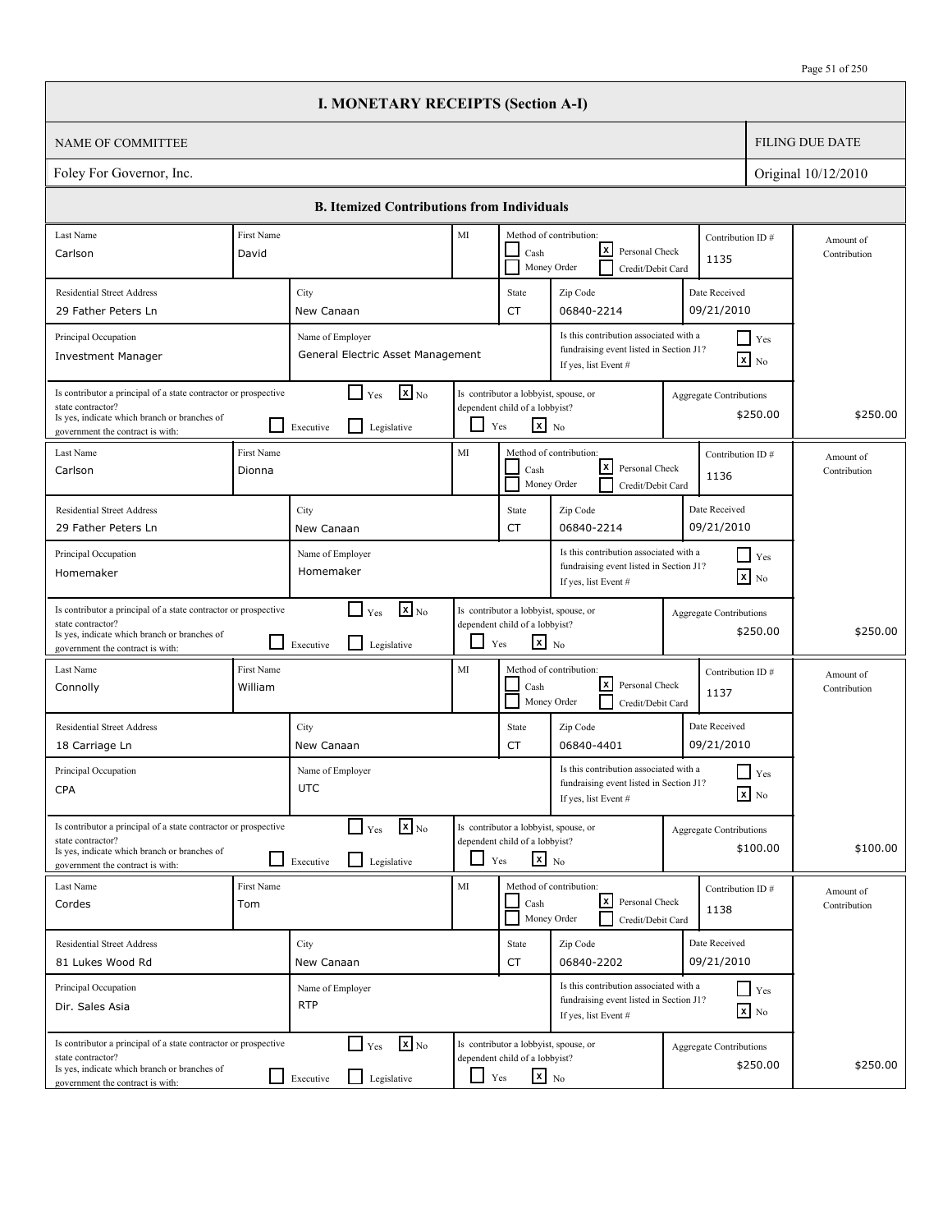|                                                                                                                                                                          |                       | <b>I. MONETARY RECEIPTS (Section A-I)</b>                                        |            |                                                                                                   |                                                                                                           |                                |                                               |                           |
|--------------------------------------------------------------------------------------------------------------------------------------------------------------------------|-----------------------|----------------------------------------------------------------------------------|------------|---------------------------------------------------------------------------------------------------|-----------------------------------------------------------------------------------------------------------|--------------------------------|-----------------------------------------------|---------------------------|
| <b>NAME OF COMMITTEE</b>                                                                                                                                                 |                       |                                                                                  |            |                                                                                                   |                                                                                                           |                                |                                               | <b>FILING DUE DATE</b>    |
| Foley For Governor, Inc.                                                                                                                                                 |                       |                                                                                  |            |                                                                                                   |                                                                                                           |                                |                                               | Original 10/12/2010       |
|                                                                                                                                                                          |                       | <b>B. Itemized Contributions from Individuals</b>                                |            |                                                                                                   |                                                                                                           |                                |                                               |                           |
| Last Name                                                                                                                                                                | First Name            |                                                                                  | MI         |                                                                                                   | Method of contribution:                                                                                   | Contribution ID#               |                                               | Amount of                 |
| Carlson                                                                                                                                                                  | David                 |                                                                                  |            | Cash                                                                                              | lxI<br>Personal Check<br>Money Order<br>Credit/Debit Card                                                 | 1135                           |                                               | Contribution              |
| <b>Residential Street Address</b>                                                                                                                                        |                       | City                                                                             |            | State                                                                                             | Zip Code                                                                                                  | Date Received                  |                                               |                           |
| 29 Father Peters Ln                                                                                                                                                      |                       | New Canaan                                                                       |            | <b>CT</b>                                                                                         | 06840-2214                                                                                                | 09/21/2010                     |                                               |                           |
| Principal Occupation<br><b>Investment Manager</b>                                                                                                                        |                       | Name of Employer<br>General Electric Asset Management                            |            |                                                                                                   | Is this contribution associated with a<br>fundraising event listed in Section J1?<br>If yes, list Event # |                                | $\blacksquare$ Yes<br>$\boxed{\mathbf{x}}$ No |                           |
| Is contributor a principal of a state contractor or prospective<br>state contractor?<br>Is yes, indicate which branch or branches of<br>government the contract is with: |                       | $\mathbf{x}$ <sub>No</sub><br>$\Box$ Yes<br>Legislative<br>Executive             | ப          | Is contributor a lobbyist, spouse, or<br>dependent child of a lobbyist?<br>$\mathbf{x}$ No<br>Yes |                                                                                                           | Aggregate Contributions        | \$250.00                                      | \$250.00                  |
| Last Name<br>Carlson                                                                                                                                                     | First Name<br>Dionna  |                                                                                  | MI         | Cash                                                                                              | Method of contribution:<br>lxI<br>Personal Check<br>Money Order<br>Credit/Debit Card                      | Contribution ID#<br>1136       |                                               | Amount of<br>Contribution |
| <b>Residential Street Address</b><br>29 Father Peters Ln                                                                                                                 |                       | City<br>New Canaan                                                               |            | State<br><b>CT</b>                                                                                | Zip Code<br>06840-2214                                                                                    | Date Received<br>09/21/2010    |                                               |                           |
| Principal Occupation<br>Homemaker                                                                                                                                        |                       | Name of Employer<br>Homemaker                                                    |            |                                                                                                   | Is this contribution associated with a<br>fundraising event listed in Section J1?<br>If yes, list Event # |                                | $\blacksquare$ Yes<br>$\mathbf{x}$ No         |                           |
| Is contributor a principal of a state contractor or prospective<br>state contractor?<br>Is yes, indicate which branch or branches of<br>government the contract is with: |                       | $\mathbf{X}$ <sub>No</sub><br>$\Box$ Yes<br>l 1<br>Legislative<br>Executive      | ப          | Is contributor a lobbyist, spouse, or<br>dependent child of a lobbyist?<br>$\mathbf{x}$ No<br>Yes |                                                                                                           | <b>Aggregate Contributions</b> | \$250.00                                      | \$250.00                  |
| Last Name<br>Connolly                                                                                                                                                    | First Name<br>William |                                                                                  | MI         | Cash                                                                                              | Method of contribution:<br>lxl<br>Personal Check<br>Money Order<br>Credit/Debit Card                      | Contribution ID#<br>1137       |                                               | Amount of<br>Contribution |
| <b>Residential Street Address</b><br>18 Carriage Ln                                                                                                                      |                       | City<br>New Canaan                                                               |            | State<br>CT                                                                                       | Zip Code<br>06840-4401                                                                                    | Date Received<br>09/21/2010    |                                               |                           |
| Principal Occupation<br><b>CPA</b>                                                                                                                                       |                       | Name of Employer<br><b>UTC</b>                                                   |            |                                                                                                   | Is this contribution associated with a<br>fundraising event listed in Section J1?<br>If yes, list Event # |                                | $\prod$ Yes<br>$\boxed{\mathbf{x}}$ No        |                           |
| Is contributor a principal of a state contractor or prospective<br>state contractor?<br>Is yes, indicate which branch or branches of<br>government the contract is with: |                       | $\mathbf{x}$ <sub>No</sub><br>$\Gamma$ Yes<br>$\Box$<br>Legislative<br>Executive |            | Is contributor a lobbyist, spouse, or<br>dependent child of a lobbyist?<br>$x_{N0}$<br>Yes        |                                                                                                           | <b>Aggregate Contributions</b> | \$100.00                                      | \$100.00                  |
| Last Name<br>Cordes                                                                                                                                                      | First Name<br>Tom     |                                                                                  | MI         | Cash                                                                                              | Method of contribution:<br>l×l<br>Personal Check<br>Money Order<br>Credit/Debit Card                      | Contribution ID#<br>1138       |                                               | Amount of<br>Contribution |
| <b>Residential Street Address</b><br>81 Lukes Wood Rd                                                                                                                    |                       | City<br>New Canaan                                                               |            | State<br>CT                                                                                       | Zip Code<br>06840-2202                                                                                    | Date Received<br>09/21/2010    |                                               |                           |
| Principal Occupation<br>Dir. Sales Asia                                                                                                                                  |                       | Name of Employer<br><b>RTP</b>                                                   |            |                                                                                                   | Is this contribution associated with a<br>fundraising event listed in Section J1?<br>If yes, list Event # |                                | Yes<br>$\boxed{\mathbf{x}}$ No                |                           |
| Is contributor a principal of a state contractor or prospective<br>state contractor?<br>Is yes, indicate which branch or branches of<br>government the contract is with: |                       | $\mathbf{x}$ <sub>No</sub><br>$\Box$ Yes<br>Legislative<br>$\Box$ Executive      | $\Box$ Yes | Is contributor a lobbyist, spouse, or<br>dependent child of a lobbyist?<br>$\mathbf{x}$ No        |                                                                                                           | <b>Aggregate Contributions</b> | \$250.00                                      | \$250.00                  |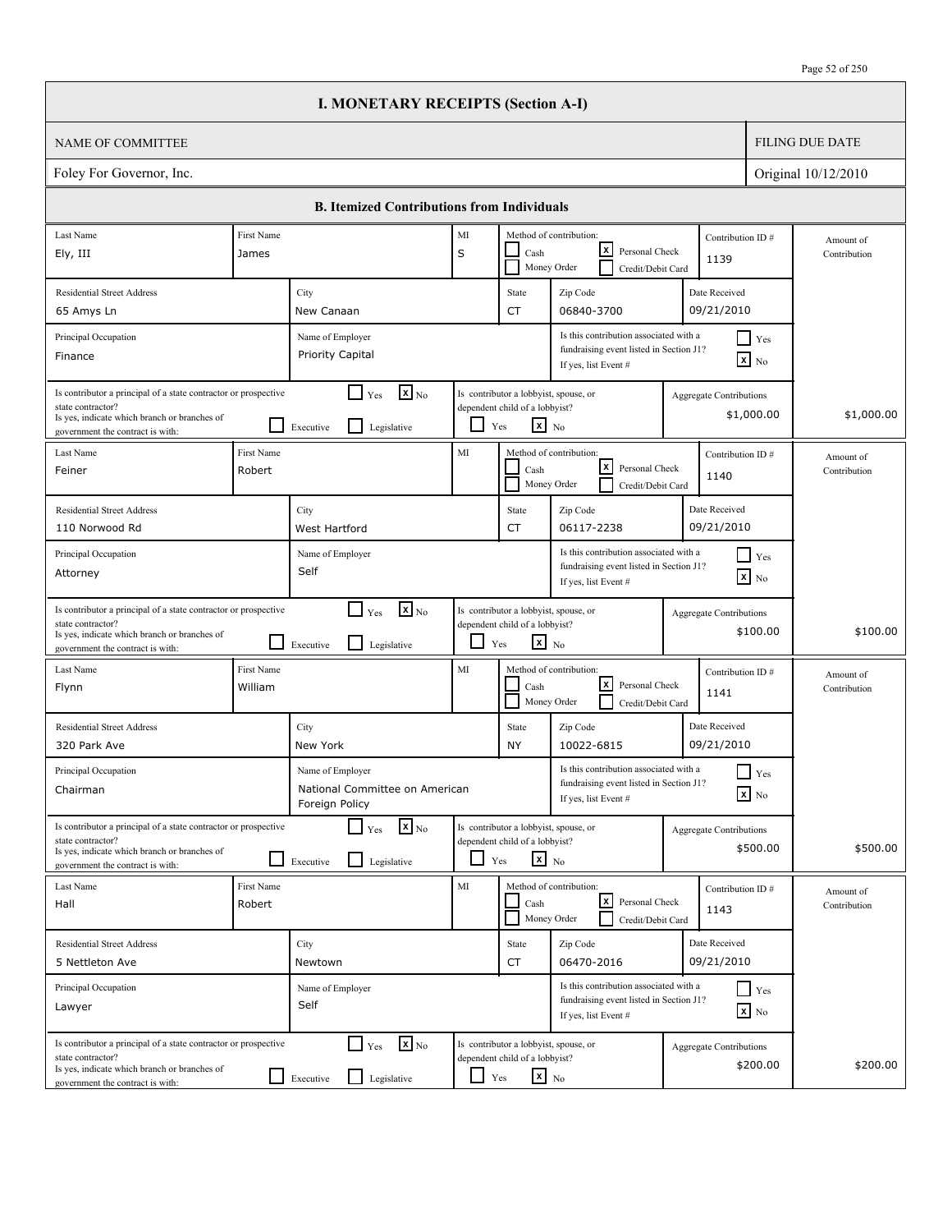|                                                                                                                                                                          |                       | <b>I. MONETARY RECEIPTS (Section A-I)</b>                                            |                          |                                                                                                   |                                                                                                           |                                              |                           |
|--------------------------------------------------------------------------------------------------------------------------------------------------------------------------|-----------------------|--------------------------------------------------------------------------------------|--------------------------|---------------------------------------------------------------------------------------------------|-----------------------------------------------------------------------------------------------------------|----------------------------------------------|---------------------------|
| <b>NAME OF COMMITTEE</b>                                                                                                                                                 |                       |                                                                                      |                          |                                                                                                   |                                                                                                           |                                              | <b>FILING DUE DATE</b>    |
| Foley For Governor, Inc.                                                                                                                                                 |                       |                                                                                      |                          |                                                                                                   |                                                                                                           |                                              | Original 10/12/2010       |
|                                                                                                                                                                          |                       | <b>B. Itemized Contributions from Individuals</b>                                    |                          |                                                                                                   |                                                                                                           |                                              |                           |
| Last Name                                                                                                                                                                | First Name            |                                                                                      | MI                       |                                                                                                   | Method of contribution:                                                                                   | Contribution ID#                             |                           |
| Ely, III                                                                                                                                                                 | James                 |                                                                                      | S                        | Cash<br>Money Order                                                                               | x <br>Personal Check<br>Credit/Debit Card                                                                 | 1139                                         | Amount of<br>Contribution |
| <b>Residential Street Address</b>                                                                                                                                        |                       | City                                                                                 |                          | State                                                                                             | Zip Code                                                                                                  | Date Received                                |                           |
| 65 Amys Ln                                                                                                                                                               |                       | New Canaan                                                                           |                          | CT                                                                                                | 06840-3700                                                                                                | 09/21/2010                                   |                           |
| Principal Occupation<br>Finance                                                                                                                                          |                       | Name of Employer<br>Priority Capital                                                 |                          |                                                                                                   | Is this contribution associated with a<br>fundraising event listed in Section J1?<br>If yes, list Event # | $\blacksquare$ Yes<br>$\mathbf{x}$ No        |                           |
| Is contributor a principal of a state contractor or prospective<br>state contractor?<br>Is yes, indicate which branch or branches of<br>government the contract is with: |                       | $\mathbf{X}_{\text{No}}$<br>$\Box$ Yes<br>l 1<br>Legislative<br>Executive            |                          | Is contributor a lobbyist, spouse, or<br>dependent child of a lobbyist?<br>$x_{N0}$<br>Yes        |                                                                                                           | <b>Aggregate Contributions</b><br>\$1,000.00 | \$1,000.00                |
| Last Name<br>Feiner                                                                                                                                                      | First Name<br>Robert  |                                                                                      | MI                       | Cash<br>Money Order                                                                               | Method of contribution:<br>$\lfloor x \rfloor$<br>Personal Check<br>Credit/Debit Card                     | Contribution ID#<br>1140                     | Amount of<br>Contribution |
| <b>Residential Street Address</b>                                                                                                                                        |                       | City                                                                                 |                          | State                                                                                             | Zip Code                                                                                                  | Date Received                                |                           |
| 110 Norwood Rd                                                                                                                                                           |                       | West Hartford                                                                        |                          | CT                                                                                                | 06117-2238                                                                                                | 09/21/2010                                   |                           |
| Principal Occupation<br>Attorney                                                                                                                                         |                       | Name of Employer<br>Self                                                             |                          |                                                                                                   | Is this contribution associated with a<br>fundraising event listed in Section J1?<br>If yes, list Event # | $\Box$ Yes<br>$\boxed{\mathbf{x}}$ No        |                           |
| Is contributor a principal of a state contractor or prospective<br>state contractor?<br>Is yes, indicate which branch or branches of<br>government the contract is with: |                       | $\mathbf{x}$ <sub>No</sub><br>$\Box$ Yes<br>$\mathsf{L}$<br>Legislative<br>Executive | $\overline{\phantom{0}}$ | Is contributor a lobbyist, spouse, or<br>dependent child of a lobbyist?<br>$\mathbf{x}$ No<br>Yes |                                                                                                           | <b>Aggregate Contributions</b><br>\$100.00   | \$100.00                  |
| Last Name<br>Flynn                                                                                                                                                       | First Name<br>William |                                                                                      | MI                       | Cash<br>Money Order                                                                               | Method of contribution:<br> x <br>Personal Check<br>Credit/Debit Card                                     | Contribution ID#<br>1141                     | Amount of<br>Contribution |
| <b>Residential Street Address</b><br>320 Park Ave                                                                                                                        |                       | City<br>New York                                                                     |                          | State<br>NY                                                                                       | Zip Code<br>10022-6815                                                                                    | Date Received<br>09/21/2010                  |                           |
| Principal Occupation<br>Chairman                                                                                                                                         |                       | Name of Employer<br>National Committee on American<br>Foreign Policy                 |                          |                                                                                                   | Is this contribution associated with a<br>fundraising event listed in Section J1?<br>If yes, list Event # | $\blacksquare$ Yes<br>$\mathbf{X}$ No        |                           |
| Is contributor a principal of a state contractor or prospective<br>state contractor?<br>Is yes, indicate which branch or branches of<br>government the contract is with: |                       | $\mathbf{X}_{\text{No}}$<br>$\Box$ Yes<br>Legislative<br>Executive                   | $\Box$                   | Is contributor a lobbyist, spouse, or<br>dependent child of a lobbyist?<br>$x_{N0}$<br>Yes        |                                                                                                           | <b>Aggregate Contributions</b><br>\$500.00   | \$500.00                  |
| Last Name<br>Hall                                                                                                                                                        | First Name<br>Robert  |                                                                                      | MI                       | Cash<br>Money Order                                                                               | Method of contribution:<br>Lx<br>Personal Check<br>Credit/Debit Card                                      | Contribution ID#<br>1143                     | Amount of<br>Contribution |
| <b>Residential Street Address</b>                                                                                                                                        |                       | City                                                                                 |                          | State                                                                                             | Zip Code                                                                                                  | Date Received                                |                           |
| 5 Nettleton Ave                                                                                                                                                          |                       | Newtown                                                                              |                          | CT                                                                                                | 06470-2016                                                                                                | 09/21/2010                                   |                           |
| Principal Occupation<br>Lawyer                                                                                                                                           |                       | Name of Employer<br>Self                                                             |                          |                                                                                                   | Is this contribution associated with a<br>fundraising event listed in Section J1?<br>If yes, list Event # | $\Box$ Yes<br>$\mathbf{x}$ No                |                           |
| Is contributor a principal of a state contractor or prospective<br>state contractor?<br>Is yes, indicate which branch or branches of<br>government the contract is with: |                       | $\mathbf{x}$ <sub>No</sub><br>$\Box$ Yes<br>Legislative<br>Executive                 | ப                        | Is contributor a lobbyist, spouse, or<br>dependent child of a lobbyist?<br>$\mathbf{x}$ No<br>Yes |                                                                                                           | <b>Aggregate Contributions</b><br>\$200.00   | \$200.00                  |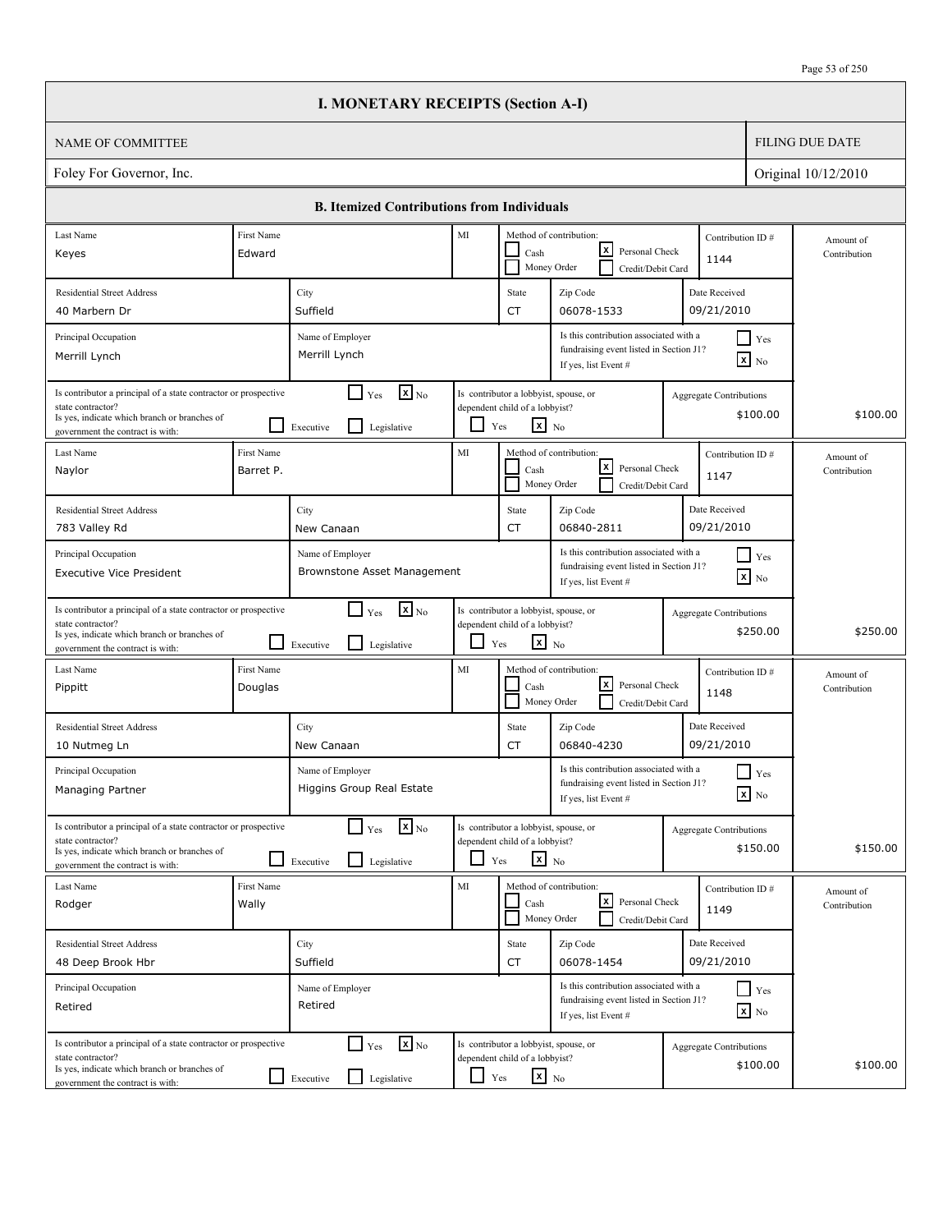|                                                                                                                                                                          |                         | <b>I. MONETARY RECEIPTS (Section A-I)</b>                                            |            |                                                                                                   |                                                                                                           |                                |                                               |                           |
|--------------------------------------------------------------------------------------------------------------------------------------------------------------------------|-------------------------|--------------------------------------------------------------------------------------|------------|---------------------------------------------------------------------------------------------------|-----------------------------------------------------------------------------------------------------------|--------------------------------|-----------------------------------------------|---------------------------|
| <b>NAME OF COMMITTEE</b>                                                                                                                                                 |                         |                                                                                      |            |                                                                                                   |                                                                                                           |                                |                                               | <b>FILING DUE DATE</b>    |
| Foley For Governor, Inc.                                                                                                                                                 |                         |                                                                                      |            |                                                                                                   |                                                                                                           |                                |                                               | Original 10/12/2010       |
|                                                                                                                                                                          |                         | <b>B. Itemized Contributions from Individuals</b>                                    |            |                                                                                                   |                                                                                                           |                                |                                               |                           |
| Last Name<br>Keyes                                                                                                                                                       | First Name<br>Edward    |                                                                                      | MI         | Cash                                                                                              | Method of contribution:<br>lxI<br>Personal Check                                                          | Contribution ID#<br>1144       |                                               | Amount of<br>Contribution |
| <b>Residential Street Address</b>                                                                                                                                        |                         | City                                                                                 |            | State                                                                                             | Money Order<br>Credit/Debit Card<br>Zip Code                                                              | Date Received                  |                                               |                           |
| 40 Marbern Dr                                                                                                                                                            |                         | Suffield                                                                             |            | <b>CT</b>                                                                                         | 06078-1533                                                                                                | 09/21/2010                     |                                               |                           |
| Principal Occupation<br>Merrill Lynch                                                                                                                                    |                         | Name of Employer<br>Merrill Lynch                                                    |            |                                                                                                   | Is this contribution associated with a<br>fundraising event listed in Section J1?<br>If yes, list Event # |                                | $\blacksquare$ Yes<br>$\boxed{\mathbf{x}}$ No |                           |
| Is contributor a principal of a state contractor or prospective<br>state contractor?<br>Is yes, indicate which branch or branches of<br>government the contract is with: |                         | $\mathbf{X}$ <sub>No</sub><br>$\Box$ Yes<br>$\mathsf{L}$<br>Executive<br>Legislative | ப          | Is contributor a lobbyist, spouse, or<br>dependent child of a lobbyist?<br>$\mathbf{x}$ No<br>Yes |                                                                                                           | Aggregate Contributions        | \$100.00                                      | \$100.00                  |
| Last Name<br>Naylor                                                                                                                                                      | First Name<br>Barret P. |                                                                                      | MI         | Cash                                                                                              | Method of contribution:<br>lxI<br>Personal Check<br>Money Order<br>Credit/Debit Card                      | Contribution ID#<br>1147       |                                               | Amount of<br>Contribution |
| <b>Residential Street Address</b><br>783 Valley Rd                                                                                                                       |                         | City<br>New Canaan                                                                   |            | State<br><b>CT</b>                                                                                | Zip Code<br>06840-2811                                                                                    | Date Received<br>09/21/2010    |                                               |                           |
| Principal Occupation<br><b>Executive Vice President</b>                                                                                                                  |                         | Name of Employer<br>Brownstone Asset Management                                      |            |                                                                                                   | Is this contribution associated with a<br>fundraising event listed in Section J1?<br>If yes, list Event # |                                | $\blacksquare$ Yes<br>$\mathbf{x}$ No         |                           |
| Is contributor a principal of a state contractor or prospective<br>state contractor?<br>Is yes, indicate which branch or branches of<br>government the contract is with: |                         | $\mathbf{X}$ <sub>No</sub><br>$\Box$ Yes<br>l 1<br>Legislative<br>Executive          | ப          | Is contributor a lobbyist, spouse, or<br>dependent child of a lobbyist?<br>$\mathbf{x}$ No<br>Yes |                                                                                                           | <b>Aggregate Contributions</b> | \$250.00                                      | \$250.00                  |
| Last Name<br>Pippitt                                                                                                                                                     | First Name<br>Douglas   |                                                                                      | MI         | Cash                                                                                              | Method of contribution:<br>lxl<br>Personal Check<br>Money Order<br>Credit/Debit Card                      | Contribution ID#<br>1148       |                                               | Amount of<br>Contribution |
| <b>Residential Street Address</b><br>10 Nutmeg Ln                                                                                                                        |                         | City<br>New Canaan                                                                   |            | State<br>CT                                                                                       | Zip Code<br>06840-4230                                                                                    | Date Received<br>09/21/2010    |                                               |                           |
| Principal Occupation<br>Managing Partner                                                                                                                                 |                         | Name of Employer<br>Higgins Group Real Estate                                        |            |                                                                                                   | Is this contribution associated with a<br>fundraising event listed in Section J1?<br>If yes, list Event # |                                | $\prod$ Yes<br>$\boxed{\mathbf{x}}$ No        |                           |
| Is contributor a principal of a state contractor or prospective<br>state contractor?<br>Is yes, indicate which branch or branches of<br>government the contract is with: |                         | $\mathbf{x}$ <sub>No</sub><br>$\Box$ Yes<br>l 1<br>Legislative<br>Executive          |            | Is contributor a lobbyist, spouse, or<br>dependent child of a lobbyist?<br>$x_{N0}$<br>Yes        |                                                                                                           | <b>Aggregate Contributions</b> | \$150.00                                      | \$150.00                  |
| Last Name<br>Rodger                                                                                                                                                      | First Name<br>Wally     |                                                                                      | MI         | Cash<br>Money Order                                                                               | Method of contribution:<br><u> x</u><br>Personal Check<br>Credit/Debit Card                               | Contribution ID#<br>1149       |                                               | Amount of<br>Contribution |
| <b>Residential Street Address</b><br>48 Deep Brook Hbr                                                                                                                   |                         | City<br>Suffield                                                                     |            | State<br>CT                                                                                       | Zip Code<br>06078-1454                                                                                    | Date Received<br>09/21/2010    |                                               |                           |
| Principal Occupation<br>Retired                                                                                                                                          |                         | Name of Employer<br>Retired                                                          |            |                                                                                                   | Is this contribution associated with a<br>fundraising event listed in Section J1?<br>If yes, list Event # |                                | $\Box$ Yes<br>$\boxed{\mathbf{x}}$ No         |                           |
| Is contributor a principal of a state contractor or prospective<br>state contractor?<br>Is yes, indicate which branch or branches of<br>government the contract is with: |                         | $\mathbf{x}$ <sub>No</sub><br>$\Box$ Yes<br>Legislative<br>$\Box$ Executive          | $\Box$ Yes | Is contributor a lobbyist, spouse, or<br>dependent child of a lobbyist?<br>$\mathbf{x}$ No        |                                                                                                           | Aggregate Contributions        | \$100.00                                      | \$100.00                  |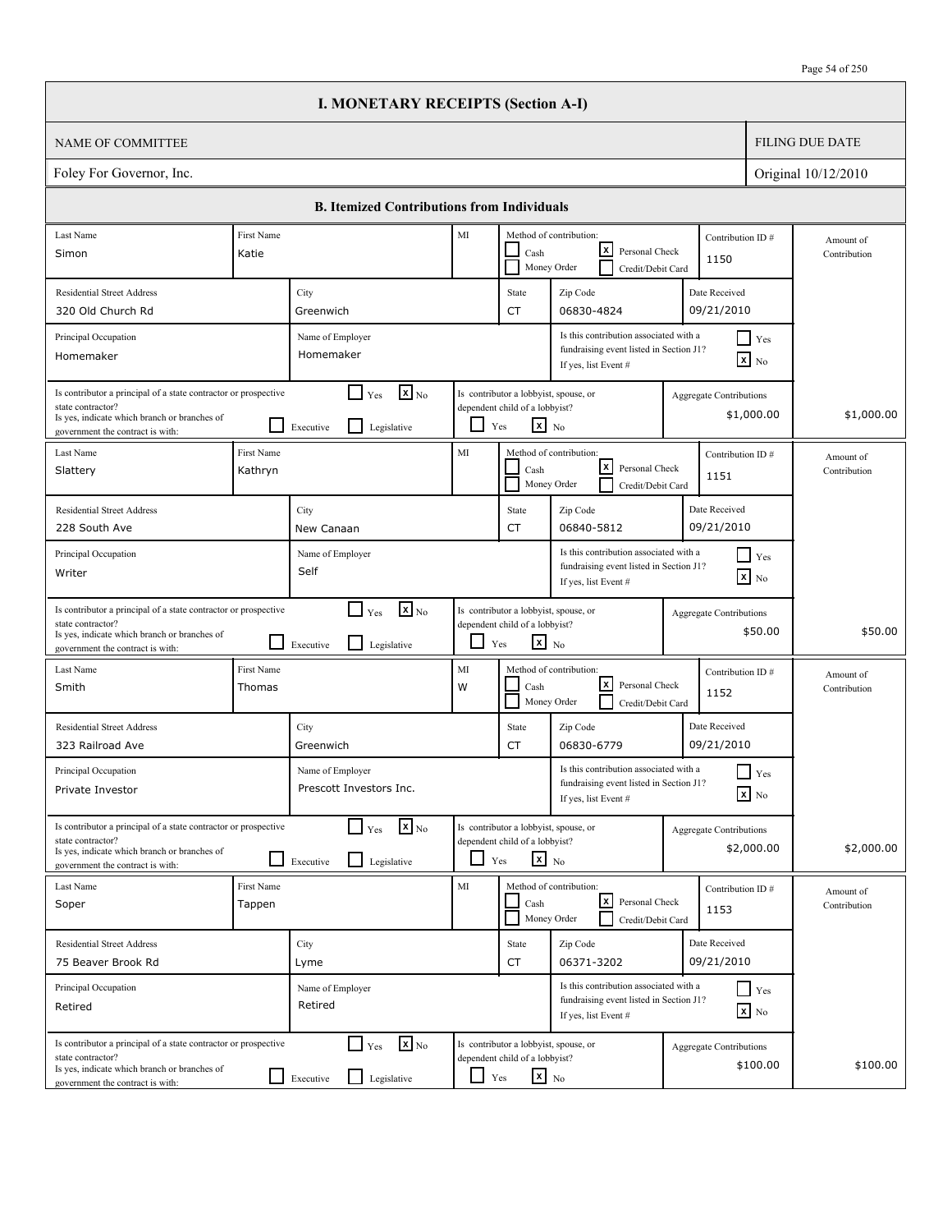|                                                                                                                                                                          |                       | <b>I. MONETARY RECEIPTS (Section A-I)</b>                                                     |                          |                                                                                                   |                                                                                                           |                                              |                           |
|--------------------------------------------------------------------------------------------------------------------------------------------------------------------------|-----------------------|-----------------------------------------------------------------------------------------------|--------------------------|---------------------------------------------------------------------------------------------------|-----------------------------------------------------------------------------------------------------------|----------------------------------------------|---------------------------|
| <b>NAME OF COMMITTEE</b>                                                                                                                                                 |                       |                                                                                               |                          |                                                                                                   |                                                                                                           |                                              | <b>FILING DUE DATE</b>    |
| Foley For Governor, Inc.                                                                                                                                                 |                       |                                                                                               |                          |                                                                                                   |                                                                                                           |                                              | Original 10/12/2010       |
|                                                                                                                                                                          |                       | <b>B. Itemized Contributions from Individuals</b>                                             |                          |                                                                                                   |                                                                                                           |                                              |                           |
| Last Name                                                                                                                                                                | First Name            |                                                                                               | MI                       |                                                                                                   | Method of contribution:                                                                                   | Contribution ID#                             | Amount of                 |
| Simon                                                                                                                                                                    | Katie                 |                                                                                               |                          | Cash<br>Money Order                                                                               | x <br>Personal Check<br>Credit/Debit Card                                                                 | 1150                                         | Contribution              |
| <b>Residential Street Address</b><br>320 Old Church Rd                                                                                                                   |                       | City<br>Greenwich                                                                             |                          | State<br>CT                                                                                       | Zip Code<br>06830-4824                                                                                    | Date Received<br>09/21/2010                  |                           |
| Principal Occupation<br>Homemaker                                                                                                                                        |                       | Name of Employer<br>Homemaker                                                                 |                          |                                                                                                   | Is this contribution associated with a<br>fundraising event listed in Section J1?<br>If yes, list Event # | $\Box$ Yes<br>$\mathbf{x}$ No                |                           |
| Is contributor a principal of a state contractor or prospective<br>state contractor?<br>Is yes, indicate which branch or branches of<br>government the contract is with: |                       | $\mathbf{X}_{\text{No}}$<br>$\blacksquare$<br>Yes<br>$\mathsf{L}$<br>Legislative<br>Executive |                          | Is contributor a lobbyist, spouse, or<br>dependent child of a lobbyist?<br>$x_{N0}$<br>Yes        |                                                                                                           | <b>Aggregate Contributions</b><br>\$1,000.00 | \$1,000.00                |
| Last Name<br>Slattery                                                                                                                                                    | First Name<br>Kathryn |                                                                                               | MI                       | Cash<br>Money Order                                                                               | Method of contribution:<br>$\lfloor x \rfloor$<br>Personal Check<br>Credit/Debit Card                     | Contribution ID#<br>1151                     | Amount of<br>Contribution |
| <b>Residential Street Address</b><br>228 South Ave                                                                                                                       |                       | City<br>New Canaan                                                                            |                          | State<br>CT                                                                                       | Zip Code<br>06840-5812                                                                                    | Date Received<br>09/21/2010                  |                           |
| Principal Occupation<br>Writer                                                                                                                                           |                       | Name of Employer<br>Self                                                                      |                          |                                                                                                   | Is this contribution associated with a<br>fundraising event listed in Section J1?<br>If yes, list Event # | $\Box$ Yes<br>$\boxed{\mathbf{x}}$ No        |                           |
| Is contributor a principal of a state contractor or prospective<br>state contractor?<br>Is yes, indicate which branch or branches of<br>government the contract is with: |                       | $\mathbf{x}$ <sub>No</sub><br>$\Box$ Yes<br>l 1<br>Legislative<br>Executive                   | $\overline{\phantom{0}}$ | Is contributor a lobbyist, spouse, or<br>dependent child of a lobbyist?<br>$\mathbf{x}$ No<br>Yes |                                                                                                           | <b>Aggregate Contributions</b><br>\$50.00    | \$50.00                   |
| Last Name<br>Smith                                                                                                                                                       | First Name<br>Thomas  |                                                                                               | MI<br>W                  | Cash<br>Money Order                                                                               | Method of contribution:<br> x <br>Personal Check<br>Credit/Debit Card                                     | Contribution ID#<br>1152                     | Amount of<br>Contribution |
| <b>Residential Street Address</b><br>323 Railroad Ave                                                                                                                    |                       | City<br>Greenwich                                                                             |                          | State<br>CT                                                                                       | Zip Code<br>06830-6779                                                                                    | Date Received<br>09/21/2010                  |                           |
| Principal Occupation<br>Private Investor                                                                                                                                 |                       | Name of Employer<br>Prescott Investors Inc.                                                   |                          |                                                                                                   | Is this contribution associated with a<br>fundraising event listed in Section J1?<br>If yes, list Event # | $\blacksquare$ Yes<br>$\mathbf{X}$ No        |                           |
| Is contributor a principal of a state contractor or prospective<br>state contractor?<br>Is yes, indicate which branch or branches of<br>government the contract is with: |                       | $\mathbf{x}$ <sub>No</sub><br>$\Box$ Yes<br>Legislative<br>Executive                          | $\Box$                   | Is contributor a lobbyist, spouse, or<br>dependent child of a lobbyist?<br>$x_{N0}$<br>Yes        |                                                                                                           | <b>Aggregate Contributions</b><br>\$2,000.00 | \$2,000.00                |
| Last Name<br>Soper                                                                                                                                                       | First Name<br>Tappen  |                                                                                               | MI                       | Cash<br>Money Order                                                                               | Method of contribution:<br>كا<br>Personal Check<br>Credit/Debit Card                                      | Contribution ID#<br>1153                     | Amount of<br>Contribution |
| <b>Residential Street Address</b><br>75 Beaver Brook Rd                                                                                                                  |                       | City<br>Lyme                                                                                  |                          | State<br>CT                                                                                       | Zip Code<br>06371-3202                                                                                    | Date Received<br>09/21/2010                  |                           |
| Principal Occupation<br>Retired                                                                                                                                          |                       | Name of Employer<br>Retired                                                                   |                          |                                                                                                   | Is this contribution associated with a<br>fundraising event listed in Section J1?<br>If yes, list Event # | $\Box$ Yes<br>$\mathbf{x}$ No                |                           |
| Is contributor a principal of a state contractor or prospective<br>state contractor?<br>Is yes, indicate which branch or branches of<br>government the contract is with: |                       | $\mathbf{x}$ <sub>No</sub><br>$\Box$ Yes<br>$\perp$<br>Legislative<br>Executive               | ப                        | Is contributor a lobbyist, spouse, or<br>dependent child of a lobbyist?<br>$\mathbf{x}$ No<br>Yes |                                                                                                           | <b>Aggregate Contributions</b><br>\$100.00   | \$100.00                  |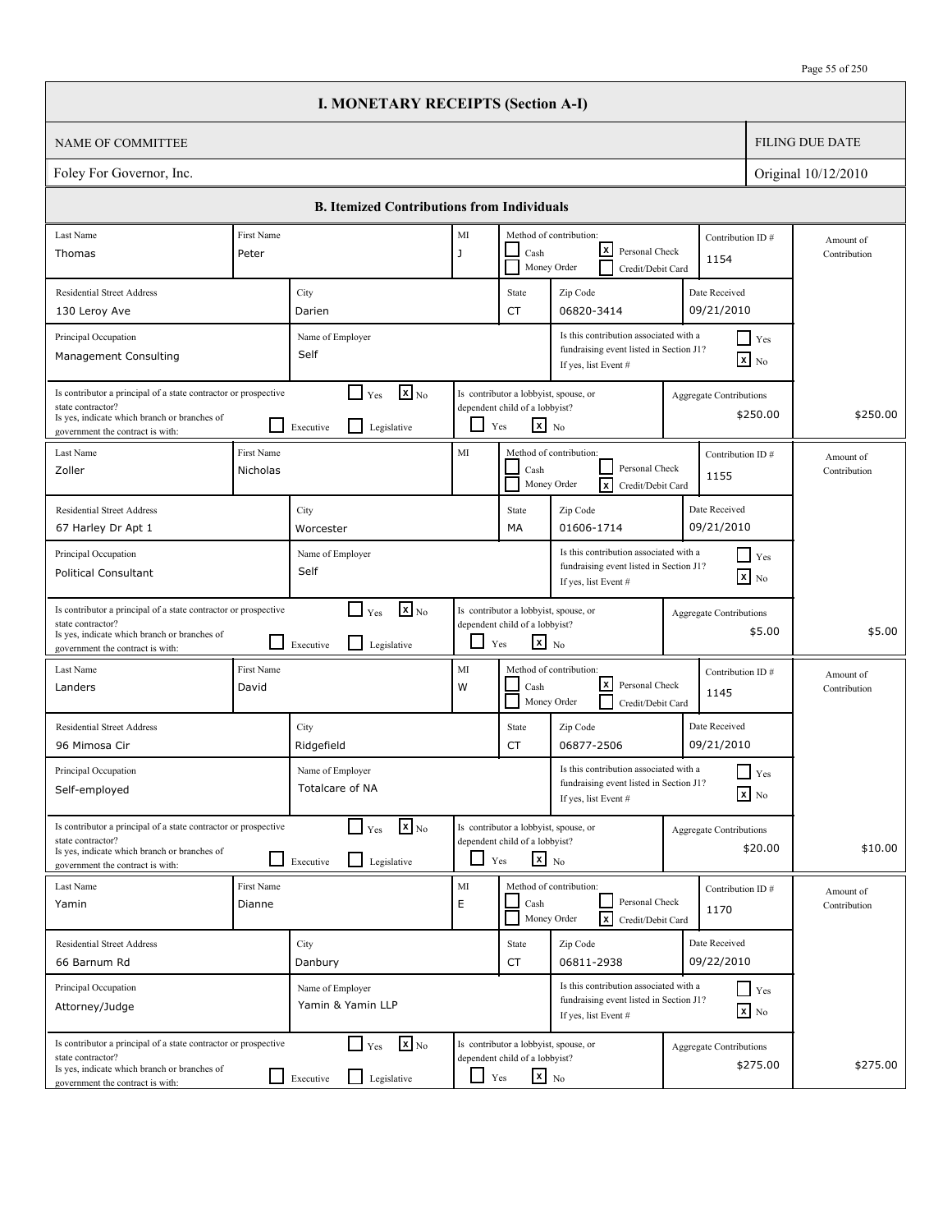|                                                                                                                                                                          |                        | <b>I. MONETARY RECEIPTS (Section A-I)</b>                                       |               |                                                                                                   |                                                                                                           |                                |                                               |                           |
|--------------------------------------------------------------------------------------------------------------------------------------------------------------------------|------------------------|---------------------------------------------------------------------------------|---------------|---------------------------------------------------------------------------------------------------|-----------------------------------------------------------------------------------------------------------|--------------------------------|-----------------------------------------------|---------------------------|
| <b>NAME OF COMMITTEE</b>                                                                                                                                                 |                        |                                                                                 |               |                                                                                                   |                                                                                                           |                                |                                               | <b>FILING DUE DATE</b>    |
| Foley For Governor, Inc.                                                                                                                                                 |                        |                                                                                 |               |                                                                                                   |                                                                                                           |                                |                                               | Original 10/12/2010       |
|                                                                                                                                                                          |                        | <b>B. Itemized Contributions from Individuals</b>                               |               |                                                                                                   |                                                                                                           |                                |                                               |                           |
| Last Name<br>Thomas                                                                                                                                                      | First Name<br>Peter    |                                                                                 | $\rm MI$<br>J | Cash                                                                                              | Method of contribution:<br>lxI<br>Personal Check<br>Money Order<br>Credit/Debit Card                      | Contribution ID#<br>1154       |                                               | Amount of<br>Contribution |
| <b>Residential Street Address</b><br>130 Leroy Ave                                                                                                                       |                        | City<br>Darien                                                                  |               | State<br><b>CT</b>                                                                                | Zip Code<br>06820-3414                                                                                    | Date Received<br>09/21/2010    |                                               |                           |
| Principal Occupation<br>Management Consulting                                                                                                                            |                        | Name of Employer<br>Self                                                        |               |                                                                                                   | Is this contribution associated with a<br>fundraising event listed in Section J1?<br>If yes, list Event # |                                | $\blacksquare$ Yes<br>$\boxed{\mathbf{x}}$ No |                           |
| Is contributor a principal of a state contractor or prospective<br>state contractor?<br>Is yes, indicate which branch or branches of<br>government the contract is with: |                        | $\mathbf{X}$ <sub>No</sub><br>$\Box$ Yes<br>l I<br>Executive<br>Legislative     | ப             | Is contributor a lobbyist, spouse, or<br>dependent child of a lobbyist?<br>$\mathbf{x}$ No<br>Yes |                                                                                                           | <b>Aggregate Contributions</b> | \$250.00                                      | \$250.00                  |
| Last Name<br>Zoller                                                                                                                                                      | First Name<br>Nicholas |                                                                                 | MI            | Cash                                                                                              | Method of contribution:<br>Personal Check<br><b>x</b><br>Money Order<br>Credit/Debit Card                 | Contribution ID#<br>1155       |                                               | Amount of<br>Contribution |
| <b>Residential Street Address</b><br>67 Harley Dr Apt 1                                                                                                                  |                        | City<br>Worcester                                                               |               | State<br>МA                                                                                       | Zip Code<br>01606-1714                                                                                    | Date Received<br>09/21/2010    |                                               |                           |
| Principal Occupation<br><b>Political Consultant</b>                                                                                                                      |                        | Name of Employer<br>Self                                                        |               |                                                                                                   | Is this contribution associated with a<br>fundraising event listed in Section J1?<br>If yes, list Event # |                                | $\blacksquare$ Yes<br>$\mathbf{x}$ No         |                           |
| Is contributor a principal of a state contractor or prospective<br>state contractor?<br>Is yes, indicate which branch or branches of<br>government the contract is with: |                        | $\mathbf{X}$ <sub>No</sub><br>$\Box$ Yes<br>l 1<br>Legislative<br>Executive     | ப             | Is contributor a lobbyist, spouse, or<br>dependent child of a lobbyist?<br>$\mathbf{x}$ No<br>Yes |                                                                                                           | <b>Aggregate Contributions</b> | \$5.00                                        | \$5.00                    |
| Last Name<br>Landers                                                                                                                                                     | First Name<br>David    |                                                                                 | MI<br>W       | Cash                                                                                              | Method of contribution:<br>lxl<br>Personal Check<br>Money Order<br>Credit/Debit Card                      | Contribution ID#<br>1145       |                                               | Amount of<br>Contribution |
| <b>Residential Street Address</b><br>96 Mimosa Cir                                                                                                                       |                        | City<br>Ridgefield                                                              |               | State<br>CT                                                                                       | Zip Code<br>06877-2506                                                                                    | Date Received<br>09/21/2010    |                                               |                           |
| Principal Occupation<br>Self-employed                                                                                                                                    |                        | Name of Employer<br>Totalcare of NA                                             |               |                                                                                                   | Is this contribution associated with a<br>fundraising event listed in Section J1?<br>If yes, list Event # |                                | $\prod$ Yes<br>$\boxed{\mathbf{x}}$ No        |                           |
| Is contributor a principal of a state contractor or prospective<br>state contractor?<br>Is yes, indicate which branch or branches of<br>government the contract is with: |                        | $\mathbf{x}$ <sub>No</sub><br>$\Box$ Yes<br>$\perp$<br>Legislative<br>Executive |               | Is contributor a lobbyist, spouse, or<br>dependent child of a lobbyist?<br>$x_{N0}$<br>Yes        |                                                                                                           | <b>Aggregate Contributions</b> | \$20.00                                       | \$10.00                   |
| Last Name<br>Yamin                                                                                                                                                       | First Name<br>Dianne   |                                                                                 | $\rm MI$<br>E | Cash                                                                                              | Method of contribution:<br>Personal Check<br>$\sqrt{x}$<br>Money Order<br>Credit/Debit Card               | Contribution ID#<br>1170       |                                               | Amount of<br>Contribution |
| <b>Residential Street Address</b><br>66 Barnum Rd                                                                                                                        |                        | City<br>Danbury                                                                 |               | State<br>CT                                                                                       | Zip Code<br>06811-2938                                                                                    | Date Received<br>09/22/2010    |                                               |                           |
| Principal Occupation<br>Attorney/Judge                                                                                                                                   |                        | Name of Employer<br>Yamin & Yamin LLP                                           |               |                                                                                                   | Is this contribution associated with a<br>fundraising event listed in Section J1?<br>If yes, list Event # |                                | $\Box$ Yes<br>$\boxed{\mathbf{x}}$ No         |                           |
| Is contributor a principal of a state contractor or prospective<br>state contractor?<br>Is yes, indicate which branch or branches of<br>government the contract is with: |                        | $\mathbf{x}$ <sub>No</sub><br>$\Box$ Yes<br>Legislative<br>$\Box$ Executive     | $\Box$ Yes    | Is contributor a lobbyist, spouse, or<br>dependent child of a lobbyist?<br>$\mathbf{x}$ No        |                                                                                                           | <b>Aggregate Contributions</b> | \$275.00                                      | \$275.00                  |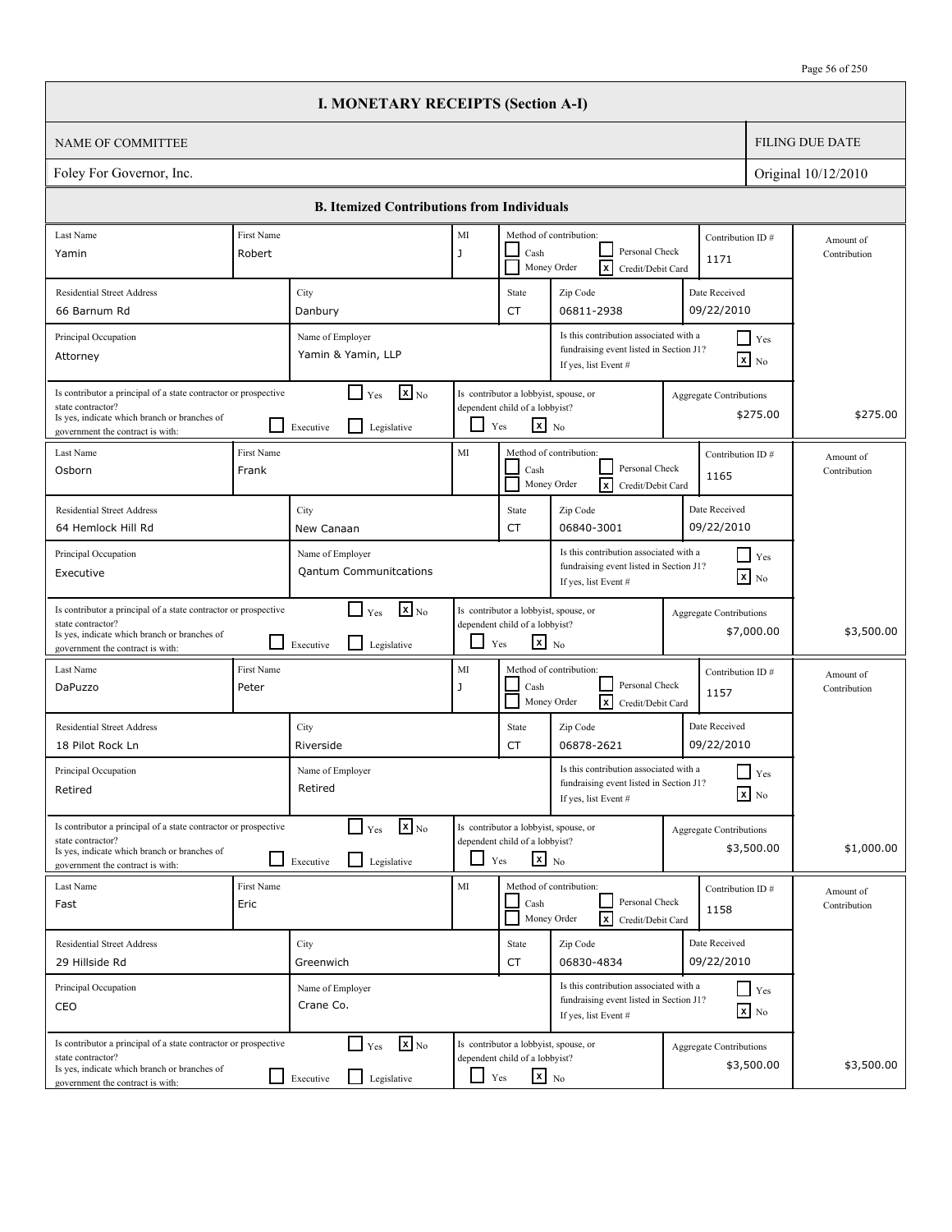|                                                                                                                                                                          |                            | <b>I. MONETARY RECEIPTS (Section A-I)</b>                                        |            |                                                                                                   |                                                                                                           |                                |                                               |                           |
|--------------------------------------------------------------------------------------------------------------------------------------------------------------------------|----------------------------|----------------------------------------------------------------------------------|------------|---------------------------------------------------------------------------------------------------|-----------------------------------------------------------------------------------------------------------|--------------------------------|-----------------------------------------------|---------------------------|
| <b>NAME OF COMMITTEE</b>                                                                                                                                                 |                            |                                                                                  |            |                                                                                                   |                                                                                                           |                                |                                               | <b>FILING DUE DATE</b>    |
| Foley For Governor, Inc.                                                                                                                                                 |                            |                                                                                  |            |                                                                                                   |                                                                                                           |                                |                                               | Original 10/12/2010       |
|                                                                                                                                                                          |                            | <b>B. Itemized Contributions from Individuals</b>                                |            |                                                                                                   |                                                                                                           |                                |                                               |                           |
| Last Name                                                                                                                                                                | First Name                 |                                                                                  | $\rm MI$   |                                                                                                   | Method of contribution:                                                                                   | Contribution ID#               |                                               | Amount of                 |
| Yamin                                                                                                                                                                    | Robert                     |                                                                                  | J          | Cash                                                                                              | Personal Check<br>Γx<br>Money Order<br>Credit/Debit Card                                                  | 1171                           |                                               | Contribution              |
| <b>Residential Street Address</b>                                                                                                                                        |                            | City                                                                             |            | State                                                                                             | Zip Code                                                                                                  | Date Received                  |                                               |                           |
| 66 Barnum Rd                                                                                                                                                             |                            | Danbury                                                                          |            | <b>CT</b>                                                                                         | 06811-2938                                                                                                | 09/22/2010                     |                                               |                           |
| Principal Occupation<br>Attorney                                                                                                                                         |                            | Name of Employer<br>Yamin & Yamin, LLP                                           |            |                                                                                                   | Is this contribution associated with a<br>fundraising event listed in Section J1?<br>If yes, list Event # |                                | $\blacksquare$ Yes<br>$\boxed{\mathbf{x}}$ No |                           |
| Is contributor a principal of a state contractor or prospective<br>state contractor?<br>Is yes, indicate which branch or branches of<br>government the contract is with: |                            | $\mathbf{X}$ <sub>No</sub><br>$\Box$ Yes<br>l I<br>Executive<br>Legislative      | ப          | Is contributor a lobbyist, spouse, or<br>dependent child of a lobbyist?<br>$\mathbf{x}$ No<br>Yes |                                                                                                           | <b>Aggregate Contributions</b> | \$275.00                                      | \$275.00                  |
| Last Name<br>Osborn                                                                                                                                                      | <b>First Name</b><br>Frank |                                                                                  | MI         | Cash                                                                                              | Method of contribution:<br>Personal Check<br><b>x</b><br>Money Order<br>Credit/Debit Card                 | Contribution ID#<br>1165       |                                               | Amount of<br>Contribution |
| <b>Residential Street Address</b><br>64 Hemlock Hill Rd                                                                                                                  |                            | City<br>New Canaan                                                               |            | State<br><b>CT</b>                                                                                | Zip Code<br>06840-3001                                                                                    | Date Received<br>09/22/2010    |                                               |                           |
| Principal Occupation<br>Executive                                                                                                                                        |                            | Name of Employer<br><b>Qantum Communitcations</b>                                |            |                                                                                                   | Is this contribution associated with a<br>fundraising event listed in Section J1?<br>If yes, list Event # |                                | $Y$ es<br>$\mathbf{x}$ No                     |                           |
| Is contributor a principal of a state contractor or prospective<br>state contractor?<br>Is yes, indicate which branch or branches of<br>government the contract is with: |                            | $\mathbf{X}$ <sub>No</sub><br>$\Box$ Yes<br>l 1<br>Legislative<br>Executive      | ப          | Is contributor a lobbyist, spouse, or<br>dependent child of a lobbyist?<br>$\mathbf{x}$ No<br>Yes |                                                                                                           | <b>Aggregate Contributions</b> | \$7,000.00                                    | \$3,500.00                |
| Last Name<br>DaPuzzo                                                                                                                                                     | First Name<br>Peter        |                                                                                  | MI<br>J    | Cash                                                                                              | Method of contribution:<br>Personal Check<br><b>x</b><br>Money Order<br>Credit/Debit Card                 | Contribution ID#<br>1157       |                                               | Amount of<br>Contribution |
| <b>Residential Street Address</b><br>18 Pilot Rock Ln                                                                                                                    |                            | City<br>Riverside                                                                |            | State<br>CT                                                                                       | Zip Code<br>06878-2621                                                                                    | Date Received<br>09/22/2010    |                                               |                           |
| Principal Occupation<br>Retired                                                                                                                                          |                            | Name of Employer<br>Retired                                                      |            |                                                                                                   | Is this contribution associated with a<br>fundraising event listed in Section J1?<br>If yes, list Event # |                                | $\prod$ Yes<br>$\boxed{\mathbf{x}}$ No        |                           |
| Is contributor a principal of a state contractor or prospective<br>state contractor?<br>Is yes, indicate which branch or branches of<br>government the contract is with: |                            | $\mathbf{x}$ <sub>No</sub><br>$\Gamma$ Yes<br>$\Box$<br>Legislative<br>Executive |            | Is contributor a lobbyist, spouse, or<br>dependent child of a lobbyist?<br>$x_{N0}$<br>Yes        |                                                                                                           | <b>Aggregate Contributions</b> | \$3,500.00                                    | \$1,000.00                |
| Last Name<br>Fast                                                                                                                                                        | First Name<br>Eric         |                                                                                  | MI         | Cash                                                                                              | Method of contribution:<br>Personal Check<br>$\sqrt{x}$<br>Money Order<br>Credit/Debit Card               | Contribution ID#<br>1158       |                                               | Amount of<br>Contribution |
| <b>Residential Street Address</b><br>29 Hillside Rd                                                                                                                      |                            | City<br>Greenwich                                                                |            | State<br>CT                                                                                       | Zip Code<br>06830-4834                                                                                    | Date Received<br>09/22/2010    |                                               |                           |
| Principal Occupation<br>CEO                                                                                                                                              |                            | Name of Employer<br>Crane Co.                                                    |            |                                                                                                   | Is this contribution associated with a<br>fundraising event listed in Section J1?<br>If yes, list Event # |                                | $Y$ es<br>$\boxed{\mathbf{x}}$ No             |                           |
| Is contributor a principal of a state contractor or prospective<br>state contractor?<br>Is yes, indicate which branch or branches of<br>government the contract is with: |                            | $\mathbf{x}$ <sub>No</sub><br>$\Box$ Yes<br>Executive<br>Legislative             | $\Box$ Yes | Is contributor a lobbyist, spouse, or<br>dependent child of a lobbyist?<br>$\mathbf{x}$ No        |                                                                                                           | Aggregate Contributions        | \$3,500.00                                    | \$3,500.00                |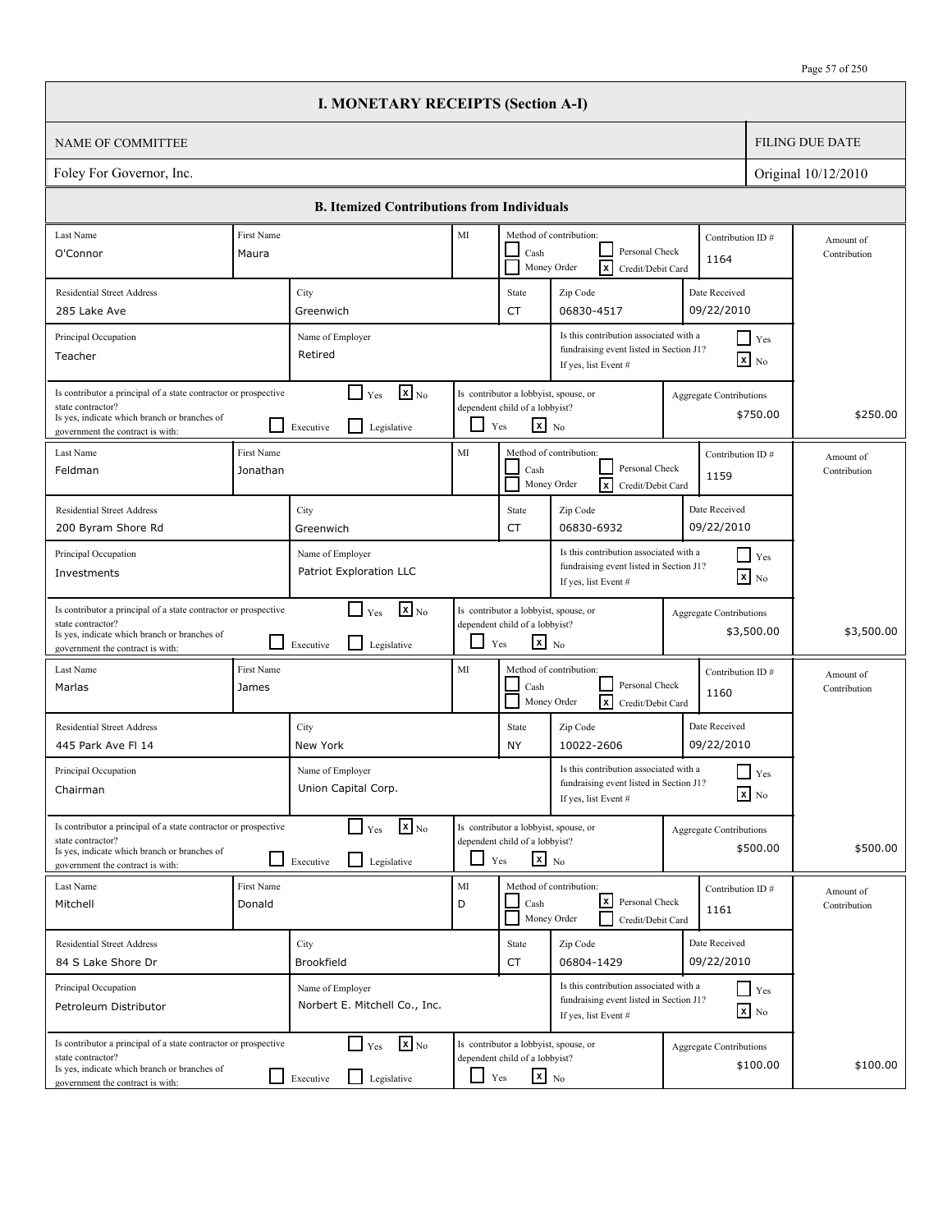|                                                                                                                                                                          |                        | <b>I. MONETARY RECEIPTS (Section A-I)</b>                                            |               |                                                                                                   |                                                                                                           |                                |                                               |                           |
|--------------------------------------------------------------------------------------------------------------------------------------------------------------------------|------------------------|--------------------------------------------------------------------------------------|---------------|---------------------------------------------------------------------------------------------------|-----------------------------------------------------------------------------------------------------------|--------------------------------|-----------------------------------------------|---------------------------|
| <b>NAME OF COMMITTEE</b>                                                                                                                                                 |                        |                                                                                      |               |                                                                                                   |                                                                                                           |                                |                                               | <b>FILING DUE DATE</b>    |
| Foley For Governor, Inc.                                                                                                                                                 |                        |                                                                                      |               |                                                                                                   |                                                                                                           |                                |                                               | Original 10/12/2010       |
|                                                                                                                                                                          |                        | <b>B. Itemized Contributions from Individuals</b>                                    |               |                                                                                                   |                                                                                                           |                                |                                               |                           |
| Last Name                                                                                                                                                                | First Name             |                                                                                      | MI            |                                                                                                   | Method of contribution:                                                                                   | Contribution ID#               |                                               | Amount of                 |
| O'Connor                                                                                                                                                                 | Maura                  |                                                                                      |               | Cash                                                                                              | Personal Check<br>Γx<br>Money Order<br>Credit/Debit Card                                                  | 1164                           |                                               | Contribution              |
| <b>Residential Street Address</b>                                                                                                                                        |                        | City                                                                                 |               | State                                                                                             | Zip Code                                                                                                  | Date Received                  |                                               |                           |
| 285 Lake Ave                                                                                                                                                             |                        | Greenwich                                                                            |               | <b>CT</b>                                                                                         | 06830-4517                                                                                                | 09/22/2010                     |                                               |                           |
| Principal Occupation<br>Teacher                                                                                                                                          |                        | Name of Employer<br>Retired                                                          |               |                                                                                                   | Is this contribution associated with a<br>fundraising event listed in Section J1?<br>If yes, list Event # |                                | $\blacksquare$ Yes<br>$\boxed{\mathbf{x}}$ No |                           |
| Is contributor a principal of a state contractor or prospective<br>state contractor?<br>Is yes, indicate which branch or branches of<br>government the contract is with: |                        | $\mathbf{X}$ <sub>No</sub><br>$\Box$ Yes<br>$\mathsf{L}$<br>Executive<br>Legislative | ப             | Is contributor a lobbyist, spouse, or<br>dependent child of a lobbyist?<br>$\mathbf{x}$ No<br>Yes |                                                                                                           | Aggregate Contributions        | \$750.00                                      | \$250.00                  |
| Last Name<br>Feldman                                                                                                                                                     | First Name<br>Jonathan |                                                                                      | MI            | Cash                                                                                              | Method of contribution:<br>Personal Check<br><b>x</b><br>Money Order<br>Credit/Debit Card                 | Contribution ID#<br>1159       |                                               | Amount of<br>Contribution |
| <b>Residential Street Address</b><br>200 Byram Shore Rd                                                                                                                  |                        | City<br>Greenwich                                                                    |               | State<br><b>CT</b>                                                                                | Zip Code<br>06830-6932                                                                                    | Date Received<br>09/22/2010    |                                               |                           |
| Principal Occupation<br>Investments                                                                                                                                      |                        | Name of Employer<br>Patriot Exploration LLC                                          |               |                                                                                                   | Is this contribution associated with a<br>fundraising event listed in Section J1?<br>If yes, list Event # |                                | $Y$ es<br>$\mathbf{x}$ No                     |                           |
| Is contributor a principal of a state contractor or prospective<br>state contractor?<br>Is yes, indicate which branch or branches of<br>government the contract is with: |                        | $\mathbf{X}$ <sub>No</sub><br>$\Box$ Yes<br>l 1<br>Legislative<br>Executive          | ப             | Is contributor a lobbyist, spouse, or<br>dependent child of a lobbyist?<br>$\mathbf{x}$ No<br>Yes |                                                                                                           | <b>Aggregate Contributions</b> | \$3,500.00                                    | \$3,500.00                |
| Last Name<br>Marlas                                                                                                                                                      | First Name<br>James    |                                                                                      | MI            | Cash                                                                                              | Method of contribution:<br>Personal Check<br>ΙxΙ<br>Money Order<br>Credit/Debit Card                      | Contribution ID#<br>1160       |                                               | Amount of<br>Contribution |
| <b>Residential Street Address</b><br>445 Park Ave FI 14                                                                                                                  |                        | City<br>New York                                                                     |               | State<br><b>NY</b>                                                                                | Zip Code<br>10022-2606                                                                                    | Date Received<br>09/22/2010    |                                               |                           |
| Principal Occupation<br>Chairman                                                                                                                                         |                        | Name of Employer<br>Union Capital Corp.                                              |               |                                                                                                   | Is this contribution associated with a<br>fundraising event listed in Section J1?<br>If yes, list Event # |                                | $\prod$ Yes<br>$\boxed{\mathbf{x}}$ No        |                           |
| Is contributor a principal of a state contractor or prospective<br>state contractor?<br>Is yes, indicate which branch or branches of<br>government the contract is with: |                        | $\mathbf{x}$ <sub>No</sub><br>$\Box$ Yes<br>l 1<br>Legislative<br>Executive          |               | Is contributor a lobbyist, spouse, or<br>dependent child of a lobbyist?<br>$\mathbf{x}$ No<br>Yes |                                                                                                           | <b>Aggregate Contributions</b> | \$500.00                                      | \$500.00                  |
| Last Name<br>Mitchell                                                                                                                                                    | First Name<br>Donald   |                                                                                      | $\rm MI$<br>D | Cash                                                                                              | Method of contribution:<br>l×l<br>Personal Check<br>Money Order<br>Credit/Debit Card                      | Contribution ID#<br>1161       |                                               | Amount of<br>Contribution |
| <b>Residential Street Address</b>                                                                                                                                        |                        | City                                                                                 |               | State                                                                                             | Zip Code                                                                                                  | Date Received                  |                                               |                           |
| 84 S Lake Shore Dr                                                                                                                                                       |                        | Brookfield                                                                           |               | CT                                                                                                | 06804-1429                                                                                                | 09/22/2010                     |                                               |                           |
| Principal Occupation<br>Petroleum Distributor                                                                                                                            |                        | Name of Employer<br>Norbert E. Mitchell Co., Inc.                                    |               |                                                                                                   | Is this contribution associated with a<br>fundraising event listed in Section J1?<br>If yes, list Event # |                                | $Y$ es<br>$\boxed{\mathbf{x}}$ No             |                           |
| Is contributor a principal of a state contractor or prospective<br>state contractor?<br>Is yes, indicate which branch or branches of<br>government the contract is with: |                        | $\mathbf{x}$ <sub>No</sub><br>$\Box$ Yes<br>Legislative<br>$\Box$ Executive          | $\Box$ Yes    | Is contributor a lobbyist, spouse, or<br>dependent child of a lobbyist?<br>$x_{N0}$               |                                                                                                           | <b>Aggregate Contributions</b> | \$100.00                                      | \$100.00                  |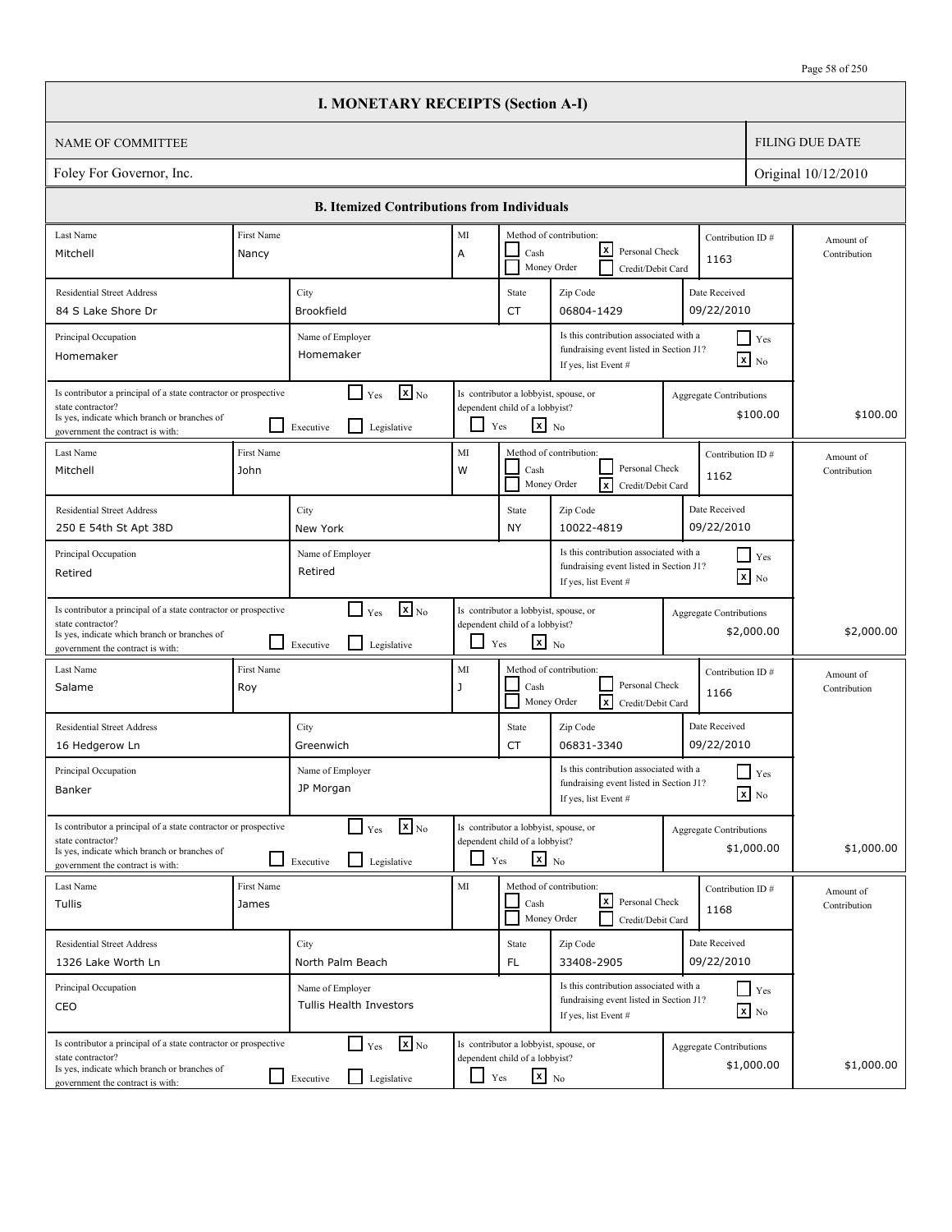|                                                                                                                                                                          |                     | <b>I. MONETARY RECEIPTS (Section A-I)</b>                                            |         |                                                                                                   |                                                                                                           |                                              |                           |
|--------------------------------------------------------------------------------------------------------------------------------------------------------------------------|---------------------|--------------------------------------------------------------------------------------|---------|---------------------------------------------------------------------------------------------------|-----------------------------------------------------------------------------------------------------------|----------------------------------------------|---------------------------|
| NAME OF COMMITTEE                                                                                                                                                        |                     |                                                                                      |         |                                                                                                   |                                                                                                           |                                              | <b>FILING DUE DATE</b>    |
| Foley For Governor, Inc.                                                                                                                                                 |                     |                                                                                      |         |                                                                                                   |                                                                                                           |                                              | Original 10/12/2010       |
|                                                                                                                                                                          |                     | <b>B. Itemized Contributions from Individuals</b>                                    |         |                                                                                                   |                                                                                                           |                                              |                           |
| Last Name                                                                                                                                                                | First Name          |                                                                                      | MI      |                                                                                                   | Method of contribution:                                                                                   | Contribution ID#                             | Amount of                 |
| Mitchell                                                                                                                                                                 | Nancy               |                                                                                      | А       | Cash                                                                                              | lxl<br>Personal Check<br>Money Order<br>Credit/Debit Card                                                 | 1163                                         | Contribution              |
| <b>Residential Street Address</b>                                                                                                                                        |                     | City                                                                                 |         | State                                                                                             | Zip Code                                                                                                  | Date Received                                |                           |
| 84 S Lake Shore Dr                                                                                                                                                       |                     | Brookfield                                                                           |         | CT                                                                                                | 06804-1429                                                                                                | 09/22/2010                                   |                           |
| Principal Occupation<br>Homemaker                                                                                                                                        |                     | Name of Employer<br>Homemaker                                                        |         |                                                                                                   | Is this contribution associated with a<br>fundraising event listed in Section J1?<br>If yes, list Event # | $\Box$ Yes<br>$\mathbf{X}$ No                |                           |
| Is contributor a principal of a state contractor or prospective<br>state contractor?<br>Is yes, indicate which branch or branches of<br>government the contract is with: |                     | $\mathbf{X}$ <sub>No</sub><br>$\Box$ Yes<br>l 1<br>Legislative<br>Executive          |         | Is contributor a lobbyist, spouse, or<br>dependent child of a lobbyist?<br>$x_{N0}$<br>Yes        |                                                                                                           | <b>Aggregate Contributions</b><br>\$100.00   | \$100.00                  |
| Last Name<br>Mitchell                                                                                                                                                    | First Name<br>John  |                                                                                      | MI<br>W | Cash<br>Money Order                                                                               | Method of contribution:<br>Personal Check<br>lxl<br>Credit/Debit Card                                     | Contribution ID#<br>1162                     | Amount of<br>Contribution |
| <b>Residential Street Address</b>                                                                                                                                        |                     | City                                                                                 |         | State                                                                                             | Zip Code                                                                                                  | Date Received                                |                           |
| 250 E 54th St Apt 38D                                                                                                                                                    |                     | New York                                                                             |         | NY                                                                                                | 10022-4819                                                                                                | 09/22/2010                                   |                           |
| Principal Occupation<br>Retired                                                                                                                                          |                     | Name of Employer<br>Retired                                                          |         |                                                                                                   | Is this contribution associated with a<br>fundraising event listed in Section J1?<br>If yes, list Event # | $\Box$ Yes<br>$\mathbf{x}$ No                |                           |
| Is contributor a principal of a state contractor or prospective<br>state contractor?<br>Is yes, indicate which branch or branches of<br>government the contract is with: |                     | $\mathbf{x}$ <sub>No</sub><br>$\Box$ Yes<br>$\mathsf{L}$<br>Legislative<br>Executive | $\Box$  | Is contributor a lobbyist, spouse, or<br>dependent child of a lobbyist?<br>$\mathbf{x}$ No<br>Yes |                                                                                                           | <b>Aggregate Contributions</b><br>\$2,000.00 | \$2,000.00                |
| Last Name<br>Salame                                                                                                                                                      | First Name<br>Roy   |                                                                                      | MI<br>J | Cash                                                                                              | Method of contribution:<br>Personal Check<br>Money Order<br>lxl<br>Credit/Debit Card                      | Contribution ID#<br>1166                     | Amount of<br>Contribution |
| <b>Residential Street Address</b><br>16 Hedgerow Ln                                                                                                                      |                     | City<br>Greenwich                                                                    |         | State<br>CT                                                                                       | Zip Code<br>06831-3340                                                                                    | Date Received<br>09/22/2010                  |                           |
| Principal Occupation<br>Banker                                                                                                                                           |                     | Name of Employer<br>JP Morgan                                                        |         |                                                                                                   | Is this contribution associated with a<br>fundraising event listed in Section J1?<br>If yes, list Event # | $\blacksquare$ Yes<br>$\mathbf{X}$ No        |                           |
| Is contributor a principal of a state contractor or prospective<br>state contractor?<br>Is yes, indicate which branch or branches of<br>government the contract is with: |                     | $\mathbf{X}$ <sub>No</sub><br>$\Box$ Yes<br>Legislative<br>Executive                 | ப       | Is contributor a lobbyist, spouse, or<br>dependent child of a lobbyist?<br>$\mathbf{x}$ No<br>Yes |                                                                                                           | Aggregate Contributions<br>\$1,000.00        | \$1,000.00                |
| Last Name<br>Tullis                                                                                                                                                      | First Name<br>James |                                                                                      | MI      | Cash                                                                                              | Method of contribution:<br><u> x</u><br>Personal Check<br>Money Order<br>Credit/Debit Card                | Contribution ID#<br>1168                     | Amount of<br>Contribution |
| <b>Residential Street Address</b>                                                                                                                                        |                     | City                                                                                 |         | State                                                                                             | Zip Code                                                                                                  | Date Received                                |                           |
| 1326 Lake Worth Ln                                                                                                                                                       |                     | North Palm Beach                                                                     |         | FL.                                                                                               | 33408-2905                                                                                                | 09/22/2010                                   |                           |
| Principal Occupation<br>CEO                                                                                                                                              |                     | Name of Employer<br>Tullis Health Investors                                          |         |                                                                                                   | Is this contribution associated with a<br>fundraising event listed in Section J1?<br>If yes, list Event # | $\Box$ Yes<br>$\mathbf{x}$ No                |                           |
| Is contributor a principal of a state contractor or prospective<br>state contractor?<br>Is yes, indicate which branch or branches of<br>government the contract is with: |                     | $\mathbf{X}$ <sub>No</sub><br>$\Box$ Yes<br>$\perp$<br>Legislative<br>Executive      | $\Box$  | Is contributor a lobbyist, spouse, or<br>dependent child of a lobbyist?<br>$\mathbf{x}$ No<br>Yes |                                                                                                           | <b>Aggregate Contributions</b><br>\$1,000.00 | \$1,000.00                |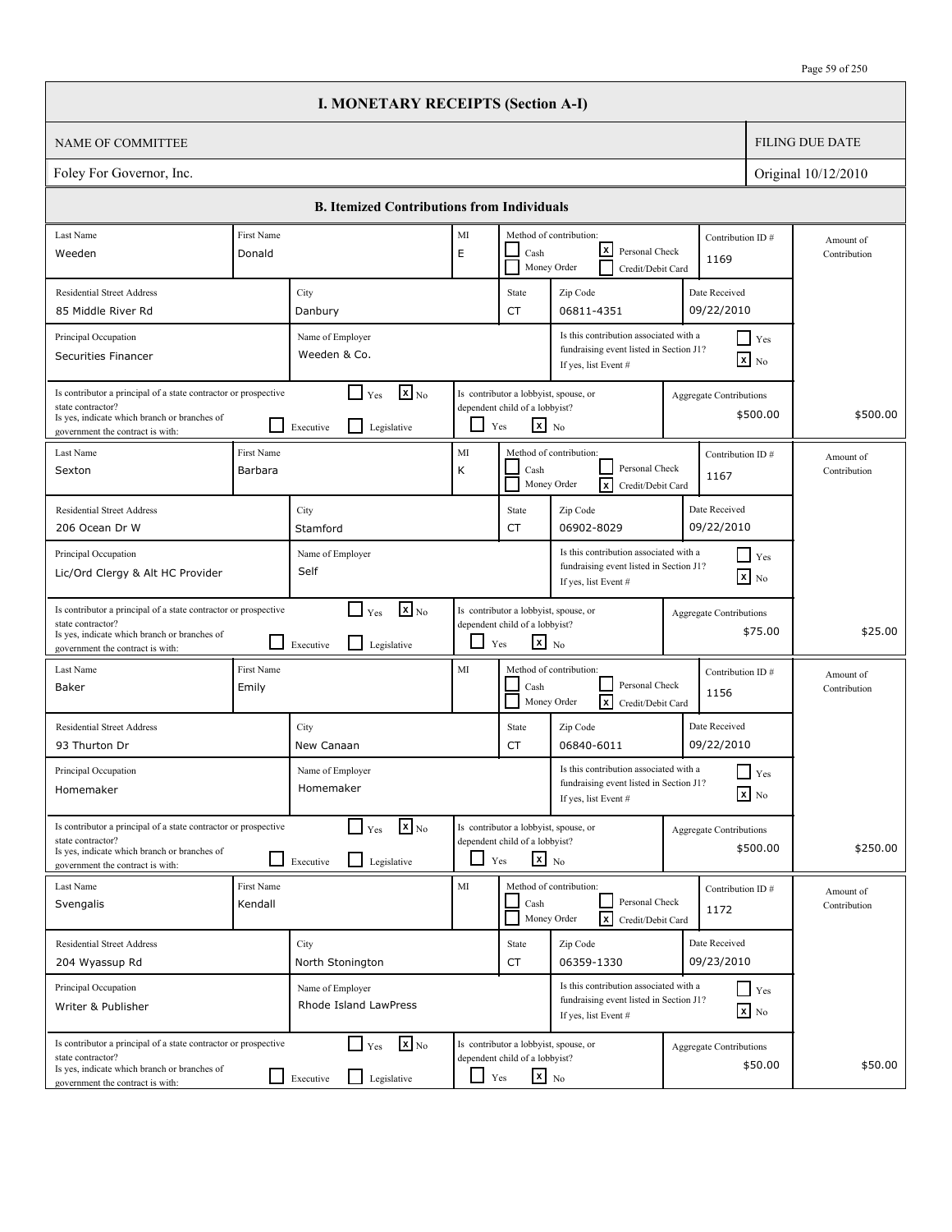|                                                                                                                                                                          |                       | <b>I. MONETARY RECEIPTS (Section A-I)</b>                                            |            |                                                                                                   |                                                                                                           |                                |                                               |                           |
|--------------------------------------------------------------------------------------------------------------------------------------------------------------------------|-----------------------|--------------------------------------------------------------------------------------|------------|---------------------------------------------------------------------------------------------------|-----------------------------------------------------------------------------------------------------------|--------------------------------|-----------------------------------------------|---------------------------|
| <b>NAME OF COMMITTEE</b>                                                                                                                                                 |                       |                                                                                      |            |                                                                                                   |                                                                                                           |                                |                                               | <b>FILING DUE DATE</b>    |
| Foley For Governor, Inc.                                                                                                                                                 |                       |                                                                                      |            |                                                                                                   |                                                                                                           |                                |                                               | Original 10/12/2010       |
|                                                                                                                                                                          |                       | <b>B. Itemized Contributions from Individuals</b>                                    |            |                                                                                                   |                                                                                                           |                                |                                               |                           |
| Last Name                                                                                                                                                                | First Name            |                                                                                      | MI         |                                                                                                   | Method of contribution:                                                                                   | Contribution ID#               |                                               | Amount of                 |
| Weeden                                                                                                                                                                   | Donald                |                                                                                      | E          | Cash                                                                                              | lxI<br>Personal Check<br>Money Order<br>Credit/Debit Card                                                 | 1169                           |                                               | Contribution              |
| <b>Residential Street Address</b>                                                                                                                                        |                       | City                                                                                 |            | State                                                                                             | Zip Code                                                                                                  | Date Received                  |                                               |                           |
| 85 Middle River Rd                                                                                                                                                       |                       | Danbury                                                                              |            | <b>CT</b>                                                                                         | 06811-4351                                                                                                | 09/22/2010                     |                                               |                           |
| Principal Occupation<br>Securities Financer                                                                                                                              |                       | Name of Employer<br>Weeden & Co.                                                     |            |                                                                                                   | Is this contribution associated with a<br>fundraising event listed in Section J1?<br>If yes, list Event # |                                | $\blacksquare$ Yes<br>$\boxed{\mathbf{x}}$ No |                           |
| Is contributor a principal of a state contractor or prospective<br>state contractor?<br>Is yes, indicate which branch or branches of<br>government the contract is with: |                       | $\mathbf{X}$ <sub>No</sub><br>$\Box$ Yes<br>$\mathsf{L}$<br>Executive<br>Legislative | ப          | Is contributor a lobbyist, spouse, or<br>dependent child of a lobbyist?<br>$\mathbf{x}$ No<br>Yes |                                                                                                           | Aggregate Contributions        | \$500.00                                      | \$500.00                  |
| Last Name<br>Sexton                                                                                                                                                      | First Name<br>Barbara |                                                                                      | MI<br>К    | Cash                                                                                              | Method of contribution:<br>Personal Check<br><b>x</b><br>Money Order<br>Credit/Debit Card                 | Contribution ID#<br>1167       |                                               | Amount of<br>Contribution |
| <b>Residential Street Address</b><br>206 Ocean Dr W                                                                                                                      |                       | City<br>Stamford                                                                     |            | State<br><b>CT</b>                                                                                | Zip Code<br>06902-8029                                                                                    | Date Received<br>09/22/2010    |                                               |                           |
| Principal Occupation<br>Lic/Ord Clergy & Alt HC Provider                                                                                                                 |                       | Name of Employer<br>Self                                                             |            |                                                                                                   | Is this contribution associated with a<br>fundraising event listed in Section J1?<br>If yes, list Event # |                                | $\blacksquare$ Yes<br>$\mathbf{x}$ No         |                           |
| Is contributor a principal of a state contractor or prospective<br>state contractor?<br>Is yes, indicate which branch or branches of<br>government the contract is with: |                       | $\mathbf{X}$ <sub>No</sub><br>$\Box$ Yes<br>l 1<br>Legislative<br>Executive          | ப          | Is contributor a lobbyist, spouse, or<br>dependent child of a lobbyist?<br>$\mathbf{x}$ No<br>Yes |                                                                                                           | <b>Aggregate Contributions</b> | \$75.00                                       | \$25.00                   |
| Last Name<br>Baker                                                                                                                                                       | First Name<br>Emily   |                                                                                      | MI         | Cash                                                                                              | Method of contribution:<br>Personal Check<br>ΙxΙ<br>Money Order<br>Credit/Debit Card                      | Contribution ID#<br>1156       |                                               | Amount of<br>Contribution |
| <b>Residential Street Address</b><br>93 Thurton Dr                                                                                                                       |                       | City<br>New Canaan                                                                   |            | State<br>CT                                                                                       | Zip Code<br>06840-6011                                                                                    | Date Received<br>09/22/2010    |                                               |                           |
| Principal Occupation<br>Homemaker                                                                                                                                        |                       | Name of Employer<br>Homemaker                                                        |            |                                                                                                   | Is this contribution associated with a<br>fundraising event listed in Section J1?<br>If yes, list Event # |                                | $\prod$ Yes<br>$\boxed{\mathbf{x}}$ No        |                           |
| Is contributor a principal of a state contractor or prospective<br>state contractor?<br>Is yes, indicate which branch or branches of<br>government the contract is with: |                       | $\mathbf{x}$ <sub>No</sub><br>$\Gamma$ Yes<br>$\Box$<br>Legislative<br>Executive     |            | Is contributor a lobbyist, spouse, or<br>dependent child of a lobbyist?<br>$x_{N0}$<br>Yes        |                                                                                                           | <b>Aggregate Contributions</b> | \$500.00                                      | \$250.00                  |
| Last Name<br>Svengalis                                                                                                                                                   | First Name<br>Kendall |                                                                                      | MI         | Cash                                                                                              | Method of contribution:<br>Personal Check<br>$\sqrt{x}$<br>Money Order<br>Credit/Debit Card               | Contribution ID#<br>1172       |                                               | Amount of<br>Contribution |
| <b>Residential Street Address</b><br>204 Wyassup Rd                                                                                                                      |                       | City<br>North Stonington                                                             |            | State<br>CT                                                                                       | Zip Code<br>06359-1330                                                                                    | Date Received<br>09/23/2010    |                                               |                           |
| Principal Occupation<br>Writer & Publisher                                                                                                                               |                       | Name of Employer<br>Rhode Island LawPress                                            |            |                                                                                                   | Is this contribution associated with a<br>fundraising event listed in Section J1?<br>If yes, list Event # |                                | $Y$ es<br>$\boxed{\mathbf{x}}$ No             |                           |
| Is contributor a principal of a state contractor or prospective<br>state contractor?<br>Is yes, indicate which branch or branches of<br>government the contract is with: |                       | $\mathbf{x}$ <sub>No</sub><br>$\Box$ Yes<br>Legislative<br>$\Box$ Executive          | $\Box$ Yes | Is contributor a lobbyist, spouse, or<br>dependent child of a lobbyist?<br>$\mathbf{x}$ No        |                                                                                                           | <b>Aggregate Contributions</b> | \$50.00                                       | \$50.00                   |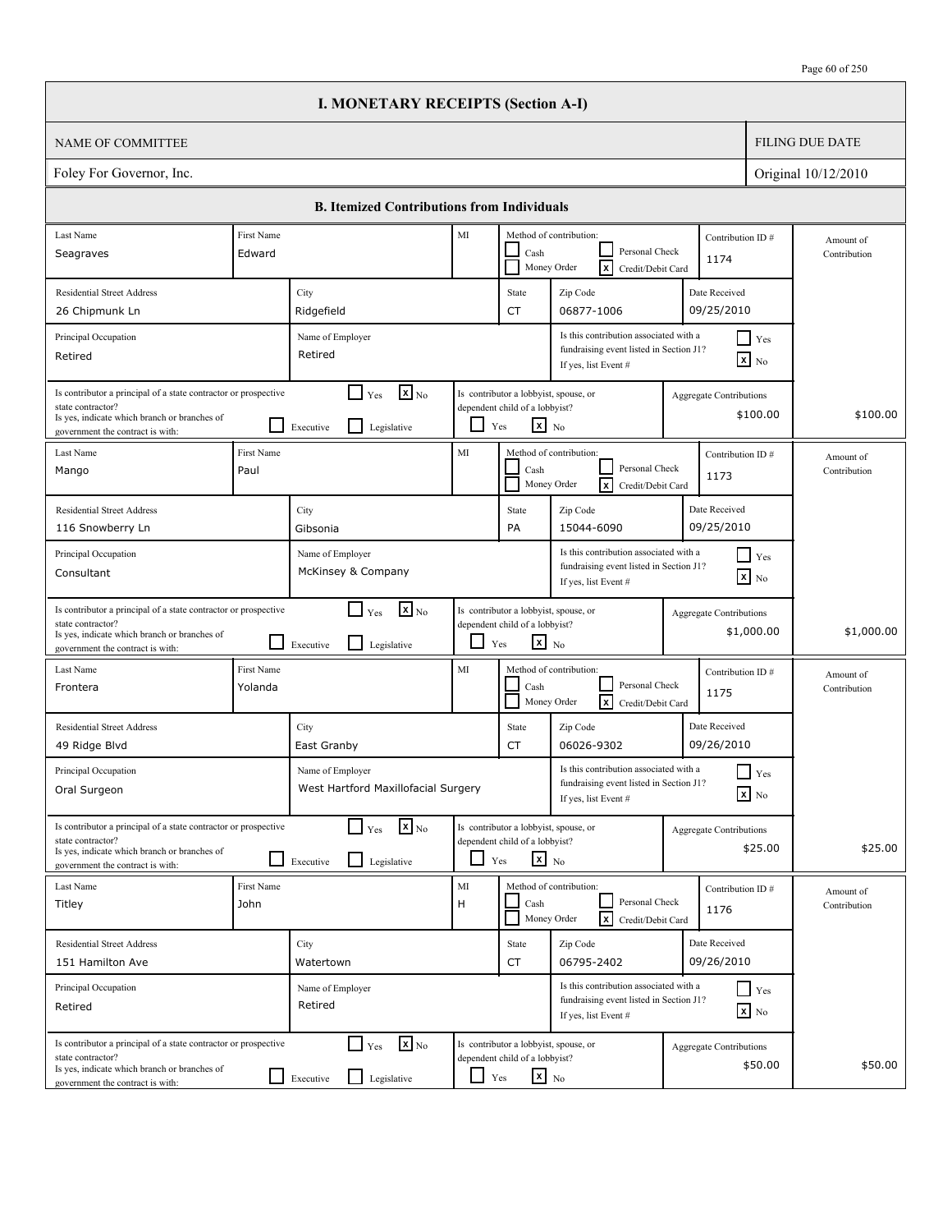| Page 60 of 250 |
|----------------|
|----------------|

|                                                                                                                                                                          |                                                                                                                                                                                              | <b>I. MONETARY RECEIPTS (Section A-I)</b>                                            |            |                                                                                                                          |                                                                                                                  |                                |                               |                           |  |
|--------------------------------------------------------------------------------------------------------------------------------------------------------------------------|----------------------------------------------------------------------------------------------------------------------------------------------------------------------------------------------|--------------------------------------------------------------------------------------|------------|--------------------------------------------------------------------------------------------------------------------------|------------------------------------------------------------------------------------------------------------------|--------------------------------|-------------------------------|---------------------------|--|
| <b>NAME OF COMMITTEE</b>                                                                                                                                                 |                                                                                                                                                                                              |                                                                                      |            |                                                                                                                          |                                                                                                                  |                                |                               | <b>FILING DUE DATE</b>    |  |
| Foley For Governor, Inc.                                                                                                                                                 |                                                                                                                                                                                              |                                                                                      |            |                                                                                                                          |                                                                                                                  |                                |                               | Original 10/12/2010       |  |
|                                                                                                                                                                          |                                                                                                                                                                                              | <b>B. Itemized Contributions from Individuals</b>                                    |            |                                                                                                                          |                                                                                                                  |                                |                               |                           |  |
| Last Name<br>Seagraves                                                                                                                                                   | First Name<br>Edward                                                                                                                                                                         |                                                                                      | MI         | Method of contribution:<br>Contribution ID#<br>Personal Check<br>Cash<br>1174<br>ΙxΙ<br>Money Order<br>Credit/Debit Card |                                                                                                                  |                                |                               | Amount of<br>Contribution |  |
| <b>Residential Street Address</b><br>26 Chipmunk Ln                                                                                                                      |                                                                                                                                                                                              | City<br>Ridgefield                                                                   |            | State<br>CT                                                                                                              | Zip Code<br>06877-1006                                                                                           | Date Received<br>09/25/2010    |                               |                           |  |
| Principal Occupation<br>Retired                                                                                                                                          |                                                                                                                                                                                              | Name of Employer<br>Retired                                                          |            |                                                                                                                          | Is this contribution associated with a<br>fundraising event listed in Section J1?<br>If yes, list Event #        |                                | $\Box$ Yes<br>$\mathbf{X}$ No |                           |  |
| Is contributor a principal of a state contractor or prospective<br>state contractor?<br>Is yes, indicate which branch or branches of<br>government the contract is with: |                                                                                                                                                                                              | $\mathbf{X}$ <sub>No</sub><br>$\Box$ Yes<br>Legislative<br>Executive                 | LI         | Is contributor a lobbyist, spouse, or<br>dependent child of a lobbyist?<br>$\mathbf{x}$ No<br>$\operatorname{Yes}$       |                                                                                                                  | Aggregate Contributions        | \$100.00                      | \$100.00                  |  |
| Last Name<br>Mango                                                                                                                                                       | First Name<br>Paul                                                                                                                                                                           |                                                                                      | MI         | Cash                                                                                                                     | Method of contribution:<br>Contribution ID#<br>Personal Check<br>1173<br>Money Order<br>lxl<br>Credit/Debit Card |                                |                               | Amount of<br>Contribution |  |
| <b>Residential Street Address</b><br>116 Snowberry Ln                                                                                                                    |                                                                                                                                                                                              | City<br>Gibsonia                                                                     |            | State<br>PA                                                                                                              | Zip Code<br>15044-6090                                                                                           |                                |                               |                           |  |
| Principal Occupation<br>Consultant                                                                                                                                       | Is this contribution associated with a<br>$\blacksquare$ Yes<br>Name of Employer<br>fundraising event listed in Section J1?<br>McKinsey & Company<br>$\mathbf{x}$ No<br>If yes, list Event # |                                                                                      |            |                                                                                                                          |                                                                                                                  |                                |                               |                           |  |
| Is contributor a principal of a state contractor or prospective<br>state contractor?<br>Is yes, indicate which branch or branches of<br>government the contract is with: |                                                                                                                                                                                              | $\mathbf{X}$ <sub>No</sub><br>$\Box$ Yes<br>$\mathsf{L}$<br>Legislative<br>Executive | - 1        | Is contributor a lobbyist, spouse, or<br>dependent child of a lobbyist?<br>$\mathbf{x}$ No<br>Yes                        |                                                                                                                  | <b>Aggregate Contributions</b> | \$1,000.00                    | \$1,000.00                |  |
| Last Name<br>Frontera                                                                                                                                                    | First Name<br>Yolanda                                                                                                                                                                        |                                                                                      | MI         | Cash                                                                                                                     | Method of contribution:<br>Personal Check<br>Money Order<br>$\vert x \vert$<br>Credit/Debit Card                 | Contribution ID#<br>1175       |                               | Amount of<br>Contribution |  |
| <b>Residential Street Address</b><br>49 Ridge Blvd                                                                                                                       |                                                                                                                                                                                              | City<br>East Granby                                                                  |            | State<br>CT                                                                                                              | Zip Code<br>06026-9302                                                                                           | Date Received<br>09/26/2010    |                               |                           |  |
| Principal Occupation<br>Oral Surgeon                                                                                                                                     |                                                                                                                                                                                              | Name of Employer<br>West Hartford Maxillofacial Surgery                              |            |                                                                                                                          | Is this contribution associated with a<br>fundraising event listed in Section J1?<br>If yes, list Event #        |                                | $\Box$ Yes<br>$\mathbf{X}$ No |                           |  |
| Is contributor a principal of a state contractor or prospective<br>state contractor?<br>Is yes, indicate which branch or branches of<br>government the contract is with: |                                                                                                                                                                                              | $\mathbf{x}$ <sub>No</sub><br>$\Box$ Yes<br>$\mathsf{L}$<br>Legislative<br>Executive |            | Is contributor a lobbyist, spouse, or<br>dependent child of a lobbyist?<br>$\mathbf{x}$ No<br>Yes                        |                                                                                                                  | <b>Aggregate Contributions</b> | \$25.00                       | \$25.00                   |  |
| Last Name<br>Titley                                                                                                                                                      | First Name<br>John                                                                                                                                                                           |                                                                                      | MI<br>H    | $\operatorname{Cash}$                                                                                                    | Method of contribution:<br>Personal Check<br>Money Order<br>lxl<br>Credit/Debit Card                             | Contribution ID#<br>1176       |                               | Amount of<br>Contribution |  |
| <b>Residential Street Address</b><br>151 Hamilton Ave                                                                                                                    |                                                                                                                                                                                              | City<br>Watertown                                                                    |            | State<br>CT                                                                                                              | Zip Code<br>06795-2402                                                                                           | Date Received<br>09/26/2010    |                               |                           |  |
| Principal Occupation<br>Retired                                                                                                                                          |                                                                                                                                                                                              | Name of Employer<br>Retired                                                          |            |                                                                                                                          | Is this contribution associated with a<br>fundraising event listed in Section J1?<br>If yes, list Event #        |                                | $\Box$ Yes<br>$\mathbf{x}$ No |                           |  |
| Is contributor a principal of a state contractor or prospective<br>state contractor?<br>Is yes, indicate which branch or branches of<br>government the contract is with: |                                                                                                                                                                                              | $\mathbf{x}$ <sub>No</sub><br>$\Box$ Yes<br>Legislative<br>$\Box$ Executive          | $\Box$ Yes | Is contributor a lobbyist, spouse, or<br>dependent child of a lobbyist?<br>$x_{N0}$                                      |                                                                                                                  | <b>Aggregate Contributions</b> | \$50.00                       | \$50.00                   |  |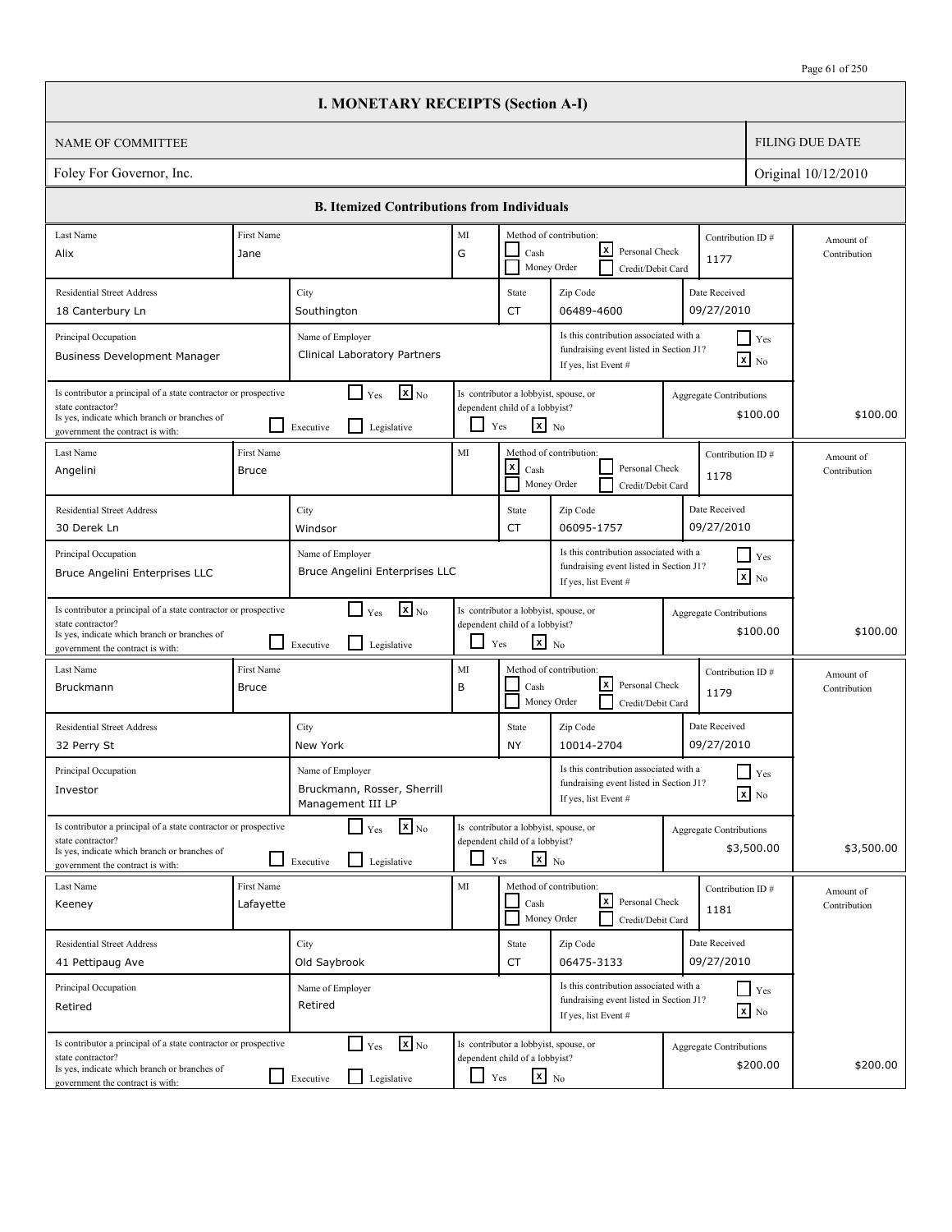|                                                                                                                                                                          |                                                                                                                                                                                                                                                                                                            | <b>I. MONETARY RECEIPTS (Section A-I)</b>                                                   |            |                                                                                                   |                                                                                                                                     |  |                                              |                           |
|--------------------------------------------------------------------------------------------------------------------------------------------------------------------------|------------------------------------------------------------------------------------------------------------------------------------------------------------------------------------------------------------------------------------------------------------------------------------------------------------|---------------------------------------------------------------------------------------------|------------|---------------------------------------------------------------------------------------------------|-------------------------------------------------------------------------------------------------------------------------------------|--|----------------------------------------------|---------------------------|
| <b>NAME OF COMMITTEE</b>                                                                                                                                                 |                                                                                                                                                                                                                                                                                                            |                                                                                             |            |                                                                                                   |                                                                                                                                     |  |                                              | <b>FILING DUE DATE</b>    |
| Foley For Governor, Inc.                                                                                                                                                 |                                                                                                                                                                                                                                                                                                            |                                                                                             |            |                                                                                                   |                                                                                                                                     |  |                                              | Original 10/12/2010       |
|                                                                                                                                                                          |                                                                                                                                                                                                                                                                                                            | <b>B. Itemized Contributions from Individuals</b>                                           |            |                                                                                                   |                                                                                                                                     |  |                                              |                           |
| Last Name                                                                                                                                                                | First Name                                                                                                                                                                                                                                                                                                 |                                                                                             | MI         |                                                                                                   | Method of contribution:                                                                                                             |  | Contribution ID#                             | Amount of                 |
| Alix                                                                                                                                                                     | Jane                                                                                                                                                                                                                                                                                                       | lxl<br>G<br>Personal Check<br>Cash<br>1177<br>Money Order<br>Credit/Debit Card              |            |                                                                                                   |                                                                                                                                     |  |                                              | Contribution              |
| <b>Residential Street Address</b>                                                                                                                                        |                                                                                                                                                                                                                                                                                                            | City                                                                                        |            | State                                                                                             | Zip Code                                                                                                                            |  | Date Received                                |                           |
| 18 Canterbury Ln                                                                                                                                                         |                                                                                                                                                                                                                                                                                                            | Southington                                                                                 |            | CT                                                                                                | 06489-4600                                                                                                                          |  | 09/27/2010                                   |                           |
| Principal Occupation<br>Business Development Manager                                                                                                                     |                                                                                                                                                                                                                                                                                                            | Name of Employer<br>Clinical Laboratory Partners                                            |            |                                                                                                   | Is this contribution associated with a<br>fundraising event listed in Section J1?<br>If yes, list Event #                           |  | $\Box$ Yes<br>$\mathbf{X}$ No                |                           |
| state contractor?<br>Is yes, indicate which branch or branches of<br>government the contract is with:                                                                    | $\mathbf{x}$ <sub>No</sub><br>$\Box$ Yes<br>Is contributor a principal of a state contractor or prospective<br>Is contributor a lobbyist, spouse, or<br><b>Aggregate Contributions</b><br>dependent child of a lobbyist?<br>\$100.00<br>$\mathbf{x}$ No<br>$\mathsf{L}$<br>Yes<br>Legislative<br>Executive |                                                                                             |            |                                                                                                   | \$100.00                                                                                                                            |  |                                              |                           |
| Last Name<br>Angelini                                                                                                                                                    | First Name<br><b>Bruce</b>                                                                                                                                                                                                                                                                                 |                                                                                             | MI         | $\mathsf{x}$<br>Cash                                                                              | Method of contribution:<br>Personal Check<br>Money Order<br>Credit/Debit Card                                                       |  | Contribution ID#<br>1178                     | Amount of<br>Contribution |
| <b>Residential Street Address</b><br>30 Derek Ln                                                                                                                         |                                                                                                                                                                                                                                                                                                            | City<br>Windsor                                                                             |            | State<br>CT                                                                                       | Zip Code<br>06095-1757                                                                                                              |  | Date Received<br>09/27/2010                  |                           |
| Principal Occupation<br>Bruce Angelini Enterprises LLC                                                                                                                   | Is this contribution associated with a<br>$\blacksquare$ Yes<br>Name of Employer<br>fundraising event listed in Section J1?<br>Bruce Angelini Enterprises LLC<br>$\boxed{\mathbf{x}}$ No<br>If yes, list Event #                                                                                           |                                                                                             |            |                                                                                                   |                                                                                                                                     |  |                                              |                           |
| Is contributor a principal of a state contractor or prospective<br>state contractor?<br>Is yes, indicate which branch or branches of<br>government the contract is with: | $\blacksquare$                                                                                                                                                                                                                                                                                             | $\mathbf{X}$ <sub>No</sub><br>$\Box$ Yes<br>l 1<br>Legislative<br>Executive                 |            | Is contributor a lobbyist, spouse, or<br>dependent child of a lobbyist?<br>$x_{N0}$<br>Yes        |                                                                                                                                     |  | Aggregate Contributions<br>\$100.00          | \$100.00                  |
| Last Name<br>Bruckmann                                                                                                                                                   | First Name<br><b>Bruce</b>                                                                                                                                                                                                                                                                                 |                                                                                             | MI<br>B    | Cash                                                                                              | Method of contribution:<br>lxl<br>Personal Check<br>Money Order<br>Credit/Debit Card                                                |  | Contribution ID#<br>1179                     | Amount of<br>Contribution |
| <b>Residential Street Address</b><br>32 Perry St                                                                                                                         |                                                                                                                                                                                                                                                                                                            | City<br>New York                                                                            |            | State<br>NY                                                                                       | Zip Code<br>10014-2704                                                                                                              |  | Date Received<br>09/27/2010                  |                           |
| Principal Occupation<br>Investor                                                                                                                                         |                                                                                                                                                                                                                                                                                                            | Name of Employer<br>Bruckmann, Rosser, Sherrill<br>Management III LP                        |            |                                                                                                   | Is this contribution associated with a<br>Yes<br>fundraising event listed in Section J1?<br>$\mathbf{X}$ No<br>If yes, list Event # |  |                                              |                           |
| Is contributor a principal of a state contractor or prospective<br>state contractor?<br>Is yes, indicate which branch or branches of<br>government the contract is with: |                                                                                                                                                                                                                                                                                                            | $\mathbf{X}$ <sub>No</sub><br>$\lceil \,\, \rfloor_{\,\rm Yes}$<br>Legislative<br>Executive | ப          | Is contributor a lobbyist, spouse, or<br>dependent child of a lobbyist?<br>$\mathbf{x}$ No<br>Yes |                                                                                                                                     |  | <b>Aggregate Contributions</b><br>\$3,500.00 | \$3,500.00                |
| Last Name<br>Keeney                                                                                                                                                      | First Name<br>Lafayette                                                                                                                                                                                                                                                                                    |                                                                                             | MI         | Cash                                                                                              | Method of contribution:<br>كا<br>Personal Check<br>Money Order<br>Credit/Debit Card                                                 |  | Contribution ID#<br>1181                     | Amount of<br>Contribution |
| <b>Residential Street Address</b><br>41 Pettipaug Ave                                                                                                                    |                                                                                                                                                                                                                                                                                                            | City<br>Old Saybrook                                                                        |            | State<br>CT                                                                                       | Zip Code<br>06475-3133                                                                                                              |  | Date Received<br>09/27/2010                  |                           |
| Principal Occupation<br>Retired                                                                                                                                          |                                                                                                                                                                                                                                                                                                            | Name of Employer<br>Retired                                                                 |            |                                                                                                   | Is this contribution associated with a<br>fundraising event listed in Section J1?<br>If yes, list Event #                           |  | $Y$ es<br>$\mathbf{x}$ No                    |                           |
| Is contributor a principal of a state contractor or prospective<br>state contractor?<br>Is yes, indicate which branch or branches of<br>government the contract is with: | $\mathsf{L}$                                                                                                                                                                                                                                                                                               | $\mathbf{X}$ <sub>No</sub><br>$\Box$ Yes<br>Legislative<br>Executive                        | $\Box$ Yes | Is contributor a lobbyist, spouse, or<br>dependent child of a lobbyist?<br>$\mathbf{x}$ No        |                                                                                                                                     |  | <b>Aggregate Contributions</b><br>\$200.00   | \$200.00                  |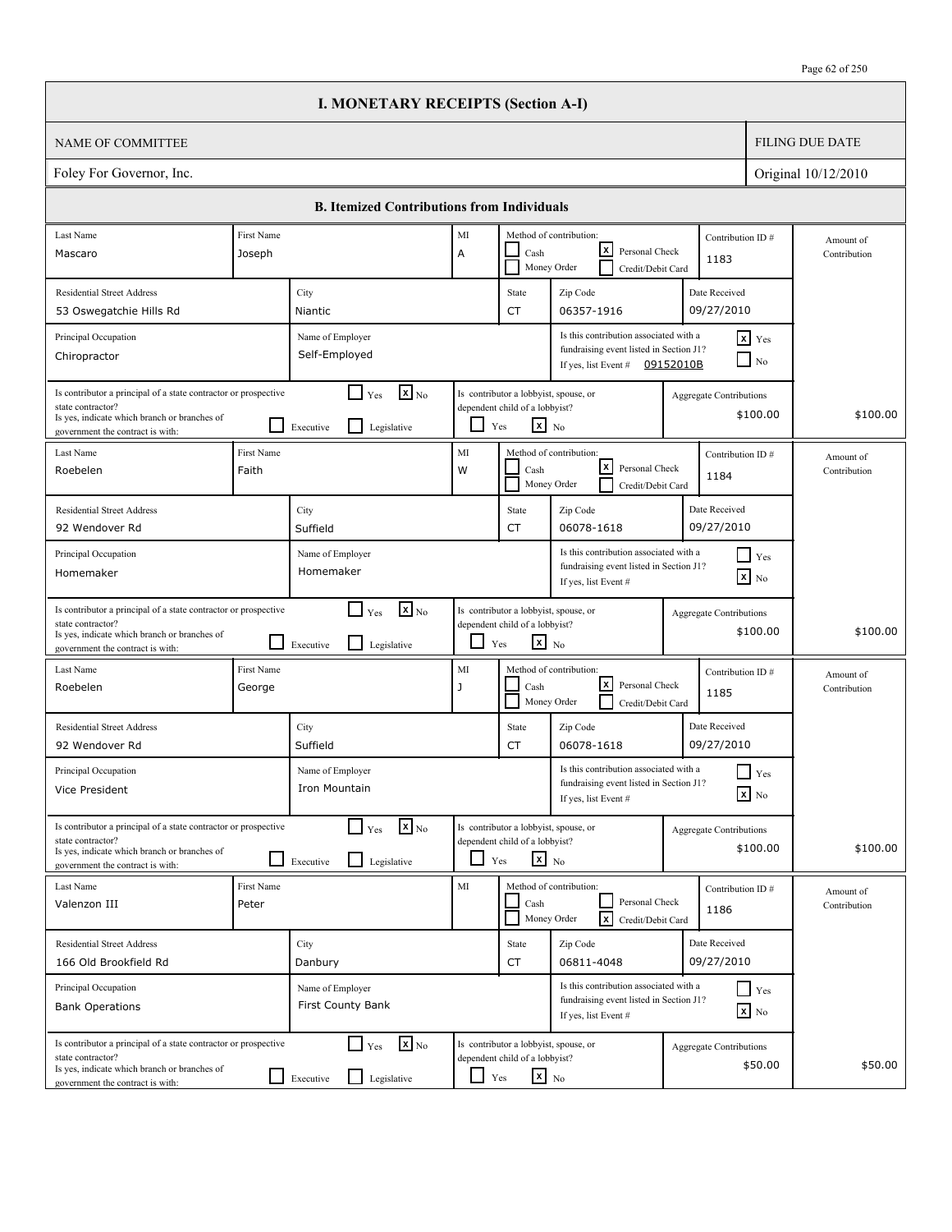|                                                                                                                                                                          |                                                                                                                                                                                                                                                               | <b>I. MONETARY RECEIPTS (Section A-I)</b>                                            |                                                                                                                        |                                                                                                   |                                                                                                                                                    |                                            |                                           |                           |
|--------------------------------------------------------------------------------------------------------------------------------------------------------------------------|---------------------------------------------------------------------------------------------------------------------------------------------------------------------------------------------------------------------------------------------------------------|--------------------------------------------------------------------------------------|------------------------------------------------------------------------------------------------------------------------|---------------------------------------------------------------------------------------------------|----------------------------------------------------------------------------------------------------------------------------------------------------|--------------------------------------------|-------------------------------------------|---------------------------|
| <b>NAME OF COMMITTEE</b>                                                                                                                                                 |                                                                                                                                                                                                                                                               |                                                                                      |                                                                                                                        |                                                                                                   |                                                                                                                                                    |                                            |                                           | <b>FILING DUE DATE</b>    |
| Foley For Governor, Inc.                                                                                                                                                 |                                                                                                                                                                                                                                                               |                                                                                      |                                                                                                                        |                                                                                                   |                                                                                                                                                    |                                            |                                           | Original 10/12/2010       |
|                                                                                                                                                                          |                                                                                                                                                                                                                                                               | <b>B. Itemized Contributions from Individuals</b>                                    |                                                                                                                        |                                                                                                   |                                                                                                                                                    |                                            |                                           |                           |
| Last Name                                                                                                                                                                | First Name                                                                                                                                                                                                                                                    |                                                                                      | MI                                                                                                                     |                                                                                                   | Method of contribution:                                                                                                                            |                                            | Contribution ID#                          | Amount of                 |
| Mascaro                                                                                                                                                                  | Joseph                                                                                                                                                                                                                                                        |                                                                                      | A                                                                                                                      | Cash                                                                                              | x <br>Personal Check<br>Money Order<br>Credit/Debit Card                                                                                           |                                            | 1183                                      | Contribution              |
| <b>Residential Street Address</b><br>53 Oswegatchie Hills Rd                                                                                                             |                                                                                                                                                                                                                                                               | City<br>Niantic                                                                      |                                                                                                                        | State<br>CT                                                                                       | Zip Code<br>06357-1916                                                                                                                             |                                            | Date Received<br>09/27/2010               |                           |
| Principal Occupation<br>Chiropractor                                                                                                                                     |                                                                                                                                                                                                                                                               | Name of Employer<br>Self-Employed                                                    | Is this contribution associated with a<br>fundraising event listed in Section J1?<br>If yes, list Event #<br>09152010B |                                                                                                   |                                                                                                                                                    |                                            | $x$ Yes<br>$\Box$ No                      |                           |
| state contractor?<br>Is yes, indicate which branch or branches of<br>government the contract is with:                                                                    | $\boxed{\mathbf{x}}$ <sub>No</sub><br>$\Box$ Yes<br>Is contributor a principal of a state contractor or prospective<br>Is contributor a lobbyist, spouse, or<br>dependent child of a lobbyist?<br>$x_{N0}$<br>Yes<br>$\mathsf{L}$<br>Legislative<br>Executive |                                                                                      |                                                                                                                        |                                                                                                   | Aggregate Contributions<br>\$100.00                                                                                                                | \$100.00                                   |                                           |                           |
| Last Name<br>Roebelen                                                                                                                                                    | First Name<br>Faith                                                                                                                                                                                                                                           |                                                                                      | MI<br>W                                                                                                                | Cash<br>Money Order                                                                               | Method of contribution:<br>$\lfloor x \rfloor$<br>Personal Check<br>Credit/Debit Card                                                              |                                            | Contribution ID#<br>1184                  | Amount of<br>Contribution |
| <b>Residential Street Address</b><br>92 Wendover Rd                                                                                                                      |                                                                                                                                                                                                                                                               | City<br>Suffield                                                                     |                                                                                                                        | State<br>CT                                                                                       | Date Received<br>Zip Code<br>09/27/2010<br>06078-1618                                                                                              |                                            |                                           |                           |
| Principal Occupation<br>Homemaker                                                                                                                                        | Is this contribution associated with a<br>$\Box$ Yes<br>Name of Employer<br>fundraising event listed in Section J1?<br>Homemaker<br>$\boxed{\mathbf{x}}$ No<br>If yes, list Event #                                                                           |                                                                                      |                                                                                                                        |                                                                                                   |                                                                                                                                                    |                                            |                                           |                           |
| Is contributor a principal of a state contractor or prospective<br>state contractor?<br>Is yes, indicate which branch or branches of<br>government the contract is with: |                                                                                                                                                                                                                                                               | $\mathbf{x}$ <sub>No</sub><br>$\mathsf{L}$<br>Yes<br>l 1<br>Legislative<br>Executive | $\overline{\phantom{0}}$                                                                                               | Is contributor a lobbyist, spouse, or<br>dependent child of a lobbyist?<br>$\mathbf{x}$ No<br>Yes |                                                                                                                                                    |                                            | Aggregate Contributions<br>\$100.00       | \$100.00                  |
| Last Name<br>Roebelen                                                                                                                                                    | First Name<br>George                                                                                                                                                                                                                                          |                                                                                      | MI<br>J                                                                                                                | Cash                                                                                              | Method of contribution:<br> x <br>Personal Check<br>Money Order<br>Credit/Debit Card                                                               |                                            | Contribution ID#<br>1185                  | Amount of<br>Contribution |
| <b>Residential Street Address</b><br>92 Wendover Rd                                                                                                                      |                                                                                                                                                                                                                                                               | City<br>Suffield                                                                     |                                                                                                                        | State<br>CT                                                                                       | Zip Code<br>06078-1618                                                                                                                             |                                            | Date Received<br>09/27/2010               |                           |
| Principal Occupation<br>Vice President                                                                                                                                   |                                                                                                                                                                                                                                                               | Name of Employer<br>Iron Mountain                                                    |                                                                                                                        |                                                                                                   | Is this contribution associated with a<br>$\blacksquare$ Yes<br>fundraising event listed in Section J1?<br>$\mathbf{X}$ No<br>If yes, list Event # |                                            |                                           |                           |
| Is contributor a principal of a state contractor or prospective<br>state contractor?<br>Is yes, indicate which branch or branches of<br>government the contract is with: |                                                                                                                                                                                                                                                               | $\mathbf{x}$ <sub>No</sub><br>$\Box$ Yes<br>Legislative<br>Executive                 | Is contributor a lobbyist, spouse, or<br>dependent child of a lobbyist?<br>$x_{N0}$<br>$\Box$<br>Yes                   |                                                                                                   |                                                                                                                                                    | <b>Aggregate Contributions</b><br>\$100.00 | \$100.00                                  |                           |
| Last Name<br>Valenzon III                                                                                                                                                | First Name<br>Peter                                                                                                                                                                                                                                           |                                                                                      | MI                                                                                                                     | Cash                                                                                              | Method of contribution:<br>Personal Check<br><b>x</b><br>Money Order<br>Credit/Debit Card                                                          |                                            | Contribution ID#<br>1186                  | Amount of<br>Contribution |
| <b>Residential Street Address</b><br>166 Old Brookfield Rd                                                                                                               |                                                                                                                                                                                                                                                               | City<br>Danbury                                                                      |                                                                                                                        | State<br>CT                                                                                       | Zip Code<br>06811-4048                                                                                                                             |                                            | Date Received<br>09/27/2010               |                           |
| Principal Occupation<br><b>Bank Operations</b>                                                                                                                           |                                                                                                                                                                                                                                                               | Name of Employer<br>First County Bank                                                |                                                                                                                        |                                                                                                   | Is this contribution associated with a<br>fundraising event listed in Section J1?<br>If yes, list Event #                                          |                                            | $\Box$ Yes<br>$\mathbf{x}$ No             |                           |
| Is contributor a principal of a state contractor or prospective<br>state contractor?<br>Is yes, indicate which branch or branches of<br>government the contract is with: |                                                                                                                                                                                                                                                               | $\Box$ Yes<br>$\mathbf{x}$ <sub>No</sub><br>Legislative<br>Executive                 | ப                                                                                                                      | Is contributor a lobbyist, spouse, or<br>dependent child of a lobbyist?<br>$\mathbf{x}$ No<br>Yes |                                                                                                                                                    |                                            | <b>Aggregate Contributions</b><br>\$50.00 | \$50.00                   |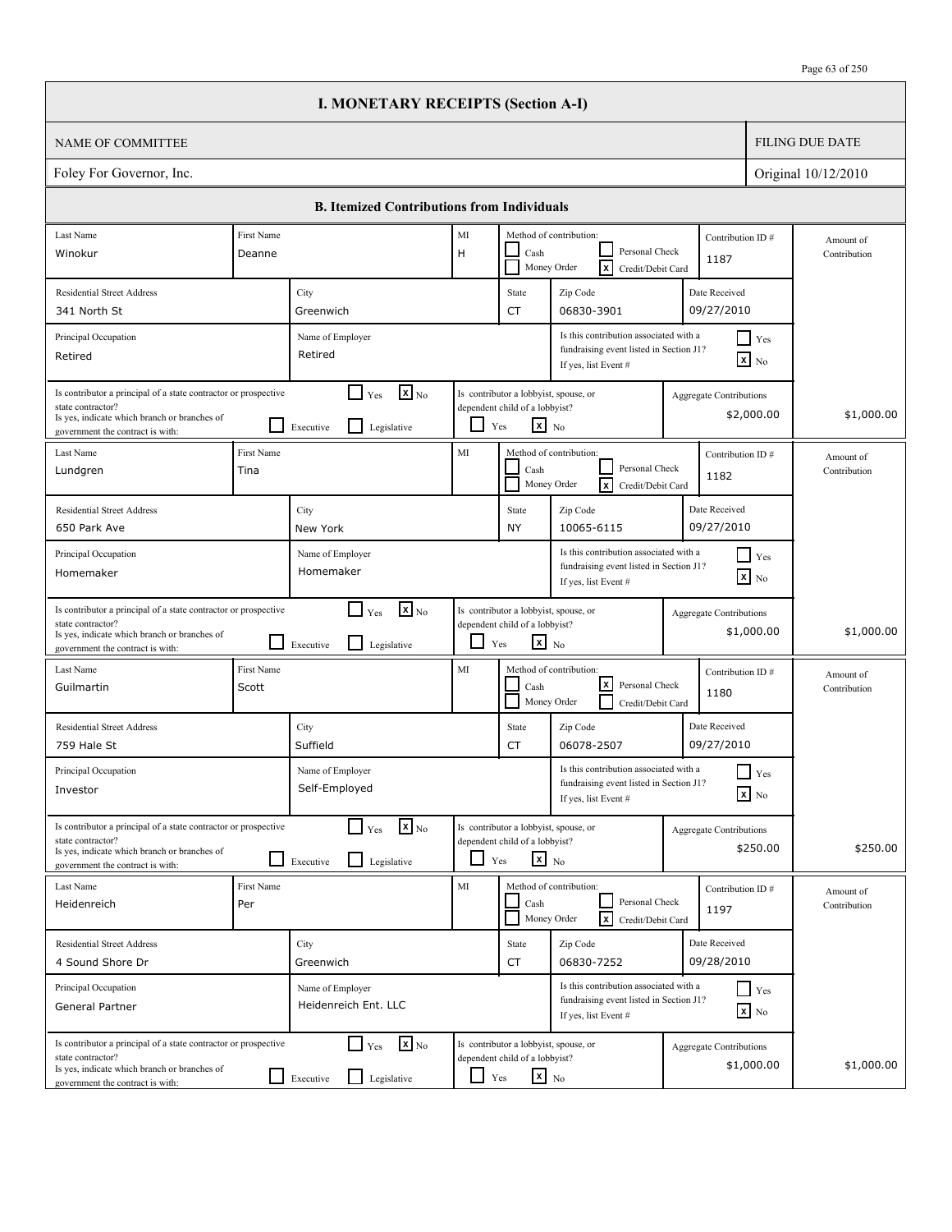|                                                                                                                                                                          |                                                                                                                                                                                                                 | <b>I. MONETARY RECEIPTS (Section A-I)</b>                                   |                                                                                                                                                    |                                                                                                   |                                                                                                                 |            |                                              |                           |
|--------------------------------------------------------------------------------------------------------------------------------------------------------------------------|-----------------------------------------------------------------------------------------------------------------------------------------------------------------------------------------------------------------|-----------------------------------------------------------------------------|----------------------------------------------------------------------------------------------------------------------------------------------------|---------------------------------------------------------------------------------------------------|-----------------------------------------------------------------------------------------------------------------|------------|----------------------------------------------|---------------------------|
| <b>NAME OF COMMITTEE</b>                                                                                                                                                 |                                                                                                                                                                                                                 |                                                                             |                                                                                                                                                    |                                                                                                   |                                                                                                                 |            |                                              | <b>FILING DUE DATE</b>    |
| Foley For Governor, Inc.                                                                                                                                                 |                                                                                                                                                                                                                 |                                                                             |                                                                                                                                                    |                                                                                                   |                                                                                                                 |            |                                              | Original 10/12/2010       |
|                                                                                                                                                                          |                                                                                                                                                                                                                 | <b>B. Itemized Contributions from Individuals</b>                           |                                                                                                                                                    |                                                                                                   |                                                                                                                 |            |                                              |                           |
| Last Name                                                                                                                                                                | First Name                                                                                                                                                                                                      |                                                                             | MI                                                                                                                                                 |                                                                                                   | Method of contribution:                                                                                         |            | Contribution ID#                             | Amount of                 |
| Winokur                                                                                                                                                                  | Deanne                                                                                                                                                                                                          |                                                                             | H                                                                                                                                                  | Cash                                                                                              | Personal Check<br>$\overline{\mathbf{x}}$<br>Money Order<br>Credit/Debit Card                                   |            | 1187                                         | Contribution              |
| <b>Residential Street Address</b>                                                                                                                                        |                                                                                                                                                                                                                 | City                                                                        |                                                                                                                                                    | State                                                                                             | Zip Code                                                                                                        |            | Date Received                                |                           |
| 341 North St                                                                                                                                                             |                                                                                                                                                                                                                 | Greenwich                                                                   |                                                                                                                                                    | CT                                                                                                | 06830-3901                                                                                                      |            | 09/27/2010                                   |                           |
| Principal Occupation<br>Retired                                                                                                                                          |                                                                                                                                                                                                                 | Name of Employer<br>Retired                                                 | Is this contribution associated with a<br>$\blacksquare$ Yes<br>fundraising event listed in Section J1?<br>$\mathbf{x}$ No<br>If yes, list Event # |                                                                                                   |                                                                                                                 |            |                                              |                           |
| Is contributor a principal of a state contractor or prospective<br>state contractor?<br>Is yes, indicate which branch or branches of<br>government the contract is with: | $\mathbf{X}$ <sub>No</sub><br>$\blacksquare$<br>Is contributor a lobbyist, spouse, or<br>Yes<br>Aggregate Contributions<br>dependent child of a lobbyist?<br>$x_{N0}$<br>Yes<br>l 1<br>Legislative<br>Executive |                                                                             |                                                                                                                                                    |                                                                                                   | \$2,000.00                                                                                                      | \$1,000.00 |                                              |                           |
| Last Name<br>Lundgren                                                                                                                                                    | <b>First Name</b><br>Tina                                                                                                                                                                                       |                                                                             | MI                                                                                                                                                 | Cash                                                                                              | Method of contribution:<br>Contribution ID#<br>Personal Check<br>1182<br>Money Order<br> x<br>Credit/Debit Card |            |                                              | Amount of<br>Contribution |
| <b>Residential Street Address</b>                                                                                                                                        | Date Received<br>City<br>State<br>Zip Code                                                                                                                                                                      |                                                                             |                                                                                                                                                    |                                                                                                   |                                                                                                                 |            |                                              |                           |
| 650 Park Ave                                                                                                                                                             |                                                                                                                                                                                                                 | New York                                                                    |                                                                                                                                                    | NY                                                                                                | 10065-6115                                                                                                      |            | 09/27/2010                                   |                           |
| Principal Occupation<br>Homemaker                                                                                                                                        | Is this contribution associated with a<br>$\Box$ Yes<br>Name of Employer<br>fundraising event listed in Section J1?<br>Homemaker<br>$\boxed{\mathbf{x}}$ No<br>If yes, list Event #                             |                                                                             |                                                                                                                                                    |                                                                                                   |                                                                                                                 |            |                                              |                           |
| Is contributor a principal of a state contractor or prospective<br>state contractor?<br>Is yes, indicate which branch or branches of<br>government the contract is with: |                                                                                                                                                                                                                 | $\mathbf{x}$ <sub>No</sub><br>l 1<br>Yes<br>l 1<br>Legislative<br>Executive | $\overline{\phantom{0}}$                                                                                                                           | Is contributor a lobbyist, spouse, or<br>dependent child of a lobbyist?<br>$\mathbf{x}$ No<br>Yes |                                                                                                                 |            | Aggregate Contributions<br>\$1,000.00        | \$1,000.00                |
| Last Name<br>Guilmartin                                                                                                                                                  | First Name<br>Scott                                                                                                                                                                                             |                                                                             | MI                                                                                                                                                 | Cash                                                                                              | Method of contribution:<br> x <br>Personal Check<br>Money Order<br>Credit/Debit Card                            |            | Contribution ID#<br>1180                     | Amount of<br>Contribution |
| <b>Residential Street Address</b><br>759 Hale St                                                                                                                         |                                                                                                                                                                                                                 | City<br>Suffield                                                            |                                                                                                                                                    | State<br>CT                                                                                       | Zip Code<br>06078-2507                                                                                          |            | Date Received<br>09/27/2010                  |                           |
| Principal Occupation<br>Investor                                                                                                                                         |                                                                                                                                                                                                                 | Name of Employer<br>Self-Employed                                           |                                                                                                                                                    |                                                                                                   | Is this contribution associated with a<br>fundraising event listed in Section J1?<br>If yes, list Event #       |            | $\blacksquare$ Yes<br>$\mathbf{X}$ No        |                           |
| Is contributor a principal of a state contractor or prospective<br>state contractor?<br>Is yes, indicate which branch or branches of<br>government the contract is with: |                                                                                                                                                                                                                 | $\mathbf{x}$ <sub>No</sub><br>$\Box$ Yes<br>Legislative<br>Executive        | $\Box$                                                                                                                                             | Is contributor a lobbyist, spouse, or<br>dependent child of a lobbyist?<br>$x_{N0}$<br>Yes        |                                                                                                                 |            | <b>Aggregate Contributions</b><br>\$250.00   | \$250.00                  |
| Last Name<br>Heidenreich                                                                                                                                                 | First Name<br>Per                                                                                                                                                                                               |                                                                             | MI                                                                                                                                                 | Cash                                                                                              | Method of contribution:<br>Personal Check<br>Money Order<br><b>x</b><br>Credit/Debit Card                       |            | Contribution ID#<br>1197                     | Amount of<br>Contribution |
| <b>Residential Street Address</b>                                                                                                                                        |                                                                                                                                                                                                                 | City                                                                        |                                                                                                                                                    | State                                                                                             | Zip Code<br>06830-7252                                                                                          |            | Date Received                                |                           |
| 4 Sound Shore Dr                                                                                                                                                         |                                                                                                                                                                                                                 | Greenwich                                                                   |                                                                                                                                                    | CT                                                                                                | Is this contribution associated with a                                                                          |            | 09/28/2010                                   |                           |
| Principal Occupation<br>General Partner                                                                                                                                  |                                                                                                                                                                                                                 | Name of Employer<br>Heidenreich Ent. LLC                                    |                                                                                                                                                    |                                                                                                   | fundraising event listed in Section J1?<br>If yes, list Event #                                                 |            | $\Box$ Yes<br>$\mathbf{x}$ No                |                           |
| Is contributor a principal of a state contractor or prospective<br>state contractor?<br>Is yes, indicate which branch or branches of<br>government the contract is with: |                                                                                                                                                                                                                 | $\Box$ Yes<br>$\mathbf{x}$ <sub>No</sub><br>Legislative<br>Executive        | ப                                                                                                                                                  | Is contributor a lobbyist, spouse, or<br>dependent child of a lobbyist?<br>$\mathbf{x}$ No<br>Yes |                                                                                                                 |            | <b>Aggregate Contributions</b><br>\$1,000.00 | \$1,000.00                |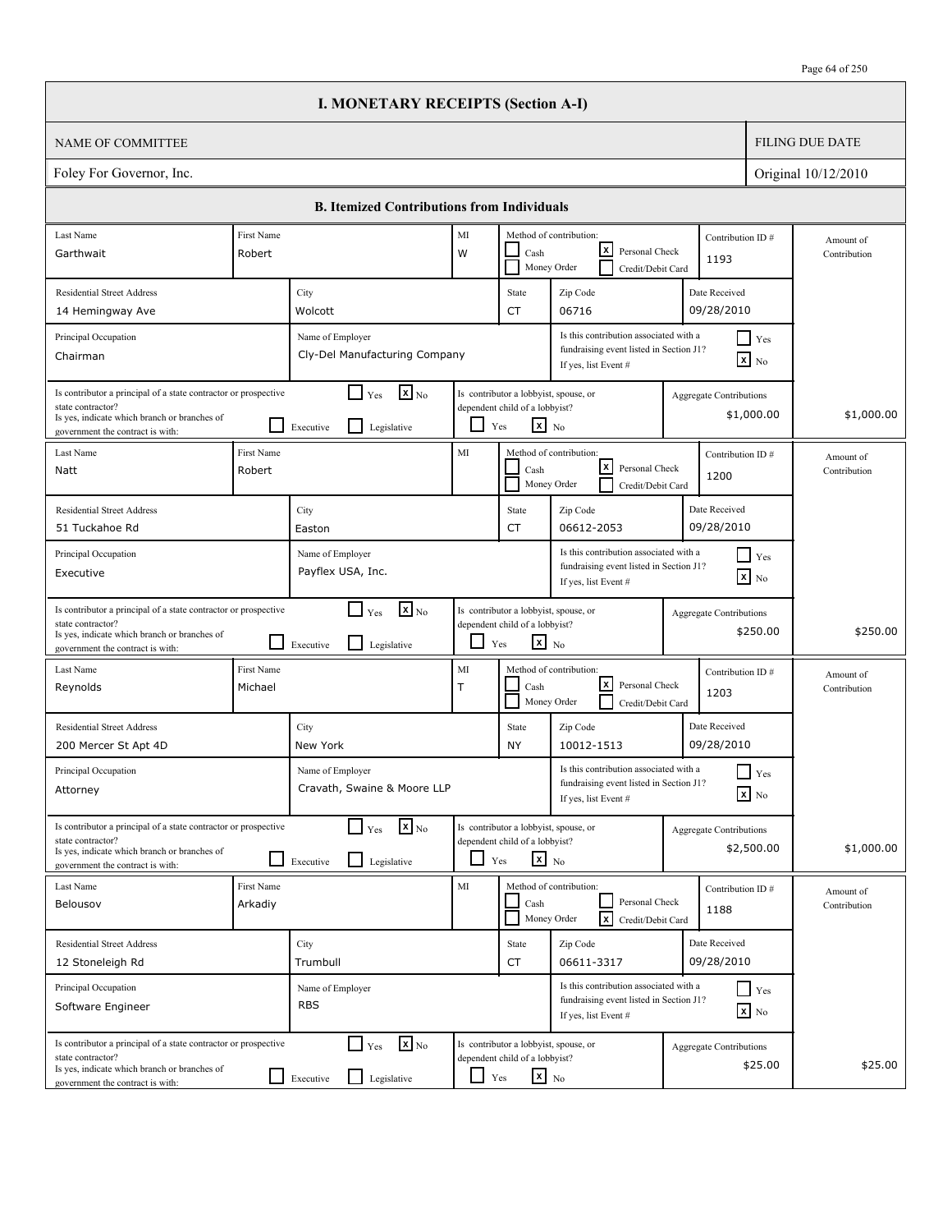| Page 64 of 250 |
|----------------|
|----------------|

|                                                                                                                                                                          |                                                                                                                                                                                             | <b>I. MONETARY RECEIPTS (Section A-I)</b>                                            |              |                                                                                                                    |                                                                                                           |                                |                               |                           |
|--------------------------------------------------------------------------------------------------------------------------------------------------------------------------|---------------------------------------------------------------------------------------------------------------------------------------------------------------------------------------------|--------------------------------------------------------------------------------------|--------------|--------------------------------------------------------------------------------------------------------------------|-----------------------------------------------------------------------------------------------------------|--------------------------------|-------------------------------|---------------------------|
| <b>NAME OF COMMITTEE</b>                                                                                                                                                 |                                                                                                                                                                                             |                                                                                      |              |                                                                                                                    |                                                                                                           |                                |                               | <b>FILING DUE DATE</b>    |
| Foley For Governor, Inc.                                                                                                                                                 |                                                                                                                                                                                             |                                                                                      |              |                                                                                                                    |                                                                                                           |                                |                               | Original 10/12/2010       |
|                                                                                                                                                                          |                                                                                                                                                                                             | <b>B. Itemized Contributions from Individuals</b>                                    |              |                                                                                                                    |                                                                                                           |                                |                               |                           |
| Last Name<br>Garthwait                                                                                                                                                   | First Name<br>Robert                                                                                                                                                                        |                                                                                      | MI<br>W      | Cash                                                                                                               | Method of contribution:<br>lxl<br>Personal Check<br>Money Order<br>Credit/Debit Card                      | 1193                           | Contribution ID#              | Amount of<br>Contribution |
| <b>Residential Street Address</b><br>14 Hemingway Ave                                                                                                                    |                                                                                                                                                                                             | City<br>Wolcott                                                                      |              | State<br><b>CT</b>                                                                                                 | Zip Code<br>06716                                                                                         | Date Received<br>09/28/2010    |                               |                           |
| Principal Occupation<br>Chairman                                                                                                                                         |                                                                                                                                                                                             | Name of Employer<br>Cly-Del Manufacturing Company                                    |              |                                                                                                                    | Is this contribution associated with a<br>fundraising event listed in Section J1?<br>If yes, list Event # |                                | $\Box$ Yes<br>$\mathbf{X}$ No |                           |
| Is contributor a principal of a state contractor or prospective<br>state contractor?<br>Is yes, indicate which branch or branches of<br>government the contract is with: |                                                                                                                                                                                             | $\mathbf{x}$ <sub>No</sub><br>$\Box$ Yes<br>l 1<br>Executive<br>Legislative          | ப            | Is contributor a lobbyist, spouse, or<br>dependent child of a lobbyist?<br>$\mathbf{x}$ No<br>$\operatorname{Yes}$ |                                                                                                           | Aggregate Contributions        | \$1,000.00                    | \$1,000.00                |
| Last Name<br>Natt                                                                                                                                                        | First Name<br>Robert                                                                                                                                                                        |                                                                                      | MI           | Cash                                                                                                               | Method of contribution:<br>$\vert x \vert$<br>Personal Check<br>Money Order<br>Credit/Debit Card          | 1200                           | Contribution ID#              | Amount of<br>Contribution |
| <b>Residential Street Address</b><br>51 Tuckahoe Rd                                                                                                                      |                                                                                                                                                                                             | City<br>Easton                                                                       |              | State<br><b>CT</b>                                                                                                 | Zip Code<br>06612-2053                                                                                    |                                |                               |                           |
| Principal Occupation<br>Executive                                                                                                                                        | Is this contribution associated with a<br>$\blacksquare$ Yes<br>Name of Employer<br>fundraising event listed in Section J1?<br>Payflex USA, Inc.<br>$\mathbf{x}$ No<br>If yes, list Event # |                                                                                      |              |                                                                                                                    |                                                                                                           |                                |                               |                           |
| Is contributor a principal of a state contractor or prospective<br>state contractor?<br>Is yes, indicate which branch or branches of<br>government the contract is with: |                                                                                                                                                                                             | $\mathbf{X}$ <sub>No</sub><br>$\Box$ Yes<br>$\mathsf{L}$<br>Legislative<br>Executive | - 1          | Is contributor a lobbyist, spouse, or<br>dependent child of a lobbyist?<br>$\mathbf{x}$ No<br>Yes                  |                                                                                                           | <b>Aggregate Contributions</b> | \$250.00                      | \$250.00                  |
| Last Name<br>Reynolds                                                                                                                                                    | First Name<br>Michael                                                                                                                                                                       |                                                                                      | MI<br>$\top$ | Cash                                                                                                               | Method of contribution:<br>lxl<br>Personal Check<br>Money Order<br>Credit/Debit Card                      | 1203                           | Contribution ID#              | Amount of<br>Contribution |
| <b>Residential Street Address</b><br>200 Mercer St Apt 4D                                                                                                                |                                                                                                                                                                                             | City<br>New York                                                                     |              | State<br>ΝY                                                                                                        | Zip Code<br>10012-1513                                                                                    | Date Received<br>09/28/2010    |                               |                           |
| Principal Occupation<br>Attorney                                                                                                                                         |                                                                                                                                                                                             | Name of Employer<br>Cravath, Swaine & Moore LLP                                      |              |                                                                                                                    | Is this contribution associated with a<br>fundraising event listed in Section J1?<br>If yes, list Event # |                                | $\Box$ Yes<br>$\mathbf{X}$ No |                           |
| Is contributor a principal of a state contractor or prospective<br>state contractor?<br>Is yes, indicate which branch or branches of<br>government the contract is with: |                                                                                                                                                                                             | $\mathbf{x}$ <sub>No</sub><br>$\Box$ Yes<br>$\mathsf{L}$<br>Legislative<br>Executive |              | Is contributor a lobbyist, spouse, or<br>dependent child of a lobbyist?<br>$\mathbf{x}$ No<br>Yes                  |                                                                                                           | <b>Aggregate Contributions</b> | \$2,500.00                    | \$1,000.00                |
| Last Name<br>Belousov                                                                                                                                                    | First Name<br>Arkadiy                                                                                                                                                                       |                                                                                      | MI           | Cash                                                                                                               | Method of contribution:<br>Personal Check<br>Money Order<br>lxl<br>Credit/Debit Card                      | 1188                           | Contribution ID#              | Amount of<br>Contribution |
| <b>Residential Street Address</b><br>12 Stoneleigh Rd                                                                                                                    |                                                                                                                                                                                             | City<br>Trumbull                                                                     |              | State<br>CT                                                                                                        | Zip Code<br>06611-3317                                                                                    | Date Received<br>09/28/2010    |                               |                           |
| Principal Occupation<br>Software Engineer                                                                                                                                |                                                                                                                                                                                             | Name of Employer<br><b>RBS</b>                                                       |              |                                                                                                                    | Is this contribution associated with a<br>fundraising event listed in Section J1?<br>If yes, list Event # |                                | $\Box$ Yes<br>$\mathbf{x}$ No |                           |
| Is contributor a principal of a state contractor or prospective<br>state contractor?<br>Is yes, indicate which branch or branches of<br>government the contract is with: |                                                                                                                                                                                             | $\mathbf{x}$ <sub>No</sub><br>$\Box$ Yes<br>Legislative<br>$\Box$ Executive          | $\Box$ Yes   | Is contributor a lobbyist, spouse, or<br>dependent child of a lobbyist?<br>$x_{\text{No}}$                         |                                                                                                           | Aggregate Contributions        | \$25.00                       | \$25.00                   |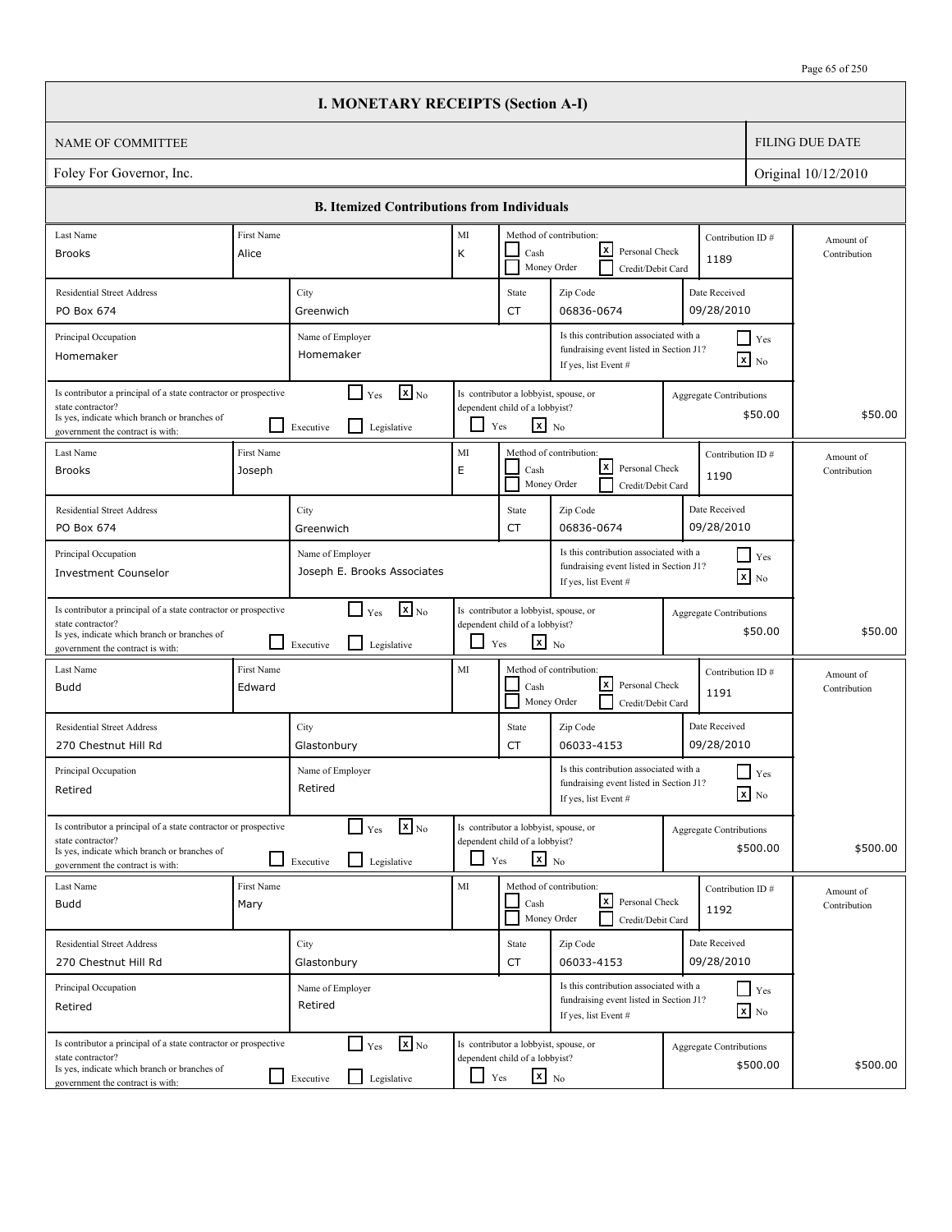|                                                                                                                                                                          |                                                                                                                                                                                                                                                                                           | <b>I. MONETARY RECEIPTS (Section A-I)</b>                                       |                                                                                                           |                                                                                                   |                                                                                                           |         |                                            |                           |
|--------------------------------------------------------------------------------------------------------------------------------------------------------------------------|-------------------------------------------------------------------------------------------------------------------------------------------------------------------------------------------------------------------------------------------------------------------------------------------|---------------------------------------------------------------------------------|-----------------------------------------------------------------------------------------------------------|---------------------------------------------------------------------------------------------------|-----------------------------------------------------------------------------------------------------------|---------|--------------------------------------------|---------------------------|
| <b>NAME OF COMMITTEE</b>                                                                                                                                                 |                                                                                                                                                                                                                                                                                           |                                                                                 |                                                                                                           |                                                                                                   |                                                                                                           |         |                                            | <b>FILING DUE DATE</b>    |
| Foley For Governor, Inc.                                                                                                                                                 |                                                                                                                                                                                                                                                                                           |                                                                                 |                                                                                                           |                                                                                                   |                                                                                                           |         |                                            | Original 10/12/2010       |
|                                                                                                                                                                          |                                                                                                                                                                                                                                                                                           | <b>B. Itemized Contributions from Individuals</b>                               |                                                                                                           |                                                                                                   |                                                                                                           |         |                                            |                           |
| Last Name                                                                                                                                                                | First Name                                                                                                                                                                                                                                                                                |                                                                                 | MI                                                                                                        |                                                                                                   | Method of contribution:                                                                                   |         | Contribution ID#                           |                           |
| <b>Brooks</b>                                                                                                                                                            | Alice                                                                                                                                                                                                                                                                                     |                                                                                 | K                                                                                                         | Cash                                                                                              | x <br>Personal Check<br>Money Order<br>Credit/Debit Card                                                  |         | 1189                                       | Amount of<br>Contribution |
| <b>Residential Street Address</b>                                                                                                                                        |                                                                                                                                                                                                                                                                                           | City                                                                            |                                                                                                           | State                                                                                             | Zip Code                                                                                                  |         | Date Received                              |                           |
| PO Box 674                                                                                                                                                               |                                                                                                                                                                                                                                                                                           | Greenwich                                                                       |                                                                                                           | CT                                                                                                | 06836-0674                                                                                                |         | 09/28/2010                                 |                           |
| Principal Occupation<br>Homemaker                                                                                                                                        |                                                                                                                                                                                                                                                                                           | Name of Employer<br>Homemaker                                                   | Is this contribution associated with a<br>fundraising event listed in Section J1?<br>If yes, list Event # |                                                                                                   |                                                                                                           |         | $\Box$ Yes<br>$\mathbf{x}$ No              |                           |
| state contractor?<br>Is yes, indicate which branch or branches of<br>government the contract is with:                                                                    | $\mathbf{X}_{\text{No}}$<br>$\blacksquare$<br>Is contributor a principal of a state contractor or prospective<br>Is contributor a lobbyist, spouse, or<br>Yes<br>Aggregate Contributions<br>dependent child of a lobbyist?<br>$x_{N0}$<br>Yes<br>$\mathsf{L}$<br>Legislative<br>Executive |                                                                                 |                                                                                                           |                                                                                                   | \$50.00                                                                                                   | \$50.00 |                                            |                           |
| Last Name<br><b>Brooks</b>                                                                                                                                               | First Name<br>Joseph                                                                                                                                                                                                                                                                      |                                                                                 | MI<br>E                                                                                                   | Cash                                                                                              | Method of contribution:<br> x <br>Personal Check<br>Money Order<br>Credit/Debit Card                      |         | Contribution ID#<br>1190                   | Amount of<br>Contribution |
| <b>Residential Street Address</b>                                                                                                                                        |                                                                                                                                                                                                                                                                                           | City                                                                            |                                                                                                           | State                                                                                             | Zip Code                                                                                                  |         | Date Received                              |                           |
| PO Box 674                                                                                                                                                               |                                                                                                                                                                                                                                                                                           | Greenwich                                                                       |                                                                                                           | CT                                                                                                | 06836-0674                                                                                                |         | 09/28/2010                                 |                           |
| Principal Occupation<br><b>Investment Counselor</b>                                                                                                                      |                                                                                                                                                                                                                                                                                           | Name of Employer<br>Joseph E. Brooks Associates                                 |                                                                                                           |                                                                                                   | Is this contribution associated with a<br>fundraising event listed in Section J1?<br>If yes, list Event # |         | $\Box$ Yes<br>$\boxed{\mathbf{x}}$ No      |                           |
| Is contributor a principal of a state contractor or prospective<br>state contractor?<br>Is yes, indicate which branch or branches of<br>government the contract is with: |                                                                                                                                                                                                                                                                                           | $\mathbf{x}$ <sub>No</sub><br>$\Box$ Yes<br>l 1<br>Legislative<br>Executive     | $\overline{\phantom{0}}$                                                                                  | Is contributor a lobbyist, spouse, or<br>dependent child of a lobbyist?<br>$\mathbf{x}$ No<br>Yes |                                                                                                           |         | Aggregate Contributions<br>\$50.00         | \$50.00                   |
| Last Name<br><b>Budd</b>                                                                                                                                                 | First Name<br>Edward                                                                                                                                                                                                                                                                      |                                                                                 | MI                                                                                                        | Cash                                                                                              | Method of contribution:<br>lx l<br>Personal Check<br>Money Order<br>Credit/Debit Card                     |         | Contribution ID#<br>1191                   | Amount of<br>Contribution |
| <b>Residential Street Address</b><br>270 Chestnut Hill Rd                                                                                                                |                                                                                                                                                                                                                                                                                           | City<br>Glastonbury                                                             |                                                                                                           | State<br>CT                                                                                       | Zip Code<br>06033-4153                                                                                    |         | Date Received<br>09/28/2010                |                           |
| Principal Occupation<br>Retired                                                                                                                                          |                                                                                                                                                                                                                                                                                           | Name of Employer<br>Retired                                                     |                                                                                                           |                                                                                                   | Is this contribution associated with a<br>fundraising event listed in Section J1?<br>If yes, list Event # |         | Yes<br>$\mathbf{X}$ No                     |                           |
| Is contributor a principal of a state contractor or prospective<br>state contractor?<br>Is yes, indicate which branch or branches of<br>government the contract is with: |                                                                                                                                                                                                                                                                                           | $\mathbf{x}$ <sub>No</sub><br>$\Box$ Yes<br>Legislative<br>Executive            | $\Box$                                                                                                    | Is contributor a lobbyist, spouse, or<br>dependent child of a lobbyist?<br>$x_{N0}$<br>Yes        |                                                                                                           |         | <b>Aggregate Contributions</b><br>\$500.00 | \$500.00                  |
| Last Name<br><b>Budd</b>                                                                                                                                                 | First Name<br>Mary                                                                                                                                                                                                                                                                        |                                                                                 | MI                                                                                                        | Cash                                                                                              | Method of contribution:<br> x <br>Personal Check<br>Money Order<br>Credit/Debit Card                      |         | Contribution ID#<br>1192                   | Amount of<br>Contribution |
| <b>Residential Street Address</b><br>270 Chestnut Hill Rd                                                                                                                |                                                                                                                                                                                                                                                                                           | City<br>Glastonbury                                                             |                                                                                                           | State<br>CT                                                                                       | Zip Code<br>06033-4153                                                                                    |         | Date Received<br>09/28/2010                |                           |
| Principal Occupation<br>Retired                                                                                                                                          |                                                                                                                                                                                                                                                                                           | Name of Employer<br>Retired                                                     |                                                                                                           |                                                                                                   | Is this contribution associated with a<br>fundraising event listed in Section J1?<br>If yes, list Event # |         | $\Box$ Yes<br>$\mathbf{x}$ No              |                           |
| Is contributor a principal of a state contractor or prospective<br>state contractor?<br>Is yes, indicate which branch or branches of<br>government the contract is with: |                                                                                                                                                                                                                                                                                           | $\mathbf{x}$ <sub>No</sub><br>$\Box$ Yes<br>$\perp$<br>Legislative<br>Executive | ப                                                                                                         | Is contributor a lobbyist, spouse, or<br>dependent child of a lobbyist?<br>$\mathbf{x}$ No<br>Yes |                                                                                                           |         | <b>Aggregate Contributions</b><br>\$500.00 | \$500.00                  |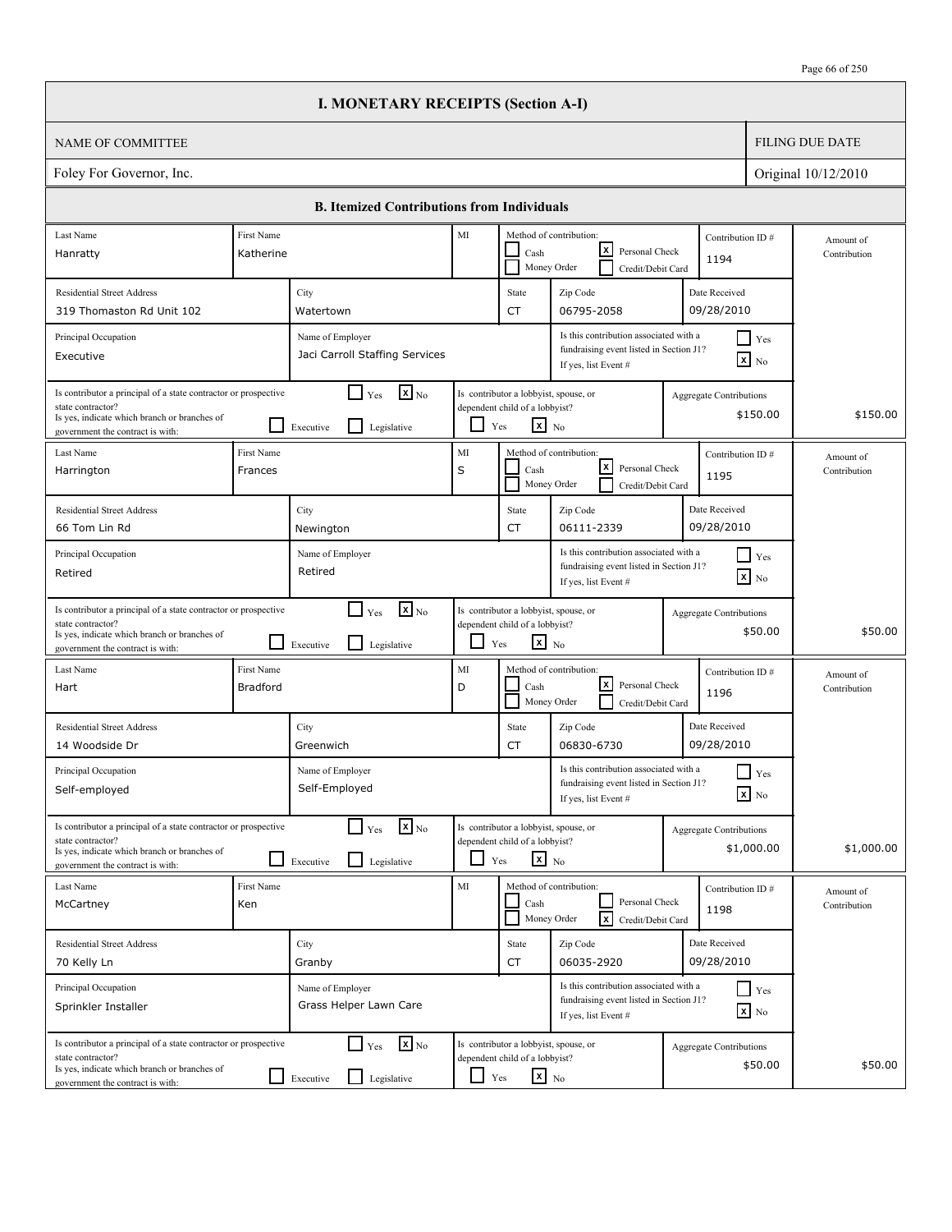| Page 66 of 250 |
|----------------|
|----------------|

|                                                                                                                                                                          |                                                                                                                                                                            |                                                                                                                                                                                                                                              | <b>I. MONETARY RECEIPTS (Section A-I)</b>                               |                                                                                                    |                                                                                                   |                                                                                                                              |                                                                                   |                           |                                |                           |                           |
|--------------------------------------------------------------------------------------------------------------------------------------------------------------------------|----------------------------------------------------------------------------------------------------------------------------------------------------------------------------|----------------------------------------------------------------------------------------------------------------------------------------------------------------------------------------------------------------------------------------------|-------------------------------------------------------------------------|----------------------------------------------------------------------------------------------------|---------------------------------------------------------------------------------------------------|------------------------------------------------------------------------------------------------------------------------------|-----------------------------------------------------------------------------------|---------------------------|--------------------------------|---------------------------|---------------------------|
| <b>NAME OF COMMITTEE</b>                                                                                                                                                 |                                                                                                                                                                            |                                                                                                                                                                                                                                              |                                                                         |                                                                                                    |                                                                                                   |                                                                                                                              |                                                                                   |                           |                                |                           | <b>FILING DUE DATE</b>    |
| Foley For Governor, Inc.                                                                                                                                                 |                                                                                                                                                                            |                                                                                                                                                                                                                                              |                                                                         |                                                                                                    |                                                                                                   |                                                                                                                              |                                                                                   |                           |                                |                           | Original 10/12/2010       |
|                                                                                                                                                                          |                                                                                                                                                                            |                                                                                                                                                                                                                                              | <b>B. Itemized Contributions from Individuals</b>                       |                                                                                                    |                                                                                                   |                                                                                                                              |                                                                                   |                           |                                |                           |                           |
| Last Name<br>Hanratty                                                                                                                                                    | First Name<br>Katherine                                                                                                                                                    |                                                                                                                                                                                                                                              |                                                                         | MI<br>Method of contribution:<br>l×l<br>Personal Check<br>Cash<br>Money Order<br>Credit/Debit Card |                                                                                                   |                                                                                                                              | Contribution ID#<br>1194                                                          | Amount of<br>Contribution |                                |                           |                           |
| <b>Residential Street Address</b><br>319 Thomaston Rd Unit 102                                                                                                           |                                                                                                                                                                            | City<br>Watertown                                                                                                                                                                                                                            |                                                                         |                                                                                                    | State<br>CT                                                                                       | Zip Code<br>06795-2058                                                                                                       |                                                                                   |                           | Date Received<br>09/28/2010    |                           |                           |
| Principal Occupation<br>Executive                                                                                                                                        |                                                                                                                                                                            | Name of Employer                                                                                                                                                                                                                             | Jaci Carroll Staffing Services                                          |                                                                                                    |                                                                                                   | If yes, list Event #                                                                                                         | Is this contribution associated with a<br>fundraising event listed in Section J1? |                           | $\mathbf{x}$ No                | $\Box$ Yes                |                           |
| Is contributor a principal of a state contractor or prospective<br>state contractor?<br>Is yes, indicate which branch or branches of<br>government the contract is with: |                                                                                                                                                                            | $\mathbf{X}$ <sub>No</sub><br>Is contributor a lobbyist, spouse, or<br>$\Box$ Yes<br><b>Aggregate Contributions</b><br>dependent child of a lobbyist?<br>\$150.00<br>$\mathbf{x}$ No<br>⊔<br>$\mathsf{L}$<br>Yes<br>Legislative<br>Executive |                                                                         |                                                                                                    |                                                                                                   |                                                                                                                              | \$150.00                                                                          |                           |                                |                           |                           |
| Last Name<br>Harrington                                                                                                                                                  | First Name<br>Frances                                                                                                                                                      |                                                                                                                                                                                                                                              |                                                                         | MI<br>$\sf S$                                                                                      | Cash                                                                                              | Method of contribution:<br>Contribution ID#<br>$\vert x \vert$<br>Personal Check<br>1195<br>Money Order<br>Credit/Debit Card |                                                                                   |                           |                                | Amount of<br>Contribution |                           |
| <b>Residential Street Address</b><br>66 Tom Lin Rd                                                                                                                       |                                                                                                                                                                            | City<br>Newington                                                                                                                                                                                                                            |                                                                         |                                                                                                    | State<br>CT                                                                                       | Date Received<br>Zip Code<br>09/28/2010<br>06111-2339                                                                        |                                                                                   |                           |                                |                           |                           |
| Principal Occupation<br>Retired                                                                                                                                          | Is this contribution associated with a<br>Name of Employer<br>$\vert$ Yes<br>fundraising event listed in Section J1?<br>Retired<br>$\mathbf{x}$ No<br>If yes, list Event # |                                                                                                                                                                                                                                              |                                                                         |                                                                                                    |                                                                                                   |                                                                                                                              |                                                                                   |                           |                                |                           |                           |
| Is contributor a principal of a state contractor or prospective<br>state contractor?<br>Is yes, indicate which branch or branches of<br>government the contract is with: |                                                                                                                                                                            | Executive                                                                                                                                                                                                                                    | $\mathbf{x}$ <sub>No</sub><br>l 1<br>Yes<br>$\mathsf{L}$<br>Legislative | $\mathbf{I}$                                                                                       | Is contributor a lobbyist, spouse, or<br>dependent child of a lobbyist?<br>$X$ No<br>Yes          |                                                                                                                              |                                                                                   |                           | <b>Aggregate Contributions</b> | \$50.00                   | \$50.00                   |
| Last Name<br>Hart                                                                                                                                                        | First Name<br><b>Bradford</b>                                                                                                                                              |                                                                                                                                                                                                                                              |                                                                         | MI<br>D                                                                                            | Cash                                                                                              | Method of contribution:<br>Money Order                                                                                       | lxl<br>Personal Check<br>Credit/Debit Card                                        |                           | Contribution ID#<br>1196       |                           | Amount of<br>Contribution |
| <b>Residential Street Address</b><br>14 Woodside Dr                                                                                                                      |                                                                                                                                                                            | City<br>Greenwich                                                                                                                                                                                                                            |                                                                         |                                                                                                    | State<br>CT                                                                                       | Zip Code<br>06830-6730                                                                                                       |                                                                                   |                           | Date Received<br>09/28/2010    |                           |                           |
| Principal Occupation<br>Self-employed                                                                                                                                    |                                                                                                                                                                            | Name of Employer<br>Self-Employed                                                                                                                                                                                                            |                                                                         |                                                                                                    |                                                                                                   | If yes, list Event #                                                                                                         | Is this contribution associated with a<br>fundraising event listed in Section J1? |                           | $x$ No                         | $\Box$ Yes                |                           |
| Is contributor a principal of a state contractor or prospective<br>state contractor?<br>Is yes, indicate which branch or branches of<br>government the contract is with: |                                                                                                                                                                            | Executive                                                                                                                                                                                                                                    | $\mathbf{x}$ <sub>No</sub><br>l 1<br>Yes<br>$\mathsf{L}$<br>Legislative | $\blacksquare$                                                                                     | Is contributor a lobbyist, spouse, or<br>dependent child of a lobbyist?<br>$\mathbf{x}$ No<br>Yes |                                                                                                                              |                                                                                   |                           | <b>Aggregate Contributions</b> | \$1,000.00                | \$1,000.00                |
| Last Name<br>McCartney                                                                                                                                                   | First Name<br>Ken                                                                                                                                                          |                                                                                                                                                                                                                                              |                                                                         | $\mathbf{M}\mathbf{I}$                                                                             | Cash                                                                                              | Method of contribution:<br>Money Order                                                                                       | Personal Check<br>lxl<br>Credit/Debit Card                                        |                           | Contribution ID#<br>1198       |                           | Amount of<br>Contribution |
| <b>Residential Street Address</b><br>70 Kelly Ln                                                                                                                         |                                                                                                                                                                            | City<br>Granby                                                                                                                                                                                                                               |                                                                         |                                                                                                    | State<br>CT                                                                                       | Zip Code<br>06035-2920                                                                                                       |                                                                                   |                           | Date Received<br>09/28/2010    |                           |                           |
| Principal Occupation<br>Sprinkler Installer                                                                                                                              |                                                                                                                                                                            | Name of Employer                                                                                                                                                                                                                             | Grass Helper Lawn Care                                                  |                                                                                                    |                                                                                                   | If yes, list Event #                                                                                                         | Is this contribution associated with a<br>fundraising event listed in Section J1? |                           | $\mathbf{x}$ No                | $\Box$ Yes                |                           |
| Is contributor a principal of a state contractor or prospective<br>state contractor?<br>Is yes, indicate which branch or branches of<br>government the contract is with: |                                                                                                                                                                            | $\Box$ Executive                                                                                                                                                                                                                             | $\mathbf{x}$ <sub>No</sub><br>$\Box$ Yes<br>Legislative                 | $\Box$ Yes                                                                                         | Is contributor a lobbyist, spouse, or<br>dependent child of a lobbyist?<br>$x_{N0}$               |                                                                                                                              |                                                                                   |                           | Aggregate Contributions        | \$50.00                   | \$50.00                   |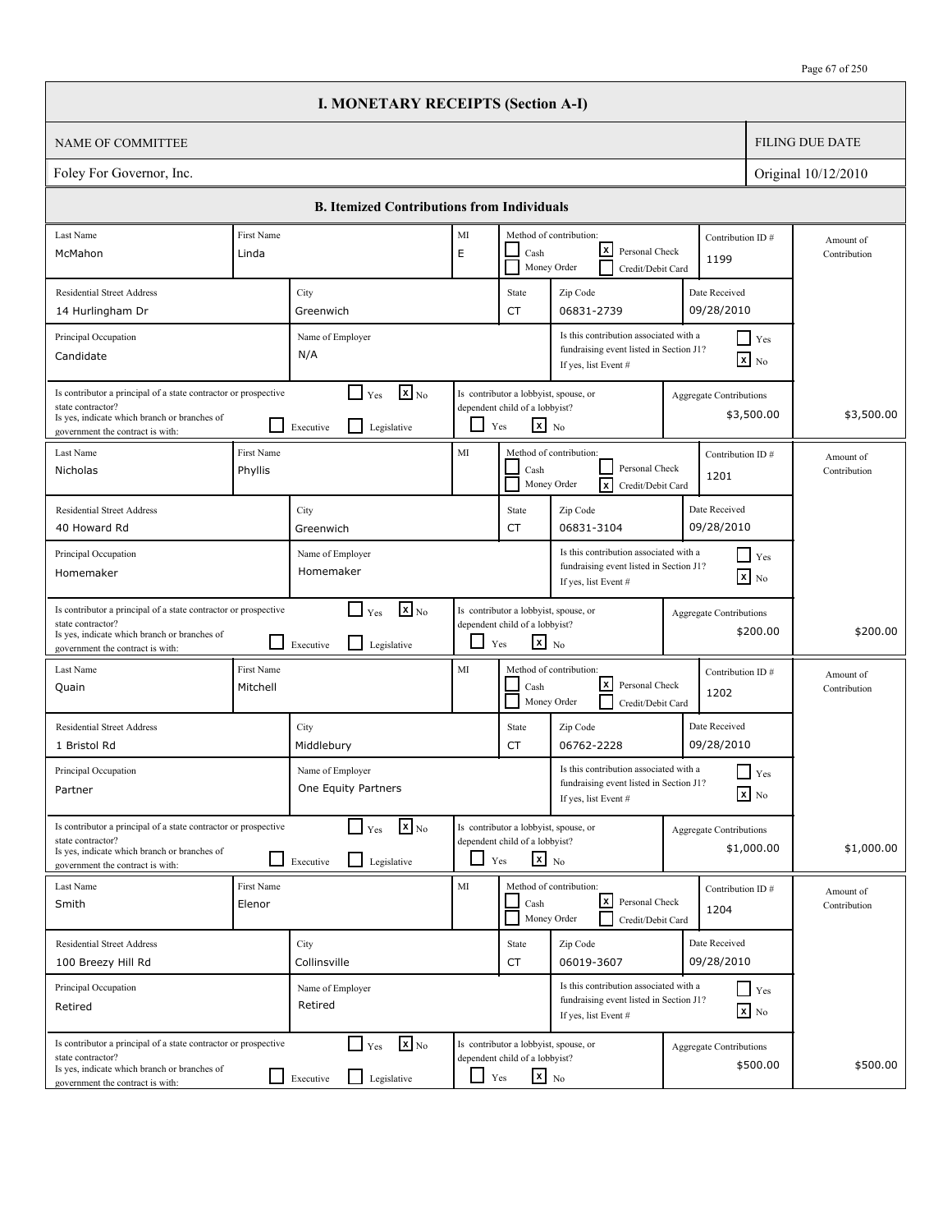|                                                                                                                                                                          |                                                                                                                                                                                                                                                                         | <b>I. MONETARY RECEIPTS (Section A-I)</b>                                            |                                                                                                        |                                                                                                   |                                                                                                                  |            |                                            |                           |
|--------------------------------------------------------------------------------------------------------------------------------------------------------------------------|-------------------------------------------------------------------------------------------------------------------------------------------------------------------------------------------------------------------------------------------------------------------------|--------------------------------------------------------------------------------------|--------------------------------------------------------------------------------------------------------|---------------------------------------------------------------------------------------------------|------------------------------------------------------------------------------------------------------------------|------------|--------------------------------------------|---------------------------|
| NAME OF COMMITTEE                                                                                                                                                        |                                                                                                                                                                                                                                                                         |                                                                                      |                                                                                                        |                                                                                                   |                                                                                                                  |            |                                            | <b>FILING DUE DATE</b>    |
| Foley For Governor, Inc.                                                                                                                                                 |                                                                                                                                                                                                                                                                         |                                                                                      |                                                                                                        |                                                                                                   |                                                                                                                  |            |                                            | Original 10/12/2010       |
|                                                                                                                                                                          |                                                                                                                                                                                                                                                                         | <b>B. Itemized Contributions from Individuals</b>                                    |                                                                                                        |                                                                                                   |                                                                                                                  |            |                                            |                           |
| Last Name                                                                                                                                                                | First Name                                                                                                                                                                                                                                                              |                                                                                      | MI                                                                                                     |                                                                                                   | Method of contribution:                                                                                          |            | Contribution ID#                           | Amount of                 |
| McMahon                                                                                                                                                                  | Linda                                                                                                                                                                                                                                                                   | lxl<br>Personal Check<br>E<br>Cash<br>1199<br>Money Order<br>Credit/Debit Card       |                                                                                                        |                                                                                                   |                                                                                                                  |            |                                            | Contribution              |
| <b>Residential Street Address</b>                                                                                                                                        |                                                                                                                                                                                                                                                                         | City                                                                                 |                                                                                                        | State                                                                                             | Zip Code                                                                                                         |            | Date Received                              |                           |
| 14 Hurlingham Dr                                                                                                                                                         |                                                                                                                                                                                                                                                                         | Greenwich                                                                            |                                                                                                        | CT                                                                                                | 06831-2739                                                                                                       |            | 09/28/2010                                 |                           |
| Principal Occupation<br>Candidate                                                                                                                                        |                                                                                                                                                                                                                                                                         | Name of Employer<br>N/A                                                              |                                                                                                        |                                                                                                   | Is this contribution associated with a<br>fundraising event listed in Section J1?<br>If yes, list Event #        |            | $\Box$ Yes<br>$\mathbf{X}$ No              |                           |
| state contractor?<br>Is yes, indicate which branch or branches of<br>government the contract is with:                                                                    | $\mathbf{X}$ <sub>No</sub><br>Is contributor a principal of a state contractor or prospective<br>Is contributor a lobbyist, spouse, or<br>$\Box$ Yes<br>Aggregate Contributions<br>dependent child of a lobbyist?<br>$x_{N0}$<br>l 1<br>Yes<br>Legislative<br>Executive |                                                                                      |                                                                                                        |                                                                                                   | \$3,500.00                                                                                                       | \$3,500.00 |                                            |                           |
| Last Name<br>Nicholas                                                                                                                                                    | First Name<br>Phyllis                                                                                                                                                                                                                                                   |                                                                                      | MI                                                                                                     | Cash                                                                                              | Method of contribution:<br>Contribution ID#<br>Personal Check<br>1201<br>Money Order<br>lxl<br>Credit/Debit Card |            |                                            | Amount of<br>Contribution |
| <b>Residential Street Address</b>                                                                                                                                        | Date Received<br>City<br>State<br>Zip Code                                                                                                                                                                                                                              |                                                                                      |                                                                                                        |                                                                                                   |                                                                                                                  |            |                                            |                           |
| 40 Howard Rd                                                                                                                                                             |                                                                                                                                                                                                                                                                         | Greenwich                                                                            |                                                                                                        | CT                                                                                                | 06831-3104                                                                                                       |            | 09/28/2010                                 |                           |
| Principal Occupation<br>Homemaker                                                                                                                                        | Is this contribution associated with a<br>$\Box$ Yes<br>Name of Employer<br>fundraising event listed in Section J1?<br>Homemaker<br>$\mathbf{x}$ No<br>If yes, list Event #                                                                                             |                                                                                      |                                                                                                        |                                                                                                   |                                                                                                                  |            |                                            |                           |
| Is contributor a principal of a state contractor or prospective<br>state contractor?<br>Is yes, indicate which branch or branches of<br>government the contract is with: |                                                                                                                                                                                                                                                                         | $\mathbf{x}$ <sub>No</sub><br>$\Box$ Yes<br>$\mathsf{L}$<br>Legislative<br>Executive | $\Box$                                                                                                 | Is contributor a lobbyist, spouse, or<br>dependent child of a lobbyist?<br>$\mathbf{x}$ No<br>Yes |                                                                                                                  |            | Aggregate Contributions<br>\$200.00        | \$200.00                  |
| Last Name<br>Quain                                                                                                                                                       | First Name<br>Mitchell                                                                                                                                                                                                                                                  |                                                                                      | MI                                                                                                     | Cash<br>Money Order                                                                               | Method of contribution:<br>lxI<br>Personal Check<br>Credit/Debit Card                                            |            | Contribution ID#<br>1202                   | Amount of<br>Contribution |
| <b>Residential Street Address</b><br>1 Bristol Rd                                                                                                                        |                                                                                                                                                                                                                                                                         | City<br>Middlebury                                                                   |                                                                                                        | State<br>CT                                                                                       | Zip Code<br>06762-2228                                                                                           |            | Date Received<br>09/28/2010                |                           |
| Principal Occupation<br>Partner                                                                                                                                          |                                                                                                                                                                                                                                                                         | Name of Employer<br>One Equity Partners                                              |                                                                                                        |                                                                                                   | Is this contribution associated with a<br>fundraising event listed in Section J1?<br>If yes, list Event #        |            | $\blacksquare$ Yes<br>$\mathbf{X}$ No      |                           |
| Is contributor a principal of a state contractor or prospective<br>state contractor?<br>Is yes, indicate which branch or branches of<br>government the contract is with: |                                                                                                                                                                                                                                                                         | $\mathbf{X}$ <sub>No</sub><br>$\Box$ Yes<br>Legislative<br>Executive                 | Is contributor a lobbyist, spouse, or<br>dependent child of a lobbyist?<br>$\mathbf{x}$ No<br>ப<br>Yes |                                                                                                   |                                                                                                                  |            | Aggregate Contributions<br>\$1,000.00      | \$1,000.00                |
| Last Name<br>Smith                                                                                                                                                       | First Name<br>Elenor                                                                                                                                                                                                                                                    |                                                                                      | MI                                                                                                     | Cash                                                                                              | Method of contribution:<br><u> x</u><br>Personal Check<br>Money Order<br>Credit/Debit Card                       |            | Contribution ID#<br>1204                   | Amount of<br>Contribution |
| <b>Residential Street Address</b>                                                                                                                                        |                                                                                                                                                                                                                                                                         | City                                                                                 |                                                                                                        | State                                                                                             | Zip Code                                                                                                         |            | Date Received                              |                           |
| 100 Breezy Hill Rd                                                                                                                                                       |                                                                                                                                                                                                                                                                         | Collinsville                                                                         |                                                                                                        | CT                                                                                                | 06019-3607                                                                                                       |            | 09/28/2010                                 |                           |
| Principal Occupation<br>Retired                                                                                                                                          |                                                                                                                                                                                                                                                                         | Name of Employer<br>Retired                                                          |                                                                                                        |                                                                                                   | Is this contribution associated with a<br>fundraising event listed in Section J1?<br>If yes, list Event #        |            | $\Box$ Yes<br>$\mathbf{x}$ No              |                           |
| Is contributor a principal of a state contractor or prospective<br>state contractor?<br>Is yes, indicate which branch or branches of<br>government the contract is with: |                                                                                                                                                                                                                                                                         | $\mathbf{X}$ <sub>No</sub><br>$\Box$ Yes<br>$\Box$<br>Legislative<br>Executive       | $\Box$                                                                                                 | Is contributor a lobbyist, spouse, or<br>dependent child of a lobbyist?<br>$\mathbf{x}$ No<br>Yes |                                                                                                                  |            | <b>Aggregate Contributions</b><br>\$500.00 | \$500.00                  |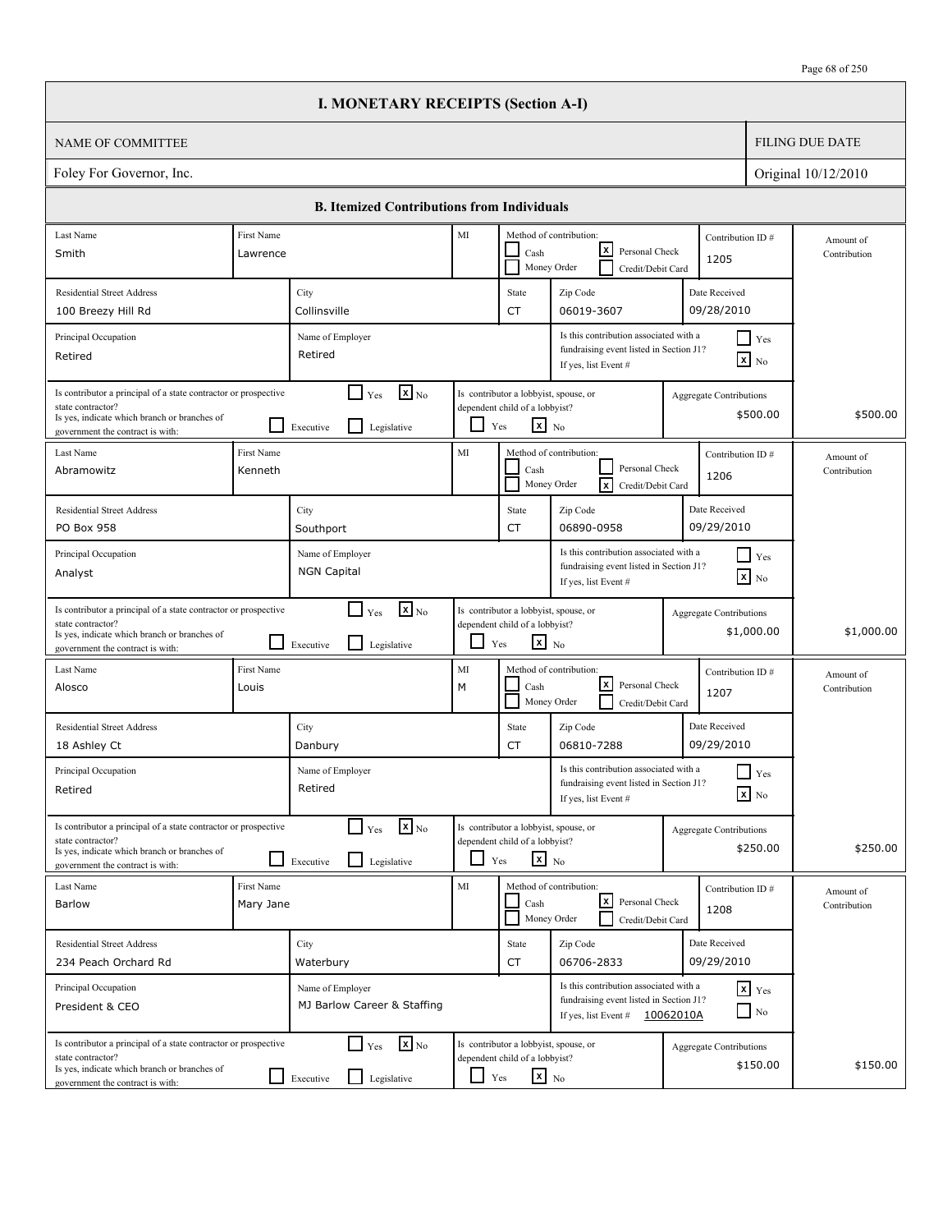| Page 68 of 250 |
|----------------|
|----------------|

|                                                                                                                                                                          |                                                                                                                                                                                                                         |                                                                          | <b>I. MONETARY RECEIPTS (Section A-I)</b>                                                                                                               |                                                         |                                                                                            |                                                                                                                        |              |                                              |                           |
|--------------------------------------------------------------------------------------------------------------------------------------------------------------------------|-------------------------------------------------------------------------------------------------------------------------------------------------------------------------------------------------------------------------|--------------------------------------------------------------------------|---------------------------------------------------------------------------------------------------------------------------------------------------------|---------------------------------------------------------|--------------------------------------------------------------------------------------------|------------------------------------------------------------------------------------------------------------------------|--------------|----------------------------------------------|---------------------------|
| <b>NAME OF COMMITTEE</b>                                                                                                                                                 |                                                                                                                                                                                                                         |                                                                          |                                                                                                                                                         |                                                         |                                                                                            |                                                                                                                        |              |                                              | <b>FILING DUE DATE</b>    |
| Foley For Governor, Inc.                                                                                                                                                 |                                                                                                                                                                                                                         |                                                                          |                                                                                                                                                         |                                                         |                                                                                            |                                                                                                                        |              |                                              | Original 10/12/2010       |
|                                                                                                                                                                          |                                                                                                                                                                                                                         |                                                                          | <b>B. Itemized Contributions from Individuals</b>                                                                                                       |                                                         |                                                                                            |                                                                                                                        |              |                                              |                           |
| Last Name                                                                                                                                                                | First Name                                                                                                                                                                                                              |                                                                          |                                                                                                                                                         | $\rm MI$<br>Method of contribution:<br>Contribution ID# |                                                                                            |                                                                                                                        |              |                                              | Amount of                 |
| Smith                                                                                                                                                                    | Lawrence                                                                                                                                                                                                                | x <br>Personal Check<br>Cash<br>1205<br>Money Order<br>Credit/Debit Card |                                                                                                                                                         |                                                         |                                                                                            |                                                                                                                        | Contribution |                                              |                           |
| <b>Residential Street Address</b>                                                                                                                                        |                                                                                                                                                                                                                         | City                                                                     |                                                                                                                                                         |                                                         | State                                                                                      | Zip Code                                                                                                               |              | Date Received                                |                           |
| 100 Breezy Hill Rd                                                                                                                                                       |                                                                                                                                                                                                                         | Collinsville                                                             |                                                                                                                                                         |                                                         | <b>CT</b>                                                                                  | 06019-3607                                                                                                             |              | 09/28/2010                                   |                           |
| Principal Occupation<br>Retired                                                                                                                                          |                                                                                                                                                                                                                         | Name of Employer<br>Retired                                              |                                                                                                                                                         |                                                         |                                                                                            | Is this contribution associated with a<br>fundraising event listed in Section J1?<br>If yes, list Event #              |              | $\Box$ Yes<br>$\boxed{\mathbf{x}}$ No        |                           |
| Is contributor a principal of a state contractor or prospective<br>state contractor?<br>Is yes, indicate which branch or branches of<br>government the contract is with: | $\mathbf{x}$ <sub>No</sub><br>$\Gamma$ Yes<br>Is contributor a lobbyist, spouse, or<br>Aggregate Contributions<br>dependent child of a lobbyist?<br>\$500.00<br>$\mathbf{x}$ No<br>Legislative<br>ப<br>Yes<br>Executive |                                                                          |                                                                                                                                                         |                                                         | \$500.00                                                                                   |                                                                                                                        |              |                                              |                           |
| Last Name<br>Abramowitz                                                                                                                                                  | First Name<br>Kenneth                                                                                                                                                                                                   |                                                                          |                                                                                                                                                         | MI                                                      | Cash                                                                                       | Method of contribution:<br>Personal Check<br>Ιx<br>Money Order<br>Credit/Debit Card                                    |              | Contribution ID#<br>1206                     | Amount of<br>Contribution |
| <b>Residential Street Address</b><br>PO Box 958                                                                                                                          |                                                                                                                                                                                                                         | City<br>Southport                                                        |                                                                                                                                                         |                                                         | State<br><b>CT</b>                                                                         | Zip Code<br>06890-0958                                                                                                 |              | Date Received<br>09/29/2010                  |                           |
| Principal Occupation<br>Analyst                                                                                                                                          |                                                                                                                                                                                                                         | <b>NGN Capital</b>                                                       | Is this contribution associated with a<br>Name of Employer<br>Yes<br>fundraising event listed in Section J1?<br>$\mathbf{x}$ No<br>If yes, list Event # |                                                         |                                                                                            |                                                                                                                        |              |                                              |                           |
| Is contributor a principal of a state contractor or prospective<br>state contractor?<br>Is yes, indicate which branch or branches of<br>government the contract is with: |                                                                                                                                                                                                                         | $\Box$ Yes<br>Executive                                                  | $\mathbf{X}_{\text{No}}$<br>Legislative                                                                                                                 | ப                                                       | Is contributor a lobbyist, spouse, or<br>dependent child of a lobbyist?<br>$x_{N0}$<br>Yes |                                                                                                                        |              | <b>Aggregate Contributions</b><br>\$1,000.00 | \$1,000.00                |
| Last Name<br>Alosco                                                                                                                                                      | First Name<br>Louis                                                                                                                                                                                                     |                                                                          |                                                                                                                                                         | MI<br>M                                                 | Cash                                                                                       | Method of contribution:<br> x <br>Personal Check<br>Money Order<br>Credit/Debit Card                                   |              | Contribution ID#<br>1207                     | Amount of<br>Contribution |
| <b>Residential Street Address</b><br>18 Ashley Ct                                                                                                                        |                                                                                                                                                                                                                         | City<br>Danbury                                                          |                                                                                                                                                         |                                                         | State<br><b>CT</b>                                                                         | Zip Code<br>06810-7288                                                                                                 |              | Date Received<br>09/29/2010                  |                           |
| Principal Occupation<br>Retired                                                                                                                                          |                                                                                                                                                                                                                         | Name of Employer<br>Retired                                              |                                                                                                                                                         |                                                         |                                                                                            | Is this contribution associated with a<br>fundraising event listed in Section J1?<br>If yes, list Event #              |              | $\Box$ Yes<br>$\boxed{\mathbf{x}}$ No        |                           |
| Is contributor a principal of a state contractor or prospective<br>state contractor?<br>Is yes, indicate which branch or branches of<br>government the contract is with: |                                                                                                                                                                                                                         | $\Box$ Yes<br>Executive                                                  | $\mathbf{X}_{\text{No}}$<br>Legislative                                                                                                                 |                                                         | Is contributor a lobbyist, spouse, or<br>dependent child of a lobbyist?<br>$X_{N0}$<br>Yes |                                                                                                                        |              | Aggregate Contributions<br>\$250.00          | \$250.00                  |
| Last Name<br>Barlow                                                                                                                                                      | First Name<br>Mary Jane                                                                                                                                                                                                 |                                                                          |                                                                                                                                                         | MI                                                      | Cash                                                                                       | Method of contribution:<br>l×l<br>Personal Check<br>Money Order<br>Credit/Debit Card                                   |              | Contribution ID#<br>1208                     | Amount of<br>Contribution |
| <b>Residential Street Address</b><br>234 Peach Orchard Rd                                                                                                                |                                                                                                                                                                                                                         | City<br>Waterbury                                                        |                                                                                                                                                         |                                                         | State<br>CT                                                                                | Zip Code<br>06706-2833                                                                                                 |              | Date Received<br>09/29/2010                  |                           |
| Principal Occupation<br>President & CEO                                                                                                                                  |                                                                                                                                                                                                                         | Name of Employer                                                         | MJ Barlow Career & Staffing                                                                                                                             |                                                         |                                                                                            | Is this contribution associated with a<br>fundraising event listed in Section J1?<br>If yes, list Event $\#$ 10062010A |              | $x$ $y$ <sub>es</sub><br>$\Box$ No           |                           |
| Is contributor a principal of a state contractor or prospective<br>state contractor?<br>Is yes, indicate which branch or branches of<br>government the contract is with: |                                                                                                                                                                                                                         | $\Box$ Yes<br>$\Box$ Executive                                           | $\mathbf{x}$ <sub>No</sub><br>Legislative                                                                                                               | $\Box$ Yes                                              | Is contributor a lobbyist, spouse, or<br>dependent child of a lobbyist?<br>$x_{N0}$        |                                                                                                                        |              | Aggregate Contributions<br>\$150.00          | \$150.00                  |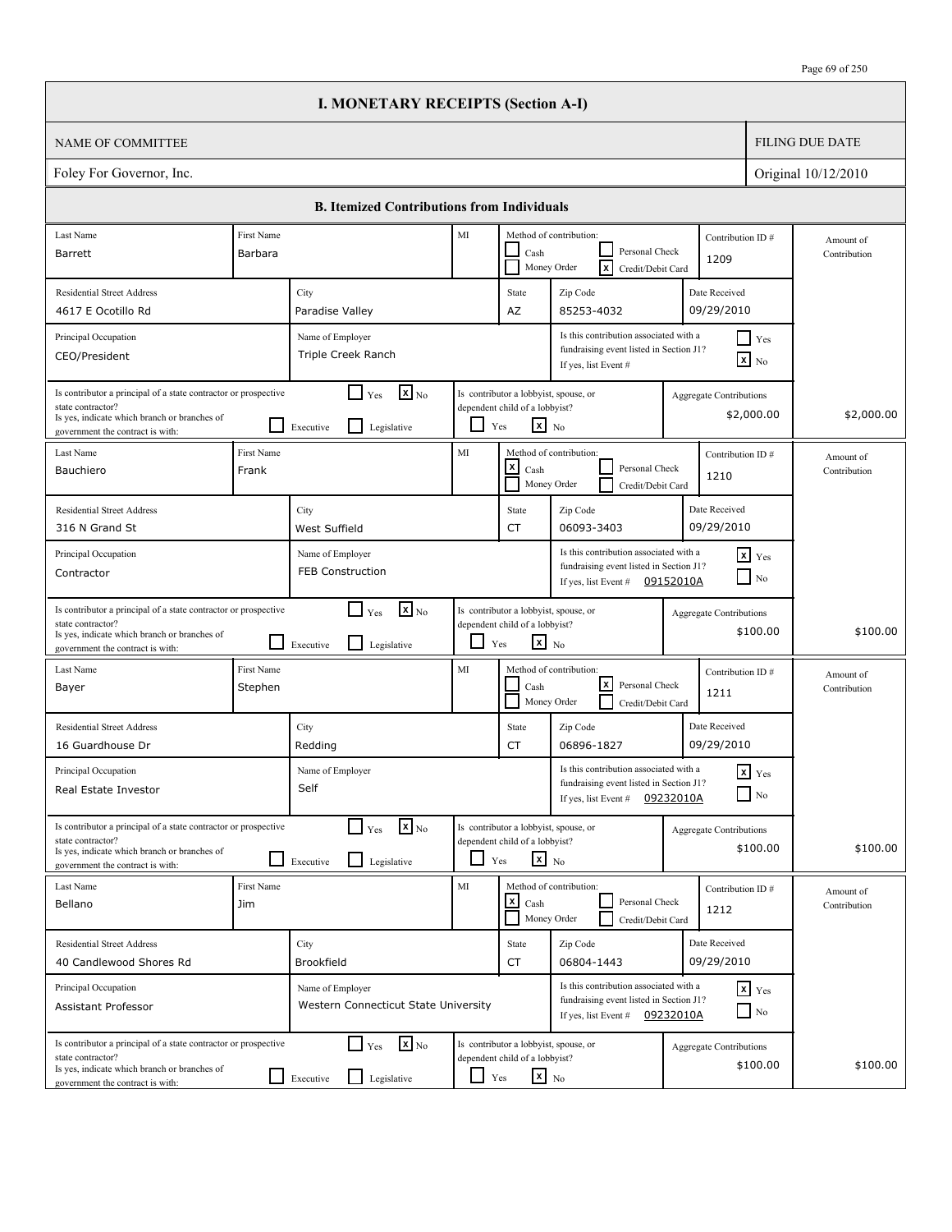|                                                                                                                                                                          |                                                                                                                                                                                              | <b>I. MONETARY RECEIPTS (Section A-I)</b>                                            |            |                                                                                                                        |                                                                                                                                                        |                                |                               |                           |  |
|--------------------------------------------------------------------------------------------------------------------------------------------------------------------------|----------------------------------------------------------------------------------------------------------------------------------------------------------------------------------------------|--------------------------------------------------------------------------------------|------------|------------------------------------------------------------------------------------------------------------------------|--------------------------------------------------------------------------------------------------------------------------------------------------------|--------------------------------|-------------------------------|---------------------------|--|
| <b>NAME OF COMMITTEE</b>                                                                                                                                                 |                                                                                                                                                                                              |                                                                                      |            |                                                                                                                        |                                                                                                                                                        |                                |                               | <b>FILING DUE DATE</b>    |  |
| Foley For Governor, Inc.                                                                                                                                                 |                                                                                                                                                                                              |                                                                                      |            |                                                                                                                        |                                                                                                                                                        |                                |                               | Original 10/12/2010       |  |
|                                                                                                                                                                          |                                                                                                                                                                                              | <b>B. Itemized Contributions from Individuals</b>                                    |            |                                                                                                                        |                                                                                                                                                        |                                |                               |                           |  |
| Last Name                                                                                                                                                                | First Name                                                                                                                                                                                   |                                                                                      | MI         |                                                                                                                        | Method of contribution:<br>Personal Check                                                                                                              |                                | Contribution ID#              | Amount of                 |  |
| Barrett                                                                                                                                                                  | Barbara                                                                                                                                                                                      |                                                                                      |            | Cash                                                                                                                   | ΙxΙ<br>Money Order<br>Credit/Debit Card                                                                                                                | 1209                           |                               | Contribution              |  |
| <b>Residential Street Address</b><br>4617 E Ocotillo Rd                                                                                                                  |                                                                                                                                                                                              | City<br>Paradise Valley                                                              |            | State<br>AZ                                                                                                            | Zip Code<br>85253-4032                                                                                                                                 | Date Received<br>09/29/2010    |                               |                           |  |
| Principal Occupation                                                                                                                                                     |                                                                                                                                                                                              | Name of Employer                                                                     |            |                                                                                                                        | Is this contribution associated with a                                                                                                                 |                                | $\Box$ Yes                    |                           |  |
| CEO/President                                                                                                                                                            |                                                                                                                                                                                              | Triple Creek Ranch                                                                   |            |                                                                                                                        | fundraising event listed in Section J1?<br>If yes, list Event #                                                                                        |                                | $\mathbf{X}$ No               |                           |  |
| Is contributor a principal of a state contractor or prospective<br>state contractor?<br>Is yes, indicate which branch or branches of<br>government the contract is with: |                                                                                                                                                                                              | $\mathbf{x}$ <sub>No</sub><br>$\Box$ Yes<br>l 1<br>Executive<br>Legislative          | LI         | Is contributor a lobbyist, spouse, or<br>dependent child of a lobbyist?<br>$\mathbf{x}$ No<br>Yes                      |                                                                                                                                                        | Aggregate Contributions        | \$2,000.00                    | \$2,000.00                |  |
| Last Name<br>Bauchiero                                                                                                                                                   | First Name<br>Frank                                                                                                                                                                          |                                                                                      | MI         | <u>x</u><br>Cash                                                                                                       | Method of contribution:<br>Personal Check<br>Money Order<br>Credit/Debit Card                                                                          | 1210                           | Contribution ID#              | Amount of<br>Contribution |  |
| <b>Residential Street Address</b><br>316 N Grand St                                                                                                                      |                                                                                                                                                                                              | City<br>West Suffield                                                                |            | State<br><b>CT</b>                                                                                                     | Zip Code<br>06093-3403                                                                                                                                 | Date Received<br>09/29/2010    |                               |                           |  |
| Principal Occupation<br>Contractor                                                                                                                                       | Is this contribution associated with a<br>$x$ Yes<br>Name of Employer<br>fundraising event listed in Section J1?<br><b>FEB Construction</b><br>$\Box$ No<br>If yes, list Event # $09152010A$ |                                                                                      |            |                                                                                                                        |                                                                                                                                                        |                                |                               |                           |  |
| Is contributor a principal of a state contractor or prospective<br>state contractor?<br>Is yes, indicate which branch or branches of<br>government the contract is with: |                                                                                                                                                                                              | $\mathbf{X}$ <sub>No</sub><br>$\Box$ Yes<br>$\mathsf{L}$<br>Legislative<br>Executive | - 1        | Is contributor a lobbyist, spouse, or<br>dependent child of a lobbyist?<br>$\mathbf{x}$ No<br>Yes                      |                                                                                                                                                        | <b>Aggregate Contributions</b> | \$100.00                      | \$100.00                  |  |
| Last Name<br>Bayer                                                                                                                                                       | First Name<br>Stephen                                                                                                                                                                        |                                                                                      | MI         | Cash                                                                                                                   | Method of contribution:<br>lxl<br>Personal Check<br>Money Order<br>Credit/Debit Card                                                                   | 1211                           | Contribution ID#              | Amount of<br>Contribution |  |
| <b>Residential Street Address</b><br>16 Guardhouse Dr                                                                                                                    |                                                                                                                                                                                              | City<br>Redding                                                                      |            | State<br>CT                                                                                                            | Zip Code<br>06896-1827                                                                                                                                 | Date Received<br>09/29/2010    |                               |                           |  |
| Principal Occupation<br>Real Estate Investor                                                                                                                             | Name of Employer<br>Self                                                                                                                                                                     |                                                                                      |            | Is this contribution associated with a<br>fundraising event listed in Section J1?<br>09232010A<br>If yes, list Event # |                                                                                                                                                        |                                | $\mathbf{x}$ Yes<br>$\Box$ No |                           |  |
| Is contributor a principal of a state contractor or prospective<br>state contractor?<br>Is yes, indicate which branch or branches of<br>government the contract is with: |                                                                                                                                                                                              | $\mathbf{x}$ <sub>No</sub><br>$\Box$ Yes<br>$\mathsf{L}$<br>Legislative<br>Executive |            | Is contributor a lobbyist, spouse, or<br>dependent child of a lobbyist?<br>$\mathbf{x}$ No<br>Yes                      |                                                                                                                                                        | <b>Aggregate Contributions</b> | \$100.00                      | \$100.00                  |  |
| Last Name<br>Bellano                                                                                                                                                     | <b>First Name</b><br>Jim                                                                                                                                                                     |                                                                                      | MI         | $\mathsf{x}$<br>Cash                                                                                                   | Method of contribution:<br>Personal Check<br>Money Order<br>Credit/Debit Card                                                                          | 1212                           | Contribution ID#              | Amount of<br>Contribution |  |
| <b>Residential Street Address</b><br>40 Candlewood Shores Rd                                                                                                             |                                                                                                                                                                                              | City<br>Brookfield                                                                   |            | State<br>CT                                                                                                            | Zip Code<br>06804-1443                                                                                                                                 | Date Received<br>09/29/2010    |                               |                           |  |
| Principal Occupation<br>Assistant Professor                                                                                                                              |                                                                                                                                                                                              | Name of Employer<br>Western Connecticut State University                             |            |                                                                                                                        | Is this contribution associated with a<br>$\mathbf{x}$ Yes<br>fundraising event listed in Section J1?<br>$\Box$ No<br>If yes, list Event # $09232010A$ |                                |                               |                           |  |
| Is contributor a principal of a state contractor or prospective<br>state contractor?<br>Is yes, indicate which branch or branches of<br>government the contract is with: |                                                                                                                                                                                              | $\mathbf{x}$ <sub>No</sub><br>$\Box$ Yes<br>Legislative<br>$\Box$ Executive          | $\Box$ Yes | Is contributor a lobbyist, spouse, or<br>dependent child of a lobbyist?<br>$x_{\text{No}}$                             |                                                                                                                                                        | Aggregate Contributions        | \$100.00                      | \$100.00                  |  |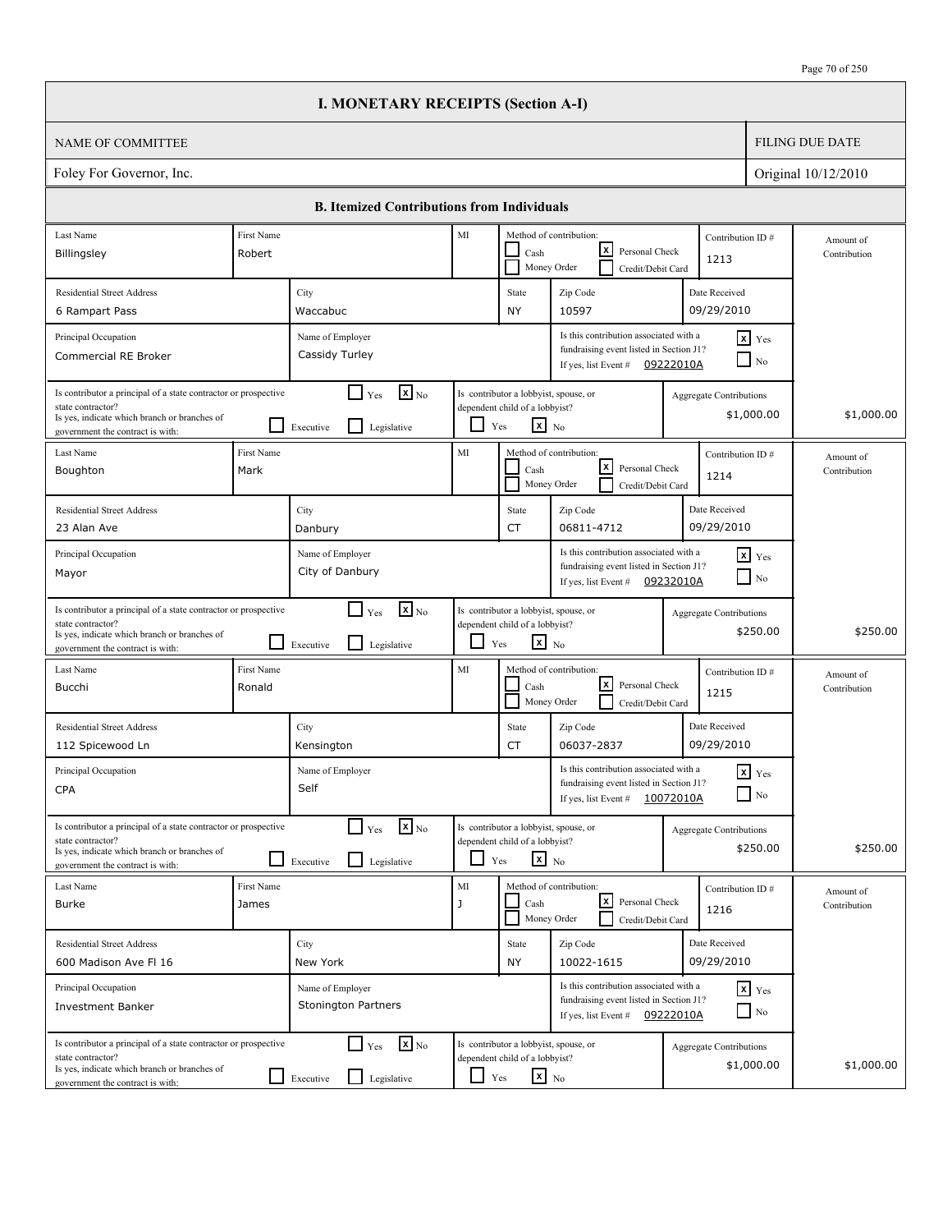|                                                                                                                                                                          |                      | <b>I. MONETARY RECEIPTS (Section A-I)</b>                                            |               |                                                                                                   |                                                                                                                       |                                |                                    |                           |
|--------------------------------------------------------------------------------------------------------------------------------------------------------------------------|----------------------|--------------------------------------------------------------------------------------|---------------|---------------------------------------------------------------------------------------------------|-----------------------------------------------------------------------------------------------------------------------|--------------------------------|------------------------------------|---------------------------|
| <b>NAME OF COMMITTEE</b>                                                                                                                                                 |                      |                                                                                      |               |                                                                                                   |                                                                                                                       |                                |                                    | <b>FILING DUE DATE</b>    |
| Foley For Governor, Inc.                                                                                                                                                 |                      |                                                                                      |               |                                                                                                   |                                                                                                                       |                                |                                    | Original 10/12/2010       |
|                                                                                                                                                                          |                      | <b>B. Itemized Contributions from Individuals</b>                                    |               |                                                                                                   |                                                                                                                       |                                |                                    |                           |
| Last Name                                                                                                                                                                | First Name           |                                                                                      | MI            |                                                                                                   | Method of contribution:                                                                                               | Contribution ID#               |                                    | Amount of                 |
| Billingsley                                                                                                                                                              | Robert               |                                                                                      |               | Cash                                                                                              | lxI<br>Personal Check<br>Money Order<br>Credit/Debit Card                                                             | 1213                           |                                    | Contribution              |
| <b>Residential Street Address</b>                                                                                                                                        |                      | City                                                                                 |               | State                                                                                             | Zip Code                                                                                                              | Date Received                  |                                    |                           |
| 6 Rampart Pass                                                                                                                                                           |                      | Waccabuc                                                                             |               | <b>NY</b>                                                                                         | 10597                                                                                                                 | 09/29/2010                     |                                    |                           |
| Principal Occupation<br>Commercial RE Broker                                                                                                                             |                      | Name of Employer<br>Cassidy Turley                                                   |               |                                                                                                   | Is this contribution associated with a<br>fundraising event listed in Section J1?<br>If yes, list Event #             | 09222010A                      | $x$ Yes<br>$\Box$ No               |                           |
| Is contributor a principal of a state contractor or prospective<br>state contractor?<br>Is yes, indicate which branch or branches of<br>government the contract is with: |                      | $\mathbf{X}$ <sub>No</sub><br>$\Box$ Yes<br>$\mathsf{L}$<br>Executive<br>Legislative | ப             | Is contributor a lobbyist, spouse, or<br>dependent child of a lobbyist?<br>$\mathbf{x}$ No<br>Yes |                                                                                                                       | Aggregate Contributions        | \$1,000.00                         | \$1,000.00                |
| Last Name<br>Boughton                                                                                                                                                    | First Name<br>Mark   |                                                                                      | MI            | Cash                                                                                              | Method of contribution:<br>lxI<br>Personal Check<br>Money Order<br>Credit/Debit Card                                  | Contribution ID#<br>1214       |                                    | Amount of<br>Contribution |
| <b>Residential Street Address</b><br>23 Alan Ave                                                                                                                         |                      | City<br>Danbury                                                                      |               | State<br><b>CT</b>                                                                                | Zip Code<br>06811-4712                                                                                                | Date Received<br>09/29/2010    |                                    |                           |
| Principal Occupation<br>Mayor                                                                                                                                            |                      | Name of Employer<br>City of Danbury                                                  |               |                                                                                                   | Is this contribution associated with a<br>fundraising event listed in Section J1?<br>If yes, list Event #             | 09232010A                      | $x$ Yes<br>$\Box$ No               |                           |
| Is contributor a principal of a state contractor or prospective<br>state contractor?<br>Is yes, indicate which branch or branches of<br>government the contract is with: |                      | $\mathbf{X}$ <sub>No</sub><br>$\Box$ Yes<br>l 1<br>Legislative<br>Executive          | ப             | Is contributor a lobbyist, spouse, or<br>dependent child of a lobbyist?<br>$\mathbf{x}$ No<br>Yes |                                                                                                                       | <b>Aggregate Contributions</b> | \$250.00                           | \$250.00                  |
| Last Name<br>Bucchi                                                                                                                                                      | First Name<br>Ronald |                                                                                      | MI            | Cash                                                                                              | Method of contribution:<br>lxl<br>Personal Check<br>Money Order<br>Credit/Debit Card                                  | Contribution ID#<br>1215       |                                    | Amount of<br>Contribution |
| <b>Residential Street Address</b><br>112 Spicewood Ln                                                                                                                    |                      | City<br>Kensington                                                                   |               | State<br>CT                                                                                       | Zip Code<br>06037-2837                                                                                                | Date Received<br>09/29/2010    |                                    |                           |
| Principal Occupation<br><b>CPA</b>                                                                                                                                       |                      | Name of Employer<br>Self                                                             |               |                                                                                                   | Is this contribution associated with a<br>fundraising event listed in Section J1?<br>If yes, list Event #             | 10072010A                      | $\mathbf{x}$ Yes<br>$\Box$ No      |                           |
| Is contributor a principal of a state contractor or prospective<br>state contractor?<br>Is yes, indicate which branch or branches of<br>government the contract is with: |                      | $\mathbf{x}$ <sub>No</sub><br>$\Gamma$ Yes<br>$\Box$<br>Legislative<br>Executive     |               | Is contributor a lobbyist, spouse, or<br>dependent child of a lobbyist?<br>$\mathbf{x}$ No<br>Yes |                                                                                                                       | <b>Aggregate Contributions</b> | \$250.00                           | \$250.00                  |
| Last Name<br><b>Burke</b>                                                                                                                                                | First Name<br>James  |                                                                                      | $\rm MI$<br>J | Cash                                                                                              | Method of contribution:<br>l×l<br>Personal Check<br>Money Order<br>Credit/Debit Card                                  | Contribution ID#<br>1216       |                                    | Amount of<br>Contribution |
| <b>Residential Street Address</b><br>600 Madison Ave FI 16                                                                                                               |                      | City<br>New York                                                                     |               | State<br><b>NY</b>                                                                                | Zip Code<br>10022-1615                                                                                                | Date Received<br>09/29/2010    |                                    |                           |
| Principal Occupation<br><b>Investment Banker</b>                                                                                                                         |                      | Name of Employer<br><b>Stonington Partners</b>                                       |               |                                                                                                   | Is this contribution associated with a<br>fundraising event listed in Section J1?<br>If yes, list Event # $09222010A$ |                                | $x$ $y$ <sub>es</sub><br>$\Box$ No |                           |
| Is contributor a principal of a state contractor or prospective<br>state contractor?<br>Is yes, indicate which branch or branches of<br>government the contract is with: |                      | $\mathbf{x}$ <sub>No</sub><br>$\Box$ Yes<br>Legislative<br>$\Box$ Executive          | $\Box$ Yes    | Is contributor a lobbyist, spouse, or<br>dependent child of a lobbyist?<br>$\mathbf{x}$ No        |                                                                                                                       | <b>Aggregate Contributions</b> | \$1,000.00                         | \$1,000.00                |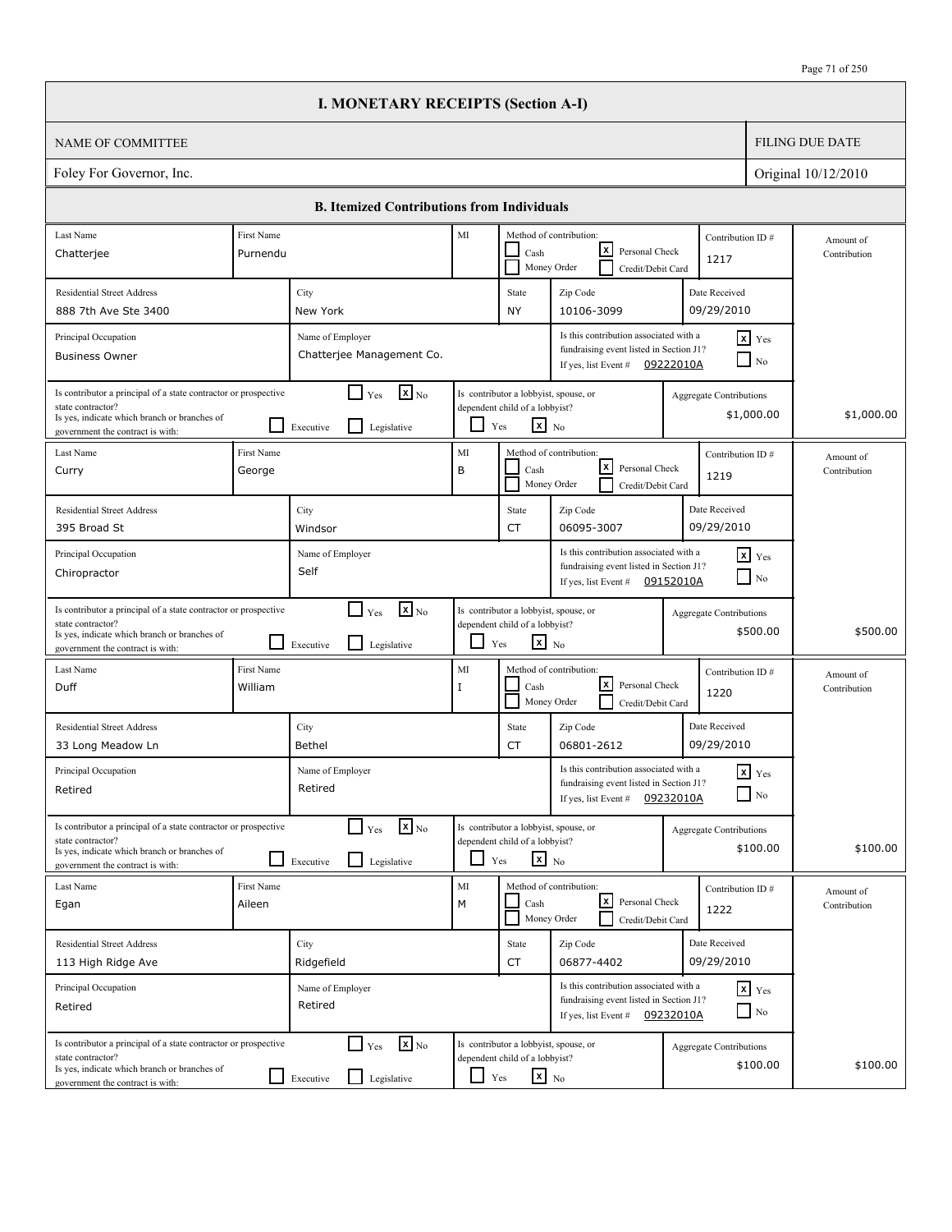|                                                                                                                                                                          |                       | <b>I. MONETARY RECEIPTS (Section A-I)</b>                                   |                   |                                                                                                   |                                                                                                                        |                                |                                    |                           |
|--------------------------------------------------------------------------------------------------------------------------------------------------------------------------|-----------------------|-----------------------------------------------------------------------------|-------------------|---------------------------------------------------------------------------------------------------|------------------------------------------------------------------------------------------------------------------------|--------------------------------|------------------------------------|---------------------------|
| <b>NAME OF COMMITTEE</b>                                                                                                                                                 |                       |                                                                             |                   |                                                                                                   |                                                                                                                        |                                |                                    | <b>FILING DUE DATE</b>    |
| Foley For Governor, Inc.                                                                                                                                                 |                       |                                                                             |                   |                                                                                                   |                                                                                                                        |                                |                                    | Original 10/12/2010       |
|                                                                                                                                                                          |                       | <b>B. Itemized Contributions from Individuals</b>                           |                   |                                                                                                   |                                                                                                                        |                                |                                    |                           |
| Last Name                                                                                                                                                                | First Name            |                                                                             | MI                |                                                                                                   | Method of contribution:                                                                                                | Contribution ID#               |                                    | Amount of                 |
| Chatterjee                                                                                                                                                               | Purnendu              |                                                                             |                   | Cash                                                                                              | lxI<br>Personal Check<br>Money Order<br>Credit/Debit Card                                                              | 1217                           |                                    | Contribution              |
| <b>Residential Street Address</b>                                                                                                                                        |                       | City                                                                        |                   | State                                                                                             | Zip Code                                                                                                               | Date Received                  |                                    |                           |
| 888 7th Ave Ste 3400                                                                                                                                                     |                       | New York                                                                    |                   | <b>NY</b>                                                                                         | 10106-3099                                                                                                             | 09/29/2010                     |                                    |                           |
| Principal Occupation<br><b>Business Owner</b>                                                                                                                            |                       | Name of Employer<br>Chatterjee Management Co.                               |                   |                                                                                                   | Is this contribution associated with a<br>fundraising event listed in Section J1?<br>If yes, list Event #              | 09222010A                      | $x$ Yes<br>N <sub>0</sub>          |                           |
| Is contributor a principal of a state contractor or prospective<br>state contractor?<br>Is yes, indicate which branch or branches of<br>government the contract is with: |                       | $\mathbf{x}$ <sub>No</sub><br>$\Box$ Yes<br>l I<br>Executive<br>Legislative | ப                 | Is contributor a lobbyist, spouse, or<br>dependent child of a lobbyist?<br>$\mathbf{x}$ No<br>Yes |                                                                                                                        | <b>Aggregate Contributions</b> | \$1,000.00                         | \$1,000.00                |
| Last Name<br>Curry                                                                                                                                                       | First Name<br>George  |                                                                             | MI<br>B           | Cash                                                                                              | Method of contribution:<br>lxI<br>Personal Check                                                                       | Contribution ID#               |                                    | Amount of<br>Contribution |
|                                                                                                                                                                          |                       |                                                                             |                   |                                                                                                   | Money Order<br>Credit/Debit Card                                                                                       | 1219                           |                                    |                           |
| <b>Residential Street Address</b><br>395 Broad St                                                                                                                        |                       | City<br>Windsor                                                             |                   | State<br><b>CT</b>                                                                                | Zip Code<br>06095-3007                                                                                                 | Date Received<br>09/29/2010    |                                    |                           |
| Principal Occupation<br>Chiropractor                                                                                                                                     |                       | Name of Employer<br>Self                                                    |                   |                                                                                                   | Is this contribution associated with a<br>fundraising event listed in Section J1?<br>If yes, list Event # $09152010A$  |                                | $x$ $Y$ es<br>$\Box$ No            |                           |
| Is contributor a principal of a state contractor or prospective<br>state contractor?<br>Is yes, indicate which branch or branches of<br>government the contract is with: |                       | $\mathbf{X}$ <sub>No</sub><br>$\Box$ Yes<br>l 1<br>Legislative<br>Executive | ப                 | Is contributor a lobbyist, spouse, or<br>dependent child of a lobbyist?<br>$\mathbf{x}$ No<br>Yes |                                                                                                                        | <b>Aggregate Contributions</b> | \$500.00                           | \$500.00                  |
| Last Name<br>Duff                                                                                                                                                        | First Name<br>William |                                                                             | MI<br>$\mathbf I$ | Cash                                                                                              | Method of contribution:<br>lxl<br>Personal Check<br>Money Order<br>Credit/Debit Card                                   | Contribution ID#<br>1220       |                                    | Amount of<br>Contribution |
| <b>Residential Street Address</b><br>33 Long Meadow Ln                                                                                                                   |                       | City<br>Bethel                                                              |                   | State<br>CT                                                                                       | Zip Code<br>06801-2612                                                                                                 | Date Received<br>09/29/2010    |                                    |                           |
| Principal Occupation<br>Retired                                                                                                                                          |                       | Name of Employer<br>Retired                                                 |                   |                                                                                                   | Is this contribution associated with a<br>fundraising event listed in Section J1?<br>If yes, list Event #              | 09232010A                      | $\mathbf{x}$ Yes<br>$\Box$ No      |                           |
| Is contributor a principal of a state contractor or prospective<br>state contractor?<br>Is yes, indicate which branch or branches of<br>government the contract is with: |                       | $\mathbf{X}$ No<br>$\Gamma$ Yes<br>$\Box$<br>Legislative<br>Executive       |                   | Is contributor a lobbyist, spouse, or<br>dependent child of a lobbyist?<br>$x_{N0}$<br>Yes        |                                                                                                                        | <b>Aggregate Contributions</b> | \$100.00                           | \$100.00                  |
| Last Name<br>Egan                                                                                                                                                        | First Name<br>Aileen  |                                                                             | $\rm MI$<br>M     | Cash                                                                                              | Method of contribution:<br>l×l<br>Personal Check<br>Money Order<br>Credit/Debit Card                                   | Contribution ID#<br>1222       |                                    | Amount of<br>Contribution |
| <b>Residential Street Address</b>                                                                                                                                        |                       | City                                                                        |                   | State                                                                                             | Zip Code                                                                                                               | Date Received                  |                                    |                           |
| 113 High Ridge Ave                                                                                                                                                       |                       | Ridgefield                                                                  |                   | CT                                                                                                | 06877-4402                                                                                                             | 09/29/2010                     |                                    |                           |
| Principal Occupation<br>Retired                                                                                                                                          |                       | Name of Employer<br>Retired                                                 |                   |                                                                                                   | Is this contribution associated with a<br>fundraising event listed in Section J1?<br>If yes, list Event $\#$ 09232010A |                                | $x$ $y$ <sub>es</sub><br>$\Box$ No |                           |
| Is contributor a principal of a state contractor or prospective<br>state contractor?<br>Is yes, indicate which branch or branches of<br>government the contract is with: |                       | $\mathbf{x}$ <sub>No</sub><br>$\Box$ Yes<br>Legislative<br>$\Box$ Executive | $\Box$ Yes        | Is contributor a lobbyist, spouse, or<br>dependent child of a lobbyist?<br>$\mathbf{x}$ No        |                                                                                                                        | <b>Aggregate Contributions</b> | \$100.00                           | \$100.00                  |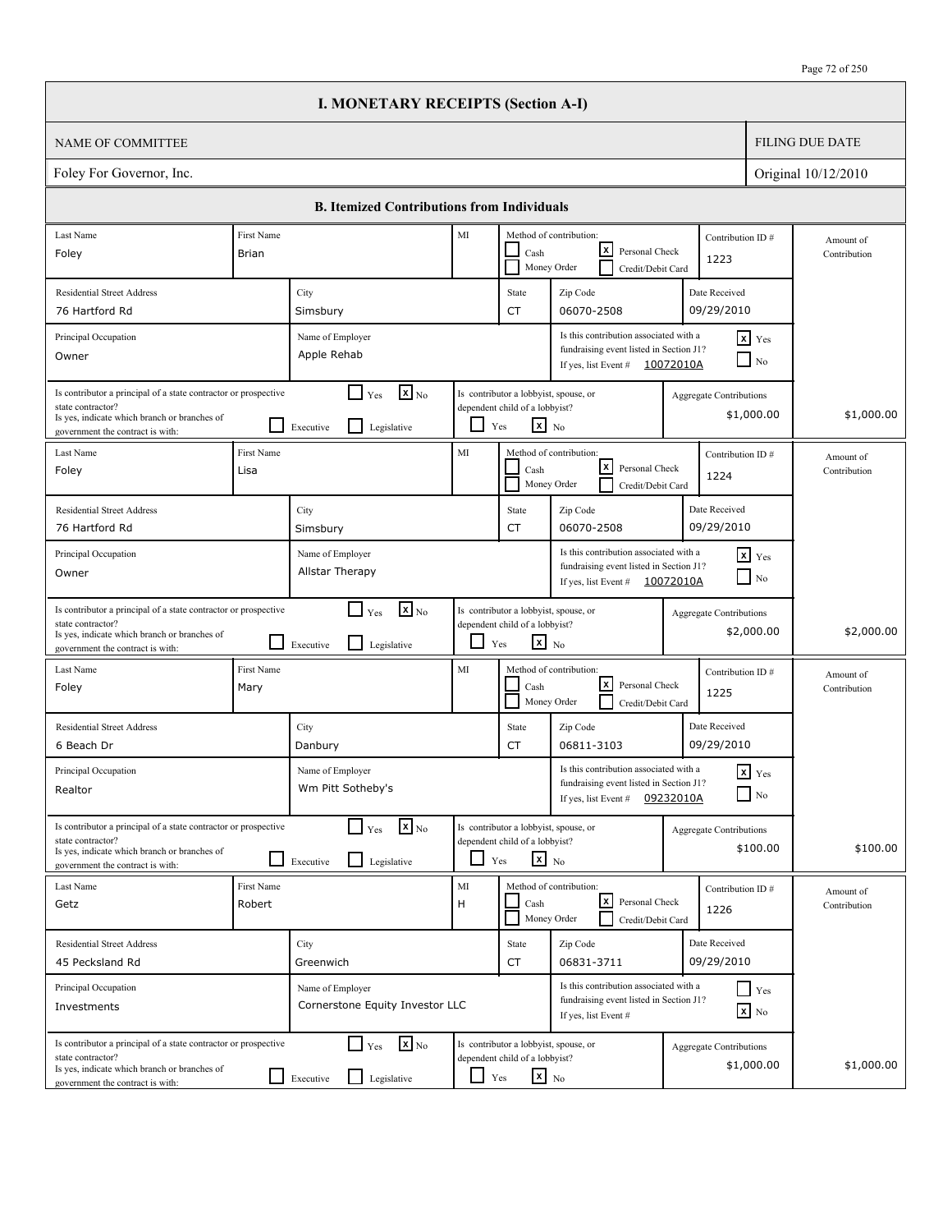|                                                                                                                                                                          |                                            | <b>I. MONETARY RECEIPTS (Section A-I)</b>                                            |                                                                                                           |                                                                                                                       |                                                                                                           |                                |                                   |                           |
|--------------------------------------------------------------------------------------------------------------------------------------------------------------------------|--------------------------------------------|--------------------------------------------------------------------------------------|-----------------------------------------------------------------------------------------------------------|-----------------------------------------------------------------------------------------------------------------------|-----------------------------------------------------------------------------------------------------------|--------------------------------|-----------------------------------|---------------------------|
| <b>NAME OF COMMITTEE</b>                                                                                                                                                 |                                            |                                                                                      |                                                                                                           |                                                                                                                       |                                                                                                           |                                |                                   | <b>FILING DUE DATE</b>    |
| Foley For Governor, Inc.                                                                                                                                                 |                                            |                                                                                      |                                                                                                           |                                                                                                                       |                                                                                                           |                                |                                   | Original 10/12/2010       |
|                                                                                                                                                                          |                                            | <b>B. Itemized Contributions from Individuals</b>                                    |                                                                                                           |                                                                                                                       |                                                                                                           |                                |                                   |                           |
| Last Name                                                                                                                                                                | First Name                                 |                                                                                      | MI                                                                                                        |                                                                                                                       | Method of contribution:                                                                                   | Contribution ID#               |                                   | Amount of                 |
| Foley                                                                                                                                                                    | <b>Brian</b>                               |                                                                                      |                                                                                                           | Cash                                                                                                                  | lxI<br>Personal Check<br>Money Order<br>Credit/Debit Card                                                 | 1223                           |                                   | Contribution              |
| <b>Residential Street Address</b>                                                                                                                                        |                                            | City                                                                                 |                                                                                                           | State                                                                                                                 | Zip Code                                                                                                  | Date Received                  |                                   |                           |
| 76 Hartford Rd                                                                                                                                                           |                                            | Simsbury                                                                             |                                                                                                           | <b>CT</b>                                                                                                             | 06070-2508                                                                                                | 09/29/2010                     |                                   |                           |
| Principal Occupation<br>Owner                                                                                                                                            |                                            | Name of Employer<br>Apple Rehab                                                      |                                                                                                           |                                                                                                                       | Is this contribution associated with a<br>fundraising event listed in Section J1?<br>If yes, list Event # | 10072010A                      | $x$ Yes<br>$\Box$ No              |                           |
| Is contributor a principal of a state contractor or prospective<br>state contractor?<br>Is yes, indicate which branch or branches of<br>government the contract is with: |                                            | $\mathbf{X}$ <sub>No</sub><br>$\Box$ Yes<br>$\mathsf{L}$<br>Executive<br>Legislative | ப                                                                                                         | Is contributor a lobbyist, spouse, or<br>dependent child of a lobbyist?<br>$\mathbf{x}$ No<br>Yes                     |                                                                                                           | Aggregate Contributions        | \$1,000.00                        | \$1,000.00                |
| Last Name<br>Foley                                                                                                                                                       | First Name<br>Lisa                         |                                                                                      | MI                                                                                                        | Cash                                                                                                                  | Method of contribution:<br>lxI<br>Personal Check<br>Money Order<br>Credit/Debit Card                      | Contribution ID#<br>1224       |                                   | Amount of<br>Contribution |
| <b>Residential Street Address</b><br>76 Hartford Rd                                                                                                                      |                                            | City<br>Simsbury                                                                     |                                                                                                           | State<br><b>CT</b>                                                                                                    | Zip Code<br>06070-2508                                                                                    | Date Received<br>09/29/2010    |                                   |                           |
| Principal Occupation<br>Owner                                                                                                                                            | Name of Employer<br><b>Allstar Therapy</b> |                                                                                      |                                                                                                           | Is this contribution associated with a<br>fundraising event listed in Section J1?<br>If yes, list Event # $10072010A$ |                                                                                                           |                                | $x$ Yes<br>$\Box$ No              |                           |
| Is contributor a principal of a state contractor or prospective<br>state contractor?<br>Is yes, indicate which branch or branches of<br>government the contract is with: |                                            | $\mathbf{x}$ <sub>No</sub><br>$\Box$ Yes<br>l 1<br>Legislative<br>Executive          | ப                                                                                                         | Is contributor a lobbyist, spouse, or<br>dependent child of a lobbyist?<br>$\mathbf{x}$ No<br>Yes                     |                                                                                                           | <b>Aggregate Contributions</b> | \$2,000.00                        | \$2,000.00                |
| Last Name<br>Foley                                                                                                                                                       | First Name<br>Mary                         |                                                                                      | MI                                                                                                        | Cash                                                                                                                  | Method of contribution:<br>lxl<br>Personal Check<br>Money Order<br>Credit/Debit Card                      | Contribution ID#<br>1225       |                                   | Amount of<br>Contribution |
| <b>Residential Street Address</b><br>6 Beach Dr                                                                                                                          |                                            | City<br>Danbury                                                                      |                                                                                                           | State<br>CT                                                                                                           | Zip Code<br>06811-3103                                                                                    | Date Received<br>09/29/2010    |                                   |                           |
| Principal Occupation<br>Realtor                                                                                                                                          | Name of Employer<br>Wm Pitt Sotheby's      |                                                                                      | Is this contribution associated with a<br>fundraising event listed in Section J1?<br>If yes, list Event # | 09232010A                                                                                                             | $\mathbf{x}$ Yes<br>$\Box$ No                                                                             |                                |                                   |                           |
| Is contributor a principal of a state contractor or prospective<br>state contractor?<br>Is yes, indicate which branch or branches of<br>government the contract is with: |                                            | $\mathbf{x}$ <sub>No</sub><br>$\Box$ Yes<br>l 1<br>Legislative<br>Executive          |                                                                                                           | Is contributor a lobbyist, spouse, or<br>dependent child of a lobbyist?<br>$x_{N0}$<br>Yes                            |                                                                                                           | <b>Aggregate Contributions</b> | \$100.00                          | \$100.00                  |
| Last Name<br>Getz                                                                                                                                                        | First Name<br>Robert                       |                                                                                      | $\rm MI$<br>H                                                                                             | Cash                                                                                                                  | Method of contribution:<br> x <br>Personal Check<br>Money Order<br>Credit/Debit Card                      | Contribution ID#<br>1226       |                                   | Amount of<br>Contribution |
| <b>Residential Street Address</b><br>45 Pecksland Rd                                                                                                                     |                                            | City<br>Greenwich                                                                    |                                                                                                           | State<br>CT                                                                                                           | Zip Code<br>06831-3711                                                                                    | Date Received<br>09/29/2010    |                                   |                           |
| Principal Occupation<br>Investments                                                                                                                                      |                                            | Name of Employer<br>Cornerstone Equity Investor LLC                                  |                                                                                                           |                                                                                                                       | Is this contribution associated with a<br>fundraising event listed in Section J1?<br>If yes, list Event # |                                | $Y$ es<br>$\boxed{\mathbf{x}}$ No |                           |
| Is contributor a principal of a state contractor or prospective<br>state contractor?<br>Is yes, indicate which branch or branches of<br>government the contract is with: |                                            | $\mathbf{x}$ <sub>No</sub><br>$\Box$ Yes<br>Legislative<br>$\Box$ Executive          | L I                                                                                                       | Is contributor a lobbyist, spouse, or<br>dependent child of a lobbyist?<br>$\mathbf{x}$ No<br>Yes                     |                                                                                                           | <b>Aggregate Contributions</b> | \$1,000.00                        | \$1,000.00                |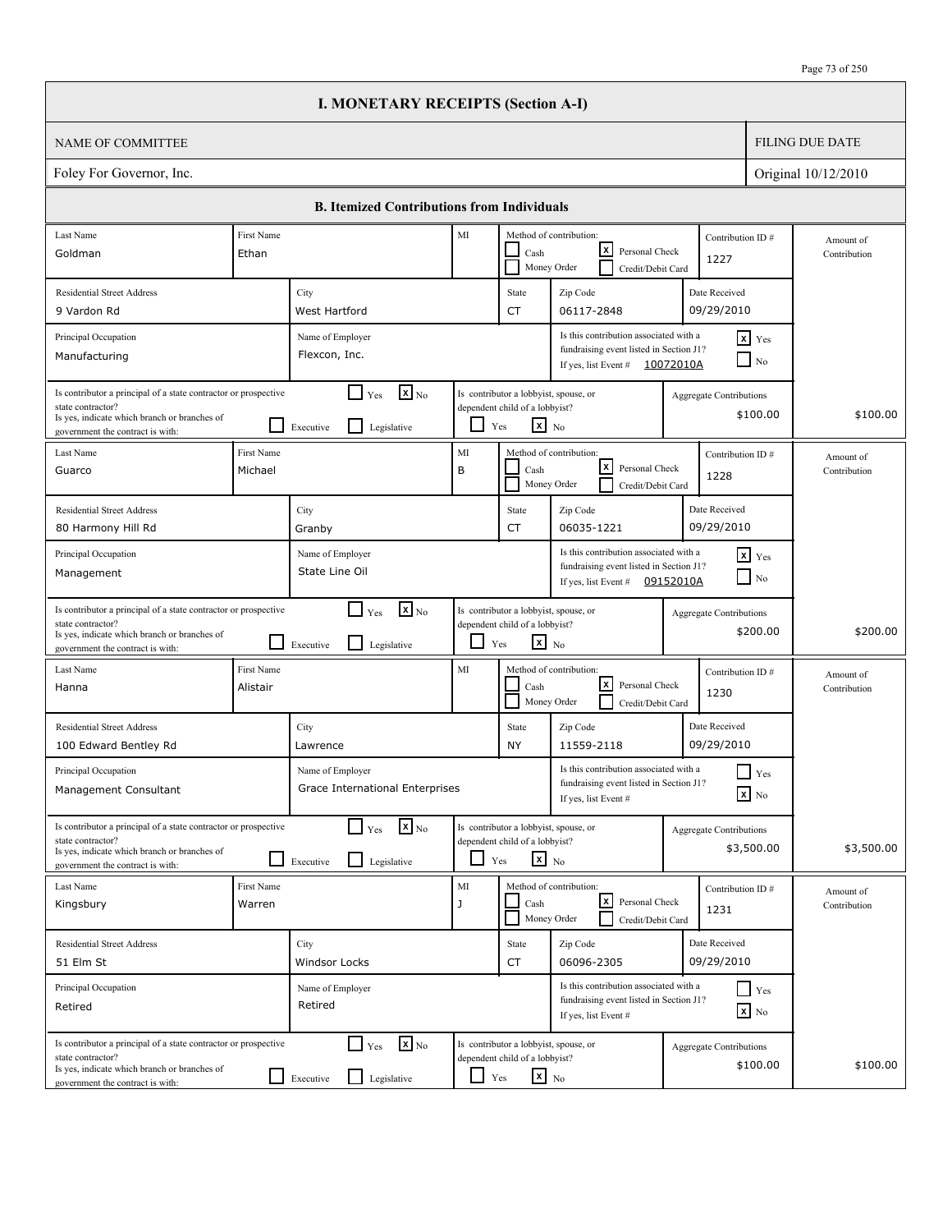|                                                                                                                                                                          |                        | <b>I. MONETARY RECEIPTS (Section A-I)</b>                                            |               |                                                                                                   |                                                                                                                       |                                |                                        |                           |
|--------------------------------------------------------------------------------------------------------------------------------------------------------------------------|------------------------|--------------------------------------------------------------------------------------|---------------|---------------------------------------------------------------------------------------------------|-----------------------------------------------------------------------------------------------------------------------|--------------------------------|----------------------------------------|---------------------------|
| <b>NAME OF COMMITTEE</b>                                                                                                                                                 |                        |                                                                                      |               |                                                                                                   |                                                                                                                       |                                |                                        | <b>FILING DUE DATE</b>    |
| Foley For Governor, Inc.                                                                                                                                                 |                        |                                                                                      |               |                                                                                                   |                                                                                                                       |                                |                                        | Original 10/12/2010       |
|                                                                                                                                                                          |                        | <b>B. Itemized Contributions from Individuals</b>                                    |               |                                                                                                   |                                                                                                                       |                                |                                        |                           |
| Last Name<br>Goldman                                                                                                                                                     | First Name<br>Ethan    |                                                                                      | MI            | Cash                                                                                              | Method of contribution:<br>lxI<br>Personal Check<br>Money Order<br>Credit/Debit Card                                  | Contribution ID#<br>1227       |                                        | Amount of<br>Contribution |
| <b>Residential Street Address</b><br>9 Vardon Rd                                                                                                                         |                        | City<br>West Hartford                                                                |               | State<br><b>CT</b>                                                                                | Zip Code<br>06117-2848                                                                                                | Date Received<br>09/29/2010    |                                        |                           |
| Principal Occupation<br>Manufacturing                                                                                                                                    |                        | Name of Employer<br>Flexcon, Inc.                                                    |               |                                                                                                   | Is this contribution associated with a<br>fundraising event listed in Section J1?<br>If yes, list Event #             | 10072010A                      | $x$ Yes<br>$\overline{\phantom{a}}$ No |                           |
| Is contributor a principal of a state contractor or prospective<br>state contractor?<br>Is yes, indicate which branch or branches of<br>government the contract is with: |                        | $\mathbf{X}$ <sub>No</sub><br>$\Box$ Yes<br>$\mathsf{L}$<br>Executive<br>Legislative | ப             | Is contributor a lobbyist, spouse, or<br>dependent child of a lobbyist?<br>$\mathbf{x}$ No<br>Yes |                                                                                                                       | Aggregate Contributions        | \$100.00                               | \$100.00                  |
| Last Name<br>Guarco                                                                                                                                                      | First Name<br>Michael  |                                                                                      | MI<br>B       | Cash                                                                                              | Method of contribution:<br>lxI<br>Personal Check<br>Money Order<br>Credit/Debit Card                                  | Contribution ID#<br>1228       |                                        | Amount of<br>Contribution |
| <b>Residential Street Address</b><br>80 Harmony Hill Rd                                                                                                                  |                        | City<br>Granby                                                                       |               | State<br><b>CT</b>                                                                                | Zip Code<br>06035-1221                                                                                                | Date Received<br>09/29/2010    |                                        |                           |
| Principal Occupation<br>Management                                                                                                                                       |                        | Name of Employer<br>State Line Oil                                                   |               |                                                                                                   | Is this contribution associated with a<br>fundraising event listed in Section J1?<br>If yes, list Event # $09152010A$ |                                | $x$ Yes<br>$\Box$ No                   |                           |
| Is contributor a principal of a state contractor or prospective<br>state contractor?<br>Is yes, indicate which branch or branches of<br>government the contract is with: |                        | $\mathbf{X}$ <sub>No</sub><br>$\Box$ Yes<br>l 1<br>Legislative<br>Executive          | ப             | Is contributor a lobbyist, spouse, or<br>dependent child of a lobbyist?<br>$\mathbf{x}$ No<br>Yes |                                                                                                                       | <b>Aggregate Contributions</b> | \$200.00                               | \$200.00                  |
| Last Name<br>Hanna                                                                                                                                                       | First Name<br>Alistair |                                                                                      | MI            | Cash                                                                                              | Method of contribution:<br>lxl<br>Personal Check<br>Money Order<br>Credit/Debit Card                                  | Contribution ID#<br>1230       |                                        | Amount of<br>Contribution |
| <b>Residential Street Address</b><br>100 Edward Bentley Rd                                                                                                               |                        | City<br>Lawrence                                                                     |               | State<br><b>NY</b>                                                                                | Zip Code<br>11559-2118                                                                                                | Date Received<br>09/29/2010    |                                        |                           |
| Principal Occupation<br>Management Consultant                                                                                                                            |                        | Name of Employer<br>Grace International Enterprises                                  |               |                                                                                                   | Is this contribution associated with a<br>fundraising event listed in Section J1?<br>If yes, list Event #             |                                | $\Box$ Yes<br>$\boxed{\mathbf{x}}$ No  |                           |
| Is contributor a principal of a state contractor or prospective<br>state contractor?<br>Is yes, indicate which branch or branches of<br>government the contract is with: |                        | $\mathbf{x}$ <sub>No</sub><br>$\Box$ Yes<br>l 1<br>Legislative<br>Executive          |               | Is contributor a lobbyist, spouse, or<br>dependent child of a lobbyist?<br>$x_{N0}$<br>Yes        |                                                                                                                       | <b>Aggregate Contributions</b> | \$3,500.00                             | \$3,500.00                |
| Last Name<br>Kingsbury                                                                                                                                                   | First Name<br>Warren   |                                                                                      | $\rm MI$<br>J | Cash                                                                                              | Method of contribution:<br> x <br>Personal Check<br>Money Order<br>Credit/Debit Card                                  | Contribution ID#<br>1231       |                                        | Amount of<br>Contribution |
| <b>Residential Street Address</b><br>51 Elm St                                                                                                                           |                        | City<br>Windsor Locks                                                                |               | State<br>CT                                                                                       | Zip Code<br>06096-2305                                                                                                | Date Received<br>09/29/2010    |                                        |                           |
| Principal Occupation<br>Retired                                                                                                                                          |                        | Name of Employer<br>Retired                                                          |               |                                                                                                   | Is this contribution associated with a<br>fundraising event listed in Section J1?<br>If yes, list Event #             |                                | $\Box$ Yes<br>$\boxed{\mathbf{x}}$ No  |                           |
| Is contributor a principal of a state contractor or prospective<br>state contractor?<br>Is yes, indicate which branch or branches of<br>government the contract is with: |                        | $\mathbf{x}$ <sub>No</sub><br>$\Box$ Yes<br>Legislative<br>$\Box$ Executive          | $\Box$ Yes    | Is contributor a lobbyist, spouse, or<br>dependent child of a lobbyist?<br>$\mathbf{x}$ No        |                                                                                                                       | Aggregate Contributions        | \$100.00                               | \$100.00                  |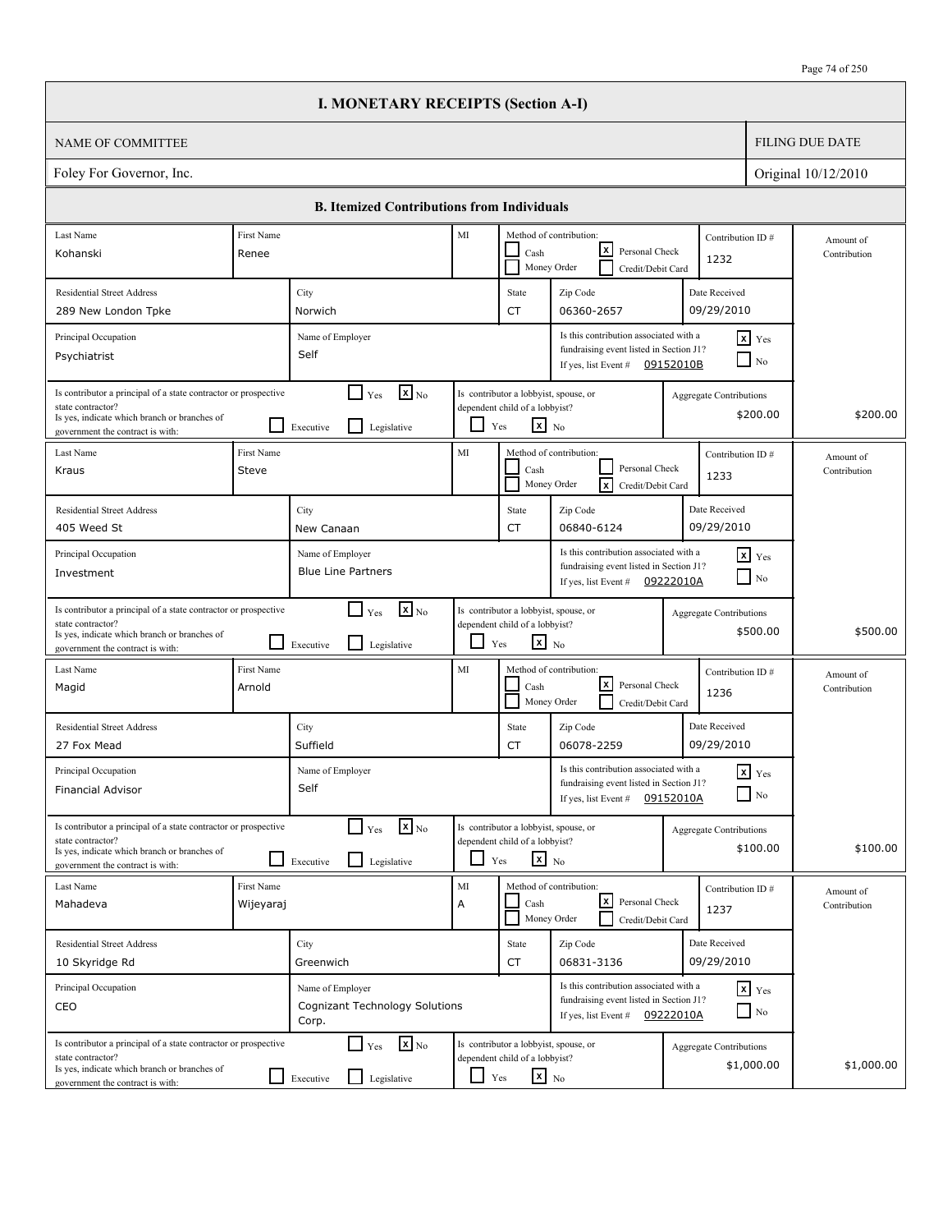|                                                                                                                                                                          |                            | <b>I. MONETARY RECEIPTS (Section A-I)</b>                                   |         |                                                                                                   |                                                                                                                       |           |                                              |                           |
|--------------------------------------------------------------------------------------------------------------------------------------------------------------------------|----------------------------|-----------------------------------------------------------------------------|---------|---------------------------------------------------------------------------------------------------|-----------------------------------------------------------------------------------------------------------------------|-----------|----------------------------------------------|---------------------------|
| NAME OF COMMITTEE                                                                                                                                                        |                            |                                                                             |         |                                                                                                   |                                                                                                                       |           |                                              | <b>FILING DUE DATE</b>    |
| Foley For Governor, Inc.                                                                                                                                                 |                            |                                                                             |         |                                                                                                   |                                                                                                                       |           |                                              | Original 10/12/2010       |
|                                                                                                                                                                          |                            | <b>B.</b> Itemized Contributions from Individuals                           |         |                                                                                                   |                                                                                                                       |           |                                              |                           |
| Last Name                                                                                                                                                                | First Name                 |                                                                             | MI      |                                                                                                   | Method of contribution:                                                                                               |           | Contribution ID#                             | Amount of                 |
| Kohanski                                                                                                                                                                 | Renee                      |                                                                             |         | Cash                                                                                              | lxl<br>Personal Check<br>Money Order<br>Credit/Debit Card                                                             |           | 1232                                         | Contribution              |
| <b>Residential Street Address</b>                                                                                                                                        |                            | City                                                                        |         | State                                                                                             | Zip Code                                                                                                              |           | Date Received<br>09/29/2010                  |                           |
| 289 New London Tpke<br>Principal Occupation                                                                                                                              |                            | Norwich<br>Name of Employer                                                 |         | CT                                                                                                | 06360-2657<br>Is this contribution associated with a                                                                  |           | $x$ Yes                                      |                           |
| Psychiatrist                                                                                                                                                             |                            | Self                                                                        |         |                                                                                                   | fundraising event listed in Section J1?<br>If yes, list Event # $09152010B$                                           |           | $\Box$ No                                    |                           |
| Is contributor a principal of a state contractor or prospective<br>state contractor?<br>Is yes, indicate which branch or branches of<br>government the contract is with: |                            | $\mathbf{X}$ <sub>No</sub><br>$\Box$ Yes<br>l 1<br>Legislative<br>Executive |         | Is contributor a lobbyist, spouse, or<br>dependent child of a lobbyist?<br>$x_{N0}$<br>Yes        |                                                                                                                       |           | <b>Aggregate Contributions</b><br>\$200.00   | \$200.00                  |
| Last Name<br>Kraus                                                                                                                                                       | First Name<br><b>Steve</b> |                                                                             | MI      | Cash                                                                                              | Method of contribution:<br>Personal Check<br>Money Order<br>lxl<br>Credit/Debit Card                                  |           | Contribution ID#<br>1233                     | Amount of<br>Contribution |
| <b>Residential Street Address</b><br>405 Weed St                                                                                                                         |                            | City<br>New Canaan                                                          |         | State<br>CT                                                                                       | Zip Code<br>06840-6124                                                                                                |           | Date Received<br>09/29/2010                  |                           |
| Principal Occupation<br>Investment                                                                                                                                       |                            | Name of Employer<br><b>Blue Line Partners</b>                               |         |                                                                                                   | Is this contribution associated with a<br>fundraising event listed in Section J1?<br>If yes, list Event #             | 09222010A | $\mathbf{x}$ Yes<br>$\blacksquare$ No        |                           |
| Is contributor a principal of a state contractor or prospective<br>state contractor?<br>Is yes, indicate which branch or branches of<br>government the contract is with: |                            | $\mathbf{x}$ <sub>No</sub><br>$\Box$ Yes<br>l 1<br>Legislative<br>Executive | $\Box$  | Is contributor a lobbyist, spouse, or<br>dependent child of a lobbyist?<br>$\mathbf{x}$ No<br>Yes |                                                                                                                       |           | <b>Aggregate Contributions</b><br>\$500.00   | \$500.00                  |
| Last Name<br>Magid                                                                                                                                                       | First Name<br>Arnold       |                                                                             | MI      | Cash                                                                                              | Method of contribution:<br>lxI<br>Personal Check<br>Money Order<br>Credit/Debit Card                                  |           | Contribution ID#<br>1236                     | Amount of<br>Contribution |
| <b>Residential Street Address</b><br>27 Fox Mead                                                                                                                         |                            | City<br>Suffield                                                            |         | State<br>CT                                                                                       | Zip Code<br>06078-2259                                                                                                |           | Date Received<br>09/29/2010                  |                           |
| Principal Occupation<br>Financial Advisor                                                                                                                                |                            | Name of Employer<br>Self                                                    |         |                                                                                                   | Is this contribution associated with a<br>fundraising event listed in Section J1?<br>If yes, list Event #             | 09152010A | $x$ $Yes$<br>$\hfill\Box$ No                 |                           |
| Is contributor a principal of a state contractor or prospective<br>state contractor?<br>Is yes, indicate which branch or branches of<br>government the contract is with: |                            | $\mathbf{X}$ <sub>No</sub><br>$\Box$ Yes<br>$\Box$ Legislative<br>Executive | ப       | Is contributor a lobbyist, spouse, or<br>dependent child of a lobbyist?<br>$\mathbf{x}$ No<br>Yes |                                                                                                                       |           | <b>Aggregate Contributions</b><br>\$100.00   | \$100.00                  |
| Last Name<br>Mahadeva                                                                                                                                                    | First Name<br>Wijeyaraj    |                                                                             | MI<br>A | Cash                                                                                              | Method of contribution:<br><u> x</u><br>Personal Check<br>Money Order<br>Credit/Debit Card                            |           | Contribution ID#<br>1237                     | Amount of<br>Contribution |
| <b>Residential Street Address</b><br>10 Skyridge Rd                                                                                                                      |                            | City<br>Greenwich                                                           |         | State<br>CT                                                                                       | Zip Code<br>06831-3136                                                                                                |           | Date Received<br>09/29/2010                  |                           |
| Principal Occupation<br>CEO                                                                                                                                              |                            | Name of Employer<br><b>Cognizant Technology Solutions</b><br>Corp.          |         |                                                                                                   | Is this contribution associated with a<br>fundraising event listed in Section J1?<br>If yes, list Event # $09222010A$ |           | $x$ $y_{es}$<br>$\Box$ No                    |                           |
| Is contributor a principal of a state contractor or prospective<br>state contractor?<br>Is yes, indicate which branch or branches of<br>government the contract is with: |                            | $\mathbf{X}$ <sub>No</sub><br>$\Box$ Yes<br>l 1<br>Legislative<br>Executive | LI      | Is contributor a lobbyist, spouse, or<br>dependent child of a lobbyist?<br>$\mathbf{x}$ No<br>Yes |                                                                                                                       |           | <b>Aggregate Contributions</b><br>\$1,000.00 | \$1,000.00                |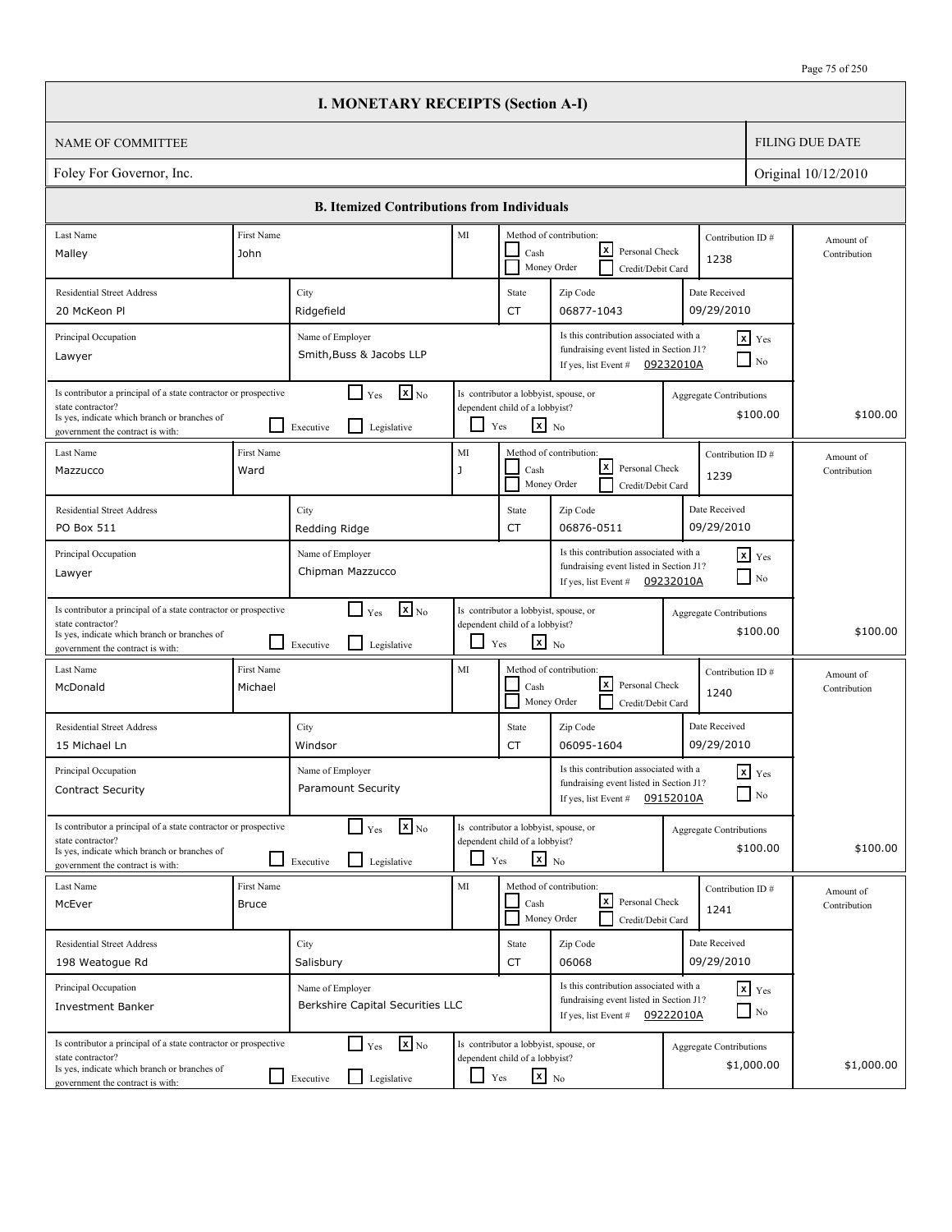|                                                                                                                                                                          |                            | <b>I. MONETARY RECEIPTS (Section A-I)</b>                                   |         |                                                                                                   |                                                                                                                       |                                |                                        |                           |
|--------------------------------------------------------------------------------------------------------------------------------------------------------------------------|----------------------------|-----------------------------------------------------------------------------|---------|---------------------------------------------------------------------------------------------------|-----------------------------------------------------------------------------------------------------------------------|--------------------------------|----------------------------------------|---------------------------|
| <b>NAME OF COMMITTEE</b>                                                                                                                                                 |                            |                                                                             |         |                                                                                                   |                                                                                                                       |                                |                                        | <b>FILING DUE DATE</b>    |
| Foley For Governor, Inc.                                                                                                                                                 |                            |                                                                             |         |                                                                                                   |                                                                                                                       |                                |                                        | Original 10/12/2010       |
|                                                                                                                                                                          |                            | <b>B. Itemized Contributions from Individuals</b>                           |         |                                                                                                   |                                                                                                                       |                                |                                        |                           |
| Last Name                                                                                                                                                                | First Name                 |                                                                             | MI      |                                                                                                   | Method of contribution:                                                                                               | Contribution ID#               |                                        | Amount of                 |
| Malley                                                                                                                                                                   | John                       |                                                                             |         | Cash                                                                                              | lxI<br>Personal Check<br>Money Order<br>Credit/Debit Card                                                             | 1238                           |                                        | Contribution              |
| <b>Residential Street Address</b>                                                                                                                                        |                            | City                                                                        |         | State                                                                                             | Zip Code                                                                                                              | Date Received                  |                                        |                           |
| 20 McKeon Pl                                                                                                                                                             |                            | Ridgefield                                                                  |         | <b>CT</b>                                                                                         | 06877-1043                                                                                                            | 09/29/2010                     |                                        |                           |
| Principal Occupation<br>Lawyer                                                                                                                                           |                            | Name of Employer<br>Smith, Buss & Jacobs LLP                                |         |                                                                                                   | Is this contribution associated with a<br>fundraising event listed in Section J1?<br>If yes, list Event #             | 09232010A                      | $x$ Yes<br>$\overline{\phantom{a}}$ No |                           |
| Is contributor a principal of a state contractor or prospective<br>state contractor?<br>Is yes, indicate which branch or branches of<br>government the contract is with: |                            | $\mathbf{X}$ <sub>No</sub><br>$\Box$ Yes<br>l I<br>Executive<br>Legislative | ப       | Is contributor a lobbyist, spouse, or<br>dependent child of a lobbyist?<br>$\mathbf{x}$ No<br>Yes |                                                                                                                       | Aggregate Contributions        | \$100.00                               | \$100.00                  |
| Last Name<br>Mazzucco                                                                                                                                                    | First Name<br>Ward         |                                                                             | MI<br>J | Cash                                                                                              | Method of contribution:<br>lxI<br>Personal Check<br>Money Order<br>Credit/Debit Card                                  | Contribution ID#<br>1239       |                                        | Amount of<br>Contribution |
| <b>Residential Street Address</b><br>PO Box 511                                                                                                                          |                            | City<br>Redding Ridge                                                       |         | State<br><b>CT</b>                                                                                | Zip Code<br>06876-0511                                                                                                | Date Received<br>09/29/2010    |                                        |                           |
| Principal Occupation<br>Lawyer                                                                                                                                           |                            | Name of Employer<br>Chipman Mazzucco                                        |         |                                                                                                   | Is this contribution associated with a<br>fundraising event listed in Section J1?<br>If yes, list Event #             | 09232010A                      | $x$ $Y$ es<br>$\Box$ No                |                           |
| Is contributor a principal of a state contractor or prospective<br>state contractor?<br>Is yes, indicate which branch or branches of<br>government the contract is with: |                            | $\mathbf{X}$ <sub>No</sub><br>$\Box$ Yes<br>l 1<br>Legislative<br>Executive | ப       | Is contributor a lobbyist, spouse, or<br>dependent child of a lobbyist?<br>$\mathbf{x}$ No<br>Yes |                                                                                                                       | <b>Aggregate Contributions</b> | \$100.00                               | \$100.00                  |
| Last Name<br>McDonald                                                                                                                                                    | First Name<br>Michael      |                                                                             | MI      | Cash                                                                                              | Method of contribution:<br>lxl<br>Personal Check<br>Money Order<br>Credit/Debit Card                                  | Contribution ID#<br>1240       |                                        | Amount of<br>Contribution |
| <b>Residential Street Address</b><br>15 Michael Ln                                                                                                                       |                            | City<br>Windsor                                                             |         | State<br>CT                                                                                       | Zip Code<br>06095-1604                                                                                                | Date Received<br>09/29/2010    |                                        |                           |
| Principal Occupation<br>Contract Security                                                                                                                                |                            | Name of Employer<br><b>Paramount Security</b>                               |         |                                                                                                   | Is this contribution associated with a<br>fundraising event listed in Section J1?<br>If yes, list Event #             | 09152010A                      | $\mathbf{x}$ Yes<br>$\Box$ No          |                           |
| Is contributor a principal of a state contractor or prospective<br>state contractor?<br>Is yes, indicate which branch or branches of<br>government the contract is with: |                            | $\mathbf{x}$ <sub>No</sub><br>$\Box$ Yes<br>l 1<br>Legislative<br>Executive |         | Is contributor a lobbyist, spouse, or<br>dependent child of a lobbyist?<br>$x_{N0}$<br>Yes        |                                                                                                                       | <b>Aggregate Contributions</b> | \$100.00                               | \$100.00                  |
| Last Name<br>McEver                                                                                                                                                      | First Name<br><b>Bruce</b> |                                                                             | MI      | Cash                                                                                              | Method of contribution:<br>كا<br>Personal Check<br>Money Order<br>Credit/Debit Card                                   | Contribution ID#<br>1241       |                                        | Amount of<br>Contribution |
| <b>Residential Street Address</b>                                                                                                                                        |                            | City                                                                        |         | State                                                                                             | Zip Code                                                                                                              | Date Received                  |                                        |                           |
| 198 Weatogue Rd                                                                                                                                                          |                            | Salisbury                                                                   |         | CT                                                                                                | 06068                                                                                                                 | 09/29/2010                     |                                        |                           |
| Principal Occupation<br><b>Investment Banker</b>                                                                                                                         |                            | Name of Employer<br>Berkshire Capital Securities LLC                        |         |                                                                                                   | Is this contribution associated with a<br>fundraising event listed in Section J1?<br>If yes, list Event # $09222010A$ |                                | $x$ $y$ <sub>es</sub><br>$\Box$ No     |                           |
| Is contributor a principal of a state contractor or prospective<br>state contractor?<br>Is yes, indicate which branch or branches of<br>government the contract is with: |                            | $\mathbf{x}$ <sub>No</sub><br>$\Box$ Yes<br>Legislative<br>$\Box$ Executive | L I     | Is contributor a lobbyist, spouse, or<br>dependent child of a lobbyist?<br>$\mathbf{x}$ No<br>Yes |                                                                                                                       | <b>Aggregate Contributions</b> | \$1,000.00                             | \$1,000.00                |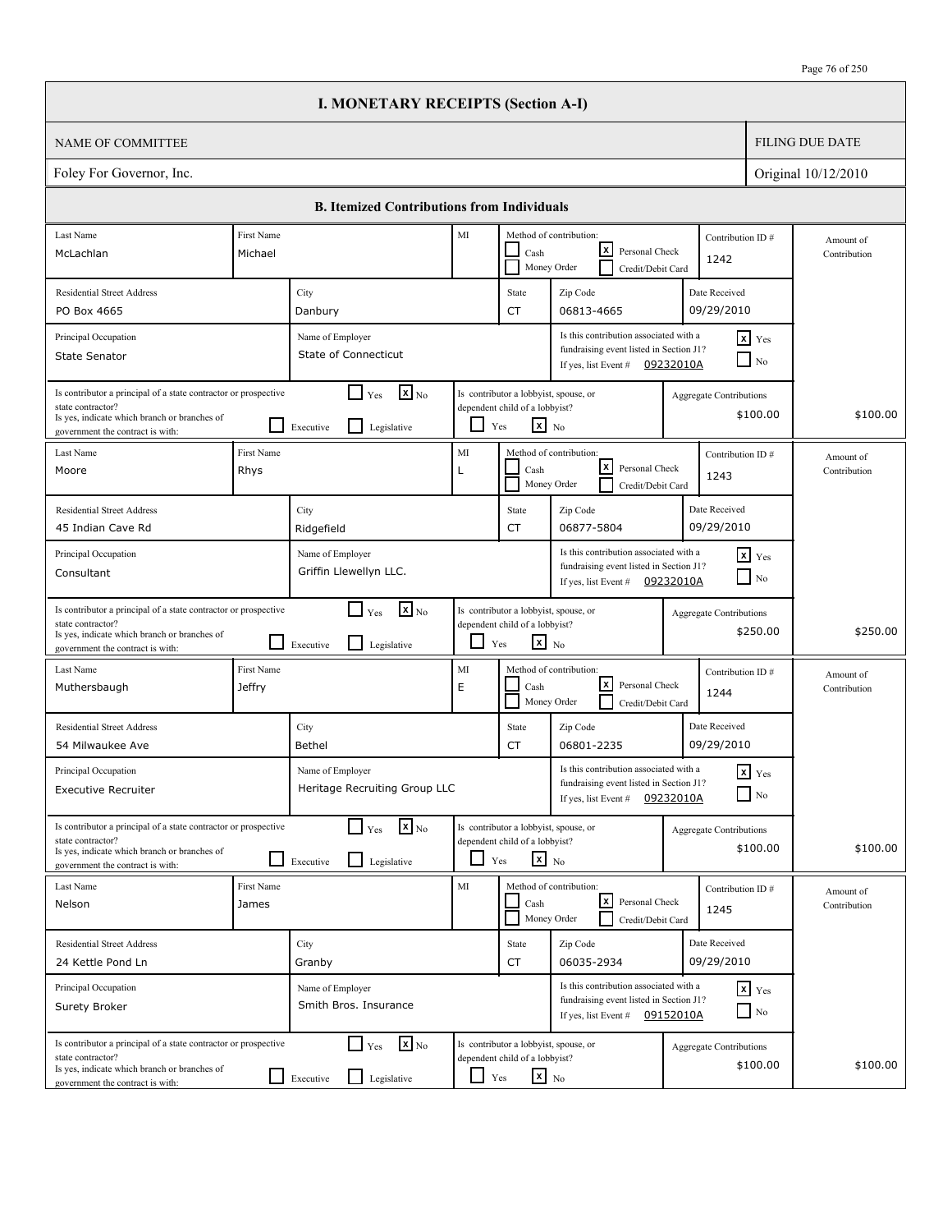|                                                                                                                                                                          |                             | <b>I. MONETARY RECEIPTS (Section A-I)</b>                                   |            |                                                                                                   |                                                                                                                       |                                |                                        |                           |
|--------------------------------------------------------------------------------------------------------------------------------------------------------------------------|-----------------------------|-----------------------------------------------------------------------------|------------|---------------------------------------------------------------------------------------------------|-----------------------------------------------------------------------------------------------------------------------|--------------------------------|----------------------------------------|---------------------------|
| <b>NAME OF COMMITTEE</b>                                                                                                                                                 |                             |                                                                             |            |                                                                                                   |                                                                                                                       |                                |                                        | <b>FILING DUE DATE</b>    |
| Foley For Governor, Inc.                                                                                                                                                 |                             |                                                                             |            |                                                                                                   |                                                                                                                       |                                |                                        | Original 10/12/2010       |
|                                                                                                                                                                          |                             | <b>B. Itemized Contributions from Individuals</b>                           |            |                                                                                                   |                                                                                                                       |                                |                                        |                           |
| Last Name                                                                                                                                                                | <b>First Name</b>           |                                                                             | MI         |                                                                                                   | Method of contribution:                                                                                               | Contribution ID#               |                                        | Amount of                 |
| McLachlan                                                                                                                                                                | Michael                     |                                                                             |            | Cash                                                                                              | lxI<br>Personal Check<br>Money Order<br>Credit/Debit Card                                                             | 1242                           |                                        | Contribution              |
| <b>Residential Street Address</b>                                                                                                                                        |                             | City                                                                        |            | State                                                                                             | Zip Code                                                                                                              | Date Received                  |                                        |                           |
| PO Box 4665                                                                                                                                                              |                             | Danbury                                                                     |            | <b>CT</b>                                                                                         | 06813-4665                                                                                                            | 09/29/2010                     |                                        |                           |
| Principal Occupation<br><b>State Senator</b>                                                                                                                             |                             | Name of Employer<br><b>State of Connecticut</b>                             |            |                                                                                                   | Is this contribution associated with a<br>fundraising event listed in Section J1?<br>If yes, list Event #             | 09232010A                      | $x$ Yes<br>$\overline{\phantom{a}}$ No |                           |
| Is contributor a principal of a state contractor or prospective<br>state contractor?<br>Is yes, indicate which branch or branches of<br>government the contract is with: |                             | $\mathbf{X}$ <sub>No</sub><br>$\Box$ Yes<br>l I<br>Executive<br>Legislative | ப          | Is contributor a lobbyist, spouse, or<br>dependent child of a lobbyist?<br>$\mathbf{x}$ No<br>Yes |                                                                                                                       | Aggregate Contributions        | \$100.00                               | \$100.00                  |
| Last Name<br>Moore                                                                                                                                                       | First Name<br>Rhys          |                                                                             | MI<br>L    | Cash                                                                                              | Method of contribution:<br>lxI<br>Personal Check<br>Money Order<br>Credit/Debit Card                                  | Contribution ID#<br>1243       |                                        | Amount of<br>Contribution |
| <b>Residential Street Address</b><br>45 Indian Cave Rd                                                                                                                   |                             | City<br>Ridgefield                                                          |            | State<br><b>CT</b>                                                                                | Zip Code<br>06877-5804                                                                                                | Date Received<br>09/29/2010    |                                        |                           |
| Principal Occupation<br>Consultant                                                                                                                                       |                             | Name of Employer<br>Griffin Llewellyn LLC.                                  |            |                                                                                                   | Is this contribution associated with a<br>fundraising event listed in Section J1?<br>If yes, list Event # $09232010A$ |                                | $x$ $Y$ es<br>$\Box$ No                |                           |
| Is contributor a principal of a state contractor or prospective<br>state contractor?<br>Is yes, indicate which branch or branches of<br>government the contract is with: |                             | $\mathbf{X}$ <sub>No</sub><br>$\Box$ Yes<br>l 1<br>Legislative<br>Executive | ப          | Is contributor a lobbyist, spouse, or<br>dependent child of a lobbyist?<br>$\mathbf{x}$ No<br>Yes |                                                                                                                       | <b>Aggregate Contributions</b> | \$250.00                               | \$250.00                  |
| Last Name<br>Muthersbaugh                                                                                                                                                | First Name<br><b>Jeffry</b> |                                                                             | MI<br>E    | Cash                                                                                              | Method of contribution:<br>lxl<br>Personal Check<br>Money Order<br>Credit/Debit Card                                  | Contribution ID#<br>1244       |                                        | Amount of<br>Contribution |
| <b>Residential Street Address</b><br>54 Milwaukee Ave                                                                                                                    |                             | City<br>Bethel                                                              |            | State<br>CT                                                                                       | Zip Code<br>06801-2235                                                                                                | Date Received<br>09/29/2010    |                                        |                           |
| Principal Occupation<br><b>Executive Recruiter</b>                                                                                                                       |                             | Name of Employer<br>Heritage Recruiting Group LLC                           |            |                                                                                                   | Is this contribution associated with a<br>fundraising event listed in Section J1?<br>If yes, list Event $#$           | 09232010A                      | $\mathbf{x}$ Yes<br>$\Box$ No          |                           |
| Is contributor a principal of a state contractor or prospective<br>state contractor?<br>Is yes, indicate which branch or branches of<br>government the contract is with: |                             | $\mathbf{x}$ <sub>No</sub><br>$\Box$ Yes<br>l 1<br>Legislative<br>Executive |            | Is contributor a lobbyist, spouse, or<br>dependent child of a lobbyist?<br>$x_{N0}$<br>Yes        |                                                                                                                       | <b>Aggregate Contributions</b> | \$100.00                               | \$100.00                  |
| Last Name<br>Nelson                                                                                                                                                      | First Name<br>James         |                                                                             | MI         | Cash                                                                                              | Method of contribution:<br>كا<br>Personal Check<br>Money Order<br>Credit/Debit Card                                   | Contribution ID#<br>1245       |                                        | Amount of<br>Contribution |
| <b>Residential Street Address</b><br>24 Kettle Pond Ln                                                                                                                   |                             | City<br>Granby                                                              |            | State<br>CT                                                                                       | Zip Code<br>06035-2934                                                                                                | Date Received<br>09/29/2010    |                                        |                           |
| Principal Occupation<br>Surety Broker                                                                                                                                    |                             | Name of Employer<br>Smith Bros. Insurance                                   |            |                                                                                                   | Is this contribution associated with a<br>fundraising event listed in Section J1?<br>If yes, list Event # $09152010A$ |                                | $x$ $y$ <sub>es</sub><br>$\Box$ No     |                           |
| Is contributor a principal of a state contractor or prospective<br>state contractor?<br>Is yes, indicate which branch or branches of<br>government the contract is with: |                             | $\mathbf{x}$ <sub>No</sub><br>$\Box$ Yes<br>Legislative<br>$\Box$ Executive | $\Box$ Yes | Is contributor a lobbyist, spouse, or<br>dependent child of a lobbyist?<br>$\mathbf{x}$ No        |                                                                                                                       | <b>Aggregate Contributions</b> | \$100.00                               | \$100.00                  |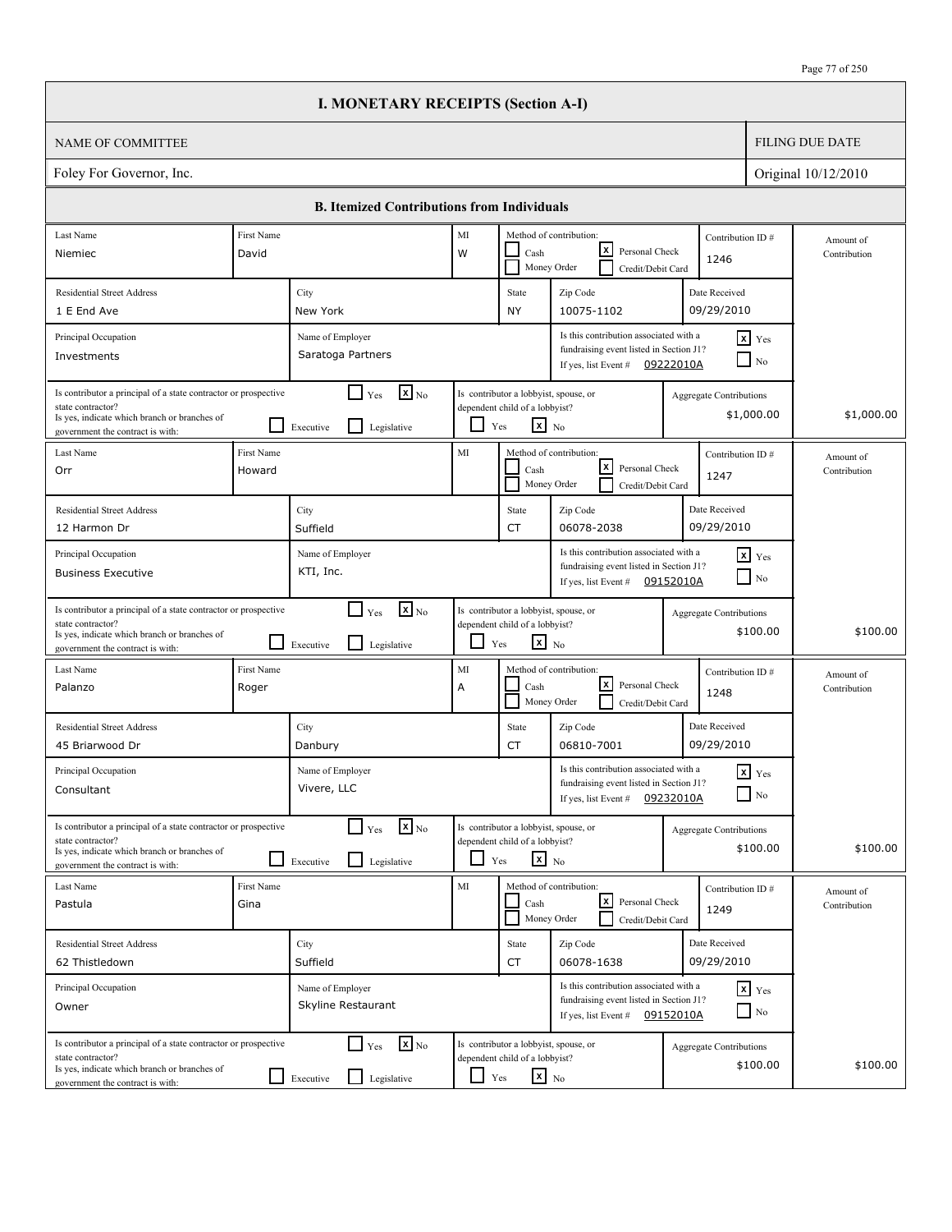$\Box$ 

|                                                                                                                                                                          |                                                                                                                                                                | <b>I. MONETARY RECEIPTS (Section A-I)</b>                                              |                               |                                                                                                   |                                                                                                                       |                  |                                              |                           |
|--------------------------------------------------------------------------------------------------------------------------------------------------------------------------|----------------------------------------------------------------------------------------------------------------------------------------------------------------|----------------------------------------------------------------------------------------|-------------------------------|---------------------------------------------------------------------------------------------------|-----------------------------------------------------------------------------------------------------------------------|------------------|----------------------------------------------|---------------------------|
| NAME OF COMMITTEE                                                                                                                                                        |                                                                                                                                                                |                                                                                        |                               |                                                                                                   |                                                                                                                       |                  |                                              | <b>FILING DUE DATE</b>    |
| Foley For Governor, Inc.                                                                                                                                                 |                                                                                                                                                                |                                                                                        |                               |                                                                                                   |                                                                                                                       |                  |                                              | Original 10/12/2010       |
|                                                                                                                                                                          |                                                                                                                                                                | <b>B.</b> Itemized Contributions from Individuals                                      |                               |                                                                                                   |                                                                                                                       |                  |                                              |                           |
| Last Name                                                                                                                                                                | First Name                                                                                                                                                     |                                                                                        | MI<br>Method of contribution: |                                                                                                   |                                                                                                                       | Contribution ID# | Amount of                                    |                           |
| Niemiec                                                                                                                                                                  | David                                                                                                                                                          |                                                                                        | W                             | Cash                                                                                              | lxl<br>Personal Check<br>Money Order<br>Credit/Debit Card                                                             |                  | 1246                                         | Contribution              |
| <b>Residential Street Address</b>                                                                                                                                        |                                                                                                                                                                | City                                                                                   |                               | State                                                                                             | Zip Code                                                                                                              |                  | Date Received                                |                           |
| 1 E End Ave                                                                                                                                                              |                                                                                                                                                                | New York                                                                               |                               | NY                                                                                                | 10075-1102                                                                                                            |                  | 09/29/2010                                   |                           |
| Principal Occupation<br>Investments                                                                                                                                      | Is this contribution associated with a<br>Name of Employer<br>fundraising event listed in Section J1?<br>Saratoga Partners<br>If yes, list Event # $09222010A$ |                                                                                        |                               |                                                                                                   |                                                                                                                       |                  | $x$ Yes<br>$\Box$ No                         |                           |
| Is contributor a principal of a state contractor or prospective<br>state contractor?<br>Is yes, indicate which branch or branches of<br>government the contract is with: |                                                                                                                                                                | $\mathbf{x}$ <sub>No</sub><br>$\Box$ Yes<br>l 1<br>Legislative<br>Executive            |                               | Is contributor a lobbyist, spouse, or<br>dependent child of a lobbyist?<br>$x_{N0}$<br>Yes        |                                                                                                                       |                  | <b>Aggregate Contributions</b><br>\$1,000.00 | \$1,000.00                |
| Last Name<br>Orr                                                                                                                                                         | First Name<br>Howard                                                                                                                                           |                                                                                        | MI                            | Cash<br>Money Order                                                                               | Method of contribution:<br>lxI<br>Personal Check<br>Credit/Debit Card                                                 |                  | Contribution ID#<br>1247                     | Amount of<br>Contribution |
| <b>Residential Street Address</b><br>12 Harmon Dr                                                                                                                        |                                                                                                                                                                | City<br>Suffield                                                                       |                               | State<br>CT                                                                                       | Zip Code<br>06078-2038                                                                                                |                  | Date Received<br>09/29/2010                  |                           |
| Principal Occupation<br><b>Business Executive</b>                                                                                                                        |                                                                                                                                                                | Name of Employer<br>KTI, Inc.                                                          |                               |                                                                                                   | Is this contribution associated with a<br>fundraising event listed in Section J1?<br>If yes, list Event #             | 09152010A        | $\mathbf{x}$ Yes<br>$\blacksquare$ No        |                           |
| Is contributor a principal of a state contractor or prospective<br>state contractor?<br>Is yes, indicate which branch or branches of<br>government the contract is with: |                                                                                                                                                                | $\mathbf{x}$ <sub>No</sub><br>$\Gamma$ Yes<br>$\mathsf{L}$<br>Legislative<br>Executive | $\Box$                        | Is contributor a lobbyist, spouse, or<br>dependent child of a lobbyist?<br>$\mathbf{x}$ No<br>Yes |                                                                                                                       |                  | <b>Aggregate Contributions</b><br>\$100.00   | \$100.00                  |
| Last Name<br>Palanzo                                                                                                                                                     | First Name<br>Roger                                                                                                                                            |                                                                                        | MI<br>Α                       | Cash                                                                                              | Method of contribution:<br>lxI<br>Personal Check<br>Money Order<br>Credit/Debit Card                                  |                  | Contribution ID#<br>1248                     | Amount of<br>Contribution |
| <b>Residential Street Address</b><br>45 Briarwood Dr                                                                                                                     |                                                                                                                                                                | City<br>Danbury                                                                        |                               | State<br>CT                                                                                       | Zip Code<br>06810-7001                                                                                                |                  | Date Received<br>09/29/2010                  |                           |
| Principal Occupation<br>Consultant                                                                                                                                       |                                                                                                                                                                | Name of Employer<br>Vivere, LLC                                                        |                               |                                                                                                   | Is this contribution associated with a<br>fundraising event listed in Section J1?<br>If yes, list Event #             | 09232010A        | $x$ $Yes$<br>$\hfill\Box$ No                 |                           |
| Is contributor a principal of a state contractor or prospective<br>state contractor?<br>Is yes, indicate which branch or branches of<br>government the contract is with: |                                                                                                                                                                | $\mathbf{X}$ <sub>No</sub><br>$\Box$ Yes<br>Legislative<br>Executive                   | ப                             | Is contributor a lobbyist, spouse, or<br>dependent child of a lobbyist?<br>$\mathbf{x}$ No<br>Yes |                                                                                                                       |                  | Aggregate Contributions<br>\$100.00          | \$100.00                  |
| Last Name<br>Pastula                                                                                                                                                     | First Name<br>Gina                                                                                                                                             |                                                                                        | MI                            | Cash                                                                                              | Method of contribution:<br><u> x</u><br>Personal Check<br>Money Order<br>Credit/Debit Card                            |                  | Contribution ID#<br>1249                     | Amount of<br>Contribution |
| <b>Residential Street Address</b><br>62 Thistledown                                                                                                                      |                                                                                                                                                                | City<br>Suffield                                                                       |                               | State<br>CT                                                                                       | Zip Code<br>06078-1638                                                                                                |                  | Date Received<br>09/29/2010                  |                           |
| Principal Occupation<br>Owner                                                                                                                                            |                                                                                                                                                                | Name of Employer<br>Skyline Restaurant                                                 |                               |                                                                                                   | Is this contribution associated with a<br>fundraising event listed in Section J1?<br>If yes, list Event # $09152010A$ |                  | $\mathbf{x}$ Yes<br>$\Box$ No                |                           |
| Is contributor a principal of a state contractor or prospective<br>state contractor?<br>Is yes, indicate which branch or branches of<br>government the contract is with: |                                                                                                                                                                | $\mathbf{x}$ <sub>No</sub><br>$\Box$ Yes<br>$\perp$<br>Legislative<br>Executive        | $\Box$                        | Is contributor a lobbyist, spouse, or<br>dependent child of a lobbyist?<br>$\mathbf{x}$ No<br>Yes |                                                                                                                       |                  | <b>Aggregate Contributions</b><br>\$100.00   | \$100.00                  |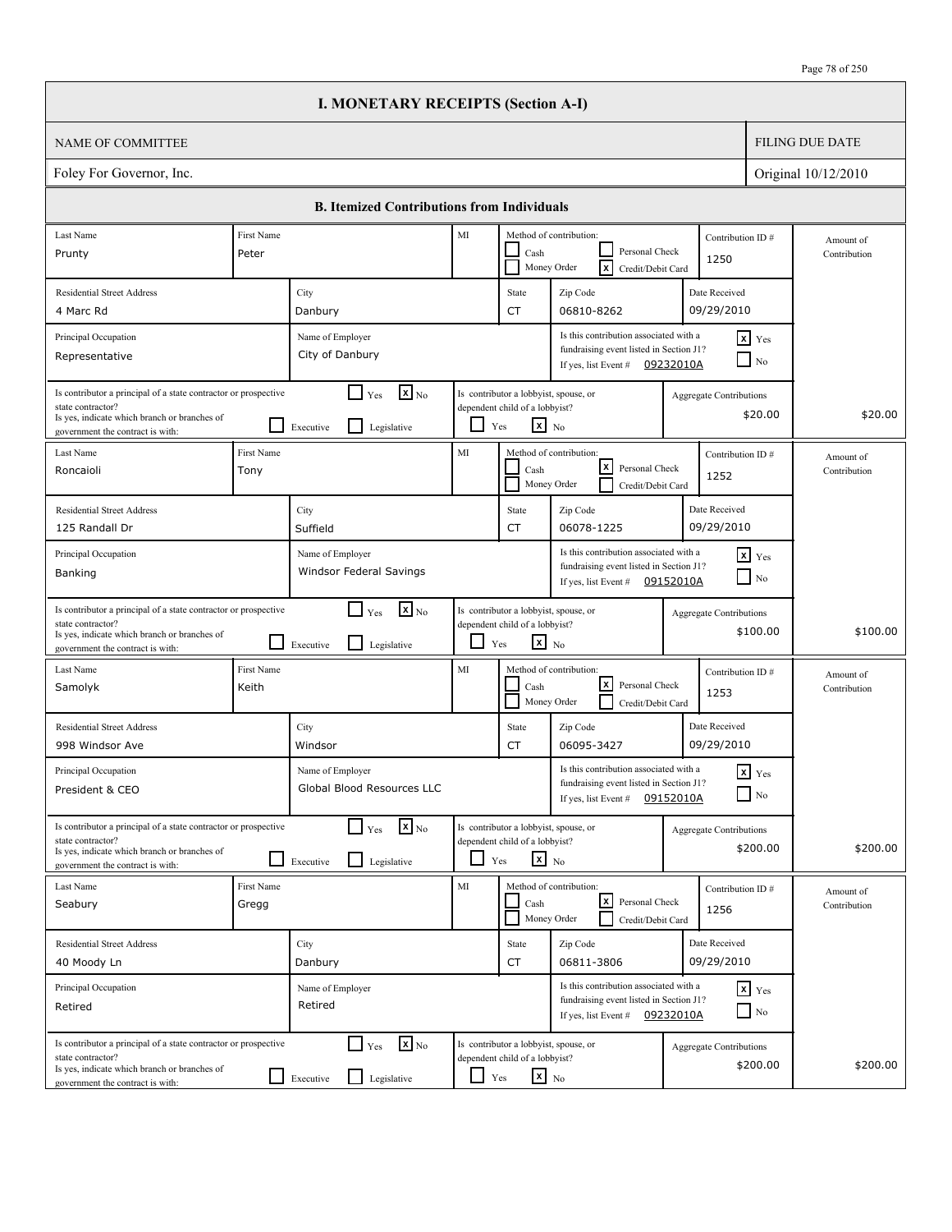|                                                                                                                                                                          |                     | <b>I. MONETARY RECEIPTS (Section A-I)</b>                                            |            |                                                                                                   |                                                                                                                       |                                |                                        |                           |
|--------------------------------------------------------------------------------------------------------------------------------------------------------------------------|---------------------|--------------------------------------------------------------------------------------|------------|---------------------------------------------------------------------------------------------------|-----------------------------------------------------------------------------------------------------------------------|--------------------------------|----------------------------------------|---------------------------|
| <b>NAME OF COMMITTEE</b>                                                                                                                                                 |                     |                                                                                      |            |                                                                                                   |                                                                                                                       |                                |                                        | <b>FILING DUE DATE</b>    |
| Foley For Governor, Inc.                                                                                                                                                 |                     |                                                                                      |            |                                                                                                   |                                                                                                                       |                                |                                        | Original 10/12/2010       |
|                                                                                                                                                                          |                     | <b>B. Itemized Contributions from Individuals</b>                                    |            |                                                                                                   |                                                                                                                       |                                |                                        |                           |
| Last Name                                                                                                                                                                | First Name          |                                                                                      | MI         |                                                                                                   | Method of contribution:                                                                                               | Contribution ID#               |                                        | Amount of                 |
| Prunty                                                                                                                                                                   | Peter               |                                                                                      |            | Cash                                                                                              | Personal Check<br>Γx<br>Money Order<br>Credit/Debit Card                                                              | 1250                           |                                        | Contribution              |
| <b>Residential Street Address</b>                                                                                                                                        |                     | City                                                                                 |            | State                                                                                             | Zip Code                                                                                                              | Date Received                  |                                        |                           |
| 4 Marc Rd                                                                                                                                                                |                     | Danbury                                                                              |            | <b>CT</b>                                                                                         | 06810-8262                                                                                                            | 09/29/2010                     |                                        |                           |
| Principal Occupation<br>Representative                                                                                                                                   |                     | Name of Employer<br>City of Danbury                                                  |            |                                                                                                   | Is this contribution associated with a<br>fundraising event listed in Section J1?<br>If yes, list Event #             | 09232010A                      | $x$ Yes<br>$\overline{\phantom{a}}$ No |                           |
| Is contributor a principal of a state contractor or prospective<br>state contractor?<br>Is yes, indicate which branch or branches of<br>government the contract is with: |                     | $\mathbf{X}$ <sub>No</sub><br>$\Box$ Yes<br>$\mathsf{L}$<br>Executive<br>Legislative | ப          | Is contributor a lobbyist, spouse, or<br>dependent child of a lobbyist?<br>$\mathbf{x}$ No<br>Yes |                                                                                                                       | Aggregate Contributions        | \$20.00                                | \$20.00                   |
| Last Name<br>Roncaioli                                                                                                                                                   | First Name<br>Tony  |                                                                                      | MI         | Cash                                                                                              | Method of contribution:<br>lxI<br>Personal Check<br>Money Order<br>Credit/Debit Card                                  | Contribution ID#<br>1252       |                                        | Amount of<br>Contribution |
| <b>Residential Street Address</b><br>125 Randall Dr                                                                                                                      |                     | City<br>Suffield                                                                     |            | State<br><b>CT</b>                                                                                | Zip Code<br>06078-1225                                                                                                | Date Received<br>09/29/2010    |                                        |                           |
| Principal Occupation<br>Banking                                                                                                                                          |                     | Name of Employer<br>Windsor Federal Savings                                          |            |                                                                                                   | Is this contribution associated with a<br>fundraising event listed in Section J1?<br>If yes, list Event # $09152010A$ |                                | $x$ Yes<br>$\Box$ No                   |                           |
| Is contributor a principal of a state contractor or prospective<br>state contractor?<br>Is yes, indicate which branch or branches of<br>government the contract is with: |                     | $\mathbf{X}$ <sub>No</sub><br>$\Box$ Yes<br>l 1<br>Legislative<br>Executive          | ப          | Is contributor a lobbyist, spouse, or<br>dependent child of a lobbyist?<br>$\mathbf{x}$ No<br>Yes |                                                                                                                       | <b>Aggregate Contributions</b> | \$100.00                               | \$100.00                  |
| Last Name<br>Samolyk                                                                                                                                                     | First Name<br>Keith |                                                                                      | MI         | Cash                                                                                              | Method of contribution:<br>lxl<br>Personal Check<br>Money Order<br>Credit/Debit Card                                  | Contribution ID#<br>1253       |                                        | Amount of<br>Contribution |
| <b>Residential Street Address</b><br>998 Windsor Ave                                                                                                                     |                     | City<br>Windsor                                                                      |            | State<br>CT                                                                                       | Zip Code<br>06095-3427                                                                                                | Date Received<br>09/29/2010    |                                        |                           |
| Principal Occupation<br>President & CEO                                                                                                                                  |                     | Name of Employer<br>Global Blood Resources LLC                                       |            |                                                                                                   | Is this contribution associated with a<br>fundraising event listed in Section J1?<br>If yes, list Event #             | 09152010A                      | $\mathbf{x}$ Yes<br>$\Box$ No          |                           |
| Is contributor a principal of a state contractor or prospective<br>state contractor?<br>Is yes, indicate which branch or branches of<br>government the contract is with: |                     | $\mathbf{x}$ <sub>No</sub><br>$\Gamma$ Yes<br>$\perp$<br>Legislative<br>Executive    |            | Is contributor a lobbyist, spouse, or<br>dependent child of a lobbyist?<br>$x_{N0}$<br>Yes        |                                                                                                                       | <b>Aggregate Contributions</b> | \$200.00                               | \$200.00                  |
| Last Name<br>Seabury                                                                                                                                                     | First Name<br>Gregg |                                                                                      | MI         | Cash                                                                                              | Method of contribution:<br>كا<br>Personal Check<br>Money Order<br>Credit/Debit Card                                   | 1256                           | Contribution ID#                       | Amount of<br>Contribution |
| <b>Residential Street Address</b><br>40 Moody Ln                                                                                                                         |                     | City<br>Danbury                                                                      |            | State<br>CT                                                                                       | Zip Code<br>06811-3806                                                                                                | Date Received<br>09/29/2010    |                                        |                           |
| Principal Occupation<br>Retired                                                                                                                                          |                     | Name of Employer<br>Retired                                                          |            |                                                                                                   | Is this contribution associated with a<br>fundraising event listed in Section J1?<br>If yes, list Event # $09232010A$ |                                | $x$ $y$ <sub>es</sub><br>$\Box$ No     |                           |
| Is contributor a principal of a state contractor or prospective<br>state contractor?<br>Is yes, indicate which branch or branches of<br>government the contract is with: |                     | $\mathbf{x}$ <sub>No</sub><br>$\Box$ Yes<br>Legislative<br>$\Box$ Executive          | $\Box$ Yes | Is contributor a lobbyist, spouse, or<br>dependent child of a lobbyist?<br>$\mathbf{x}$ No        |                                                                                                                       | <b>Aggregate Contributions</b> | \$200.00                               | \$200.00                  |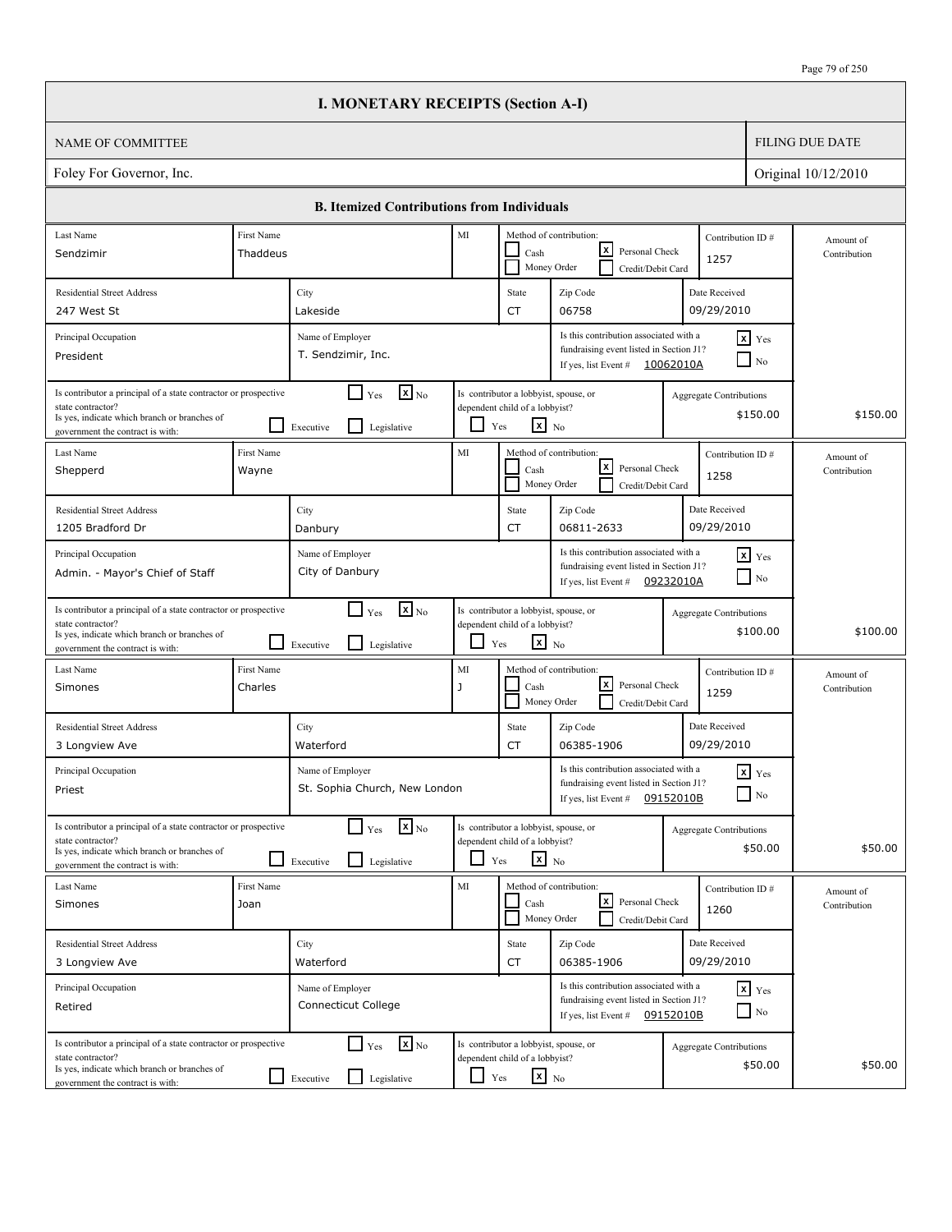|                                                                                                                                                                          |                        | <b>I. MONETARY RECEIPTS (Section A-I)</b>                                   |                    |                                                                                                   |                                                                                                                        |                                |                                        |                           |
|--------------------------------------------------------------------------------------------------------------------------------------------------------------------------|------------------------|-----------------------------------------------------------------------------|--------------------|---------------------------------------------------------------------------------------------------|------------------------------------------------------------------------------------------------------------------------|--------------------------------|----------------------------------------|---------------------------|
| <b>NAME OF COMMITTEE</b>                                                                                                                                                 |                        |                                                                             |                    |                                                                                                   |                                                                                                                        |                                |                                        | <b>FILING DUE DATE</b>    |
| Foley For Governor, Inc.                                                                                                                                                 |                        |                                                                             |                    |                                                                                                   |                                                                                                                        |                                |                                        | Original 10/12/2010       |
|                                                                                                                                                                          |                        | <b>B. Itemized Contributions from Individuals</b>                           |                    |                                                                                                   |                                                                                                                        |                                |                                        |                           |
| Last Name<br>Sendzimir                                                                                                                                                   | First Name<br>Thaddeus |                                                                             | MI                 | Cash                                                                                              | Method of contribution:<br>lxI<br>Personal Check<br>Money Order<br>Credit/Debit Card                                   | Contribution ID#<br>1257       |                                        | Amount of<br>Contribution |
| <b>Residential Street Address</b><br>247 West St                                                                                                                         |                        | City<br>Lakeside                                                            |                    | State<br><b>CT</b>                                                                                | Zip Code<br>06758                                                                                                      | Date Received<br>09/29/2010    |                                        |                           |
| Principal Occupation<br>President                                                                                                                                        |                        | Name of Employer<br>T. Sendzimir, Inc.                                      |                    |                                                                                                   | Is this contribution associated with a<br>fundraising event listed in Section J1?<br>If yes, list Event #              | 10062010A                      | $x$ Yes<br>$\overline{\phantom{a}}$ No |                           |
| Is contributor a principal of a state contractor or prospective<br>state contractor?<br>Is yes, indicate which branch or branches of<br>government the contract is with: |                        | $\mathbf{X}$ <sub>No</sub><br>$\Box$ Yes<br>l I<br>Executive<br>Legislative | ப                  | Is contributor a lobbyist, spouse, or<br>dependent child of a lobbyist?<br>$\mathbf{x}$ No<br>Yes |                                                                                                                        | Aggregate Contributions        | \$150.00                               | \$150.00                  |
| Last Name<br>Shepperd                                                                                                                                                    | First Name<br>Wayne    |                                                                             | MI                 | Cash                                                                                              | Method of contribution:<br>lxI<br>Personal Check<br>Money Order<br>Credit/Debit Card                                   | Contribution ID#<br>1258       |                                        | Amount of<br>Contribution |
| <b>Residential Street Address</b><br>1205 Bradford Dr                                                                                                                    |                        | City<br>Danbury                                                             |                    | State<br><b>CT</b>                                                                                | Zip Code<br>06811-2633                                                                                                 | Date Received<br>09/29/2010    |                                        |                           |
| Principal Occupation<br>Admin. - Mayor's Chief of Staff                                                                                                                  |                        | Name of Employer<br>City of Danbury                                         |                    |                                                                                                   | Is this contribution associated with a<br>fundraising event listed in Section J1?<br>If yes, list Event #              | 09232010A                      | $x$ $Y$ es<br>$\Box$ No                |                           |
| Is contributor a principal of a state contractor or prospective<br>state contractor?<br>Is yes, indicate which branch or branches of<br>government the contract is with: |                        | $\mathbf{x}$ <sub>No</sub><br>$\Box$ Yes<br>l 1<br>Legislative<br>Executive | ப                  | Is contributor a lobbyist, spouse, or<br>dependent child of a lobbyist?<br>$\mathbf{x}$ No<br>Yes |                                                                                                                        | <b>Aggregate Contributions</b> | \$100.00                               | \$100.00                  |
| Last Name<br>Simones                                                                                                                                                     | First Name<br>Charles  |                                                                             | MI<br>$\mathbf{J}$ | Cash                                                                                              | Method of contribution:<br>lxl<br>Personal Check<br>Money Order<br>Credit/Debit Card                                   | Contribution ID#<br>1259       |                                        | Amount of<br>Contribution |
| <b>Residential Street Address</b><br>3 Longview Ave                                                                                                                      |                        | City<br>Waterford                                                           |                    | State<br>CT                                                                                       | Zip Code<br>06385-1906                                                                                                 | Date Received<br>09/29/2010    |                                        |                           |
| Principal Occupation<br>Priest                                                                                                                                           |                        | Name of Employer<br>St. Sophia Church, New London                           |                    |                                                                                                   | Is this contribution associated with a<br>fundraising event listed in Section J1?<br>If yes, list Event #              | 09152010B                      | $\mathbf{x}$ Yes<br>$\Box$ No          |                           |
| Is contributor a principal of a state contractor or prospective<br>state contractor?<br>Is yes, indicate which branch or branches of<br>government the contract is with: |                        | $\mathbf{x}$ <sub>No</sub><br>$\Box$ Yes<br>l 1<br>Legislative<br>Executive |                    | Is contributor a lobbyist, spouse, or<br>dependent child of a lobbyist?<br>$x_{N0}$<br>Yes        |                                                                                                                        | <b>Aggregate Contributions</b> | \$50.00                                | \$50.00                   |
| Last Name<br>Simones                                                                                                                                                     | First Name<br>Joan     |                                                                             | MI                 | Cash                                                                                              | Method of contribution:<br><u> x</u><br>Personal Check<br>Money Order<br>Credit/Debit Card                             | Contribution ID#<br>1260       |                                        | Amount of<br>Contribution |
| <b>Residential Street Address</b><br>3 Longview Ave                                                                                                                      |                        | City<br>Waterford                                                           |                    | State<br>CT                                                                                       | Zip Code<br>06385-1906                                                                                                 | Date Received<br>09/29/2010    |                                        |                           |
| Principal Occupation<br>Retired                                                                                                                                          |                        | Name of Employer<br>Connecticut College                                     |                    |                                                                                                   | Is this contribution associated with a<br>fundraising event listed in Section J1?<br>If yes, list Event $\#$ 09152010B |                                | $x$ $y$ <sub>es</sub><br>$\Box$ No     |                           |
| Is contributor a principal of a state contractor or prospective<br>state contractor?<br>Is yes, indicate which branch or branches of<br>government the contract is with: |                        | $\mathbf{x}$ <sub>No</sub><br>$\Box$ Yes<br>Legislative<br>$\Box$ Executive | $\Box$ Yes         | Is contributor a lobbyist, spouse, or<br>dependent child of a lobbyist?<br>$\mathbf{x}$ No        |                                                                                                                        | <b>Aggregate Contributions</b> | \$50.00                                | \$50.00                   |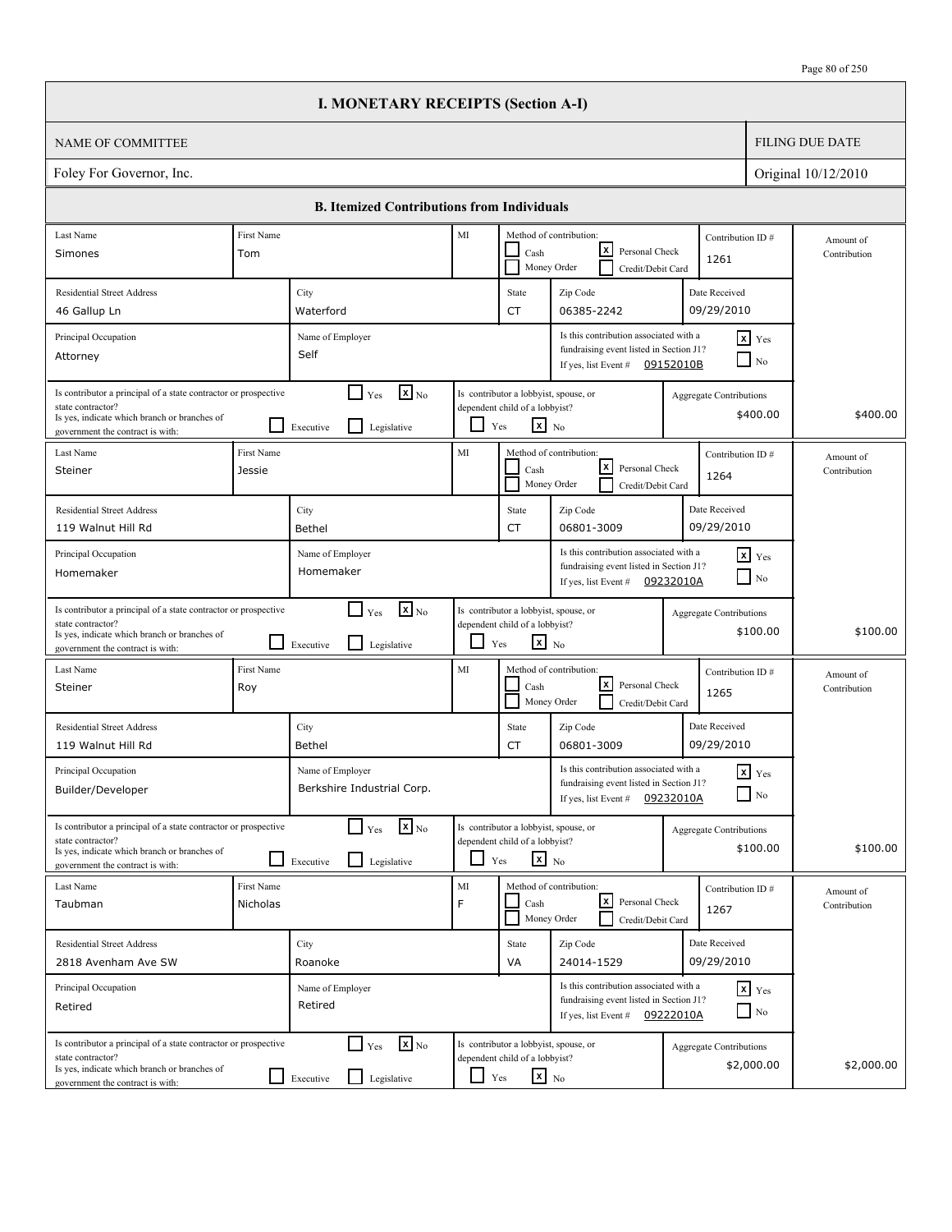|                                                                                                                                                                          |                        |                               | <b>I. MONETARY RECEIPTS (Section A-I)</b>                 |            |                                                                                                   |                                                                                                                       |                                     |           |                                            |                           |
|--------------------------------------------------------------------------------------------------------------------------------------------------------------------------|------------------------|-------------------------------|-----------------------------------------------------------|------------|---------------------------------------------------------------------------------------------------|-----------------------------------------------------------------------------------------------------------------------|-------------------------------------|-----------|--------------------------------------------|---------------------------|
| <b>NAME OF COMMITTEE</b>                                                                                                                                                 |                        |                               |                                                           |            |                                                                                                   |                                                                                                                       |                                     |           |                                            | <b>FILING DUE DATE</b>    |
| Foley For Governor, Inc.                                                                                                                                                 |                        |                               |                                                           |            |                                                                                                   |                                                                                                                       |                                     |           |                                            | Original 10/12/2010       |
|                                                                                                                                                                          |                        |                               | <b>B. Itemized Contributions from Individuals</b>         |            |                                                                                                   |                                                                                                                       |                                     |           |                                            |                           |
| Last Name                                                                                                                                                                | First Name             |                               |                                                           | $\rm MI$   |                                                                                                   | Method of contribution:                                                                                               |                                     |           | Contribution ID#                           | Amount of                 |
| Simones                                                                                                                                                                  | Tom                    |                               |                                                           |            | Cash                                                                                              | x <br>Money Order                                                                                                     | Personal Check<br>Credit/Debit Card |           | 1261                                       | Contribution              |
| <b>Residential Street Address</b>                                                                                                                                        |                        | City                          |                                                           |            | State                                                                                             | Zip Code                                                                                                              |                                     |           | Date Received                              |                           |
| 46 Gallup Ln                                                                                                                                                             |                        | Waterford                     |                                                           |            | <b>CT</b>                                                                                         | 06385-2242                                                                                                            |                                     |           | 09/29/2010                                 |                           |
| Principal Occupation<br>Attorney                                                                                                                                         |                        | Name of Employer<br>Self      |                                                           |            |                                                                                                   | Is this contribution associated with a<br>fundraising event listed in Section J1?<br>If yes, list Event #             |                                     | 09152010B | $x$ $Y$ es<br>$\overline{N_0}$             |                           |
| Is contributor a principal of a state contractor or prospective<br>state contractor?<br>Is yes, indicate which branch or branches of<br>government the contract is with: |                        | Executive                     | $\mathbf{x}$ <sub>No</sub><br>$\Box$ Yes<br>Legislative   | ப          | Is contributor a lobbyist, spouse, or<br>dependent child of a lobbyist?<br>$\mathbf{x}$ No<br>Yes |                                                                                                                       |                                     |           | <b>Aggregate Contributions</b><br>\$400.00 | \$400.00                  |
| Last Name<br>Steiner                                                                                                                                                     | First Name<br>Jessie   |                               |                                                           | MI         | Cash                                                                                              | Method of contribution:<br> x <br>Money Order                                                                         | Personal Check<br>Credit/Debit Card |           | Contribution ID#<br>1264                   | Amount of<br>Contribution |
| <b>Residential Street Address</b><br>119 Walnut Hill Rd                                                                                                                  |                        | City<br>Bethel                |                                                           |            | State<br><b>CT</b>                                                                                | Zip Code<br>06801-3009                                                                                                |                                     |           | Date Received<br>09/29/2010                |                           |
| Principal Occupation<br>Homemaker                                                                                                                                        |                        | Name of Employer<br>Homemaker |                                                           |            |                                                                                                   | Is this contribution associated with a<br>fundraising event listed in Section J1?<br>If yes, list Event # $09232010A$ |                                     |           | $x$ $Yes$<br>$\Box$ No                     |                           |
| Is contributor a principal of a state contractor or prospective<br>state contractor?<br>Is yes, indicate which branch or branches of<br>government the contract is with: |                        | Executive                     | $\mathbf{X}_{\text{No}}$<br>$\Box$ Yes<br>Legislative     | ப          | Is contributor a lobbyist, spouse, or<br>dependent child of a lobbyist?<br>$X_{N0}$<br>Yes        |                                                                                                                       |                                     |           | <b>Aggregate Contributions</b><br>\$100.00 | \$100.00                  |
| Last Name<br>Steiner                                                                                                                                                     | First Name<br>Roy      |                               |                                                           | MI         | Cash                                                                                              | Method of contribution:<br> x <br>Money Order                                                                         | Personal Check<br>Credit/Debit Card |           | Contribution ID#<br>1265                   | Amount of<br>Contribution |
| <b>Residential Street Address</b><br>119 Walnut Hill Rd                                                                                                                  |                        | City<br><b>Bethel</b>         |                                                           |            | State<br><b>CT</b>                                                                                | Zip Code<br>06801-3009                                                                                                |                                     |           | Date Received<br>09/29/2010                |                           |
| Principal Occupation<br>Builder/Developer                                                                                                                                |                        | Name of Employer              | Berkshire Industrial Corp.                                |            |                                                                                                   | Is this contribution associated with a<br>fundraising event listed in Section J1?<br>If yes, list Event # $09232010A$ |                                     |           | $\overline{\mathbf{x}}$ Yes<br>$\Box$ No   |                           |
| Is contributor a principal of a state contractor or prospective<br>state contractor?<br>Is yes, indicate which branch or branches of<br>government the contract is with: |                        | Executive                     | $\mathbf{x}$ <sub>No</sub><br>$\Box$ Yes<br>Legislative   |            | Is contributor a lobbyist, spouse, or<br>dependent child of a lobbyist?<br>$x_{N0}$<br>Yes        |                                                                                                                       |                                     |           | Aggregate Contributions<br>\$100.00        | \$100.00                  |
| Last Name<br>Taubman                                                                                                                                                     | First Name<br>Nicholas |                               |                                                           | MI<br>F    | Cash                                                                                              | Method of contribution:<br> x <br>Money Order                                                                         | Personal Check<br>Credit/Debit Card |           | Contribution ID#<br>1267                   | Amount of<br>Contribution |
| <b>Residential Street Address</b><br>2818 Avenham Ave SW                                                                                                                 |                        | City<br>Roanoke               |                                                           |            | State<br>VA                                                                                       | Zip Code<br>24014-1529                                                                                                |                                     |           | Date Received<br>09/29/2010                |                           |
| Principal Occupation<br>Retired                                                                                                                                          |                        | Name of Employer<br>Retired   |                                                           |            |                                                                                                   | Is this contribution associated with a<br>fundraising event listed in Section J1?<br>If yes, list Event # $09222010A$ |                                     |           | $x$ $y$ <sub>es</sub><br>$\Box$ No         |                           |
| Is contributor a principal of a state contractor or prospective<br>state contractor?<br>Is yes, indicate which branch or branches of<br>government the contract is with: |                        | $\Box$ Executive              | $\mathbf{x}$ <sub>No</sub><br>$\Gamma$ Yes<br>Legislative | $\Box$ Yes | Is contributor a lobbyist, spouse, or<br>dependent child of a lobbyist?<br>$x_{N0}$               |                                                                                                                       |                                     |           | Aggregate Contributions<br>\$2,000.00      | \$2,000.00                |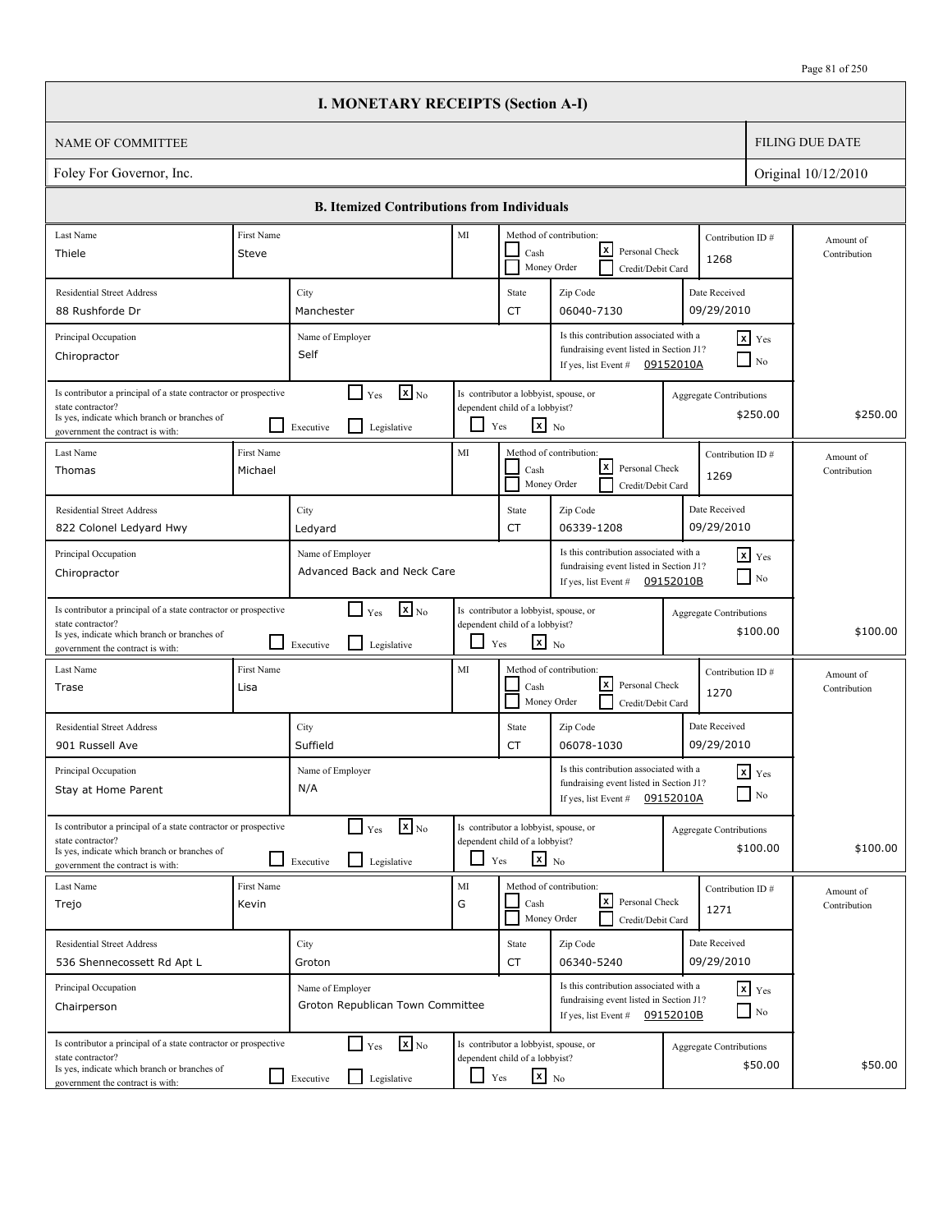|                                                                                                                                                                          |                                                                                                                                                   | <b>I. MONETARY RECEIPTS (Section A-I)</b>                                       |  |               |                                                                                            |                                                                                                                       |                      |                                            |                           |
|--------------------------------------------------------------------------------------------------------------------------------------------------------------------------|---------------------------------------------------------------------------------------------------------------------------------------------------|---------------------------------------------------------------------------------|--|---------------|--------------------------------------------------------------------------------------------|-----------------------------------------------------------------------------------------------------------------------|----------------------|--------------------------------------------|---------------------------|
| NAME OF COMMITTEE                                                                                                                                                        |                                                                                                                                                   |                                                                                 |  |               |                                                                                            |                                                                                                                       |                      |                                            | <b>FILING DUE DATE</b>    |
| Foley For Governor, Inc.                                                                                                                                                 |                                                                                                                                                   |                                                                                 |  |               |                                                                                            |                                                                                                                       |                      |                                            | Original 10/12/2010       |
|                                                                                                                                                                          |                                                                                                                                                   | <b>B.</b> Itemized Contributions from Individuals                               |  |               |                                                                                            |                                                                                                                       |                      |                                            |                           |
| Last Name                                                                                                                                                                | First Name                                                                                                                                        |                                                                                 |  | MI            | Method of contribution:                                                                    |                                                                                                                       |                      | Contribution ID#                           | Amount of                 |
| Thiele                                                                                                                                                                   | Steve                                                                                                                                             |                                                                                 |  |               | Cash<br>Money Order                                                                        | lxl<br>Personal Check<br>Credit/Debit Card                                                                            |                      | 1268                                       | Contribution              |
| <b>Residential Street Address</b>                                                                                                                                        |                                                                                                                                                   | City                                                                            |  |               | State                                                                                      | Zip Code                                                                                                              |                      | Date Received                              |                           |
| 88 Rushforde Dr                                                                                                                                                          |                                                                                                                                                   | Manchester                                                                      |  |               | CT                                                                                         | 06040-7130                                                                                                            |                      | 09/29/2010                                 |                           |
| Principal Occupation<br>Chiropractor                                                                                                                                     | Is this contribution associated with a<br>Name of Employer<br>fundraising event listed in Section J1?<br>Self<br>If yes, list Event # $09152010A$ |                                                                                 |  |               |                                                                                            |                                                                                                                       | $x$ Yes<br>$\Box$ No |                                            |                           |
| Is contributor a principal of a state contractor or prospective<br>state contractor?<br>Is yes, indicate which branch or branches of<br>government the contract is with: |                                                                                                                                                   | $\mathbf{X}$ <sub>No</sub><br>$\Box$ Yes<br>l 1<br>Legislative<br>Executive     |  | Yes           | Is contributor a lobbyist, spouse, or<br>dependent child of a lobbyist?<br>$x_{N0}$        |                                                                                                                       |                      | <b>Aggregate Contributions</b><br>\$250.00 | \$250.00                  |
| Last Name<br>Thomas                                                                                                                                                      | First Name<br>Michael                                                                                                                             |                                                                                 |  | MI            | Method of contribution:<br>Cash<br>Money Order                                             | lxI<br>Personal Check<br>Credit/Debit Card                                                                            |                      | Contribution ID#<br>1269                   | Amount of<br>Contribution |
| <b>Residential Street Address</b>                                                                                                                                        |                                                                                                                                                   | City                                                                            |  |               | State                                                                                      | Zip Code                                                                                                              |                      | Date Received                              |                           |
| 822 Colonel Ledyard Hwy                                                                                                                                                  |                                                                                                                                                   | Ledyard                                                                         |  |               | CT                                                                                         | 06339-1208                                                                                                            |                      | 09/29/2010                                 |                           |
| Principal Occupation<br>Chiropractor                                                                                                                                     |                                                                                                                                                   | Name of Employer<br>Advanced Back and Neck Care                                 |  |               |                                                                                            | Is this contribution associated with a<br>fundraising event listed in Section J1?<br>If yes, list Event #             | 09152010B            | $\mathbf{x}$ Yes<br>$\blacksquare$ No      |                           |
| Is contributor a principal of a state contractor or prospective<br>state contractor?<br>Is yes, indicate which branch or branches of<br>government the contract is with: |                                                                                                                                                   | $\mathbf{x}$ <sub>No</sub><br>$\Box$ Yes<br>l 1<br>Legislative<br>Executive     |  | $\Box$<br>Yes | Is contributor a lobbyist, spouse, or<br>dependent child of a lobbyist?<br>$\mathbf{x}$ No |                                                                                                                       |                      | <b>Aggregate Contributions</b><br>\$100.00 | \$100.00                  |
| Last Name<br>Trase                                                                                                                                                       | First Name<br>Lisa                                                                                                                                |                                                                                 |  | MI            | Method of contribution:<br>Cash<br>Money Order                                             | lxI<br>Personal Check<br>Credit/Debit Card                                                                            |                      | Contribution ID#<br>1270                   | Amount of<br>Contribution |
| <b>Residential Street Address</b><br>901 Russell Ave                                                                                                                     |                                                                                                                                                   | City<br>Suffield                                                                |  |               | State<br>CT                                                                                | Zip Code<br>06078-1030                                                                                                |                      | Date Received<br>09/29/2010                |                           |
| Principal Occupation<br>Stay at Home Parent                                                                                                                              |                                                                                                                                                   | Name of Employer<br>N/A                                                         |  |               |                                                                                            | Is this contribution associated with a<br>fundraising event listed in Section J1?<br>If yes, list Event #             | 09152010A            | $x$ $Yes$<br>$\hfill\Box$ No               |                           |
| Is contributor a principal of a state contractor or prospective<br>state contractor?<br>Is yes, indicate which branch or branches of<br>government the contract is with: |                                                                                                                                                   | $\mathbf{X}$ <sub>No</sub><br>$\Box$ Yes<br>Legislative<br>Executive            |  | ப<br>Yes      | Is contributor a lobbyist, spouse, or<br>dependent child of a lobbyist?<br>$\mathbf{x}$ No |                                                                                                                       |                      | Aggregate Contributions<br>\$100.00        | \$100.00                  |
| Last Name<br>Trejo                                                                                                                                                       | First Name<br>Kevin                                                                                                                               |                                                                                 |  | MI<br>G       | Cash<br>Money Order                                                                        | Method of contribution:<br><u> x</u><br>Personal Check<br>Credit/Debit Card                                           |                      | Contribution ID#<br>1271                   | Amount of<br>Contribution |
| <b>Residential Street Address</b><br>536 Shennecossett Rd Apt L                                                                                                          |                                                                                                                                                   | City<br>Groton                                                                  |  |               | State<br>CT                                                                                | Zip Code<br>06340-5240                                                                                                |                      | Date Received<br>09/29/2010                |                           |
| Principal Occupation<br>Chairperson                                                                                                                                      |                                                                                                                                                   | Name of Employer<br>Groton Republican Town Committee                            |  |               |                                                                                            | Is this contribution associated with a<br>fundraising event listed in Section J1?<br>If yes, list Event # $09152010B$ |                      | $\mathbf{x}$ Yes<br>$\Box$ No              |                           |
| Is contributor a principal of a state contractor or prospective<br>state contractor?<br>Is yes, indicate which branch or branches of<br>government the contract is with: |                                                                                                                                                   | $\mathbf{X}$ <sub>No</sub><br>$\Box$ Yes<br>$\perp$<br>Legislative<br>Executive |  | LI<br>Yes     | Is contributor a lobbyist, spouse, or<br>dependent child of a lobbyist?<br>$\mathbf{x}$ No |                                                                                                                       |                      | <b>Aggregate Contributions</b><br>\$50.00  | \$50.00                   |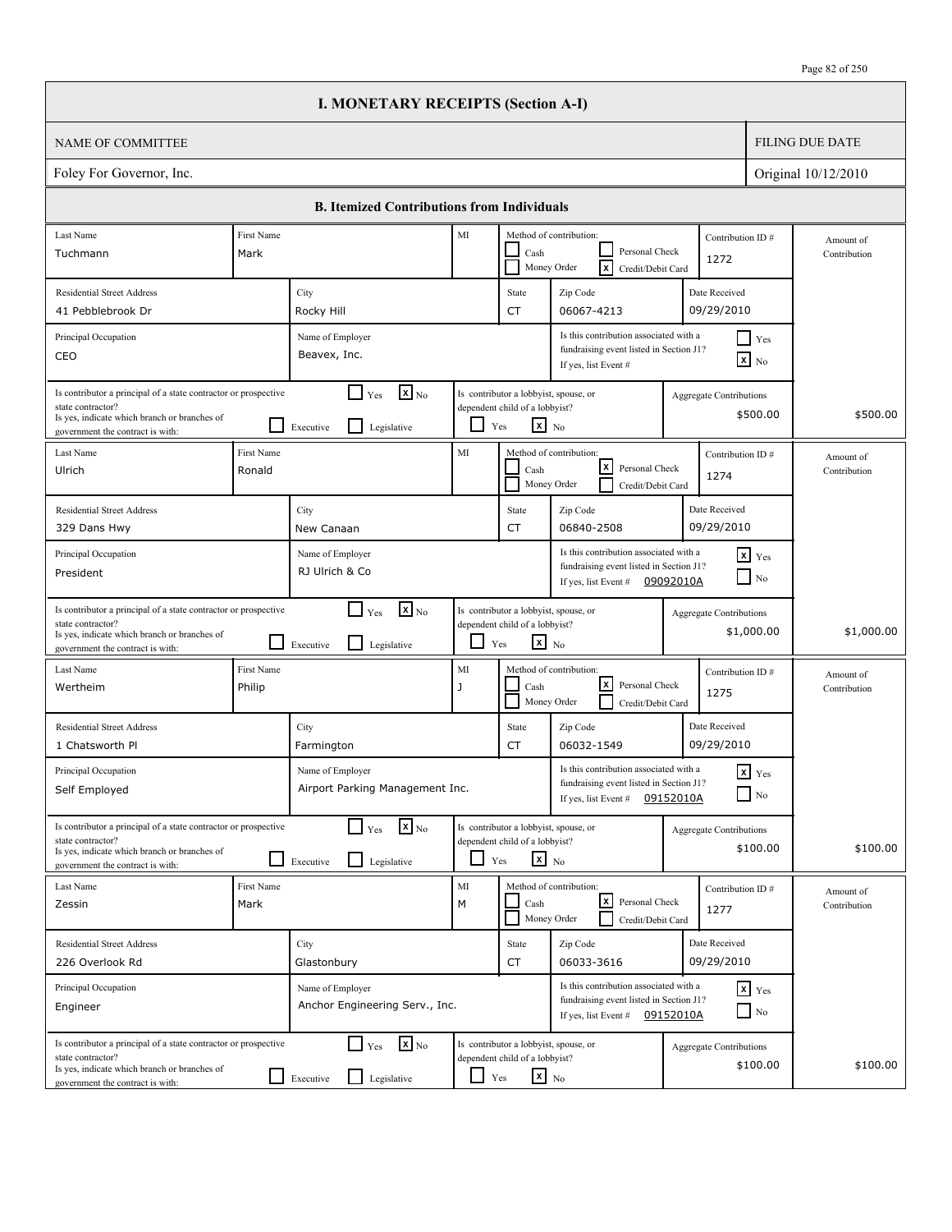|                                                                                                                                                                          |                      | <b>I. MONETARY RECEIPTS (Section A-I)</b>                                                                                                     |                          |                                                                                                   |                                                                                                           |                               |                                              |                           |
|--------------------------------------------------------------------------------------------------------------------------------------------------------------------------|----------------------|-----------------------------------------------------------------------------------------------------------------------------------------------|--------------------------|---------------------------------------------------------------------------------------------------|-----------------------------------------------------------------------------------------------------------|-------------------------------|----------------------------------------------|---------------------------|
| <b>NAME OF COMMITTEE</b>                                                                                                                                                 |                      |                                                                                                                                               |                          |                                                                                                   |                                                                                                           |                               |                                              | <b>FILING DUE DATE</b>    |
| Foley For Governor, Inc.                                                                                                                                                 |                      |                                                                                                                                               |                          |                                                                                                   |                                                                                                           |                               |                                              | Original 10/12/2010       |
|                                                                                                                                                                          |                      | <b>B. Itemized Contributions from Individuals</b>                                                                                             |                          |                                                                                                   |                                                                                                           |                               |                                              |                           |
| Last Name                                                                                                                                                                | First Name           |                                                                                                                                               | MI                       |                                                                                                   | Method of contribution:                                                                                   |                               | Contribution ID#                             | Amount of                 |
| Tuchmann                                                                                                                                                                 | Mark                 | Personal Check<br>Cash<br>1272<br>$\overline{\mathbf{x}}$<br>Money Order<br>Credit/Debit Card                                                 |                          |                                                                                                   |                                                                                                           |                               |                                              | Contribution              |
| <b>Residential Street Address</b><br>41 Pebblebrook Dr                                                                                                                   |                      | City<br>Rocky Hill                                                                                                                            |                          | State<br>CT                                                                                       | Zip Code<br>06067-4213                                                                                    |                               | Date Received<br>09/29/2010                  |                           |
| Principal Occupation<br>CEO                                                                                                                                              |                      | Is this contribution associated with a<br>Name of Employer<br>fundraising event listed in Section J1?<br>Beavex, Inc.<br>If yes, list Event # |                          |                                                                                                   |                                                                                                           | $\Box$ Yes<br>$\mathbf{x}$ No |                                              |                           |
| Is contributor a principal of a state contractor or prospective<br>state contractor?<br>Is yes, indicate which branch or branches of<br>government the contract is with: |                      | $\mathbf{X}_{\text{No}}$<br>$\blacksquare$<br>Yes<br>$\mathsf{L}$<br>Legislative<br>Executive                                                 |                          | Is contributor a lobbyist, spouse, or<br>dependent child of a lobbyist?<br>$x_{N0}$<br>Yes        |                                                                                                           |                               | <b>Aggregate Contributions</b><br>\$500.00   | \$500.00                  |
| Last Name<br>Ulrich                                                                                                                                                      | First Name<br>Ronald |                                                                                                                                               | MI                       | Cash<br>Money Order                                                                               | Method of contribution:<br>$\lfloor x \rfloor$<br>Personal Check<br>Credit/Debit Card                     |                               | Contribution ID#<br>1274                     | Amount of<br>Contribution |
| <b>Residential Street Address</b><br>329 Dans Hwy                                                                                                                        |                      | City<br>New Canaan                                                                                                                            |                          | State<br>CT                                                                                       | Zip Code<br>06840-2508                                                                                    |                               | Date Received<br>09/29/2010                  |                           |
| Principal Occupation<br>President                                                                                                                                        |                      | Name of Employer<br>RJ Ulrich & Co                                                                                                            |                          |                                                                                                   | Is this contribution associated with a<br>fundraising event listed in Section J1?<br>If yes, list Event # | 09092010A                     | $\mathbf{x}$ Yes<br>$\Box$ No                |                           |
| Is contributor a principal of a state contractor or prospective<br>state contractor?<br>Is yes, indicate which branch or branches of<br>government the contract is with: |                      | $\mathbf{X}$ <sub>No</sub><br>$\Box$ Yes<br>l 1<br>Legislative<br>Executive                                                                   | $\overline{\phantom{0}}$ | Is contributor a lobbyist, spouse, or<br>dependent child of a lobbyist?<br>$\mathbf{x}$ No<br>Yes |                                                                                                           |                               | <b>Aggregate Contributions</b><br>\$1,000.00 | \$1,000.00                |
| Last Name<br>Wertheim                                                                                                                                                    | First Name<br>Philip |                                                                                                                                               | MI<br>J                  | Cash                                                                                              | Method of contribution:<br> x <br>Personal Check<br>Money Order<br>Credit/Debit Card                      |                               | Contribution ID#<br>1275                     | Amount of<br>Contribution |
| <b>Residential Street Address</b><br>1 Chatsworth Pl                                                                                                                     |                      | City<br>Farmington                                                                                                                            |                          | State<br>CT                                                                                       | Zip Code<br>06032-1549                                                                                    |                               | Date Received<br>09/29/2010                  |                           |
| Principal Occupation<br>Self Employed                                                                                                                                    |                      | Name of Employer<br>Airport Parking Management Inc.                                                                                           |                          |                                                                                                   | Is this contribution associated with a<br>fundraising event listed in Section J1?<br>If yes, list Event # | 09152010A                     | $x$ $Yes$<br>$\Box$ No                       |                           |
| Is contributor a principal of a state contractor or prospective<br>state contractor?<br>Is yes, indicate which branch or branches of<br>government the contract is with: |                      | $\mathbf{x}$ <sub>No</sub><br>$\Box$ Yes<br>Legislative<br>Executive                                                                          | $\Box$                   | Is contributor a lobbyist, spouse, or<br>dependent child of a lobbyist?<br>$x_{N0}$<br>Yes        |                                                                                                           |                               | <b>Aggregate Contributions</b><br>\$100.00   | \$100.00                  |
| Last Name<br>Zessin                                                                                                                                                      | First Name<br>Mark   |                                                                                                                                               | MI<br>M                  | Cash                                                                                              | Method of contribution:<br>كا<br>Personal Check<br>Money Order<br>Credit/Debit Card                       |                               | Contribution ID#<br>1277                     | Amount of<br>Contribution |
| <b>Residential Street Address</b><br>226 Overlook Rd                                                                                                                     |                      | City<br>Glastonbury                                                                                                                           |                          | State<br>CT                                                                                       | Zip Code<br>06033-3616                                                                                    |                               | Date Received<br>09/29/2010                  |                           |
| Principal Occupation<br>Engineer                                                                                                                                         |                      | Name of Employer<br>Anchor Engineering Serv., Inc.                                                                                            |                          |                                                                                                   | Is this contribution associated with a<br>fundraising event listed in Section J1?<br>If yes, list Event # | 09152010A                     | $x$ $y$ <sub>es</sub><br>$\Box$ No           |                           |
| Is contributor a principal of a state contractor or prospective<br>state contractor?<br>Is yes, indicate which branch or branches of<br>government the contract is with: |                      | $\mathbf{X}$ <sub>No</sub><br>$\Box$ Yes<br>$\Box$<br>Legislative<br>Executive                                                                | ப                        | Is contributor a lobbyist, spouse, or<br>dependent child of a lobbyist?<br>$\mathbf{x}$ No<br>Yes |                                                                                                           |                               | <b>Aggregate Contributions</b><br>\$100.00   | \$100.00                  |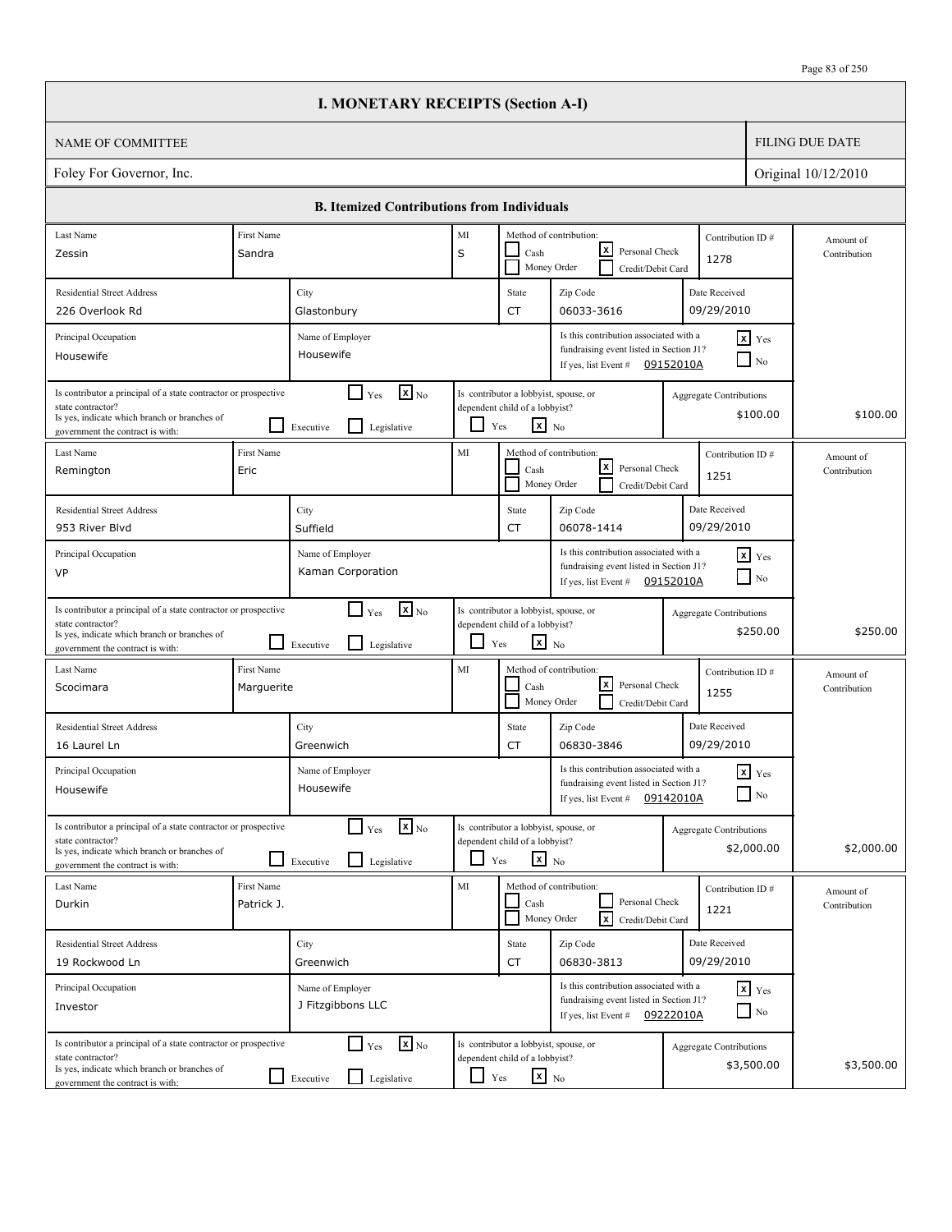|                                                                                                                                                                          |                          | <b>I. MONETARY RECEIPTS (Section A-I)</b>                                            |            |                                                                                                   |                                                                                                                       |                                |                                        |                           |
|--------------------------------------------------------------------------------------------------------------------------------------------------------------------------|--------------------------|--------------------------------------------------------------------------------------|------------|---------------------------------------------------------------------------------------------------|-----------------------------------------------------------------------------------------------------------------------|--------------------------------|----------------------------------------|---------------------------|
| <b>NAME OF COMMITTEE</b>                                                                                                                                                 |                          |                                                                                      |            |                                                                                                   |                                                                                                                       |                                |                                        | <b>FILING DUE DATE</b>    |
| Foley For Governor, Inc.                                                                                                                                                 |                          |                                                                                      |            |                                                                                                   |                                                                                                                       |                                |                                        | Original 10/12/2010       |
|                                                                                                                                                                          |                          | <b>B. Itemized Contributions from Individuals</b>                                    |            |                                                                                                   |                                                                                                                       |                                |                                        |                           |
| Last Name<br>Zessin                                                                                                                                                      | First Name<br>Sandra     |                                                                                      | MI<br>S    | Cash                                                                                              | Method of contribution:<br>lxI<br>Personal Check<br>Money Order<br>Credit/Debit Card                                  | Contribution ID#<br>1278       |                                        | Amount of<br>Contribution |
| <b>Residential Street Address</b><br>226 Overlook Rd                                                                                                                     |                          | City<br>Glastonbury                                                                  |            | State<br><b>CT</b>                                                                                | Zip Code<br>06033-3616                                                                                                | Date Received<br>09/29/2010    |                                        |                           |
| Principal Occupation<br>Housewife                                                                                                                                        |                          | Name of Employer<br>Housewife                                                        |            |                                                                                                   | Is this contribution associated with a<br>fundraising event listed in Section J1?<br>If yes, list Event #             | 09152010A                      | $x$ Yes<br>$\overline{\phantom{a}}$ No |                           |
| Is contributor a principal of a state contractor or prospective<br>state contractor?<br>Is yes, indicate which branch or branches of<br>government the contract is with: |                          | $\mathbf{X}$ <sub>No</sub><br>$\Box$ Yes<br>$\mathsf{L}$<br>Executive<br>Legislative | ப          | Is contributor a lobbyist, spouse, or<br>dependent child of a lobbyist?<br>$\mathbf{x}$ No<br>Yes |                                                                                                                       | Aggregate Contributions        | \$100.00                               | \$100.00                  |
| Last Name<br>Remington                                                                                                                                                   | First Name<br>Eric       |                                                                                      | MI         | Cash                                                                                              | Method of contribution:<br>lxI<br>Personal Check<br>Money Order<br>Credit/Debit Card                                  | Contribution ID#<br>1251       |                                        | Amount of<br>Contribution |
| <b>Residential Street Address</b><br>953 River Blyd                                                                                                                      |                          | City<br>Suffield                                                                     |            | State<br><b>CT</b>                                                                                | Zip Code<br>06078-1414                                                                                                | Date Received<br>09/29/2010    |                                        |                           |
| Principal Occupation<br>VP                                                                                                                                               |                          | Name of Employer<br>Kaman Corporation                                                |            |                                                                                                   | Is this contribution associated with a<br>fundraising event listed in Section J1?<br>If yes, list Event # $09152010A$ |                                | $x$ Yes<br>$\Box$ No                   |                           |
| Is contributor a principal of a state contractor or prospective<br>state contractor?<br>Is yes, indicate which branch or branches of<br>government the contract is with: |                          | $\mathbf{X}$ <sub>No</sub><br>$\Box$ Yes<br>l 1<br>Legislative<br>Executive          | ப          | Is contributor a lobbyist, spouse, or<br>dependent child of a lobbyist?<br>$\mathbf{x}$ No<br>Yes |                                                                                                                       | <b>Aggregate Contributions</b> | \$250.00                               | \$250.00                  |
| Last Name<br>Scocimara                                                                                                                                                   | First Name<br>Marguerite |                                                                                      | MI         | Cash                                                                                              | Method of contribution:<br>lxl<br>Personal Check<br>Money Order<br>Credit/Debit Card                                  | Contribution ID#<br>1255       |                                        | Amount of<br>Contribution |
| <b>Residential Street Address</b><br>16 Laurel Ln                                                                                                                        |                          | City<br>Greenwich                                                                    |            | State<br>CT                                                                                       | Zip Code<br>06830-3846                                                                                                | Date Received<br>09/29/2010    |                                        |                           |
| Principal Occupation<br>Housewife                                                                                                                                        |                          | Name of Employer<br>Housewife                                                        |            |                                                                                                   | Is this contribution associated with a<br>fundraising event listed in Section J1?<br>If yes, list Event #             | 09142010A                      | $\mathbf{x}$ Yes<br>$\Box$ No          |                           |
| Is contributor a principal of a state contractor or prospective<br>state contractor?<br>Is yes, indicate which branch or branches of<br>government the contract is with: |                          | $\mathbf{x}$ <sub>No</sub><br>$\Box$ Yes<br>$\mathsf{L}$<br>Legislative<br>Executive |            | Is contributor a lobbyist, spouse, or<br>dependent child of a lobbyist?<br>$x_{N0}$<br>Yes        |                                                                                                                       | <b>Aggregate Contributions</b> | \$2,000.00                             | \$2,000.00                |
| Last Name<br>Durkin                                                                                                                                                      | First Name<br>Patrick J. |                                                                                      | MI         | Cash                                                                                              | Method of contribution:<br>Personal Check<br>$\sqrt{x}$<br>Money Order<br>Credit/Debit Card                           | 1221                           | Contribution ID#                       | Amount of<br>Contribution |
| <b>Residential Street Address</b><br>19 Rockwood Ln                                                                                                                      |                          | City<br>Greenwich                                                                    |            | State<br>CT                                                                                       | Zip Code<br>06830-3813                                                                                                | Date Received<br>09/29/2010    |                                        |                           |
| Principal Occupation<br>Investor                                                                                                                                         |                          | Name of Employer<br>J Fitzgibbons LLC                                                |            |                                                                                                   | Is this contribution associated with a<br>fundraising event listed in Section J1?<br>If yes, list Event # $09222010A$ |                                | $x$ $y$ <sub>es</sub><br>$\Box$ No     |                           |
| Is contributor a principal of a state contractor or prospective<br>state contractor?<br>Is yes, indicate which branch or branches of<br>government the contract is with: |                          | $\mathbf{x}$ <sub>No</sub><br>$\Box$ Yes<br>Executive<br>Legislative                 | $\Box$ Yes | Is contributor a lobbyist, spouse, or<br>dependent child of a lobbyist?<br>$\mathbf{x}$ No        |                                                                                                                       | <b>Aggregate Contributions</b> | \$3,500.00                             | \$3,500.00                |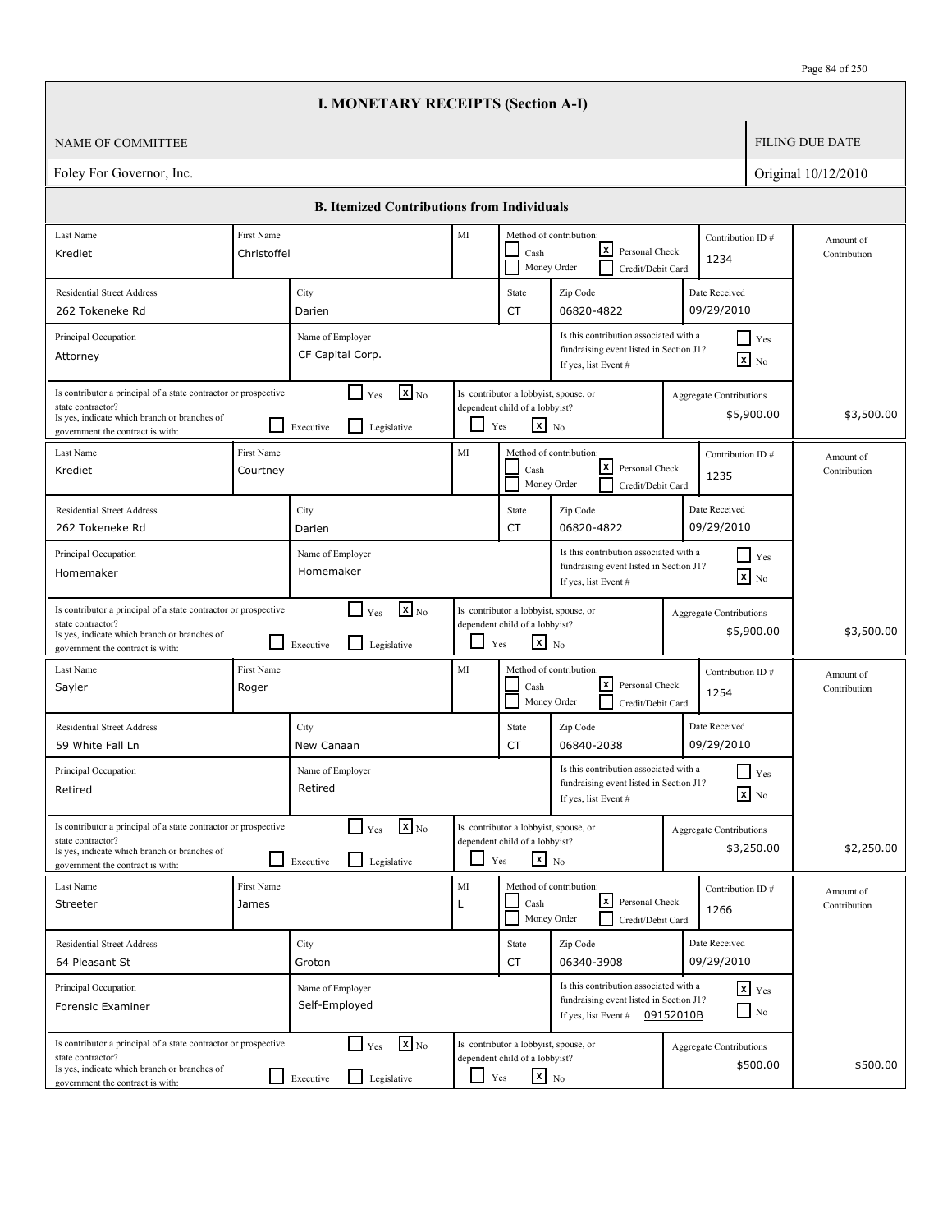| Page 84 of 250 |
|----------------|
|----------------|

|                                                                                                                                                                          |                        | <b>I. MONETARY RECEIPTS (Section A-I)</b>                                 |            |                                                                                            |                                                                                                                       |                                |                                       |                           |
|--------------------------------------------------------------------------------------------------------------------------------------------------------------------------|------------------------|---------------------------------------------------------------------------|------------|--------------------------------------------------------------------------------------------|-----------------------------------------------------------------------------------------------------------------------|--------------------------------|---------------------------------------|---------------------------|
| <b>NAME OF COMMITTEE</b>                                                                                                                                                 |                        |                                                                           |            |                                                                                            |                                                                                                                       |                                |                                       | <b>FILING DUE DATE</b>    |
| Foley For Governor, Inc.                                                                                                                                                 |                        |                                                                           |            |                                                                                            |                                                                                                                       |                                |                                       | Original 10/12/2010       |
|                                                                                                                                                                          |                        | <b>B. Itemized Contributions from Individuals</b>                         |            |                                                                                            |                                                                                                                       |                                |                                       |                           |
| Last Name                                                                                                                                                                | First Name             |                                                                           | $\rm MI$   |                                                                                            | Method of contribution:                                                                                               |                                | Contribution ID#                      | Amount of                 |
| Krediet                                                                                                                                                                  | Christoffel            |                                                                           |            | Cash                                                                                       | x <br>Personal Check<br>Money Order<br>Credit/Debit Card                                                              | 1234                           |                                       | Contribution              |
| <b>Residential Street Address</b>                                                                                                                                        |                        | City                                                                      |            | State                                                                                      | Zip Code                                                                                                              | Date Received                  |                                       |                           |
| 262 Tokeneke Rd                                                                                                                                                          |                        | Darien                                                                    |            | <b>CT</b>                                                                                  | 06820-4822                                                                                                            | 09/29/2010                     |                                       |                           |
| Principal Occupation<br>Attorney                                                                                                                                         |                        | Name of Employer<br>CF Capital Corp.                                      |            |                                                                                            | Is this contribution associated with a<br>fundraising event listed in Section J1?<br>If yes, list Event #             |                                | $\Box$ Yes<br>$\boxed{\mathbf{x}}$ No |                           |
| Is contributor a principal of a state contractor or prospective<br>state contractor?<br>Is yes, indicate which branch or branches of<br>government the contract is with: |                        | $\mathbf{x}$ <sub>No</sub><br>$\Box$ Yes<br>Legislative<br>Executive      | ப          | Is contributor a lobbyist, spouse, or<br>dependent child of a lobbyist?<br>$X_{N0}$<br>Yes |                                                                                                                       | <b>Aggregate Contributions</b> | \$5,900.00                            | \$3,500.00                |
| Last Name<br>Krediet                                                                                                                                                     | First Name<br>Courtney |                                                                           | MI         | Cash                                                                                       | Method of contribution:<br> x <br>Personal Check<br>Money Order<br>Credit/Debit Card                                  | 1235                           | Contribution ID#                      | Amount of<br>Contribution |
| <b>Residential Street Address</b><br>262 Tokeneke Rd                                                                                                                     |                        | City<br>Darien                                                            |            | State<br><b>CT</b>                                                                         | Zip Code<br>06820-4822                                                                                                | Date Received<br>09/29/2010    |                                       |                           |
| Principal Occupation<br>Homemaker                                                                                                                                        |                        | Name of Employer<br>Homemaker                                             |            |                                                                                            | Is this contribution associated with a<br>fundraising event listed in Section J1?<br>If yes, list Event #             |                                | Yes<br>$\mathbf{x}$ No                |                           |
| Is contributor a principal of a state contractor or prospective<br>state contractor?<br>Is yes, indicate which branch or branches of<br>government the contract is with: |                        | $\mathbf{X}_{\text{No}}$<br>$\Box$ Yes<br>Legislative<br>Executive        | ப          | Is contributor a lobbyist, spouse, or<br>dependent child of a lobbyist?<br>$X_{N0}$<br>Yes |                                                                                                                       | <b>Aggregate Contributions</b> | \$5,900.00                            | \$3,500.00                |
| Last Name<br>Sayler                                                                                                                                                      | First Name<br>Roger    |                                                                           | MI         | Cash                                                                                       | Method of contribution:<br> x <br>Personal Check<br>Money Order<br>Credit/Debit Card                                  | 1254                           | Contribution ID#                      | Amount of<br>Contribution |
| <b>Residential Street Address</b><br>59 White Fall Ln                                                                                                                    |                        | City<br>New Canaan                                                        |            | State<br><b>CT</b>                                                                         | Zip Code<br>06840-2038                                                                                                | Date Received<br>09/29/2010    |                                       |                           |
| Principal Occupation<br>Retired                                                                                                                                          |                        | Name of Employer<br>Retired                                               |            |                                                                                            | Is this contribution associated with a<br>fundraising event listed in Section J1?<br>If yes, list Event #             |                                | $\Box$ Yes<br>$\boxed{\mathbf{x}}$ No |                           |
| Is contributor a principal of a state contractor or prospective<br>state contractor?<br>Is yes, indicate which branch or branches of<br>government the contract is with: |                        | $\mathbf{X}_{\text{No}}$<br>$\Box$ Yes<br>Legislative<br>Executive        |            | Is contributor a lobbyist, spouse, or<br>dependent child of a lobbyist?<br>$x_{N0}$<br>Yes |                                                                                                                       | Aggregate Contributions        | \$3,250.00                            | \$2,250.00                |
| Last Name<br>Streeter                                                                                                                                                    | First Name<br>James    |                                                                           | MI<br>Г    | Cash                                                                                       | Method of contribution:<br>l×l<br>Personal Check<br>Money Order<br>Credit/Debit Card                                  | 1266                           | Contribution ID#                      | Amount of<br>Contribution |
| <b>Residential Street Address</b><br>64 Pleasant St                                                                                                                      |                        | City<br>Groton                                                            |            | State<br>CT                                                                                | Zip Code<br>06340-3908                                                                                                | Date Received<br>09/29/2010    |                                       |                           |
| Principal Occupation<br>Forensic Examiner                                                                                                                                |                        | Name of Employer<br>Self-Employed                                         |            |                                                                                            | Is this contribution associated with a<br>fundraising event listed in Section J1?<br>If yes, list Event # $09152010B$ |                                | $x$ $y$ <sub>es</sub><br>$\Box$ No    |                           |
| Is contributor a principal of a state contractor or prospective<br>state contractor?<br>Is yes, indicate which branch or branches of<br>government the contract is with: |                        | $\mathbf{X}_{\text{No}}$<br>$\Box$ Yes<br>Legislative<br>$\Box$ Executive | $\Box$ Yes | Is contributor a lobbyist, spouse, or<br>dependent child of a lobbyist?<br>$x_{N0}$        |                                                                                                                       | Aggregate Contributions        | \$500.00                              | \$500.00                  |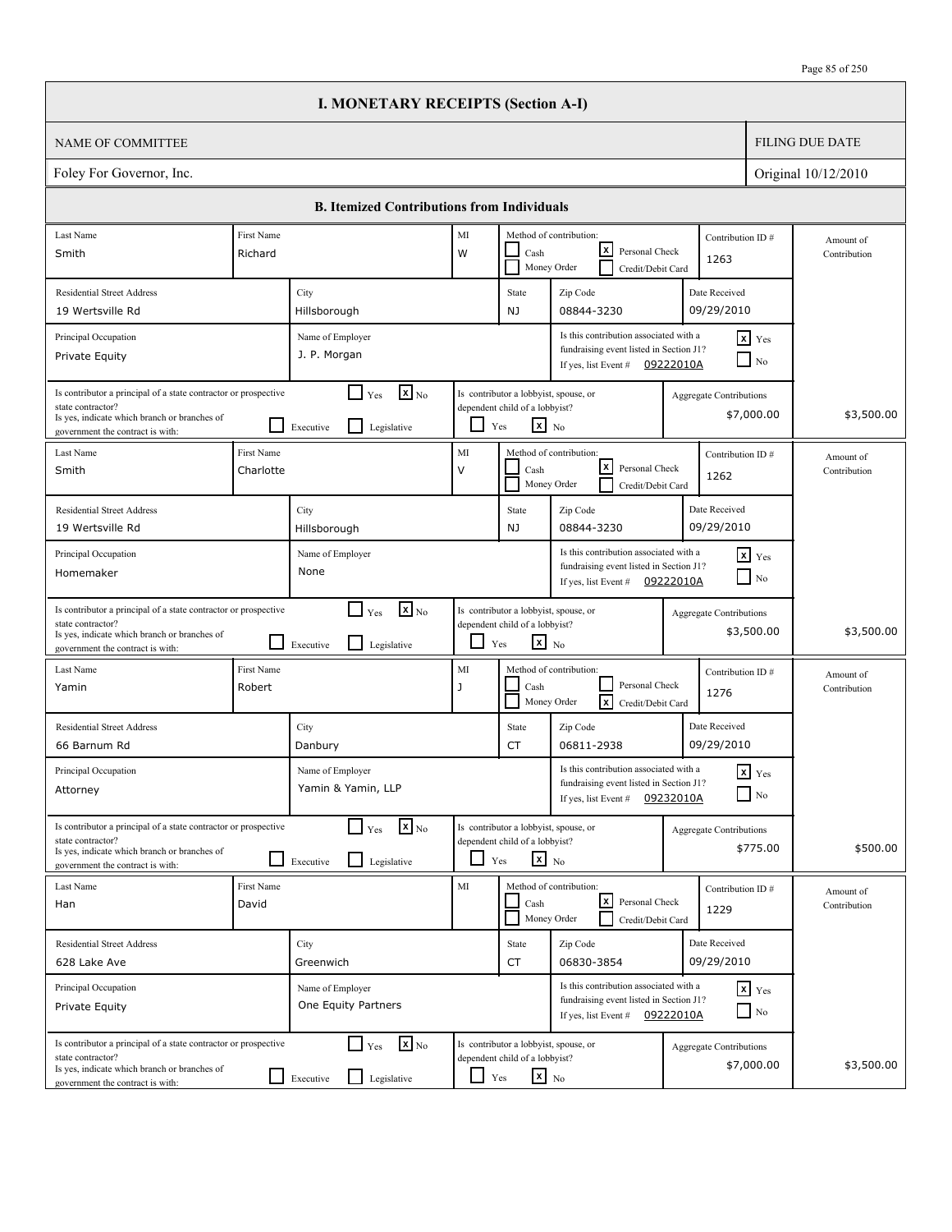|                                                                                                                                                                          |                         | <b>I. MONETARY RECEIPTS (Section A-I)</b>                                            |                    |                                                                                                   |                                                                                                                       |                                |                                    |                           |
|--------------------------------------------------------------------------------------------------------------------------------------------------------------------------|-------------------------|--------------------------------------------------------------------------------------|--------------------|---------------------------------------------------------------------------------------------------|-----------------------------------------------------------------------------------------------------------------------|--------------------------------|------------------------------------|---------------------------|
| <b>NAME OF COMMITTEE</b>                                                                                                                                                 |                         |                                                                                      |                    |                                                                                                   |                                                                                                                       |                                |                                    | <b>FILING DUE DATE</b>    |
| Foley For Governor, Inc.                                                                                                                                                 |                         |                                                                                      |                    |                                                                                                   |                                                                                                                       |                                |                                    | Original 10/12/2010       |
|                                                                                                                                                                          |                         | <b>B. Itemized Contributions from Individuals</b>                                    |                    |                                                                                                   |                                                                                                                       |                                |                                    |                           |
| Last Name<br>Smith                                                                                                                                                       | First Name<br>Richard   |                                                                                      | $\rm MI$<br>W      | Cash                                                                                              | Method of contribution:<br>lxI<br>Personal Check<br>Money Order<br>Credit/Debit Card                                  | Contribution ID#<br>1263       |                                    | Amount of<br>Contribution |
| <b>Residential Street Address</b><br>19 Wertsville Rd                                                                                                                    |                         | City<br>Hillsborough                                                                 |                    | State<br>NJ                                                                                       | Zip Code<br>08844-3230                                                                                                | Date Received<br>09/29/2010    |                                    |                           |
| Principal Occupation<br>Private Equity                                                                                                                                   |                         | Name of Employer<br>J. P. Morgan                                                     |                    |                                                                                                   | Is this contribution associated with a<br>fundraising event listed in Section J1?<br>If yes, list Event #             | 09222010A                      | $x$ Yes<br>$\Box$ No               |                           |
| Is contributor a principal of a state contractor or prospective<br>state contractor?<br>Is yes, indicate which branch or branches of<br>government the contract is with: |                         | $\mathbf{X}$ <sub>No</sub><br>$\Box$ Yes<br>$\mathsf{L}$<br>Executive<br>Legislative | ப                  | Is contributor a lobbyist, spouse, or<br>dependent child of a lobbyist?<br>$\mathbf{x}$ No<br>Yes |                                                                                                                       | Aggregate Contributions        | \$7,000.00                         | \$3,500.00                |
| Last Name<br>Smith                                                                                                                                                       | First Name<br>Charlotte |                                                                                      | MI<br>$\vee$       | Cash                                                                                              | Method of contribution:<br>lxI<br>Personal Check<br>Money Order<br>Credit/Debit Card                                  | Contribution ID#<br>1262       |                                    | Amount of<br>Contribution |
| <b>Residential Street Address</b><br>19 Wertsville Rd                                                                                                                    |                         | City<br>Hillsborough                                                                 |                    | State<br>NJ                                                                                       | Zip Code<br>08844-3230                                                                                                | Date Received<br>09/29/2010    |                                    |                           |
| Principal Occupation<br>Homemaker                                                                                                                                        |                         | Name of Employer<br>None                                                             |                    |                                                                                                   | Is this contribution associated with a<br>fundraising event listed in Section J1?<br>If yes, list Event #             | 09222010A                      | $x$ Yes<br>$\Box$ No               |                           |
| Is contributor a principal of a state contractor or prospective<br>state contractor?<br>Is yes, indicate which branch or branches of<br>government the contract is with: |                         | $\mathbf{X}$ <sub>No</sub><br>$\Box$ Yes<br>l 1<br>Legislative<br>Executive          | ப                  | Is contributor a lobbyist, spouse, or<br>dependent child of a lobbyist?<br>$\mathbf{x}$ No<br>Yes |                                                                                                                       | <b>Aggregate Contributions</b> | \$3,500.00                         | \$3,500.00                |
| Last Name<br>Yamin                                                                                                                                                       | First Name<br>Robert    |                                                                                      | MI<br>$\mathbf{J}$ | Cash                                                                                              | Method of contribution:<br>Personal Check<br><b>x</b><br>Money Order<br>Credit/Debit Card                             | Contribution ID#<br>1276       |                                    | Amount of<br>Contribution |
| <b>Residential Street Address</b><br>66 Barnum Rd                                                                                                                        |                         | City<br>Danbury                                                                      |                    | State<br>CT                                                                                       | Zip Code<br>06811-2938                                                                                                | Date Received<br>09/29/2010    |                                    |                           |
| Principal Occupation<br>Attorney                                                                                                                                         |                         | Name of Employer<br>Yamin & Yamin, LLP                                               |                    |                                                                                                   | Is this contribution associated with a<br>fundraising event listed in Section J1?<br>If yes, list Event #             | 09232010A                      | $\mathbf{x}$ Yes<br>$\Box$ No      |                           |
| Is contributor a principal of a state contractor or prospective<br>state contractor?<br>Is yes, indicate which branch or branches of<br>government the contract is with: |                         | $\mathbf{x}$ <sub>No</sub><br>$\Box$ Yes<br>$\perp$<br>Legislative<br>Executive      |                    | Is contributor a lobbyist, spouse, or<br>dependent child of a lobbyist?<br>$x_{N0}$<br>Yes        |                                                                                                                       | <b>Aggregate Contributions</b> | \$775.00                           | \$500.00                  |
| Last Name<br>Han                                                                                                                                                         | First Name<br>David     |                                                                                      | MI                 | Cash                                                                                              | Method of contribution:<br>l×l<br>Personal Check<br>Money Order<br>Credit/Debit Card                                  | Contribution ID#<br>1229       |                                    | Amount of<br>Contribution |
| <b>Residential Street Address</b><br>628 Lake Ave                                                                                                                        |                         | City<br>Greenwich                                                                    |                    | State<br>CT                                                                                       | Zip Code<br>06830-3854                                                                                                | Date Received<br>09/29/2010    |                                    |                           |
| Principal Occupation<br>Private Equity                                                                                                                                   |                         | Name of Employer<br>One Equity Partners                                              |                    |                                                                                                   | Is this contribution associated with a<br>fundraising event listed in Section J1?<br>If yes, list Event # $09222010A$ |                                | $x$ $y$ <sub>es</sub><br>$\Box$ No |                           |
| Is contributor a principal of a state contractor or prospective<br>state contractor?<br>Is yes, indicate which branch or branches of<br>government the contract is with: |                         | $\mathbf{x}$ <sub>No</sub><br>$\Box$ Yes<br>Legislative<br>$\Box$ Executive          | $\Box$ Yes         | Is contributor a lobbyist, spouse, or<br>dependent child of a lobbyist?<br>$\mathbf{x}$ No        |                                                                                                                       | <b>Aggregate Contributions</b> | \$7,000.00                         | \$3,500.00                |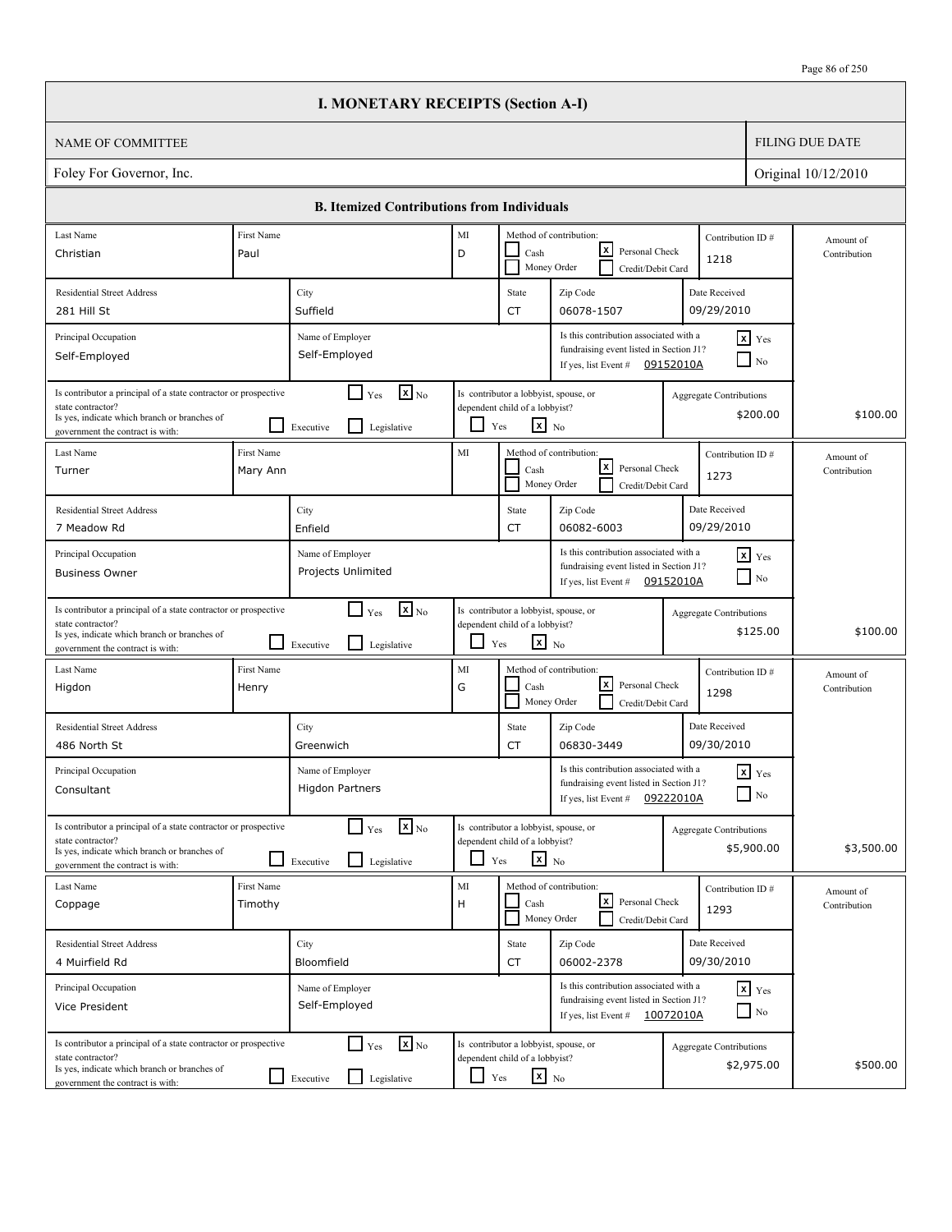|                                                                                                                                                                          |                        | <b>I. MONETARY RECEIPTS (Section A-I)</b>                                            |               |                                                                                                   |                                                                                                                       |                                |                                        |                           |
|--------------------------------------------------------------------------------------------------------------------------------------------------------------------------|------------------------|--------------------------------------------------------------------------------------|---------------|---------------------------------------------------------------------------------------------------|-----------------------------------------------------------------------------------------------------------------------|--------------------------------|----------------------------------------|---------------------------|
| <b>NAME OF COMMITTEE</b>                                                                                                                                                 |                        |                                                                                      |               |                                                                                                   |                                                                                                                       |                                |                                        | <b>FILING DUE DATE</b>    |
| Foley For Governor, Inc.                                                                                                                                                 |                        |                                                                                      |               |                                                                                                   |                                                                                                                       |                                |                                        | Original 10/12/2010       |
|                                                                                                                                                                          |                        | <b>B. Itemized Contributions from Individuals</b>                                    |               |                                                                                                   |                                                                                                                       |                                |                                        |                           |
| Last Name                                                                                                                                                                | First Name             |                                                                                      | MI            |                                                                                                   | Method of contribution:                                                                                               | Contribution ID#               |                                        | Amount of                 |
| Christian                                                                                                                                                                | Paul                   |                                                                                      | D             | Cash                                                                                              | lxI<br>Personal Check<br>Money Order<br>Credit/Debit Card                                                             | 1218                           |                                        | Contribution              |
| <b>Residential Street Address</b>                                                                                                                                        |                        | City                                                                                 |               | State                                                                                             | Zip Code                                                                                                              | Date Received                  |                                        |                           |
| 281 Hill St                                                                                                                                                              |                        | Suffield                                                                             |               | <b>CT</b>                                                                                         | 06078-1507                                                                                                            | 09/29/2010                     |                                        |                           |
| Principal Occupation<br>Self-Employed                                                                                                                                    |                        | Name of Employer<br>Self-Employed                                                    |               |                                                                                                   | Is this contribution associated with a<br>fundraising event listed in Section J1?<br>If yes, list Event #             | 09152010A                      | $x$ Yes<br>$\overline{\phantom{a}}$ No |                           |
| Is contributor a principal of a state contractor or prospective<br>state contractor?<br>Is yes, indicate which branch or branches of<br>government the contract is with: |                        | $\mathbf{X}$ <sub>No</sub><br>$\Box$ Yes<br>$\mathsf{L}$<br>Executive<br>Legislative | ப             | Is contributor a lobbyist, spouse, or<br>dependent child of a lobbyist?<br>$\mathbf{x}$ No<br>Yes |                                                                                                                       | Aggregate Contributions        | \$200.00                               | \$100.00                  |
| Last Name<br>Turner                                                                                                                                                      | First Name<br>Mary Ann |                                                                                      | MI            | Cash                                                                                              | Method of contribution:<br>lxI<br>Personal Check<br>Money Order<br>Credit/Debit Card                                  | Contribution ID#<br>1273       |                                        | Amount of<br>Contribution |
| <b>Residential Street Address</b><br>7 Meadow Rd                                                                                                                         |                        | City<br>Enfield                                                                      |               | State<br><b>CT</b>                                                                                | Zip Code<br>06082-6003                                                                                                | Date Received<br>09/29/2010    |                                        |                           |
| Principal Occupation<br><b>Business Owner</b>                                                                                                                            |                        | Name of Employer<br>Projects Unlimited                                               |               |                                                                                                   | Is this contribution associated with a<br>fundraising event listed in Section J1?<br>If yes, list Event # $09152010A$ |                                | $x$ Yes<br>$\Box$ No                   |                           |
| Is contributor a principal of a state contractor or prospective<br>state contractor?<br>Is yes, indicate which branch or branches of<br>government the contract is with: |                        | $\mathbf{X}$ <sub>No</sub><br>$\Box$ Yes<br>l 1<br>Legislative<br>Executive          | ப             | Is contributor a lobbyist, spouse, or<br>dependent child of a lobbyist?<br>$\mathbf{x}$ No<br>Yes |                                                                                                                       | <b>Aggregate Contributions</b> | \$125.00                               | \$100.00                  |
| Last Name<br>Higdon                                                                                                                                                      | First Name<br>Henry    |                                                                                      | MI<br>G       | Cash                                                                                              | Method of contribution:<br>lxl<br>Personal Check<br>Money Order<br>Credit/Debit Card                                  | Contribution ID#<br>1298       |                                        | Amount of<br>Contribution |
| <b>Residential Street Address</b><br>486 North St                                                                                                                        |                        | City<br>Greenwich                                                                    |               | State<br>CT                                                                                       | Zip Code<br>06830-3449                                                                                                | Date Received<br>09/30/2010    |                                        |                           |
| Principal Occupation<br>Consultant                                                                                                                                       |                        | Name of Employer<br><b>Higdon Partners</b>                                           |               |                                                                                                   | Is this contribution associated with a<br>fundraising event listed in Section J1?<br>If yes, list Event #             | 09222010A                      | $\mathbf{x}$ Yes<br>$\Box$ No          |                           |
| Is contributor a principal of a state contractor or prospective<br>state contractor?<br>Is yes, indicate which branch or branches of<br>government the contract is with: |                        | $\mathbf{x}$ <sub>No</sub><br>$\Box$ Yes<br>l 1<br>Legislative<br>Executive          |               | Is contributor a lobbyist, spouse, or<br>dependent child of a lobbyist?<br>$x_{N0}$<br>Yes        |                                                                                                                       | <b>Aggregate Contributions</b> | \$5,900.00                             | \$3,500.00                |
| Last Name<br>Coppage                                                                                                                                                     | First Name<br>Timothy  |                                                                                      | $\rm MI$<br>H | Cash                                                                                              | Method of contribution:<br>l×l<br>Personal Check<br>Money Order<br>Credit/Debit Card                                  | Contribution ID#<br>1293       |                                        | Amount of<br>Contribution |
| <b>Residential Street Address</b><br>4 Muirfield Rd                                                                                                                      |                        | City<br>Bloomfield                                                                   |               | State<br>CT                                                                                       | Zip Code<br>06002-2378                                                                                                | Date Received<br>09/30/2010    |                                        |                           |
| Principal Occupation<br>Vice President                                                                                                                                   |                        | Name of Employer<br>Self-Employed                                                    |               |                                                                                                   | Is this contribution associated with a<br>fundraising event listed in Section J1?<br>If yes, list Event # $10072010A$ |                                | $x$ $y$ <sub>es</sub><br>$\Box$ No     |                           |
| Is contributor a principal of a state contractor or prospective<br>state contractor?<br>Is yes, indicate which branch or branches of<br>government the contract is with: |                        | $\mathbf{x}$ <sub>No</sub><br>$\Box$ Yes<br>Legislative<br>$\Box$ Executive          | $\Box$ Yes    | Is contributor a lobbyist, spouse, or<br>dependent child of a lobbyist?<br>$\mathbf{x}$ No        |                                                                                                                       | <b>Aggregate Contributions</b> | \$2,975.00                             | \$500.00                  |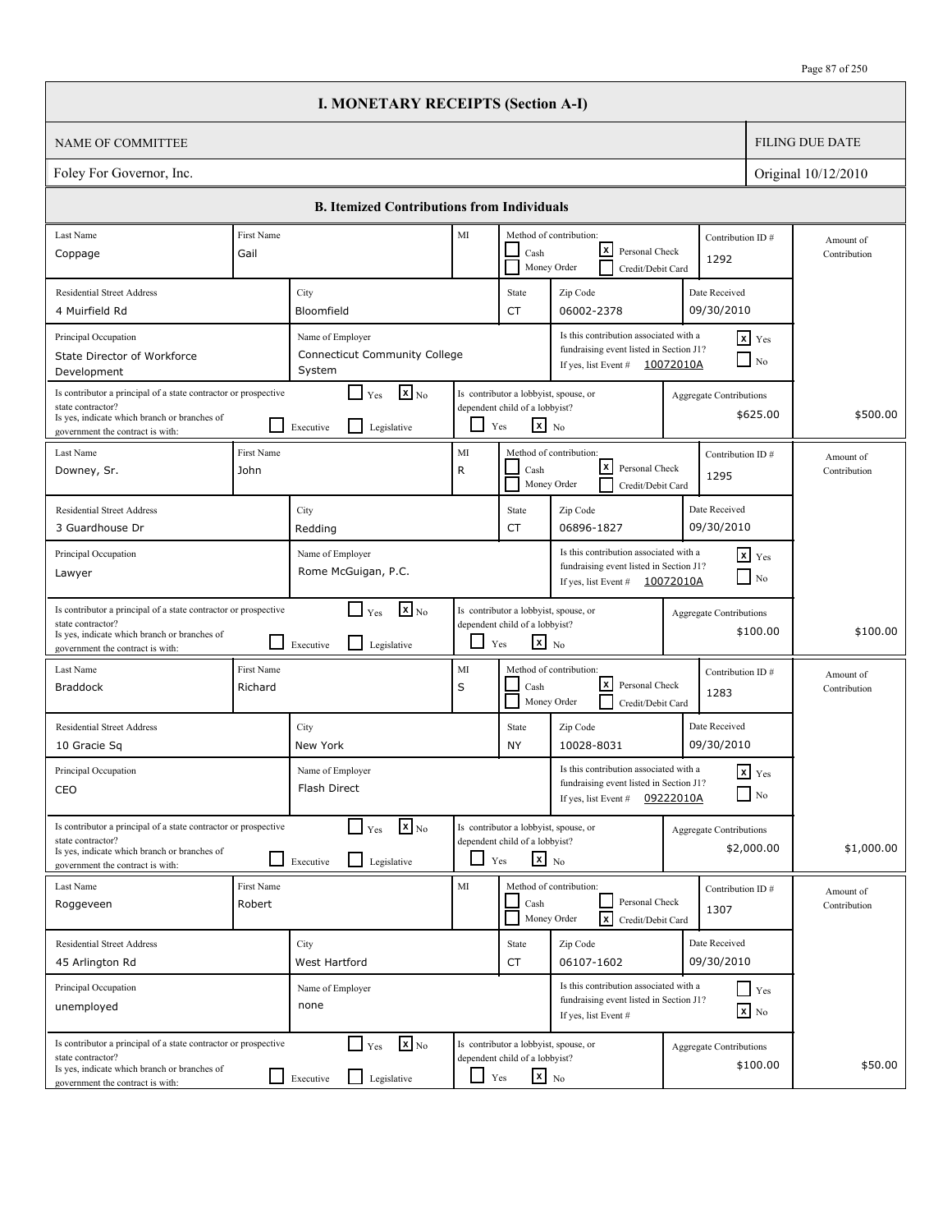|                                                                                                                                                                          |                       | <b>I. MONETARY RECEIPTS (Section A-I)</b>                                             |         |                                                                                                   |                                                                                                                       |           |                                              |                           |
|--------------------------------------------------------------------------------------------------------------------------------------------------------------------------|-----------------------|---------------------------------------------------------------------------------------|---------|---------------------------------------------------------------------------------------------------|-----------------------------------------------------------------------------------------------------------------------|-----------|----------------------------------------------|---------------------------|
| NAME OF COMMITTEE                                                                                                                                                        |                       |                                                                                       |         |                                                                                                   |                                                                                                                       |           |                                              | <b>FILING DUE DATE</b>    |
| Foley For Governor, Inc.                                                                                                                                                 |                       |                                                                                       |         |                                                                                                   |                                                                                                                       |           |                                              | Original 10/12/2010       |
|                                                                                                                                                                          |                       | <b>B.</b> Itemized Contributions from Individuals                                     |         |                                                                                                   |                                                                                                                       |           |                                              |                           |
| Last Name                                                                                                                                                                | First Name            |                                                                                       | MI      |                                                                                                   | Method of contribution:                                                                                               |           | Contribution ID#                             | Amount of                 |
| Coppage                                                                                                                                                                  | Gail                  |                                                                                       |         | Cash                                                                                              | lxl<br>Personal Check<br>Money Order<br>Credit/Debit Card                                                             |           | 1292                                         | Contribution              |
| <b>Residential Street Address</b>                                                                                                                                        |                       | City                                                                                  |         | State                                                                                             | Zip Code                                                                                                              |           | Date Received                                |                           |
| 4 Muirfield Rd                                                                                                                                                           |                       | Bloomfield                                                                            |         | CT                                                                                                | 06002-2378                                                                                                            |           | 09/30/2010                                   |                           |
| Principal Occupation<br>State Director of Workforce<br>Development                                                                                                       |                       | Name of Employer<br><b>Connecticut Community College</b><br>System                    |         |                                                                                                   | Is this contribution associated with a<br>fundraising event listed in Section J1?<br>If yes, list Event # $10072010A$ |           | $x$ Yes<br>$\Box$ No                         |                           |
| Is contributor a principal of a state contractor or prospective<br>state contractor?<br>Is yes, indicate which branch or branches of<br>government the contract is with: |                       | $\boxed{\mathbf{x}}$ <sub>No</sub><br>Yes<br>$\mathsf{L}$<br>Legislative<br>Executive |         | Is contributor a lobbyist, spouse, or<br>dependent child of a lobbyist?<br>$x_{N0}$<br>Yes        |                                                                                                                       |           | <b>Aggregate Contributions</b><br>\$625.00   | \$500.00                  |
| Last Name<br>Downey, Sr.                                                                                                                                                 | First Name<br>John    |                                                                                       | MI<br>R | Cash<br>Money Order                                                                               | Method of contribution:<br>lxI<br>Personal Check<br>Credit/Debit Card                                                 |           | Contribution ID#<br>1295                     | Amount of<br>Contribution |
| <b>Residential Street Address</b>                                                                                                                                        |                       | City                                                                                  |         | State                                                                                             | Zip Code                                                                                                              |           | Date Received                                |                           |
| 3 Guardhouse Dr                                                                                                                                                          |                       | Redding                                                                               |         | CT                                                                                                | 06896-1827                                                                                                            |           | 09/30/2010                                   |                           |
| Principal Occupation<br>Lawyer                                                                                                                                           |                       | Name of Employer<br>Rome McGuigan, P.C.                                               |         |                                                                                                   | Is this contribution associated with a<br>fundraising event listed in Section J1?<br>If yes, list Event #             | 10072010A | $\mathbf{x}$ Yes<br>$\blacksquare$ No        |                           |
| Is contributor a principal of a state contractor or prospective<br>state contractor?<br>Is yes, indicate which branch or branches of<br>government the contract is with: |                       | $\mathbf{x}$ <sub>No</sub><br>$\Box$ Yes<br>l 1<br>Legislative<br>Executive           | $\Box$  | Is contributor a lobbyist, spouse, or<br>dependent child of a lobbyist?<br>$\mathbf{x}$ No<br>Yes |                                                                                                                       |           | <b>Aggregate Contributions</b><br>\$100.00   | \$100.00                  |
| Last Name<br><b>Braddock</b>                                                                                                                                             | First Name<br>Richard |                                                                                       | MI<br>S | Cash                                                                                              | Method of contribution:<br>lxI<br>Personal Check<br>Money Order<br>Credit/Debit Card                                  |           | Contribution ID#<br>1283                     | Amount of<br>Contribution |
| <b>Residential Street Address</b><br>10 Gracie Sq                                                                                                                        |                       | City<br>New York                                                                      |         | State<br>NY                                                                                       | Zip Code<br>10028-8031                                                                                                |           | Date Received<br>09/30/2010                  |                           |
| Principal Occupation<br>CEO                                                                                                                                              |                       | Name of Employer<br>Flash Direct                                                      |         |                                                                                                   | Is this contribution associated with a<br>fundraising event listed in Section J1?<br>If yes, list Event #             | 09222010A | $x$ $Yes$<br>$\hfill\Box$ No                 |                           |
| Is contributor a principal of a state contractor or prospective<br>state contractor?<br>Is yes, indicate which branch or branches of<br>government the contract is with: |                       | $\mathbf{X}$ <sub>No</sub><br>$\Box$ Yes<br>Legislative<br>Executive                  | ப       | Is contributor a lobbyist, spouse, or<br>dependent child of a lobbyist?<br>$\mathbf{x}$ No<br>Yes |                                                                                                                       |           | <b>Aggregate Contributions</b><br>\$2,000.00 | \$1,000.00                |
| Last Name<br>Roggeveen                                                                                                                                                   | First Name<br>Robert  |                                                                                       | MI      | Cash                                                                                              | Method of contribution:<br>Personal Check<br>$\lceil x \rceil$<br>Money Order<br>Credit/Debit Card                    |           | Contribution ID#<br>1307                     | Amount of<br>Contribution |
| <b>Residential Street Address</b><br>45 Arlington Rd                                                                                                                     |                       | City<br>West Hartford                                                                 |         | State<br>CT                                                                                       | Zip Code<br>06107-1602                                                                                                |           | Date Received<br>09/30/2010                  |                           |
| Principal Occupation<br>unemployed                                                                                                                                       |                       | Name of Employer<br>none                                                              |         |                                                                                                   | Is this contribution associated with a<br>fundraising event listed in Section J1?<br>If yes, list Event #             |           | $\Box$ Yes<br>$\mathbf{x}$ No                |                           |
| Is contributor a principal of a state contractor or prospective<br>state contractor?<br>Is yes, indicate which branch or branches of<br>government the contract is with: |                       | $\mathbf{X}$ <sub>No</sub><br>$\Box$ Yes<br>$\Box$<br>Legislative<br>Executive        | $\Box$  | Is contributor a lobbyist, spouse, or<br>dependent child of a lobbyist?<br>$\mathbf{x}$ No<br>Yes |                                                                                                                       |           | <b>Aggregate Contributions</b><br>\$100.00   | \$50.00                   |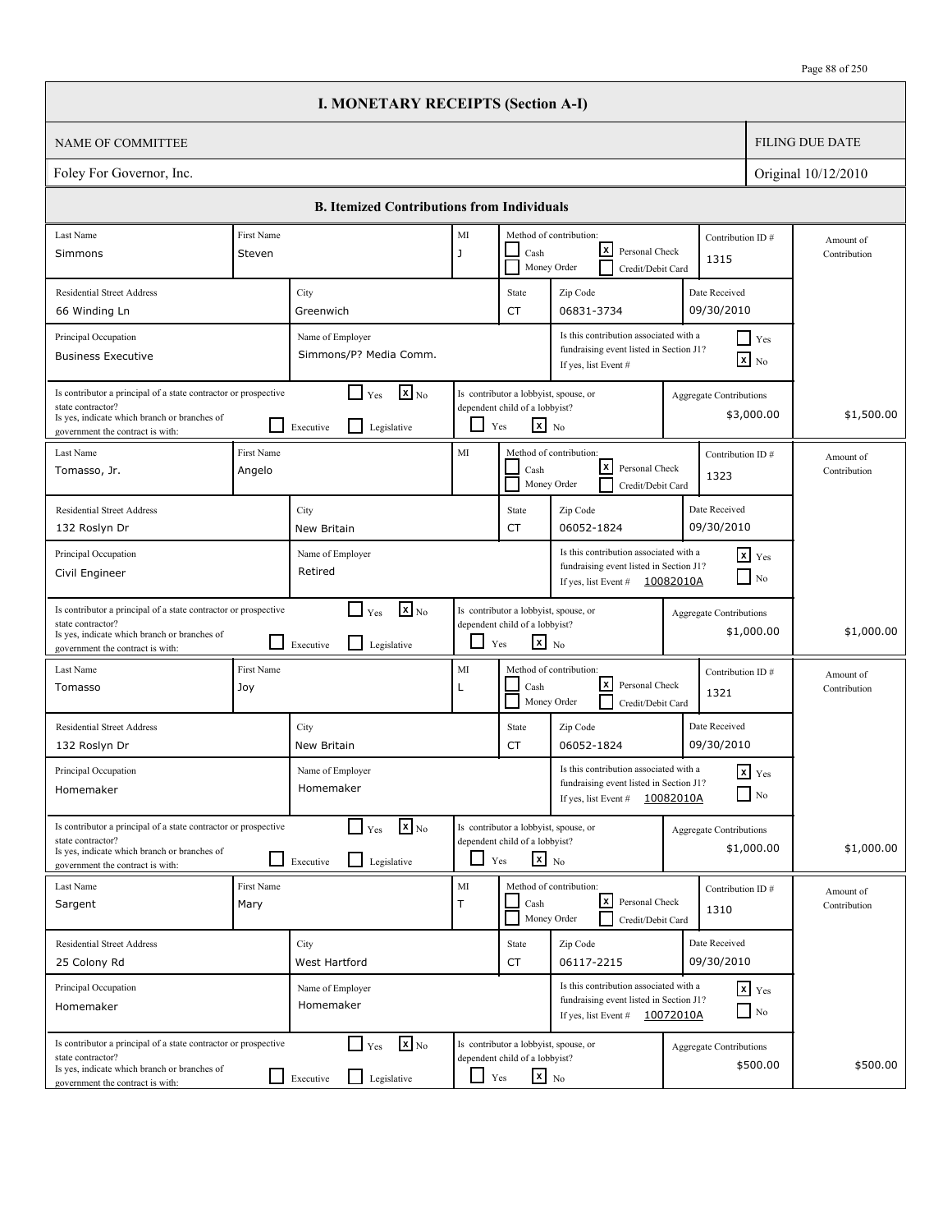|                                                                                                                                                                          |                      | <b>I. MONETARY RECEIPTS (Section A-I)</b>                                              |                    |                                                                                                   |                                                                                                                       |                                |                                               |                           |
|--------------------------------------------------------------------------------------------------------------------------------------------------------------------------|----------------------|----------------------------------------------------------------------------------------|--------------------|---------------------------------------------------------------------------------------------------|-----------------------------------------------------------------------------------------------------------------------|--------------------------------|-----------------------------------------------|---------------------------|
| <b>NAME OF COMMITTEE</b>                                                                                                                                                 |                      |                                                                                        |                    |                                                                                                   |                                                                                                                       |                                |                                               | <b>FILING DUE DATE</b>    |
| Foley For Governor, Inc.                                                                                                                                                 |                      |                                                                                        |                    |                                                                                                   |                                                                                                                       |                                |                                               | Original 10/12/2010       |
|                                                                                                                                                                          |                      | <b>B. Itemized Contributions from Individuals</b>                                      |                    |                                                                                                   |                                                                                                                       |                                |                                               |                           |
| Last Name<br>Simmons                                                                                                                                                     | First Name<br>Steven |                                                                                        | $\rm MI$<br>J      | Cash                                                                                              | Method of contribution:<br>lxI<br>Personal Check<br>Money Order<br>Credit/Debit Card                                  | Contribution ID#<br>1315       |                                               | Amount of<br>Contribution |
| <b>Residential Street Address</b><br>66 Winding Ln                                                                                                                       |                      | City<br>Greenwich                                                                      |                    | State<br><b>CT</b>                                                                                | Zip Code<br>06831-3734                                                                                                | Date Received<br>09/30/2010    |                                               |                           |
| Principal Occupation<br><b>Business Executive</b>                                                                                                                        |                      | Name of Employer<br>Simmons/P? Media Comm.                                             |                    |                                                                                                   | Is this contribution associated with a<br>fundraising event listed in Section J1?<br>If yes, list Event #             |                                | $\blacksquare$ Yes<br>$\boxed{\mathbf{x}}$ No |                           |
| Is contributor a principal of a state contractor or prospective<br>state contractor?<br>Is yes, indicate which branch or branches of<br>government the contract is with: |                      | $\mathbf{x}$ <sub>No</sub><br>$\Box$ Yes<br>Legislative<br>Executive                   | ப                  | Is contributor a lobbyist, spouse, or<br>dependent child of a lobbyist?<br>$\mathbf{x}$ No<br>Yes |                                                                                                                       | Aggregate Contributions        | \$3,000.00                                    | \$1,500.00                |
| Last Name<br>Tomasso, Jr.                                                                                                                                                | First Name<br>Angelo |                                                                                        | MI                 | Cash                                                                                              | Method of contribution:<br>lxI<br>Personal Check<br>Money Order<br>Credit/Debit Card                                  | Contribution ID#<br>1323       |                                               | Amount of<br>Contribution |
| <b>Residential Street Address</b><br>132 Roslyn Dr                                                                                                                       |                      | City<br>New Britain                                                                    |                    | State<br><b>CT</b>                                                                                | Zip Code<br>06052-1824                                                                                                | Date Received<br>09/30/2010    |                                               |                           |
| Principal Occupation<br>Civil Engineer                                                                                                                                   |                      | Name of Employer<br>Retired                                                            |                    |                                                                                                   | Is this contribution associated with a<br>fundraising event listed in Section J1?<br>If yes, list Event # $10082010A$ |                                | $x$ Yes<br>$\Box$ No                          |                           |
| Is contributor a principal of a state contractor or prospective<br>state contractor?<br>Is yes, indicate which branch or branches of<br>government the contract is with: |                      | $\mathbf{X}$ <sub>No</sub><br>$\Box$ Yes<br>l 1<br>Legislative<br>Executive            | ப                  | Is contributor a lobbyist, spouse, or<br>dependent child of a lobbyist?<br>$\mathbf{x}$ No<br>Yes |                                                                                                                       | <b>Aggregate Contributions</b> | \$1,000.00                                    | \$1,000.00                |
| Last Name<br>Tomasso                                                                                                                                                     | First Name<br>Joy    |                                                                                        | MI<br>Г            | Cash                                                                                              | Method of contribution:<br>lxl<br>Personal Check<br>Money Order<br>Credit/Debit Card                                  | Contribution ID#<br>1321       |                                               | Amount of<br>Contribution |
| <b>Residential Street Address</b><br>132 Roslyn Dr                                                                                                                       |                      | City<br>New Britain                                                                    |                    | State<br>CT                                                                                       | Zip Code<br>06052-1824                                                                                                | Date Received<br>09/30/2010    |                                               |                           |
| Principal Occupation<br>Homemaker                                                                                                                                        |                      | Name of Employer<br>Homemaker                                                          |                    |                                                                                                   | Is this contribution associated with a<br>fundraising event listed in Section J1?<br>If yes, list Event #             | 10082010A                      | $\mathbf{x}$ Yes<br>$\Box$ No                 |                           |
| Is contributor a principal of a state contractor or prospective<br>state contractor?<br>Is yes, indicate which branch or branches of<br>government the contract is with: |                      | $\mathbf{x}$ <sub>No</sub><br>$\Gamma$ Yes<br>$\mathsf{L}$<br>Legislative<br>Executive |                    | Is contributor a lobbyist, spouse, or<br>dependent child of a lobbyist?<br>$x_{N0}$<br>Yes        |                                                                                                                       | <b>Aggregate Contributions</b> | \$1,000.00                                    | \$1,000.00                |
| Last Name<br>Sargent                                                                                                                                                     | First Name<br>Mary   |                                                                                        | $\rm MI$<br>$\top$ | Cash                                                                                              | Method of contribution:<br>l×l<br>Personal Check<br>Money Order<br>Credit/Debit Card                                  | Contribution ID#<br>1310       |                                               | Amount of<br>Contribution |
| <b>Residential Street Address</b><br>25 Colony Rd                                                                                                                        |                      | City<br>West Hartford                                                                  |                    | State<br>CT                                                                                       | Zip Code<br>06117-2215                                                                                                | Date Received<br>09/30/2010    |                                               |                           |
| Principal Occupation<br>Homemaker                                                                                                                                        |                      | Name of Employer<br>Homemaker                                                          |                    |                                                                                                   | Is this contribution associated with a<br>fundraising event listed in Section J1?<br>If yes, list Event # $10072010A$ |                                | $x$ $y$ <sub>es</sub><br>$\Box$ No            |                           |
| Is contributor a principal of a state contractor or prospective<br>state contractor?<br>Is yes, indicate which branch or branches of<br>government the contract is with: |                      | $\mathbf{x}$ <sub>No</sub><br>$\Box$ Yes<br>Legislative<br>$\Box$ Executive            | $\Box$ Yes         | Is contributor a lobbyist, spouse, or<br>dependent child of a lobbyist?<br>$\mathbf{x}$ No        |                                                                                                                       | <b>Aggregate Contributions</b> | \$500.00                                      | \$500.00                  |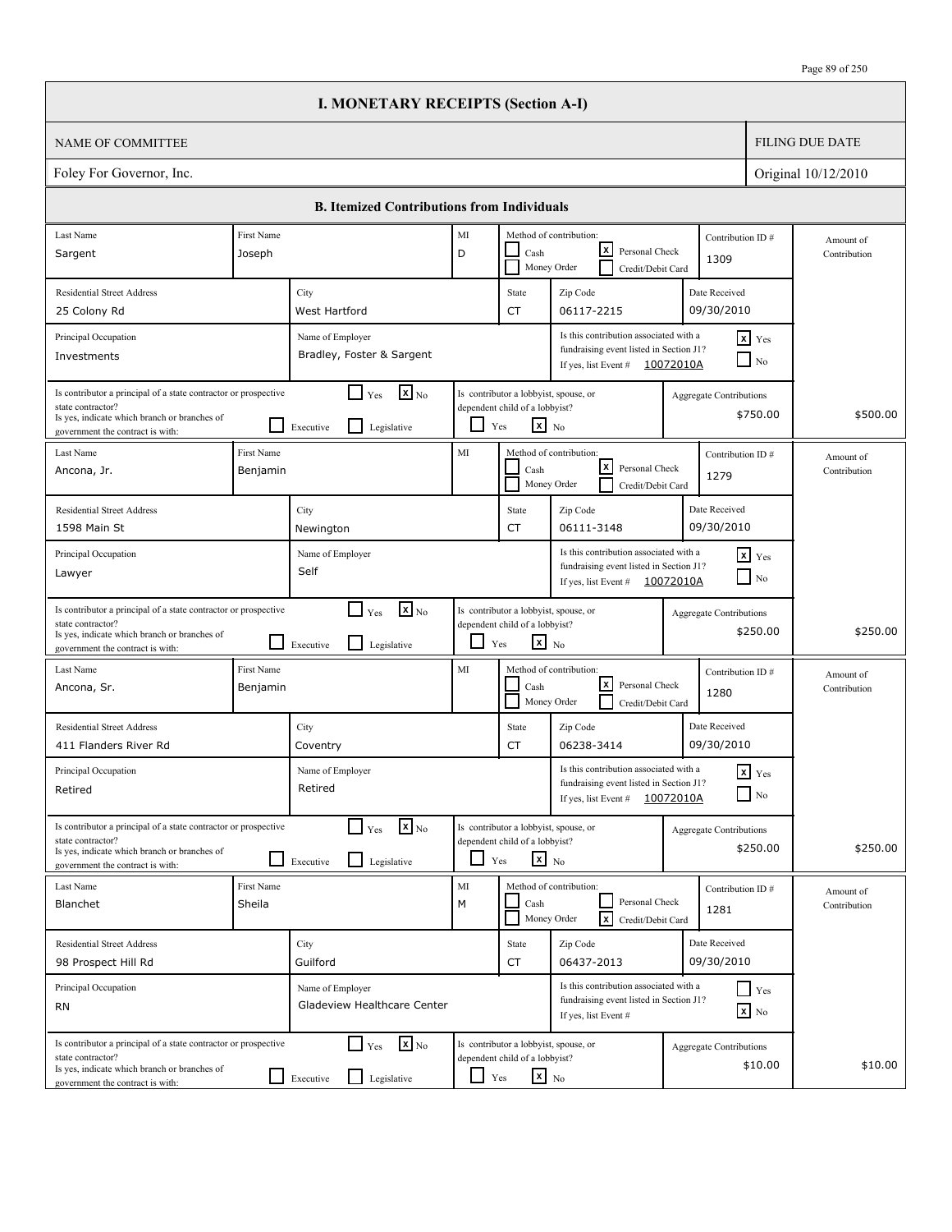|                                                                                                                                                                          |                        | <b>I. MONETARY RECEIPTS (Section A-I)</b>                                   |               |                                                                                                   |                                                                                                                        |                                |                                        |                           |
|--------------------------------------------------------------------------------------------------------------------------------------------------------------------------|------------------------|-----------------------------------------------------------------------------|---------------|---------------------------------------------------------------------------------------------------|------------------------------------------------------------------------------------------------------------------------|--------------------------------|----------------------------------------|---------------------------|
| <b>NAME OF COMMITTEE</b>                                                                                                                                                 |                        |                                                                             |               |                                                                                                   |                                                                                                                        |                                |                                        | <b>FILING DUE DATE</b>    |
| Foley For Governor, Inc.                                                                                                                                                 |                        |                                                                             |               |                                                                                                   |                                                                                                                        |                                |                                        | Original 10/12/2010       |
|                                                                                                                                                                          |                        | <b>B. Itemized Contributions from Individuals</b>                           |               |                                                                                                   |                                                                                                                        |                                |                                        |                           |
| Last Name                                                                                                                                                                | <b>First Name</b>      |                                                                             | MI            |                                                                                                   | Method of contribution:                                                                                                | Contribution ID#               |                                        | Amount of                 |
| Sargent                                                                                                                                                                  | Joseph                 |                                                                             | D             | Cash                                                                                              | lxI<br>Personal Check<br>Money Order<br>Credit/Debit Card                                                              | 1309                           |                                        | Contribution              |
| <b>Residential Street Address</b>                                                                                                                                        |                        | City                                                                        |               | State                                                                                             | Zip Code                                                                                                               | Date Received                  |                                        |                           |
| 25 Colony Rd                                                                                                                                                             |                        | West Hartford                                                               |               | <b>CT</b>                                                                                         | 06117-2215                                                                                                             | 09/30/2010                     |                                        |                           |
| Principal Occupation<br>Investments                                                                                                                                      |                        | Name of Employer<br>Bradley, Foster & Sargent                               |               |                                                                                                   | Is this contribution associated with a<br>fundraising event listed in Section J1?<br>If yes, list Event #              | 10072010A                      | $x$ Yes<br>$\overline{\phantom{a}}$ No |                           |
| Is contributor a principal of a state contractor or prospective<br>state contractor?<br>Is yes, indicate which branch or branches of<br>government the contract is with: |                        | $\mathbf{X}$ <sub>No</sub><br>$\Box$ Yes<br>Legislative<br>Executive        | ப             | Is contributor a lobbyist, spouse, or<br>dependent child of a lobbyist?<br>$\mathbf{x}$ No<br>Yes |                                                                                                                        | Aggregate Contributions        | \$750.00                               | \$500.00                  |
| Last Name<br>Ancona, Jr.                                                                                                                                                 | First Name<br>Benjamin |                                                                             | MI            | Cash                                                                                              | Method of contribution:<br>lxI<br>Personal Check<br>Money Order<br>Credit/Debit Card                                   | Contribution ID#<br>1279       |                                        | Amount of<br>Contribution |
| <b>Residential Street Address</b><br>1598 Main St                                                                                                                        |                        | City<br>Newington                                                           |               | State<br><b>CT</b>                                                                                | Zip Code<br>06111-3148                                                                                                 | Date Received<br>09/30/2010    |                                        |                           |
| Principal Occupation<br>Lawyer                                                                                                                                           |                        | Name of Employer<br>Self                                                    |               |                                                                                                   | Is this contribution associated with a<br>fundraising event listed in Section J1?<br>If yes, list Event $\#$ 10072010A |                                | $x$ Yes<br>$\Box$ No                   |                           |
| Is contributor a principal of a state contractor or prospective<br>state contractor?<br>Is yes, indicate which branch or branches of<br>government the contract is with: |                        | $\mathbf{X}$ <sub>No</sub><br>$\Box$ Yes<br>l 1<br>Legislative<br>Executive | ப             | Is contributor a lobbyist, spouse, or<br>dependent child of a lobbyist?<br>$\mathbf{x}$ No<br>Yes |                                                                                                                        | <b>Aggregate Contributions</b> | \$250.00                               | \$250.00                  |
| Last Name<br>Ancona, Sr.                                                                                                                                                 | First Name<br>Benjamin |                                                                             | MI            | Cash                                                                                              | Method of contribution:<br>lxl<br>Personal Check<br>Money Order<br>Credit/Debit Card                                   | Contribution ID#<br>1280       |                                        | Amount of<br>Contribution |
| <b>Residential Street Address</b><br>411 Flanders River Rd                                                                                                               |                        | City<br>Coventry                                                            |               | State<br>CT                                                                                       | Zip Code<br>06238-3414                                                                                                 | Date Received<br>09/30/2010    |                                        |                           |
| Principal Occupation<br>Retired                                                                                                                                          |                        | Name of Employer<br>Retired                                                 |               |                                                                                                   | Is this contribution associated with a<br>fundraising event listed in Section J1?<br>If yes, list Event #              | 10072010A                      | $\mathbf{x}$ Yes<br>$\Box$ No          |                           |
| Is contributor a principal of a state contractor or prospective<br>state contractor?<br>Is yes, indicate which branch or branches of<br>government the contract is with: |                        | $\mathbf{x}$ <sub>No</sub><br>$\Box$ Yes<br>U<br>Legislative<br>Executive   |               | Is contributor a lobbyist, spouse, or<br>dependent child of a lobbyist?<br>$x_{N0}$<br>Yes        |                                                                                                                        | <b>Aggregate Contributions</b> | \$250.00                               | \$250.00                  |
| Last Name<br>Blanchet                                                                                                                                                    | First Name<br>Sheila   |                                                                             | $\rm MI$<br>M | Cash                                                                                              | Method of contribution:<br>Personal Check<br>$\sqrt{x}$<br>Money Order<br>Credit/Debit Card                            | Contribution ID#<br>1281       |                                        | Amount of<br>Contribution |
| <b>Residential Street Address</b><br>98 Prospect Hill Rd                                                                                                                 |                        | City<br>Guilford                                                            |               | State<br>CT                                                                                       | Zip Code<br>06437-2013                                                                                                 | Date Received<br>09/30/2010    |                                        |                           |
| Principal Occupation<br>RN                                                                                                                                               |                        | Name of Employer<br>Gladeview Healthcare Center                             |               |                                                                                                   | Is this contribution associated with a<br>fundraising event listed in Section J1?<br>If yes, list Event #              |                                | $Y$ es<br>$\boxed{\mathbf{x}}$ No      |                           |
| Is contributor a principal of a state contractor or prospective<br>state contractor?<br>Is yes, indicate which branch or branches of<br>government the contract is with: |                        | $\mathbf{x}$ <sub>No</sub><br>$\Box$ Yes<br>Legislative<br>$\Box$ Executive | $\Box$        | Is contributor a lobbyist, spouse, or<br>dependent child of a lobbyist?<br>$\mathbf{x}$ No<br>Yes |                                                                                                                        | <b>Aggregate Contributions</b> | \$10.00                                | \$10.00                   |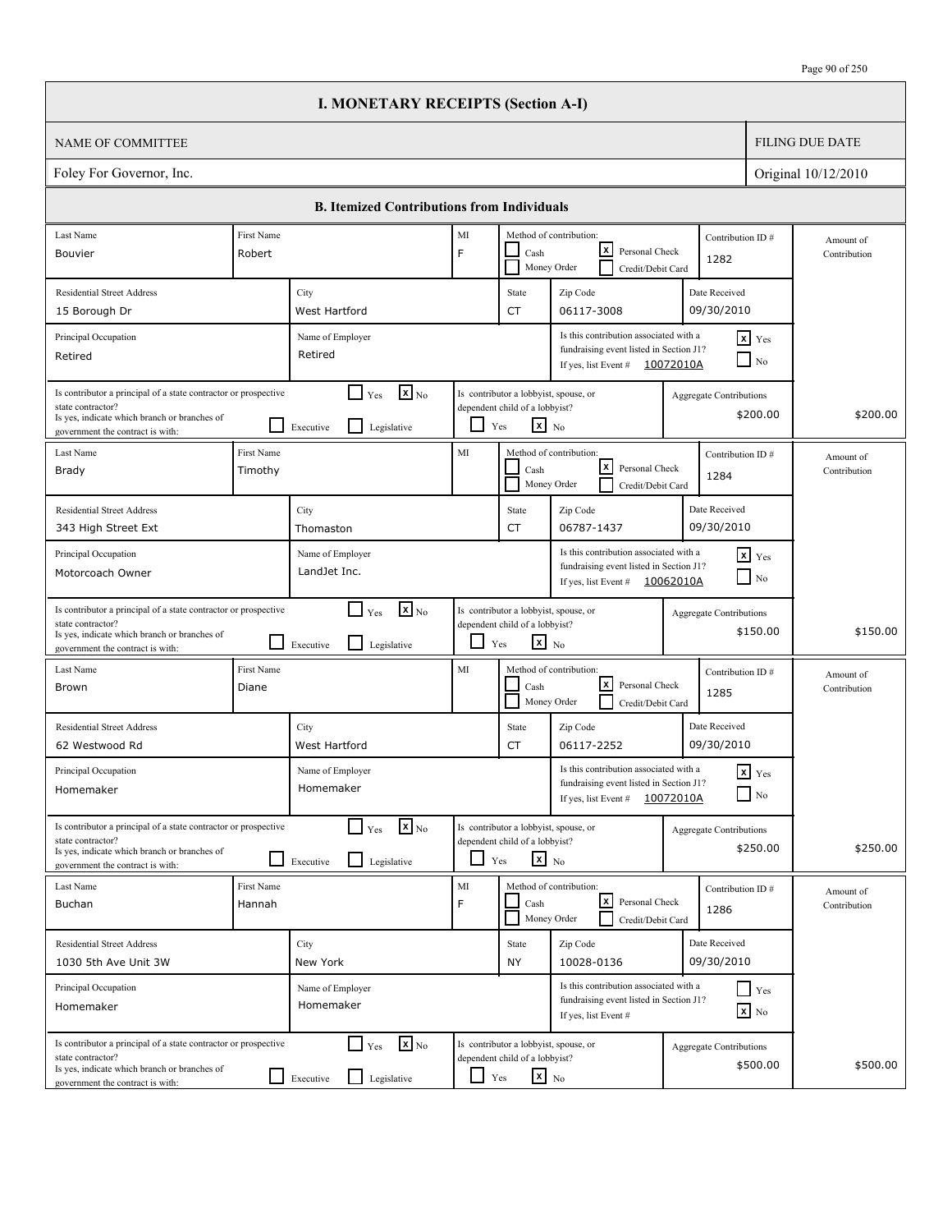|                                                                                                                                                                          |                       | <b>I. MONETARY RECEIPTS (Section A-I)</b>                                              |               |                                                                                                   |                                                                                                                       |                                |                                        |                           |
|--------------------------------------------------------------------------------------------------------------------------------------------------------------------------|-----------------------|----------------------------------------------------------------------------------------|---------------|---------------------------------------------------------------------------------------------------|-----------------------------------------------------------------------------------------------------------------------|--------------------------------|----------------------------------------|---------------------------|
| <b>NAME OF COMMITTEE</b>                                                                                                                                                 |                       |                                                                                        |               |                                                                                                   |                                                                                                                       |                                |                                        | <b>FILING DUE DATE</b>    |
| Foley For Governor, Inc.                                                                                                                                                 |                       |                                                                                        |               |                                                                                                   |                                                                                                                       |                                |                                        | Original 10/12/2010       |
|                                                                                                                                                                          |                       | <b>B. Itemized Contributions from Individuals</b>                                      |               |                                                                                                   |                                                                                                                       |                                |                                        |                           |
| Last Name<br>Bouvier                                                                                                                                                     | First Name<br>Robert  |                                                                                        | MI<br>F       | Cash                                                                                              | Method of contribution:<br>lxI<br>Personal Check<br>Money Order<br>Credit/Debit Card                                  | Contribution ID#<br>1282       |                                        | Amount of<br>Contribution |
| <b>Residential Street Address</b><br>15 Borough Dr                                                                                                                       |                       | City<br>West Hartford                                                                  |               | State<br><b>CT</b>                                                                                | Zip Code<br>06117-3008                                                                                                | Date Received<br>09/30/2010    |                                        |                           |
| Principal Occupation<br>Retired                                                                                                                                          |                       | Name of Employer<br>Retired                                                            |               |                                                                                                   | Is this contribution associated with a<br>fundraising event listed in Section J1?<br>If yes, list Event #             | 10072010A                      | $x$ Yes<br>$\overline{\phantom{a}}$ No |                           |
| Is contributor a principal of a state contractor or prospective<br>state contractor?<br>Is yes, indicate which branch or branches of<br>government the contract is with: |                       | $\mathbf{X}$ <sub>No</sub><br>$\Box$ Yes<br>$\mathsf{L}$<br>Executive<br>Legislative   | ப             | Is contributor a lobbyist, spouse, or<br>dependent child of a lobbyist?<br>$\mathbf{x}$ No<br>Yes |                                                                                                                       | Aggregate Contributions        | \$200.00                               | \$200.00                  |
| Last Name<br>Brady                                                                                                                                                       | First Name<br>Timothy |                                                                                        | MI            | Cash                                                                                              | Method of contribution:<br>lxI<br>Personal Check<br>Money Order<br>Credit/Debit Card                                  | Contribution ID#<br>1284       |                                        | Amount of<br>Contribution |
| <b>Residential Street Address</b><br>343 High Street Ext                                                                                                                 |                       | City<br>Thomaston                                                                      |               | State<br><b>CT</b>                                                                                | Zip Code<br>06787-1437                                                                                                | Date Received<br>09/30/2010    |                                        |                           |
| Principal Occupation<br>Motorcoach Owner                                                                                                                                 |                       | Name of Employer<br>LandJet Inc.                                                       |               |                                                                                                   | Is this contribution associated with a<br>fundraising event listed in Section J1?<br>If yes, list Event # $10062010A$ |                                | $x$ Yes<br>$\Box$ No                   |                           |
| Is contributor a principal of a state contractor or prospective<br>state contractor?<br>Is yes, indicate which branch or branches of<br>government the contract is with: |                       | $\mathbf{X}$ <sub>No</sub><br>$\Box$ Yes<br>l 1<br>Legislative<br>Executive            | ப             | Is contributor a lobbyist, spouse, or<br>dependent child of a lobbyist?<br>$\mathbf{x}$ No<br>Yes |                                                                                                                       | <b>Aggregate Contributions</b> | \$150.00                               | \$150.00                  |
| Last Name<br>Brown                                                                                                                                                       | First Name<br>Diane   |                                                                                        | MI            | Cash                                                                                              | Method of contribution:<br>lxl<br>Personal Check<br>Money Order<br>Credit/Debit Card                                  | Contribution ID#<br>1285       |                                        | Amount of<br>Contribution |
| <b>Residential Street Address</b><br>62 Westwood Rd                                                                                                                      |                       | City<br>West Hartford                                                                  |               | State<br>CT                                                                                       | Zip Code<br>06117-2252                                                                                                | Date Received<br>09/30/2010    |                                        |                           |
| Principal Occupation<br>Homemaker                                                                                                                                        |                       | Name of Employer<br>Homemaker                                                          |               |                                                                                                   | Is this contribution associated with a<br>fundraising event listed in Section J1?<br>If yes, list Event #             | 10072010A                      | $\mathbf{x}$ Yes<br>$\Box$ No          |                           |
| Is contributor a principal of a state contractor or prospective<br>state contractor?<br>Is yes, indicate which branch or branches of<br>government the contract is with: |                       | $\mathbf{x}$ <sub>No</sub><br>$\Gamma$ Yes<br>$\mathsf{L}$<br>Legislative<br>Executive |               | Is contributor a lobbyist, spouse, or<br>dependent child of a lobbyist?<br>$\mathbf{x}$ No<br>Yes |                                                                                                                       | <b>Aggregate Contributions</b> | \$250.00                               | \$250.00                  |
| Last Name<br>Buchan                                                                                                                                                      | First Name<br>Hannah  |                                                                                        | $\rm MI$<br>F | Cash                                                                                              | Method of contribution:<br>l×l<br>Personal Check<br>Money Order<br>Credit/Debit Card                                  | Contribution ID#<br>1286       |                                        | Amount of<br>Contribution |
| <b>Residential Street Address</b><br>1030 5th Ave Unit 3W                                                                                                                |                       | City<br>New York                                                                       |               | State<br><b>NY</b>                                                                                | Zip Code<br>10028-0136                                                                                                | Date Received<br>09/30/2010    |                                        |                           |
| Principal Occupation<br>Homemaker                                                                                                                                        |                       | Name of Employer<br>Homemaker                                                          |               |                                                                                                   | Is this contribution associated with a<br>fundraising event listed in Section J1?<br>If yes, list Event #             |                                | $Y$ es<br>$\boxed{\mathbf{x}}$ No      |                           |
| Is contributor a principal of a state contractor or prospective<br>state contractor?<br>Is yes, indicate which branch or branches of<br>government the contract is with: |                       | $\mathbf{x}$ <sub>No</sub><br>$\Box$ Yes<br>Legislative<br>$\Box$ Executive            | $\Box$ Yes    | Is contributor a lobbyist, spouse, or<br>dependent child of a lobbyist?<br>$\mathbf{x}$ No        |                                                                                                                       | <b>Aggregate Contributions</b> | \$500.00                               | \$500.00                  |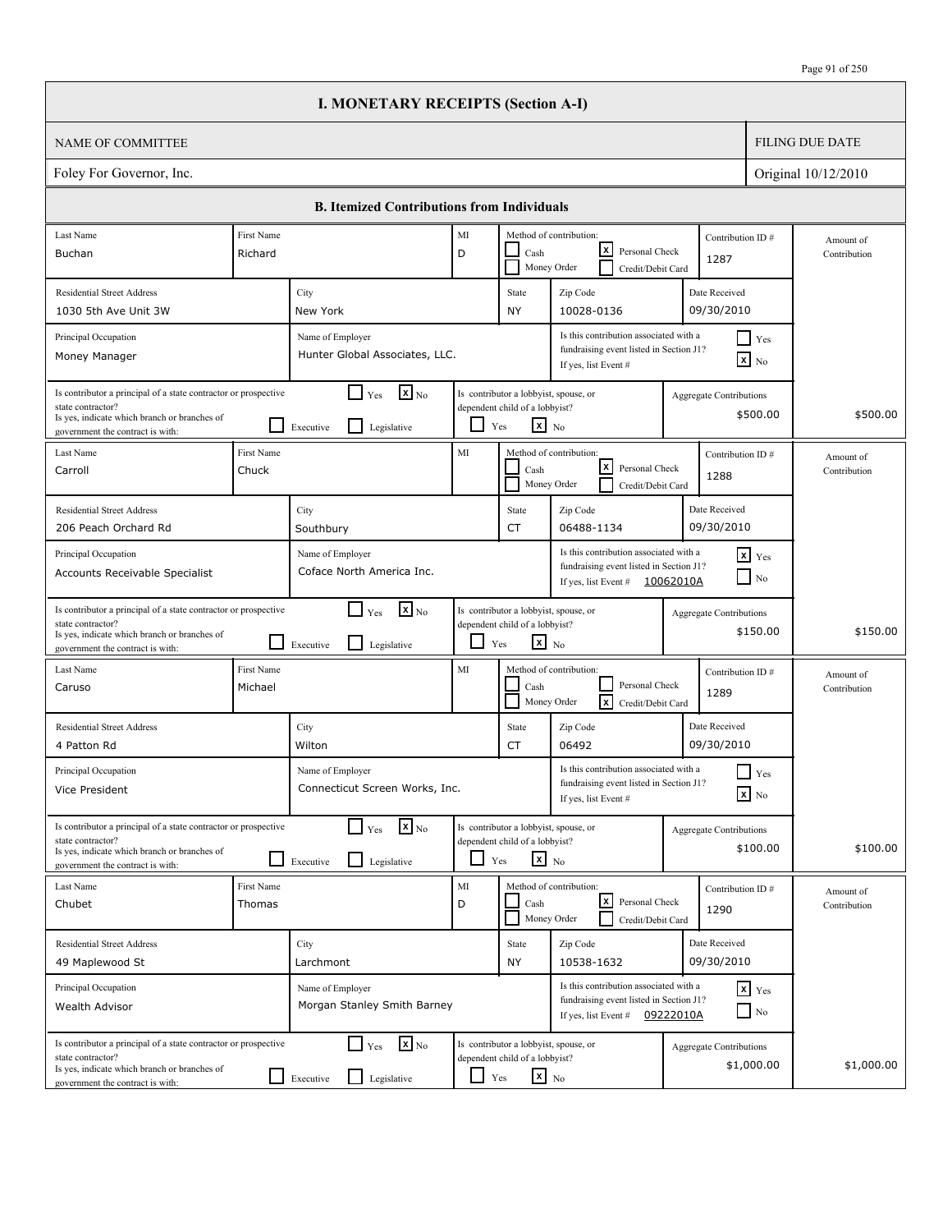|                                                                                                                                                                          | <b>I. MONETARY RECEIPTS (Section A-I)</b>                                       |         |                                                                                                   |                                                                                                                       |           |                                              |                           |
|--------------------------------------------------------------------------------------------------------------------------------------------------------------------------|---------------------------------------------------------------------------------|---------|---------------------------------------------------------------------------------------------------|-----------------------------------------------------------------------------------------------------------------------|-----------|----------------------------------------------|---------------------------|
| NAME OF COMMITTEE                                                                                                                                                        |                                                                                 |         |                                                                                                   |                                                                                                                       |           |                                              | <b>FILING DUE DATE</b>    |
| Foley For Governor, Inc.                                                                                                                                                 |                                                                                 |         |                                                                                                   |                                                                                                                       |           |                                              | Original 10/12/2010       |
|                                                                                                                                                                          | <b>B.</b> Itemized Contributions from Individuals                               |         |                                                                                                   |                                                                                                                       |           |                                              |                           |
| Last Name<br>First Name                                                                                                                                                  |                                                                                 | MI      |                                                                                                   | Method of contribution:                                                                                               |           | Contribution ID#                             | Amount of                 |
| Buchan<br>Richard                                                                                                                                                        |                                                                                 | D       | Cash                                                                                              | lxl<br>Personal Check<br>Money Order<br>Credit/Debit Card                                                             |           | 1287                                         | Contribution              |
| <b>Residential Street Address</b>                                                                                                                                        | City                                                                            |         | State                                                                                             | Zip Code                                                                                                              |           | Date Received<br>09/30/2010                  |                           |
| 1030 5th Ave Unit 3W                                                                                                                                                     | New York                                                                        |         | NY                                                                                                | 10028-0136                                                                                                            |           |                                              |                           |
| Principal Occupation<br>Money Manager                                                                                                                                    | Name of Employer<br>Hunter Global Associates, LLC.                              |         |                                                                                                   | Is this contribution associated with a<br>fundraising event listed in Section J1?<br>If yes, list Event #             |           | $\Box$ Yes<br>$\boxed{\mathbf{x}}$ No        |                           |
| Is contributor a principal of a state contractor or prospective<br>state contractor?<br>Is yes, indicate which branch or branches of<br>government the contract is with: | $\mathbf{X}$ <sub>No</sub><br>$\Box$ Yes<br>l 1<br>Legislative<br>Executive     |         | Is contributor a lobbyist, spouse, or<br>dependent child of a lobbyist?<br>$x_{N0}$<br>Yes        |                                                                                                                       |           | <b>Aggregate Contributions</b><br>\$500.00   | \$500.00                  |
| Last Name<br><b>First Name</b><br>Chuck<br>Carroll                                                                                                                       |                                                                                 | MI      | Cash<br>Money Order                                                                               | Method of contribution:<br>lxI<br>Personal Check<br>Credit/Debit Card                                                 |           | Contribution ID#<br>1288                     | Amount of<br>Contribution |
| <b>Residential Street Address</b>                                                                                                                                        | City                                                                            |         | State                                                                                             | Zip Code                                                                                                              |           | Date Received                                |                           |
| 206 Peach Orchard Rd                                                                                                                                                     | Southbury                                                                       |         | CT                                                                                                | 06488-1134                                                                                                            |           | 09/30/2010                                   |                           |
| Principal Occupation<br>Accounts Receivable Specialist                                                                                                                   | Name of Employer<br>Coface North America Inc.                                   |         |                                                                                                   | Is this contribution associated with a<br>fundraising event listed in Section J1?<br>If yes, list Event #             | 10062010A | $\mathbf{x}$ Yes<br>$\blacksquare$ No        |                           |
| Is contributor a principal of a state contractor or prospective<br>state contractor?<br>Is yes, indicate which branch or branches of<br>government the contract is with: | $\mathbf{x}$ <sub>No</sub><br>$\Box$ Yes<br>l 1<br>Legislative<br>Executive     | $\Box$  | Is contributor a lobbyist, spouse, or<br>dependent child of a lobbyist?<br>$\mathbf{x}$ No<br>Yes |                                                                                                                       |           | <b>Aggregate Contributions</b><br>\$150.00   | \$150.00                  |
| First Name<br>Last Name<br>Michael<br>Caruso                                                                                                                             |                                                                                 | MI      | Cash                                                                                              | Method of contribution:<br>Personal Check<br>Money Order<br>lx.<br>Credit/Debit Card                                  |           | Contribution ID#<br>1289                     | Amount of<br>Contribution |
| <b>Residential Street Address</b><br>4 Patton Rd                                                                                                                         | City<br>Wilton                                                                  |         | State<br>CT                                                                                       | Zip Code<br>06492                                                                                                     |           | Date Received<br>09/30/2010                  |                           |
| Principal Occupation<br>Vice President                                                                                                                                   | Name of Employer<br>Connecticut Screen Works, Inc.                              |         |                                                                                                   | Is this contribution associated with a<br>fundraising event listed in Section J1?<br>If yes, list Event #             |           | $\blacksquare$ Yes<br>$x$ No                 |                           |
| Is contributor a principal of a state contractor or prospective<br>state contractor?<br>Is yes, indicate which branch or branches of<br>government the contract is with: | $\mathbf{X}_{\text{No}}$<br>$\Box$ Yes<br>Legislative<br>Executive              | ப       | Is contributor a lobbyist, spouse, or<br>dependent child of a lobbyist?<br>$\mathbf{x}$ No<br>Yes |                                                                                                                       |           | Aggregate Contributions<br>\$100.00          | \$100.00                  |
| Last Name<br>First Name<br>Chubet<br>Thomas                                                                                                                              |                                                                                 | MI<br>D | Cash                                                                                              | Method of contribution:<br><u> x</u><br>Personal Check<br>Money Order<br>Credit/Debit Card                            |           | Contribution ID#<br>1290                     | Amount of<br>Contribution |
| <b>Residential Street Address</b>                                                                                                                                        | City                                                                            |         | State                                                                                             | Zip Code                                                                                                              |           | Date Received                                |                           |
| 49 Maplewood St                                                                                                                                                          | Larchmont                                                                       |         | NY                                                                                                | 10538-1632                                                                                                            |           | 09/30/2010                                   |                           |
| Principal Occupation<br>Wealth Advisor                                                                                                                                   | Name of Employer<br>Morgan Stanley Smith Barney                                 |         |                                                                                                   | Is this contribution associated with a<br>fundraising event listed in Section J1?<br>If yes, list Event # $09222010A$ |           | $\mathbf{x}$ Yes<br>$\Box$ No                |                           |
| Is contributor a principal of a state contractor or prospective<br>state contractor?<br>Is yes, indicate which branch or branches of<br>government the contract is with: | $\mathbf{X}$ <sub>No</sub><br>$\Box$ Yes<br>$\perp$<br>Legislative<br>Executive | LI      | Is contributor a lobbyist, spouse, or<br>dependent child of a lobbyist?<br>$\mathbf{x}$ No<br>Yes |                                                                                                                       |           | <b>Aggregate Contributions</b><br>\$1,000.00 | \$1,000.00                |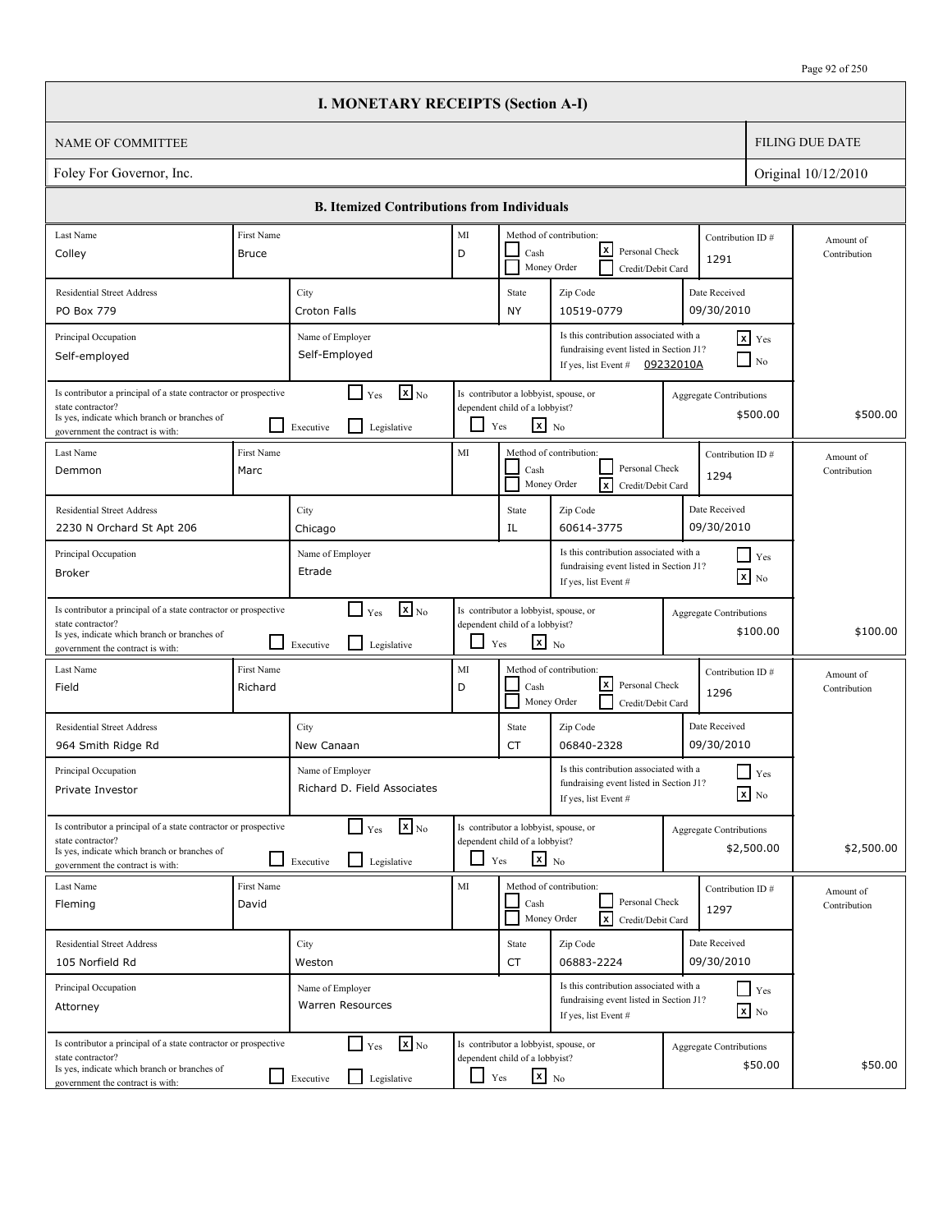|                                                                                                                                                                          |                       | <b>I. MONETARY RECEIPTS (Section A-I)</b>                                          |                          |                                                                                                   |                                                                                                           |           |                                              |                           |
|--------------------------------------------------------------------------------------------------------------------------------------------------------------------------|-----------------------|------------------------------------------------------------------------------------|--------------------------|---------------------------------------------------------------------------------------------------|-----------------------------------------------------------------------------------------------------------|-----------|----------------------------------------------|---------------------------|
| <b>NAME OF COMMITTEE</b>                                                                                                                                                 |                       |                                                                                    |                          |                                                                                                   |                                                                                                           |           |                                              | <b>FILING DUE DATE</b>    |
| Foley For Governor, Inc.                                                                                                                                                 |                       |                                                                                    |                          |                                                                                                   |                                                                                                           |           |                                              | Original 10/12/2010       |
|                                                                                                                                                                          |                       | <b>B. Itemized Contributions from Individuals</b>                                  |                          |                                                                                                   |                                                                                                           |           |                                              |                           |
| Last Name                                                                                                                                                                | First Name            |                                                                                    | MI                       |                                                                                                   | Method of contribution:                                                                                   |           | Contribution ID#                             | Amount of                 |
| Colley                                                                                                                                                                   | Bruce                 |                                                                                    | D                        | Cash<br>Money Order                                                                               | x <br>Personal Check<br>Credit/Debit Card                                                                 |           | 1291                                         | Contribution              |
| <b>Residential Street Address</b>                                                                                                                                        |                       | City                                                                               |                          | State                                                                                             | Zip Code                                                                                                  |           | Date Received                                |                           |
| PO Box 779                                                                                                                                                               |                       | Croton Falls                                                                       |                          | NY                                                                                                | 10519-0779                                                                                                |           | 09/30/2010                                   |                           |
| Principal Occupation<br>Self-employed                                                                                                                                    |                       | Name of Employer<br>Self-Employed                                                  |                          |                                                                                                   | Is this contribution associated with a<br>fundraising event listed in Section J1?<br>If yes, list Event # | 09232010A | $x$ Yes<br>$\Box$ No                         |                           |
| Is contributor a principal of a state contractor or prospective<br>state contractor?<br>Is yes, indicate which branch or branches of<br>government the contract is with: |                       | $\mathbf{X}_{\text{No}}$<br>$\Box$ Yes<br>$\mathsf{L}$<br>Legislative<br>Executive |                          | Is contributor a lobbyist, spouse, or<br>dependent child of a lobbyist?<br>$x_{N0}$<br>Yes        |                                                                                                           |           | <b>Aggregate Contributions</b><br>\$500.00   | \$500.00                  |
| Last Name<br>Demmon                                                                                                                                                      | First Name<br>Marc    |                                                                                    | MI                       | Cash<br>Money Order                                                                               | Method of contribution:<br>Personal Check<br> x<br>Credit/Debit Card                                      |           | Contribution ID#<br>1294                     | Amount of<br>Contribution |
| <b>Residential Street Address</b>                                                                                                                                        |                       | City                                                                               |                          | State                                                                                             | Zip Code                                                                                                  |           | Date Received                                |                           |
| 2230 N Orchard St Apt 206                                                                                                                                                |                       | Chicago                                                                            |                          | IL                                                                                                | 60614-3775                                                                                                |           | 09/30/2010                                   |                           |
| Principal Occupation<br><b>Broker</b>                                                                                                                                    |                       | Name of Employer<br>Etrade                                                         |                          |                                                                                                   | Is this contribution associated with a<br>fundraising event listed in Section J1?<br>If yes, list Event # |           | $\Box$ Yes<br>$\boxed{\mathbf{x}}$ No        |                           |
| Is contributor a principal of a state contractor or prospective<br>state contractor?<br>Is yes, indicate which branch or branches of<br>government the contract is with: |                       | $\mathbf{x}$ <sub>No</sub><br>$\Box$ Yes<br>l 1<br>Legislative<br>Executive        | $\overline{\phantom{0}}$ | Is contributor a lobbyist, spouse, or<br>dependent child of a lobbyist?<br>$\mathbf{x}$ No<br>Yes |                                                                                                           |           | <b>Aggregate Contributions</b><br>\$100.00   | \$100.00                  |
| Last Name<br>Field                                                                                                                                                       | First Name<br>Richard |                                                                                    | MI<br>D                  | Cash<br>Money Order                                                                               | Method of contribution:<br> x <br>Personal Check<br>Credit/Debit Card                                     |           | Contribution ID#<br>1296                     | Amount of<br>Contribution |
| <b>Residential Street Address</b><br>964 Smith Ridge Rd                                                                                                                  |                       | City<br>New Canaan                                                                 |                          | State<br>CT                                                                                       | Zip Code<br>06840-2328                                                                                    |           | Date Received<br>09/30/2010                  |                           |
| Principal Occupation<br>Private Investor                                                                                                                                 |                       | Name of Employer<br>Richard D. Field Associates                                    |                          |                                                                                                   | Is this contribution associated with a<br>fundraising event listed in Section J1?<br>If yes, list Event # |           | $\blacksquare$ Yes<br>$\mathbf{X}$ No        |                           |
| Is contributor a principal of a state contractor or prospective<br>state contractor?<br>Is yes, indicate which branch or branches of<br>government the contract is with: |                       | $\mathbf{X}_{\text{No}}$<br>$\Box$ Yes<br>Legislative<br>Executive                 | $\Box$                   | Is contributor a lobbyist, spouse, or<br>dependent child of a lobbyist?<br>$x_{N0}$<br>Yes        |                                                                                                           |           | <b>Aggregate Contributions</b><br>\$2,500.00 | \$2,500.00                |
| Last Name<br>Fleming                                                                                                                                                     | First Name<br>David   |                                                                                    | MI                       | Cash<br>Money Order                                                                               | Method of contribution:<br>Personal Check<br><b>x</b><br>Credit/Debit Card                                |           | Contribution ID#<br>1297                     | Amount of<br>Contribution |
| <b>Residential Street Address</b>                                                                                                                                        |                       | City                                                                               |                          | State                                                                                             | Zip Code                                                                                                  |           | Date Received                                |                           |
| 105 Norfield Rd                                                                                                                                                          |                       | Weston                                                                             |                          | CT                                                                                                | 06883-2224                                                                                                |           | 09/30/2010                                   |                           |
| Principal Occupation<br>Attorney                                                                                                                                         |                       | Name of Employer<br><b>Warren Resources</b>                                        |                          |                                                                                                   | Is this contribution associated with a<br>fundraising event listed in Section J1?<br>If yes, list Event # |           | $\Box$ Yes<br>$\mathbf{x}$ No                |                           |
| Is contributor a principal of a state contractor or prospective<br>state contractor?<br>Is yes, indicate which branch or branches of<br>government the contract is with: |                       | $\Box$ Yes<br>$\mathbf{x}$ <sub>No</sub><br>Legislative<br>Executive               | ப                        | Is contributor a lobbyist, spouse, or<br>dependent child of a lobbyist?<br>$\mathbf{x}$ No<br>Yes |                                                                                                           |           | <b>Aggregate Contributions</b><br>\$50.00    | \$50.00                   |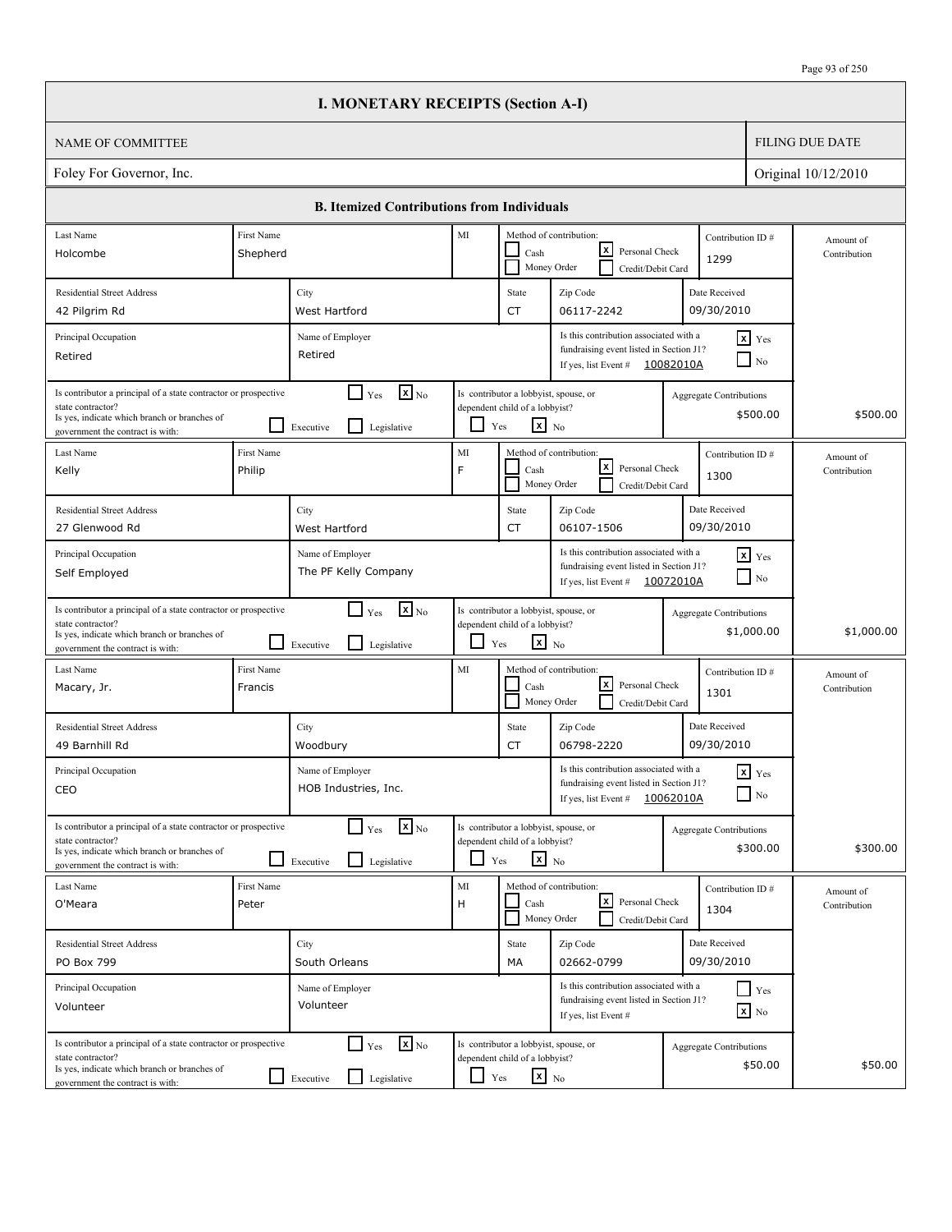|                                                                                                                                                                          |                        | <b>I. MONETARY RECEIPTS (Section A-I)</b>                                            |               |                                                                                                   |                                                                                                                        |                                |                                   |                           |
|--------------------------------------------------------------------------------------------------------------------------------------------------------------------------|------------------------|--------------------------------------------------------------------------------------|---------------|---------------------------------------------------------------------------------------------------|------------------------------------------------------------------------------------------------------------------------|--------------------------------|-----------------------------------|---------------------------|
| <b>NAME OF COMMITTEE</b>                                                                                                                                                 |                        |                                                                                      |               |                                                                                                   |                                                                                                                        |                                |                                   | <b>FILING DUE DATE</b>    |
| Foley For Governor, Inc.                                                                                                                                                 |                        |                                                                                      |               |                                                                                                   |                                                                                                                        |                                |                                   | Original 10/12/2010       |
|                                                                                                                                                                          |                        | <b>B. Itemized Contributions from Individuals</b>                                    |               |                                                                                                   |                                                                                                                        |                                |                                   |                           |
| Last Name<br>Holcombe                                                                                                                                                    | First Name<br>Shepherd |                                                                                      | MI            | Cash                                                                                              | Method of contribution:<br>lxI<br>Personal Check<br>Money Order<br>Credit/Debit Card                                   | Contribution ID#<br>1299       |                                   | Amount of<br>Contribution |
| <b>Residential Street Address</b><br>42 Pilgrim Rd                                                                                                                       |                        | City<br>West Hartford                                                                |               | State<br><b>CT</b>                                                                                | Zip Code<br>06117-2242                                                                                                 | Date Received<br>09/30/2010    |                                   |                           |
| Principal Occupation<br>Retired                                                                                                                                          |                        | Name of Employer<br>Retired                                                          |               |                                                                                                   | Is this contribution associated with a<br>fundraising event listed in Section J1?<br>If yes, list Event #              | 10082010A                      | $x$ Yes<br>N <sub>0</sub>         |                           |
| Is contributor a principal of a state contractor or prospective<br>state contractor?<br>Is yes, indicate which branch or branches of<br>government the contract is with: |                        | $\mathbf{X}$ <sub>No</sub><br>$\Box$ Yes<br>$\mathsf{L}$<br>Executive<br>Legislative | ப             | Is contributor a lobbyist, spouse, or<br>dependent child of a lobbyist?<br>$\mathbf{x}$ No<br>Yes |                                                                                                                        | Aggregate Contributions        | \$500.00                          | \$500.00                  |
| Last Name<br>Kelly                                                                                                                                                       | First Name<br>Philip   |                                                                                      | MI<br>F       | Cash                                                                                              | Method of contribution:<br>lxI<br>Personal Check<br>Money Order<br>Credit/Debit Card                                   | Contribution ID#<br>1300       |                                   | Amount of<br>Contribution |
| <b>Residential Street Address</b><br>27 Glenwood Rd                                                                                                                      |                        | City<br>West Hartford                                                                |               | State<br><b>CT</b>                                                                                | Zip Code<br>06107-1506                                                                                                 | Date Received<br>09/30/2010    |                                   |                           |
| Principal Occupation<br>Self Employed                                                                                                                                    |                        | Name of Employer<br>The PF Kelly Company                                             |               |                                                                                                   | Is this contribution associated with a<br>fundraising event listed in Section J1?<br>If yes, list Event $\#$ 10072010A |                                | $x$ Yes<br>$\Box$ No              |                           |
| Is contributor a principal of a state contractor or prospective<br>state contractor?<br>Is yes, indicate which branch or branches of<br>government the contract is with: |                        | $\mathbf{X}$ <sub>No</sub><br>$\Box$ Yes<br>l 1<br>Legislative<br>Executive          | ப             | Is contributor a lobbyist, spouse, or<br>dependent child of a lobbyist?<br>$\mathbf{x}$ No<br>Yes |                                                                                                                        | <b>Aggregate Contributions</b> | \$1,000.00                        | \$1,000.00                |
| Last Name<br>Macary, Jr.                                                                                                                                                 | First Name<br>Francis  |                                                                                      | MI            | Cash                                                                                              | Method of contribution:<br>lxl<br>Personal Check<br>Money Order<br>Credit/Debit Card                                   | Contribution ID#<br>1301       |                                   | Amount of<br>Contribution |
| <b>Residential Street Address</b><br>49 Barnhill Rd                                                                                                                      |                        | City<br>Woodbury                                                                     |               | State<br>CT                                                                                       | Zip Code<br>06798-2220                                                                                                 | Date Received<br>09/30/2010    |                                   |                           |
| Principal Occupation<br>CEO                                                                                                                                              |                        | Name of Employer<br>HOB Industries, Inc.                                             |               |                                                                                                   | Is this contribution associated with a<br>fundraising event listed in Section J1?<br>If yes, list Event $#$            | 10062010A                      | $\mathbf{x}$ Yes<br>$\Box$ No     |                           |
| Is contributor a principal of a state contractor or prospective<br>state contractor?<br>Is yes, indicate which branch or branches of<br>government the contract is with: |                        | $\mathbf{x}$ <sub>No</sub><br>$\Box$ Yes<br>l 1<br>Legislative<br>Executive          |               | Is contributor a lobbyist, spouse, or<br>dependent child of a lobbyist?<br>$x_{N0}$<br>Yes        |                                                                                                                        | <b>Aggregate Contributions</b> | \$300.00                          | \$300.00                  |
| Last Name<br>O'Meara                                                                                                                                                     | First Name<br>Peter    |                                                                                      | $\rm MI$<br>H | Cash                                                                                              | Method of contribution:<br>l×l<br>Personal Check<br>Money Order<br>Credit/Debit Card                                   | Contribution ID#<br>1304       |                                   | Amount of<br>Contribution |
| <b>Residential Street Address</b><br>PO Box 799                                                                                                                          |                        | City<br>South Orleans                                                                |               | State<br>МA                                                                                       | Zip Code<br>02662-0799                                                                                                 | Date Received<br>09/30/2010    |                                   |                           |
| Principal Occupation<br>Volunteer                                                                                                                                        |                        | Name of Employer<br>Volunteer                                                        |               |                                                                                                   | Is this contribution associated with a<br>fundraising event listed in Section J1?<br>If yes, list Event #              |                                | $Y$ es<br>$\boxed{\mathbf{x}}$ No |                           |
| Is contributor a principal of a state contractor or prospective<br>state contractor?<br>Is yes, indicate which branch or branches of<br>government the contract is with: |                        | $\mathbf{x}$ <sub>No</sub><br>$\Box$ Yes<br>Legislative<br>$\Box$ Executive          | $\Box$ Yes    | Is contributor a lobbyist, spouse, or<br>dependent child of a lobbyist?<br>$\mathbf{x}$ No        |                                                                                                                        | <b>Aggregate Contributions</b> | \$50.00                           | \$50.00                   |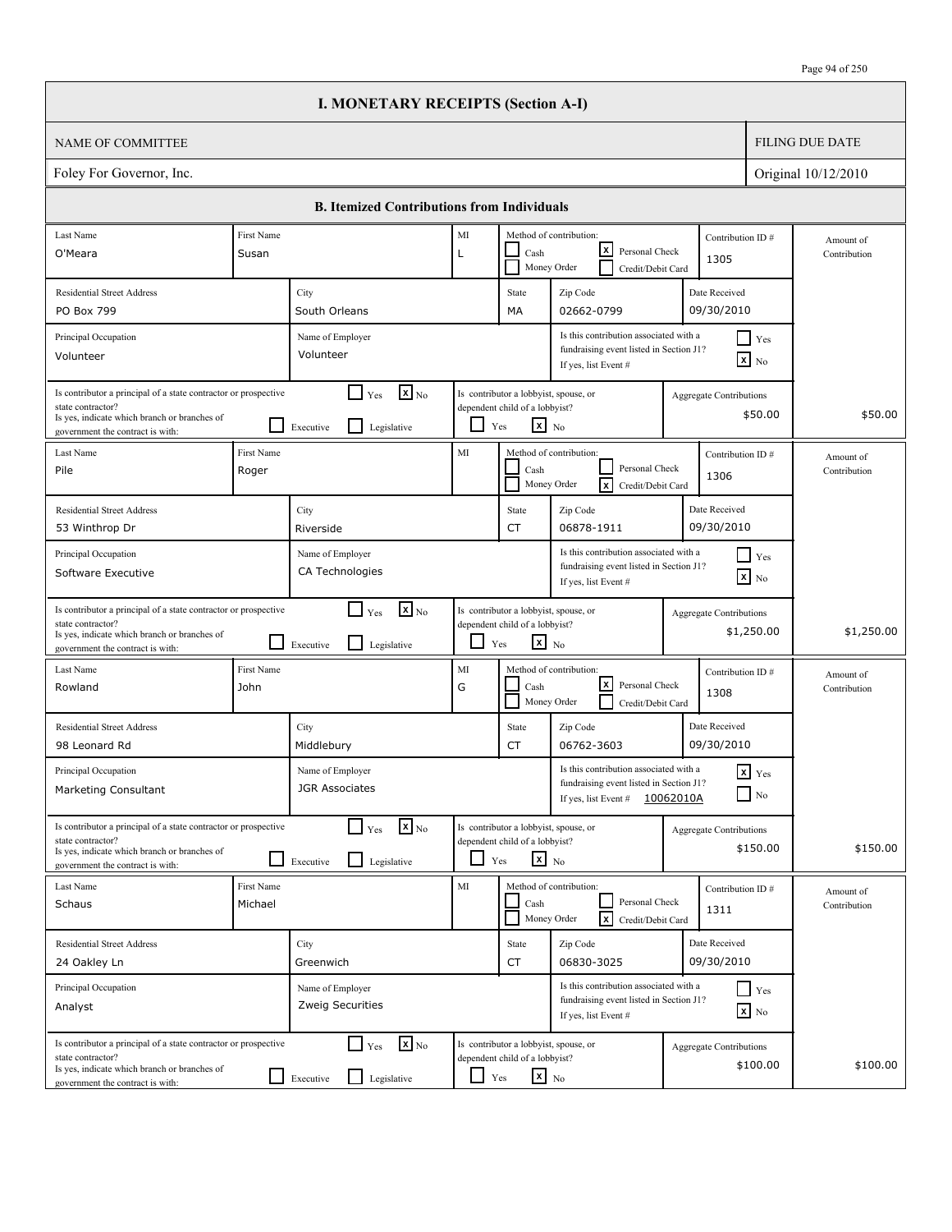|                                                                                                                                                                          |                       | <b>I. MONETARY RECEIPTS (Section A-I)</b>                                                       |                          |                                                                                                   |                                                                                                             |           |                                              |                           |
|--------------------------------------------------------------------------------------------------------------------------------------------------------------------------|-----------------------|-------------------------------------------------------------------------------------------------|--------------------------|---------------------------------------------------------------------------------------------------|-------------------------------------------------------------------------------------------------------------|-----------|----------------------------------------------|---------------------------|
| <b>NAME OF COMMITTEE</b>                                                                                                                                                 |                       |                                                                                                 |                          |                                                                                                   |                                                                                                             |           |                                              | <b>FILING DUE DATE</b>    |
| Foley For Governor, Inc.                                                                                                                                                 |                       |                                                                                                 |                          |                                                                                                   |                                                                                                             |           |                                              | Original 10/12/2010       |
|                                                                                                                                                                          |                       | <b>B. Itemized Contributions from Individuals</b>                                               |                          |                                                                                                   |                                                                                                             |           |                                              |                           |
| Last Name                                                                                                                                                                | First Name            |                                                                                                 | MI                       |                                                                                                   | Method of contribution:                                                                                     |           | Contribution ID#                             | Amount of                 |
| O'Meara                                                                                                                                                                  | Susan                 |                                                                                                 | Г                        | Cash                                                                                              | x <br>Personal Check<br>Money Order<br>Credit/Debit Card                                                    |           | 1305                                         | Contribution              |
| <b>Residential Street Address</b>                                                                                                                                        |                       | City                                                                                            |                          | State                                                                                             | Zip Code                                                                                                    |           | Date Received                                |                           |
| PO Box 799                                                                                                                                                               |                       | South Orleans                                                                                   |                          | МA                                                                                                | 02662-0799                                                                                                  |           | 09/30/2010                                   |                           |
| Principal Occupation<br>Volunteer                                                                                                                                        |                       | Name of Employer<br>Volunteer                                                                   |                          |                                                                                                   | Is this contribution associated with a<br>fundraising event listed in Section J1?<br>If yes, list Event #   |           | $\Box$ Yes<br>$\mathbf{x}$ No                |                           |
| Is contributor a principal of a state contractor or prospective<br>state contractor?<br>Is yes, indicate which branch or branches of<br>government the contract is with: |                       | $\mathbf{X}$ <sub>No</sub><br>$\blacksquare$<br>Yes<br>$\mathsf{L}$<br>Legislative<br>Executive |                          | Is contributor a lobbyist, spouse, or<br>dependent child of a lobbyist?<br>$x_{N0}$<br>Yes        |                                                                                                             |           | <b>Aggregate Contributions</b><br>\$50.00    | \$50.00                   |
| Last Name<br>Pile                                                                                                                                                        | First Name<br>Roger   |                                                                                                 | MI                       | Cash<br>Money Order                                                                               | Method of contribution:<br>Personal Check<br> x<br>Credit/Debit Card                                        |           | Contribution ID#<br>1306                     | Amount of<br>Contribution |
| <b>Residential Street Address</b>                                                                                                                                        |                       | City                                                                                            |                          | State                                                                                             | Zip Code                                                                                                    |           | Date Received                                |                           |
| 53 Winthrop Dr                                                                                                                                                           |                       | Riverside                                                                                       |                          | CT                                                                                                | 06878-1911                                                                                                  |           | 09/30/2010                                   |                           |
| Principal Occupation<br>Software Executive                                                                                                                               |                       | Name of Employer<br>CA Technologies                                                             |                          |                                                                                                   | Is this contribution associated with a<br>fundraising event listed in Section J1?<br>If yes, list Event #   |           | $\Box$ Yes<br>$\boxed{\mathbf{x}}$ No        |                           |
| Is contributor a principal of a state contractor or prospective<br>state contractor?<br>Is yes, indicate which branch or branches of<br>government the contract is with: |                       | $\mathbf{X}$ <sub>No</sub><br>$\Box$ Yes<br>l 1<br>Legislative<br>Executive                     | $\overline{\phantom{0}}$ | Is contributor a lobbyist, spouse, or<br>dependent child of a lobbyist?<br>$\mathbf{x}$ No<br>Yes |                                                                                                             |           | <b>Aggregate Contributions</b><br>\$1,250.00 | \$1,250.00                |
| Last Name<br>Rowland                                                                                                                                                     | First Name<br>John    |                                                                                                 | MI<br>G                  | Cash                                                                                              | Method of contribution:<br> x <br>Personal Check<br>Money Order<br>Credit/Debit Card                        |           | Contribution ID#<br>1308                     | Amount of<br>Contribution |
| <b>Residential Street Address</b><br>98 Leonard Rd                                                                                                                       |                       | City<br>Middlebury                                                                              |                          | State<br>CT                                                                                       | Zip Code<br>06762-3603                                                                                      |           | Date Received<br>09/30/2010                  |                           |
| Principal Occupation<br>Marketing Consultant                                                                                                                             |                       | Name of Employer<br><b>JGR Associates</b>                                                       |                          |                                                                                                   | Is this contribution associated with a<br>fundraising event listed in Section J1?<br>If yes, list Event $#$ | 10062010A | $x$ $Yes$<br>$\Box$ No                       |                           |
| Is contributor a principal of a state contractor or prospective<br>state contractor?<br>Is yes, indicate which branch or branches of<br>government the contract is with: |                       | $\mathbf{X}$ <sub>No</sub><br>$\Box$ Yes<br>Legislative<br>Executive                            | $\Box$                   | Is contributor a lobbyist, spouse, or<br>dependent child of a lobbyist?<br>$x_{N0}$<br>Yes        |                                                                                                             |           | <b>Aggregate Contributions</b><br>\$150.00   | \$150.00                  |
| Last Name<br>Schaus                                                                                                                                                      | First Name<br>Michael |                                                                                                 | MI                       | Cash                                                                                              | Method of contribution:<br>Personal Check<br><b>x</b><br>Money Order<br>Credit/Debit Card                   |           | Contribution ID#<br>1311                     | Amount of<br>Contribution |
| <b>Residential Street Address</b>                                                                                                                                        |                       | City                                                                                            |                          | State                                                                                             | Zip Code                                                                                                    |           | Date Received                                |                           |
| 24 Oakley Ln                                                                                                                                                             |                       | Greenwich                                                                                       |                          | CT                                                                                                | 06830-3025                                                                                                  |           | 09/30/2010                                   |                           |
| Principal Occupation<br>Analyst                                                                                                                                          |                       | Name of Employer<br>Zweig Securities                                                            |                          |                                                                                                   | Is this contribution associated with a<br>fundraising event listed in Section J1?<br>If yes, list Event #   |           | $\Box$ Yes<br>$\mathbf{x}$ No                |                           |
| Is contributor a principal of a state contractor or prospective<br>state contractor?<br>Is yes, indicate which branch or branches of<br>government the contract is with: |                       | $\Box$ Yes<br>$\mathbf{x}$ <sub>No</sub><br>ப<br>Legislative<br>Executive                       | ப                        | Is contributor a lobbyist, spouse, or<br>dependent child of a lobbyist?<br>$\mathbf{x}$ No<br>Yes |                                                                                                             |           | <b>Aggregate Contributions</b><br>\$100.00   | \$100.00                  |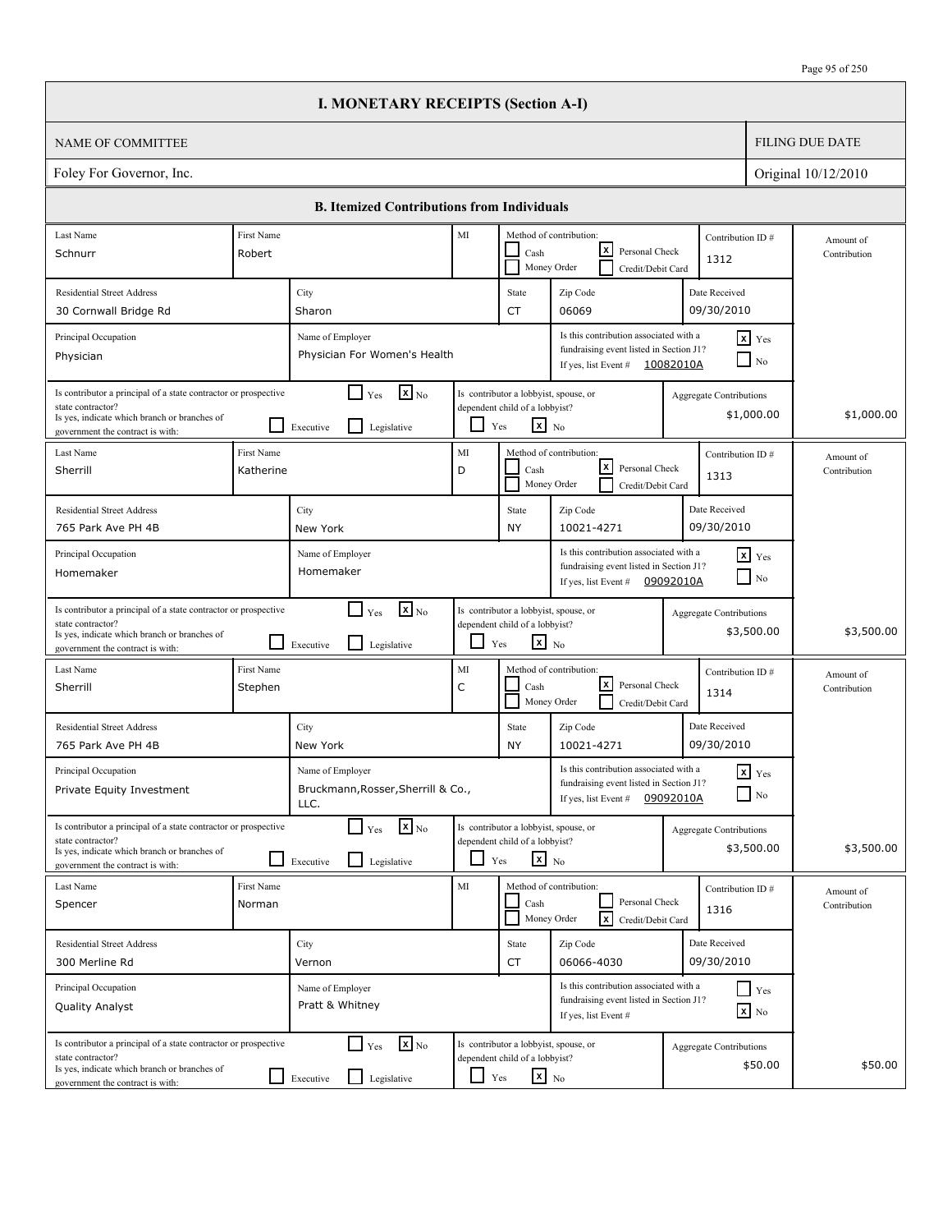|                                                                                                                                                                          |                         | <b>I. MONETARY RECEIPTS (Section A-I)</b>                                   |            |                                                                                                   |                                                                                                           |                                |                                        |                           |
|--------------------------------------------------------------------------------------------------------------------------------------------------------------------------|-------------------------|-----------------------------------------------------------------------------|------------|---------------------------------------------------------------------------------------------------|-----------------------------------------------------------------------------------------------------------|--------------------------------|----------------------------------------|---------------------------|
| <b>NAME OF COMMITTEE</b>                                                                                                                                                 |                         |                                                                             |            |                                                                                                   |                                                                                                           |                                |                                        | <b>FILING DUE DATE</b>    |
| Foley For Governor, Inc.                                                                                                                                                 |                         |                                                                             |            |                                                                                                   |                                                                                                           |                                |                                        | Original 10/12/2010       |
|                                                                                                                                                                          |                         | <b>B. Itemized Contributions from Individuals</b>                           |            |                                                                                                   |                                                                                                           |                                |                                        |                           |
| Last Name<br>Schnurr                                                                                                                                                     | First Name<br>Robert    |                                                                             | MI         | Cash                                                                                              | Method of contribution:<br>lxI<br>Personal Check<br>Money Order<br>Credit/Debit Card                      | Contribution ID#<br>1312       |                                        | Amount of<br>Contribution |
| <b>Residential Street Address</b><br>30 Cornwall Bridge Rd                                                                                                               |                         | City<br>Sharon                                                              |            | State<br><b>CT</b>                                                                                | Zip Code<br>06069                                                                                         | Date Received<br>09/30/2010    |                                        |                           |
| Principal Occupation<br>Physician                                                                                                                                        |                         | Name of Employer<br>Physician For Women's Health                            |            |                                                                                                   | Is this contribution associated with a<br>fundraising event listed in Section J1?<br>If yes, list Event # | 10082010A                      | $x$ Yes<br>$\overline{\phantom{a}}$ No |                           |
| Is contributor a principal of a state contractor or prospective<br>state contractor?<br>Is yes, indicate which branch or branches of<br>government the contract is with: |                         | $\mathbf{X}$ <sub>No</sub><br>$\Box$ Yes<br>l I<br>Executive<br>Legislative | ப          | Is contributor a lobbyist, spouse, or<br>dependent child of a lobbyist?<br>$\mathbf{x}$ No<br>Yes |                                                                                                           | <b>Aggregate Contributions</b> | \$1,000.00                             | \$1,000.00                |
| Last Name<br>Sherrill                                                                                                                                                    | First Name<br>Katherine |                                                                             | MI<br>D    | Cash                                                                                              | Method of contribution:<br>lxI<br>Personal Check<br>Money Order<br>Credit/Debit Card                      | Contribution ID#<br>1313       |                                        | Amount of<br>Contribution |
| <b>Residential Street Address</b><br>765 Park Ave PH 4B                                                                                                                  |                         | City<br>New York                                                            |            | State<br><b>NY</b>                                                                                | Zip Code<br>10021-4271                                                                                    | Date Received<br>09/30/2010    |                                        |                           |
| Principal Occupation<br>Homemaker                                                                                                                                        |                         | Name of Employer<br>Homemaker                                               |            |                                                                                                   | Is this contribution associated with a<br>fundraising event listed in Section J1?<br>If yes, list Event # | 09092010A                      | $x$ Yes<br>$\Box$ No                   |                           |
| Is contributor a principal of a state contractor or prospective<br>state contractor?<br>Is yes, indicate which branch or branches of<br>government the contract is with: |                         | $\mathbf{X}$ <sub>No</sub><br>$\Box$ Yes<br>l 1<br>Legislative<br>Executive | ப          | Is contributor a lobbyist, spouse, or<br>dependent child of a lobbyist?<br>$\mathbf{x}$ No<br>Yes |                                                                                                           | <b>Aggregate Contributions</b> | \$3,500.00                             | \$3,500.00                |
| Last Name<br>Sherrill                                                                                                                                                    | First Name<br>Stephen   |                                                                             | MI<br>C    | Cash                                                                                              | Method of contribution:<br>lxl<br>Personal Check<br>Money Order<br>Credit/Debit Card                      | Contribution ID#<br>1314       |                                        | Amount of<br>Contribution |
| <b>Residential Street Address</b><br>765 Park Ave PH 4B                                                                                                                  |                         | City<br>New York                                                            |            | State<br><b>NY</b>                                                                                | Zip Code<br>10021-4271                                                                                    | Date Received<br>09/30/2010    |                                        |                           |
| Principal Occupation<br>Private Equity Investment                                                                                                                        |                         | Name of Employer<br>Bruckmann, Rosser, Sherrill & Co.,<br>LLC.              |            |                                                                                                   | Is this contribution associated with a<br>fundraising event listed in Section J1?<br>If yes, list Event # | 09092010A                      | $\mathbf{x}$ Yes<br>$\Box$ No          |                           |
| Is contributor a principal of a state contractor or prospective<br>state contractor?<br>Is yes, indicate which branch or branches of<br>government the contract is with: |                         | $\mathbf{x}$ <sub>No</sub><br>$\Box$ Yes<br>l 1<br>Legislative<br>Executive |            | Is contributor a lobbyist, spouse, or<br>dependent child of a lobbyist?<br>$x_{N0}$<br>Yes        |                                                                                                           | <b>Aggregate Contributions</b> | \$3,500.00                             | \$3,500.00                |
| Last Name<br>Spencer                                                                                                                                                     | First Name<br>Norman    |                                                                             | MI         | Cash                                                                                              | Method of contribution:<br>Personal Check<br>$\sqrt{x}$<br>Money Order<br>Credit/Debit Card               | Contribution ID#<br>1316       |                                        | Amount of<br>Contribution |
| <b>Residential Street Address</b><br>300 Merline Rd                                                                                                                      |                         | City<br>Vernon                                                              |            | State<br>CT                                                                                       | Zip Code<br>06066-4030                                                                                    | Date Received<br>09/30/2010    |                                        |                           |
| Principal Occupation<br>Quality Analyst                                                                                                                                  |                         | Name of Employer<br>Pratt & Whitney                                         |            |                                                                                                   | Is this contribution associated with a<br>fundraising event listed in Section J1?<br>If yes, list Event # |                                | $Y$ es<br>$\mathbf{x}$ No              |                           |
| Is contributor a principal of a state contractor or prospective<br>state contractor?<br>Is yes, indicate which branch or branches of<br>government the contract is with: |                         | $\mathbf{x}$ <sub>No</sub><br>$\Box$ Yes<br>Legislative<br>$\Box$ Executive | $\Box$ Yes | Is contributor a lobbyist, spouse, or<br>dependent child of a lobbyist?<br>$\mathbf{x}$ No        |                                                                                                           | Aggregate Contributions        | \$50.00                                | \$50.00                   |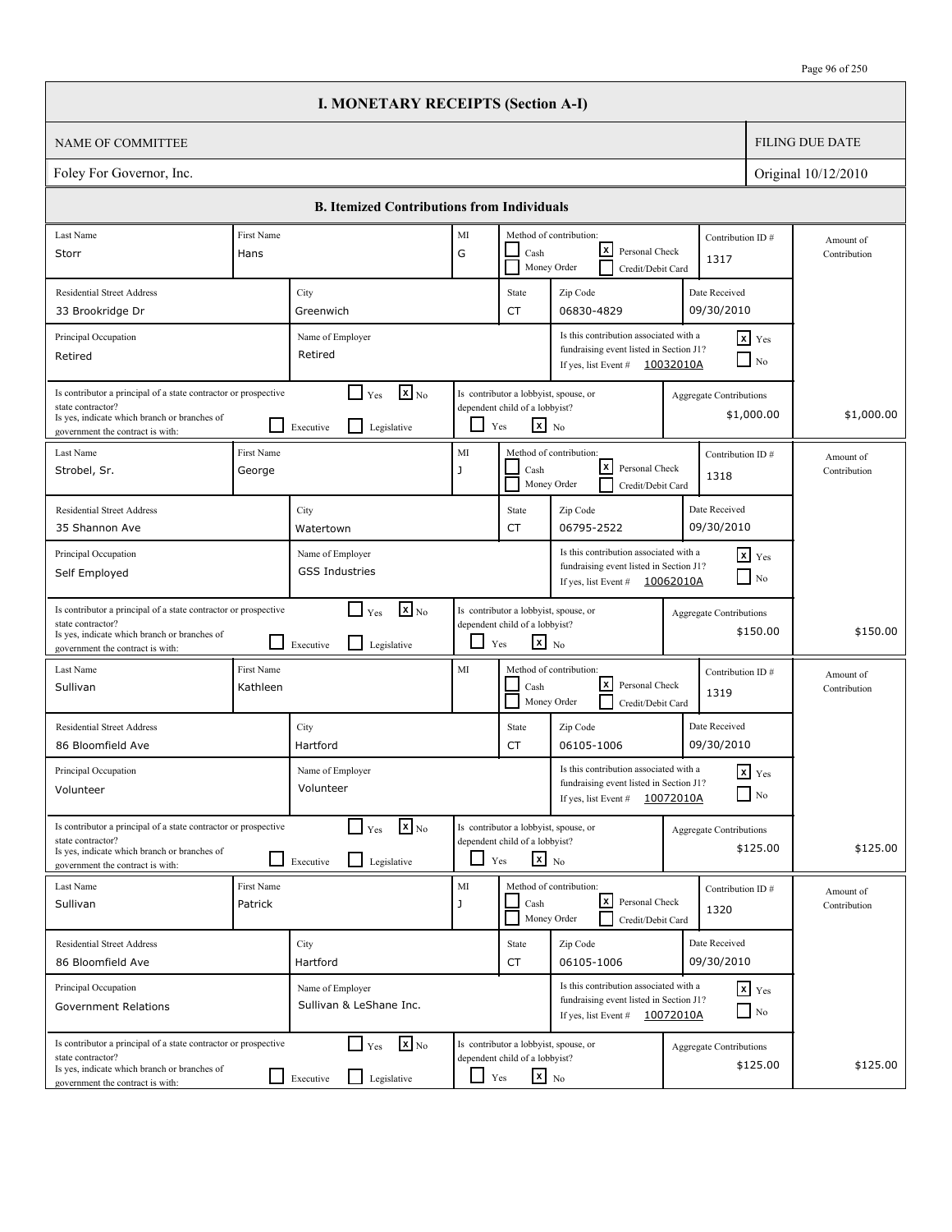|                                                                                                                                                                          |                        | <b>I. MONETARY RECEIPTS (Section A-I)</b>                                            |                    |                                                                                                   |                                                                                                                        |                  |                                              |                           |
|--------------------------------------------------------------------------------------------------------------------------------------------------------------------------|------------------------|--------------------------------------------------------------------------------------|--------------------|---------------------------------------------------------------------------------------------------|------------------------------------------------------------------------------------------------------------------------|------------------|----------------------------------------------|---------------------------|
| NAME OF COMMITTEE                                                                                                                                                        |                        |                                                                                      |                    |                                                                                                   |                                                                                                                        |                  |                                              | <b>FILING DUE DATE</b>    |
| Foley For Governor, Inc.                                                                                                                                                 |                        |                                                                                      |                    |                                                                                                   |                                                                                                                        |                  |                                              | Original 10/12/2010       |
|                                                                                                                                                                          |                        | <b>B. Itemized Contributions from Individuals</b>                                    |                    |                                                                                                   |                                                                                                                        |                  |                                              |                           |
| Last Name                                                                                                                                                                | First Name             |                                                                                      | MI                 |                                                                                                   | Method of contribution:                                                                                                |                  | Contribution ID#                             | Amount of                 |
| Storr                                                                                                                                                                    | Hans                   | lxl<br>Personal Check<br>G<br>Cash<br>1317<br>Money Order<br>Credit/Debit Card       |                    |                                                                                                   |                                                                                                                        |                  | Contribution                                 |                           |
| <b>Residential Street Address</b>                                                                                                                                        |                        | City                                                                                 |                    | State                                                                                             | Zip Code                                                                                                               |                  | Date Received                                |                           |
| 33 Brookridge Dr                                                                                                                                                         |                        | Greenwich                                                                            |                    | CT                                                                                                | 06830-4829                                                                                                             |                  | 09/30/2010                                   |                           |
| Principal Occupation<br>Retired                                                                                                                                          |                        | Name of Employer<br>Retired                                                          |                    |                                                                                                   | Is this contribution associated with a<br>fundraising event listed in Section J1?<br>If yes, list Event # $10032010A$  |                  | $x$ Yes<br>$\Box$ No                         |                           |
| Is contributor a principal of a state contractor or prospective<br>state contractor?<br>Is yes, indicate which branch or branches of<br>government the contract is with: |                        | $\mathbf{X}$ <sub>No</sub><br>$\mathsf{L}$<br>Yes<br>l 1<br>Legislative<br>Executive |                    | Is contributor a lobbyist, spouse, or<br>dependent child of a lobbyist?<br>$x_{N0}$<br>Yes        |                                                                                                                        |                  | <b>Aggregate Contributions</b><br>\$1,000.00 | \$1,000.00                |
| Last Name<br>Strobel, Sr.                                                                                                                                                | First Name<br>George   |                                                                                      | MI<br>$\mathbf{J}$ | Cash<br>Money Order                                                                               | Method of contribution:<br>lxI<br>Personal Check<br>Credit/Debit Card                                                  |                  | Contribution ID#<br>1318                     | Amount of<br>Contribution |
| <b>Residential Street Address</b><br>35 Shannon Ave                                                                                                                      |                        | City<br>Watertown                                                                    |                    | State<br>CT                                                                                       | Zip Code<br>06795-2522                                                                                                 |                  | Date Received<br>09/30/2010                  |                           |
| Principal Occupation<br>Self Employed                                                                                                                                    |                        | Name of Employer<br><b>GSS Industries</b>                                            |                    |                                                                                                   | Is this contribution associated with a<br>fundraising event listed in Section J1?<br>If yes, list Event #              | 10062010A        | $\mathbf{x}$ Yes<br>$\blacksquare$ No        |                           |
| Is contributor a principal of a state contractor or prospective<br>state contractor?<br>Is yes, indicate which branch or branches of<br>government the contract is with: |                        | $\mathbf{x}$ <sub>No</sub><br>$\Box$ Yes<br>l 1<br>Legislative<br>Executive          | $\Box$             | Is contributor a lobbyist, spouse, or<br>dependent child of a lobbyist?<br>$\mathbf{x}$ No<br>Yes |                                                                                                                        |                  | <b>Aggregate Contributions</b><br>\$150.00   | \$150.00                  |
| Last Name<br>Sullivan                                                                                                                                                    | First Name<br>Kathleen |                                                                                      | MI                 | Cash<br>Money Order                                                                               | Method of contribution:<br>lxI<br>Personal Check<br>Credit/Debit Card                                                  |                  | Contribution ID#<br>1319                     | Amount of<br>Contribution |
| <b>Residential Street Address</b><br>86 Bloomfield Ave                                                                                                                   |                        | City<br>Hartford                                                                     |                    | State<br>CT                                                                                       | Zip Code<br>06105-1006                                                                                                 |                  | Date Received<br>09/30/2010                  |                           |
| Principal Occupation<br>Volunteer                                                                                                                                        |                        | Name of Employer<br>Volunteer                                                        |                    |                                                                                                   | Is this contribution associated with a<br>fundraising event listed in Section J1?<br>If yes, list Event #              | <u>10072010A</u> | $x$ $Yes$<br>$\hfill\Box$ No                 |                           |
| Is contributor a principal of a state contractor or prospective<br>state contractor?<br>Is yes, indicate which branch or branches of<br>government the contract is with: |                        | $\mathbf{X}$ <sub>No</sub><br>$\Box$ Yes<br>Legislative<br>Executive                 | ப                  | Is contributor a lobbyist, spouse, or<br>dependent child of a lobbyist?<br>$\mathbf{x}$ No<br>Yes |                                                                                                                        |                  | Aggregate Contributions<br>\$125.00          | \$125.00                  |
| Last Name<br>Sullivan                                                                                                                                                    | First Name<br>Patrick  |                                                                                      | MI<br>$\mathbf{J}$ | Cash                                                                                              | Method of contribution:<br><u> x</u><br>Personal Check<br>Money Order<br>Credit/Debit Card                             |                  | Contribution ID#<br>1320                     | Amount of<br>Contribution |
| <b>Residential Street Address</b><br>86 Bloomfield Ave                                                                                                                   |                        | City<br>Hartford                                                                     |                    | State<br>CT                                                                                       | Zip Code<br>06105-1006                                                                                                 |                  | Date Received<br>09/30/2010                  |                           |
| Principal Occupation<br>Government Relations                                                                                                                             |                        | Name of Employer<br>Sullivan & LeShane Inc.                                          |                    |                                                                                                   | Is this contribution associated with a<br>fundraising event listed in Section J1?<br>If yes, list Event $\#$ 10072010A |                  | $\mathbf{x}$ Yes<br>$\Box$ No                |                           |
| Is contributor a principal of a state contractor or prospective<br>state contractor?<br>Is yes, indicate which branch or branches of<br>government the contract is with: |                        | $\mathbf{X}_{\text{No}}$<br>$\Box$ Yes<br>$\perp$<br>Legislative<br>Executive        | LI                 | Is contributor a lobbyist, spouse, or<br>dependent child of a lobbyist?<br>$\mathbf{x}$ No<br>Yes |                                                                                                                        |                  | <b>Aggregate Contributions</b><br>\$125.00   | \$125.00                  |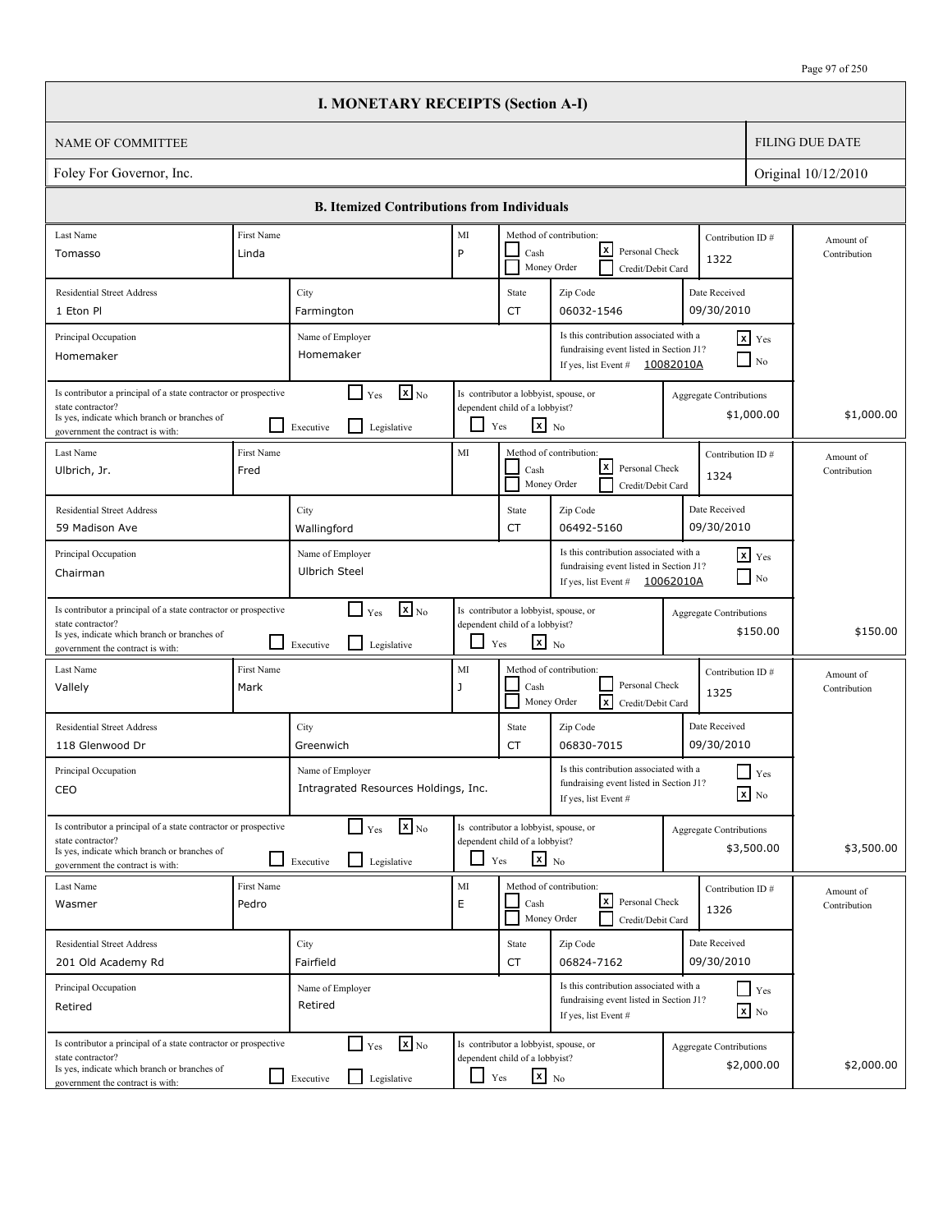|                                                                                                                                                                          |                     | <b>I. MONETARY RECEIPTS (Section A-I)</b>                                            |               |                                                                                                   |                                                                                                                        |                                |                                        |                           |
|--------------------------------------------------------------------------------------------------------------------------------------------------------------------------|---------------------|--------------------------------------------------------------------------------------|---------------|---------------------------------------------------------------------------------------------------|------------------------------------------------------------------------------------------------------------------------|--------------------------------|----------------------------------------|---------------------------|
| <b>NAME OF COMMITTEE</b>                                                                                                                                                 |                     |                                                                                      |               |                                                                                                   |                                                                                                                        |                                |                                        | <b>FILING DUE DATE</b>    |
| Foley For Governor, Inc.                                                                                                                                                 |                     |                                                                                      |               |                                                                                                   |                                                                                                                        |                                |                                        | Original 10/12/2010       |
|                                                                                                                                                                          |                     | <b>B. Itemized Contributions from Individuals</b>                                    |               |                                                                                                   |                                                                                                                        |                                |                                        |                           |
| Last Name<br>Tomasso                                                                                                                                                     | First Name<br>Linda |                                                                                      | MI<br>P       | Cash                                                                                              | Method of contribution:<br>lxI<br>Personal Check                                                                       | Contribution ID#<br>1322       |                                        | Amount of<br>Contribution |
| <b>Residential Street Address</b><br>1 Eton Pl                                                                                                                           |                     | City<br>Farmington                                                                   |               | State<br><b>CT</b>                                                                                | Money Order<br>Credit/Debit Card<br>Zip Code<br>06032-1546                                                             | Date Received<br>09/30/2010    |                                        |                           |
| Principal Occupation<br>Homemaker                                                                                                                                        |                     | Name of Employer<br>Homemaker                                                        |               |                                                                                                   | Is this contribution associated with a<br>fundraising event listed in Section J1?<br>If yes, list Event #              | 10082010A                      | $x$ Yes<br>$\Box$ No                   |                           |
| Is contributor a principal of a state contractor or prospective<br>state contractor?<br>Is yes, indicate which branch or branches of<br>government the contract is with: |                     | $\mathbf{X}$ <sub>No</sub><br>$\Box$ Yes<br>$\mathsf{L}$<br>Executive<br>Legislative | ப             | Is contributor a lobbyist, spouse, or<br>dependent child of a lobbyist?<br>$\mathbf{x}$ No<br>Yes |                                                                                                                        | Aggregate Contributions        | \$1,000.00                             | \$1,000.00                |
| Last Name<br>Ulbrich, Jr.                                                                                                                                                | First Name<br>Fred  |                                                                                      | MI            | Cash                                                                                              | Method of contribution:<br>lxI<br>Personal Check<br>Money Order<br>Credit/Debit Card                                   | Contribution ID#<br>1324       |                                        | Amount of<br>Contribution |
| <b>Residential Street Address</b><br>59 Madison Ave                                                                                                                      |                     | City<br>Wallingford                                                                  |               | State<br><b>CT</b>                                                                                | Zip Code<br>06492-5160                                                                                                 | Date Received<br>09/30/2010    |                                        |                           |
| Principal Occupation<br>Chairman                                                                                                                                         |                     | Name of Employer<br><b>Ulbrich Steel</b>                                             |               |                                                                                                   | Is this contribution associated with a<br>fundraising event listed in Section J1?<br>If yes, list Event $\#$ 10062010A |                                | $x$ Yes<br>$\Box$ No                   |                           |
| Is contributor a principal of a state contractor or prospective<br>state contractor?<br>Is yes, indicate which branch or branches of<br>government the contract is with: |                     | $\mathbf{X}$ <sub>No</sub><br>$\Gamma$ Yes<br>l 1<br>Legislative<br>Executive        | ப             | Is contributor a lobbyist, spouse, or<br>dependent child of a lobbyist?<br>$\mathbf{x}$ No<br>Yes |                                                                                                                        | <b>Aggregate Contributions</b> | \$150.00                               | \$150.00                  |
| Last Name<br>Vallely                                                                                                                                                     | First Name<br>Mark  |                                                                                      | MI<br>J       | Cash                                                                                              | Method of contribution:<br>Personal Check<br><b>x</b><br>Money Order<br>Credit/Debit Card                              | Contribution ID#<br>1325       |                                        | Amount of<br>Contribution |
| <b>Residential Street Address</b><br>118 Glenwood Dr                                                                                                                     |                     | City<br>Greenwich                                                                    |               | State<br>CT                                                                                       | Zip Code<br>06830-7015                                                                                                 | Date Received<br>09/30/2010    |                                        |                           |
| Principal Occupation<br>CEO                                                                                                                                              |                     | Name of Employer<br>Intragrated Resources Holdings, Inc.                             |               |                                                                                                   | Is this contribution associated with a<br>fundraising event listed in Section J1?<br>If yes, list Event #              |                                | $\prod$ Yes<br>$\boxed{\mathbf{x}}$ No |                           |
| Is contributor a principal of a state contractor or prospective<br>state contractor?<br>Is yes, indicate which branch or branches of<br>government the contract is with: |                     | $\mathbf{x}$ <sub>No</sub><br>$\Box$ Yes<br>$\mathsf{L}$<br>Legislative<br>Executive |               | Is contributor a lobbyist, spouse, or<br>dependent child of a lobbyist?<br>$x_{N0}$<br>Yes        |                                                                                                                        | <b>Aggregate Contributions</b> | \$3,500.00                             | \$3,500.00                |
| Last Name<br>Wasmer                                                                                                                                                      | First Name<br>Pedro |                                                                                      | $\rm MI$<br>E | Cash                                                                                              | Method of contribution:<br>l×l<br>Personal Check<br>Money Order<br>Credit/Debit Card                                   | Contribution ID#<br>1326       |                                        | Amount of<br>Contribution |
| <b>Residential Street Address</b><br>201 Old Academy Rd                                                                                                                  |                     | City<br>Fairfield                                                                    |               | State<br>CT                                                                                       | Zip Code<br>06824-7162                                                                                                 | Date Received<br>09/30/2010    |                                        |                           |
| Principal Occupation<br>Retired                                                                                                                                          |                     | Name of Employer<br>Retired                                                          |               |                                                                                                   | Is this contribution associated with a<br>fundraising event listed in Section J1?<br>If yes, list Event #              |                                | $Y$ es<br>$\boxed{\mathbf{x}}$ No      |                           |
| Is contributor a principal of a state contractor or prospective<br>state contractor?<br>Is yes, indicate which branch or branches of<br>government the contract is with: |                     | $\mathbf{x}$ <sub>No</sub><br>$\Box$ Yes<br>Legislative<br>$\Box$ Executive          | $\Box$ Yes    | Is contributor a lobbyist, spouse, or<br>dependent child of a lobbyist?<br>$\mathbf{x}$ No        |                                                                                                                        | <b>Aggregate Contributions</b> | \$2,000.00                             | \$2,000.00                |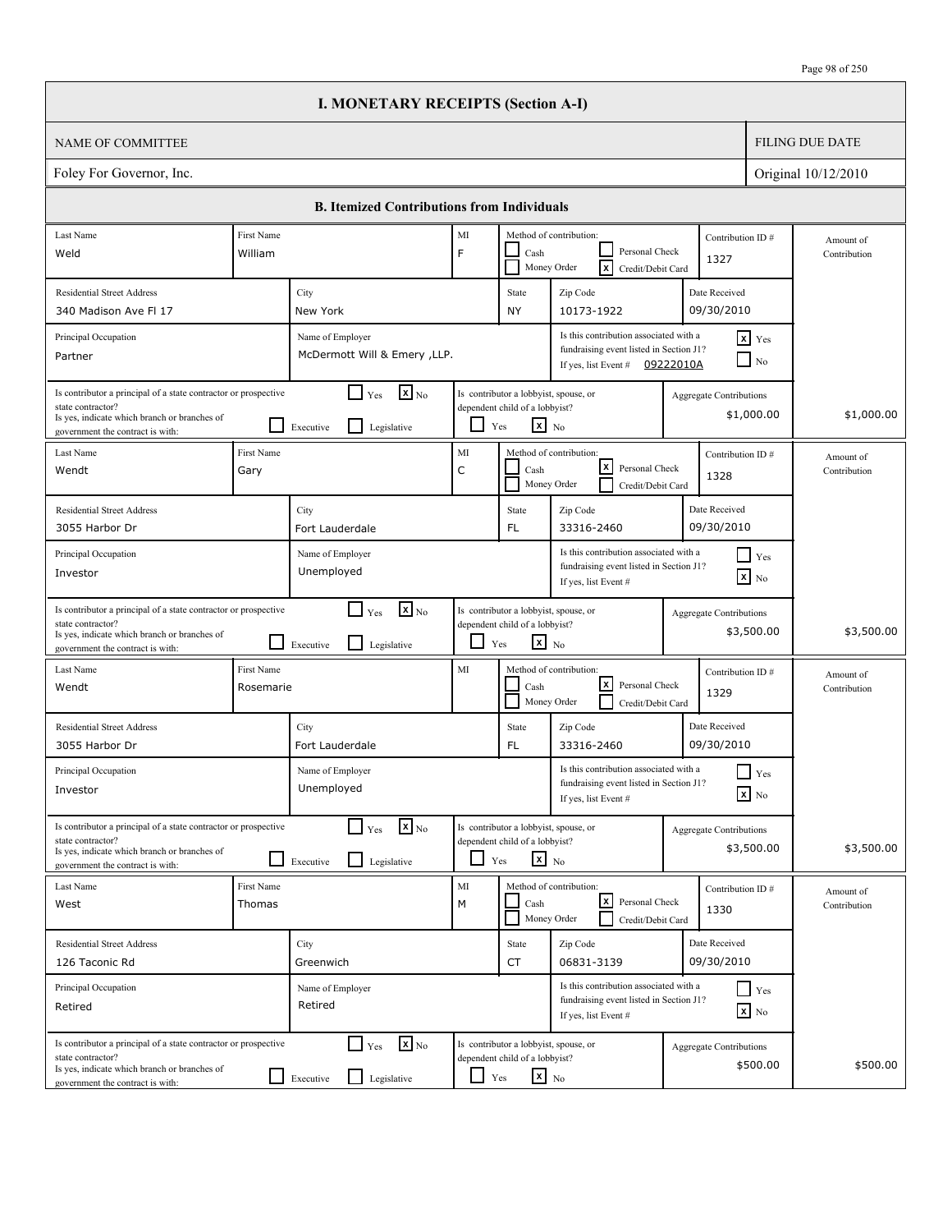|                                                                                                                                                                          |                           | <b>I. MONETARY RECEIPTS (Section A-I)</b>                                            |                   |                                                                                                   |                                                                                                           |                                |                                        |                           |
|--------------------------------------------------------------------------------------------------------------------------------------------------------------------------|---------------------------|--------------------------------------------------------------------------------------|-------------------|---------------------------------------------------------------------------------------------------|-----------------------------------------------------------------------------------------------------------|--------------------------------|----------------------------------------|---------------------------|
| <b>NAME OF COMMITTEE</b>                                                                                                                                                 |                           |                                                                                      |                   |                                                                                                   |                                                                                                           |                                |                                        | <b>FILING DUE DATE</b>    |
| Foley For Governor, Inc.                                                                                                                                                 |                           |                                                                                      |                   |                                                                                                   |                                                                                                           |                                |                                        | Original 10/12/2010       |
|                                                                                                                                                                          |                           | <b>B. Itemized Contributions from Individuals</b>                                    |                   |                                                                                                   |                                                                                                           |                                |                                        |                           |
| Last Name                                                                                                                                                                | First Name                |                                                                                      | MI                |                                                                                                   | Method of contribution:                                                                                   | Contribution ID#               |                                        | Amount of                 |
| Weld                                                                                                                                                                     | William                   |                                                                                      | F                 | Cash                                                                                              | Personal Check<br>Γx<br>Money Order<br>Credit/Debit Card                                                  | 1327                           |                                        | Contribution              |
| <b>Residential Street Address</b>                                                                                                                                        |                           | City                                                                                 |                   | State                                                                                             | Zip Code                                                                                                  | Date Received                  |                                        |                           |
| 340 Madison Ave Fl 17                                                                                                                                                    |                           | New York                                                                             |                   | <b>NY</b>                                                                                         | 10173-1922                                                                                                | 09/30/2010                     |                                        |                           |
| Principal Occupation<br>Partner                                                                                                                                          |                           | Name of Employer<br>McDermott Will & Emery , LLP.                                    |                   |                                                                                                   | Is this contribution associated with a<br>fundraising event listed in Section J1?<br>If yes, list Event # | 09222010A                      | $x$ Yes<br>N <sub>0</sub>              |                           |
| Is contributor a principal of a state contractor or prospective<br>state contractor?<br>Is yes, indicate which branch or branches of<br>government the contract is with: |                           | $\mathbf{X}$ <sub>No</sub><br>$\Box$ Yes<br>$\mathsf{L}$<br>Executive<br>Legislative | ப                 | Is contributor a lobbyist, spouse, or<br>dependent child of a lobbyist?<br>$\mathbf{x}$ No<br>Yes |                                                                                                           | Aggregate Contributions        | \$1,000.00                             | \$1,000.00                |
| Last Name<br>Wendt                                                                                                                                                       | <b>First Name</b><br>Gary |                                                                                      | MI<br>$\mathsf C$ | Cash                                                                                              | Method of contribution:<br>lxI<br>Personal Check<br>Money Order<br>Credit/Debit Card                      | Contribution ID#<br>1328       |                                        | Amount of<br>Contribution |
| <b>Residential Street Address</b><br>3055 Harbor Dr                                                                                                                      |                           | City<br>Fort Lauderdale                                                              |                   | State<br>FL.                                                                                      | Zip Code<br>33316-2460                                                                                    | Date Received<br>09/30/2010    |                                        |                           |
| Principal Occupation<br>Investor                                                                                                                                         |                           | Name of Employer<br>Unemployed                                                       |                   |                                                                                                   | Is this contribution associated with a<br>fundraising event listed in Section J1?<br>If yes, list Event # |                                | $\blacksquare$ Yes<br>$\mathbf{x}$ No  |                           |
| Is contributor a principal of a state contractor or prospective<br>state contractor?<br>Is yes, indicate which branch or branches of<br>government the contract is with: |                           | $\mathbf{X}$ <sub>No</sub><br>$\Box$ Yes<br>l 1<br>Legislative<br>Executive          | ப                 | Is contributor a lobbyist, spouse, or<br>dependent child of a lobbyist?<br>$\mathbf{x}$ No<br>Yes |                                                                                                           | <b>Aggregate Contributions</b> | \$3,500.00                             | \$3,500.00                |
| Last Name<br>Wendt                                                                                                                                                       | First Name<br>Rosemarie   |                                                                                      | MI                | Cash                                                                                              | Method of contribution:<br>lxl<br>Personal Check<br>Money Order<br>Credit/Debit Card                      | Contribution ID#<br>1329       |                                        | Amount of<br>Contribution |
| <b>Residential Street Address</b><br>3055 Harbor Dr                                                                                                                      |                           | City<br>Fort Lauderdale                                                              |                   | State<br>FL                                                                                       | Zip Code<br>33316-2460                                                                                    | Date Received<br>09/30/2010    |                                        |                           |
| Principal Occupation<br>Investor                                                                                                                                         |                           | Name of Employer<br>Unemployed                                                       |                   |                                                                                                   | Is this contribution associated with a<br>fundraising event listed in Section J1?<br>If yes, list Event # |                                | $\prod$ Yes<br>$\boxed{\mathbf{x}}$ No |                           |
| Is contributor a principal of a state contractor or prospective<br>state contractor?<br>Is yes, indicate which branch or branches of<br>government the contract is with: |                           | $\mathbf{x}$ <sub>No</sub><br>$\Box$ Yes<br>$\Box$<br>Legislative<br>Executive       |                   | Is contributor a lobbyist, spouse, or<br>dependent child of a lobbyist?<br>$x_{N0}$<br>Yes        |                                                                                                           | <b>Aggregate Contributions</b> | \$3,500.00                             | \$3,500.00                |
| Last Name<br>West                                                                                                                                                        | First Name<br>Thomas      |                                                                                      | $\rm MI$<br>M     | Cash                                                                                              | Method of contribution:<br>l×l<br>Personal Check<br>Money Order<br>Credit/Debit Card                      | Contribution ID#<br>1330       |                                        | Amount of<br>Contribution |
| <b>Residential Street Address</b><br>126 Taconic Rd                                                                                                                      |                           | City<br>Greenwich                                                                    |                   | State<br>CT                                                                                       | Zip Code<br>06831-3139                                                                                    | Date Received<br>09/30/2010    |                                        |                           |
| Principal Occupation<br>Retired                                                                                                                                          |                           | Name of Employer<br>Retired                                                          |                   |                                                                                                   | Is this contribution associated with a<br>fundraising event listed in Section J1?<br>If yes, list Event # |                                | $Y$ es<br>$\boxed{\mathbf{x}}$ No      |                           |
| Is contributor a principal of a state contractor or prospective<br>state contractor?<br>Is yes, indicate which branch or branches of<br>government the contract is with: |                           | $\mathbf{x}$ <sub>No</sub><br>$\Box$ Yes<br>Legislative<br>$\Box$ Executive          | $\Box$ Yes        | Is contributor a lobbyist, spouse, or<br>dependent child of a lobbyist?<br>$\mathbf{x}$ No        |                                                                                                           | <b>Aggregate Contributions</b> | \$500.00                               | \$500.00                  |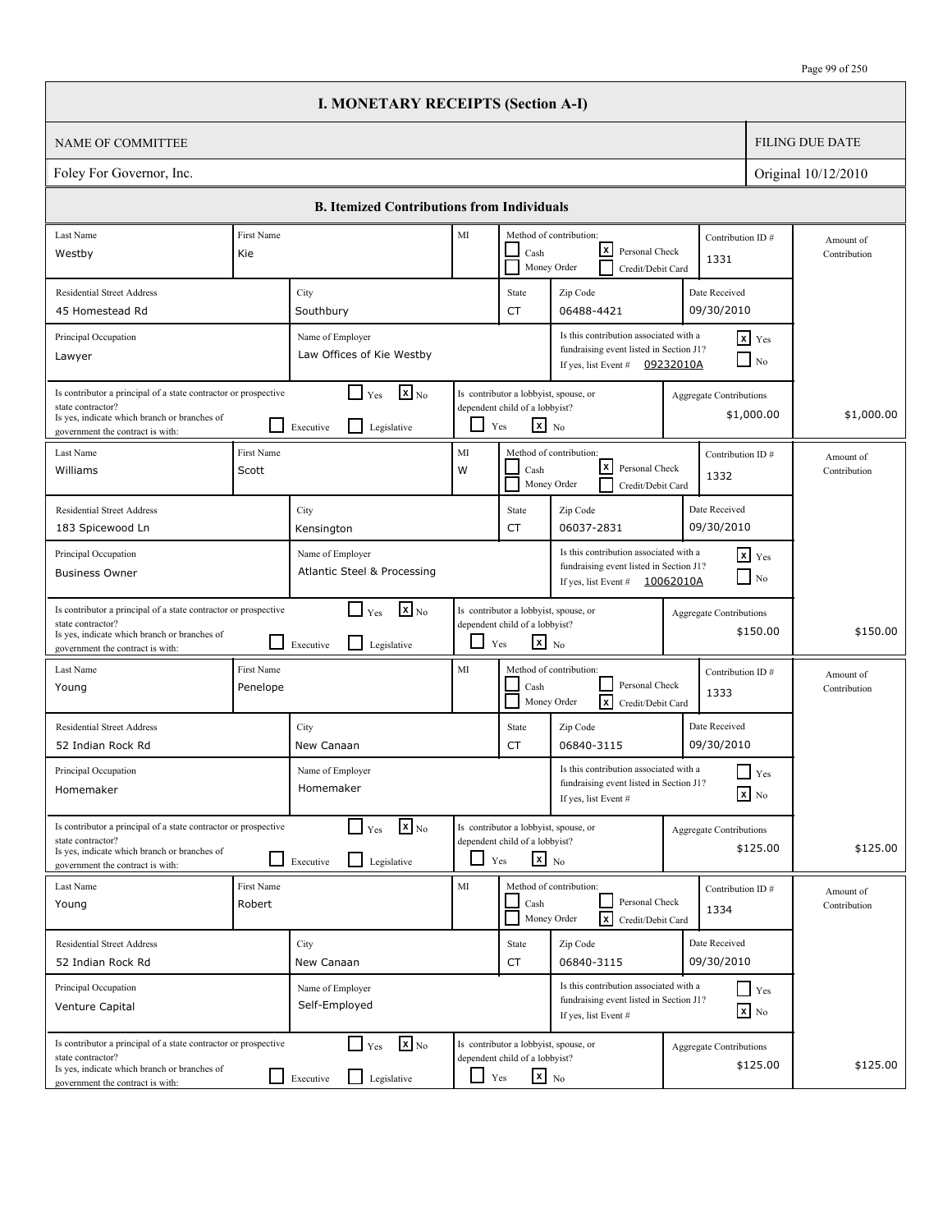|                                                                                                                                                                          |                        | <b>I. MONETARY RECEIPTS (Section A-I)</b>                                              |            |                                                                                                   |                                                                                                                        |                                |                                        |                           |
|--------------------------------------------------------------------------------------------------------------------------------------------------------------------------|------------------------|----------------------------------------------------------------------------------------|------------|---------------------------------------------------------------------------------------------------|------------------------------------------------------------------------------------------------------------------------|--------------------------------|----------------------------------------|---------------------------|
| <b>NAME OF COMMITTEE</b>                                                                                                                                                 |                        |                                                                                        |            |                                                                                                   |                                                                                                                        |                                |                                        | <b>FILING DUE DATE</b>    |
| Foley For Governor, Inc.                                                                                                                                                 |                        |                                                                                        |            |                                                                                                   |                                                                                                                        |                                |                                        | Original 10/12/2010       |
|                                                                                                                                                                          |                        | <b>B. Itemized Contributions from Individuals</b>                                      |            |                                                                                                   |                                                                                                                        |                                |                                        |                           |
| Last Name                                                                                                                                                                | First Name             |                                                                                        | MI         |                                                                                                   | Method of contribution:                                                                                                |                                | Contribution ID#                       | Amount of                 |
| Westby                                                                                                                                                                   | Kie                    |                                                                                        |            | Cash                                                                                              | lxI<br>Personal Check<br>Money Order<br>Credit/Debit Card                                                              | 1331                           |                                        | Contribution              |
| <b>Residential Street Address</b>                                                                                                                                        |                        | City                                                                                   |            | State                                                                                             | Zip Code                                                                                                               | Date Received                  |                                        |                           |
| 45 Homestead Rd                                                                                                                                                          |                        | Southbury                                                                              |            | <b>CT</b>                                                                                         | 06488-4421                                                                                                             | 09/30/2010                     |                                        |                           |
| Principal Occupation<br>Lawyer                                                                                                                                           |                        | Name of Employer<br>Law Offices of Kie Westby                                          |            |                                                                                                   | Is this contribution associated with a<br>fundraising event listed in Section J1?<br>If yes, list Event #              | 09232010A                      | $x$ Yes<br>N <sub>0</sub>              |                           |
| Is contributor a principal of a state contractor or prospective<br>state contractor?<br>Is yes, indicate which branch or branches of<br>government the contract is with: |                        | $\mathbf{X}$ <sub>No</sub><br>$\Box$ Yes<br>l I<br>Executive<br>Legislative            | ப          | Is contributor a lobbyist, spouse, or<br>dependent child of a lobbyist?<br>$\mathbf{x}$ No<br>Yes |                                                                                                                        | Aggregate Contributions        | \$1,000.00                             | \$1,000.00                |
| Last Name<br>Williams                                                                                                                                                    | First Name<br>Scott    |                                                                                        | MI<br>W    | Cash                                                                                              | Method of contribution:<br>lxI<br>Personal Check<br>Money Order<br>Credit/Debit Card                                   | 1332                           | Contribution ID#                       | Amount of<br>Contribution |
| <b>Residential Street Address</b><br>183 Spicewood Ln                                                                                                                    |                        | City<br>Kensington                                                                     |            | State<br><b>CT</b>                                                                                | Zip Code<br>06037-2831                                                                                                 | Date Received<br>09/30/2010    |                                        |                           |
| Principal Occupation<br><b>Business Owner</b>                                                                                                                            |                        | Name of Employer<br>Atlantic Steel & Processing                                        |            |                                                                                                   | Is this contribution associated with a<br>fundraising event listed in Section J1?<br>If yes, list Event $\#$ 10062010A |                                | $x$ $Y$ es<br>$\Box$ No                |                           |
| Is contributor a principal of a state contractor or prospective<br>state contractor?<br>Is yes, indicate which branch or branches of<br>government the contract is with: |                        | $\mathbf{X}$ <sub>No</sub><br>$\Box$ Yes<br>l 1<br>Legislative<br>Executive            | ப          | Is contributor a lobbyist, spouse, or<br>dependent child of a lobbyist?<br>$\mathbf{x}$ No<br>Yes |                                                                                                                        | <b>Aggregate Contributions</b> | \$150.00                               | \$150.00                  |
| Last Name<br>Young                                                                                                                                                       | First Name<br>Penelope |                                                                                        | MI         | Cash                                                                                              | Method of contribution:<br>Personal Check<br>$\overline{\mathbf{x}}$<br>Money Order<br>Credit/Debit Card               | 1333                           | Contribution ID#                       | Amount of<br>Contribution |
| <b>Residential Street Address</b><br>52 Indian Rock Rd                                                                                                                   |                        | City<br>New Canaan                                                                     |            | State<br>CT                                                                                       | Zip Code<br>06840-3115                                                                                                 | Date Received<br>09/30/2010    |                                        |                           |
| Principal Occupation<br>Homemaker                                                                                                                                        |                        | Name of Employer<br>Homemaker                                                          |            |                                                                                                   | Is this contribution associated with a<br>fundraising event listed in Section J1?<br>If yes, list Event #              |                                | $\prod$ Yes<br>$\boxed{\mathbf{x}}$ No |                           |
| Is contributor a principal of a state contractor or prospective<br>state contractor?<br>Is yes, indicate which branch or branches of<br>government the contract is with: |                        | $\mathbf{x}$ <sub>No</sub><br>$\Gamma$ Yes<br>$\mathsf{L}$<br>Legislative<br>Executive |            | Is contributor a lobbyist, spouse, or<br>dependent child of a lobbyist?<br>$\mathbf{x}$ No<br>Yes |                                                                                                                        | <b>Aggregate Contributions</b> | \$125.00                               | \$125.00                  |
| Last Name<br>Young                                                                                                                                                       | First Name<br>Robert   |                                                                                        | MI         | Cash                                                                                              | Method of contribution:<br>Personal Check<br>$\sqrt{x}$<br>Money Order<br>Credit/Debit Card                            | 1334                           | Contribution ID#                       | Amount of<br>Contribution |
| <b>Residential Street Address</b><br>52 Indian Rock Rd                                                                                                                   |                        | City<br>New Canaan                                                                     |            | State<br>CT                                                                                       | Zip Code<br>06840-3115                                                                                                 | Date Received<br>09/30/2010    |                                        |                           |
| Principal Occupation<br>Venture Capital                                                                                                                                  |                        | Name of Employer<br>Self-Employed                                                      |            |                                                                                                   | Is this contribution associated with a<br>fundraising event listed in Section J1?<br>If yes, list Event #              |                                | Yes<br>$\boxed{\mathbf{x}}$ No         |                           |
| Is contributor a principal of a state contractor or prospective<br>state contractor?<br>Is yes, indicate which branch or branches of<br>government the contract is with: |                        | $\mathbf{x}$ <sub>No</sub><br>$\Box$ Yes<br>Legislative<br>$\Box$ Executive            | $\Box$ Yes | Is contributor a lobbyist, spouse, or<br>dependent child of a lobbyist?<br>$\mathbf{x}$ No        |                                                                                                                        | <b>Aggregate Contributions</b> | \$125.00                               | \$125.00                  |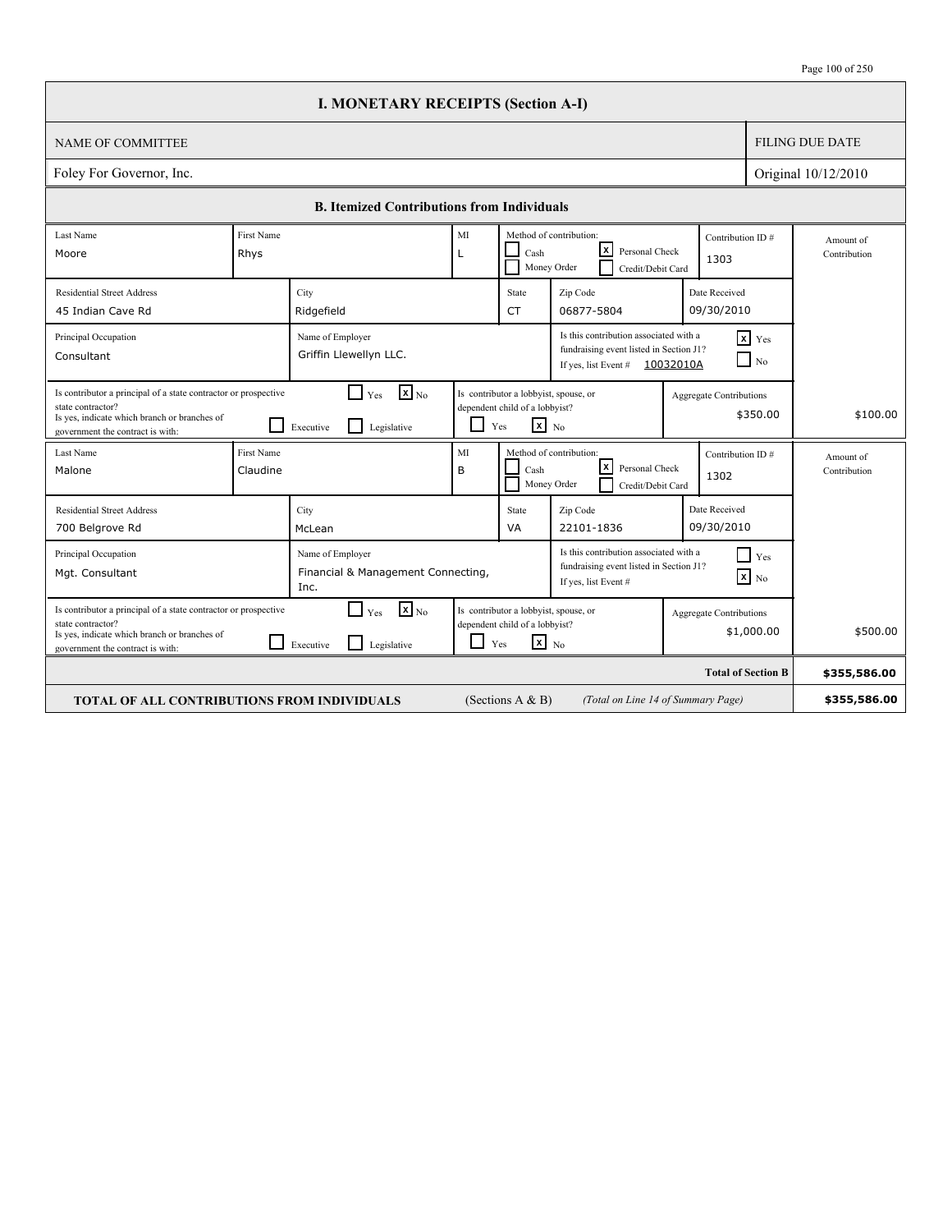|                                                                                                                                                                          |                        | <b>I. MONETARY RECEIPTS (Section A-I)</b>                                                                                                                                                      |                                                                                                          |                                                                                            |                                                                                     |                             |                                |                           |
|--------------------------------------------------------------------------------------------------------------------------------------------------------------------------|------------------------|------------------------------------------------------------------------------------------------------------------------------------------------------------------------------------------------|----------------------------------------------------------------------------------------------------------|--------------------------------------------------------------------------------------------|-------------------------------------------------------------------------------------|-----------------------------|--------------------------------|---------------------------|
| <b>NAME OF COMMITTEE</b>                                                                                                                                                 |                        |                                                                                                                                                                                                |                                                                                                          |                                                                                            |                                                                                     |                             |                                | <b>FILING DUE DATE</b>    |
| Foley For Governor, Inc.                                                                                                                                                 |                        |                                                                                                                                                                                                |                                                                                                          |                                                                                            |                                                                                     |                             |                                | Original 10/12/2010       |
|                                                                                                                                                                          |                        | <b>B. Itemized Contributions from Individuals</b>                                                                                                                                              |                                                                                                          |                                                                                            |                                                                                     |                             |                                |                           |
| Last Name<br>Moore                                                                                                                                                       | First Name<br>Rhys     |                                                                                                                                                                                                | MI<br>L                                                                                                  | Cash                                                                                       | Method of contribution:<br>Iх<br>Personal Check<br>Money Order<br>Credit/Debit Card | 1303                        | Contribution ID#               | Amount of<br>Contribution |
| <b>Residential Street Address</b><br>45 Indian Cave Rd                                                                                                                   |                        | City<br>Ridgefield                                                                                                                                                                             |                                                                                                          | State<br>CT                                                                                | Zip Code<br>06877-5804                                                              | Date Received<br>09/30/2010 |                                |                           |
| Principal Occupation<br>Consultant                                                                                                                                       |                        | Is this contribution associated with a<br>$x$ $Y$ es<br>Name of Employer<br>fundraising event listed in Section J1?<br>Griffin Llewellyn LLC.<br>$\Box$ No<br>If yes, list Event # $10032010A$ |                                                                                                          |                                                                                            |                                                                                     |                             |                                |                           |
| Is contributor a principal of a state contractor or prospective<br>state contractor?<br>Is yes, indicate which branch or branches of<br>government the contract is with: |                        | $\mathbf{x}$ <sub>No</sub><br>Yes<br>$\vert$ Executive<br>Legislative                                                                                                                          | <b>Yes</b>                                                                                               | Is contributor a lobbyist, spouse, or<br>dependent child of a lobbyist?<br>$\mathbf{x}$ No |                                                                                     | Aggregate Contributions     | \$350.00                       | \$100.00                  |
| Last Name<br>Malone                                                                                                                                                      | First Name<br>Claudine |                                                                                                                                                                                                | MI<br>B                                                                                                  | Cash                                                                                       | Method of contribution:<br> x<br>Personal Check<br>Money Order<br>Credit/Debit Card | 1302                        | Contribution ID#               | Amount of<br>Contribution |
| <b>Residential Street Address</b><br>700 Belgrove Rd                                                                                                                     |                        | City<br>McLean                                                                                                                                                                                 |                                                                                                          | State<br>VA                                                                                | Zip Code<br>22101-1836                                                              | Date Received<br>09/30/2010 |                                |                           |
| Principal Occupation<br>Mgt. Consultant                                                                                                                                  |                        | Name of Employer<br>Financial & Management Connecting,<br>Inc.                                                                                                                                 | Is this contribution associated with a<br>fundraising event listed in Section J1?<br>If yes, list Event# |                                                                                            |                                                                                     |                             | $\vert$ Yes<br>$\mathbf{X}$ No |                           |
| Is contributor a principal of a state contractor or prospective<br>state contractor?<br>Is yes, indicate which branch or branches of<br>government the contract is with: |                        | $\mathbf{x}$ <sub>No</sub><br>Yes<br>$\Box$ Executive<br>Legislative                                                                                                                           | Yes                                                                                                      | Is contributor a lobbyist, spouse, or<br>dependent child of a lobbyist?<br>$\mathbf{x}$ No |                                                                                     | Aggregate Contributions     | \$1,000.00                     | \$500.00                  |
|                                                                                                                                                                          |                        |                                                                                                                                                                                                |                                                                                                          |                                                                                            |                                                                                     |                             | <b>Total of Section B</b>      | \$355,586.00              |
| TOTAL OF ALL CONTRIBUTIONS FROM INDIVIDUALS                                                                                                                              |                        |                                                                                                                                                                                                |                                                                                                          | (Sections A $\&$ B)                                                                        | (Total on Line 14 of Summary Page)                                                  |                             |                                | \$355,586.00              |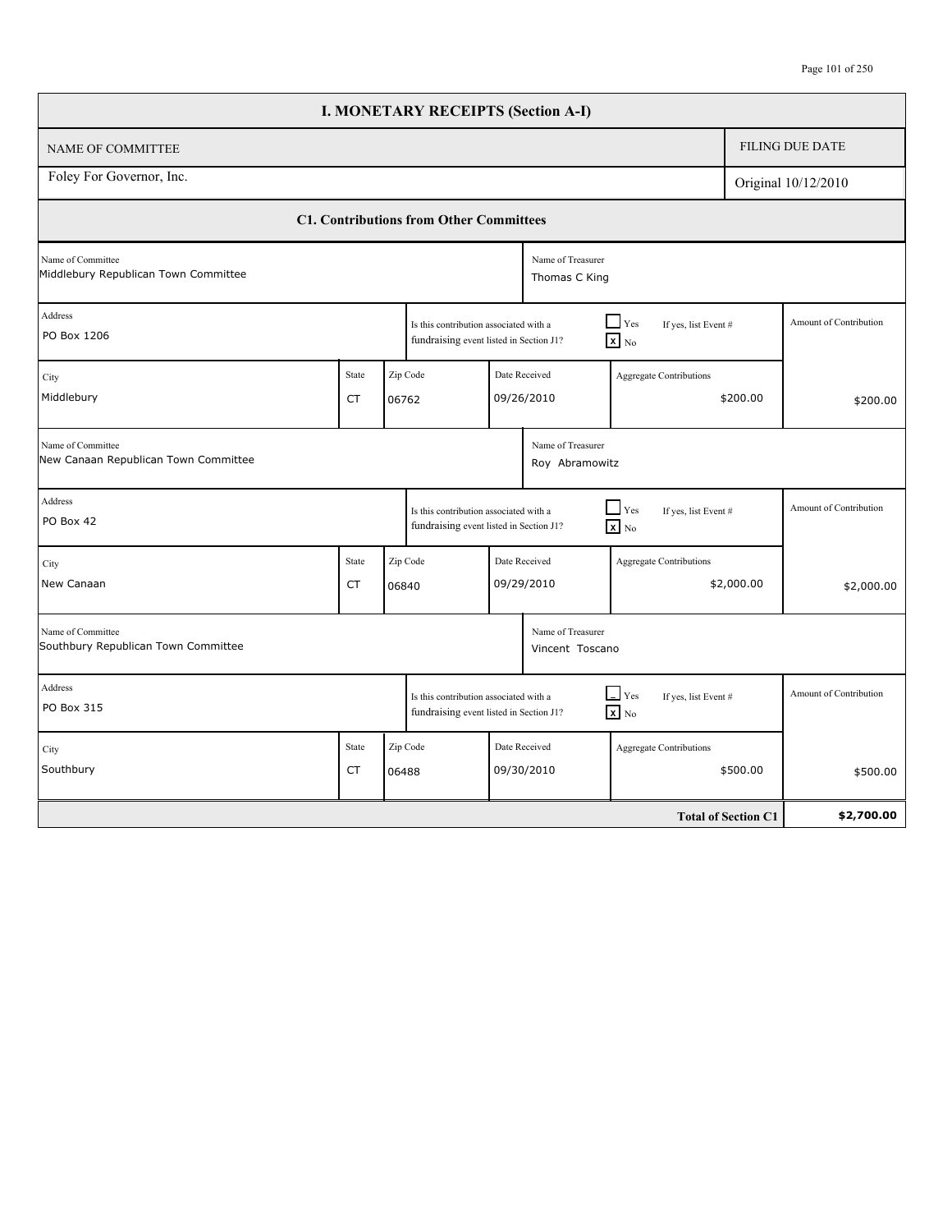## Page 101 of 250

|                                                           |                    |                   | <b>I. MONETARY RECEIPTS (Section A-I)</b>                                         |                                      |                                                                  |                            |          |                        |
|-----------------------------------------------------------|--------------------|-------------------|-----------------------------------------------------------------------------------|--------------------------------------|------------------------------------------------------------------|----------------------------|----------|------------------------|
| NAME OF COMMITTEE                                         |                    |                   |                                                                                   |                                      |                                                                  |                            |          | <b>FILING DUE DATE</b> |
| Foley For Governor, Inc.                                  |                    |                   |                                                                                   |                                      |                                                                  |                            |          | Original 10/12/2010    |
|                                                           |                    |                   | <b>C1. Contributions from Other Committees</b>                                    |                                      |                                                                  |                            |          |                        |
| Name of Committee<br>Middlebury Republican Town Committee |                    |                   |                                                                                   | Name of Treasurer<br>Thomas C King   |                                                                  |                            |          |                        |
| Address<br>PO Box 1206                                    |                    |                   | Is this contribution associated with a<br>fundraising event listed in Section J1? |                                      | $\Box$ Yes<br>If yes, list Event #<br>$\overline{\mathbf{x}}$ No |                            |          | Amount of Contribution |
| City<br>Middlebury                                        | <b>State</b><br>CT | Zip Code<br>06762 |                                                                                   | Date Received<br>09/26/2010          | <b>Aggregate Contributions</b>                                   | \$200.00                   | \$200.00 |                        |
| Name of Committee<br>New Canaan Republican Town Committee |                    |                   |                                                                                   | Name of Treasurer<br>Roy Abramowitz  |                                                                  |                            |          |                        |
| Address<br>PO Box 42                                      |                    |                   | Is this contribution associated with a<br>fundraising event listed in Section J1? |                                      | $\Box$ Yes<br>If yes, list Event #<br>$x$ No                     |                            |          | Amount of Contribution |
| City<br>New Canaan                                        | <b>State</b><br>CT | Zip Code<br>06840 |                                                                                   | Date Received<br>09/29/2010          | Aggregate Contributions                                          | \$2,000.00                 |          | \$2,000.00             |
| Name of Committee<br>Southbury Republican Town Committee  |                    |                   |                                                                                   | Name of Treasurer<br>Vincent Toscano |                                                                  |                            |          |                        |
| Address<br>PO Box 315                                     |                    |                   | Is this contribution associated with a<br>fundraising event listed in Section J1? |                                      | $\Box$ Yes<br>If yes, list Event #<br>$\overline{\mathbf{x}}$ No |                            |          | Amount of Contribution |
| City<br>Southbury                                         | <b>State</b><br>CT | Zip Code<br>06488 |                                                                                   | Date Received<br>09/30/2010          | Aggregate Contributions                                          | \$500.00                   |          | \$500.00               |
|                                                           |                    |                   |                                                                                   |                                      |                                                                  | <b>Total of Section C1</b> |          | \$2,700.00             |

Г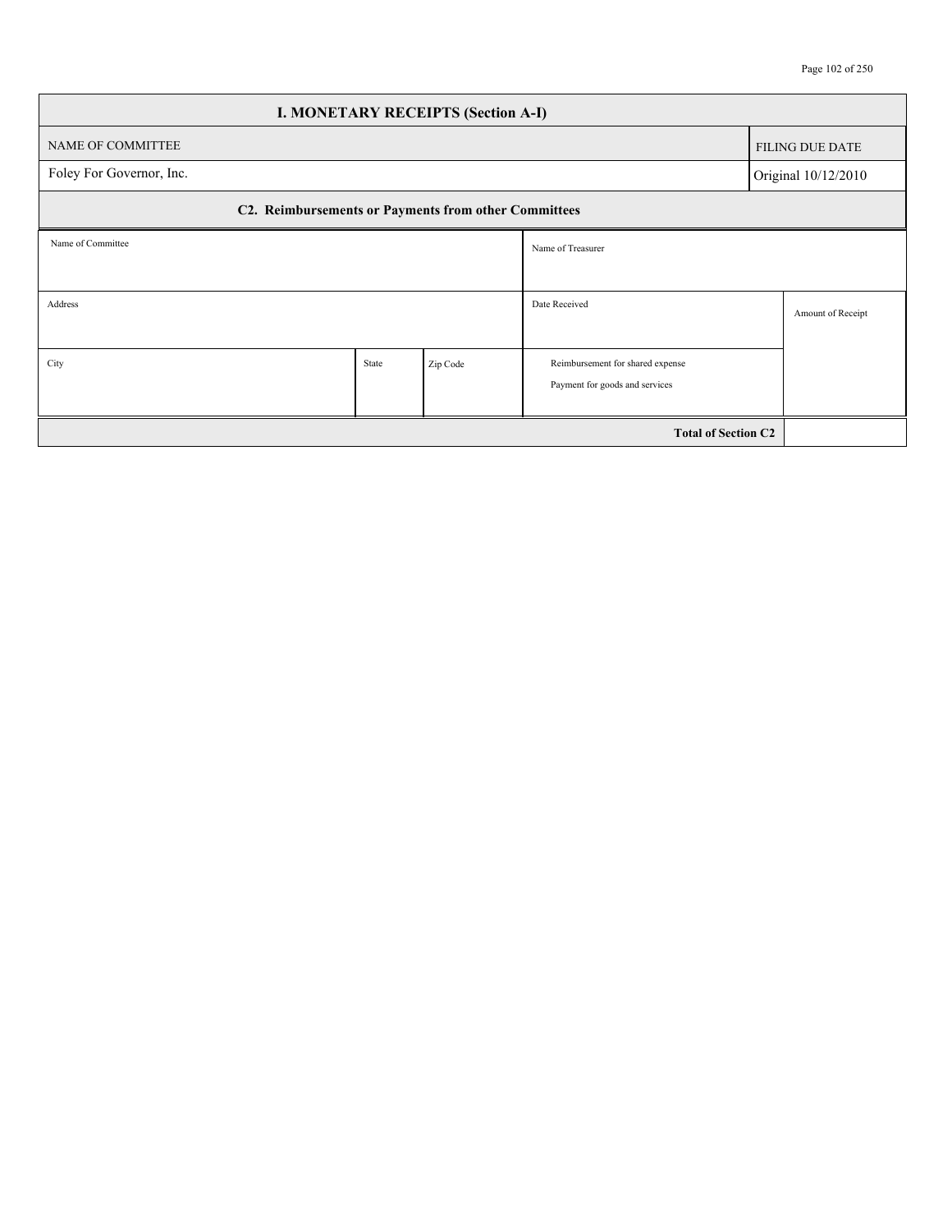| <b>I. MONETARY RECEIPTS (Section A-I)</b>            |       |          |                                  |                        |  |  |  |  |  |
|------------------------------------------------------|-------|----------|----------------------------------|------------------------|--|--|--|--|--|
| NAME OF COMMITTEE                                    |       |          |                                  | <b>FILING DUE DATE</b> |  |  |  |  |  |
| Foley For Governor, Inc.<br>Original 10/12/2010      |       |          |                                  |                        |  |  |  |  |  |
| C2. Reimbursements or Payments from other Committees |       |          |                                  |                        |  |  |  |  |  |
| Name of Committee                                    |       |          | Name of Treasurer                |                        |  |  |  |  |  |
|                                                      |       |          |                                  |                        |  |  |  |  |  |
| Address                                              |       |          | Date Received                    | Amount of Receipt      |  |  |  |  |  |
|                                                      |       |          |                                  |                        |  |  |  |  |  |
| City                                                 | State | Zip Code | Reimbursement for shared expense |                        |  |  |  |  |  |
|                                                      |       |          | Payment for goods and services   |                        |  |  |  |  |  |
|                                                      |       |          | <b>Total of Section C2</b>       |                        |  |  |  |  |  |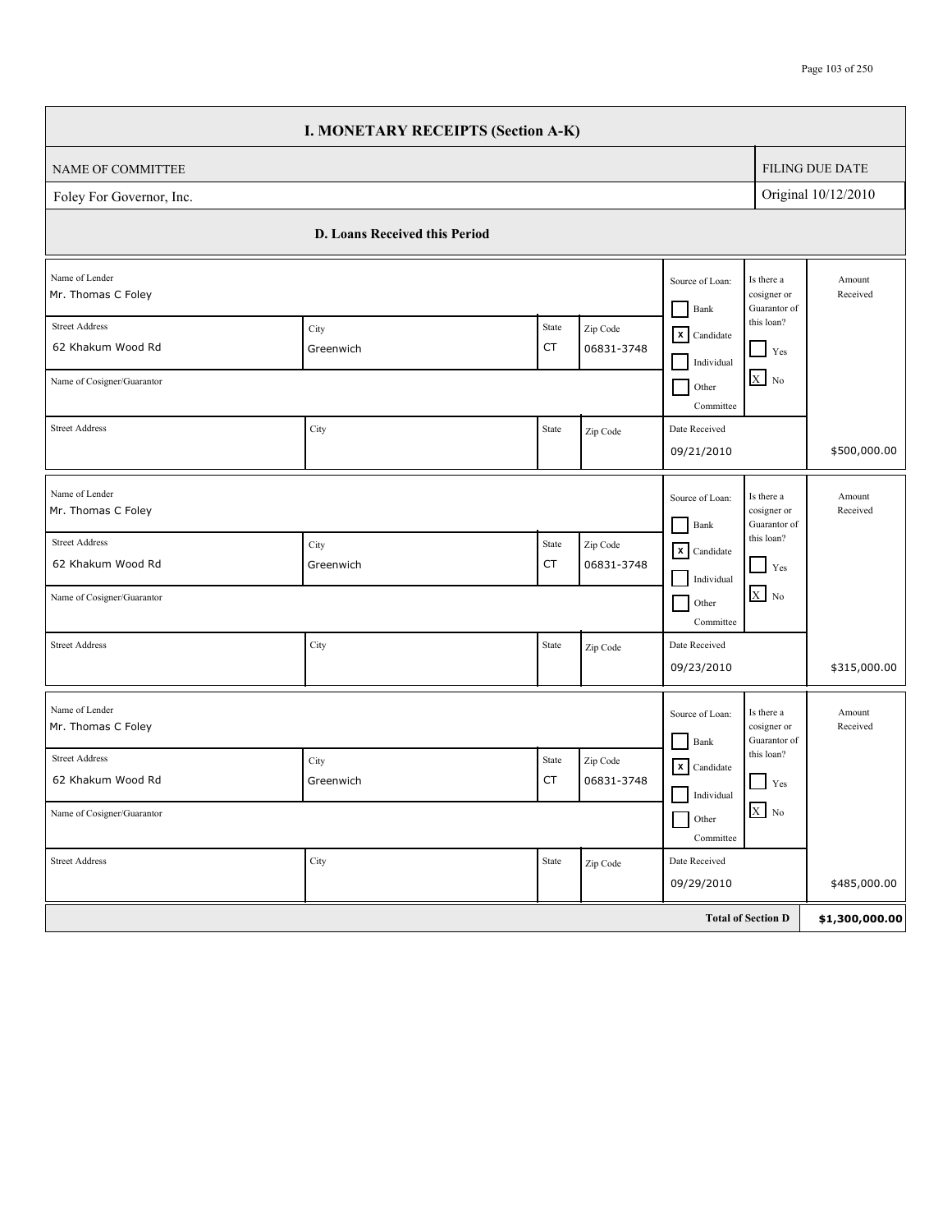## Page 103 of 250

|                                            | <b>I. MONETARY RECEIPTS (Section A-K)</b> |                                                                                                                                                                                                                                                                                                                                                                                                                                                                                                                                                                                                                                                       |                        |                                      |                                           |                        |
|--------------------------------------------|-------------------------------------------|-------------------------------------------------------------------------------------------------------------------------------------------------------------------------------------------------------------------------------------------------------------------------------------------------------------------------------------------------------------------------------------------------------------------------------------------------------------------------------------------------------------------------------------------------------------------------------------------------------------------------------------------------------|------------------------|--------------------------------------|-------------------------------------------|------------------------|
| NAME OF COMMITTEE                          |                                           |                                                                                                                                                                                                                                                                                                                                                                                                                                                                                                                                                                                                                                                       |                        |                                      |                                           | <b>FILING DUE DATE</b> |
| Foley For Governor, Inc.                   |                                           |                                                                                                                                                                                                                                                                                                                                                                                                                                                                                                                                                                                                                                                       |                        |                                      |                                           | Original 10/12/2010    |
|                                            | D. Loans Received this Period             |                                                                                                                                                                                                                                                                                                                                                                                                                                                                                                                                                                                                                                                       |                        |                                      |                                           |                        |
| Name of Lender<br>Mr. Thomas C Foley       |                                           |                                                                                                                                                                                                                                                                                                                                                                                                                                                                                                                                                                                                                                                       |                        | Source of Loan:<br>Bank              | Is there a<br>cosigner or<br>Guarantor of | Amount<br>Received     |
| <b>Street Address</b><br>62 Khakum Wood Rd | City<br>Greenwich                         | State<br>CT                                                                                                                                                                                                                                                                                                                                                                                                                                                                                                                                                                                                                                           | Zip Code<br>06831-3748 | $\mathsf{X}$ Candidate<br>Individual | this loan?<br>$Y$ es                      |                        |
| Name of Cosigner/Guarantor                 |                                           |                                                                                                                                                                                                                                                                                                                                                                                                                                                                                                                                                                                                                                                       |                        | Other<br>Committee                   | $X$ No                                    |                        |
| <b>Street Address</b>                      | City                                      | State                                                                                                                                                                                                                                                                                                                                                                                                                                                                                                                                                                                                                                                 | Zip Code               | Date Received<br>09/21/2010          |                                           | \$500,000.00           |
| Name of Lender<br>Mr. Thomas C Foley       |                                           |                                                                                                                                                                                                                                                                                                                                                                                                                                                                                                                                                                                                                                                       |                        | Source of Loan:<br>Bank              | Is there a<br>cosigner or<br>Guarantor of | Amount<br>Received     |
| <b>Street Address</b><br>62 Khakum Wood Rd | City<br>Greenwich                         | State<br>CT                                                                                                                                                                                                                                                                                                                                                                                                                                                                                                                                                                                                                                           | Zip Code<br>06831-3748 | $\mathsf{X}$ Candidate<br>Individual | this loan?<br>Yes                         |                        |
| Name of Cosigner/Guarantor                 |                                           |                                                                                                                                                                                                                                                                                                                                                                                                                                                                                                                                                                                                                                                       |                        | Other<br>Committee                   | $X$ No                                    |                        |
| <b>Street Address</b>                      | City                                      | $\operatorname*{State}% \left( X\right) \equiv\operatorname*{State}% \left( X\right) \equiv\operatorname*{State}% \left( X\right) \equiv\operatorname*{State}\left( X\right) \equiv\operatorname*{State}% \left( X\right) \equiv\operatorname*{State}\left( X\right) \equiv\operatorname*{State}% \left( X\right) \equiv\operatorname*{State}\left( X\right) \equiv\operatorname*{State}% \left( X\right) \equiv\operatorname*{State}\left( X\right) \equiv\operatorname*{State}% \left( X\right) \equiv\operatorname*{State}\left( X\right) \equiv\operatorname*{State}% \left( X\right) \equiv\operatorname*{State}\left( X\right) \equiv\operator$ | Zip Code               | Date Received<br>09/23/2010          |                                           | \$315,000.00           |
| Name of Lender<br>Mr. Thomas C Foley       |                                           |                                                                                                                                                                                                                                                                                                                                                                                                                                                                                                                                                                                                                                                       |                        | Source of Loan:<br>Bank              | Is there a<br>cosigner or<br>Guarantor of | Amount<br>Received     |
| <b>Street Address</b>                      | City                                      | State                                                                                                                                                                                                                                                                                                                                                                                                                                                                                                                                                                                                                                                 | Zip Code               | $\mathsf{X}$ Candidate               | this loan?                                |                        |
| 62 Khakum Wood Rd                          | Greenwich                                 | CT                                                                                                                                                                                                                                                                                                                                                                                                                                                                                                                                                                                                                                                    | 06831-3748             | Individual                           | Yes                                       |                        |
| Name of Cosigner/Guarantor                 |                                           |                                                                                                                                                                                                                                                                                                                                                                                                                                                                                                                                                                                                                                                       |                        | Other<br>Committee                   | $X$ No                                    |                        |
| <b>Street Address</b>                      | City                                      | State                                                                                                                                                                                                                                                                                                                                                                                                                                                                                                                                                                                                                                                 | Zip Code               | Date Received<br>09/29/2010          |                                           | \$485,000.00           |
|                                            |                                           |                                                                                                                                                                                                                                                                                                                                                                                                                                                                                                                                                                                                                                                       |                        |                                      |                                           |                        |
|                                            |                                           |                                                                                                                                                                                                                                                                                                                                                                                                                                                                                                                                                                                                                                                       |                        |                                      | <b>Total of Section D</b>                 | \$1,300,000.00         |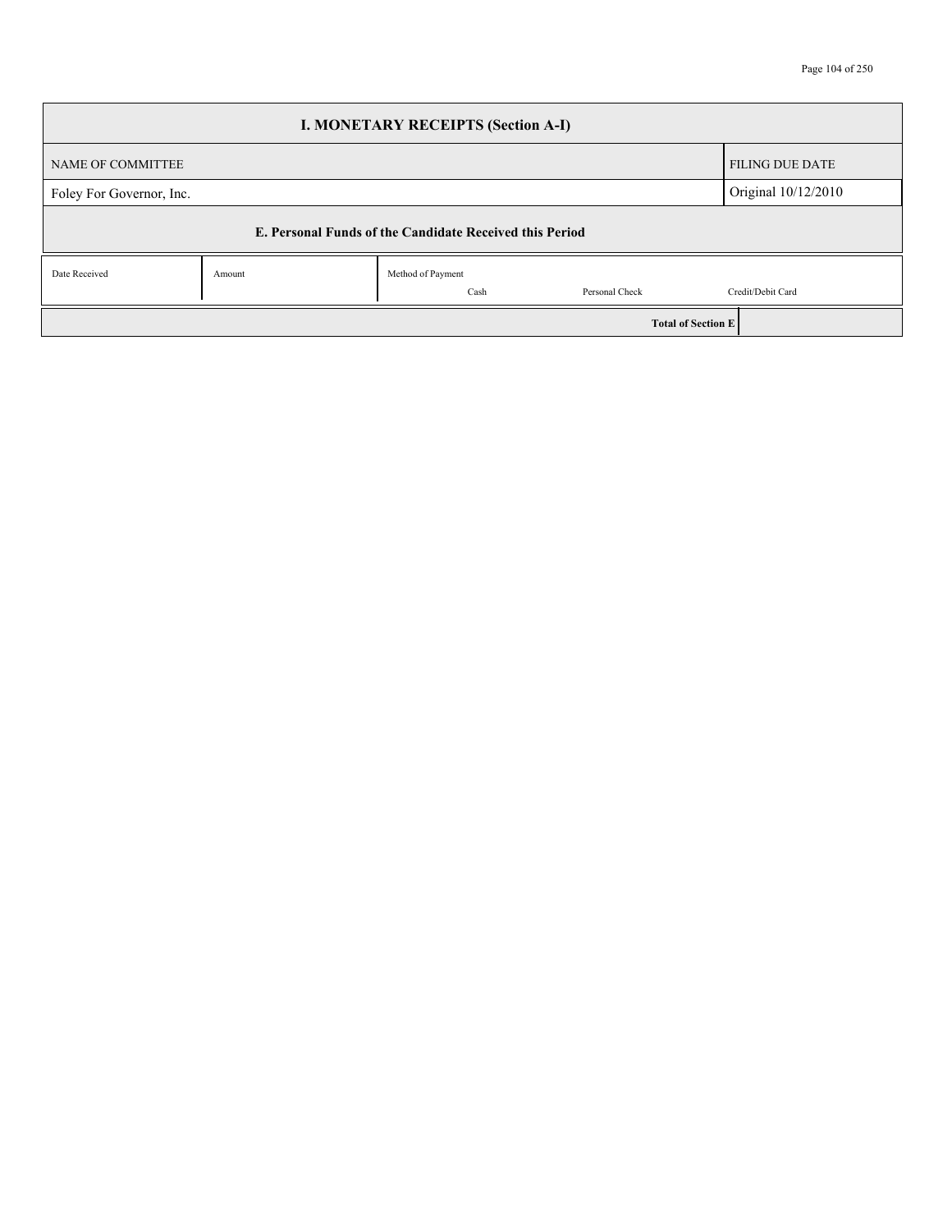|                          |        | <b>I. MONETARY RECEIPTS (Section A-I)</b>               |                |                           |
|--------------------------|--------|---------------------------------------------------------|----------------|---------------------------|
| NAME OF COMMITTEE        |        |                                                         |                | <b>FILING DUE DATE</b>    |
| Foley For Governor, Inc. |        |                                                         |                | Original 10/12/2010       |
|                          |        | E. Personal Funds of the Candidate Received this Period |                |                           |
| Date Received            | Amount | Method of Payment                                       |                |                           |
|                          |        | Cash                                                    | Personal Check | Credit/Debit Card         |
|                          |        |                                                         |                | <b>Total of Section E</b> |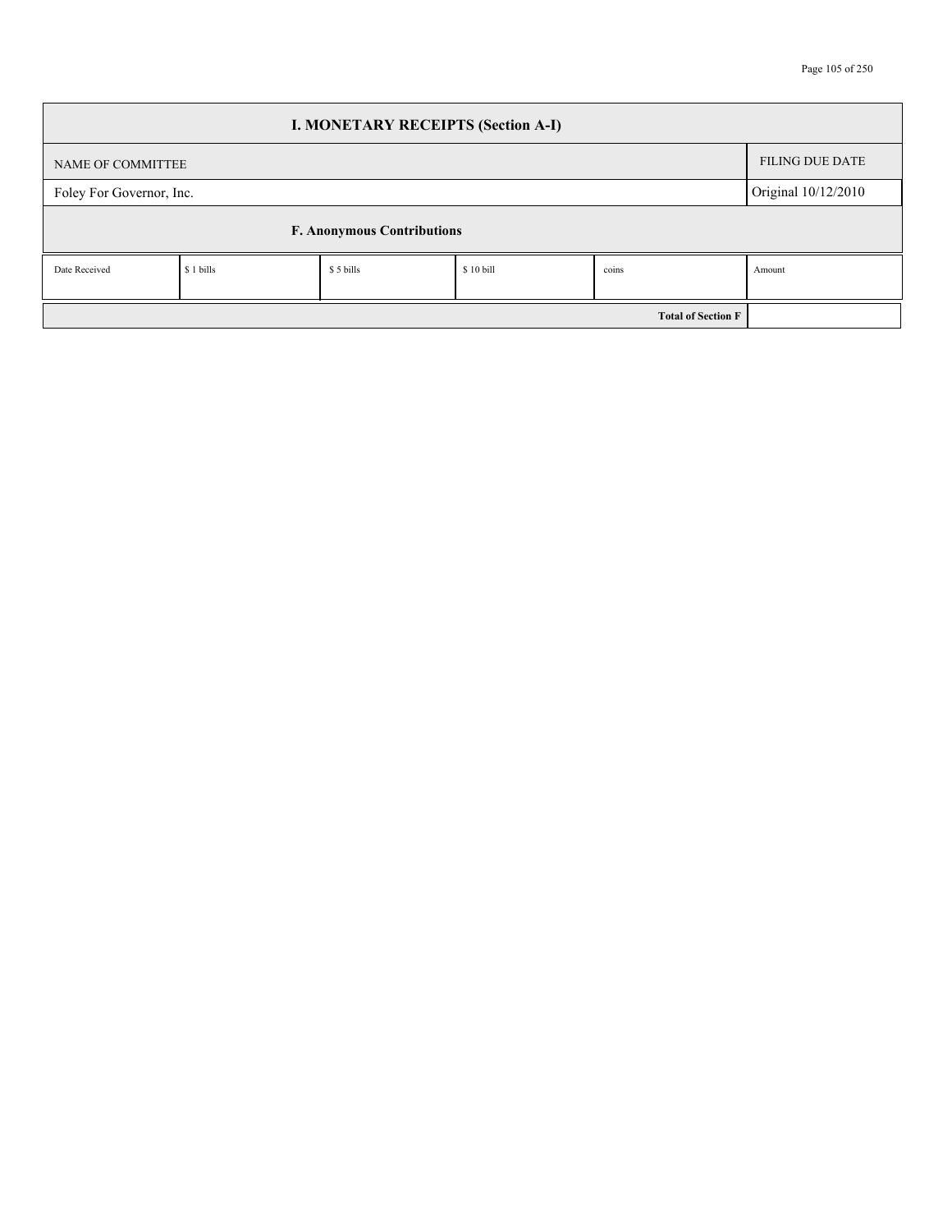| <b>I. MONETARY RECEIPTS (Section A-I)</b> |                                   |           |           |                           |                        |  |  |  |  |  |
|-------------------------------------------|-----------------------------------|-----------|-----------|---------------------------|------------------------|--|--|--|--|--|
| NAME OF COMMITTEE                         |                                   |           |           |                           | <b>FILING DUE DATE</b> |  |  |  |  |  |
| Foley For Governor, Inc.                  |                                   |           |           |                           | Original 10/12/2010    |  |  |  |  |  |
|                                           | <b>F. Anonymous Contributions</b> |           |           |                           |                        |  |  |  |  |  |
| Date Received                             | \$ 1 bills                        | \$5 bills | \$10 bill | coins                     | Amount                 |  |  |  |  |  |
|                                           |                                   |           |           | <b>Total of Section F</b> |                        |  |  |  |  |  |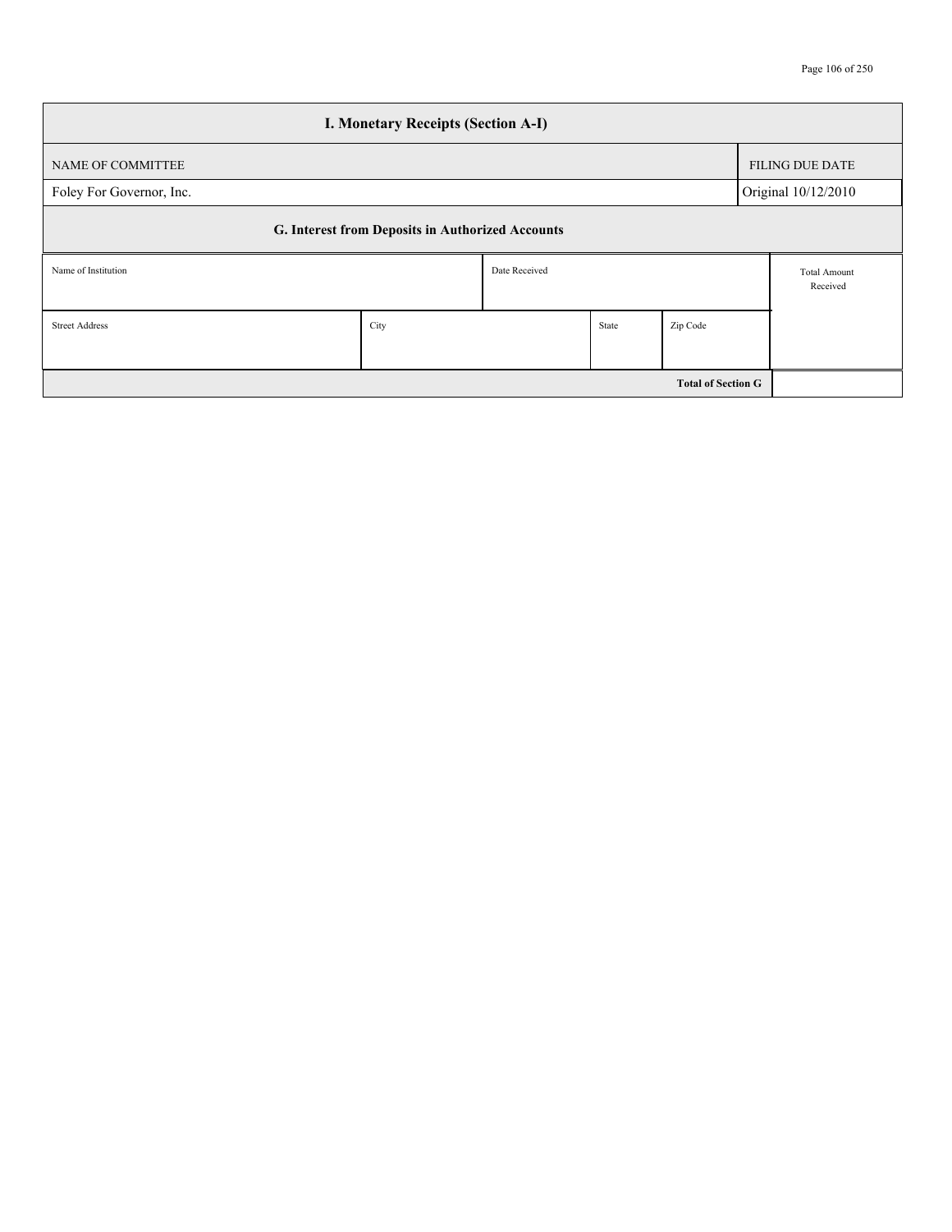| <b>I. Monetary Receipts (Section A-I)</b>        |               |  |       |                           |                                 |                        |  |  |  |
|--------------------------------------------------|---------------|--|-------|---------------------------|---------------------------------|------------------------|--|--|--|
| NAME OF COMMITTEE                                |               |  |       |                           |                                 | <b>FILING DUE DATE</b> |  |  |  |
| Foley For Governor, Inc.                         |               |  |       |                           |                                 | Original 10/12/2010    |  |  |  |
| G. Interest from Deposits in Authorized Accounts |               |  |       |                           |                                 |                        |  |  |  |
| Name of Institution                              | Date Received |  |       |                           | <b>Total Amount</b><br>Received |                        |  |  |  |
| <b>Street Address</b>                            | City          |  | State | Zip Code                  |                                 |                        |  |  |  |
|                                                  |               |  |       | <b>Total of Section G</b> |                                 |                        |  |  |  |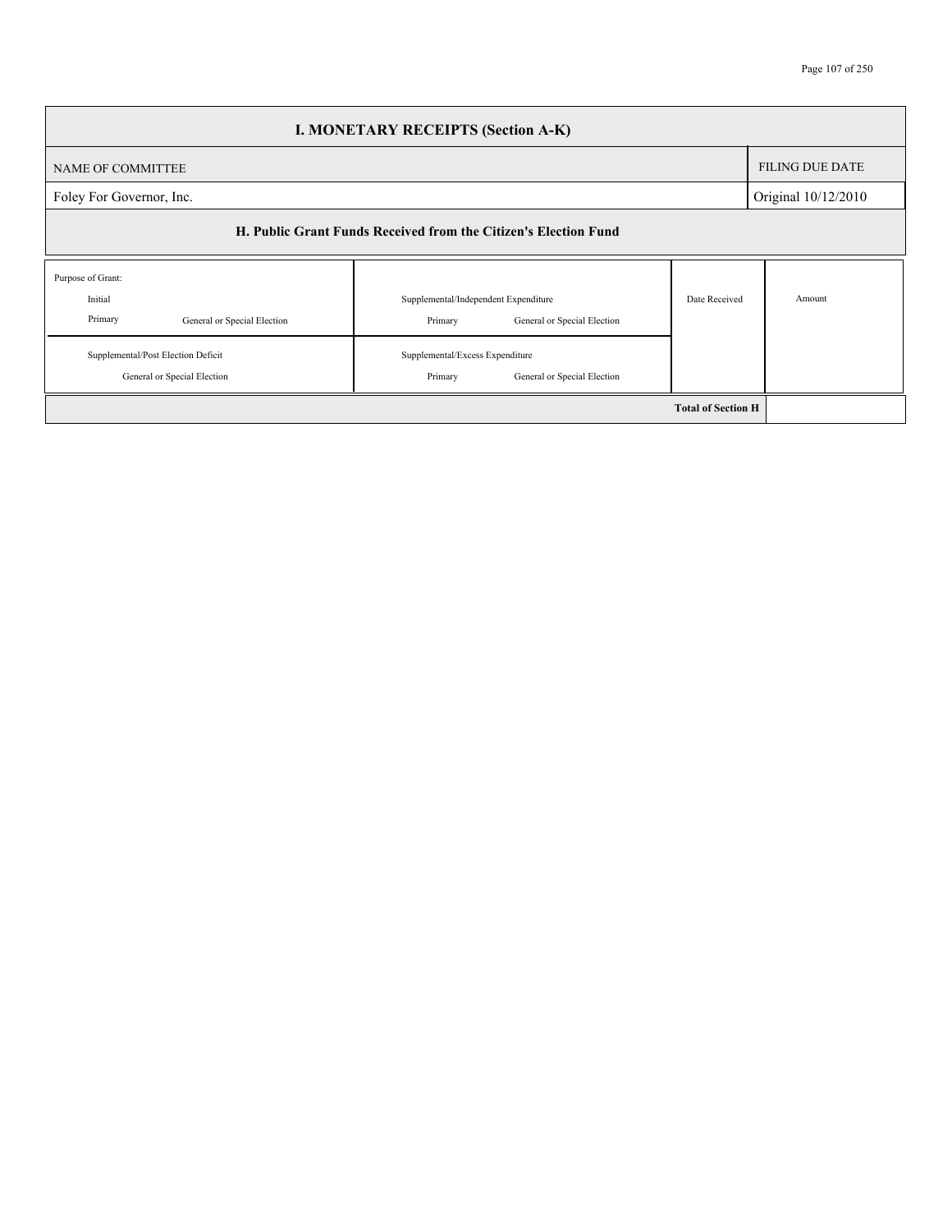| <b>I. MONETARY RECEIPTS (Section A-K)</b>                              |                                                                                |                           |                        |  |  |  |
|------------------------------------------------------------------------|--------------------------------------------------------------------------------|---------------------------|------------------------|--|--|--|
| NAME OF COMMITTEE                                                      |                                                                                |                           | <b>FILING DUE DATE</b> |  |  |  |
| Foley For Governor, Inc.                                               | Original 10/12/2010                                                            |                           |                        |  |  |  |
| H. Public Grant Funds Received from the Citizen's Election Fund        |                                                                                |                           |                        |  |  |  |
| Purpose of Grant:<br>Initial<br>Primary<br>General or Special Election | Supplemental/Independent Expenditure<br>Primary<br>General or Special Election | Date Received             | Amount                 |  |  |  |
| Supplemental/Post Election Deficit<br>General or Special Election      | Supplemental/Excess Expenditure<br>Primary<br>General or Special Election      |                           |                        |  |  |  |
|                                                                        |                                                                                | <b>Total of Section H</b> |                        |  |  |  |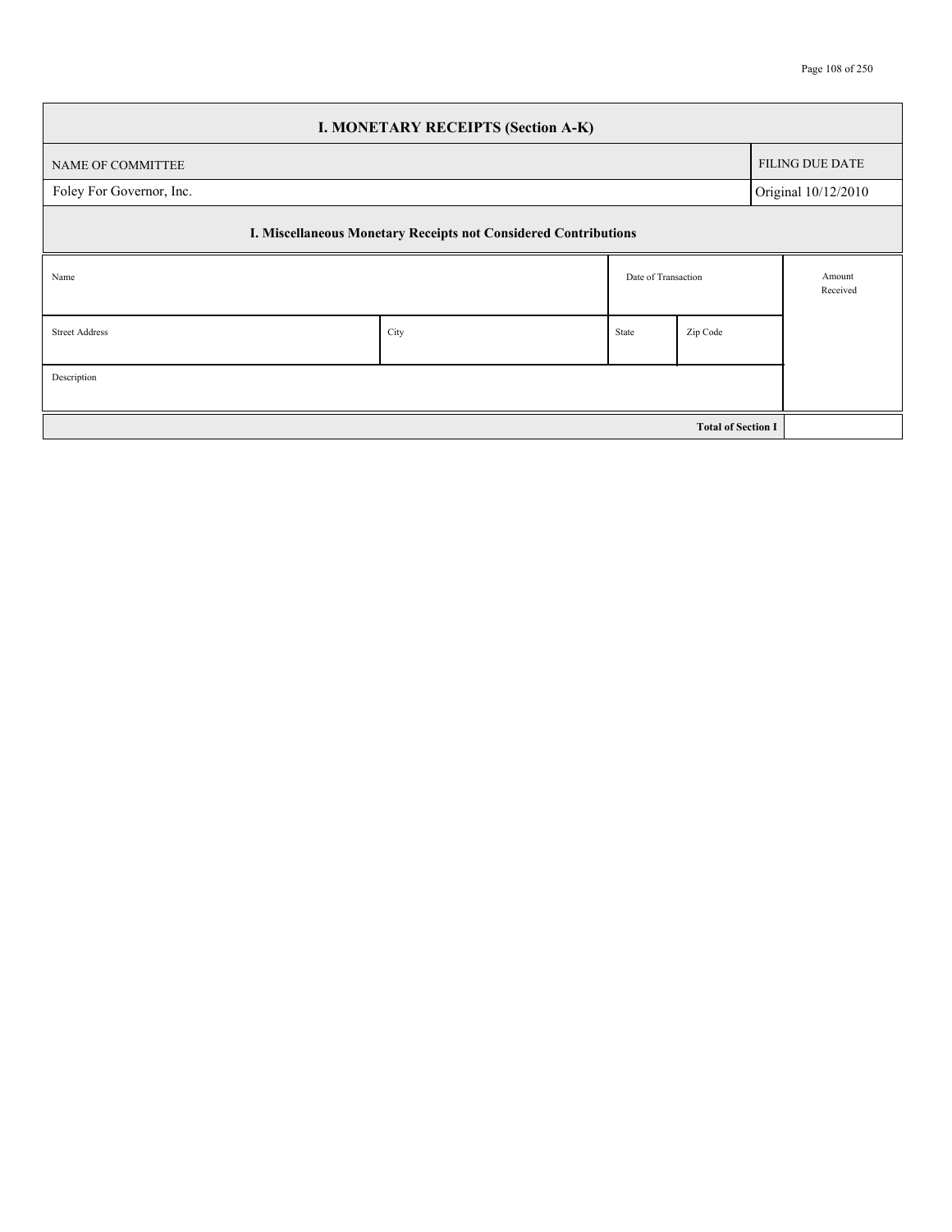| <b>I. MONETARY RECEIPTS (Section A-K)</b> |                                                                 |       |                           |                        |  |  |  |
|-------------------------------------------|-----------------------------------------------------------------|-------|---------------------------|------------------------|--|--|--|
| NAME OF COMMITTEE                         |                                                                 |       |                           | <b>FILING DUE DATE</b> |  |  |  |
| Foley For Governor, Inc.                  |                                                                 |       |                           | Original 10/12/2010    |  |  |  |
|                                           | I. Miscellaneous Monetary Receipts not Considered Contributions |       |                           |                        |  |  |  |
| Name                                      |                                                                 |       | Date of Transaction       | Amount<br>Received     |  |  |  |
| <b>Street Address</b>                     | City                                                            | State | Zip Code                  |                        |  |  |  |
| Description                               |                                                                 |       |                           |                        |  |  |  |
|                                           |                                                                 |       | <b>Total of Section I</b> |                        |  |  |  |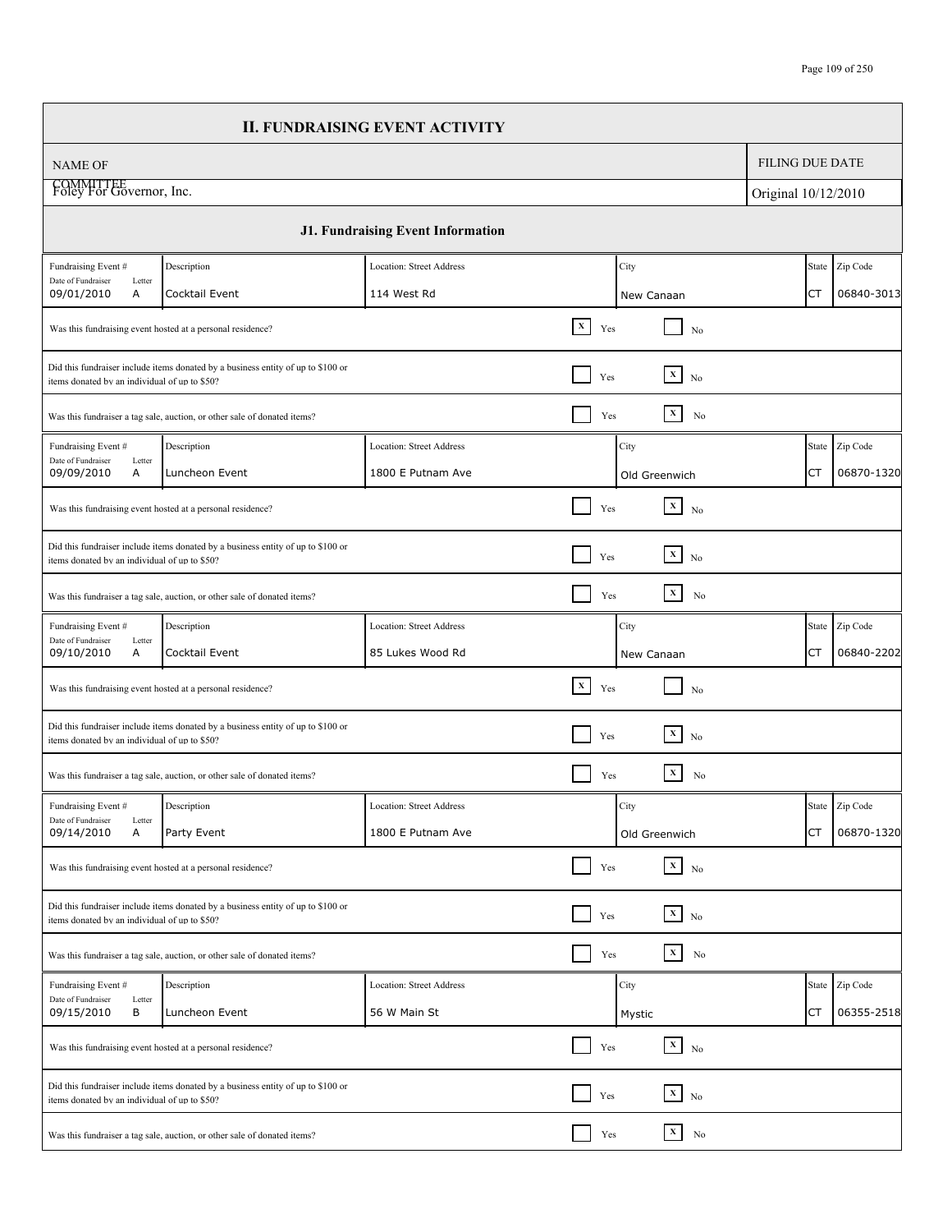|                                                     |                                                                                  | <b>II. FUNDRAISING EVENT ACTIVITY</b>    |                       |                                  |                        |                |
|-----------------------------------------------------|----------------------------------------------------------------------------------|------------------------------------------|-----------------------|----------------------------------|------------------------|----------------|
| <b>NAME OF</b>                                      |                                                                                  |                                          |                       |                                  | <b>FILING DUE DATE</b> |                |
| COMMITTEE<br>Foley For Governor, Inc.               |                                                                                  |                                          |                       |                                  | Original 10/12/2010    |                |
|                                                     |                                                                                  | <b>J1. Fundraising Event Information</b> |                       |                                  |                        |                |
| Fundraising Event #                                 | Description                                                                      | <b>Location: Street Address</b>          |                       | City                             | State                  | Zip Code       |
| Date of Fundraiser<br>Letter<br>09/01/2010<br>Α     | Cocktail Event                                                                   | 114 West Rd                              |                       | New Canaan                       | CT                     | 06840-3013     |
|                                                     | Was this fundraising event hosted at a personal residence?                       |                                          | $\mathbf{x}$<br>Yes   | No                               |                        |                |
| items donated by an individual of up to \$50?       | Did this fundraiser include items donated by a business entity of up to \$100 or |                                          | Yes                   | $\overline{\mathbf{x}}$ No       |                        |                |
|                                                     | Was this fundraiser a tag sale, auction, or other sale of donated items?         |                                          | Yes                   | $\mathbf{x}$<br>No               |                        |                |
| Fundraising Event #<br>Date of Fundraiser           | Description                                                                      | Location: Street Address                 |                       | City                             | State                  | Zip Code       |
| Letter<br>09/09/2010<br>A                           | Luncheon Event                                                                   | 1800 E Putnam Ave                        |                       | Old Greenwich                    | CT                     | 06870-1320     |
|                                                     | Was this fundraising event hosted at a personal residence?                       |                                          | Yes                   | $\mathbf{X}^-$<br>N <sub>0</sub> |                        |                |
| items donated by an individual of up to \$50?       | Did this fundraiser include items donated by a business entity of up to \$100 or |                                          | Yes                   | $\vert x \vert$<br>No            |                        |                |
|                                                     | Was this fundraiser a tag sale, auction, or other sale of donated items?         |                                          | Yes                   | $\mathbf{x}$<br>No               |                        |                |
| Fundraising Event #                                 | Description<br>Location: Street Address                                          |                                          |                       | City                             | State                  | Zip Code       |
| Date of Fundraiser<br>Letter<br>A<br>09/10/2010     | Cocktail Event                                                                   | 85 Lukes Wood Rd                         |                       | New Canaan                       | СT                     | 06840-2202     |
|                                                     | Was this fundraising event hosted at a personal residence?                       |                                          | $\mathbf x$<br>Yes    | No                               |                        |                |
| items donated by an individual of up to \$50?       | Did this fundraiser include items donated by a business entity of up to \$100 or |                                          | Yes                   | $\overline{\mathbf{x}}$ No       |                        |                |
|                                                     | Was this fundraiser a tag sale, auction, or other sale of donated items?         |                                          | Yes                   | $\mathbf x$<br>No                |                        |                |
| Fundraising Event #<br>Date of Fundraiser<br>Letter | Description                                                                      | Location: Street Address                 |                       | City                             |                        | State Zip Code |
| 09/14/2010<br>Α                                     | Party Event                                                                      | 1800 E Putnam Ave                        |                       | Old Greenwich                    | CT                     | 06870-1320     |
|                                                     | Was this fundraising event hosted at a personal residence?                       |                                          | $\blacksquare$<br>Yes | $\overline{X}$ No                |                        |                |
| items donated by an individual of up to \$50?       | Did this fundraiser include items donated by a business entity of up to \$100 or |                                          | Yes                   | $\boxed{\mathbf{x}}$ No          |                        |                |
|                                                     | Was this fundraiser a tag sale, auction, or other sale of donated items?         |                                          | Yes                   | $\mathbf{X}_\parallel$<br>No     |                        |                |
| Fundraising Event #                                 | Description                                                                      | Location: Street Address                 |                       | City                             | State                  | Zip Code       |
| Date of Fundraiser<br>Letter<br>09/15/2010<br>В     | Luncheon Event                                                                   | 56 W Main St                             |                       | Mystic                           | СT                     | 06355-2518     |
|                                                     | Was this fundraising event hosted at a personal residence?                       |                                          | Yes                   | $\mathbf{x}$<br>N <sub>0</sub>   |                        |                |
| items donated by an individual of up to \$50?       | Did this fundraiser include items donated by a business entity of up to \$100 or |                                          | Yes                   | $\overline{\mathbf{x}}$ No       |                        |                |
|                                                     | Was this fundraiser a tag sale, auction, or other sale of donated items?         |                                          | Yes                   | $\mathbf x$<br>No                |                        |                |
|                                                     |                                                                                  |                                          |                       |                                  |                        |                |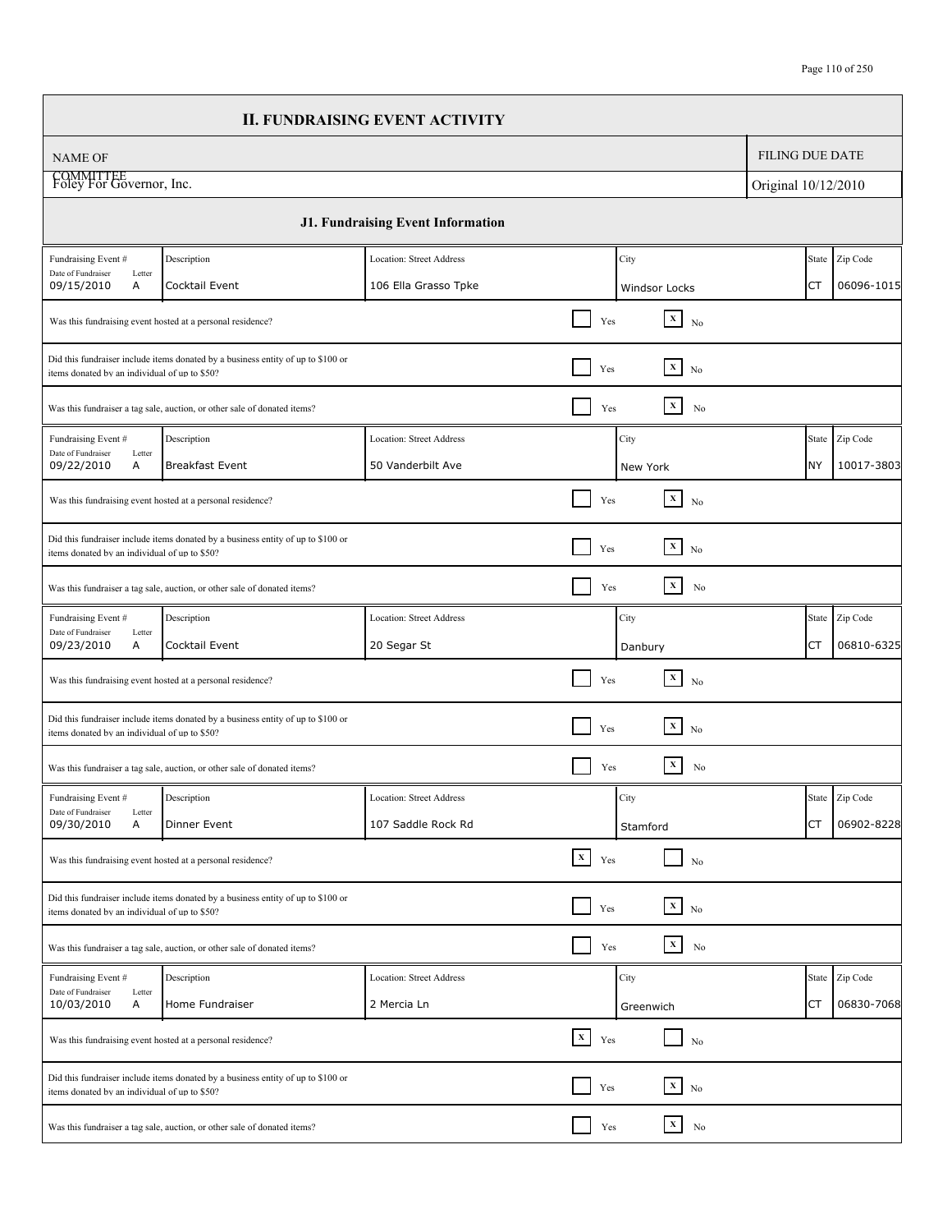| <b>FILING DUE DATE</b><br><b>NAME OF</b><br>COMMITTEE<br>Foley For Governor, Inc.<br>Original 10/12/2010                                                                   |            |
|----------------------------------------------------------------------------------------------------------------------------------------------------------------------------|------------|
|                                                                                                                                                                            |            |
|                                                                                                                                                                            |            |
| <b>J1. Fundraising Event Information</b>                                                                                                                                   |            |
| Fundraising Event #<br>State Zip Code<br>Description<br><b>Location: Street Address</b><br>City<br>Date of Fundraiser                                                      |            |
| Letter<br>09/15/2010<br>Α<br>Cocktail Event<br>106 Ella Grasso Tpke<br>СT<br>Windsor Locks                                                                                 | 06096-1015 |
| $\mathbf{X}^-$<br>Yes<br>Was this fundraising event hosted at a personal residence?<br>No                                                                                  |            |
| Did this fundraiser include items donated by a business entity of up to \$100 or<br>$\mathbf x$<br>Yes<br>No<br>items donated by an individual of up to \$50?              |            |
| $\mathbf{x}$<br>Yes<br>No<br>Was this fundraiser a tag sale, auction, or other sale of donated items?                                                                      |            |
| City<br>Fundraising Event #<br>Description<br>Location: Street Address<br>State                                                                                            | Zip Code   |
| Date of Fundraiser<br>Letter<br>09/22/2010<br>Α<br><b>Breakfast Event</b><br>50 Vanderbilt Ave<br>NY<br>New York                                                           | 10017-3803 |
| $\mathbf{x}$<br>Yes<br>Was this fundraising event hosted at a personal residence?<br>No                                                                                    |            |
| Did this fundraiser include items donated by a business entity of up to \$100 or<br>$\boxed{\mathbf{x}}$ No<br>Yes<br>items donated by an individual of up to \$50?        |            |
| $\mathbf x$<br>No<br>Yes<br>Was this fundraiser a tag sale, auction, or other sale of donated items?                                                                       |            |
| City<br>Fundraising Event #<br>Description<br>Location: Street Address<br>State                                                                                            | Zip Code   |
| Date of Fundraiser<br>Letter<br>09/23/2010<br>Α<br>Cocktail Event<br>20 Segar St<br>CT<br>Danbury                                                                          | 06810-6325 |
| $\mathbf{x}$<br>Yes<br>Was this fundraising event hosted at a personal residence?<br>N <sub>0</sub>                                                                        |            |
| Did this fundraiser include items donated by a business entity of up to \$100 or<br>$\mathbf{X}$<br>N <sub>0</sub><br>Yes<br>items donated by an individual of up to \$50? |            |
| $\mathbf X$<br>Yes<br>No<br>Was this fundraiser a tag sale, auction, or other sale of donated items?                                                                       |            |
| City<br>State Zip Code<br>Fundraising Event #<br>Description<br>Location: Street Address                                                                                   |            |
| Date of Fundraiser<br>Letter<br>09/30/2010<br>Α<br>Dinner Event<br>107 Saddle Rock Rd<br>ICT<br>Stamford                                                                   | 06902-8228 |
| $\mathbf{X}^-$<br>Yes<br>Was this fundraising event hosted at a personal residence?<br>No                                                                                  |            |
| Did this fundraiser include items donated by a business entity of up to \$100 or<br>$\mathbf{x}$<br>Yes<br>N <sub>o</sub><br>items donated by an individual of up to \$50? |            |
| $\vert x \vert$<br>No<br>Yes<br>Was this fundraiser a tag sale, auction, or other sale of donated items?                                                                   |            |
| Fundraising Event #<br>State Zip Code<br>Description<br><b>Location: Street Address</b><br>City                                                                            |            |
| Date of Fundraiser<br>Letter<br>10/03/2010<br>Α<br>Home Fundraiser<br>2 Mercia Ln<br>СT<br>Greenwich                                                                       | 06830-7068 |
| $\boxed{\mathbf{x}}$<br>Yes<br>Was this fundraising event hosted at a personal residence?<br>No                                                                            |            |
| Did this fundraiser include items donated by a business entity of up to \$100 or<br>$\mathbf{x}$<br>Yes<br>No<br>items donated by an individual of up to \$50?             |            |
| $\mathbf{X}_\parallel$<br>Yes<br>No<br>Was this fundraiser a tag sale, auction, or other sale of donated items?                                                            |            |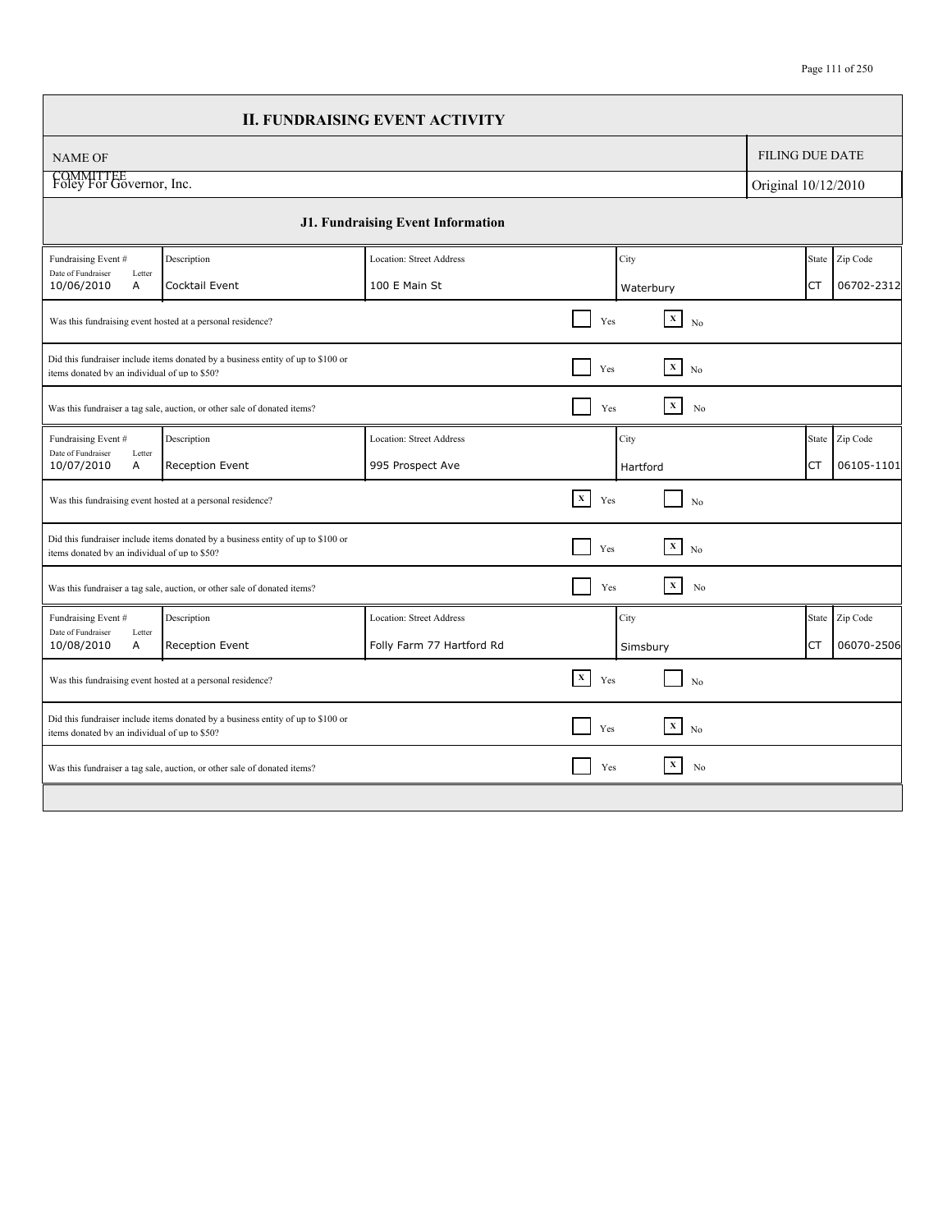|                                                 |                                                                                  | <b>II. FUNDRAISING EVENT ACTIVITY</b> |                     |           |                                |                        |       |            |
|-------------------------------------------------|----------------------------------------------------------------------------------|---------------------------------------|---------------------|-----------|--------------------------------|------------------------|-------|------------|
| <b>NAME OF</b>                                  |                                                                                  |                                       |                     |           |                                | <b>FILING DUE DATE</b> |       |            |
| COMMITTEE<br>Foley For Governor, Inc.           |                                                                                  |                                       |                     |           |                                | Original 10/12/2010    |       |            |
|                                                 |                                                                                  | J1. Fundraising Event Information     |                     |           |                                |                        |       |            |
| Fundraising Event #                             | Description                                                                      | Location: Street Address              |                     | City      |                                |                        | State | Zip Code   |
| Date of Fundraiser<br>Letter<br>10/06/2010<br>A | Cocktail Event                                                                   | 100 E Main St                         |                     | Waterbury |                                |                        | СT    | 06702-2312 |
|                                                 | Was this fundraising event hosted at a personal residence?                       |                                       | Yes                 |           | $\mathbf{X}$<br>N <sub>0</sub> |                        |       |            |
| items donated by an individual of up to \$50?   | Did this fundraiser include items donated by a business entity of up to \$100 or |                                       | Yes                 |           | $\boxed{\mathbf{x}}$ No        |                        |       |            |
|                                                 | Was this fundraiser a tag sale, auction, or other sale of donated items?         |                                       | Yes                 |           | $\mathbf x$<br>No              |                        |       |            |
| Fundraising Event #                             | Description                                                                      | <b>Location: Street Address</b>       |                     | City      |                                |                        | State | Zip Code   |
| Date of Fundraiser<br>Letter<br>10/07/2010<br>A | Reception Event                                                                  | 995 Prospect Ave                      |                     | Hartford  |                                |                        | CT    | 06105-1101 |
|                                                 | Was this fundraising event hosted at a personal residence?                       |                                       | $\mathbf{x}$<br>Yes |           | No                             |                        |       |            |
| items donated by an individual of up to \$50?   | Did this fundraiser include items donated by a business entity of up to \$100 or |                                       | Yes                 |           | $\mathbf{x}$<br>N <sub>0</sub> |                        |       |            |
|                                                 | Was this fundraiser a tag sale, auction, or other sale of donated items?         |                                       | Yes                 |           | $\mathbf{X}$<br>No             |                        |       |            |
| Fundraising Event #                             | Description                                                                      | <b>Location: Street Address</b>       |                     | City      |                                |                        | State | Zip Code   |
| Date of Fundraiser<br>Letter<br>10/08/2010<br>A | Reception Event                                                                  | Folly Farm 77 Hartford Rd             |                     | Simsbury  |                                |                        | CT    | 06070-2506 |
|                                                 | Was this fundraising event hosted at a personal residence?                       |                                       | $\mathbf{x}$<br>Yes |           | No                             |                        |       |            |
| items donated by an individual of up to \$50?   | Did this fundraiser include items donated by a business entity of up to \$100 or |                                       | Yes                 |           | $\mathbf{x}$<br>No             |                        |       |            |
|                                                 | Was this fundraiser a tag sale, auction, or other sale of donated items?         |                                       | Yes                 |           | $\mathbf{x}$<br>No             |                        |       |            |
|                                                 |                                                                                  |                                       |                     |           |                                |                        |       |            |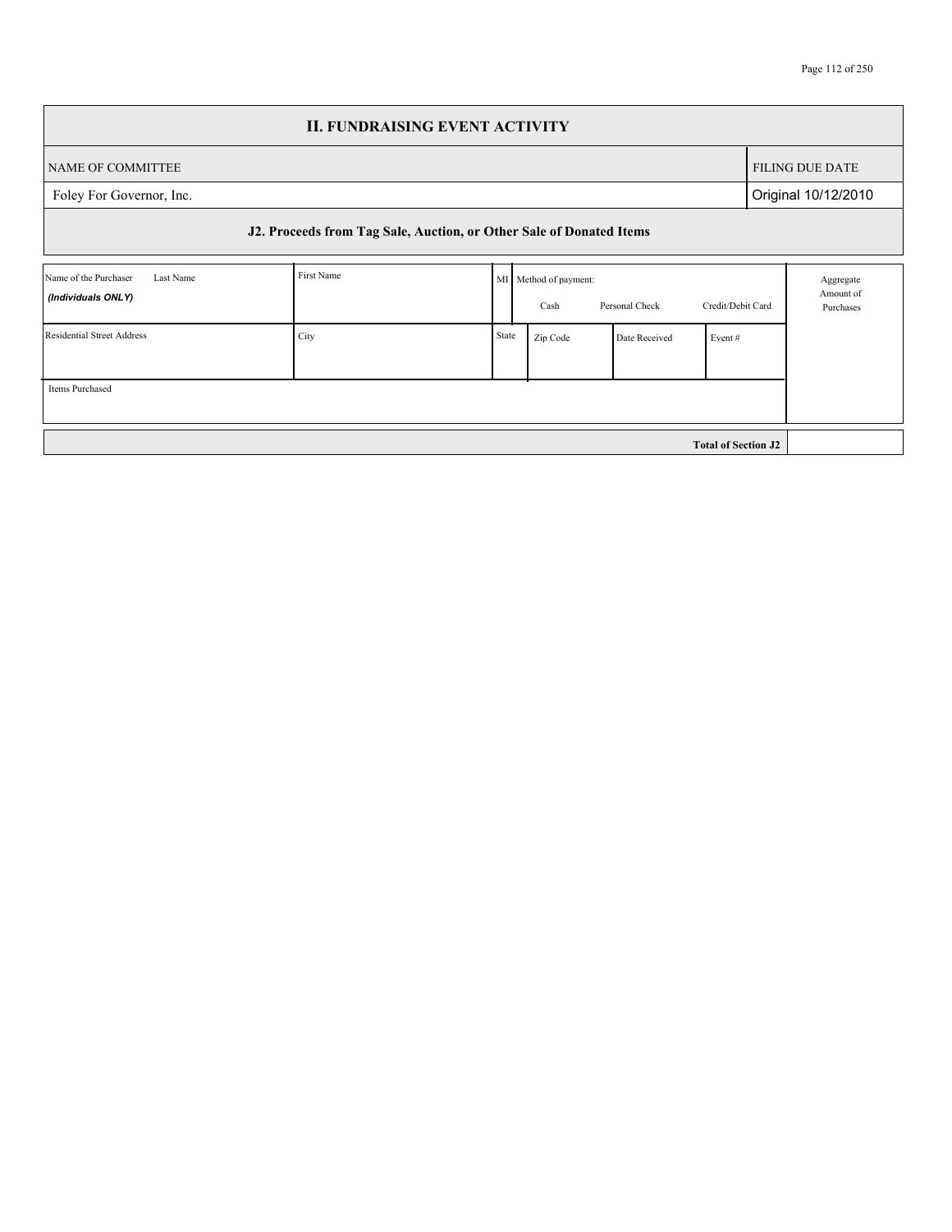|                                                          | <b>II. FUNDRAISING EVENT ACTIVITY</b>                               |       |                               |                                     |                            |                        |  |  |  |  |  |
|----------------------------------------------------------|---------------------------------------------------------------------|-------|-------------------------------|-------------------------------------|----------------------------|------------------------|--|--|--|--|--|
| NAME OF COMMITTEE                                        |                                                                     |       |                               |                                     |                            | <b>FILING DUE DATE</b> |  |  |  |  |  |
| Foley For Governor, Inc.                                 | Original 10/12/2010                                                 |       |                               |                                     |                            |                        |  |  |  |  |  |
|                                                          | J2. Proceeds from Tag Sale, Auction, or Other Sale of Donated Items |       |                               |                                     |                            |                        |  |  |  |  |  |
| Name of the Purchaser<br>Last Name<br>(Individuals ONLY) | First Name                                                          |       | MI Method of payment:<br>Cash | Aggregate<br>Amount of<br>Purchases |                            |                        |  |  |  |  |  |
| Residential Street Address                               | City                                                                | State | Zip Code                      | Date Received                       | Event#                     |                        |  |  |  |  |  |
| Items Purchased                                          |                                                                     |       |                               |                                     |                            |                        |  |  |  |  |  |
|                                                          |                                                                     |       |                               |                                     | <b>Total of Section J2</b> |                        |  |  |  |  |  |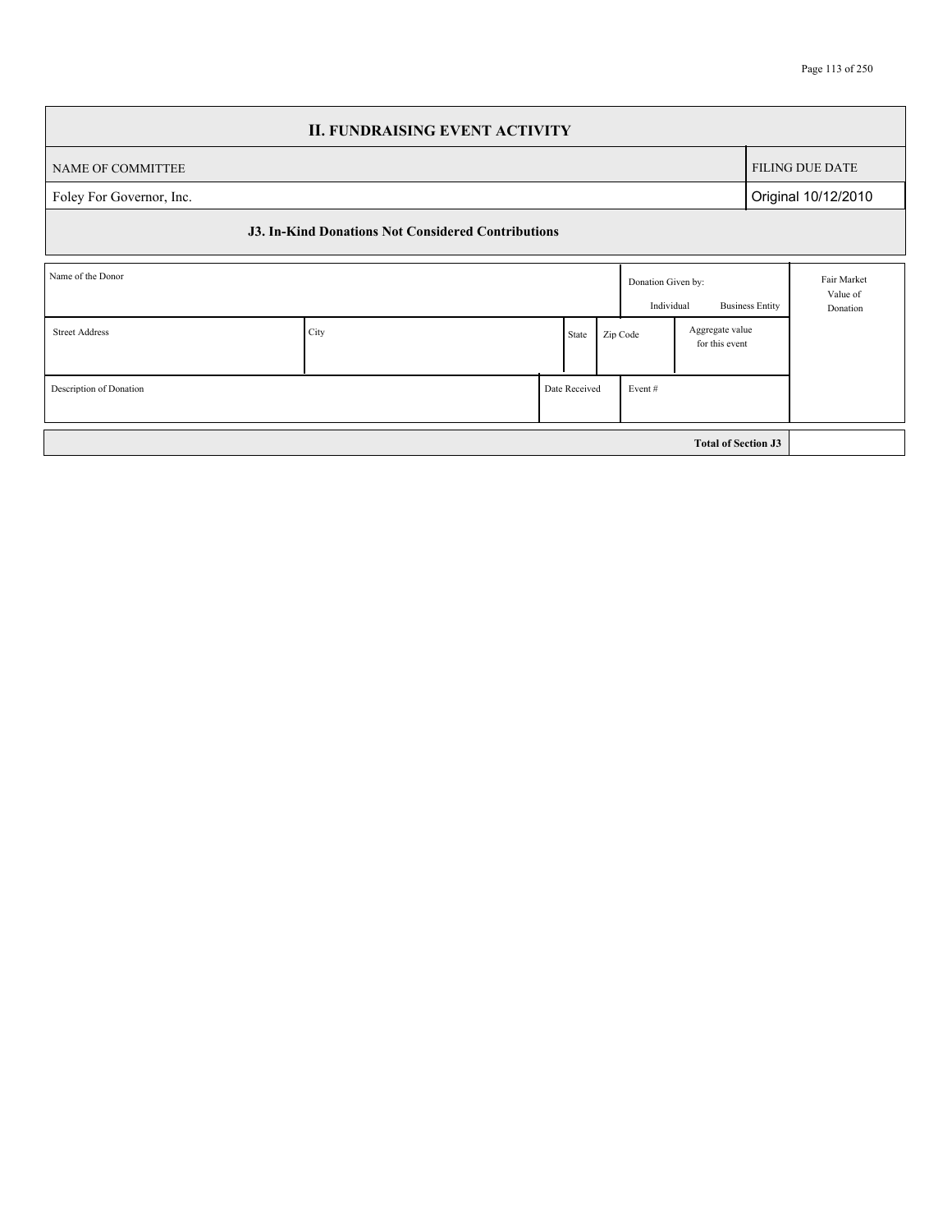|                          |      | <b>II. FUNDRAISING EVENT ACTIVITY</b>                     |               |       |          |                                  |                            |                 |                                     |  |
|--------------------------|------|-----------------------------------------------------------|---------------|-------|----------|----------------------------------|----------------------------|-----------------|-------------------------------------|--|
| NAME OF COMMITTEE        |      |                                                           |               |       |          |                                  |                            |                 | <b>FILING DUE DATE</b>              |  |
| Foley For Governor, Inc. |      |                                                           |               |       |          |                                  |                            |                 | Original 10/12/2010                 |  |
|                          |      | <b>J3. In-Kind Donations Not Considered Contributions</b> |               |       |          |                                  |                            |                 |                                     |  |
| Name of the Donor        |      |                                                           |               |       |          | Donation Given by:<br>Individual | <b>Business Entity</b>     |                 | Fair Market<br>Value of<br>Donation |  |
| <b>Street Address</b>    | City |                                                           |               | State | Zip Code |                                  | for this event             | Aggregate value |                                     |  |
| Description of Donation  |      |                                                           | Date Received |       |          | Event#                           |                            |                 |                                     |  |
|                          |      |                                                           |               |       |          |                                  | <b>Total of Section J3</b> |                 |                                     |  |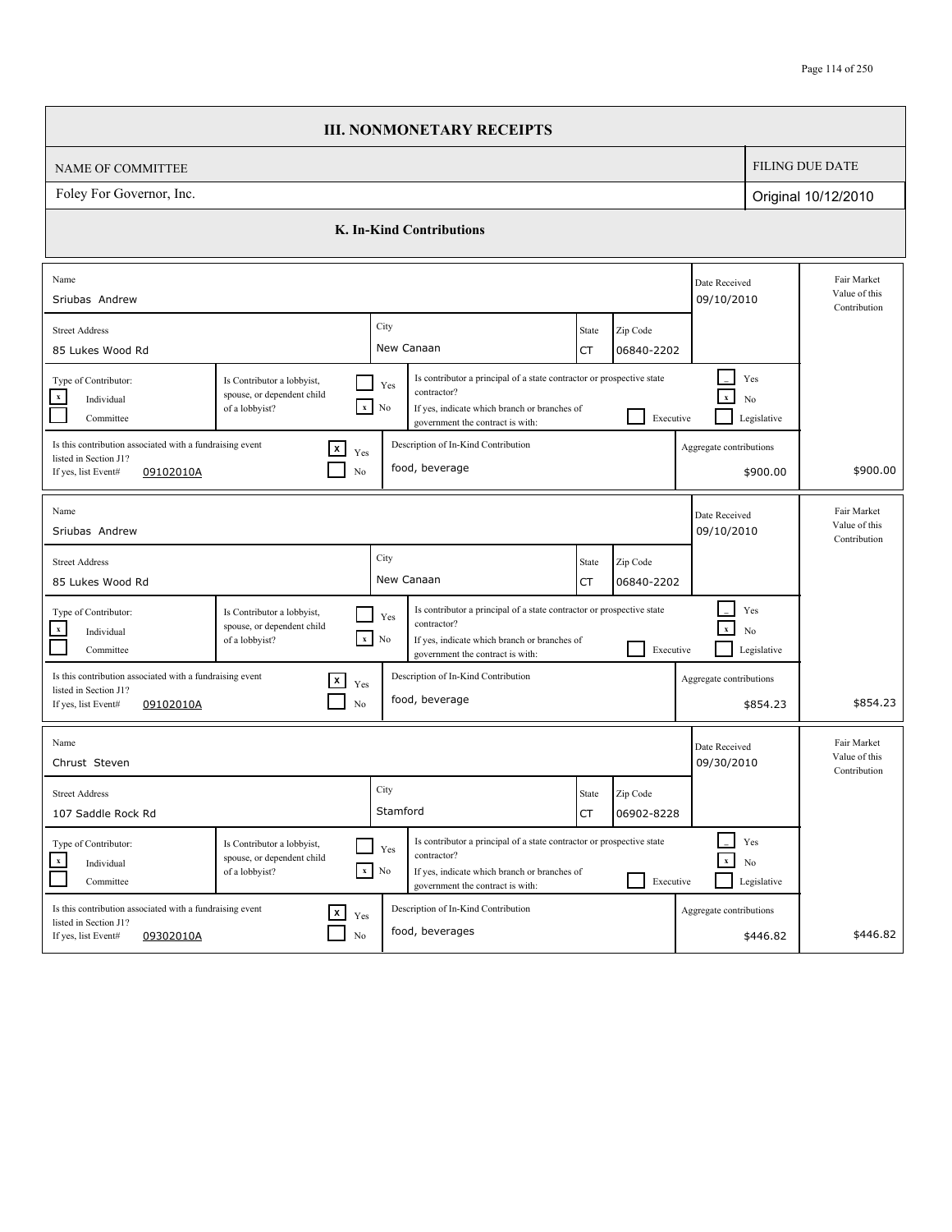|                                                                                                                       |                                                                            | <b>III. NONMONETARY RECEIPTS</b>                                                                                                                                                                            |                                              |                             |                                      |                                              |
|-----------------------------------------------------------------------------------------------------------------------|----------------------------------------------------------------------------|-------------------------------------------------------------------------------------------------------------------------------------------------------------------------------------------------------------|----------------------------------------------|-----------------------------|--------------------------------------|----------------------------------------------|
| NAME OF COMMITTEE                                                                                                     |                                                                            |                                                                                                                                                                                                             |                                              |                             |                                      | <b>FILING DUE DATE</b>                       |
| Foley For Governor, Inc.                                                                                              |                                                                            |                                                                                                                                                                                                             |                                              |                             |                                      | Original 10/12/2010                          |
|                                                                                                                       |                                                                            | <b>K. In-Kind Contributions</b>                                                                                                                                                                             |                                              |                             |                                      |                                              |
| Name<br>Sriubas Andrew                                                                                                |                                                                            |                                                                                                                                                                                                             |                                              | Date Received<br>09/10/2010 |                                      | Fair Market<br>Value of this<br>Contribution |
| <b>Street Address</b><br>85 Lukes Wood Rd                                                                             |                                                                            | City<br>New Canaan                                                                                                                                                                                          | Zip Code<br>State<br>06840-2202<br>CT        |                             |                                      |                                              |
| Type of Contributor:<br>$\boldsymbol{\mathrm{x}}$<br>Individual<br>Committee                                          | Is Contributor a lobbyist,<br>spouse, or dependent child<br>of a lobbyist? | Is contributor a principal of a state contractor or prospective state<br>Yes<br>contractor?<br>$\mathbf{x}$<br>No<br>If yes, indicate which branch or branches of<br>government the contract is with:       | Executive                                    |                             | Yes<br>N <sub>o</sub><br>Legislative |                                              |
| Is this contribution associated with a fundraising event<br>listed in Section J1?<br>If yes, list Event#<br>09102010A | $\mathbf{x}$<br>Yes<br>No                                                  | Description of In-Kind Contribution<br>food, beverage                                                                                                                                                       |                                              | Aggregate contributions     | \$900.00                             | \$900.00                                     |
| Name<br>Sriubas Andrew                                                                                                |                                                                            |                                                                                                                                                                                                             |                                              | Date Received<br>09/10/2010 |                                      | Fair Market<br>Value of this<br>Contribution |
| <b>Street Address</b><br>85 Lukes Wood Rd                                                                             |                                                                            | City<br>New Canaan                                                                                                                                                                                          | Zip Code<br>State<br>06840-2202<br>CT        |                             |                                      |                                              |
| Type of Contributor:<br>$\mathbf x$<br>Individual<br>Committee                                                        | Is Contributor a lobbyist,<br>spouse, or dependent child<br>of a lobbyist? | Is contributor a principal of a state contractor or prospective state<br>Yes<br>contractor?<br>$x$ No<br>If yes, indicate which branch or branches of<br>government the contract is with:                   | Executive                                    |                             | Yes<br>No<br>Legislative             |                                              |
| Is this contribution associated with a fundraising event<br>listed in Section J1?<br>If yes, list Event#<br>09102010A | $\vert x \vert$<br>Yes<br>No                                               | Description of In-Kind Contribution<br>food, beverage                                                                                                                                                       |                                              | Aggregate contributions     | \$854.23                             | \$854.23                                     |
| Name<br>Chrust Steven                                                                                                 |                                                                            |                                                                                                                                                                                                             |                                              | Date Received<br>09/30/2010 |                                      | Fair Market<br>Value of this<br>Contribution |
| <b>Street Address</b><br>107 Saddle Rock Rd                                                                           |                                                                            | City<br>Stamford                                                                                                                                                                                            | Zip Code<br>State<br><b>CT</b><br>06902-8228 |                             |                                      |                                              |
| Type of Contributor:<br>$\mathbf{x}$<br>Individual<br>Committee                                                       | Is Contributor a lobbyist,<br>spouse, or dependent child<br>of a lobbyist? | Is contributor a principal of a state contractor or prospective state<br>Yes<br>contractor?<br>$\mathbf{x}=\mathbf{No}$<br>If yes, indicate which branch or branches of<br>government the contract is with: | ×.<br>Executive                              | $\mathbf x$                 | Yes<br>No<br>Legislative             |                                              |
| Is this contribution associated with a fundraising event<br>listed in Section J1?<br>If yes, list Event#<br>09302010A | $\mathbf{x}$ $_{\text{Yes}}$<br>$\rm No$                                   | Description of In-Kind Contribution<br>food, beverages                                                                                                                                                      |                                              | Aggregate contributions     | \$446.82                             | \$446.82                                     |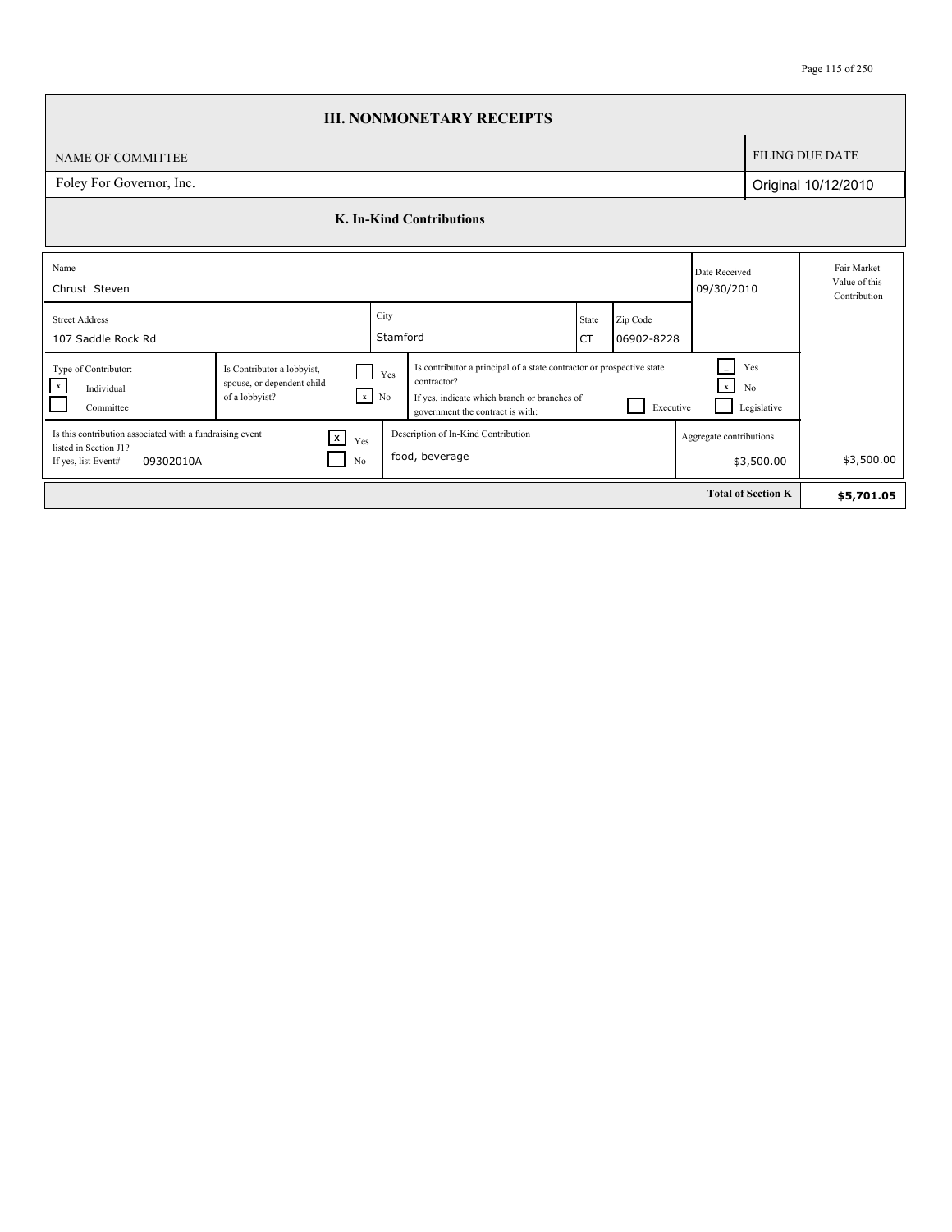|                                                                                                                       |                                                                            |                    | <b>III. NONMONETARY RECEIPTS</b>                                                                                                                                                                                                 |             |                        |                             |                           |                                              |
|-----------------------------------------------------------------------------------------------------------------------|----------------------------------------------------------------------------|--------------------|----------------------------------------------------------------------------------------------------------------------------------------------------------------------------------------------------------------------------------|-------------|------------------------|-----------------------------|---------------------------|----------------------------------------------|
| NAME OF COMMITTEE                                                                                                     |                                                                            |                    |                                                                                                                                                                                                                                  |             |                        |                             |                           | <b>FILING DUE DATE</b>                       |
| Foley For Governor, Inc.                                                                                              |                                                                            |                    |                                                                                                                                                                                                                                  |             |                        |                             |                           | Original 10/12/2010                          |
|                                                                                                                       |                                                                            |                    | K. In-Kind Contributions                                                                                                                                                                                                         |             |                        |                             |                           |                                              |
| Name<br>Chrust Steven                                                                                                 |                                                                            |                    |                                                                                                                                                                                                                                  |             |                        | Date Received<br>09/30/2010 |                           | Fair Market<br>Value of this<br>Contribution |
| <b>Street Address</b><br>107 Saddle Rock Rd                                                                           |                                                                            | City<br>Stamford   |                                                                                                                                                                                                                                  | State<br>СT | Zip Code<br>06902-8228 |                             |                           |                                              |
| Type of Contributor:<br>$\mathbf{x}$<br>Individual<br>Committee                                                       | Is Contributor a lobbyist,<br>spouse, or dependent child<br>of a lobbyist? | Yes<br>$x \mid No$ | Is contributor a principal of a state contractor or prospective state<br>Yes<br>contractor?<br>$\mathbf x$<br>No<br>If yes, indicate which branch or branches of<br>Executive<br>Legislative<br>government the contract is with: |             |                        |                             |                           |                                              |
| Is this contribution associated with a fundraising event<br>listed in Section J1?<br>If yes, list Event#<br>09302010A | $\boxed{x}$<br>Yes<br>No                                                   |                    | Description of In-Kind Contribution<br>food, beverage                                                                                                                                                                            |             |                        | Aggregate contributions     | \$3,500.00                | \$3,500.00                                   |
|                                                                                                                       |                                                                            |                    |                                                                                                                                                                                                                                  |             |                        |                             | <b>Total of Section K</b> | \$5,701.05                                   |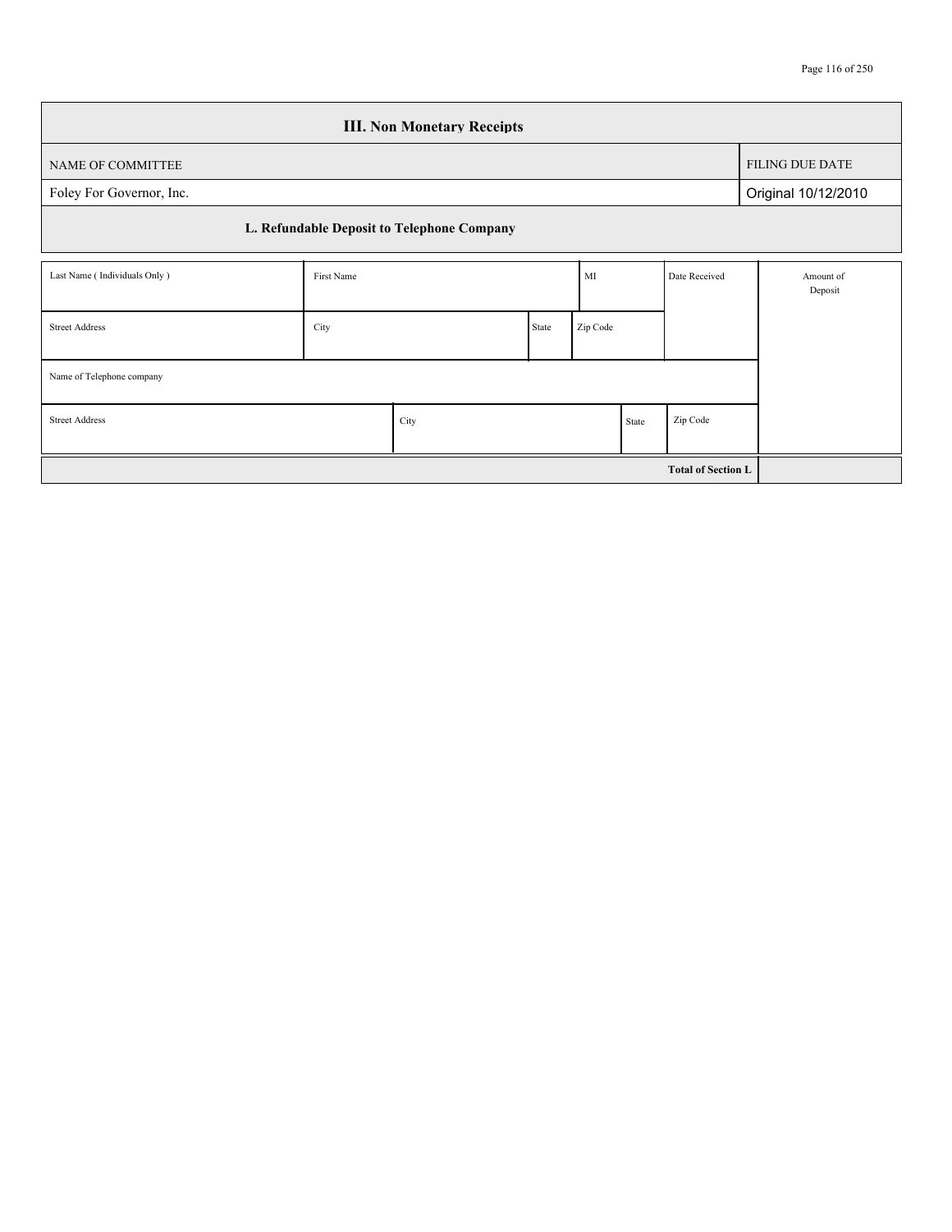|                                                    |            | <b>III. Non Monetary Receipts</b>          |       |          |  |                           |                        |
|----------------------------------------------------|------------|--------------------------------------------|-------|----------|--|---------------------------|------------------------|
| NAME OF COMMITTEE                                  |            |                                            |       |          |  |                           | <b>FILING DUE DATE</b> |
| Foley For Governor, Inc.                           |            |                                            |       |          |  |                           | Original 10/12/2010    |
|                                                    |            | L. Refundable Deposit to Telephone Company |       |          |  |                           |                        |
| Last Name (Individuals Only)                       | First Name |                                            |       |          |  | Date Received             | Amount of<br>Deposit   |
| <b>Street Address</b>                              | City       |                                            | State | Zip Code |  |                           |                        |
| Name of Telephone company                          |            |                                            |       |          |  |                           |                        |
| Zip Code<br><b>Street Address</b><br>City<br>State |            |                                            |       |          |  |                           |                        |
|                                                    |            |                                            |       |          |  | <b>Total of Section L</b> |                        |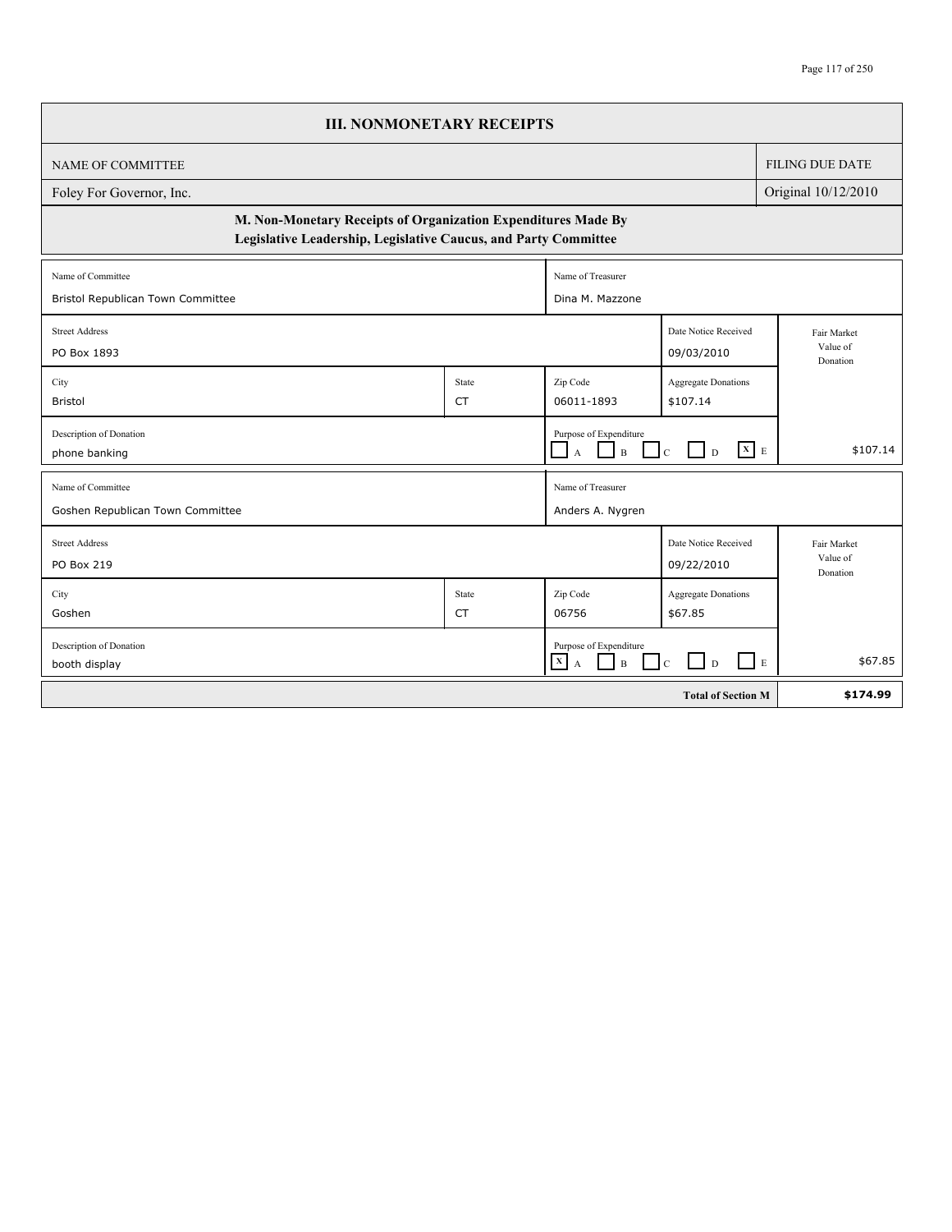| <b>III. NONMONETARY RECEIPTS</b>                                                                                                 |                    |                                                                                                         |                                        |                                     |  |  |  |  |  |  |
|----------------------------------------------------------------------------------------------------------------------------------|--------------------|---------------------------------------------------------------------------------------------------------|----------------------------------------|-------------------------------------|--|--|--|--|--|--|
| <b>NAME OF COMMITTEE</b>                                                                                                         |                    |                                                                                                         |                                        | <b>FILING DUE DATE</b>              |  |  |  |  |  |  |
| Foley For Governor, Inc.                                                                                                         |                    |                                                                                                         |                                        |                                     |  |  |  |  |  |  |
| M. Non-Monetary Receipts of Organization Expenditures Made By<br>Legislative Leadership, Legislative Caucus, and Party Committee |                    |                                                                                                         |                                        |                                     |  |  |  |  |  |  |
| Name of Committee                                                                                                                |                    | Name of Treasurer                                                                                       |                                        |                                     |  |  |  |  |  |  |
| Bristol Republican Town Committee                                                                                                | Dina M. Mazzone    |                                                                                                         |                                        |                                     |  |  |  |  |  |  |
| <b>Street Address</b><br>PO Box 1893                                                                                             |                    |                                                                                                         | Date Notice Received<br>09/03/2010     | Fair Market<br>Value of<br>Donation |  |  |  |  |  |  |
| City<br><b>Bristol</b>                                                                                                           | State<br><b>CT</b> | Zip Code<br>06011-1893                                                                                  | <b>Aggregate Donations</b><br>\$107.14 |                                     |  |  |  |  |  |  |
| Description of Donation<br>phone banking                                                                                         |                    | Purpose of Expenditure<br>$\Box$ A $\Box$ B                                                             | $C$ D $X$ E                            | \$107.14                            |  |  |  |  |  |  |
| Name of Committee<br>Goshen Republican Town Committee                                                                            |                    | Name of Treasurer<br>Anders A. Nygren                                                                   |                                        |                                     |  |  |  |  |  |  |
| <b>Street Address</b><br>PO Box 219                                                                                              |                    |                                                                                                         | Date Notice Received<br>09/22/2010     | Fair Market<br>Value of<br>Donation |  |  |  |  |  |  |
| City                                                                                                                             | State              | Zip Code                                                                                                | Aggregate Donations                    |                                     |  |  |  |  |  |  |
| Goshen                                                                                                                           | <b>CT</b>          | 06756                                                                                                   | \$67.85                                |                                     |  |  |  |  |  |  |
| Description of Donation<br>booth display                                                                                         |                    | Purpose of Expenditure<br>$\begin{array}{ c c }\n\hline\nX & A\n\end{array}$<br>$\perp$<br>$\mathbf{B}$ | $\Box$ $\Box$<br>$\Box$ E<br>$\Box$ c  | \$67.85                             |  |  |  |  |  |  |
|                                                                                                                                  |                    |                                                                                                         | <b>Total of Section M</b>              | \$174.99                            |  |  |  |  |  |  |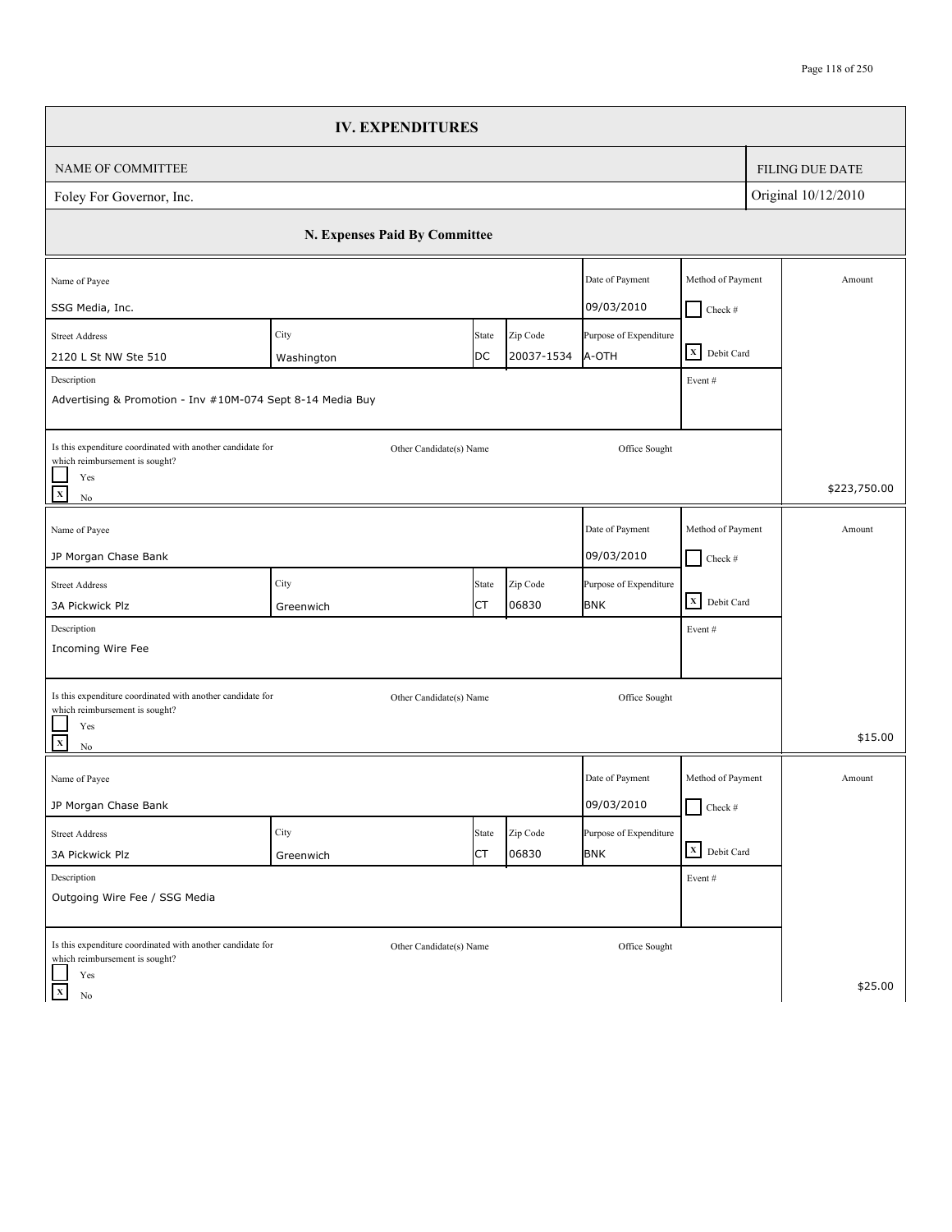|                                                                                              | <b>IV. EXPENDITURES</b>       |             |                        |                                 |                                     |                        |
|----------------------------------------------------------------------------------------------|-------------------------------|-------------|------------------------|---------------------------------|-------------------------------------|------------------------|
| NAME OF COMMITTEE                                                                            |                               |             |                        |                                 |                                     | <b>FILING DUE DATE</b> |
| Foley For Governor, Inc.                                                                     |                               |             |                        |                                 |                                     | Original 10/12/2010    |
|                                                                                              | N. Expenses Paid By Committee |             |                        |                                 |                                     |                        |
| Name of Payee                                                                                |                               |             |                        | Date of Payment                 | Method of Payment                   | Amount                 |
| SSG Media, Inc.                                                                              |                               |             |                        | 09/03/2010                      | $Check$ #                           |                        |
| <b>Street Address</b><br>2120 L St NW Ste 510                                                | City<br>Washington            | State<br>DC | Zip Code<br>20037-1534 | Purpose of Expenditure<br>A-OTH | X Debit Card                        |                        |
| Description                                                                                  |                               |             |                        |                                 | Event#                              |                        |
| Advertising & Promotion - Inv #10M-074 Sept 8-14 Media Buy                                   |                               |             |                        |                                 |                                     |                        |
| Is this expenditure coordinated with another candidate for<br>which reimbursement is sought? | Other Candidate(s) Name       |             |                        | Office Sought                   |                                     |                        |
| Yes<br>$\mathbf{x}$<br>$\rm No$                                                              |                               |             |                        |                                 |                                     | \$223,750.00           |
| Name of Payee                                                                                |                               |             |                        | Date of Payment                 | Method of Payment                   | Amount                 |
| JP Morgan Chase Bank                                                                         |                               |             |                        | 09/03/2010                      | $\Box$ Check #                      |                        |
| <b>Street Address</b>                                                                        | City                          | State       | Zip Code               | Purpose of Expenditure          |                                     |                        |
| 3A Pickwick Plz                                                                              | Greenwich                     | СT          | 06830                  | <b>BNK</b>                      | $\boxed{\mathbf{X}}$ Debit Card     |                        |
| Description<br>Incoming Wire Fee                                                             |                               |             |                        |                                 | Event#                              |                        |
| Is this expenditure coordinated with another candidate for<br>which reimbursement is sought? | Other Candidate(s) Name       |             |                        | Office Sought                   |                                     |                        |
| Yes<br>$\mathbf x$<br>$\rm No$                                                               |                               |             |                        |                                 |                                     | \$15.00                |
| Name of Payee                                                                                |                               |             |                        | Date of Payment                 | Method of Payment                   | Amount                 |
| JP Morgan Chase Bank                                                                         |                               |             |                        | 09/03/2010                      | $\blacksquare$<br>$\bigcup$ Check # |                        |
| <b>Street Address</b>                                                                        | City                          | State       | Zip Code               | Purpose of Expenditure          |                                     |                        |
| 3A Pickwick Plz                                                                              | Greenwich                     | СT          | 06830                  | <b>BNK</b>                      | X Debit Card                        |                        |
| Description<br>Outgoing Wire Fee / SSG Media                                                 |                               |             |                        |                                 | Event $\#$                          |                        |
| Is this expenditure coordinated with another candidate for<br>which reimbursement is sought? | Other Candidate(s) Name       |             |                        | Office Sought                   |                                     |                        |
| Yes<br>$\overline{x}$<br>No                                                                  |                               |             |                        |                                 |                                     | \$25.00                |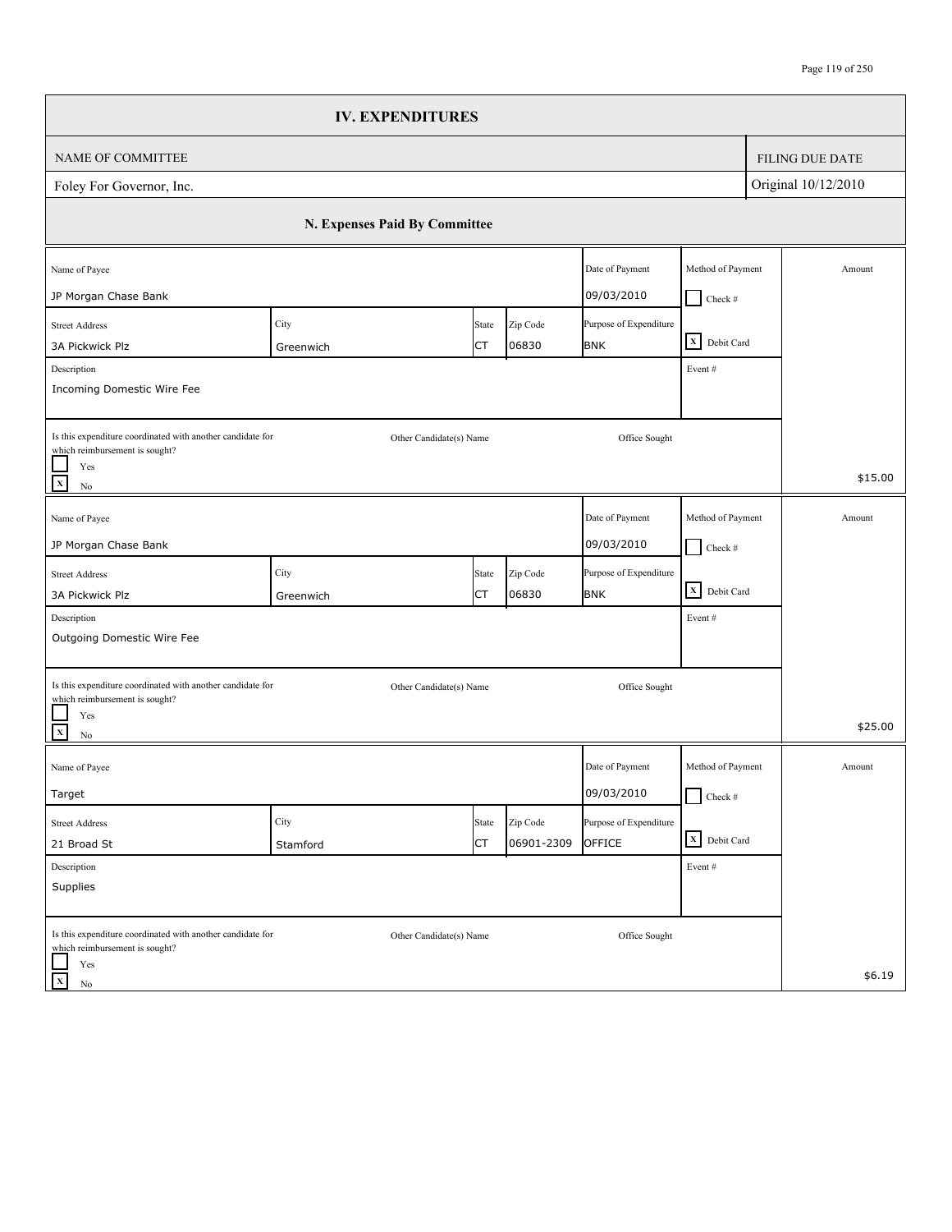|                                                                                              | <b>IV. EXPENDITURES</b>       |       |            |                        |                   |                        |
|----------------------------------------------------------------------------------------------|-------------------------------|-------|------------|------------------------|-------------------|------------------------|
| NAME OF COMMITTEE                                                                            |                               |       |            |                        |                   | <b>FILING DUE DATE</b> |
| Foley For Governor, Inc.                                                                     |                               |       |            |                        |                   | Original 10/12/2010    |
|                                                                                              | N. Expenses Paid By Committee |       |            |                        |                   |                        |
| Name of Payee                                                                                |                               |       |            | Date of Payment        | Method of Payment | Amount                 |
| JP Morgan Chase Bank                                                                         |                               |       |            | 09/03/2010             | $\Box$ Check #    |                        |
| <b>Street Address</b>                                                                        | City                          | State | Zip Code   | Purpose of Expenditure |                   |                        |
| 3A Pickwick Plz                                                                              | Greenwich                     | СT    | 06830      | <b>BNK</b>             | X Debit Card      |                        |
| Description<br>Incoming Domestic Wire Fee                                                    |                               |       |            |                        | Event#            |                        |
| Is this expenditure coordinated with another candidate for<br>which reimbursement is sought? | Other Candidate(s) Name       |       |            | Office Sought          |                   |                        |
| Yes<br>$\mathbf x$<br>$\rm No$                                                               |                               |       |            |                        |                   | \$15.00                |
| Name of Payee                                                                                |                               |       |            | Date of Payment        | Method of Payment | Amount                 |
| JP Morgan Chase Bank                                                                         |                               |       |            | 09/03/2010             | $\Box$ Check #    |                        |
| <b>Street Address</b>                                                                        | City                          | State | Zip Code   | Purpose of Expenditure |                   |                        |
| 3A Pickwick Plz                                                                              | Greenwich                     | СT    | 06830      | <b>BNK</b>             | X Debit Card      |                        |
| Description                                                                                  |                               |       |            |                        | Event#            |                        |
| Outgoing Domestic Wire Fee                                                                   |                               |       |            |                        |                   |                        |
| Is this expenditure coordinated with another candidate for<br>which reimbursement is sought? | Other Candidate(s) Name       |       |            | Office Sought          |                   |                        |
| Yes<br>$\mathbf{x}$<br>$\rm No$                                                              |                               |       |            |                        |                   | \$25.00                |
| Name of Payee                                                                                |                               |       |            | Date of Payment        | Method of Payment | Amount                 |
| Target                                                                                       |                               |       |            | 09/03/2010             | $\Box$ Check #    |                        |
| <b>Street Address</b>                                                                        | City                          | State | Zip Code   | Purpose of Expenditure |                   |                        |
| 21 Broad St                                                                                  | Stamford                      | СT    | 06901-2309 | OFFICE                 | X Debit Card      |                        |
| Description                                                                                  |                               |       |            |                        | Event #           |                        |
| Supplies                                                                                     |                               |       |            |                        |                   |                        |
| Is this expenditure coordinated with another candidate for<br>which reimbursement is sought? | Other Candidate(s) Name       |       |            | Office Sought          |                   |                        |
| Yes<br>$\mathbf X$<br>No                                                                     |                               |       |            |                        |                   | \$6.19                 |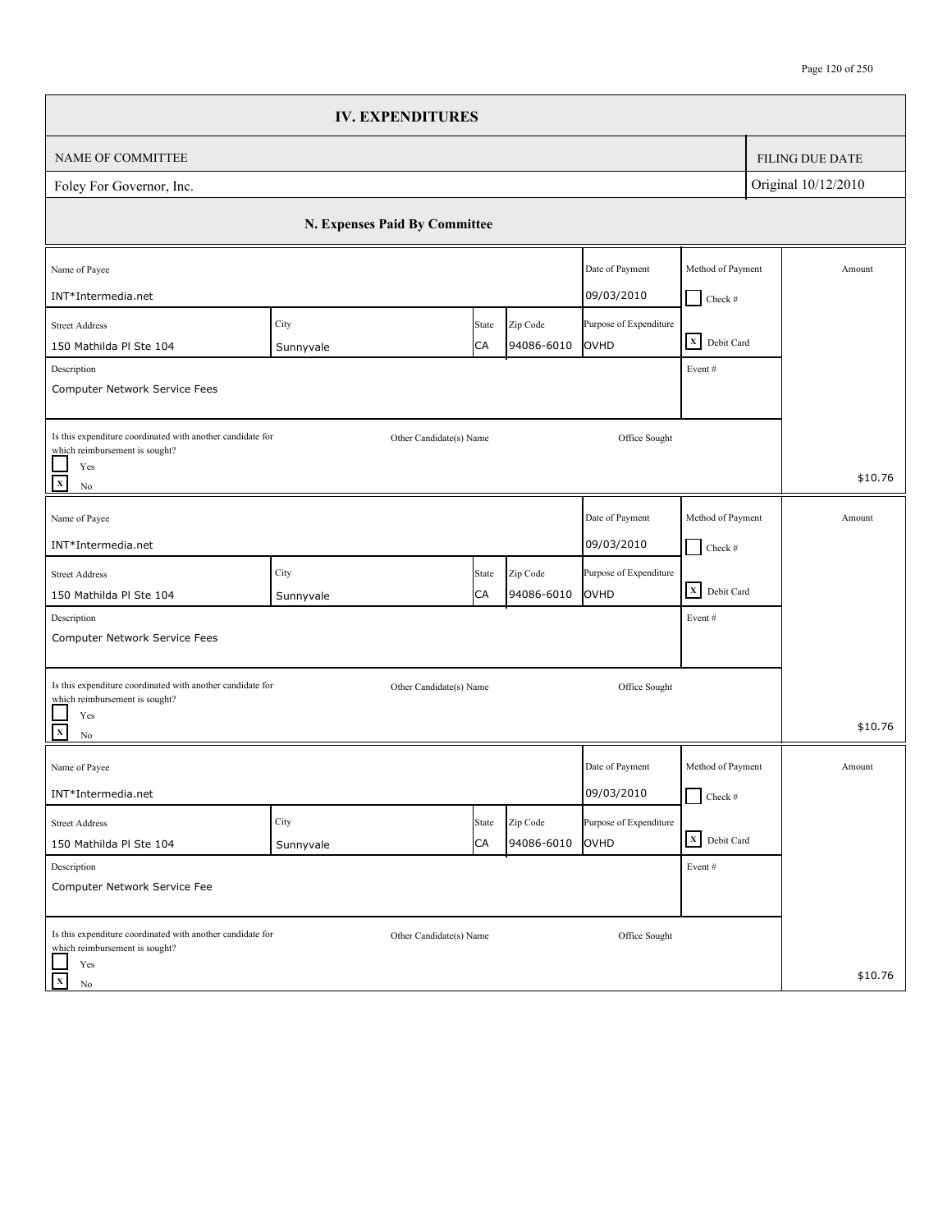|                                                                                              | <b>IV. EXPENDITURES</b>       |             |                        |                                |                   |                        |
|----------------------------------------------------------------------------------------------|-------------------------------|-------------|------------------------|--------------------------------|-------------------|------------------------|
| NAME OF COMMITTEE                                                                            |                               |             |                        |                                |                   | <b>FILING DUE DATE</b> |
| Foley For Governor, Inc.                                                                     |                               |             |                        |                                |                   | Original 10/12/2010    |
|                                                                                              | N. Expenses Paid By Committee |             |                        |                                |                   |                        |
| Name of Payee                                                                                |                               |             |                        | Date of Payment                | Method of Payment | Amount                 |
| INT*Intermedia.net                                                                           |                               |             |                        | 09/03/2010                     | $\Box$ Check #    |                        |
| <b>Street Address</b><br>150 Mathilda Pl Ste 104                                             | City                          | State<br>CA | Zip Code<br>94086-6010 | Purpose of Expenditure<br>OVHD | X Debit Card      |                        |
| Description                                                                                  | Sunnyvale                     |             |                        |                                | Event#            |                        |
| Computer Network Service Fees                                                                |                               |             |                        |                                |                   |                        |
| Is this expenditure coordinated with another candidate for<br>which reimbursement is sought? | Other Candidate(s) Name       |             |                        | Office Sought                  |                   |                        |
| Yes<br>$\mathbf x$<br>$\rm No$                                                               |                               |             |                        |                                |                   | \$10.76                |
| Name of Payee                                                                                |                               |             |                        | Date of Payment                | Method of Payment | Amount                 |
| INT*Intermedia.net                                                                           |                               |             |                        | 09/03/2010                     | $Check$ #         |                        |
| <b>Street Address</b>                                                                        | City                          | State       | Zip Code               | Purpose of Expenditure         |                   |                        |
| 150 Mathilda Pl Ste 104                                                                      | Sunnyvale                     | CA          | 94086-6010             | OVHD                           | X Debit Card      |                        |
| Description                                                                                  |                               |             |                        |                                | Event#            |                        |
| Computer Network Service Fees                                                                |                               |             |                        |                                |                   |                        |
| Is this expenditure coordinated with another candidate for<br>which reimbursement is sought? | Other Candidate(s) Name       |             |                        | Office Sought                  |                   |                        |
| Yes<br>$\mathbf{x}$<br>$\rm No$                                                              |                               |             |                        |                                |                   | \$10.76                |
| Name of Payee                                                                                |                               |             |                        | Date of Payment                | Method of Payment | Amount                 |
| INT*Intermedia.net                                                                           |                               |             |                        | 09/03/2010                     | $\Box$ Check #    |                        |
| <b>Street Address</b>                                                                        | City                          | State       | Zip Code               | Purpose of Expenditure         |                   |                        |
| 150 Mathilda Pl Ste 104                                                                      | Sunnyvale                     | CA          | 94086-6010             | OVHD                           | X Debit Card      |                        |
| Description<br>Computer Network Service Fee                                                  |                               |             |                        |                                | Event#            |                        |
| Is this expenditure coordinated with another candidate for<br>which reimbursement is sought? | Other Candidate(s) Name       |             |                        | Office Sought                  |                   |                        |
| Yes<br>$\mathbf X$<br>No                                                                     |                               |             |                        |                                |                   | \$10.76                |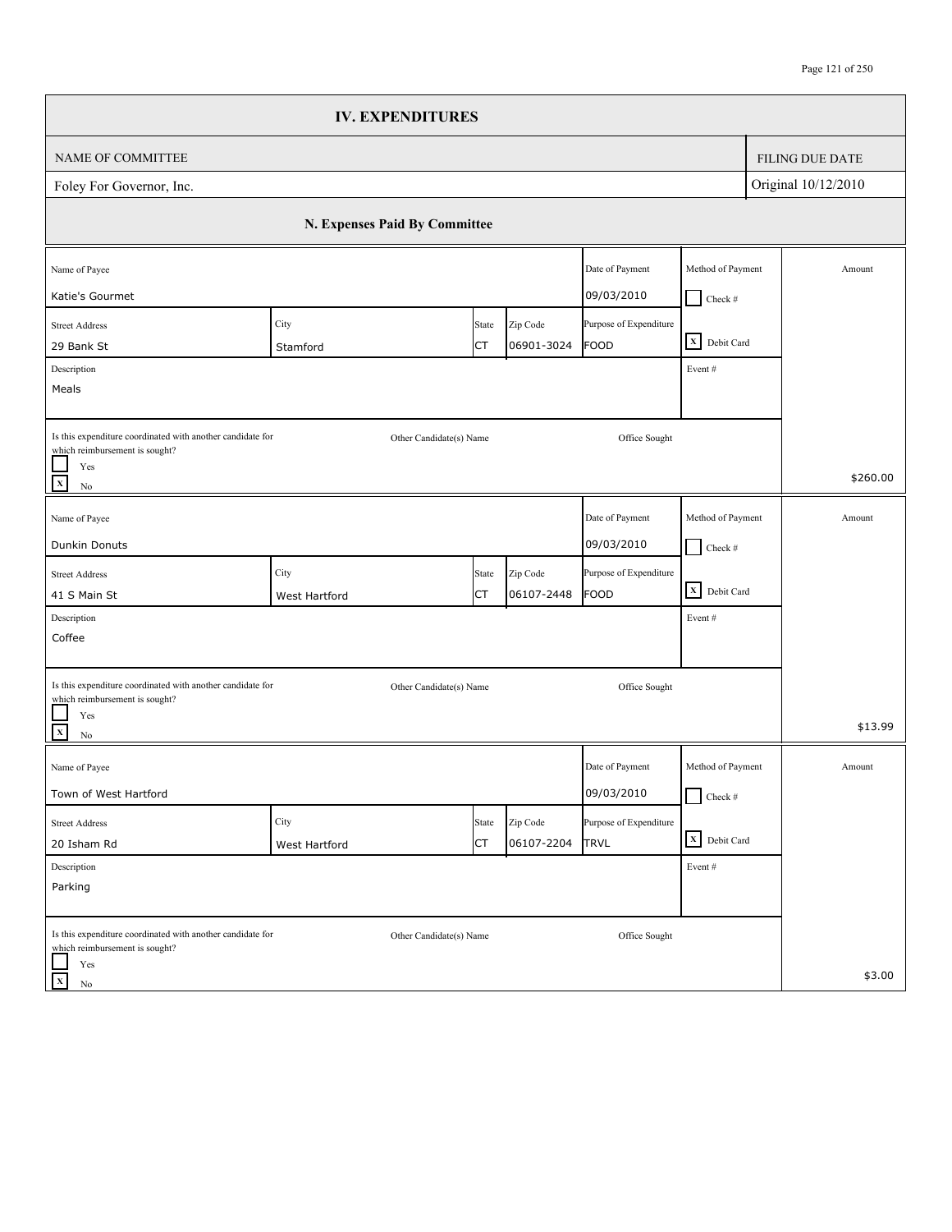|                                                                                              | <b>IV. EXPENDITURES</b>       |       |            |                        |                   |                     |                        |
|----------------------------------------------------------------------------------------------|-------------------------------|-------|------------|------------------------|-------------------|---------------------|------------------------|
| NAME OF COMMITTEE                                                                            |                               |       |            |                        |                   |                     | <b>FILING DUE DATE</b> |
| Foley For Governor, Inc.                                                                     |                               |       |            |                        |                   | Original 10/12/2010 |                        |
|                                                                                              | N. Expenses Paid By Committee |       |            |                        |                   |                     |                        |
| Name of Payee                                                                                |                               |       |            | Date of Payment        | Method of Payment |                     | Amount                 |
| Katie's Gourmet                                                                              |                               |       |            | 09/03/2010             | $\Box$ Check #    |                     |                        |
| <b>Street Address</b>                                                                        | City                          | State | Zip Code   | Purpose of Expenditure |                   |                     |                        |
| 29 Bank St                                                                                   | Stamford                      | СT    | 06901-3024 | FOOD                   | X Debit Card      |                     |                        |
| Description                                                                                  |                               |       |            |                        | Event #           |                     |                        |
| Meals                                                                                        |                               |       |            |                        |                   |                     |                        |
| Is this expenditure coordinated with another candidate for<br>which reimbursement is sought? | Other Candidate(s) Name       |       |            | Office Sought          |                   |                     |                        |
| Yes<br>$\mathbf x$<br>$\rm No$                                                               |                               |       |            |                        |                   |                     | \$260.00               |
| Name of Payee                                                                                |                               |       |            | Date of Payment        | Method of Payment |                     | Amount                 |
|                                                                                              |                               |       |            |                        |                   |                     |                        |
| Dunkin Donuts                                                                                |                               |       |            | 09/03/2010             | $\Box$ Check #    |                     |                        |
| <b>Street Address</b>                                                                        | City                          | State | Zip Code   | Purpose of Expenditure | X Debit Card      |                     |                        |
| 41 S Main St                                                                                 | West Hartford                 | СT    | 06107-2448 | FOOD                   |                   |                     |                        |
| Description                                                                                  |                               |       |            |                        | Event#            |                     |                        |
| Coffee                                                                                       |                               |       |            |                        |                   |                     |                        |
| Is this expenditure coordinated with another candidate for                                   | Other Candidate(s) Name       |       |            | Office Sought          |                   |                     |                        |
| which reimbursement is sought?<br>Yes                                                        |                               |       |            |                        |                   |                     |                        |
| $\mathbf{x}$<br>$\rm No$                                                                     |                               |       |            |                        |                   |                     | \$13.99                |
| Name of Payee                                                                                |                               |       |            | Date of Payment        | Method of Payment |                     | Amount                 |
| Town of West Hartford                                                                        |                               |       |            | 09/03/2010             | $\Box$ Check #    |                     |                        |
| <b>Street Address</b>                                                                        | City                          | State | Zip Code   | Purpose of Expenditure |                   |                     |                        |
| 20 Isham Rd                                                                                  | West Hartford                 | СT    | 06107-2204 | <b>TRVL</b>            | X Debit Card      |                     |                        |
| Description                                                                                  |                               |       |            |                        | Event#            |                     |                        |
| Parking                                                                                      |                               |       |            |                        |                   |                     |                        |
| Is this expenditure coordinated with another candidate for<br>which reimbursement is sought? | Other Candidate(s) Name       |       |            | Office Sought          |                   |                     |                        |
| Yes                                                                                          |                               |       |            |                        |                   |                     |                        |
| $\mathbf X$<br>No                                                                            |                               |       |            |                        |                   |                     | \$3.00                 |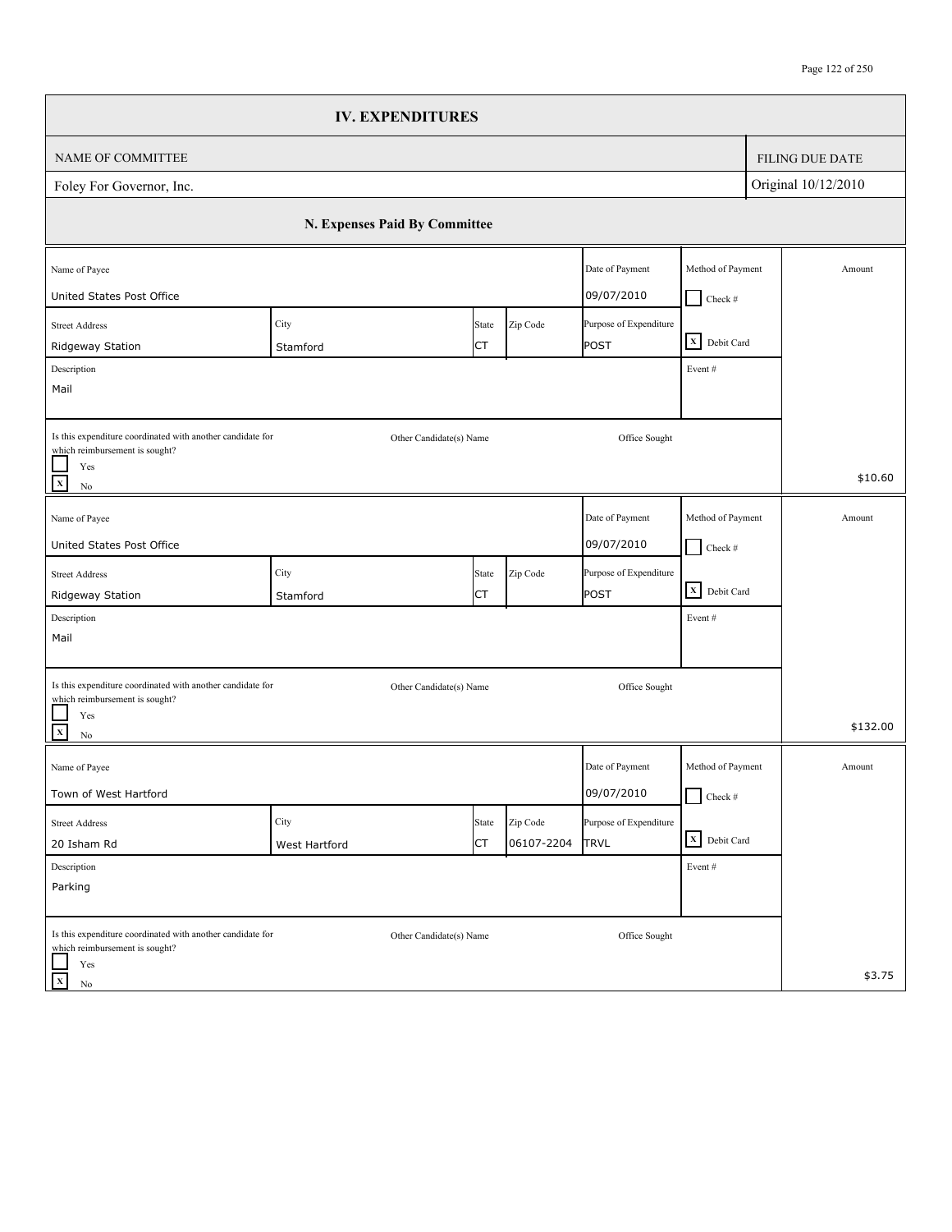|                                                                                              |                               | <b>IV. EXPENDITURES</b> |            |                        |                   |                        |
|----------------------------------------------------------------------------------------------|-------------------------------|-------------------------|------------|------------------------|-------------------|------------------------|
| NAME OF COMMITTEE                                                                            |                               |                         |            |                        |                   | <b>FILING DUE DATE</b> |
| Foley For Governor, Inc.                                                                     |                               |                         |            |                        |                   | Original 10/12/2010    |
|                                                                                              | N. Expenses Paid By Committee |                         |            |                        |                   |                        |
| Name of Payee                                                                                |                               |                         |            | Date of Payment        | Method of Payment | Amount                 |
| United States Post Office                                                                    |                               |                         |            | 09/07/2010             | $\Box$ Check #    |                        |
| <b>Street Address</b>                                                                        | City                          | State                   | Zip Code   | Purpose of Expenditure | X Debit Card      |                        |
| Ridgeway Station                                                                             | Stamford                      | СT                      |            | POST                   |                   |                        |
| Description<br>Mail                                                                          |                               |                         |            |                        | Event #           |                        |
|                                                                                              |                               |                         |            |                        |                   |                        |
| Is this expenditure coordinated with another candidate for<br>which reimbursement is sought? |                               | Other Candidate(s) Name |            | Office Sought          |                   |                        |
| Yes<br>$\mathbf x$<br>$\rm No$                                                               |                               |                         |            |                        |                   | \$10.60                |
| Name of Payee                                                                                |                               |                         |            | Date of Payment        | Method of Payment | Amount                 |
| United States Post Office                                                                    |                               |                         |            | 09/07/2010             | $\Box$ Check #    |                        |
| <b>Street Address</b>                                                                        | City                          | State                   | Zip Code   | Purpose of Expenditure |                   |                        |
| Ridgeway Station                                                                             | Stamford                      | CT                      |            | POST                   | X Debit Card      |                        |
| Description                                                                                  |                               |                         |            |                        | Event#            |                        |
| Mail                                                                                         |                               |                         |            |                        |                   |                        |
| Is this expenditure coordinated with another candidate for                                   |                               | Other Candidate(s) Name |            | Office Sought          |                   |                        |
| which reimbursement is sought?<br>Yes                                                        |                               |                         |            |                        |                   |                        |
| $\mathbf{x}$<br>$\rm No$                                                                     |                               |                         |            |                        |                   | \$132.00               |
| Name of Payee                                                                                |                               |                         |            | Date of Payment        | Method of Payment | Amount                 |
| Town of West Hartford                                                                        |                               |                         |            | 09/07/2010             | $\Box$ Check #    |                        |
| <b>Street Address</b>                                                                        | City                          | State                   | Zip Code   | Purpose of Expenditure |                   |                        |
| 20 Isham Rd                                                                                  | West Hartford                 | СT                      | 06107-2204 | <b>TRVL</b>            | X Debit Card      |                        |
| Description                                                                                  |                               |                         |            |                        | Event#            |                        |
| Parking                                                                                      |                               |                         |            |                        |                   |                        |
| Is this expenditure coordinated with another candidate for                                   |                               | Other Candidate(s) Name |            | Office Sought          |                   |                        |
| which reimbursement is sought?<br>Yes                                                        |                               |                         |            |                        |                   |                        |
| $\mathbf X$<br>No                                                                            |                               |                         |            |                        |                   | \$3.75                 |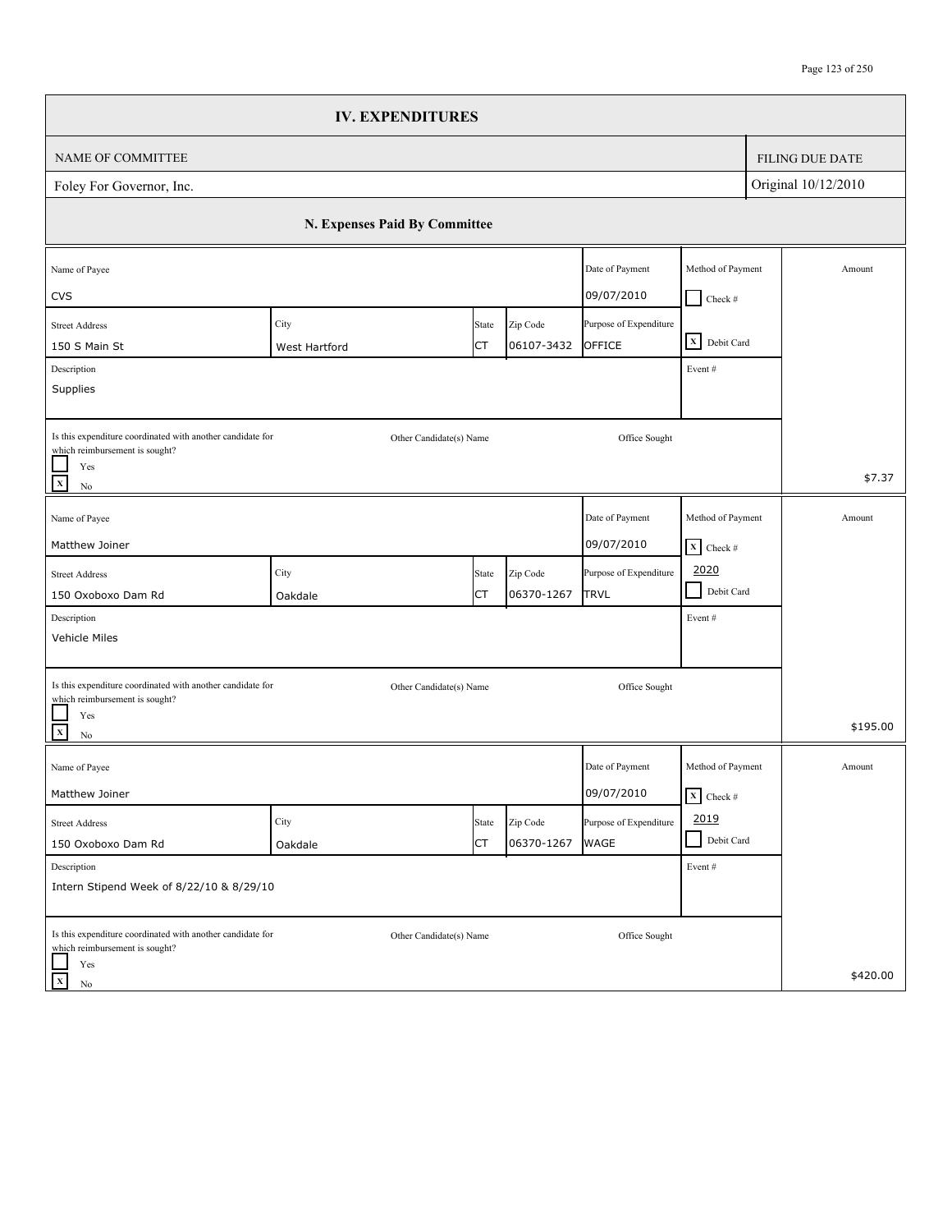|                                                                                                                                            | <b>IV. EXPENDITURES</b>       |             |                        |                                  |                                           |                        |
|--------------------------------------------------------------------------------------------------------------------------------------------|-------------------------------|-------------|------------------------|----------------------------------|-------------------------------------------|------------------------|
| NAME OF COMMITTEE                                                                                                                          |                               |             |                        |                                  |                                           | <b>FILING DUE DATE</b> |
| Foley For Governor, Inc.                                                                                                                   |                               |             |                        |                                  |                                           | Original 10/12/2010    |
|                                                                                                                                            | N. Expenses Paid By Committee |             |                        |                                  |                                           |                        |
| Name of Payee<br><b>CVS</b>                                                                                                                |                               |             |                        | Date of Payment<br>09/07/2010    | Method of Payment<br>$Check$ #            | Amount                 |
| <b>Street Address</b><br>150 S Main St<br>Description                                                                                      | City<br>West Hartford         | State<br>СT | Zip Code<br>06107-3432 | Purpose of Expenditure<br>OFFICE | X Debit Card<br>Event#                    |                        |
| Supplies                                                                                                                                   |                               |             |                        |                                  |                                           |                        |
| Is this expenditure coordinated with another candidate for<br>which reimbursement is sought?<br>Yes<br>$\overline{\mathbf{x}}$<br>$\rm No$ | Other Candidate(s) Name       |             |                        | Office Sought                    |                                           | \$7.37                 |
| Name of Payee<br>Matthew Joiner                                                                                                            |                               |             |                        | Date of Payment<br>09/07/2010    | Method of Payment<br>$\mathbf{X}$ Check # | Amount                 |
| <b>Street Address</b><br>150 Oxoboxo Dam Rd                                                                                                | City<br>Oakdale               | State<br>СT | Zip Code<br>06370-1267 | Purpose of Expenditure<br>TRVL   | 2020<br>$\blacksquare$<br>Debit Card      |                        |
| Description<br>Vehicle Miles                                                                                                               |                               |             |                        |                                  | Event#                                    |                        |
| Is this expenditure coordinated with another candidate for<br>which reimbursement is sought?<br>Yes<br>$\overline{\mathbf{x}}$<br>$\rm No$ | Other Candidate(s) Name       |             |                        | Office Sought                    |                                           | \$195.00               |
| Name of Payee<br>Matthew Joiner                                                                                                            |                               |             |                        | Date of Payment<br>09/07/2010    | Method of Payment<br>$\mathbf{X}$ Check # | Amount                 |
| <b>Street Address</b><br>150 Oxoboxo Dam Rd                                                                                                | City<br>Oakdale               | State<br>СT | Zip Code<br>06370-1267 | Purpose of Expenditure<br>WAGE   | 2019<br>Debit Card<br>$\blacksquare$      |                        |
| Description<br>Intern Stipend Week of 8/22/10 & 8/29/10                                                                                    |                               |             |                        |                                  | Event#                                    |                        |
| Is this expenditure coordinated with another candidate for<br>which reimbursement is sought?<br>Yes                                        | Other Candidate(s) Name       |             |                        | Office Sought                    |                                           |                        |
| $\mathbf x$<br>No                                                                                                                          |                               |             |                        |                                  |                                           | \$420.00               |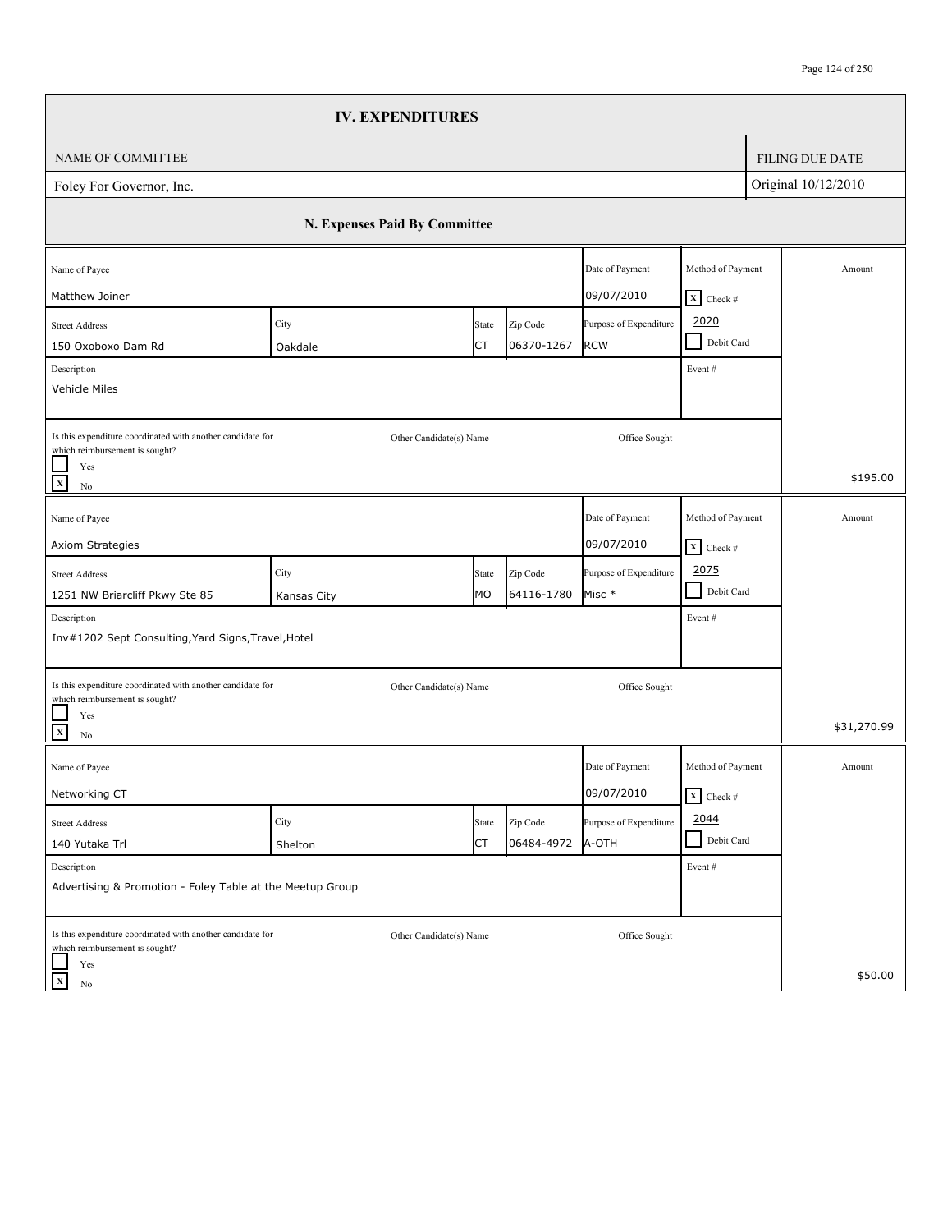|                                                                                                                                | <b>IV. EXPENDITURES</b>       |             |                        |                                      |                                                              |                        |
|--------------------------------------------------------------------------------------------------------------------------------|-------------------------------|-------------|------------------------|--------------------------------------|--------------------------------------------------------------|------------------------|
| NAME OF COMMITTEE                                                                                                              |                               |             |                        |                                      |                                                              | <b>FILING DUE DATE</b> |
| Foley For Governor, Inc.                                                                                                       |                               |             |                        |                                      |                                                              | Original 10/12/2010    |
|                                                                                                                                | N. Expenses Paid By Committee |             |                        |                                      |                                                              |                        |
| Name of Payee<br>Matthew Joiner                                                                                                |                               |             |                        | Date of Payment<br>09/07/2010        | Method of Payment                                            | Amount                 |
| <b>Street Address</b><br>150 Oxoboxo Dam Rd<br>Description<br>Vehicle Miles                                                    | City<br>Oakdale               | State<br>СT | Zip Code<br>06370-1267 | Purpose of Expenditure<br><b>RCW</b> | $X$ Check #<br>2020<br>Debit Card<br>$\mathcal{L}$<br>Event# |                        |
| Is this expenditure coordinated with another candidate for<br>which reimbursement is sought?<br>Yes<br>$\mathbf x$<br>$\rm No$ | Other Candidate(s) Name       |             |                        | Office Sought                        |                                                              | \$195.00               |
| Name of Payee<br>Axiom Strategies                                                                                              |                               |             |                        | Date of Payment<br>09/07/2010        | Method of Payment<br>$\overline{\mathbf{X}}$ Check #         | Amount                 |
| <b>Street Address</b><br>1251 NW Briarcliff Pkwy Ste 85<br>Description<br>Inv#1202 Sept Consulting, Yard Signs, Travel, Hotel  | City<br>Kansas City           | State<br>MO | Zip Code<br>64116-1780 | Purpose of Expenditure<br>Misc *     | 2075<br>$\blacksquare$<br>Debit Card<br>Event#               |                        |
| Is this expenditure coordinated with another candidate for<br>which reimbursement is sought?<br>Yes<br>$\mathbf{x}$<br>No      | Other Candidate(s) Name       |             |                        | Office Sought                        |                                                              | \$31,270.99            |
| Name of Payee<br>Networking CT                                                                                                 |                               |             |                        | Date of Payment<br>09/07/2010        | Method of Payment<br>$\overline{\mathbf{x}}$ Check #         | Amount                 |
| <b>Street Address</b><br>140 Yutaka Trl                                                                                        | City<br>Shelton               | State<br>СT | Zip Code<br>06484-4972 | Purpose of Expenditure<br>A-OTH      | 2044<br>Debit Card<br>$\blacksquare$                         |                        |
| Description<br>Advertising & Promotion - Foley Table at the Meetup Group                                                       |                               |             |                        |                                      | Event#                                                       |                        |
| Is this expenditure coordinated with another candidate for<br>which reimbursement is sought?<br>Yes<br>$\mathbf x$<br>No       | Other Candidate(s) Name       |             |                        | Office Sought                        |                                                              | \$50.00                |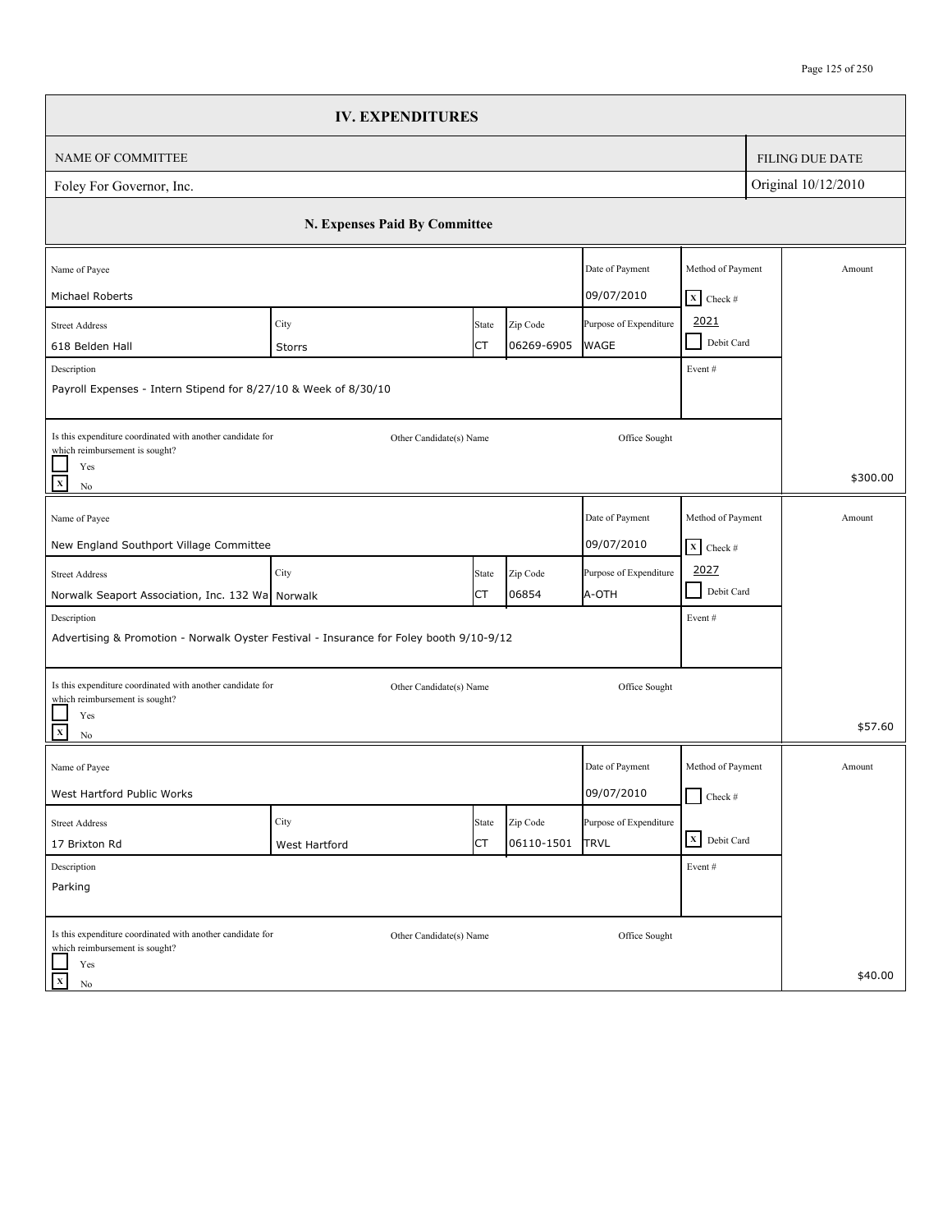|                                                                                                                                                            | <b>IV. EXPENDITURES</b>       |             |                        |                                                     |                                             |                        |
|------------------------------------------------------------------------------------------------------------------------------------------------------------|-------------------------------|-------------|------------------------|-----------------------------------------------------|---------------------------------------------|------------------------|
| NAME OF COMMITTEE                                                                                                                                          |                               |             |                        |                                                     |                                             | <b>FILING DUE DATE</b> |
| Foley For Governor, Inc.                                                                                                                                   |                               |             |                        |                                                     |                                             | Original 10/12/2010    |
|                                                                                                                                                            | N. Expenses Paid By Committee |             |                        |                                                     |                                             |                        |
| Name of Payee                                                                                                                                              |                               |             |                        | Date of Payment                                     | Method of Payment                           | Amount                 |
| Michael Roberts<br><b>Street Address</b><br>618 Belden Hall                                                                                                | City<br>Storrs                | State<br>СT | Zip Code<br>06269-6905 | 09/07/2010<br>Purpose of Expenditure<br><b>WAGE</b> | $X$ Check #<br>2021<br>Debit Card<br>$\sim$ |                        |
| Description<br>Payroll Expenses - Intern Stipend for 8/27/10 & Week of 8/30/10                                                                             |                               |             |                        |                                                     | Event#                                      |                        |
| Is this expenditure coordinated with another candidate for<br>which reimbursement is sought?<br>Yes                                                        | Other Candidate(s) Name       |             |                        | Office Sought                                       |                                             | \$300.00               |
| $\mathbf X$<br>$\rm No$                                                                                                                                    |                               |             |                        |                                                     |                                             |                        |
| Name of Payee<br>New England Southport Village Committee                                                                                                   |                               |             |                        | Date of Payment<br>09/07/2010                       | Method of Payment<br>$X$ Check #            | Amount                 |
| <b>Street Address</b>                                                                                                                                      | City                          | State       | Zip Code               | Purpose of Expenditure                              | 2027<br>- 1<br>Debit Card                   |                        |
| Norwalk Seaport Association, Inc. 132 Wa Norwalk<br>Description<br>Advertising & Promotion - Norwalk Oyster Festival - Insurance for Foley booth 9/10-9/12 |                               | СT          | 06854                  | A-OTH                                               | Event#                                      |                        |
| Is this expenditure coordinated with another candidate for<br>which reimbursement is sought?                                                               | Other Candidate(s) Name       |             |                        | Office Sought                                       |                                             |                        |
| Yes<br>$\mathbf X$<br>No                                                                                                                                   |                               |             |                        |                                                     |                                             | \$57.60                |
| Name of Payee<br>West Hartford Public Works                                                                                                                |                               |             |                        | Date of Payment<br>09/07/2010                       | Method of Payment<br>$\Box$ Check #         | Amount                 |
| <b>Street Address</b>                                                                                                                                      | City                          | State       | Zip Code               | Purpose of Expenditure                              |                                             |                        |
| 17 Brixton Rd                                                                                                                                              | West Hartford                 | СT          | 06110-1501             | <b>TRVL</b>                                         | X Debit Card                                |                        |
| Description<br>Parking                                                                                                                                     |                               |             |                        |                                                     | Event#                                      |                        |
| Is this expenditure coordinated with another candidate for<br>which reimbursement is sought?                                                               | Other Candidate(s) Name       |             |                        | Office Sought                                       |                                             |                        |
| Yes<br>$\mathbf x$<br>No                                                                                                                                   |                               |             |                        |                                                     |                                             | \$40.00                |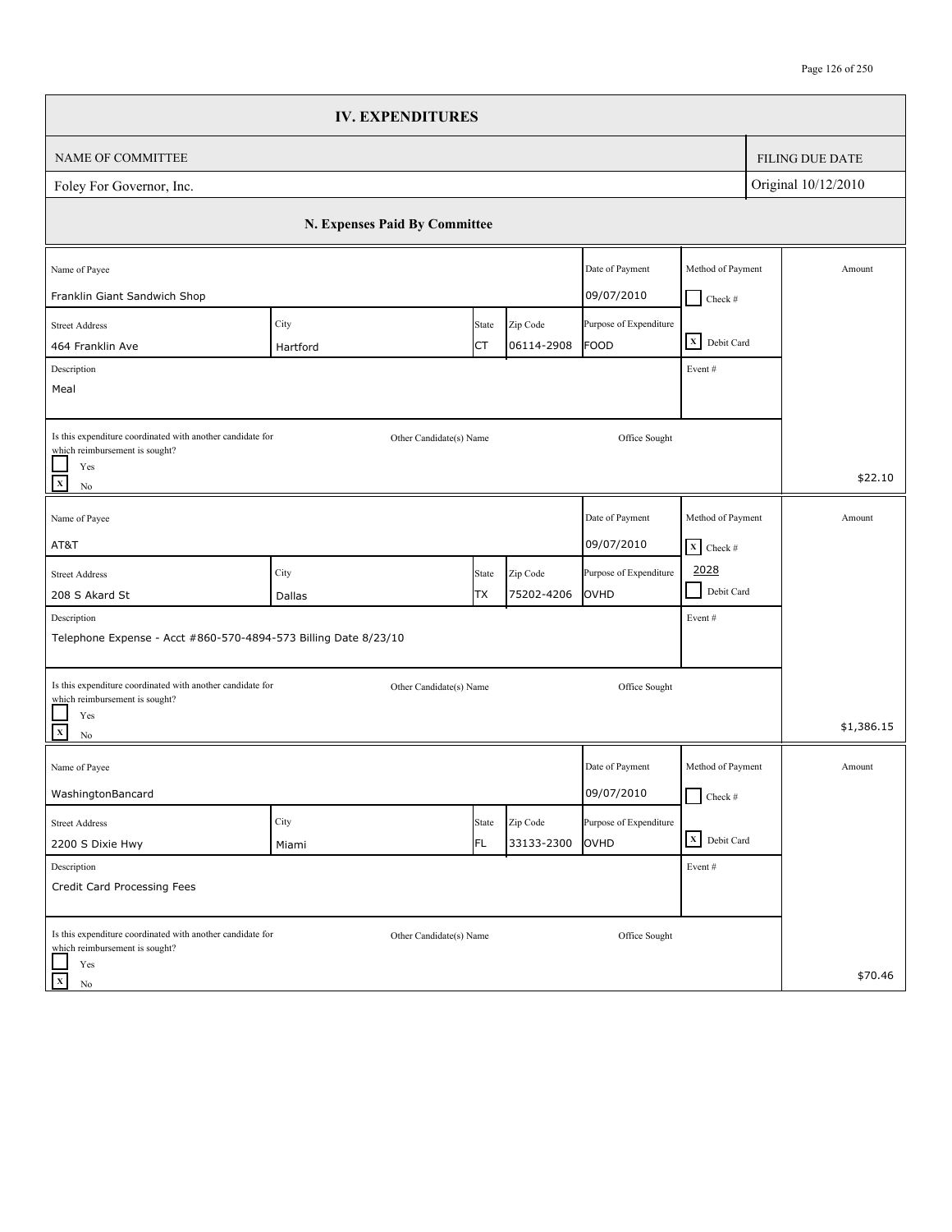|                                                                                              | <b>IV. EXPENDITURES</b>       |       |            |                        |                              |                        |
|----------------------------------------------------------------------------------------------|-------------------------------|-------|------------|------------------------|------------------------------|------------------------|
| NAME OF COMMITTEE                                                                            |                               |       |            |                        |                              | <b>FILING DUE DATE</b> |
| Foley For Governor, Inc.                                                                     |                               |       |            |                        |                              | Original 10/12/2010    |
|                                                                                              | N. Expenses Paid By Committee |       |            |                        |                              |                        |
| Name of Payee                                                                                |                               |       |            | Date of Payment        | Method of Payment            | Amount                 |
| Franklin Giant Sandwich Shop                                                                 |                               |       |            | 09/07/2010             | $Check$ #                    |                        |
| <b>Street Address</b>                                                                        | City                          | State | Zip Code   | Purpose of Expenditure | X Debit Card                 |                        |
| 464 Franklin Ave                                                                             | Hartford                      | СT    | 06114-2908 | <b>FOOD</b>            |                              |                        |
| Description<br>Meal                                                                          |                               |       |            |                        | Event#                       |                        |
|                                                                                              |                               |       |            |                        |                              |                        |
| Is this expenditure coordinated with another candidate for<br>which reimbursement is sought? | Other Candidate(s) Name       |       |            | Office Sought          |                              |                        |
| Yes<br>$\overline{\mathbf{x}}$<br>$\rm No$                                                   |                               |       |            |                        |                              | \$22.10                |
| Name of Payee                                                                                |                               |       |            | Date of Payment        | Method of Payment            | Amount                 |
| AT&T                                                                                         |                               |       |            | 09/07/2010             | $\mathbf{X}$ Check #         |                        |
| <b>Street Address</b>                                                                        | City                          | State | Zip Code   | Purpose of Expenditure | 2028                         |                        |
| 208 S Akard St                                                                               | Dallas                        | ТX    | 75202-4206 | OVHD                   | $\blacksquare$<br>Debit Card |                        |
| Description                                                                                  |                               |       |            |                        | Event#                       |                        |
| Telephone Expense - Acct #860-570-4894-573 Billing Date 8/23/10                              |                               |       |            |                        |                              |                        |
| Is this expenditure coordinated with another candidate for                                   | Other Candidate(s) Name       |       |            | Office Sought          |                              |                        |
| which reimbursement is sought?<br>Yes<br>$\overline{\mathbf{x}}$<br>$\rm No$                 |                               |       |            |                        |                              | \$1,386.15             |
| Name of Payee                                                                                |                               |       |            | Date of Payment        | Method of Payment            | Amount                 |
| WashingtonBancard                                                                            |                               |       |            | 09/07/2010             | $\Box$ Check #               |                        |
| <b>Street Address</b>                                                                        | City                          | State | Zip Code   | Purpose of Expenditure |                              |                        |
| 2200 S Dixie Hwy                                                                             | Miami                         | FL.   | 33133-2300 | OVHD                   | X Debit Card                 |                        |
| Description                                                                                  |                               |       |            |                        | Event#                       |                        |
| Credit Card Processing Fees                                                                  |                               |       |            |                        |                              |                        |
| Is this expenditure coordinated with another candidate for<br>which reimbursement is sought? | Other Candidate(s) Name       |       |            | Office Sought          |                              |                        |
| Yes<br>$\mathbf X$<br>No                                                                     |                               |       |            |                        |                              | \$70.46                |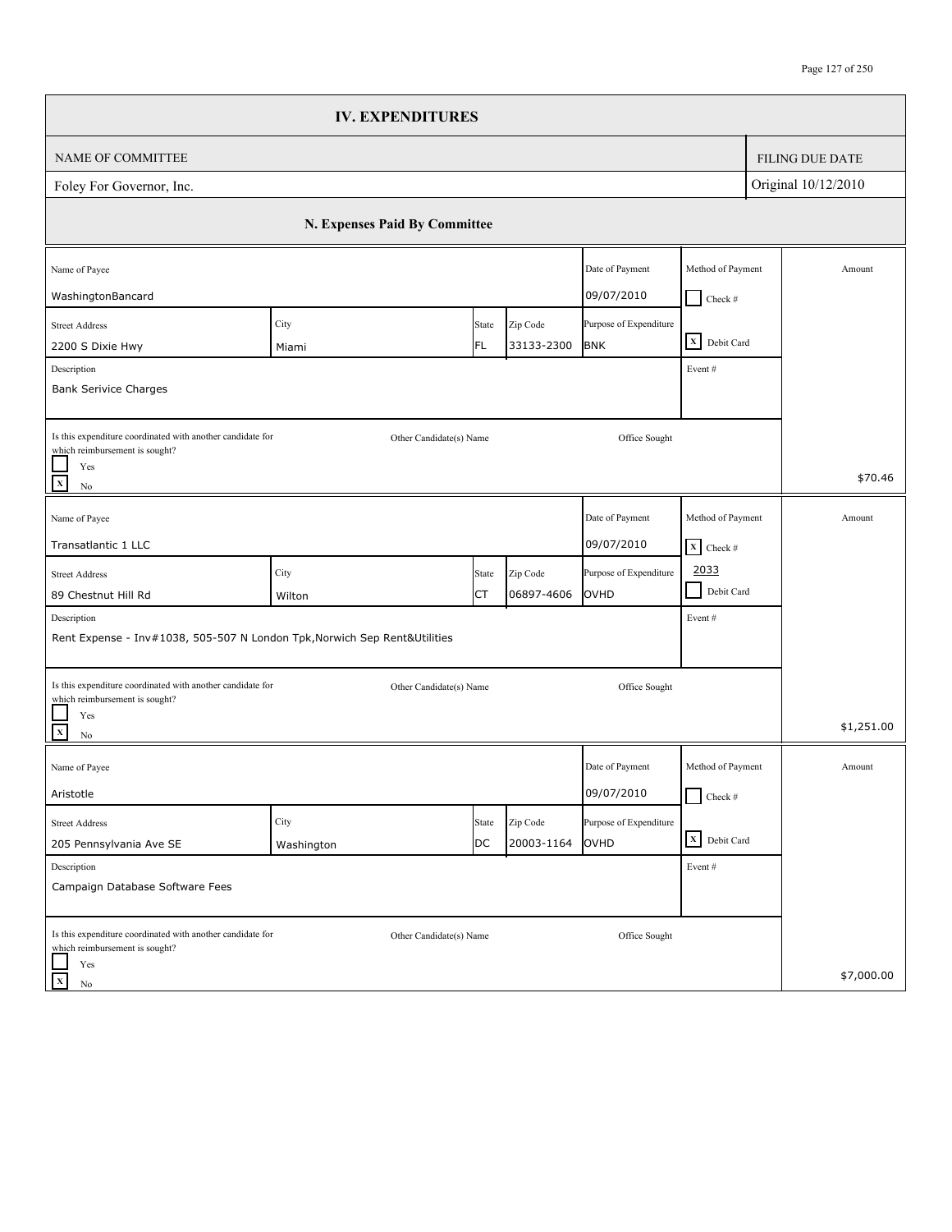|                                                                                              |                               | <b>IV. EXPENDITURES</b> |            |                        |                              |                        |
|----------------------------------------------------------------------------------------------|-------------------------------|-------------------------|------------|------------------------|------------------------------|------------------------|
| <b>NAME OF COMMITTEE</b>                                                                     |                               |                         |            |                        |                              | <b>FILING DUE DATE</b> |
| Foley For Governor, Inc.                                                                     |                               |                         |            |                        |                              | Original 10/12/2010    |
|                                                                                              | N. Expenses Paid By Committee |                         |            |                        |                              |                        |
| Name of Payee                                                                                |                               |                         |            | Date of Payment        | Method of Payment            | Amount                 |
| WashingtonBancard                                                                            |                               |                         |            | 09/07/2010             | $Check$ #                    |                        |
| <b>Street Address</b>                                                                        | City                          | State                   | Zip Code   | Purpose of Expenditure |                              |                        |
| 2200 S Dixie Hwy                                                                             | Miami                         | FL                      | 33133-2300 | <b>BNK</b>             | X Debit Card                 |                        |
| Description<br><b>Bank Serivice Charges</b>                                                  |                               |                         |            |                        | Event#                       |                        |
|                                                                                              |                               |                         |            |                        |                              |                        |
| Is this expenditure coordinated with another candidate for<br>which reimbursement is sought? |                               | Other Candidate(s) Name |            | Office Sought          |                              |                        |
| Yes<br>$\mathbf{x}$<br>No                                                                    |                               |                         |            |                        |                              | \$70.46                |
| Name of Payee                                                                                |                               |                         |            | Date of Payment        | Method of Payment            | Amount                 |
| Transatlantic 1 LLC                                                                          |                               |                         |            | 09/07/2010             | $\boxed{\mathbf{X}}$ Check # |                        |
| <b>Street Address</b>                                                                        | City                          | State                   | Zip Code   | Purpose of Expenditure | 2033                         |                        |
| 89 Chestnut Hill Rd                                                                          | Wilton                        | СT                      | 06897-4606 | OVHD                   | $\blacksquare$<br>Debit Card |                        |
| Description                                                                                  |                               |                         |            |                        | Event#                       |                        |
| Rent Expense - Inv#1038, 505-507 N London Tpk, Norwich Sep Rent&Utilities                    |                               |                         |            |                        |                              |                        |
| Is this expenditure coordinated with another candidate for                                   |                               | Other Candidate(s) Name |            | Office Sought          |                              |                        |
| which reimbursement is sought?<br>Yes<br>$\mathbf{x}$<br>No                                  |                               |                         |            |                        |                              | \$1,251.00             |
| Name of Payee                                                                                |                               |                         |            | Date of Payment        | Method of Payment            | Amount                 |
| Aristotle                                                                                    |                               |                         |            | 09/07/2010             | $\Box$ Check #               |                        |
| <b>Street Address</b>                                                                        | City                          | State                   | Zip Code   | Purpose of Expenditure |                              |                        |
| 205 Pennsylvania Ave SE                                                                      | Washington                    | DC                      | 20003-1164 | OVHD                   | X Debit Card                 |                        |
| Description                                                                                  |                               |                         |            |                        | Event #                      |                        |
| Campaign Database Software Fees                                                              |                               |                         |            |                        |                              |                        |
| Is this expenditure coordinated with another candidate for<br>which reimbursement is sought? |                               | Other Candidate(s) Name |            | Office Sought          |                              |                        |
| Yes<br>$\mathbf x$<br>No                                                                     |                               |                         |            |                        |                              | \$7,000.00             |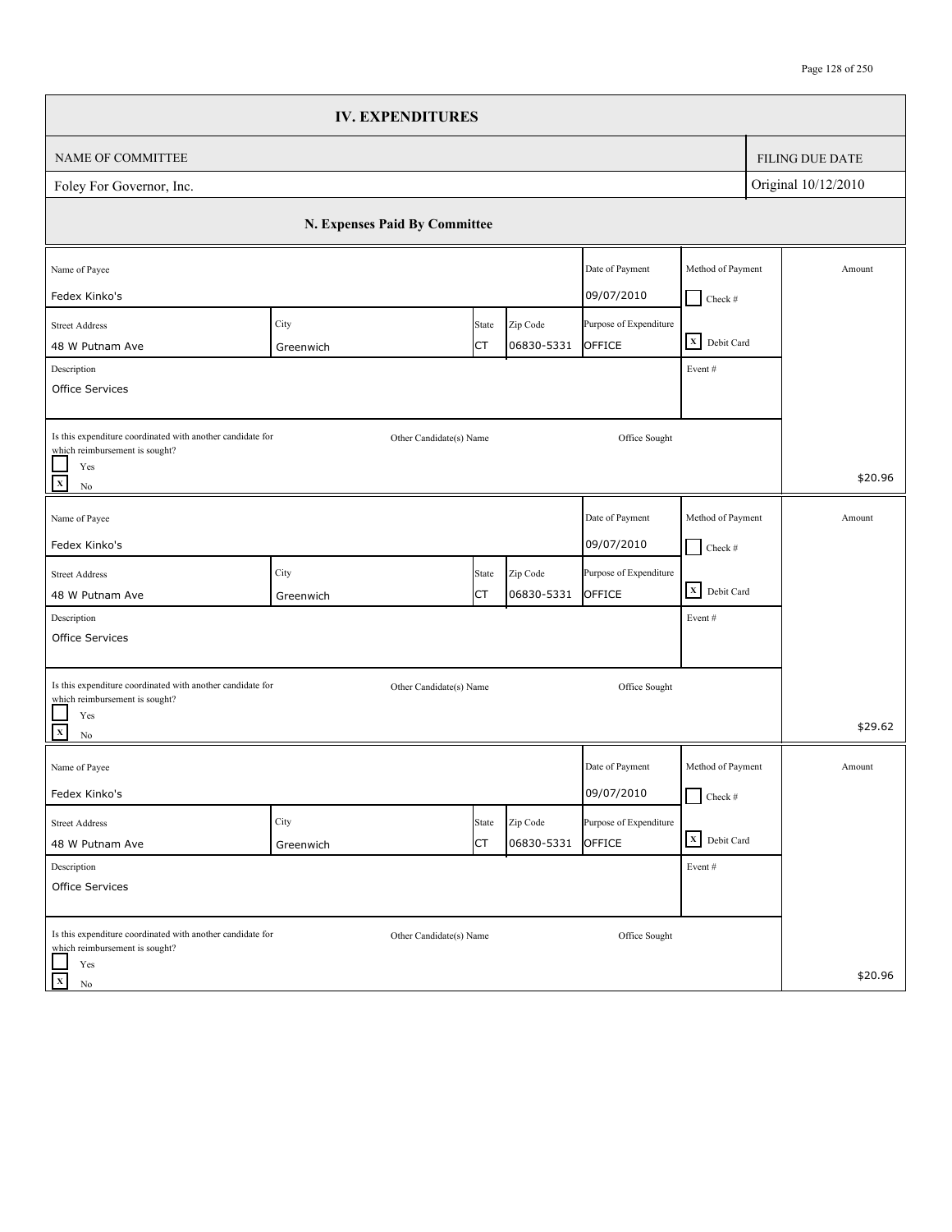|                                                                                              | <b>IV. EXPENDITURES</b>       |                         |                        |                                  |                                    |                        |
|----------------------------------------------------------------------------------------------|-------------------------------|-------------------------|------------------------|----------------------------------|------------------------------------|------------------------|
| NAME OF COMMITTEE                                                                            |                               |                         |                        |                                  |                                    | <b>FILING DUE DATE</b> |
| Foley For Governor, Inc.                                                                     |                               |                         |                        |                                  |                                    | Original 10/12/2010    |
|                                                                                              | N. Expenses Paid By Committee |                         |                        |                                  |                                    |                        |
| Name of Payee                                                                                |                               |                         |                        | Date of Payment                  | Method of Payment                  | Amount                 |
| Fedex Kinko's                                                                                |                               |                         |                        | 09/07/2010                       | $Check$ #                          |                        |
| <b>Street Address</b>                                                                        | City                          | State                   | Zip Code               | Purpose of Expenditure           | X Debit Card                       |                        |
| 48 W Putnam Ave                                                                              | Greenwich                     | СT                      | 06830-5331             | OFFICE                           |                                    |                        |
| Description<br>Office Services                                                               |                               |                         |                        |                                  | Event#                             |                        |
|                                                                                              |                               |                         |                        |                                  |                                    |                        |
| Is this expenditure coordinated with another candidate for<br>which reimbursement is sought? |                               | Other Candidate(s) Name |                        | Office Sought                    |                                    |                        |
| Yes<br>$\overline{x}$<br>$\rm No$                                                            |                               |                         |                        |                                  |                                    | \$20.96                |
| Name of Payee                                                                                |                               |                         |                        | Date of Payment                  | Method of Payment                  | Amount                 |
| Fedex Kinko's                                                                                |                               |                         |                        | 09/07/2010                       | $\Box$ Check #                     |                        |
|                                                                                              |                               |                         |                        |                                  |                                    |                        |
| <b>Street Address</b><br>48 W Putnam Ave                                                     | City<br>Greenwich             | State<br>СT             | Zip Code<br>06830-5331 | Purpose of Expenditure<br>OFFICE | $\overline{\mathbf{X}}$ Debit Card |                        |
| Description                                                                                  |                               |                         |                        |                                  | Event#                             |                        |
| Office Services                                                                              |                               |                         |                        |                                  |                                    |                        |
|                                                                                              |                               |                         |                        |                                  |                                    |                        |
| Is this expenditure coordinated with another candidate for                                   |                               | Other Candidate(s) Name |                        | Office Sought                    |                                    |                        |
| which reimbursement is sought?<br>Yes                                                        |                               |                         |                        |                                  |                                    |                        |
| $\overline{\mathbf{x}}$<br>$\rm No$                                                          |                               |                         |                        |                                  |                                    | \$29.62                |
| Name of Payee                                                                                |                               |                         |                        | Date of Payment                  | Method of Payment                  | Amount                 |
| Fedex Kinko's                                                                                |                               |                         |                        | 09/07/2010                       | $\Box$ Check #                     |                        |
| <b>Street Address</b>                                                                        | City                          | State                   | Zip Code               | Purpose of Expenditure           |                                    |                        |
| 48 W Putnam Ave                                                                              | Greenwich                     | СT                      | 06830-5331             | OFFICE                           | X Debit Card                       |                        |
| Description                                                                                  |                               |                         |                        |                                  | Event#                             |                        |
| Office Services                                                                              |                               |                         |                        |                                  |                                    |                        |
| Is this expenditure coordinated with another candidate for                                   |                               | Other Candidate(s) Name |                        | Office Sought                    |                                    |                        |
| which reimbursement is sought?<br>Yes                                                        |                               |                         |                        |                                  |                                    |                        |
| $\mathbf X$<br>No                                                                            |                               |                         |                        |                                  |                                    | \$20.96                |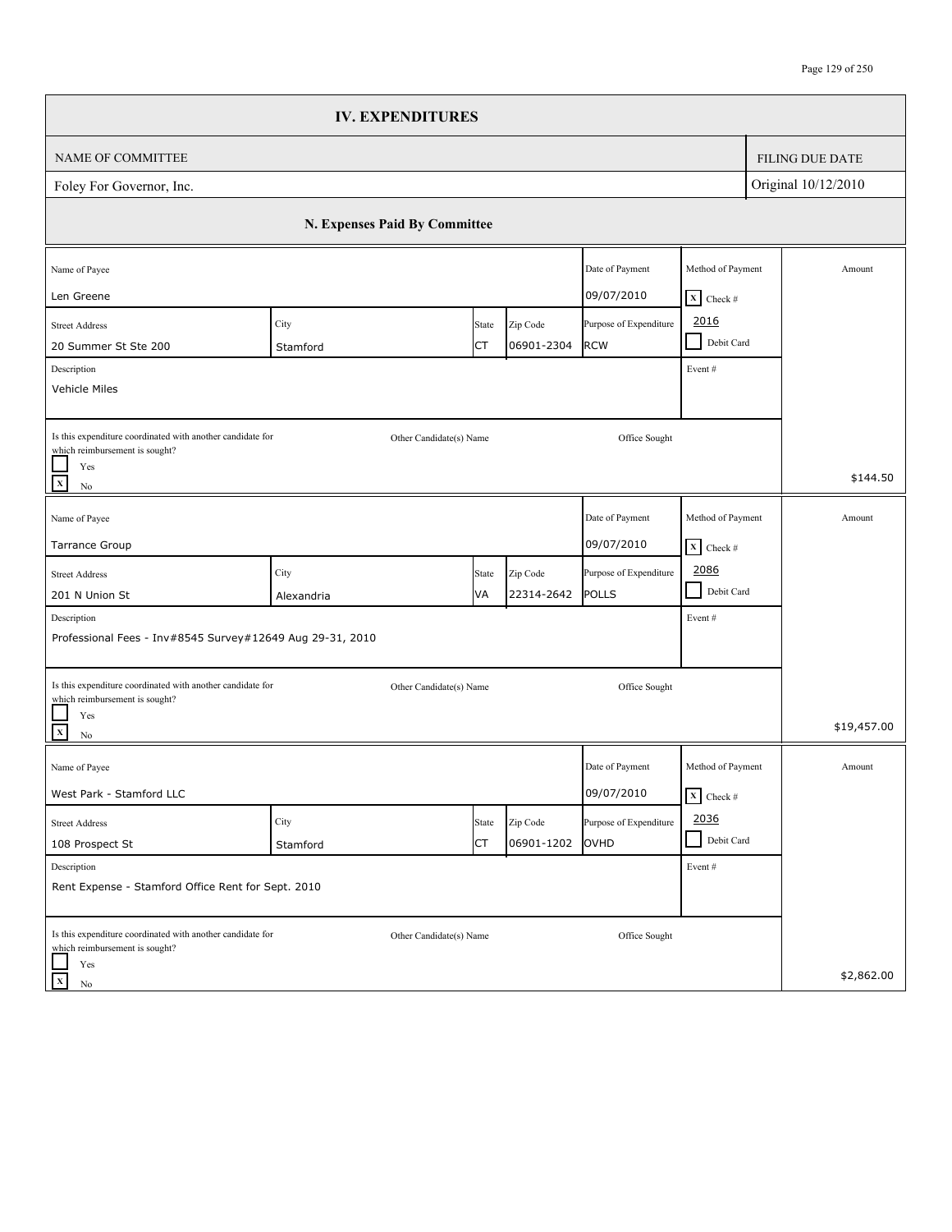|                                                                                                                                 | <b>IV. EXPENDITURES</b>       |             |                        |                                      |                                                      |                        |
|---------------------------------------------------------------------------------------------------------------------------------|-------------------------------|-------------|------------------------|--------------------------------------|------------------------------------------------------|------------------------|
| NAME OF COMMITTEE                                                                                                               |                               |             |                        |                                      |                                                      | <b>FILING DUE DATE</b> |
| Foley For Governor, Inc.                                                                                                        |                               |             |                        |                                      |                                                      | Original 10/12/2010    |
|                                                                                                                                 | N. Expenses Paid By Committee |             |                        |                                      |                                                      |                        |
| Name of Payee<br>Len Greene                                                                                                     |                               |             |                        | Date of Payment<br>09/07/2010        | Method of Payment<br>$X$ Check #                     | Amount                 |
| <b>Street Address</b><br>20 Summer St Ste 200<br>Description<br>Vehicle Miles                                                   | City<br>Stamford              | State<br>СT | Zip Code<br>06901-2304 | Purpose of Expenditure<br><b>RCW</b> | 2016<br>Debit Card<br>Event#                         |                        |
| Is this expenditure coordinated with another candidate for<br>which reimbursement is sought?<br>Yes<br>$\mathbf{x}$<br>$\rm No$ | Other Candidate(s) Name       |             |                        | Office Sought                        |                                                      | \$144.50               |
| Name of Payee<br>Tarrance Group                                                                                                 |                               |             |                        | Date of Payment<br>09/07/2010        | Method of Payment<br>$\boxed{\mathbf{X}}$ Check #    | Amount                 |
| <b>Street Address</b><br>201 N Union St                                                                                         | City<br>Alexandria            | State<br>VA | Zip Code<br>22314-2642 | Purpose of Expenditure<br>POLLS      | 2086<br>$\blacksquare$<br>Debit Card                 |                        |
| Description<br>Professional Fees - Inv#8545 Survey#12649 Aug 29-31, 2010                                                        |                               |             |                        |                                      | Event#                                               |                        |
| Is this expenditure coordinated with another candidate for<br>which reimbursement is sought?<br>Yes<br>$\mathbf{x}$<br>No       | Other Candidate(s) Name       |             |                        | Office Sought                        |                                                      | \$19,457.00            |
| Name of Payee<br>West Park - Stamford LLC                                                                                       |                               |             |                        | Date of Payment<br>09/07/2010        | Method of Payment<br>$\overline{\mathbf{x}}$ Check # | Amount                 |
| <b>Street Address</b><br>108 Prospect St                                                                                        | City<br>Stamford              | State<br>СT | Zip Code<br>06901-1202 | Purpose of Expenditure<br>OVHD       | 2036<br>Debit Card                                   |                        |
| Description<br>Rent Expense - Stamford Office Rent for Sept. 2010                                                               |                               |             |                        |                                      | Event #                                              |                        |
| Is this expenditure coordinated with another candidate for<br>which reimbursement is sought?<br>Yes<br>$\mathbf x$<br>No        | Other Candidate(s) Name       |             |                        | Office Sought                        |                                                      | \$2,862.00             |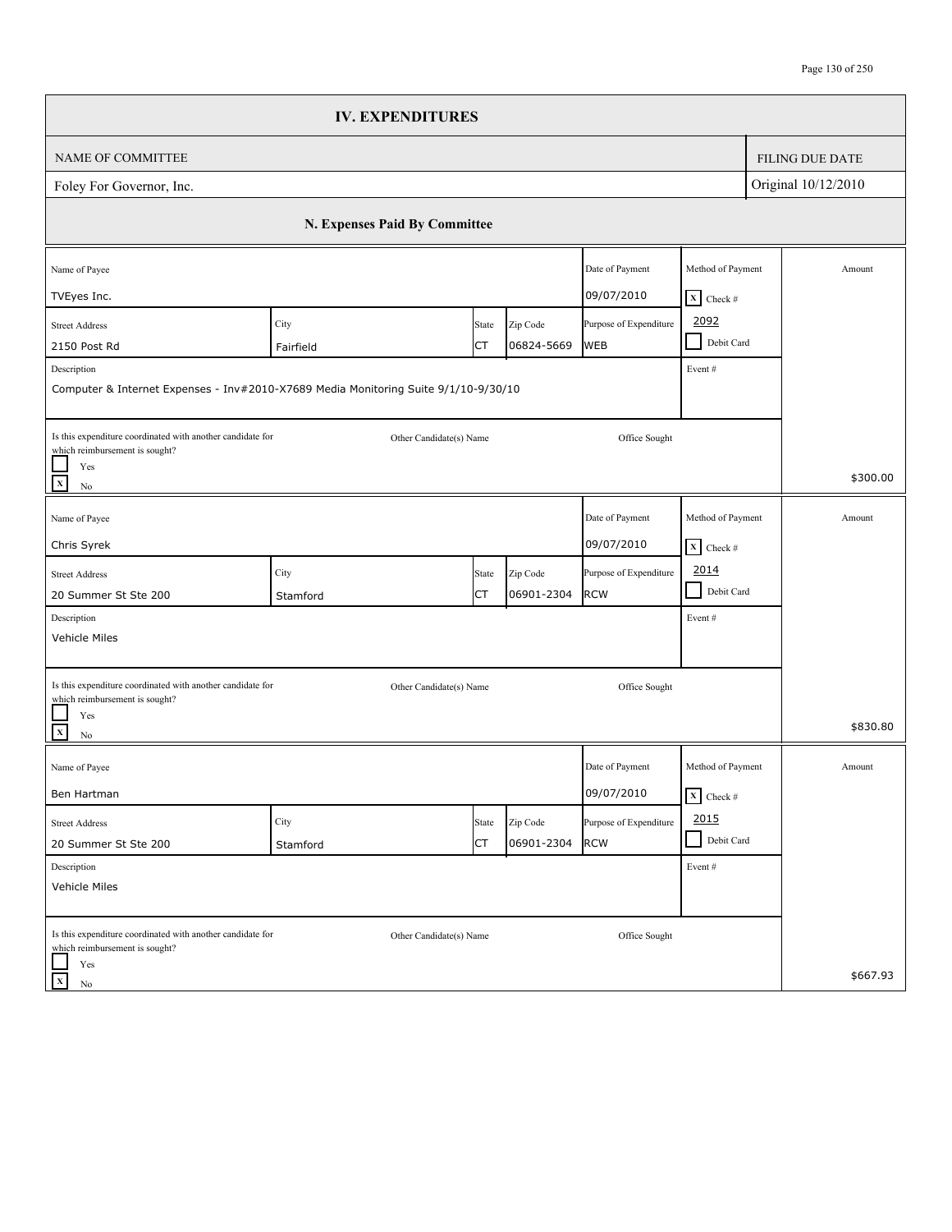|                                                                                              | <b>IV. EXPENDITURES</b>                                                             |             |                        |                                      |                                 |                        |
|----------------------------------------------------------------------------------------------|-------------------------------------------------------------------------------------|-------------|------------------------|--------------------------------------|---------------------------------|------------------------|
| <b>NAME OF COMMITTEE</b>                                                                     |                                                                                     |             |                        |                                      |                                 | <b>FILING DUE DATE</b> |
| Foley For Governor, Inc.                                                                     |                                                                                     |             |                        |                                      |                                 | Original 10/12/2010    |
|                                                                                              | N. Expenses Paid By Committee                                                       |             |                        |                                      |                                 |                        |
| Name of Payee                                                                                |                                                                                     |             |                        | Date of Payment                      | Method of Payment               | Amount                 |
| TVEyes Inc.                                                                                  |                                                                                     |             |                        | 09/07/2010                           | $X$ Check #                     |                        |
| <b>Street Address</b>                                                                        | City                                                                                | State<br>СT | Zip Code<br>06824-5669 | Purpose of Expenditure<br><b>WEB</b> | 2092<br>Debit Card<br>$\sim$    |                        |
| 2150 Post Rd<br>Description                                                                  | Fairfield                                                                           |             |                        |                                      |                                 |                        |
|                                                                                              | Computer & Internet Expenses - Inv#2010-X7689 Media Monitoring Suite 9/1/10-9/30/10 |             |                        |                                      | Event#                          |                        |
| Is this expenditure coordinated with another candidate for<br>which reimbursement is sought? | Other Candidate(s) Name                                                             |             |                        | Office Sought                        |                                 |                        |
| Yes<br>$\mathbf{x}$<br>No                                                                    |                                                                                     |             |                        |                                      |                                 | \$300.00               |
| Name of Payee                                                                                |                                                                                     |             |                        | Date of Payment                      | Method of Payment               | Amount                 |
| Chris Syrek                                                                                  |                                                                                     |             |                        | 09/07/2010                           | $\boxed{\mathbf{X}}$ Check #    |                        |
| <b>Street Address</b>                                                                        | City                                                                                | State       | Zip Code               | Purpose of Expenditure               | 2014                            |                        |
| 20 Summer St Ste 200                                                                         | Stamford                                                                            | СT          | 06901-2304             | <b>RCW</b>                           | $\blacksquare$<br>Debit Card    |                        |
| Description                                                                                  |                                                                                     |             |                        |                                      | Event#                          |                        |
| Vehicle Miles                                                                                |                                                                                     |             |                        |                                      |                                 |                        |
| Is this expenditure coordinated with another candidate for                                   | Other Candidate(s) Name                                                             |             |                        | Office Sought                        |                                 |                        |
| which reimbursement is sought?<br>Yes<br>$\mathbf{x}$<br>No                                  |                                                                                     |             |                        |                                      |                                 | \$830.80               |
| Name of Payee                                                                                |                                                                                     |             |                        | Date of Payment                      | Method of Payment               | Amount                 |
| Ben Hartman                                                                                  |                                                                                     |             |                        | 09/07/2010                           | $\overline{\mathbf{X}}$ Check # |                        |
| <b>Street Address</b>                                                                        | City                                                                                | State       | Zip Code               | Purpose of Expenditure               | 2015                            |                        |
| 20 Summer St Ste 200                                                                         | Stamford                                                                            | СT          | 06901-2304             | <b>RCW</b>                           | Debit Card                      |                        |
| Description<br>Vehicle Miles                                                                 |                                                                                     |             |                        |                                      | Event #                         |                        |
| Is this expenditure coordinated with another candidate for<br>which reimbursement is sought? | Other Candidate(s) Name                                                             |             |                        | Office Sought                        |                                 |                        |
| Yes<br>$\mathbf x$<br>No                                                                     |                                                                                     |             |                        |                                      |                                 | \$667.93               |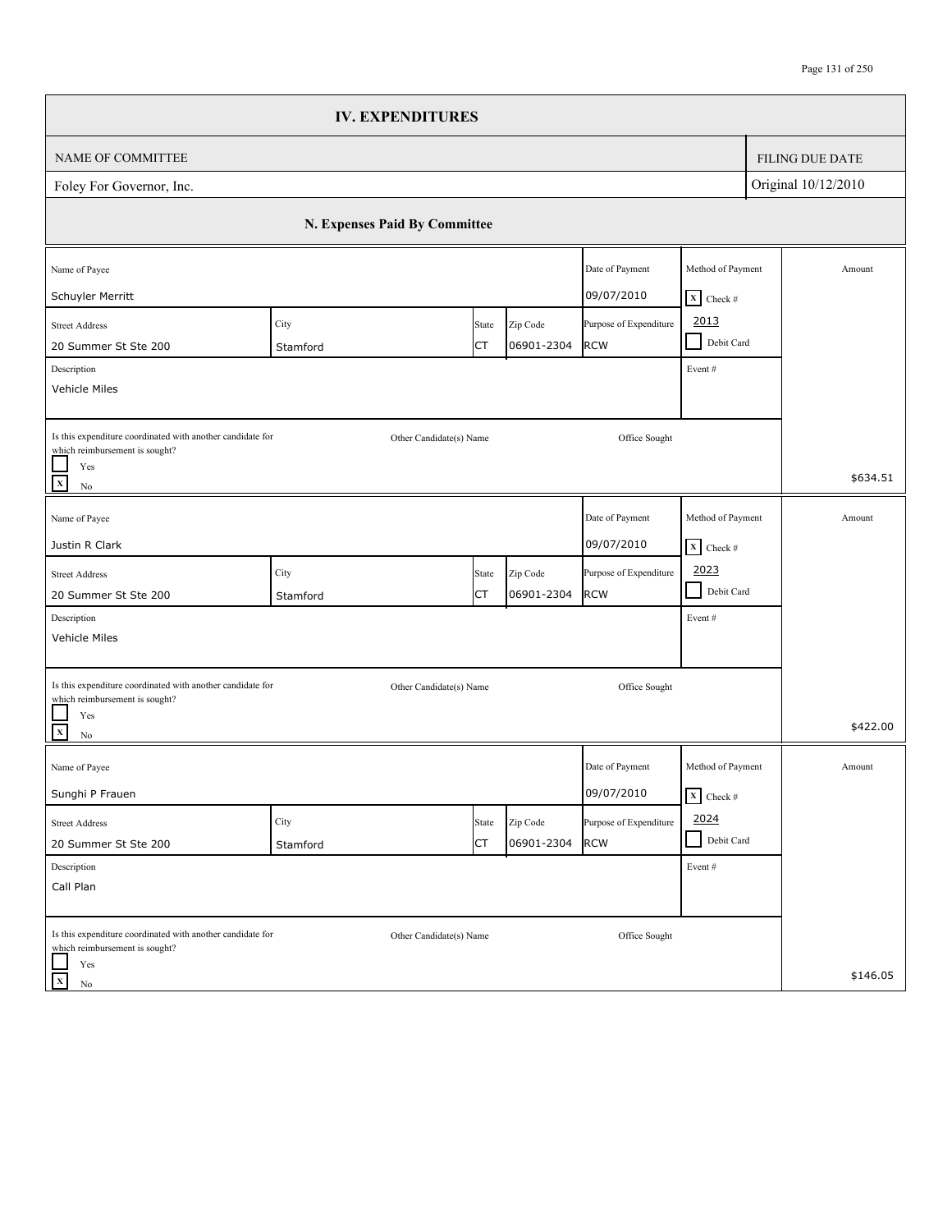|                                                                                                                                 | <b>IV. EXPENDITURES</b>       |             |                        |                                      |                                                      |                        |
|---------------------------------------------------------------------------------------------------------------------------------|-------------------------------|-------------|------------------------|--------------------------------------|------------------------------------------------------|------------------------|
| NAME OF COMMITTEE                                                                                                               |                               |             |                        |                                      |                                                      | <b>FILING DUE DATE</b> |
| Foley For Governor, Inc.                                                                                                        |                               |             |                        |                                      |                                                      | Original 10/12/2010    |
|                                                                                                                                 | N. Expenses Paid By Committee |             |                        |                                      |                                                      |                        |
| Name of Payee<br>Schuyler Merritt                                                                                               |                               |             |                        | Date of Payment<br>09/07/2010        | Method of Payment                                    | Amount                 |
| <b>Street Address</b><br>20 Summer St Ste 200                                                                                   | City<br>Stamford              | State<br>СT | Zip Code<br>06901-2304 | Purpose of Expenditure<br><b>RCW</b> | $X$ Check #<br>2013<br>Debit Card<br>$\blacksquare$  |                        |
| Description<br>Vehicle Miles                                                                                                    |                               |             |                        |                                      | Event #                                              |                        |
| Is this expenditure coordinated with another candidate for<br>which reimbursement is sought?<br>Yes<br>$\mathbf x$<br>$\rm No$  | Other Candidate(s) Name       |             |                        | Office Sought                        |                                                      | \$634.51               |
| Name of Payee<br>Justin R Clark                                                                                                 |                               |             |                        | Date of Payment<br>09/07/2010        | Method of Payment<br>$\overline{\mathbf{X}}$ Check # | Amount                 |
| <b>Street Address</b><br>20 Summer St Ste 200                                                                                   | City<br>Stamford              | State<br>СT | Zip Code<br>06901-2304 | Purpose of Expenditure<br><b>RCW</b> | 2023<br>$\blacksquare$<br>Debit Card                 |                        |
| Description<br>Vehicle Miles                                                                                                    |                               |             |                        |                                      | Event#                                               |                        |
| Is this expenditure coordinated with another candidate for<br>which reimbursement is sought?<br>Yes<br>$\mathbf{x}$<br>$\rm No$ | Other Candidate(s) Name       |             |                        | Office Sought                        |                                                      | \$422.00               |
| Name of Payee<br>Sunghi P Frauen                                                                                                |                               |             |                        | Date of Payment<br>09/07/2010        | Method of Payment<br>$\overline{\mathbf{X}}$ Check # | Amount                 |
| <b>Street Address</b><br>20 Summer St Ste 200                                                                                   | City<br>Stamford              | State<br>СT | Zip Code<br>06901-2304 | Purpose of Expenditure<br><b>RCW</b> | 2024<br>Debit Card<br>- 1                            |                        |
| Description<br>Call Plan                                                                                                        |                               |             |                        |                                      | Event#                                               |                        |
| Is this expenditure coordinated with another candidate for<br>which reimbursement is sought?<br>Yes                             | Other Candidate(s) Name       |             |                        | Office Sought                        |                                                      |                        |
| $\mathbf X$<br>No                                                                                                               |                               |             |                        |                                      |                                                      | \$146.05               |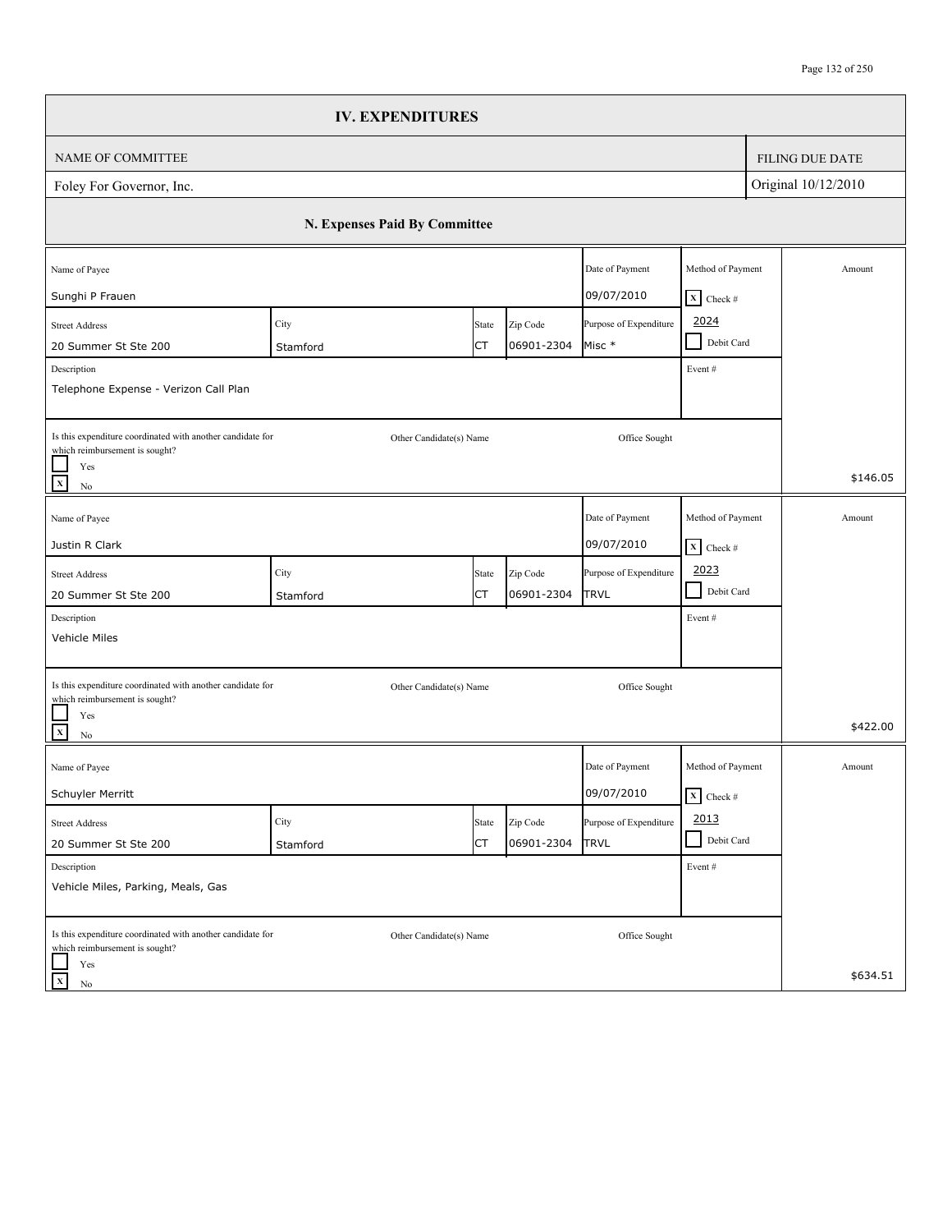|                                                                                                                           | <b>IV. EXPENDITURES</b>       |             |                        |                                       |                                                   |                        |
|---------------------------------------------------------------------------------------------------------------------------|-------------------------------|-------------|------------------------|---------------------------------------|---------------------------------------------------|------------------------|
| <b>NAME OF COMMITTEE</b>                                                                                                  |                               |             |                        |                                       |                                                   | <b>FILING DUE DATE</b> |
| Foley For Governor, Inc.                                                                                                  |                               |             |                        |                                       |                                                   | Original 10/12/2010    |
|                                                                                                                           | N. Expenses Paid By Committee |             |                        |                                       |                                                   |                        |
| Name of Payee<br>Sunghi P Frauen                                                                                          |                               |             |                        | Date of Payment<br>09/07/2010         | Method of Payment                                 | Amount                 |
| <b>Street Address</b><br>20 Summer St Ste 200                                                                             | City<br>Stamford              | State<br>СT | Zip Code<br>06901-2304 | Purpose of Expenditure<br>Misc *      | $X$ Check #<br>2024<br>Debit Card<br>$\sim$       |                        |
| Description<br>Telephone Expense - Verizon Call Plan                                                                      |                               |             |                        |                                       | Event#                                            |                        |
| Is this expenditure coordinated with another candidate for<br>which reimbursement is sought?<br>Yes<br>$\mathbf{x}$<br>No | Other Candidate(s) Name       |             |                        | Office Sought                         |                                                   | \$146.05               |
| Name of Payee<br>Justin R Clark                                                                                           |                               |             |                        | Date of Payment<br>09/07/2010         | Method of Payment<br>$\boxed{\mathbf{X}}$ Check # | Amount                 |
| <b>Street Address</b><br>20 Summer St Ste 200                                                                             | City<br>Stamford              | State<br>СT | Zip Code<br>06901-2304 | Purpose of Expenditure<br><b>TRVL</b> | 2023<br>Debit Card<br>$\blacksquare$              |                        |
| Description<br>Vehicle Miles                                                                                              |                               |             |                        |                                       | Event#                                            |                        |
| Is this expenditure coordinated with another candidate for<br>which reimbursement is sought?<br>Yes<br>$\mathbf{x}$<br>No | Other Candidate(s) Name       |             |                        | Office Sought                         |                                                   | \$422.00               |
| Name of Payee<br>Schuyler Merritt                                                                                         |                               |             |                        | Date of Payment<br>09/07/2010         | Method of Payment<br>$\boxed{\mathbf{X}}$ Check # | Amount                 |
| <b>Street Address</b><br>20 Summer St Ste 200                                                                             | City<br>Stamford              | State<br>СT | Zip Code<br>06901-2304 | Purpose of Expenditure<br><b>TRVL</b> | 2013<br>Debit Card                                |                        |
| Description<br>Vehicle Miles, Parking, Meals, Gas                                                                         |                               |             |                        |                                       | Event #                                           |                        |
| Is this expenditure coordinated with another candidate for<br>which reimbursement is sought?<br>Yes                       | Other Candidate(s) Name       |             |                        | Office Sought                         |                                                   |                        |
| $\mathbf x$<br>No                                                                                                         |                               |             |                        |                                       |                                                   | \$634.51               |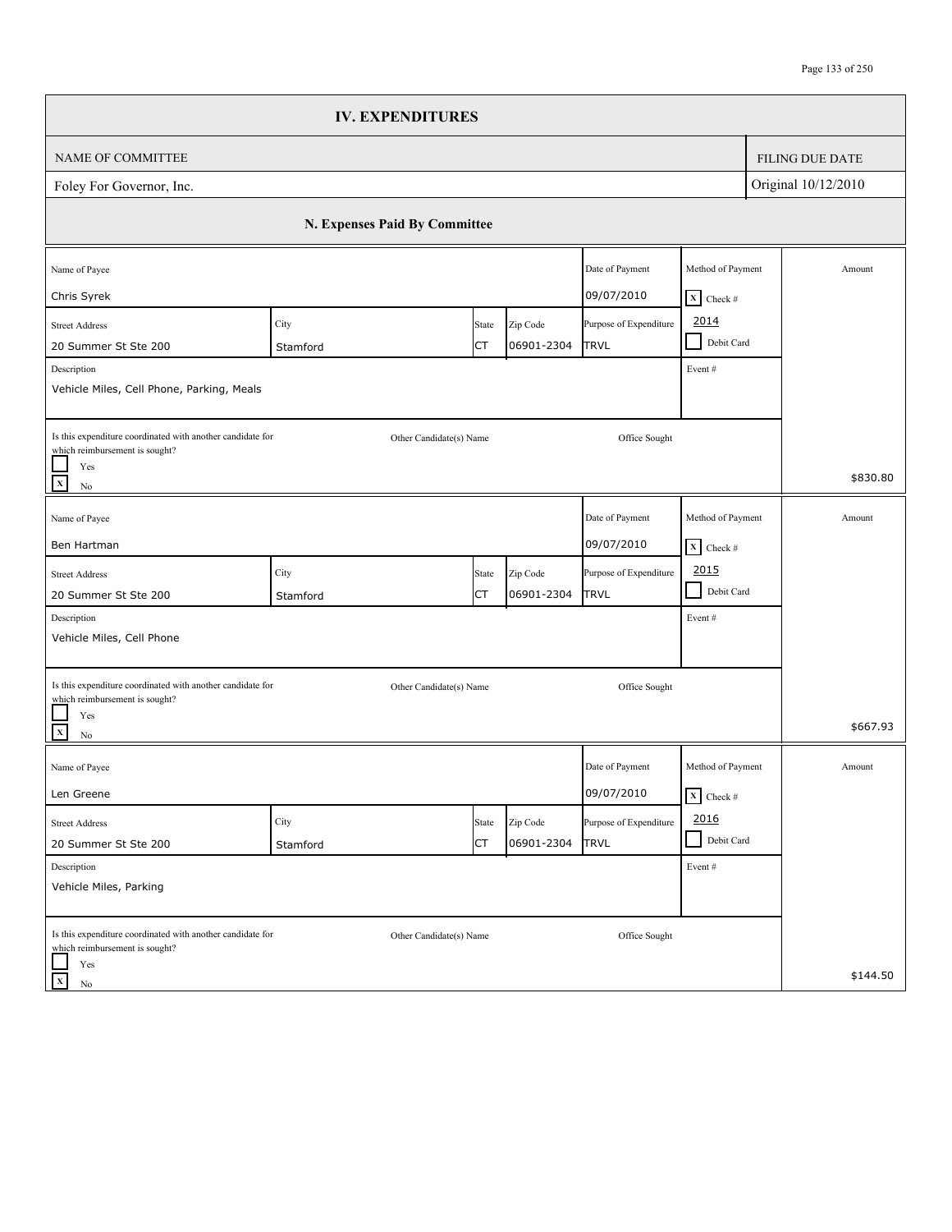|                                                                                                                                                                         | <b>IV. EXPENDITURES</b>       |             |                        |                                       |                                                |                     |                        |
|-------------------------------------------------------------------------------------------------------------------------------------------------------------------------|-------------------------------|-------------|------------------------|---------------------------------------|------------------------------------------------|---------------------|------------------------|
| NAME OF COMMITTEE                                                                                                                                                       |                               |             |                        |                                       |                                                |                     | <b>FILING DUE DATE</b> |
| Foley For Governor, Inc.                                                                                                                                                |                               |             |                        |                                       |                                                | Original 10/12/2010 |                        |
|                                                                                                                                                                         | N. Expenses Paid By Committee |             |                        |                                       |                                                |                     |                        |
| Name of Payee<br>Chris Syrek                                                                                                                                            |                               |             |                        | Date of Payment<br>09/07/2010         | Method of Payment<br>$X$ Check #               |                     | Amount                 |
| <b>Street Address</b><br>20 Summer St Ste 200<br>Description<br>Vehicle Miles, Cell Phone, Parking, Meals                                                               | City<br>Stamford              | State<br>СT | Zip Code<br>06901-2304 | Purpose of Expenditure<br><b>TRVL</b> | 2014<br>Debit Card<br>$\blacksquare$<br>Event# |                     |                        |
| Is this expenditure coordinated with another candidate for<br>which reimbursement is sought?<br>Yes<br>$\overline{\mathbf{x}}$<br>$\rm No$                              | Other Candidate(s) Name       |             |                        | Office Sought                         |                                                |                     | \$830.80               |
| Name of Payee<br>Ben Hartman                                                                                                                                            |                               |             |                        | Date of Payment<br>09/07/2010         | Method of Payment<br>$X$ Check #               |                     | Amount                 |
| <b>Street Address</b><br>20 Summer St Ste 200<br>Description                                                                                                            | City<br>Stamford              | State<br>СT | Zip Code<br>06901-2304 | Purpose of Expenditure<br>TRVL        | 2015<br>$\blacksquare$<br>Debit Card<br>Event# |                     |                        |
| Vehicle Miles, Cell Phone<br>Is this expenditure coordinated with another candidate for<br>which reimbursement is sought?<br>Yes<br>$\overline{\mathbf{x}}$<br>$\rm No$ | Other Candidate(s) Name       |             |                        | Office Sought                         |                                                |                     | \$667.93               |
| Name of Payee<br>Len Greene                                                                                                                                             |                               |             |                        | Date of Payment<br>09/07/2010         | Method of Payment<br>$\mathbf{X}$ Check #      |                     | Amount                 |
| <b>Street Address</b><br>20 Summer St Ste 200                                                                                                                           | City<br>Stamford              | State<br>СT | Zip Code<br>06901-2304 | Purpose of Expenditure<br><b>TRVL</b> | 2016<br>Debit Card<br>$\blacksquare$           |                     |                        |
| Description<br>Vehicle Miles, Parking                                                                                                                                   |                               |             |                        |                                       | Event#                                         |                     |                        |
| Is this expenditure coordinated with another candidate for<br>which reimbursement is sought?<br>Yes<br>$\mathbf X$<br>No                                                | Other Candidate(s) Name       |             |                        | Office Sought                         |                                                |                     | \$144.50               |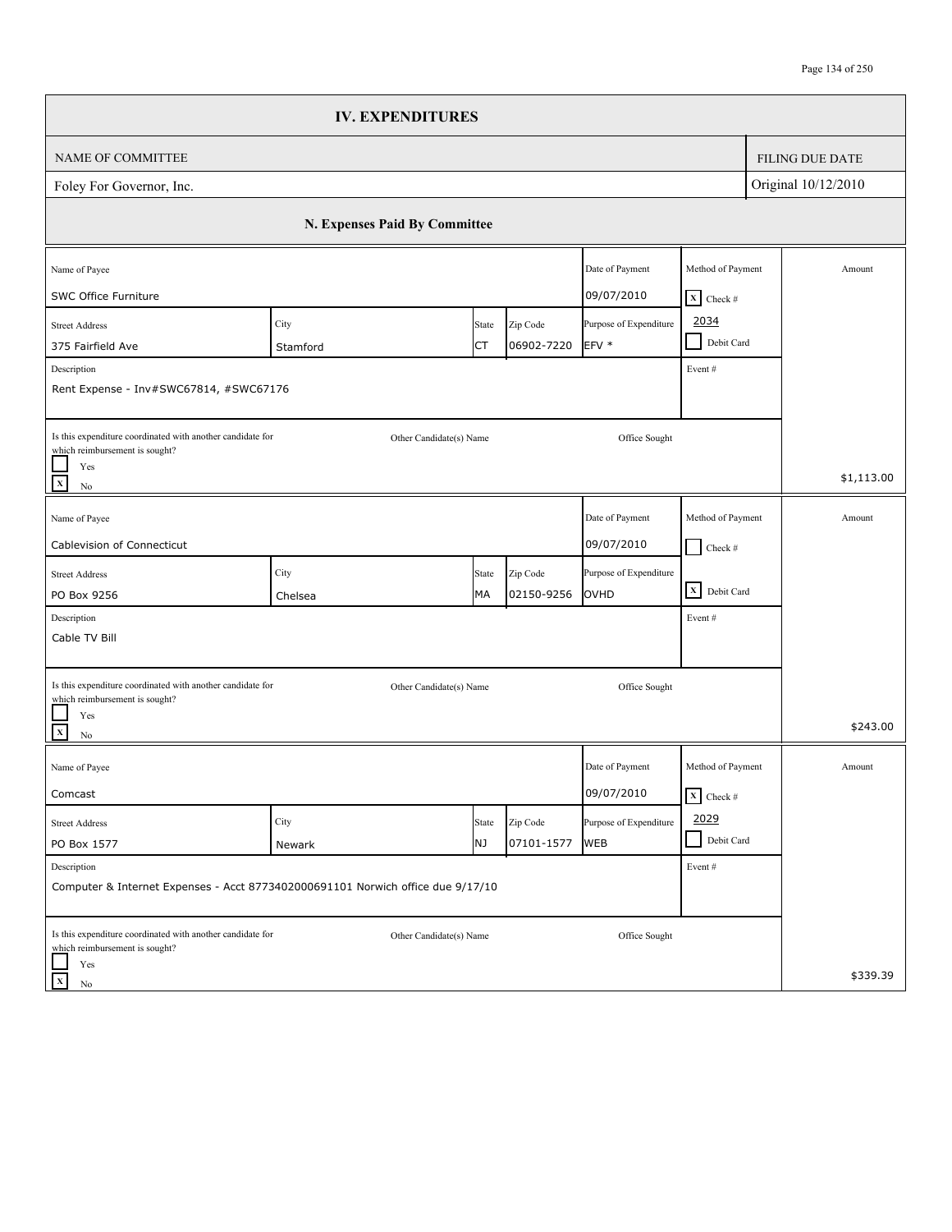|                                                                                                     | <b>IV. EXPENDITURES</b>       |       |            |                        |                              |                        |
|-----------------------------------------------------------------------------------------------------|-------------------------------|-------|------------|------------------------|------------------------------|------------------------|
| NAME OF COMMITTEE                                                                                   |                               |       |            |                        |                              | <b>FILING DUE DATE</b> |
| Foley For Governor, Inc.                                                                            |                               |       |            |                        |                              | Original 10/12/2010    |
|                                                                                                     | N. Expenses Paid By Committee |       |            |                        |                              |                        |
| Name of Payee                                                                                       |                               |       |            | Date of Payment        | Method of Payment            | Amount                 |
| SWC Office Furniture                                                                                |                               |       |            | 09/07/2010             | $X$ Check #                  |                        |
| <b>Street Address</b>                                                                               | City                          | State | Zip Code   | Purpose of Expenditure | 2034<br>Debit Card           |                        |
| 375 Fairfield Ave                                                                                   | Stamford                      | СT    | 06902-7220 | EFV *                  |                              |                        |
| Description<br>Rent Expense - Inv#SWC67814, #SWC67176                                               |                               |       |            |                        | Event#                       |                        |
| Is this expenditure coordinated with another candidate for                                          | Other Candidate(s) Name       |       |            | Office Sought          |                              |                        |
| which reimbursement is sought?<br>Yes<br>$\mathbf{x}$<br>No                                         |                               |       |            |                        |                              | \$1,113.00             |
|                                                                                                     |                               |       |            |                        |                              |                        |
| Name of Payee                                                                                       |                               |       |            | Date of Payment        | Method of Payment            | Amount                 |
| Cablevision of Connecticut                                                                          |                               |       |            | 09/07/2010             | $\blacksquare$<br>Check #    |                        |
| <b>Street Address</b>                                                                               | City                          | State | Zip Code   | Purpose of Expenditure |                              |                        |
| PO Box 9256                                                                                         | Chelsea                       | MA    | 02150-9256 | OVHD                   | X Debit Card                 |                        |
| Description                                                                                         |                               |       |            |                        | Event#                       |                        |
| Cable TV Bill                                                                                       |                               |       |            |                        |                              |                        |
| Is this expenditure coordinated with another candidate for                                          | Other Candidate(s) Name       |       |            | Office Sought          |                              |                        |
| which reimbursement is sought?<br>Yes<br>$\mathbf{x}$<br>No                                         |                               |       |            |                        |                              | \$243.00               |
| Name of Payee                                                                                       |                               |       |            | Date of Payment        | Method of Payment            | Amount                 |
| Comcast                                                                                             |                               |       |            | 09/07/2010             | $\boxed{\mathbf{X}}$ Check # |                        |
| <b>Street Address</b>                                                                               | City                          | State | Zip Code   | Purpose of Expenditure | 2029                         |                        |
| PO Box 1577                                                                                         | Newark                        | NJ    | 07101-1577 | <b>WEB</b>             | Debit Card                   |                        |
| Description<br>Computer & Internet Expenses - Acct 8773402000691101 Norwich office due 9/17/10      |                               |       |            |                        | Event #                      |                        |
| Is this expenditure coordinated with another candidate for<br>which reimbursement is sought?<br>Yes | Other Candidate(s) Name       |       |            | Office Sought          |                              |                        |
| $\mathbf x$<br>No                                                                                   |                               |       |            |                        |                              | \$339.39               |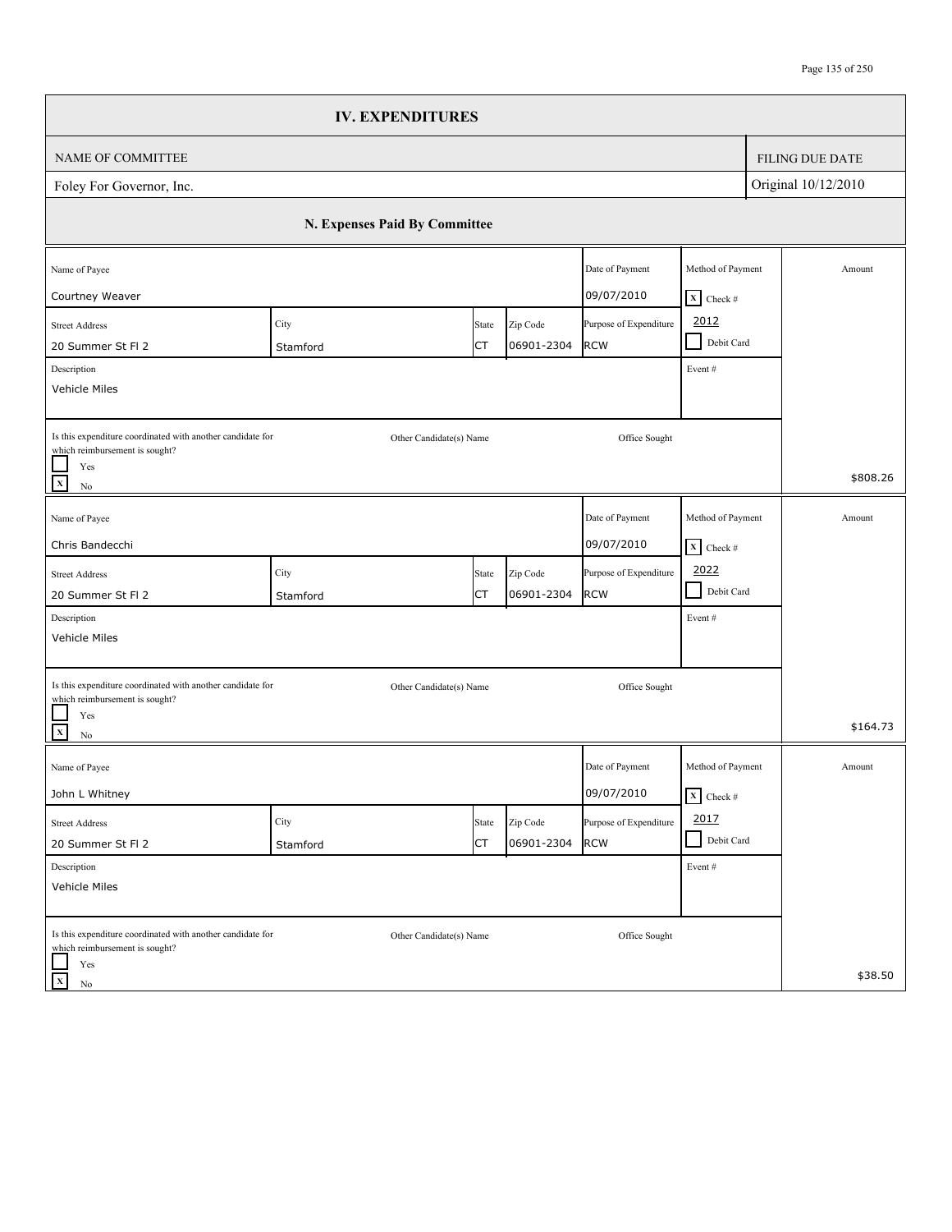|                                                                                                                                   | <b>IV. EXPENDITURES</b>       |             |                        |                                      |                                                   |                        |
|-----------------------------------------------------------------------------------------------------------------------------------|-------------------------------|-------------|------------------------|--------------------------------------|---------------------------------------------------|------------------------|
| NAME OF COMMITTEE                                                                                                                 |                               |             |                        |                                      |                                                   | <b>FILING DUE DATE</b> |
| Foley For Governor, Inc.                                                                                                          |                               |             |                        |                                      |                                                   | Original 10/12/2010    |
|                                                                                                                                   | N. Expenses Paid By Committee |             |                        |                                      |                                                   |                        |
| Name of Payee<br>Courtney Weaver                                                                                                  |                               |             |                        | Date of Payment<br>09/07/2010        | Method of Payment<br>$X$ Check #                  | Amount                 |
| <b>Street Address</b><br>20 Summer St Fl 2<br>Description                                                                         | City<br>Stamford              | State<br>СT | Zip Code<br>06901-2304 | Purpose of Expenditure<br><b>RCW</b> | 2012<br>Debit Card<br>$\blacksquare$<br>Event#    |                        |
| Vehicle Miles                                                                                                                     |                               |             |                        |                                      |                                                   |                        |
| Is this expenditure coordinated with another candidate for<br>which reimbursement is sought?<br>Yes<br>$\overline{x}$<br>$\rm No$ | Other Candidate(s) Name       |             |                        | Office Sought                        |                                                   | \$808.26               |
| Name of Payee<br>Chris Bandecchi                                                                                                  |                               |             |                        | Date of Payment<br>09/07/2010        | Method of Payment<br>$\boxed{\mathbf{X}}$ Check # | Amount                 |
| <b>Street Address</b><br>20 Summer St Fl 2                                                                                        | City<br>Stamford              | State<br>СT | Zip Code<br>06901-2304 | Purpose of Expenditure<br><b>RCW</b> | 2022<br>$\blacksquare$<br>Debit Card              |                        |
| Description<br>Vehicle Miles                                                                                                      |                               |             |                        |                                      | Event#                                            |                        |
| Is this expenditure coordinated with another candidate for<br>which reimbursement is sought?<br>Yes                               | Other Candidate(s) Name       |             |                        | Office Sought                        |                                                   |                        |
| $\overline{\mathbf{x}}$<br>$\rm No$                                                                                               |                               |             |                        |                                      |                                                   | \$164.73               |
| Name of Payee<br>John L Whitney                                                                                                   |                               |             |                        | Date of Payment<br>09/07/2010        | Method of Payment<br>$\mathbf{X}$ Check #         | Amount                 |
| <b>Street Address</b><br>20 Summer St Fl 2                                                                                        | City<br>Stamford              | State<br>СT | Zip Code<br>06901-2304 | Purpose of Expenditure<br><b>RCW</b> | 2017<br>Debit Card                                |                        |
| Description<br>Vehicle Miles                                                                                                      |                               |             |                        |                                      | Event#                                            |                        |
| Is this expenditure coordinated with another candidate for<br>which reimbursement is sought?<br>Yes                               | Other Candidate(s) Name       |             |                        | Office Sought                        |                                                   |                        |
| $\mathbf X$<br>No                                                                                                                 |                               |             |                        |                                      |                                                   | \$38.50                |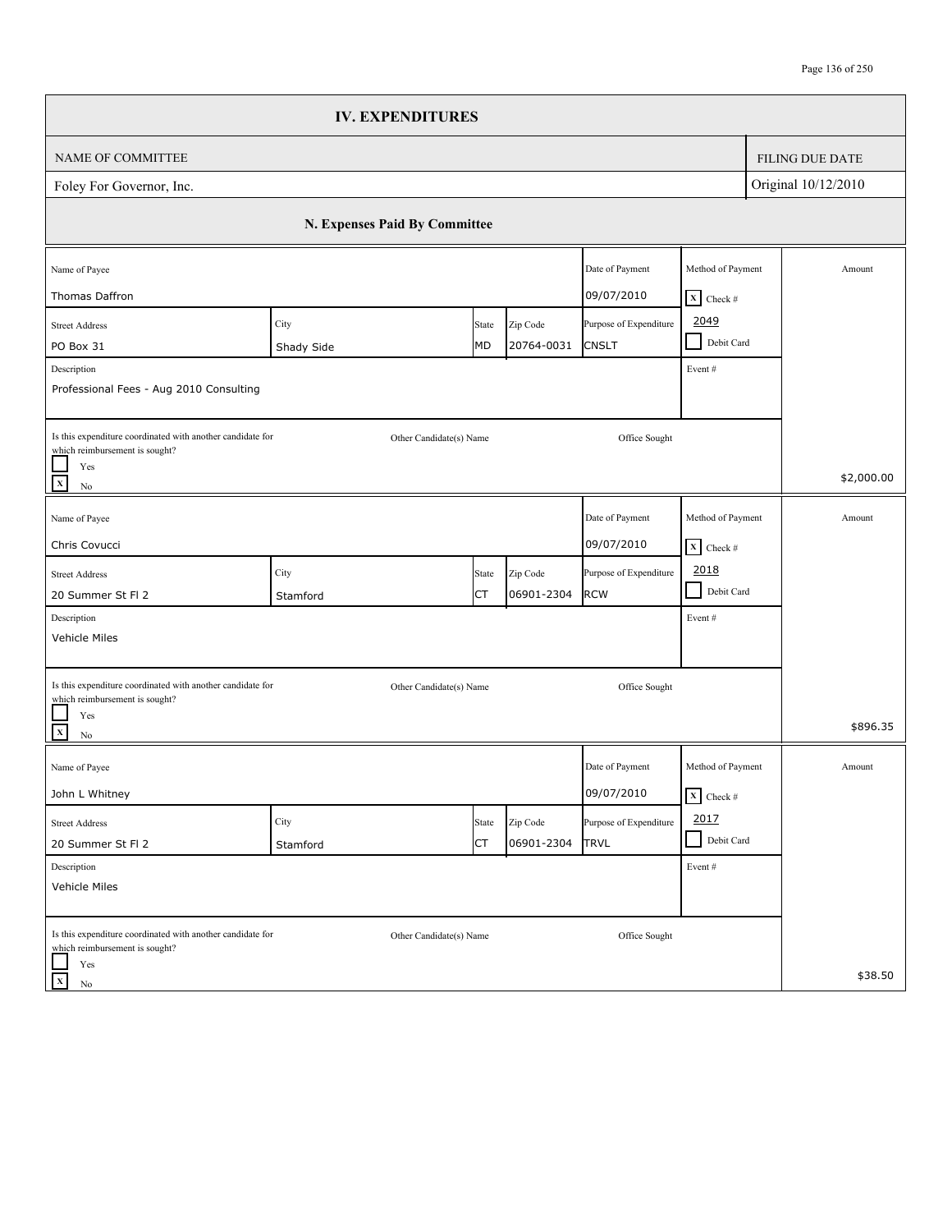|                                                                                                                     | <b>IV. EXPENDITURES</b>       |             |                        |                                                      |                                                    |                        |
|---------------------------------------------------------------------------------------------------------------------|-------------------------------|-------------|------------------------|------------------------------------------------------|----------------------------------------------------|------------------------|
| NAME OF COMMITTEE                                                                                                   |                               |             |                        |                                                      |                                                    | <b>FILING DUE DATE</b> |
| Foley For Governor, Inc.                                                                                            |                               |             |                        |                                                      |                                                    | Original 10/12/2010    |
|                                                                                                                     | N. Expenses Paid By Committee |             |                        |                                                      |                                                    |                        |
| Name of Payee                                                                                                       |                               |             |                        | Date of Payment                                      | Method of Payment                                  | Amount                 |
| Thomas Daffron<br><b>Street Address</b><br>PO Box 31                                                                | City<br>Shady Side            | State<br>MD | Zip Code<br>20764-0031 | 09/07/2010<br>Purpose of Expenditure<br><b>CNSLT</b> | $X$ Check #<br>2049<br>Debit Card<br>$\mathcal{L}$ |                        |
| Description<br>Professional Fees - Aug 2010 Consulting                                                              |                               |             |                        |                                                      | Event#                                             |                        |
| Is this expenditure coordinated with another candidate for<br>which reimbursement is sought?<br>Yes<br>$\mathbf{x}$ | Other Candidate(s) Name       |             |                        | Office Sought                                        |                                                    | \$2,000.00             |
| $\rm No$<br>Name of Payee                                                                                           |                               |             |                        | Date of Payment                                      | Method of Payment                                  | Amount                 |
| Chris Covucci                                                                                                       |                               |             |                        | 09/07/2010                                           | $\boxed{\mathbf{X}}$ Check #                       |                        |
| <b>Street Address</b>                                                                                               | City                          | State       | Zip Code               | Purpose of Expenditure                               | 2018                                               |                        |
| 20 Summer St Fl 2                                                                                                   | Stamford                      | СT          | 06901-2304             | <b>RCW</b>                                           | Debit Card<br>$\blacksquare$                       |                        |
| Description<br>Vehicle Miles                                                                                        |                               |             |                        |                                                      | Event#                                             |                        |
| Is this expenditure coordinated with another candidate for<br>which reimbursement is sought?                        | Other Candidate(s) Name       |             |                        | Office Sought                                        |                                                    |                        |
| Yes<br>$\mathbf{x}$<br>No                                                                                           |                               |             |                        |                                                      |                                                    | \$896.35               |
| Name of Payee                                                                                                       |                               |             |                        | Date of Payment                                      | Method of Payment                                  | Amount                 |
| John L Whitney                                                                                                      |                               |             |                        | 09/07/2010                                           | $\overline{\mathbf{X}}$ Check #                    |                        |
| <b>Street Address</b>                                                                                               | City                          | State       | Zip Code               | Purpose of Expenditure                               | 2017                                               |                        |
| 20 Summer St Fl 2                                                                                                   | Stamford                      | СT          | 06901-2304             | <b>TRVL</b>                                          | Debit Card                                         |                        |
| Description<br>Vehicle Miles                                                                                        |                               |             |                        |                                                      | Event #                                            |                        |
| Is this expenditure coordinated with another candidate for<br>which reimbursement is sought?                        | Other Candidate(s) Name       |             |                        | Office Sought                                        |                                                    |                        |
| Yes<br>$\mathbf x$<br>No                                                                                            |                               |             |                        |                                                      |                                                    | \$38.50                |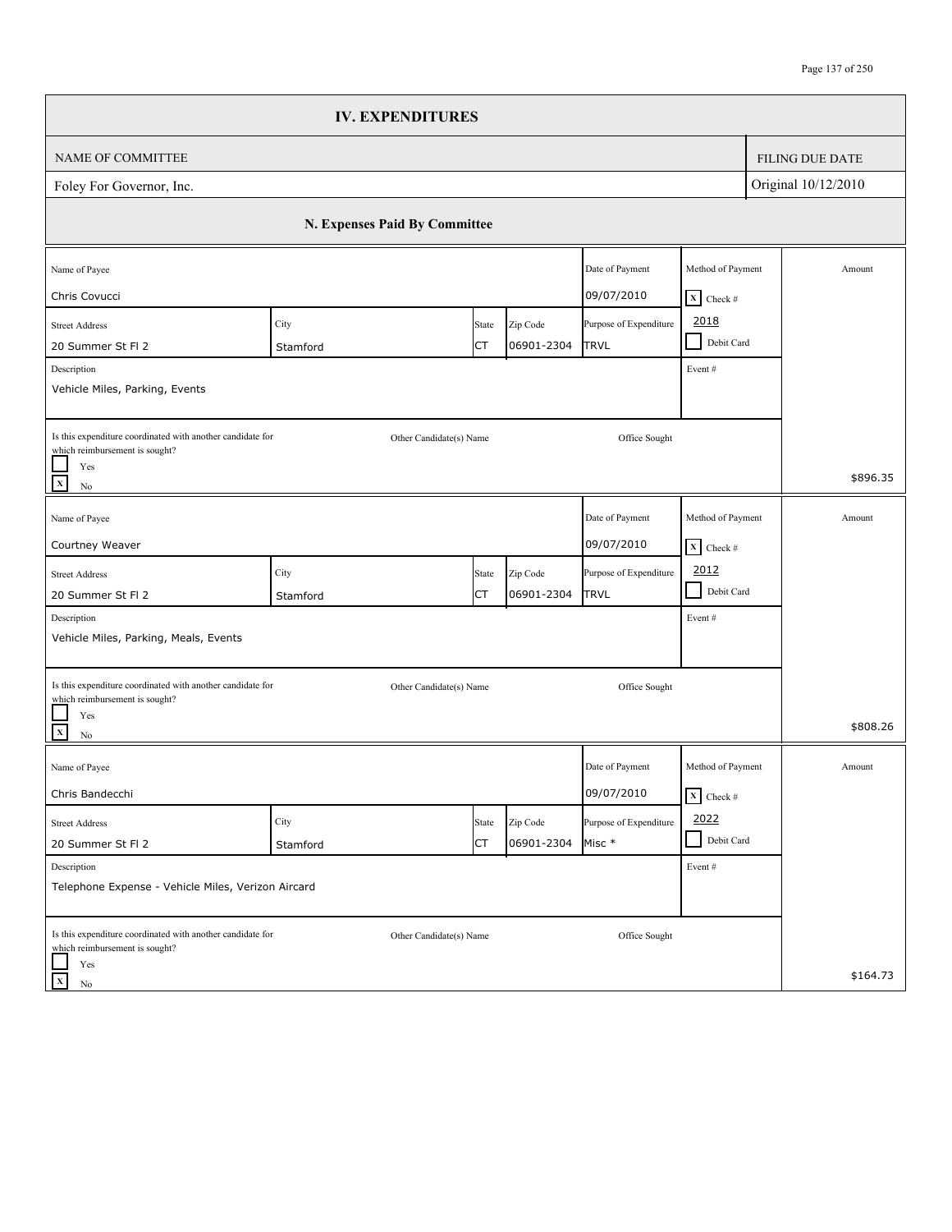|                                                                                                                                            | <b>IV. EXPENDITURES</b>       |             |                        |                                       |                                                |                        |
|--------------------------------------------------------------------------------------------------------------------------------------------|-------------------------------|-------------|------------------------|---------------------------------------|------------------------------------------------|------------------------|
| NAME OF COMMITTEE                                                                                                                          |                               |             |                        |                                       |                                                | <b>FILING DUE DATE</b> |
| Foley For Governor, Inc.                                                                                                                   |                               |             |                        |                                       |                                                | Original 10/12/2010    |
|                                                                                                                                            | N. Expenses Paid By Committee |             |                        |                                       |                                                |                        |
| Name of Payee<br>Chris Covucci                                                                                                             |                               |             |                        | Date of Payment<br>09/07/2010         | Method of Payment<br>$X$ Check #               | Amount                 |
| <b>Street Address</b><br>20 Summer St Fl 2<br>Description<br>Vehicle Miles, Parking, Events                                                | City<br>Stamford              | State<br>СT | Zip Code<br>06901-2304 | Purpose of Expenditure<br><b>TRVL</b> | 2018<br>Debit Card<br>$\blacksquare$<br>Event# |                        |
| Is this expenditure coordinated with another candidate for<br>which reimbursement is sought?<br>Yes<br>$\overline{\mathbf{x}}$<br>$\rm No$ | Other Candidate(s) Name       |             |                        | Office Sought                         |                                                | \$896.35               |
| Name of Payee<br>Courtney Weaver                                                                                                           |                               |             |                        | Date of Payment<br>09/07/2010         | Method of Payment<br>$\mathbf{X}$ Check #      | Amount                 |
| <b>Street Address</b><br>20 Summer St Fl 2<br>Description<br>Vehicle Miles, Parking, Meals, Events                                         | City<br>Stamford              | State<br>СT | Zip Code<br>06901-2304 | Purpose of Expenditure<br><b>TRVL</b> | 2012<br>$\blacksquare$<br>Debit Card<br>Event# |                        |
| Is this expenditure coordinated with another candidate for<br>which reimbursement is sought?<br>Yes<br>$\overline{\mathbf{x}}$<br>$\rm No$ | Other Candidate(s) Name       |             |                        | Office Sought                         |                                                | \$808.26               |
| Name of Payee<br>Chris Bandecchi                                                                                                           |                               |             |                        | Date of Payment<br>09/07/2010         | Method of Payment<br>$\mathbf{X}$ Check #      | Amount                 |
| <b>Street Address</b><br>20 Summer St Fl 2                                                                                                 | City<br>Stamford              | State<br>СT | Zip Code<br>06901-2304 | Purpose of Expenditure<br>Misc *      | 2022<br>Debit Card                             |                        |
| Description<br>Telephone Expense - Vehicle Miles, Verizon Aircard                                                                          |                               |             |                        |                                       | Event#                                         |                        |
| Is this expenditure coordinated with another candidate for<br>which reimbursement is sought?<br>Yes<br>$\mathbf x$<br>No                   | Other Candidate(s) Name       |             |                        | Office Sought                         |                                                | \$164.73               |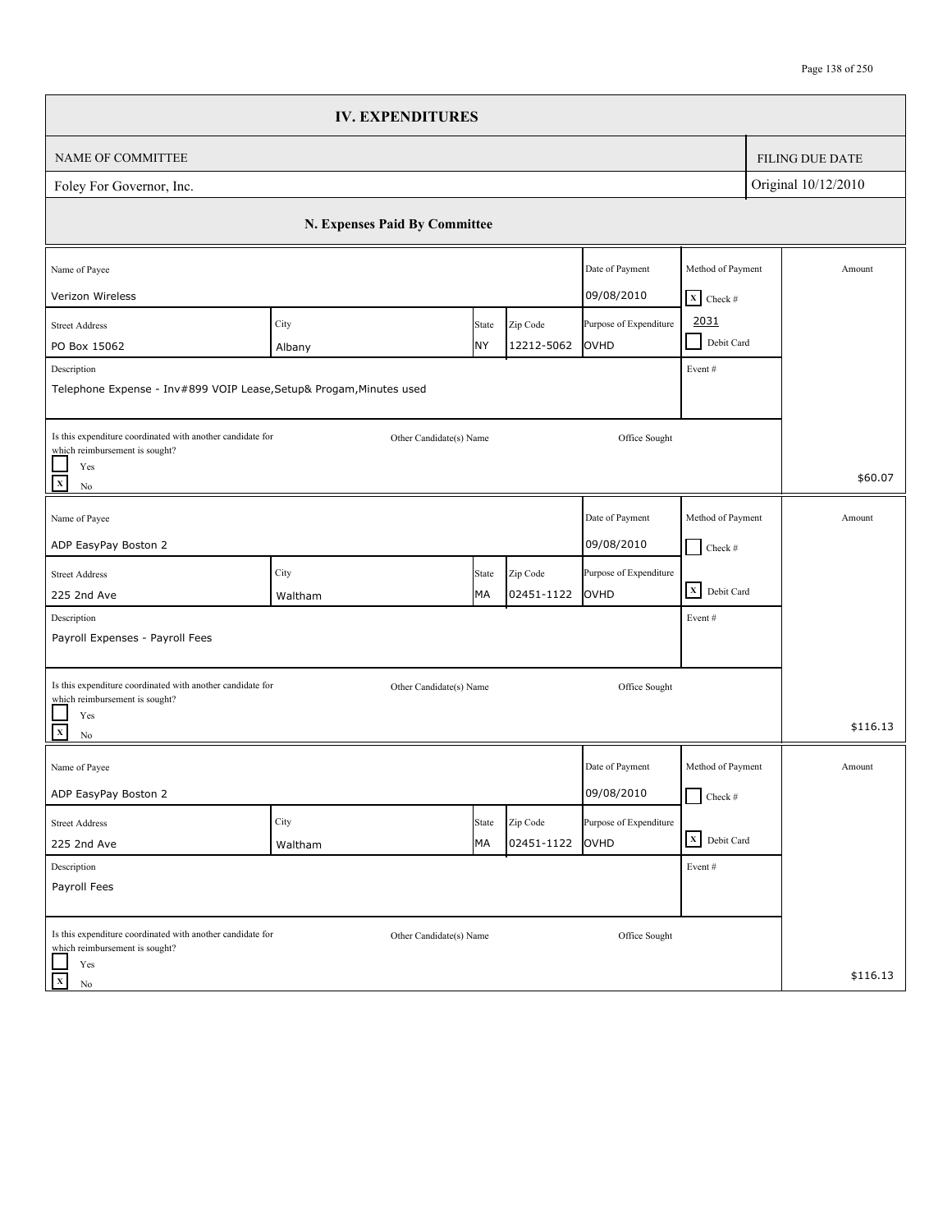|                                                                                                     | <b>IV. EXPENDITURES</b>       |             |                        |                                |                                         |                        |
|-----------------------------------------------------------------------------------------------------|-------------------------------|-------------|------------------------|--------------------------------|-----------------------------------------|------------------------|
| NAME OF COMMITTEE                                                                                   |                               |             |                        |                                |                                         | <b>FILING DUE DATE</b> |
| Foley For Governor, Inc.                                                                            |                               |             |                        |                                |                                         | Original 10/12/2010    |
|                                                                                                     | N. Expenses Paid By Committee |             |                        |                                |                                         |                        |
| Name of Payee<br>Verizon Wireless                                                                   |                               |             |                        | Date of Payment<br>09/08/2010  | Method of Payment<br>$X$ Check #        | Amount                 |
| <b>Street Address</b><br>PO Box 15062<br>Description                                                | City<br>Albany                | State<br>NY | Zip Code<br>12212-5062 | Purpose of Expenditure<br>OVHD | 2031<br>Debit Card<br>$\sim$<br>Event # |                        |
| Telephone Expense - Inv#899 VOIP Lease, Setup& Progam, Minutes used                                 |                               |             |                        |                                |                                         |                        |
| Is this expenditure coordinated with another candidate for<br>which reimbursement is sought?<br>Yes | Other Candidate(s) Name       |             |                        | Office Sought                  |                                         | \$60.07                |
| $\mathbf x$<br>$\rm No$                                                                             |                               |             |                        |                                |                                         |                        |
| Name of Payee<br>ADP EasyPay Boston 2                                                               |                               |             |                        | Date of Payment<br>09/08/2010  | Method of Payment<br>$Check$ #          | Amount                 |
| <b>Street Address</b><br>225 2nd Ave                                                                | City<br>Waltham               | State<br>MA | Zip Code<br>02451-1122 | Purpose of Expenditure<br>OVHD | X Debit Card                            |                        |
| Description<br>Payroll Expenses - Payroll Fees                                                      |                               |             |                        |                                | Event#                                  |                        |
| Is this expenditure coordinated with another candidate for                                          | Other Candidate(s) Name       |             |                        | Office Sought                  |                                         |                        |
| which reimbursement is sought?<br>Yes<br>$\mathbf{x}$<br>$\rm No$                                   |                               |             |                        |                                |                                         | \$116.13               |
| Name of Payee                                                                                       |                               |             |                        | Date of Payment                | Method of Payment                       | Amount                 |
| ADP EasyPay Boston 2                                                                                |                               |             |                        | 09/08/2010                     | $\Box$ Check #                          |                        |
| <b>Street Address</b><br>225 2nd Ave                                                                | City<br>Waltham               | State<br>МA | Zip Code<br>02451-1122 | Purpose of Expenditure<br>OVHD | X Debit Card                            |                        |
| Description                                                                                         |                               |             |                        |                                | Event#                                  |                        |
| Payroll Fees                                                                                        |                               |             |                        |                                |                                         |                        |
| Is this expenditure coordinated with another candidate for<br>which reimbursement is sought?        | Other Candidate(s) Name       |             |                        | Office Sought                  |                                         |                        |
| Yes<br>$\mathbf X$<br>No                                                                            |                               |             |                        |                                |                                         | \$116.13               |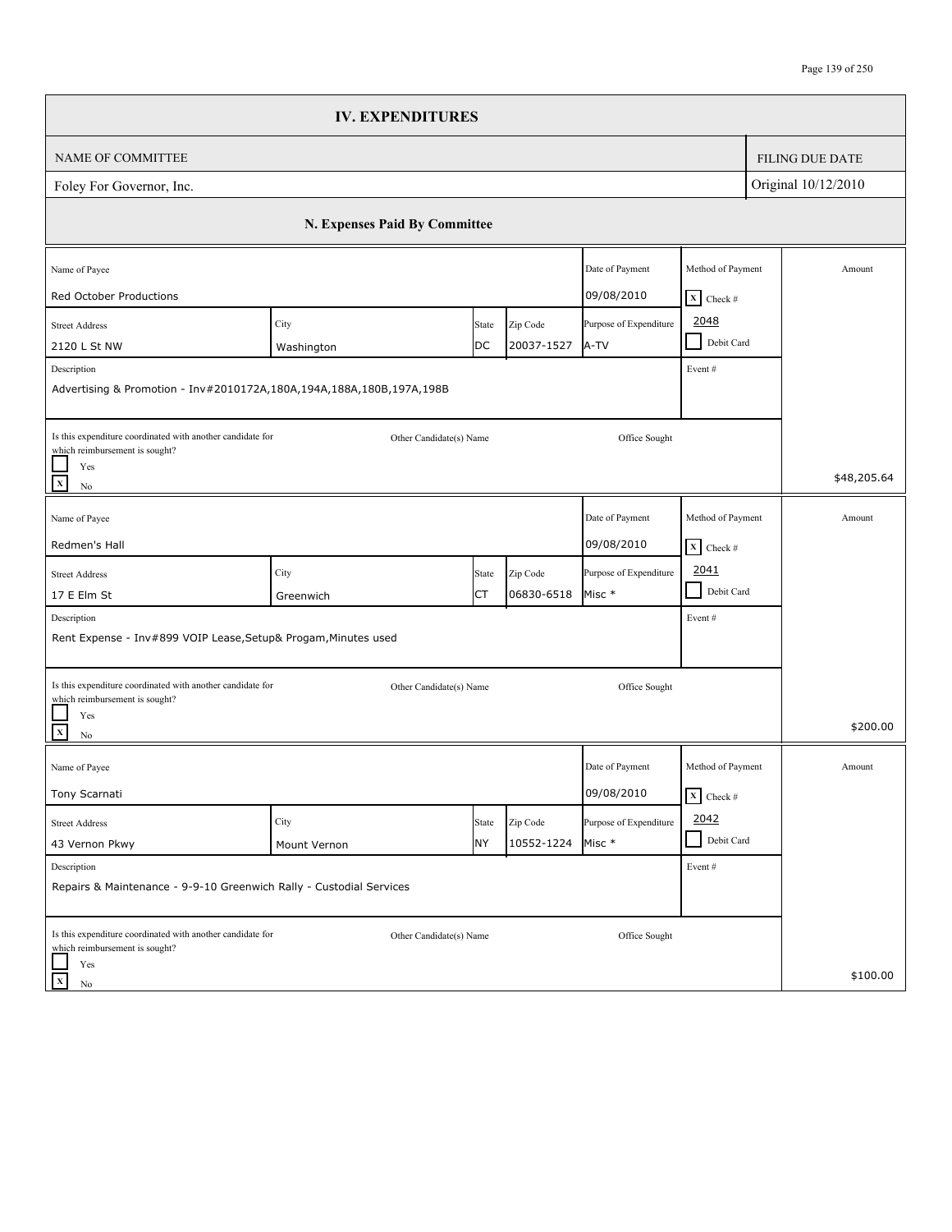|                                                                                                                          | <b>IV. EXPENDITURES</b>       |             |                        |                                      |                                                      |                        |
|--------------------------------------------------------------------------------------------------------------------------|-------------------------------|-------------|------------------------|--------------------------------------|------------------------------------------------------|------------------------|
| <b>NAME OF COMMITTEE</b>                                                                                                 |                               |             |                        |                                      |                                                      | <b>FILING DUE DATE</b> |
| Foley For Governor, Inc.                                                                                                 |                               |             |                        |                                      |                                                      | Original 10/12/2010    |
|                                                                                                                          | N. Expenses Paid By Committee |             |                        |                                      |                                                      |                        |
| Name of Payee                                                                                                            |                               |             |                        | Date of Payment                      | Method of Payment                                    | Amount                 |
| Red October Productions<br><b>Street Address</b>                                                                         | City                          | State       | Zip Code               | 09/08/2010<br>Purpose of Expenditure | $X$ Check #<br>2048<br>Debit Card<br>$\sim$          |                        |
| 2120 L St NW<br>Description<br>Advertising & Promotion - Inv#2010172A,180A,194A,188A,180B,197A,198B                      | Washington                    | DC          | 20037-1527             | A-TV                                 | Event#                                               |                        |
| Is this expenditure coordinated with another candidate for<br>which reimbursement is sought?<br>Yes<br>$\mathbf x$<br>No | Other Candidate(s) Name       |             |                        | Office Sought                        |                                                      | \$48,205.64            |
| Name of Payee<br>Redmen's Hall                                                                                           |                               |             |                        | Date of Payment<br>09/08/2010        | Method of Payment<br>$\boxed{\mathbf{X}}$ Check #    | Amount                 |
| <b>Street Address</b><br>17 E Elm St                                                                                     | City<br>Greenwich             | State<br>СT | Zip Code<br>06830-6518 | Purpose of Expenditure<br>Misc *     | 2041<br>$\mathbb{R}^3$<br>Debit Card                 |                        |
| Description<br>Rent Expense - Inv#899 VOIP Lease, Setup& Progam, Minutes used                                            |                               |             |                        |                                      | Event#                                               |                        |
| Is this expenditure coordinated with another candidate for<br>which reimbursement is sought?<br>Yes<br>$\mathbf{x}$      | Other Candidate(s) Name       |             |                        | Office Sought                        |                                                      | \$200.00               |
| No<br>Name of Payee<br>Tony Scarnati                                                                                     |                               |             |                        | Date of Payment<br>09/08/2010        | Method of Payment<br>$\overline{\mathbf{X}}$ Check # | Amount                 |
| <b>Street Address</b><br>43 Vernon Pkwy                                                                                  | City<br>Mount Vernon          | State<br>NY | Zip Code<br>10552-1224 | Purpose of Expenditure<br>Misc *     | 2042<br>Debit Card                                   |                        |
| Description<br>Repairs & Maintenance - 9-9-10 Greenwich Rally - Custodial Services                                       |                               |             |                        |                                      | Event #                                              |                        |
| Is this expenditure coordinated with another candidate for<br>which reimbursement is sought?<br>Yes<br>$\mathbf x$<br>No | Other Candidate(s) Name       |             |                        | Office Sought                        |                                                      | \$100.00               |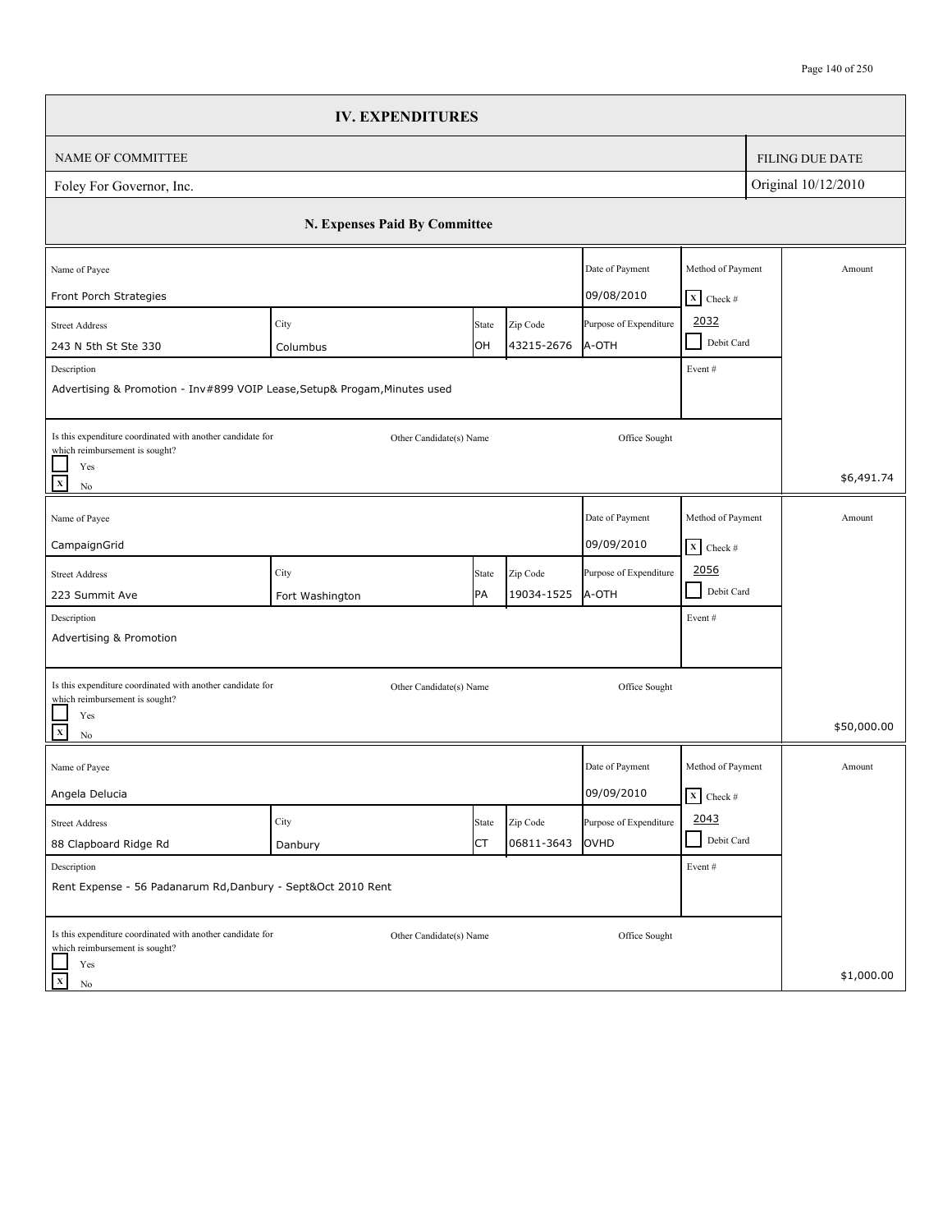|                                                                                                                                                      | <b>IV. EXPENDITURES</b>       |             |                        |                                 |                                                      |  |                        |
|------------------------------------------------------------------------------------------------------------------------------------------------------|-------------------------------|-------------|------------------------|---------------------------------|------------------------------------------------------|--|------------------------|
| NAME OF COMMITTEE                                                                                                                                    |                               |             |                        |                                 |                                                      |  | <b>FILING DUE DATE</b> |
| Foley For Governor, Inc.                                                                                                                             |                               |             |                        |                                 | Original 10/12/2010                                  |  |                        |
|                                                                                                                                                      | N. Expenses Paid By Committee |             |                        |                                 |                                                      |  |                        |
| Name of Payee<br>Front Porch Strategies                                                                                                              |                               |             |                        | Date of Payment<br>09/08/2010   | Method of Payment<br>$X$ Check #                     |  | Amount                 |
| <b>Street Address</b><br>243 N 5th St Ste 330<br>Description<br>Advertising & Promotion - Inv#899 VOIP Lease, Setup& Progam, Minutes used            | City<br>Columbus              | State<br>OH | Zip Code<br>43215-2676 | Purpose of Expenditure<br>A-OTH | 2032<br>Debit Card<br>$\sim$<br>Event#               |  |                        |
| Is this expenditure coordinated with another candidate for<br>which reimbursement is sought?<br>Yes<br>$\mathbf x$<br>$\rm No$                       | Other Candidate(s) Name       |             |                        | Office Sought                   |                                                      |  | \$6,491.74             |
| Name of Payee<br>CampaignGrid                                                                                                                        |                               |             |                        | Date of Payment<br>09/09/2010   | Method of Payment<br>$X$ Check #                     |  | Amount                 |
| <b>Street Address</b><br>223 Summit Ave<br>Description                                                                                               | City<br>Fort Washington       | State<br>PA | Zip Code<br>19034-1525 | Purpose of Expenditure<br>A-OTH | 2056<br>$\blacksquare$<br>Debit Card<br>Event#       |  |                        |
| Advertising & Promotion<br>Is this expenditure coordinated with another candidate for<br>which reimbursement is sought?<br>Yes<br>$\mathbf{x}$<br>No | Other Candidate(s) Name       |             |                        | Office Sought                   |                                                      |  | \$50,000.00            |
| Name of Payee<br>Angela Delucia                                                                                                                      |                               |             |                        | Date of Payment<br>09/09/2010   | Method of Payment<br>$\overline{\mathbf{x}}$ Check # |  | Amount                 |
| <b>Street Address</b><br>88 Clapboard Ridge Rd                                                                                                       | City<br>Danbury               | State<br>СT | Zip Code<br>06811-3643 | Purpose of Expenditure<br>OVHD  | 2043<br>Debit Card<br>- 1                            |  |                        |
| Description<br>Rent Expense - 56 Padanarum Rd, Danbury - Sept&Oct 2010 Rent                                                                          |                               |             |                        |                                 | Event#                                               |  |                        |
| Is this expenditure coordinated with another candidate for<br>which reimbursement is sought?<br>Yes<br>$\mathbf x$<br>No                             | Other Candidate(s) Name       |             |                        | Office Sought                   |                                                      |  | \$1,000.00             |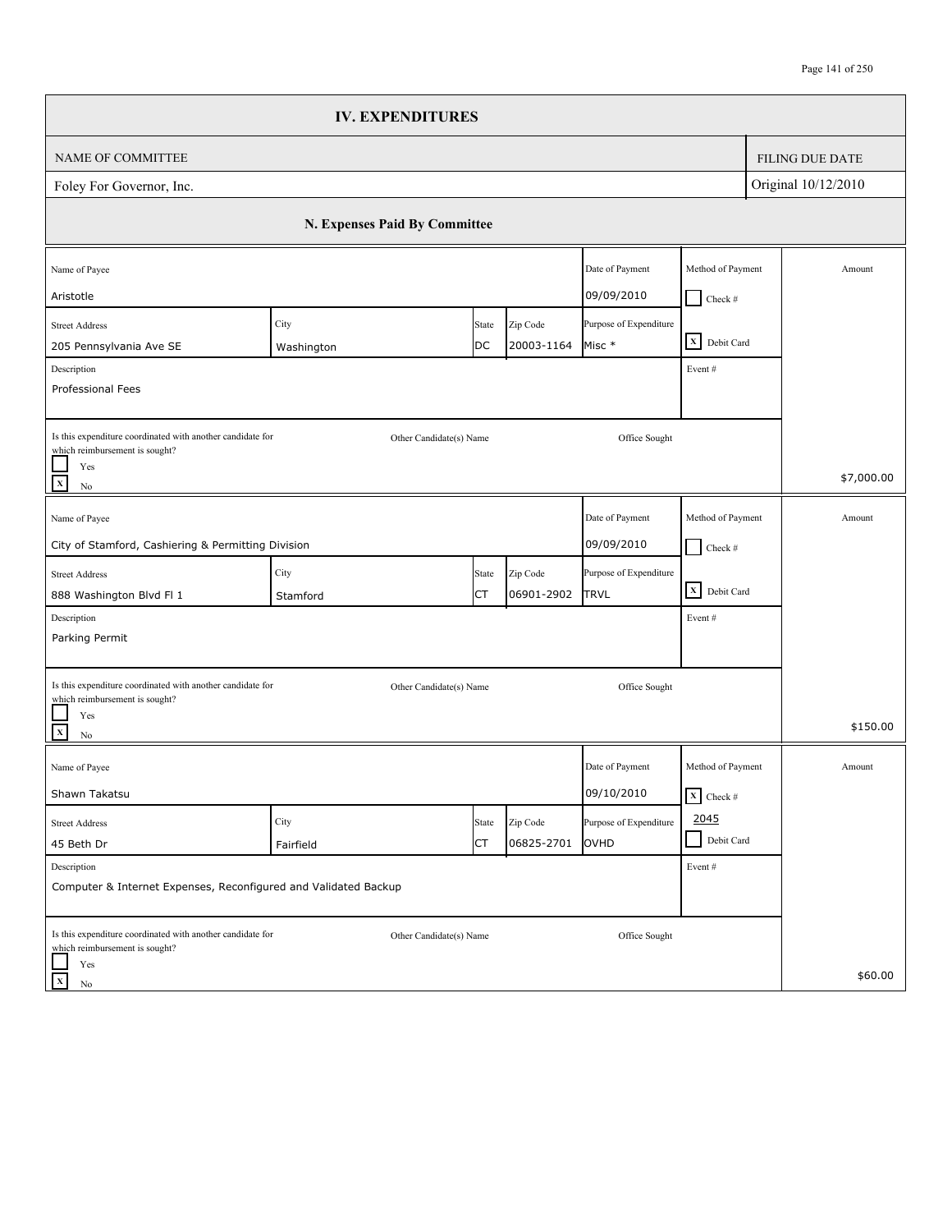|                                                                                                                                | <b>IV. EXPENDITURES</b>       |       |            |                                      |                                 |                        |
|--------------------------------------------------------------------------------------------------------------------------------|-------------------------------|-------|------------|--------------------------------------|---------------------------------|------------------------|
| <b>NAME OF COMMITTEE</b>                                                                                                       |                               |       |            |                                      |                                 | <b>FILING DUE DATE</b> |
| Foley For Governor, Inc.                                                                                                       |                               |       |            |                                      |                                 | Original 10/12/2010    |
|                                                                                                                                | N. Expenses Paid By Committee |       |            |                                      |                                 |                        |
| Name of Payee                                                                                                                  |                               |       |            | Date of Payment                      | Method of Payment               | Amount                 |
| Aristotle<br><b>Street Address</b>                                                                                             | City                          | State | Zip Code   | 09/09/2010<br>Purpose of Expenditure | $Check$ #                       |                        |
| 205 Pennsylvania Ave SE                                                                                                        | Washington                    | DC    | 20003-1164 | Misc *                               | X Debit Card                    |                        |
| Description<br>Professional Fees                                                                                               |                               |       |            |                                      | Event#                          |                        |
| Is this expenditure coordinated with another candidate for<br>which reimbursement is sought?<br>Yes<br>$\mathbf X$<br>No       | Other Candidate(s) Name       |       |            | Office Sought                        |                                 | \$7,000.00             |
| Name of Payee                                                                                                                  |                               |       |            | Date of Payment                      | Method of Payment               | Amount                 |
| City of Stamford, Cashiering & Permitting Division                                                                             |                               |       |            | 09/09/2010                           | $\Box$ Check #                  |                        |
| <b>Street Address</b>                                                                                                          | City                          | State | Zip Code   | Purpose of Expenditure               |                                 |                        |
| 888 Washington Blvd Fl 1                                                                                                       | Stamford                      | СT    | 06901-2902 | <b>TRVL</b>                          | X Debit Card                    |                        |
| Description<br>Parking Permit                                                                                                  |                               |       |            |                                      | Event#                          |                        |
| Is this expenditure coordinated with another candidate for<br>which reimbursement is sought?<br>Yes<br>$\mathbf{x}$<br>No      | Other Candidate(s) Name       |       |            | Office Sought                        |                                 | \$150.00               |
| Name of Payee                                                                                                                  |                               |       |            | Date of Payment                      | Method of Payment               | Amount                 |
| Shawn Takatsu                                                                                                                  |                               |       |            | 09/10/2010                           | $\overline{\mathbf{X}}$ Check # |                        |
| <b>Street Address</b>                                                                                                          | City                          | State | Zip Code   | Purpose of Expenditure               | 2045                            |                        |
| 45 Beth Dr                                                                                                                     | Fairfield                     | СT    | 06825-2701 | OVHD                                 | Debit Card<br>$\blacksquare$    |                        |
| Description<br>Computer & Internet Expenses, Reconfigured and Validated Backup                                                 |                               |       |            |                                      | Event #                         |                        |
| Is this expenditure coordinated with another candidate for<br>which reimbursement is sought?<br>Yes<br>$\mathbf x$<br>$\rm No$ | Other Candidate(s) Name       |       |            | Office Sought                        |                                 | \$60.00                |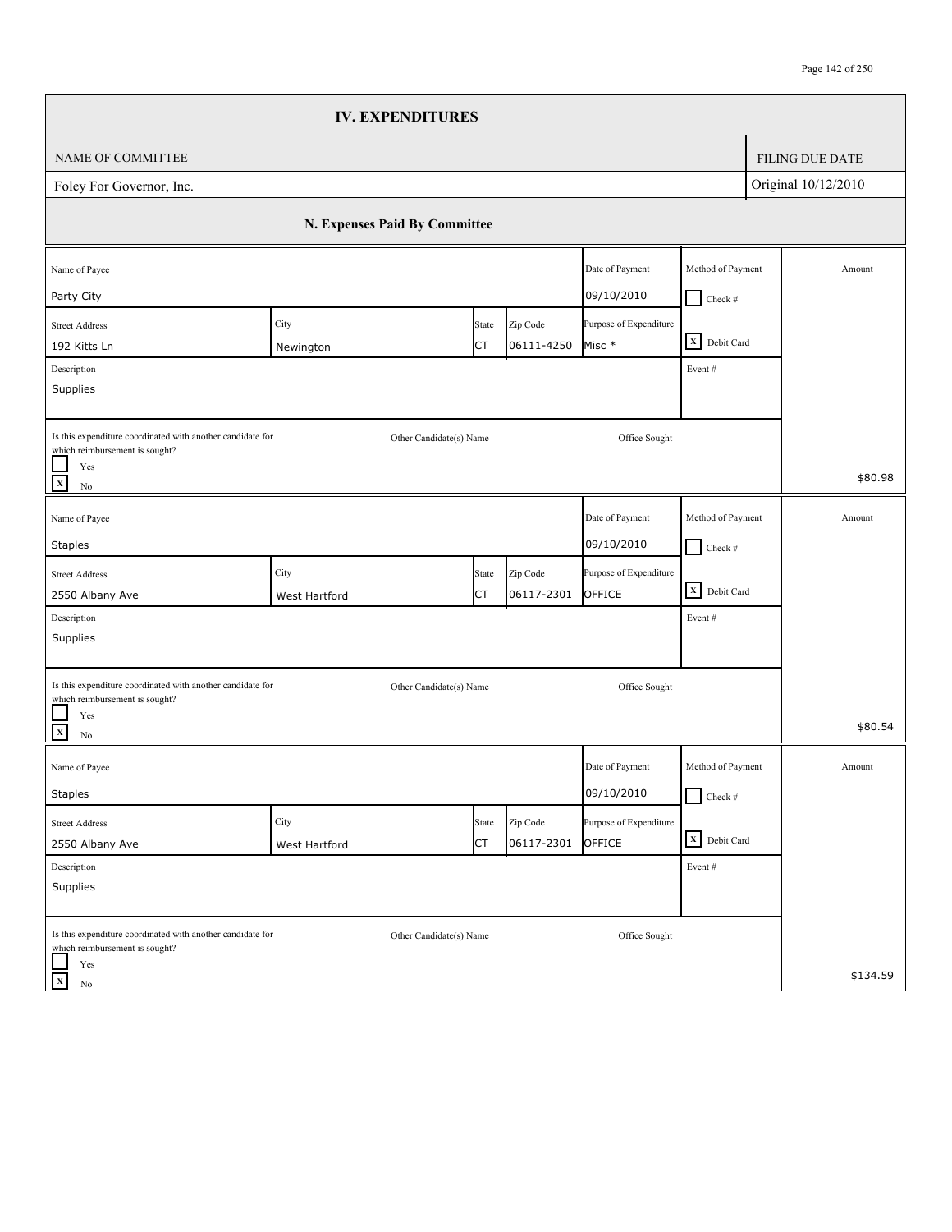|                                                                                                                                   | <b>IV. EXPENDITURES</b>       |           |            |                                      |                                    |                     |                        |
|-----------------------------------------------------------------------------------------------------------------------------------|-------------------------------|-----------|------------|--------------------------------------|------------------------------------|---------------------|------------------------|
| NAME OF COMMITTEE                                                                                                                 |                               |           |            |                                      |                                    |                     | <b>FILING DUE DATE</b> |
| Foley For Governor, Inc.                                                                                                          |                               |           |            |                                      |                                    | Original 10/12/2010 |                        |
|                                                                                                                                   | N. Expenses Paid By Committee |           |            |                                      |                                    |                     |                        |
| Name of Payee                                                                                                                     |                               |           |            | Date of Payment                      | Method of Payment                  |                     | Amount                 |
| Party City<br><b>Street Address</b>                                                                                               | City                          | State     | Zip Code   | 09/10/2010<br>Purpose of Expenditure | $Check$ #                          |                     |                        |
| 192 Kitts Ln                                                                                                                      | Newington                     | СT        | 06111-4250 | Misc *                               | X Debit Card                       |                     |                        |
| Description<br>Supplies                                                                                                           |                               |           |            |                                      | Event#                             |                     |                        |
| Is this expenditure coordinated with another candidate for<br>which reimbursement is sought?<br>Yes<br>$\overline{x}$<br>$\rm No$ | Other Candidate(s) Name       |           |            | Office Sought                        |                                    |                     | \$80.98                |
| Name of Payee                                                                                                                     |                               |           |            | Date of Payment                      | Method of Payment                  |                     | Amount                 |
| <b>Staples</b>                                                                                                                    |                               |           |            | 09/10/2010                           | $\Box$ Check #                     |                     |                        |
| <b>Street Address</b>                                                                                                             | City                          | State     | Zip Code   | Purpose of Expenditure               |                                    |                     |                        |
| 2550 Albany Ave                                                                                                                   | West Hartford                 | СT        | 06117-2301 | OFFICE                               | $\overline{\mathbf{X}}$ Debit Card |                     |                        |
| Description<br>Supplies                                                                                                           |                               |           |            |                                      | Event#                             |                     |                        |
| Is this expenditure coordinated with another candidate for<br>which reimbursement is sought?<br>Yes                               | Other Candidate(s) Name       |           |            | Office Sought                        |                                    |                     |                        |
| $\overline{\mathbf{x}}$<br>$\rm No$                                                                                               |                               |           |            |                                      |                                    |                     | \$80.54                |
| Name of Payee                                                                                                                     |                               |           |            | Date of Payment                      | Method of Payment                  |                     | Amount                 |
| <b>Staples</b>                                                                                                                    |                               |           |            | 09/10/2010                           | $\Box$ Check #                     |                     |                        |
| <b>Street Address</b>                                                                                                             | City                          | State     | Zip Code   | Purpose of Expenditure               | X Debit Card                       |                     |                        |
| 2550 Albany Ave                                                                                                                   | West Hartford                 | <b>CT</b> | 06117-2301 | OFFICE                               |                                    |                     |                        |
| Description<br>Supplies                                                                                                           |                               |           |            |                                      | Event#                             |                     |                        |
| Is this expenditure coordinated with another candidate for<br>which reimbursement is sought?<br>Yes                               | Other Candidate(s) Name       |           |            | Office Sought                        |                                    |                     |                        |
| $\mathbf{x}$<br>No                                                                                                                |                               |           |            |                                      |                                    |                     | \$134.59               |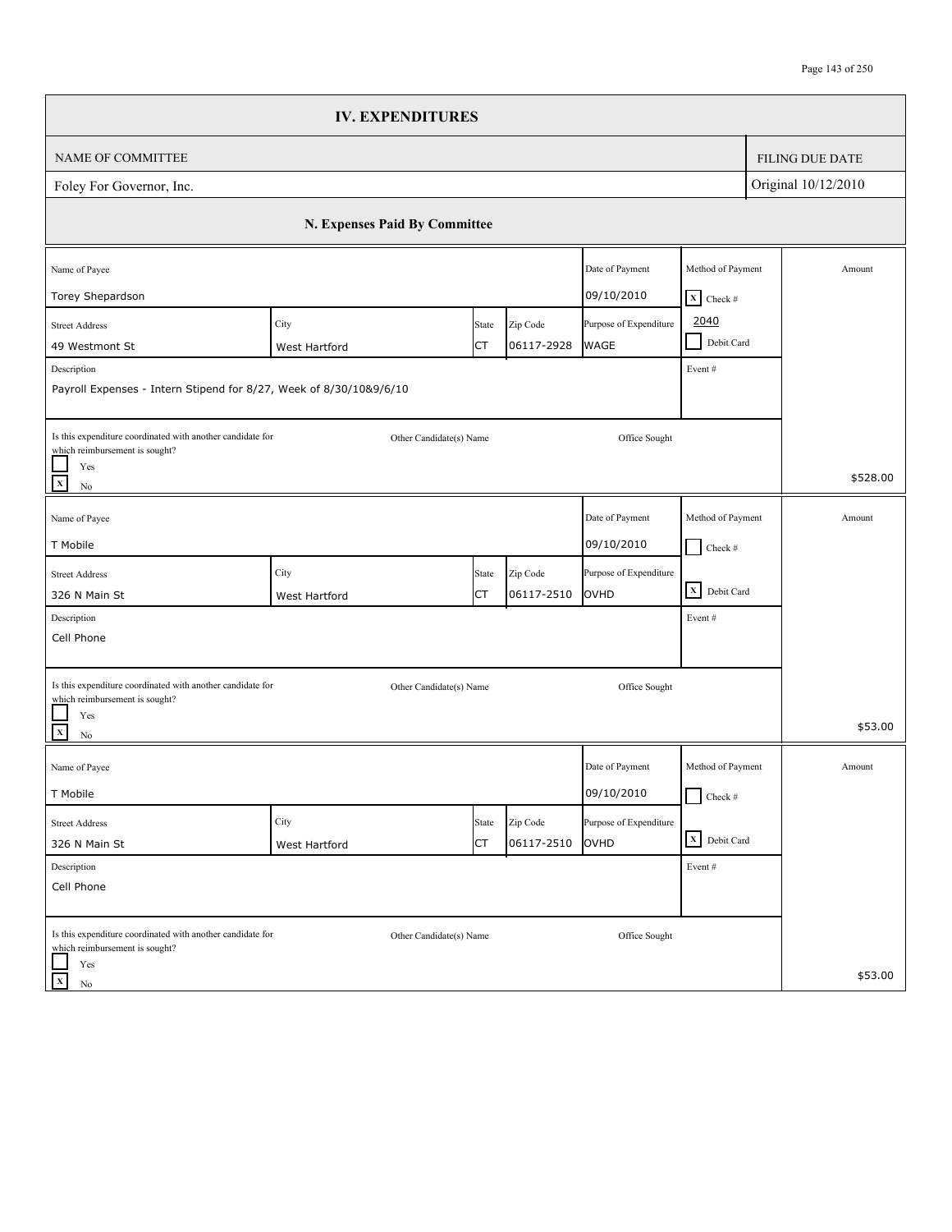|                                                                                              | <b>IV. EXPENDITURES</b>       |       |            |                        |                             |                        |
|----------------------------------------------------------------------------------------------|-------------------------------|-------|------------|------------------------|-----------------------------|------------------------|
| NAME OF COMMITTEE                                                                            |                               |       |            |                        |                             | <b>FILING DUE DATE</b> |
| Foley For Governor, Inc.                                                                     |                               |       |            |                        |                             | Original 10/12/2010    |
|                                                                                              | N. Expenses Paid By Committee |       |            |                        |                             |                        |
| Name of Payee                                                                                |                               |       |            | Date of Payment        | Method of Payment           | Amount                 |
| Torey Shepardson                                                                             |                               |       |            | 09/10/2010             | $X$ Check #                 |                        |
| <b>Street Address</b>                                                                        | City                          | State | Zip Code   | Purpose of Expenditure | 2040                        |                        |
| 49 Westmont St                                                                               | West Hartford                 | СT    | 06117-2928 | <b>WAGE</b>            | Debit Card<br>$\mathcal{L}$ |                        |
| Description<br>Payroll Expenses - Intern Stipend for 8/27, Week of 8/30/10&9/6/10            |                               |       |            |                        | Event #                     |                        |
| Is this expenditure coordinated with another candidate for<br>which reimbursement is sought? | Other Candidate(s) Name       |       |            | Office Sought          |                             |                        |
| Yes<br>$\mathbf x$<br>$\rm No$                                                               |                               |       |            |                        |                             | \$528.00               |
| Name of Payee                                                                                |                               |       |            | Date of Payment        | Method of Payment           | Amount                 |
| T Mobile                                                                                     |                               |       |            | 09/10/2010             | $\Box$ Check #              |                        |
| <b>Street Address</b>                                                                        | City                          | State | Zip Code   | Purpose of Expenditure |                             |                        |
| 326 N Main St                                                                                | West Hartford                 | СT    | 06117-2510 | OVHD                   | X Debit Card                |                        |
| Description                                                                                  |                               |       |            |                        | Event#                      |                        |
| Cell Phone                                                                                   |                               |       |            |                        |                             |                        |
| Is this expenditure coordinated with another candidate for<br>which reimbursement is sought? | Other Candidate(s) Name       |       |            | Office Sought          |                             |                        |
| Yes<br>$\mathbf{x}$<br>$\rm No$                                                              |                               |       |            |                        |                             | \$53.00                |
| Name of Payee                                                                                |                               |       |            | Date of Payment        | Method of Payment           | Amount                 |
| T Mobile                                                                                     |                               |       |            | 09/10/2010             | $\Box$ Check #              |                        |
| <b>Street Address</b>                                                                        | City                          | State | Zip Code   | Purpose of Expenditure |                             |                        |
| 326 N Main St                                                                                | West Hartford                 | СT    | 06117-2510 | OVHD                   | X Debit Card                |                        |
| Description                                                                                  |                               |       |            |                        | Event#                      |                        |
| Cell Phone                                                                                   |                               |       |            |                        |                             |                        |
| Is this expenditure coordinated with another candidate for                                   | Other Candidate(s) Name       |       |            | Office Sought          |                             |                        |
| which reimbursement is sought?<br>Yes<br>$\mathbf X$<br>No                                   |                               |       |            |                        |                             | \$53.00                |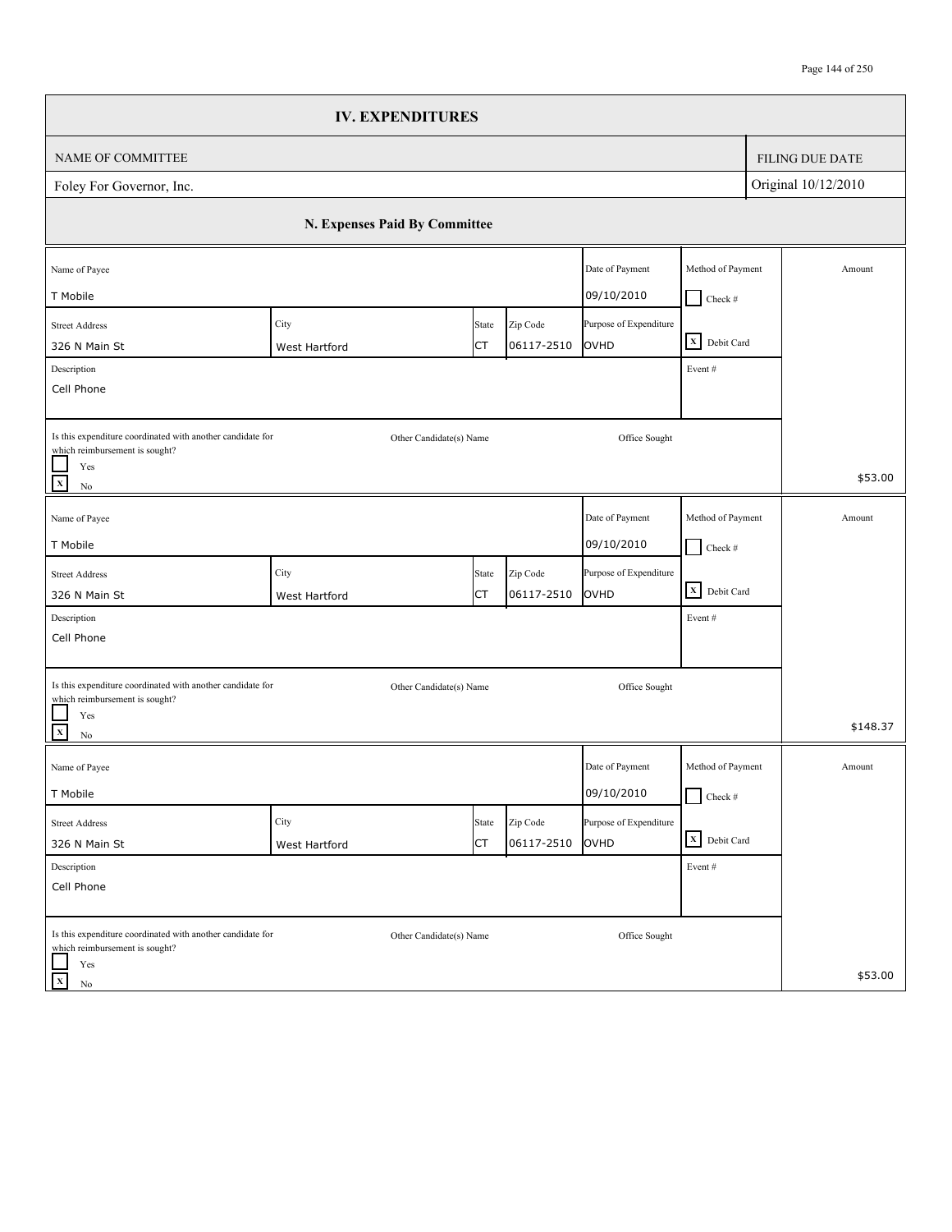|                                                                                              | <b>IV. EXPENDITURES</b>       |           |            |                        |                                    |                        |
|----------------------------------------------------------------------------------------------|-------------------------------|-----------|------------|------------------------|------------------------------------|------------------------|
| NAME OF COMMITTEE                                                                            |                               |           |            |                        |                                    | <b>FILING DUE DATE</b> |
| Foley For Governor, Inc.                                                                     |                               |           |            |                        |                                    | Original 10/12/2010    |
|                                                                                              | N. Expenses Paid By Committee |           |            |                        |                                    |                        |
| Name of Payee                                                                                |                               |           |            | Date of Payment        | Method of Payment                  | Amount                 |
| T Mobile                                                                                     |                               |           |            | 09/10/2010             | $Check$ #                          |                        |
| <b>Street Address</b>                                                                        | City                          | State     | Zip Code   | Purpose of Expenditure | X Debit Card                       |                        |
| 326 N Main St                                                                                | West Hartford                 | СT        | 06117-2510 | <b>OVHD</b>            |                                    |                        |
| Description<br>Cell Phone                                                                    |                               |           |            |                        | Event#                             |                        |
|                                                                                              |                               |           |            |                        |                                    |                        |
| Is this expenditure coordinated with another candidate for<br>which reimbursement is sought? | Other Candidate(s) Name       |           |            | Office Sought          |                                    |                        |
| Yes<br>$\mathbf x$<br>$\rm No$                                                               |                               |           |            |                        |                                    | \$53.00                |
| Name of Payee                                                                                |                               |           |            | Date of Payment        | Method of Payment                  | Amount                 |
| T Mobile                                                                                     |                               |           |            | 09/10/2010             | $\Box$ Check #                     |                        |
| <b>Street Address</b>                                                                        | City                          | State     | Zip Code   | Purpose of Expenditure |                                    |                        |
| 326 N Main St                                                                                | West Hartford                 | СT        | 06117-2510 | OVHD                   | $\overline{\mathbf{X}}$ Debit Card |                        |
| Description                                                                                  |                               |           |            |                        | Event #                            |                        |
| Cell Phone                                                                                   |                               |           |            |                        |                                    |                        |
| Is this expenditure coordinated with another candidate for                                   | Other Candidate(s) Name       |           |            | Office Sought          |                                    |                        |
| which reimbursement is sought?<br>Yes                                                        |                               |           |            |                        |                                    |                        |
| $\frac{1}{x}$<br>$\rm No$                                                                    |                               |           |            |                        |                                    | \$148.37               |
| Name of Payee                                                                                |                               |           |            | Date of Payment        | Method of Payment                  | Amount                 |
| T Mobile                                                                                     |                               |           |            | 09/10/2010             | $\Box$ Check #                     |                        |
| <b>Street Address</b>                                                                        | City                          | State     | Zip Code   | Purpose of Expenditure |                                    |                        |
| 326 N Main St                                                                                | West Hartford                 | <b>CT</b> | 06117-2510 | OVHD                   | X Debit Card                       |                        |
| Description                                                                                  |                               |           |            |                        | Event#                             |                        |
| Cell Phone                                                                                   |                               |           |            |                        |                                    |                        |
| Is this expenditure coordinated with another candidate for<br>which reimbursement is sought? | Other Candidate(s) Name       |           |            | Office Sought          |                                    |                        |
| Yes<br>$\mathbf{x}$<br>No                                                                    |                               |           |            |                        |                                    | \$53.00                |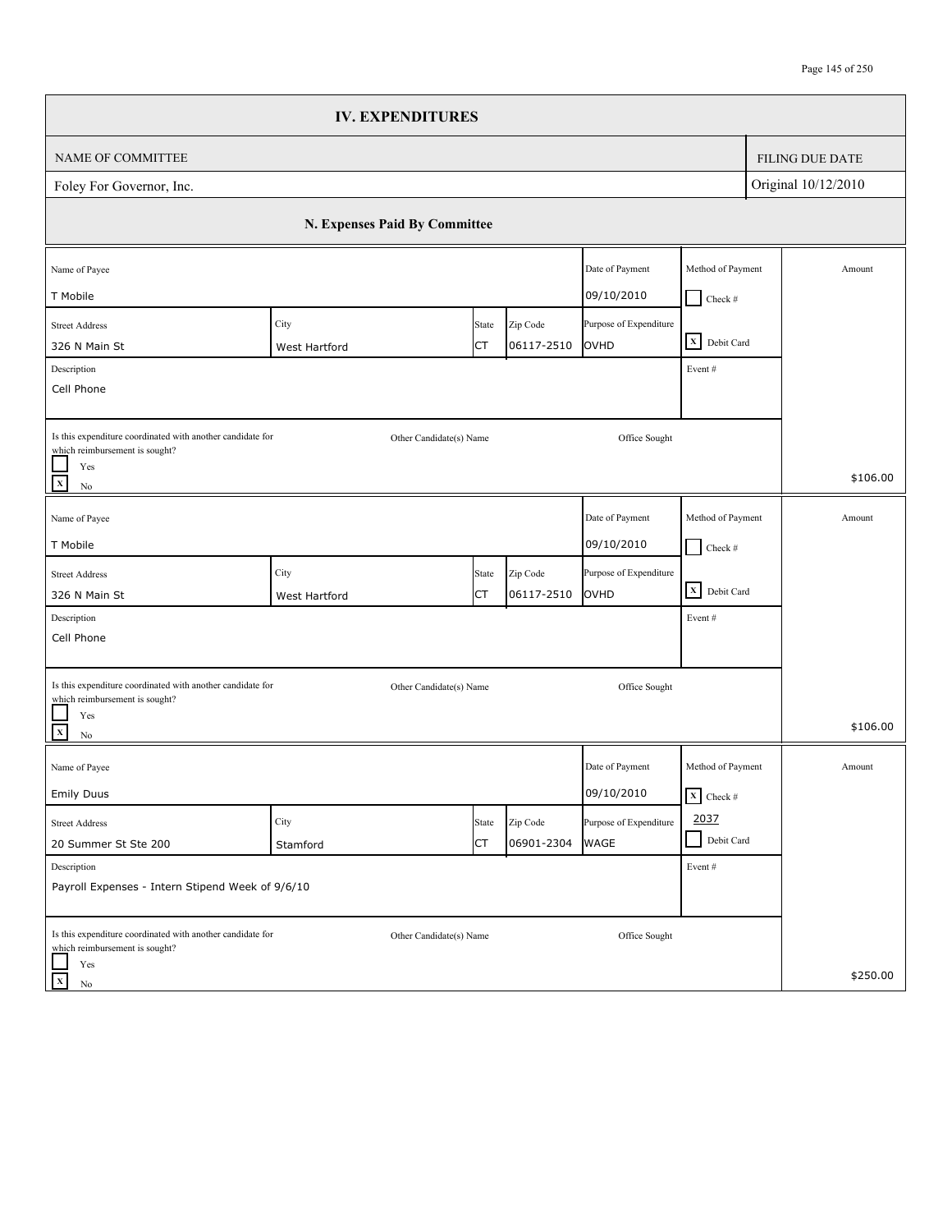|                                                                                                                                   | <b>IV. EXPENDITURES</b>       |             |                        |                                |                                           |                        |
|-----------------------------------------------------------------------------------------------------------------------------------|-------------------------------|-------------|------------------------|--------------------------------|-------------------------------------------|------------------------|
| NAME OF COMMITTEE                                                                                                                 |                               |             |                        |                                |                                           | <b>FILING DUE DATE</b> |
| Foley For Governor, Inc.                                                                                                          |                               |             |                        |                                |                                           | Original 10/12/2010    |
|                                                                                                                                   | N. Expenses Paid By Committee |             |                        |                                |                                           |                        |
| Name of Payee<br>T Mobile                                                                                                         |                               |             |                        | Date of Payment<br>09/10/2010  | Method of Payment<br>$Check$ #            | Amount                 |
| <b>Street Address</b><br>326 N Main St                                                                                            | City<br>West Hartford         | State<br>СT | Zip Code<br>06117-2510 | Purpose of Expenditure<br>OVHD | X Debit Card                              |                        |
| Description<br>Cell Phone                                                                                                         |                               |             |                        |                                | Event#                                    |                        |
| Is this expenditure coordinated with another candidate for<br>which reimbursement is sought?<br>Yes<br>$\overline{x}$<br>$\rm No$ | Other Candidate(s) Name       |             |                        | Office Sought                  |                                           | \$106.00               |
| Name of Payee<br>T Mobile                                                                                                         |                               |             |                        | Date of Payment<br>09/10/2010  | Method of Payment<br>$\Box$ Check #       | Amount                 |
| <b>Street Address</b><br>326 N Main St                                                                                            | City<br>West Hartford         | State<br>СT | Zip Code<br>06117-2510 | Purpose of Expenditure<br>OVHD | $\overline{\mathbf{X}}$ Debit Card        |                        |
| Description<br>Cell Phone                                                                                                         |                               |             |                        |                                | Event#                                    |                        |
| Is this expenditure coordinated with another candidate for<br>which reimbursement is sought?<br>Yes<br>$\overline{\mathbf{x}}$    | Other Candidate(s) Name       |             |                        | Office Sought                  |                                           | \$106.00               |
| $\rm No$<br>Name of Payee<br><b>Emily Duus</b>                                                                                    |                               |             |                        | Date of Payment<br>09/10/2010  | Method of Payment<br>$\mathbf{X}$ Check # | Amount                 |
| <b>Street Address</b><br>20 Summer St Ste 200                                                                                     | City<br>Stamford              | State<br>СT | Zip Code<br>06901-2304 | Purpose of Expenditure<br>WAGE | 2037<br>Debit Card<br>$\blacksquare$      |                        |
| Description<br>Payroll Expenses - Intern Stipend Week of 9/6/10                                                                   |                               |             |                        |                                | Event#                                    |                        |
| Is this expenditure coordinated with another candidate for<br>which reimbursement is sought?<br>Yes<br>$\vert x \vert$<br>No      | Other Candidate(s) Name       |             |                        | Office Sought                  |                                           | \$250.00               |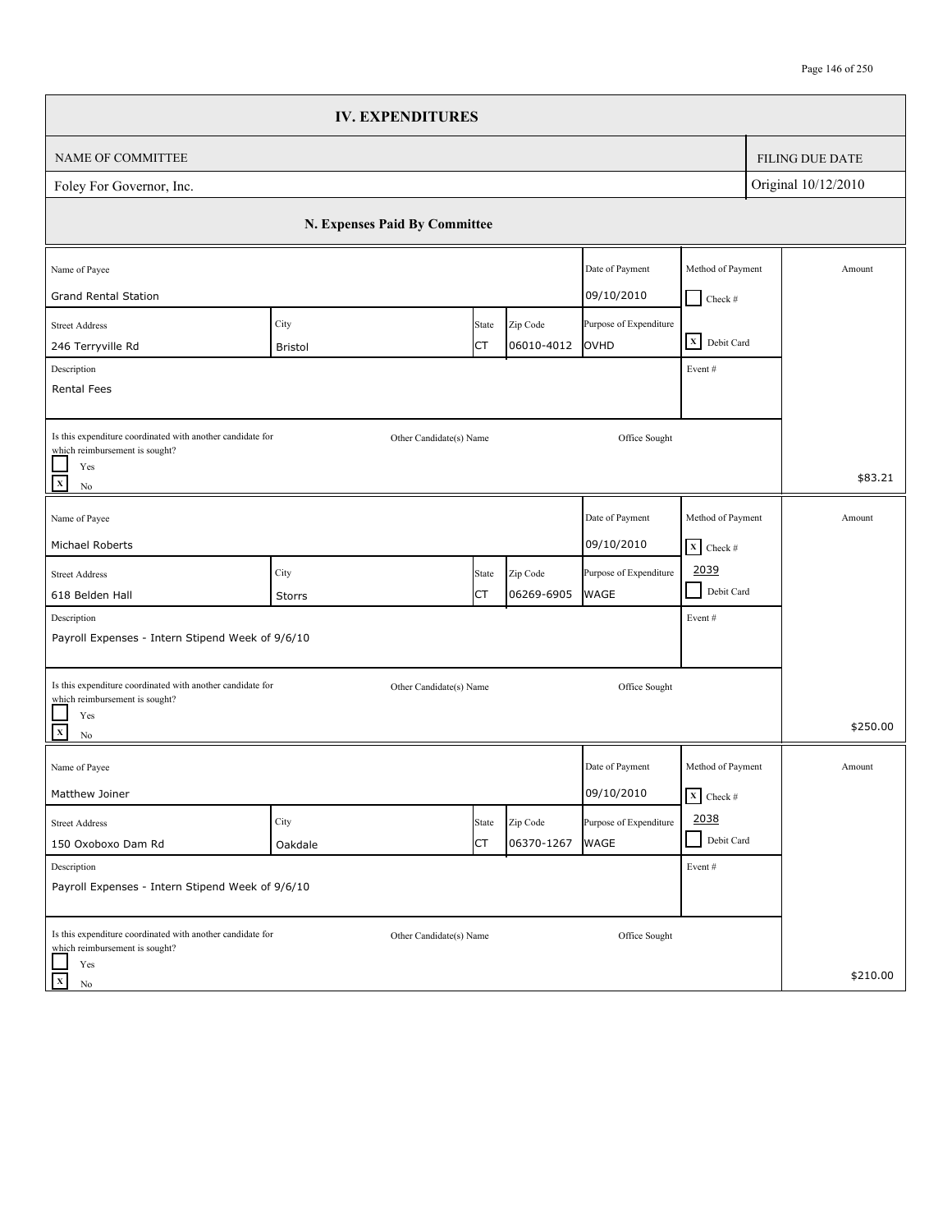|                                                                                              | <b>IV. EXPENDITURES</b>              |       |            |                        |                                 |  |                        |  |
|----------------------------------------------------------------------------------------------|--------------------------------------|-------|------------|------------------------|---------------------------------|--|------------------------|--|
| <b>NAME OF COMMITTEE</b>                                                                     |                                      |       |            |                        |                                 |  | <b>FILING DUE DATE</b> |  |
| Foley For Governor, Inc.                                                                     |                                      |       |            |                        |                                 |  | Original 10/12/2010    |  |
|                                                                                              | N. Expenses Paid By Committee        |       |            |                        |                                 |  |                        |  |
| Name of Payee                                                                                | Method of Payment<br>Date of Payment |       |            |                        |                                 |  |                        |  |
| <b>Grand Rental Station</b>                                                                  |                                      |       |            | 09/10/2010             | $Check$ #                       |  |                        |  |
| <b>Street Address</b>                                                                        | City                                 | State | Zip Code   | Purpose of Expenditure | X Debit Card                    |  |                        |  |
| 246 Terryville Rd                                                                            | <b>Bristol</b>                       | СT    | 06010-4012 | OVHD                   |                                 |  |                        |  |
| Description<br>Rental Fees                                                                   |                                      |       |            |                        | Event#                          |  |                        |  |
|                                                                                              |                                      |       |            |                        |                                 |  |                        |  |
| Is this expenditure coordinated with another candidate for<br>which reimbursement is sought? | Other Candidate(s) Name              |       |            | Office Sought          |                                 |  |                        |  |
| Yes                                                                                          |                                      |       |            |                        |                                 |  | \$83.21                |  |
| $\mathbf{x}$<br>No                                                                           |                                      |       |            |                        |                                 |  |                        |  |
| Name of Payee                                                                                |                                      |       |            | Date of Payment        | Method of Payment               |  | Amount                 |  |
| Michael Roberts                                                                              |                                      |       |            | 09/10/2010             | $\boxed{\mathbf{X}}$ Check #    |  |                        |  |
| <b>Street Address</b>                                                                        | City                                 | State | Zip Code   | Purpose of Expenditure | 2039                            |  |                        |  |
| 618 Belden Hall                                                                              | Storrs                               | СT    | 06269-6905 | <b>WAGE</b>            | $\blacksquare$<br>Debit Card    |  |                        |  |
| Description                                                                                  |                                      |       |            |                        | Event#                          |  |                        |  |
| Payroll Expenses - Intern Stipend Week of 9/6/10                                             |                                      |       |            |                        |                                 |  |                        |  |
| Is this expenditure coordinated with another candidate for                                   | Other Candidate(s) Name              |       |            | Office Sought          |                                 |  |                        |  |
| which reimbursement is sought?                                                               |                                      |       |            |                        |                                 |  |                        |  |
| Yes<br>$\mathbf{x}$<br>No                                                                    |                                      |       |            |                        |                                 |  | \$250.00               |  |
| Name of Payee                                                                                |                                      |       |            | Date of Payment        | Method of Payment               |  | Amount                 |  |
| Matthew Joiner                                                                               |                                      |       |            | 09/10/2010             | $\overline{\mathbf{X}}$ Check # |  |                        |  |
| <b>Street Address</b>                                                                        | City                                 | State | Zip Code   | Purpose of Expenditure | 2038                            |  |                        |  |
| 150 Oxoboxo Dam Rd                                                                           | Oakdale                              | СT    | 06370-1267 | WAGE                   | Debit Card                      |  |                        |  |
| Description                                                                                  |                                      |       |            |                        | Event #                         |  |                        |  |
| Payroll Expenses - Intern Stipend Week of 9/6/10                                             |                                      |       |            |                        |                                 |  |                        |  |
| Is this expenditure coordinated with another candidate for                                   | Other Candidate(s) Name              |       |            | Office Sought          |                                 |  |                        |  |
| which reimbursement is sought?<br>Yes                                                        |                                      |       |            |                        |                                 |  |                        |  |
| $\mathbf x$<br>No                                                                            |                                      |       |            |                        |                                 |  | \$210.00               |  |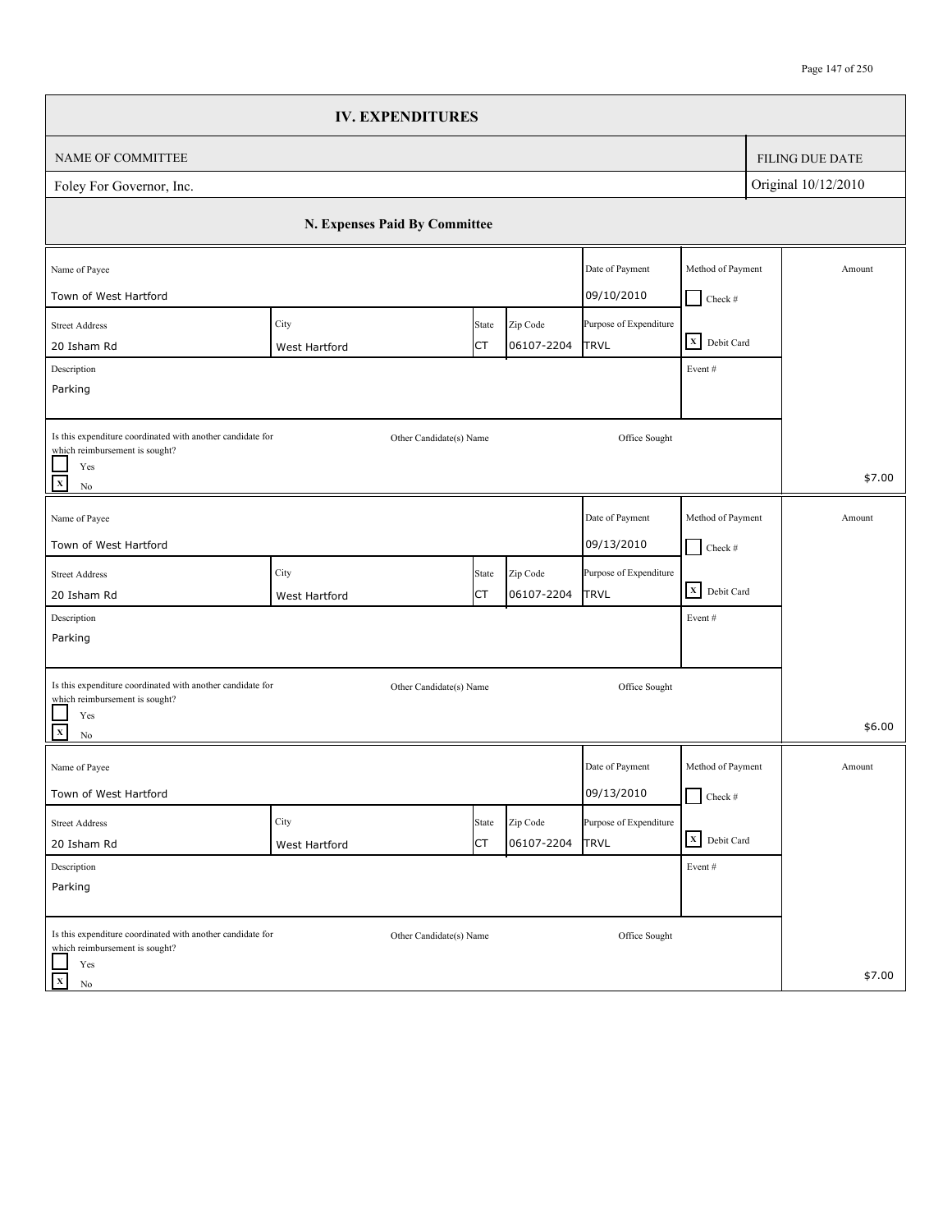|                                                                                              | <b>IV. EXPENDITURES</b>       |       |            |                        |                   |                        |
|----------------------------------------------------------------------------------------------|-------------------------------|-------|------------|------------------------|-------------------|------------------------|
| NAME OF COMMITTEE                                                                            |                               |       |            |                        |                   | <b>FILING DUE DATE</b> |
| Foley For Governor, Inc.                                                                     |                               |       |            |                        |                   | Original 10/12/2010    |
|                                                                                              | N. Expenses Paid By Committee |       |            |                        |                   |                        |
| Name of Payee                                                                                |                               |       |            | Date of Payment        | Method of Payment | Amount                 |
| Town of West Hartford                                                                        |                               |       |            | 09/10/2010             | $\Box$ Check #    |                        |
| <b>Street Address</b>                                                                        | City                          | State | Zip Code   | Purpose of Expenditure | X Debit Card      |                        |
| 20 Isham Rd                                                                                  | West Hartford                 | СT    | 06107-2204 | <b>TRVL</b>            |                   |                        |
| Description<br>Parking                                                                       |                               |       |            |                        | Event#            |                        |
|                                                                                              |                               |       |            |                        |                   |                        |
| Is this expenditure coordinated with another candidate for<br>which reimbursement is sought? | Other Candidate(s) Name       |       |            | Office Sought          |                   |                        |
| Yes<br>$\mathbf{x}$<br>$\rm No$                                                              |                               |       |            |                        |                   | \$7.00                 |
| Name of Payee                                                                                |                               |       |            | Date of Payment        | Method of Payment | Amount                 |
| Town of West Hartford                                                                        |                               |       |            | 09/13/2010             | $\Box$ Check #    |                        |
| <b>Street Address</b>                                                                        | City                          | State | Zip Code   | Purpose of Expenditure |                   |                        |
| 20 Isham Rd                                                                                  | West Hartford                 | СT    | 06107-2204 | <b>TRVL</b>            | X Debit Card      |                        |
| Description                                                                                  |                               |       |            |                        | Event#            |                        |
| Parking                                                                                      |                               |       |            |                        |                   |                        |
| Is this expenditure coordinated with another candidate for                                   | Other Candidate(s) Name       |       |            | Office Sought          |                   |                        |
| which reimbursement is sought?<br>Yes<br>$\mathbf{x}$<br>No                                  |                               |       |            |                        |                   | \$6.00                 |
| Name of Payee                                                                                |                               |       |            | Date of Payment        | Method of Payment | Amount                 |
| Town of West Hartford                                                                        |                               |       |            | 09/13/2010             | $\Box$ Check #    |                        |
| <b>Street Address</b>                                                                        | City                          | State | Zip Code   | Purpose of Expenditure |                   |                        |
| 20 Isham Rd                                                                                  | West Hartford                 | СT    | 06107-2204 | <b>TRVL</b>            | X Debit Card      |                        |
| Description                                                                                  |                               |       |            |                        | Event #           |                        |
| Parking                                                                                      |                               |       |            |                        |                   |                        |
| Is this expenditure coordinated with another candidate for<br>which reimbursement is sought? | Other Candidate(s) Name       |       |            | Office Sought          |                   |                        |
| Yes<br>$\mathbf x$<br>No                                                                     |                               |       |            |                        |                   | \$7.00                 |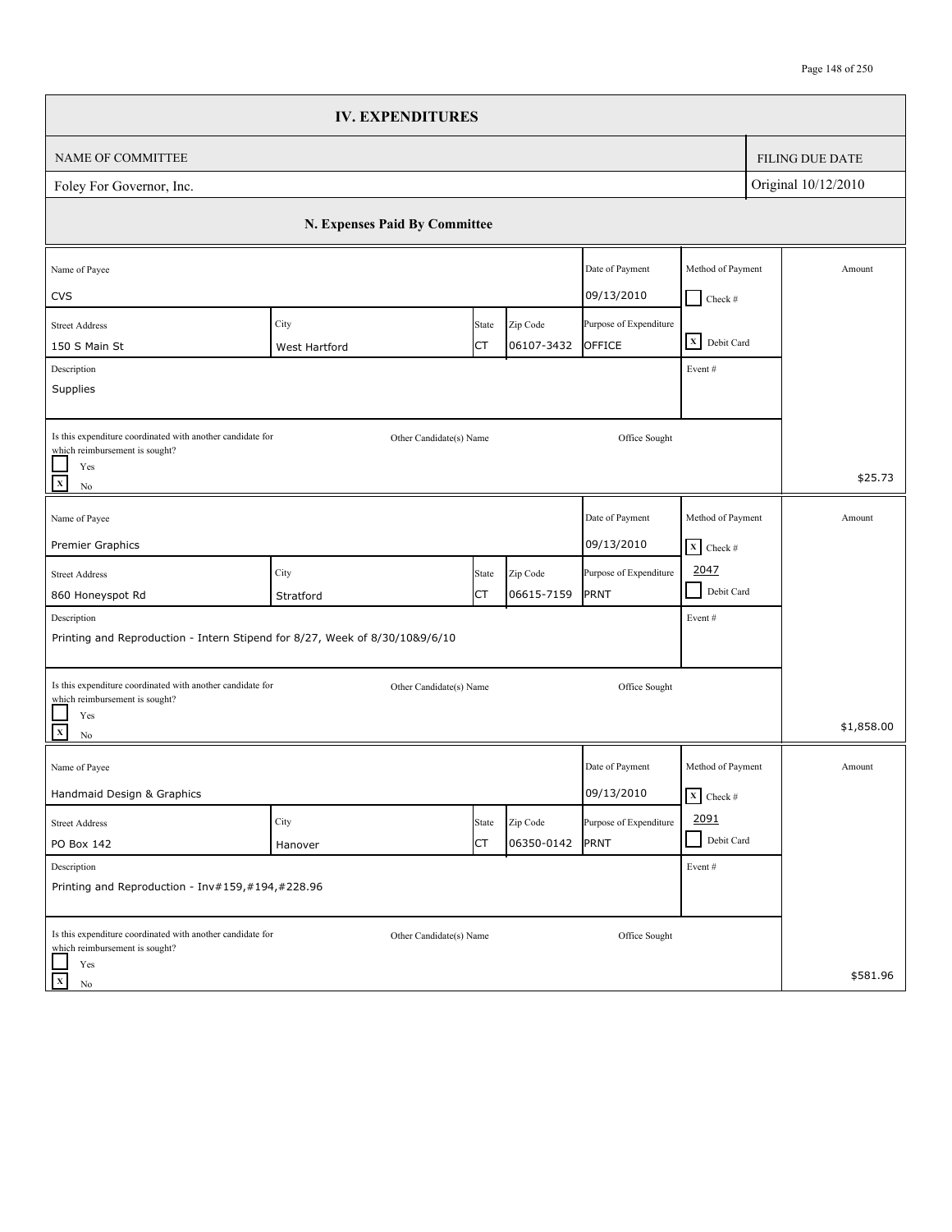|                                                                                                                                            | <b>IV. EXPENDITURES</b>       |             |                        |                                  |                                                      |                        |
|--------------------------------------------------------------------------------------------------------------------------------------------|-------------------------------|-------------|------------------------|----------------------------------|------------------------------------------------------|------------------------|
| NAME OF COMMITTEE                                                                                                                          |                               |             |                        |                                  |                                                      | <b>FILING DUE DATE</b> |
| Foley For Governor, Inc.                                                                                                                   |                               |             |                        |                                  |                                                      | Original 10/12/2010    |
|                                                                                                                                            | N. Expenses Paid By Committee |             |                        |                                  |                                                      |                        |
| Name of Payee<br><b>CVS</b>                                                                                                                |                               |             |                        | Date of Payment<br>09/13/2010    | Method of Payment                                    | Amount                 |
| <b>Street Address</b><br>150 S Main St<br>Description                                                                                      | City<br>West Hartford         | State<br>СT | Zip Code<br>06107-3432 | Purpose of Expenditure<br>OFFICE | $\Box$ Check #<br>X Debit Card<br>Event#             |                        |
| Supplies<br>Is this expenditure coordinated with another candidate for<br>which reimbursement is sought?<br>Yes                            | Other Candidate(s) Name       |             |                        | Office Sought                    |                                                      |                        |
| $\overline{\mathbf{x}}$<br>$\rm No$                                                                                                        |                               |             |                        |                                  |                                                      | \$25.73                |
| Name of Payee<br>Premier Graphics                                                                                                          |                               |             |                        | Date of Payment<br>09/13/2010    | Method of Payment<br>$\mathbf{X}$ Check #            | Amount                 |
| <b>Street Address</b><br>860 Honeyspot Rd                                                                                                  | City<br>Stratford             | State<br>СT | Zip Code<br>06615-7159 | Purpose of Expenditure<br>PRNT   | 2047<br>$\blacksquare$<br>Debit Card                 |                        |
| Description<br>Printing and Reproduction - Intern Stipend for 8/27, Week of 8/30/10&9/6/10                                                 |                               |             |                        |                                  | Event#                                               |                        |
| Is this expenditure coordinated with another candidate for<br>which reimbursement is sought?<br>Yes<br>$\overline{\mathbf{x}}$<br>$\rm No$ | Other Candidate(s) Name       |             |                        | Office Sought                    |                                                      | \$1,858.00             |
| Name of Payee<br>Handmaid Design & Graphics                                                                                                |                               |             |                        | Date of Payment<br>09/13/2010    | Method of Payment<br>$\overline{\mathbf{x}}$ Check # | Amount                 |
| <b>Street Address</b><br>PO Box 142                                                                                                        | City<br>Hanover               | State<br>СT | Zip Code<br>06350-0142 | Purpose of Expenditure<br>PRNT   | 2091<br>Debit Card<br>$\blacksquare$                 |                        |
| Description<br>Printing and Reproduction - Inv#159,#194,#228.96                                                                            |                               |             |                        |                                  | Event#                                               |                        |
| Is this expenditure coordinated with another candidate for<br>which reimbursement is sought?<br>Yes<br>$\mathbf X$<br>No                   | Other Candidate(s) Name       |             |                        | Office Sought                    |                                                      | \$581.96               |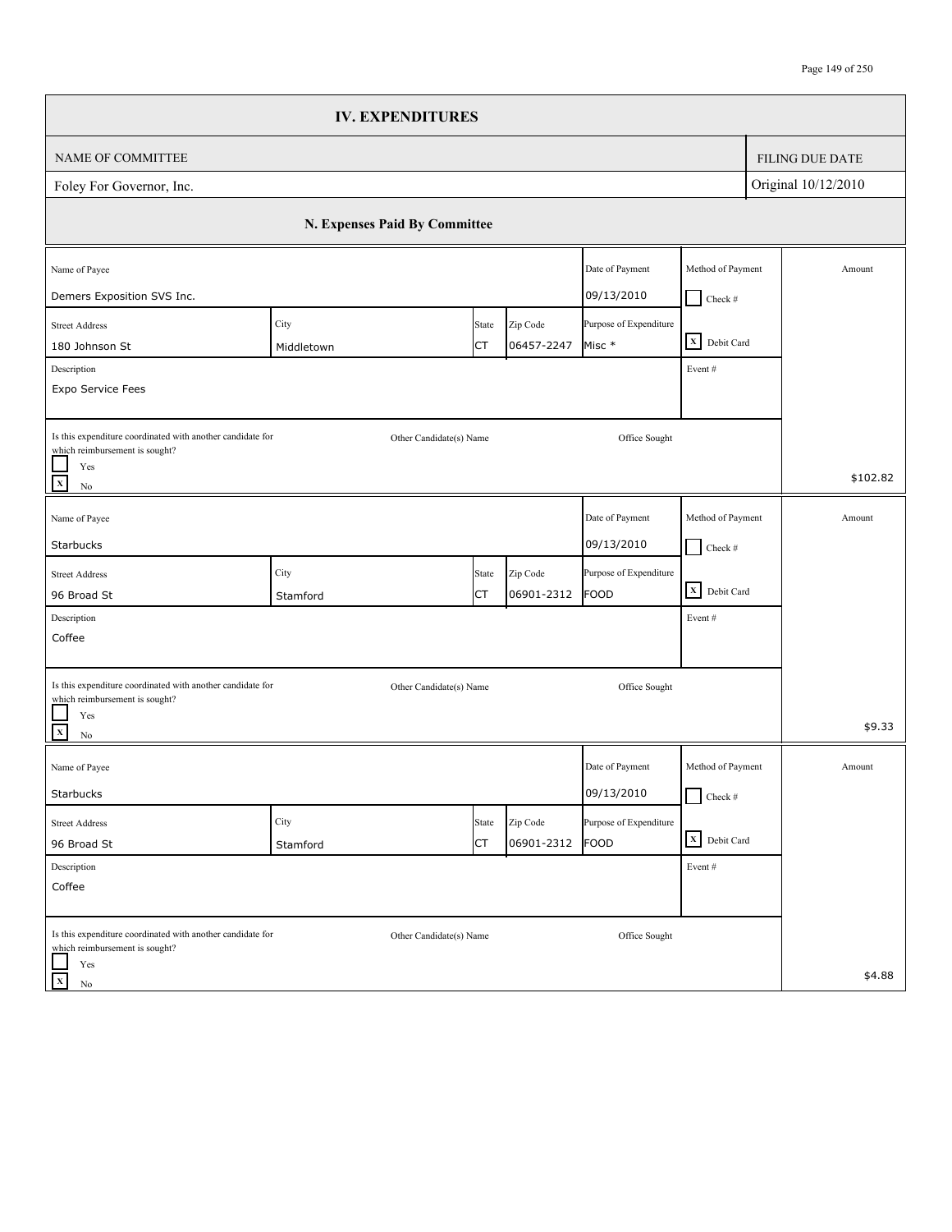|                                                                                              | <b>IV. EXPENDITURES</b>       |       |            |                        |                                 |                        |
|----------------------------------------------------------------------------------------------|-------------------------------|-------|------------|------------------------|---------------------------------|------------------------|
| NAME OF COMMITTEE                                                                            |                               |       |            |                        |                                 | <b>FILING DUE DATE</b> |
| Foley For Governor, Inc.                                                                     |                               |       |            |                        |                                 | Original 10/12/2010    |
|                                                                                              | N. Expenses Paid By Committee |       |            |                        |                                 |                        |
| Name of Payee                                                                                |                               |       |            | Date of Payment        | Method of Payment               | Amount                 |
| Demers Exposition SVS Inc.                                                                   |                               |       |            | 09/13/2010             | $Check$ #                       |                        |
| <b>Street Address</b>                                                                        | City                          | State | Zip Code   | Purpose of Expenditure |                                 |                        |
| 180 Johnson St                                                                               | Middletown                    | СT    | 06457-2247 | Misc *                 | X Debit Card                    |                        |
| Description                                                                                  |                               |       |            |                        | Event#                          |                        |
| Expo Service Fees                                                                            |                               |       |            |                        |                                 |                        |
|                                                                                              |                               |       |            |                        |                                 |                        |
| Is this expenditure coordinated with another candidate for<br>which reimbursement is sought? | Other Candidate(s) Name       |       |            | Office Sought          |                                 |                        |
| Yes                                                                                          |                               |       |            |                        |                                 | \$102.82               |
| $\mathbf x$<br>$\rm No$                                                                      |                               |       |            |                        |                                 |                        |
| Name of Payee                                                                                |                               |       |            | Date of Payment        | Method of Payment               | Amount                 |
| Starbucks                                                                                    |                               |       |            | 09/13/2010             | $\Box$ Check #                  |                        |
| <b>Street Address</b>                                                                        | City                          | State | Zip Code   | Purpose of Expenditure |                                 |                        |
| 96 Broad St                                                                                  | Stamford                      | СT    | 06901-2312 | FOOD                   | X Debit Card                    |                        |
| Description                                                                                  |                               |       |            |                        | Event#                          |                        |
| Coffee                                                                                       |                               |       |            |                        |                                 |                        |
|                                                                                              |                               |       |            |                        |                                 |                        |
| Is this expenditure coordinated with another candidate for<br>which reimbursement is sought? | Other Candidate(s) Name       |       |            | Office Sought          |                                 |                        |
| Yes                                                                                          |                               |       |            |                        |                                 |                        |
| $\mathbf X$<br>$\rm No$                                                                      |                               |       |            |                        |                                 | \$9.33                 |
| Name of Payee                                                                                |                               |       |            | Date of Payment        | Method of Payment               | Amount                 |
| Starbucks                                                                                    |                               |       |            | 09/13/2010             | $\Box$ Check #                  |                        |
| <b>Street Address</b>                                                                        | City                          | State | Zip Code   | Purpose of Expenditure |                                 |                        |
| 96 Broad St                                                                                  | Stamford                      | СT    | 06901-2312 | FOOD                   | $\boxed{\mathbf{X}}$ Debit Card |                        |
| Description                                                                                  |                               |       |            |                        | Event #                         |                        |
| Coffee                                                                                       |                               |       |            |                        |                                 |                        |
|                                                                                              |                               |       |            |                        |                                 |                        |
| Is this expenditure coordinated with another candidate for<br>which reimbursement is sought? | Other Candidate(s) Name       |       |            | Office Sought          |                                 |                        |
| Yes                                                                                          |                               |       |            |                        |                                 |                        |
| $\mathbf X$<br>No                                                                            |                               |       |            |                        |                                 | \$4.88                 |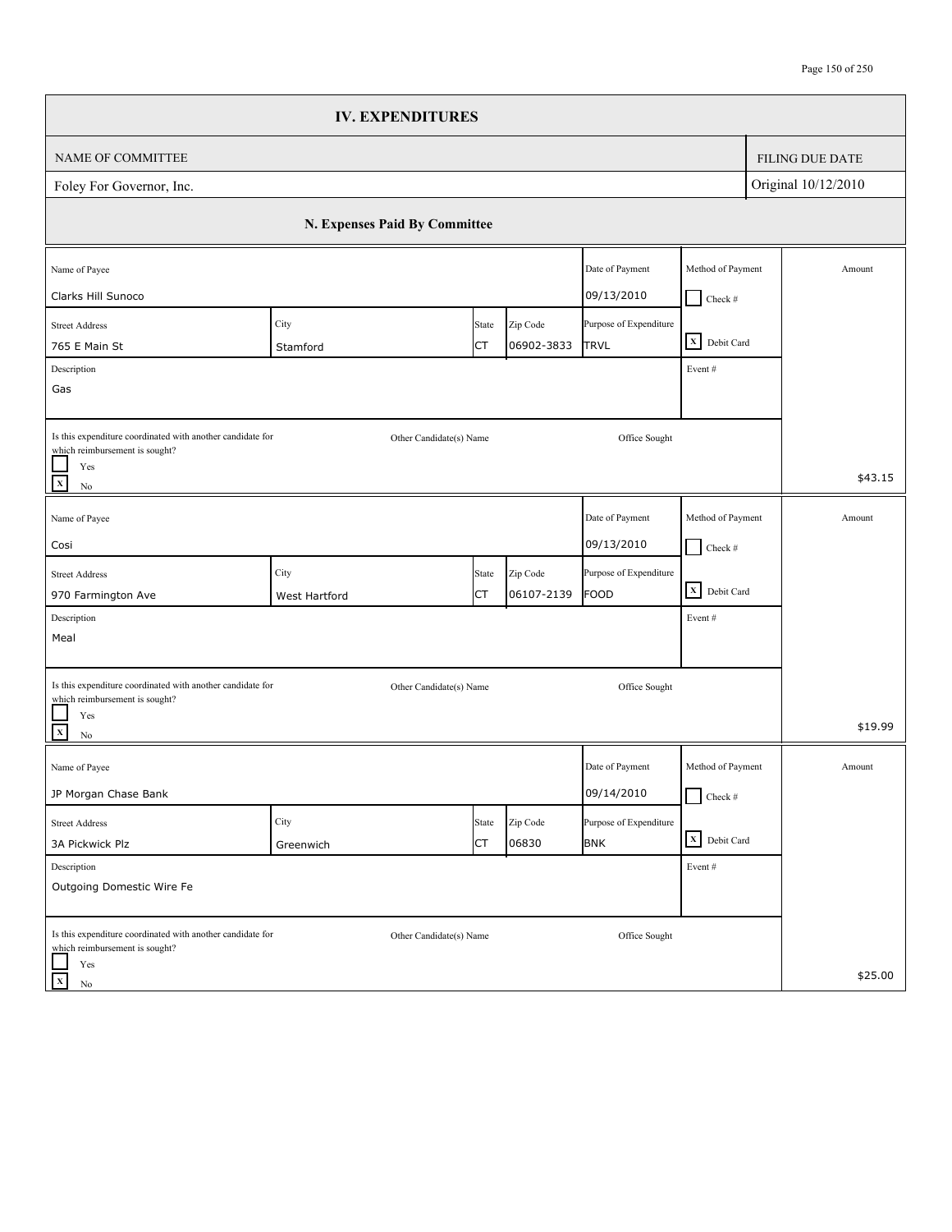|                                                                                              | <b>IV. EXPENDITURES</b>       |           |            |                        |                                                                    |                        |
|----------------------------------------------------------------------------------------------|-------------------------------|-----------|------------|------------------------|--------------------------------------------------------------------|------------------------|
| NAME OF COMMITTEE                                                                            |                               |           |            |                        |                                                                    | <b>FILING DUE DATE</b> |
| Foley For Governor, Inc.                                                                     |                               |           |            |                        |                                                                    | Original 10/12/2010    |
|                                                                                              | N. Expenses Paid By Committee |           |            |                        |                                                                    |                        |
| Name of Payee                                                                                |                               |           |            | Date of Payment        | Method of Payment                                                  | Amount                 |
| Clarks Hill Sunoco                                                                           |                               |           |            | 09/13/2010             | $Check$ #                                                          |                        |
| <b>Street Address</b>                                                                        | City                          | State     | Zip Code   | Purpose of Expenditure | $\begin{array}{ c c }\n\hline\nX & \text{Debit Card}\n\end{array}$ |                        |
| 765 E Main St                                                                                | Stamford                      | СT        | 06902-3833 | <b>TRVL</b>            |                                                                    |                        |
| Description<br>Gas                                                                           |                               |           |            |                        | Event#                                                             |                        |
|                                                                                              |                               |           |            |                        |                                                                    |                        |
| Is this expenditure coordinated with another candidate for<br>which reimbursement is sought? | Other Candidate(s) Name       |           |            | Office Sought          |                                                                    |                        |
| Yes<br>$\mathbf x$<br>$\rm No$                                                               |                               |           |            |                        |                                                                    | \$43.15                |
| Name of Payee                                                                                |                               |           |            | Date of Payment        | Method of Payment                                                  | Amount                 |
| Cosi                                                                                         |                               |           |            | 09/13/2010             | $\Box$ Check #                                                     |                        |
| <b>Street Address</b>                                                                        | City                          | State     | Zip Code   | Purpose of Expenditure |                                                                    |                        |
| 970 Farmington Ave                                                                           | West Hartford                 | СT        | 06107-2139 | <b>FOOD</b>            | $\overline{\mathbf{X}}$ Debit Card                                 |                        |
| Description                                                                                  |                               |           |            |                        | Event#                                                             |                        |
| Meal                                                                                         |                               |           |            |                        |                                                                    |                        |
| Is this expenditure coordinated with another candidate for                                   | Other Candidate(s) Name       |           |            | Office Sought          |                                                                    |                        |
| which reimbursement is sought?<br>Yes<br>$\frac{1}{x}$<br>$\rm No$                           |                               |           |            |                        |                                                                    | \$19.99                |
| Name of Payee                                                                                |                               |           |            | Date of Payment        | Method of Payment                                                  | Amount                 |
| JP Morgan Chase Bank                                                                         |                               |           |            | 09/14/2010             | $\Box$ Check #                                                     |                        |
| <b>Street Address</b>                                                                        | City                          | State     | Zip Code   | Purpose of Expenditure |                                                                    |                        |
| 3A Pickwick Plz                                                                              | Greenwich                     | <b>CT</b> | 06830      | <b>BNK</b>             | X Debit Card                                                       |                        |
| Description                                                                                  |                               |           |            |                        | Event#                                                             |                        |
| Outgoing Domestic Wire Fe                                                                    |                               |           |            |                        |                                                                    |                        |
| Is this expenditure coordinated with another candidate for<br>which reimbursement is sought? | Other Candidate(s) Name       |           |            | Office Sought          |                                                                    |                        |
| Yes<br>$\mathbf{x}$<br>No                                                                    |                               |           |            |                        |                                                                    | \$25.00                |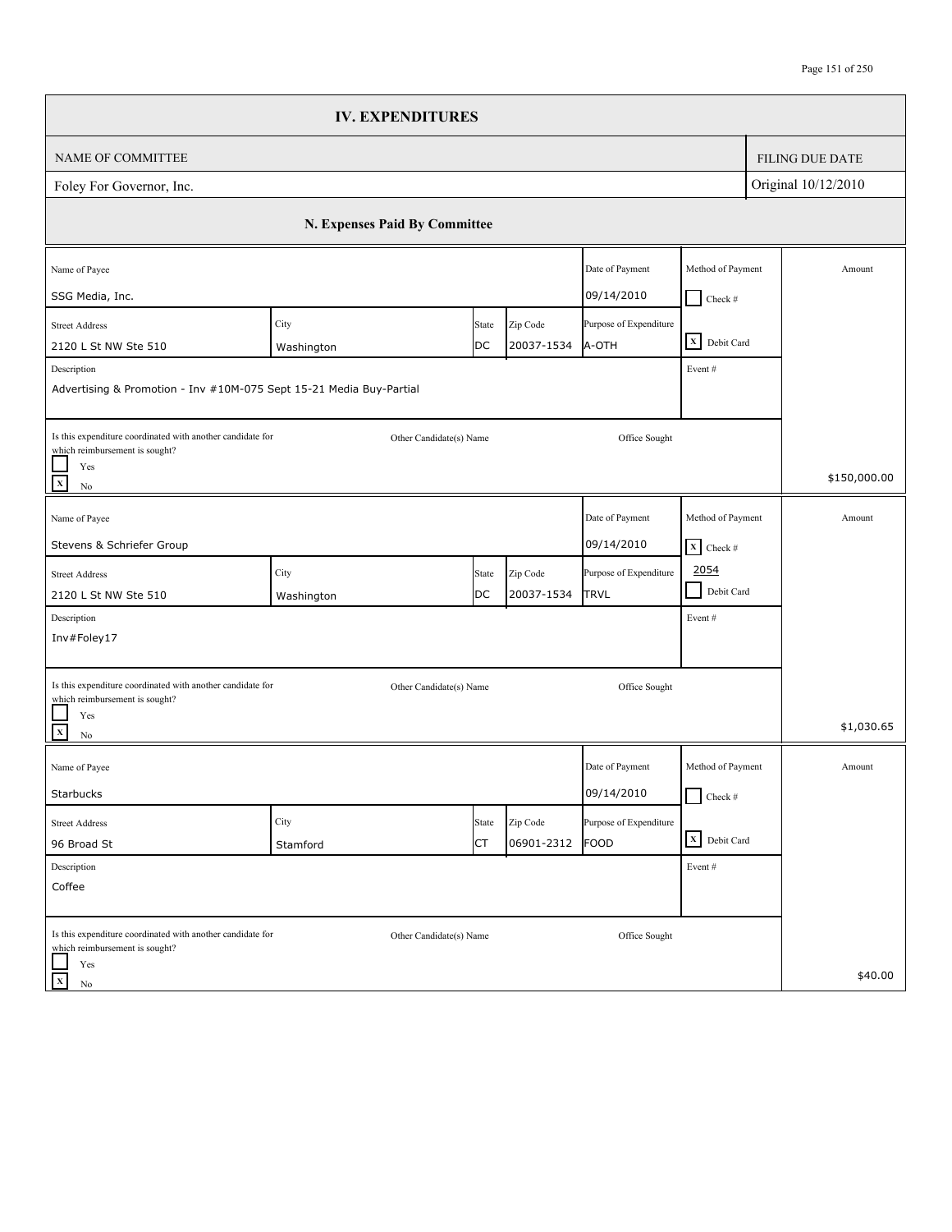|                                                                                              | <b>IV. EXPENDITURES</b>       |             |                        |                                 |                              |                        |
|----------------------------------------------------------------------------------------------|-------------------------------|-------------|------------------------|---------------------------------|------------------------------|------------------------|
| <b>NAME OF COMMITTEE</b>                                                                     |                               |             |                        |                                 |                              | <b>FILING DUE DATE</b> |
| Foley For Governor, Inc.                                                                     |                               |             |                        |                                 |                              | Original 10/12/2010    |
|                                                                                              | N. Expenses Paid By Committee |             |                        |                                 |                              |                        |
| Name of Payee                                                                                |                               |             |                        | Date of Payment                 | Method of Payment            | Amount                 |
| SSG Media, Inc.                                                                              |                               |             |                        | 09/14/2010                      | $\Box$ Check #               |                        |
| <b>Street Address</b><br>2120 L St NW Ste 510                                                | City                          | State<br>DC | Zip Code<br>20037-1534 | Purpose of Expenditure<br>A-OTH | X Debit Card                 |                        |
| Description                                                                                  | Washington                    |             |                        |                                 | Event#                       |                        |
| Advertising & Promotion - Inv #10M-075 Sept 15-21 Media Buy-Partial                          |                               |             |                        |                                 |                              |                        |
| Is this expenditure coordinated with another candidate for<br>which reimbursement is sought? | Other Candidate(s) Name       |             |                        | Office Sought                   |                              |                        |
| Yes<br>$\mathbf X$<br>No                                                                     |                               |             |                        |                                 |                              | \$150,000.00           |
| Name of Payee                                                                                |                               |             |                        | Date of Payment                 | Method of Payment            | Amount                 |
| Stevens & Schriefer Group                                                                    |                               |             |                        | 09/14/2010                      | $X$ Check #                  |                        |
| <b>Street Address</b>                                                                        | City                          | State       | Zip Code               | Purpose of Expenditure          | 2054                         |                        |
| 2120 L St NW Ste 510                                                                         | Washington                    | DC          | 20037-1534             | <b>TRVL</b>                     | Debit Card<br>$\blacksquare$ |                        |
| Description                                                                                  |                               |             |                        |                                 | Event#                       |                        |
| Inv#Foley17                                                                                  |                               |             |                        |                                 |                              |                        |
| Is this expenditure coordinated with another candidate for<br>which reimbursement is sought? | Other Candidate(s) Name       |             |                        | Office Sought                   |                              |                        |
| Yes<br>$\mathbf x$<br>No                                                                     |                               |             |                        |                                 |                              | \$1,030.65             |
| Name of Payee                                                                                |                               |             |                        | Date of Payment                 | Method of Payment            | Amount                 |
| Starbucks                                                                                    |                               |             |                        | 09/14/2010                      | $\Box$ Check #               |                        |
| <b>Street Address</b>                                                                        | City                          | State       | Zip Code               | Purpose of Expenditure          |                              |                        |
| 96 Broad St                                                                                  | Stamford                      | СT          | 06901-2312             | FOOD                            | X Debit Card                 |                        |
| Description<br>Coffee                                                                        |                               |             |                        |                                 | Event #                      |                        |
|                                                                                              |                               |             |                        |                                 |                              |                        |
| Is this expenditure coordinated with another candidate for<br>which reimbursement is sought? | Other Candidate(s) Name       |             |                        | Office Sought                   |                              |                        |
| Yes<br>$\mathbf x$<br>$\rm No$                                                               |                               |             |                        |                                 |                              | \$40.00                |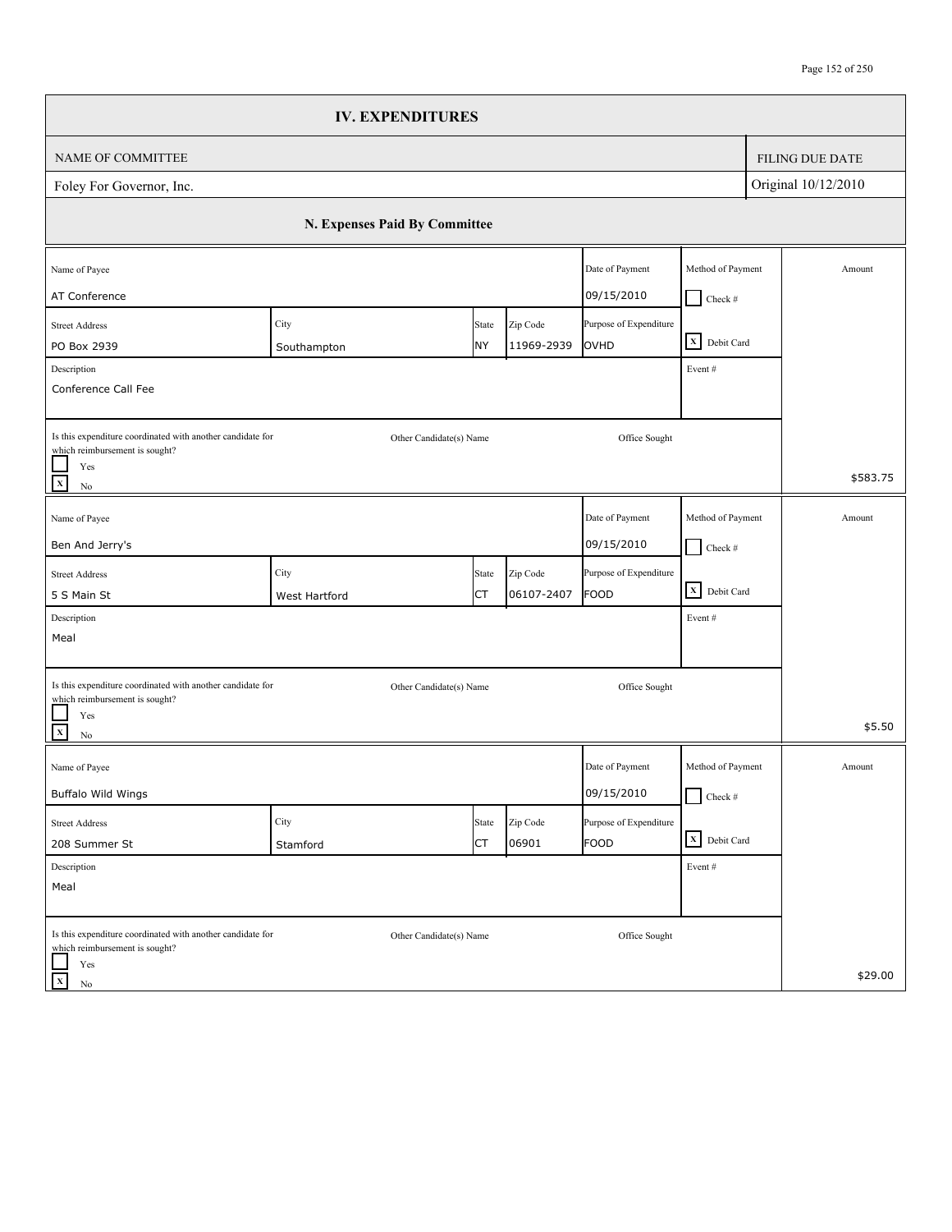|                                                                                              | <b>IV. EXPENDITURES</b>       |       |            |                        |                   |                        |
|----------------------------------------------------------------------------------------------|-------------------------------|-------|------------|------------------------|-------------------|------------------------|
| NAME OF COMMITTEE                                                                            |                               |       |            |                        |                   | <b>FILING DUE DATE</b> |
| Foley For Governor, Inc.                                                                     |                               |       |            |                        |                   | Original 10/12/2010    |
|                                                                                              | N. Expenses Paid By Committee |       |            |                        |                   |                        |
| Name of Payee                                                                                |                               |       |            | Date of Payment        | Method of Payment | Amount                 |
| AT Conference                                                                                |                               |       |            | 09/15/2010             | $\Box$ Check #    |                        |
| <b>Street Address</b>                                                                        | City                          | State | Zip Code   | Purpose of Expenditure | X Debit Card      |                        |
| PO Box 2939                                                                                  | Southampton                   | NY    | 11969-2939 | OVHD                   |                   |                        |
| Description<br>Conference Call Fee                                                           |                               |       |            |                        | Event#            |                        |
|                                                                                              |                               |       |            |                        |                   |                        |
| Is this expenditure coordinated with another candidate for<br>which reimbursement is sought? | Other Candidate(s) Name       |       |            | Office Sought          |                   |                        |
| Yes<br>$\mathbf x$<br>$\rm No$                                                               |                               |       |            |                        |                   | \$583.75               |
| Name of Payee                                                                                |                               |       |            | Date of Payment        | Method of Payment | Amount                 |
| Ben And Jerry's                                                                              |                               |       |            | 09/15/2010             | $\Box$ Check #    |                        |
| <b>Street Address</b>                                                                        | City                          | State | Zip Code   | Purpose of Expenditure |                   |                        |
| 5 S Main St                                                                                  | West Hartford                 | СT    | 06107-2407 | FOOD                   | X Debit Card      |                        |
| Description                                                                                  |                               |       |            |                        | Event#            |                        |
| Meal                                                                                         |                               |       |            |                        |                   |                        |
| Is this expenditure coordinated with another candidate for                                   | Other Candidate(s) Name       |       |            | Office Sought          |                   |                        |
| which reimbursement is sought?<br>Yes                                                        |                               |       |            |                        |                   |                        |
| $\mathbf{x}$<br>$\rm No$                                                                     |                               |       |            |                        |                   | \$5.50                 |
| Name of Payee                                                                                |                               |       |            | Date of Payment        | Method of Payment | Amount                 |
| Buffalo Wild Wings                                                                           |                               |       |            | 09/15/2010             | $\Box$ Check #    |                        |
| <b>Street Address</b>                                                                        | City                          | State | Zip Code   | Purpose of Expenditure |                   |                        |
| 208 Summer St                                                                                | Stamford                      | СT    | 06901      | FOOD                   | X Debit Card      |                        |
| Description                                                                                  |                               |       |            |                        | Event#            |                        |
| Meal                                                                                         |                               |       |            |                        |                   |                        |
| Is this expenditure coordinated with another candidate for                                   | Other Candidate(s) Name       |       |            | Office Sought          |                   |                        |
| which reimbursement is sought?<br>Yes                                                        |                               |       |            |                        |                   |                        |
| $\mathbf X$<br>No                                                                            |                               |       |            |                        |                   | \$29.00                |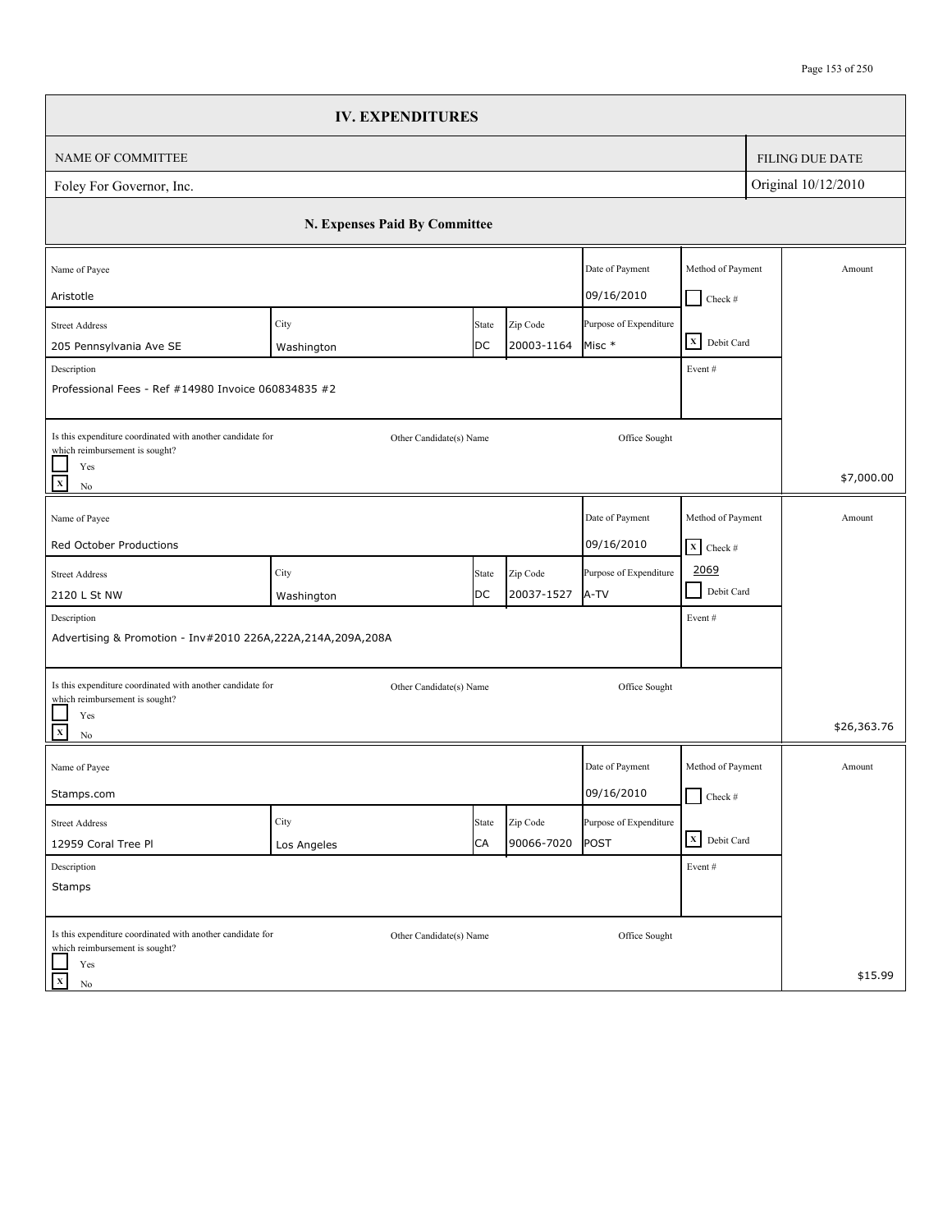|                                                                                              | <b>IV. EXPENDITURES</b>       |                         |            |                        |                              |  |                        |
|----------------------------------------------------------------------------------------------|-------------------------------|-------------------------|------------|------------------------|------------------------------|--|------------------------|
| NAME OF COMMITTEE                                                                            |                               |                         |            |                        |                              |  | <b>FILING DUE DATE</b> |
| Foley For Governor, Inc.                                                                     |                               |                         |            |                        | Original 10/12/2010          |  |                        |
|                                                                                              | N. Expenses Paid By Committee |                         |            |                        |                              |  |                        |
| Name of Payee                                                                                |                               |                         |            | Date of Payment        | Method of Payment            |  | Amount                 |
| Aristotle                                                                                    |                               |                         |            | 09/16/2010             | $Check$ #                    |  |                        |
| <b>Street Address</b>                                                                        | City                          | State                   | Zip Code   | Purpose of Expenditure | X Debit Card                 |  |                        |
| 205 Pennsylvania Ave SE                                                                      | Washington                    | DC                      | 20003-1164 | Misc *                 |                              |  |                        |
| Description<br>Professional Fees - Ref #14980 Invoice 060834835 #2                           |                               |                         |            |                        | Event#                       |  |                        |
| Is this expenditure coordinated with another candidate for                                   |                               | Other Candidate(s) Name |            | Office Sought          |                              |  |                        |
| which reimbursement is sought?<br>Yes<br>$\overline{x}$<br>$\rm No$                          |                               |                         |            |                        |                              |  | \$7,000.00             |
| Name of Payee                                                                                |                               |                         |            | Date of Payment        | Method of Payment            |  | Amount                 |
| Red October Productions                                                                      |                               |                         |            | 09/16/2010             | $\mathbf{X}$ Check #         |  |                        |
| <b>Street Address</b>                                                                        | City                          | State                   | Zip Code   | Purpose of Expenditure | 2069                         |  |                        |
| 2120 L St NW                                                                                 | Washington                    | DC                      | 20037-1527 | A-TV                   | $\blacksquare$<br>Debit Card |  |                        |
| Description                                                                                  |                               |                         |            |                        | Event#                       |  |                        |
| Advertising & Promotion - Inv#2010 226A,222A,214A,209A,208A                                  |                               |                         |            |                        |                              |  |                        |
| Is this expenditure coordinated with another candidate for<br>which reimbursement is sought? |                               | Other Candidate(s) Name |            | Office Sought          |                              |  |                        |
| Yes<br>$\overline{\mathbf{x}}$<br>$\rm No$                                                   |                               |                         |            |                        |                              |  | \$26,363.76            |
| Name of Payee                                                                                |                               |                         |            | Date of Payment        | Method of Payment            |  | Amount                 |
| Stamps.com                                                                                   |                               |                         |            | 09/16/2010             | $\Box$ Check #               |  |                        |
| Street Address                                                                               | City                          | State                   | Zip Code   | Purpose of Expenditure |                              |  |                        |
| 12959 Coral Tree Pl                                                                          | Los Angeles                   | CA                      | 90066-7020 | POST                   | X Debit Card                 |  |                        |
| Description                                                                                  |                               |                         |            |                        | Event#                       |  |                        |
| Stamps                                                                                       |                               |                         |            |                        |                              |  |                        |
| Is this expenditure coordinated with another candidate for<br>which reimbursement is sought? |                               | Other Candidate(s) Name |            | Office Sought          |                              |  |                        |
| Yes<br>$\mathbf X$<br>No                                                                     |                               |                         |            |                        |                              |  | \$15.99                |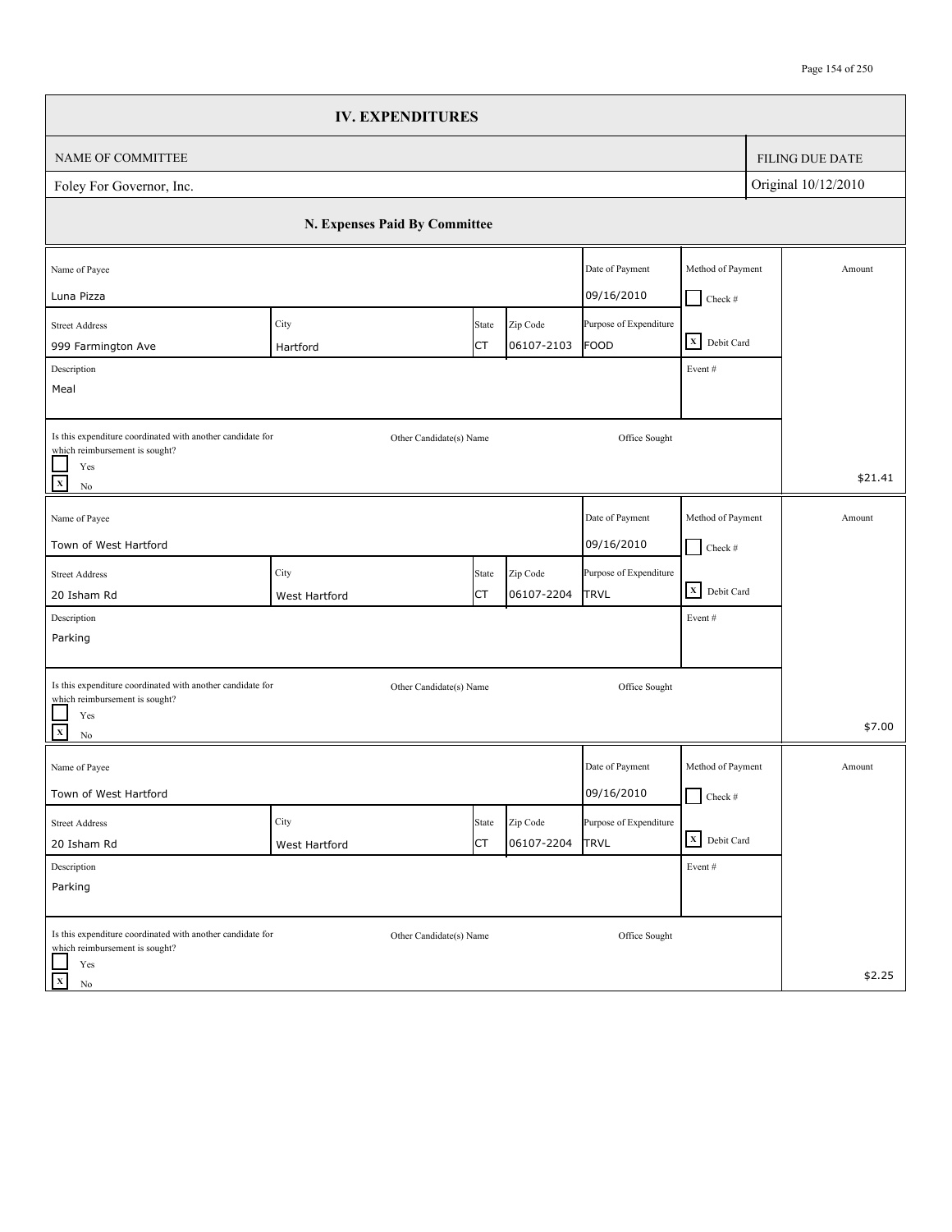|                                                                                              | <b>IV. EXPENDITURES</b>       |                         |            |                        |                                    |                        |
|----------------------------------------------------------------------------------------------|-------------------------------|-------------------------|------------|------------------------|------------------------------------|------------------------|
| NAME OF COMMITTEE                                                                            |                               |                         |            |                        |                                    | <b>FILING DUE DATE</b> |
| Foley For Governor, Inc.                                                                     |                               |                         |            |                        |                                    | Original 10/12/2010    |
|                                                                                              | N. Expenses Paid By Committee |                         |            |                        |                                    |                        |
| Name of Payee                                                                                |                               |                         |            | Date of Payment        | Method of Payment                  | Amount                 |
| Luna Pizza                                                                                   |                               |                         |            | 09/16/2010             | $Check$ #                          |                        |
| <b>Street Address</b>                                                                        | City                          | State                   | Zip Code   | Purpose of Expenditure | X Debit Card                       |                        |
| 999 Farmington Ave                                                                           | Hartford                      | СT                      | 06107-2103 | <b>FOOD</b>            |                                    |                        |
| Description<br>Meal                                                                          |                               |                         |            |                        | Event#                             |                        |
|                                                                                              |                               |                         |            |                        |                                    |                        |
| Is this expenditure coordinated with another candidate for<br>which reimbursement is sought? |                               | Other Candidate(s) Name |            | Office Sought          |                                    |                        |
| Yes<br>$\overline{x}$<br>$\rm No$                                                            |                               |                         |            |                        |                                    | \$21.41                |
| Name of Payee                                                                                |                               |                         |            | Date of Payment        | Method of Payment                  | Amount                 |
| Town of West Hartford                                                                        |                               |                         |            | 09/16/2010             | $\Box$ Check #                     |                        |
| <b>Street Address</b>                                                                        | City                          | State                   | Zip Code   | Purpose of Expenditure |                                    |                        |
| 20 Isham Rd                                                                                  | West Hartford                 | СT                      | 06107-2204 | TRVL                   | $\overline{\mathbf{X}}$ Debit Card |                        |
| Description                                                                                  |                               |                         |            |                        | Event#                             |                        |
| Parking                                                                                      |                               |                         |            |                        |                                    |                        |
| Is this expenditure coordinated with another candidate for                                   |                               | Other Candidate(s) Name |            | Office Sought          |                                    |                        |
| which reimbursement is sought?<br>Yes<br>$\overline{\mathbf{x}}$<br>$\rm No$                 |                               |                         |            |                        |                                    | \$7.00                 |
| Name of Payee                                                                                |                               |                         |            | Date of Payment        | Method of Payment                  | Amount                 |
| Town of West Hartford                                                                        |                               |                         |            | 09/16/2010             | $\Box$ Check #                     |                        |
| <b>Street Address</b>                                                                        | City                          | State                   | Zip Code   | Purpose of Expenditure |                                    |                        |
| 20 Isham Rd                                                                                  | West Hartford                 | <b>CT</b>               | 06107-2204 | <b>TRVL</b>            | X Debit Card                       |                        |
| Description                                                                                  |                               |                         |            |                        | Event#                             |                        |
| Parking                                                                                      |                               |                         |            |                        |                                    |                        |
| Is this expenditure coordinated with another candidate for<br>which reimbursement is sought? |                               | Other Candidate(s) Name |            | Office Sought          |                                    |                        |
| Yes<br>$\mathbf X$<br>No                                                                     |                               |                         |            |                        |                                    | \$2.25                 |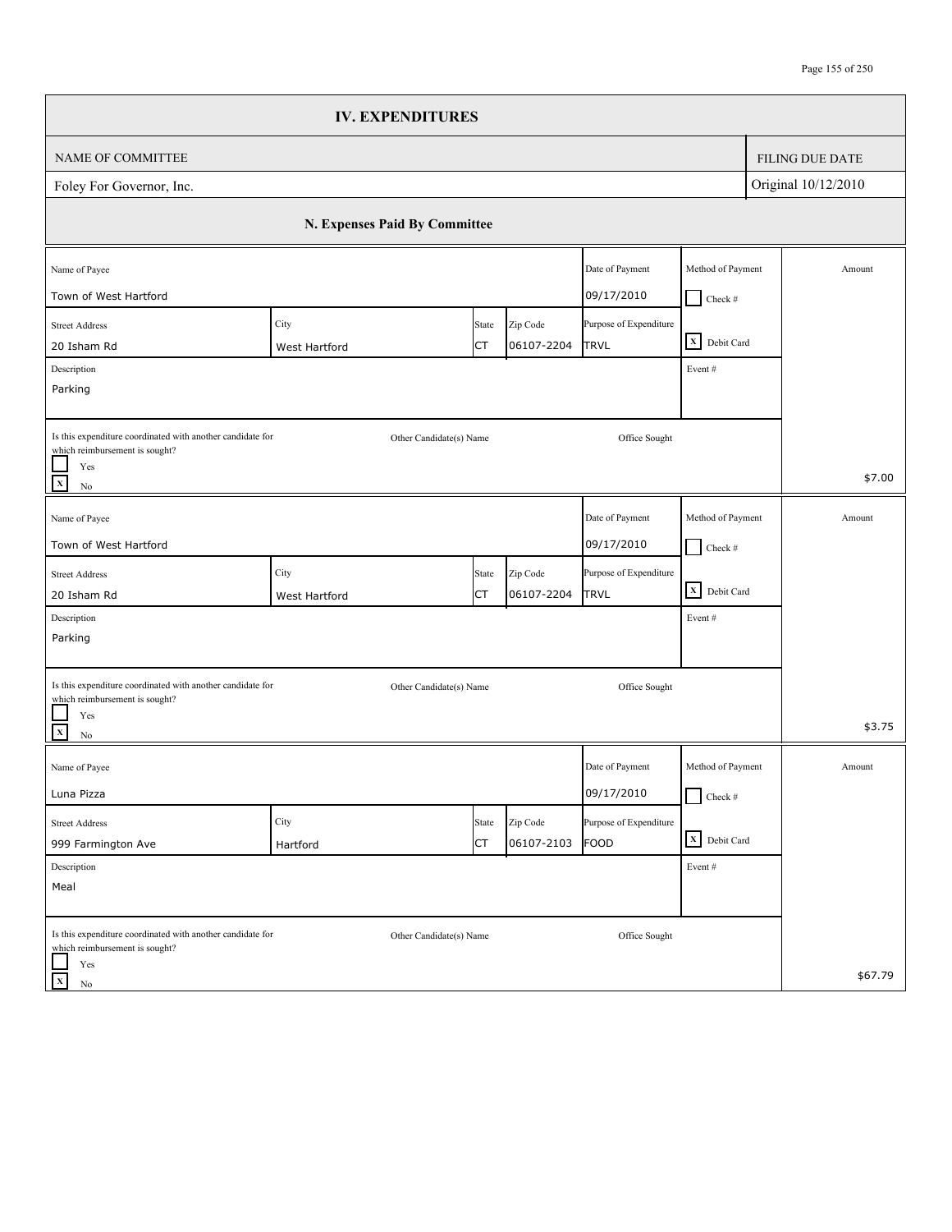|                                                                                              | <b>IV. EXPENDITURES</b>       |       |            |                        |                   |                        |
|----------------------------------------------------------------------------------------------|-------------------------------|-------|------------|------------------------|-------------------|------------------------|
| NAME OF COMMITTEE                                                                            |                               |       |            |                        |                   | <b>FILING DUE DATE</b> |
| Foley For Governor, Inc.                                                                     |                               |       |            |                        |                   | Original 10/12/2010    |
|                                                                                              | N. Expenses Paid By Committee |       |            |                        |                   |                        |
| Name of Payee                                                                                |                               |       |            | Date of Payment        | Method of Payment | Amount                 |
| Town of West Hartford                                                                        |                               |       |            | 09/17/2010             | $\Box$ Check #    |                        |
| <b>Street Address</b>                                                                        | City                          | State | Zip Code   | Purpose of Expenditure |                   |                        |
| 20 Isham Rd                                                                                  | West Hartford                 | СT    | 06107-2204 | <b>TRVL</b>            | X Debit Card      |                        |
| Description                                                                                  |                               |       |            |                        | Event#            |                        |
| Parking                                                                                      |                               |       |            |                        |                   |                        |
| Is this expenditure coordinated with another candidate for<br>which reimbursement is sought? | Other Candidate(s) Name       |       |            | Office Sought          |                   |                        |
| Yes<br>$\mathbf x$<br>$\rm No$                                                               |                               |       |            |                        |                   | \$7.00                 |
| Name of Payee                                                                                |                               |       |            | Date of Payment        | Method of Payment | Amount                 |
| Town of West Hartford                                                                        |                               |       |            | 09/17/2010             | $\Box$ Check #    |                        |
| <b>Street Address</b>                                                                        | City                          | State | Zip Code   | Purpose of Expenditure |                   |                        |
| 20 Isham Rd                                                                                  | West Hartford                 | СT    | 06107-2204 | TRVL                   | X Debit Card      |                        |
| Description                                                                                  |                               |       |            |                        | Event#            |                        |
| Parking                                                                                      |                               |       |            |                        |                   |                        |
|                                                                                              |                               |       |            |                        |                   |                        |
| Is this expenditure coordinated with another candidate for<br>which reimbursement is sought? | Other Candidate(s) Name       |       |            | Office Sought          |                   |                        |
| Yes<br>$\mathbf{x}$<br>$\rm No$                                                              |                               |       |            |                        |                   | \$3.75                 |
| Name of Payee                                                                                |                               |       |            | Date of Payment        | Method of Payment | Amount                 |
| Luna Pizza                                                                                   |                               |       |            | 09/17/2010             | $\Box$ Check #    |                        |
| <b>Street Address</b>                                                                        | City                          | State | Zip Code   | Purpose of Expenditure |                   |                        |
| 999 Farmington Ave                                                                           | Hartford                      | СT    | 06107-2103 | FOOD                   | X Debit Card      |                        |
| Description                                                                                  |                               |       |            |                        | Event#            |                        |
| Meal                                                                                         |                               |       |            |                        |                   |                        |
| Is this expenditure coordinated with another candidate for<br>which reimbursement is sought? | Other Candidate(s) Name       |       |            | Office Sought          |                   |                        |
| Yes<br>$\mathbf X$<br>No                                                                     |                               |       |            |                        |                   | \$67.79                |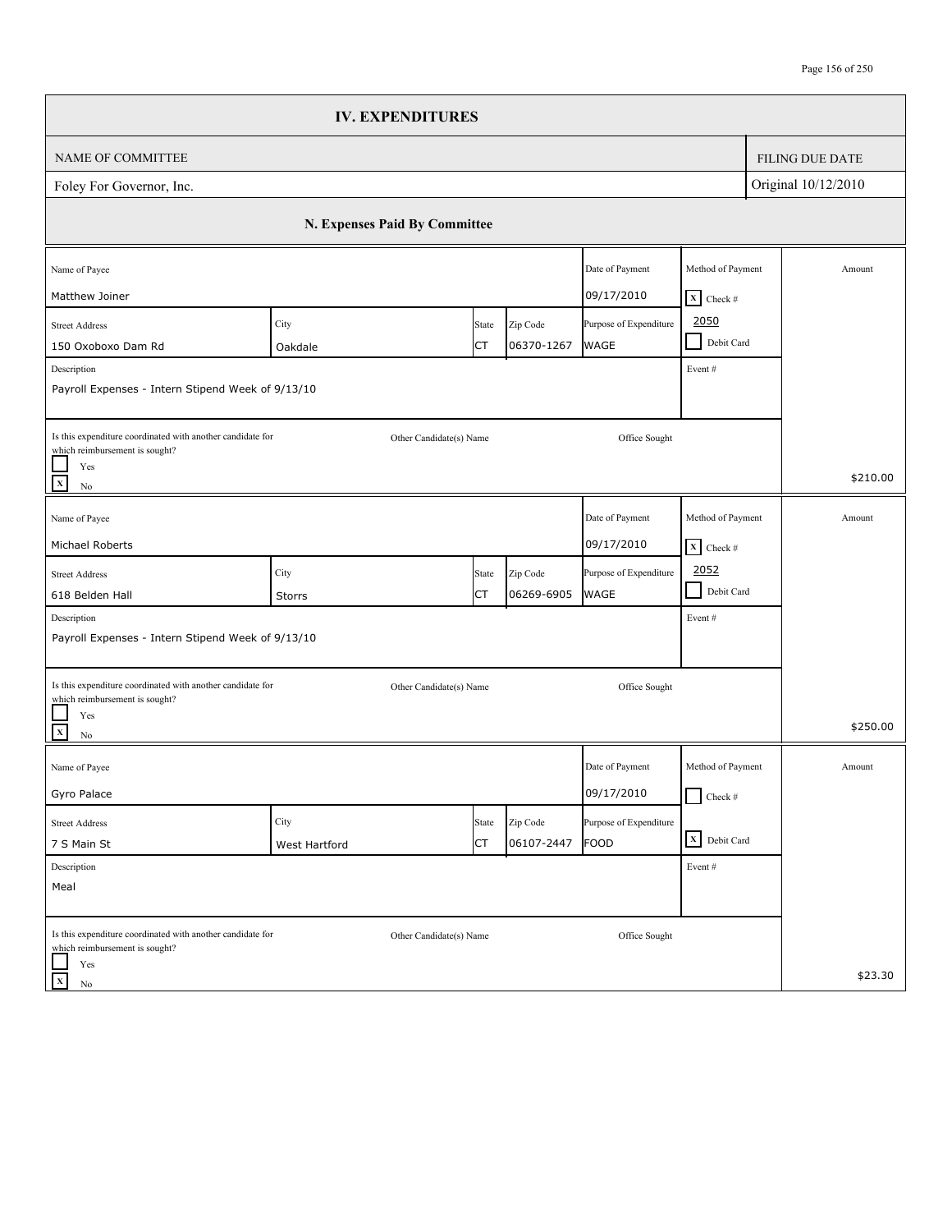|                                                                                              |                               | <b>IV. EXPENDITURES</b> |            |                        |                                 |                     |                        |
|----------------------------------------------------------------------------------------------|-------------------------------|-------------------------|------------|------------------------|---------------------------------|---------------------|------------------------|
| <b>NAME OF COMMITTEE</b>                                                                     |                               |                         |            |                        |                                 |                     | <b>FILING DUE DATE</b> |
| Foley For Governor, Inc.                                                                     |                               |                         |            |                        |                                 | Original 10/12/2010 |                        |
|                                                                                              | N. Expenses Paid By Committee |                         |            |                        |                                 |                     |                        |
| Name of Payee                                                                                |                               |                         |            | Date of Payment        | Method of Payment               |                     | Amount                 |
| Matthew Joiner                                                                               |                               |                         |            | 09/17/2010             | $\overline{\mathbf{X}}$ Check # |                     |                        |
| <b>Street Address</b>                                                                        | City                          | State                   | Zip Code   | Purpose of Expenditure | 2050                            |                     |                        |
| 150 Oxoboxo Dam Rd                                                                           | Oakdale                       | СT                      | 06370-1267 | <b>WAGE</b>            | Debit Card<br>$\sim$            |                     |                        |
| Description<br>Payroll Expenses - Intern Stipend Week of 9/13/10                             |                               |                         |            |                        | Event#                          |                     |                        |
|                                                                                              |                               |                         |            |                        |                                 |                     |                        |
| Is this expenditure coordinated with another candidate for<br>which reimbursement is sought? |                               | Other Candidate(s) Name |            | Office Sought          |                                 |                     |                        |
| Yes<br>$\mathbf{x}$<br>No                                                                    |                               |                         |            |                        |                                 |                     | \$210.00               |
| Name of Payee                                                                                |                               |                         |            | Date of Payment        | Method of Payment               |                     | Amount                 |
| Michael Roberts                                                                              |                               |                         |            | 09/17/2010             | $\boxed{\mathbf{X}}$ Check #    |                     |                        |
| <b>Street Address</b>                                                                        | City                          | State                   | Zip Code   | Purpose of Expenditure | 2052                            |                     |                        |
| 618 Belden Hall                                                                              | Storrs                        | СT                      | 06269-6905 | <b>WAGE</b>            | $\blacksquare$<br>Debit Card    |                     |                        |
| Description                                                                                  |                               |                         |            |                        | Event#                          |                     |                        |
| Payroll Expenses - Intern Stipend Week of 9/13/10                                            |                               |                         |            |                        |                                 |                     |                        |
| Is this expenditure coordinated with another candidate for                                   |                               | Other Candidate(s) Name |            | Office Sought          |                                 |                     |                        |
| which reimbursement is sought?<br>Yes<br>$\mathbf{x}$<br>No                                  |                               |                         |            |                        |                                 |                     | \$250.00               |
| Name of Payee                                                                                |                               |                         |            | Date of Payment        | Method of Payment               |                     | Amount                 |
| Gyro Palace                                                                                  |                               |                         |            | 09/17/2010             | $\Box$ Check #                  |                     |                        |
| <b>Street Address</b>                                                                        | City                          | State                   | Zip Code   | Purpose of Expenditure |                                 |                     |                        |
| 7 S Main St                                                                                  | West Hartford                 | СT                      | 06107-2447 | FOOD                   | X Debit Card                    |                     |                        |
| Description                                                                                  |                               |                         |            |                        | Event #                         |                     |                        |
| Meal                                                                                         |                               |                         |            |                        |                                 |                     |                        |
| Is this expenditure coordinated with another candidate for                                   |                               | Other Candidate(s) Name |            | Office Sought          |                                 |                     |                        |
| which reimbursement is sought?<br>Yes                                                        |                               |                         |            |                        |                                 |                     |                        |
| $\mathbf x$<br>No                                                                            |                               |                         |            |                        |                                 |                     | \$23.30                |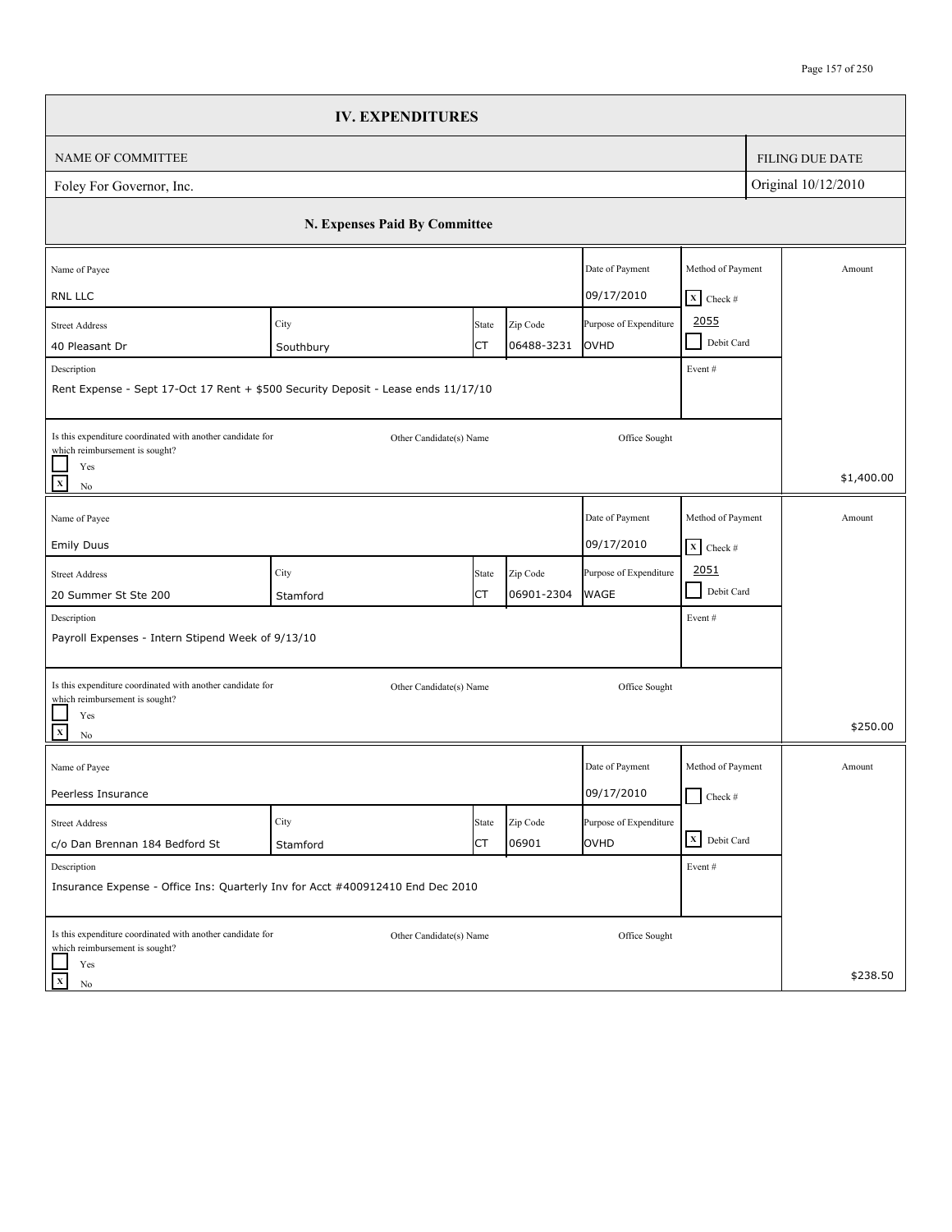|                                                                                                                                | <b>IV. EXPENDITURES</b>       |             |                        |                                       |                                                    |                        |
|--------------------------------------------------------------------------------------------------------------------------------|-------------------------------|-------------|------------------------|---------------------------------------|----------------------------------------------------|------------------------|
| NAME OF COMMITTEE                                                                                                              |                               |             |                        |                                       |                                                    | <b>FILING DUE DATE</b> |
| Foley For Governor, Inc.                                                                                                       |                               |             |                        |                                       |                                                    | Original 10/12/2010    |
|                                                                                                                                | N. Expenses Paid By Committee |             |                        |                                       |                                                    |                        |
| Name of Payee<br>RNL LLC                                                                                                       |                               |             |                        | Date of Payment<br>09/17/2010         | Method of Payment                                  | Amount                 |
| <b>Street Address</b><br>40 Pleasant Dr                                                                                        | City<br>Southbury             | State<br>СT | Zip Code<br>06488-3231 | Purpose of Expenditure<br>OVHD        | $X$ Check #<br>2055<br>Debit Card<br>$\mathcal{L}$ |                        |
| Description<br>Rent Expense - Sept 17-Oct 17 Rent + \$500 Security Deposit - Lease ends 11/17/10                               |                               |             |                        |                                       | Event#                                             |                        |
| Is this expenditure coordinated with another candidate for<br>which reimbursement is sought?<br>Yes<br>$\mathbf x$<br>$\rm No$ | Other Candidate(s) Name       |             |                        | Office Sought                         |                                                    | \$1,400.00             |
| Name of Payee<br><b>Emily Duus</b>                                                                                             |                               |             |                        | Date of Payment<br>09/17/2010         | Method of Payment<br>$X$ Check #                   | Amount                 |
| <b>Street Address</b><br>20 Summer St Ste 200                                                                                  | City<br>Stamford              | State<br>СT | Zip Code<br>06901-2304 | Purpose of Expenditure<br><b>WAGE</b> | 2051<br>$\blacksquare$<br>Debit Card               |                        |
| Description<br>Payroll Expenses - Intern Stipend Week of 9/13/10                                                               |                               |             |                        |                                       | Event#                                             |                        |
| Is this expenditure coordinated with another candidate for<br>which reimbursement is sought?<br>Yes                            | Other Candidate(s) Name       |             |                        | Office Sought                         |                                                    | \$250.00               |
| $\mathbf X$<br>No<br>Name of Payee                                                                                             |                               |             |                        | Date of Payment                       | Method of Payment                                  | Amount                 |
| Peerless Insurance                                                                                                             |                               |             |                        | 09/17/2010                            | $\Box$ Check #                                     |                        |
| <b>Street Address</b><br>c/o Dan Brennan 184 Bedford St                                                                        | City<br>Stamford              | State<br>СT | Zip Code<br>06901      | Purpose of Expenditure<br>OVHD        | X Debit Card                                       |                        |
| Description<br>Insurance Expense - Office Ins: Quarterly Inv for Acct #400912410 End Dec 2010                                  |                               |             |                        |                                       | Event#                                             |                        |
| Is this expenditure coordinated with another candidate for<br>which reimbursement is sought?<br>Yes                            | Other Candidate(s) Name       |             |                        | Office Sought                         |                                                    |                        |
| $\mathbf x$<br>No                                                                                                              |                               |             |                        |                                       |                                                    | \$238.50               |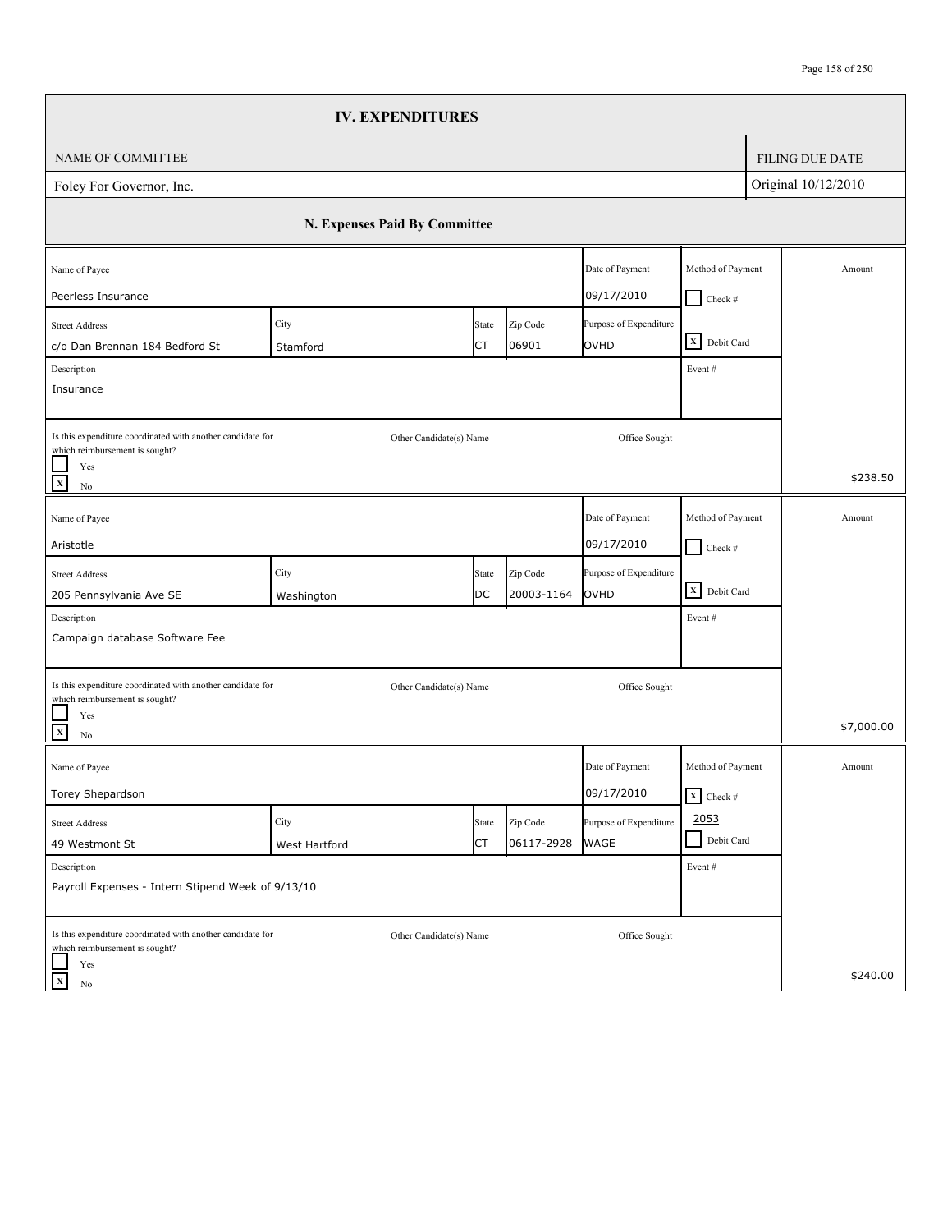|                                                                                              | <b>IV. EXPENDITURES</b>       |       |                   |                                |                                 |                        |
|----------------------------------------------------------------------------------------------|-------------------------------|-------|-------------------|--------------------------------|---------------------------------|------------------------|
| NAME OF COMMITTEE                                                                            |                               |       |                   |                                |                                 | <b>FILING DUE DATE</b> |
| Foley For Governor, Inc.                                                                     |                               |       |                   |                                |                                 | Original 10/12/2010    |
|                                                                                              | N. Expenses Paid By Committee |       |                   |                                |                                 |                        |
| Name of Payee                                                                                |                               |       |                   | Date of Payment                | Method of Payment               | Amount                 |
| Peerless Insurance                                                                           |                               |       |                   | 09/17/2010                     | $Check$ #                       |                        |
| <b>Street Address</b>                                                                        | City                          | State | Zip Code<br>06901 | Purpose of Expenditure<br>OVHD | X Debit Card                    |                        |
| c/o Dan Brennan 184 Bedford St<br>Description                                                | Stamford                      | СT    |                   |                                | Event#                          |                        |
| Insurance                                                                                    |                               |       |                   |                                |                                 |                        |
|                                                                                              |                               |       |                   |                                |                                 |                        |
| Is this expenditure coordinated with another candidate for<br>which reimbursement is sought? | Other Candidate(s) Name       |       |                   | Office Sought                  |                                 |                        |
| Yes<br>$\mathbf{x}$<br>No                                                                    |                               |       |                   |                                |                                 | \$238.50               |
| Name of Payee                                                                                |                               |       |                   | Date of Payment                | Method of Payment               | Amount                 |
| Aristotle                                                                                    |                               |       |                   | 09/17/2010                     | $\Box$ Check #                  |                        |
| <b>Street Address</b>                                                                        | City                          | State | Zip Code          | Purpose of Expenditure         |                                 |                        |
| 205 Pennsylvania Ave SE                                                                      | Washington                    | DC    | 20003-1164        | OVHD                           | X Debit Card                    |                        |
| Description                                                                                  |                               |       |                   |                                | Event#                          |                        |
| Campaign database Software Fee                                                               |                               |       |                   |                                |                                 |                        |
| Is this expenditure coordinated with another candidate for                                   | Other Candidate(s) Name       |       |                   | Office Sought                  |                                 |                        |
| which reimbursement is sought?<br>Yes<br>$\mathbf{x}$<br>No                                  |                               |       |                   |                                |                                 | \$7,000.00             |
| Name of Payee                                                                                |                               |       |                   | Date of Payment                | Method of Payment               | Amount                 |
| Torey Shepardson                                                                             |                               |       |                   | 09/17/2010                     | $\overline{\mathbf{X}}$ Check # |                        |
| <b>Street Address</b>                                                                        | City                          | State | Zip Code          | Purpose of Expenditure         | 2053                            |                        |
| 49 Westmont St                                                                               | West Hartford                 | СT    | 06117-2928        | <b>WAGE</b>                    | Debit Card                      |                        |
| Description                                                                                  |                               |       |                   |                                | Event #                         |                        |
| Payroll Expenses - Intern Stipend Week of 9/13/10                                            |                               |       |                   |                                |                                 |                        |
| Is this expenditure coordinated with another candidate for<br>which reimbursement is sought? | Other Candidate(s) Name       |       |                   | Office Sought                  |                                 |                        |
| Yes<br>$\mathbf x$<br>No                                                                     |                               |       |                   |                                |                                 | \$240.00               |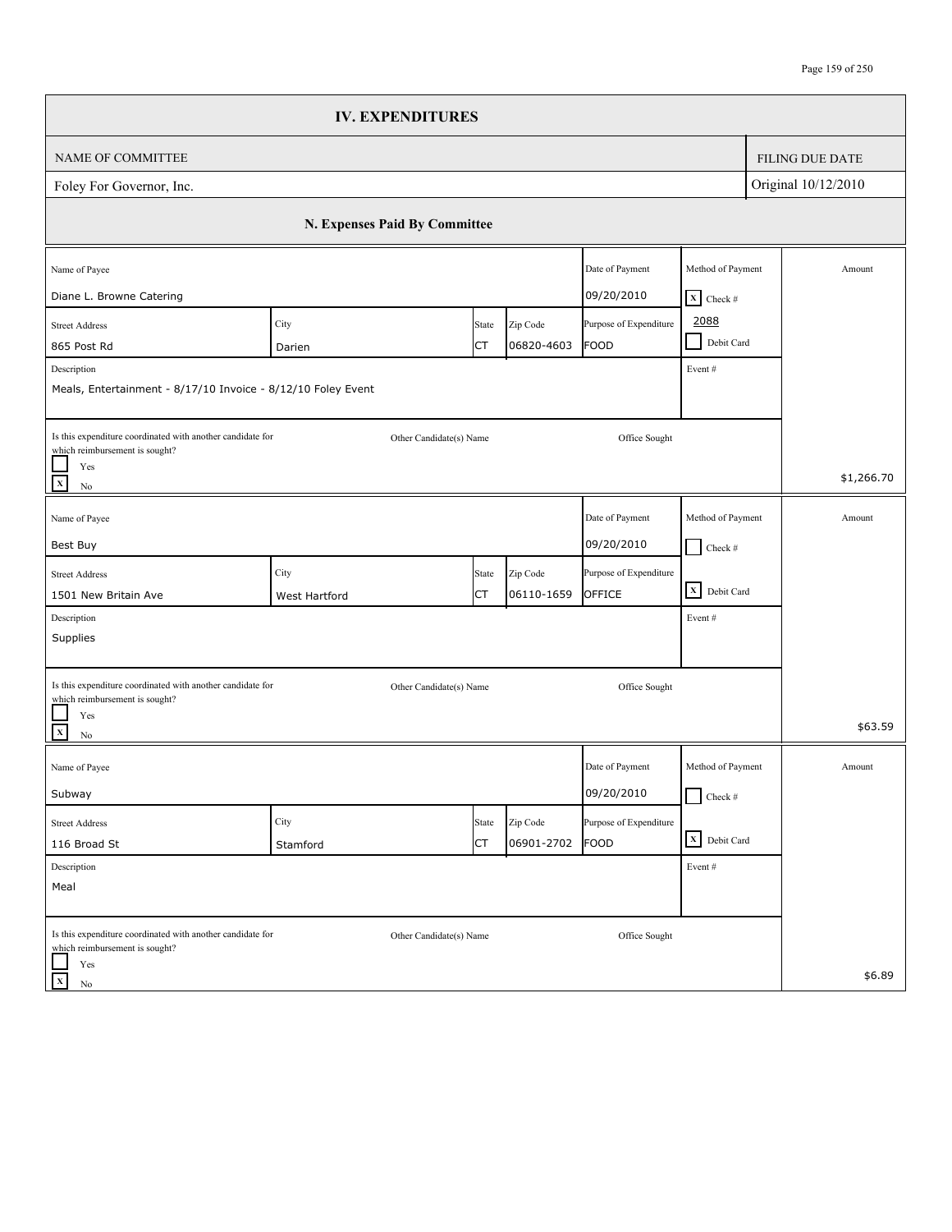|                                                                                                                                | <b>IV. EXPENDITURES</b>       |             |                        |                                       |                                                    |                        |
|--------------------------------------------------------------------------------------------------------------------------------|-------------------------------|-------------|------------------------|---------------------------------------|----------------------------------------------------|------------------------|
| NAME OF COMMITTEE                                                                                                              |                               |             |                        |                                       |                                                    | <b>FILING DUE DATE</b> |
| Foley For Governor, Inc.                                                                                                       |                               |             |                        |                                       |                                                    | Original 10/12/2010    |
|                                                                                                                                | N. Expenses Paid By Committee |             |                        |                                       |                                                    |                        |
| Name of Payee                                                                                                                  |                               |             |                        | Date of Payment<br>09/20/2010         | Method of Payment                                  | Amount                 |
| Diane L. Browne Catering<br><b>Street Address</b><br>865 Post Rd                                                               | City                          | State<br>СT | Zip Code<br>06820-4603 | Purpose of Expenditure<br><b>FOOD</b> | $X$ Check #<br>2088<br>Debit Card<br>$\mathcal{L}$ |                        |
| Description<br>Meals, Entertainment - 8/17/10 Invoice - 8/12/10 Foley Event                                                    | Darien                        |             |                        |                                       | Event#                                             |                        |
| Is this expenditure coordinated with another candidate for<br>which reimbursement is sought?<br>Yes<br>$\mathbf x$<br>$\rm No$ | Other Candidate(s) Name       |             |                        | Office Sought                         |                                                    | \$1,266.70             |
| Name of Payee<br>Best Buy                                                                                                      |                               |             |                        | Date of Payment<br>09/20/2010         | Method of Payment<br>$\Box$ Check #                | Amount                 |
| <b>Street Address</b><br>1501 New Britain Ave                                                                                  | City<br>West Hartford         | State<br>СT | Zip Code<br>06110-1659 | Purpose of Expenditure<br>OFFICE      | X Debit Card                                       |                        |
| Description<br>Supplies                                                                                                        |                               |             |                        |                                       | Event#                                             |                        |
| Is this expenditure coordinated with another candidate for<br>which reimbursement is sought?                                   | Other Candidate(s) Name       |             |                        | Office Sought                         |                                                    |                        |
| Yes<br>$\mathbf{x}$<br>$\rm No$                                                                                                |                               |             |                        |                                       |                                                    | \$63.59                |
| Name of Payee<br>Subway                                                                                                        |                               |             |                        | Date of Payment<br>09/20/2010         | Method of Payment<br>$\Box$ Check #                | Amount                 |
| <b>Street Address</b><br>116 Broad St                                                                                          | City<br>Stamford              | State<br>СT | Zip Code<br>06901-2702 | Purpose of Expenditure<br>FOOD        | X Debit Card                                       |                        |
| Description<br>Meal                                                                                                            |                               |             |                        |                                       | Event#                                             |                        |
| Is this expenditure coordinated with another candidate for<br>which reimbursement is sought?                                   | Other Candidate(s) Name       |             |                        | Office Sought                         |                                                    |                        |
| Yes<br>$\mathbf X$<br>No                                                                                                       |                               |             |                        |                                       |                                                    | \$6.89                 |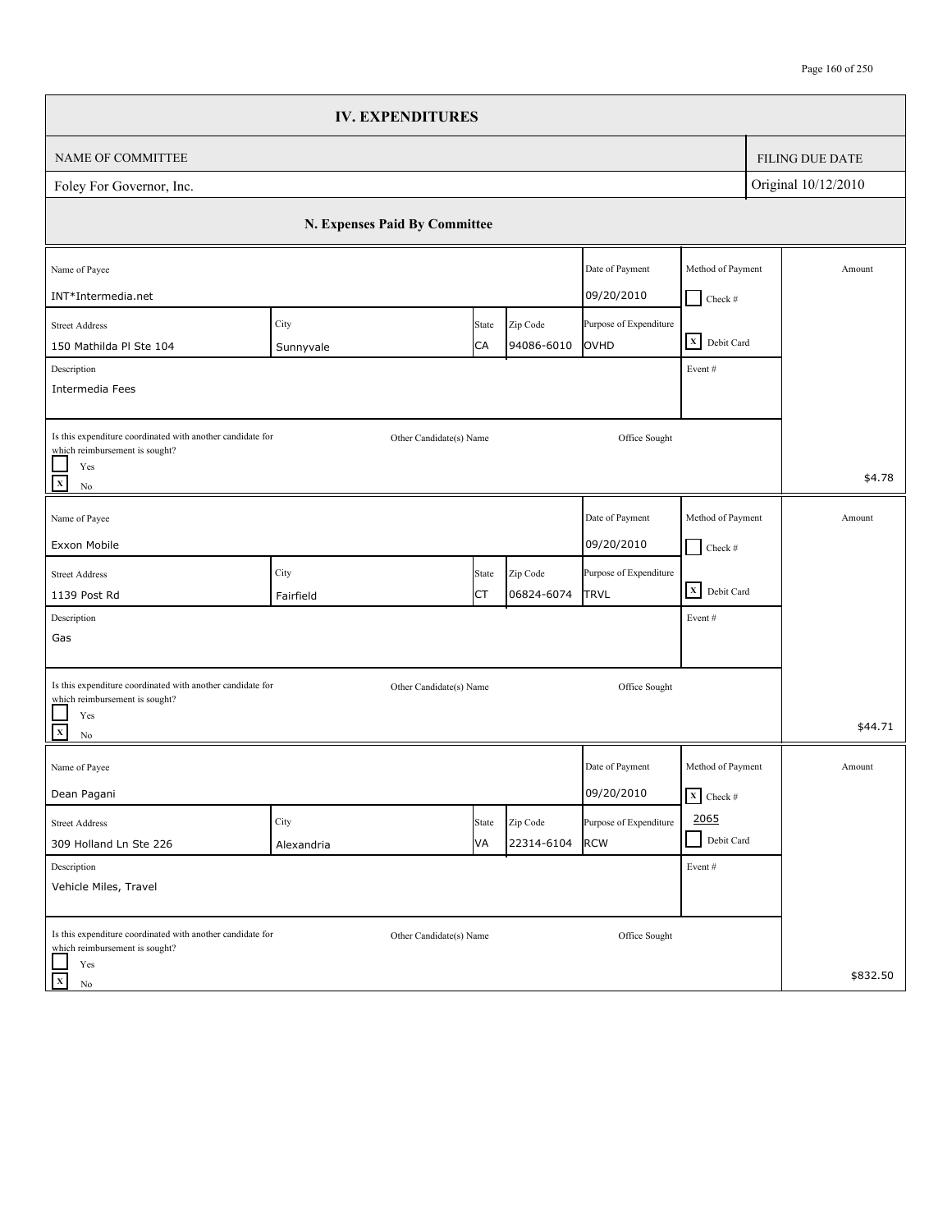|                                                                                              | <b>IV. EXPENDITURES</b>       |       |            |                        |                                 |                        |
|----------------------------------------------------------------------------------------------|-------------------------------|-------|------------|------------------------|---------------------------------|------------------------|
| NAME OF COMMITTEE                                                                            |                               |       |            |                        |                                 | <b>FILING DUE DATE</b> |
| Foley For Governor, Inc.                                                                     |                               |       |            |                        |                                 | Original 10/12/2010    |
|                                                                                              | N. Expenses Paid By Committee |       |            |                        |                                 |                        |
| Name of Payee                                                                                |                               |       |            | Date of Payment        | Method of Payment               | Amount                 |
| INT*Intermedia.net                                                                           |                               |       |            | 09/20/2010             | $\Box$ Check #                  |                        |
| <b>Street Address</b>                                                                        | City                          | State | Zip Code   | Purpose of Expenditure | X Debit Card                    |                        |
| 150 Mathilda Pl Ste 104                                                                      | Sunnyvale                     | CA    | 94086-6010 | OVHD                   |                                 |                        |
| Description<br>Intermedia Fees                                                               |                               |       |            |                        | Event#                          |                        |
|                                                                                              |                               |       |            |                        |                                 |                        |
| Is this expenditure coordinated with another candidate for<br>which reimbursement is sought? | Other Candidate(s) Name       |       |            | Office Sought          |                                 |                        |
| Yes<br>$\mathbf x$<br>$\rm No$                                                               |                               |       |            |                        |                                 | \$4.78                 |
| Name of Payee                                                                                |                               |       |            | Date of Payment        | Method of Payment               | Amount                 |
| Exxon Mobile                                                                                 |                               |       |            | 09/20/2010             | $\Box$ Check #                  |                        |
| <b>Street Address</b>                                                                        | City                          | State | Zip Code   | Purpose of Expenditure |                                 |                        |
| 1139 Post Rd                                                                                 | Fairfield                     | СT    | 06824-6074 | TRVL                   | X Debit Card                    |                        |
| Description                                                                                  |                               |       |            |                        | Event#                          |                        |
| Gas                                                                                          |                               |       |            |                        |                                 |                        |
| Is this expenditure coordinated with another candidate for                                   |                               |       |            |                        |                                 |                        |
| which reimbursement is sought?                                                               | Other Candidate(s) Name       |       |            | Office Sought          |                                 |                        |
| Yes<br>$\mathbf{x}$<br>$\rm No$                                                              |                               |       |            |                        |                                 | \$44.71                |
| Name of Payee                                                                                |                               |       |            | Date of Payment        | Method of Payment               | Amount                 |
| Dean Pagani                                                                                  |                               |       |            | 09/20/2010             | $\overline{\mathbf{X}}$ Check # |                        |
| <b>Street Address</b>                                                                        | City                          | State | Zip Code   | Purpose of Expenditure | 2065                            |                        |
| 309 Holland Ln Ste 226                                                                       | Alexandria                    | VA    | 22314-6104 | <b>RCW</b>             | Debit Card<br>- 1               |                        |
| Description                                                                                  |                               |       |            |                        | Event#                          |                        |
| Vehicle Miles, Travel                                                                        |                               |       |            |                        |                                 |                        |
| Is this expenditure coordinated with another candidate for<br>which reimbursement is sought? | Other Candidate(s) Name       |       |            | Office Sought          |                                 |                        |
| Yes<br>$\mathbf X$<br>No                                                                     |                               |       |            |                        |                                 | \$832.50               |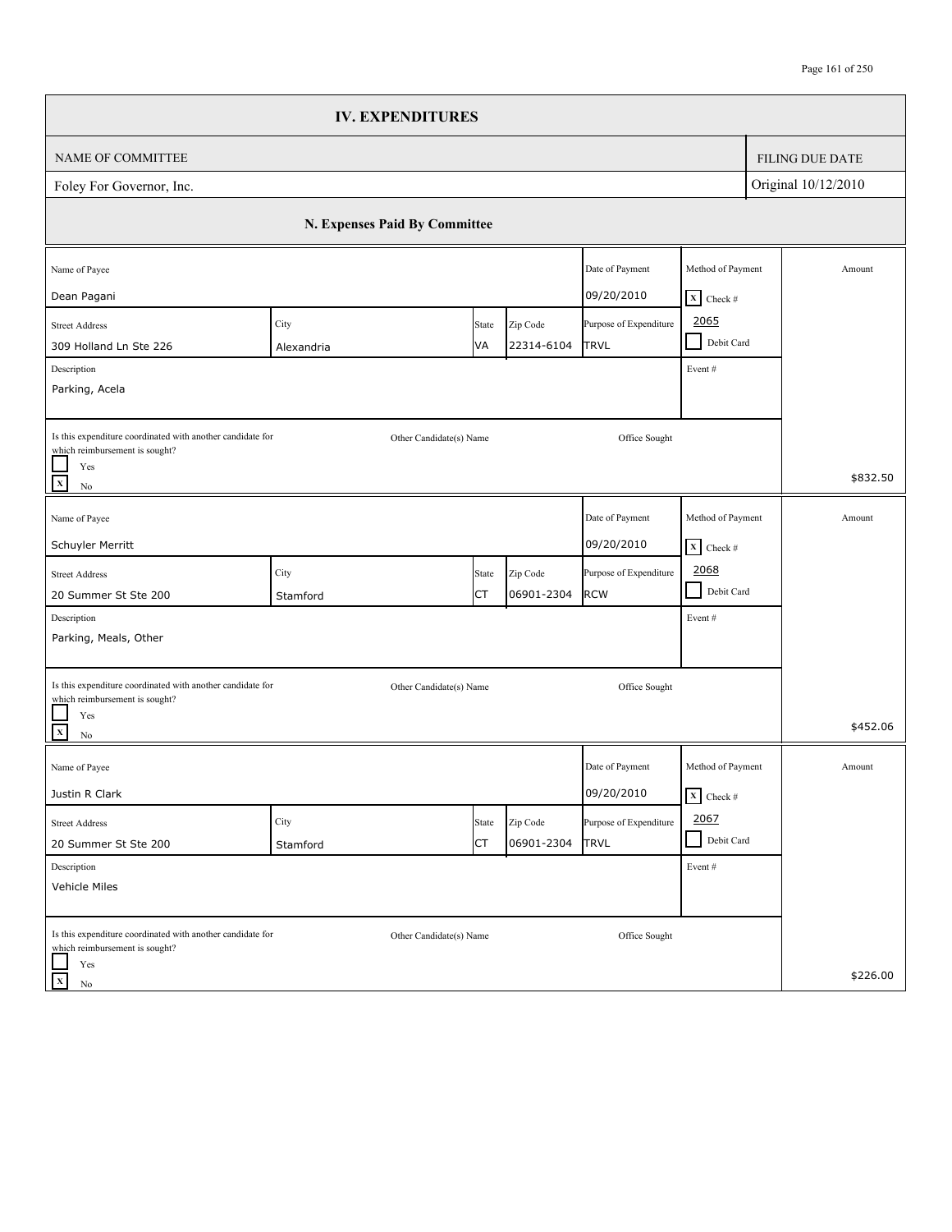|                                                                                                                                                                     | <b>IV. EXPENDITURES</b>       |             |                        |                                       |                                                |                        |
|---------------------------------------------------------------------------------------------------------------------------------------------------------------------|-------------------------------|-------------|------------------------|---------------------------------------|------------------------------------------------|------------------------|
| NAME OF COMMITTEE                                                                                                                                                   |                               |             |                        |                                       |                                                | <b>FILING DUE DATE</b> |
| Foley For Governor, Inc.                                                                                                                                            |                               |             |                        |                                       |                                                | Original 10/12/2010    |
|                                                                                                                                                                     | N. Expenses Paid By Committee |             |                        |                                       |                                                |                        |
| Name of Payee<br>Dean Pagani                                                                                                                                        |                               |             |                        | Date of Payment<br>09/20/2010         | Method of Payment<br>$X$ Check #               | Amount                 |
| <b>Street Address</b><br>309 Holland Ln Ste 226<br>Description<br>Parking, Acela                                                                                    | City<br>Alexandria            | State<br>VA | Zip Code<br>22314-6104 | Purpose of Expenditure<br><b>TRVL</b> | 2065<br>Debit Card<br>$\blacksquare$<br>Event# |                        |
| Is this expenditure coordinated with another candidate for<br>which reimbursement is sought?<br>Yes<br>$\overline{x}$<br>$\rm No$                                   | Other Candidate(s) Name       |             |                        | Office Sought                         |                                                | \$832.50               |
| Name of Payee<br>Schuyler Merritt                                                                                                                                   |                               |             |                        | Date of Payment<br>09/20/2010         | Method of Payment<br>$\mathbf{X}$ Check #      | Amount                 |
| <b>Street Address</b><br>20 Summer St Ste 200<br>Description                                                                                                        | City<br>Stamford              | State<br>СT | Zip Code<br>06901-2304 | Purpose of Expenditure<br><b>RCW</b>  | 2068<br>$\blacksquare$<br>Debit Card<br>Event# |                        |
| Parking, Meals, Other<br>Is this expenditure coordinated with another candidate for<br>which reimbursement is sought?<br>Yes<br>$\overline{\mathbf{x}}$<br>$\rm No$ | Other Candidate(s) Name       |             |                        | Office Sought                         |                                                | \$452.06               |
| Name of Payee<br>Justin R Clark                                                                                                                                     |                               |             |                        | Date of Payment<br>09/20/2010         | Method of Payment<br>$\mathbf{X}$ Check #      | Amount                 |
| <b>Street Address</b><br>20 Summer St Ste 200                                                                                                                       | City<br>Stamford              | State<br>СT | Zip Code<br>06901-2304 | Purpose of Expenditure<br><b>TRVL</b> | 2067<br>Debit Card<br>$\blacksquare$           |                        |
| Description<br>Vehicle Miles                                                                                                                                        |                               |             |                        |                                       | Event#                                         |                        |
| Is this expenditure coordinated with another candidate for<br>which reimbursement is sought?<br>Yes<br>$\mathbf X$<br>No                                            | Other Candidate(s) Name       |             |                        | Office Sought                         |                                                | \$226.00               |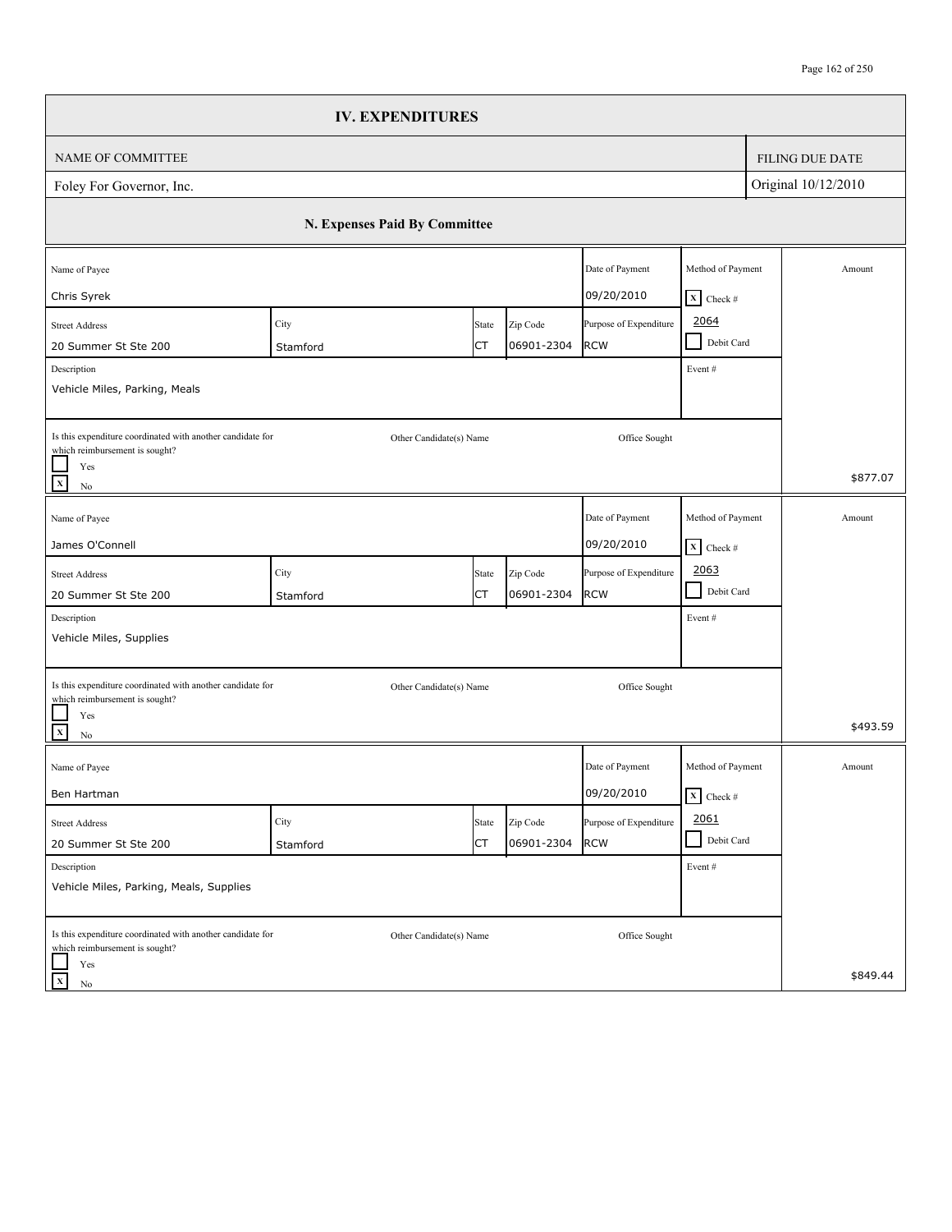|                                                                                                                                      |                               | <b>IV. EXPENDITURES</b> |                        |                                      |                                                   |                        |
|--------------------------------------------------------------------------------------------------------------------------------------|-------------------------------|-------------------------|------------------------|--------------------------------------|---------------------------------------------------|------------------------|
| NAME OF COMMITTEE                                                                                                                    |                               |                         |                        |                                      |                                                   | <b>FILING DUE DATE</b> |
| Foley For Governor, Inc.                                                                                                             |                               |                         |                        |                                      |                                                   | Original 10/12/2010    |
|                                                                                                                                      | N. Expenses Paid By Committee |                         |                        |                                      |                                                   |                        |
| Name of Payee<br>Chris Syrek                                                                                                         |                               |                         |                        | Date of Payment<br>09/20/2010        | Method of Payment<br>$X$ Check #                  | Amount                 |
| <b>Street Address</b><br>20 Summer St Ste 200<br>Description                                                                         | City<br>Stamford              | State<br>СT             | Zip Code<br>06901-2304 | Purpose of Expenditure<br><b>RCW</b> | 2064<br>Debit Card<br>$\sim 10$<br>Event#         |                        |
| Vehicle Miles, Parking, Meals<br>Is this expenditure coordinated with another candidate for<br>which reimbursement is sought?<br>Yes |                               | Other Candidate(s) Name |                        | Office Sought                        |                                                   |                        |
| $\mathbf{x}$<br>$\rm No$                                                                                                             |                               |                         |                        |                                      |                                                   | \$877.07               |
| Name of Payee<br>James O'Connell                                                                                                     |                               |                         |                        | Date of Payment<br>09/20/2010        | Method of Payment<br>$\boxed{\mathbf{X}}$ Check # | Amount                 |
| <b>Street Address</b><br>20 Summer St Ste 200                                                                                        | City<br>Stamford              | State<br>СT             | Zip Code<br>06901-2304 | Purpose of Expenditure<br><b>RCW</b> | 2063<br>$\blacksquare$<br>Debit Card              |                        |
| Description<br>Vehicle Miles, Supplies                                                                                               |                               |                         |                        |                                      | Event#                                            |                        |
| Is this expenditure coordinated with another candidate for<br>which reimbursement is sought?<br>Yes                                  |                               | Other Candidate(s) Name |                        | Office Sought                        |                                                   | \$493.59               |
| $\mathbf{x}$<br>No<br>Name of Payee                                                                                                  |                               |                         |                        | Date of Payment                      | Method of Payment                                 | Amount                 |
| Ben Hartman                                                                                                                          |                               |                         |                        | 09/20/2010                           | $\overline{\mathbf{x}}$ Check #                   |                        |
| <b>Street Address</b><br>20 Summer St Ste 200                                                                                        | City<br>Stamford              | State<br>СT             | Zip Code<br>06901-2304 | Purpose of Expenditure<br><b>RCW</b> | 2061<br>Debit Card                                |                        |
| Description<br>Vehicle Miles, Parking, Meals, Supplies                                                                               |                               |                         |                        |                                      | Event #                                           |                        |
| Is this expenditure coordinated with another candidate for<br>which reimbursement is sought?<br>Yes                                  |                               | Other Candidate(s) Name |                        | Office Sought                        |                                                   |                        |
| $\mathbf X$<br>No                                                                                                                    |                               |                         |                        |                                      |                                                   | \$849.44               |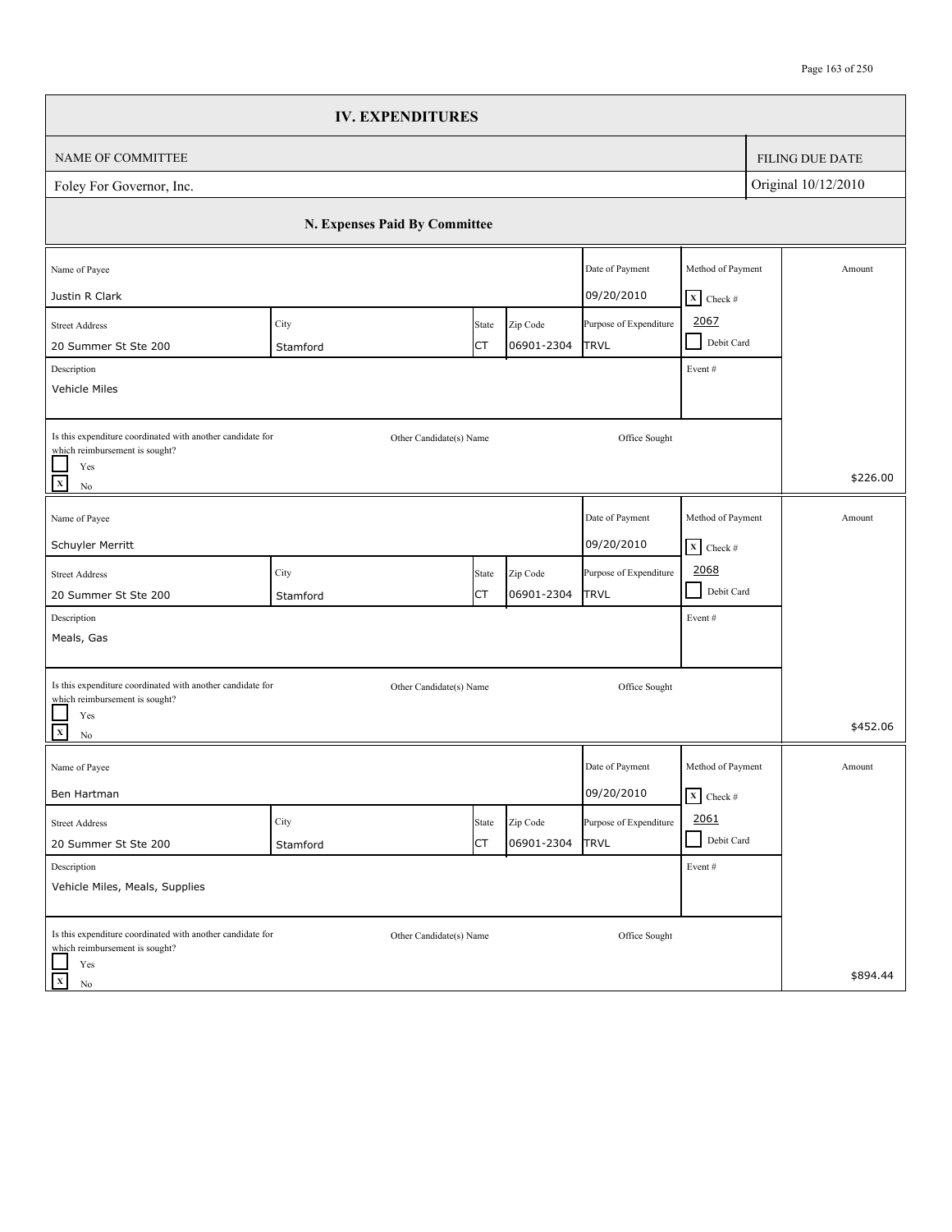|                                                                                                                                 | <b>IV. EXPENDITURES</b>       |             |                        |                                       |                                                      |                        |
|---------------------------------------------------------------------------------------------------------------------------------|-------------------------------|-------------|------------------------|---------------------------------------|------------------------------------------------------|------------------------|
| NAME OF COMMITTEE                                                                                                               |                               |             |                        |                                       |                                                      | <b>FILING DUE DATE</b> |
| Foley For Governor, Inc.                                                                                                        |                               |             |                        |                                       |                                                      | Original 10/12/2010    |
|                                                                                                                                 | N. Expenses Paid By Committee |             |                        |                                       |                                                      |                        |
| Name of Payee<br>Justin R Clark                                                                                                 |                               |             |                        | Date of Payment<br>09/20/2010         | Method of Payment<br>$X$ Check #                     | Amount                 |
| <b>Street Address</b><br>20 Summer St Ste 200<br>Description<br>Vehicle Miles                                                   | City<br>Stamford              | State<br>СT | Zip Code<br>06901-2304 | Purpose of Expenditure<br><b>TRVL</b> | 2067<br>Debit Card<br>$\mathcal{L}$<br>Event#        |                        |
| Is this expenditure coordinated with another candidate for<br>which reimbursement is sought?<br>Yes<br>$\mathbf x$<br>$\rm No$  | Other Candidate(s) Name       |             |                        | Office Sought                         |                                                      | \$226.00               |
| Name of Payee<br>Schuyler Merritt                                                                                               |                               |             |                        | Date of Payment<br>09/20/2010         | Method of Payment<br>$X$ Check #                     | Amount                 |
| <b>Street Address</b><br>20 Summer St Ste 200                                                                                   | City<br>Stamford              | State<br>СT | Zip Code<br>06901-2304 | Purpose of Expenditure<br>TRVL        | 2068<br>$\blacksquare$<br>Debit Card                 |                        |
| Description<br>Meals, Gas                                                                                                       |                               |             |                        |                                       | Event#                                               |                        |
| Is this expenditure coordinated with another candidate for<br>which reimbursement is sought?<br>Yes<br>$\mathbf{x}$<br>$\rm No$ | Other Candidate(s) Name       |             |                        | Office Sought                         |                                                      | \$452.06               |
| Name of Payee<br>Ben Hartman                                                                                                    |                               |             |                        | Date of Payment<br>09/20/2010         | Method of Payment<br>$\overline{\mathbf{X}}$ Check # | Amount                 |
| <b>Street Address</b><br>20 Summer St Ste 200                                                                                   | City<br>Stamford              | State<br>СT | Zip Code<br>06901-2304 | Purpose of Expenditure<br><b>TRVL</b> | 2061<br>Debit Card<br>- 1                            |                        |
| Description<br>Vehicle Miles, Meals, Supplies                                                                                   |                               |             |                        |                                       | Event#                                               |                        |
| Is this expenditure coordinated with another candidate for<br>which reimbursement is sought?<br>Yes<br>$\mathbf X$<br>No        | Other Candidate(s) Name       |             |                        | Office Sought                         |                                                      | \$894.44               |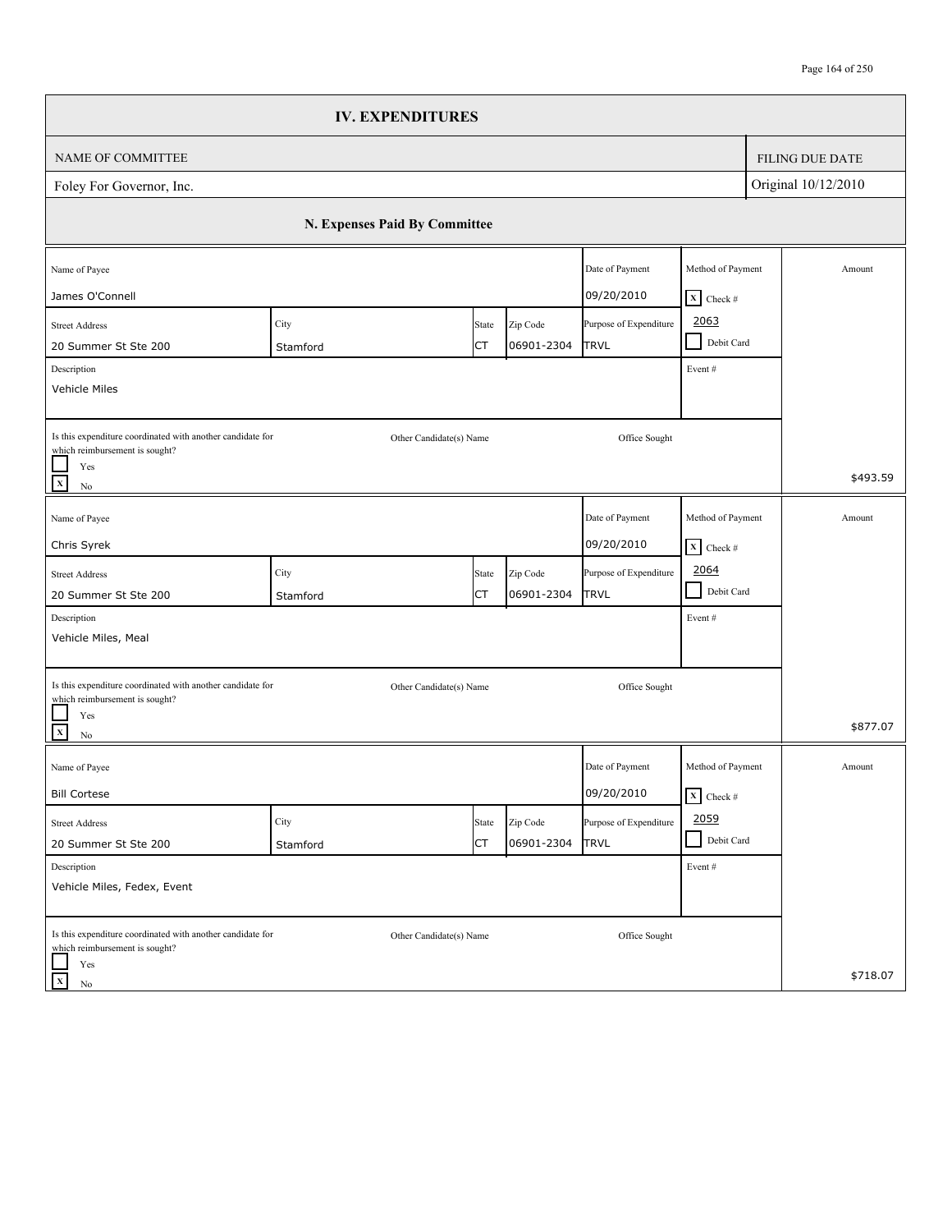|                                                                                                                          | <b>IV. EXPENDITURES</b>       |             |                        |                                       |                                                      |                        |
|--------------------------------------------------------------------------------------------------------------------------|-------------------------------|-------------|------------------------|---------------------------------------|------------------------------------------------------|------------------------|
| NAME OF COMMITTEE                                                                                                        |                               |             |                        |                                       |                                                      | <b>FILING DUE DATE</b> |
| Foley For Governor, Inc.                                                                                                 |                               |             |                        |                                       |                                                      | Original 10/12/2010    |
|                                                                                                                          | N. Expenses Paid By Committee |             |                        |                                       |                                                      |                        |
| Name of Payee<br>James O'Connell                                                                                         |                               |             |                        | Date of Payment<br>09/20/2010         | Method of Payment<br>$X$ Check #                     | Amount                 |
| <b>Street Address</b><br>20 Summer St Ste 200<br>Description                                                             | City<br>Stamford              | State<br>СT | Zip Code<br>06901-2304 | Purpose of Expenditure<br><b>TRVL</b> | 2063<br>Debit Card<br>$\blacksquare$<br>Event #      |                        |
| Vehicle Miles<br>Is this expenditure coordinated with another candidate for<br>which reimbursement is sought?<br>Yes     | Other Candidate(s) Name       |             |                        | Office Sought                         |                                                      | \$493.59               |
| $\mathbf x$<br>$\rm No$                                                                                                  |                               |             |                        |                                       |                                                      |                        |
| Name of Payee<br>Chris Syrek                                                                                             |                               |             |                        | Date of Payment<br>09/20/2010         | Method of Payment<br>$X$ Check #                     | Amount                 |
| <b>Street Address</b><br>20 Summer St Ste 200                                                                            | City<br>Stamford              | State<br>СT | Zip Code<br>06901-2304 | Purpose of Expenditure<br>TRVL        | 2064<br>$\mathbf{U}$<br>Debit Card                   |                        |
| Description<br>Vehicle Miles, Meal                                                                                       |                               |             |                        |                                       | Event#                                               |                        |
| Is this expenditure coordinated with another candidate for<br>which reimbursement is sought?<br>Yes                      | Other Candidate(s) Name       |             |                        | Office Sought                         |                                                      |                        |
| $\mathbf{x}$<br>$\rm No$                                                                                                 |                               |             |                        |                                       |                                                      | \$877.07               |
| Name of Payee<br><b>Bill Cortese</b>                                                                                     |                               |             |                        | Date of Payment<br>09/20/2010         | Method of Payment<br>$\overline{\mathbf{X}}$ Check # | Amount                 |
| <b>Street Address</b><br>20 Summer St Ste 200                                                                            | City<br>Stamford              | State<br>СT | Zip Code<br>06901-2304 | Purpose of Expenditure<br><b>TRVL</b> | 2059<br>Debit Card<br>- 1                            |                        |
| Description<br>Vehicle Miles, Fedex, Event                                                                               |                               |             |                        |                                       | Event#                                               |                        |
| Is this expenditure coordinated with another candidate for<br>which reimbursement is sought?<br>Yes<br>$\mathbf X$<br>No | Other Candidate(s) Name       |             |                        | Office Sought                         |                                                      | \$718.07               |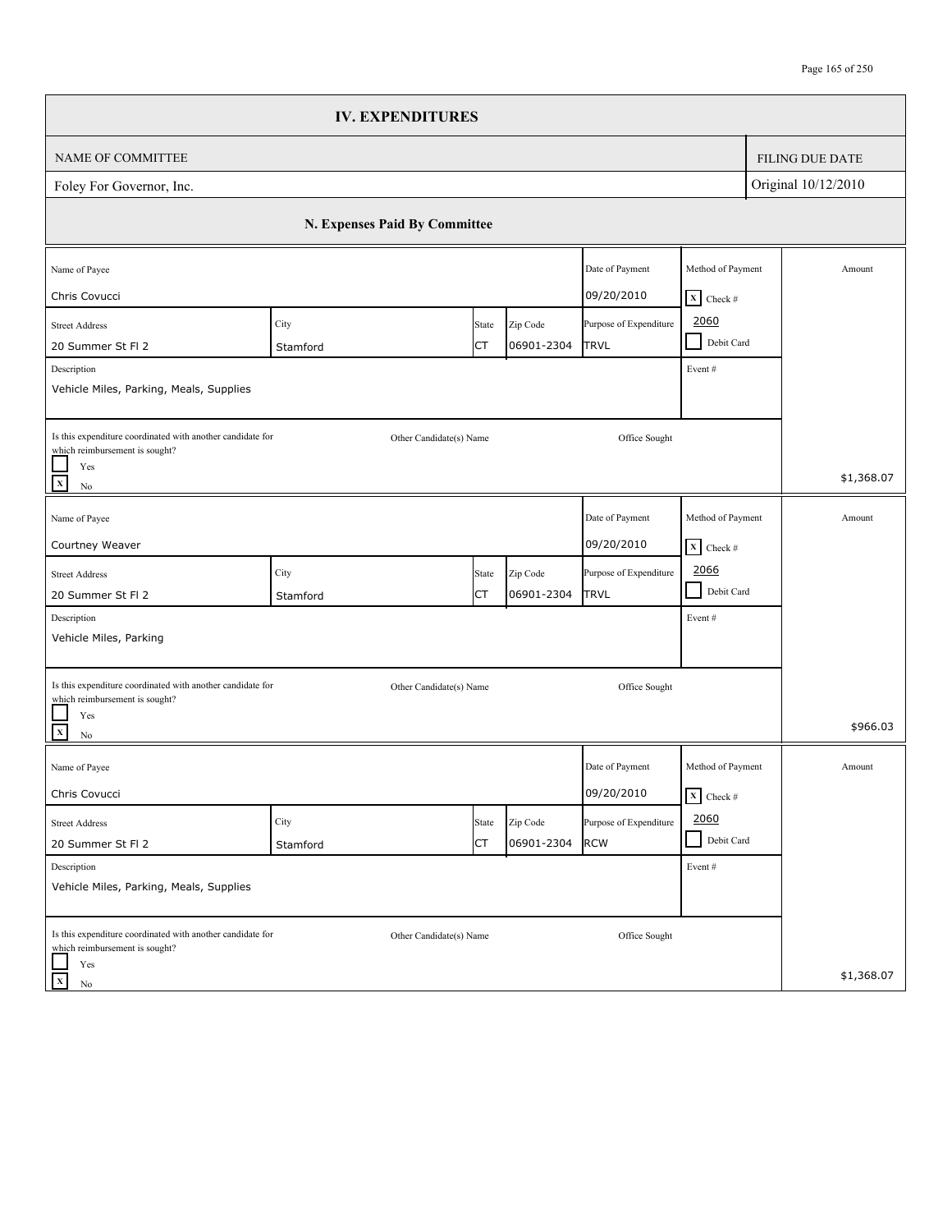|                                                                                                                                                                      | <b>IV. EXPENDITURES</b>       |             |                        |                                       |                                                                                                 |                        |
|----------------------------------------------------------------------------------------------------------------------------------------------------------------------|-------------------------------|-------------|------------------------|---------------------------------------|-------------------------------------------------------------------------------------------------|------------------------|
| NAME OF COMMITTEE                                                                                                                                                    |                               |             |                        |                                       |                                                                                                 | <b>FILING DUE DATE</b> |
| Foley For Governor, Inc.                                                                                                                                             |                               |             |                        |                                       |                                                                                                 | Original 10/12/2010    |
|                                                                                                                                                                      | N. Expenses Paid By Committee |             |                        |                                       |                                                                                                 |                        |
| Name of Payee<br>Chris Covucci                                                                                                                                       |                               |             |                        | Date of Payment<br>09/20/2010         | Method of Payment<br>$X$ Check #                                                                | Amount                 |
| <b>Street Address</b><br>20 Summer St Fl 2<br>Description<br>Vehicle Miles, Parking, Meals, Supplies                                                                 | City<br>Stamford              | State<br>СT | Zip Code<br>06901-2304 | Purpose of Expenditure<br><b>TRVL</b> | 2060<br>Debit Card<br>- 1<br>Event#                                                             |                        |
| Is this expenditure coordinated with another candidate for<br>which reimbursement is sought?<br>Yes<br>$\overline{\mathbf{x}}$<br>$\rm No$                           | Other Candidate(s) Name       |             |                        | Office Sought                         |                                                                                                 | \$1,368.07             |
| Name of Payee<br>Courtney Weaver                                                                                                                                     |                               |             |                        | Date of Payment<br>09/20/2010         | Method of Payment<br>$\begin{array}{ c c }\n\hline\nX & \text{Check} \# \\ \hline\n\end{array}$ | Amount                 |
| <b>Street Address</b><br>20 Summer St Fl 2<br>Description                                                                                                            | City<br>Stamford              | State<br>СT | Zip Code<br>06901-2304 | Purpose of Expenditure<br><b>TRVL</b> | 2066<br>$\blacksquare$<br>Debit Card<br>Event#                                                  |                        |
| Vehicle Miles, Parking<br>Is this expenditure coordinated with another candidate for<br>which reimbursement is sought?<br>Yes<br>$\overline{\mathbf{x}}$<br>$\rm No$ | Other Candidate(s) Name       |             |                        | Office Sought                         |                                                                                                 | \$966.03               |
| Name of Payee<br>Chris Covucci                                                                                                                                       |                               |             |                        | Date of Payment<br>09/20/2010         | Method of Payment<br>$\mathbf{X}$ Check #                                                       | Amount                 |
| <b>Street Address</b><br>20 Summer St Fl 2                                                                                                                           | City<br>Stamford              | State<br>СT | Zip Code<br>06901-2304 | Purpose of Expenditure<br><b>RCW</b>  | 2060<br>Debit Card                                                                              |                        |
| Description<br>Vehicle Miles, Parking, Meals, Supplies                                                                                                               |                               |             |                        |                                       | Event#                                                                                          |                        |
| Is this expenditure coordinated with another candidate for<br>which reimbursement is sought?<br>Yes<br>$\mathbf X$<br>No                                             | Other Candidate(s) Name       |             |                        | Office Sought                         |                                                                                                 | \$1,368.07             |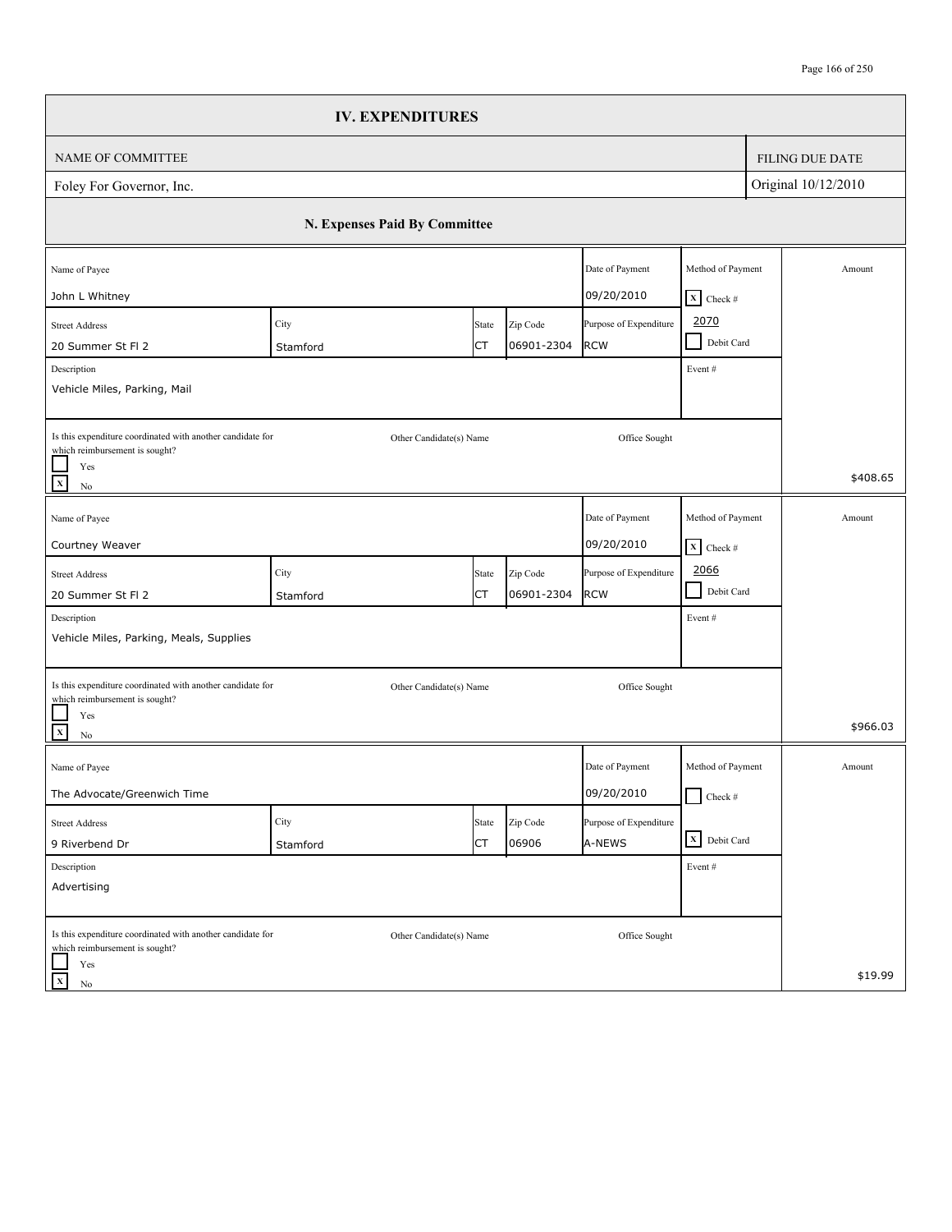|                                                                                                                                            | <b>IV. EXPENDITURES</b>       |                    |                        |                                      |                                                              |                        |
|--------------------------------------------------------------------------------------------------------------------------------------------|-------------------------------|--------------------|------------------------|--------------------------------------|--------------------------------------------------------------|------------------------|
| NAME OF COMMITTEE                                                                                                                          |                               |                    |                        |                                      |                                                              | <b>FILING DUE DATE</b> |
| Foley For Governor, Inc.                                                                                                                   |                               |                    |                        |                                      |                                                              | Original 10/12/2010    |
|                                                                                                                                            | N. Expenses Paid By Committee |                    |                        |                                      |                                                              |                        |
| Name of Payee<br>John L Whitney                                                                                                            |                               |                    |                        | Date of Payment<br>09/20/2010        | Method of Payment<br>$X$ Check #                             | Amount                 |
| <b>Street Address</b><br>20 Summer St Fl 2<br>Description                                                                                  | City<br>Stamford              | State<br>СT        | Zip Code<br>06901-2304 | Purpose of Expenditure<br><b>RCW</b> | 2070<br>Debit Card<br>$\blacksquare$<br>Event#               |                        |
| Vehicle Miles, Parking, Mail                                                                                                               |                               |                    |                        |                                      |                                                              |                        |
| Is this expenditure coordinated with another candidate for<br>which reimbursement is sought?<br>Yes<br>$\overline{\mathbf{x}}$<br>$\rm No$ | Other Candidate(s) Name       |                    |                        | Office Sought                        |                                                              | \$408.65               |
| Name of Payee                                                                                                                              |                               |                    |                        | Date of Payment                      | Method of Payment                                            | Amount                 |
| Courtney Weaver<br><b>Street Address</b>                                                                                                   | City                          | State              | Zip Code               | 09/20/2010<br>Purpose of Expenditure | $\mathbf{X}$ Check #<br>2066<br>$\blacksquare$<br>Debit Card |                        |
| 20 Summer St Fl 2<br>Description<br>Vehicle Miles, Parking, Meals, Supplies                                                                | Stamford                      | СT                 | 06901-2304             | <b>RCW</b>                           | Event#                                                       |                        |
| Is this expenditure coordinated with another candidate for<br>which reimbursement is sought?<br>Yes                                        | Other Candidate(s) Name       |                    |                        | Office Sought                        |                                                              |                        |
| $\overline{\mathbf{x}}$<br>$\rm No$                                                                                                        |                               |                    |                        |                                      |                                                              | \$966.03               |
| Name of Payee<br>The Advocate/Greenwich Time                                                                                               |                               |                    |                        | Date of Payment<br>09/20/2010        | Method of Payment<br>$\Box$ Check #                          | Amount                 |
| <b>Street Address</b><br>9 Riverbend Dr                                                                                                    | City<br>Stamford              | State<br><b>CT</b> | Zip Code<br>06906      | Purpose of Expenditure<br>A-NEWS     | X Debit Card                                                 |                        |
| Description<br>Advertising                                                                                                                 |                               |                    |                        |                                      | Event#                                                       |                        |
| Is this expenditure coordinated with another candidate for<br>which reimbursement is sought?                                               | Other Candidate(s) Name       |                    |                        | Office Sought                        |                                                              |                        |
| Yes<br>$\mathbf X$<br>No                                                                                                                   |                               |                    |                        |                                      |                                                              | \$19.99                |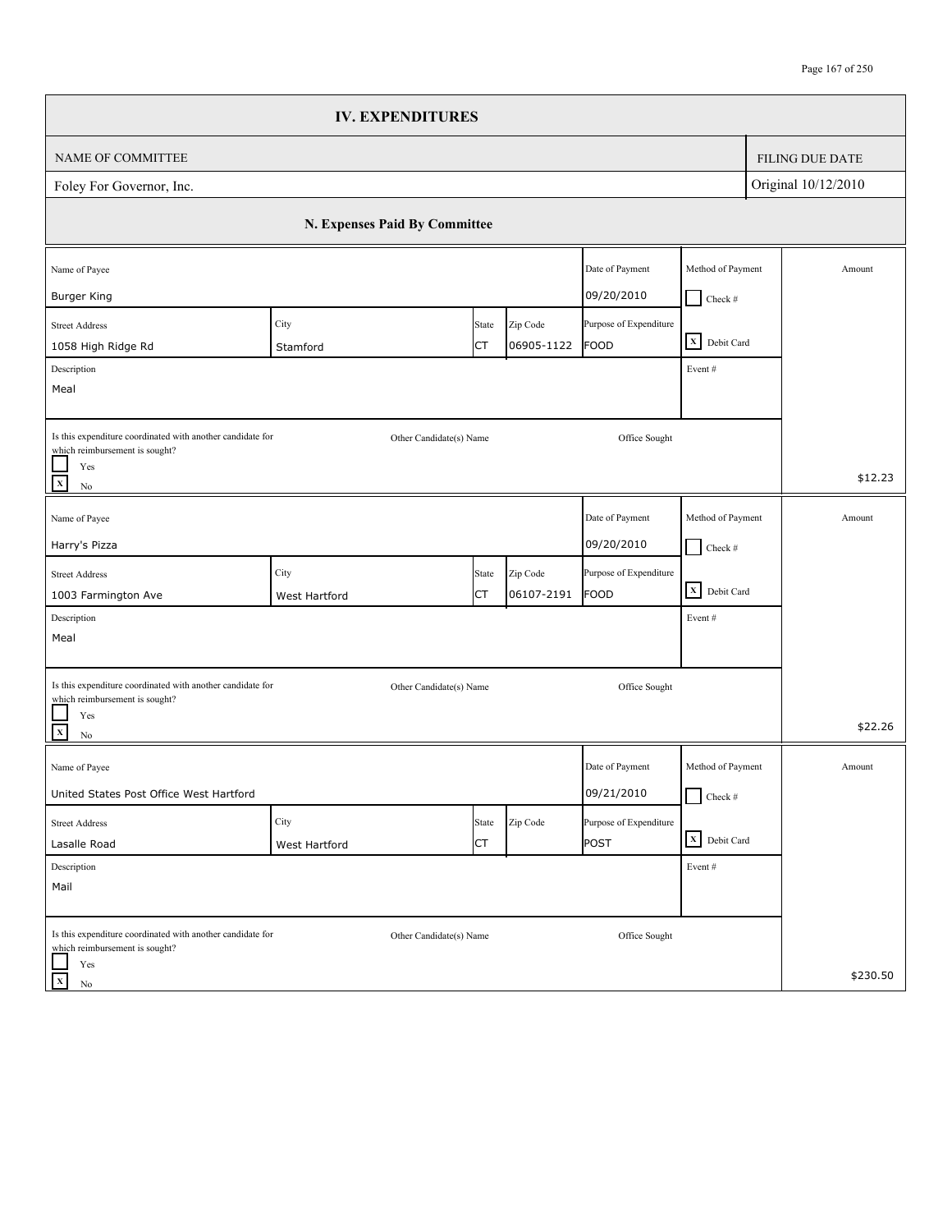|                                                                                              | <b>IV. EXPENDITURES</b>       |                    |                        |                                       |                                    |                        |
|----------------------------------------------------------------------------------------------|-------------------------------|--------------------|------------------------|---------------------------------------|------------------------------------|------------------------|
| NAME OF COMMITTEE                                                                            |                               |                    |                        |                                       |                                    | <b>FILING DUE DATE</b> |
| Foley For Governor, Inc.                                                                     |                               |                    |                        |                                       |                                    | Original 10/12/2010    |
|                                                                                              | N. Expenses Paid By Committee |                    |                        |                                       |                                    |                        |
| Name of Payee                                                                                |                               |                    |                        | Date of Payment                       | Method of Payment                  | Amount                 |
| <b>Burger King</b>                                                                           |                               |                    |                        | 09/20/2010                            | $Check$ #                          |                        |
| <b>Street Address</b>                                                                        | City                          | State              | Zip Code               | Purpose of Expenditure                | X Debit Card                       |                        |
| 1058 High Ridge Rd                                                                           | Stamford                      | СT                 | 06905-1122             | <b>FOOD</b>                           |                                    |                        |
| Description<br>Meal                                                                          |                               |                    |                        |                                       | Event#                             |                        |
|                                                                                              |                               |                    |                        |                                       |                                    |                        |
| Is this expenditure coordinated with another candidate for<br>which reimbursement is sought? | Other Candidate(s) Name       |                    |                        | Office Sought                         |                                    |                        |
| Yes<br>$\overline{x}$<br>$\rm No$                                                            |                               |                    |                        |                                       |                                    | \$12.23                |
| Name of Payee                                                                                |                               |                    |                        | Date of Payment                       | Method of Payment                  | Amount                 |
| Harry's Pizza                                                                                |                               |                    |                        | 09/20/2010                            | $\Box$ Check #                     |                        |
|                                                                                              | City                          |                    |                        |                                       |                                    |                        |
| <b>Street Address</b><br>1003 Farmington Ave                                                 | West Hartford                 | State<br><b>CT</b> | Zip Code<br>06107-2191 | Purpose of Expenditure<br><b>FOOD</b> | $\overline{\mathbf{X}}$ Debit Card |                        |
| Description                                                                                  |                               |                    |                        |                                       | Event#                             |                        |
| Meal                                                                                         |                               |                    |                        |                                       |                                    |                        |
|                                                                                              |                               |                    |                        |                                       |                                    |                        |
| Is this expenditure coordinated with another candidate for                                   | Other Candidate(s) Name       |                    |                        | Office Sought                         |                                    |                        |
| which reimbursement is sought?<br>Yes                                                        |                               |                    |                        |                                       |                                    |                        |
| $\overline{\mathbf{x}}$<br>$\rm No$                                                          |                               |                    |                        |                                       |                                    | \$22.26                |
| Name of Payee                                                                                |                               |                    |                        | Date of Payment                       | Method of Payment                  | Amount                 |
| United States Post Office West Hartford                                                      |                               |                    |                        | 09/21/2010                            | $\Box$ Check #                     |                        |
| <b>Street Address</b>                                                                        | City                          | State              | Zip Code               | Purpose of Expenditure                |                                    |                        |
| Lasalle Road                                                                                 | West Hartford                 | <b>CT</b>          |                        | POST                                  | X Debit Card                       |                        |
| Description                                                                                  |                               |                    |                        |                                       | Event#                             |                        |
| Mail                                                                                         |                               |                    |                        |                                       |                                    |                        |
| Is this expenditure coordinated with another candidate for                                   | Other Candidate(s) Name       |                    |                        | Office Sought                         |                                    |                        |
| which reimbursement is sought?                                                               |                               |                    |                        |                                       |                                    |                        |
| Yes<br>$\mathbf X$<br>No                                                                     |                               |                    |                        |                                       |                                    | \$230.50               |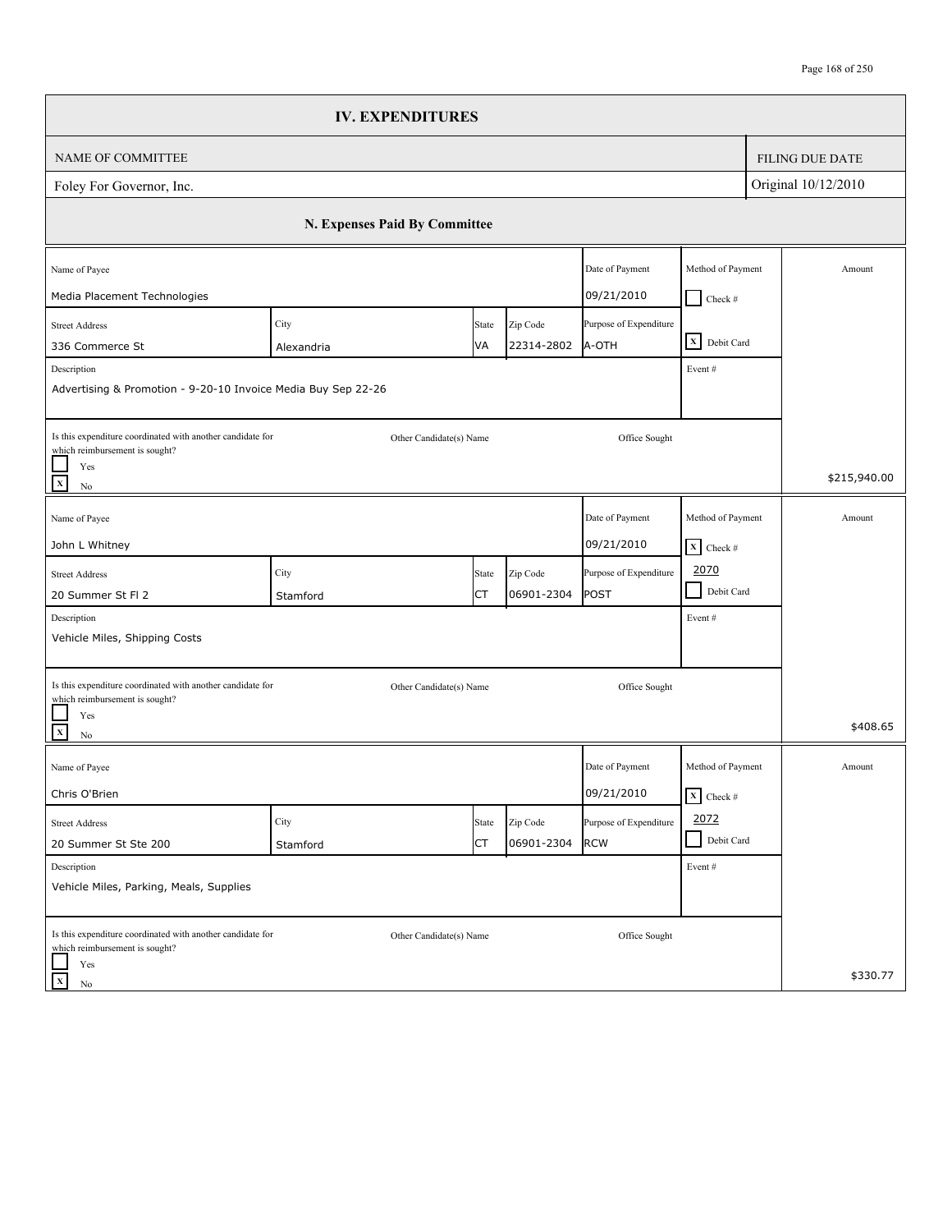|                                                                                              | <b>IV. EXPENDITURES</b>       |             |                        |                                 |                                 |                        |
|----------------------------------------------------------------------------------------------|-------------------------------|-------------|------------------------|---------------------------------|---------------------------------|------------------------|
| <b>NAME OF COMMITTEE</b>                                                                     |                               |             |                        |                                 |                                 | <b>FILING DUE DATE</b> |
| Foley For Governor, Inc.                                                                     |                               |             |                        |                                 |                                 | Original 10/12/2010    |
|                                                                                              | N. Expenses Paid By Committee |             |                        |                                 |                                 |                        |
| Name of Payee                                                                                |                               |             |                        | Date of Payment                 | Method of Payment               | Amount                 |
| Media Placement Technologies                                                                 |                               |             |                        | 09/21/2010                      | $Check$ #                       |                        |
| <b>Street Address</b><br>336 Commerce St                                                     | City                          | State<br>VA | Zip Code<br>22314-2802 | Purpose of Expenditure<br>A-OTH | X Debit Card                    |                        |
| Description                                                                                  | Alexandria                    |             |                        |                                 | Event#                          |                        |
| Advertising & Promotion - 9-20-10 Invoice Media Buy Sep 22-26                                |                               |             |                        |                                 |                                 |                        |
| Is this expenditure coordinated with another candidate for<br>which reimbursement is sought? | Other Candidate(s) Name       |             |                        | Office Sought                   |                                 |                        |
| Yes<br>$\mathbf x$<br>No                                                                     |                               |             |                        |                                 |                                 | \$215,940.00           |
| Name of Payee                                                                                |                               |             |                        | Date of Payment                 | Method of Payment               | Amount                 |
| John L Whitney                                                                               |                               |             |                        | 09/21/2010                      | $\mathbf{X}$ Check #            |                        |
| <b>Street Address</b>                                                                        | City                          | State       | Zip Code               | Purpose of Expenditure          | 2070                            |                        |
| 20 Summer St Fl 2                                                                            | Stamford                      | СT          | 06901-2304             | POST                            | Debit Card<br>$\Box$            |                        |
| Description                                                                                  |                               |             |                        |                                 | Event#                          |                        |
| Vehicle Miles, Shipping Costs                                                                |                               |             |                        |                                 |                                 |                        |
| Is this expenditure coordinated with another candidate for<br>which reimbursement is sought? | Other Candidate(s) Name       |             |                        | Office Sought                   |                                 |                        |
| Yes<br>$\mathbf{x}$<br>No                                                                    |                               |             |                        |                                 |                                 | \$408.65               |
| Name of Payee                                                                                |                               |             |                        | Date of Payment                 | Method of Payment               | Amount                 |
| Chris O'Brien                                                                                |                               |             |                        | 09/21/2010                      | $\overline{\mathbf{X}}$ Check # |                        |
| <b>Street Address</b>                                                                        | City                          | State       | Zip Code               | Purpose of Expenditure          | 2072                            |                        |
| 20 Summer St Ste 200                                                                         | Stamford                      | СT          | 06901-2304             | <b>RCW</b>                      | Debit Card<br>$\blacksquare$    |                        |
| Description<br>Vehicle Miles, Parking, Meals, Supplies                                       |                               |             |                        |                                 | Event #                         |                        |
| Is this expenditure coordinated with another candidate for<br>which reimbursement is sought? | Other Candidate(s) Name       |             |                        | Office Sought                   |                                 |                        |
| Yes<br>$\mathbf x$<br>$\rm No$                                                               |                               |             |                        |                                 |                                 | \$330.77               |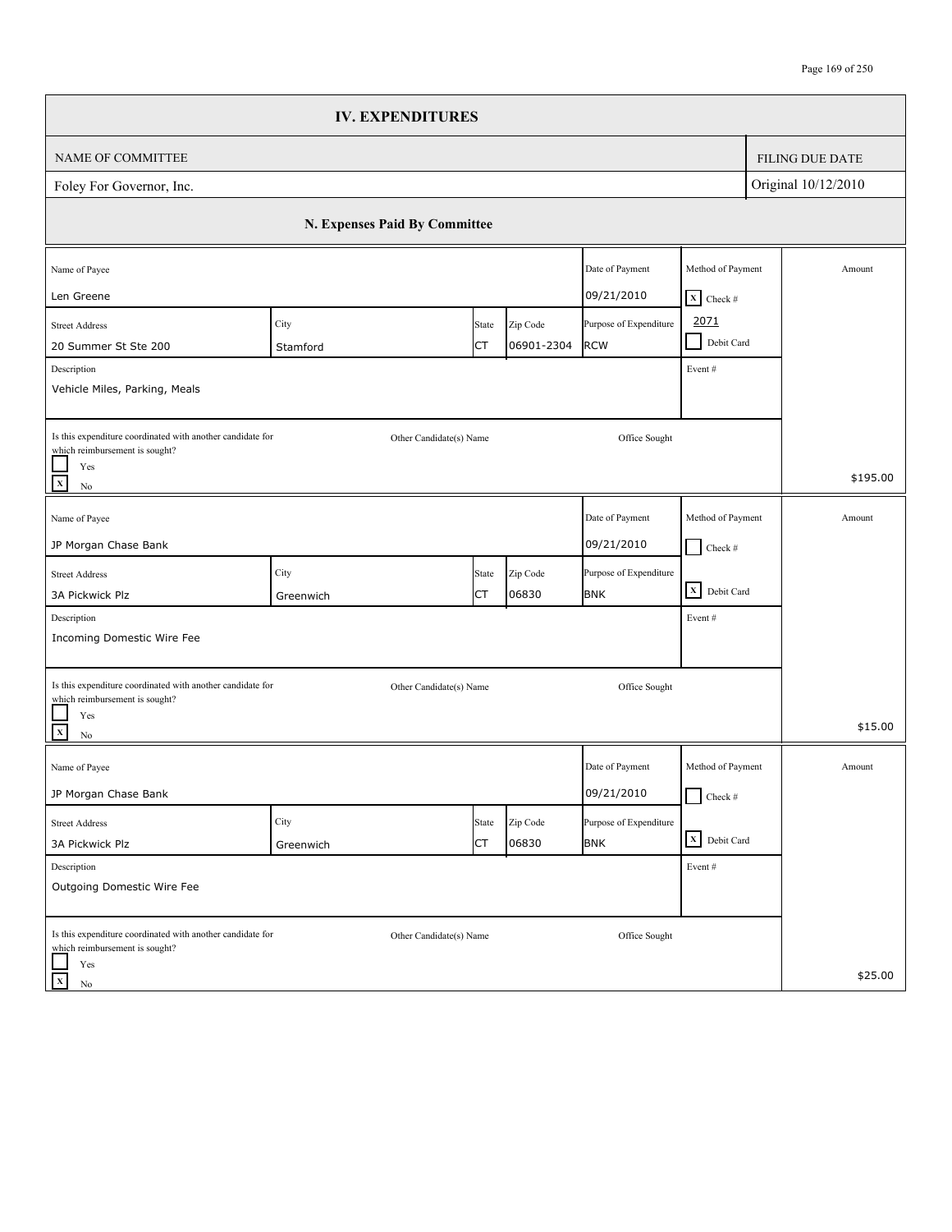|                                                                                                                                   |                   | <b>IV. EXPENDITURES</b>       |                        |                                      |                                                |                     |                        |
|-----------------------------------------------------------------------------------------------------------------------------------|-------------------|-------------------------------|------------------------|--------------------------------------|------------------------------------------------|---------------------|------------------------|
| NAME OF COMMITTEE                                                                                                                 |                   |                               |                        |                                      |                                                |                     | <b>FILING DUE DATE</b> |
| Foley For Governor, Inc.                                                                                                          |                   |                               |                        |                                      |                                                | Original 10/12/2010 |                        |
|                                                                                                                                   |                   | N. Expenses Paid By Committee |                        |                                      |                                                |                     |                        |
| Name of Payee<br>Len Greene                                                                                                       |                   |                               |                        | Date of Payment<br>09/21/2010        | Method of Payment<br>$X$ Check #               |                     | Amount                 |
| <b>Street Address</b><br>20 Summer St Ste 200<br>Description                                                                      | City<br>Stamford  | State<br>СT                   | Zip Code<br>06901-2304 | Purpose of Expenditure<br><b>RCW</b> | 2071<br>Debit Card<br>$\blacksquare$<br>Event# |                     |                        |
| Vehicle Miles, Parking, Meals                                                                                                     |                   |                               |                        |                                      |                                                |                     |                        |
| Is this expenditure coordinated with another candidate for<br>which reimbursement is sought?<br>Yes<br>$\overline{x}$<br>$\rm No$ |                   | Other Candidate(s) Name       |                        | Office Sought                        |                                                |                     | \$195.00               |
| Name of Payee<br>JP Morgan Chase Bank                                                                                             |                   |                               |                        | Date of Payment<br>09/21/2010        | Method of Payment<br>$\Box$ Check #            |                     | Amount                 |
| <b>Street Address</b><br>3A Pickwick Plz                                                                                          | City<br>Greenwich | State<br><b>CT</b>            | Zip Code<br>06830      | Purpose of Expenditure<br><b>BNK</b> | $\overline{\mathbf{X}}$ Debit Card             |                     |                        |
| Description<br>Incoming Domestic Wire Fee                                                                                         |                   |                               |                        |                                      | Event#                                         |                     |                        |
| Is this expenditure coordinated with another candidate for<br>which reimbursement is sought?<br>Yes                               |                   | Other Candidate(s) Name       |                        | Office Sought                        |                                                |                     | \$15.00                |
| $\overline{\mathbf{x}}$<br>$\rm No$<br>Name of Payee                                                                              |                   |                               |                        | Date of Payment                      | Method of Payment                              |                     | Amount                 |
| JP Morgan Chase Bank                                                                                                              |                   |                               |                        | 09/21/2010                           | $\Box$ Check #                                 |                     |                        |
| <b>Street Address</b><br>3A Pickwick Plz                                                                                          | City<br>Greenwich | State<br><b>CT</b>            | Zip Code<br>06830      | Purpose of Expenditure<br><b>BNK</b> | X Debit Card                                   |                     |                        |
| Description<br>Outgoing Domestic Wire Fee                                                                                         |                   |                               |                        |                                      | Event#                                         |                     |                        |
| Is this expenditure coordinated with another candidate for<br>which reimbursement is sought?<br>Yes                               |                   | Other Candidate(s) Name       |                        | Office Sought                        |                                                |                     |                        |
| $\mathbf X$<br>No                                                                                                                 |                   |                               |                        |                                      |                                                |                     | \$25.00                |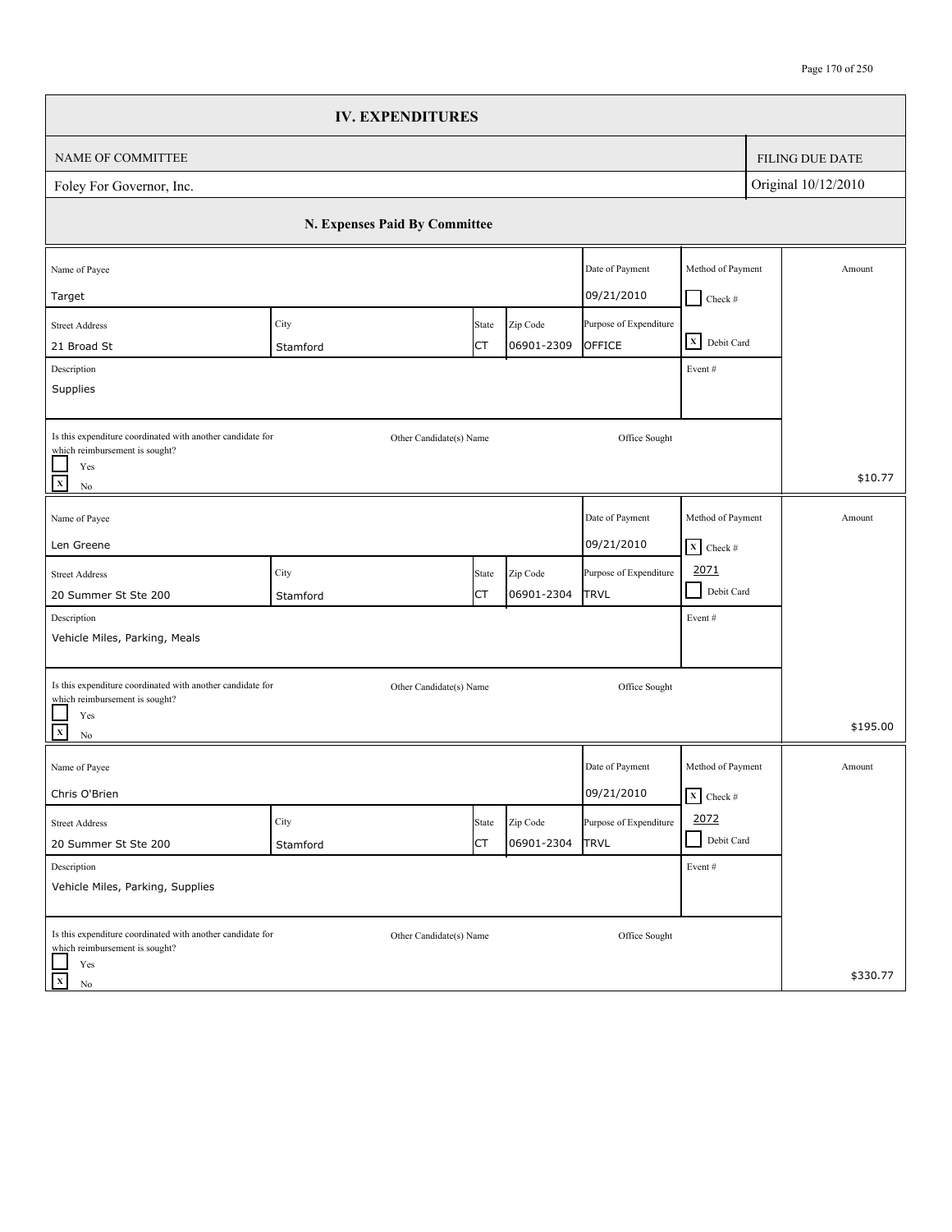|                                                                                                                                            | <b>IV. EXPENDITURES</b>       |             |                        |                                       |                                           |                        |
|--------------------------------------------------------------------------------------------------------------------------------------------|-------------------------------|-------------|------------------------|---------------------------------------|-------------------------------------------|------------------------|
| NAME OF COMMITTEE                                                                                                                          |                               |             |                        |                                       |                                           | <b>FILING DUE DATE</b> |
| Foley For Governor, Inc.                                                                                                                   |                               |             |                        |                                       |                                           | Original 10/12/2010    |
|                                                                                                                                            | N. Expenses Paid By Committee |             |                        |                                       |                                           |                        |
| Name of Payee<br>Target                                                                                                                    |                               |             |                        | Date of Payment<br>09/21/2010         | Method of Payment<br>$Check$ #            | Amount                 |
| <b>Street Address</b><br>21 Broad St<br>Description                                                                                        | City<br>Stamford              | State<br>СT | Zip Code<br>06901-2309 | Purpose of Expenditure<br>OFFICE      | X Debit Card<br>Event#                    |                        |
| Supplies                                                                                                                                   |                               |             |                        |                                       |                                           |                        |
| Is this expenditure coordinated with another candidate for<br>which reimbursement is sought?<br>Yes<br>$\overline{\mathbf{x}}$<br>$\rm No$ | Other Candidate(s) Name       |             |                        | Office Sought                         |                                           | \$10.77                |
| Name of Payee<br>Len Greene                                                                                                                |                               |             |                        | Date of Payment<br>09/21/2010         | Method of Payment<br>$X$ Check #          | Amount                 |
| <b>Street Address</b><br>20 Summer St Ste 200                                                                                              | City<br>Stamford              | State<br>СT | Zip Code<br>06901-2304 | Purpose of Expenditure<br>TRVL        | 2071<br>$\blacksquare$<br>Debit Card      |                        |
| Description<br>Vehicle Miles, Parking, Meals                                                                                               |                               |             |                        |                                       | Event#                                    |                        |
| Is this expenditure coordinated with another candidate for<br>which reimbursement is sought?<br>Yes<br>$\overline{\mathbf{x}}$<br>$\rm No$ | Other Candidate(s) Name       |             |                        | Office Sought                         |                                           | \$195.00               |
| Name of Payee<br>Chris O'Brien                                                                                                             |                               |             |                        | Date of Payment<br>09/21/2010         | Method of Payment<br>$\mathbf{X}$ Check # | Amount                 |
| Street Address<br>20 Summer St Ste 200                                                                                                     | City<br>Stamford              | State<br>СT | Zip Code<br>06901-2304 | Purpose of Expenditure<br><b>TRVL</b> | 2072<br>Debit Card<br>$\blacksquare$      |                        |
| Description<br>Vehicle Miles, Parking, Supplies                                                                                            |                               |             |                        |                                       | Event#                                    |                        |
| Is this expenditure coordinated with another candidate for<br>which reimbursement is sought?<br>Yes                                        | Other Candidate(s) Name       |             |                        | Office Sought                         |                                           | \$330.77               |
| $\mathbf X$<br>No                                                                                                                          |                               |             |                        |                                       |                                           |                        |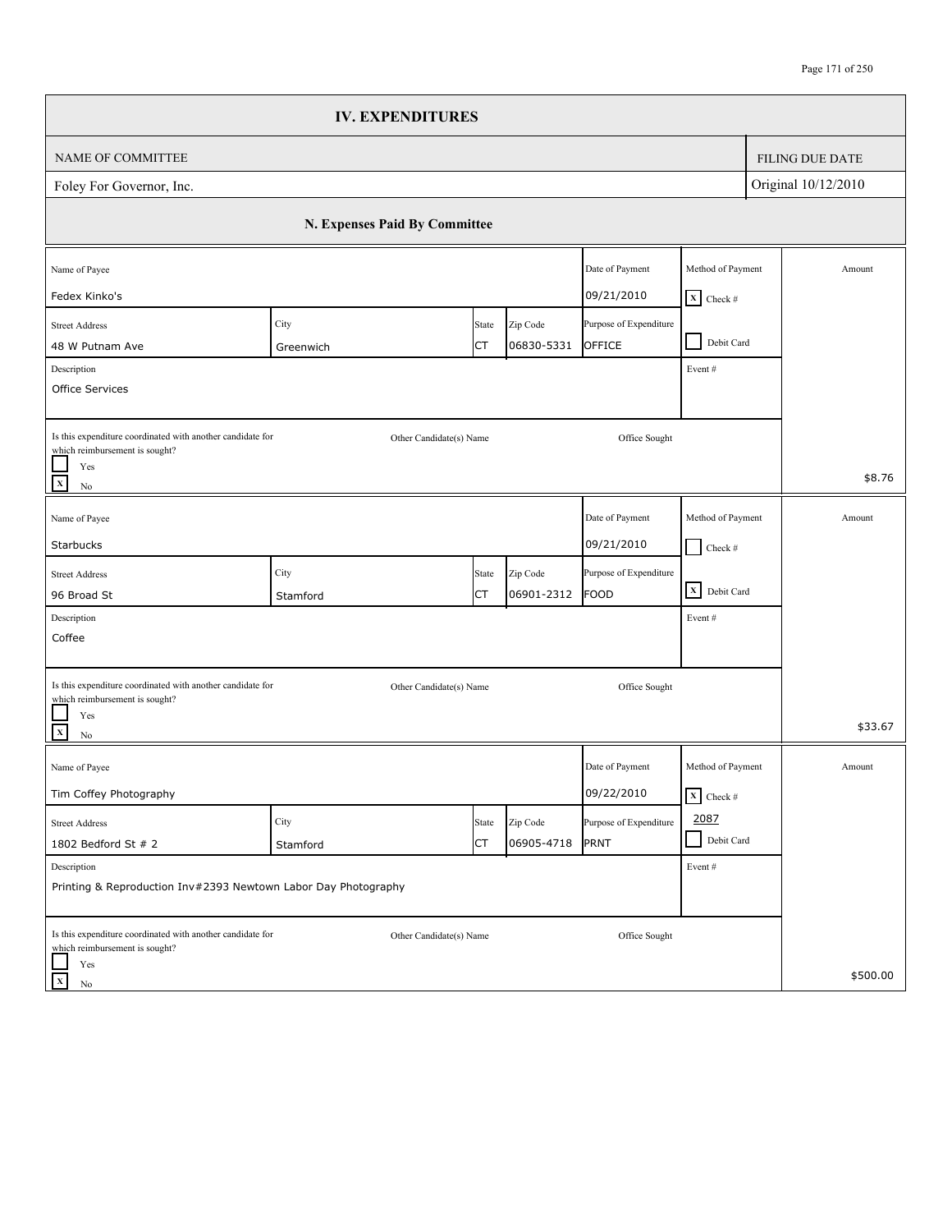|                                                                                                                          | <b>IV. EXPENDITURES</b>       |                    |                        |                                       |                                                       |                        |
|--------------------------------------------------------------------------------------------------------------------------|-------------------------------|--------------------|------------------------|---------------------------------------|-------------------------------------------------------|------------------------|
| NAME OF COMMITTEE                                                                                                        |                               |                    |                        |                                       |                                                       | <b>FILING DUE DATE</b> |
| Foley For Governor, Inc.                                                                                                 |                               |                    |                        |                                       |                                                       | Original 10/12/2010    |
|                                                                                                                          | N. Expenses Paid By Committee |                    |                        |                                       |                                                       |                        |
| Name of Payee<br>Fedex Kinko's                                                                                           |                               |                    |                        | Date of Payment<br>09/21/2010         | Method of Payment                                     | Amount                 |
| <b>Street Address</b><br>48 W Putnam Ave<br>Description                                                                  | City<br>Greenwich             | State<br>СT        | Zip Code<br>06830-5331 | Purpose of Expenditure<br>OFFICE      | $X$ Check #<br>Debit Card<br>$\blacksquare$<br>Event# |                        |
| Office Services<br>Is this expenditure coordinated with another candidate for                                            |                               |                    |                        |                                       |                                                       |                        |
| which reimbursement is sought?<br>Yes<br>$\mathbf X$<br>$\rm No$                                                         | Other Candidate(s) Name       |                    |                        | Office Sought                         |                                                       | \$8.76                 |
| Name of Payee<br>Starbucks                                                                                               |                               |                    |                        | Date of Payment<br>09/21/2010         | Method of Payment<br>$\Box$ Check #                   | Amount                 |
| <b>Street Address</b><br>96 Broad St                                                                                     | City<br>Stamford              | State<br>СT        | Zip Code<br>06901-2312 | Purpose of Expenditure<br><b>FOOD</b> | $\overline{\mathbf{X}}$ Debit Card                    |                        |
| Description<br>Coffee                                                                                                    |                               |                    |                        |                                       | Event#                                                |                        |
| Is this expenditure coordinated with another candidate for<br>which reimbursement is sought?<br>Yes<br>$\frac{1}{x}$     | Other Candidate(s) Name       |                    |                        | Office Sought                         |                                                       | \$33.67                |
| $\rm No$<br>Name of Payee<br>Tim Coffey Photography                                                                      |                               |                    |                        | Date of Payment<br>09/22/2010         | Method of Payment<br>$\overline{\mathbf{x}}$ Check #  | Amount                 |
| <b>Street Address</b><br>1802 Bedford St # 2                                                                             | City<br>Stamford              | State<br><b>CT</b> | Zip Code<br>06905-4718 | Purpose of Expenditure<br>PRNT        | 2087<br>Debit Card                                    |                        |
| Description<br>Printing & Reproduction Inv#2393 Newtown Labor Day Photography                                            |                               |                    |                        |                                       | Event#                                                |                        |
| Is this expenditure coordinated with another candidate for<br>which reimbursement is sought?<br>Yes<br>$\mathbf X$<br>No | Other Candidate(s) Name       |                    |                        | Office Sought                         |                                                       | \$500.00               |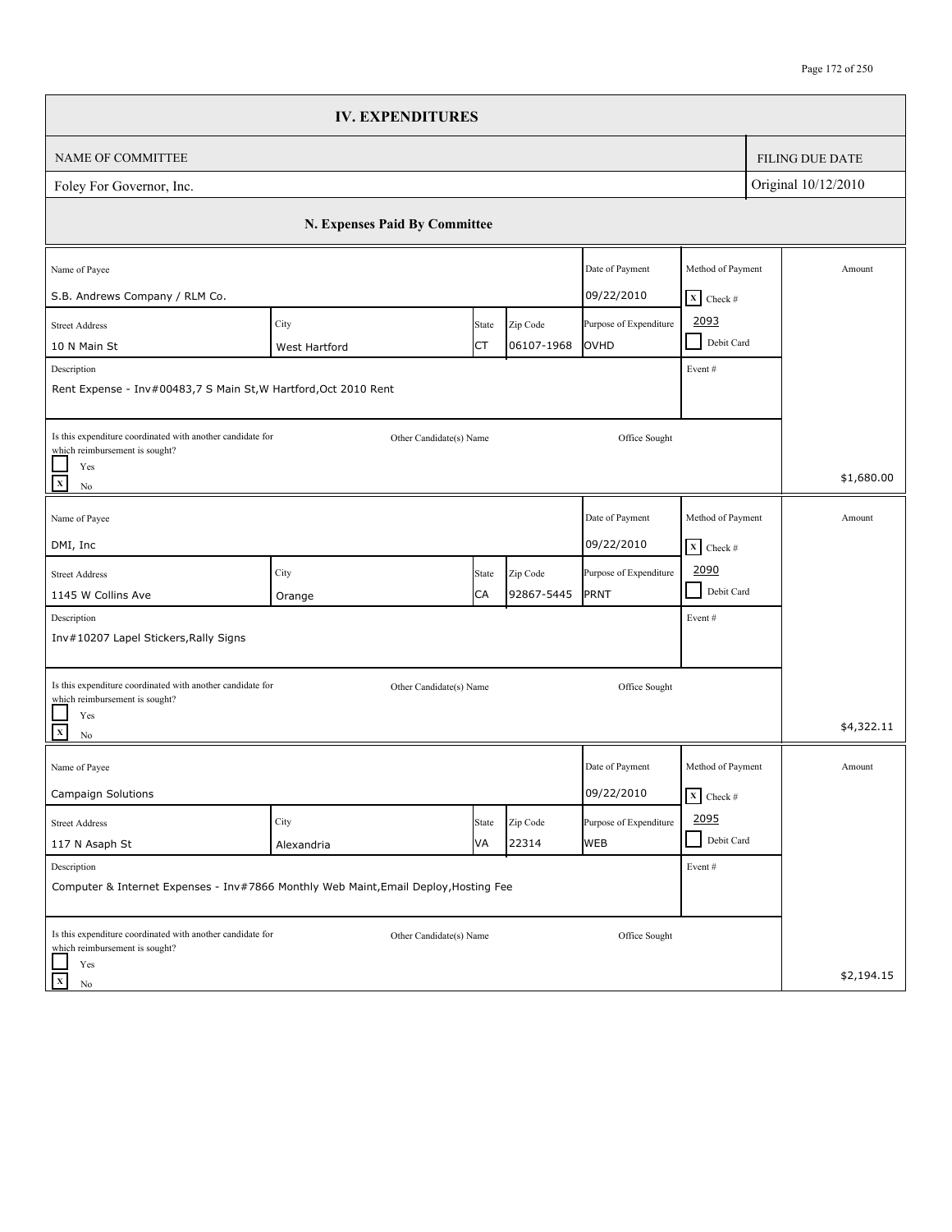|                                                                                                     | <b>IV. EXPENDITURES</b>       |       |            |                        |                                 |                        |
|-----------------------------------------------------------------------------------------------------|-------------------------------|-------|------------|------------------------|---------------------------------|------------------------|
| <b>NAME OF COMMITTEE</b>                                                                            |                               |       |            |                        |                                 | <b>FILING DUE DATE</b> |
| Foley For Governor, Inc.                                                                            |                               |       |            |                        |                                 | Original 10/12/2010    |
|                                                                                                     | N. Expenses Paid By Committee |       |            |                        |                                 |                        |
| Name of Payee                                                                                       |                               |       |            | Date of Payment        | Method of Payment               | Amount                 |
| S.B. Andrews Company / RLM Co.                                                                      |                               |       |            | 09/22/2010             | $X$ Check #                     |                        |
| <b>Street Address</b>                                                                               | City                          | State | Zip Code   | Purpose of Expenditure | 2093<br>Debit Card              |                        |
| 10 N Main St                                                                                        | West Hartford                 | СT    | 06107-1968 | OVHD                   |                                 |                        |
| Description<br>Rent Expense - Inv#00483,7 S Main St, W Hartford, Oct 2010 Rent                      |                               |       |            |                        | Event#                          |                        |
| Is this expenditure coordinated with another candidate for<br>which reimbursement is sought?        | Other Candidate(s) Name       |       |            | Office Sought          |                                 |                        |
| Yes<br>$\mathbf X$<br>No                                                                            |                               |       |            |                        |                                 | \$1,680.00             |
| Name of Payee                                                                                       |                               |       |            | Date of Payment        | Method of Payment               | Amount                 |
| DMI, Inc                                                                                            |                               |       |            | 09/22/2010             | $\mathbf{X}$ Check #            |                        |
| <b>Street Address</b>                                                                               | City                          | State | Zip Code   | Purpose of Expenditure | 2090                            |                        |
| 1145 W Collins Ave                                                                                  | Orange                        | CA    | 92867-5445 | PRNT                   | Debit Card<br>$\blacksquare$    |                        |
| Description                                                                                         |                               |       |            |                        | Event#                          |                        |
| Inv#10207 Lapel Stickers, Rally Signs                                                               |                               |       |            |                        |                                 |                        |
| Is this expenditure coordinated with another candidate for                                          | Other Candidate(s) Name       |       |            | Office Sought          |                                 |                        |
| which reimbursement is sought?<br>Yes<br>$\mathbf X$<br>No                                          |                               |       |            |                        |                                 | \$4,322.11             |
| Name of Payee                                                                                       |                               |       |            | Date of Payment        | Method of Payment               | Amount                 |
| <b>Campaign Solutions</b>                                                                           |                               |       |            | 09/22/2010             | $\overline{\mathbf{X}}$ Check # |                        |
| <b>Street Address</b>                                                                               | City                          | State | Zip Code   | Purpose of Expenditure | 2095                            |                        |
| 117 N Asaph St                                                                                      | Alexandria                    | VA    | 22314      | <b>WEB</b>             | Debit Card<br>$\blacksquare$    |                        |
| Description<br>Computer & Internet Expenses - Inv#7866 Monthly Web Maint, Email Deploy, Hosting Fee |                               |       |            |                        | Event #                         |                        |
| Is this expenditure coordinated with another candidate for<br>which reimbursement is sought?<br>Yes | Other Candidate(s) Name       |       |            | Office Sought          |                                 |                        |
| $\mathbf x$<br>$\rm No$                                                                             |                               |       |            |                        |                                 | \$2,194.15             |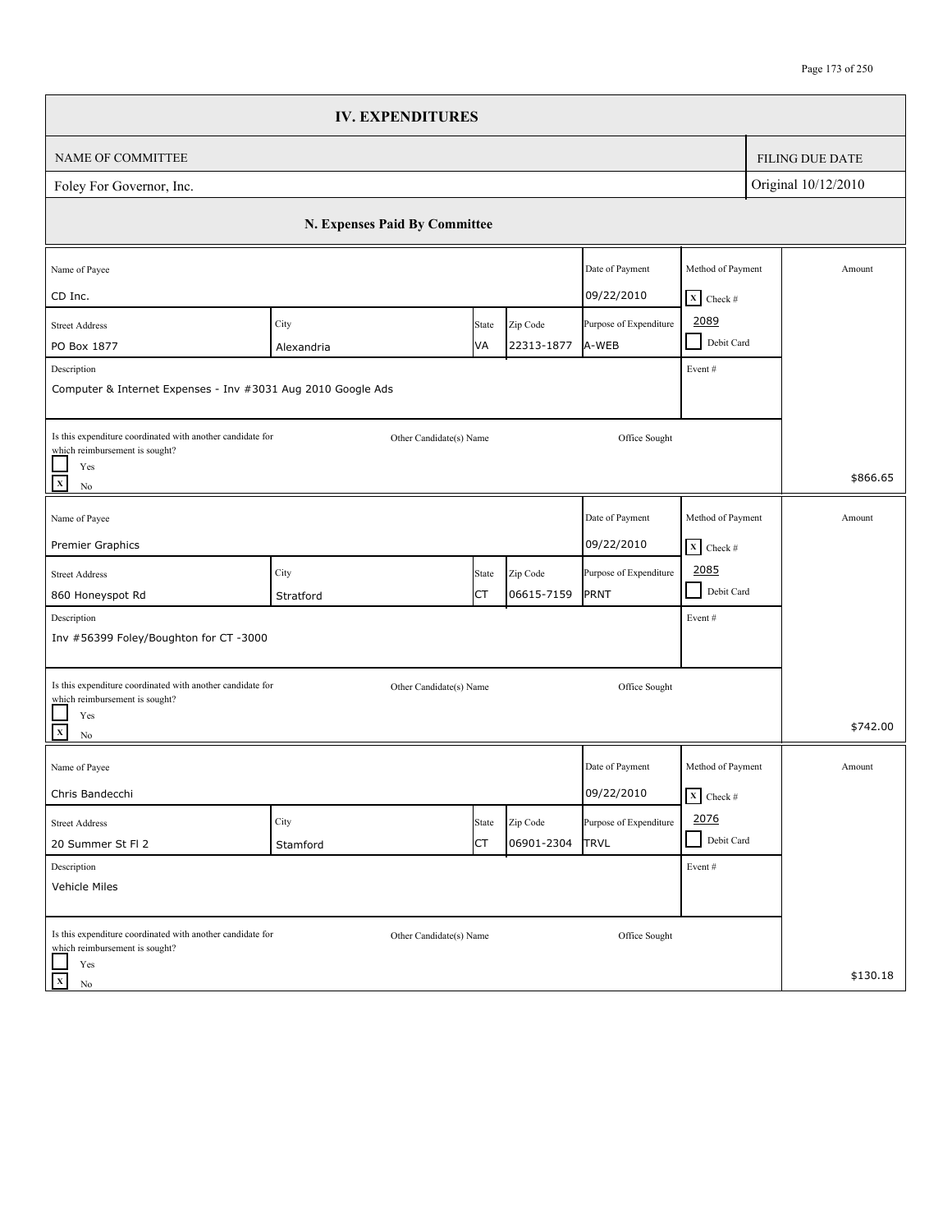|                                                                                                                                                                     | <b>IV. EXPENDITURES</b>       |             |                        |                                       |                                                      |  |                        |
|---------------------------------------------------------------------------------------------------------------------------------------------------------------------|-------------------------------|-------------|------------------------|---------------------------------------|------------------------------------------------------|--|------------------------|
| NAME OF COMMITTEE                                                                                                                                                   |                               |             |                        |                                       |                                                      |  | <b>FILING DUE DATE</b> |
| Foley For Governor, Inc.                                                                                                                                            |                               |             |                        |                                       | Original 10/12/2010                                  |  |                        |
|                                                                                                                                                                     | N. Expenses Paid By Committee |             |                        |                                       |                                                      |  |                        |
| Name of Payee<br>CD Inc.                                                                                                                                            |                               |             |                        | Date of Payment<br>09/22/2010         | Method of Payment<br>$X$ Check #                     |  | Amount                 |
| <b>Street Address</b><br>PO Box 1877<br>Description<br>Computer & Internet Expenses - Inv #3031 Aug 2010 Google Ads                                                 | City<br>Alexandria            | State<br>VA | Zip Code<br>22313-1877 | Purpose of Expenditure<br>A-WEB       | 2089<br>Debit Card<br>$\sim$<br>Event#               |  |                        |
| Is this expenditure coordinated with another candidate for<br>which reimbursement is sought?<br>Yes<br>$\mathbf x$<br>$\rm No$                                      | Other Candidate(s) Name       |             |                        | Office Sought                         |                                                      |  | \$866.65               |
| Name of Payee<br>Premier Graphics                                                                                                                                   |                               |             |                        | Date of Payment<br>09/22/2010         | Method of Payment<br>$\overline{\mathbf{X}}$ Check # |  | Amount                 |
| <b>Street Address</b><br>860 Honeyspot Rd<br>Description                                                                                                            | City<br>Stratford             | State<br>СT | Zip Code<br>06615-7159 | Purpose of Expenditure<br>PRNT        | 2085<br>- 1<br>Debit Card<br>Event#                  |  |                        |
| Inv #56399 Foley/Boughton for CT -3000<br>Is this expenditure coordinated with another candidate for<br>which reimbursement is sought?<br>Yes<br>$\mathbf{x}$<br>No | Other Candidate(s) Name       |             |                        | Office Sought                         |                                                      |  | \$742.00               |
| Name of Payee<br>Chris Bandecchi                                                                                                                                    |                               |             |                        | Date of Payment<br>09/22/2010         | Method of Payment<br>$\overline{\mathbf{x}}$ Check # |  | Amount                 |
| <b>Street Address</b><br>20 Summer St Fl 2                                                                                                                          | City<br>Stamford              | State<br>СT | Zip Code<br>06901-2304 | Purpose of Expenditure<br><b>TRVL</b> | 2076<br>Debit Card<br>$\blacksquare$                 |  |                        |
| Description<br>Vehicle Miles                                                                                                                                        |                               |             |                        |                                       | Event#                                               |  |                        |
| Is this expenditure coordinated with another candidate for<br>which reimbursement is sought?<br>Yes<br>$\mathbf X$<br>No                                            | Other Candidate(s) Name       |             |                        | Office Sought                         |                                                      |  | \$130.18               |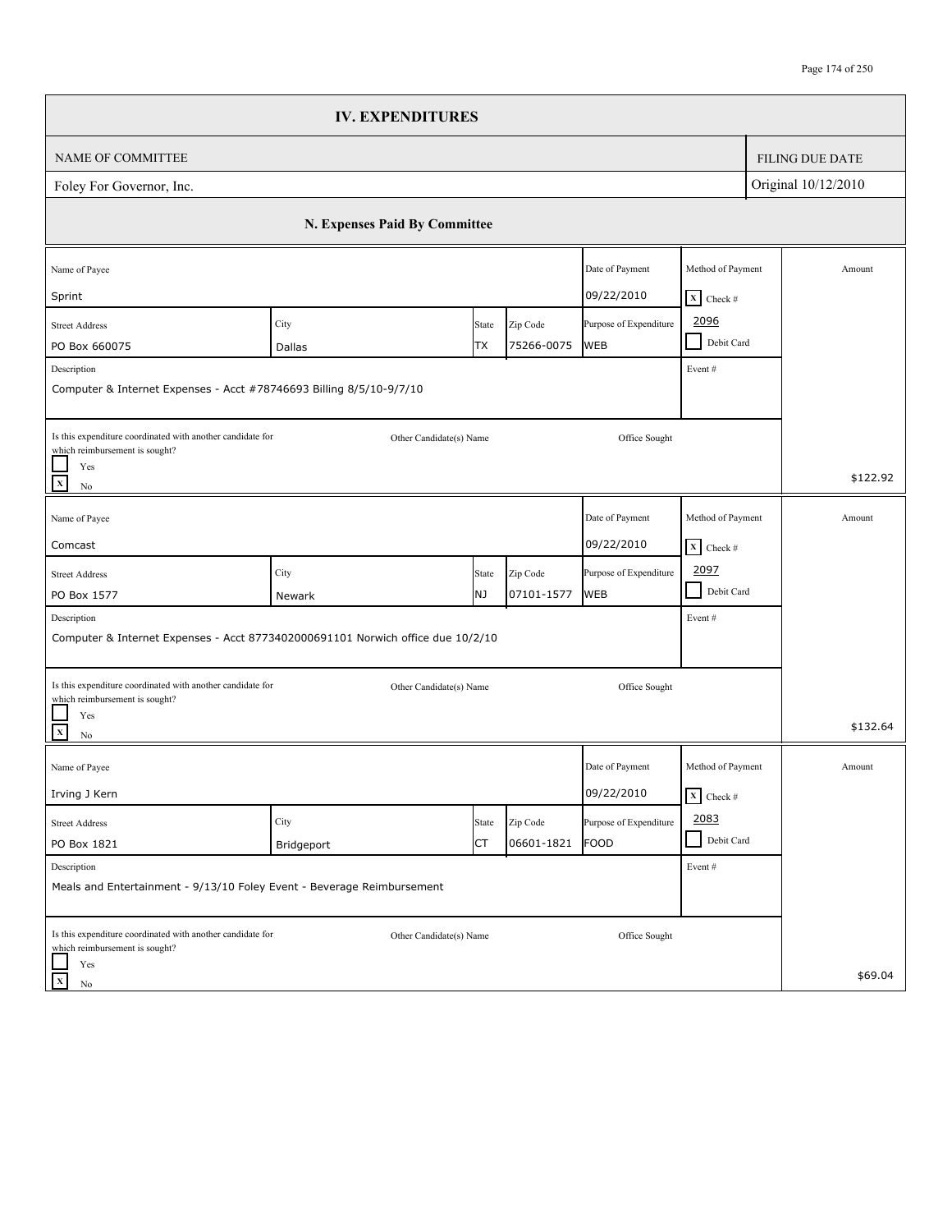|                                                                                                                           | <b>IV. EXPENDITURES</b>       |             |                        |                                       |                                                      |                     |                        |
|---------------------------------------------------------------------------------------------------------------------------|-------------------------------|-------------|------------------------|---------------------------------------|------------------------------------------------------|---------------------|------------------------|
| NAME OF COMMITTEE                                                                                                         |                               |             |                        |                                       |                                                      |                     | <b>FILING DUE DATE</b> |
| Foley For Governor, Inc.                                                                                                  |                               |             |                        |                                       |                                                      | Original 10/12/2010 |                        |
|                                                                                                                           | N. Expenses Paid By Committee |             |                        |                                       |                                                      |                     |                        |
| Name of Payee<br>Sprint                                                                                                   |                               |             |                        | Date of Payment<br>09/22/2010         | Method of Payment<br>$X$ Check #                     |                     | Amount                 |
| <b>Street Address</b><br>PO Box 660075<br>Description                                                                     | City<br>Dallas                | State<br>ТX | Zip Code<br>75266-0075 | Purpose of Expenditure<br><b>WEB</b>  | 2096<br>Debit Card<br>Event#                         |                     |                        |
| Computer & Internet Expenses - Acct #78746693 Billing 8/5/10-9/7/10                                                       |                               |             |                        |                                       |                                                      |                     |                        |
| Is this expenditure coordinated with another candidate for<br>which reimbursement is sought?<br>Yes<br>$\mathbf x$<br>No  | Other Candidate(s) Name       |             |                        | Office Sought                         |                                                      |                     | \$122.92               |
| Name of Payee<br>Comcast                                                                                                  |                               |             |                        | Date of Payment<br>09/22/2010         | Method of Payment<br>$\boxed{\mathbf{X}}$ Check #    |                     | Amount                 |
| <b>Street Address</b><br>PO Box 1577                                                                                      | City<br>Newark                | State<br>NJ | Zip Code<br>07101-1577 | Purpose of Expenditure<br><b>WEB</b>  | 2097<br>Debit Card                                   |                     |                        |
| Description<br>Computer & Internet Expenses - Acct 8773402000691101 Norwich office due 10/2/10                            |                               |             |                        |                                       | Event#                                               |                     |                        |
| Is this expenditure coordinated with another candidate for<br>which reimbursement is sought?<br>Yes<br>$\mathbf{x}$<br>No | Other Candidate(s) Name       |             |                        | Office Sought                         |                                                      |                     | \$132.64               |
| Name of Payee<br>Irving J Kern                                                                                            |                               |             |                        | Date of Payment<br>09/22/2010         | Method of Payment<br>$\overline{\mathbf{x}}$ Check # |                     | Amount                 |
| <b>Street Address</b><br>PO Box 1821                                                                                      | City<br>Bridgeport            | State<br>СT | Zip Code<br>06601-1821 | Purpose of Expenditure<br><b>FOOD</b> | 2083<br>Debit Card                                   |                     |                        |
| Description<br>Meals and Entertainment - 9/13/10 Foley Event - Beverage Reimbursement                                     |                               |             |                        |                                       | Event #                                              |                     |                        |
| Is this expenditure coordinated with another candidate for<br>which reimbursement is sought?<br>Yes<br>$\mathbf x$<br>No  | Other Candidate(s) Name       |             |                        | Office Sought                         |                                                      |                     | \$69.04                |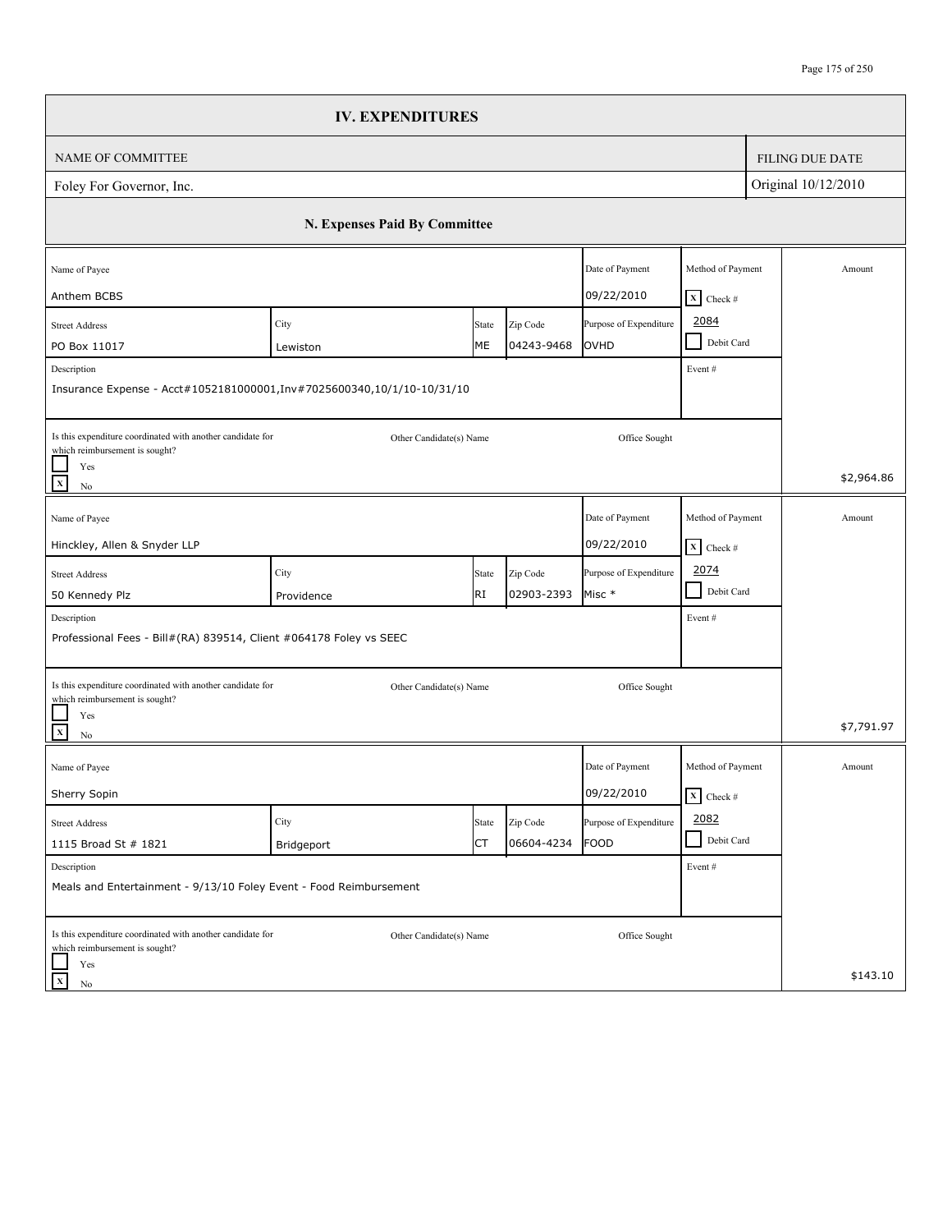|                                                                                                                           | <b>IV. EXPENDITURES</b>       |             |                        |                                  |                                                       |                        |
|---------------------------------------------------------------------------------------------------------------------------|-------------------------------|-------------|------------------------|----------------------------------|-------------------------------------------------------|------------------------|
| <b>NAME OF COMMITTEE</b>                                                                                                  |                               |             |                        |                                  |                                                       | <b>FILING DUE DATE</b> |
| Foley For Governor, Inc.                                                                                                  |                               |             |                        |                                  |                                                       | Original 10/12/2010    |
|                                                                                                                           | N. Expenses Paid By Committee |             |                        |                                  |                                                       |                        |
| Name of Payee<br>Anthem BCBS                                                                                              |                               |             |                        | Date of Payment<br>09/22/2010    | Method of Payment                                     | Amount                 |
| <b>Street Address</b><br>PO Box 11017<br>Description                                                                      | City<br>Lewiston              | State<br>МE | Zip Code<br>04243-9468 | Purpose of Expenditure<br>OVHD   | $X$ Check #<br>2084<br>Debit Card<br>$\sim$<br>Event# |                        |
| Insurance Expense - Acct#1052181000001, Inv#7025600340, 10/1/10-10/31/10                                                  |                               |             |                        |                                  |                                                       |                        |
| Is this expenditure coordinated with another candidate for<br>which reimbursement is sought?<br>Yes<br>$\mathbf{x}$<br>No | Other Candidate(s) Name       |             |                        | Office Sought                    |                                                       | \$2,964.86             |
| Name of Payee<br>Hinckley, Allen & Snyder LLP                                                                             |                               |             |                        | Date of Payment<br>09/22/2010    | Method of Payment<br>$\boxed{\mathbf{X}}$ Check #     | Amount                 |
| <b>Street Address</b><br>50 Kennedy Plz                                                                                   | City<br>Providence            | State<br>RI | Zip Code<br>02903-2393 | Purpose of Expenditure<br>Misc * | 2074<br>$\mathcal{L}$<br>Debit Card                   |                        |
| Description<br>Professional Fees - Bill#(RA) 839514, Client #064178 Foley vs SEEC                                         |                               |             |                        |                                  | Event#                                                |                        |
| Is this expenditure coordinated with another candidate for<br>which reimbursement is sought?<br>Yes<br>$\mathbf X$<br>No  | Other Candidate(s) Name       |             |                        | Office Sought                    |                                                       | \$7,791.97             |
| Name of Payee<br>Sherry Sopin                                                                                             |                               |             |                        | Date of Payment<br>09/22/2010    | Method of Payment<br>$\overline{\mathbf{X}}$ Check #  | Amount                 |
| <b>Street Address</b>                                                                                                     | City                          | State<br>СT | Zip Code<br>06604-4234 | Purpose of Expenditure<br>FOOD   | 2082<br>Debit Card                                    |                        |
| 1115 Broad St # 1821<br>Description<br>Meals and Entertainment - 9/13/10 Foley Event - Food Reimbursement                 | Bridgeport                    |             |                        |                                  | Event #                                               |                        |
| Is this expenditure coordinated with another candidate for<br>which reimbursement is sought?<br>Yes<br>$\mathbf x$        | Other Candidate(s) Name       |             |                        | Office Sought                    |                                                       | \$143.10               |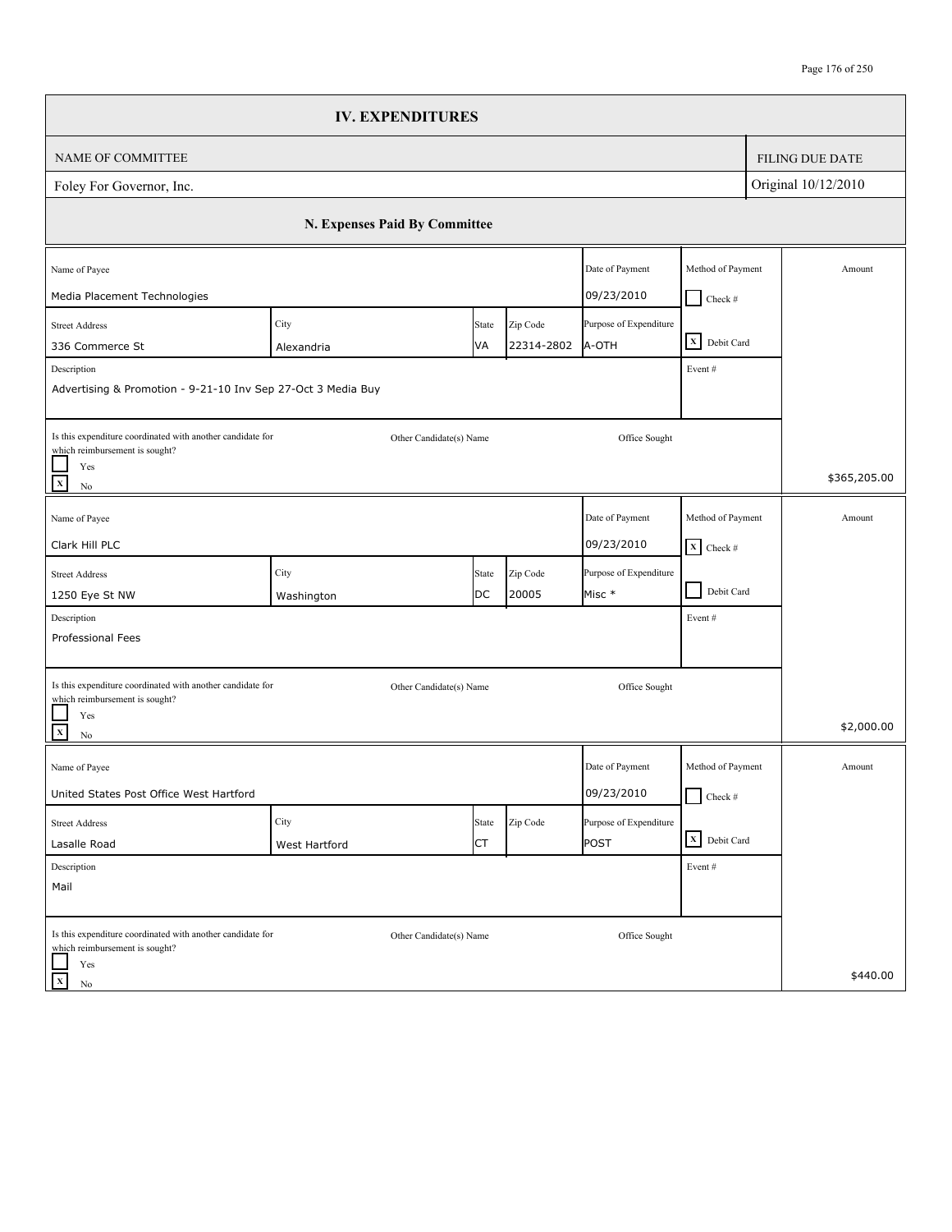|                                                                                              | <b>IV. EXPENDITURES</b>       |             |                        |                                 |                                 |                        |
|----------------------------------------------------------------------------------------------|-------------------------------|-------------|------------------------|---------------------------------|---------------------------------|------------------------|
| <b>NAME OF COMMITTEE</b>                                                                     |                               |             |                        |                                 |                                 | <b>FILING DUE DATE</b> |
| Foley For Governor, Inc.                                                                     |                               |             |                        |                                 |                                 | Original 10/12/2010    |
|                                                                                              | N. Expenses Paid By Committee |             |                        |                                 |                                 |                        |
| Name of Payee                                                                                |                               |             |                        | Date of Payment                 | Method of Payment               | Amount                 |
| Media Placement Technologies                                                                 |                               |             |                        | 09/23/2010                      | $Check$ #                       |                        |
| <b>Street Address</b><br>336 Commerce St                                                     | City                          | State<br>VA | Zip Code<br>22314-2802 | Purpose of Expenditure<br>A-OTH | X Debit Card                    |                        |
| Description                                                                                  | Alexandria                    |             |                        |                                 | Event#                          |                        |
| Advertising & Promotion - 9-21-10 Inv Sep 27-Oct 3 Media Buy                                 |                               |             |                        |                                 |                                 |                        |
| Is this expenditure coordinated with another candidate for<br>which reimbursement is sought? | Other Candidate(s) Name       |             |                        | Office Sought                   |                                 |                        |
| Yes<br>$\mathbf X$<br>No                                                                     |                               |             |                        |                                 |                                 | \$365,205.00           |
| Name of Payee                                                                                |                               |             |                        | Date of Payment                 | Method of Payment               | Amount                 |
| Clark Hill PLC                                                                               |                               |             |                        | 09/23/2010                      | $\overline{\mathbf{X}}$ Check # |                        |
| <b>Street Address</b>                                                                        | City                          | State       | Zip Code               | Purpose of Expenditure          |                                 |                        |
| 1250 Eye St NW                                                                               | Washington                    | DC          | 20005                  | Misc *                          | Debit Card<br>- 1               |                        |
| Description                                                                                  |                               |             |                        |                                 | Event#                          |                        |
| Professional Fees                                                                            |                               |             |                        |                                 |                                 |                        |
| Is this expenditure coordinated with another candidate for<br>which reimbursement is sought? | Other Candidate(s) Name       |             |                        | Office Sought                   |                                 |                        |
| Yes<br>$\mathbf x$<br>No                                                                     |                               |             |                        |                                 |                                 | \$2,000.00             |
| Name of Payee                                                                                |                               |             |                        | Date of Payment                 | Method of Payment               | Amount                 |
| United States Post Office West Hartford                                                      |                               |             |                        | 09/23/2010                      | $\Box$ Check #                  |                        |
| <b>Street Address</b>                                                                        | City                          | State       | Zip Code               | Purpose of Expenditure          |                                 |                        |
| Lasalle Road                                                                                 | West Hartford                 | CT          |                        | POST                            | X Debit Card                    |                        |
| Description                                                                                  |                               |             |                        |                                 | Event #                         |                        |
| Mail                                                                                         |                               |             |                        |                                 |                                 |                        |
| Is this expenditure coordinated with another candidate for<br>which reimbursement is sought? | Other Candidate(s) Name       |             |                        | Office Sought                   |                                 |                        |
| Yes<br>$\mathbf x$<br>$\rm No$                                                               |                               |             |                        |                                 |                                 | \$440.00               |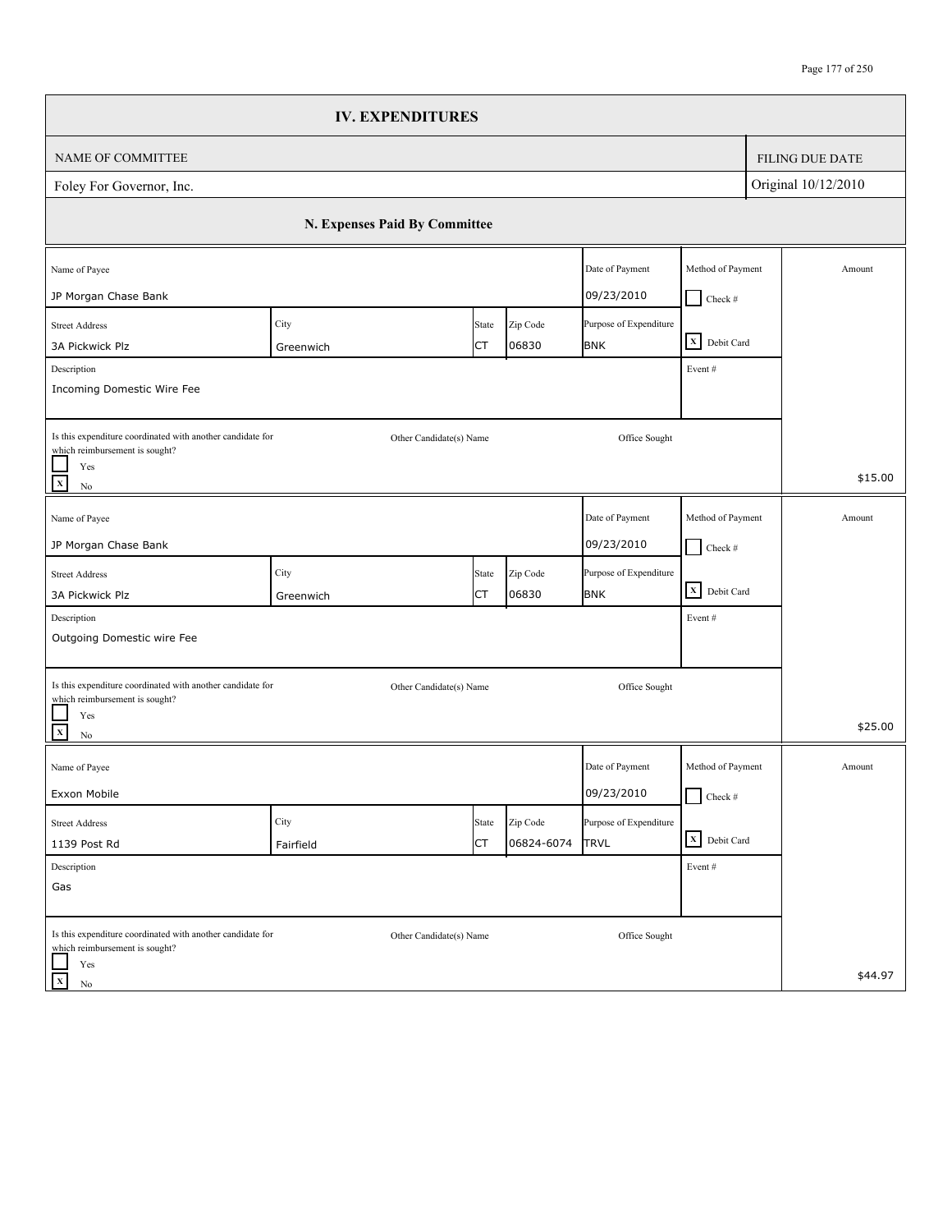|                                                                                              | <b>IV. EXPENDITURES</b>       |       |            |                        |                   |                        |
|----------------------------------------------------------------------------------------------|-------------------------------|-------|------------|------------------------|-------------------|------------------------|
| NAME OF COMMITTEE                                                                            |                               |       |            |                        |                   | <b>FILING DUE DATE</b> |
| Foley For Governor, Inc.                                                                     |                               |       |            |                        |                   | Original 10/12/2010    |
|                                                                                              | N. Expenses Paid By Committee |       |            |                        |                   |                        |
| Name of Payee                                                                                |                               |       |            | Date of Payment        | Method of Payment | Amount                 |
| JP Morgan Chase Bank                                                                         |                               |       |            | 09/23/2010             | $Check$ #         |                        |
| <b>Street Address</b>                                                                        | City                          | State | Zip Code   | Purpose of Expenditure |                   |                        |
| 3A Pickwick Plz                                                                              | Greenwich                     | СT    | 06830      | <b>BNK</b>             | X Debit Card      |                        |
| Description<br>Incoming Domestic Wire Fee                                                    |                               |       |            |                        | Event#            |                        |
| Is this expenditure coordinated with another candidate for<br>which reimbursement is sought? | Other Candidate(s) Name       |       |            | Office Sought          |                   |                        |
| Yes<br>$\mathbf x$<br>$\rm No$                                                               |                               |       |            |                        |                   | \$15.00                |
| Name of Payee                                                                                |                               |       |            | Date of Payment        | Method of Payment | Amount                 |
| JP Morgan Chase Bank                                                                         |                               |       |            | 09/23/2010             | $\Box$ Check #    |                        |
| <b>Street Address</b>                                                                        | City                          | State | Zip Code   | Purpose of Expenditure |                   |                        |
| 3A Pickwick Plz                                                                              | Greenwich                     | СT    | 06830      | <b>BNK</b>             | X Debit Card      |                        |
| Description                                                                                  |                               |       |            |                        | Event#            |                        |
| Outgoing Domestic wire Fee                                                                   |                               |       |            |                        |                   |                        |
| Is this expenditure coordinated with another candidate for<br>which reimbursement is sought? | Other Candidate(s) Name       |       |            | Office Sought          |                   |                        |
| Yes<br>$\mathbf X$<br>$\rm No$                                                               |                               |       |            |                        |                   | \$25.00                |
| Name of Payee                                                                                |                               |       |            | Date of Payment        | Method of Payment | Amount                 |
| Exxon Mobile                                                                                 |                               |       |            | 09/23/2010             | $\Box$ Check #    |                        |
| <b>Street Address</b>                                                                        | City                          | State | Zip Code   | Purpose of Expenditure |                   |                        |
| 1139 Post Rd                                                                                 | Fairfield                     | СT    | 06824-6074 | <b>TRVL</b>            | X Debit Card      |                        |
| Description                                                                                  |                               |       |            |                        | Event#            |                        |
| Gas                                                                                          |                               |       |            |                        |                   |                        |
| Is this expenditure coordinated with another candidate for<br>which reimbursement is sought? | Other Candidate(s) Name       |       |            | Office Sought          |                   |                        |
| Yes<br>$\mathbf X$<br>No                                                                     |                               |       |            |                        |                   | \$44.97                |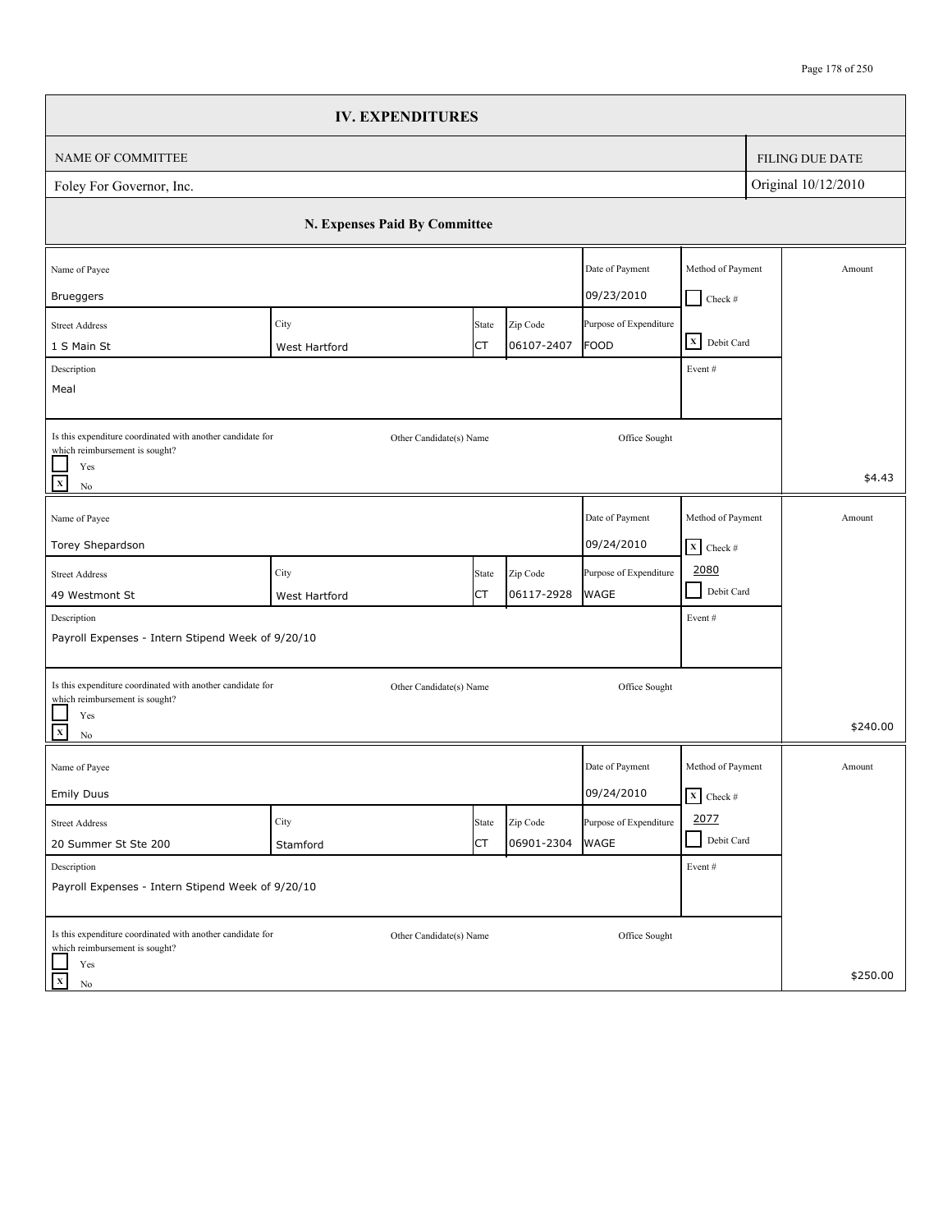|                                                                                                                                            | <b>IV. EXPENDITURES</b>       |             |                        |                                       |                                                      |                        |
|--------------------------------------------------------------------------------------------------------------------------------------------|-------------------------------|-------------|------------------------|---------------------------------------|------------------------------------------------------|------------------------|
| NAME OF COMMITTEE                                                                                                                          |                               |             |                        |                                       |                                                      | <b>FILING DUE DATE</b> |
| Foley For Governor, Inc.                                                                                                                   |                               |             |                        |                                       |                                                      | Original 10/12/2010    |
|                                                                                                                                            | N. Expenses Paid By Committee |             |                        |                                       |                                                      |                        |
| Name of Payee<br><b>Brueggers</b>                                                                                                          |                               |             |                        | Date of Payment<br>09/23/2010         | Method of Payment                                    | Amount                 |
| <b>Street Address</b><br>1 S Main St                                                                                                       | City<br>West Hartford         | State<br>СT | Zip Code<br>06107-2407 | Purpose of Expenditure<br><b>FOOD</b> | $Check$ #<br>X Debit Card                            |                        |
| Description<br>Meal                                                                                                                        |                               |             |                        |                                       | Event#                                               |                        |
| Is this expenditure coordinated with another candidate for<br>which reimbursement is sought?<br>Yes<br>$\overline{\mathbf{x}}$<br>$\rm No$ | Other Candidate(s) Name       |             |                        | Office Sought                         |                                                      | \$4.43                 |
| Name of Payee<br>Torey Shepardson                                                                                                          |                               |             |                        | Date of Payment<br>09/24/2010         | Method of Payment<br>$\mathbf{X}$ Check #            | Amount                 |
| <b>Street Address</b><br>49 Westmont St                                                                                                    | City<br>West Hartford         | State<br>СT | Zip Code<br>06117-2928 | Purpose of Expenditure<br><b>WAGE</b> | 2080<br>$\blacksquare$<br>Debit Card                 |                        |
| Description<br>Payroll Expenses - Intern Stipend Week of 9/20/10                                                                           |                               |             |                        |                                       | Event#                                               |                        |
| Is this expenditure coordinated with another candidate for<br>which reimbursement is sought?<br>Yes<br>$\overline{\mathbf{x}}$<br>$\rm No$ | Other Candidate(s) Name       |             |                        | Office Sought                         |                                                      | \$240.00               |
| Name of Payee<br><b>Emily Duus</b>                                                                                                         |                               |             |                        | Date of Payment<br>09/24/2010         | Method of Payment<br>$\overline{\mathbf{x}}$ Check # | Amount                 |
| <b>Street Address</b><br>20 Summer St Ste 200                                                                                              | City<br>Stamford              | State<br>СT | Zip Code<br>06901-2304 | Purpose of Expenditure<br>WAGE        | 2077<br>Debit Card<br>$\blacksquare$                 |                        |
| Description<br>Payroll Expenses - Intern Stipend Week of 9/20/10                                                                           |                               |             |                        |                                       | Event#                                               |                        |
| Is this expenditure coordinated with another candidate for<br>which reimbursement is sought?<br>Yes<br>$\mathbf X$<br>No                   | Other Candidate(s) Name       |             |                        | Office Sought                         |                                                      | \$250.00               |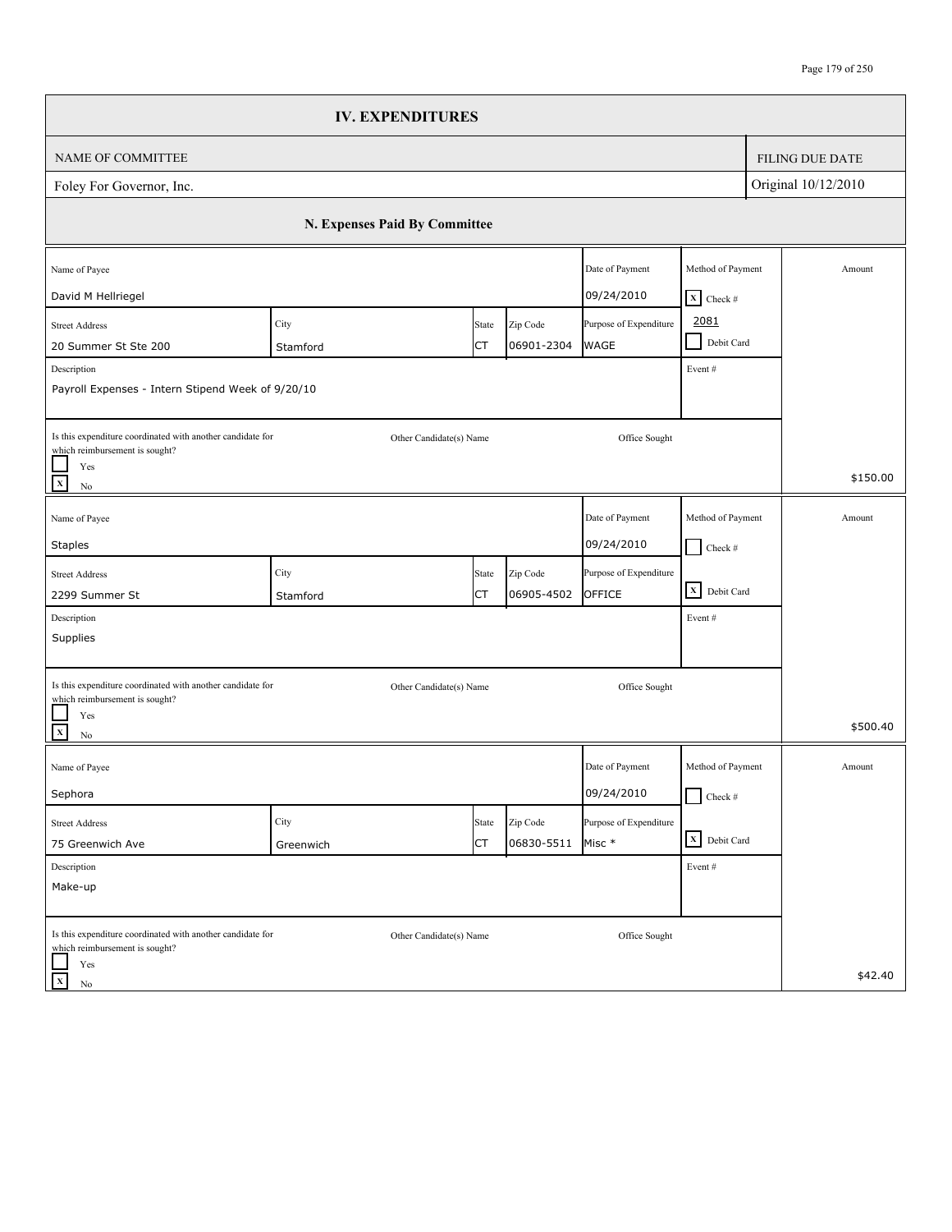|                                                                                                                                            | <b>IV. EXPENDITURES</b>       |                         |                        |                                       |                                                |                        |
|--------------------------------------------------------------------------------------------------------------------------------------------|-------------------------------|-------------------------|------------------------|---------------------------------------|------------------------------------------------|------------------------|
| NAME OF COMMITTEE                                                                                                                          |                               |                         |                        |                                       |                                                | <b>FILING DUE DATE</b> |
| Foley For Governor, Inc.                                                                                                                   |                               |                         |                        |                                       |                                                | Original 10/12/2010    |
|                                                                                                                                            | N. Expenses Paid By Committee |                         |                        |                                       |                                                |                        |
| Name of Payee<br>David M Hellriegel                                                                                                        |                               |                         |                        | Date of Payment<br>09/24/2010         | Method of Payment<br>$X$ Check #               | Amount                 |
| <b>Street Address</b><br>20 Summer St Ste 200<br>Description                                                                               | City<br>Stamford              | State<br>СT             | Zip Code<br>06901-2304 | Purpose of Expenditure<br><b>WAGE</b> | 2081<br>Debit Card<br>$\blacksquare$<br>Event# |                        |
| Payroll Expenses - Intern Stipend Week of 9/20/10                                                                                          |                               |                         |                        |                                       |                                                |                        |
| Is this expenditure coordinated with another candidate for<br>which reimbursement is sought?<br>Yes<br>$\overline{\mathbf{x}}$<br>$\rm No$ |                               | Other Candidate(s) Name |                        | Office Sought                         |                                                | \$150.00               |
| Name of Payee<br><b>Staples</b>                                                                                                            |                               |                         |                        | Date of Payment<br>09/24/2010         | Method of Payment<br>$\Box$ Check #            | Amount                 |
| <b>Street Address</b><br>2299 Summer St                                                                                                    | City<br>Stamford              | State<br>СT             | Zip Code<br>06905-4502 | Purpose of Expenditure<br>OFFICE      | $\overline{\mathbf{X}}$ Debit Card             |                        |
| Description<br>Supplies                                                                                                                    |                               |                         |                        |                                       | Event#                                         |                        |
| Is this expenditure coordinated with another candidate for<br>which reimbursement is sought?                                               |                               | Other Candidate(s) Name |                        | Office Sought                         |                                                |                        |
| Yes<br>$\overline{\mathbf{x}}$<br>$\rm No$                                                                                                 |                               |                         |                        |                                       |                                                | \$500.40               |
| Name of Payee<br>Sephora                                                                                                                   |                               |                         |                        | Date of Payment<br>09/24/2010         | Method of Payment<br>$\Box$ Check #            | Amount                 |
| <b>Street Address</b><br>75 Greenwich Ave                                                                                                  | City<br>Greenwich             | State<br>СT             | Zip Code<br>06830-5511 | Purpose of Expenditure<br>Misc *      | X Debit Card                                   |                        |
| Description<br>Make-up                                                                                                                     |                               |                         |                        |                                       | Event#                                         |                        |
| Is this expenditure coordinated with another candidate for<br>which reimbursement is sought?                                               |                               | Other Candidate(s) Name |                        | Office Sought                         |                                                |                        |
| Yes<br>$\mathbf X$<br>No                                                                                                                   |                               |                         |                        |                                       |                                                | \$42.40                |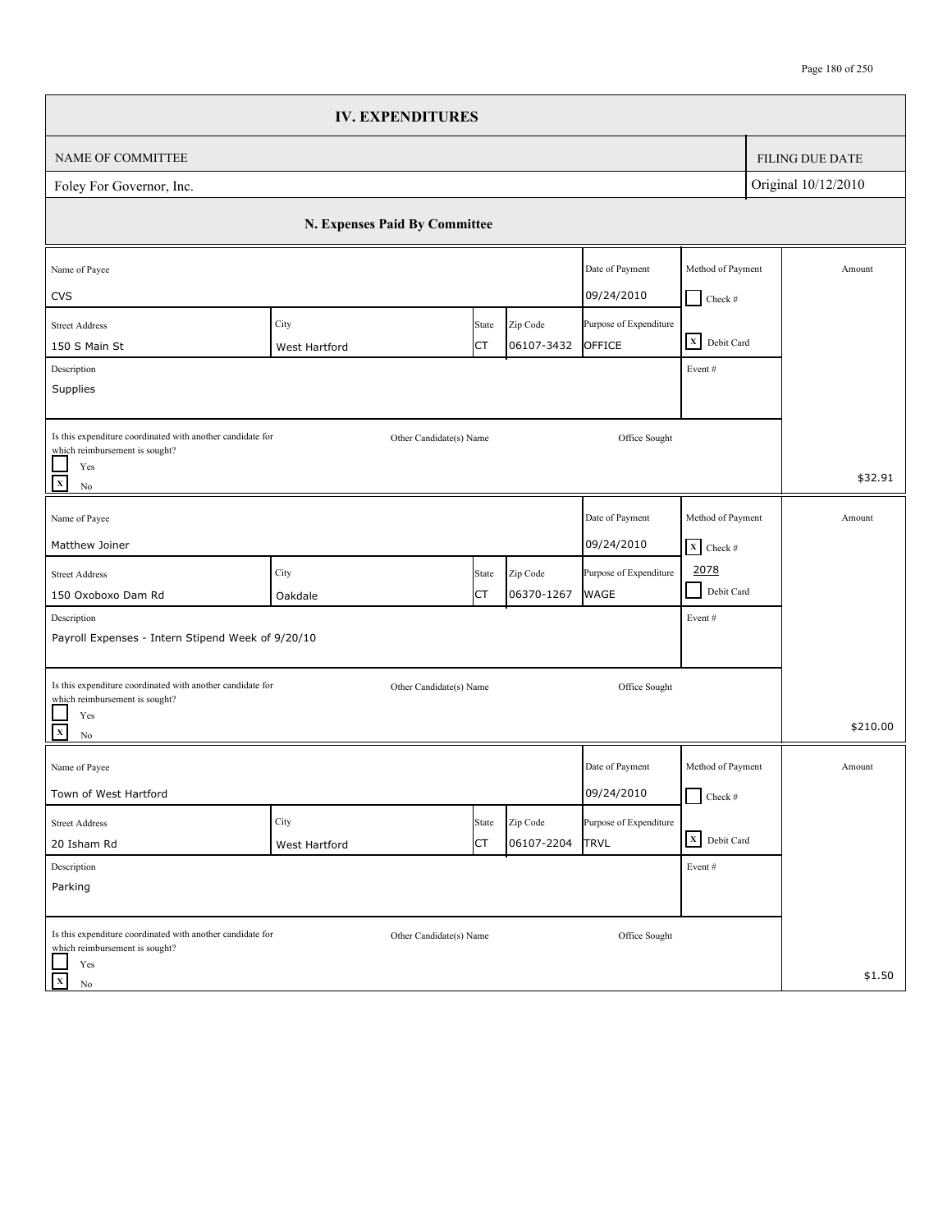|                                                                                                                                | <b>IV. EXPENDITURES</b>       |                         |                        |                                       |                                      |                        |
|--------------------------------------------------------------------------------------------------------------------------------|-------------------------------|-------------------------|------------------------|---------------------------------------|--------------------------------------|------------------------|
| NAME OF COMMITTEE                                                                                                              |                               |                         |                        |                                       |                                      | <b>FILING DUE DATE</b> |
| Foley For Governor, Inc.                                                                                                       |                               |                         |                        |                                       |                                      | Original 10/12/2010    |
|                                                                                                                                | N. Expenses Paid By Committee |                         |                        |                                       |                                      |                        |
| Name of Payee<br><b>CVS</b>                                                                                                    |                               |                         |                        | Date of Payment<br>09/24/2010         | Method of Payment<br>$\blacksquare$  | Amount                 |
| <b>Street Address</b><br>150 S Main St                                                                                         | City<br>West Hartford         | State<br>СT             | Zip Code<br>06107-3432 | Purpose of Expenditure<br>OFFICE      | Check $\#$<br>X Debit Card           |                        |
| Description<br>Supplies                                                                                                        |                               |                         |                        |                                       | Event #                              |                        |
| Is this expenditure coordinated with another candidate for<br>which reimbursement is sought?<br>Yes<br>$\mathbf X$<br>$\rm No$ |                               | Other Candidate(s) Name |                        | Office Sought                         |                                      | \$32.91                |
| Name of Payee                                                                                                                  |                               |                         |                        | Date of Payment                       | Method of Payment                    | Amount                 |
| Matthew Joiner                                                                                                                 |                               |                         |                        | 09/24/2010                            | $X$ Check #                          |                        |
| <b>Street Address</b><br>150 Oxoboxo Dam Rd                                                                                    | City<br>Oakdale               | State<br>СT             | Zip Code<br>06370-1267 | Purpose of Expenditure<br><b>WAGE</b> | 2078<br>$\blacksquare$<br>Debit Card |                        |
| Description<br>Payroll Expenses - Intern Stipend Week of 9/20/10                                                               |                               |                         |                        |                                       | Event#                               |                        |
| Is this expenditure coordinated with another candidate for<br>which reimbursement is sought?<br>Yes<br>$\frac{1}{x}$           |                               | Other Candidate(s) Name |                        | Office Sought                         |                                      | \$210.00               |
| $\rm No$                                                                                                                       |                               |                         |                        |                                       |                                      |                        |
| Name of Payee<br>Town of West Hartford                                                                                         |                               |                         |                        | Date of Payment<br>09/24/2010         | Method of Payment<br>$\Box$ Check #  | Amount                 |
| <b>Street Address</b><br>20 Isham Rd                                                                                           | City<br>West Hartford         | State<br><b>CT</b>      | Zip Code<br>06107-2204 | Purpose of Expenditure<br><b>TRVL</b> | X Debit Card                         |                        |
| Description<br>Parking                                                                                                         |                               |                         |                        |                                       | Event#                               |                        |
| Is this expenditure coordinated with another candidate for<br>which reimbursement is sought?<br>Yes                            |                               | Other Candidate(s) Name |                        | Office Sought                         |                                      |                        |
| $\mathbf X$<br>No                                                                                                              |                               |                         |                        |                                       |                                      | \$1.50                 |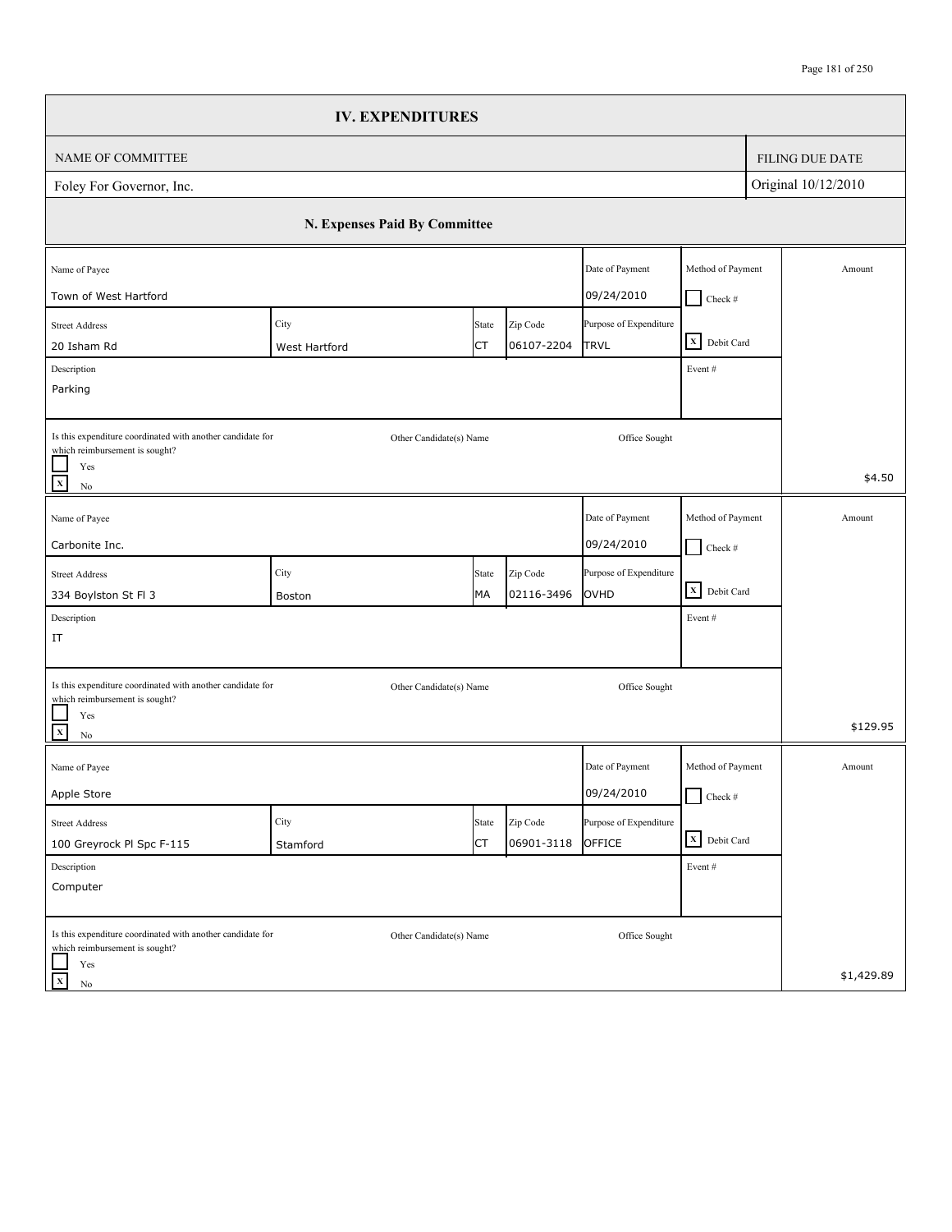|                                                                                              | <b>IV. EXPENDITURES</b>       |       |            |                        |                   |                        |
|----------------------------------------------------------------------------------------------|-------------------------------|-------|------------|------------------------|-------------------|------------------------|
| NAME OF COMMITTEE                                                                            |                               |       |            |                        |                   | <b>FILING DUE DATE</b> |
| Foley For Governor, Inc.                                                                     |                               |       |            |                        |                   | Original 10/12/2010    |
|                                                                                              | N. Expenses Paid By Committee |       |            |                        |                   |                        |
| Name of Payee                                                                                |                               |       |            | Date of Payment        | Method of Payment | Amount                 |
| Town of West Hartford                                                                        |                               |       |            | 09/24/2010             | $\Box$ Check #    |                        |
| <b>Street Address</b>                                                                        | City                          | State | Zip Code   | Purpose of Expenditure |                   |                        |
| 20 Isham Rd                                                                                  | West Hartford                 | СT    | 06107-2204 | <b>TRVL</b>            | X Debit Card      |                        |
| Description<br>Parking                                                                       |                               |       |            |                        | Event#            |                        |
|                                                                                              |                               |       |            |                        |                   |                        |
| Is this expenditure coordinated with another candidate for<br>which reimbursement is sought? | Other Candidate(s) Name       |       |            | Office Sought          |                   |                        |
| Yes<br>$\mathbf x$<br>$\rm No$                                                               |                               |       |            |                        |                   | \$4.50                 |
| Name of Payee                                                                                |                               |       |            | Date of Payment        | Method of Payment | Amount                 |
| Carbonite Inc.                                                                               |                               |       |            | 09/24/2010             | $\Box$ Check #    |                        |
| <b>Street Address</b>                                                                        | City                          | State | Zip Code   | Purpose of Expenditure |                   |                        |
| 334 Boylston St Fl 3                                                                         | Boston                        | MA    | 02116-3496 | OVHD                   | X Debit Card      |                        |
| Description                                                                                  |                               |       |            |                        | Event#            |                        |
| IT                                                                                           |                               |       |            |                        |                   |                        |
|                                                                                              |                               |       |            |                        |                   |                        |
| Is this expenditure coordinated with another candidate for<br>which reimbursement is sought? | Other Candidate(s) Name       |       |            | Office Sought          |                   |                        |
| Yes<br>$\mathbf X$<br>$\rm No$                                                               |                               |       |            |                        |                   | \$129.95               |
| Name of Payee                                                                                |                               |       |            | Date of Payment        | Method of Payment | Amount                 |
| Apple Store                                                                                  |                               |       |            | 09/24/2010             | $\Box$ Check #    |                        |
| <b>Street Address</b>                                                                        | City                          | State | Zip Code   | Purpose of Expenditure |                   |                        |
| 100 Greyrock Pl Spc F-115                                                                    | Stamford                      | СT    | 06901-3118 | OFFICE                 | X Debit Card      |                        |
| Description                                                                                  |                               |       |            |                        | Event#            |                        |
| Computer                                                                                     |                               |       |            |                        |                   |                        |
| Is this expenditure coordinated with another candidate for<br>which reimbursement is sought? | Other Candidate(s) Name       |       |            | Office Sought          |                   |                        |
| Yes<br>$\mathbf X$<br>No                                                                     |                               |       |            |                        |                   | \$1,429.89             |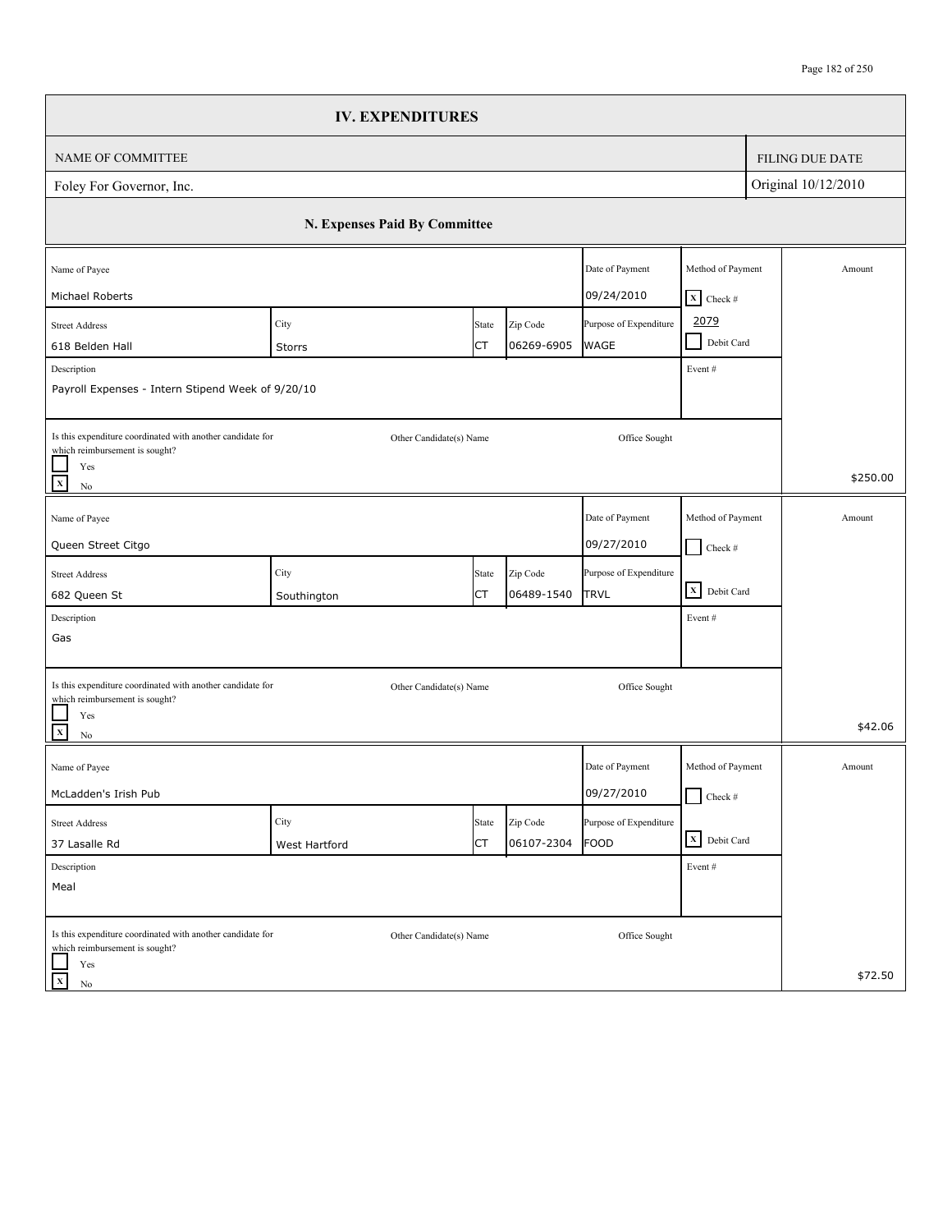|                                                                                                                                | <b>IV. EXPENDITURES</b>       |             |                        |                                       |                                                     |                        |
|--------------------------------------------------------------------------------------------------------------------------------|-------------------------------|-------------|------------------------|---------------------------------------|-----------------------------------------------------|------------------------|
| NAME OF COMMITTEE                                                                                                              |                               |             |                        |                                       |                                                     | <b>FILING DUE DATE</b> |
| Foley For Governor, Inc.                                                                                                       |                               |             |                        |                                       |                                                     | Original 10/12/2010    |
|                                                                                                                                | N. Expenses Paid By Committee |             |                        |                                       |                                                     |                        |
| Name of Payee                                                                                                                  |                               |             |                        | Date of Payment<br>09/24/2010         | Method of Payment                                   | Amount                 |
| Michael Roberts<br><b>Street Address</b><br>618 Belden Hall                                                                    | City<br>Storrs                | State<br>СT | Zip Code<br>06269-6905 | Purpose of Expenditure<br><b>WAGE</b> | $X$ Check #<br>2079<br>Debit Card<br>$\blacksquare$ |                        |
| Description<br>Payroll Expenses - Intern Stipend Week of 9/20/10                                                               |                               |             |                        |                                       | Event #                                             |                        |
| Is this expenditure coordinated with another candidate for<br>which reimbursement is sought?<br>Yes<br>$\mathbf x$<br>$\rm No$ | Other Candidate(s) Name       |             |                        | Office Sought                         |                                                     | \$250.00               |
| Name of Payee                                                                                                                  |                               |             |                        | Date of Payment                       | Method of Payment                                   | Amount                 |
| Queen Street Citgo                                                                                                             |                               |             |                        | 09/27/2010                            | $\Box$ Check #                                      |                        |
| <b>Street Address</b><br>682 Queen St                                                                                          | City                          | State<br>СT | Zip Code<br>06489-1540 | Purpose of Expenditure<br>TRVL        | X Debit Card                                        |                        |
| Description                                                                                                                    | Southington                   |             |                        |                                       | Event#                                              |                        |
| Gas                                                                                                                            |                               |             |                        |                                       |                                                     |                        |
| Is this expenditure coordinated with another candidate for<br>which reimbursement is sought?                                   | Other Candidate(s) Name       |             |                        | Office Sought                         |                                                     |                        |
| Yes<br>$\mathbf{x}$<br>$\rm No$                                                                                                |                               |             |                        |                                       |                                                     | \$42.06                |
| Name of Payee                                                                                                                  |                               |             |                        | Date of Payment                       | Method of Payment                                   | Amount                 |
| McLadden's Irish Pub                                                                                                           |                               |             |                        | 09/27/2010                            | $\Box$ Check #                                      |                        |
| <b>Street Address</b>                                                                                                          | City                          | State<br>СT | Zip Code<br>06107-2304 | Purpose of Expenditure<br>FOOD        | X Debit Card                                        |                        |
| 37 Lasalle Rd<br>Description                                                                                                   | West Hartford                 |             |                        |                                       | Event#                                              |                        |
| Meal                                                                                                                           |                               |             |                        |                                       |                                                     |                        |
| Is this expenditure coordinated with another candidate for<br>which reimbursement is sought?                                   | Other Candidate(s) Name       |             |                        | Office Sought                         |                                                     |                        |
| Yes<br>$\mathbf X$<br>No                                                                                                       |                               |             |                        |                                       |                                                     | \$72.50                |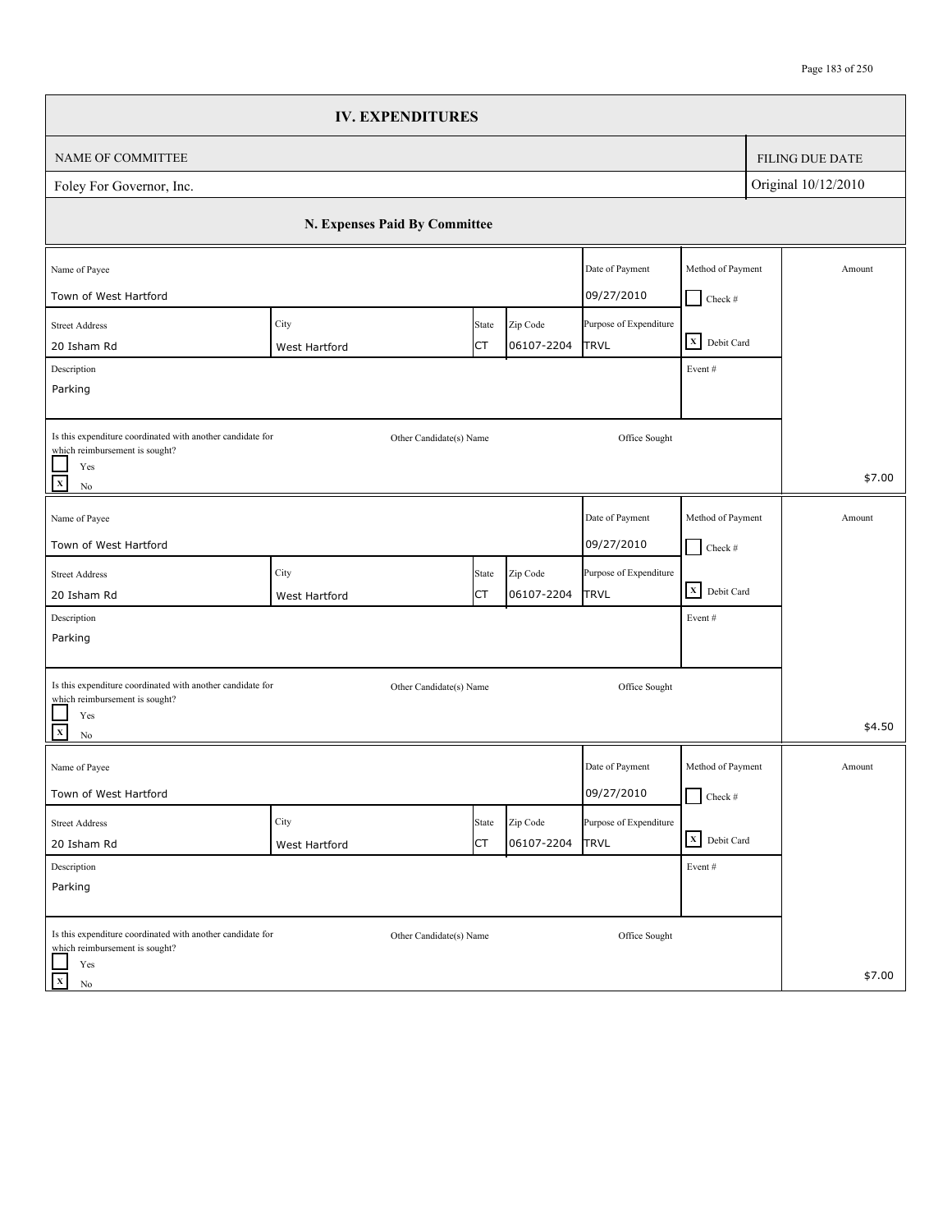|                                                                                              | <b>IV. EXPENDITURES</b>       |             |                        |                                |                   |                        |
|----------------------------------------------------------------------------------------------|-------------------------------|-------------|------------------------|--------------------------------|-------------------|------------------------|
| NAME OF COMMITTEE                                                                            |                               |             |                        |                                |                   | <b>FILING DUE DATE</b> |
| Foley For Governor, Inc.                                                                     |                               |             |                        |                                |                   | Original 10/12/2010    |
|                                                                                              | N. Expenses Paid By Committee |             |                        |                                |                   |                        |
| Name of Payee                                                                                |                               |             |                        | Date of Payment                | Method of Payment | Amount                 |
| Town of West Hartford                                                                        |                               |             |                        | 09/27/2010                     | $\Box$ Check #    |                        |
| <b>Street Address</b>                                                                        | City                          | State       | Zip Code               | Purpose of Expenditure         |                   |                        |
| 20 Isham Rd                                                                                  | West Hartford                 | СT          | 06107-2204             | <b>TRVL</b>                    | X Debit Card      |                        |
| Description                                                                                  |                               |             |                        |                                | Event #           |                        |
| Parking                                                                                      |                               |             |                        |                                |                   |                        |
| Is this expenditure coordinated with another candidate for<br>which reimbursement is sought? | Other Candidate(s) Name       |             |                        | Office Sought                  |                   |                        |
| Yes<br>$\mathbf x$<br>$\rm No$                                                               |                               |             |                        |                                |                   | \$7.00                 |
| Name of Payee                                                                                |                               |             |                        | Date of Payment                | Method of Payment | Amount                 |
| Town of West Hartford                                                                        |                               |             |                        | 09/27/2010                     |                   |                        |
|                                                                                              |                               |             |                        |                                | $\Box$ Check #    |                        |
| <b>Street Address</b>                                                                        | City                          | State<br>СT | Zip Code<br>06107-2204 | Purpose of Expenditure<br>TRVL | X Debit Card      |                        |
| 20 Isham Rd<br>Description                                                                   | West Hartford                 |             |                        |                                | Event#            |                        |
| Parking                                                                                      |                               |             |                        |                                |                   |                        |
|                                                                                              |                               |             |                        |                                |                   |                        |
| Is this expenditure coordinated with another candidate for                                   | Other Candidate(s) Name       |             |                        | Office Sought                  |                   |                        |
| which reimbursement is sought?<br>Yes                                                        |                               |             |                        |                                |                   |                        |
| $\mathbf{x}$<br>$\rm No$                                                                     |                               |             |                        |                                |                   | \$4.50                 |
| Name of Payee                                                                                |                               |             |                        | Date of Payment                | Method of Payment | Amount                 |
| Town of West Hartford                                                                        |                               |             |                        | 09/27/2010                     | $\Box$ Check #    |                        |
| <b>Street Address</b>                                                                        | City                          | State       | Zip Code               | Purpose of Expenditure         |                   |                        |
| 20 Isham Rd                                                                                  | West Hartford                 | СT          | 06107-2204             | <b>TRVL</b>                    | X Debit Card      |                        |
| Description                                                                                  |                               |             |                        |                                | Event#            |                        |
| Parking                                                                                      |                               |             |                        |                                |                   |                        |
|                                                                                              |                               |             |                        |                                |                   |                        |
| Is this expenditure coordinated with another candidate for<br>which reimbursement is sought? | Other Candidate(s) Name       |             |                        | Office Sought                  |                   |                        |
| Yes                                                                                          |                               |             |                        |                                |                   |                        |
| $\mathbf X$<br>No                                                                            |                               |             |                        |                                |                   | \$7.00                 |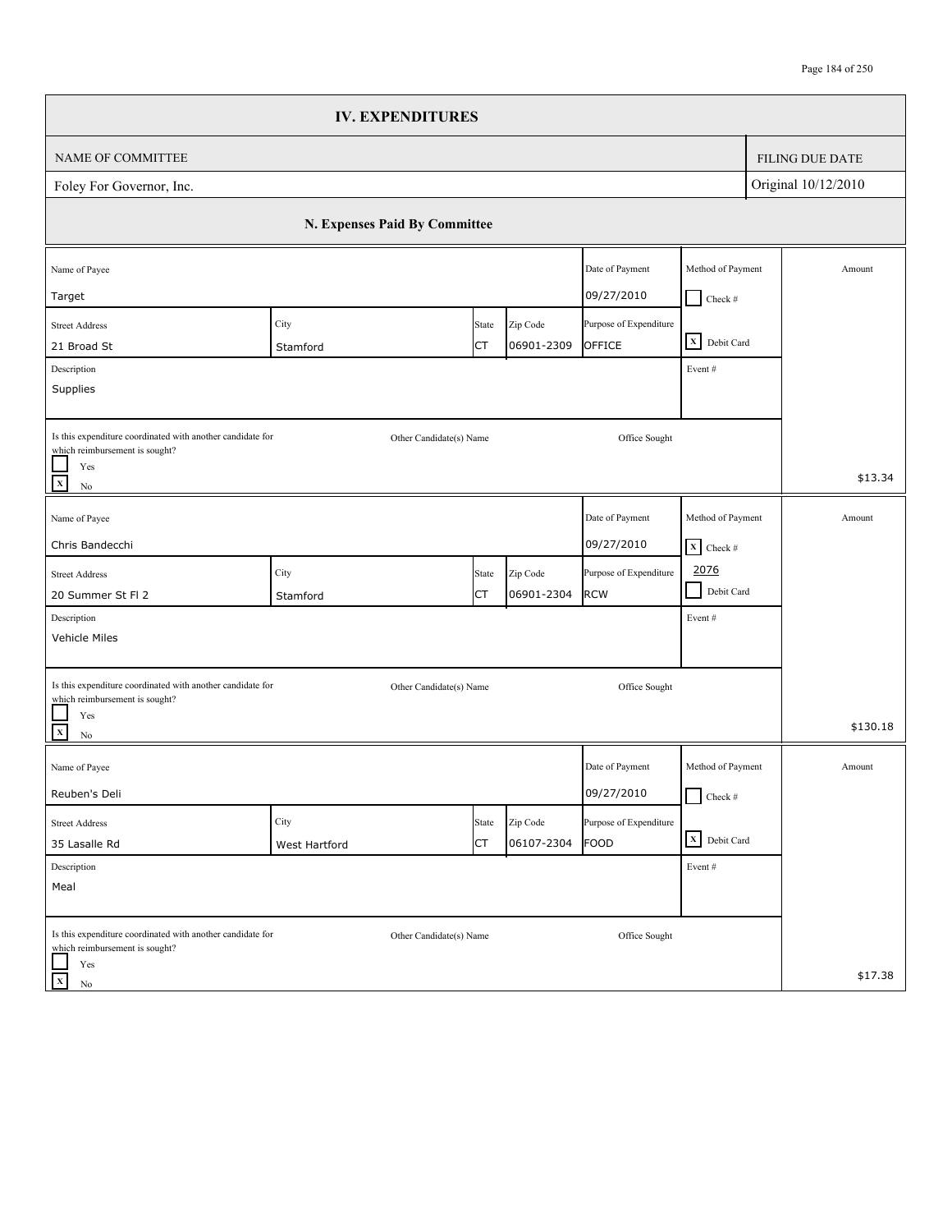|                                                                                              | <b>IV. EXPENDITURES</b>       |           |            |                        |                                 |                        |
|----------------------------------------------------------------------------------------------|-------------------------------|-----------|------------|------------------------|---------------------------------|------------------------|
| NAME OF COMMITTEE                                                                            |                               |           |            |                        |                                 | <b>FILING DUE DATE</b> |
| Foley For Governor, Inc.                                                                     |                               |           |            |                        |                                 | Original 10/12/2010    |
|                                                                                              | N. Expenses Paid By Committee |           |            |                        |                                 |                        |
| Name of Payee                                                                                |                               |           |            | Date of Payment        | Method of Payment               | Amount                 |
| Target                                                                                       |                               |           |            | 09/27/2010             | $Check$ #                       |                        |
| <b>Street Address</b>                                                                        | City                          | State     | Zip Code   | Purpose of Expenditure | X Debit Card                    |                        |
| 21 Broad St                                                                                  | Stamford                      | СT        | 06901-2309 | OFFICE                 |                                 |                        |
| Description<br>Supplies                                                                      |                               |           |            |                        | Event#                          |                        |
|                                                                                              |                               |           |            |                        |                                 |                        |
| Is this expenditure coordinated with another candidate for<br>which reimbursement is sought? | Other Candidate(s) Name       |           |            | Office Sought          |                                 |                        |
| Yes<br>$\overline{x}$<br>$\rm No$                                                            |                               |           |            |                        |                                 | \$13.34                |
| Name of Payee                                                                                |                               |           |            | Date of Payment        | Method of Payment               | Amount                 |
| Chris Bandecchi                                                                              |                               |           |            | 09/27/2010             | $\overline{\mathbf{X}}$ Check # |                        |
| <b>Street Address</b>                                                                        | City                          | State     | Zip Code   | Purpose of Expenditure | 2076                            |                        |
| 20 Summer St Fl 2                                                                            | Stamford                      | <b>CT</b> | 06901-2304 | <b>RCW</b>             | $\blacksquare$<br>Debit Card    |                        |
| Description                                                                                  |                               |           |            |                        | Event#                          |                        |
| Vehicle Miles                                                                                |                               |           |            |                        |                                 |                        |
| Is this expenditure coordinated with another candidate for                                   | Other Candidate(s) Name       |           |            | Office Sought          |                                 |                        |
| which reimbursement is sought?                                                               |                               |           |            |                        |                                 |                        |
| Yes<br>$\overline{\mathbf{x}}$<br>$\rm No$                                                   |                               |           |            |                        |                                 | \$130.18               |
| Name of Payee                                                                                |                               |           |            | Date of Payment        | Method of Payment               | Amount                 |
| Reuben's Deli                                                                                |                               |           |            | 09/27/2010             | $\Box$ Check #                  |                        |
| <b>Street Address</b>                                                                        | City                          | State     | Zip Code   | Purpose of Expenditure |                                 |                        |
| 35 Lasalle Rd                                                                                | West Hartford                 | <b>CT</b> | 06107-2304 | <b>FOOD</b>            | X Debit Card                    |                        |
| Description                                                                                  |                               |           |            |                        | Event#                          |                        |
| Meal                                                                                         |                               |           |            |                        |                                 |                        |
| Is this expenditure coordinated with another candidate for<br>which reimbursement is sought? | Other Candidate(s) Name       |           |            | Office Sought          |                                 |                        |
| Yes<br>$\mathbf X$<br>No                                                                     |                               |           |            |                        |                                 | \$17.38                |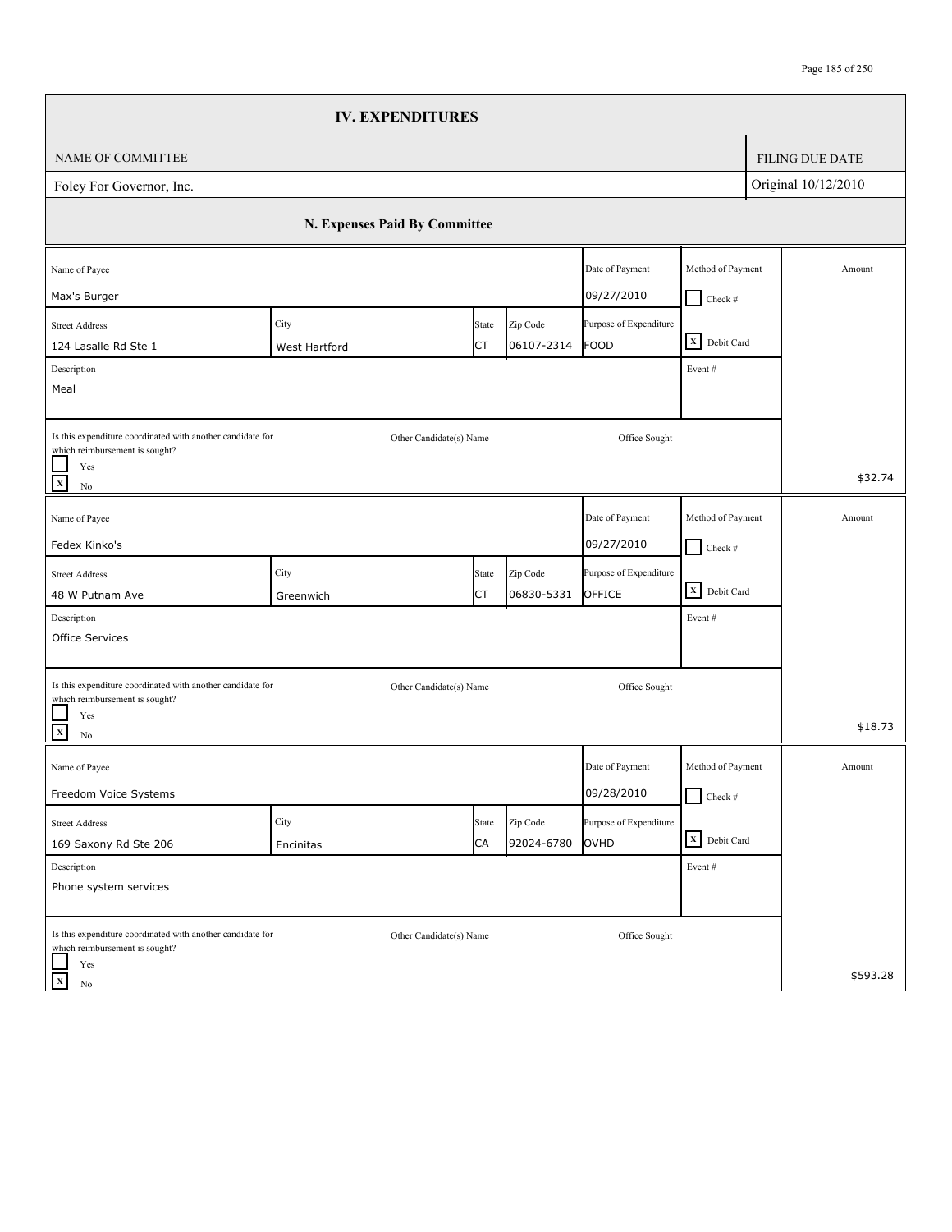|                                                                                              | <b>IV. EXPENDITURES</b>       |                         |            |                        |                                    |                        |
|----------------------------------------------------------------------------------------------|-------------------------------|-------------------------|------------|------------------------|------------------------------------|------------------------|
| NAME OF COMMITTEE                                                                            |                               |                         |            |                        |                                    | <b>FILING DUE DATE</b> |
| Foley For Governor, Inc.                                                                     |                               |                         |            |                        |                                    | Original 10/12/2010    |
|                                                                                              | N. Expenses Paid By Committee |                         |            |                        |                                    |                        |
| Name of Payee                                                                                |                               |                         |            | Date of Payment        | Method of Payment                  | Amount                 |
| Max's Burger                                                                                 |                               |                         |            | 09/27/2010             | $Check$ #                          |                        |
| <b>Street Address</b>                                                                        | City                          | State                   | Zip Code   | Purpose of Expenditure | X Debit Card                       |                        |
| 124 Lasalle Rd Ste 1                                                                         | West Hartford                 | СT                      | 06107-2314 | <b>FOOD</b>            |                                    |                        |
| Description<br>Meal                                                                          |                               |                         |            |                        | Event#                             |                        |
|                                                                                              |                               |                         |            |                        |                                    |                        |
| Is this expenditure coordinated with another candidate for<br>which reimbursement is sought? |                               | Other Candidate(s) Name |            | Office Sought          |                                    |                        |
| Yes<br>$\overline{x}$<br>$\rm No$                                                            |                               |                         |            |                        |                                    | \$32.74                |
| Name of Payee                                                                                |                               |                         |            | Date of Payment        | Method of Payment                  | Amount                 |
| Fedex Kinko's                                                                                |                               |                         |            | 09/27/2010             | $\Box$ Check #                     |                        |
| <b>Street Address</b>                                                                        | City                          | State                   | Zip Code   | Purpose of Expenditure |                                    |                        |
| 48 W Putnam Ave                                                                              | Greenwich                     | СT                      | 06830-5331 | OFFICE                 | $\overline{\mathbf{X}}$ Debit Card |                        |
| Description                                                                                  |                               |                         |            |                        | Event#                             |                        |
| Office Services                                                                              |                               |                         |            |                        |                                    |                        |
| Is this expenditure coordinated with another candidate for<br>which reimbursement is sought? |                               | Other Candidate(s) Name |            | Office Sought          |                                    |                        |
| Yes<br>$\overline{\mathbf{x}}$<br>$\rm No$                                                   |                               |                         |            |                        |                                    | \$18.73                |
| Name of Payee                                                                                |                               |                         |            | Date of Payment        | Method of Payment                  | Amount                 |
| Freedom Voice Systems                                                                        |                               |                         |            | 09/28/2010             | $\Box$ Check #                     |                        |
| <b>Street Address</b>                                                                        | City                          | State                   | Zip Code   | Purpose of Expenditure |                                    |                        |
| 169 Saxony Rd Ste 206                                                                        | Encinitas                     | CA                      | 92024-6780 | OVHD                   | X Debit Card                       |                        |
| Description                                                                                  |                               |                         |            |                        | Event#                             |                        |
| Phone system services                                                                        |                               |                         |            |                        |                                    |                        |
| Is this expenditure coordinated with another candidate for<br>which reimbursement is sought? |                               | Other Candidate(s) Name |            | Office Sought          |                                    |                        |
| Yes<br>$\mathbf X$<br>No                                                                     |                               |                         |            |                        |                                    | \$593.28               |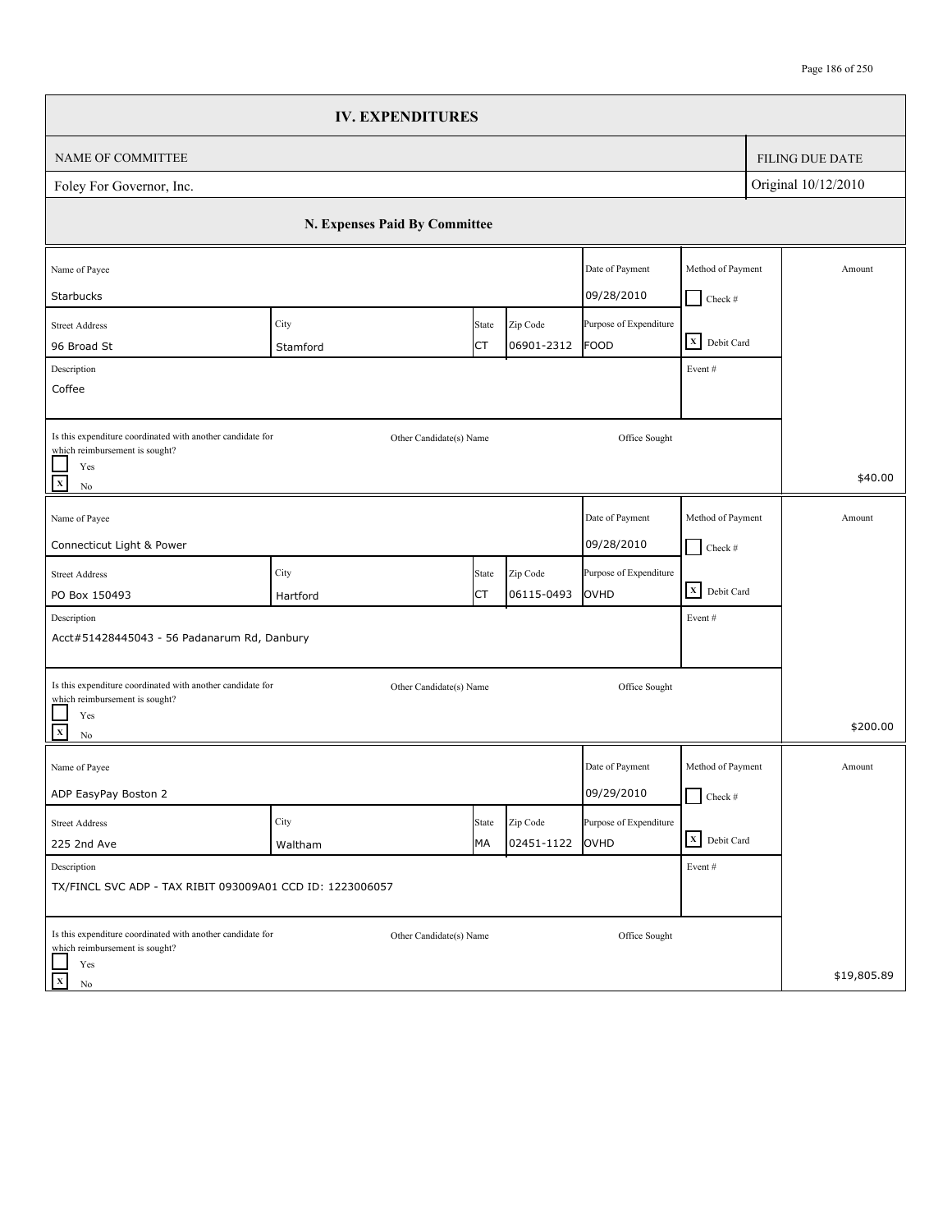|                                                                                              | <b>IV. EXPENDITURES</b>       |             |                        |                                |                                    |                        |
|----------------------------------------------------------------------------------------------|-------------------------------|-------------|------------------------|--------------------------------|------------------------------------|------------------------|
| NAME OF COMMITTEE                                                                            |                               |             |                        |                                |                                    | <b>FILING DUE DATE</b> |
| Foley For Governor, Inc.                                                                     |                               |             |                        |                                |                                    | Original 10/12/2010    |
|                                                                                              | N. Expenses Paid By Committee |             |                        |                                |                                    |                        |
| Name of Payee                                                                                |                               |             |                        | Date of Payment                | Method of Payment                  | Amount                 |
| Starbucks                                                                                    |                               |             |                        | 09/28/2010                     | $\Box$ Check #                     |                        |
| <b>Street Address</b>                                                                        | City                          | State       | Zip Code               | Purpose of Expenditure         | X Debit Card                       |                        |
| 96 Broad St                                                                                  | Stamford                      | СT          | 06901-2312             | <b>FOOD</b>                    |                                    |                        |
| Description<br>Coffee                                                                        |                               |             |                        |                                | Event#                             |                        |
|                                                                                              |                               |             |                        |                                |                                    |                        |
| Is this expenditure coordinated with another candidate for<br>which reimbursement is sought? | Other Candidate(s) Name       |             |                        | Office Sought                  |                                    |                        |
| Yes<br>$\overline{\mathbf{x}}$<br>$\rm No$                                                   |                               |             |                        |                                |                                    | \$40.00                |
| Name of Payee                                                                                |                               |             |                        | Date of Payment                | Method of Payment                  | Amount                 |
| Connecticut Light & Power                                                                    |                               |             |                        | 09/28/2010                     | $\Box$ Check #                     |                        |
|                                                                                              |                               |             |                        |                                |                                    |                        |
| <b>Street Address</b>                                                                        | City                          | State<br>СT | Zip Code<br>06115-0493 | Purpose of Expenditure<br>OVHD | $\overline{\mathbf{X}}$ Debit Card |                        |
| PO Box 150493<br>Description                                                                 | Hartford                      |             |                        |                                | Event#                             |                        |
| Acct#51428445043 - 56 Padanarum Rd, Danbury                                                  |                               |             |                        |                                |                                    |                        |
|                                                                                              |                               |             |                        |                                |                                    |                        |
| Is this expenditure coordinated with another candidate for                                   | Other Candidate(s) Name       |             |                        | Office Sought                  |                                    |                        |
| which reimbursement is sought?                                                               |                               |             |                        |                                |                                    |                        |
| Yes<br>$\overline{\mathbf{x}}$<br>$\rm No$                                                   |                               |             |                        |                                |                                    | \$200.00               |
| Name of Payee                                                                                |                               |             |                        | Date of Payment                | Method of Payment                  | Amount                 |
| ADP EasyPay Boston 2                                                                         |                               |             |                        | 09/29/2010                     | $\Box$ Check #                     |                        |
| <b>Street Address</b>                                                                        | City                          | State       | Zip Code               | Purpose of Expenditure         |                                    |                        |
| 225 2nd Ave                                                                                  | Waltham                       | МA          | 02451-1122             | OVHD                           | X Debit Card                       |                        |
| Description                                                                                  |                               |             |                        |                                | Event#                             |                        |
| TX/FINCL SVC ADP - TAX RIBIT 093009A01 CCD ID: 1223006057                                    |                               |             |                        |                                |                                    |                        |
| Is this expenditure coordinated with another candidate for<br>which reimbursement is sought? | Other Candidate(s) Name       |             |                        | Office Sought                  |                                    |                        |
| Yes<br>$\mathbf X$<br>No                                                                     |                               |             |                        |                                |                                    | \$19,805.89            |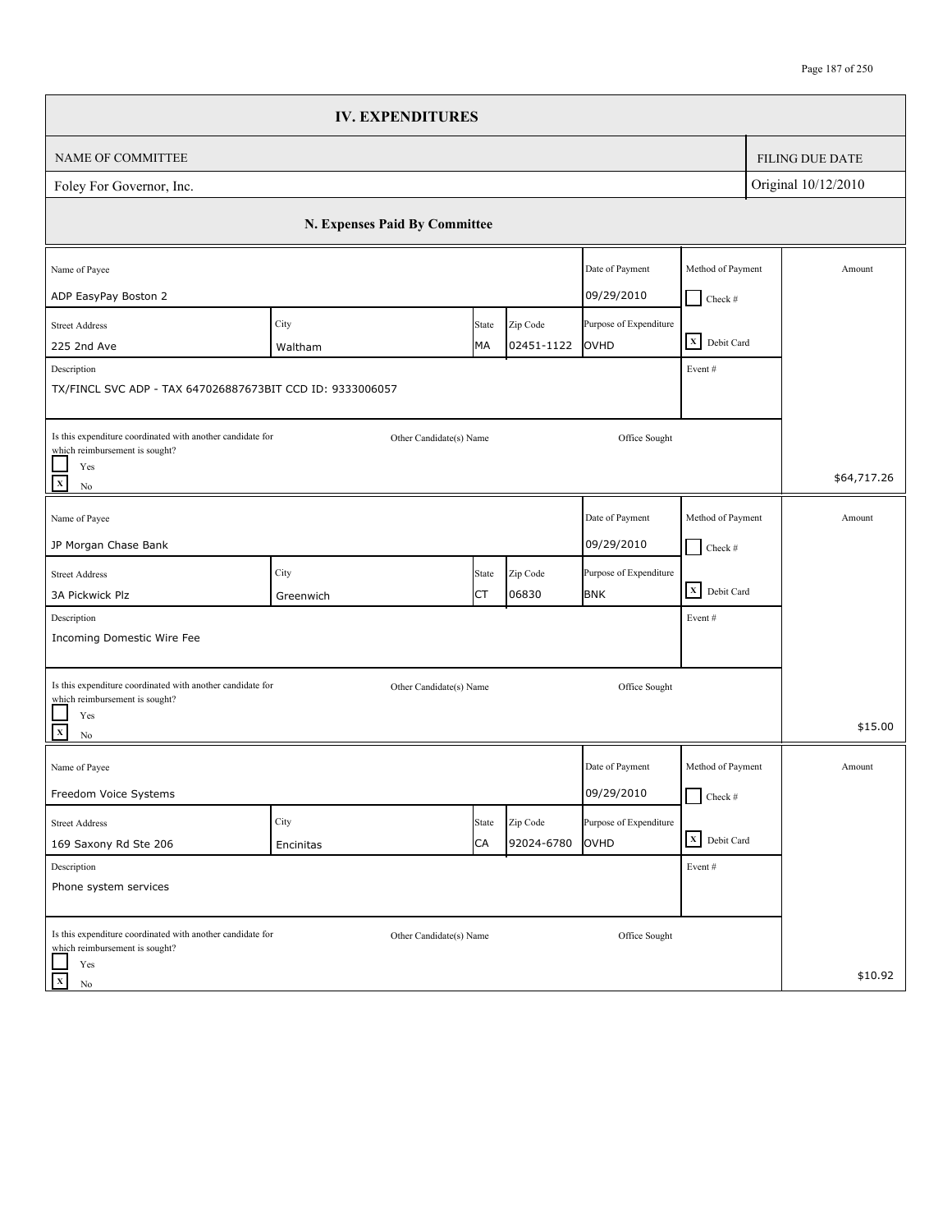|                                                                                              | <b>IV. EXPENDITURES</b>       |             |                        |                                |                   |                        |
|----------------------------------------------------------------------------------------------|-------------------------------|-------------|------------------------|--------------------------------|-------------------|------------------------|
| <b>NAME OF COMMITTEE</b>                                                                     |                               |             |                        |                                |                   | <b>FILING DUE DATE</b> |
| Foley For Governor, Inc.                                                                     |                               |             |                        |                                |                   | Original 10/12/2010    |
|                                                                                              | N. Expenses Paid By Committee |             |                        |                                |                   |                        |
| Name of Payee                                                                                |                               |             |                        | Date of Payment                | Method of Payment | Amount                 |
| ADP EasyPay Boston 2                                                                         |                               |             |                        | 09/29/2010                     | $Check$ #         |                        |
| <b>Street Address</b><br>225 2nd Ave                                                         | City<br>Waltham               | State<br>МA | Zip Code<br>02451-1122 | Purpose of Expenditure<br>OVHD | X Debit Card      |                        |
| Description                                                                                  |                               |             |                        |                                | Event#            |                        |
| TX/FINCL SVC ADP - TAX 647026887673BIT CCD ID: 9333006057                                    |                               |             |                        |                                |                   |                        |
| Is this expenditure coordinated with another candidate for<br>which reimbursement is sought? | Other Candidate(s) Name       |             |                        | Office Sought                  |                   |                        |
| Yes<br>$\mathbf{x}$<br>No                                                                    |                               |             |                        |                                |                   | \$64,717.26            |
| Name of Payee                                                                                |                               |             |                        | Date of Payment                | Method of Payment | Amount                 |
| JP Morgan Chase Bank                                                                         |                               |             |                        | 09/29/2010                     | $\Box$ Check #    |                        |
| <b>Street Address</b>                                                                        | City                          | State       | Zip Code               | Purpose of Expenditure         |                   |                        |
| 3A Pickwick Plz                                                                              | Greenwich                     | СT          | 06830                  | <b>BNK</b>                     | X Debit Card      |                        |
| Description                                                                                  |                               |             |                        |                                | Event#            |                        |
| Incoming Domestic Wire Fee                                                                   |                               |             |                        |                                |                   |                        |
| Is this expenditure coordinated with another candidate for<br>which reimbursement is sought? | Other Candidate(s) Name       |             |                        | Office Sought                  |                   |                        |
| Yes<br>$\mathbf{x}$<br>No                                                                    |                               |             |                        |                                |                   | \$15.00                |
| Name of Payee                                                                                |                               |             |                        | Date of Payment                | Method of Payment | Amount                 |
| Freedom Voice Systems                                                                        |                               |             |                        | 09/29/2010                     | $\Box$ Check #    |                        |
| <b>Street Address</b>                                                                        | City                          | State       | Zip Code               | Purpose of Expenditure         |                   |                        |
| 169 Saxony Rd Ste 206                                                                        | Encinitas                     | CA          | 92024-6780             | OVHD                           | X Debit Card      |                        |
| Description<br>Phone system services                                                         |                               |             |                        |                                | Event #           |                        |
| Is this expenditure coordinated with another candidate for<br>which reimbursement is sought? | Other Candidate(s) Name       |             |                        | Office Sought                  |                   |                        |
| Yes<br>$\mathbf x$<br>No                                                                     |                               |             |                        |                                |                   | \$10.92                |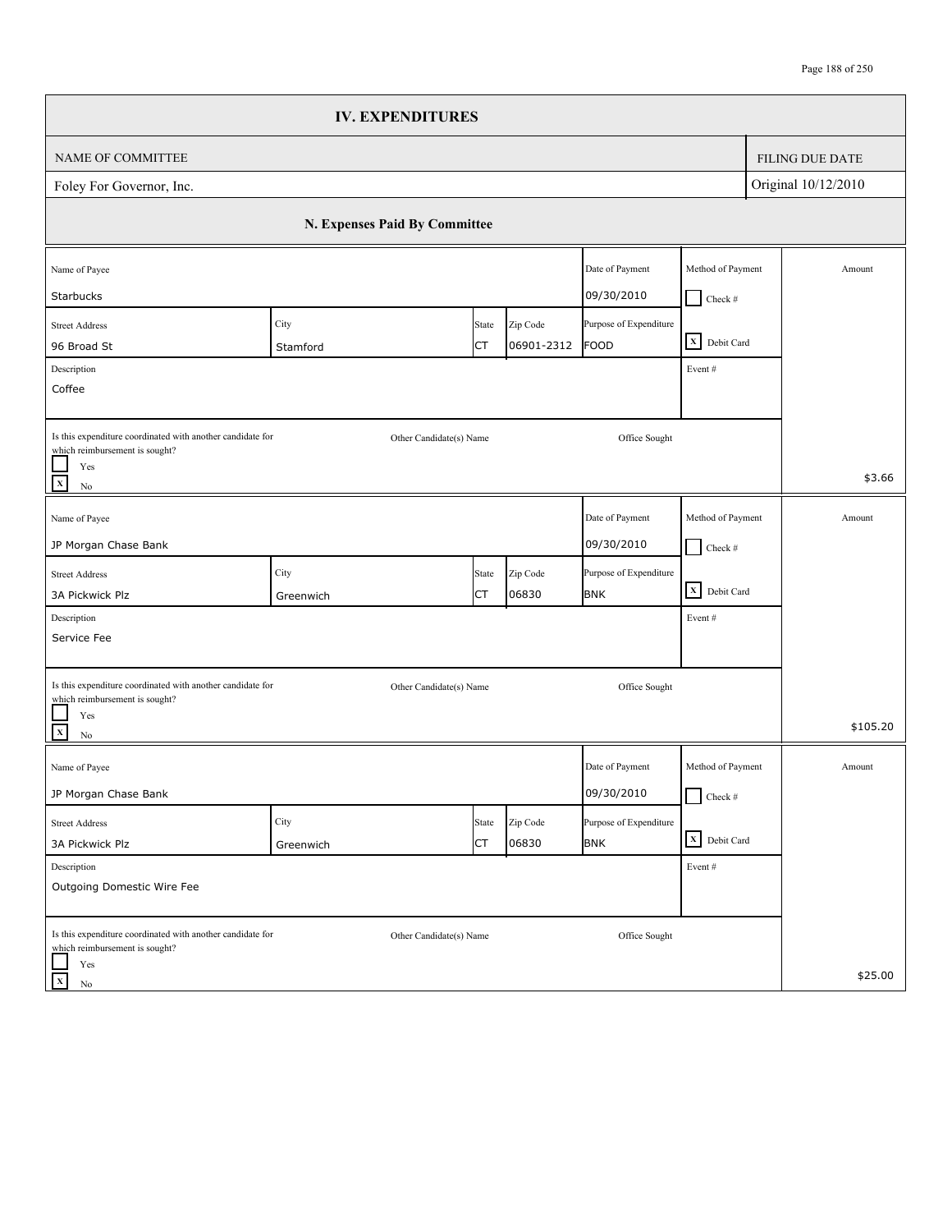|                                                                                              | <b>IV. EXPENDITURES</b>       |             |                        |                                       |                                                                    |                        |
|----------------------------------------------------------------------------------------------|-------------------------------|-------------|------------------------|---------------------------------------|--------------------------------------------------------------------|------------------------|
| NAME OF COMMITTEE                                                                            |                               |             |                        |                                       |                                                                    | <b>FILING DUE DATE</b> |
| Foley For Governor, Inc.                                                                     |                               |             |                        |                                       |                                                                    | Original 10/12/2010    |
|                                                                                              | N. Expenses Paid By Committee |             |                        |                                       |                                                                    |                        |
| Name of Payee                                                                                |                               |             |                        | Date of Payment                       | Method of Payment                                                  | Amount                 |
| Starbucks                                                                                    |                               |             |                        | 09/30/2010                            | $Check$ #                                                          |                        |
| <b>Street Address</b>                                                                        | City                          | State<br>СT | Zip Code<br>06901-2312 | Purpose of Expenditure<br><b>FOOD</b> | $\begin{array}{ c c }\n\hline\nX & \text{Debit Card}\n\end{array}$ |                        |
| 96 Broad St<br>Description                                                                   | Stamford                      |             |                        |                                       | Event#                                                             |                        |
| Coffee                                                                                       |                               |             |                        |                                       |                                                                    |                        |
|                                                                                              |                               |             |                        |                                       |                                                                    |                        |
| Is this expenditure coordinated with another candidate for<br>which reimbursement is sought? | Other Candidate(s) Name       |             |                        | Office Sought                         |                                                                    |                        |
| Yes<br>$\mathbf x$<br>$\rm No$                                                               |                               |             |                        |                                       |                                                                    | \$3.66                 |
| Name of Payee                                                                                |                               |             |                        | Date of Payment                       | Method of Payment                                                  | Amount                 |
| JP Morgan Chase Bank                                                                         |                               |             |                        | 09/30/2010                            | $\Box$ Check #                                                     |                        |
| <b>Street Address</b>                                                                        | City                          | State       | Zip Code               | Purpose of Expenditure                |                                                                    |                        |
| 3A Pickwick Plz                                                                              | Greenwich                     | СT          | 06830                  | <b>BNK</b>                            | $\overline{\mathbf{X}}$ Debit Card                                 |                        |
| Description                                                                                  |                               |             |                        |                                       | Event#                                                             |                        |
| Service Fee                                                                                  |                               |             |                        |                                       |                                                                    |                        |
| Is this expenditure coordinated with another candidate for<br>which reimbursement is sought? | Other Candidate(s) Name       |             |                        | Office Sought                         |                                                                    |                        |
| Yes<br>$\frac{1}{x}$<br>$\rm No$                                                             |                               |             |                        |                                       |                                                                    | \$105.20               |
| Name of Payee                                                                                |                               |             |                        | Date of Payment                       | Method of Payment                                                  | Amount                 |
| JP Morgan Chase Bank                                                                         |                               |             |                        | 09/30/2010                            | $\Box$ Check #                                                     |                        |
| <b>Street Address</b>                                                                        | City                          | State       | Zip Code               | Purpose of Expenditure                |                                                                    |                        |
| 3A Pickwick Plz                                                                              | Greenwich                     | <b>CT</b>   | 06830                  | <b>BNK</b>                            | X Debit Card                                                       |                        |
| Description                                                                                  |                               |             |                        |                                       | Event#                                                             |                        |
| Outgoing Domestic Wire Fee                                                                   |                               |             |                        |                                       |                                                                    |                        |
| Is this expenditure coordinated with another candidate for<br>which reimbursement is sought? | Other Candidate(s) Name       |             |                        | Office Sought                         |                                                                    |                        |
| Yes<br>$\mathbf{x}$<br>No                                                                    |                               |             |                        |                                       |                                                                    | \$25.00                |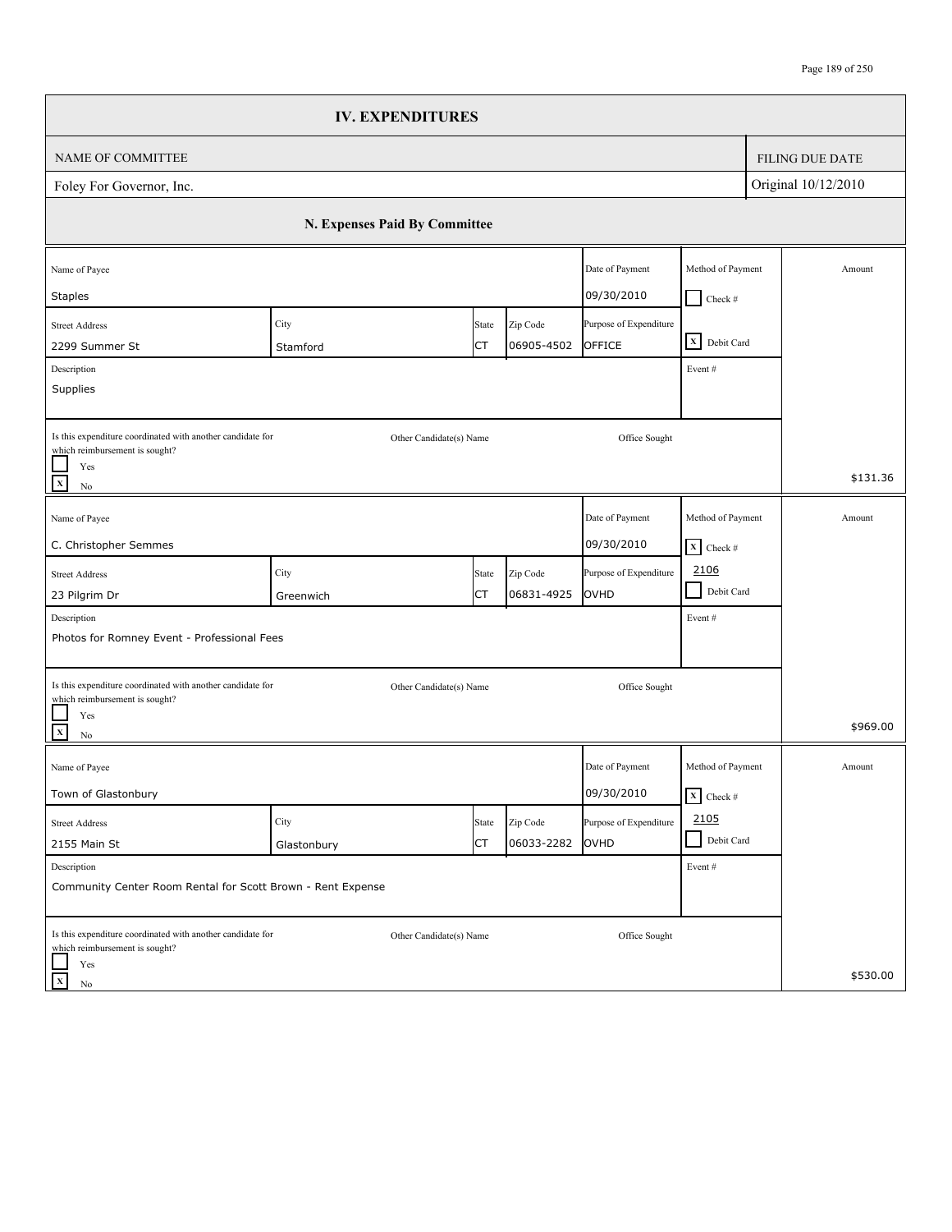|                                                                                                                          | <b>IV. EXPENDITURES</b>       |                         |                        |                                       |                                           |                        |
|--------------------------------------------------------------------------------------------------------------------------|-------------------------------|-------------------------|------------------------|---------------------------------------|-------------------------------------------|------------------------|
| NAME OF COMMITTEE                                                                                                        |                               |                         |                        |                                       |                                           | <b>FILING DUE DATE</b> |
| Foley For Governor, Inc.                                                                                                 |                               |                         |                        |                                       |                                           | Original 10/12/2010    |
|                                                                                                                          | N. Expenses Paid By Committee |                         |                        |                                       |                                           |                        |
| Name of Payee                                                                                                            |                               |                         |                        | Date of Payment<br>09/30/2010         | Method of Payment                         | Amount                 |
| <b>Staples</b><br><b>Street Address</b><br>2299 Summer St                                                                | City<br>Stamford              | State<br>СT             | Zip Code<br>06905-4502 | Purpose of Expenditure<br>OFFICE      | $\Box$ Check #<br>X Debit Card            |                        |
| Description<br>Supplies                                                                                                  |                               |                         |                        |                                       | Event#                                    |                        |
| Is this expenditure coordinated with another candidate for<br>which reimbursement is sought?<br>Yes<br>$\mathbf x$<br>No |                               | Other Candidate(s) Name |                        | Office Sought                         |                                           | \$131.36               |
| Name of Payee<br>C. Christopher Semmes                                                                                   |                               |                         |                        | Date of Payment<br>09/30/2010         | Method of Payment<br>$X$ Check #          | Amount                 |
| <b>Street Address</b><br>23 Pilgrim Dr                                                                                   | City<br>Greenwich             | State<br>СT             | Zip Code<br>06831-4925 | Purpose of Expenditure<br>OVHD        | 2106<br>$\blacksquare$<br>Debit Card      |                        |
| Description<br>Photos for Romney Event - Professional Fees                                                               |                               |                         |                        |                                       | Event#                                    |                        |
| Is this expenditure coordinated with another candidate for<br>which reimbursement is sought?<br>Yes<br>$\mathbf x$       |                               | Other Candidate(s) Name |                        | Office Sought                         |                                           | \$969.00               |
| No<br>Name of Payee<br>Town of Glastonbury                                                                               |                               |                         |                        | Date of Payment<br>09/30/2010         | Method of Payment<br>$\mathbf{X}$ Check # | Amount                 |
| <b>Street Address</b><br>2155 Main St                                                                                    | City<br>Glastonbury           | State<br><b>CT</b>      | Zip Code<br>06033-2282 | Purpose of Expenditure<br><b>OVHD</b> | 2105<br>Debit Card                        |                        |
| Description<br>Community Center Room Rental for Scott Brown - Rent Expense                                               |                               |                         |                        |                                       | Event#                                    |                        |
| Is this expenditure coordinated with another candidate for<br>which reimbursement is sought?<br>Yes                      |                               | Other Candidate(s) Name |                        | Office Sought                         |                                           |                        |
| $\boldsymbol{\mathrm{x}}$<br>No                                                                                          |                               |                         |                        |                                       |                                           | \$530.00               |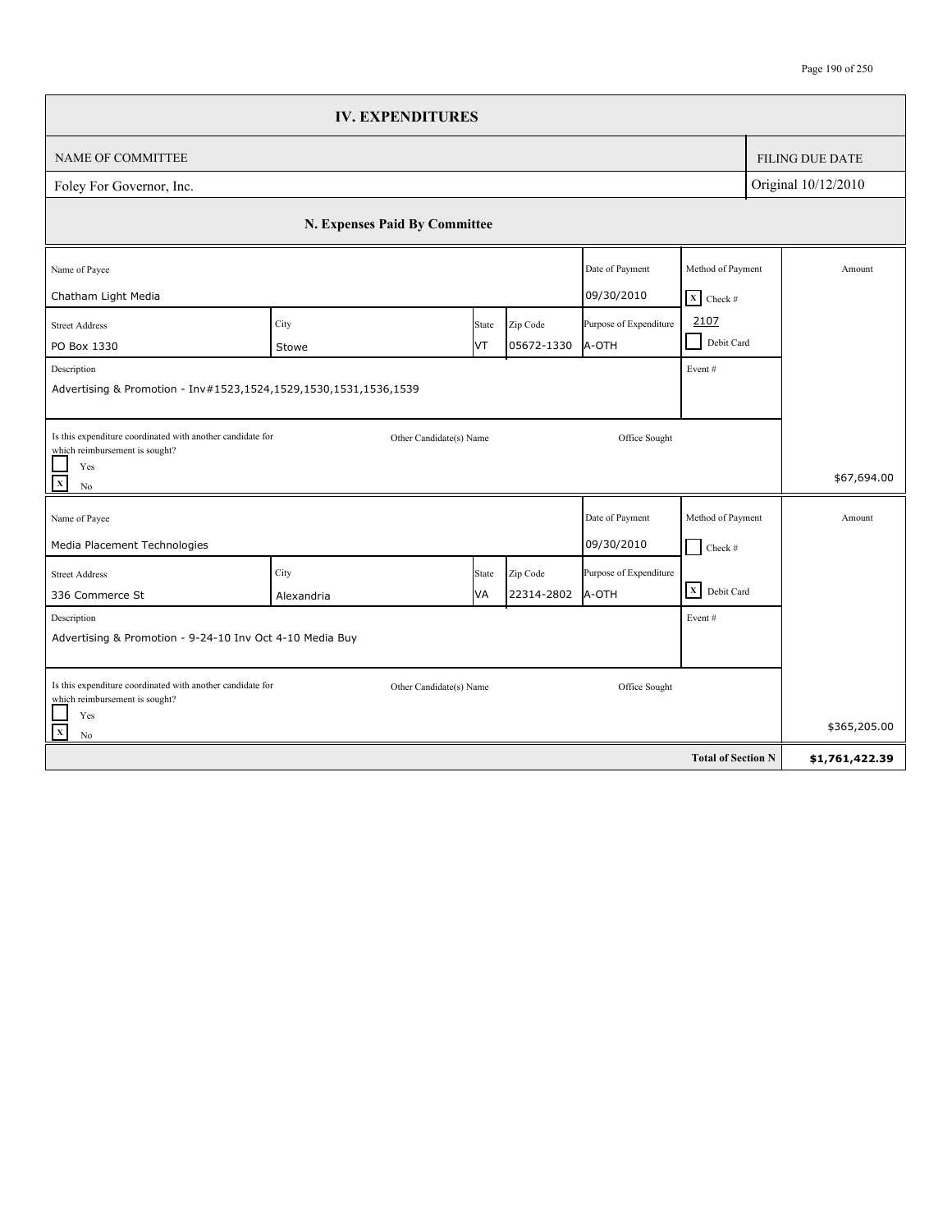|                                                                                                                      | <b>IV. EXPENDITURES</b>       |       |            |                        |                            |                     |                        |
|----------------------------------------------------------------------------------------------------------------------|-------------------------------|-------|------------|------------------------|----------------------------|---------------------|------------------------|
| <b>NAME OF COMMITTEE</b>                                                                                             |                               |       |            |                        |                            |                     | <b>FILING DUE DATE</b> |
| Foley For Governor, Inc.                                                                                             |                               |       |            |                        |                            | Original 10/12/2010 |                        |
|                                                                                                                      | N. Expenses Paid By Committee |       |            |                        |                            |                     |                        |
| Name of Payee                                                                                                        |                               |       |            | Date of Payment        | Method of Payment          |                     | Amount                 |
| Chatham Light Media                                                                                                  |                               |       |            | 09/30/2010             | $X$ Check #                |                     |                        |
| <b>Street Address</b>                                                                                                | City                          | State | Zip Code   | Purpose of Expenditure | 2107                       |                     |                        |
| PO Box 1330                                                                                                          | Stowe                         | IVT.  | 05672-1330 | A-OTH                  | $\mathsf{L}$<br>Debit Card |                     |                        |
| Description                                                                                                          |                               |       |            |                        | Event#                     |                     |                        |
| Advertising & Promotion - Inv#1523,1524,1529,1530,1531,1536,1539                                                     |                               |       |            |                        |                            |                     |                        |
| Is this expenditure coordinated with another candidate for<br>which reimbursement is sought?<br>$\frac{1}{x}$<br>Yes | Other Candidate(s) Name       |       |            | Office Sought          |                            |                     | \$67,694.00            |
| No                                                                                                                   |                               |       |            |                        |                            |                     |                        |
| Name of Payee                                                                                                        |                               |       |            | Date of Payment        | Method of Payment          |                     | Amount                 |
| Media Placement Technologies                                                                                         |                               |       |            | 09/30/2010             | $Check$ #                  |                     |                        |
| <b>Street Address</b>                                                                                                | City                          | State | Zip Code   | Purpose of Expenditure |                            |                     |                        |
| 336 Commerce St                                                                                                      | Alexandria                    | VA    | 22314-2802 | A-OTH                  | X Debit Card               |                     |                        |
| Description                                                                                                          |                               |       |            |                        | Event#                     |                     |                        |
| Advertising & Promotion - 9-24-10 Inv Oct 4-10 Media Buy                                                             |                               |       |            |                        |                            |                     |                        |
|                                                                                                                      |                               |       |            |                        |                            |                     |                        |
| Is this expenditure coordinated with another candidate for<br>which reimbursement is sought?                         | Other Candidate(s) Name       |       |            | Office Sought          |                            |                     |                        |
| Yes                                                                                                                  |                               |       |            |                        |                            |                     |                        |
| $\mathbf{x}$<br>$\rm No$                                                                                             |                               |       |            |                        |                            |                     | \$365,205.00           |
|                                                                                                                      |                               |       |            |                        | <b>Total of Section N</b>  |                     | \$1,761,422.39         |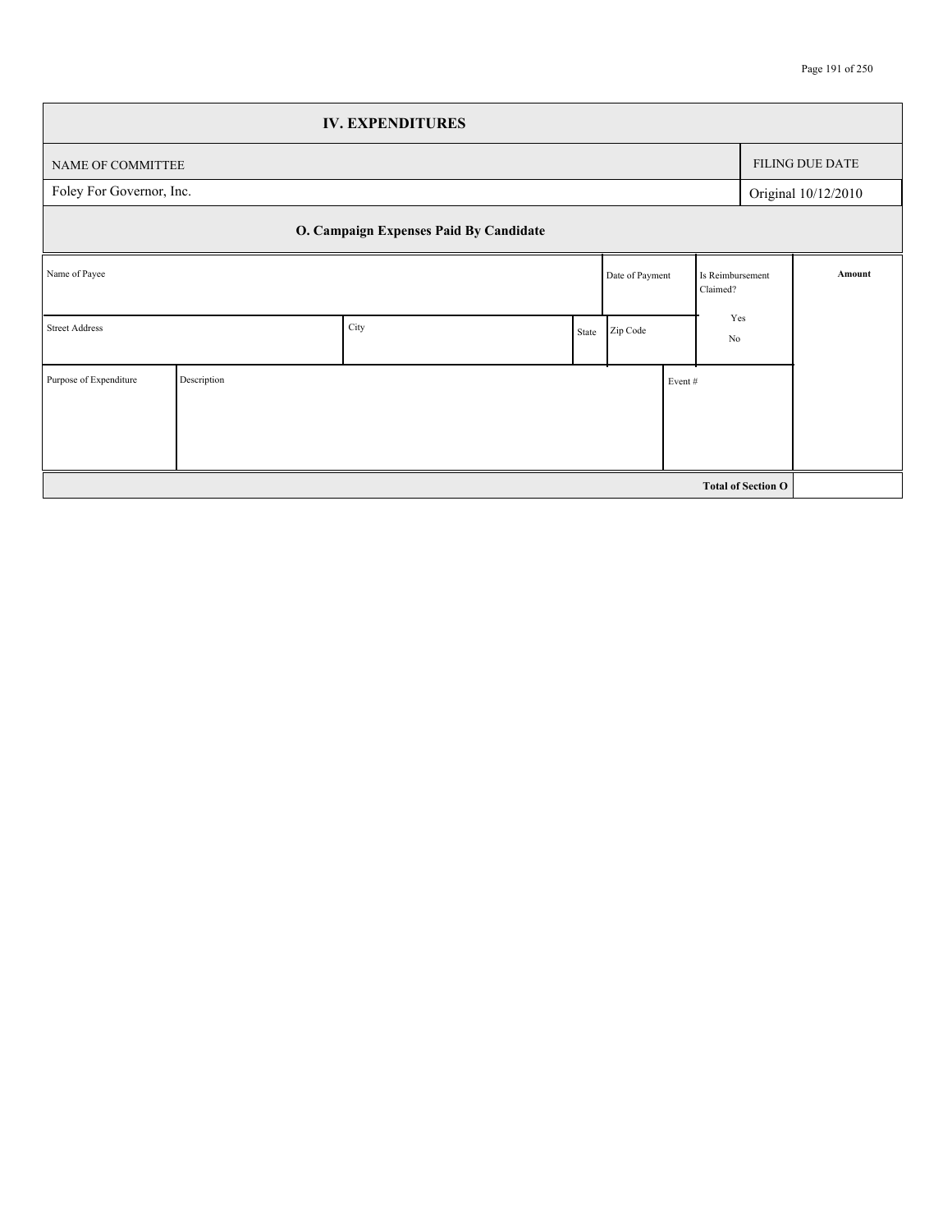|                          |             | <b>IV. EXPENDITURES</b>                |       |                 |        |                              |                           |                        |
|--------------------------|-------------|----------------------------------------|-------|-----------------|--------|------------------------------|---------------------------|------------------------|
| NAME OF COMMITTEE        |             |                                        |       |                 |        |                              |                           | <b>FILING DUE DATE</b> |
| Foley For Governor, Inc. |             |                                        |       |                 |        |                              |                           | Original 10/12/2010    |
|                          |             | O. Campaign Expenses Paid By Candidate |       |                 |        |                              |                           |                        |
| Name of Payee            |             |                                        |       | Date of Payment |        | Is Reimbursement<br>Claimed? |                           | Amount                 |
| <b>Street Address</b>    |             | City                                   | State | Zip Code        |        | Yes<br>No                    |                           |                        |
| Purpose of Expenditure   | Description |                                        |       |                 | Event# |                              |                           |                        |
|                          |             |                                        |       |                 |        |                              |                           |                        |
|                          |             |                                        |       |                 |        |                              | <b>Total of Section O</b> |                        |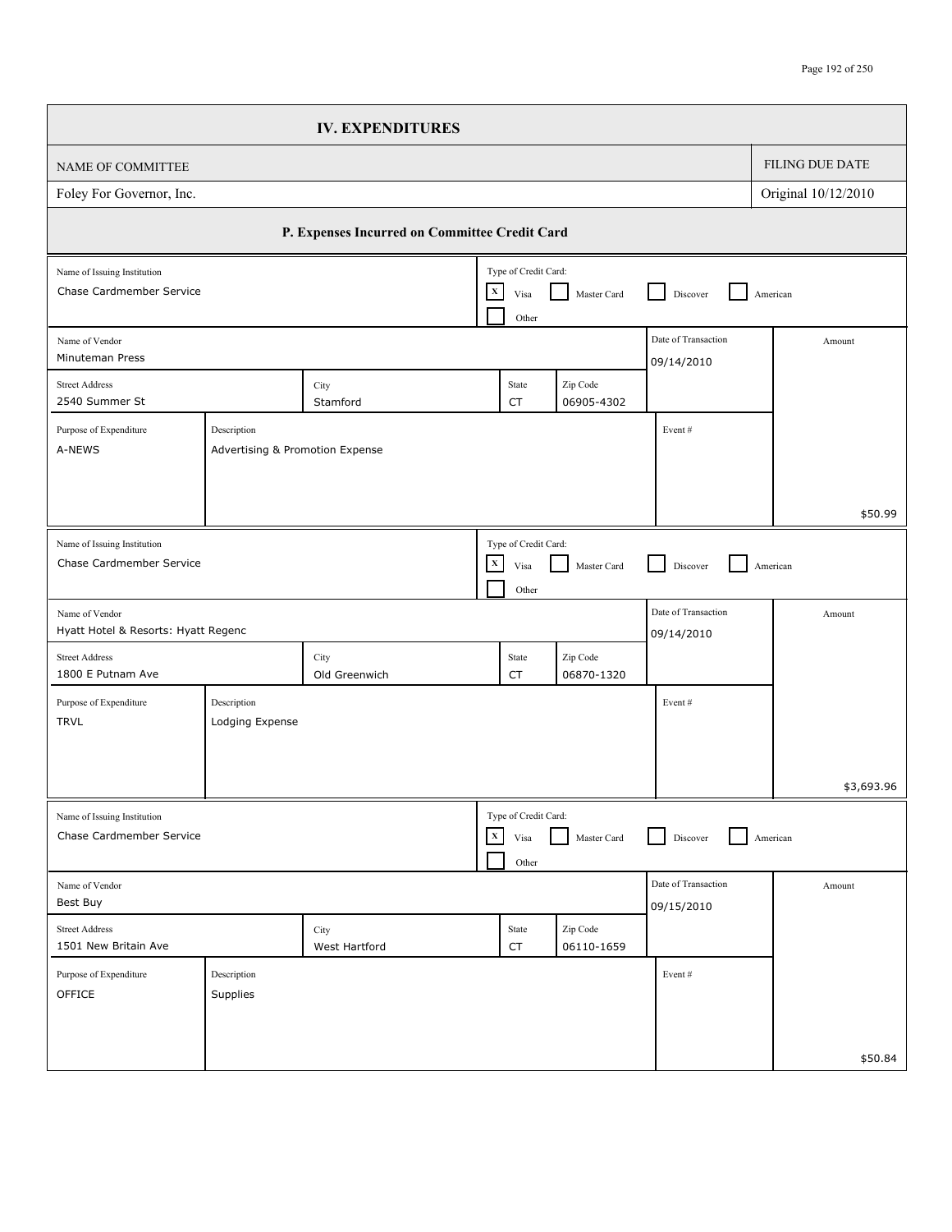## Page 192 of 250

|                                                                                    | <b>IV. EXPENDITURES</b>                       |                                              |       |                        |                                   |                     |
|------------------------------------------------------------------------------------|-----------------------------------------------|----------------------------------------------|-------|------------------------|-----------------------------------|---------------------|
| NAME OF COMMITTEE                                                                  |                                               |                                              |       |                        |                                   | FILING DUE DATE     |
| Foley For Governor, Inc.                                                           |                                               |                                              |       |                        |                                   | Original 10/12/2010 |
|                                                                                    | P. Expenses Incurred on Committee Credit Card |                                              |       |                        |                                   |                     |
| Name of Issuing Institution<br>Chase Cardmember Service                            |                                               | Type of Credit Card:<br>$\mathbf{x}$<br>Visa | Other | Master Card            | Discover                          | American            |
| Name of Vendor<br>Minuteman Press                                                  |                                               |                                              |       |                        | Date of Transaction<br>09/14/2010 | Amount              |
| <b>Street Address</b><br>2540 Summer St                                            | City<br>Stamford                              | State<br>СT                                  |       | Zip Code<br>06905-4302 |                                   |                     |
| Purpose of Expenditure<br>Description<br>A-NEWS<br>Advertising & Promotion Expense |                                               |                                              |       |                        | Event#                            |                     |
|                                                                                    |                                               |                                              |       |                        |                                   | \$50.99             |
| Name of Issuing Institution<br>Chase Cardmember Service                            |                                               | Type of Credit Card:<br>$\mathbf x$<br>Visa  | Other | Master Card            | Discover                          | American            |
| Name of Vendor<br>Hyatt Hotel & Resorts: Hyatt Regenc                              |                                               |                                              |       |                        | Date of Transaction<br>09/14/2010 | Amount              |
| <b>Street Address</b><br>1800 E Putnam Ave                                         | City<br>Old Greenwich                         | State<br>CT                                  |       | Zip Code<br>06870-1320 |                                   |                     |
| Purpose of Expenditure<br>Description<br><b>TRVL</b><br>Lodging Expense            |                                               |                                              |       |                        | Event#                            |                     |
|                                                                                    |                                               |                                              |       |                        |                                   | \$3,693.96          |
| Name of Issuing Institution<br>Chase Cardmember Service                            |                                               | Type of Credit Card:<br>$\mathbf X$<br>Visa  | Other | Master Card            | Discover                          | American            |
| Name of Vendor<br>Best Buy                                                         |                                               |                                              |       |                        | Date of Transaction<br>09/15/2010 | Amount              |
| <b>Street Address</b><br>1501 New Britain Ave                                      | City<br>West Hartford                         | State<br>${\sf CT}$                          |       | Zip Code<br>06110-1659 |                                   |                     |
| Purpose of Expenditure<br>Description<br>OFFICE<br>Supplies                        |                                               |                                              |       |                        | Event#                            |                     |
|                                                                                    |                                               |                                              |       |                        |                                   | \$50.84             |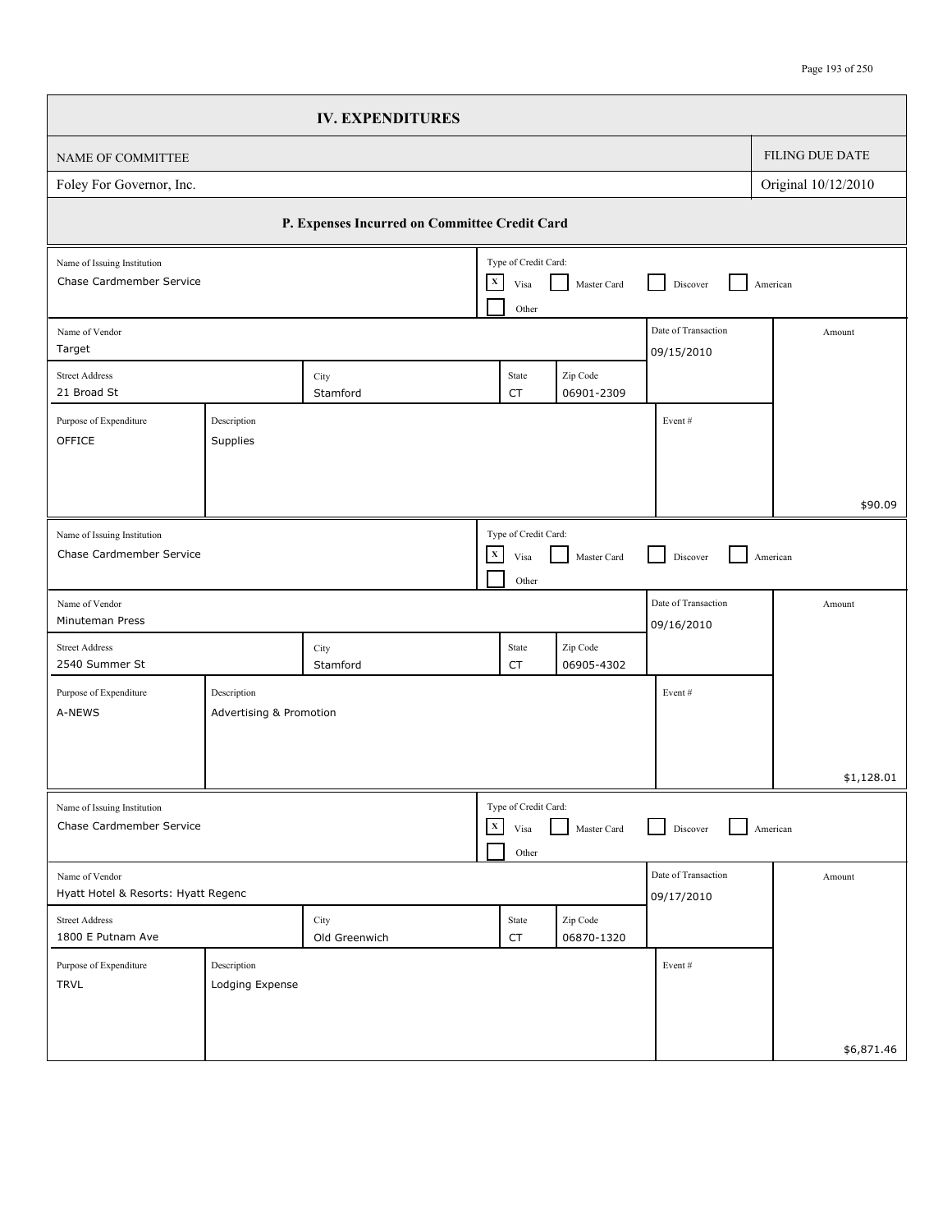|                                                         |                                        | <b>IV. EXPENDITURES</b>                       |              |                                       |                        |                                   |                     |
|---------------------------------------------------------|----------------------------------------|-----------------------------------------------|--------------|---------------------------------------|------------------------|-----------------------------------|---------------------|
| NAME OF COMMITTEE                                       |                                        |                                               |              |                                       |                        |                                   | FILING DUE DATE     |
| Foley For Governor, Inc.                                |                                        |                                               |              |                                       |                        |                                   | Original 10/12/2010 |
|                                                         |                                        | P. Expenses Incurred on Committee Credit Card |              |                                       |                        |                                   |                     |
| Name of Issuing Institution<br>Chase Cardmember Service |                                        |                                               | $\mathbf X$  | Type of Credit Card:<br>Visa<br>Other | Master Card            | Discover                          | American            |
| Name of Vendor<br>Target                                |                                        |                                               |              |                                       |                        | Date of Transaction<br>09/15/2010 | Amount              |
| <b>Street Address</b><br>21 Broad St                    |                                        | City<br>Stamford                              |              | State<br>CT                           | Zip Code<br>06901-2309 |                                   |                     |
| Purpose of Expenditure<br>OFFICE                        | Description<br>Supplies                |                                               |              |                                       |                        | Event#                            |                     |
|                                                         |                                        |                                               |              |                                       |                        |                                   | \$90.09             |
| Name of Issuing Institution<br>Chase Cardmember Service |                                        |                                               | $\mathbf X$  | Type of Credit Card:<br>Visa<br>Other | Master Card            | Discover                          | American            |
| Name of Vendor<br>Minuteman Press                       |                                        |                                               |              |                                       |                        | Date of Transaction<br>09/16/2010 | Amount              |
| <b>Street Address</b><br>2540 Summer St                 |                                        | City<br>Stamford                              |              | State<br>CT                           | Zip Code<br>06905-4302 |                                   |                     |
| Purpose of Expenditure<br>A-NEWS                        | Description<br>Advertising & Promotion |                                               |              |                                       |                        | Event#                            |                     |
|                                                         |                                        |                                               |              |                                       |                        |                                   | \$1,128.01          |
| Name of Issuing Institution<br>Chase Cardmember Service |                                        |                                               | $\mathbf{x}$ | Type of Credit Card:<br>Visa<br>Other | Master Card            | Discover                          | American            |
| Name of Vendor<br>Hyatt Hotel & Resorts: Hyatt Regenc   |                                        |                                               |              |                                       |                        | Date of Transaction<br>09/17/2010 | Amount              |
| <b>Street Address</b><br>1800 E Putnam Ave              |                                        | City<br>Old Greenwich                         |              | State<br>CT                           | Zip Code<br>06870-1320 |                                   |                     |
| Purpose of Expenditure<br><b>TRVL</b>                   | Description<br>Lodging Expense         |                                               |              |                                       |                        | Event#                            |                     |
|                                                         |                                        |                                               |              |                                       |                        |                                   | \$6,871.46          |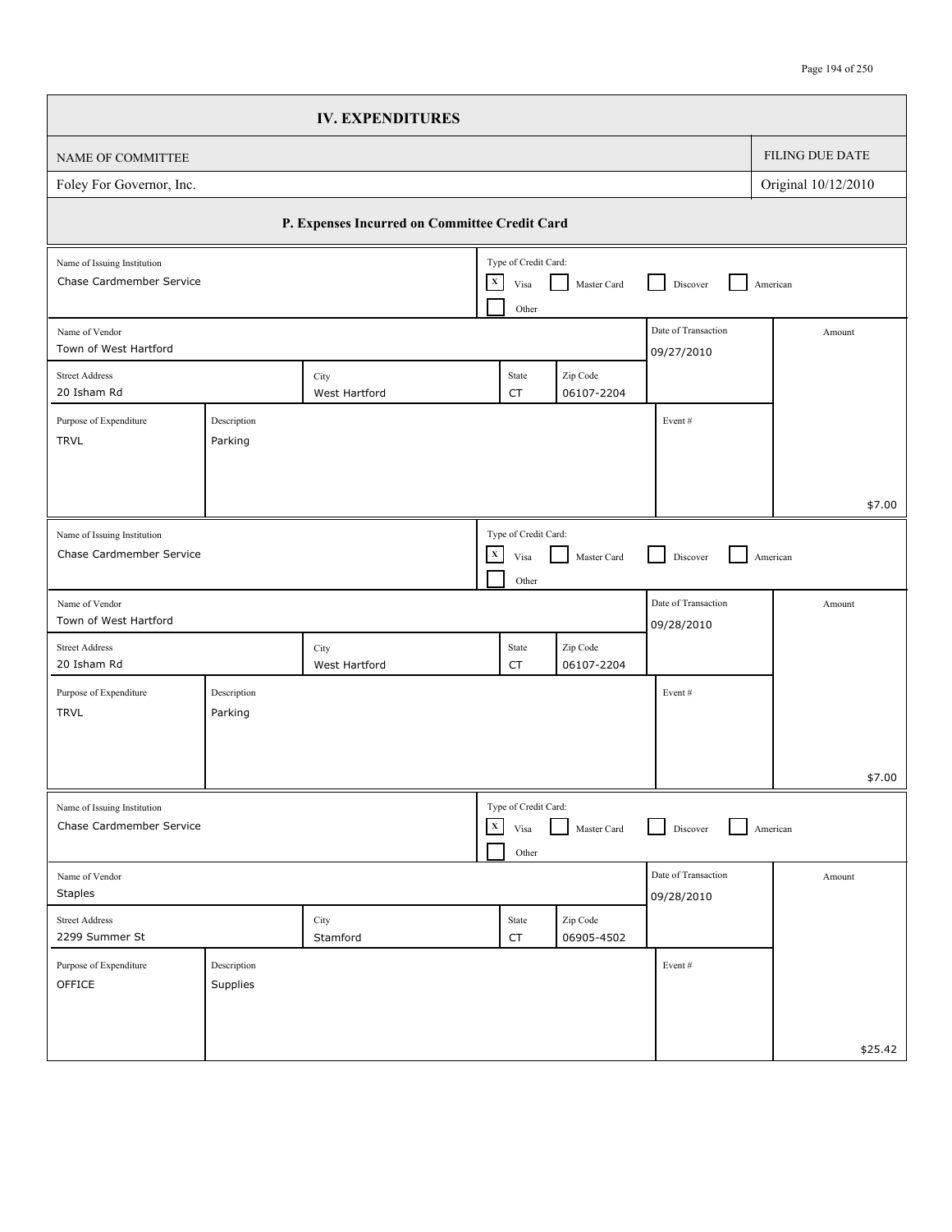|                                                         |                         | <b>IV. EXPENDITURES</b>                       |              |                                       |                        |                                   |                     |
|---------------------------------------------------------|-------------------------|-----------------------------------------------|--------------|---------------------------------------|------------------------|-----------------------------------|---------------------|
| NAME OF COMMITTEE                                       |                         |                                               |              |                                       |                        |                                   | FILING DUE DATE     |
| Foley For Governor, Inc.                                |                         |                                               |              |                                       |                        |                                   | Original 10/12/2010 |
|                                                         |                         | P. Expenses Incurred on Committee Credit Card |              |                                       |                        |                                   |                     |
| Name of Issuing Institution<br>Chase Cardmember Service |                         |                                               | $\mathbf x$  | Type of Credit Card:<br>Visa<br>Other | Master Card            | Discover                          | American            |
| Name of Vendor<br>Town of West Hartford                 |                         |                                               |              |                                       |                        | Date of Transaction<br>09/27/2010 | Amount              |
| <b>Street Address</b><br>20 Isham Rd                    |                         | City<br>West Hartford                         |              | State<br>CT                           | Zip Code<br>06107-2204 |                                   |                     |
| Purpose of Expenditure<br><b>TRVL</b>                   | Description<br>Parking  |                                               |              |                                       |                        | Event#                            |                     |
|                                                         |                         |                                               |              |                                       |                        |                                   | \$7.00              |
| Name of Issuing Institution<br>Chase Cardmember Service |                         |                                               | $\mathbf X$  | Type of Credit Card:<br>Visa<br>Other | Master Card            | Discover                          | American            |
| Name of Vendor<br>Town of West Hartford                 |                         |                                               |              |                                       |                        | Date of Transaction<br>09/28/2010 | Amount              |
| <b>Street Address</b><br>20 Isham Rd                    |                         | City<br>West Hartford                         |              | State<br>CT                           | Zip Code<br>06107-2204 |                                   |                     |
| Purpose of Expenditure<br><b>TRVL</b>                   | Description<br>Parking  |                                               |              |                                       |                        | Event#                            |                     |
|                                                         |                         |                                               |              |                                       |                        |                                   | \$7.00              |
| Name of Issuing Institution<br>Chase Cardmember Service |                         |                                               | $\mathbf{X}$ | Type of Credit Card:<br>Visa<br>Other | Master Card            | Discover                          | American            |
| Name of Vendor<br><b>Staples</b>                        |                         |                                               |              |                                       |                        | Date of Transaction<br>09/28/2010 | Amount              |
| Street Address<br>2299 Summer St                        |                         | City<br>Stamford                              |              | State<br>${\sf CT}$                   | Zip Code<br>06905-4502 |                                   |                     |
| Purpose of Expenditure<br><b>OFFICE</b>                 | Description<br>Supplies |                                               |              |                                       |                        | Event#                            |                     |
|                                                         |                         |                                               |              |                                       |                        |                                   | \$25.42             |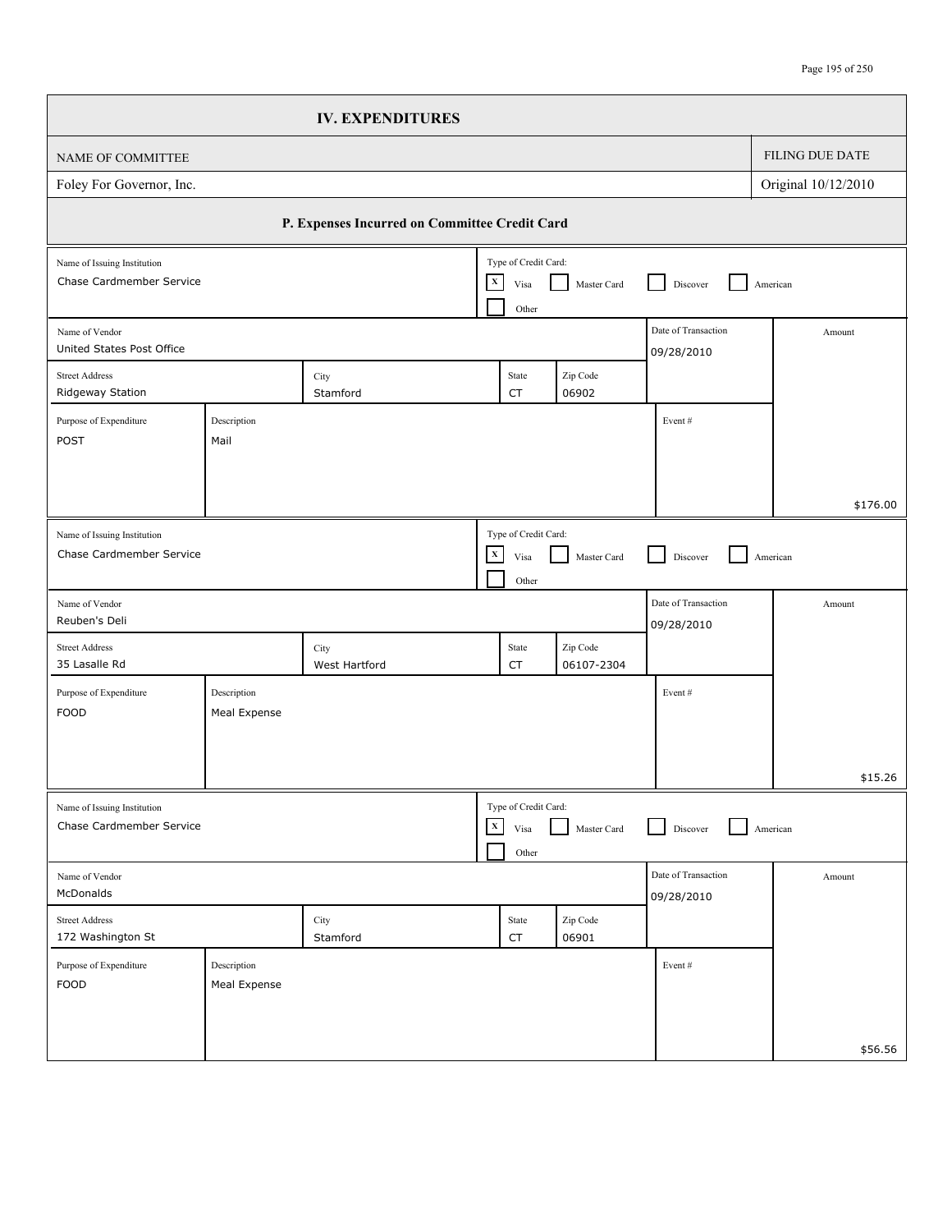|                                                         |                             | <b>IV. EXPENDITURES</b>                       |              |                                       |                        |                                   |                     |          |
|---------------------------------------------------------|-----------------------------|-----------------------------------------------|--------------|---------------------------------------|------------------------|-----------------------------------|---------------------|----------|
| NAME OF COMMITTEE                                       |                             |                                               |              |                                       |                        |                                   | FILING DUE DATE     |          |
| Foley For Governor, Inc.                                |                             |                                               |              |                                       |                        |                                   | Original 10/12/2010 |          |
|                                                         |                             | P. Expenses Incurred on Committee Credit Card |              |                                       |                        |                                   |                     |          |
| Name of Issuing Institution<br>Chase Cardmember Service |                             |                                               | $\mathbf x$  | Type of Credit Card:<br>Visa<br>Other | Master Card            | Discover                          | American            |          |
| Name of Vendor<br>United States Post Office             |                             |                                               |              |                                       |                        | Date of Transaction<br>09/28/2010 |                     | Amount   |
| <b>Street Address</b><br>Ridgeway Station               |                             | City<br>Stamford                              |              | State<br>CT                           | Zip Code<br>06902      |                                   |                     |          |
| Purpose of Expenditure<br>POST                          | Description<br>Mail         |                                               |              |                                       |                        | Event#                            |                     |          |
|                                                         |                             |                                               |              |                                       |                        |                                   |                     | \$176.00 |
| Name of Issuing Institution<br>Chase Cardmember Service |                             |                                               | $\mathbf X$  | Type of Credit Card:<br>Visa<br>Other | Master Card            | Discover                          | American            |          |
| Name of Vendor<br>Reuben's Deli                         |                             |                                               |              |                                       |                        | Date of Transaction<br>09/28/2010 |                     | Amount   |
| <b>Street Address</b><br>35 Lasalle Rd                  |                             | City<br>West Hartford                         |              | State<br>CT                           | Zip Code<br>06107-2304 |                                   |                     |          |
| Purpose of Expenditure<br><b>FOOD</b>                   | Description<br>Meal Expense |                                               |              |                                       |                        | Event#                            |                     |          |
|                                                         |                             |                                               |              |                                       |                        |                                   |                     | \$15.26  |
| Name of Issuing Institution<br>Chase Cardmember Service |                             |                                               | $\mathbf{X}$ | Type of Credit Card:<br>Visa<br>Other | Master Card            | Discover                          | American            |          |
| Name of Vendor<br>McDonalds                             |                             |                                               |              |                                       |                        | Date of Transaction<br>09/28/2010 |                     | Amount   |
| <b>Street Address</b><br>172 Washington St              |                             | City<br>Stamford                              |              | State<br>${\sf CT}$                   | Zip Code<br>06901      |                                   |                     |          |
| Purpose of Expenditure<br><b>FOOD</b>                   | Description<br>Meal Expense |                                               |              |                                       |                        | Event#                            |                     |          |
|                                                         |                             |                                               |              |                                       |                        |                                   |                     | \$56.56  |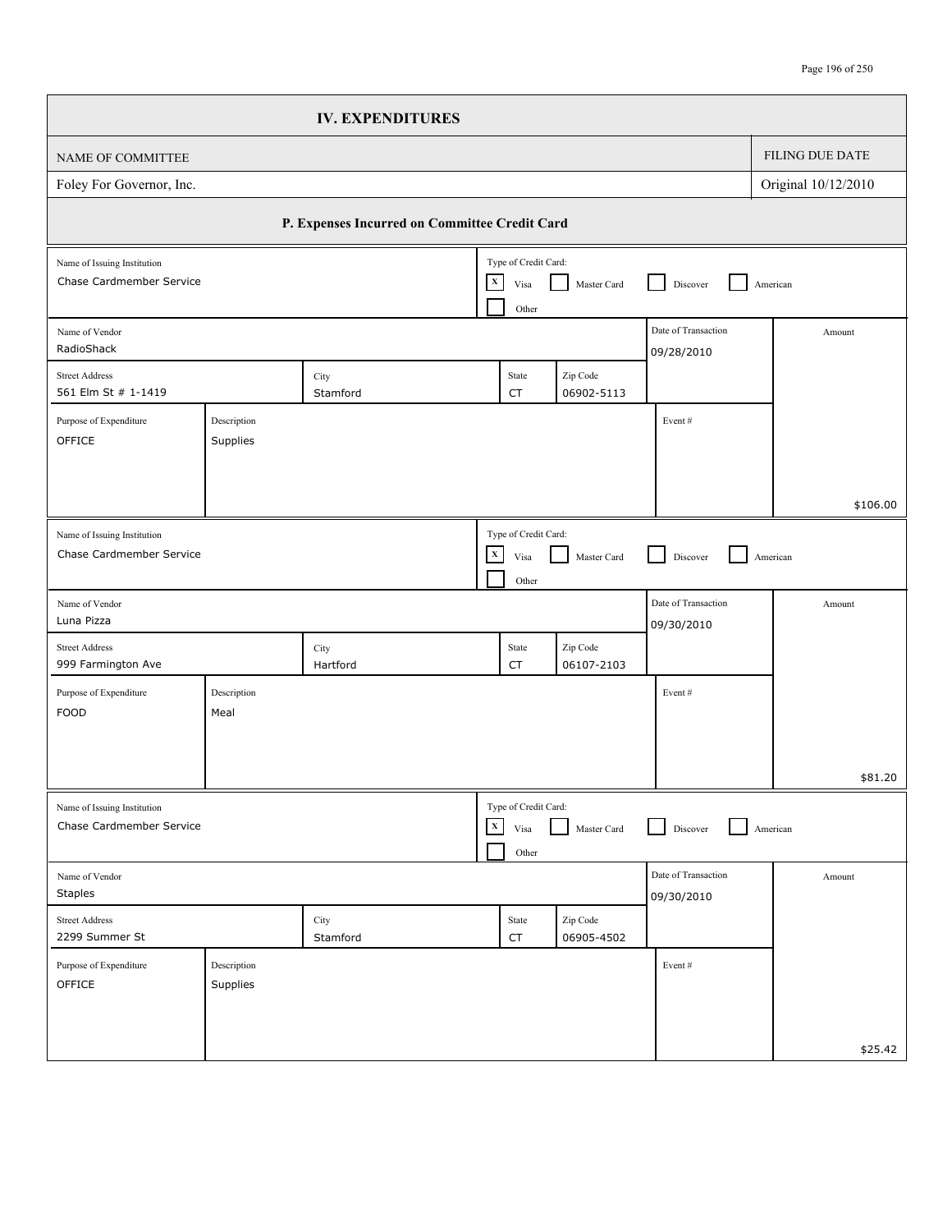| FILING DUE DATE<br>Original 10/12/2010<br>P. Expenses Incurred on Committee Credit Card<br>Type of Credit Card:<br>$\mathbf X$<br>Master Card<br>American<br>Discover<br>Visa<br>Other<br>Date of Transaction<br>Amount<br>09/28/2010<br>Zip Code<br>City<br>State<br>Stamford<br>06902-5113<br>CT<br>Description<br>Event#<br>Supplies<br>Type of Credit Card:<br>$\mathbf X$<br>Master Card<br>Discover<br>American<br>Visa<br>Other<br>Date of Transaction<br>Amount<br>09/30/2010<br>Zip Code<br>City<br>State<br>06107-2103<br>Hartford<br>CT<br>Description<br>Event#<br>Meal<br>Type of Credit Card:<br>$\mathbf X$<br>Master Card<br>American<br>Visa<br>Discover<br>Other<br>Date of Transaction<br>Amount<br>09/30/2010<br>$\mathop{\mathsf{Zip}}\nolimits$ Code<br>City<br>State<br>Stamford<br>06905-4502<br>CT<br>Description<br>Event#<br>Supplies |                                                         | <b>IV. EXPENDITURES</b> |  |  |          |
|------------------------------------------------------------------------------------------------------------------------------------------------------------------------------------------------------------------------------------------------------------------------------------------------------------------------------------------------------------------------------------------------------------------------------------------------------------------------------------------------------------------------------------------------------------------------------------------------------------------------------------------------------------------------------------------------------------------------------------------------------------------------------------------------------------------------------------------------------------------|---------------------------------------------------------|-------------------------|--|--|----------|
|                                                                                                                                                                                                                                                                                                                                                                                                                                                                                                                                                                                                                                                                                                                                                                                                                                                                  | NAME OF COMMITTEE                                       |                         |  |  |          |
|                                                                                                                                                                                                                                                                                                                                                                                                                                                                                                                                                                                                                                                                                                                                                                                                                                                                  | Foley For Governor, Inc.                                |                         |  |  |          |
|                                                                                                                                                                                                                                                                                                                                                                                                                                                                                                                                                                                                                                                                                                                                                                                                                                                                  |                                                         |                         |  |  |          |
|                                                                                                                                                                                                                                                                                                                                                                                                                                                                                                                                                                                                                                                                                                                                                                                                                                                                  | Name of Issuing Institution<br>Chase Cardmember Service |                         |  |  |          |
|                                                                                                                                                                                                                                                                                                                                                                                                                                                                                                                                                                                                                                                                                                                                                                                                                                                                  | Name of Vendor<br>RadioShack                            |                         |  |  |          |
|                                                                                                                                                                                                                                                                                                                                                                                                                                                                                                                                                                                                                                                                                                                                                                                                                                                                  | <b>Street Address</b><br>561 Elm St # 1-1419            |                         |  |  |          |
|                                                                                                                                                                                                                                                                                                                                                                                                                                                                                                                                                                                                                                                                                                                                                                                                                                                                  | Purpose of Expenditure<br>OFFICE                        |                         |  |  |          |
|                                                                                                                                                                                                                                                                                                                                                                                                                                                                                                                                                                                                                                                                                                                                                                                                                                                                  |                                                         |                         |  |  | \$106.00 |
|                                                                                                                                                                                                                                                                                                                                                                                                                                                                                                                                                                                                                                                                                                                                                                                                                                                                  | Name of Issuing Institution<br>Chase Cardmember Service |                         |  |  |          |
|                                                                                                                                                                                                                                                                                                                                                                                                                                                                                                                                                                                                                                                                                                                                                                                                                                                                  | Name of Vendor<br>Luna Pizza                            |                         |  |  |          |
|                                                                                                                                                                                                                                                                                                                                                                                                                                                                                                                                                                                                                                                                                                                                                                                                                                                                  | <b>Street Address</b><br>999 Farmington Ave             |                         |  |  |          |
|                                                                                                                                                                                                                                                                                                                                                                                                                                                                                                                                                                                                                                                                                                                                                                                                                                                                  | Purpose of Expenditure<br><b>FOOD</b>                   |                         |  |  |          |
|                                                                                                                                                                                                                                                                                                                                                                                                                                                                                                                                                                                                                                                                                                                                                                                                                                                                  |                                                         |                         |  |  | \$81.20  |
|                                                                                                                                                                                                                                                                                                                                                                                                                                                                                                                                                                                                                                                                                                                                                                                                                                                                  | Name of Issuing Institution<br>Chase Cardmember Service |                         |  |  |          |
|                                                                                                                                                                                                                                                                                                                                                                                                                                                                                                                                                                                                                                                                                                                                                                                                                                                                  | Name of Vendor<br><b>Staples</b>                        |                         |  |  |          |
|                                                                                                                                                                                                                                                                                                                                                                                                                                                                                                                                                                                                                                                                                                                                                                                                                                                                  | Street Address<br>2299 Summer St                        |                         |  |  |          |
|                                                                                                                                                                                                                                                                                                                                                                                                                                                                                                                                                                                                                                                                                                                                                                                                                                                                  | Purpose of Expenditure<br>OFFICE                        |                         |  |  |          |
|                                                                                                                                                                                                                                                                                                                                                                                                                                                                                                                                                                                                                                                                                                                                                                                                                                                                  |                                                         |                         |  |  | \$25.42  |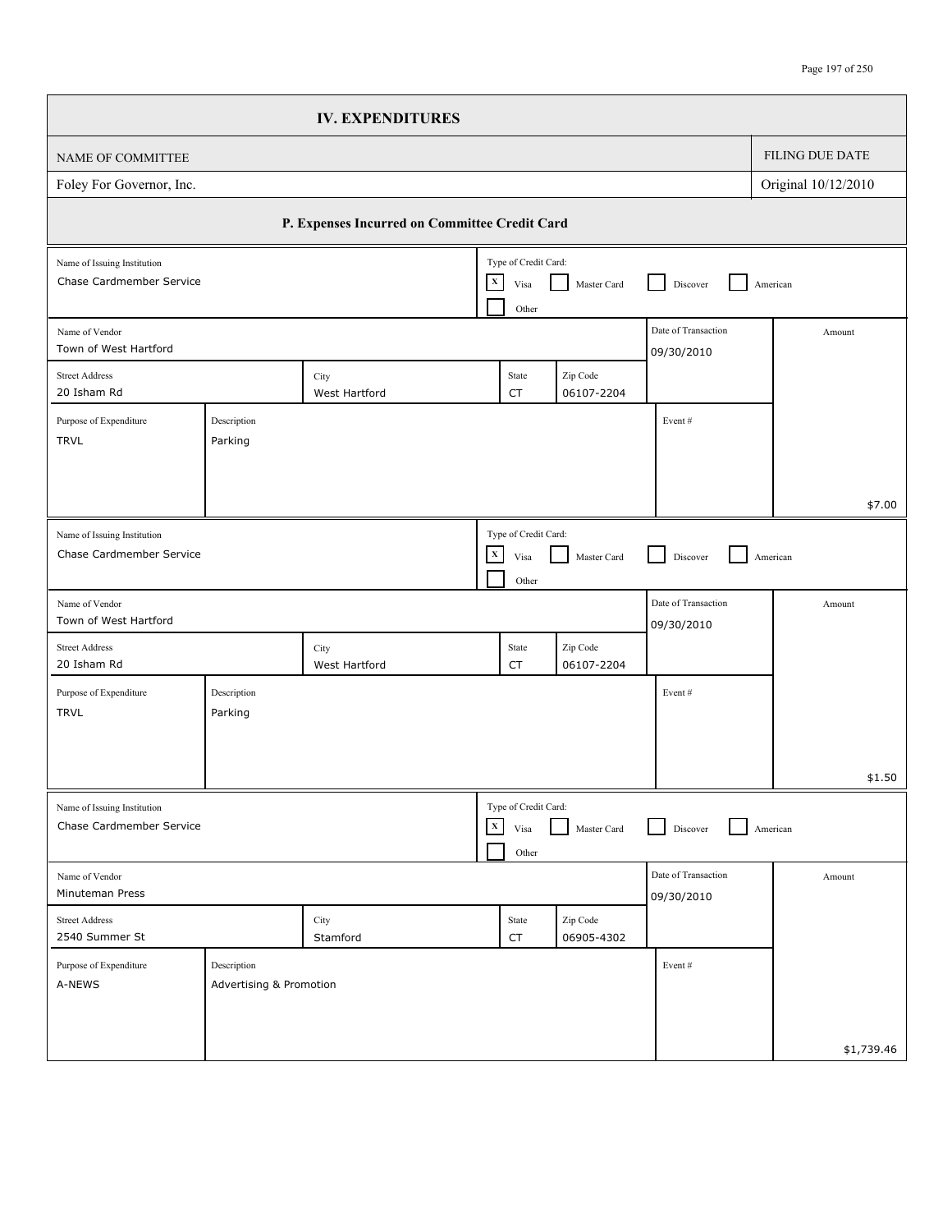| FILING DUE DATE<br>Original 10/12/2010<br>P. Expenses Incurred on Committee Credit Card<br>Type of Credit Card:<br>$\mathbf X$<br>Master Card<br>American<br>Discover<br>Visa<br>Other<br>Date of Transaction<br>Amount<br>09/30/2010<br>Zip Code<br>City<br>State<br>06107-2204<br>West Hartford<br>CT<br>Description<br>Event#<br>Parking<br>Type of Credit Card:<br>$\mathbf X$<br>Master Card<br>American<br>Visa<br>Discover<br>Other<br>Date of Transaction<br>Amount<br>09/30/2010<br>Zip Code<br>State<br>City<br>06107-2204<br>West Hartford<br>CT<br>Description<br>Event#<br>Parking<br>Type of Credit Card:<br>$\mathbf{x}$<br>Master Card<br>American<br>Visa<br>Discover<br>Other<br>Date of Transaction<br>Amount<br>09/30/2010<br>Zip Code<br>City<br>State<br>Stamford<br>06905-4302<br>CT<br>Description<br>Event#<br>Advertising & Promotion |                                                         | <b>IV. EXPENDITURES</b> |  |  |            |
|-----------------------------------------------------------------------------------------------------------------------------------------------------------------------------------------------------------------------------------------------------------------------------------------------------------------------------------------------------------------------------------------------------------------------------------------------------------------------------------------------------------------------------------------------------------------------------------------------------------------------------------------------------------------------------------------------------------------------------------------------------------------------------------------------------------------------------------------------------------------|---------------------------------------------------------|-------------------------|--|--|------------|
|                                                                                                                                                                                                                                                                                                                                                                                                                                                                                                                                                                                                                                                                                                                                                                                                                                                                 | NAME OF COMMITTEE                                       |                         |  |  |            |
|                                                                                                                                                                                                                                                                                                                                                                                                                                                                                                                                                                                                                                                                                                                                                                                                                                                                 | Foley For Governor, Inc.                                |                         |  |  |            |
|                                                                                                                                                                                                                                                                                                                                                                                                                                                                                                                                                                                                                                                                                                                                                                                                                                                                 |                                                         |                         |  |  |            |
|                                                                                                                                                                                                                                                                                                                                                                                                                                                                                                                                                                                                                                                                                                                                                                                                                                                                 | Name of Issuing Institution<br>Chase Cardmember Service |                         |  |  |            |
|                                                                                                                                                                                                                                                                                                                                                                                                                                                                                                                                                                                                                                                                                                                                                                                                                                                                 | Name of Vendor<br>Town of West Hartford                 |                         |  |  |            |
|                                                                                                                                                                                                                                                                                                                                                                                                                                                                                                                                                                                                                                                                                                                                                                                                                                                                 | <b>Street Address</b><br>20 Isham Rd                    |                         |  |  |            |
|                                                                                                                                                                                                                                                                                                                                                                                                                                                                                                                                                                                                                                                                                                                                                                                                                                                                 | Purpose of Expenditure<br><b>TRVL</b>                   |                         |  |  |            |
|                                                                                                                                                                                                                                                                                                                                                                                                                                                                                                                                                                                                                                                                                                                                                                                                                                                                 |                                                         |                         |  |  | \$7.00     |
|                                                                                                                                                                                                                                                                                                                                                                                                                                                                                                                                                                                                                                                                                                                                                                                                                                                                 | Name of Issuing Institution<br>Chase Cardmember Service |                         |  |  |            |
|                                                                                                                                                                                                                                                                                                                                                                                                                                                                                                                                                                                                                                                                                                                                                                                                                                                                 | Name of Vendor<br>Town of West Hartford                 |                         |  |  |            |
|                                                                                                                                                                                                                                                                                                                                                                                                                                                                                                                                                                                                                                                                                                                                                                                                                                                                 | <b>Street Address</b><br>20 Isham Rd                    |                         |  |  |            |
|                                                                                                                                                                                                                                                                                                                                                                                                                                                                                                                                                                                                                                                                                                                                                                                                                                                                 | Purpose of Expenditure<br><b>TRVL</b>                   |                         |  |  |            |
|                                                                                                                                                                                                                                                                                                                                                                                                                                                                                                                                                                                                                                                                                                                                                                                                                                                                 |                                                         |                         |  |  | \$1.50     |
|                                                                                                                                                                                                                                                                                                                                                                                                                                                                                                                                                                                                                                                                                                                                                                                                                                                                 | Name of Issuing Institution<br>Chase Cardmember Service |                         |  |  |            |
|                                                                                                                                                                                                                                                                                                                                                                                                                                                                                                                                                                                                                                                                                                                                                                                                                                                                 | Name of Vendor<br>Minuteman Press                       |                         |  |  |            |
|                                                                                                                                                                                                                                                                                                                                                                                                                                                                                                                                                                                                                                                                                                                                                                                                                                                                 | <b>Street Address</b><br>2540 Summer St                 |                         |  |  |            |
|                                                                                                                                                                                                                                                                                                                                                                                                                                                                                                                                                                                                                                                                                                                                                                                                                                                                 | Purpose of Expenditure<br>A-NEWS                        |                         |  |  |            |
|                                                                                                                                                                                                                                                                                                                                                                                                                                                                                                                                                                                                                                                                                                                                                                                                                                                                 |                                                         |                         |  |  | \$1,739.46 |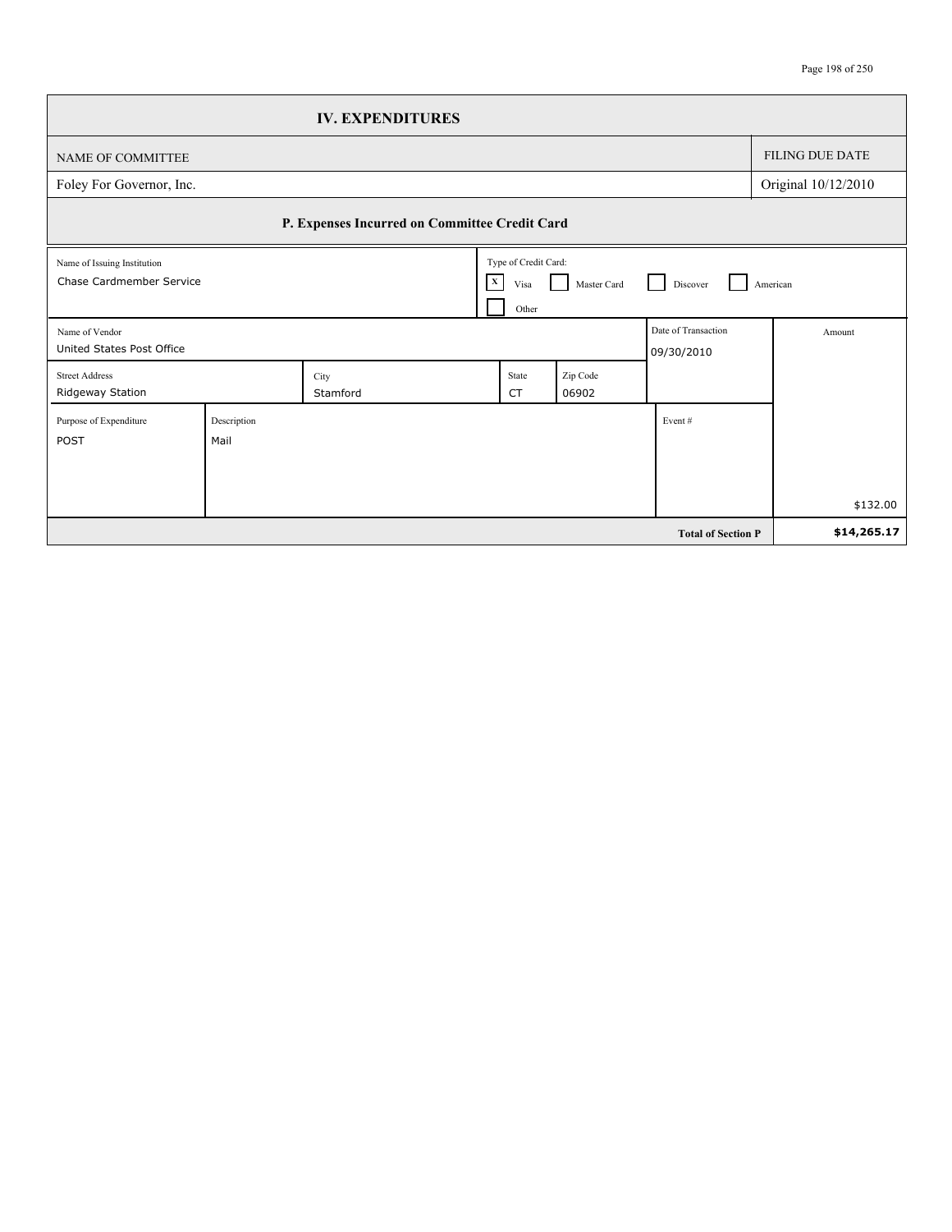|                                                         |                     | <b>IV. EXPENDITURES</b>                       |                                                       |                    |                                   |                        |
|---------------------------------------------------------|---------------------|-----------------------------------------------|-------------------------------------------------------|--------------------|-----------------------------------|------------------------|
| NAME OF COMMITTEE                                       |                     |                                               |                                                       |                    |                                   | <b>FILING DUE DATE</b> |
| Foley For Governor, Inc.                                |                     |                                               |                                                       |                    |                                   | Original 10/12/2010    |
|                                                         |                     | P. Expenses Incurred on Committee Credit Card |                                                       |                    |                                   |                        |
| Name of Issuing Institution<br>Chase Cardmember Service |                     |                                               | Type of Credit Card:<br>$\mathbf{X}$<br>Visa<br>Other | Master Card<br>l 1 | Discover                          | American               |
| Name of Vendor<br>United States Post Office             |                     |                                               |                                                       |                    | Date of Transaction<br>09/30/2010 | Amount                 |
| <b>Street Address</b><br>Ridgeway Station               |                     | City<br>Stamford                              | State<br><b>CT</b>                                    | Zip Code<br>06902  |                                   |                        |
| Purpose of Expenditure<br><b>POST</b>                   | Description<br>Mail |                                               |                                                       |                    | Event $#$                         |                        |
|                                                         |                     |                                               |                                                       |                    |                                   | \$132.00               |
|                                                         |                     |                                               |                                                       |                    | <b>Total of Section P</b>         | \$14,265.17            |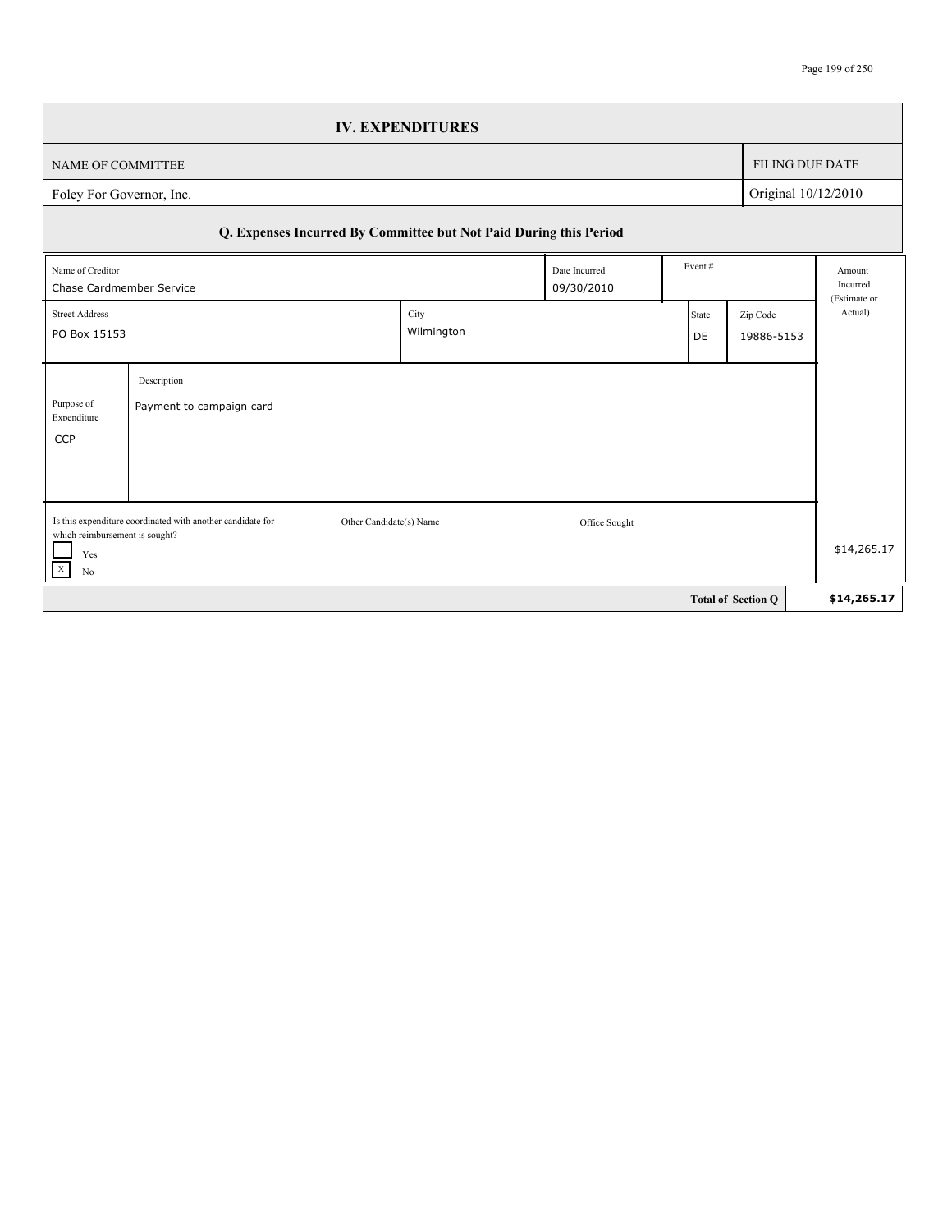## Page 199 of 250

|                                                                                       |                                                                                       | <b>IV. EXPENDITURES</b> |               |                                              |                           |                                    |  |
|---------------------------------------------------------------------------------------|---------------------------------------------------------------------------------------|-------------------------|---------------|----------------------------------------------|---------------------------|------------------------------------|--|
| NAME OF COMMITTEE                                                                     |                                                                                       |                         |               |                                              | <b>FILING DUE DATE</b>    |                                    |  |
| Original 10/12/2010<br>Foley For Governor, Inc.                                       |                                                                                       |                         |               |                                              |                           |                                    |  |
|                                                                                       | Q. Expenses Incurred By Committee but Not Paid During this Period                     |                         |               |                                              |                           |                                    |  |
| Event#<br>Name of Creditor<br>Date Incurred<br>09/30/2010<br>Chase Cardmember Service |                                                                                       |                         |               |                                              |                           | Amount<br>Incurred<br>(Estimate or |  |
| City<br><b>Street Address</b><br>Wilmington<br>PO Box 15153                           |                                                                                       |                         |               | Zip Code<br><b>State</b><br>19886-5153<br>DE |                           | Actual)                            |  |
| Purpose of<br>Expenditure<br><b>CCP</b>                                               | Description<br>Payment to campaign card                                               |                         |               |                                              |                           |                                    |  |
| which reimbursement is sought?<br>Yes<br>$\mathbf X$<br>N <sub>0</sub>                | Is this expenditure coordinated with another candidate for<br>Other Candidate(s) Name |                         | Office Sought |                                              |                           | \$14,265.17                        |  |
|                                                                                       |                                                                                       |                         |               |                                              | <b>Total of Section O</b> | \$14,265.17                        |  |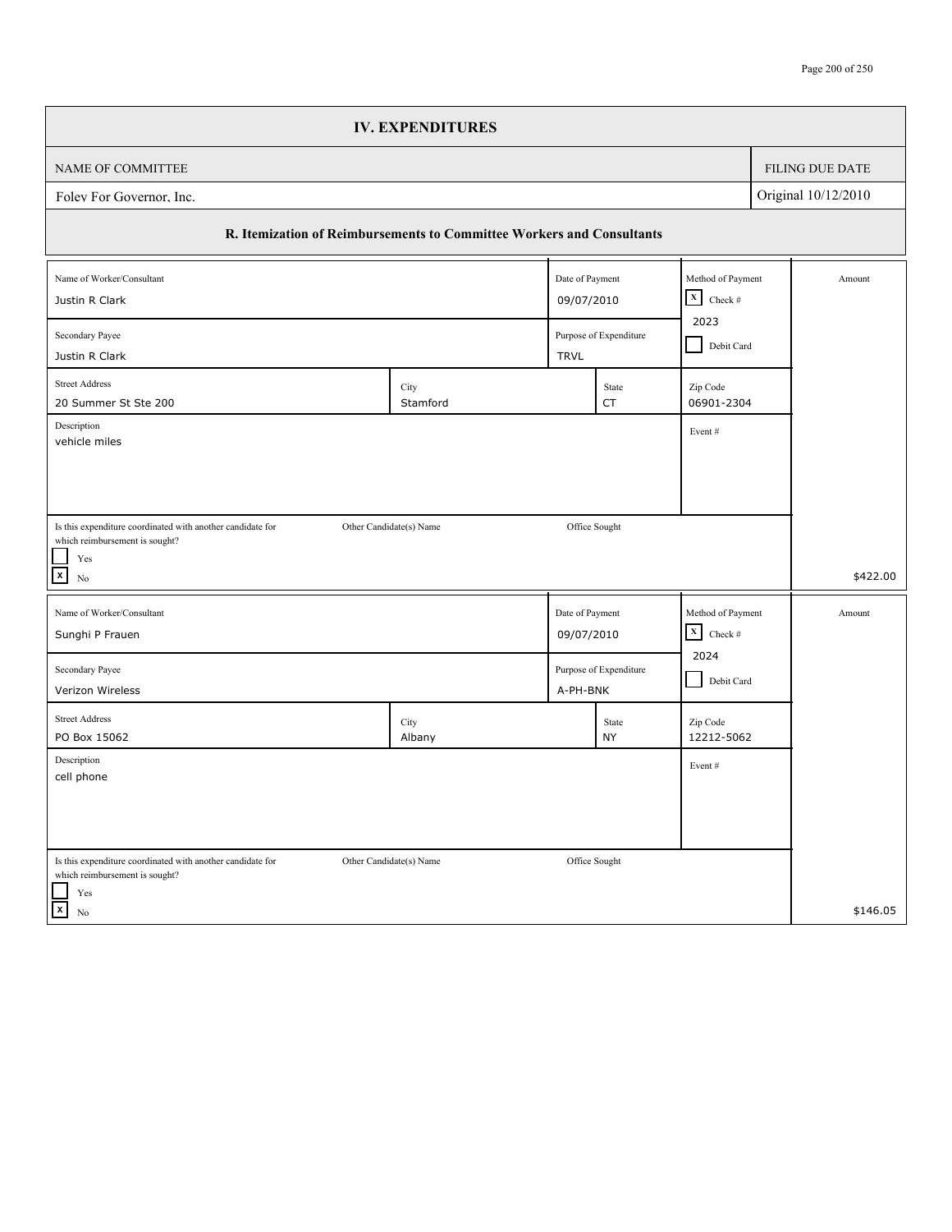|                                                                                                     | <b>IV. EXPENDITURES</b> |                 |                                |                        |            |                 |
|-----------------------------------------------------------------------------------------------------|-------------------------|-----------------|--------------------------------|------------------------|------------|-----------------|
| NAME OF COMMITTEE                                                                                   |                         |                 |                                |                        |            | FILING DUE DATE |
| Original 10/12/2010<br>Folev For Governor. Inc.                                                     |                         |                 |                                |                        |            |                 |
| R. Itemization of Reimbursements to Committee Workers and Consultants                               |                         |                 |                                |                        |            |                 |
| Date of Payment<br>Method of Payment<br>Name of Worker/Consultant                                   |                         |                 |                                |                        |            |                 |
| Justin R Clark                                                                                      |                         | 09/07/2010      |                                | $X$ Check #            |            |                 |
| Secondary Payee                                                                                     |                         |                 | Purpose of Expenditure         |                        | Debit Card |                 |
| Justin R Clark                                                                                      |                         | <b>TRVL</b>     |                                |                        |            |                 |
| <b>Street Address</b><br>20 Summer St Ste 200                                                       | City<br>Stamford        |                 | State<br>CT                    | Zip Code<br>06901-2304 |            |                 |
| Description<br>vehicle miles                                                                        |                         |                 |                                | Event#                 |            |                 |
|                                                                                                     |                         |                 |                                |                        |            |                 |
|                                                                                                     |                         |                 |                                |                        |            |                 |
| Is this expenditure coordinated with another candidate for                                          | Other Candidate(s) Name | Office Sought   |                                |                        |            |                 |
| which reimbursement is sought?<br>Yes                                                               |                         |                 |                                |                        |            |                 |
| $\boxed{\mathbf{x}}$<br>No                                                                          |                         |                 |                                |                        |            | \$422.00        |
| Name of Worker/Consultant                                                                           |                         | Date of Payment |                                | Method of Payment      |            | Amount          |
| Sunghi P Frauen                                                                                     | 09/07/2010              |                 | $\mathbf{x}$<br>Check #        |                        |            |                 |
| Secondary Payee                                                                                     |                         |                 | 2024<br>Purpose of Expenditure |                        |            |                 |
| Verizon Wireless                                                                                    |                         | A-PH-BNK        |                                | Debit Card             |            |                 |
| <b>Street Address</b><br>PO Box 15062                                                               | City                    |                 | State<br><b>NY</b>             | Zip Code<br>12212-5062 |            |                 |
| Description                                                                                         | Albany                  |                 |                                |                        |            |                 |
| cell phone                                                                                          |                         |                 |                                | Event#                 |            |                 |
|                                                                                                     |                         |                 |                                |                        |            |                 |
|                                                                                                     |                         |                 |                                |                        |            |                 |
| Is this expenditure coordinated with another candidate for<br>which reimbursement is sought?<br>Yes | Other Candidate(s) Name | Office Sought   |                                |                        |            |                 |
| $\overline{\mathbf{x}}$<br>No                                                                       |                         |                 |                                |                        |            | \$146.05        |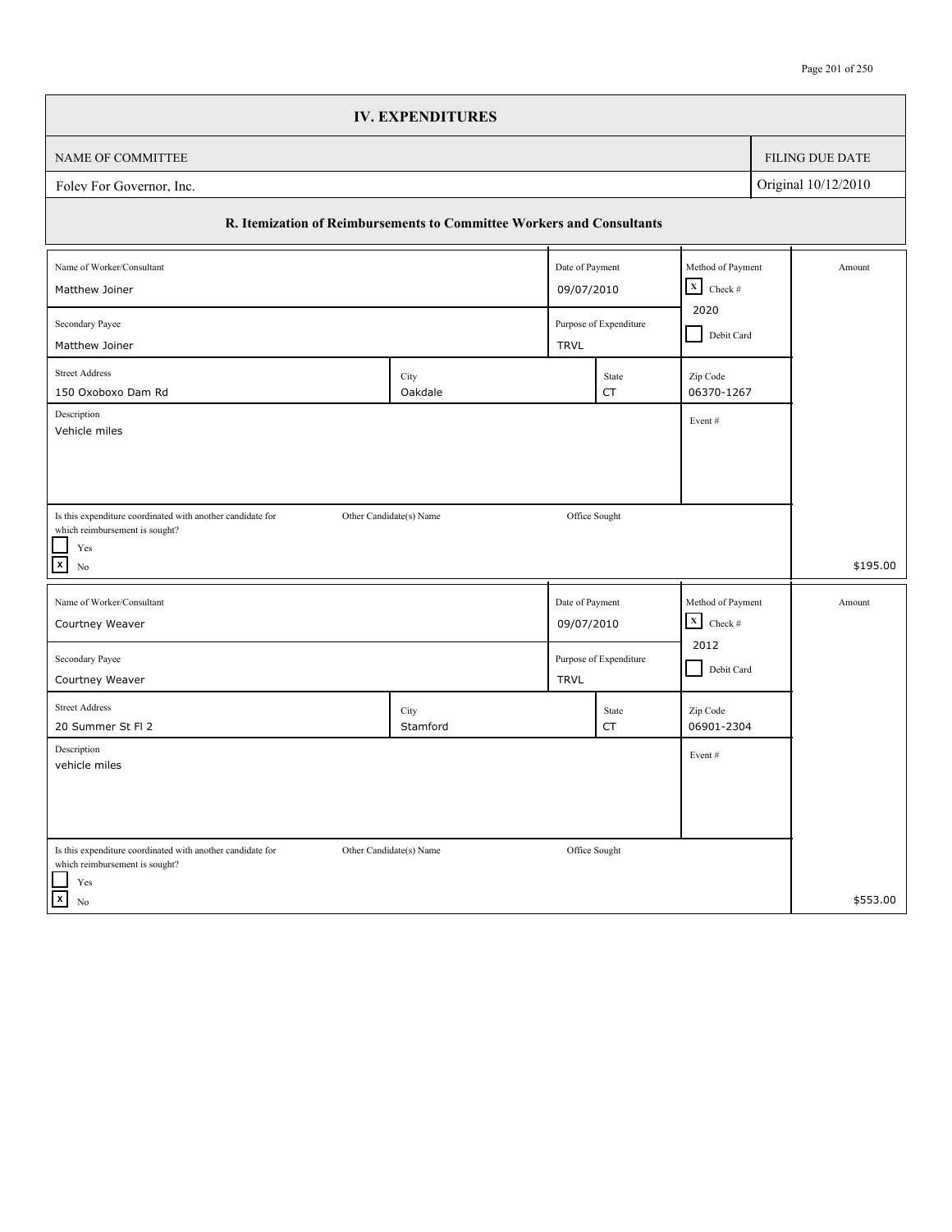| <b>IV. EXPENDITURES</b>                                                                                                                                          |                           |  |                 |  |  |  |  |
|------------------------------------------------------------------------------------------------------------------------------------------------------------------|---------------------------|--|-----------------|--|--|--|--|
| NAME OF COMMITTEE                                                                                                                                                |                           |  | FILING DUE DATE |  |  |  |  |
| Original 10/12/2010<br>Folev For Governor, Inc.                                                                                                                  |                           |  |                 |  |  |  |  |
| R. Itemization of Reimbursements to Committee Workers and Consultants                                                                                            |                           |  |                 |  |  |  |  |
| Date of Payment<br>Name of Worker/Consultant                                                                                                                     | Method of Payment         |  | Amount          |  |  |  |  |
| 09/07/2010<br>Matthew Joiner                                                                                                                                     | $\mathbf x$<br>Check $\#$ |  |                 |  |  |  |  |
| Secondary Payee<br>Purpose of Expenditure<br>Matthew Joiner<br><b>TRVL</b>                                                                                       | 2020<br>Debit Card        |  |                 |  |  |  |  |
| <b>Street Address</b>                                                                                                                                            |                           |  |                 |  |  |  |  |
| City<br>State<br>Oakdale<br><b>CT</b><br>150 Oxoboxo Dam Rd                                                                                                      | Zip Code<br>06370-1267    |  |                 |  |  |  |  |
| Description                                                                                                                                                      | Event#                    |  |                 |  |  |  |  |
| Vehicle miles                                                                                                                                                    |                           |  |                 |  |  |  |  |
|                                                                                                                                                                  |                           |  |                 |  |  |  |  |
| Is this expenditure coordinated with another candidate for<br>Other Candidate(s) Name<br>Office Sought                                                           |                           |  |                 |  |  |  |  |
| which reimbursement is sought?<br>$\operatorname{Yes}$                                                                                                           |                           |  |                 |  |  |  |  |
| $\boxed{\mathbf{x}}$<br>No                                                                                                                                       |                           |  | \$195.00        |  |  |  |  |
| Date of Payment<br>Name of Worker/Consultant                                                                                                                     | Method of Payment         |  | Amount          |  |  |  |  |
| 09/07/2010<br>Courtney Weaver                                                                                                                                    | $\mathbf X$<br>Check $\#$ |  |                 |  |  |  |  |
| Secondary Payee<br>Purpose of Expenditure                                                                                                                        | 2012                      |  |                 |  |  |  |  |
| Courtney Weaver<br><b>TRVL</b>                                                                                                                                   | Debit Card                |  |                 |  |  |  |  |
| <b>Street Address</b><br>City<br>State                                                                                                                           | Zip Code                  |  |                 |  |  |  |  |
| 20 Summer St Fl 2<br>Stamford<br>CT                                                                                                                              | 06901-2304                |  |                 |  |  |  |  |
|                                                                                                                                                                  |                           |  |                 |  |  |  |  |
| Description<br>vehicle miles                                                                                                                                     | Event#                    |  |                 |  |  |  |  |
|                                                                                                                                                                  |                           |  |                 |  |  |  |  |
|                                                                                                                                                                  |                           |  |                 |  |  |  |  |
|                                                                                                                                                                  |                           |  |                 |  |  |  |  |
| Is this expenditure coordinated with another candidate for<br>Other Candidate(s) Name<br>Office Sought<br>which reimbursement is sought?<br>$\operatorname{Yes}$ |                           |  |                 |  |  |  |  |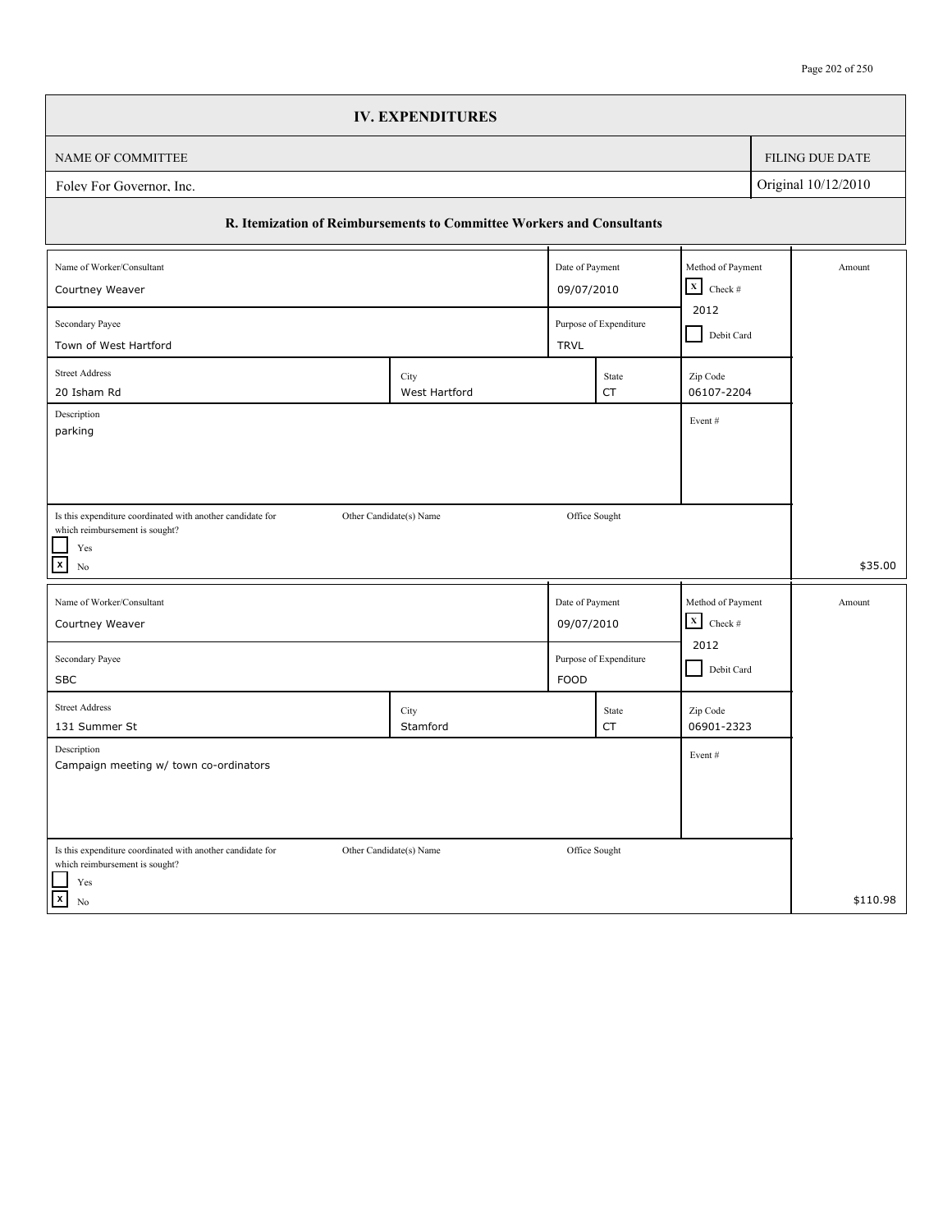|                                                                                                                      | <b>IV. EXPENDITURES</b> |                                   |                                       |                        |            |                 |  |
|----------------------------------------------------------------------------------------------------------------------|-------------------------|-----------------------------------|---------------------------------------|------------------------|------------|-----------------|--|
| NAME OF COMMITTEE                                                                                                    |                         |                                   |                                       |                        |            | FILING DUE DATE |  |
| Original 10/12/2010<br>Folev For Governor, Inc.                                                                      |                         |                                   |                                       |                        |            |                 |  |
| R. Itemization of Reimbursements to Committee Workers and Consultants                                                |                         |                                   |                                       |                        |            |                 |  |
| Name of Worker/Consultant                                                                                            |                         | Date of Payment                   |                                       | Method of Payment      |            | Amount          |  |
| Courtney Weaver                                                                                                      | 09/07/2010              | $\mathbf x$<br>Check $\#$<br>2012 |                                       |                        |            |                 |  |
| Secondary Payee<br>Town of West Hartford                                                                             |                         |                                   | Purpose of Expenditure<br><b>TRVL</b> |                        | Debit Card |                 |  |
| <b>Street Address</b>                                                                                                | City                    |                                   | State                                 | Zip Code               |            |                 |  |
| 20 Isham Rd<br>Description                                                                                           | West Hartford           |                                   | <b>CT</b>                             | 06107-2204<br>Event#   |            |                 |  |
| parking                                                                                                              |                         |                                   |                                       |                        |            |                 |  |
|                                                                                                                      |                         |                                   |                                       |                        |            |                 |  |
| Is this expenditure coordinated with another candidate for<br>which reimbursement is sought?                         | Other Candidate(s) Name | Office Sought                     |                                       |                        |            |                 |  |
| $\operatorname{Yes}$<br>$\boxed{\mathbf{x}}$<br>No                                                                   |                         |                                   |                                       |                        |            | \$35.00         |  |
|                                                                                                                      |                         |                                   |                                       | Method of Payment      |            | Amount          |  |
| Name of Worker/Consultant<br>Courtney Weaver                                                                         |                         |                                   | Date of Payment<br>09/07/2010         |                        |            |                 |  |
| Secondary Payee                                                                                                      |                         |                                   | Purpose of Expenditure                |                        |            |                 |  |
| <b>SBC</b>                                                                                                           |                         | <b>FOOD</b>                       |                                       | Debit Card             |            |                 |  |
| <b>Street Address</b><br>131 Summer St                                                                               | City<br>Stamford        |                                   | State<br>CT                           | Zip Code<br>06901-2323 |            |                 |  |
| Description<br>Campaign meeting w/ town co-ordinators                                                                |                         |                                   |                                       | Event#                 |            |                 |  |
|                                                                                                                      |                         |                                   |                                       |                        |            |                 |  |
|                                                                                                                      |                         |                                   |                                       |                        |            |                 |  |
| Is this expenditure coordinated with another candidate for<br>which reimbursement is sought?<br>$\operatorname{Yes}$ | Other Candidate(s) Name | Office Sought                     |                                       |                        |            |                 |  |
| $\vert x \vert$<br>No                                                                                                |                         |                                   |                                       |                        |            | \$110.98        |  |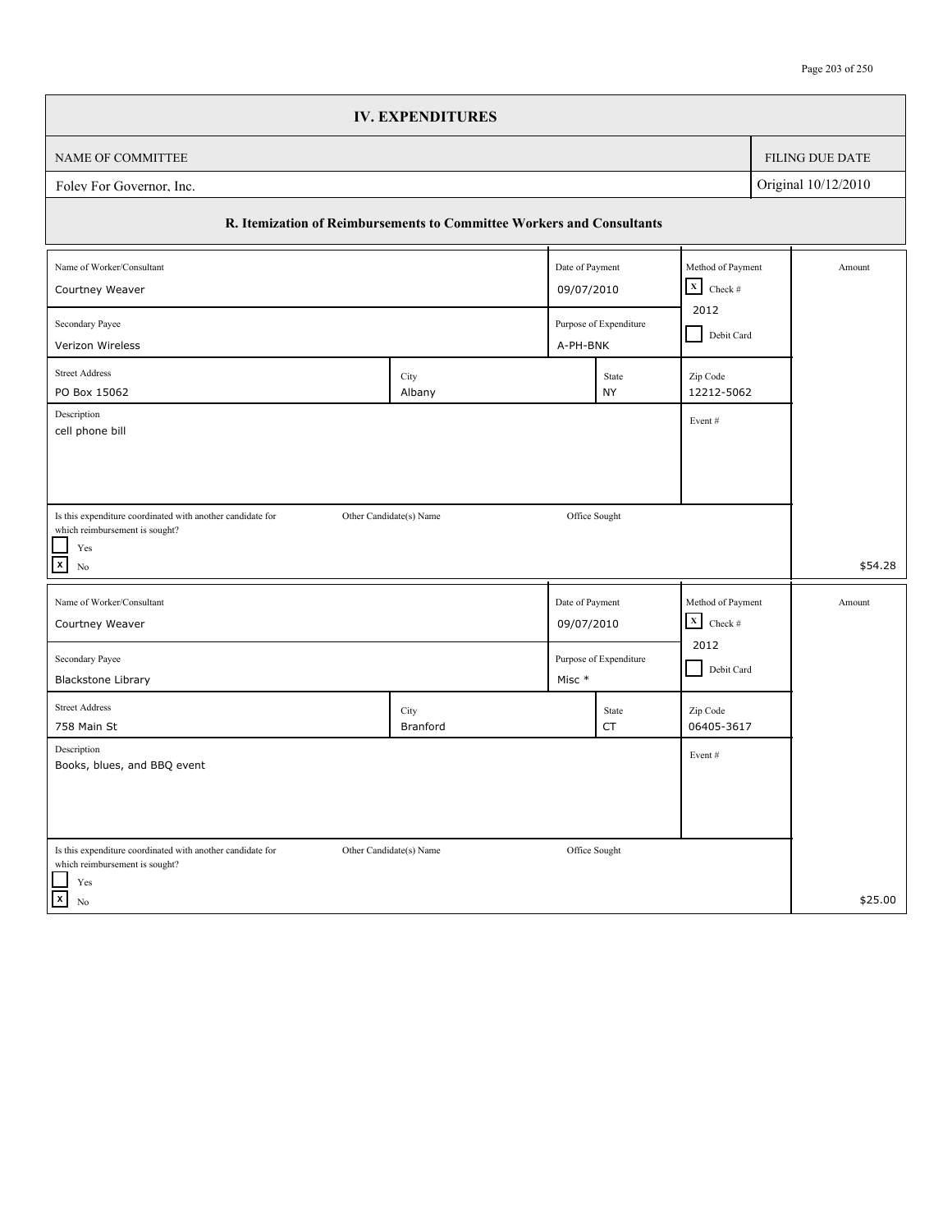|                                                                                              | <b>IV. EXPENDITURES</b> |                 |                                    |                        |                   |                 |  |
|----------------------------------------------------------------------------------------------|-------------------------|-----------------|------------------------------------|------------------------|-------------------|-----------------|--|
| NAME OF COMMITTEE                                                                            |                         |                 |                                    |                        |                   | FILING DUE DATE |  |
| Original 10/12/2010<br>Folev For Governor, Inc.                                              |                         |                 |                                    |                        |                   |                 |  |
| R. Itemization of Reimbursements to Committee Workers and Consultants                        |                         |                 |                                    |                        |                   |                 |  |
| Name of Worker/Consultant                                                                    |                         | Date of Payment |                                    | Method of Payment      |                   | Amount          |  |
| Courtney Weaver                                                                              |                         |                 | 09/07/2010                         |                        |                   |                 |  |
| Secondary Payee<br>Verizon Wireless                                                          |                         |                 | Purpose of Expenditure<br>A-PH-BNK |                        | Debit Card        |                 |  |
| <b>Street Address</b>                                                                        |                         |                 |                                    |                        |                   |                 |  |
| PO Box 15062                                                                                 | City<br>Albany          |                 | State<br><b>NY</b>                 | Zip Code<br>12212-5062 |                   |                 |  |
| Description                                                                                  |                         |                 |                                    | Event#                 |                   |                 |  |
| cell phone bill                                                                              |                         |                 |                                    |                        |                   |                 |  |
|                                                                                              |                         |                 |                                    |                        |                   |                 |  |
|                                                                                              |                         |                 |                                    |                        |                   |                 |  |
| Is this expenditure coordinated with another candidate for<br>which reimbursement is sought? | Other Candidate(s) Name |                 | Office Sought                      |                        |                   |                 |  |
| Yes                                                                                          |                         |                 |                                    |                        |                   |                 |  |
| $\mathbf{x}$<br>No                                                                           |                         |                 |                                    |                        |                   | \$54.28         |  |
| Name of Worker/Consultant                                                                    |                         |                 | Date of Payment                    |                        | Method of Payment | Amount          |  |
| Courtney Weaver                                                                              |                         |                 | $X$ Check #<br>09/07/2010          |                        |                   |                 |  |
| Secondary Payee                                                                              | Purpose of Expenditure  |                 | 2012                               |                        |                   |                 |  |
| Debit Card<br><b>Blackstone Library</b><br>Misc *                                            |                         |                 |                                    |                        |                   |                 |  |
| <b>Street Address</b>                                                                        | City                    |                 | State                              | Zip Code               |                   |                 |  |
| 758 Main St                                                                                  | Branford                |                 | <b>CT</b>                          | 06405-3617             |                   |                 |  |
| Description<br>Books, blues, and BBQ event                                                   |                         |                 |                                    | Event#                 |                   |                 |  |
|                                                                                              |                         |                 |                                    |                        |                   |                 |  |
|                                                                                              |                         |                 |                                    |                        |                   |                 |  |
|                                                                                              |                         |                 |                                    |                        |                   |                 |  |
| Is this expenditure coordinated with another candidate for<br>which reimbursement is sought? | Other Candidate(s) Name |                 | Office Sought                      |                        |                   |                 |  |
| Yes                                                                                          |                         |                 |                                    |                        |                   |                 |  |
| $\boldsymbol{\mathsf{x}}$<br>No                                                              |                         |                 |                                    |                        |                   | \$25.00         |  |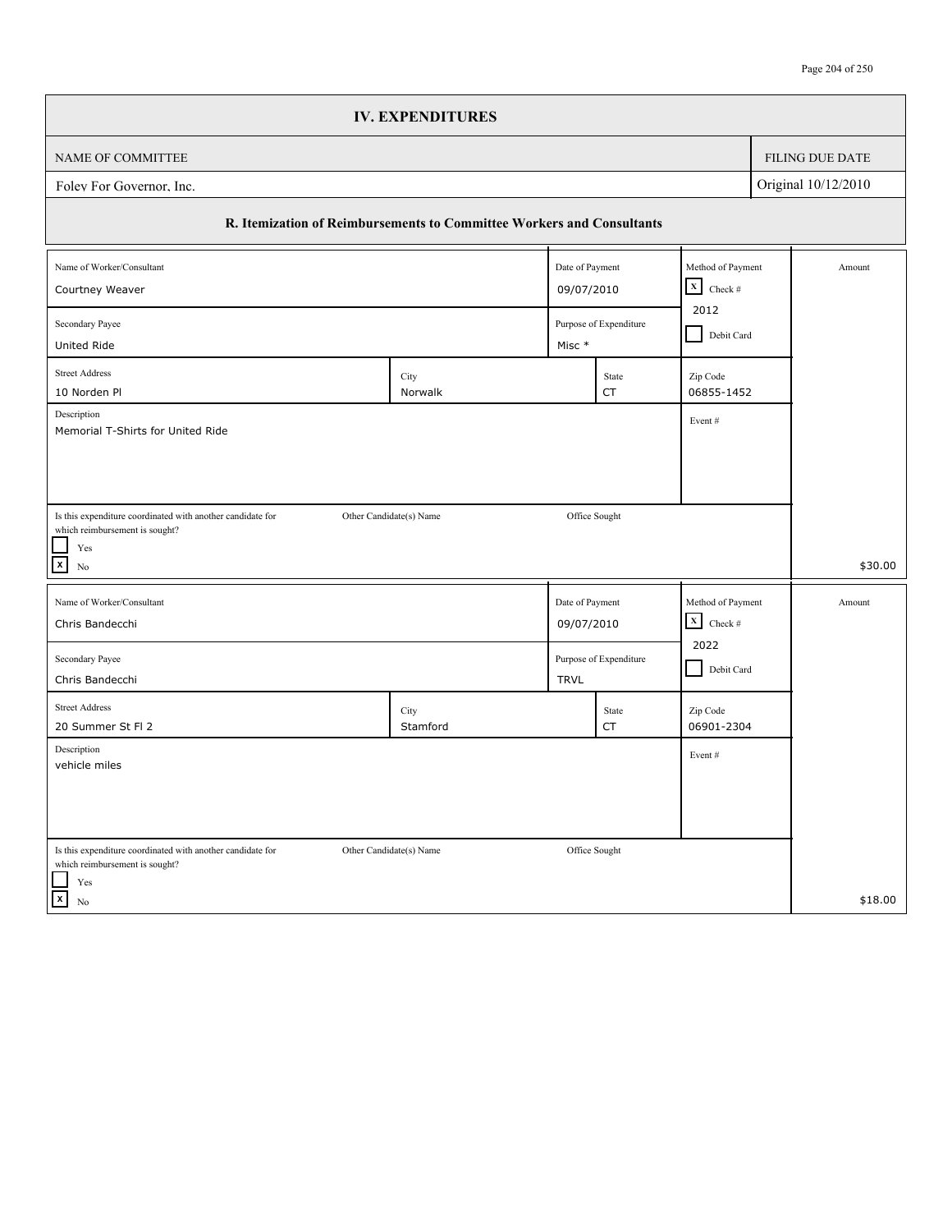|                                                                       | <b>IV. EXPENDITURES</b> |                                |                                        |            |                   |                        |  |
|-----------------------------------------------------------------------|-------------------------|--------------------------------|----------------------------------------|------------|-------------------|------------------------|--|
| NAME OF COMMITTEE                                                     |                         |                                |                                        |            |                   | <b>FILING DUE DATE</b> |  |
| Original 10/12/2010<br>Foley For Governor, Inc.                       |                         |                                |                                        |            |                   |                        |  |
| R. Itemization of Reimbursements to Committee Workers and Consultants |                         |                                |                                        |            |                   |                        |  |
| Method of Payment<br>Name of Worker/Consultant<br>Date of Payment     |                         |                                |                                        |            |                   | Amount                 |  |
| Courtney Weaver                                                       |                         |                                | 09/07/2010                             |            |                   |                        |  |
| Secondary Payee<br>United Ride                                        |                         |                                | Purpose of Expenditure<br>Misc *       |            | Debit Card        |                        |  |
| <b>Street Address</b>                                                 | City                    |                                | State                                  | Zip Code   |                   |                        |  |
| 10 Norden Pl                                                          | Norwalk                 |                                | <b>CT</b>                              | 06855-1452 |                   |                        |  |
| Description<br>Memorial T-Shirts for United Ride                      |                         |                                |                                        | Event#     |                   |                        |  |
|                                                                       |                         |                                |                                        |            |                   |                        |  |
|                                                                       |                         |                                |                                        |            |                   |                        |  |
| Is this expenditure coordinated with another candidate for            | Other Candidate(s) Name |                                | Office Sought                          |            |                   |                        |  |
| which reimbursement is sought?<br>Yes                                 |                         |                                |                                        |            |                   |                        |  |
| $\vert x \vert$<br>No                                                 |                         |                                |                                        |            |                   | \$30.00                |  |
| Name of Worker/Consultant                                             |                         |                                | Date of Payment                        |            | Method of Payment | Amount                 |  |
| Chris Bandecchi                                                       |                         |                                | $\mathbf x$<br>Check $#$<br>09/07/2010 |            |                   |                        |  |
| Secondary Payee                                                       |                         | 2022<br>Purpose of Expenditure |                                        |            |                   |                        |  |
| Chris Bandecchi<br><b>TRVL</b>                                        |                         |                                |                                        |            | Debit Card        |                        |  |
| <b>Street Address</b>                                                 | City                    |                                | State                                  | Zip Code   |                   |                        |  |
| 20 Summer St Fl 2<br>Description                                      | Stamford                |                                | <b>CT</b>                              | 06901-2304 |                   |                        |  |
| vehicle miles                                                         |                         |                                |                                        | Event#     |                   |                        |  |
|                                                                       |                         |                                |                                        |            |                   |                        |  |
|                                                                       |                         |                                |                                        |            |                   |                        |  |
| Is this expenditure coordinated with another candidate for            | Other Candidate(s) Name |                                | Office Sought                          |            |                   |                        |  |
| which reimbursement is sought?<br>Yes                                 |                         |                                |                                        |            |                   |                        |  |
| $\mathbf{x}$<br>No                                                    |                         |                                |                                        |            |                   | \$18.00                |  |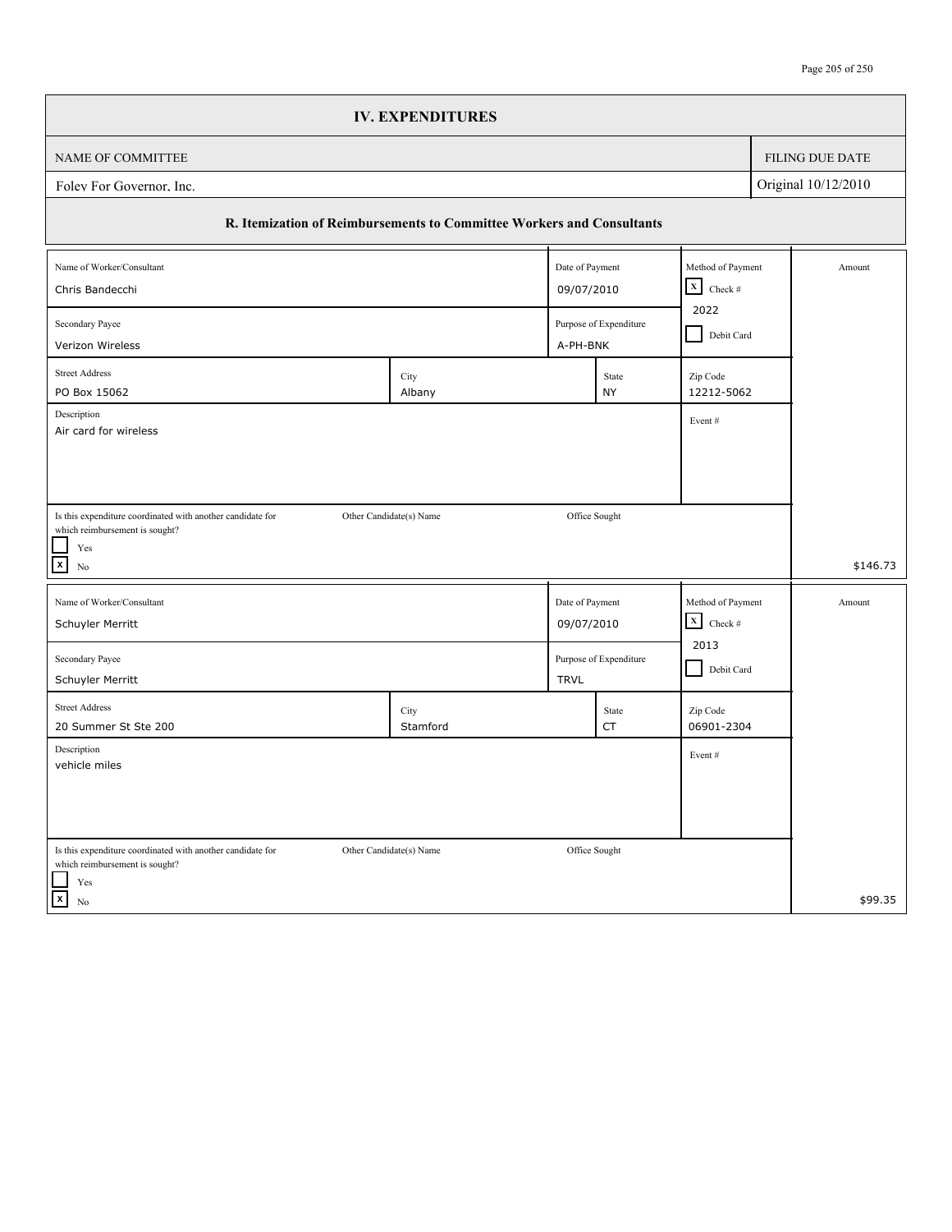|                                                                                                                      | <b>IV. EXPENDITURES</b> |                 |                        |                           |            |                 |
|----------------------------------------------------------------------------------------------------------------------|-------------------------|-----------------|------------------------|---------------------------|------------|-----------------|
| NAME OF COMMITTEE                                                                                                    |                         |                 |                        |                           |            | FILING DUE DATE |
| Original 10/12/2010<br>Folev For Governor, Inc.                                                                      |                         |                 |                        |                           |            |                 |
| R. Itemization of Reimbursements to Committee Workers and Consultants                                                |                         |                 |                        |                           |            |                 |
| Name of Worker/Consultant                                                                                            |                         | Date of Payment |                        | Method of Payment         |            | Amount          |
| $\mathbf x$<br>Check $\#$<br>09/07/2010<br>Chris Bandecchi                                                           |                         |                 |                        |                           |            |                 |
| 2022<br>Secondary Payee<br>Purpose of Expenditure<br>A-PH-BNK<br>Verizon Wireless                                    |                         |                 |                        |                           | Debit Card |                 |
| <b>Street Address</b><br>PO Box 15062                                                                                | City<br>Albany          |                 | State<br><b>NY</b>     | Zip Code<br>12212-5062    |            |                 |
| Description<br>Air card for wireless                                                                                 |                         |                 |                        | Event#                    |            |                 |
|                                                                                                                      |                         |                 |                        |                           |            |                 |
|                                                                                                                      |                         |                 |                        |                           |            |                 |
| Is this expenditure coordinated with another candidate for<br>which reimbursement is sought?                         | Other Candidate(s) Name | Office Sought   |                        |                           |            |                 |
| $\operatorname{Yes}$<br>$\boxed{\mathbf{x}}$<br>No                                                                   |                         |                 |                        |                           |            | \$146.73        |
| Name of Worker/Consultant                                                                                            |                         | Date of Payment |                        | Method of Payment         |            | Amount          |
| Schuyler Merritt                                                                                                     |                         | 09/07/2010      |                        | $\mathbf X$<br>Check $\#$ |            |                 |
| Secondary Payee<br>Schuyler Merritt                                                                                  |                         | <b>TRVL</b>     | Purpose of Expenditure | 2013<br>Debit Card        |            |                 |
| <b>Street Address</b><br>20 Summer St Ste 200                                                                        | City<br>Stamford        |                 | State<br>CT            | Zip Code<br>06901-2304    |            |                 |
| Description<br>vehicle miles                                                                                         |                         |                 |                        | Event#                    |            |                 |
|                                                                                                                      |                         |                 |                        |                           |            |                 |
|                                                                                                                      |                         |                 |                        |                           |            |                 |
| Is this expenditure coordinated with another candidate for<br>which reimbursement is sought?<br>$\operatorname{Yes}$ | Other Candidate(s) Name | Office Sought   |                        |                           |            |                 |
| $\vert x \vert$<br>No                                                                                                |                         |                 |                        |                           |            | \$99.35         |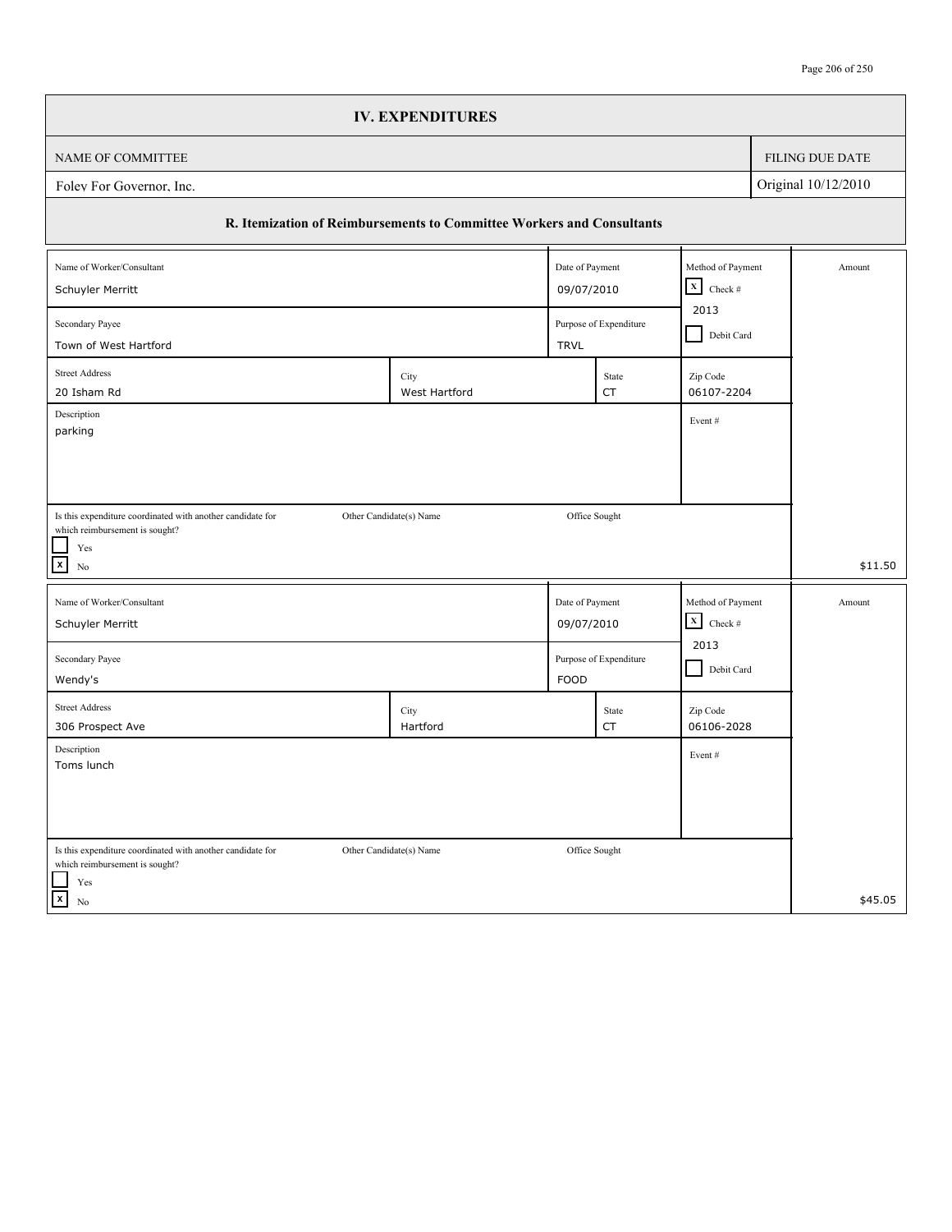|                                                                                                         | <b>IV. EXPENDITURES</b> |                               |                        |                                                              |  |                 |
|---------------------------------------------------------------------------------------------------------|-------------------------|-------------------------------|------------------------|--------------------------------------------------------------|--|-----------------|
| NAME OF COMMITTEE                                                                                       |                         |                               |                        |                                                              |  | FILING DUE DATE |
| Original 10/12/2010<br>Folev For Governor, Inc.                                                         |                         |                               |                        |                                                              |  |                 |
| R. Itemization of Reimbursements to Committee Workers and Consultants                                   |                         |                               |                        |                                                              |  |                 |
| Name of Worker/Consultant                                                                               |                         | Date of Payment               |                        | Method of Payment                                            |  | Amount          |
| $\mathbf x$<br>09/07/2010<br>Schuyler Merritt                                                           |                         |                               |                        |                                                              |  |                 |
| 2013<br>Purpose of Expenditure<br>Secondary Payee<br>Debit Card<br>Town of West Hartford<br><b>TRVL</b> |                         |                               |                        |                                                              |  |                 |
| <b>Street Address</b><br>20 Isham Rd                                                                    | City<br>West Hartford   |                               | State<br>CT            | Zip Code<br>06107-2204                                       |  |                 |
| Description<br>parking                                                                                  |                         |                               |                        | Event#                                                       |  |                 |
|                                                                                                         |                         |                               |                        |                                                              |  |                 |
|                                                                                                         |                         |                               |                        |                                                              |  |                 |
| Is this expenditure coordinated with another candidate for<br>which reimbursement is sought?            | Other Candidate(s) Name | Office Sought                 |                        |                                                              |  |                 |
| Yes<br>$\mathbf{x}$                                                                                     |                         |                               |                        |                                                              |  |                 |
| No                                                                                                      |                         |                               |                        |                                                              |  | \$11.50         |
| Name of Worker/Consultant<br>Schuyler Merritt                                                           |                         | Date of Payment<br>09/07/2010 |                        | Method of Payment<br>$\boldsymbol{\mathrm{X}}$<br>Check $\#$ |  | Amount          |
|                                                                                                         |                         |                               |                        | 2013                                                         |  |                 |
| Secondary Payee<br>Wendy's                                                                              |                         | <b>FOOD</b>                   | Purpose of Expenditure | Debit Card                                                   |  |                 |
| <b>Street Address</b>                                                                                   | City                    |                               | State                  | Zip Code                                                     |  |                 |
| 306 Prospect Ave<br>Description                                                                         | Hartford                |                               | CT                     | 06106-2028<br>Event#                                         |  |                 |
| Toms lunch                                                                                              |                         |                               |                        |                                                              |  |                 |
|                                                                                                         |                         |                               |                        |                                                              |  |                 |
| Is this expenditure coordinated with another candidate for                                              | Other Candidate(s) Name | Office Sought                 |                        |                                                              |  |                 |
| which reimbursement is sought?<br>Yes                                                                   |                         |                               |                        |                                                              |  |                 |
| $\overline{x}$<br>No                                                                                    |                         |                               |                        |                                                              |  | \$45.05         |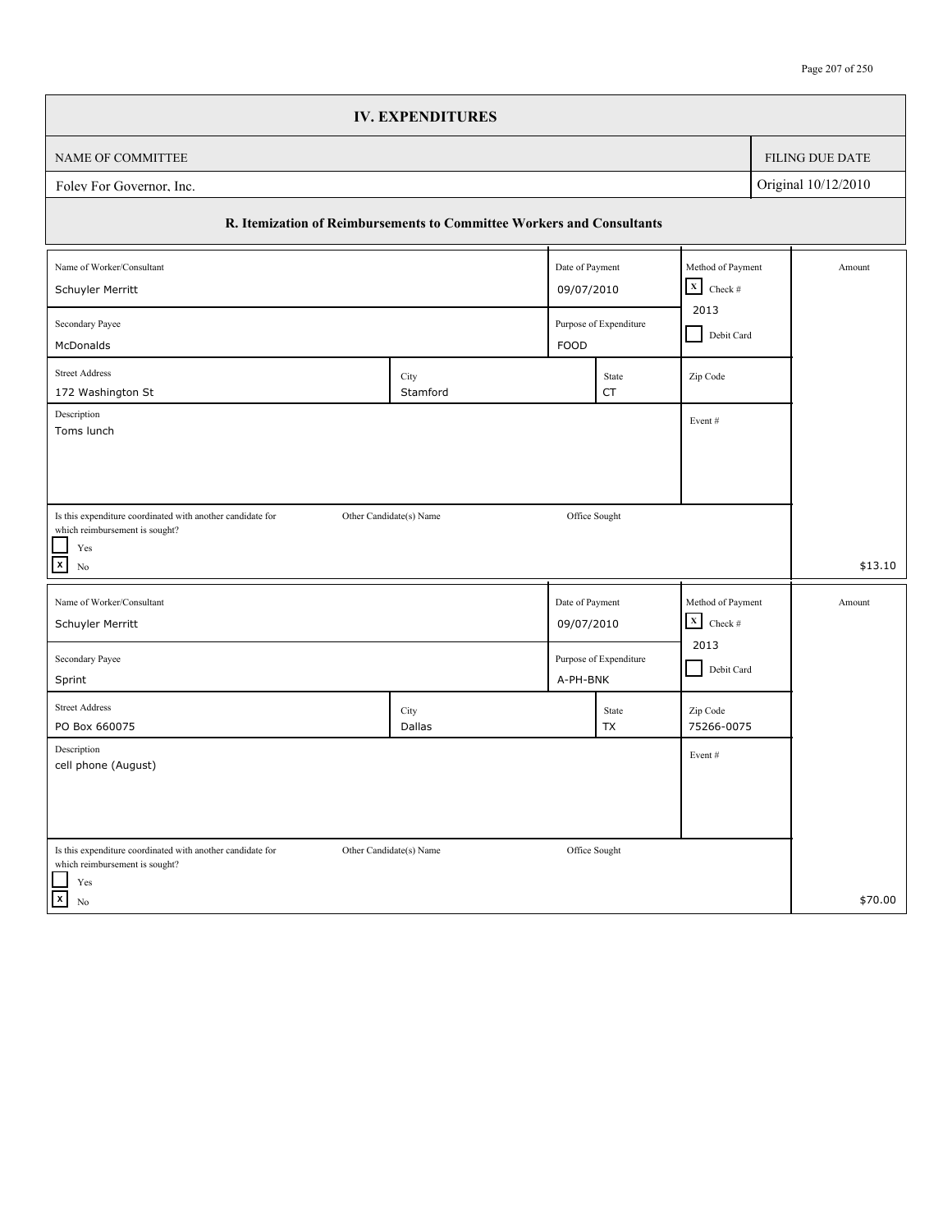|                                                                                                                                                      | <b>IV. EXPENDITURES</b> |                               |                        |                                             |            |                        |  |
|------------------------------------------------------------------------------------------------------------------------------------------------------|-------------------------|-------------------------------|------------------------|---------------------------------------------|------------|------------------------|--|
| <b>NAME OF COMMITTEE</b>                                                                                                                             |                         |                               |                        |                                             |            | <b>FILING DUE DATE</b> |  |
| Original 10/12/2010<br>Folev For Governor, Inc.                                                                                                      |                         |                               |                        |                                             |            |                        |  |
| R. Itemization of Reimbursements to Committee Workers and Consultants                                                                                |                         |                               |                        |                                             |            |                        |  |
| Name of Worker/Consultant<br>Schuyler Merritt                                                                                                        |                         | Date of Payment<br>09/07/2010 |                        | Method of Payment<br>$\mathbf x$<br>Check # |            | Amount                 |  |
| Secondary Payee<br>Purpose of Expenditure<br><b>FOOD</b><br>McDonalds                                                                                |                         |                               |                        |                                             | Debit Card |                        |  |
| <b>Street Address</b><br>172 Washington St                                                                                                           | City<br>Stamford        |                               | State<br><b>CT</b>     | Zip Code                                    |            |                        |  |
| Description<br>Toms lunch                                                                                                                            |                         |                               |                        | Event#                                      |            |                        |  |
| Is this expenditure coordinated with another candidate for<br>Other Candidate(s) Name<br>which reimbursement is sought?<br>Yes<br>$\mathbf{x}$<br>No |                         | Office Sought                 |                        |                                             |            | \$13.10                |  |
| Name of Worker/Consultant<br>Schuyler Merritt                                                                                                        |                         | Date of Payment<br>09/07/2010 |                        | Method of Payment<br>$\mathbf x$<br>Check # |            | Amount                 |  |
| Secondary Payee<br>Sprint                                                                                                                            |                         | A-PH-BNK                      | Purpose of Expenditure | 2013<br>Debit Card                          |            |                        |  |
| <b>Street Address</b><br>PO Box 660075                                                                                                               | City<br>Dallas          |                               | State<br><b>TX</b>     | Zip Code<br>75266-0075                      |            |                        |  |
| Description<br>cell phone (August)                                                                                                                   |                         |                               |                        | Event#                                      |            |                        |  |
| Is this expenditure coordinated with another candidate for<br>which reimbursement is sought?                                                         | Other Candidate(s) Name | Office Sought                 |                        |                                             |            |                        |  |
| Yes<br>$\sqrt{x}$<br>No                                                                                                                              |                         |                               |                        |                                             |            | \$70.00                |  |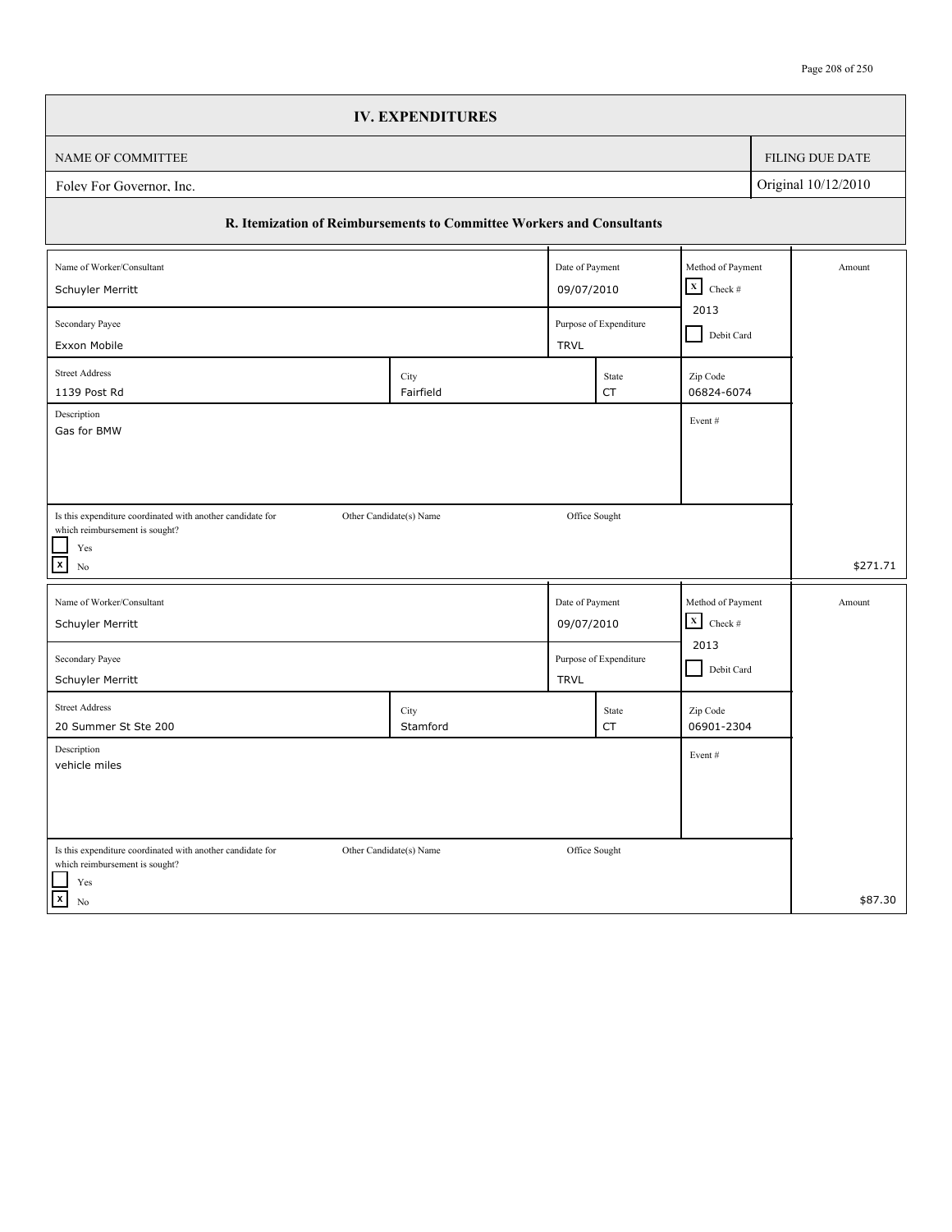|                                                                                                | <b>IV. EXPENDITURES</b> |                 |                        |                         |  |                 |
|------------------------------------------------------------------------------------------------|-------------------------|-----------------|------------------------|-------------------------|--|-----------------|
| NAME OF COMMITTEE                                                                              |                         |                 |                        |                         |  | FILING DUE DATE |
| Original 10/12/2010<br>Folev For Governor, Inc.                                                |                         |                 |                        |                         |  |                 |
| R. Itemization of Reimbursements to Committee Workers and Consultants                          |                         |                 |                        |                         |  |                 |
| Name of Worker/Consultant                                                                      |                         | Date of Payment |                        | Method of Payment       |  | Amount          |
| $\vert x \vert$<br>Schuyler Merritt<br>09/07/2010                                              |                         |                 |                        |                         |  |                 |
| 2013<br>Secondary Payee<br>Purpose of Expenditure<br>Debit Card<br>Exxon Mobile<br><b>TRVL</b> |                         |                 |                        |                         |  |                 |
| <b>Street Address</b>                                                                          | City                    |                 | State                  | Zip Code                |  |                 |
| 1139 Post Rd                                                                                   | Fairfield               |                 | <b>CT</b>              | 06824-6074              |  |                 |
| Description<br>Gas for BMW                                                                     |                         |                 |                        | Event#                  |  |                 |
|                                                                                                |                         |                 |                        |                         |  |                 |
|                                                                                                |                         |                 |                        |                         |  |                 |
| Is this expenditure coordinated with another candidate for                                     | Other Candidate(s) Name | Office Sought   |                        |                         |  |                 |
| which reimbursement is sought?<br>Yes                                                          |                         |                 |                        |                         |  |                 |
| $\boxed{\mathsf{x}}$<br>No                                                                     |                         |                 |                        |                         |  | \$271.71        |
| Name of Worker/Consultant                                                                      |                         | Date of Payment |                        | Method of Payment       |  | Amount          |
| Schuyler Merritt                                                                               |                         | 09/07/2010      |                        | $\mathbf{x}$<br>Check # |  |                 |
| Secondary Payee                                                                                |                         |                 | Purpose of Expenditure | 2013                    |  |                 |
| Schuyler Merritt                                                                               |                         | <b>TRVL</b>     |                        | Debit Card              |  |                 |
| <b>Street Address</b>                                                                          | City                    |                 | State                  | Zip Code                |  |                 |
| 20 Summer St Ste 200                                                                           | Stamford                |                 | CT                     | 06901-2304              |  |                 |
| Description<br>vehicle miles                                                                   |                         |                 |                        | Event#                  |  |                 |
|                                                                                                |                         |                 |                        |                         |  |                 |
|                                                                                                |                         |                 |                        |                         |  |                 |
| Is this expenditure coordinated with another candidate for                                     | Other Candidate(s) Name | Office Sought   |                        |                         |  |                 |
| which reimbursement is sought?                                                                 |                         |                 |                        |                         |  |                 |
| Yes                                                                                            |                         |                 |                        |                         |  |                 |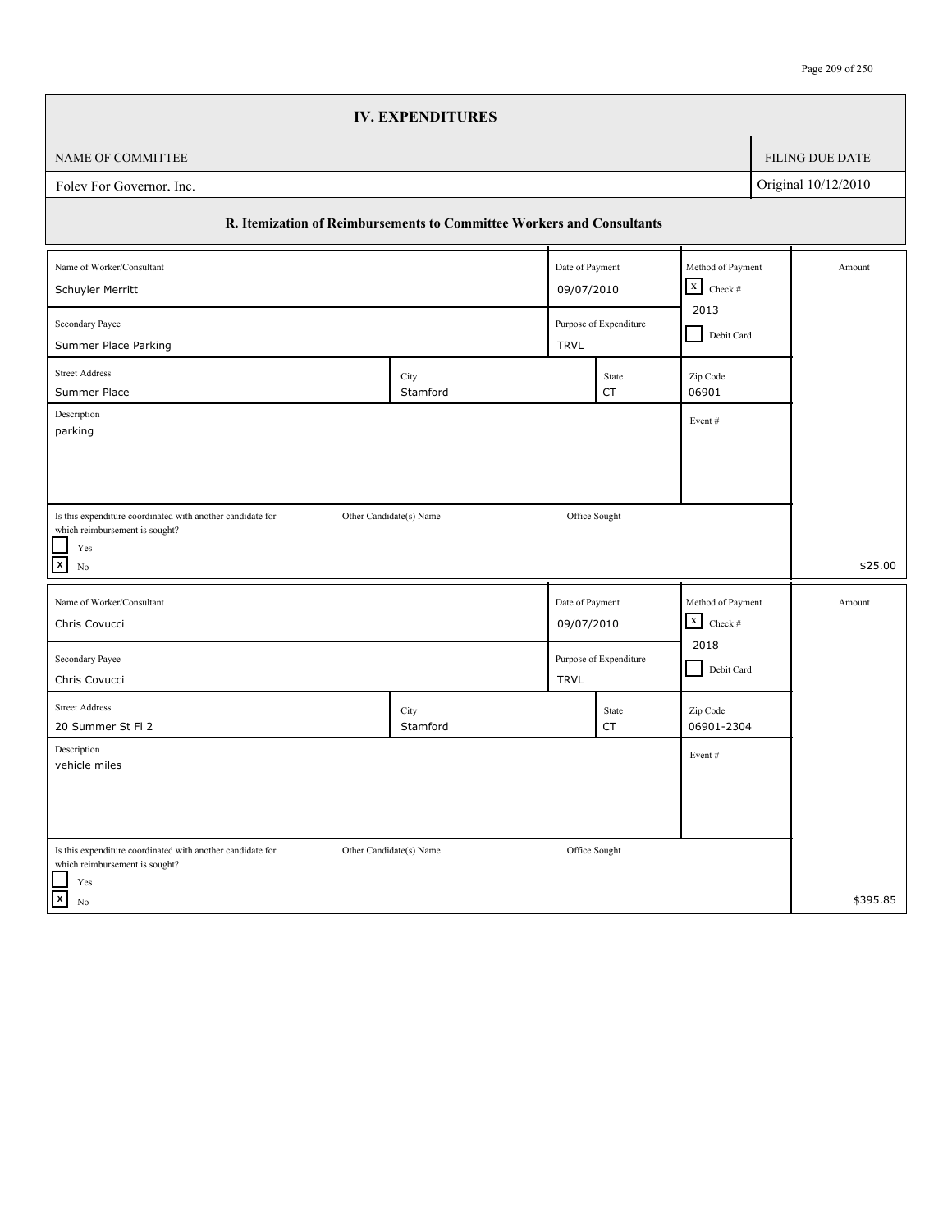|                                                                                              | <b>IV. EXPENDITURES</b> |                 |                        |                                  |            |                 |
|----------------------------------------------------------------------------------------------|-------------------------|-----------------|------------------------|----------------------------------|------------|-----------------|
| NAME OF COMMITTEE                                                                            |                         |                 |                        |                                  |            | FILING DUE DATE |
| Original 10/12/2010<br>Folev For Governor, Inc.                                              |                         |                 |                        |                                  |            |                 |
| R. Itemization of Reimbursements to Committee Workers and Consultants                        |                         |                 |                        |                                  |            |                 |
| Name of Worker/Consultant                                                                    |                         | Date of Payment |                        | Method of Payment<br>$\mathbf x$ |            | Amount          |
| Schuyler Merritt<br>09/07/2010                                                               |                         |                 |                        |                                  |            |                 |
| Secondary Payee<br>Purpose of Expenditure                                                    |                         |                 |                        |                                  | Debit Card |                 |
| Summer Place Parking                                                                         |                         | <b>TRVL</b>     |                        |                                  |            |                 |
| <b>Street Address</b><br>Summer Place                                                        | City<br>Stamford        |                 | State<br>CT            | Zip Code<br>06901                |            |                 |
| Description                                                                                  |                         |                 |                        | Event#                           |            |                 |
| parking                                                                                      |                         |                 |                        |                                  |            |                 |
|                                                                                              |                         |                 |                        |                                  |            |                 |
|                                                                                              |                         |                 |                        |                                  |            |                 |
| Is this expenditure coordinated with another candidate for<br>which reimbursement is sought? | Other Candidate(s) Name | Office Sought   |                        |                                  |            |                 |
| Yes                                                                                          |                         |                 |                        |                                  |            |                 |
| $\mathbf{x}$<br>No                                                                           |                         |                 |                        |                                  |            | \$25.00         |
| Name of Worker/Consultant                                                                    |                         | Date of Payment |                        | Method of Payment                |            | Amount          |
| Chris Covucci                                                                                |                         | 09/07/2010      |                        | $\mathbf x$<br>Check #           |            |                 |
| Secondary Payee                                                                              |                         |                 | Purpose of Expenditure | 2018                             |            |                 |
| Chris Covucci                                                                                |                         | <b>TRVL</b>     |                        | Debit Card                       |            |                 |
| <b>Street Address</b>                                                                        | City                    |                 | State                  | Zip Code                         |            |                 |
| 20 Summer St Fl 2                                                                            | Stamford                |                 | CT                     | 06901-2304                       |            |                 |
| Description<br>vehicle miles                                                                 |                         |                 |                        | Event#                           |            |                 |
|                                                                                              |                         |                 |                        |                                  |            |                 |
|                                                                                              |                         |                 |                        |                                  |            |                 |
|                                                                                              |                         |                 |                        |                                  |            |                 |
| Is this expenditure coordinated with another candidate for<br>which reimbursement is sought? | Other Candidate(s) Name | Office Sought   |                        |                                  |            |                 |
| Yes<br>$\mathbf{x}$                                                                          |                         |                 |                        |                                  |            | \$395.85        |
| No                                                                                           |                         |                 |                        |                                  |            |                 |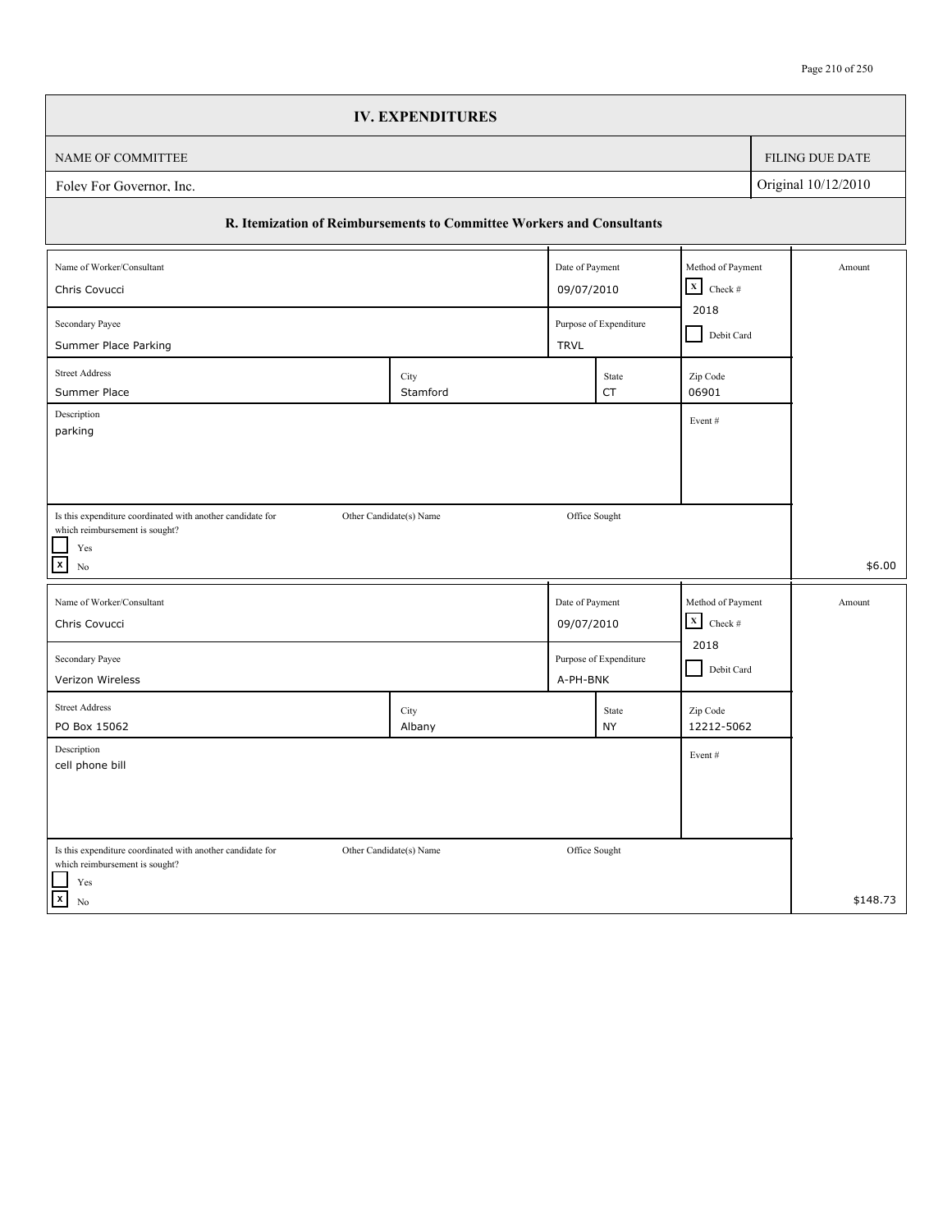|                                                                                                                      | <b>IV. EXPENDITURES</b> |                               |                        |                                                |            |                 |
|----------------------------------------------------------------------------------------------------------------------|-------------------------|-------------------------------|------------------------|------------------------------------------------|------------|-----------------|
| NAME OF COMMITTEE                                                                                                    |                         |                               |                        |                                                |            | FILING DUE DATE |
| Original 10/12/2010<br>Folev For Governor, Inc.                                                                      |                         |                               |                        |                                                |            |                 |
| R. Itemization of Reimbursements to Committee Workers and Consultants                                                |                         |                               |                        |                                                |            |                 |
| Name of Worker/Consultant<br>Chris Covucci                                                                           |                         | Date of Payment<br>09/07/2010 |                        | Method of Payment<br>$\mathbf x$<br>Check $\#$ |            | Amount          |
| 2018<br>Secondary Payee<br>Purpose of Expenditure                                                                    |                         |                               |                        |                                                | Debit Card |                 |
| Summer Place Parking<br><b>Street Address</b><br>Summer Place                                                        | City<br>Stamford        | <b>TRVL</b>                   | State<br><b>CT</b>     | Zip Code<br>06901                              |            |                 |
| Description<br>parking                                                                                               |                         |                               |                        | Event#                                         |            |                 |
|                                                                                                                      |                         |                               |                        |                                                |            |                 |
| Is this expenditure coordinated with another candidate for<br>which reimbursement is sought?<br>$\operatorname{Yes}$ | Other Candidate(s) Name | Office Sought                 |                        |                                                |            |                 |
| $\boxed{\mathbf{x}}$<br>No                                                                                           |                         |                               |                        |                                                |            | \$6.00          |
| Name of Worker/Consultant<br>Chris Covucci                                                                           |                         | Date of Payment<br>09/07/2010 |                        | Method of Payment<br>$\mathbf X$<br>Check $\#$ |            | Amount          |
| Secondary Payee<br>Verizon Wireless                                                                                  |                         | A-PH-BNK                      | Purpose of Expenditure | 2018<br>Debit Card                             |            |                 |
| <b>Street Address</b><br>PO Box 15062                                                                                | City<br>Albany          |                               | State<br><b>NY</b>     | Zip Code<br>12212-5062                         |            |                 |
| Description<br>cell phone bill                                                                                       |                         |                               |                        | Event#                                         |            |                 |
|                                                                                                                      |                         |                               |                        |                                                |            |                 |
| Is this expenditure coordinated with another candidate for<br>which reimbursement is sought?<br>$\operatorname{Yes}$ | Other Candidate(s) Name | Office Sought                 |                        |                                                |            |                 |
| $\vert x \vert$<br>No                                                                                                |                         |                               |                        |                                                |            | \$148.73        |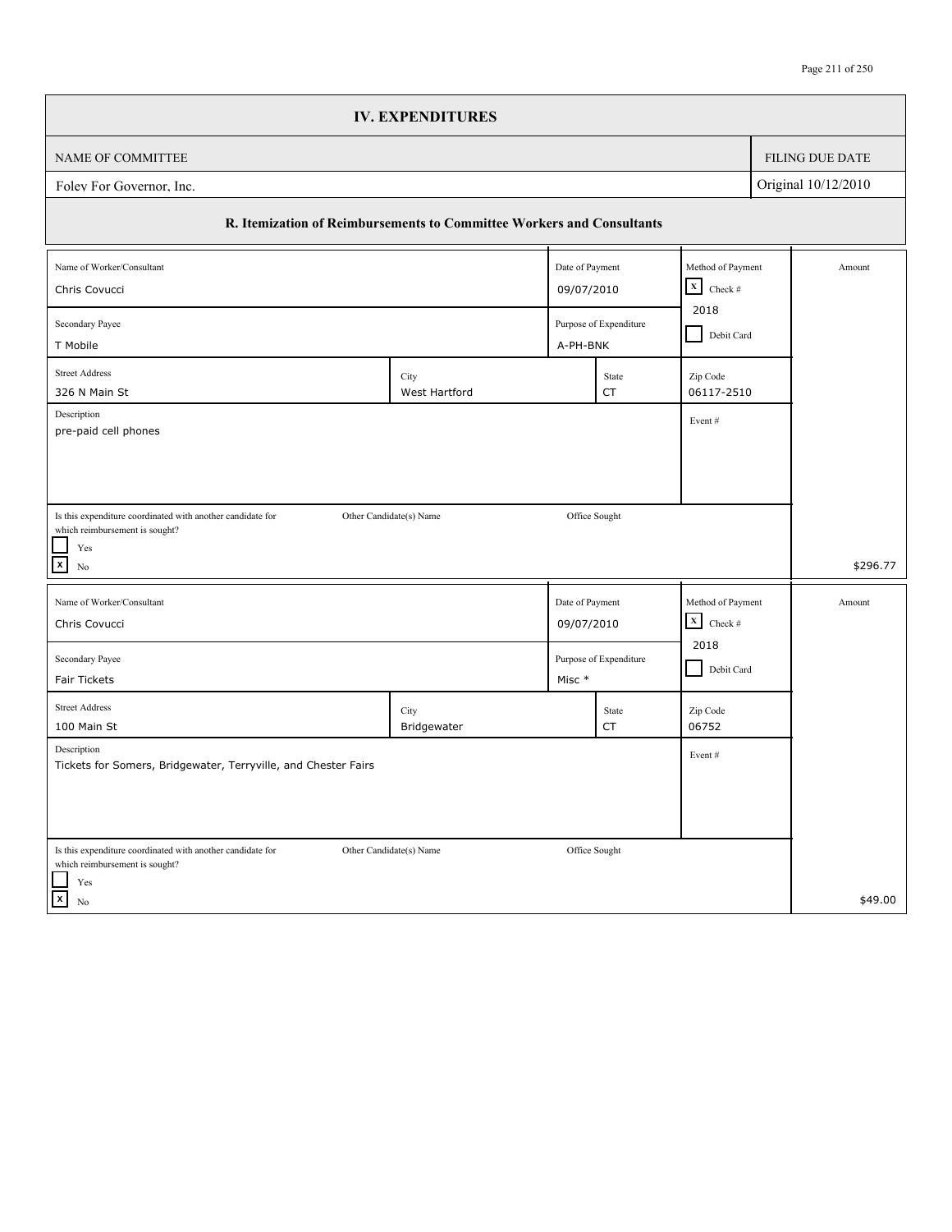|                                                                               | <b>IV. EXPENDITURES</b> |                 |                        |                                             |                        |
|-------------------------------------------------------------------------------|-------------------------|-----------------|------------------------|---------------------------------------------|------------------------|
| NAME OF COMMITTEE                                                             |                         |                 |                        |                                             | <b>FILING DUE DATE</b> |
| Folev For Governor, Inc.                                                      |                         |                 |                        |                                             | Original 10/12/2010    |
| R. Itemization of Reimbursements to Committee Workers and Consultants         |                         |                 |                        |                                             |                        |
| Name of Worker/Consultant                                                     |                         | Date of Payment |                        | Method of Payment<br>$\mathbf x$<br>Check # | Amount                 |
| Chris Covucci                                                                 |                         | 09/07/2010      |                        |                                             |                        |
| Purpose of Expenditure<br>Secondary Payee<br>T Mobile<br>A-PH-BNK             |                         |                 |                        | 2018<br>Debit Card                          |                        |
| <b>Street Address</b><br>326 N Main St                                        | City<br>West Hartford   |                 | State<br>CT            | Zip Code<br>06117-2510                      |                        |
| Description                                                                   |                         |                 |                        | Event#                                      |                        |
| pre-paid cell phones                                                          |                         |                 |                        |                                             |                        |
|                                                                               |                         |                 |                        |                                             |                        |
| Is this expenditure coordinated with another candidate for                    | Other Candidate(s) Name | Office Sought   |                        |                                             |                        |
| which reimbursement is sought?<br>Yes                                         |                         |                 |                        |                                             |                        |
| $\mathbf{x}$<br>No                                                            |                         |                 |                        |                                             | \$296.77               |
| Name of Worker/Consultant                                                     |                         | Date of Payment |                        | Method of Payment                           | Amount                 |
| Chris Covucci                                                                 |                         | 09/07/2010      |                        | $\mathbf X$<br>Check $\#$                   |                        |
| Secondary Payee                                                               |                         |                 | Purpose of Expenditure | 2018<br>Debit Card                          |                        |
| Fair Tickets                                                                  |                         | Misc *          |                        |                                             |                        |
| <b>Street Address</b><br>100 Main St                                          | City<br>Bridgewater     |                 | State<br>CT            | Zip Code<br>06752                           |                        |
| Description<br>Tickets for Somers, Bridgewater, Terryville, and Chester Fairs |                         |                 |                        | Event#                                      |                        |
|                                                                               |                         |                 |                        |                                             |                        |
|                                                                               |                         |                 |                        |                                             |                        |
| Is this expenditure coordinated with another candidate for                    | Other Candidate(s) Name | Office Sought   |                        |                                             |                        |
| which reimbursement is sought?<br>Yes                                         |                         |                 |                        |                                             |                        |
| $\vert x \vert$                                                               |                         |                 |                        |                                             |                        |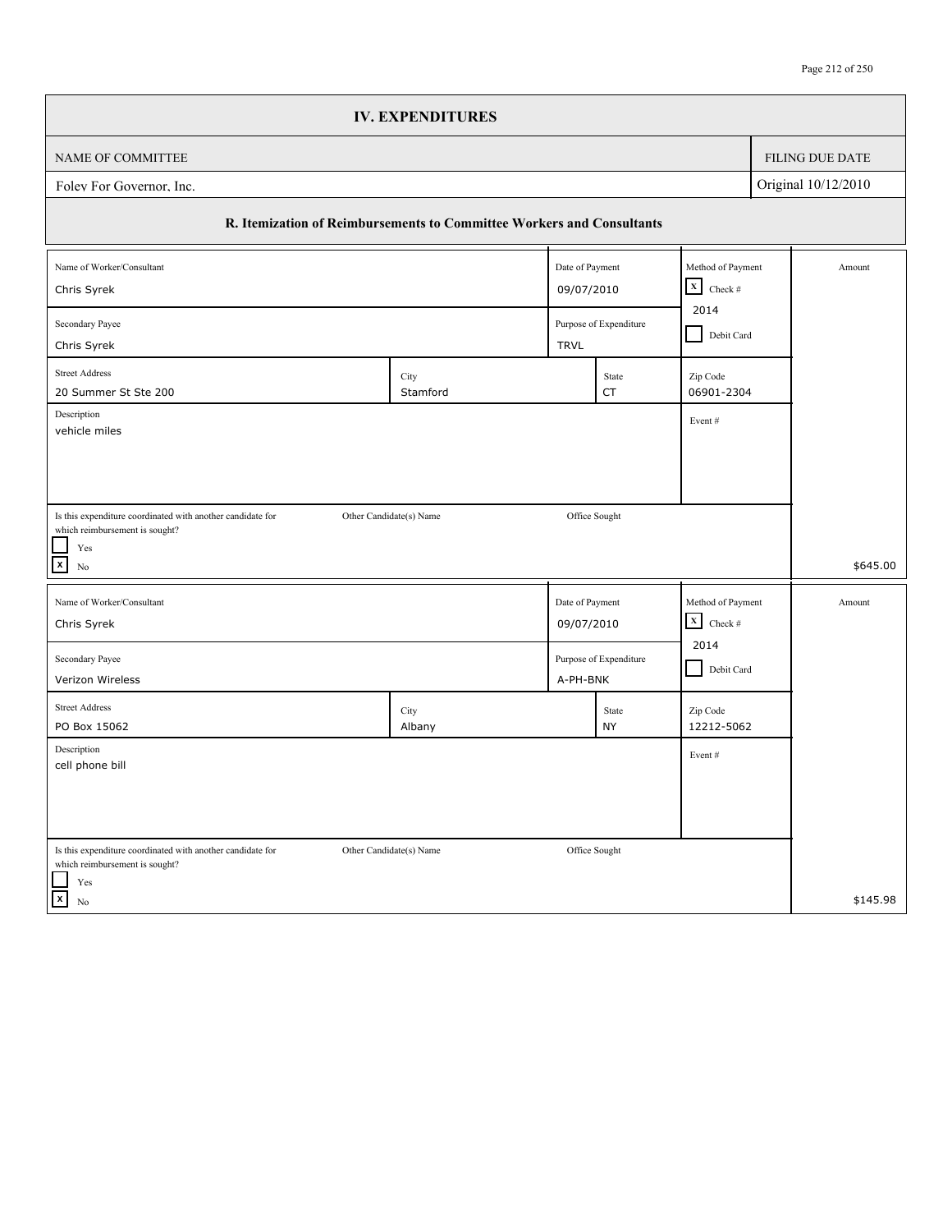|                                                                                              | <b>IV. EXPENDITURES</b> |                 |                                       |                                   |            |                     |
|----------------------------------------------------------------------------------------------|-------------------------|-----------------|---------------------------------------|-----------------------------------|------------|---------------------|
| NAME OF COMMITTEE                                                                            |                         |                 |                                       |                                   |            | FILING DUE DATE     |
| Folev For Governor, Inc.                                                                     |                         |                 |                                       |                                   |            | Original 10/12/2010 |
| R. Itemization of Reimbursements to Committee Workers and Consultants                        |                         |                 |                                       |                                   |            |                     |
| Name of Worker/Consultant                                                                    |                         | Date of Payment |                                       | Method of Payment<br>$\mathbf x$  |            | Amount              |
| Chris Syrek                                                                                  |                         |                 | 09/07/2010                            |                                   |            |                     |
| Secondary Payee<br>Chris Syrek                                                               |                         |                 | Purpose of Expenditure<br><b>TRVL</b> |                                   | Debit Card |                     |
| <b>Street Address</b>                                                                        |                         |                 |                                       |                                   |            |                     |
| 20 Summer St Ste 200                                                                         | City<br>Stamford        |                 | State<br>CT                           | Zip Code<br>06901-2304            |            |                     |
| Description                                                                                  |                         |                 |                                       | Event#                            |            |                     |
| vehicle miles                                                                                |                         |                 |                                       |                                   |            |                     |
|                                                                                              |                         |                 |                                       |                                   |            |                     |
|                                                                                              |                         |                 |                                       |                                   |            |                     |
| Is this expenditure coordinated with another candidate for<br>which reimbursement is sought? | Other Candidate(s) Name | Office Sought   |                                       |                                   |            |                     |
| Yes<br>$\mathbf{x}$                                                                          |                         |                 |                                       |                                   |            | \$645.00            |
| No                                                                                           |                         |                 |                                       |                                   |            |                     |
| Name of Worker/Consultant                                                                    |                         | Date of Payment |                                       | Method of Payment                 |            | Amount              |
| Chris Syrek                                                                                  |                         | 09/07/2010      |                                       | $\mathbf X$<br>Check $\#$<br>2014 |            |                     |
| Secondary Payee                                                                              |                         |                 | Purpose of Expenditure                | Debit Card                        |            |                     |
| Verizon Wireless                                                                             |                         | A-PH-BNK        |                                       |                                   |            |                     |
| <b>Street Address</b>                                                                        | City                    |                 | State                                 | Zip Code                          |            |                     |
| PO Box 15062<br>Description                                                                  | Albany                  |                 | <b>NY</b>                             | 12212-5062                        |            |                     |
| cell phone bill                                                                              |                         |                 |                                       | Event#                            |            |                     |
|                                                                                              |                         |                 |                                       |                                   |            |                     |
|                                                                                              |                         |                 |                                       |                                   |            |                     |
| Is this expenditure coordinated with another candidate for                                   | Other Candidate(s) Name | Office Sought   |                                       |                                   |            |                     |
| which reimbursement is sought?                                                               |                         |                 |                                       |                                   |            |                     |
| Yes<br>$\overline{\mathbf{x}}$<br>No                                                         |                         |                 |                                       |                                   |            | \$145.98            |
|                                                                                              |                         |                 |                                       |                                   |            |                     |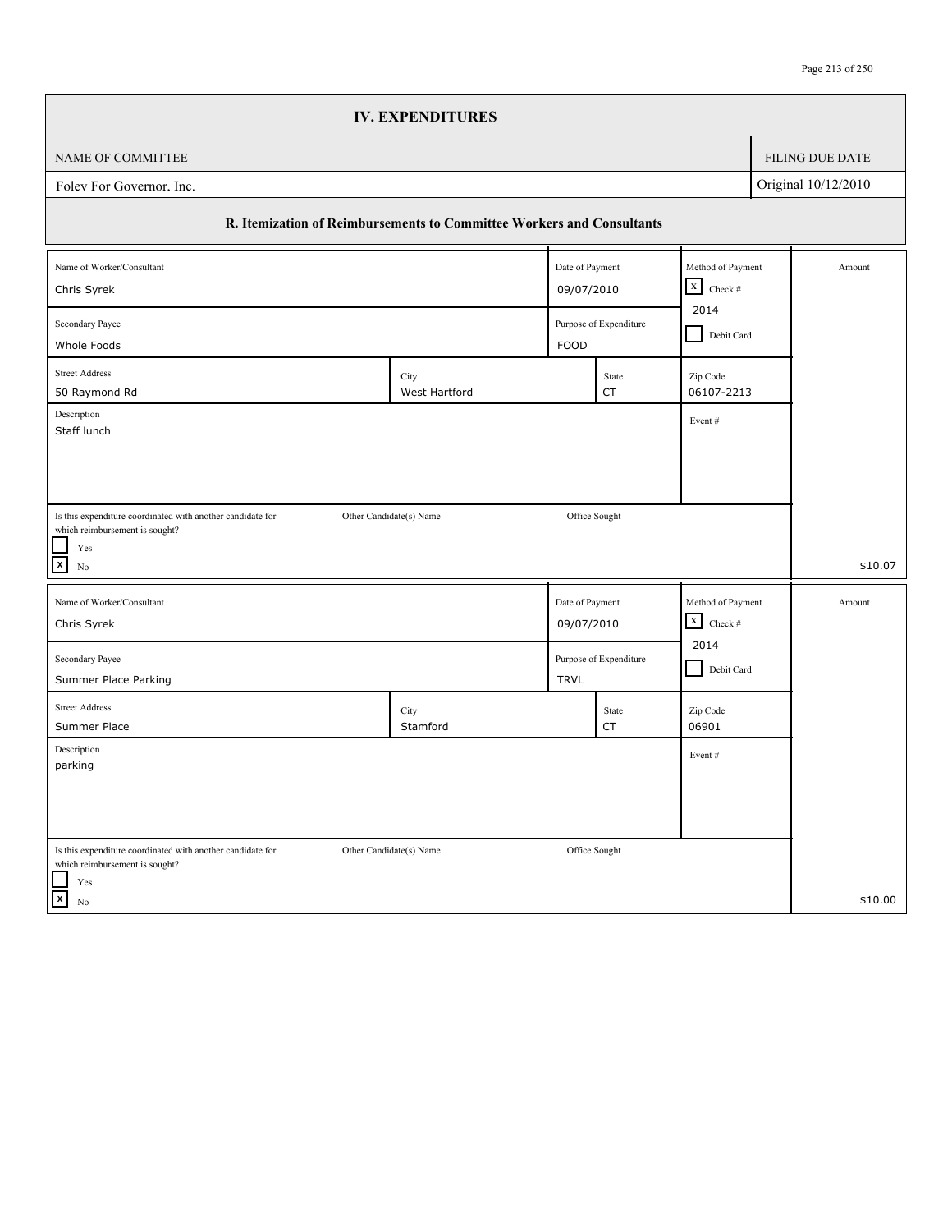|                                                                                              | <b>IV. EXPENDITURES</b> |                 |                                |                           |            |                     |
|----------------------------------------------------------------------------------------------|-------------------------|-----------------|--------------------------------|---------------------------|------------|---------------------|
| NAME OF COMMITTEE                                                                            |                         |                 |                                |                           |            | FILING DUE DATE     |
| Folev For Governor, Inc.                                                                     |                         |                 |                                |                           |            | Original 10/12/2010 |
| R. Itemization of Reimbursements to Committee Workers and Consultants                        |                         |                 |                                |                           |            |                     |
| Name of Worker/Consultant                                                                    |                         | Date of Payment |                                | Method of Payment         |            | Amount              |
| Chris Syrek                                                                                  |                         |                 | 09/07/2010                     |                           |            |                     |
| Secondary Payee<br>Whole Foods                                                               |                         |                 | Purpose of Expenditure<br>FOOD |                           | Debit Card |                     |
| <b>Street Address</b>                                                                        | City                    |                 | State                          | Zip Code                  |            |                     |
| 50 Raymond Rd                                                                                | West Hartford           |                 | <b>CT</b>                      | 06107-2213                |            |                     |
| Description<br>Staff lunch                                                                   |                         |                 |                                | Event#                    |            |                     |
|                                                                                              |                         |                 |                                |                           |            |                     |
|                                                                                              |                         |                 |                                |                           |            |                     |
| Is this expenditure coordinated with another candidate for                                   | Other Candidate(s) Name | Office Sought   |                                |                           |            |                     |
| which reimbursement is sought?<br>$\operatorname{Yes}$                                       |                         |                 |                                |                           |            |                     |
| $\boxed{\mathbf{x}}$<br>No                                                                   |                         |                 |                                |                           |            | \$10.07             |
| Name of Worker/Consultant                                                                    |                         | Date of Payment |                                | Method of Payment         |            | Amount              |
| Chris Syrek                                                                                  |                         | 09/07/2010      |                                | $\mathbf X$<br>Check $\#$ |            |                     |
| Secondary Payee                                                                              |                         |                 | Purpose of Expenditure         | 2014<br>Debit Card        |            |                     |
| Summer Place Parking                                                                         |                         | <b>TRVL</b>     |                                |                           |            |                     |
| <b>Street Address</b>                                                                        | City<br>Stamford        |                 | State                          | Zip Code<br>06901         |            |                     |
| Summer Place<br>Description                                                                  |                         |                 | CT                             |                           |            |                     |
| parking                                                                                      |                         |                 |                                | Event#                    |            |                     |
|                                                                                              |                         |                 |                                |                           |            |                     |
|                                                                                              |                         |                 |                                |                           |            |                     |
| Is this expenditure coordinated with another candidate for<br>which reimbursement is sought? | Other Candidate(s) Name | Office Sought   |                                |                           |            |                     |
| $\operatorname{Yes}$<br>$\vert x \vert$<br>No                                                |                         |                 |                                |                           |            | \$10.00             |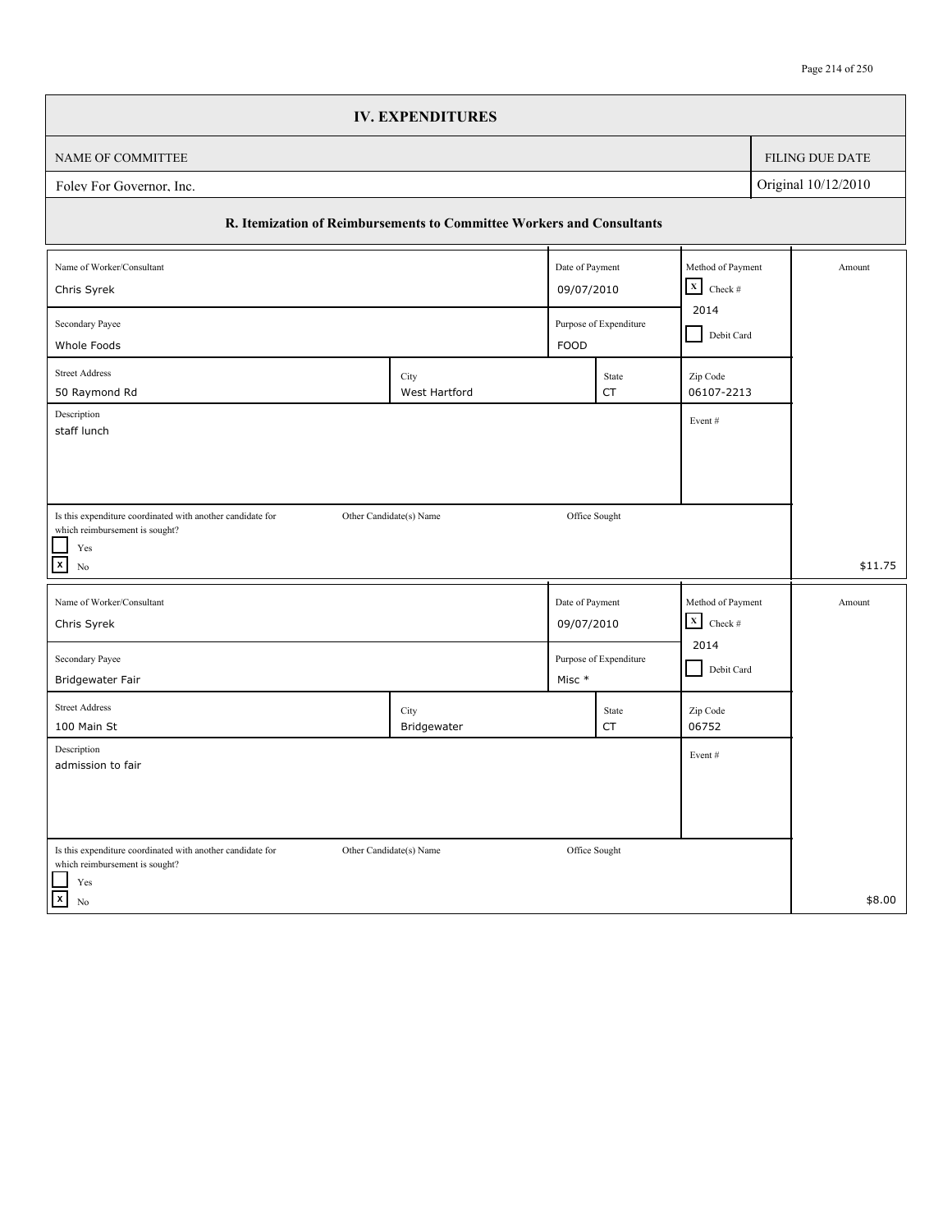|                                                                                                                         | <b>IV. EXPENDITURES</b> |                 |                                       |                                             |            |                        |
|-------------------------------------------------------------------------------------------------------------------------|-------------------------|-----------------|---------------------------------------|---------------------------------------------|------------|------------------------|
| NAME OF COMMITTEE                                                                                                       |                         |                 |                                       |                                             |            | <b>FILING DUE DATE</b> |
| Original 10/12/2010<br>Folev For Governor, Inc.                                                                         |                         |                 |                                       |                                             |            |                        |
| R. Itemization of Reimbursements to Committee Workers and Consultants                                                   |                         |                 |                                       |                                             |            |                        |
| Name of Worker/Consultant                                                                                               |                         | Date of Payment |                                       | Method of Payment<br>$\mathbf x$<br>Check # |            | Amount                 |
| Chris Syrek                                                                                                             |                         |                 | 09/07/2010                            |                                             |            |                        |
| Secondary Payee<br>Whole Foods                                                                                          |                         |                 | Purpose of Expenditure<br><b>FOOD</b> |                                             | Debit Card |                        |
| <b>Street Address</b><br>50 Raymond Rd                                                                                  | City<br>West Hartford   |                 | State<br>CT                           | Zip Code<br>06107-2213                      |            |                        |
| Description<br>staff lunch                                                                                              |                         |                 |                                       | Event#                                      |            |                        |
|                                                                                                                         |                         |                 |                                       |                                             |            |                        |
|                                                                                                                         |                         |                 |                                       |                                             |            |                        |
| Is this expenditure coordinated with another candidate for<br>Other Candidate(s) Name<br>which reimbursement is sought? |                         | Office Sought   |                                       |                                             |            |                        |
| Yes<br>$\boldsymbol{\mathsf{x}}$<br>No                                                                                  |                         |                 |                                       |                                             |            | \$11.75                |
| Name of Worker/Consultant                                                                                               |                         | Date of Payment |                                       | Method of Payment                           |            | Amount                 |
| Chris Syrek                                                                                                             |                         | 09/07/2010      |                                       | $\mathbf X$<br>Check $\#$                   |            |                        |
| Secondary Payee<br>Bridgewater Fair                                                                                     |                         | Misc *          | Purpose of Expenditure                | 2014<br>Debit Card                          |            |                        |
| <b>Street Address</b><br>100 Main St                                                                                    | City<br>Bridgewater     |                 | State<br>CT                           | Zip Code<br>06752                           |            |                        |
| Description<br>admission to fair                                                                                        |                         |                 |                                       | Event#                                      |            |                        |
|                                                                                                                         |                         |                 |                                       |                                             |            |                        |
|                                                                                                                         |                         |                 |                                       |                                             |            |                        |
| Is this expenditure coordinated with another candidate for<br>which reimbursement is sought?                            | Other Candidate(s) Name | Office Sought   |                                       |                                             |            |                        |
| Yes<br>$\vert x \vert$<br>No                                                                                            |                         |                 |                                       |                                             |            | \$8.00                 |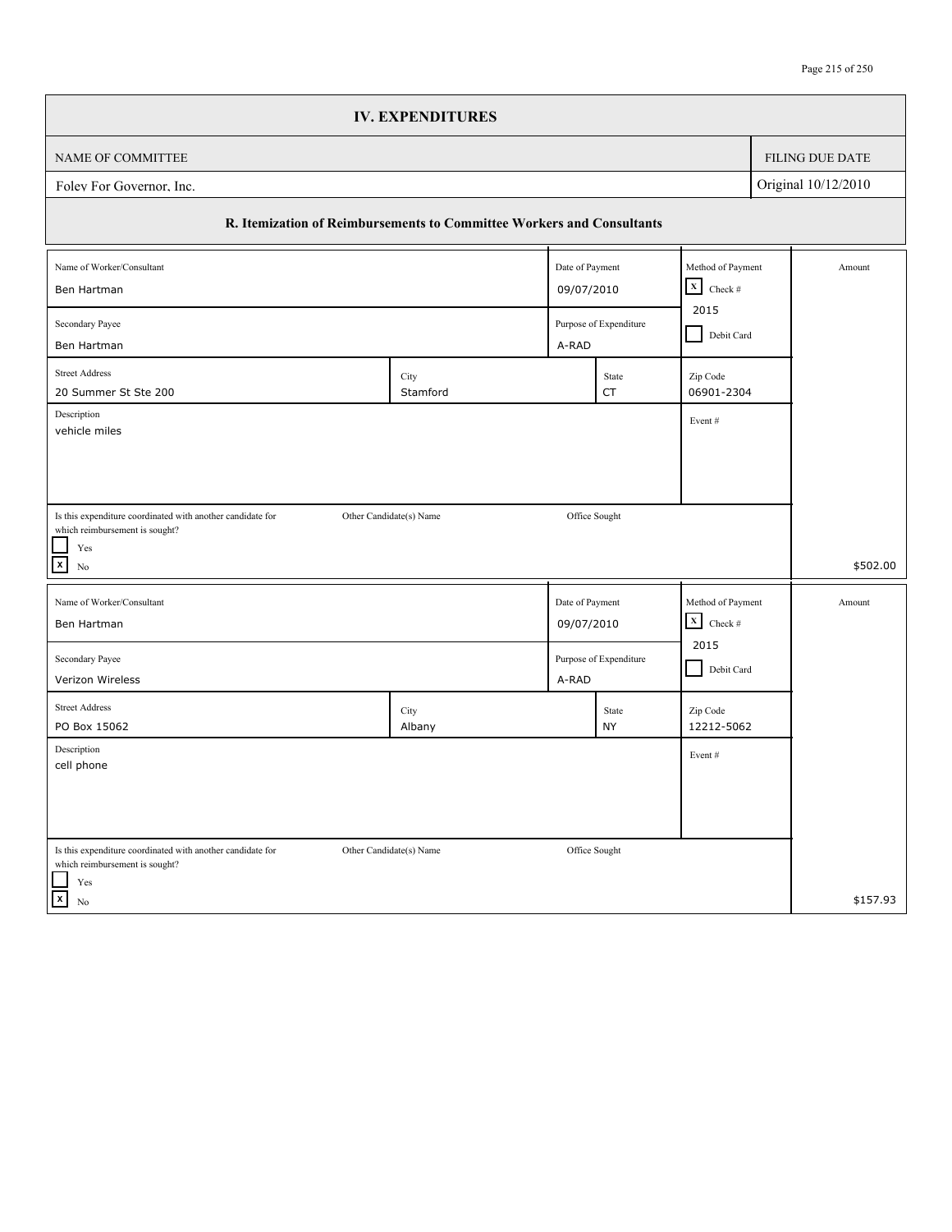|                                                                                                     | <b>IV. EXPENDITURES</b> |                 |                        |                                                 |            |                 |
|-----------------------------------------------------------------------------------------------------|-------------------------|-----------------|------------------------|-------------------------------------------------|------------|-----------------|
| NAME OF COMMITTEE                                                                                   |                         |                 |                        |                                                 |            | FILING DUE DATE |
| Original 10/12/2010<br>Folev For Governor, Inc.                                                     |                         |                 |                        |                                                 |            |                 |
| R. Itemization of Reimbursements to Committee Workers and Consultants                               |                         |                 |                        |                                                 |            |                 |
| Name of Worker/Consultant                                                                           |                         | Date of Payment |                        | Method of Payment<br>$\vert x \vert$<br>Check # |            | Amount          |
| Ben Hartman                                                                                         |                         |                 | 09/07/2010             |                                                 |            |                 |
| Secondary Payee                                                                                     |                         |                 | Purpose of Expenditure |                                                 | Debit Card |                 |
| Ben Hartman                                                                                         |                         | A-RAD           |                        |                                                 |            |                 |
| <b>Street Address</b><br>20 Summer St Ste 200                                                       | City<br>Stamford        |                 | State<br><b>CT</b>     | Zip Code<br>06901-2304                          |            |                 |
| Description                                                                                         |                         |                 |                        | Event#                                          |            |                 |
| vehicle miles                                                                                       |                         |                 |                        |                                                 |            |                 |
|                                                                                                     |                         |                 |                        |                                                 |            |                 |
| Is this expenditure coordinated with another candidate for                                          | Other Candidate(s) Name | Office Sought   |                        |                                                 |            |                 |
| which reimbursement is sought?<br>$\operatorname{Yes}$                                              |                         |                 |                        |                                                 |            |                 |
| $\boxed{\mathsf{x}}$<br>No                                                                          |                         |                 |                        |                                                 |            | \$502.00        |
| Name of Worker/Consultant                                                                           |                         | Date of Payment |                        | Method of Payment                               |            | Amount          |
| Ben Hartman                                                                                         |                         | 09/07/2010      |                        | $\mathbf{x}$<br>Check #                         |            |                 |
| Secondary Payee                                                                                     |                         |                 | Purpose of Expenditure | 2015                                            |            |                 |
| Verizon Wireless                                                                                    |                         | A-RAD           |                        | Debit Card                                      |            |                 |
| <b>Street Address</b>                                                                               | City                    |                 | State                  | Zip Code                                        |            |                 |
| PO Box 15062                                                                                        | Albany                  |                 | <b>NY</b>              | 12212-5062                                      |            |                 |
| Description<br>cell phone                                                                           |                         |                 |                        | Event#                                          |            |                 |
|                                                                                                     |                         |                 |                        |                                                 |            |                 |
|                                                                                                     |                         |                 |                        |                                                 |            |                 |
|                                                                                                     |                         |                 |                        |                                                 |            |                 |
|                                                                                                     |                         |                 |                        |                                                 |            |                 |
| Is this expenditure coordinated with another candidate for<br>which reimbursement is sought?<br>Yes | Other Candidate(s) Name | Office Sought   |                        |                                                 |            |                 |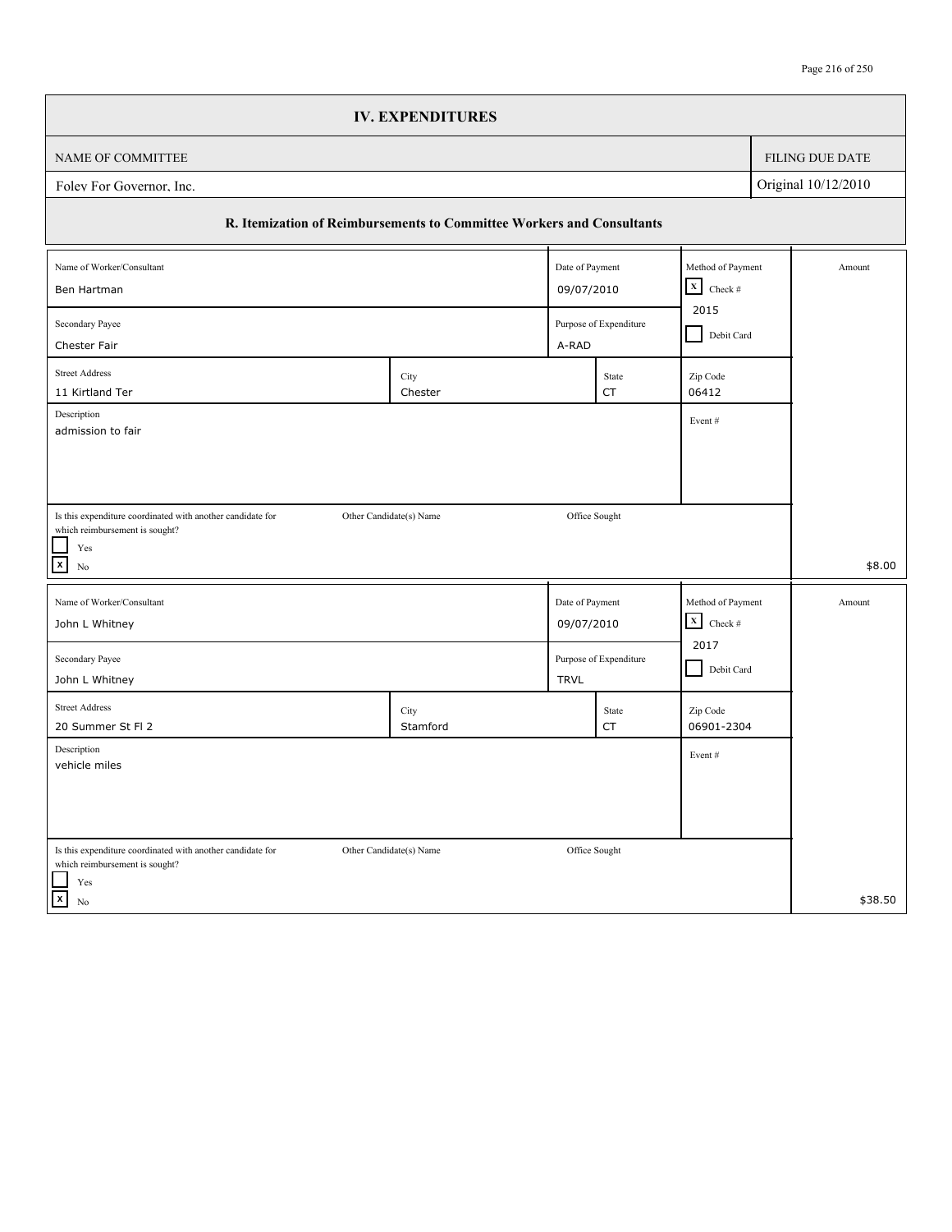|                                                                       | <b>IV. EXPENDITURES</b> |                 |                        |                           |            |                     |
|-----------------------------------------------------------------------|-------------------------|-----------------|------------------------|---------------------------|------------|---------------------|
| NAME OF COMMITTEE                                                     |                         |                 |                        |                           |            | FILING DUE DATE     |
| Folev For Governor, Inc.                                              |                         |                 |                        |                           |            | Original 10/12/2010 |
| R. Itemization of Reimbursements to Committee Workers and Consultants |                         |                 |                        |                           |            |                     |
| Name of Worker/Consultant                                             |                         | Date of Payment |                        | Method of Payment         |            | Amount              |
| Ben Hartman                                                           |                         |                 | 09/07/2010             |                           |            |                     |
| Secondary Payee                                                       |                         |                 | Purpose of Expenditure |                           | Debit Card |                     |
| Chester Fair                                                          |                         | A-RAD           |                        |                           |            |                     |
| <b>Street Address</b><br>11 Kirtland Ter                              | City<br>Chester         |                 | State<br><b>CT</b>     | Zip Code<br>06412         |            |                     |
| Description<br>admission to fair                                      |                         |                 |                        | Event#                    |            |                     |
|                                                                       |                         |                 |                        |                           |            |                     |
|                                                                       |                         |                 |                        |                           |            |                     |
| Is this expenditure coordinated with another candidate for            | Other Candidate(s) Name | Office Sought   |                        |                           |            |                     |
| which reimbursement is sought?                                        |                         |                 |                        |                           |            |                     |
| $\operatorname{Yes}$<br>$\boxed{\mathbf{x}}$<br>No                    |                         |                 |                        |                           |            | \$8.00              |
| Name of Worker/Consultant                                             |                         | Date of Payment |                        | Method of Payment         |            | Amount              |
| John L Whitney                                                        |                         | 09/07/2010      |                        | $\mathbf X$<br>Check $\#$ |            |                     |
|                                                                       |                         |                 |                        | 2017                      |            |                     |
| Secondary Payee<br>John L Whitney                                     |                         | <b>TRVL</b>     | Purpose of Expenditure | Debit Card                |            |                     |
| <b>Street Address</b>                                                 | City                    |                 | State                  | Zip Code                  |            |                     |
| 20 Summer St Fl 2                                                     | Stamford                |                 | CT                     | 06901-2304                |            |                     |
| Description<br>vehicle miles                                          |                         |                 |                        | Event#                    |            |                     |
|                                                                       |                         |                 |                        |                           |            |                     |
|                                                                       |                         |                 |                        |                           |            |                     |
| Is this expenditure coordinated with another candidate for            | Other Candidate(s) Name |                 |                        |                           |            |                     |
|                                                                       |                         |                 |                        |                           |            |                     |
| which reimbursement is sought?<br>$\operatorname{Yes}$                |                         | Office Sought   |                        |                           |            |                     |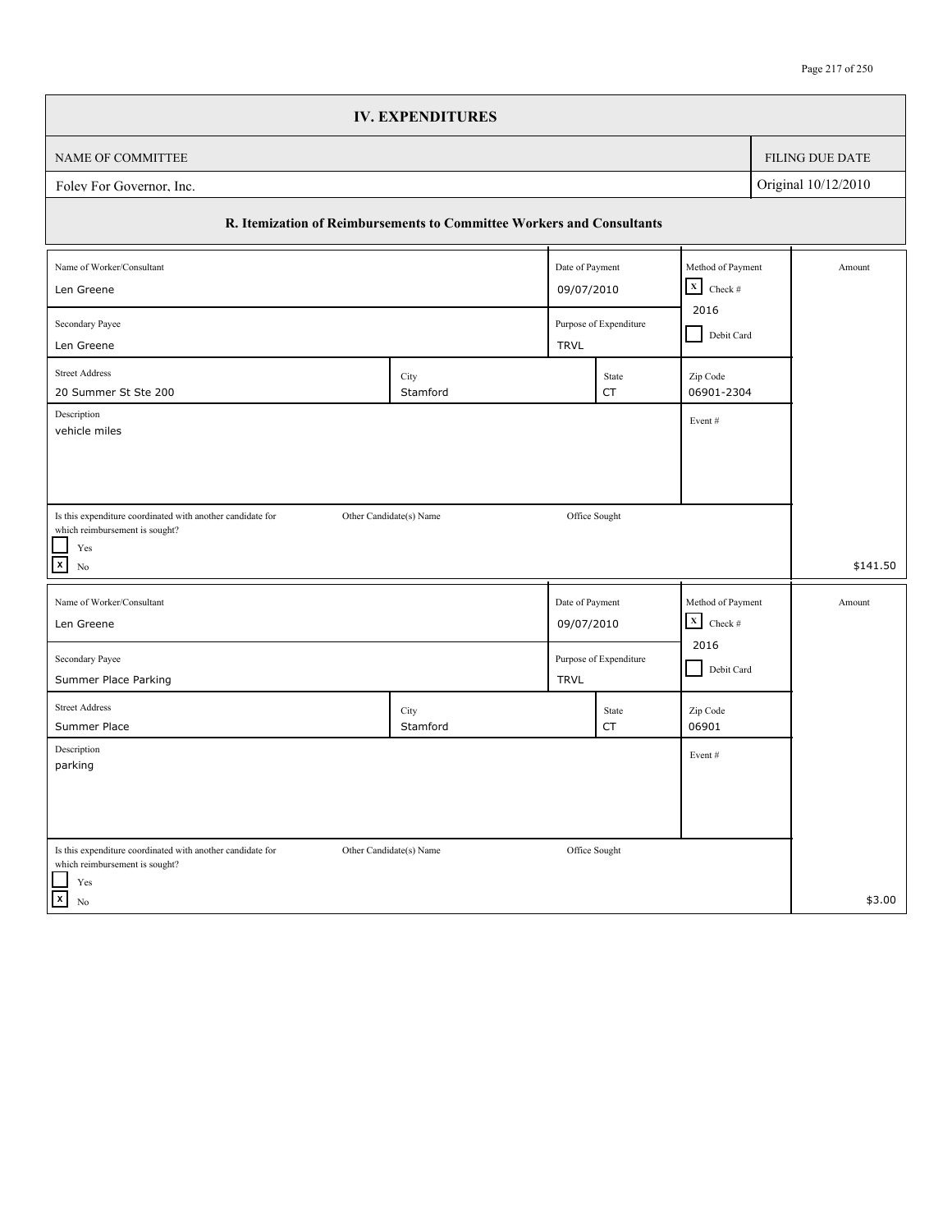|                                                                                              | <b>IV. EXPENDITURES</b> |                 |                                      |                                   |  |                        |
|----------------------------------------------------------------------------------------------|-------------------------|-----------------|--------------------------------------|-----------------------------------|--|------------------------|
| NAME OF COMMITTEE                                                                            |                         |                 |                                      |                                   |  | <b>FILING DUE DATE</b> |
| Original 10/12/2010<br>Foley For Governor, Inc.                                              |                         |                 |                                      |                                   |  |                        |
| R. Itemization of Reimbursements to Committee Workers and Consultants                        |                         |                 |                                      |                                   |  |                        |
| Name of Worker/Consultant                                                                    |                         | Date of Payment |                                      | Method of Payment                 |  | Amount                 |
| Len Greene                                                                                   |                         |                 | 09/07/2010                           |                                   |  |                        |
| Secondary Payee<br>Len Greene                                                                |                         | <b>TRVL</b>     | Purpose of Expenditure               | 2016<br>Debit Card                |  |                        |
|                                                                                              |                         |                 |                                      |                                   |  |                        |
| <b>Street Address</b><br>20 Summer St Ste 200                                                | City<br>Stamford        |                 | State<br>CT                          | Zip Code<br>06901-2304            |  |                        |
| Description                                                                                  |                         |                 |                                      | Event#                            |  |                        |
| vehicle miles                                                                                |                         |                 |                                      |                                   |  |                        |
|                                                                                              |                         |                 |                                      |                                   |  |                        |
|                                                                                              |                         |                 |                                      |                                   |  |                        |
| Is this expenditure coordinated with another candidate for<br>which reimbursement is sought? | Other Candidate(s) Name |                 | Office Sought                        |                                   |  |                        |
| Yes<br>$\boldsymbol{\mathsf{x}}$                                                             |                         |                 |                                      |                                   |  | \$141.50               |
| N <sub>0</sub>                                                                               |                         |                 |                                      |                                   |  |                        |
| Name of Worker/Consultant                                                                    |                         |                 | Method of Payment<br>Date of Payment |                                   |  | Amount                 |
| Len Greene                                                                                   |                         | 09/07/2010      |                                      | $\mathbf X$<br>Check $\#$<br>2016 |  |                        |
| Purpose of Expenditure<br>Secondary Payee                                                    |                         |                 |                                      |                                   |  |                        |
| Summer Place Parking                                                                         |                         | <b>TRVL</b>     |                                      | Debit Card                        |  |                        |
| <b>Street Address</b>                                                                        | City                    |                 | State                                | Zip Code                          |  |                        |
| Summer Place<br>Description                                                                  | Stamford                |                 | CT                                   | 06901                             |  |                        |
| parking                                                                                      |                         |                 |                                      | Event#                            |  |                        |
|                                                                                              |                         |                 |                                      |                                   |  |                        |
|                                                                                              |                         |                 |                                      |                                   |  |                        |
| Is this expenditure coordinated with another candidate for                                   | Other Candidate(s) Name | Office Sought   |                                      |                                   |  |                        |
| which reimbursement is sought?<br>Yes                                                        |                         |                 |                                      |                                   |  |                        |
| $\vert x \vert$<br>$\rm No$                                                                  |                         |                 |                                      |                                   |  | \$3.00                 |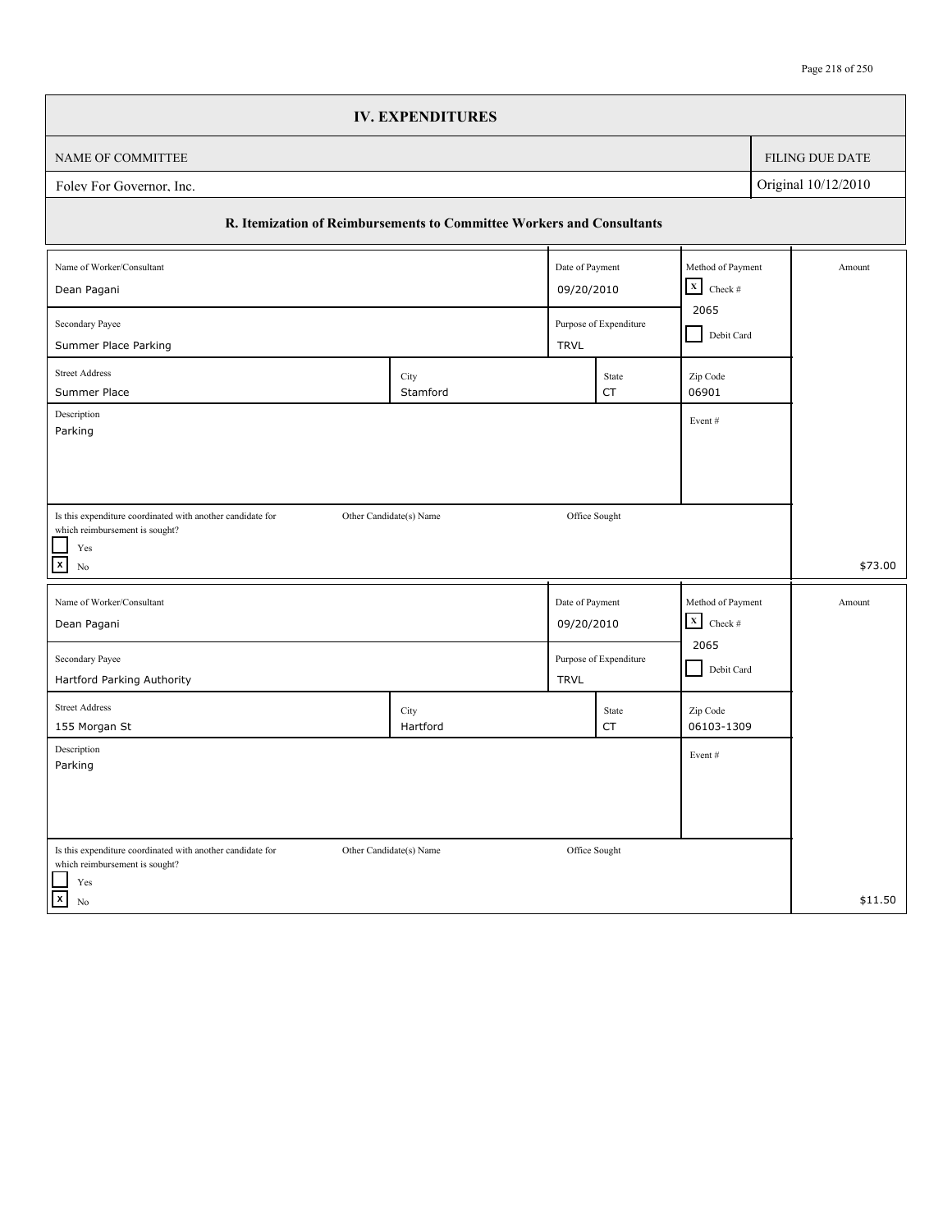|                                                                                                                      | <b>IV. EXPENDITURES</b>                                               |                 |                    |                           |  |                        |
|----------------------------------------------------------------------------------------------------------------------|-----------------------------------------------------------------------|-----------------|--------------------|---------------------------|--|------------------------|
| NAME OF COMMITTEE                                                                                                    |                                                                       |                 |                    |                           |  | <b>FILING DUE DATE</b> |
| Original 10/12/2010<br>Foley For Governor, Inc.                                                                      |                                                                       |                 |                    |                           |  |                        |
|                                                                                                                      | R. Itemization of Reimbursements to Committee Workers and Consultants |                 |                    |                           |  |                        |
| Name of Worker/Consultant                                                                                            |                                                                       | Date of Payment |                    | Method of Payment         |  | Amount                 |
| Dean Pagani                                                                                                          | $\boxed{\mathbf{X}}$ Check #<br>09/20/2010                            |                 |                    |                           |  |                        |
| 2065<br>Secondary Payee<br>Purpose of Expenditure<br>Debit Card<br>Summer Place Parking<br><b>TRVL</b>               |                                                                       |                 |                    |                           |  |                        |
| <b>Street Address</b><br>Summer Place                                                                                | City<br>Stamford                                                      |                 | State<br>CT        | Zip Code<br>06901         |  |                        |
| Description<br>Parking                                                                                               |                                                                       |                 |                    | Event#                    |  |                        |
|                                                                                                                      |                                                                       |                 |                    |                           |  |                        |
|                                                                                                                      |                                                                       |                 |                    |                           |  |                        |
| Is this expenditure coordinated with another candidate for<br>which reimbursement is sought?                         | Other Candidate(s) Name                                               | Office Sought   |                    |                           |  |                        |
| Yes<br>$\mathbf{x}$<br>No                                                                                            |                                                                       |                 |                    |                           |  | \$73.00                |
| Name of Worker/Consultant                                                                                            |                                                                       | Date of Payment |                    | Method of Payment         |  | Amount                 |
| Dean Pagani                                                                                                          |                                                                       | 09/20/2010      |                    | $\mathbf X$<br>Check $\#$ |  |                        |
| Secondary Payee<br>Hartford Parking Authority                                                                        | Purpose of Expenditure<br><b>TRVL</b>                                 |                 |                    | 2065<br>Debit Card        |  |                        |
| <b>Street Address</b><br>155 Morgan St                                                                               | City<br>Hartford                                                      |                 | State<br><b>CT</b> | Zip Code<br>06103-1309    |  |                        |
| Description<br>Parking                                                                                               |                                                                       |                 |                    | Event#                    |  |                        |
|                                                                                                                      |                                                                       |                 |                    |                           |  |                        |
|                                                                                                                      |                                                                       |                 |                    |                           |  |                        |
| Is this expenditure coordinated with another candidate for<br>which reimbursement is sought?<br>$\operatorname{Yes}$ | Other Candidate(s) Name                                               | Office Sought   |                    |                           |  |                        |
| $\vert x \vert$<br>$\rm No$                                                                                          |                                                                       |                 |                    |                           |  | \$11.50                |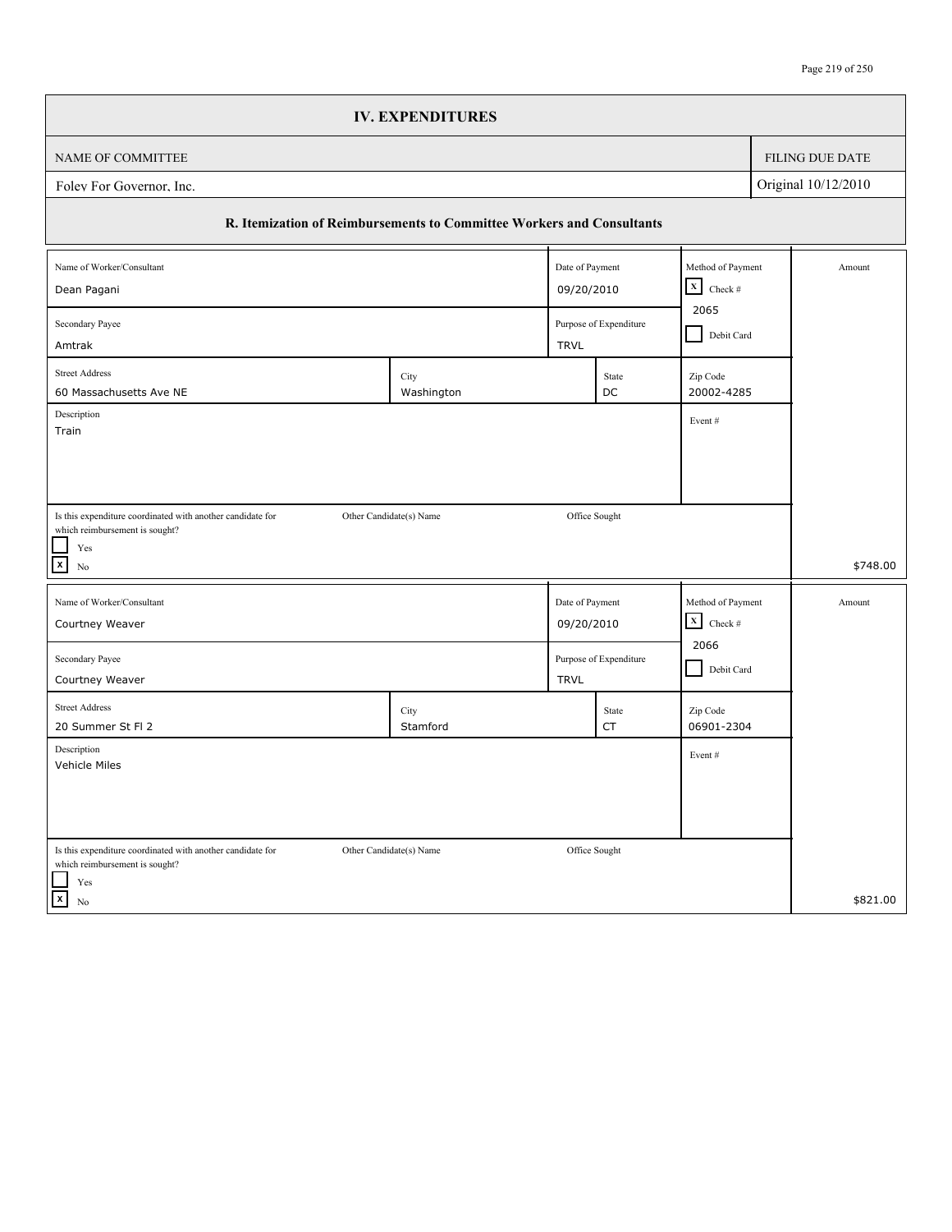|                                                                                              | <b>IV. EXPENDITURES</b> |                 |                        |                           |  |                 |
|----------------------------------------------------------------------------------------------|-------------------------|-----------------|------------------------|---------------------------|--|-----------------|
| NAME OF COMMITTEE                                                                            |                         |                 |                        |                           |  | FILING DUE DATE |
| Original 10/12/2010<br>Folev For Governor, Inc.                                              |                         |                 |                        |                           |  |                 |
| R. Itemization of Reimbursements to Committee Workers and Consultants                        |                         |                 |                        |                           |  |                 |
| Name of Worker/Consultant                                                                    |                         | Date of Payment |                        | Method of Payment         |  | Amount          |
| Dean Pagani                                                                                  |                         | 09/20/2010      |                        | $\mathbf x$<br>Check $\#$ |  |                 |
| 2065<br>Secondary Payee<br>Purpose of Expenditure<br>Debit Card<br>Amtrak<br><b>TRVL</b>     |                         |                 |                        |                           |  |                 |
| <b>Street Address</b><br>60 Massachusetts Ave NE                                             | City<br>Washington      |                 | State<br>DC            | Zip Code<br>20002-4285    |  |                 |
| Description<br>Train                                                                         |                         |                 |                        | Event#                    |  |                 |
|                                                                                              |                         |                 |                        |                           |  |                 |
|                                                                                              |                         |                 |                        |                           |  |                 |
| Is this expenditure coordinated with another candidate for<br>which reimbursement is sought? | Other Candidate(s) Name | Office Sought   |                        |                           |  |                 |
| $\operatorname{Yes}$<br>$\boxed{\mathbf{x}}$<br>No                                           |                         |                 |                        |                           |  | \$748.00        |
| Name of Worker/Consultant                                                                    |                         | Date of Payment |                        | Method of Payment         |  | Amount          |
| Courtney Weaver                                                                              |                         | 09/20/2010      |                        | $\mathbf X$<br>Check $\#$ |  |                 |
| Secondary Payee<br>Courtney Weaver                                                           |                         | <b>TRVL</b>     | Purpose of Expenditure | 2066<br>Debit Card        |  |                 |
| <b>Street Address</b><br>20 Summer St Fl 2                                                   | City<br>Stamford        |                 | State<br>CT            | Zip Code<br>06901-2304    |  |                 |
| Description<br>Vehicle Miles                                                                 |                         |                 |                        | Event#                    |  |                 |
|                                                                                              |                         |                 |                        |                           |  |                 |
| Is this expenditure coordinated with another candidate for<br>which reimbursement is sought? | Other Candidate(s) Name | Office Sought   |                        |                           |  |                 |
| $\operatorname{Yes}$<br>$\mathbf{x}$<br>No                                                   |                         |                 |                        |                           |  | \$821.00        |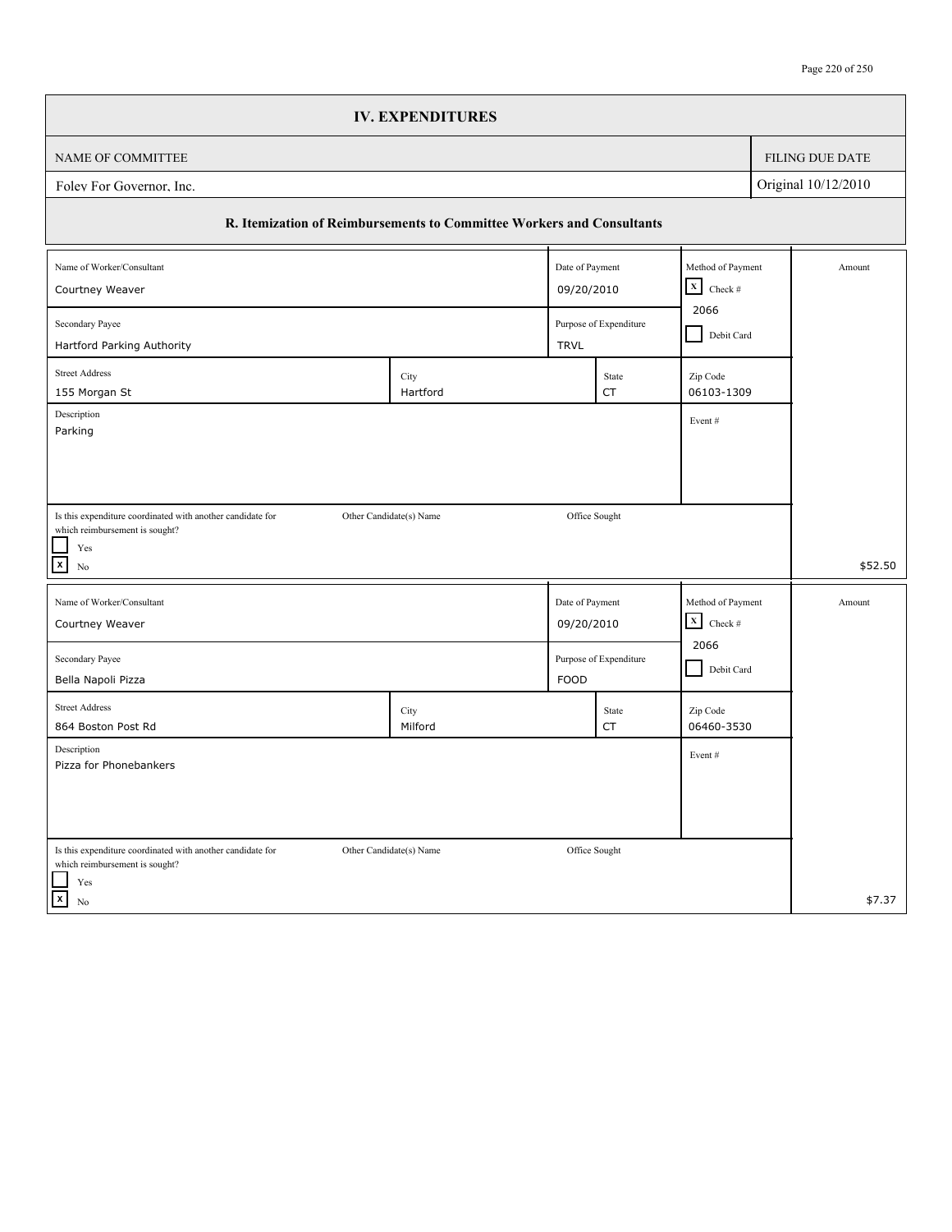|                                                                                              | <b>IV. EXPENDITURES</b> |                 |                        |                                                   |  |                        |
|----------------------------------------------------------------------------------------------|-------------------------|-----------------|------------------------|---------------------------------------------------|--|------------------------|
| NAME OF COMMITTEE                                                                            |                         |                 |                        |                                                   |  | <b>FILING DUE DATE</b> |
| Original 10/12/2010<br>Foley For Governor, Inc.                                              |                         |                 |                        |                                                   |  |                        |
| R. Itemization of Reimbursements to Committee Workers and Consultants                        |                         |                 |                        |                                                   |  |                        |
| Name of Worker/Consultant                                                                    |                         | Date of Payment |                        | Method of Payment<br>$\boxed{\mathbf{X}}$ Check # |  | Amount                 |
| 09/20/2010<br>Courtney Weaver<br>2066                                                        |                         |                 |                        |                                                   |  |                        |
| Secondary Payee<br>Hartford Parking Authority                                                |                         | <b>TRVL</b>     | Purpose of Expenditure | Debit Card                                        |  |                        |
| <b>Street Address</b><br>155 Morgan St                                                       | City<br>Hartford        |                 | State<br><b>CT</b>     | Zip Code<br>06103-1309                            |  |                        |
| Description<br>Parking                                                                       |                         |                 |                        | Event#                                            |  |                        |
|                                                                                              |                         |                 |                        |                                                   |  |                        |
|                                                                                              |                         |                 |                        |                                                   |  |                        |
| Is this expenditure coordinated with another candidate for<br>which reimbursement is sought? | Other Candidate(s) Name | Office Sought   |                        |                                                   |  |                        |
| Yes<br>$\mathbf{x}$<br>No                                                                    |                         |                 |                        |                                                   |  | \$52.50                |
| Name of Worker/Consultant                                                                    |                         | Date of Payment |                        | Method of Payment                                 |  | Amount                 |
| Courtney Weaver                                                                              |                         | 09/20/2010      |                        | $\mathbf X$<br>Check $\#$                         |  |                        |
| Secondary Payee                                                                              |                         |                 | Purpose of Expenditure | 2066                                              |  |                        |
| Bella Napoli Pizza                                                                           |                         | <b>FOOD</b>     |                        | Debit Card                                        |  |                        |
| <b>Street Address</b><br>864 Boston Post Rd                                                  | City<br>Milford         |                 | State<br><b>CT</b>     | Zip Code<br>06460-3530                            |  |                        |
| Description<br>Pizza for Phonebankers                                                        |                         |                 |                        | Event#                                            |  |                        |
|                                                                                              |                         |                 |                        |                                                   |  |                        |
|                                                                                              |                         |                 |                        |                                                   |  |                        |
| Is this expenditure coordinated with another candidate for<br>which reimbursement is sought? | Other Candidate(s) Name | Office Sought   |                        |                                                   |  |                        |
| $\operatorname{Yes}$<br>$\vert x \vert$<br>$\rm No$                                          |                         |                 |                        |                                                   |  | \$7.37                 |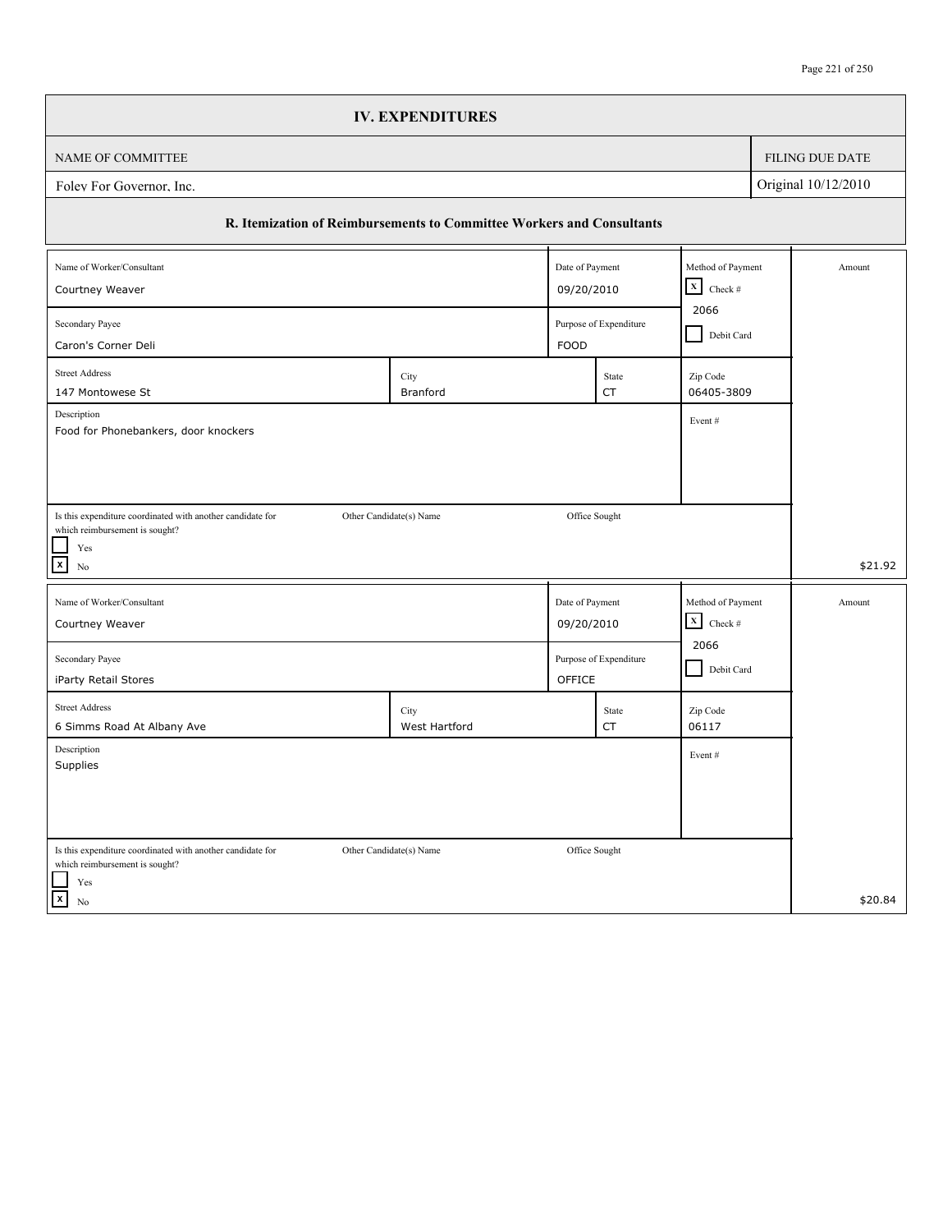|                                                                                              | <b>IV. EXPENDITURES</b> |                 |                        |                                      |            |                        |  |
|----------------------------------------------------------------------------------------------|-------------------------|-----------------|------------------------|--------------------------------------|------------|------------------------|--|
| NAME OF COMMITTEE                                                                            |                         |                 |                        |                                      |            | <b>FILING DUE DATE</b> |  |
| Original 10/12/2010<br>Foley For Governor, Inc.                                              |                         |                 |                        |                                      |            |                        |  |
| R. Itemization of Reimbursements to Committee Workers and Consultants                        |                         |                 |                        |                                      |            |                        |  |
| Name of Worker/Consultant                                                                    |                         | Date of Payment |                        | Method of Payment                    |            | Amount                 |  |
| Courtney Weaver                                                                              |                         |                 | 09/20/2010             | $\boxed{\mathbf{X}}$ Check #<br>2066 |            |                        |  |
| Secondary Payee<br>Purpose of Expenditure<br><b>FOOD</b>                                     |                         |                 |                        |                                      | Debit Card |                        |  |
| Caron's Corner Deli<br><b>Street Address</b>                                                 |                         |                 |                        |                                      |            |                        |  |
| 147 Montowese St                                                                             | City<br>Branford        |                 | State<br>CT            | Zip Code<br>06405-3809               |            |                        |  |
| Description                                                                                  |                         |                 |                        | Event#                               |            |                        |  |
| Food for Phonebankers, door knockers                                                         |                         |                 |                        |                                      |            |                        |  |
|                                                                                              |                         |                 |                        |                                      |            |                        |  |
|                                                                                              |                         |                 |                        |                                      |            |                        |  |
| Is this expenditure coordinated with another candidate for<br>which reimbursement is sought? | Other Candidate(s) Name | Office Sought   |                        |                                      |            |                        |  |
| Yes                                                                                          |                         |                 |                        |                                      |            |                        |  |
| $\mathbf{x}$<br>N <sub>0</sub>                                                               |                         |                 |                        |                                      |            | \$21.92                |  |
| Name of Worker/Consultant                                                                    |                         | Date of Payment |                        | Method of Payment                    |            | Amount                 |  |
| Courtney Weaver                                                                              |                         | 09/20/2010      |                        | $\mathbf X$<br>Check #               |            |                        |  |
| Secondary Payee                                                                              |                         |                 | Purpose of Expenditure | 2066                                 |            |                        |  |
| iParty Retail Stores                                                                         |                         | OFFICE          |                        | Debit Card                           |            |                        |  |
| <b>Street Address</b>                                                                        | City                    |                 | State                  | Zip Code                             |            |                        |  |
| 6 Simms Road At Albany Ave                                                                   | West Hartford           |                 | CT                     | 06117                                |            |                        |  |
| Description<br>Supplies                                                                      |                         |                 |                        | Event#                               |            |                        |  |
|                                                                                              |                         |                 |                        |                                      |            |                        |  |
|                                                                                              |                         |                 |                        |                                      |            |                        |  |
|                                                                                              |                         |                 |                        |                                      |            |                        |  |
| Is this expenditure coordinated with another candidate for<br>which reimbursement is sought? | Other Candidate(s) Name | Office Sought   |                        |                                      |            |                        |  |
| Yes<br>$\vert x \vert$                                                                       |                         |                 |                        |                                      |            |                        |  |
| No                                                                                           |                         |                 |                        |                                      |            | \$20.84                |  |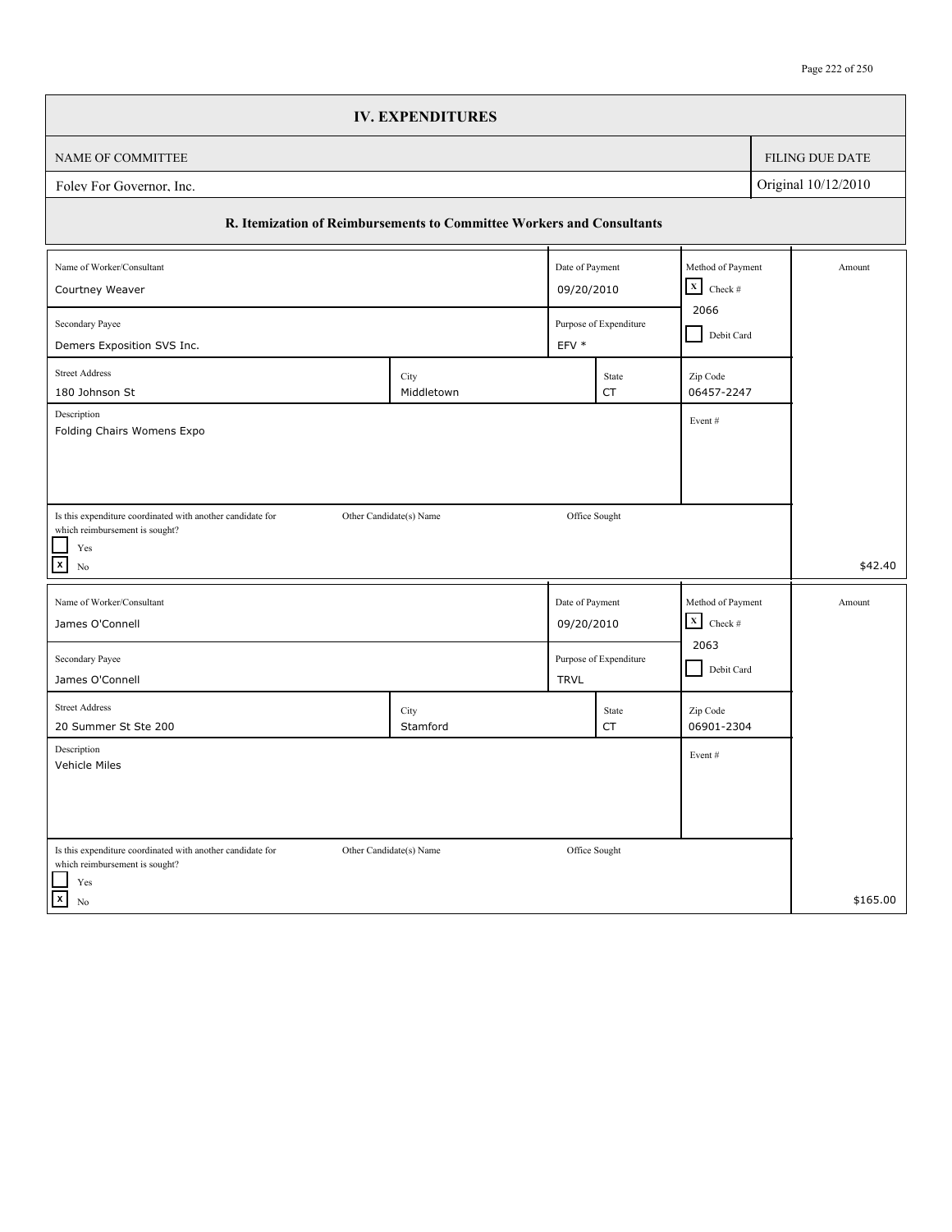|                                                                                              | <b>IV. EXPENDITURES</b> |                 |                                          |                                |  |                 |
|----------------------------------------------------------------------------------------------|-------------------------|-----------------|------------------------------------------|--------------------------------|--|-----------------|
| NAME OF COMMITTEE                                                                            |                         |                 |                                          |                                |  | FILING DUE DATE |
| Original 10/12/2010<br>Foley For Governor, Inc.                                              |                         |                 |                                          |                                |  |                 |
| R. Itemization of Reimbursements to Committee Workers and Consultants                        |                         |                 |                                          |                                |  |                 |
| Name of Worker/Consultant                                                                    |                         | Date of Payment |                                          | Method of Payment              |  | Amount          |
| Courtney Weaver                                                                              |                         |                 | $\vert x \vert$<br>Check #<br>09/20/2010 |                                |  |                 |
| Secondary Payee                                                                              |                         |                 | Purpose of Expenditure                   | 2066                           |  |                 |
| Demers Exposition SVS Inc.                                                                   |                         | EFV *           |                                          | Debit Card                     |  |                 |
| <b>Street Address</b><br>180 Johnson St                                                      | City<br>Middletown      |                 | State<br><b>CT</b>                       | Zip Code<br>06457-2247         |  |                 |
| Description                                                                                  |                         |                 |                                          | Event#                         |  |                 |
| Folding Chairs Womens Expo                                                                   |                         |                 |                                          |                                |  |                 |
|                                                                                              |                         |                 |                                          |                                |  |                 |
|                                                                                              |                         |                 |                                          |                                |  |                 |
| Is this expenditure coordinated with another candidate for<br>which reimbursement is sought? | Other Candidate(s) Name | Office Sought   |                                          |                                |  |                 |
| Yes<br>$\boxed{\mathsf{x}}$                                                                  |                         |                 |                                          |                                |  | \$42.40         |
| No                                                                                           |                         |                 |                                          |                                |  |                 |
| Name of Worker/Consultant                                                                    |                         | Date of Payment |                                          | Method of Payment              |  | Amount          |
| James O'Connell                                                                              |                         | 09/20/2010      |                                          | $\mathbf x$<br>Check #<br>2063 |  |                 |
| Secondary Payee                                                                              |                         |                 | Purpose of Expenditure                   | Debit Card                     |  |                 |
| James O'Connell                                                                              |                         | <b>TRVL</b>     |                                          |                                |  |                 |
| <b>Street Address</b><br>20 Summer St Ste 200                                                | City<br>Stamford        |                 | State<br>CT                              | Zip Code<br>06901-2304         |  |                 |
| Description                                                                                  |                         |                 |                                          |                                |  |                 |
| Vehicle Miles                                                                                |                         |                 |                                          | Event#                         |  |                 |
|                                                                                              |                         |                 |                                          |                                |  |                 |
|                                                                                              |                         |                 |                                          |                                |  |                 |
| Is this expenditure coordinated with another candidate for                                   | Other Candidate(s) Name | Office Sought   |                                          |                                |  |                 |
| which reimbursement is sought?<br>Yes                                                        |                         |                 |                                          |                                |  |                 |
| $\vert x \vert$<br>No                                                                        |                         |                 |                                          |                                |  | \$165.00        |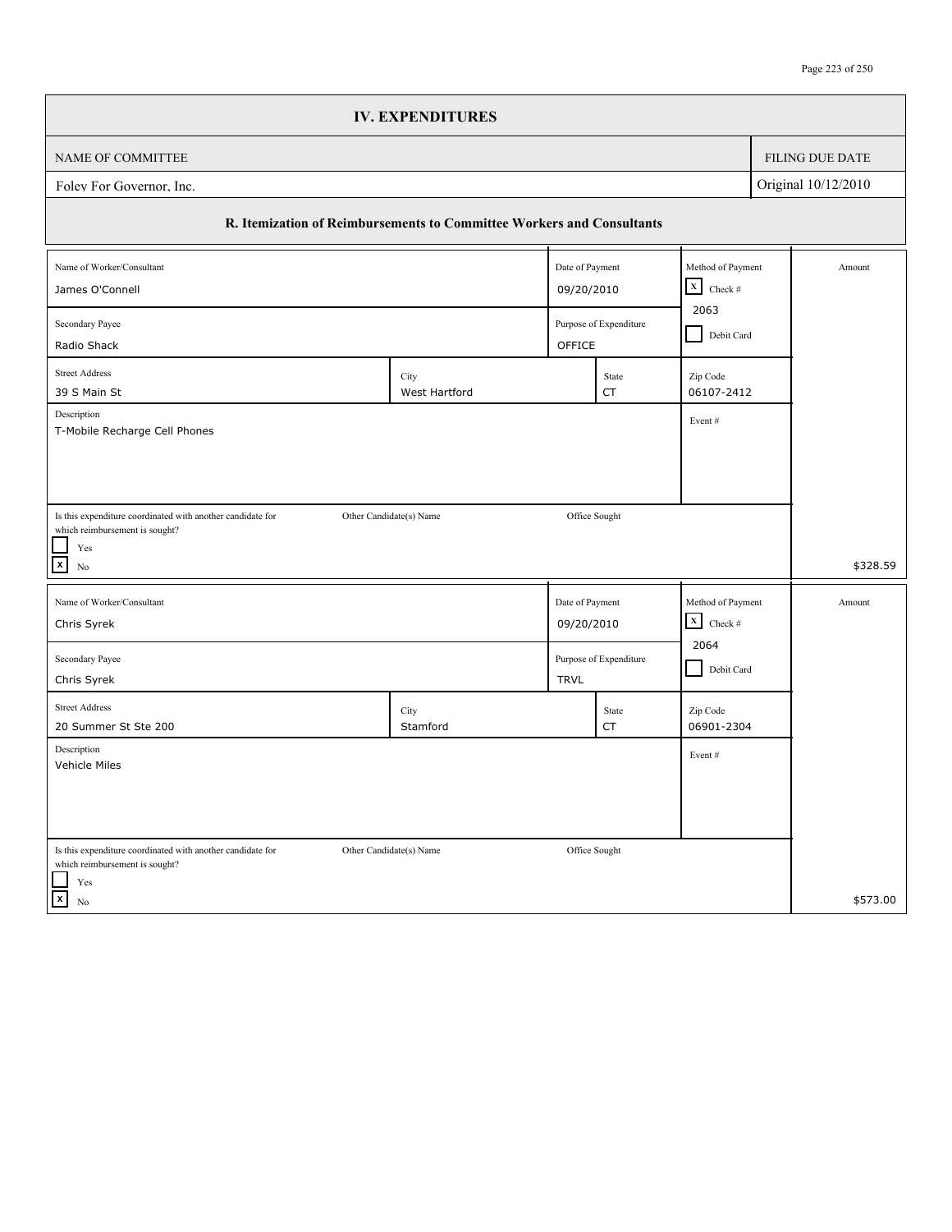|                                                                                              | <b>IV. EXPENDITURES</b> |                 |                                                 |                           |            |                 |
|----------------------------------------------------------------------------------------------|-------------------------|-----------------|-------------------------------------------------|---------------------------|------------|-----------------|
| NAME OF COMMITTEE                                                                            |                         |                 |                                                 |                           |            | FILING DUE DATE |
| Original 10/12/2010<br>Folev For Governor, Inc.                                              |                         |                 |                                                 |                           |            |                 |
| R. Itemization of Reimbursements to Committee Workers and Consultants                        |                         |                 |                                                 |                           |            |                 |
| Name of Worker/Consultant                                                                    |                         | Date of Payment |                                                 | Method of Payment         |            | Amount          |
| James O'Connell                                                                              |                         |                 | $\mathbf x$<br>Check $\#$<br>09/20/2010<br>2063 |                           |            |                 |
| Secondary Payee                                                                              |                         |                 | Purpose of Expenditure<br>OFFICE                |                           | Debit Card |                 |
| Radio Shack<br><b>Street Address</b>                                                         |                         |                 |                                                 |                           |            |                 |
| 39 S Main St                                                                                 | City<br>West Hartford   |                 | State<br>CT                                     | Zip Code<br>06107-2412    |            |                 |
| Description                                                                                  |                         |                 |                                                 | Event#                    |            |                 |
| T-Mobile Recharge Cell Phones                                                                |                         |                 |                                                 |                           |            |                 |
|                                                                                              |                         |                 |                                                 |                           |            |                 |
|                                                                                              |                         |                 |                                                 |                           |            |                 |
| Is this expenditure coordinated with another candidate for<br>which reimbursement is sought? | Other Candidate(s) Name | Office Sought   |                                                 |                           |            |                 |
| Yes                                                                                          |                         |                 |                                                 |                           |            |                 |
| $\mathbf{x}$<br>No                                                                           |                         |                 |                                                 |                           |            | \$328.59        |
| Name of Worker/Consultant                                                                    |                         | Date of Payment |                                                 | Method of Payment         |            | Amount          |
| Chris Syrek                                                                                  |                         | 09/20/2010      |                                                 | $\mathbf X$<br>Check $\#$ |            |                 |
| Secondary Payee                                                                              |                         |                 | Purpose of Expenditure                          | 2064                      |            |                 |
| Chris Syrek                                                                                  |                         | <b>TRVL</b>     |                                                 | Debit Card                |            |                 |
| <b>Street Address</b>                                                                        | City                    |                 | State                                           | Zip Code                  |            |                 |
| 20 Summer St Ste 200                                                                         | Stamford                |                 | CT                                              | 06901-2304                |            |                 |
| Description<br>Vehicle Miles                                                                 |                         |                 |                                                 | Event#                    |            |                 |
|                                                                                              |                         |                 |                                                 |                           |            |                 |
|                                                                                              |                         |                 |                                                 |                           |            |                 |
|                                                                                              |                         |                 |                                                 |                           |            |                 |
| Is this expenditure coordinated with another candidate for<br>which reimbursement is sought? | Other Candidate(s) Name | Office Sought   |                                                 |                           |            |                 |
| Yes<br>$\overline{x}$                                                                        |                         |                 |                                                 |                           |            | \$573.00        |
| No                                                                                           |                         |                 |                                                 |                           |            |                 |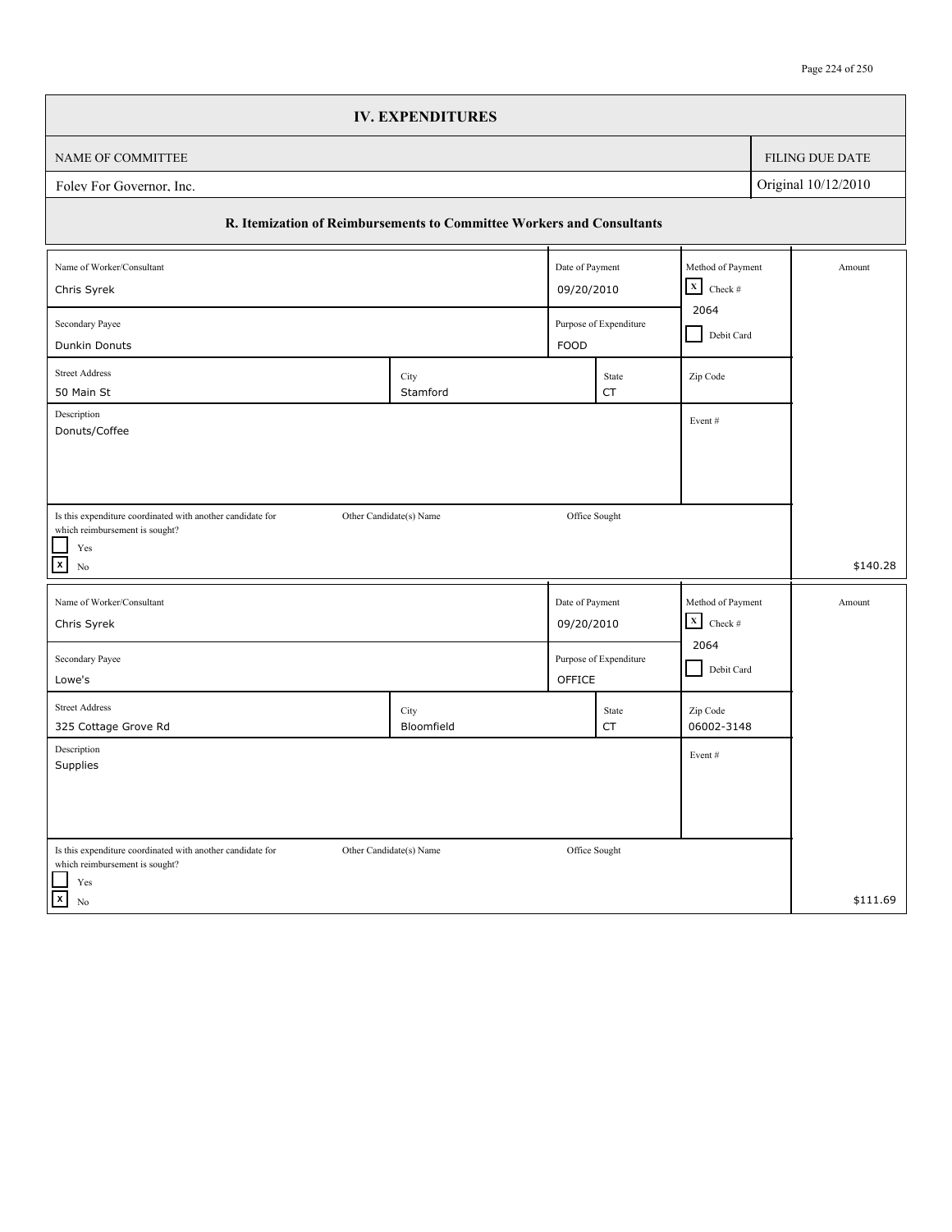|                                                                                              | <b>IV. EXPENDITURES</b>                                               |                 |                                       |                                   |            |                        |
|----------------------------------------------------------------------------------------------|-----------------------------------------------------------------------|-----------------|---------------------------------------|-----------------------------------|------------|------------------------|
| NAME OF COMMITTEE                                                                            |                                                                       |                 |                                       |                                   |            | <b>FILING DUE DATE</b> |
| Original 10/12/2010<br>Foley For Governor, Inc.                                              |                                                                       |                 |                                       |                                   |            |                        |
|                                                                                              | R. Itemization of Reimbursements to Committee Workers and Consultants |                 |                                       |                                   |            |                        |
| Name of Worker/Consultant                                                                    |                                                                       | Date of Payment |                                       | Method of Payment                 |            | Amount                 |
| Chris Syrek                                                                                  |                                                                       |                 | 09/20/2010                            |                                   |            |                        |
| Secondary Payee<br>Dunkin Donuts                                                             |                                                                       |                 | Purpose of Expenditure<br><b>FOOD</b> |                                   | Debit Card |                        |
| <b>Street Address</b>                                                                        | City                                                                  |                 | State                                 | Zip Code                          |            |                        |
| 50 Main St<br>Description                                                                    | Stamford                                                              |                 | CT                                    | Event#                            |            |                        |
| Donuts/Coffee                                                                                |                                                                       |                 |                                       |                                   |            |                        |
|                                                                                              |                                                                       |                 |                                       |                                   |            |                        |
| Is this expenditure coordinated with another candidate for                                   | Other Candidate(s) Name                                               |                 | Office Sought                         |                                   |            |                        |
| which reimbursement is sought?<br>Yes                                                        |                                                                       |                 |                                       |                                   |            |                        |
| $\mathbf{x}$<br>N <sub>0</sub>                                                               |                                                                       |                 |                                       |                                   |            | \$140.28               |
| Name of Worker/Consultant                                                                    |                                                                       | Date of Payment |                                       | Method of Payment                 |            | Amount                 |
| Chris Syrek                                                                                  |                                                                       | 09/20/2010      |                                       | $\mathbf X$<br>Check $\#$<br>2064 |            |                        |
| Purpose of Expenditure<br>Secondary Payee                                                    |                                                                       |                 |                                       |                                   |            |                        |
| Lowe's                                                                                       |                                                                       | OFFICE          |                                       | Debit Card                        |            |                        |
| <b>Street Address</b><br>325 Cottage Grove Rd                                                | City<br>Bloomfield                                                    |                 | State<br>CT                           | Zip Code<br>06002-3148            |            |                        |
| Description<br>Supplies                                                                      |                                                                       |                 |                                       | Event#                            |            |                        |
|                                                                                              |                                                                       |                 |                                       |                                   |            |                        |
|                                                                                              |                                                                       |                 |                                       |                                   |            |                        |
| Is this expenditure coordinated with another candidate for<br>which reimbursement is sought? | Other Candidate(s) Name                                               | Office Sought   |                                       |                                   |            |                        |
| Yes                                                                                          |                                                                       |                 |                                       |                                   |            |                        |
| $\vert x \vert$<br>No                                                                        |                                                                       |                 |                                       |                                   |            | \$111.69               |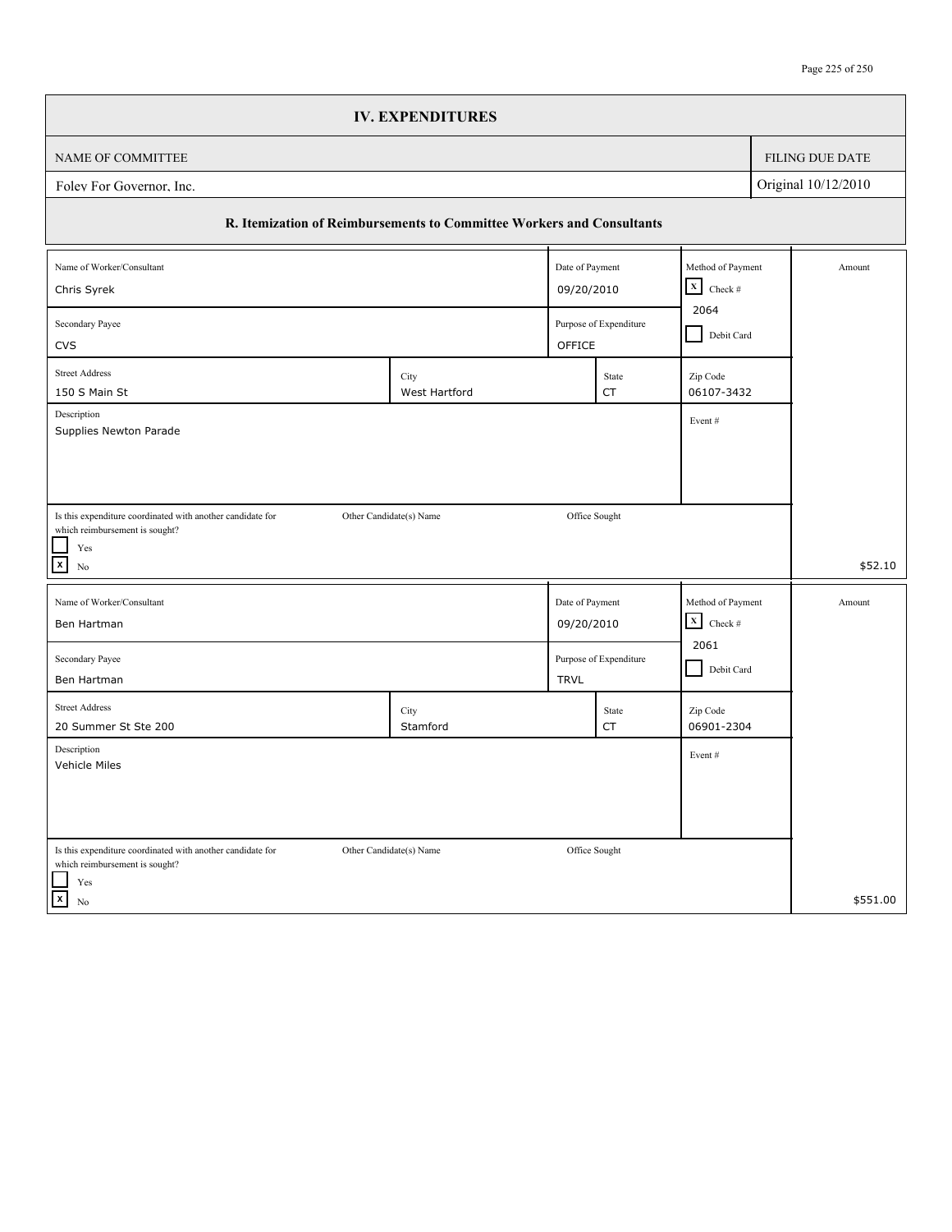| <b>IV. EXPENDITURES</b>                                                                                                                         |                                   |                           |            |                 |  |  |
|-------------------------------------------------------------------------------------------------------------------------------------------------|-----------------------------------|---------------------------|------------|-----------------|--|--|
| NAME OF COMMITTEE                                                                                                                               |                                   |                           |            | FILING DUE DATE |  |  |
| Original 10/12/2010<br>Folev For Governor, Inc.                                                                                                 |                                   |                           |            |                 |  |  |
| R. Itemization of Reimbursements to Committee Workers and Consultants                                                                           |                                   |                           |            |                 |  |  |
| Name of Worker/Consultant                                                                                                                       | Date of Payment                   | Method of Payment         |            | Amount          |  |  |
| 09/20/2010<br>Chris Syrek                                                                                                                       | $\mathbf x$<br>Check $\#$<br>2064 |                           |            |                 |  |  |
| Secondary Payee<br><b>CVS</b>                                                                                                                   | Purpose of Expenditure<br>OFFICE  |                           | Debit Card |                 |  |  |
| <b>Street Address</b><br>City                                                                                                                   | State                             | Zip Code                  |            |                 |  |  |
| 150 S Main St<br>West Hartford                                                                                                                  | <b>CT</b>                         | 06107-3432                |            |                 |  |  |
| Description<br>Supplies Newton Parade                                                                                                           |                                   | Event#                    |            |                 |  |  |
|                                                                                                                                                 |                                   |                           |            |                 |  |  |
|                                                                                                                                                 |                                   |                           |            |                 |  |  |
| Is this expenditure coordinated with another candidate for<br>Other Candidate(s) Name                                                           | Office Sought                     |                           |            |                 |  |  |
| which reimbursement is sought?<br>$\operatorname{Yes}$                                                                                          |                                   |                           |            |                 |  |  |
| $\mathbf{x}$<br>No                                                                                                                              |                                   |                           |            | \$52.10         |  |  |
| Name of Worker/Consultant<br>Date of Payment                                                                                                    |                                   | Method of Payment         |            | Amount          |  |  |
| Ben Hartman<br>09/20/2010                                                                                                                       |                                   | $\mathbf x$<br>Check $\#$ |            |                 |  |  |
| Secondary Payee                                                                                                                                 | Purpose of Expenditure            | 2061                      |            |                 |  |  |
| Ben Hartman<br><b>TRVL</b>                                                                                                                      |                                   | Debit Card                |            |                 |  |  |
| <b>Street Address</b><br>City                                                                                                                   | State                             | Zip Code                  |            |                 |  |  |
| 20 Summer St Ste 200<br>Stamford                                                                                                                | CT                                | 06901-2304                |            |                 |  |  |
| Description                                                                                                                                     |                                   |                           |            |                 |  |  |
| Vehicle Miles                                                                                                                                   |                                   | Event#                    |            |                 |  |  |
|                                                                                                                                                 |                                   |                           |            |                 |  |  |
|                                                                                                                                                 |                                   |                           |            |                 |  |  |
|                                                                                                                                                 |                                   |                           |            |                 |  |  |
| Is this expenditure coordinated with another candidate for<br>Other Candidate(s) Name<br>which reimbursement is sought?<br>$\operatorname{Yes}$ | Office Sought                     |                           |            |                 |  |  |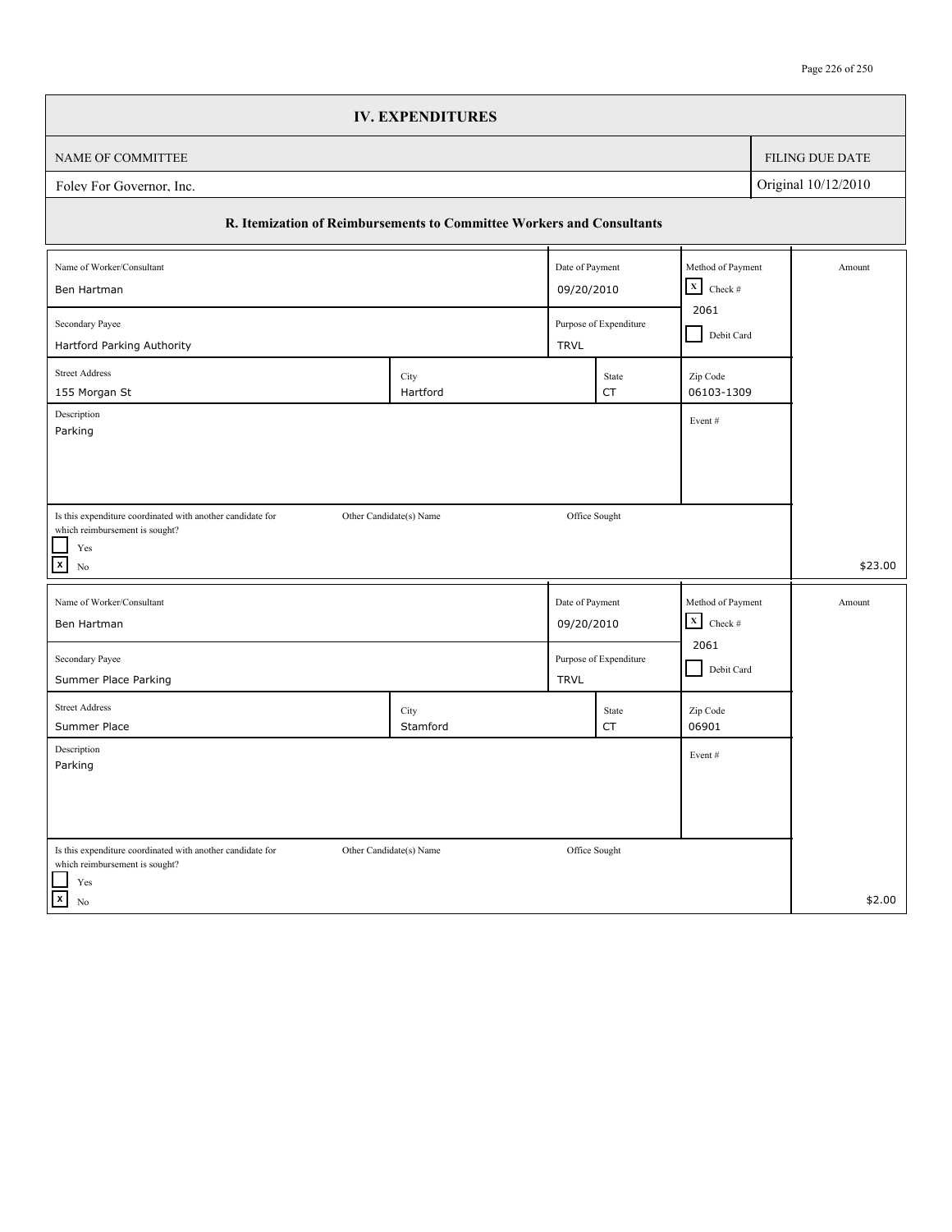|                                                                                                                           | <b>IV. EXPENDITURES</b>                                               |                               |                                |                                                |                   |                 |
|---------------------------------------------------------------------------------------------------------------------------|-----------------------------------------------------------------------|-------------------------------|--------------------------------|------------------------------------------------|-------------------|-----------------|
| NAME OF COMMITTEE                                                                                                         |                                                                       |                               |                                |                                                |                   | FILING DUE DATE |
| Original 10/12/2010<br>Foley For Governor, Inc.                                                                           |                                                                       |                               |                                |                                                |                   |                 |
|                                                                                                                           | R. Itemization of Reimbursements to Committee Workers and Consultants |                               |                                |                                                |                   |                 |
| Name of Worker/Consultant                                                                                                 |                                                                       |                               | Date of Payment<br>09/20/2010  |                                                | Method of Payment | Amount          |
| Ben Hartman<br>Secondary Payee                                                                                            |                                                                       |                               | Purpose of Expenditure         |                                                | Debit Card        |                 |
| Hartford Parking Authority<br><b>Street Address</b><br>155 Morgan St                                                      | City<br>Hartford                                                      | <b>TRVL</b>                   | State<br>CT                    | Zip Code<br>06103-1309                         |                   |                 |
| Description<br>Parking                                                                                                    |                                                                       |                               |                                | Event#                                         |                   |                 |
|                                                                                                                           |                                                                       |                               |                                |                                                |                   |                 |
| Is this expenditure coordinated with another candidate for<br>which reimbursement is sought?<br>Yes<br>$\mathbf{x}$<br>No | Other Candidate(s) Name                                               | Office Sought                 |                                |                                                |                   | \$23.00         |
| Name of Worker/Consultant<br>Ben Hartman                                                                                  |                                                                       | Date of Payment<br>09/20/2010 |                                | Method of Payment<br>$\mathbf X$<br>Check $\#$ |                   | Amount          |
| Secondary Payee<br>Summer Place Parking                                                                                   | <b>TRVL</b>                                                           |                               | 2061<br>Purpose of Expenditure |                                                | Debit Card        |                 |
| <b>Street Address</b><br>Summer Place                                                                                     | City<br>Stamford                                                      |                               | State<br><b>CT</b>             | Zip Code<br>06901                              |                   |                 |
| Description<br>Parking                                                                                                    |                                                                       |                               |                                | Event#                                         |                   |                 |
|                                                                                                                           |                                                                       |                               |                                |                                                |                   |                 |
| Is this expenditure coordinated with another candidate for<br>which reimbursement is sought?<br>$\operatorname{Yes}$      | Other Candidate(s) Name                                               | Office Sought                 |                                |                                                |                   |                 |
| $\vert x \vert$<br>$\rm No$                                                                                               |                                                                       |                               |                                |                                                |                   | \$2.00          |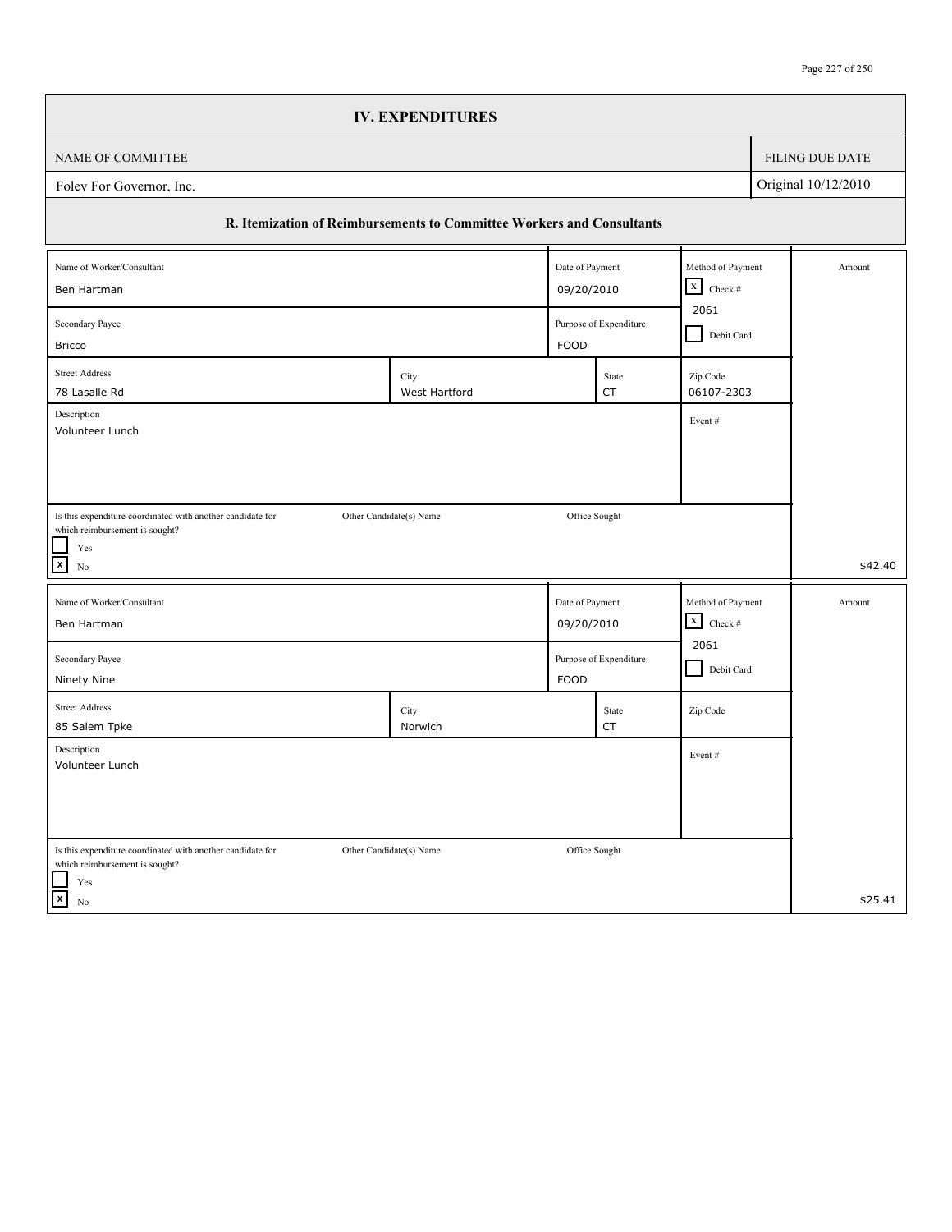|                                                                                                                      | <b>IV. EXPENDITURES</b> |                 |                                |                                                |            |                 |
|----------------------------------------------------------------------------------------------------------------------|-------------------------|-----------------|--------------------------------|------------------------------------------------|------------|-----------------|
| NAME OF COMMITTEE                                                                                                    |                         |                 |                                |                                                |            | FILING DUE DATE |
| Original 10/12/2010<br>Folev For Governor, Inc.                                                                      |                         |                 |                                |                                                |            |                 |
| R. Itemization of Reimbursements to Committee Workers and Consultants                                                |                         |                 |                                |                                                |            |                 |
| Name of Worker/Consultant                                                                                            |                         | Date of Payment |                                | Method of Payment<br>$\mathbf x$<br>Check $\#$ |            | Amount          |
| Ben Hartman                                                                                                          |                         |                 | 09/20/2010                     |                                                |            |                 |
| Secondary Payee<br><b>Bricco</b>                                                                                     |                         |                 | Purpose of Expenditure<br>FOOD |                                                | Debit Card |                 |
| <b>Street Address</b><br>78 Lasalle Rd                                                                               | City<br>West Hartford   |                 | State<br><b>CT</b>             | Zip Code<br>06107-2303                         |            |                 |
| Description                                                                                                          |                         |                 |                                | Event#                                         |            |                 |
| Volunteer Lunch                                                                                                      |                         |                 |                                |                                                |            |                 |
|                                                                                                                      |                         |                 |                                |                                                |            |                 |
| Is this expenditure coordinated with another candidate for                                                           | Other Candidate(s) Name | Office Sought   |                                |                                                |            |                 |
| which reimbursement is sought?<br>$\operatorname{Yes}$                                                               |                         |                 |                                |                                                |            |                 |
| $\boxed{\mathbf{x}}$<br>No                                                                                           |                         |                 |                                |                                                |            | \$42.40         |
| Name of Worker/Consultant                                                                                            |                         | Date of Payment |                                | Method of Payment                              |            | Amount          |
| Ben Hartman                                                                                                          |                         | 09/20/2010      |                                | $\mathbf X$<br>Check $\#$<br>2061              |            |                 |
| Secondary Payee<br>Ninety Nine                                                                                       |                         | FOOD            | Purpose of Expenditure         | Debit Card                                     |            |                 |
| <b>Street Address</b><br>85 Salem Tpke                                                                               | City<br>Norwich         |                 | State<br>CT                    | Zip Code                                       |            |                 |
| Description<br>Volunteer Lunch                                                                                       |                         |                 |                                | Event#                                         |            |                 |
|                                                                                                                      |                         |                 |                                |                                                |            |                 |
|                                                                                                                      |                         |                 |                                |                                                |            |                 |
| Is this expenditure coordinated with another candidate for<br>which reimbursement is sought?<br>$\operatorname{Yes}$ | Other Candidate(s) Name | Office Sought   |                                |                                                |            |                 |
| $\vert x \vert$<br>No                                                                                                |                         |                 |                                |                                                |            | \$25.41         |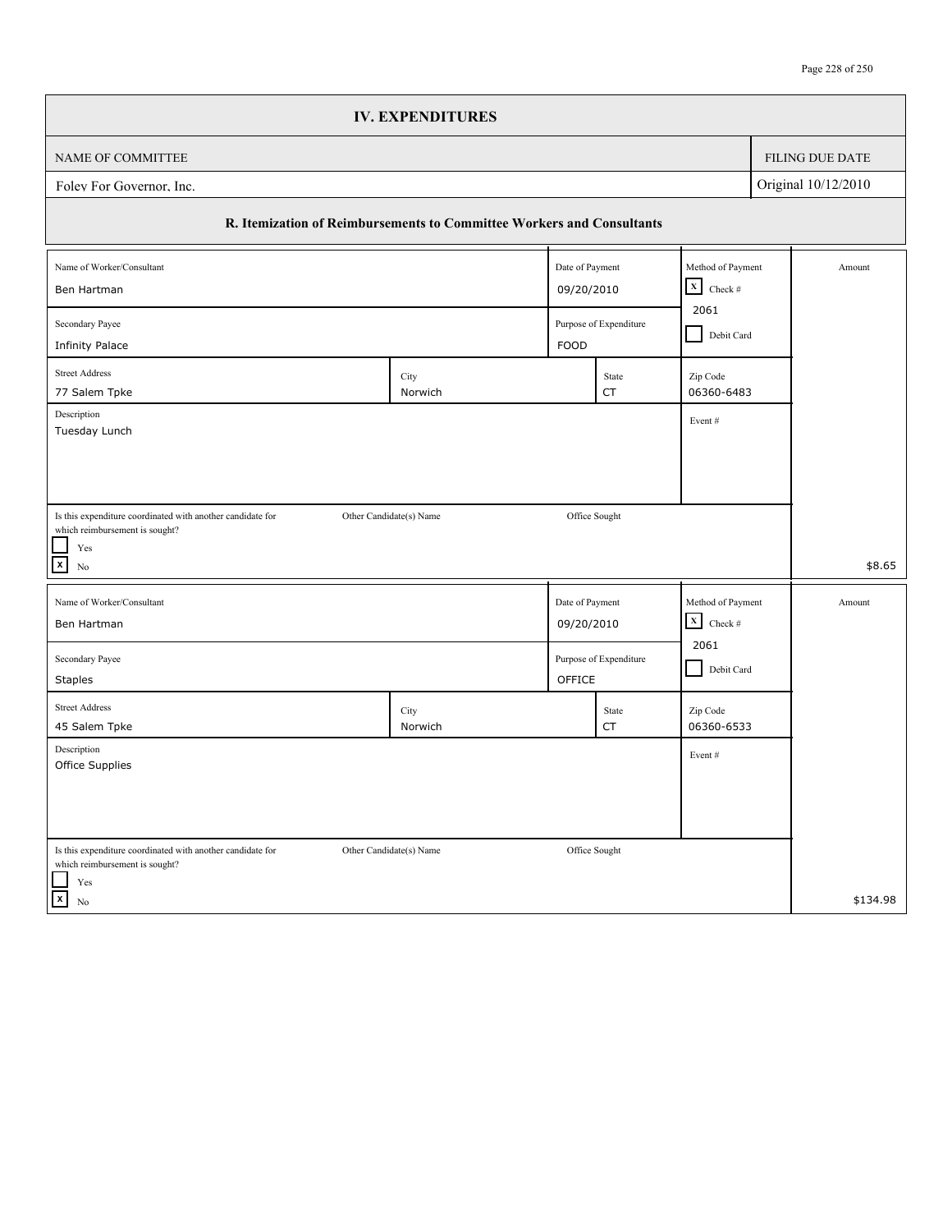|                                                                                              | <b>IV. EXPENDITURES</b> |                        |                        |                                                |        |                        |  |
|----------------------------------------------------------------------------------------------|-------------------------|------------------------|------------------------|------------------------------------------------|--------|------------------------|--|
| NAME OF COMMITTEE                                                                            |                         |                        |                        |                                                |        | <b>FILING DUE DATE</b> |  |
| Original 10/12/2010<br>Folev For Governor, Inc.                                              |                         |                        |                        |                                                |        |                        |  |
| R. Itemization of Reimbursements to Committee Workers and Consultants                        |                         |                        |                        |                                                |        |                        |  |
| Name of Worker/Consultant<br>Date of Payment<br>09/20/2010<br>Ben Hartman                    |                         |                        |                        | Method of Payment<br>$\mathbf{x}$<br>Check $#$ | Amount |                        |  |
| Secondary Payee                                                                              |                         | Purpose of Expenditure |                        | 2061<br>Debit Card                             |        |                        |  |
| <b>Infinity Palace</b><br><b>Street Address</b><br>77 Salem Tpke                             | City<br>Norwich         | <b>FOOD</b>            | State<br>CT            | Zip Code<br>06360-6483                         |        |                        |  |
| Description<br>Tuesday Lunch                                                                 |                         |                        |                        | Event#                                         |        |                        |  |
|                                                                                              |                         |                        |                        |                                                |        |                        |  |
| Is this expenditure coordinated with another candidate for<br>which reimbursement is sought? | Other Candidate(s) Name | Office Sought          |                        |                                                |        |                        |  |
| Yes<br>$\boxed{\mathbf{x}}$<br>No                                                            |                         |                        |                        |                                                |        | \$8.65                 |  |
| Name of Worker/Consultant                                                                    |                         | Date of Payment        |                        | Method of Payment                              |        | Amount                 |  |
| Ben Hartman<br>Secondary Payee                                                               |                         | 09/20/2010             | Purpose of Expenditure | $\mathbf X$<br>Check $\#$<br>2061              |        |                        |  |
| <b>Staples</b>                                                                               |                         | OFFICE                 |                        | Debit Card                                     |        |                        |  |
| <b>Street Address</b><br>45 Salem Tpke                                                       | City<br>Norwich         |                        | State<br>CT            | Zip Code<br>06360-6533                         |        |                        |  |
| Description<br>Office Supplies                                                               |                         |                        |                        | Event#                                         |        |                        |  |
|                                                                                              |                         |                        |                        |                                                |        |                        |  |
| Is this expenditure coordinated with another candidate for<br>which reimbursement is sought? | Other Candidate(s) Name | Office Sought          |                        |                                                |        |                        |  |
| Yes<br>$\vert x \vert$<br>No                                                                 |                         |                        |                        |                                                |        | \$134.98               |  |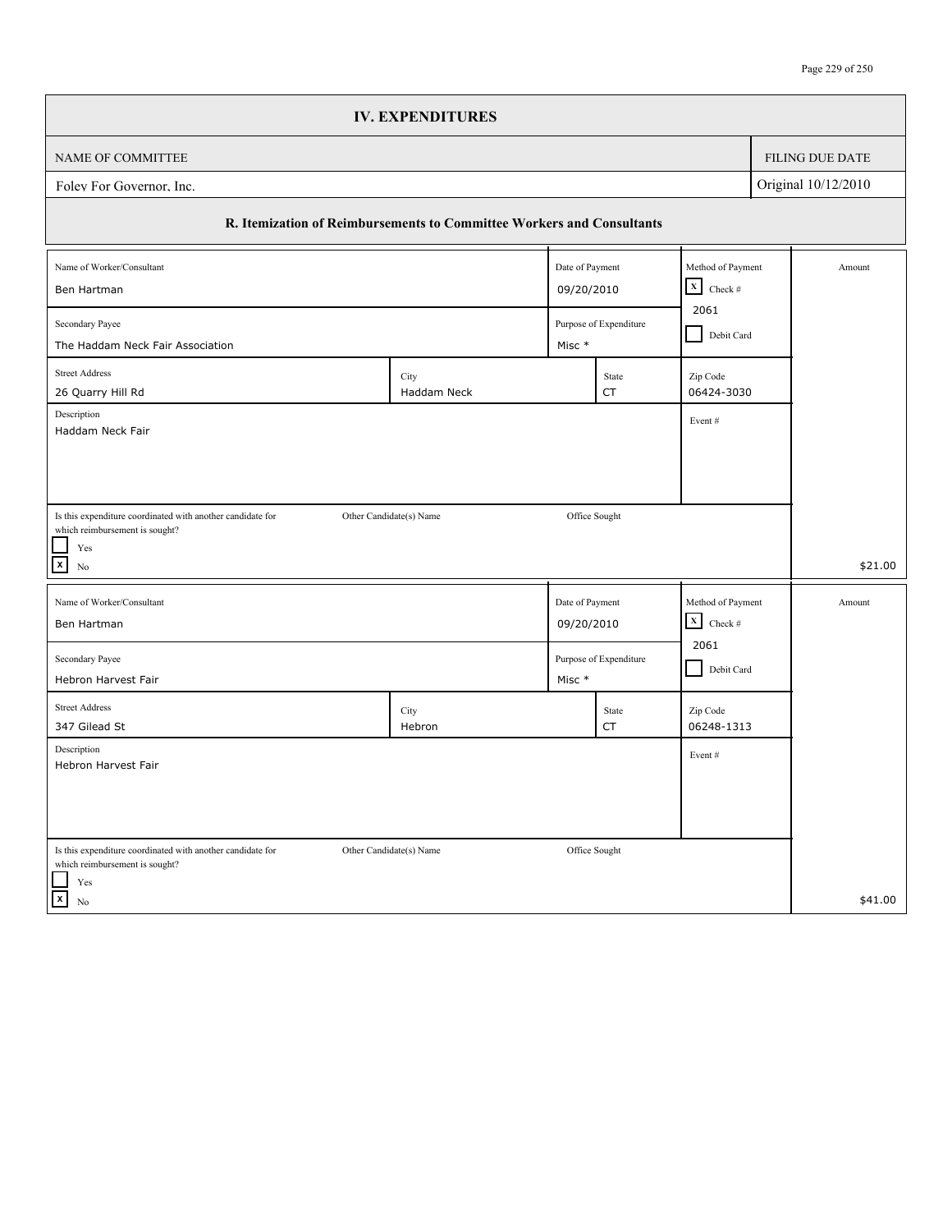|                                                                                              | <b>IV. EXPENDITURES</b> |                 |                        |                                                |  |                 |
|----------------------------------------------------------------------------------------------|-------------------------|-----------------|------------------------|------------------------------------------------|--|-----------------|
| NAME OF COMMITTEE                                                                            |                         |                 |                        |                                                |  | FILING DUE DATE |
| Original 10/12/2010<br>Folev For Governor, Inc.                                              |                         |                 |                        |                                                |  |                 |
| R. Itemization of Reimbursements to Committee Workers and Consultants                        |                         |                 |                        |                                                |  |                 |
| Name of Worker/Consultant<br>Ben Hartman                                                     |                         | Date of Payment |                        | Method of Payment<br>$\mathbf x$<br>Check $\#$ |  | Amount          |
| 09/20/2010<br>2061<br>Secondary Payee<br>Purpose of Expenditure<br>Debit Card                |                         |                 |                        |                                                |  |                 |
| The Haddam Neck Fair Association                                                             |                         | Misc *          |                        |                                                |  |                 |
| <b>Street Address</b><br>26 Quarry Hill Rd                                                   | City<br>Haddam Neck     |                 | State<br><b>CT</b>     | Zip Code<br>06424-3030                         |  |                 |
| Description<br>Haddam Neck Fair                                                              |                         |                 |                        | Event#                                         |  |                 |
|                                                                                              |                         |                 |                        |                                                |  |                 |
|                                                                                              |                         |                 |                        |                                                |  |                 |
| Is this expenditure coordinated with another candidate for<br>which reimbursement is sought? | Other Candidate(s) Name | Office Sought   |                        |                                                |  |                 |
| $\operatorname{Yes}$<br>$\boxed{\mathbf{x}}$<br>No                                           |                         |                 |                        |                                                |  | \$21.00         |
| Name of Worker/Consultant                                                                    |                         | Date of Payment |                        | Method of Payment                              |  | Amount          |
| Ben Hartman                                                                                  |                         | 09/20/2010      |                        | $\mathbf X$<br>Check #                         |  |                 |
| Secondary Payee<br>Hebron Harvest Fair                                                       |                         | Misc *          | Purpose of Expenditure | 2061<br>Debit Card                             |  |                 |
| <b>Street Address</b><br>347 Gilead St                                                       | City<br>Hebron          |                 | State<br>CT            | Zip Code<br>06248-1313                         |  |                 |
| Description<br>Hebron Harvest Fair                                                           |                         |                 |                        | Event#                                         |  |                 |
|                                                                                              |                         |                 |                        |                                                |  |                 |
| Is this expenditure coordinated with another candidate for<br>which reimbursement is sought? | Other Candidate(s) Name | Office Sought   |                        |                                                |  |                 |
| $\operatorname{Yes}$<br>$\vert x \vert$<br>No                                                |                         |                 |                        |                                                |  | \$41.00         |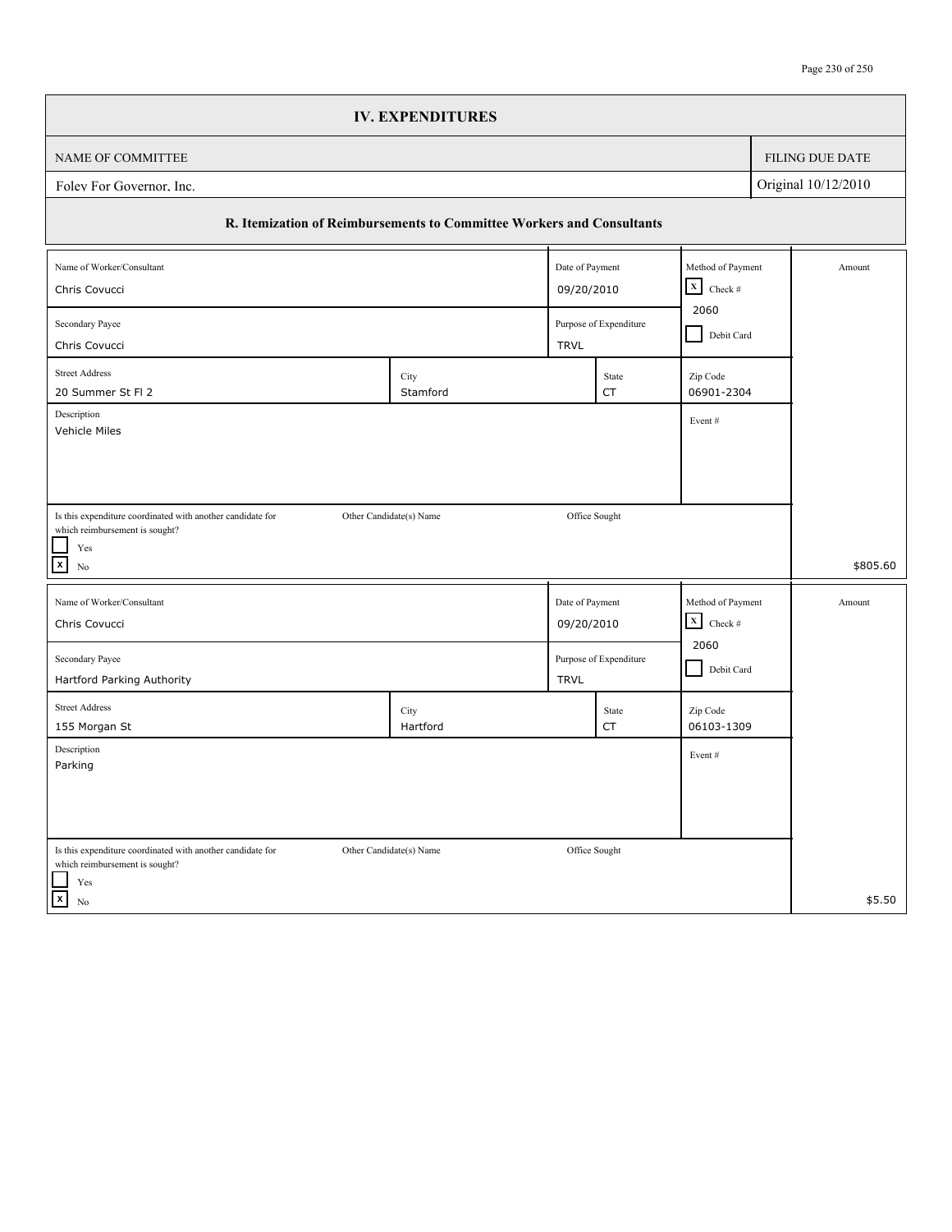|                                                                       | <b>IV. EXPENDITURES</b>                      |                 |                        |                        |  |                        |
|-----------------------------------------------------------------------|----------------------------------------------|-----------------|------------------------|------------------------|--|------------------------|
| NAME OF COMMITTEE                                                     |                                              |                 |                        |                        |  | <b>FILING DUE DATE</b> |
| Original 10/12/2010<br>Foley For Governor, Inc.                       |                                              |                 |                        |                        |  |                        |
| R. Itemization of Reimbursements to Committee Workers and Consultants |                                              |                 |                        |                        |  |                        |
| Name of Worker/Consultant                                             |                                              | Date of Payment |                        | Method of Payment      |  | Amount                 |
| $X$ Check #<br>09/20/2010<br>Chris Covucci                            |                                              |                 |                        |                        |  |                        |
| Secondary Payee                                                       | 2060<br>Purpose of Expenditure<br>Debit Card |                 |                        |                        |  |                        |
| Chris Covucci                                                         |                                              | <b>TRVL</b>     |                        |                        |  |                        |
| <b>Street Address</b><br>20 Summer St Fl 2                            | City<br>Stamford                             |                 | State<br>CT            | Zip Code<br>06901-2304 |  |                        |
| Description<br>Vehicle Miles                                          |                                              |                 |                        | Event#                 |  |                        |
|                                                                       |                                              |                 |                        |                        |  |                        |
|                                                                       |                                              |                 |                        |                        |  |                        |
| Is this expenditure coordinated with another candidate for            | Other Candidate(s) Name                      |                 | Office Sought          |                        |  |                        |
| which reimbursement is sought?                                        |                                              |                 |                        |                        |  |                        |
| $\operatorname{Yes}$<br>$\mathbf{x}$<br>N <sub>0</sub>                |                                              |                 |                        |                        |  | \$805.60               |
| Name of Worker/Consultant                                             |                                              | Date of Payment |                        | Method of Payment      |  | Amount                 |
| Chris Covucci                                                         |                                              | 09/20/2010      |                        | $\mathbf X$<br>Check # |  |                        |
| Secondary Payee                                                       |                                              |                 | Purpose of Expenditure | 2060                   |  |                        |
| Hartford Parking Authority                                            |                                              | <b>TRVL</b>     |                        | Debit Card             |  |                        |
| <b>Street Address</b>                                                 | City                                         |                 | State                  | Zip Code               |  |                        |
| 155 Morgan St                                                         | Hartford                                     |                 | CT                     | 06103-1309             |  |                        |
| Description<br>Parking                                                |                                              |                 |                        | Event#                 |  |                        |
|                                                                       |                                              |                 |                        |                        |  |                        |
|                                                                       |                                              |                 |                        |                        |  |                        |
| Is this expenditure coordinated with another candidate for            | Other Candidate(s) Name                      |                 | Office Sought          |                        |  |                        |
| which reimbursement is sought?<br>Yes                                 |                                              |                 |                        |                        |  |                        |
| $\vert x \vert$<br>No                                                 |                                              |                 |                        |                        |  | \$5.50                 |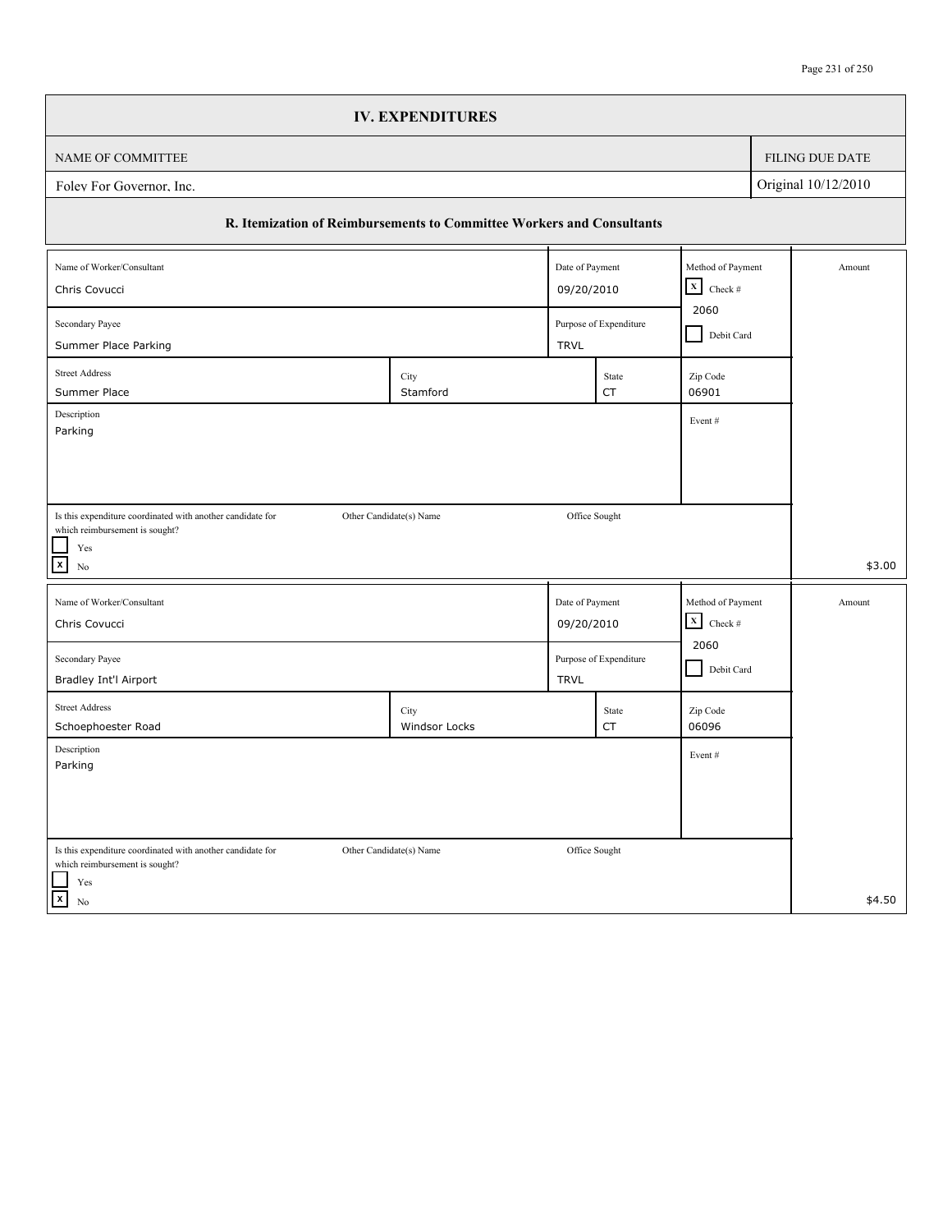|                                                                                                                           |                                              | <b>IV. EXPENDITURES</b>                                               |                 |                    |                        |  |                     |
|---------------------------------------------------------------------------------------------------------------------------|----------------------------------------------|-----------------------------------------------------------------------|-----------------|--------------------|------------------------|--|---------------------|
| NAME OF COMMITTEE                                                                                                         |                                              |                                                                       |                 |                    |                        |  | FILING DUE DATE     |
| Folev For Governor, Inc.                                                                                                  |                                              |                                                                       |                 |                    |                        |  | Original 10/12/2010 |
|                                                                                                                           |                                              | R. Itemization of Reimbursements to Committee Workers and Consultants |                 |                    |                        |  |                     |
| Name of Worker/Consultant                                                                                                 |                                              |                                                                       | Date of Payment |                    | Method of Payment      |  | Amount              |
| 09/20/2010<br>Chris Covucci                                                                                               |                                              |                                                                       |                 |                    | $X$ Check #            |  |                     |
| Secondary Payee                                                                                                           | 2060<br>Purpose of Expenditure<br>Debit Card |                                                                       |                 |                    |                        |  |                     |
| Summer Place Parking                                                                                                      |                                              |                                                                       | <b>TRVL</b>     |                    |                        |  |                     |
| <b>Street Address</b><br>Summer Place                                                                                     |                                              | City<br>Stamford                                                      |                 | State<br><b>CT</b> | Zip Code<br>06901      |  |                     |
| Description<br>Parking                                                                                                    |                                              |                                                                       |                 |                    | Event#                 |  |                     |
| Is this expenditure coordinated with another candidate for<br>which reimbursement is sought?<br>Yes<br>$\mathbf{x}$<br>No |                                              | Other Candidate(s) Name                                               |                 | Office Sought      |                        |  | \$3.00              |
| Name of Worker/Consultant                                                                                                 |                                              |                                                                       | Date of Payment |                    | Method of Payment      |  | Amount              |
| Chris Covucci                                                                                                             |                                              |                                                                       | 09/20/2010      |                    | $\mathbf x$<br>Check # |  |                     |
| Secondary Payee<br>Bradley Int'l Airport                                                                                  | Purpose of Expenditure<br><b>TRVL</b>        |                                                                       |                 |                    | 2060<br>Debit Card     |  |                     |
| <b>Street Address</b><br>Schoephoester Road                                                                               |                                              | City<br>Windsor Locks                                                 |                 | State<br>CT        | Zip Code<br>06096      |  |                     |
| Description<br>Parking                                                                                                    |                                              |                                                                       |                 |                    | Event#                 |  |                     |
| Is this expenditure coordinated with another candidate for<br>which reimbursement is sought?<br>Yes                       |                                              | Other Candidate(s) Name                                               |                 | Office Sought      |                        |  |                     |
| $\overline{[x]}$<br>$\rm No$                                                                                              |                                              |                                                                       |                 |                    |                        |  | \$4.50              |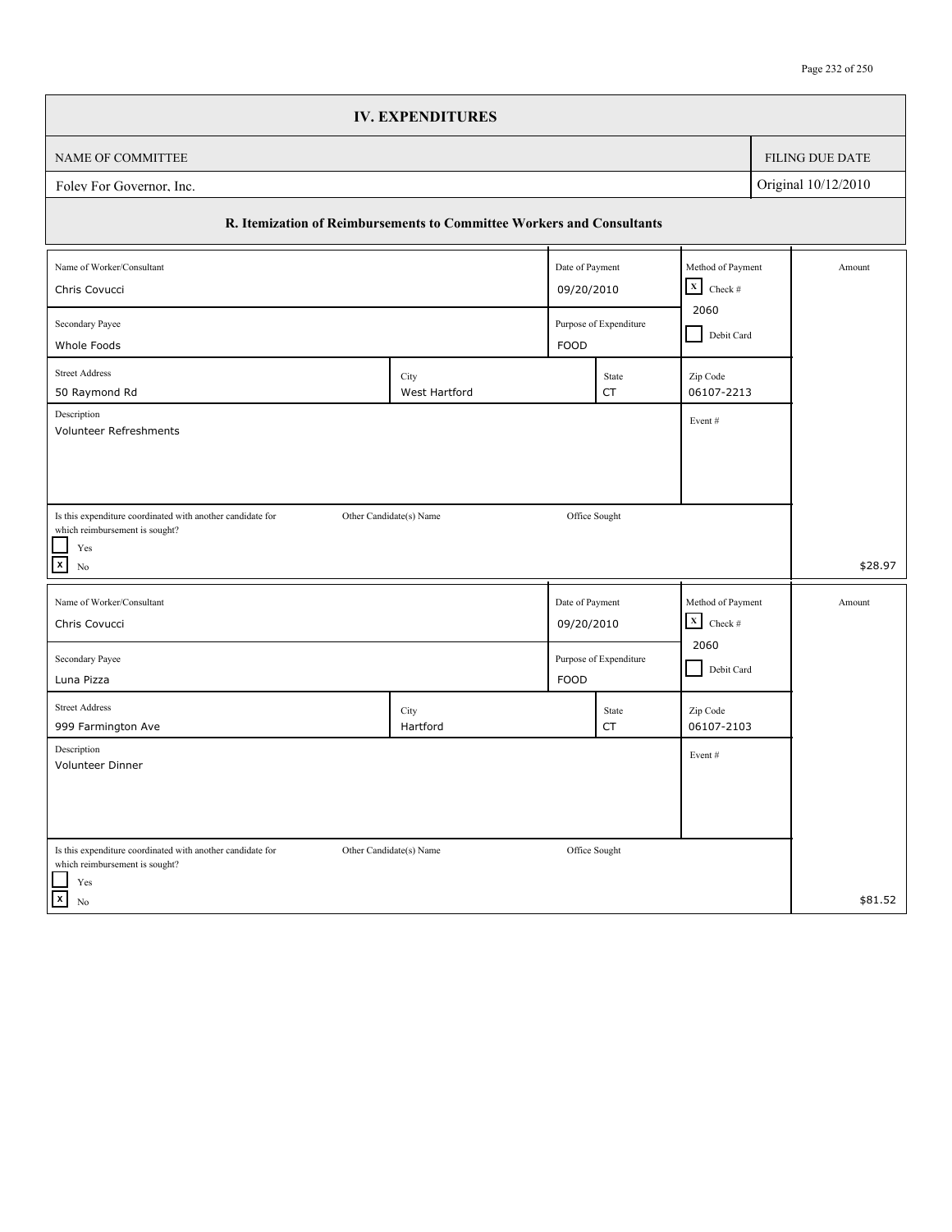|                                                                                              | <b>IV. EXPENDITURES</b> |                 |                        |                           |  |                 |
|----------------------------------------------------------------------------------------------|-------------------------|-----------------|------------------------|---------------------------|--|-----------------|
| NAME OF COMMITTEE                                                                            |                         |                 |                        |                           |  | FILING DUE DATE |
| Original 10/12/2010<br>Folev For Governor, Inc.                                              |                         |                 |                        |                           |  |                 |
| R. Itemization of Reimbursements to Committee Workers and Consultants                        |                         |                 |                        |                           |  |                 |
| Name of Worker/Consultant                                                                    |                         | Date of Payment |                        | Method of Payment         |  | Amount          |
| $\mathbf x$<br>09/20/2010<br>Chris Covucci                                                   |                         |                 |                        |                           |  |                 |
| Secondary Payee                                                                              |                         |                 | Purpose of Expenditure | 2060<br>Debit Card        |  |                 |
| Whole Foods                                                                                  |                         | <b>FOOD</b>     |                        |                           |  |                 |
| <b>Street Address</b><br>50 Raymond Rd                                                       | City<br>West Hartford   |                 | State<br>CT            | Zip Code<br>06107-2213    |  |                 |
| Description                                                                                  |                         |                 |                        | Event#                    |  |                 |
| Volunteer Refreshments                                                                       |                         |                 |                        |                           |  |                 |
|                                                                                              |                         |                 |                        |                           |  |                 |
|                                                                                              |                         |                 |                        |                           |  |                 |
| Is this expenditure coordinated with another candidate for<br>which reimbursement is sought? | Other Candidate(s) Name | Office Sought   |                        |                           |  |                 |
| Yes                                                                                          |                         |                 |                        |                           |  |                 |
| $\mathbf{x}$<br>No                                                                           |                         |                 |                        |                           |  | \$28.97         |
| Name of Worker/Consultant                                                                    |                         | Date of Payment |                        | Method of Payment         |  | Amount          |
| Chris Covucci                                                                                |                         | 09/20/2010      |                        | $\mathbf X$<br>Check $\#$ |  |                 |
| Secondary Payee                                                                              |                         |                 | Purpose of Expenditure | 2060                      |  |                 |
| Luna Pizza                                                                                   |                         | <b>FOOD</b>     |                        | Debit Card                |  |                 |
| <b>Street Address</b>                                                                        | City                    |                 | State                  | Zip Code                  |  |                 |
| 999 Farmington Ave                                                                           | Hartford                |                 | CT                     | 06107-2103                |  |                 |
| Description<br>Volunteer Dinner                                                              |                         |                 |                        | Event#                    |  |                 |
|                                                                                              |                         |                 |                        |                           |  |                 |
|                                                                                              |                         |                 |                        |                           |  |                 |
| Is this expenditure coordinated with another candidate for                                   | Other Candidate(s) Name | Office Sought   |                        |                           |  |                 |
| which reimbursement is sought?                                                               |                         |                 |                        |                           |  |                 |
| Yes<br>$\overline{x}$<br>No                                                                  |                         |                 |                        |                           |  | \$81.52         |
|                                                                                              |                         |                 |                        |                           |  |                 |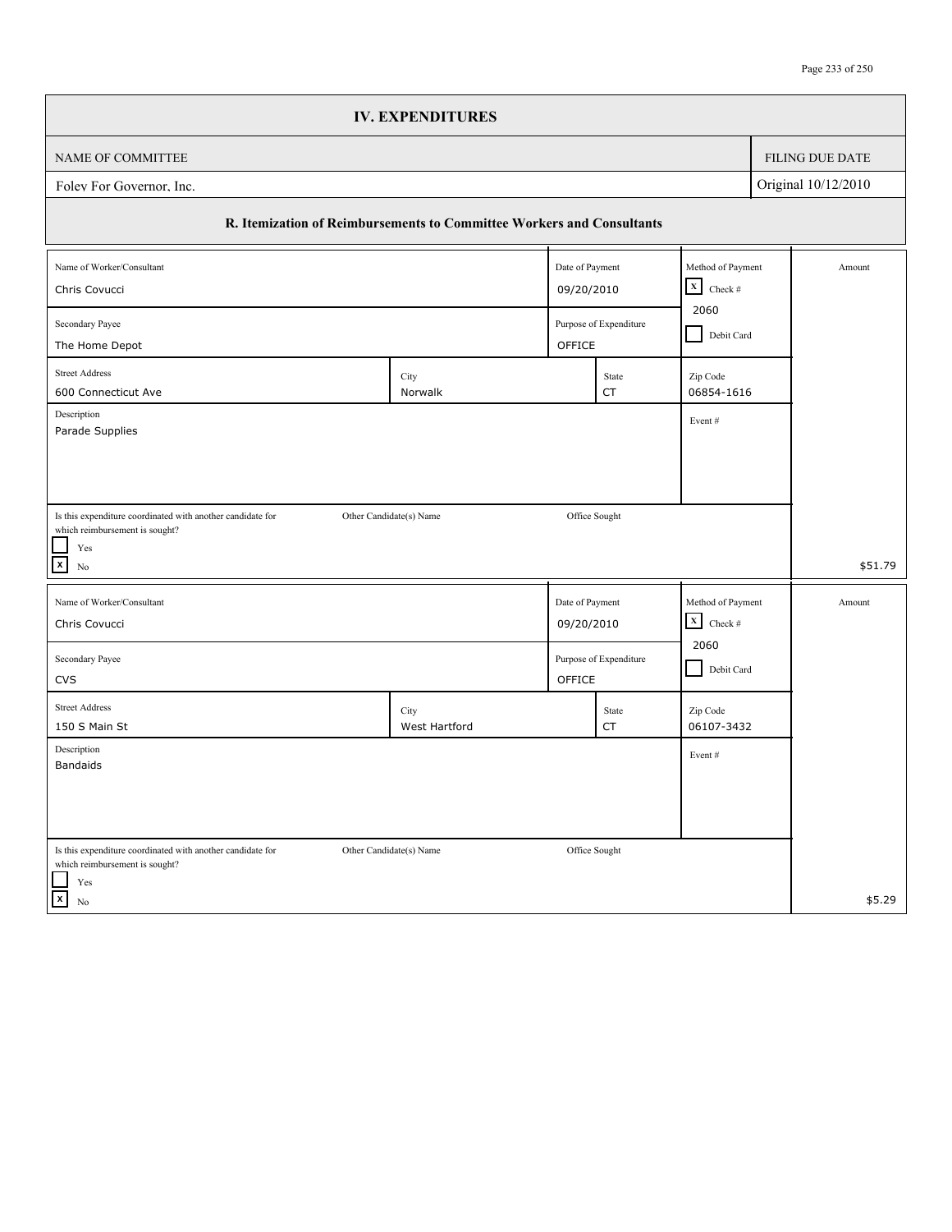|                                                                                              | <b>IV. EXPENDITURES</b>                                               |                 |               |                        |  |                        |
|----------------------------------------------------------------------------------------------|-----------------------------------------------------------------------|-----------------|---------------|------------------------|--|------------------------|
| NAME OF COMMITTEE                                                                            |                                                                       |                 |               |                        |  | <b>FILING DUE DATE</b> |
| Original 10/12/2010<br>Folev For Governor, Inc.                                              |                                                                       |                 |               |                        |  |                        |
|                                                                                              | R. Itemization of Reimbursements to Committee Workers and Consultants |                 |               |                        |  |                        |
| Name of Worker/Consultant                                                                    |                                                                       | Date of Payment |               | Method of Payment      |  | Amount                 |
| 09/20/2010<br>Chris Covucci                                                                  |                                                                       |                 |               | $X$ Check #            |  |                        |
| Secondary Payee                                                                              | 2060<br>Purpose of Expenditure                                        |                 |               |                        |  |                        |
| The Home Depot                                                                               |                                                                       | OFFICE          |               |                        |  |                        |
| <b>Street Address</b><br>600 Connecticut Ave                                                 | City<br>Norwalk                                                       |                 | State<br>CT   | Zip Code<br>06854-1616 |  |                        |
| Description<br>Parade Supplies                                                               |                                                                       |                 |               | Event#                 |  |                        |
|                                                                                              |                                                                       |                 |               |                        |  |                        |
|                                                                                              |                                                                       |                 |               |                        |  |                        |
|                                                                                              |                                                                       |                 |               |                        |  |                        |
| Is this expenditure coordinated with another candidate for<br>which reimbursement is sought? | Other Candidate(s) Name                                               |                 | Office Sought |                        |  |                        |
| Yes                                                                                          |                                                                       |                 |               |                        |  |                        |
| $\boxed{\mathbf{x}}$<br>$\rm No$                                                             |                                                                       |                 |               |                        |  | \$51.79                |
| Name of Worker/Consultant                                                                    |                                                                       | Date of Payment |               | Method of Payment      |  | Amount                 |
| Chris Covucci                                                                                |                                                                       | 09/20/2010      |               | $\mathbf x$<br>Check # |  |                        |
| Secondary Payee                                                                              | 2060<br>Purpose of Expenditure                                        |                 |               |                        |  |                        |
| <b>CVS</b>                                                                                   |                                                                       | OFFICE          |               | Debit Card             |  |                        |
| <b>Street Address</b>                                                                        | City                                                                  |                 | State         | Zip Code               |  |                        |
| 150 S Main St                                                                                | West Hartford                                                         |                 | CT            | 06107-3432             |  |                        |
| Description<br><b>Bandaids</b>                                                               |                                                                       |                 |               | Event#                 |  |                        |
|                                                                                              |                                                                       |                 |               |                        |  |                        |
|                                                                                              |                                                                       |                 |               |                        |  |                        |
|                                                                                              |                                                                       |                 |               |                        |  |                        |
| Is this expenditure coordinated with another candidate for<br>which reimbursement is sought? | Other Candidate(s) Name                                               |                 | Office Sought |                        |  |                        |
| Yes                                                                                          |                                                                       |                 |               |                        |  |                        |
| $\overline{[x]}$<br>$\rm No$                                                                 |                                                                       |                 |               |                        |  | \$5.29                 |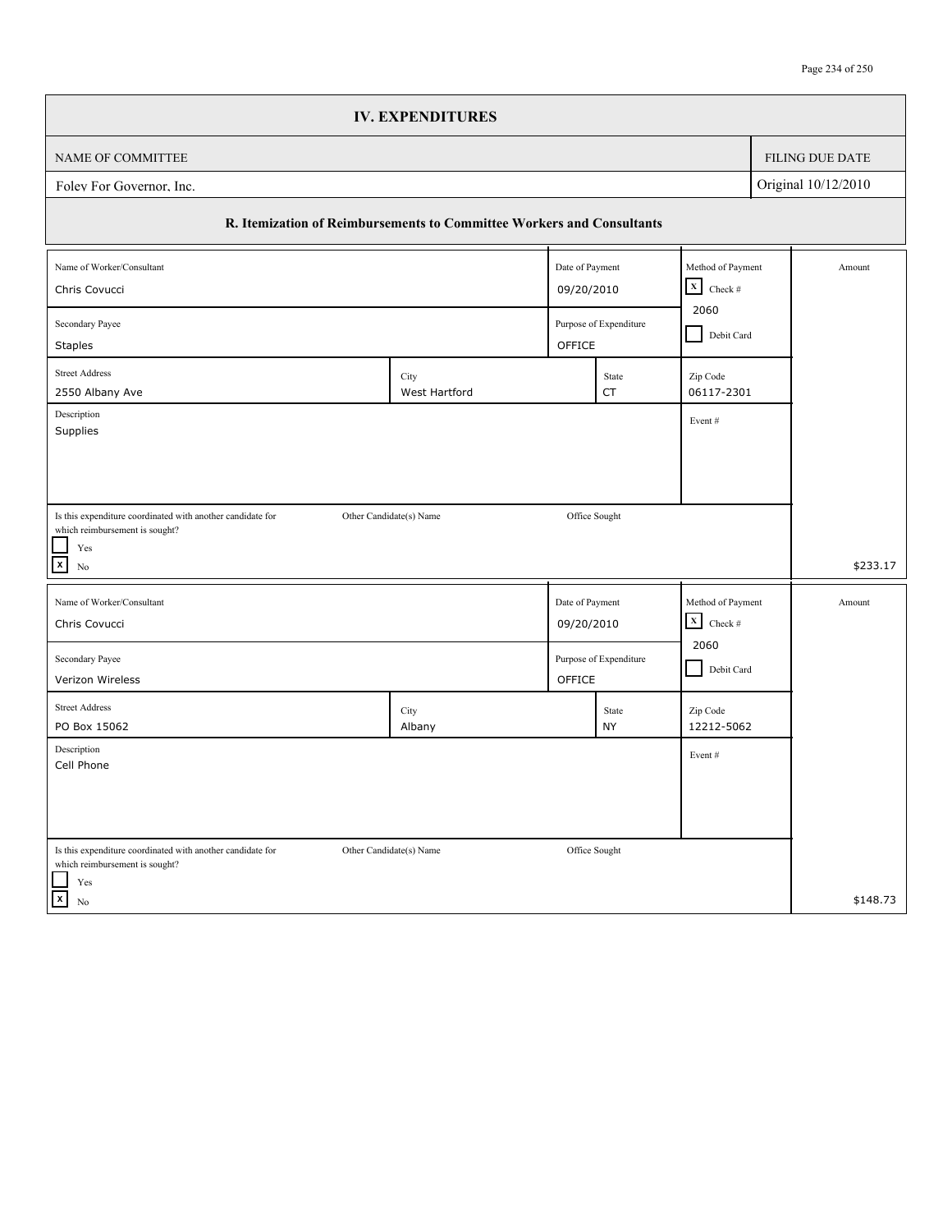| FILING DUE DATE<br>Original 10/12/2010<br>R. Itemization of Reimbursements to Committee Workers and Consultants<br>Date of Payment<br>Method of Payment<br>Amount<br>$\mathbf x$<br>Check #<br>09/20/2010<br>2060<br>Purpose of Expenditure<br>Debit Card<br>OFFICE<br><b>Staples</b><br>Zip Code<br>City<br>State<br>06117-2301<br>West Hartford<br>CT<br>Event#<br>Supplies<br>Office Sought<br>Is this expenditure coordinated with another candidate for<br>Other Candidate(s) Name<br>Yes<br>N <sub>0</sub><br>Date of Payment<br>Method of Payment<br>Name of Worker/Consultant<br>Amount<br>$\mathbf x$<br>09/20/2010<br>Check #<br>2060<br>Purpose of Expenditure<br>Secondary Payee<br>Debit Card<br>OFFICE<br>Zip Code<br>City<br>State<br><b>NY</b><br>12212-5062<br>Albany<br>Event# |                                                            | <b>IV. EXPENDITURES</b> |  |  |  |  |          |
|--------------------------------------------------------------------------------------------------------------------------------------------------------------------------------------------------------------------------------------------------------------------------------------------------------------------------------------------------------------------------------------------------------------------------------------------------------------------------------------------------------------------------------------------------------------------------------------------------------------------------------------------------------------------------------------------------------------------------------------------------------------------------------------------------|------------------------------------------------------------|-------------------------|--|--|--|--|----------|
|                                                                                                                                                                                                                                                                                                                                                                                                                                                                                                                                                                                                                                                                                                                                                                                                  | NAME OF COMMITTEE                                          |                         |  |  |  |  |          |
|                                                                                                                                                                                                                                                                                                                                                                                                                                                                                                                                                                                                                                                                                                                                                                                                  | Folev For Governor, Inc.                                   |                         |  |  |  |  |          |
|                                                                                                                                                                                                                                                                                                                                                                                                                                                                                                                                                                                                                                                                                                                                                                                                  |                                                            |                         |  |  |  |  |          |
|                                                                                                                                                                                                                                                                                                                                                                                                                                                                                                                                                                                                                                                                                                                                                                                                  | Name of Worker/Consultant                                  |                         |  |  |  |  |          |
|                                                                                                                                                                                                                                                                                                                                                                                                                                                                                                                                                                                                                                                                                                                                                                                                  | Chris Covucci                                              |                         |  |  |  |  |          |
|                                                                                                                                                                                                                                                                                                                                                                                                                                                                                                                                                                                                                                                                                                                                                                                                  | Secondary Payee                                            |                         |  |  |  |  |          |
|                                                                                                                                                                                                                                                                                                                                                                                                                                                                                                                                                                                                                                                                                                                                                                                                  |                                                            |                         |  |  |  |  |          |
|                                                                                                                                                                                                                                                                                                                                                                                                                                                                                                                                                                                                                                                                                                                                                                                                  | <b>Street Address</b><br>2550 Albany Ave                   |                         |  |  |  |  |          |
|                                                                                                                                                                                                                                                                                                                                                                                                                                                                                                                                                                                                                                                                                                                                                                                                  | Description                                                |                         |  |  |  |  |          |
|                                                                                                                                                                                                                                                                                                                                                                                                                                                                                                                                                                                                                                                                                                                                                                                                  |                                                            |                         |  |  |  |  |          |
|                                                                                                                                                                                                                                                                                                                                                                                                                                                                                                                                                                                                                                                                                                                                                                                                  |                                                            |                         |  |  |  |  |          |
|                                                                                                                                                                                                                                                                                                                                                                                                                                                                                                                                                                                                                                                                                                                                                                                                  |                                                            |                         |  |  |  |  |          |
|                                                                                                                                                                                                                                                                                                                                                                                                                                                                                                                                                                                                                                                                                                                                                                                                  | which reimbursement is sought?                             |                         |  |  |  |  |          |
|                                                                                                                                                                                                                                                                                                                                                                                                                                                                                                                                                                                                                                                                                                                                                                                                  | $\mathbf{x}$                                               |                         |  |  |  |  | \$233.17 |
|                                                                                                                                                                                                                                                                                                                                                                                                                                                                                                                                                                                                                                                                                                                                                                                                  |                                                            |                         |  |  |  |  |          |
|                                                                                                                                                                                                                                                                                                                                                                                                                                                                                                                                                                                                                                                                                                                                                                                                  | Chris Covucci                                              |                         |  |  |  |  |          |
|                                                                                                                                                                                                                                                                                                                                                                                                                                                                                                                                                                                                                                                                                                                                                                                                  |                                                            |                         |  |  |  |  |          |
|                                                                                                                                                                                                                                                                                                                                                                                                                                                                                                                                                                                                                                                                                                                                                                                                  | Verizon Wireless                                           |                         |  |  |  |  |          |
|                                                                                                                                                                                                                                                                                                                                                                                                                                                                                                                                                                                                                                                                                                                                                                                                  | <b>Street Address</b>                                      |                         |  |  |  |  |          |
|                                                                                                                                                                                                                                                                                                                                                                                                                                                                                                                                                                                                                                                                                                                                                                                                  | PO Box 15062                                               |                         |  |  |  |  |          |
|                                                                                                                                                                                                                                                                                                                                                                                                                                                                                                                                                                                                                                                                                                                                                                                                  | Description<br>Cell Phone                                  |                         |  |  |  |  |          |
|                                                                                                                                                                                                                                                                                                                                                                                                                                                                                                                                                                                                                                                                                                                                                                                                  |                                                            |                         |  |  |  |  |          |
|                                                                                                                                                                                                                                                                                                                                                                                                                                                                                                                                                                                                                                                                                                                                                                                                  |                                                            |                         |  |  |  |  |          |
| Other Candidate(s) Name<br>Office Sought                                                                                                                                                                                                                                                                                                                                                                                                                                                                                                                                                                                                                                                                                                                                                         | Is this expenditure coordinated with another candidate for |                         |  |  |  |  |          |
|                                                                                                                                                                                                                                                                                                                                                                                                                                                                                                                                                                                                                                                                                                                                                                                                  | which reimbursement is sought?                             |                         |  |  |  |  |          |
| Yes<br>No                                                                                                                                                                                                                                                                                                                                                                                                                                                                                                                                                                                                                                                                                                                                                                                        | $\mathbf{x}$                                               |                         |  |  |  |  | \$148.73 |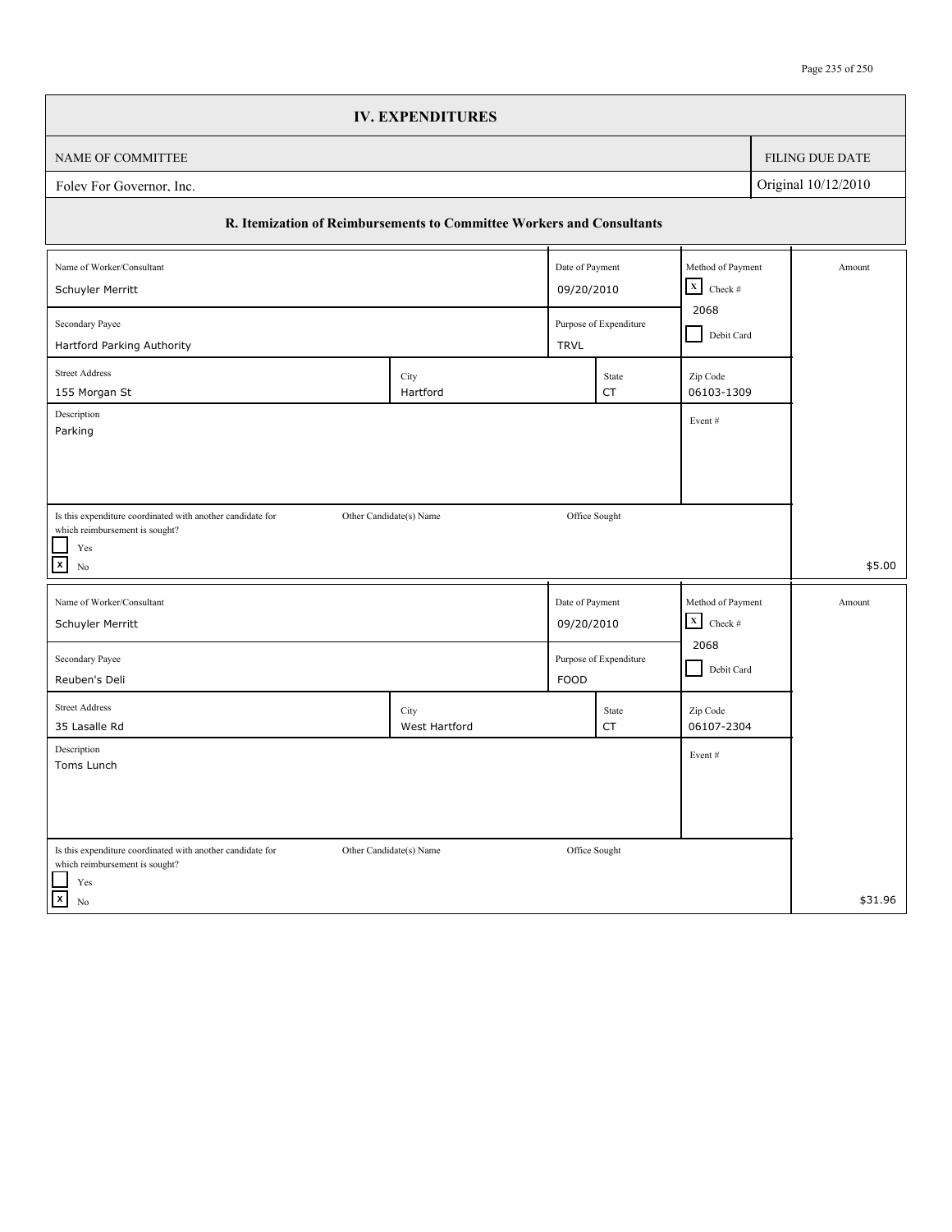|                                                                                                                      |  | <b>IV. EXPENDITURES</b>                                               |                                      |                        |                                                   |                     |
|----------------------------------------------------------------------------------------------------------------------|--|-----------------------------------------------------------------------|--------------------------------------|------------------------|---------------------------------------------------|---------------------|
| NAME OF COMMITTEE                                                                                                    |  |                                                                       |                                      |                        |                                                   | FILING DUE DATE     |
| Foley For Governor, Inc.                                                                                             |  |                                                                       |                                      |                        |                                                   | Original 10/12/2010 |
|                                                                                                                      |  | R. Itemization of Reimbursements to Committee Workers and Consultants |                                      |                        |                                                   |                     |
| Name of Worker/Consultant                                                                                            |  |                                                                       | Date of Payment                      |                        | Method of Payment<br>$\boxed{\mathbf{X}}$ Check # | Amount              |
| Schuyler Merritt<br>Secondary Payee                                                                                  |  |                                                                       | 09/20/2010<br>Purpose of Expenditure |                        | 2068<br>Debit Card                                |                     |
| Hartford Parking Authority<br><b>Street Address</b><br>155 Morgan St                                                 |  | City<br>Hartford                                                      | <b>TRVL</b>                          | State<br>CT            | Zip Code<br>06103-1309                            |                     |
| Description<br>Parking                                                                                               |  |                                                                       |                                      |                        | Event#                                            |                     |
|                                                                                                                      |  |                                                                       |                                      |                        |                                                   |                     |
| Is this expenditure coordinated with another candidate for<br>which reimbursement is sought?<br>Yes<br>$\mathbf{x}$  |  | Other Candidate(s) Name                                               |                                      | Office Sought          |                                                   |                     |
| No<br>Name of Worker/Consultant                                                                                      |  |                                                                       | Date of Payment                      |                        | Method of Payment                                 | \$5.00<br>Amount    |
| Schuyler Merritt                                                                                                     |  |                                                                       | 09/20/2010                           |                        | $\mathbf x$<br>Check $\#$                         |                     |
| Secondary Payee<br>Reuben's Deli                                                                                     |  |                                                                       | <b>FOOD</b>                          | Purpose of Expenditure | 2068<br>Debit Card                                |                     |
| <b>Street Address</b><br>35 Lasalle Rd                                                                               |  | City<br>West Hartford                                                 |                                      | State<br><b>CT</b>     | Zip Code<br>06107-2304                            |                     |
| Description<br>Toms Lunch                                                                                            |  |                                                                       |                                      |                        | Event#                                            |                     |
|                                                                                                                      |  |                                                                       |                                      |                        |                                                   |                     |
| Is this expenditure coordinated with another candidate for<br>which reimbursement is sought?<br>$\operatorname{Yes}$ |  | Other Candidate(s) Name                                               |                                      | Office Sought          |                                                   |                     |
| $\vert x \vert$<br>$\rm No$                                                                                          |  |                                                                       |                                      |                        |                                                   | \$31.96             |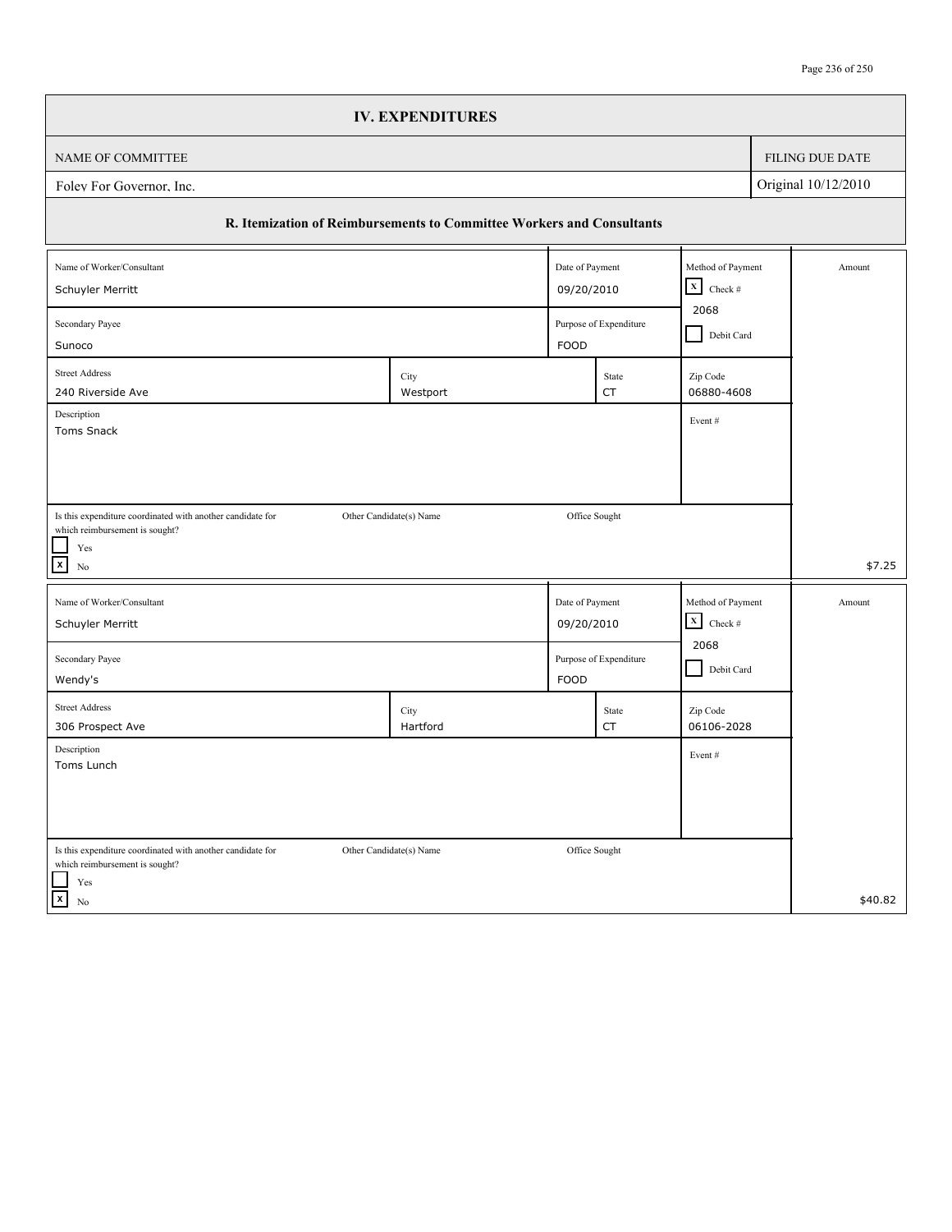|                                                                                              | <b>IV. EXPENDITURES</b>                                               |                 |                                              |                                      |            |                        |
|----------------------------------------------------------------------------------------------|-----------------------------------------------------------------------|-----------------|----------------------------------------------|--------------------------------------|------------|------------------------|
| NAME OF COMMITTEE                                                                            |                                                                       |                 |                                              |                                      |            | <b>FILING DUE DATE</b> |
| Foley For Governor, Inc.                                                                     |                                                                       |                 |                                              |                                      |            | Original 10/12/2010    |
|                                                                                              | R. Itemization of Reimbursements to Committee Workers and Consultants |                 |                                              |                                      |            |                        |
| Name of Worker/Consultant                                                                    |                                                                       | Date of Payment |                                              | Method of Payment                    |            | Amount                 |
| Schuyler Merritt                                                                             |                                                                       |                 | 09/20/2010                                   | $\boxed{\mathbf{X}}$ Check #<br>2068 |            |                        |
| Secondary Payee<br>Purpose of Expenditure                                                    |                                                                       |                 |                                              |                                      | Debit Card |                        |
| Sunoco                                                                                       |                                                                       | <b>FOOD</b>     |                                              |                                      |            |                        |
| <b>Street Address</b><br>240 Riverside Ave                                                   | City<br>Westport                                                      |                 | State<br>CT                                  | Zip Code<br>06880-4608               |            |                        |
| Description<br>Event#                                                                        |                                                                       |                 |                                              |                                      |            |                        |
| Toms Snack                                                                                   |                                                                       |                 |                                              |                                      |            |                        |
|                                                                                              |                                                                       |                 |                                              |                                      |            |                        |
|                                                                                              |                                                                       |                 |                                              |                                      |            |                        |
| Is this expenditure coordinated with another candidate for<br>which reimbursement is sought? | Other Candidate(s) Name                                               | Office Sought   |                                              |                                      |            |                        |
| Yes<br>$\boldsymbol{\mathsf{x}}$<br>N <sub>0</sub>                                           |                                                                       |                 |                                              |                                      |            | \$7.25                 |
|                                                                                              |                                                                       |                 |                                              | Method of Payment                    |            |                        |
| Name of Worker/Consultant<br>Schuyler Merritt                                                |                                                                       |                 | Date of Payment<br>$\mathbf X$<br>09/20/2010 |                                      |            | Amount                 |
|                                                                                              |                                                                       |                 |                                              | Check $\#$<br>2068                   |            |                        |
| Purpose of Expenditure<br>Secondary Payee<br><b>FOOD</b>                                     |                                                                       |                 |                                              | Debit Card                           |            |                        |
| Wendy's<br><b>Street Address</b>                                                             |                                                                       |                 |                                              |                                      |            |                        |
| 306 Prospect Ave                                                                             | City<br>Hartford                                                      |                 | State<br>CT                                  | Zip Code<br>06106-2028               |            |                        |
| Description                                                                                  |                                                                       |                 |                                              | Event#                               |            |                        |
| Toms Lunch                                                                                   |                                                                       |                 |                                              |                                      |            |                        |
|                                                                                              |                                                                       |                 |                                              |                                      |            |                        |
|                                                                                              |                                                                       |                 |                                              |                                      |            |                        |
| Is this expenditure coordinated with another candidate for<br>which reimbursement is sought? | Other Candidate(s) Name                                               | Office Sought   |                                              |                                      |            |                        |
| Yes                                                                                          |                                                                       |                 |                                              |                                      |            |                        |
| $\vert x \vert$<br>No                                                                        |                                                                       |                 |                                              |                                      |            | \$40.82                |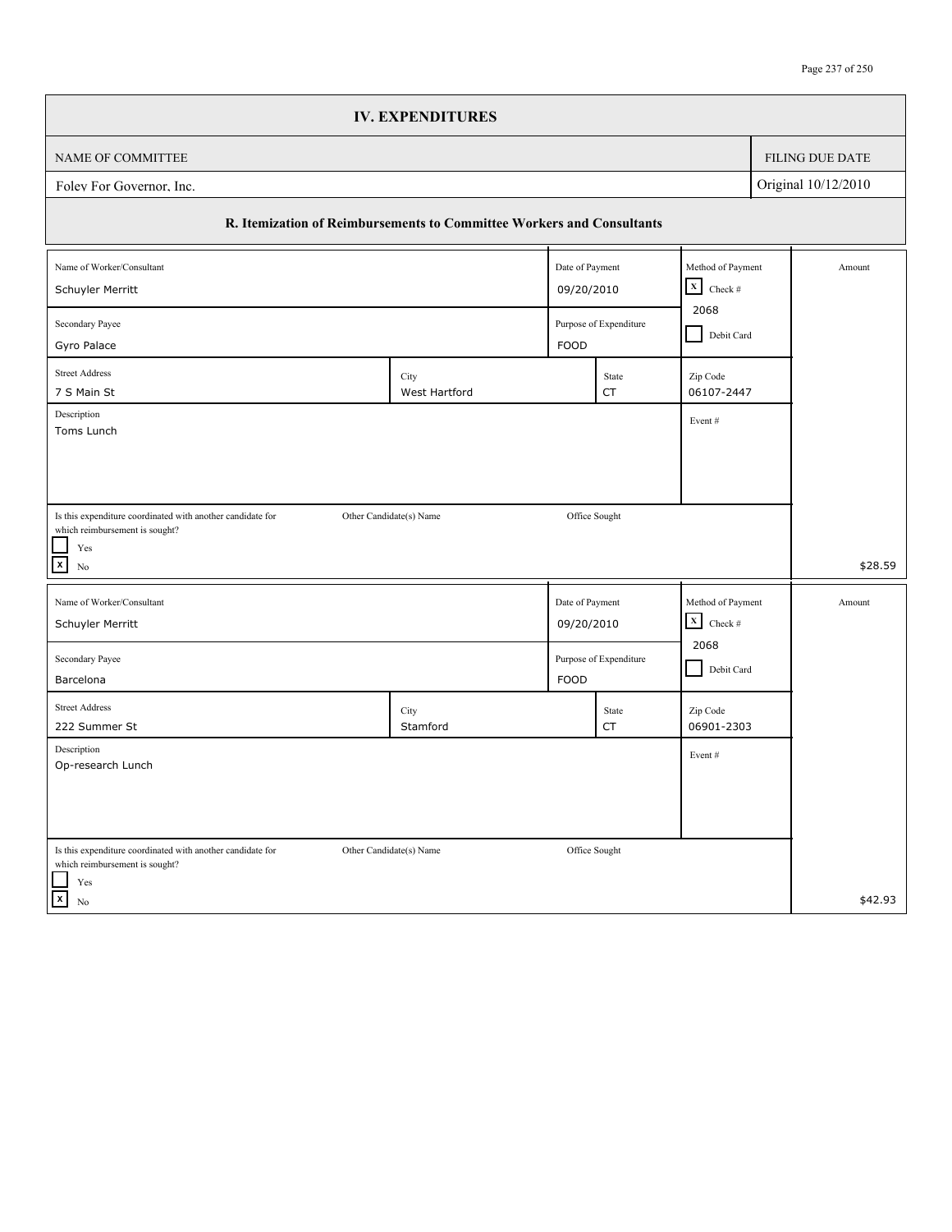|                                                                       | <b>IV. EXPENDITURES</b> |                 |                        |                              |            |                        |
|-----------------------------------------------------------------------|-------------------------|-----------------|------------------------|------------------------------|------------|------------------------|
| NAME OF COMMITTEE                                                     |                         |                 |                        |                              |            | <b>FILING DUE DATE</b> |
| Foley For Governor, Inc.                                              |                         |                 |                        |                              |            | Original 10/12/2010    |
| R. Itemization of Reimbursements to Committee Workers and Consultants |                         |                 |                        |                              |            |                        |
| Name of Worker/Consultant                                             |                         | Date of Payment |                        | Method of Payment            |            | Amount                 |
| Schuyler Merritt                                                      |                         |                 | 09/20/2010             | $\boxed{\mathbf{X}}$ Check # |            |                        |
| Secondary Payee<br>Purpose of Expenditure                             |                         |                 |                        |                              | Debit Card |                        |
| Gyro Palace                                                           |                         | <b>FOOD</b>     |                        |                              |            |                        |
| <b>Street Address</b><br>7 S Main St                                  | City<br>West Hartford   |                 | State<br>CT            | Zip Code<br>06107-2447       |            |                        |
| Description<br>Toms Lunch                                             |                         |                 |                        | Event#                       |            |                        |
|                                                                       |                         |                 |                        |                              |            |                        |
|                                                                       |                         |                 |                        |                              |            |                        |
| Is this expenditure coordinated with another candidate for            | Other Candidate(s) Name |                 | Office Sought          |                              |            |                        |
| which reimbursement is sought?                                        |                         |                 |                        |                              |            |                        |
| Yes<br>$\boldsymbol{\mathsf{x}}$<br>N <sub>0</sub>                    |                         |                 |                        |                              |            | \$28.59                |
| Name of Worker/Consultant                                             |                         | Date of Payment |                        | Method of Payment            |            | Amount                 |
| Schuyler Merritt                                                      |                         | 09/20/2010      |                        | $\mathbf X$<br>Check $\#$    |            |                        |
| Secondary Payee                                                       |                         |                 | Purpose of Expenditure | 2068                         |            |                        |
| Barcelona                                                             |                         | <b>FOOD</b>     |                        | Debit Card                   |            |                        |
| <b>Street Address</b>                                                 | City                    |                 | State                  | Zip Code                     |            |                        |
| 222 Summer St                                                         | Stamford                |                 | CT                     | 06901-2303                   |            |                        |
| Description<br>Op-research Lunch                                      |                         |                 |                        | Event#                       |            |                        |
|                                                                       |                         |                 |                        |                              |            |                        |
|                                                                       |                         |                 |                        |                              |            |                        |
| Is this expenditure coordinated with another candidate for            | Other Candidate(s) Name | Office Sought   |                        |                              |            |                        |
| which reimbursement is sought?                                        |                         |                 |                        |                              |            |                        |
| Yes<br>$\vert x \vert$<br>No                                          |                         |                 |                        |                              |            | \$42.93                |
|                                                                       |                         |                 |                        |                              |            |                        |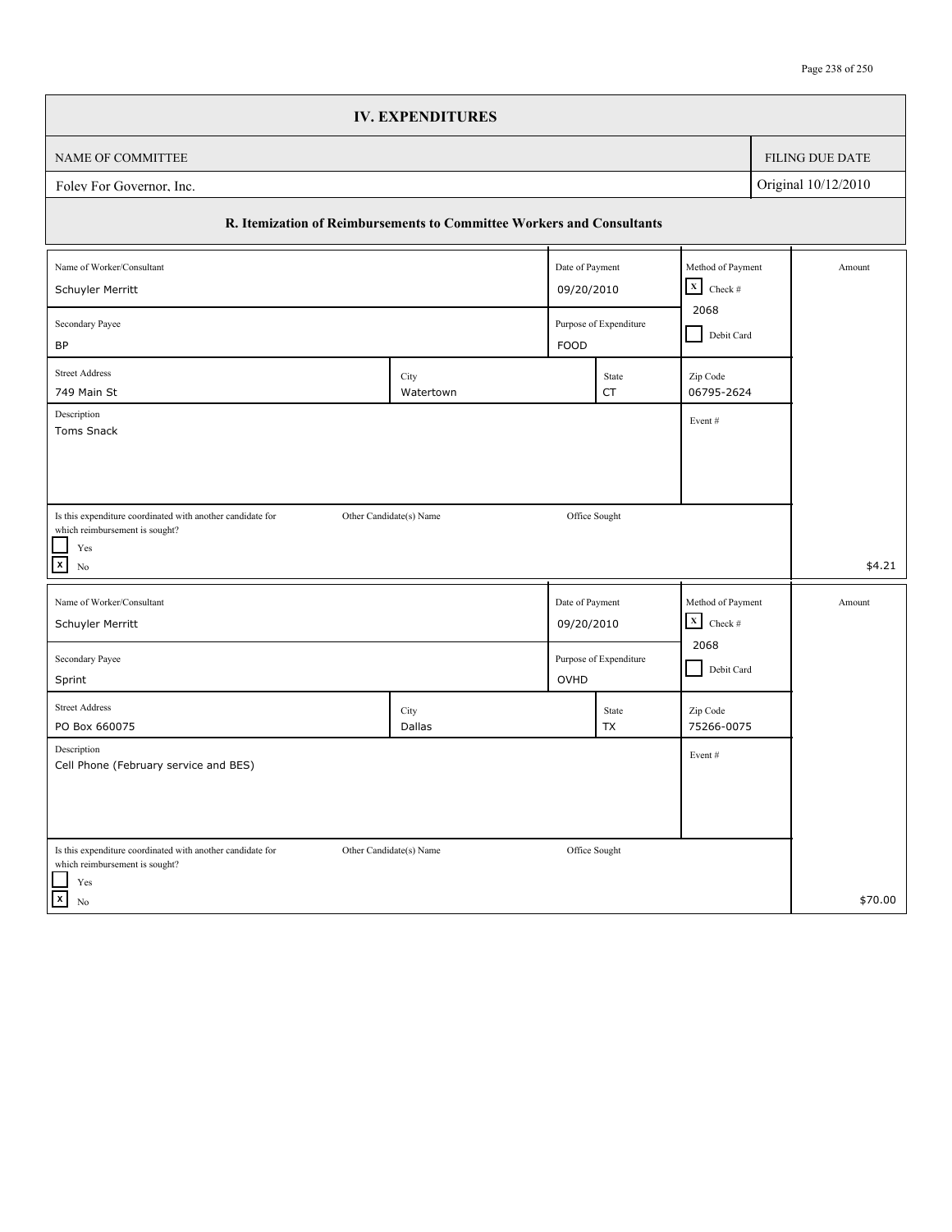|                                                                                              | <b>IV. EXPENDITURES</b>                             |                 |                        |                                  |  |                     |
|----------------------------------------------------------------------------------------------|-----------------------------------------------------|-----------------|------------------------|----------------------------------|--|---------------------|
| NAME OF COMMITTEE                                                                            |                                                     |                 |                        |                                  |  | FILING DUE DATE     |
| Folev For Governor, Inc.                                                                     |                                                     |                 |                        |                                  |  | Original 10/12/2010 |
| R. Itemization of Reimbursements to Committee Workers and Consultants                        |                                                     |                 |                        |                                  |  |                     |
| Name of Worker/Consultant                                                                    |                                                     | Date of Payment |                        | Method of Payment<br>$\mathbf x$ |  | Amount              |
| Schuyler Merritt                                                                             |                                                     | 09/20/2010      |                        | Check $\#$<br>2068               |  |                     |
| Secondary Payee<br>BP                                                                        | Purpose of Expenditure<br>Debit Card<br><b>FOOD</b> |                 |                        |                                  |  |                     |
| <b>Street Address</b><br>749 Main St                                                         | City<br>Watertown                                   |                 | State<br><b>CT</b>     | Zip Code<br>06795-2624           |  |                     |
| Description<br>Toms Snack                                                                    |                                                     |                 |                        | Event#                           |  |                     |
|                                                                                              |                                                     |                 |                        |                                  |  |                     |
|                                                                                              |                                                     |                 |                        |                                  |  |                     |
| Is this expenditure coordinated with another candidate for<br>which reimbursement is sought? | Other Candidate(s) Name                             | Office Sought   |                        |                                  |  |                     |
| $\operatorname{Yes}$<br>$\mathbf{x}$<br>No                                                   |                                                     |                 |                        |                                  |  | \$4.21              |
| Name of Worker/Consultant                                                                    |                                                     | Date of Payment |                        | Method of Payment                |  | Amount              |
| Schuyler Merritt                                                                             |                                                     | 09/20/2010      |                        | $\mathbf x$<br>Check $\#$        |  |                     |
| Secondary Payee<br>Sprint                                                                    |                                                     | OVHD            | Purpose of Expenditure | 2068<br>Debit Card               |  |                     |
| <b>Street Address</b><br>PO Box 660075                                                       | City<br>Dallas                                      |                 | State<br>TX            | Zip Code<br>75266-0075           |  |                     |
| Description<br>Cell Phone (February service and BES)                                         |                                                     |                 |                        | Event#                           |  |                     |
|                                                                                              |                                                     |                 |                        |                                  |  |                     |
| Is this expenditure coordinated with another candidate for                                   | Other Candidate(s) Name                             | Office Sought   |                        |                                  |  |                     |
| which reimbursement is sought?<br>Yes<br>$\vert x \vert$<br>No                               |                                                     |                 |                        |                                  |  | \$70.00             |
|                                                                                              |                                                     |                 |                        |                                  |  |                     |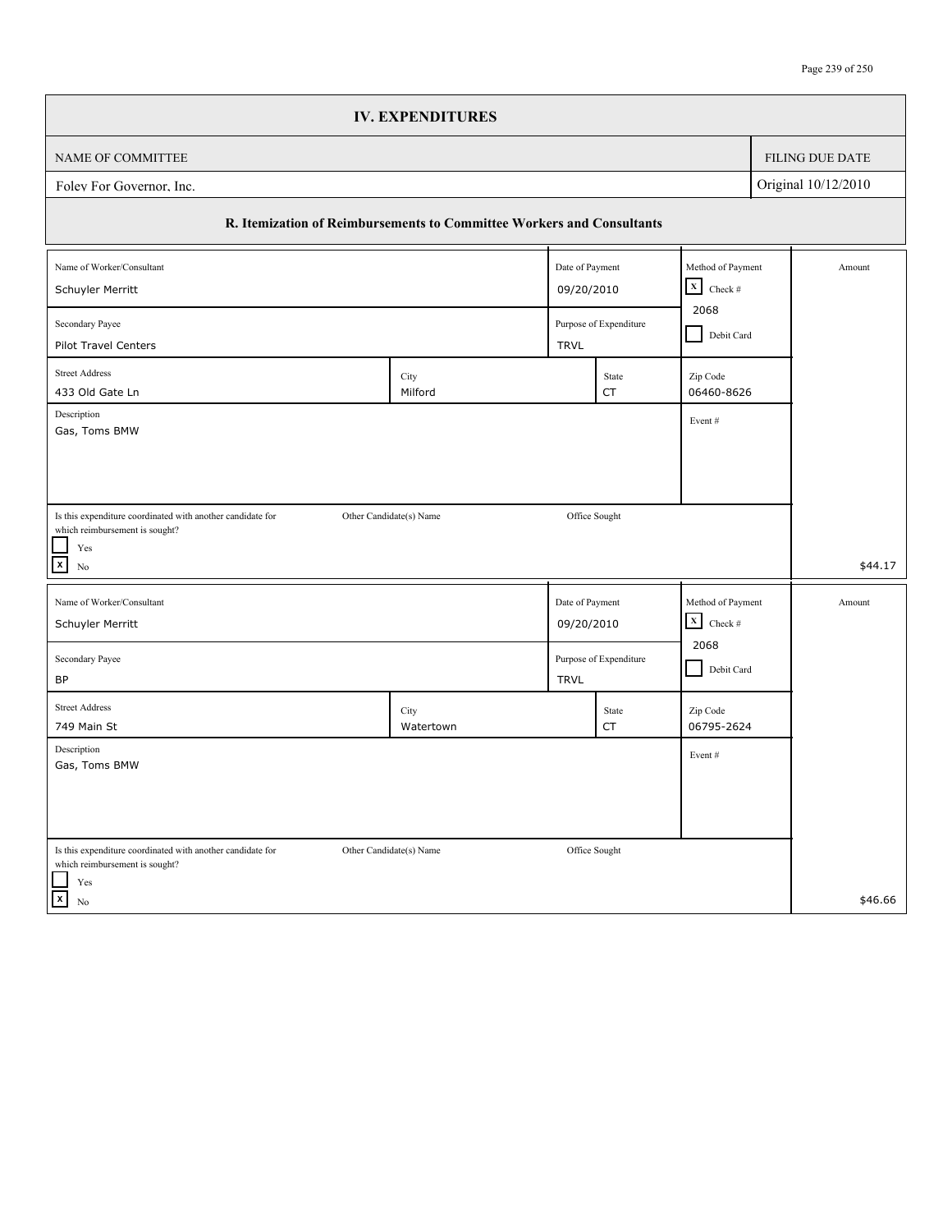|                                                                                              | <b>IV. EXPENDITURES</b> |                 |             |                                      |            |                     |
|----------------------------------------------------------------------------------------------|-------------------------|-----------------|-------------|--------------------------------------|------------|---------------------|
| NAME OF COMMITTEE                                                                            |                         |                 |             |                                      |            | FILING DUE DATE     |
| Foley For Governor, Inc.                                                                     |                         |                 |             |                                      |            | Original 10/12/2010 |
| R. Itemization of Reimbursements to Committee Workers and Consultants                        |                         |                 |             |                                      |            |                     |
| Name of Worker/Consultant                                                                    |                         | Date of Payment |             | Method of Payment                    |            | Amount              |
| Schuyler Merritt                                                                             |                         |                 | 09/20/2010  | $\boxed{\mathbf{X}}$ Check #<br>2068 |            |                     |
| Secondary Payee<br>Purpose of Expenditure<br>Pilot Travel Centers<br><b>TRVL</b>             |                         |                 |             |                                      | Debit Card |                     |
| <b>Street Address</b><br>433 Old Gate Ln                                                     | City<br>Milford         |                 | State<br>CT | Zip Code<br>06460-8626               |            |                     |
| Description<br>Gas, Toms BMW                                                                 |                         |                 |             | Event#                               |            |                     |
|                                                                                              |                         |                 |             |                                      |            |                     |
|                                                                                              |                         |                 |             |                                      |            |                     |
| Is this expenditure coordinated with another candidate for<br>which reimbursement is sought? | Other Candidate(s) Name | Office Sought   |             |                                      |            |                     |
| Yes<br>$\mathbf{x}$<br>No                                                                    |                         |                 |             |                                      |            | \$44.17             |
| Name of Worker/Consultant                                                                    |                         | Date of Payment |             | Method of Payment                    |            | Amount              |
| Schuyler Merritt                                                                             |                         | 09/20/2010      |             | $\mathbf X$<br>Check $\#$            |            |                     |
| Purpose of Expenditure<br>Secondary Payee                                                    |                         |                 |             | 2068<br>Debit Card                   |            |                     |
| BP<br><b>Street Address</b>                                                                  | City                    | <b>TRVL</b>     | State       | Zip Code                             |            |                     |
| 749 Main St                                                                                  | Watertown               |                 | <b>CT</b>   | 06795-2624                           |            |                     |
| Description<br>Gas, Toms BMW                                                                 |                         |                 |             | Event#                               |            |                     |
|                                                                                              |                         |                 |             |                                      |            |                     |
|                                                                                              |                         |                 |             |                                      |            |                     |
| Is this expenditure coordinated with another candidate for<br>which reimbursement is sought? | Other Candidate(s) Name | Office Sought   |             |                                      |            |                     |
| $\operatorname{Yes}$<br>$\vert x \vert$<br>$\rm No$                                          |                         |                 |             |                                      |            | \$46.66             |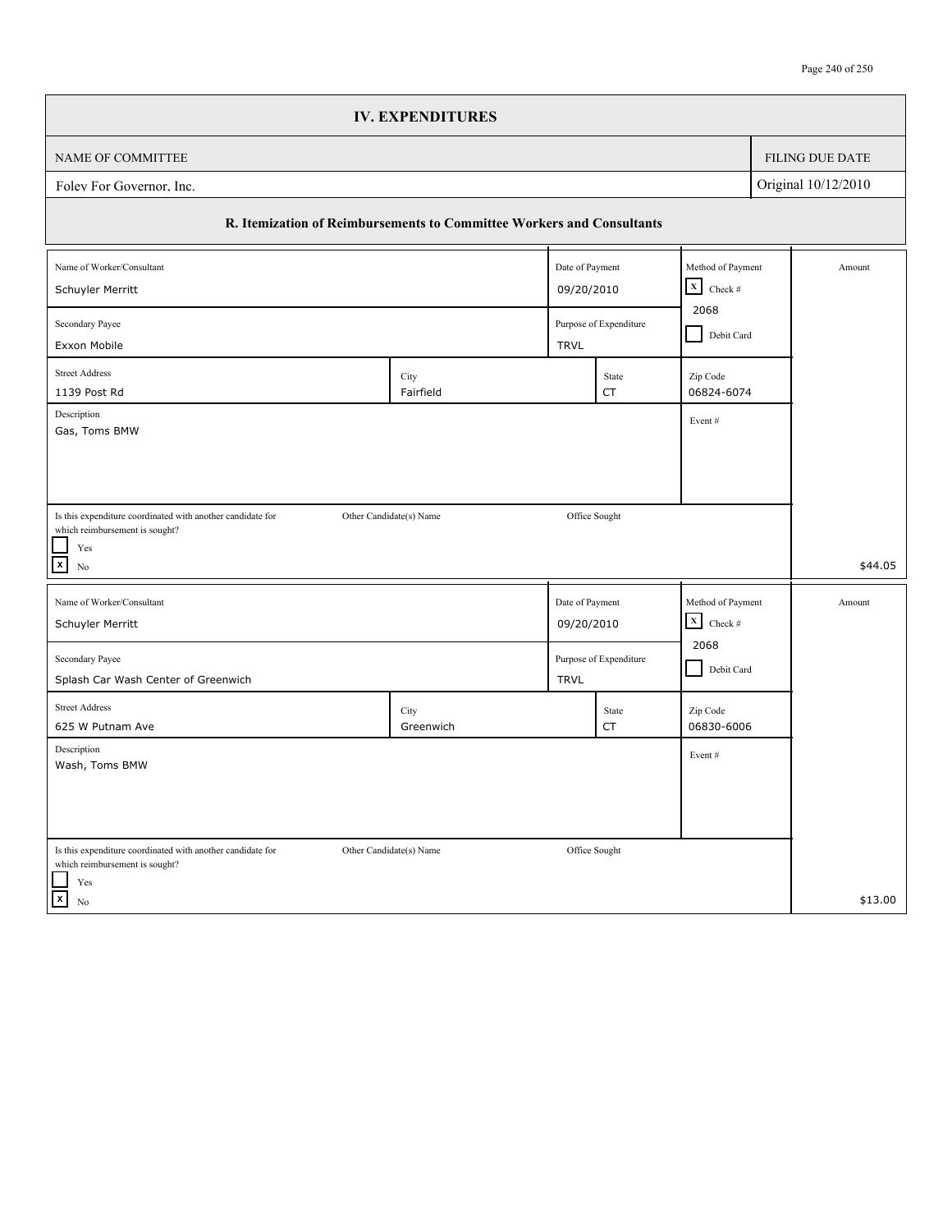|                                                                                                                      | <b>IV. EXPENDITURES</b> |                 |                    |                                                   |  |                        |
|----------------------------------------------------------------------------------------------------------------------|-------------------------|-----------------|--------------------|---------------------------------------------------|--|------------------------|
| NAME OF COMMITTEE                                                                                                    |                         |                 |                    |                                                   |  | <b>FILING DUE DATE</b> |
| Original 10/12/2010<br>Foley For Governor, Inc.                                                                      |                         |                 |                    |                                                   |  |                        |
| R. Itemization of Reimbursements to Committee Workers and Consultants                                                |                         |                 |                    |                                                   |  |                        |
| Name of Worker/Consultant                                                                                            |                         | Date of Payment |                    | Method of Payment<br>$\boxed{\mathbf{X}}$ Check # |  | Amount                 |
| Schuyler Merritt                                                                                                     |                         | 09/20/2010      |                    |                                                   |  |                        |
| 2068<br>Secondary Payee<br>Purpose of Expenditure<br>Debit Card<br>Exxon Mobile<br><b>TRVL</b>                       |                         |                 |                    |                                                   |  |                        |
| <b>Street Address</b>                                                                                                | City                    |                 | State              | Zip Code                                          |  |                        |
| 1139 Post Rd<br>Description                                                                                          | Fairfield               |                 | <b>CT</b>          | 06824-6074<br>Event#                              |  |                        |
| Gas, Toms BMW                                                                                                        |                         |                 |                    |                                                   |  |                        |
|                                                                                                                      |                         |                 |                    |                                                   |  |                        |
| Is this expenditure coordinated with another candidate for<br>which reimbursement is sought?                         | Other Candidate(s) Name | Office Sought   |                    |                                                   |  |                        |
| Yes<br>$\mathbf{x}$<br>No                                                                                            |                         |                 |                    |                                                   |  | \$44.05                |
| Name of Worker/Consultant                                                                                            |                         | Date of Payment |                    | Method of Payment                                 |  | Amount                 |
| Schuyler Merritt                                                                                                     |                         | 09/20/2010      |                    | $\mathbf X$<br>Check $\#$                         |  |                        |
| Secondary Payee<br>Purpose of Expenditure<br>Splash Car Wash Center of Greenwich<br><b>TRVL</b>                      |                         |                 |                    | 2068<br>Debit Card                                |  |                        |
| <b>Street Address</b><br>625 W Putnam Ave                                                                            | City<br>Greenwich       |                 | State<br><b>CT</b> | Zip Code<br>06830-6006                            |  |                        |
| Description<br>Wash, Toms BMW                                                                                        |                         |                 |                    | Event#                                            |  |                        |
|                                                                                                                      |                         |                 |                    |                                                   |  |                        |
|                                                                                                                      |                         |                 |                    |                                                   |  |                        |
| Is this expenditure coordinated with another candidate for<br>which reimbursement is sought?<br>$\operatorname{Yes}$ | Other Candidate(s) Name | Office Sought   |                    |                                                   |  |                        |
| $\vert x \vert$<br>No                                                                                                |                         |                 |                    |                                                   |  | \$13.00                |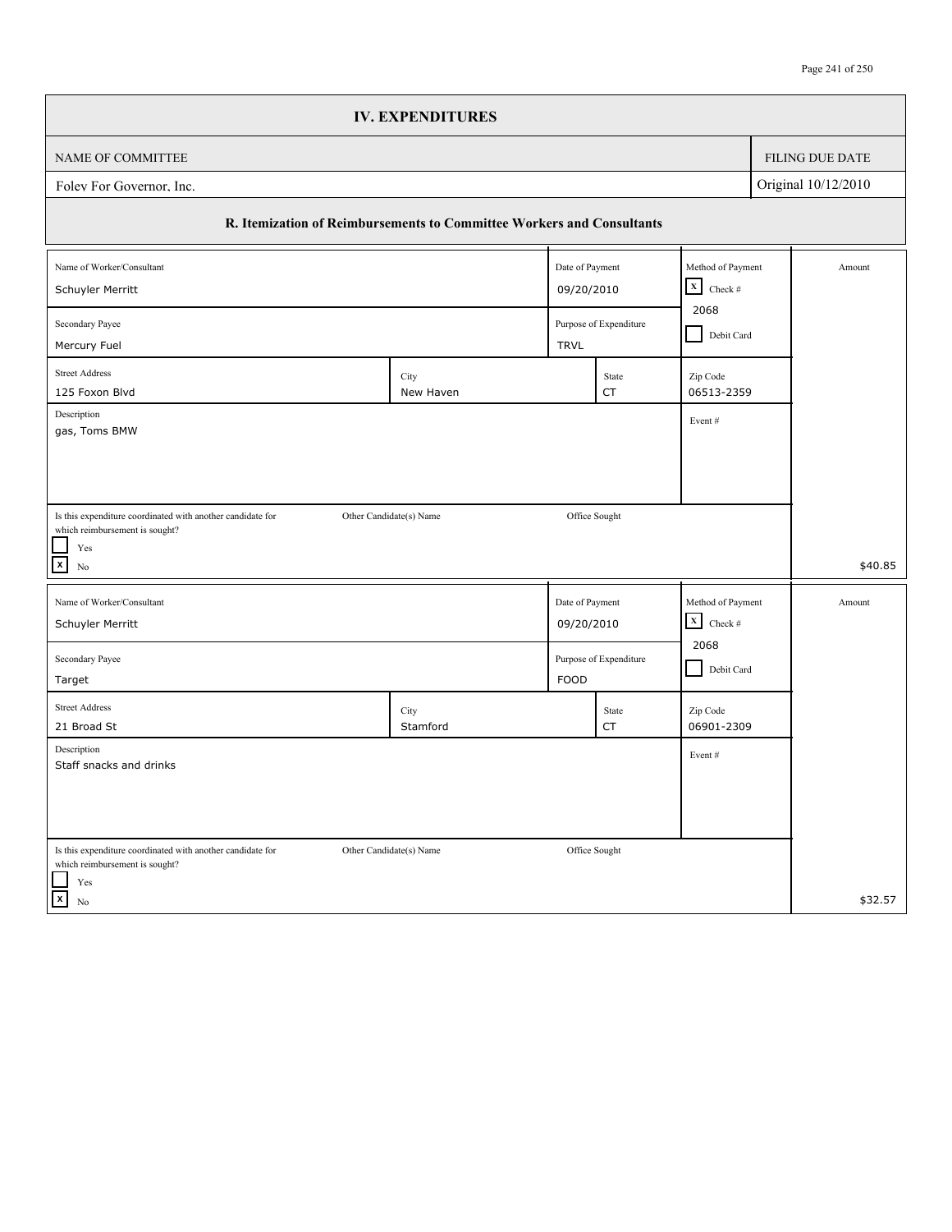|                                                                                              | <b>IV. EXPENDITURES</b>                                               |                 |                        |                                   |  |                        |
|----------------------------------------------------------------------------------------------|-----------------------------------------------------------------------|-----------------|------------------------|-----------------------------------|--|------------------------|
| NAME OF COMMITTEE                                                                            |                                                                       |                 |                        |                                   |  | <b>FILING DUE DATE</b> |
| Foley For Governor, Inc.                                                                     |                                                                       |                 |                        |                                   |  | Original 10/12/2010    |
|                                                                                              | R. Itemization of Reimbursements to Committee Workers and Consultants |                 |                        |                                   |  |                        |
| Name of Worker/Consultant                                                                    |                                                                       | Date of Payment |                        | Method of Payment                 |  | Amount                 |
| Schuyler Merritt                                                                             |                                                                       |                 | 09/20/2010             | $\boxed{\mathbf{X}}$ Check #      |  |                        |
| 2068<br>Secondary Payee<br>Purpose of Expenditure                                            |                                                                       |                 |                        |                                   |  | Debit Card             |
| Mercury Fuel                                                                                 |                                                                       | <b>TRVL</b>     |                        |                                   |  |                        |
| <b>Street Address</b><br>125 Foxon Blvd                                                      | City<br>New Haven                                                     |                 | State<br>CT            | Zip Code<br>06513-2359            |  |                        |
| Description<br>Event#                                                                        |                                                                       |                 |                        |                                   |  |                        |
| gas, Toms BMW                                                                                |                                                                       |                 |                        |                                   |  |                        |
|                                                                                              |                                                                       |                 |                        |                                   |  |                        |
|                                                                                              |                                                                       |                 |                        |                                   |  |                        |
| Is this expenditure coordinated with another candidate for<br>which reimbursement is sought? | Other Candidate(s) Name                                               |                 | Office Sought          |                                   |  |                        |
| Yes<br>$\boldsymbol{\mathsf{x}}$                                                             |                                                                       |                 |                        |                                   |  | \$40.85                |
| N <sub>0</sub>                                                                               |                                                                       |                 |                        |                                   |  |                        |
| Name of Worker/Consultant                                                                    |                                                                       | Date of Payment |                        | Method of Payment                 |  | Amount                 |
| Schuyler Merritt                                                                             |                                                                       | 09/20/2010      |                        | $\mathbf X$<br>Check $\#$<br>2068 |  |                        |
| Secondary Payee                                                                              |                                                                       |                 | Purpose of Expenditure | Debit Card                        |  |                        |
| Target                                                                                       |                                                                       | <b>FOOD</b>     |                        |                                   |  |                        |
| <b>Street Address</b>                                                                        | City                                                                  |                 | State                  | Zip Code                          |  |                        |
| 21 Broad St                                                                                  | Stamford                                                              |                 | CT                     | 06901-2309                        |  |                        |
| Description<br>Staff snacks and drinks                                                       |                                                                       |                 |                        | Event#                            |  |                        |
|                                                                                              |                                                                       |                 |                        |                                   |  |                        |
|                                                                                              |                                                                       |                 |                        |                                   |  |                        |
| Is this expenditure coordinated with another candidate for                                   | Other Candidate(s) Name                                               |                 | Office Sought          |                                   |  |                        |
| which reimbursement is sought?                                                               |                                                                       |                 |                        |                                   |  |                        |
| Yes<br>$\vert x \vert$<br>No                                                                 |                                                                       |                 |                        |                                   |  | \$32.57                |
|                                                                                              |                                                                       |                 |                        |                                   |  |                        |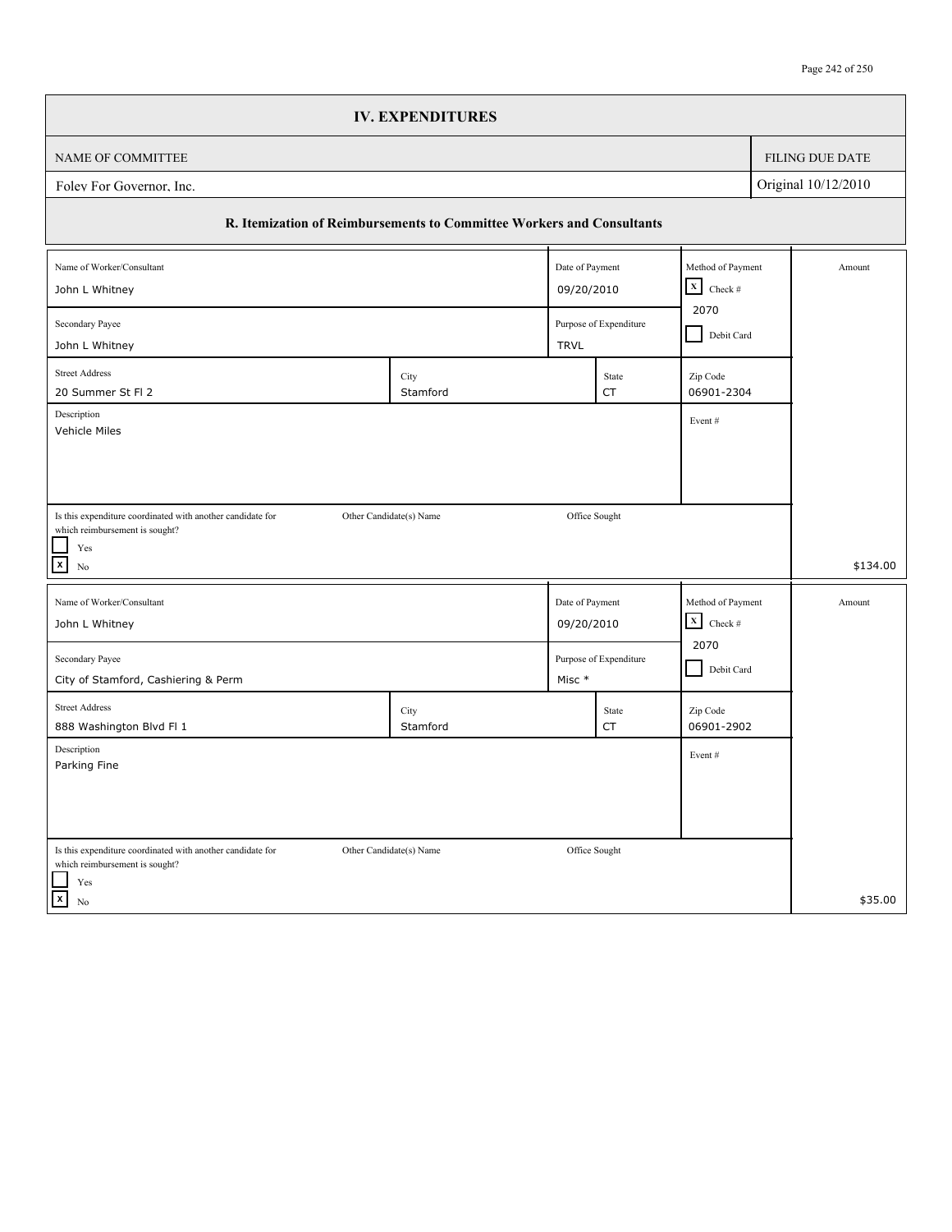|                                                                                              | <b>IV. EXPENDITURES</b>                      |  |                 |             |                        |                     |                 |
|----------------------------------------------------------------------------------------------|----------------------------------------------|--|-----------------|-------------|------------------------|---------------------|-----------------|
| NAME OF COMMITTEE                                                                            |                                              |  |                 |             |                        |                     | FILING DUE DATE |
| Folev For Governor, Inc.                                                                     |                                              |  |                 |             |                        | Original 10/12/2010 |                 |
| R. Itemization of Reimbursements to Committee Workers and Consultants                        |                                              |  |                 |             |                        |                     |                 |
| Name of Worker/Consultant                                                                    |                                              |  | Date of Payment |             | Method of Payment      |                     | Amount          |
| 09/20/2010<br>John L Whitney                                                                 |                                              |  |                 |             | $X$ Check #            |                     |                 |
| Secondary Payee                                                                              | 2070<br>Purpose of Expenditure<br>Debit Card |  |                 |             |                        |                     |                 |
| John L Whitney                                                                               |                                              |  | <b>TRVL</b>     |             |                        |                     |                 |
| <b>Street Address</b><br>20 Summer St Fl 2                                                   | City<br>Stamford                             |  |                 | State<br>CT | Zip Code<br>06901-2304 |                     |                 |
| Description<br>Vehicle Miles                                                                 |                                              |  |                 |             | Event#                 |                     |                 |
|                                                                                              |                                              |  |                 |             |                        |                     |                 |
|                                                                                              |                                              |  |                 |             |                        |                     |                 |
| Is this expenditure coordinated with another candidate for<br>which reimbursement is sought? | Other Candidate(s) Name                      |  | Office Sought   |             |                        |                     |                 |
| Yes<br>$\boldsymbol{\mathsf{x}}$<br>$\rm No$                                                 |                                              |  |                 |             |                        |                     | \$134.00        |
| Name of Worker/Consultant                                                                    |                                              |  | Date of Payment |             | Method of Payment      |                     | Amount          |
| John L Whitney                                                                               |                                              |  | 09/20/2010      |             | $\mathbf x$<br>Check # |                     |                 |
| Secondary Payee                                                                              | 2070<br>Purpose of Expenditure               |  |                 |             |                        |                     |                 |
| City of Stamford, Cashiering & Perm                                                          |                                              |  | Misc *          |             | Debit Card             |                     |                 |
| <b>Street Address</b><br>888 Washington Blvd Fl 1                                            | City<br>Stamford                             |  |                 | State<br>CT | Zip Code<br>06901-2902 |                     |                 |
| Description                                                                                  |                                              |  |                 |             |                        |                     |                 |
| Parking Fine                                                                                 |                                              |  |                 |             | Event#                 |                     |                 |
|                                                                                              |                                              |  |                 |             |                        |                     |                 |
|                                                                                              |                                              |  |                 |             |                        |                     |                 |
| Is this expenditure coordinated with another candidate for                                   | Other Candidate(s) Name                      |  | Office Sought   |             |                        |                     |                 |
| which reimbursement is sought?<br>Yes                                                        |                                              |  |                 |             |                        |                     |                 |
| $\overline{\mathbf{x}}$<br>No                                                                |                                              |  |                 |             |                        |                     | \$35.00         |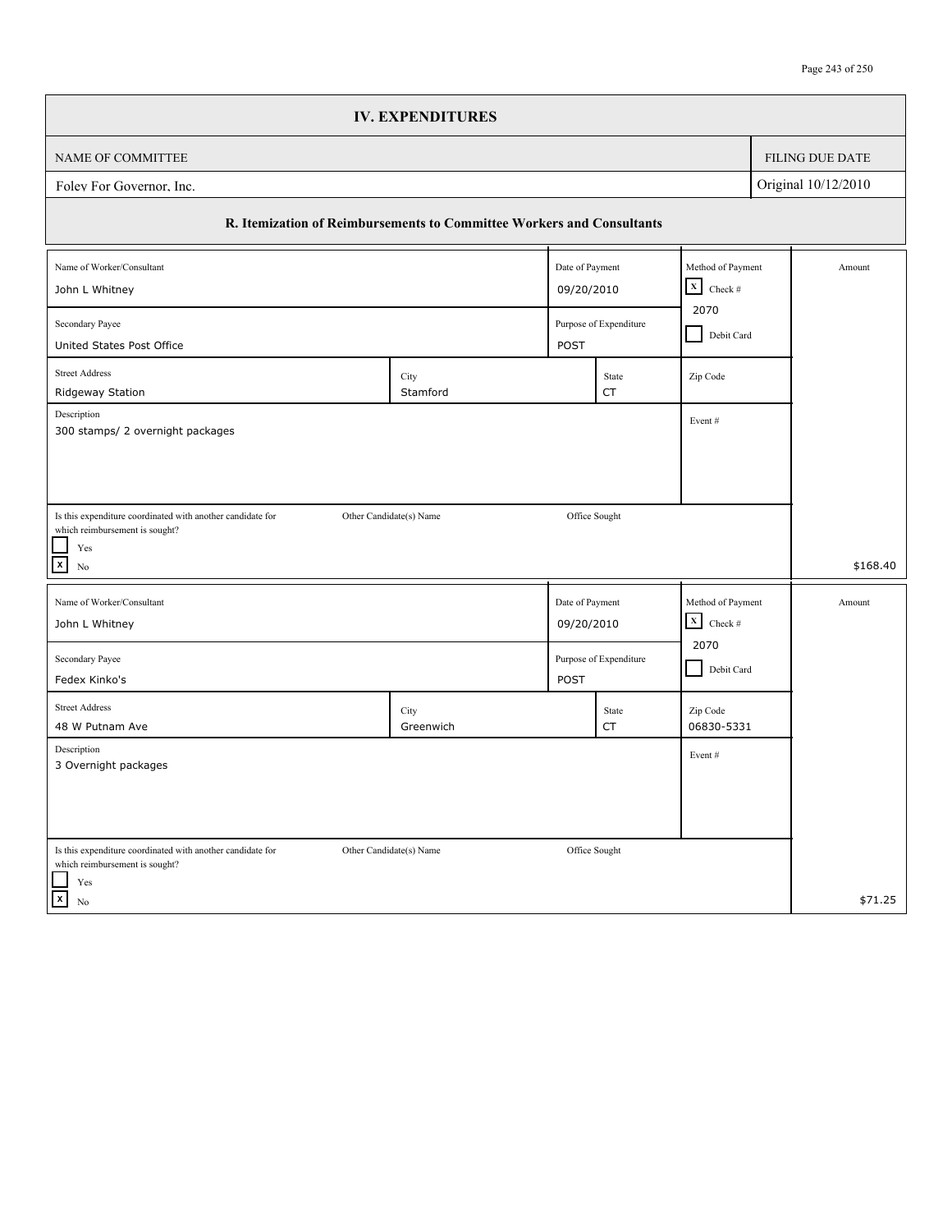|                                                                                                                                                    | <b>IV. EXPENDITURES</b> |                 |                        |                           |            |                     |
|----------------------------------------------------------------------------------------------------------------------------------------------------|-------------------------|-----------------|------------------------|---------------------------|------------|---------------------|
| NAME OF COMMITTEE                                                                                                                                  |                         |                 |                        |                           |            | FILING DUE DATE     |
| Folev For Governor, Inc.                                                                                                                           |                         |                 |                        |                           |            | Original 10/12/2010 |
| R. Itemization of Reimbursements to Committee Workers and Consultants                                                                              |                         |                 |                        |                           |            |                     |
| Name of Worker/Consultant                                                                                                                          |                         | Date of Payment |                        | Method of Payment         |            | Amount              |
| John L Whitney                                                                                                                                     |                         | 09/20/2010      |                        |                           |            |                     |
| 2070<br>Secondary Payee<br>Purpose of Expenditure<br>United States Post Office<br>POST                                                             |                         |                 |                        |                           | Debit Card |                     |
| <b>Street Address</b><br>Ridgeway Station                                                                                                          | City<br>Stamford        |                 | State<br><b>CT</b>     | Zip Code                  |            |                     |
| Description<br>300 stamps/ 2 overnight packages                                                                                                    |                         |                 |                        | Event#                    |            |                     |
|                                                                                                                                                    |                         |                 |                        |                           |            |                     |
| Is this expenditure coordinated with another candidate for<br>which reimbursement is sought?<br>$\operatorname{Yes}$<br>$\boxed{\mathbf{x}}$<br>No | Other Candidate(s) Name | Office Sought   |                        |                           |            | \$168.40            |
| Name of Worker/Consultant                                                                                                                          |                         | Date of Payment |                        | Method of Payment         |            | Amount              |
| John L Whitney                                                                                                                                     |                         | 09/20/2010      |                        | $\mathbf X$<br>Check $\#$ |            |                     |
| Secondary Payee<br>Fedex Kinko's                                                                                                                   |                         | <b>POST</b>     | Purpose of Expenditure | 2070<br>Debit Card        |            |                     |
| <b>Street Address</b><br>48 W Putnam Ave                                                                                                           | City<br>Greenwich       |                 | State<br>CT            | Zip Code<br>06830-5331    |            |                     |
| Description<br>3 Overnight packages                                                                                                                |                         |                 |                        | Event#                    |            |                     |
|                                                                                                                                                    |                         |                 |                        |                           |            |                     |
| Is this expenditure coordinated with another candidate for<br>which reimbursement is sought?<br>$\operatorname{Yes}$                               | Other Candidate(s) Name | Office Sought   |                        |                           |            |                     |
| $\vert x \vert$<br>No                                                                                                                              |                         |                 |                        |                           |            | \$71.25             |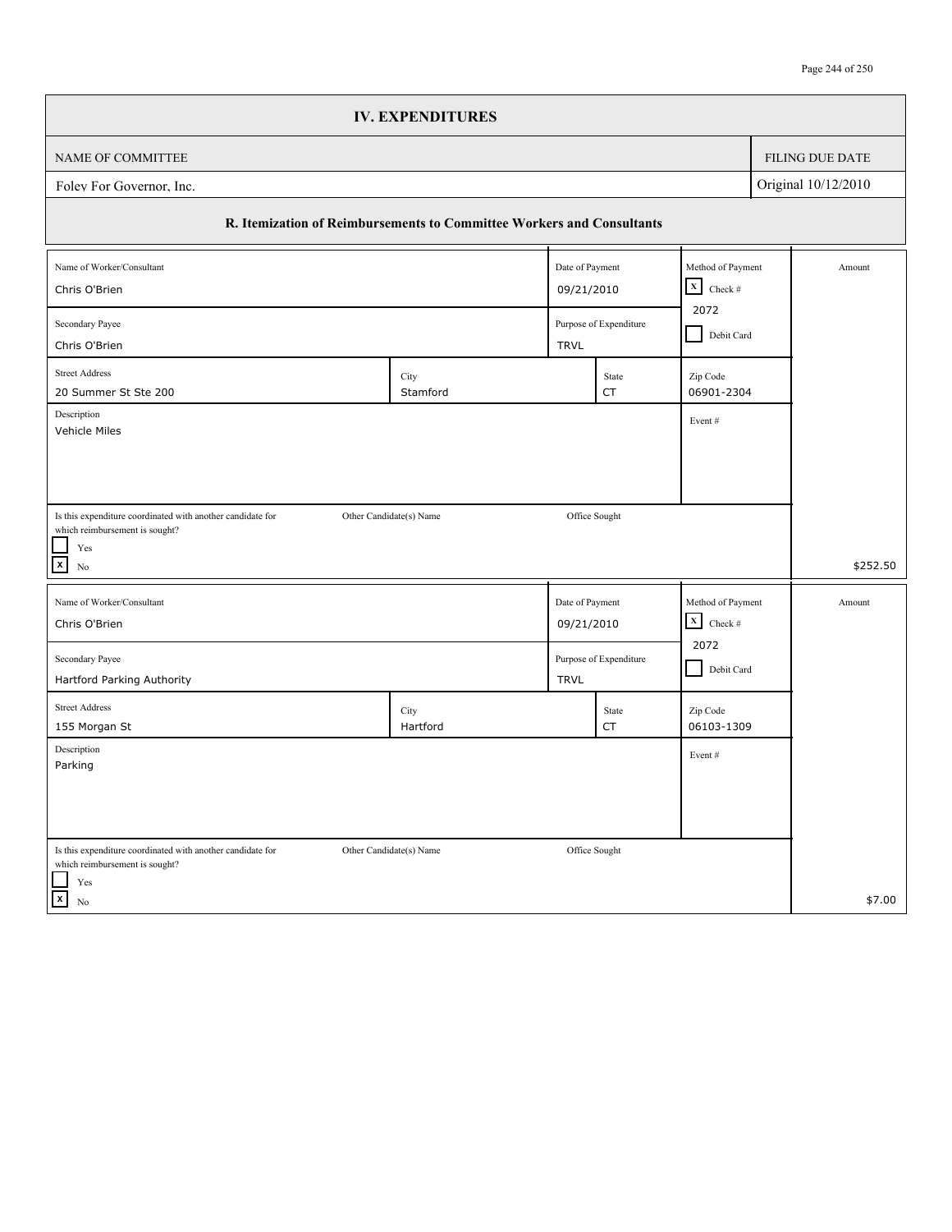|                                                                                              | <b>IV. EXPENDITURES</b>                      |                 |                                                              |                        |  |                        |
|----------------------------------------------------------------------------------------------|----------------------------------------------|-----------------|--------------------------------------------------------------|------------------------|--|------------------------|
| NAME OF COMMITTEE                                                                            |                                              |                 |                                                              |                        |  | <b>FILING DUE DATE</b> |
| Foley For Governor, Inc.                                                                     |                                              |                 |                                                              |                        |  | Original 10/12/2010    |
| R. Itemization of Reimbursements to Committee Workers and Consultants                        |                                              |                 |                                                              |                        |  |                        |
| Name of Worker/Consultant                                                                    |                                              | Date of Payment |                                                              | Method of Payment      |  | Amount                 |
| Chris O'Brien                                                                                | 09/21/2010                                   |                 | $\begin{array}{ c c }\n\hline\nX & \text{Check} \end{array}$ |                        |  |                        |
| Secondary Payee<br>Chris O'Brien                                                             | 2072<br>Purpose of Expenditure<br>Debit Card |                 |                                                              |                        |  |                        |
|                                                                                              |                                              | <b>TRVL</b>     |                                                              |                        |  |                        |
| <b>Street Address</b><br>20 Summer St Ste 200                                                | City<br>Stamford                             |                 | State<br>CT                                                  | Zip Code<br>06901-2304 |  |                        |
| Description                                                                                  |                                              |                 |                                                              | Event#                 |  |                        |
| Vehicle Miles                                                                                |                                              |                 |                                                              |                        |  |                        |
|                                                                                              |                                              |                 |                                                              |                        |  |                        |
|                                                                                              |                                              |                 |                                                              |                        |  |                        |
| Is this expenditure coordinated with another candidate for<br>which reimbursement is sought? | Other Candidate(s) Name                      |                 | Office Sought                                                |                        |  |                        |
| $\operatorname{Yes}$                                                                         |                                              |                 |                                                              |                        |  |                        |
| $\mathbf{x}$<br>N <sub>0</sub>                                                               |                                              |                 |                                                              |                        |  | \$252.50               |
| Name of Worker/Consultant                                                                    |                                              | Date of Payment |                                                              | Method of Payment      |  | Amount                 |
| Chris O'Brien                                                                                |                                              | 09/21/2010      |                                                              | $\mathbf X$<br>Check # |  |                        |
| Secondary Payee                                                                              |                                              |                 | Purpose of Expenditure                                       | 2072                   |  |                        |
| Hartford Parking Authority                                                                   |                                              | <b>TRVL</b>     |                                                              | Debit Card             |  |                        |
| <b>Street Address</b>                                                                        | City                                         |                 | State                                                        | Zip Code               |  |                        |
| 155 Morgan St                                                                                | Hartford                                     |                 | CT                                                           | 06103-1309             |  |                        |
| Description<br>Parking                                                                       |                                              |                 |                                                              | Event#                 |  |                        |
|                                                                                              |                                              |                 |                                                              |                        |  |                        |
|                                                                                              |                                              |                 |                                                              |                        |  |                        |
|                                                                                              |                                              |                 |                                                              |                        |  |                        |
| Is this expenditure coordinated with another candidate for<br>which reimbursement is sought? | Other Candidate(s) Name                      |                 | Office Sought                                                |                        |  |                        |
| Yes                                                                                          |                                              |                 |                                                              |                        |  |                        |
| $\vert x \vert$<br>No                                                                        |                                              |                 |                                                              |                        |  | \$7.00                 |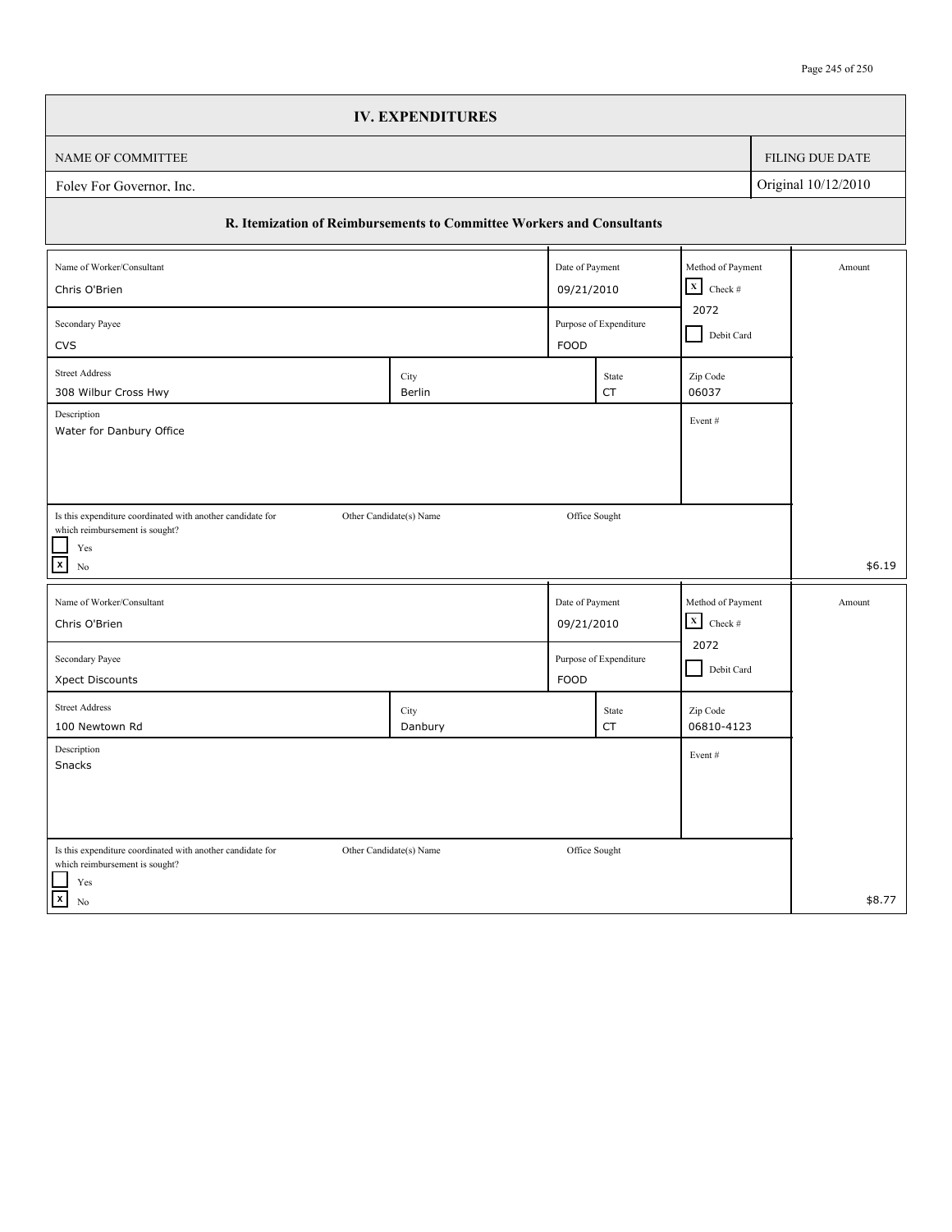|                                                                       | <b>IV. EXPENDITURES</b> |                 |                        |                            |                     |
|-----------------------------------------------------------------------|-------------------------|-----------------|------------------------|----------------------------|---------------------|
| NAME OF COMMITTEE                                                     |                         |                 |                        |                            | FILING DUE DATE     |
| Folev For Governor, Inc.                                              |                         |                 |                        |                            | Original 10/12/2010 |
| R. Itemization of Reimbursements to Committee Workers and Consultants |                         |                 |                        |                            |                     |
| Name of Worker/Consultant                                             |                         | Date of Payment |                        | Method of Payment          | Amount              |
| Chris O'Brien                                                         |                         | 09/21/2010      |                        | $\mathbf{x}$<br>Check $\#$ |                     |
| Secondary Payee<br><b>CVS</b>                                         |                         | FOOD            | Purpose of Expenditure | 2072<br>Debit Card         |                     |
| <b>Street Address</b>                                                 |                         |                 |                        |                            |                     |
| 308 Wilbur Cross Hwy                                                  | City<br>Berlin          |                 | State<br><b>CT</b>     | Zip Code<br>06037          |                     |
| Description<br>Water for Danbury Office                               |                         |                 |                        | Event#                     |                     |
|                                                                       |                         |                 |                        |                            |                     |
|                                                                       |                         |                 |                        |                            |                     |
| Is this expenditure coordinated with another candidate for            | Other Candidate(s) Name | Office Sought   |                        |                            |                     |
| which reimbursement is sought?<br>Yes                                 |                         |                 |                        |                            |                     |
| $\boxed{\mathbf{x}}$<br>No                                            |                         |                 |                        |                            | \$6.19              |
| Name of Worker/Consultant                                             |                         | Date of Payment |                        | Method of Payment          | Amount              |
| Chris O'Brien                                                         |                         | 09/21/2010      |                        | $\vert x \vert$<br>Check # |                     |
| Secondary Payee                                                       |                         |                 | Purpose of Expenditure | 2072                       |                     |
| Xpect Discounts                                                       |                         | <b>FOOD</b>     |                        | Debit Card                 |                     |
| <b>Street Address</b>                                                 | City                    |                 | State                  | Zip Code                   |                     |
| 100 Newtown Rd                                                        | Danbury                 |                 | <b>CT</b>              | 06810-4123                 |                     |
| Description<br>Snacks                                                 |                         |                 |                        | Event#                     |                     |
|                                                                       |                         |                 |                        |                            |                     |
|                                                                       |                         |                 |                        |                            |                     |
| Is this expenditure coordinated with another candidate for            | Other Candidate(s) Name | Office Sought   |                        |                            |                     |
| which reimbursement is sought?                                        |                         |                 |                        |                            |                     |
| Yes<br>$\boxed{x}$<br>No                                              |                         |                 |                        |                            | \$8.77              |
|                                                                       |                         |                 |                        |                            |                     |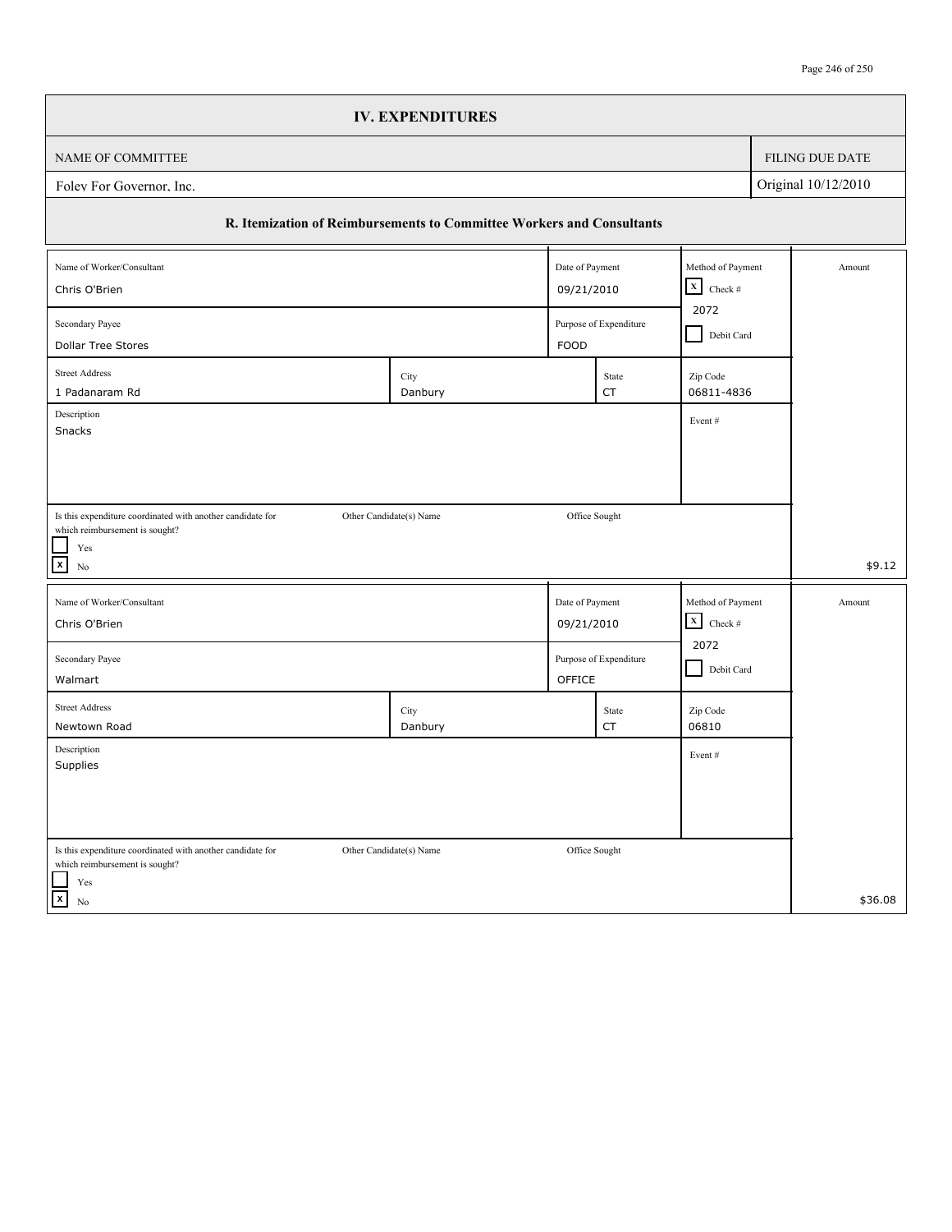|                                                                                                                                              | <b>IV. EXPENDITURES</b>   |                 |                        |                         |            |                     |
|----------------------------------------------------------------------------------------------------------------------------------------------|---------------------------|-----------------|------------------------|-------------------------|------------|---------------------|
| NAME OF COMMITTEE                                                                                                                            |                           |                 |                        |                         |            | FILING DUE DATE     |
| Folev For Governor, Inc.                                                                                                                     |                           |                 |                        |                         |            | Original 10/12/2010 |
| R. Itemization of Reimbursements to Committee Workers and Consultants                                                                        |                           |                 |                        |                         |            |                     |
| Name of Worker/Consultant                                                                                                                    |                           | Date of Payment |                        | Method of Payment       |            | Amount              |
| Chris O'Brien                                                                                                                                | $X$ Check #<br>09/21/2010 |                 |                        |                         |            |                     |
| 2072<br>Secondary Payee<br>Purpose of Expenditure                                                                                            |                           |                 |                        |                         | Debit Card |                     |
| <b>Dollar Tree Stores</b>                                                                                                                    |                           | <b>FOOD</b>     |                        |                         |            |                     |
| <b>Street Address</b><br>1 Padanaram Rd                                                                                                      | City<br>Danbury           |                 | State<br>CT            | Zip Code<br>06811-4836  |            |                     |
| Description<br>Snacks                                                                                                                        |                           |                 |                        | Event#                  |            |                     |
| Is this expenditure coordinated with another candidate for<br>which reimbursement is sought?<br>Yes<br>$\boldsymbol{\mathsf{x}}$<br>$\rm No$ | Other Candidate(s) Name   |                 | Office Sought          |                         |            | \$9.12              |
| Name of Worker/Consultant                                                                                                                    |                           | Date of Payment |                        | Method of Payment       |            | Amount              |
| Chris O'Brien                                                                                                                                |                           | 09/21/2010      |                        | $\mathbf{x}$<br>Check # |            |                     |
| Secondary Payee<br>Walmart                                                                                                                   |                           | OFFICE          | Purpose of Expenditure | 2072<br>Debit Card      |            |                     |
| <b>Street Address</b><br>Newtown Road                                                                                                        | City<br>Danbury           |                 | State<br>CT            | Zip Code<br>06810       |            |                     |
| Description<br>Supplies                                                                                                                      |                           |                 |                        | Event#                  |            |                     |
| Is this expenditure coordinated with another candidate for<br>which reimbursement is sought?<br>Yes<br>$\overline{\mathbf{x}}$<br>$\rm No$   | Other Candidate(s) Name   |                 | Office Sought          |                         |            | \$36.08             |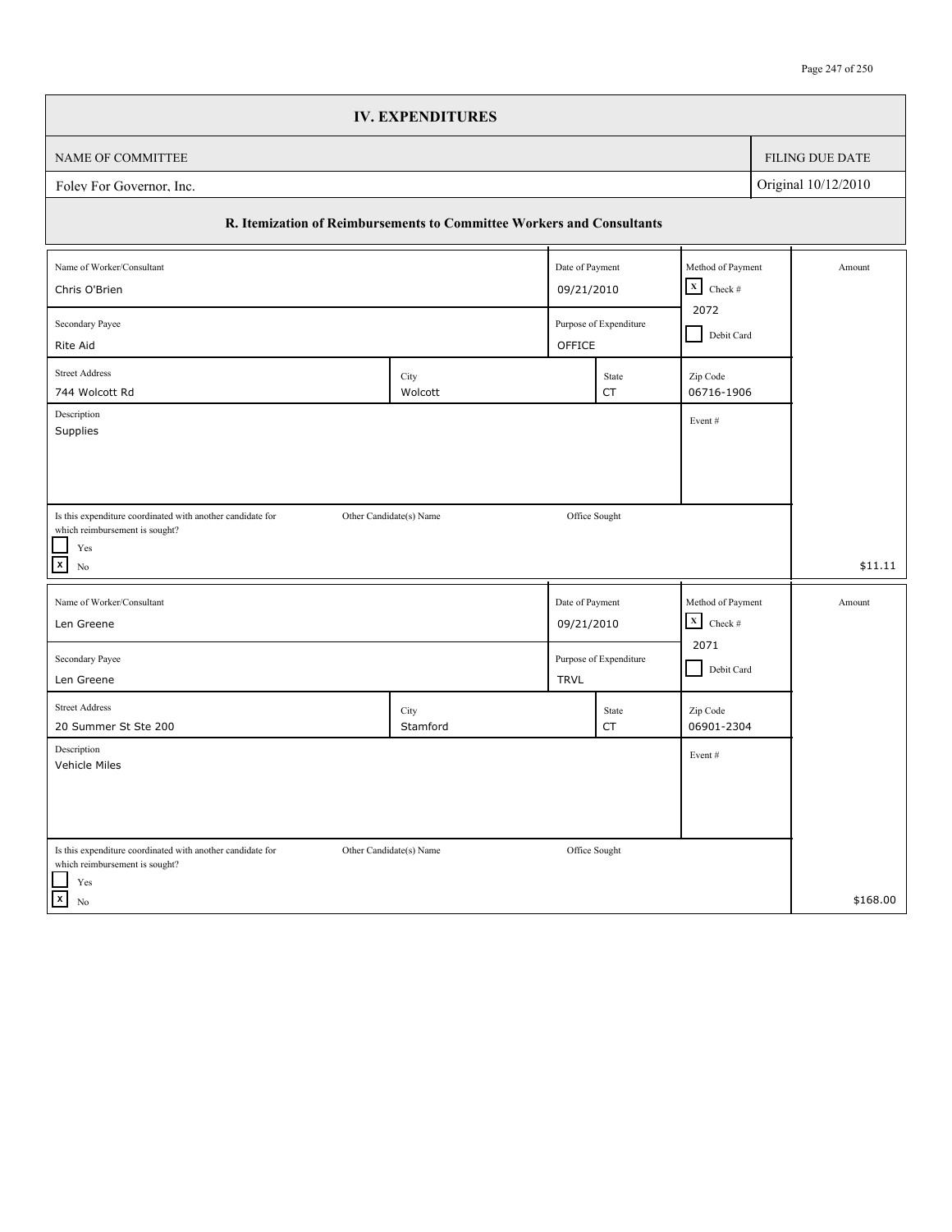|                                                                                              | <b>IV. EXPENDITURES</b> |                 |                                      |                                   |                   |                     |
|----------------------------------------------------------------------------------------------|-------------------------|-----------------|--------------------------------------|-----------------------------------|-------------------|---------------------|
| NAME OF COMMITTEE                                                                            |                         |                 |                                      |                                   |                   | FILING DUE DATE     |
| Folev For Governor, Inc.                                                                     |                         |                 |                                      |                                   |                   | Original 10/12/2010 |
| R. Itemization of Reimbursements to Committee Workers and Consultants                        |                         |                 |                                      |                                   |                   |                     |
| Name of Worker/Consultant                                                                    |                         | Date of Payment |                                      | Method of Payment                 |                   | Amount              |
| Chris O'Brien                                                                                |                         | 09/21/2010      |                                      | $\mathbf x$<br>Check $\#$<br>2072 |                   |                     |
| Secondary Payee                                                                              |                         |                 | Purpose of Expenditure               |                                   | Debit Card        |                     |
| Rite Aid                                                                                     |                         | OFFICE          |                                      |                                   |                   |                     |
| <b>Street Address</b><br>744 Wolcott Rd                                                      | City<br>Wolcott         |                 | State<br>CT                          | Zip Code<br>06716-1906            |                   |                     |
| Description<br>Supplies                                                                      |                         |                 |                                      | Event#                            |                   |                     |
|                                                                                              |                         |                 |                                      |                                   |                   |                     |
|                                                                                              |                         |                 |                                      |                                   |                   |                     |
| Is this expenditure coordinated with another candidate for                                   | Other Candidate(s) Name | Office Sought   |                                      |                                   |                   |                     |
| which reimbursement is sought?<br>Yes                                                        |                         |                 |                                      |                                   |                   |                     |
| $\mathbf{x}$<br>No                                                                           |                         |                 |                                      |                                   |                   | \$11.11             |
| Name of Worker/Consultant                                                                    |                         |                 | Date of Payment                      |                                   | Method of Payment | Amount              |
| Len Greene                                                                                   |                         |                 | $\mathbf x$<br>09/21/2010<br>Check # |                                   |                   |                     |
| Secondary Payee                                                                              |                         |                 | Purpose of Expenditure               | 2071<br>Debit Card                |                   |                     |
| Len Greene                                                                                   |                         | <b>TRVL</b>     |                                      |                                   |                   |                     |
| <b>Street Address</b><br>20 Summer St Ste 200                                                | City<br>Stamford        |                 | State<br>CT                          | Zip Code<br>06901-2304            |                   |                     |
| Description                                                                                  |                         |                 |                                      | Event#                            |                   |                     |
| Vehicle Miles                                                                                |                         |                 |                                      |                                   |                   |                     |
|                                                                                              |                         |                 |                                      |                                   |                   |                     |
|                                                                                              |                         |                 |                                      |                                   |                   |                     |
| Is this expenditure coordinated with another candidate for<br>which reimbursement is sought? | Other Candidate(s) Name | Office Sought   |                                      |                                   |                   |                     |
| Yes<br>$\mathbf{x}$<br>No                                                                    |                         |                 |                                      |                                   |                   | \$168.00            |
|                                                                                              |                         |                 |                                      |                                   |                   |                     |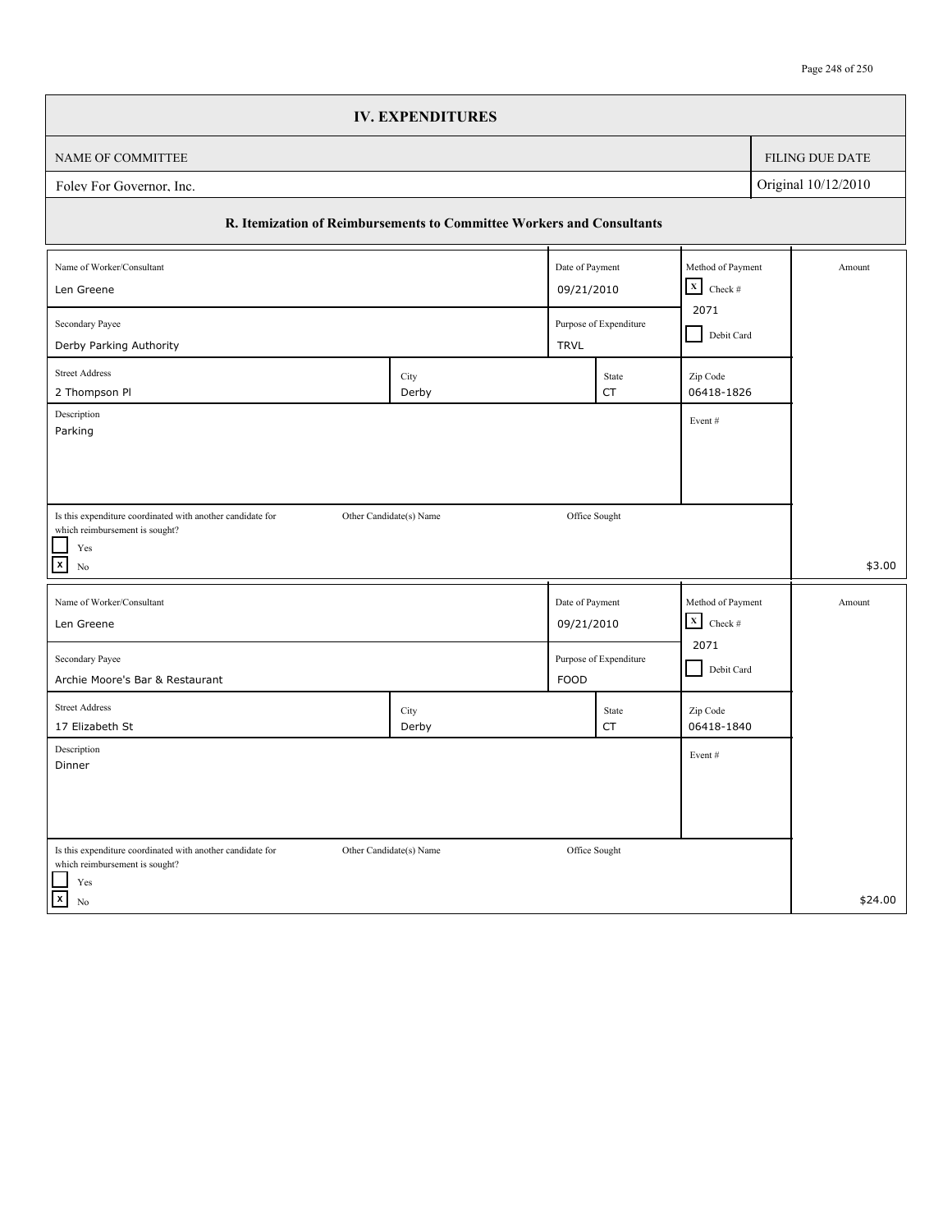|                                                                       | <b>IV. EXPENDITURES</b> |               |                                       |                                                 |                             |                        |
|-----------------------------------------------------------------------|-------------------------|---------------|---------------------------------------|-------------------------------------------------|-----------------------------|------------------------|
| NAME OF COMMITTEE                                                     |                         |               |                                       |                                                 |                             | <b>FILING DUE DATE</b> |
| Foley For Governor, Inc.                                              |                         |               |                                       |                                                 |                             | Original 10/12/2010    |
| R. Itemization of Reimbursements to Committee Workers and Consultants |                         |               |                                       |                                                 |                             |                        |
| Name of Worker/Consultant                                             |                         |               | Date of Payment                       |                                                 | Method of Payment<br>Amount |                        |
| Len Greene                                                            |                         |               | 09/21/2010                            |                                                 |                             |                        |
| Secondary Payee<br>Derby Parking Authority                            |                         |               | Purpose of Expenditure<br><b>TRVL</b> |                                                 | Debit Card                  |                        |
| <b>Street Address</b><br>2 Thompson Pl                                | City<br>Derby           |               | State<br>CT                           | Zip Code<br>06418-1826                          |                             |                        |
| Description<br>Parking                                                |                         |               |                                       | Event#                                          |                             |                        |
|                                                                       |                         |               |                                       |                                                 |                             |                        |
|                                                                       |                         |               |                                       |                                                 |                             |                        |
| Is this expenditure coordinated with another candidate for            | Other Candidate(s) Name | Office Sought |                                       |                                                 |                             |                        |
| which reimbursement is sought?<br>Yes                                 |                         |               |                                       |                                                 |                             |                        |
| $\boldsymbol{\mathsf{x}}$<br>N <sub>0</sub>                           |                         |               |                                       |                                                 |                             | \$3.00                 |
| Name of Worker/Consultant                                             |                         |               | Date of Payment                       |                                                 | Method of Payment           | Amount                 |
| Len Greene                                                            |                         |               |                                       | $\mathbf X$<br>Check $\#$<br>09/21/2010<br>2071 |                             |                        |
| Secondary Payee                                                       |                         |               | Purpose of Expenditure                |                                                 | Debit Card                  |                        |
| Archie Moore's Bar & Restaurant                                       |                         | FOOD          |                                       |                                                 |                             |                        |
| <b>Street Address</b><br>17 Elizabeth St                              | City<br>Derby           |               | State<br>CT                           | Zip Code<br>06418-1840                          |                             |                        |
| Description<br>Dinner                                                 |                         |               |                                       | Event#                                          |                             |                        |
|                                                                       |                         |               |                                       |                                                 |                             |                        |
|                                                                       |                         |               |                                       |                                                 |                             |                        |
| Is this expenditure coordinated with another candidate for            | Other Candidate(s) Name | Office Sought |                                       |                                                 |                             |                        |
| which reimbursement is sought?<br>Yes                                 |                         |               |                                       |                                                 |                             |                        |
| $\vert x \vert$<br>No                                                 |                         |               |                                       |                                                 |                             | \$24.00                |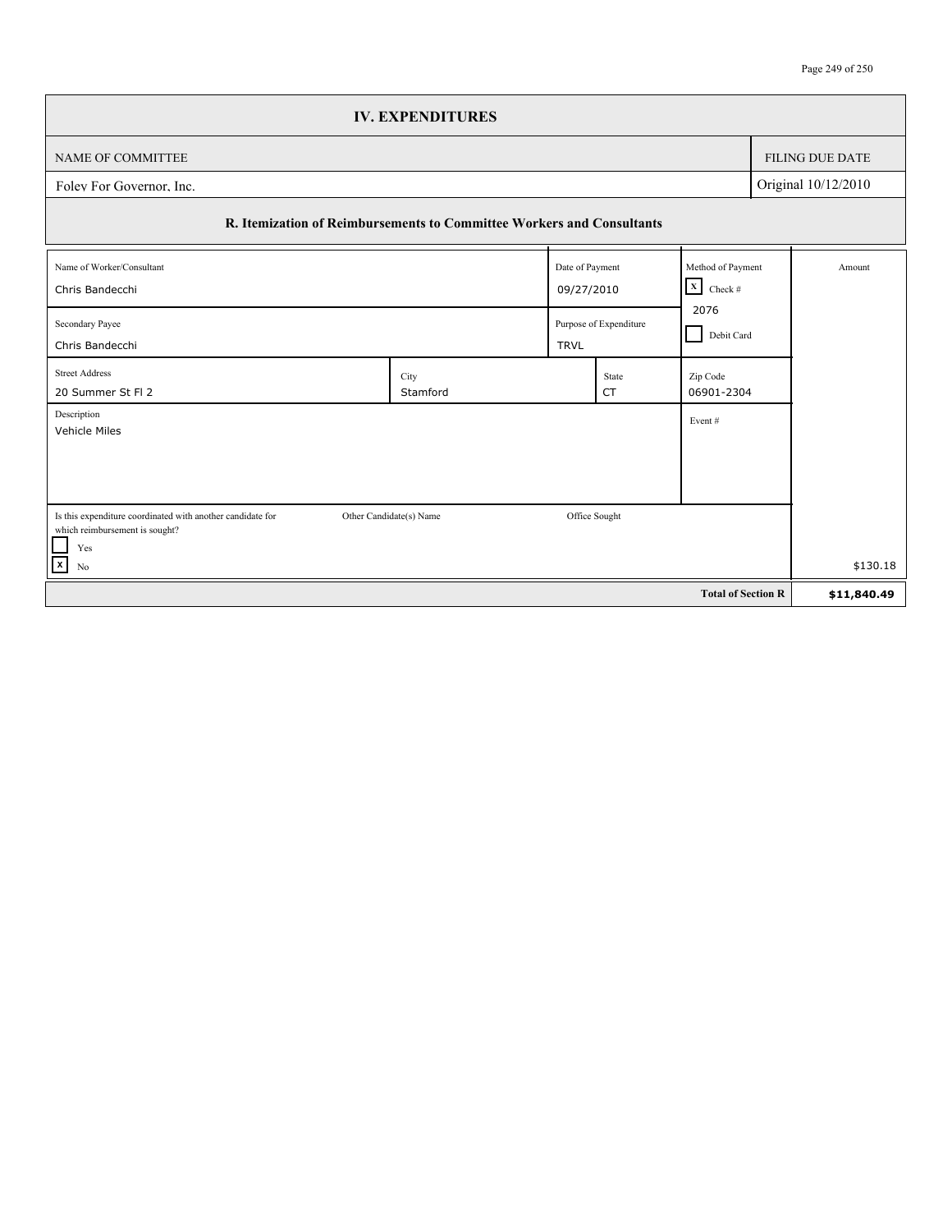|                                                                                              | <b>IV. EXPENDITURES</b> |                               |                        |                           |                   |                        |
|----------------------------------------------------------------------------------------------|-------------------------|-------------------------------|------------------------|---------------------------|-------------------|------------------------|
| NAME OF COMMITTEE                                                                            |                         |                               |                        |                           |                   | <b>FILING DUE DATE</b> |
| Folev For Governor, Inc.                                                                     |                         |                               |                        |                           |                   | Original 10/12/2010    |
| R. Itemization of Reimbursements to Committee Workers and Consultants                        |                         |                               |                        |                           |                   |                        |
| Name of Worker/Consultant                                                                    |                         |                               | Date of Payment        |                           | Method of Payment | Amount                 |
| Chris Bandecchi                                                                              |                         | $\vert x \vert$<br>09/27/2010 |                        | Check #                   |                   |                        |
| Secondary Payee                                                                              |                         |                               | Purpose of Expenditure | 2076<br>Debit Card        |                   |                        |
| Chris Bandecchi                                                                              |                         | <b>TRVL</b>                   |                        |                           |                   |                        |
| <b>Street Address</b><br>20 Summer St Fl 2                                                   | City<br>Stamford        |                               | State<br><b>CT</b>     | Zip Code<br>06901-2304    |                   |                        |
| Description<br>Vehicle Miles                                                                 |                         |                               |                        | Event#                    |                   |                        |
|                                                                                              |                         |                               |                        |                           |                   |                        |
|                                                                                              |                         |                               |                        |                           |                   |                        |
| Is this expenditure coordinated with another candidate for<br>which reimbursement is sought? | Other Candidate(s) Name |                               | Office Sought          |                           |                   |                        |
| $\mathcal{L}$<br>Yes<br>$\overline{x}$                                                       |                         |                               |                        |                           |                   | \$130.18               |
| No                                                                                           |                         |                               |                        |                           |                   |                        |
|                                                                                              |                         |                               |                        | <b>Total of Section R</b> |                   | \$11,840.49            |